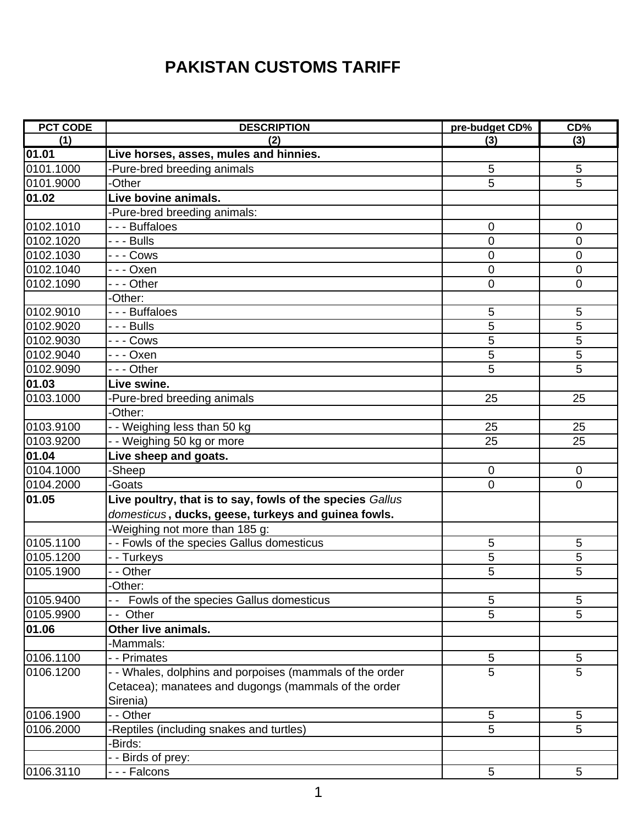## **PAKISTAN CUSTOMS TARIFF**

| <b>PCT CODE</b> | <b>DESCRIPTION</b>                                        | pre-budget CD% | CD%            |
|-----------------|-----------------------------------------------------------|----------------|----------------|
| (1)             | (2)                                                       | (3)            | (3)            |
| 01.01           | Live horses, asses, mules and hinnies.                    |                |                |
| 0101.1000       | -Pure-bred breeding animals                               | 5              | 5              |
| 0101.9000       | -Other                                                    | 5              | 5              |
| 01.02           | Live bovine animals.                                      |                |                |
|                 | -Pure-bred breeding animals:                              |                |                |
| 0102.1010       | - - - Buffaloes                                           | $\overline{0}$ | $\overline{0}$ |
| 0102.1020       | - - - Bulls                                               | $\mathbf 0$    | $\mathbf 0$    |
| 0102.1030       | -  -  - Cows                                              | $\mathbf 0$    | $\mathbf 0$    |
| 0102.1040       | -  -  -  Oxen                                             | $\mathbf 0$    | $\mathbf 0$    |
| 0102.1090       | --- Other                                                 | $\mathbf 0$    | $\mathbf 0$    |
|                 | -Other:                                                   |                |                |
| 0102.9010       | --- Buffaloes                                             | $\sqrt{5}$     | 5              |
| 0102.9020       | $- -$ Bulls                                               | 5              | 5              |
| 0102.9030       | - - - Cows                                                | 5              | 5              |
| 0102.9040       | -  -  - Oxen                                              | 5              | 5              |
| 0102.9090       | --- Other                                                 | 5              | 5              |
| 01.03           | Live swine.                                               |                |                |
| 0103.1000       | -Pure-bred breeding animals                               | 25             | 25             |
|                 | -Other:                                                   |                |                |
| 0103.9100       | - - Weighing less than 50 kg                              | 25             | 25             |
| 0103.9200       | - - Weighing 50 kg or more                                | 25             | 25             |
| 01.04           | Live sheep and goats.                                     |                |                |
| 0104.1000       | -Sheep                                                    | $\overline{0}$ | $\overline{0}$ |
| 0104.2000       | -Goats                                                    | $\mathbf 0$    | $\mathbf 0$    |
| 01.05           | Live poultry, that is to say, fowls of the species Gallus |                |                |
|                 | domesticus, ducks, geese, turkeys and guinea fowls.       |                |                |
|                 | -Weighing not more than 185 g:                            |                |                |
| 0105.1100       | - - Fowls of the species Gallus domesticus                | 5              | 5              |
| 0105.1200       | - - Turkeys                                               | 5              | 5              |
| 0105.1900       | - - Other                                                 | 5              | $\overline{5}$ |
|                 | -Other:                                                   |                |                |
| 0105.9400       | Fowls of the species Gallus domesticus                    | 5              | 5              |
| 0105.9900       | Other                                                     | 5              | 5              |
| 01.06           | Other live animals.                                       |                |                |
|                 | -Mammals:                                                 |                |                |
| 0106.1100       | - - Primates                                              | 5              | 5              |
| 0106.1200       | - Whales, dolphins and porpoises (mammals of the order    | 5              | 5              |
|                 | Cetacea); manatees and dugongs (mammals of the order      |                |                |
|                 | Sirenia)                                                  |                |                |
| 0106.1900       | - - Other                                                 | 5              | 5              |
| 0106.2000       | -Reptiles (including snakes and turtles)                  | 5              | 5              |
|                 | -Birds:                                                   |                |                |
|                 | - - Birds of prey:                                        |                |                |
| 0106.3110       | --- Falcons                                               | 5              | 5              |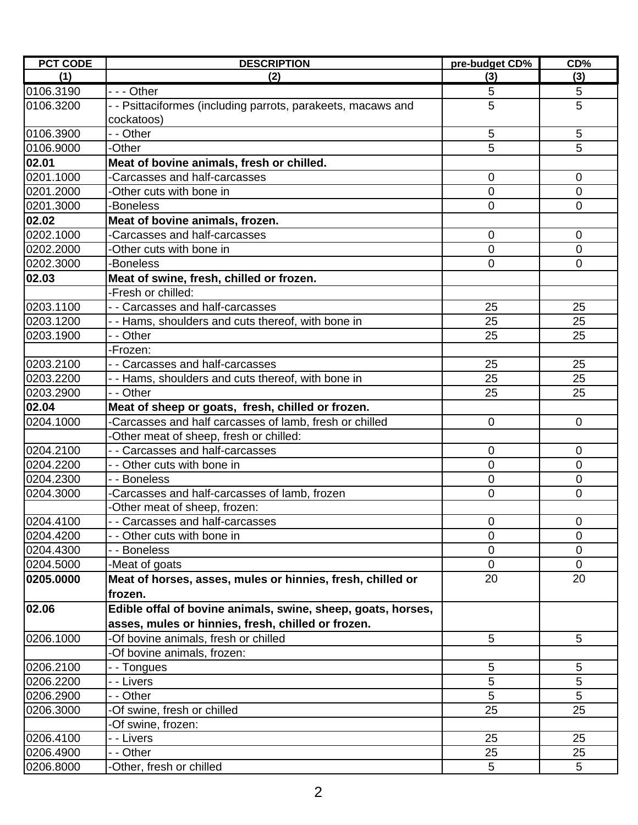| <b>PCT CODE</b> | <b>DESCRIPTION</b>                                           | pre-budget CD% | CD%            |
|-----------------|--------------------------------------------------------------|----------------|----------------|
| (1)             | (2)                                                          | (3)            | (3)            |
| 0106.3190       | $- -$ Other                                                  | 5              | 5              |
| 0106.3200       | - - Psittaciformes (including parrots, parakeets, macaws and | 5              | 5              |
|                 | cockatoos)                                                   |                |                |
| 0106.3900       | - - Other                                                    | 5              | 5              |
| 0106.9000       | -Other                                                       | 5              | 5              |
| 02.01           | Meat of bovine animals, fresh or chilled.                    |                |                |
| 0201.1000       | Carcasses and half-carcasses                                 | $\mathbf 0$    | $\overline{0}$ |
| 0201.2000       | -Other cuts with bone in                                     | $\overline{0}$ | $\overline{0}$ |
| 0201.3000       | -Boneless                                                    | $\mathbf 0$    | $\mathbf 0$    |
| 02.02           | Meat of bovine animals, frozen.                              |                |                |
| 0202.1000       | -Carcasses and half-carcasses                                | $\overline{0}$ | $\overline{0}$ |
| 0202.2000       | -Other cuts with bone in                                     | $\mathbf 0$    | $\mathbf 0$    |
| 0202.3000       | <b>Boneless</b>                                              | $\overline{0}$ | $\mathbf 0$    |
| 02.03           | Meat of swine, fresh, chilled or frozen.                     |                |                |
|                 | -Fresh or chilled:                                           |                |                |
| 0203.1100       | - - Carcasses and half-carcasses                             | 25             | 25             |
| 0203.1200       | - - Hams, shoulders and cuts thereof, with bone in           | 25             | 25             |
| 0203.1900       | - - Other                                                    | 25             | 25             |
|                 | -Frozen:                                                     |                |                |
| 0203.2100       | - - Carcasses and half-carcasses                             | 25             | 25             |
| 0203.2200       | - - Hams, shoulders and cuts thereof, with bone in           | 25             | 25             |
| 0203.2900       | - - Other                                                    | 25             | 25             |
| 02.04           | Meat of sheep or goats, fresh, chilled or frozen.            |                |                |
| 0204.1000       | Carcasses and half carcasses of lamb, fresh or chilled       | $\overline{0}$ | $\mathbf 0$    |
|                 | Other meat of sheep, fresh or chilled:                       |                |                |
| 0204.2100       | - - Carcasses and half-carcasses                             | 0              | $\mathbf 0$    |
| 0204.2200       | - - Other cuts with bone in                                  | $\mathbf 0$    | $\mathbf 0$    |
| 0204.2300       | - - Boneless                                                 | $\overline{0}$ | $\overline{0}$ |
| 0204.3000       | Carcasses and half-carcasses of lamb, frozen                 | $\mathbf 0$    | $\mathbf 0$    |
|                 | Other meat of sheep, frozen:                                 |                |                |
| 0204.4100       | - Carcasses and half-carcasses                               | $\mathbf 0$    | $\mathbf 0$    |
| 0204.4200       | - - Other cuts with bone in                                  | $\Omega$       | 0              |
| 0204.4300       | - - Boneless                                                 | 0              | 0              |
| 0204.5000       | -Meat of goats                                               | 0              | $\mathbf 0$    |
| 0205.0000       | Meat of horses, asses, mules or hinnies, fresh, chilled or   | 20             | 20             |
|                 | frozen.                                                      |                |                |
|                 |                                                              |                |                |
| 02.06           | Edible offal of bovine animals, swine, sheep, goats, horses, |                |                |
|                 | asses, mules or hinnies, fresh, chilled or frozen.           |                |                |
| 0206.1000       | -Of bovine animals, fresh or chilled                         | 5              | 5              |
|                 | -Of bovine animals, frozen:                                  |                |                |
| 0206.2100       | --Tongues                                                    | 5              | 5              |
| 0206.2200       | - - Livers                                                   | 5              | 5              |
| 0206.2900       | - - Other                                                    | 5              | 5              |
| 0206.3000       | -Of swine, fresh or chilled                                  | 25             | 25             |
|                 | -Of swine, frozen:                                           |                |                |
| 0206.4100       | - - Livers                                                   | 25             | 25             |
| 0206.4900       | - - Other                                                    | 25             | 25             |
| 0206.8000       | -Other, fresh or chilled                                     | 5              | 5              |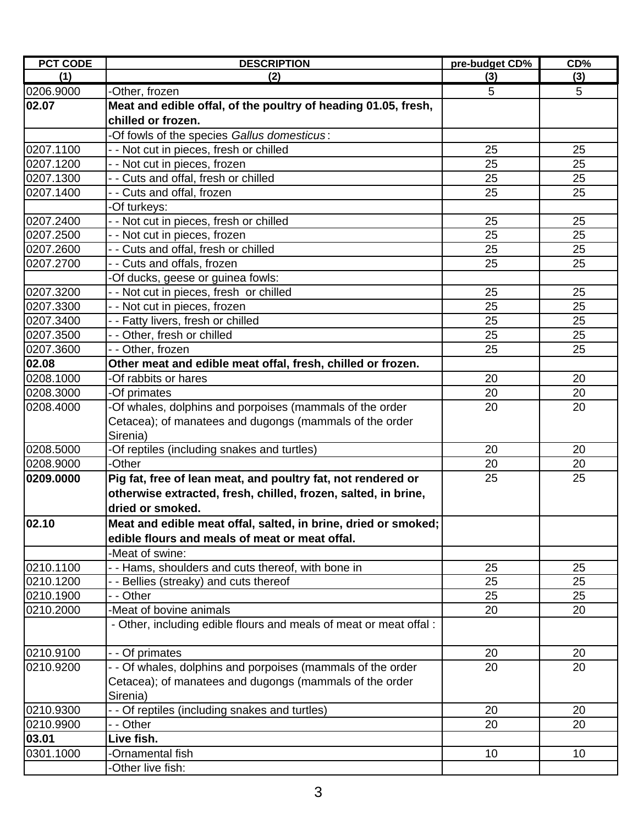| <b>PCT CODE</b>     | <b>DESCRIPTION</b>                                                 | pre-budget CD%  | CD% |
|---------------------|--------------------------------------------------------------------|-----------------|-----|
| (1)                 | (2)                                                                | (3)             | (3) |
| 0206.9000           | -Other, frozen                                                     | 5               | 5   |
| 02.07               | Meat and edible offal, of the poultry of heading 01.05, fresh,     |                 |     |
|                     | chilled or frozen.                                                 |                 |     |
|                     | -Of fowls of the species Gallus domesticus:                        |                 |     |
| 0207.1100           | - - Not cut in pieces, fresh or chilled                            | 25              | 25  |
| 0207.1200           | - - Not cut in pieces, frozen                                      | 25              | 25  |
| 0207.1300           | - - Cuts and offal, fresh or chilled                               | 25              | 25  |
| 0207.1400           | - - Cuts and offal, frozen                                         | 25              | 25  |
|                     | -Of turkeys:                                                       |                 |     |
| 0207.2400           | - - Not cut in pieces, fresh or chilled                            | 25              | 25  |
| 0207.2500           | - - Not cut in pieces, frozen                                      | 25              | 25  |
| 0207.2600           | - - Cuts and offal, fresh or chilled                               | 25              | 25  |
| 0207.2700           | - - Cuts and offals, frozen                                        | 25              | 25  |
|                     | -Of ducks, geese or guinea fowls:                                  |                 |     |
| 0207.3200           | - - Not cut in pieces, fresh or chilled                            | 25              | 25  |
| 0207.3300           | - - Not cut in pieces, frozen                                      | 25              | 25  |
| 0207.3400           | - - Fatty livers, fresh or chilled                                 | 25              | 25  |
| 0207.3500           | - - Other, fresh or chilled                                        | 25              | 25  |
| 0207.3600           | - - Other, frozen                                                  | 25              | 25  |
| 02.08               | Other meat and edible meat offal, fresh, chilled or frozen.        |                 |     |
| 0208.1000           | -Of rabbits or hares                                               | 20              | 20  |
| 0208.3000           | -Of primates                                                       | 20              | 20  |
| 0208.4000           | -Of whales, dolphins and porpoises (mammals of the order           | 20              | 20  |
|                     | Cetacea); of manatees and dugongs (mammals of the order            |                 |     |
|                     | Sirenia)                                                           |                 |     |
| 0208.5000           | -Of reptiles (including snakes and turtles)                        | 20              | 20  |
| 0208.9000           | -Other                                                             | 20              | 20  |
| 0209.0000           | Pig fat, free of lean meat, and poultry fat, not rendered or       | 25              | 25  |
|                     | otherwise extracted, fresh, chilled, frozen, salted, in brine,     |                 |     |
|                     | dried or smoked.                                                   |                 |     |
| $\overline{0}$ 2.10 | Meat and edible meat offal, salted, in brine, dried or smoked;     |                 |     |
|                     | edible flours and meals of meat or meat offal.                     |                 |     |
|                     | -Meat of swine:                                                    |                 |     |
| 0210.1100           | - - Hams, shoulders and cuts thereof, with bone in                 | 25              | 25  |
| 0210.1200           | - - Bellies (streaky) and cuts thereof                             | 25              | 25  |
| 0210.1900           | - - Other                                                          | 25              | 25  |
| 0210.2000           | -Meat of bovine animals                                            | 20              | 20  |
|                     | - Other, including edible flours and meals of meat or meat offal : |                 |     |
|                     |                                                                    |                 |     |
| 0210.9100           | - - Of primates                                                    | 20              | 20  |
| 0210.9200           | - - Of whales, dolphins and porpoises (mammals of the order        | 20              | 20  |
|                     | Cetacea); of manatees and dugongs (mammals of the order            |                 |     |
|                     | Sirenia)                                                           |                 |     |
| 0210.9300           | - - Of reptiles (including snakes and turtles)                     | 20              | 20  |
| 0210.9900           | - - Other                                                          | 20              | 20  |
| 03.01               | Live fish.                                                         |                 |     |
| 0301.1000           | -Ornamental fish                                                   | 10 <sup>1</sup> | 10  |
|                     | -Other live fish:                                                  |                 |     |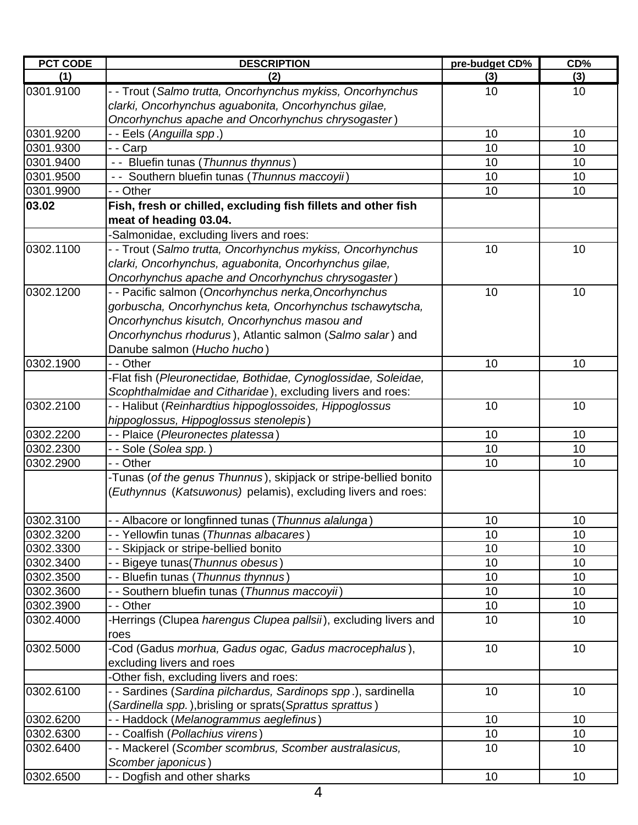| <b>PCT CODE</b> | <b>DESCRIPTION</b>                                               | pre-budget CD% | CD% |
|-----------------|------------------------------------------------------------------|----------------|-----|
| (1)             | (2)                                                              | (3)            | (3) |
| 0301.9100       | - - Trout (Salmo trutta, Oncorhynchus mykiss, Oncorhynchus       | 10             | 10  |
|                 | clarki, Oncorhynchus aguabonita, Oncorhynchus gilae,             |                |     |
|                 | Oncorhynchus apache and Oncorhynchus chrysogaster)               |                |     |
| 0301.9200       | - - Eels (Anguilla spp.)                                         | 10             | 10  |
| 0301.9300       | - - Carp                                                         | 10             | 10  |
| 0301.9400       | - - Bluefin tunas (Thunnus thynnus)                              | 10             | 10  |
| 0301.9500       | - - Southern bluefin tunas (Thunnus maccoyii)                    | 10             | 10  |
| 0301.9900       | - - Other                                                        | 10             | 10  |
| 03.02           | Fish, fresh or chilled, excluding fish fillets and other fish    |                |     |
|                 | meat of heading 03.04.                                           |                |     |
|                 | -Salmonidae, excluding livers and roes:                          |                |     |
| 0302.1100       | - - Trout (Salmo trutta, Oncorhynchus mykiss, Oncorhynchus       | 10             | 10  |
|                 | clarki, Oncorhynchus, aguabonita, Oncorhynchus gilae,            |                |     |
|                 | Oncorhynchus apache and Oncorhynchus chrysogaster)               |                |     |
| 0302.1200       | - - Pacific salmon (Oncorhynchus nerka, Oncorhynchus             | 10             | 10  |
|                 | gorbuscha, Oncorhynchus keta, Oncorhynchus tschawytscha,         |                |     |
|                 | Oncorhynchus kisutch, Oncorhynchus masou and                     |                |     |
|                 | Oncorhynchus rhodurus), Atlantic salmon (Salmo salar) and        |                |     |
|                 | Danube salmon (Hucho hucho)                                      |                |     |
| 0302.1900       | - - Other                                                        | 10             | 10  |
|                 | -Flat fish (Pleuronectidae, Bothidae, Cynoglossidae, Soleidae,   |                |     |
|                 | Scophthalmidae and Citharidae), excluding livers and roes:       |                |     |
| 0302.2100       | - - Halibut (Reinhardtius hippoglossoides, Hippoglossus          | 10             | 10  |
|                 | hippoglossus, Hippoglossus stenolepis)                           |                |     |
| 0302.2200       | - - Plaice ( <i>Pleuronectes platessa</i> )                      | 10             | 10  |
| 0302.2300       | - - Sole ( <i>Solea spp.</i> )                                   | 10             | 10  |
| 0302.2900       | - - Other                                                        | 10             | 10  |
|                 | -Tunas (of the genus Thunnus), skipjack or stripe-bellied bonito |                |     |
|                 | (Euthynnus (Katsuwonus) pelamis), excluding livers and roes:     |                |     |
|                 |                                                                  |                |     |
| 0302.3100       | Albacore or longfinned tunas (Thunnus alalunga)                  | 10             | 10  |
| 0302.3200       | - - Yellowfin tunas (Thunnas albacares)                          | 10             | 10  |
| 0302.3300       | - - Skipjack or stripe-bellied bonito                            | 10             | 10  |
| 0302.3400       | - - Bigeye tunas (Thunnus obesus)                                | 10             | 10  |
| 0302.3500       | - - Bluefin tunas (Thunnus thynnus)                              | 10             | 10  |
| 0302.3600       | - - Southern bluefin tunas (Thunnus maccoyii)                    | 10             | 10  |
| 0302.3900       | - - Other                                                        | 10             | 10  |
| 0302.4000       | -Herrings (Clupea harengus Clupea pallsii), excluding livers and | 10             | 10  |
|                 | roes                                                             |                |     |
| 0302.5000       | -Cod (Gadus morhua, Gadus ogac, Gadus macrocephalus),            | 10             | 10  |
|                 | excluding livers and roes                                        |                |     |
|                 | -Other fish, excluding livers and roes:                          |                |     |
| 0302.6100       | - - Sardines (Sardina pilchardus, Sardinops spp.), sardinella    | 10             | 10  |
|                 | (Sardinella spp.), brisling or sprats (Sprattus sprattus)        |                |     |
| 0302.6200       | - - Haddock (Melanogrammus aeglefinus)                           | 10             | 10  |
| 0302.6300       | - - Coalfish (Pollachius virens)                                 | 10             | 10  |
| 0302.6400       | - - Mackerel (Scomber scombrus, Scomber australasicus,           | 10             | 10  |
|                 | Scomber japonicus)                                               |                |     |
| 0302.6500       | - - Dogfish and other sharks                                     | 10             | 10  |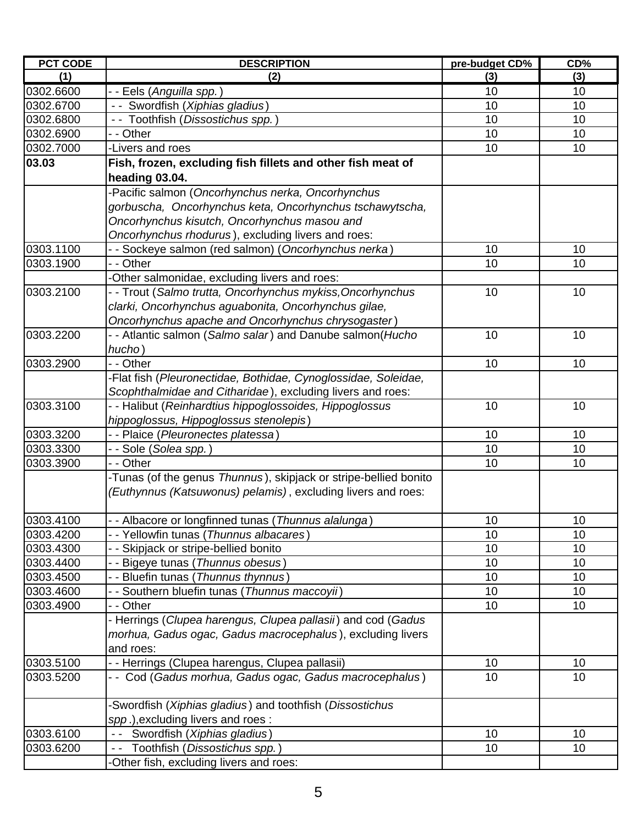| <b>PCT CODE</b> | <b>DESCRIPTION</b>                                               | pre-budget CD% | CD% |
|-----------------|------------------------------------------------------------------|----------------|-----|
| (1)             | (2)                                                              | (3)            | (3) |
| 0302.6600       | - - Eels (Anguilla spp.)                                         | 10             | 10  |
| 0302.6700       | - - Swordfish (Xiphias gladius)                                  | 10             | 10  |
| 0302.6800       | -- Toothfish (Dissostichus spp.)                                 | 10             | 10  |
| 0302.6900       | - - Other                                                        | 10             | 10  |
| 0302.7000       | -Livers and roes                                                 | 10             | 10  |
| 03.03           | Fish, frozen, excluding fish fillets and other fish meat of      |                |     |
|                 | heading 03.04.                                                   |                |     |
|                 | Pacific salmon (Oncorhynchus nerka, Oncorhynchus                 |                |     |
|                 | gorbuscha, Oncorhynchus keta, Oncorhynchus tschawytscha,         |                |     |
|                 | Oncorhynchus kisutch, Oncorhynchus masou and                     |                |     |
|                 | Oncorhynchus rhodurus), excluding livers and roes:               |                |     |
| 0303.1100       | - - Sockeye salmon (red salmon) (Oncorhynchus nerka)             | 10             | 10  |
| 0303.1900       | - - Other                                                        | 10             | 10  |
|                 | -Other salmonidae, excluding livers and roes:                    |                |     |
| 0303.2100       | - - Trout (Salmo trutta, Oncorhynchus mykiss, Oncorhynchus       | 10             | 10  |
|                 | clarki, Oncorhynchus aguabonita, Oncorhynchus gilae,             |                |     |
|                 | Oncorhynchus apache and Oncorhynchus chrysogaster)               |                |     |
| 0303.2200       | - - Atlantic salmon (Salmo salar) and Danube salmon(Hucho        | 10             | 10  |
|                 | hucho)                                                           |                |     |
| 0303.2900       | - - Other                                                        | 10             | 10  |
|                 | -Flat fish (Pleuronectidae, Bothidae, Cynoglossidae, Soleidae,   |                |     |
|                 | Scophthalmidae and Citharidae), excluding livers and roes:       |                |     |
| 0303.3100       | - - Halibut (Reinhardtius hippoglossoides, Hippoglossus          | 10             | 10  |
|                 | hippoglossus, Hippoglossus stenolepis)                           |                |     |
| 0303.3200       | - - Plaice (Pleuronectes platessa)                               | 10             | 10  |
| 0303.3300       | - - Sole ( <i>Solea spp.</i> )                                   | 10             | 10  |
| 0303.3900       | - - Other                                                        | 10             | 10  |
|                 | -Tunas (of the genus Thunnus), skipjack or stripe-bellied bonito |                |     |
|                 | (Euthynnus (Katsuwonus) pelamis), excluding livers and roes:     |                |     |
| 0303.4100       | - - Albacore or longfinned tunas (Thunnus alalunga)              | 10             | 10  |
| 0303.4200       | - - Yellowfin tunas (Thunnus albacares)                          | 10             | 10  |
| 0303.4300       | - - Skipjack or stripe-bellied bonito                            | 10             | 10  |
| 0303.4400       | - - Bigeye tunas (Thunnus obesus)                                | 10             | 10  |
| 0303.4500       | - - Bluefin tunas (Thunnus thynnus)                              | 10             | 10  |
| 0303.4600       | - - Southern bluefin tunas (Thunnus maccoyii)                    | 10             | 10  |
| 0303.4900       | - - Other                                                        | 10             | 10  |
|                 | - Herrings (Clupea harengus, Clupea pallasii) and cod (Gadus     |                |     |
|                 | morhua, Gadus ogac, Gadus macrocephalus), excluding livers       |                |     |
|                 | and roes:                                                        |                |     |
| 0303.5100       | - - Herrings (Clupea harengus, Clupea pallasii)                  | 10             | 10  |
| 0303.5200       | - - Cod (Gadus morhua, Gadus ogac, Gadus macrocephalus)          | 10             | 10  |
|                 | -Swordfish (Xiphias gladius) and toothfish (Dissostichus         |                |     |
|                 | spp.), excluding livers and roes:                                |                |     |
| 0303.6100       | -- Swordfish (Xiphias gladius)                                   | 10             | 10  |
| 0303.6200       | Toothfish (Dissostichus spp.)                                    | 10             | 10  |
|                 | -Other fish, excluding livers and roes:                          |                |     |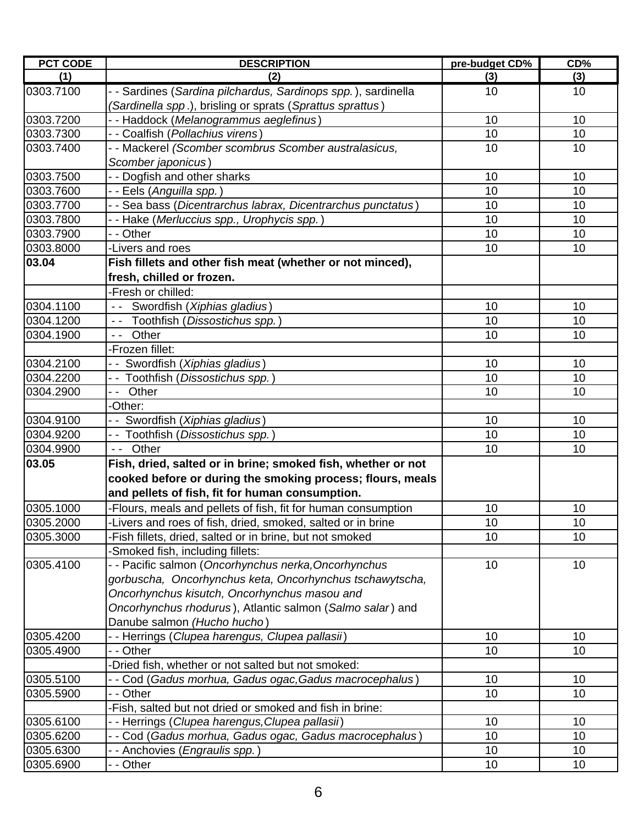| <b>PCT CODE</b> | <b>DESCRIPTION</b>                                            | pre-budget CD% | CD% |
|-----------------|---------------------------------------------------------------|----------------|-----|
| (1)             | (2)                                                           | (3)            | (3) |
| 0303.7100       | - - Sardines (Sardina pilchardus, Sardinops spp.), sardinella | 10             | 10  |
|                 | (Sardinella spp.), brisling or sprats (Sprattus sprattus)     |                |     |
| 0303.7200       | - - Haddock (Melanogrammus aeglefinus)                        | 10             | 10  |
| 0303.7300       | - - Coalfish (Pollachius virens)                              | 10             | 10  |
| 0303.7400       | - - Mackerel (Scomber scombrus Scomber australasicus,         | 10             | 10  |
|                 | Scomber japonicus)                                            |                |     |
| 0303.7500       | - - Dogfish and other sharks                                  | 10             | 10  |
| 0303.7600       | - - Eels (Anguilla spp.)                                      | 10             | 10  |
| 0303.7700       | - - Sea bass (Dicentrarchus labrax, Dicentrarchus punctatus)  | 10             | 10  |
| 0303.7800       | - - Hake (Merluccius spp., Urophycis spp.)                    | 10             | 10  |
| 0303.7900       | - - Other                                                     | 10             | 10  |
| 0303.8000       | -Livers and roes                                              | 10             | 10  |
| 03.04           | Fish fillets and other fish meat (whether or not minced),     |                |     |
|                 | fresh, chilled or frozen.                                     |                |     |
|                 | -Fresh or chilled:                                            |                |     |
| 0304.1100       | -- Swordfish (Xiphias gladius)                                | 10             | 10  |
| 0304.1200       | -- Toothfish (Dissostichus spp.)                              | 10             | 10  |
| 0304.1900       | -- Other                                                      | 10             | 10  |
|                 | -Frozen fillet:                                               |                |     |
| 0304.2100       | - - Swordfish (Xiphias gladius)                               | 10             | 10  |
| 0304.2200       | -- Toothfish (Dissostichus spp.)                              | 10             | 10  |
| 0304.2900       | Other                                                         | 10             | 10  |
|                 | -Other:                                                       |                |     |
| 0304.9100       | - - Swordfish (Xiphias gladius)                               | 10             | 10  |
| 0304.9200       | - - Toothfish (Dissostichus spp.)                             | 10             | 10  |
| 0304.9900       | -- Other                                                      | 10             | 10  |
| 03.05           | Fish, dried, salted or in brine; smoked fish, whether or not  |                |     |
|                 | cooked before or during the smoking process; flours, meals    |                |     |
|                 | and pellets of fish, fit for human consumption.               |                |     |
| 0305.1000       | -Flours, meals and pellets of fish, fit for human consumption | 10             | 10  |
| 0305.2000       | Livers and roes of fish, dried, smoked, salted or in brine    | $10$           | 10  |
| 0305.3000       | -Fish fillets, dried, salted or in brine, but not smoked      | 10             | 10  |
|                 | -Smoked fish, including fillets:                              |                |     |
| 0305.4100       | - - Pacific salmon (Oncorhynchus nerka, Oncorhynchus          | 10             | 10  |
|                 | gorbuscha, Oncorhynchus keta, Oncorhynchus tschawytscha,      |                |     |
|                 | Oncorhynchus kisutch, Oncorhynchus masou and                  |                |     |
|                 | Oncorhynchus rhodurus), Atlantic salmon (Salmo salar) and     |                |     |
|                 | Danube salmon (Hucho hucho)                                   |                |     |
| 0305.4200       | - - Herrings (Clupea harengus, Clupea pallasii)               | 10             | 10  |
| 0305.4900       | - - Other                                                     | 10             | 10  |
|                 | -Dried fish, whether or not salted but not smoked:            |                |     |
| 0305.5100       | - - Cod (Gadus morhua, Gadus ogac,Gadus macrocephalus)        | 10             | 10  |
| 0305.5900       | - - Other                                                     | 10             | 10  |
|                 | -Fish, salted but not dried or smoked and fish in brine:      |                |     |
| 0305.6100       | - - Herrings (Clupea harengus, Clupea pallasii)               | 10             | 10  |
| 0305.6200       | - - Cod (Gadus morhua, Gadus ogac, Gadus macrocephalus)       | 10             | 10  |
| 0305.6300       | - - Anchovies ( <i>Engraulis spp.</i> )                       | 10             | 10  |
| 0305.6900       | Other<br>$\overline{\phantom{a}}$                             | 10             | 10  |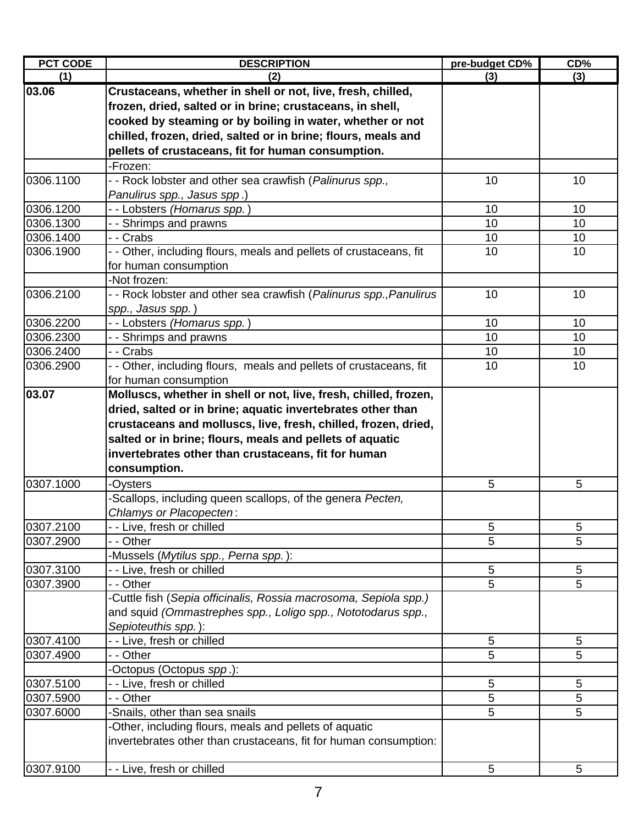| <b>PCT CODE</b> | <b>DESCRIPTION</b>                                                 | pre-budget CD% | CD% |
|-----------------|--------------------------------------------------------------------|----------------|-----|
| (1)             | (2)                                                                | (3)            | (3) |
| 03.06           | Crustaceans, whether in shell or not, live, fresh, chilled,        |                |     |
|                 | frozen, dried, salted or in brine; crustaceans, in shell,          |                |     |
|                 | cooked by steaming or by boiling in water, whether or not          |                |     |
|                 | chilled, frozen, dried, salted or in brine; flours, meals and      |                |     |
|                 | pellets of crustaceans, fit for human consumption.                 |                |     |
|                 | -Frozen:                                                           |                |     |
| 0306.1100       | - - Rock lobster and other sea crawfish (Palinurus spp.,           | 10             | 10  |
|                 | Panulirus spp., Jasus spp.)                                        |                |     |
| 0306.1200       | - - Lobsters (Homarus spp.)                                        | 10             | 10  |
| 0306.1300       | - - Shrimps and prawns                                             | 10             | 10  |
| 0306.1400       | - - Crabs                                                          | 10             | 10  |
| 0306.1900       | - - Other, including flours, meals and pellets of crustaceans, fit | 10             | 10  |
|                 | for human consumption                                              |                |     |
|                 | -Not frozen:                                                       |                |     |
| 0306.2100       | - - Rock lobster and other sea crawfish (Palinurus spp., Panulirus | 10             | 10  |
|                 | spp., Jasus spp.)                                                  |                |     |
| 0306.2200       | - - Lobsters <i>(Homarus spp.</i> )                                | 10             | 10  |
| 0306.2300       | - - Shrimps and prawns                                             | 10             | 10  |
| 0306.2400       | - - Crabs                                                          | 10             | 10  |
| 0306.2900       | - - Other, including flours, meals and pellets of crustaceans, fit | 10             | 10  |
|                 | for human consumption                                              |                |     |
| 03.07           | Molluscs, whether in shell or not, live, fresh, chilled, frozen,   |                |     |
|                 | dried, salted or in brine; aquatic invertebrates other than        |                |     |
|                 | crustaceans and molluscs, live, fresh, chilled, frozen, dried,     |                |     |
|                 | salted or in brine; flours, meals and pellets of aquatic           |                |     |
|                 | invertebrates other than crustaceans, fit for human                |                |     |
|                 | consumption.                                                       |                |     |
| 0307.1000       | -Oysters                                                           | 5              | 5   |
|                 | -Scallops, including queen scallops, of the genera Pecten,         |                |     |
|                 | Chlamys or Placopecten:                                            |                |     |
| 0307.2100       | - - Live, fresh or chilled                                         | 5              | 5   |
| 0307.2900       | - - Other                                                          | 5              | 5   |
|                 | Mussels (Mytilus spp., Perna spp.):                                |                |     |
| 0307.3100       | - - Live, fresh or chilled                                         | 5              | 5   |
| 0307.3900       | - - Other                                                          | 5              | 5   |
|                 | -Cuttle fish (Sepia officinalis, Rossia macrosoma, Sepiola spp.)   |                |     |
|                 | and squid (Ommastrephes spp., Loligo spp., Nototodarus spp.,       |                |     |
|                 | Sepioteuthis spp.):                                                |                |     |
| 0307.4100       | - - Live, fresh or chilled                                         | 5              | 5   |
| 0307.4900       | - - Other                                                          | 5              | 5   |
|                 | -Octopus (Octopus spp.):                                           |                |     |
| 0307.5100       | - - Live, fresh or chilled                                         | 5              | 5   |
| 0307.5900       | - - Other                                                          | 5              | 5   |
| 0307.6000       | -Snails, other than sea snails                                     | 5              | 5   |
|                 | -Other, including flours, meals and pellets of aquatic             |                |     |
|                 | invertebrates other than crustaceans, fit for human consumption:   |                |     |
|                 |                                                                    |                |     |
| 0307.9100       | - - Live, fresh or chilled                                         | 5              | 5   |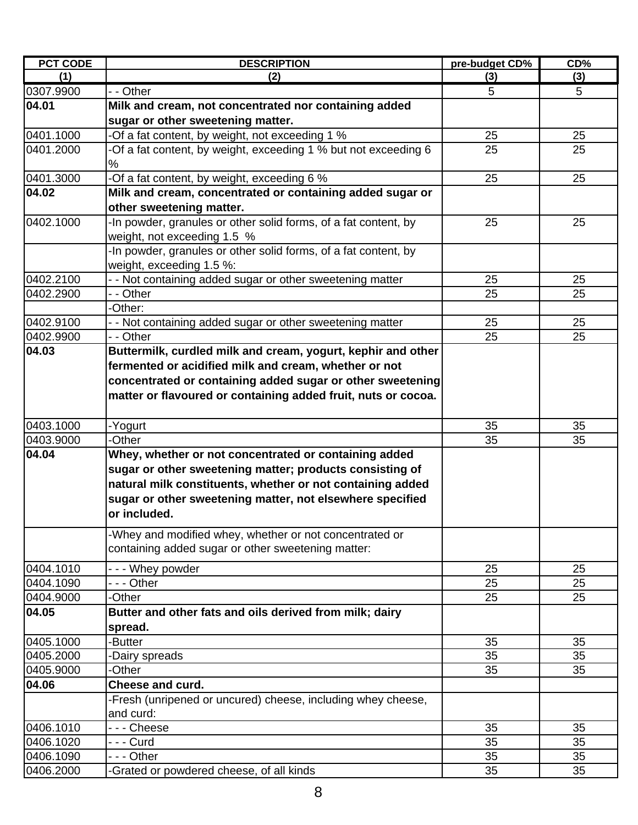| <b>PCT CODE</b> | <b>DESCRIPTION</b>                                              | pre-budget CD% | CD% |
|-----------------|-----------------------------------------------------------------|----------------|-----|
| (1)             | (2)                                                             | (3)            | (3) |
| 0307.9900       | - - Other                                                       | 5              | 5   |
| 04.01           | Milk and cream, not concentrated nor containing added           |                |     |
|                 | sugar or other sweetening matter.                               |                |     |
| 0401.1000       | -Of a fat content, by weight, not exceeding 1 %                 | 25             | 25  |
| 0401.2000       | -Of a fat content, by weight, exceeding 1 % but not exceeding 6 | 25             | 25  |
|                 | %                                                               |                |     |
| 0401.3000       | -Of a fat content, by weight, exceeding 6 %                     | 25             | 25  |
| 04.02           | Milk and cream, concentrated or containing added sugar or       |                |     |
|                 | other sweetening matter.                                        |                |     |
| 0402.1000       | -In powder, granules or other solid forms, of a fat content, by | 25             | 25  |
|                 | weight, not exceeding 1.5 %                                     |                |     |
|                 | -In powder, granules or other solid forms, of a fat content, by |                |     |
|                 | weight, exceeding 1.5 %:                                        |                |     |
| 0402.2100       | - - Not containing added sugar or other sweetening matter       | 25             | 25  |
| 0402.2900       | - - Other                                                       | 25             | 25  |
|                 | -Other:                                                         |                |     |
| 0402.9100       | - - Not containing added sugar or other sweetening matter       | 25             | 25  |
| 0402.9900       | - - Other                                                       | 25             | 25  |
| 04.03           | Buttermilk, curdled milk and cream, yogurt, kephir and other    |                |     |
|                 | fermented or acidified milk and cream, whether or not           |                |     |
|                 | concentrated or containing added sugar or other sweetening      |                |     |
|                 | matter or flavoured or containing added fruit, nuts or cocoa.   |                |     |
|                 |                                                                 |                |     |
| 0403.1000       | -Yogurt                                                         | 35             | 35  |
| 0403.9000       | -Other                                                          | 35             | 35  |
| 04.04           | Whey, whether or not concentrated or containing added           |                |     |
|                 | sugar or other sweetening matter; products consisting of        |                |     |
|                 | natural milk constituents, whether or not containing added      |                |     |
|                 | sugar or other sweetening matter, not elsewhere specified       |                |     |
|                 | or included.                                                    |                |     |
|                 | -Whey and modified whey, whether or not concentrated or         |                |     |
|                 | containing added sugar or other sweetening matter:              |                |     |
|                 |                                                                 |                |     |
| 0404.1010       | --- Whey powder                                                 | 25             | 25  |
| 0404.1090       | - - - Other                                                     | 25             | 25  |
| 0404.9000       | -Other                                                          | 25             | 25  |
| 04.05           | Butter and other fats and oils derived from milk; dairy         |                |     |
|                 | spread.                                                         |                |     |
| 0405.1000       | -Butter                                                         | 35             | 35  |
| 0405.2000       | -Dairy spreads                                                  | 35             | 35  |
| 0405.9000       | -Other                                                          | 35             | 35  |
| 04.06           | <b>Cheese and curd.</b>                                         |                |     |
|                 | -Fresh (unripened or uncured) cheese, including whey cheese,    |                |     |
|                 | and curd:                                                       |                |     |
| 0406.1010       | --- Cheese                                                      | 35             | 35  |
| 0406.1020       | -  -  - Curd                                                    | 35             | 35  |
| 0406.1090       | - - - Other                                                     | 35             | 35  |
| 0406.2000       | -Grated or powdered cheese, of all kinds                        | 35             | 35  |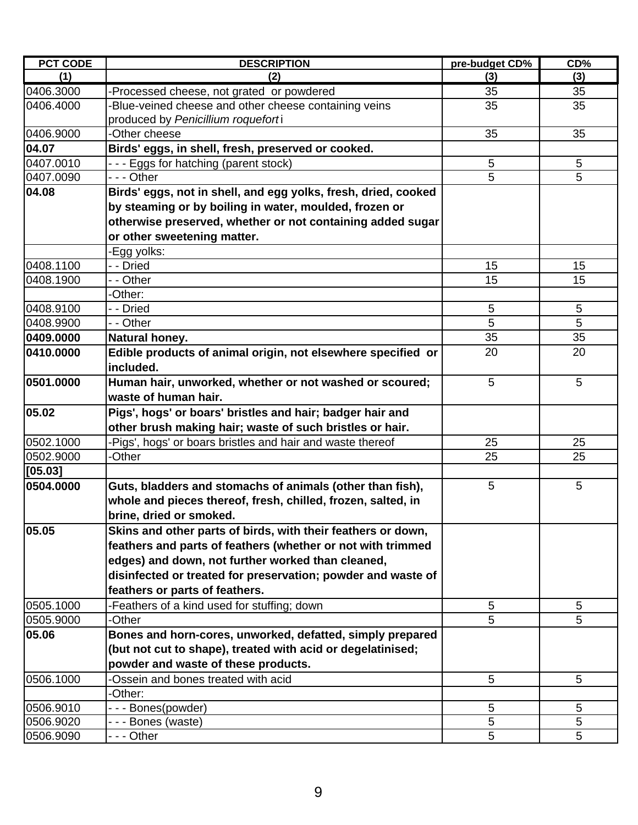| <b>PCT CODE</b> | <b>DESCRIPTION</b>                                             | pre-budget CD% | CD <sub>0</sub> |
|-----------------|----------------------------------------------------------------|----------------|-----------------|
| (1)             | (2)                                                            | (3)            | (3)             |
| 0406.3000       | -Processed cheese, not grated or powdered                      | 35             | 35              |
| 0406.4000       | Blue-veined cheese and other cheese containing veins           | 35             | 35              |
|                 | produced by Penicillium roqueforti                             |                |                 |
| 0406.9000       | -Other cheese                                                  | 35             | 35              |
| 04.07           | Birds' eggs, in shell, fresh, preserved or cooked.             |                |                 |
| 0407.0010       | --- Eggs for hatching (parent stock)                           | 5              | 5               |
| 0407.0090       | - - - Other                                                    | 5              | 5               |
| 04.08           | Birds' eggs, not in shell, and egg yolks, fresh, dried, cooked |                |                 |
|                 | by steaming or by boiling in water, moulded, frozen or         |                |                 |
|                 | otherwise preserved, whether or not containing added sugar     |                |                 |
|                 | or other sweetening matter.                                    |                |                 |
|                 | Egg yolks:                                                     |                |                 |
| 0408.1100       | - - Dried                                                      | 15             | 15              |
| 0408.1900       | - - Other                                                      | 15             | 15              |
|                 | -Other:                                                        |                |                 |
| 0408.9100       | - - Dried                                                      | 5              | $5\phantom{.0}$ |
| 0408.9900       | - - Other                                                      | 5              | 5               |
| 0409.0000       | Natural honey.                                                 | 35             | 35              |
| 0410.0000       | Edible products of animal origin, not elsewhere specified or   | 20             | 20              |
|                 | included.                                                      |                |                 |
| 0501.0000       | Human hair, unworked, whether or not washed or scoured;        | 5              | 5               |
|                 | waste of human hair.                                           |                |                 |
| 05.02           | Pigs', hogs' or boars' bristles and hair; badger hair and      |                |                 |
|                 | other brush making hair; waste of such bristles or hair.       |                |                 |
| 0502.1000       | Pigs', hogs' or boars bristles and hair and waste thereof      | 25             | 25              |
| 0502.9000       | -Other                                                         | 25             | 25              |
| [05.03]         |                                                                |                |                 |
| 0504.0000       | Guts, bladders and stomachs of animals (other than fish),      | 5              | 5               |
|                 | whole and pieces thereof, fresh, chilled, frozen, salted, in   |                |                 |
|                 | brine, dried or smoked.                                        |                |                 |
| 05.05           | Skins and other parts of birds, with their feathers or down,   |                |                 |
|                 | feathers and parts of feathers (whether or not with trimmed    |                |                 |
|                 | edges) and down, not further worked than cleaned,              |                |                 |
|                 | disinfected or treated for preservation; powder and waste of   |                |                 |
|                 | feathers or parts of feathers.                                 |                |                 |
| 0505.1000       | Feathers of a kind used for stuffing; down                     | 5              | 5               |
| 0505.9000       | -Other                                                         | 5              | 5               |
| 05.06           | Bones and horn-cores, unworked, defatted, simply prepared      |                |                 |
|                 | (but not cut to shape), treated with acid or degelatinised;    |                |                 |
|                 | powder and waste of these products.                            |                |                 |
| 0506.1000       | Ossein and bones treated with acid                             | 5              | 5               |
|                 | -Other:                                                        |                |                 |
| 0506.9010       | --- Bones(powder)                                              | 5              | 5               |
| 0506.9020       | --- Bones (waste)                                              | 5              | 5               |
| 0506.9090       | - - - Other                                                    | 5              | 5               |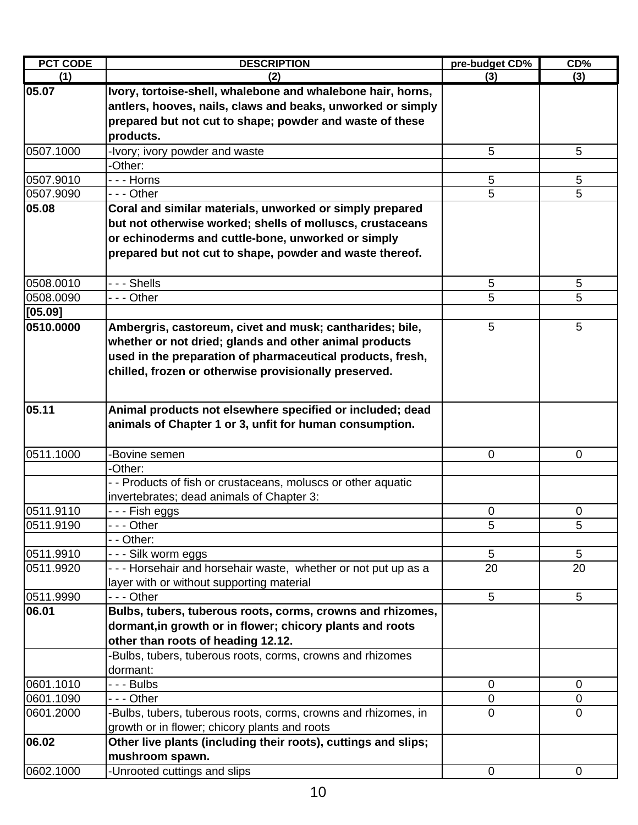| <b>PCT CODE</b> | <b>DESCRIPTION</b>                                             | pre-budget CD% | CD%             |
|-----------------|----------------------------------------------------------------|----------------|-----------------|
| (1)             | (2)                                                            | (3)            | (3)             |
| 05.07           | Ivory, tortoise-shell, whalebone and whalebone hair, horns,    |                |                 |
|                 | antlers, hooves, nails, claws and beaks, unworked or simply    |                |                 |
|                 | prepared but not cut to shape; powder and waste of these       |                |                 |
|                 | products.                                                      |                |                 |
| 0507.1000       | -Ivory; ivory powder and waste                                 | 5              | 5               |
|                 | -Other:                                                        |                |                 |
| 0507.9010       | - - - Horns                                                    | 5              | 5               |
| 0507.9090       | --- Other                                                      | 5              | 5               |
| 05.08           | Coral and similar materials, unworked or simply prepared       |                |                 |
|                 | but not otherwise worked; shells of molluscs, crustaceans      |                |                 |
|                 | or echinoderms and cuttle-bone, unworked or simply             |                |                 |
|                 | prepared but not cut to shape, powder and waste thereof.       |                |                 |
|                 |                                                                |                |                 |
| 0508.0010       | - - - Shells                                                   | 5              | 5               |
| 0508.0090       | - - - Other                                                    | 5              | 5               |
| [05.09]         |                                                                |                |                 |
| 0510.0000       | Ambergris, castoreum, civet and musk; cantharides; bile,       | 5              | 5               |
|                 | whether or not dried; glands and other animal products         |                |                 |
|                 | used in the preparation of pharmaceutical products, fresh,     |                |                 |
|                 | chilled, frozen or otherwise provisionally preserved.          |                |                 |
|                 |                                                                |                |                 |
|                 |                                                                |                |                 |
| 05.11           | Animal products not elsewhere specified or included; dead      |                |                 |
|                 | animals of Chapter 1 or 3, unfit for human consumption.        |                |                 |
|                 |                                                                |                |                 |
| 0511.1000       | -Bovine semen                                                  | $\mathbf 0$    | $\mathbf 0$     |
|                 | -Other:                                                        |                |                 |
|                 | - - Products of fish or crustaceans, moluscs or other aquatic  |                |                 |
|                 | invertebrates; dead animals of Chapter 3:                      |                |                 |
| 0511.9110       | - - - Fish eggs                                                | $\mathbf 0$    | $\mathbf 0$     |
| 0511.9190       | - - - Other                                                    | 5              | 5               |
|                 | - - Other:                                                     |                |                 |
| 0511.9910       | - - - Silk worm eggs                                           | 5              | $5\phantom{.0}$ |
| 0511.9920       | --- Horsehair and horsehair waste, whether or not put up as a  | 20             | 20              |
|                 | layer with or without supporting material                      |                |                 |
| 0511.9990       | --- Other                                                      | 5              | 5               |
| 06.01           | Bulbs, tubers, tuberous roots, corms, crowns and rhizomes,     |                |                 |
|                 | dormant, in growth or in flower; chicory plants and roots      |                |                 |
|                 | other than roots of heading 12.12.                             |                |                 |
|                 | -Bulbs, tubers, tuberous roots, corms, crowns and rhizomes     |                |                 |
|                 | dormant:                                                       |                |                 |
| 0601.1010       | -  -  -  Bulbs                                                 | 0              | 0               |
| 0601.1090       | - - - Other                                                    | 0              | $\mathbf 0$     |
| 0601.2000       | -Bulbs, tubers, tuberous roots, corms, crowns and rhizomes, in | $\mathbf 0$    | $\mathbf 0$     |
|                 | growth or in flower; chicory plants and roots                  |                |                 |
| 06.02           | Other live plants (including their roots), cuttings and slips; |                |                 |
|                 | mushroom spawn.                                                |                |                 |
| 0602.1000       | -Unrooted cuttings and slips                                   | $\mathbf 0$    | $\mathbf 0$     |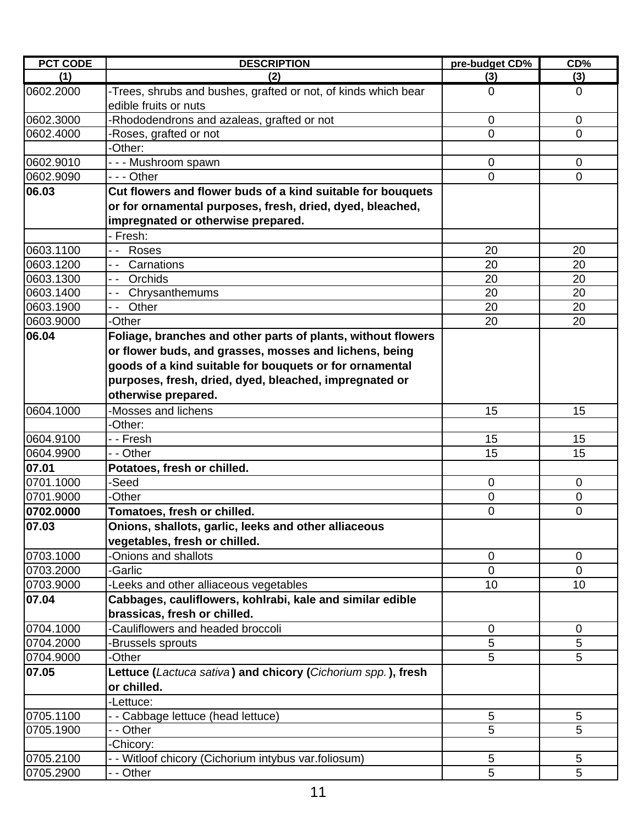| <b>PCT CODE</b> | <b>DESCRIPTION</b>                                                                      | pre-budget CD% | CD%            |
|-----------------|-----------------------------------------------------------------------------------------|----------------|----------------|
| (1)             | (2)                                                                                     | (3)            | (3)            |
| 0602.2000       | -Trees, shrubs and bushes, grafted or not, of kinds which bear<br>edible fruits or nuts | $\mathbf 0$    | $\mathbf 0$    |
| 0602.3000       | -Rhododendrons and azaleas, grafted or not                                              | $\mathbf 0$    | $\mathbf 0$    |
| 0602.4000       | -Roses, grafted or not                                                                  | $\Omega$       | $\Omega$       |
|                 | -Other:                                                                                 |                |                |
| 0602.9010       | - - - Mushroom spawn                                                                    | 0              | 0              |
| 0602.9090       | - - - Other                                                                             | $\overline{0}$ | $\Omega$       |
| 06.03           | Cut flowers and flower buds of a kind suitable for bouquets                             |                |                |
|                 | or for ornamental purposes, fresh, dried, dyed, bleached,                               |                |                |
|                 | impregnated or otherwise prepared.                                                      |                |                |
|                 | - Fresh:                                                                                |                |                |
| 0603.1100       | Roses<br>$ -$                                                                           | 20             | 20             |
| 0603.1200       | Carnations<br>$\overline{\phantom{a}}$                                                  | 20             | 20             |
| 0603.1300       | Orchids<br>$-$                                                                          | 20             | 20             |
| 0603.1400       | Chrysanthemums                                                                          | 20             | 20             |
| 0603.1900       | Other<br>$-$                                                                            | 20             | 20             |
| 0603.9000       | -Other                                                                                  | 20             | 20             |
| 06.04           | Foliage, branches and other parts of plants, without flowers                            |                |                |
|                 | or flower buds, and grasses, mosses and lichens, being                                  |                |                |
|                 | goods of a kind suitable for bouquets or for ornamental                                 |                |                |
|                 | purposes, fresh, dried, dyed, bleached, impregnated or                                  |                |                |
|                 | otherwise prepared.                                                                     |                |                |
| 0604.1000       | -Mosses and lichens                                                                     | 15             | 15             |
|                 | -Other:                                                                                 |                |                |
| 0604.9100       | - - Fresh                                                                               | 15             | 15             |
| 0604.9900       | - - Other                                                                               | 15             | 15             |
| 07.01           | Potatoes, fresh or chilled.                                                             |                |                |
| 0701.1000       | -Seed                                                                                   | $\mathbf 0$    | $\mathbf 0$    |
| 0701.9000       | -Other                                                                                  | $\overline{0}$ | $\overline{0}$ |
| 0702.0000       | Tomatoes, fresh or chilled.                                                             | $\mathbf 0$    | $\mathbf 0$    |
| 07.03           | Onions, shallots, garlic, leeks and other alliaceous<br>vegetables, fresh or chilled.   |                |                |
| 0703.1000       | -Onions and shallots                                                                    | $\mathbf 0$    | $\mathbf 0$    |
| 0703.2000       | -Garlic                                                                                 | $\Omega$       | $\Omega$       |
| 0703.9000       | -Leeks and other alliaceous vegetables                                                  | 10             | 10             |
| 07.04           | Cabbages, cauliflowers, kohlrabi, kale and similar edible                               |                |                |
|                 | brassicas, fresh or chilled.                                                            |                |                |
| 0704.1000       | -Cauliflowers and headed broccoli                                                       | $\overline{0}$ | $\mathbf 0$    |
| 0704.2000       | Brussels sprouts                                                                        | 5              | 5              |
| 0704.9000       | -Other                                                                                  | 5              | 5              |
| 07.05           | Lettuce (Lactuca sativa) and chicory (Cichorium spp.), fresh                            |                |                |
|                 | or chilled.                                                                             |                |                |
|                 | -Lettuce:                                                                               |                |                |
| 0705.1100       | - - Cabbage lettuce (head lettuce)                                                      | 5              | 5              |
| 0705.1900       | - - Other                                                                               | 5              | 5              |
|                 | -Chicory:                                                                               |                |                |
| 0705.2100       | - - Witloof chicory<br>(Cichorium intybus var.foliosum)                                 | 5              | 5              |
| 0705.2900       | - - Other                                                                               | 5              | 5              |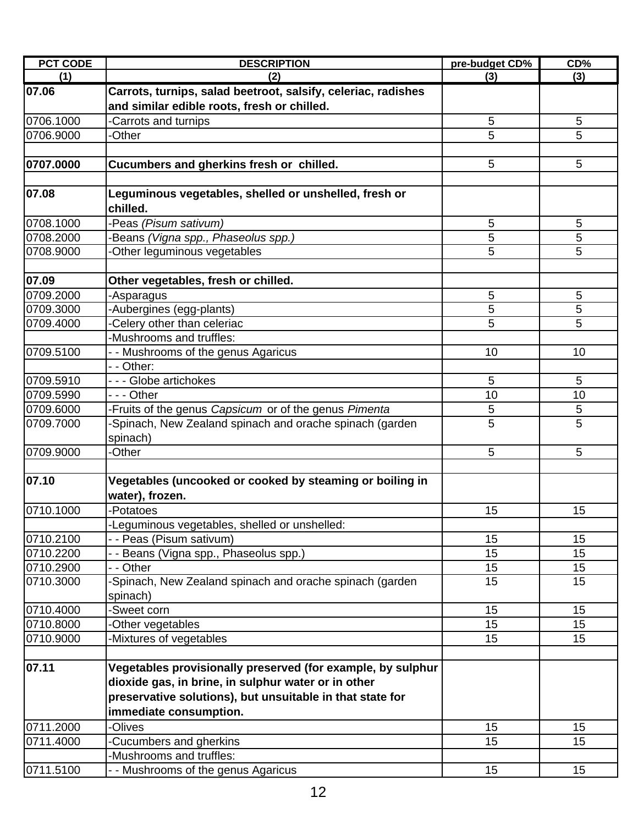| <b>PCT CODE</b>        | <b>DESCRIPTION</b>                                            | pre-budget CD% | CD%      |
|------------------------|---------------------------------------------------------------|----------------|----------|
| (1)                    | (2)                                                           | (3)            | (3)      |
| 07.06                  | Carrots, turnips, salad beetroot, salsify, celeriac, radishes |                |          |
|                        | and similar edible roots, fresh or chilled.                   |                |          |
| 0706.1000              | Carrots and turnips                                           | 5              | 5        |
| 0706.9000              | -Other                                                        | 5              | 5        |
|                        |                                                               |                |          |
| 0707.0000              | Cucumbers and gherkins fresh or chilled.                      | 5              | 5        |
|                        |                                                               |                |          |
| 07.08                  | Leguminous vegetables, shelled or unshelled, fresh or         |                |          |
|                        | chilled.                                                      |                |          |
| 0708.1000              | Peas (Pisum sativum)                                          | 5              | 5        |
| 0708.2000              | Beans (Vigna spp., Phaseolus spp.)                            | 5              | 5        |
| 0708.9000              | Other leguminous vegetables                                   | 5              | 5        |
|                        |                                                               |                |          |
| 07.09                  | Other vegetables, fresh or chilled.                           |                |          |
| 0709.2000              | -Asparagus                                                    | 5              | 5        |
| 0709.3000              | Aubergines (egg-plants)                                       | 5              | 5        |
| 0709.4000              | Celery other than celeriac                                    | 5              | 5        |
|                        | -Mushrooms and truffles:                                      |                |          |
| 0709.5100              | - - Mushrooms of the genus Agaricus                           | 10             | 10       |
|                        | - - Other:                                                    |                |          |
| 0709.5910              | --- Globe artichokes                                          | 5              | 5        |
| 0709.5990              | - - - Other                                                   | 10             | 10       |
| 0709.6000              | Fruits of the genus Capsicum or of the genus Pimenta          | 5              | 5        |
| 0709.7000              | -Spinach, New Zealand spinach and orache spinach (garden      | 5              | 5        |
|                        | spinach)                                                      |                |          |
| 0709.9000              | -Other                                                        | 5              | 5        |
|                        |                                                               |                |          |
| 07.10                  | Vegetables (uncooked or cooked by steaming or boiling in      |                |          |
|                        | water), frozen.                                               |                |          |
| 0710.1000              | -Potatoes                                                     | 15             | 15       |
|                        | -Leguminous vegetables, shelled or unshelled:                 |                |          |
| 0710.2100              | - - Peas (Pisum sativum)                                      | 15             | 15       |
| 0710.2200              | - Beans (Vigna spp., Phaseolus spp.)                          | 15             | 15       |
| 0710.2900              | - - Other                                                     | 15             | 15       |
| 0710.3000              | -Spinach, New Zealand spinach and orache spinach (garden      | 15             | 15       |
|                        | spinach)<br>-Sweet corn                                       | 15             | 15       |
| 0710.4000<br>0710.8000 |                                                               |                |          |
| 0710.9000              | Other vegetables                                              | 15<br>15       | 15<br>15 |
|                        | -Mixtures of vegetables                                       |                |          |
| 07.11                  | Vegetables provisionally preserved (for example, by sulphur   |                |          |
|                        | dioxide gas, in brine, in sulphur water or in other           |                |          |
|                        | preservative solutions), but unsuitable in that state for     |                |          |
|                        |                                                               |                |          |
|                        | immediate consumption.<br><b>Olives</b>                       |                |          |
| 0711.2000              |                                                               | 15<br>15       | 15<br>15 |
| 0711.4000              | -Cucumbers and gherkins<br>Mushrooms and truffles:            |                |          |
|                        |                                                               |                |          |
| 0711.5100              | - - Mushrooms of the genus Agaricus                           | 15             | 15       |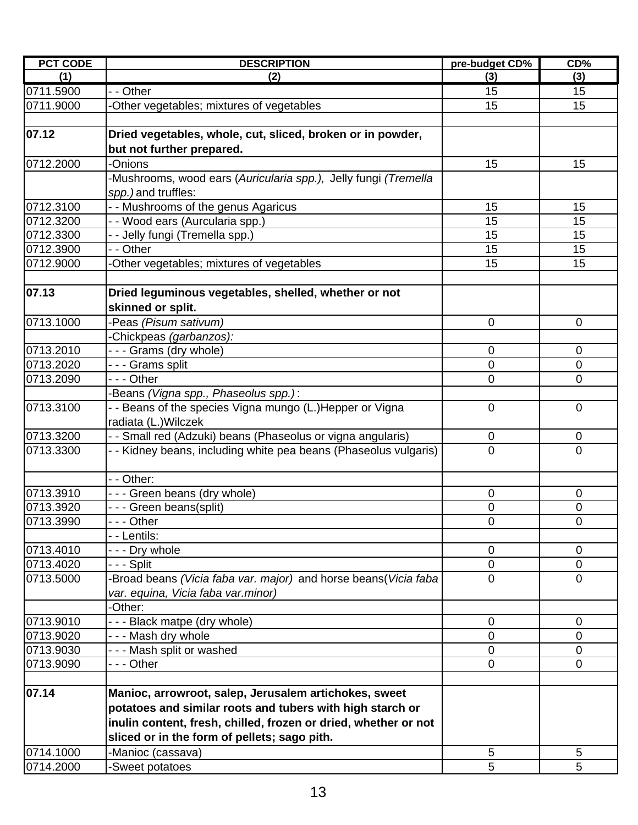| <b>PCT CODE</b> | <b>DESCRIPTION</b>                                               | pre-budget CD% | CD%            |
|-----------------|------------------------------------------------------------------|----------------|----------------|
| (1)             | (2)                                                              | (3)            | (3)            |
| 0711.5900       | - - Other                                                        | 15             | 15             |
| 0711.9000       | Other vegetables; mixtures of vegetables                         | 15             | 15             |
|                 |                                                                  |                |                |
| 07.12           | Dried vegetables, whole, cut, sliced, broken or in powder,       |                |                |
|                 | but not further prepared.                                        |                |                |
| 0712.2000       | -Onions                                                          | 15             | 15             |
|                 | -Mushrooms, wood ears (Auricularia spp.), Jelly fungi (Tremella  |                |                |
|                 | spp.) and truffles:                                              |                |                |
| 0712.3100       | - - Mushrooms of the genus Agaricus                              | 15             | 15             |
| 0712.3200       | - - Wood ears (Aurcularia spp.)                                  | 15             | 15             |
| 0712.3300       | - - Jelly fungi (Tremella spp.)                                  | 15             | 15             |
| 0712.3900       | - - Other                                                        | 15             | 15             |
| 0712.9000       | Other vegetables; mixtures of vegetables                         | 15             | 15             |
|                 |                                                                  |                |                |
| 07.13           | Dried leguminous vegetables, shelled, whether or not             |                |                |
|                 | skinned or split.                                                |                |                |
| 0713.1000       | -Peas (Pisum sativum)                                            | $\overline{0}$ | $\mathbf 0$    |
|                 | Chickpeas (garbanzos):                                           |                |                |
| 0713.2010       | --- Grams (dry whole)                                            | 0              | $\mathbf 0$    |
| 0713.2020       | - - - Grams split                                                | 0              | $\mathbf 0$    |
| 0713.2090       | - - - Other                                                      | $\overline{0}$ | $\overline{0}$ |
|                 | Beans (Vigna spp., Phaseolus spp.):                              |                |                |
| 0713.3100       | - - Beans of the species Vigna mungo (L.)Hepper or Vigna         | $\mathbf 0$    | $\mathbf 0$    |
|                 | radiata (L.) Wilczek                                             |                |                |
| 0713.3200       | - - Small red (Adzuki) beans (Phaseolus or vigna angularis)      | 0              | $\mathbf 0$    |
| 0713.3300       | - - Kidney beans, including white pea beans (Phaseolus vulgaris) | $\Omega$       | $\Omega$       |
|                 |                                                                  |                |                |
|                 | - - Other:                                                       |                |                |
| 0713.3910       | --- Green beans (dry whole)                                      | $\mathbf 0$    | $\mathbf 0$    |
| 0713.3920       | - - - Green beans(split)                                         | $\mathbf 0$    | 0              |
| 0713.3990       | - - - Other                                                      | $\mathbf 0$    | $\overline{0}$ |
|                 | - - Lentils:                                                     |                |                |
| 0713.4010       | - - - Dry whole                                                  | 0              | $\mathbf 0$    |
| 0713.4020       | -  -  - Split                                                    | $\mathbf 0$    | 0              |
| 0713.5000       | Broad beans (Vicia faba var. major) and horse beans (Vicia faba  | $\Omega$       | $\overline{0}$ |
|                 | var. equina, Vicia faba var.minor)                               |                |                |
|                 | -Other:                                                          |                |                |
| 0713.9010       | - - - Black matpe (dry whole)                                    | $\mathbf 0$    | $\mathbf 0$    |
| 0713.9020       | --- Mash dry whole                                               | $\overline{0}$ | $\overline{0}$ |
| 0713.9030       | --- Mash split or washed                                         | $\mathbf 0$    | $\mathbf 0$    |
| 0713.9090       | - - - Other                                                      | $\mathbf 0$    | $\mathbf 0$    |
|                 |                                                                  |                |                |
| 07.14           | Manioc, arrowroot, salep, Jerusalem artichokes, sweet            |                |                |
|                 | potatoes and similar roots and tubers with high starch or        |                |                |
|                 | inulin content, fresh, chilled, frozen or dried, whether or not  |                |                |
|                 | sliced or in the form of pellets; sago pith.                     |                |                |
| 0714.1000       |                                                                  |                |                |
|                 | -Manioc (cassava)                                                | 5              | 5              |
| 0714.2000       | -Sweet potatoes                                                  | 5              | 5              |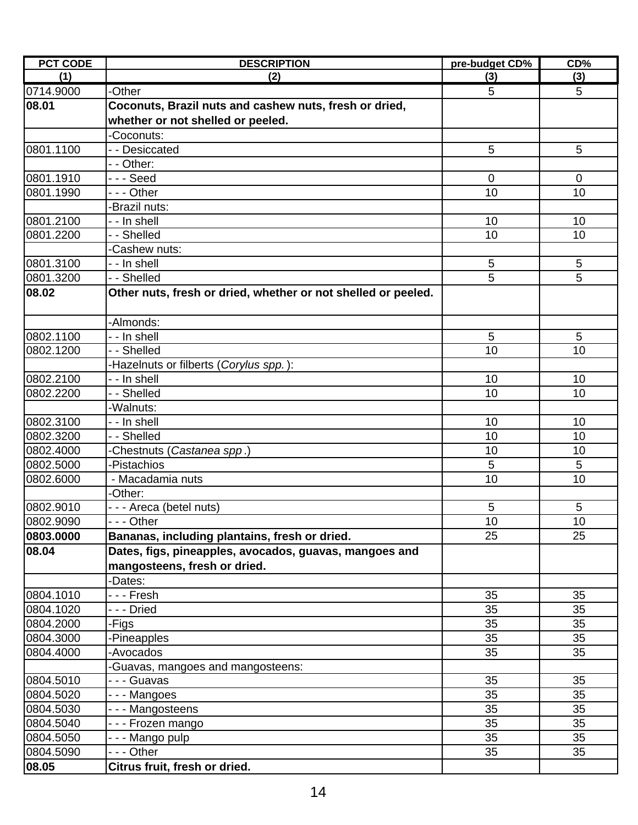| <b>PCT CODE</b> | <b>DESCRIPTION</b>                                            | pre-budget CD% | CD%            |
|-----------------|---------------------------------------------------------------|----------------|----------------|
| (1)             | (2)                                                           | (3)            | (3)            |
| 0714.9000       | -Other                                                        | 5              | 5              |
| 08.01           | Coconuts, Brazil nuts and cashew nuts, fresh or dried,        |                |                |
|                 | whether or not shelled or peeled.                             |                |                |
|                 | -Coconuts:                                                    |                |                |
| 0801.1100       | - - Desiccated                                                | 5              | 5              |
|                 | - - Other:                                                    |                |                |
| 0801.1910       | $-$ - Seed                                                    | $\overline{0}$ | $\mathbf 0$    |
| 0801.1990       | --- Other                                                     | 10             | 10             |
|                 | Brazil nuts:                                                  |                |                |
| 0801.2100       | - - In shell                                                  | 10             | 10             |
| 0801.2200       | - - Shelled                                                   | 10             | 10             |
|                 | -Cashew nuts:                                                 |                |                |
| 0801.3100       | - - In shell                                                  | 5              | 5              |
| 0801.3200       | - - Shelled                                                   | $\overline{5}$ | $\overline{5}$ |
| 08.02           | Other nuts, fresh or dried, whether or not shelled or peeled. |                |                |
|                 | -Almonds:                                                     |                |                |
| 0802.1100       | - - In shell                                                  | 5              | 5              |
| 0802.1200       | - - Shelled                                                   | 10             | 10             |
|                 | -Hazelnuts or filberts (Corylus spp.):                        |                |                |
| 0802.2100       | - - In shell                                                  | 10             | 10             |
| 0802.2200       | - - Shelled                                                   | 10             | 10             |
|                 | -Walnuts:                                                     |                |                |
| 0802.3100       | - - In shell                                                  | 10             | 10             |
| 0802.3200       | - - Shelled                                                   | 10             | 10             |
| 0802.4000       | Chestnuts (Castanea spp.)                                     | 10             | 10             |
| 0802.5000       | -Pistachios                                                   | 5              | 5              |
| 0802.6000       | - Macadamia nuts                                              | 10             | 10             |
|                 | -Other:                                                       |                |                |
| 0802.9010       | - - - Areca (betel nuts)                                      | 5              | 5              |
| 0802.9090       | - - Other                                                     | $10$           | 10             |
| 0803.0000       | Bananas, including plantains, fresh or dried.                 | 25             | 25             |
| 08.04           | Dates, figs, pineapples, avocados, guavas, mangoes and        |                |                |
|                 | mangosteens, fresh or dried.                                  |                |                |
|                 | -Dates:                                                       |                |                |
| 0804.1010       | - - - Fresh                                                   | 35             | 35             |
| 0804.1020       | --- Dried                                                     | 35             | 35             |
| 0804.2000       | -Figs                                                         | 35             | 35             |
| 0804.3000       | -Pineapples                                                   | 35             | 35             |
| 0804.4000       | -Avocados                                                     | 35             | 35             |
|                 | -Guavas, mangoes and mangosteens:                             |                |                |
| 0804.5010       | - - - Guavas                                                  | 35             | 35             |
| 0804.5020       | --- Mangoes                                                   | 35             | 35             |
| 0804.5030       | --- Mangosteens                                               | 35             | 35             |
| 0804.5040       | - - - Frozen mango                                            | 35             | 35             |
| 0804.5050       | - - - Mango pulp                                              | 35             | 35             |
| 0804.5090       | --- Other                                                     | 35             | 35             |
| 08.05           | Citrus fruit, fresh or dried.                                 |                |                |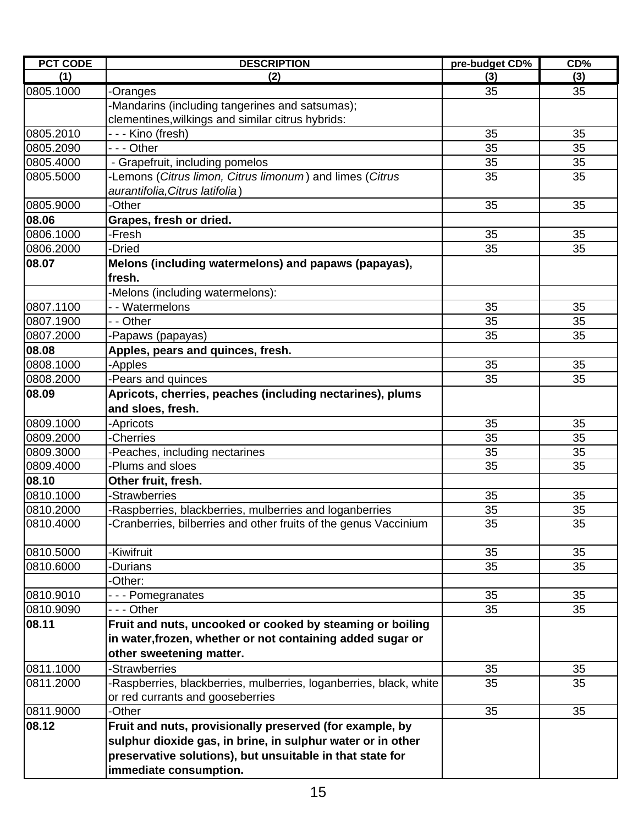| <b>PCT CODE</b> | <b>DESCRIPTION</b>                                                 | pre-budget CD% | CD% |
|-----------------|--------------------------------------------------------------------|----------------|-----|
| (1)             | (2)                                                                | (3)            | (3) |
| 0805.1000       | -Oranges                                                           | 35             | 35  |
|                 | Mandarins (including tangerines and satsumas);                     |                |     |
|                 | clementines, wilkings and similar citrus hybrids:                  |                |     |
| 0805.2010       | - - - Kino (fresh)                                                 | 35             | 35  |
| 0805.2090       | --- Other                                                          | 35             | 35  |
| 0805.4000       | - Grapefruit, including pomelos                                    | 35             | 35  |
| 0805.5000       | -Lemons (Citrus limon, Citrus limonum) and limes (Citrus           | 35             | 35  |
|                 | aurantifolia, Citrus latifolia)                                    |                |     |
| 0805.9000       | -Other                                                             | 35             | 35  |
| 08.06           | Grapes, fresh or dried.                                            |                |     |
| 0806.1000       | -Fresh                                                             | 35             | 35  |
| 0806.2000       | -Dried                                                             | 35             | 35  |
| 08.07           | Melons (including watermelons) and papaws (papayas),               |                |     |
|                 | fresh.                                                             |                |     |
|                 | -Melons (including watermelons):                                   |                |     |
| 0807.1100       | - - Watermelons                                                    | 35             | 35  |
| 0807.1900       | - - Other                                                          | 35             | 35  |
| 0807.2000       | -Papaws (papayas)                                                  | 35             | 35  |
| 08.08           | Apples, pears and quinces, fresh.                                  |                |     |
| 0808.1000       | -Apples                                                            | 35             | 35  |
| 0808.2000       | -Pears and quinces                                                 | 35             | 35  |
| 08.09           | Apricots, cherries, peaches (including nectarines), plums          |                |     |
|                 | and sloes, fresh.                                                  |                |     |
| 0809.1000       | -Apricots                                                          | 35             | 35  |
| 0809.2000       | <b>Cherries</b>                                                    | 35             | 35  |
| 0809.3000       | -Peaches, including nectarines                                     | 35             | 35  |
| 0809.4000       | -Plums and sloes                                                   | 35             | 35  |
| 08.10           | Other fruit, fresh.                                                |                |     |
| 0810.1000       | -Strawberries                                                      | 35             | 35  |
| 0810.2000       | -Raspberries, blackberries, mulberries and loganberries            | 35             | 35  |
| 0810.4000       | -Cranberries, bilberries and other fruits of the genus Vaccinium   | 35             | 35  |
|                 |                                                                    |                |     |
| 0810.5000       | -Kiwifruit                                                         | 35             | 35  |
| 0810.6000       | -Durians                                                           | 35             | 35  |
|                 | -Other:                                                            |                |     |
| 0810.9010       | --- Pomegranates                                                   | 35             | 35  |
| 0810.9090       | --- Other                                                          | 35             | 35  |
| 08.11           | Fruit and nuts, uncooked or cooked by steaming or boiling          |                |     |
|                 | in water, frozen, whether or not containing added sugar or         |                |     |
|                 | other sweetening matter.                                           |                |     |
| 0811.1000       | -Strawberries                                                      | 35             | 35  |
| 0811.2000       | -Raspberries, blackberries, mulberries, loganberries, black, white | 35             | 35  |
|                 | or red currants and gooseberries                                   |                |     |
| 0811.9000       | -Other                                                             | 35             | 35  |
| 08.12           | Fruit and nuts, provisionally preserved (for example, by           |                |     |
|                 | sulphur dioxide gas, in brine, in sulphur water or in other        |                |     |
|                 | preservative solutions), but unsuitable in that state for          |                |     |
|                 | immediate consumption.                                             |                |     |
|                 |                                                                    |                |     |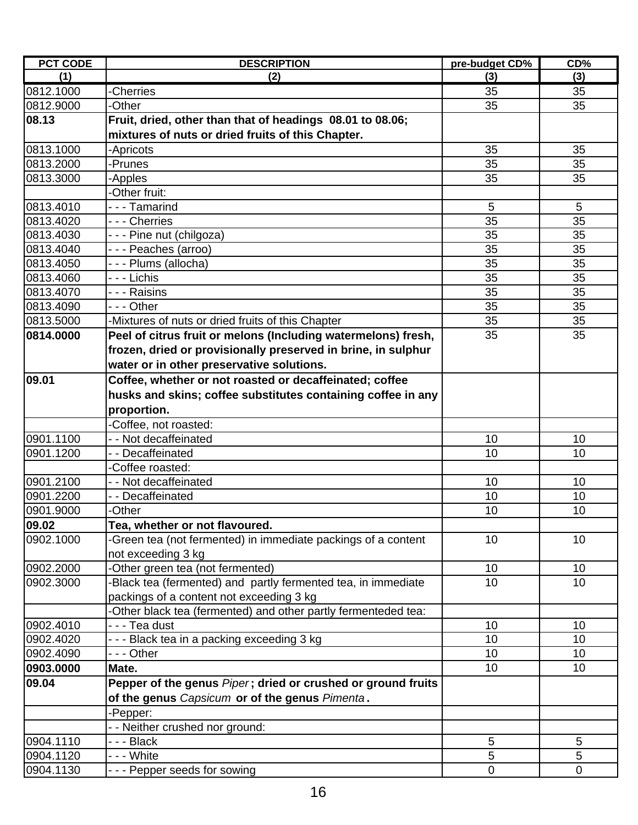| <b>PCT CODE</b> | <b>DESCRIPTION</b>                                            | pre-budget CD% | CD%         |
|-----------------|---------------------------------------------------------------|----------------|-------------|
| (1)             | (2)                                                           | (3)            | (3)         |
| 0812.1000       | -Cherries                                                     | 35             | 35          |
| 0812.9000       | <b>Other</b>                                                  | 35             | 35          |
| 08.13           | Fruit, dried, other than that of headings 08.01 to 08.06;     |                |             |
|                 | mixtures of nuts or dried fruits of this Chapter.             |                |             |
| 0813.1000       | -Apricots                                                     | 35             | 35          |
| 0813.2000       | -Prunes                                                       | 35             | 35          |
| 0813.3000       | -Apples                                                       | 35             | 35          |
|                 | -Other fruit:                                                 |                |             |
| 0813.4010       | --- Tamarind                                                  | 5              | 5           |
| 0813.4020       | - - - Cherries                                                | 35             | 35          |
| 0813.4030       | - - - Pine nut (chilgoza)                                     | 35             | 35          |
| 0813.4040       | --- Peaches (arroo)                                           | 35             | 35          |
| 0813.4050       | - - - Plums (allocha)                                         | 35             | 35          |
| 0813.4060       | $\overline{-}$ - Lichis                                       | 35             | 35          |
| 0813.4070       | - - - Raisins                                                 | 35             | 35          |
| 0813.4090       | --- Other                                                     | 35             | 35          |
| 0813.5000       | -Mixtures of nuts or dried fruits of this Chapter             | 35             | 35          |
| 0814.0000       | Peel of citrus fruit or melons (Including watermelons) fresh, | 35             | 35          |
|                 | frozen, dried or provisionally preserved in brine, in sulphur |                |             |
|                 | water or in other preservative solutions.                     |                |             |
| 09.01           | Coffee, whether or not roasted or decaffeinated; coffee       |                |             |
|                 | husks and skins; coffee substitutes containing coffee in any  |                |             |
|                 | proportion.                                                   |                |             |
|                 | Coffee, not roasted:                                          |                |             |
| 0901.1100       | - - Not decaffeinated                                         | 10             | 10          |
| 0901.1200       | -- Decaffeinated                                              | 10             | 10          |
|                 | Coffee roasted:                                               |                |             |
| 0901.2100       | - - Not decaffeinated                                         | 10             | 10          |
| 0901.2200       | - - Decaffeinated                                             | 10             | 10          |
| 0901.9000       | -Other                                                        | 10             | 10          |
| 09.02           | Tea, whether or not flavoured.                                |                |             |
| 0902.1000       | -Green tea (not fermented) in immediate packings of a content | 10             | 10          |
|                 | not exceeding 3 kg                                            |                |             |
| 0902.2000       | Other green tea (not fermented)                               | 10             | 10          |
| 0902.3000       | Black tea (fermented) and partly fermented tea, in immediate  | 10             | 10          |
|                 | packings of a content not exceeding 3 kg                      |                |             |
|                 | Other black tea (fermented) and other partly fermenteded tea: |                |             |
| 0902.4010       | - - - Tea dust                                                | 10             | 10          |
| 0902.4020       | - - - Black tea in a packing exceeding 3 kg                   | 10             | 10          |
| 0902.4090       | --- Other                                                     | 10             | 10          |
| 0903.0000       | Mate.                                                         | 10             | 10          |
| 09.04           | Pepper of the genus Piper; dried or crushed or ground fruits  |                |             |
|                 | of the genus Capsicum or of the genus Pimenta.                |                |             |
|                 | -Pepper:                                                      |                |             |
|                 | - Neither crushed nor ground:                                 |                |             |
| 0904.1110       | --- Black                                                     | 5              | 5           |
| 0904.1120       | - - - White                                                   | 5              | 5           |
| 0904.1130       | --- Pepper seeds for sowing                                   | $\mathbf 0$    | $\mathbf 0$ |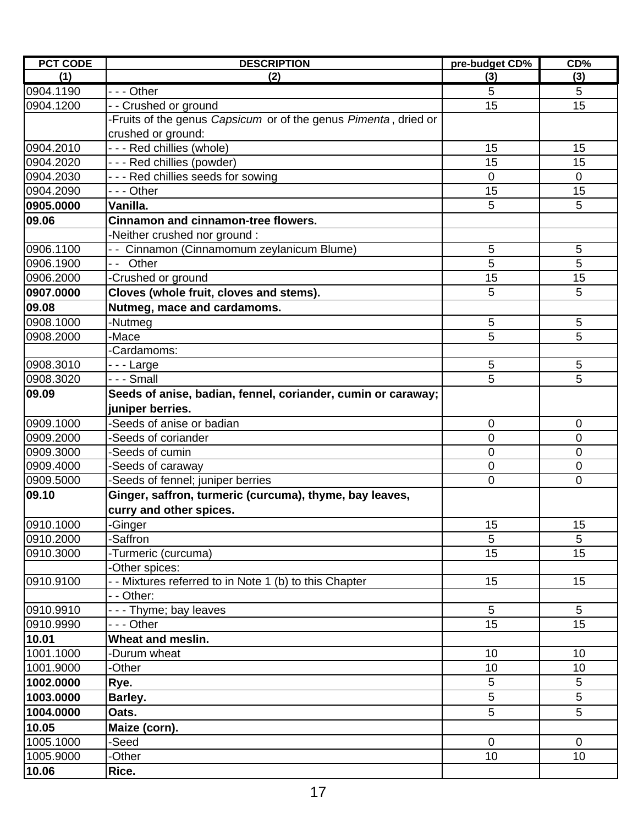| (1)<br>(2)<br>(3)<br>(3)<br>$- -$ - Other<br>5<br>5<br>15<br>15<br>-- Crushed or ground<br>-Fruits of the genus Capsicum or of the genus Pimenta, dried or<br>crushed or ground:<br>--- Red chillies (whole)<br>15<br>15<br>15<br>--- Red chillies (powder)<br>15<br>--- Red chillies seeds for sowing<br>$\overline{0}$<br>$\mathbf 0$<br>15<br>15<br>--- Other<br>5<br>5<br>Vanilla.<br><b>Cinnamon and cinnamon-tree flowers.</b><br>-Neither crushed nor ground:<br>5<br>- - Cinnamon (Cinnamomum zeylanicum Blume)<br>5<br>5<br>5<br>-- Other<br>15<br>-Crushed or ground<br>15<br>5<br>Cloves (whole fruit, cloves and stems).<br>5<br>Nutmeg, mace and cardamoms.<br>5<br>5<br>-Nutmeg<br>5<br>5<br>0908.2000<br>-Mace<br>Cardamoms:<br>0908.3010<br>5<br>5<br>- - - Large<br>5<br>5<br>- - - Small<br>Seeds of anise, badian, fennel, coriander, cumin or caraway;<br>juniper berries.<br>0909.1000<br>-Seeds of anise or badian<br>0<br>$\overline{0}$<br>0909.2000<br>0<br>$\mathbf 0$<br>-Seeds of coriander<br>-Seeds of cumin<br>0<br>$\mathbf 0$<br>-Seeds of caraway<br>0<br>$\mathbf 0$<br>Seeds of fennel; juniper berries<br>0<br>0<br>Ginger, saffron, turmeric (curcuma), thyme, bay leaves,<br>curry and other spices.<br>0910.1000<br>-Ginger<br>15<br>15<br>5<br>5<br>-Saffron<br>0910.2000<br>0910.3000<br>15<br>15<br>-Turmeric (curcuma)<br>-Other spices:<br>15<br>- Mixtures referred to in Note 1 (b) to this Chapter<br>15<br>- - Other:<br>--- Thyme; bay leaves<br>5<br>5<br>15<br>15<br>--- Other<br>Wheat and meslin.<br>10.01<br>1001.1000<br>Durum wheat<br>10<br>10<br>1001.9000<br>-Other<br>10<br>10<br>5<br>5<br>1002.0000<br>Rye.<br>$\overline{5}$<br>5<br>1003.0000<br>Barley.<br>5<br>5<br>1004.0000<br>Oats.<br>10.05<br>Maize (corn).<br>1005.1000<br>-Seed<br>$\overline{0}$<br>$\overline{0}$ | <b>PCT CODE</b> | <b>DESCRIPTION</b> | pre-budget CD% | CD% |
|-----------------------------------------------------------------------------------------------------------------------------------------------------------------------------------------------------------------------------------------------------------------------------------------------------------------------------------------------------------------------------------------------------------------------------------------------------------------------------------------------------------------------------------------------------------------------------------------------------------------------------------------------------------------------------------------------------------------------------------------------------------------------------------------------------------------------------------------------------------------------------------------------------------------------------------------------------------------------------------------------------------------------------------------------------------------------------------------------------------------------------------------------------------------------------------------------------------------------------------------------------------------------------------------------------------------------------------------------------------------------------------------------------------------------------------------------------------------------------------------------------------------------------------------------------------------------------------------------------------------------------------------------------------------------------------------------------------------------------------------------------------------------------------------------------------------------------------------------|-----------------|--------------------|----------------|-----|
|                                                                                                                                                                                                                                                                                                                                                                                                                                                                                                                                                                                                                                                                                                                                                                                                                                                                                                                                                                                                                                                                                                                                                                                                                                                                                                                                                                                                                                                                                                                                                                                                                                                                                                                                                                                                                                               |                 |                    |                |     |
|                                                                                                                                                                                                                                                                                                                                                                                                                                                                                                                                                                                                                                                                                                                                                                                                                                                                                                                                                                                                                                                                                                                                                                                                                                                                                                                                                                                                                                                                                                                                                                                                                                                                                                                                                                                                                                               | 0904.1190       |                    |                |     |
|                                                                                                                                                                                                                                                                                                                                                                                                                                                                                                                                                                                                                                                                                                                                                                                                                                                                                                                                                                                                                                                                                                                                                                                                                                                                                                                                                                                                                                                                                                                                                                                                                                                                                                                                                                                                                                               | 0904.1200       |                    |                |     |
|                                                                                                                                                                                                                                                                                                                                                                                                                                                                                                                                                                                                                                                                                                                                                                                                                                                                                                                                                                                                                                                                                                                                                                                                                                                                                                                                                                                                                                                                                                                                                                                                                                                                                                                                                                                                                                               |                 |                    |                |     |
|                                                                                                                                                                                                                                                                                                                                                                                                                                                                                                                                                                                                                                                                                                                                                                                                                                                                                                                                                                                                                                                                                                                                                                                                                                                                                                                                                                                                                                                                                                                                                                                                                                                                                                                                                                                                                                               |                 |                    |                |     |
|                                                                                                                                                                                                                                                                                                                                                                                                                                                                                                                                                                                                                                                                                                                                                                                                                                                                                                                                                                                                                                                                                                                                                                                                                                                                                                                                                                                                                                                                                                                                                                                                                                                                                                                                                                                                                                               | 0904.2010       |                    |                |     |
|                                                                                                                                                                                                                                                                                                                                                                                                                                                                                                                                                                                                                                                                                                                                                                                                                                                                                                                                                                                                                                                                                                                                                                                                                                                                                                                                                                                                                                                                                                                                                                                                                                                                                                                                                                                                                                               | 0904.2020       |                    |                |     |
|                                                                                                                                                                                                                                                                                                                                                                                                                                                                                                                                                                                                                                                                                                                                                                                                                                                                                                                                                                                                                                                                                                                                                                                                                                                                                                                                                                                                                                                                                                                                                                                                                                                                                                                                                                                                                                               | 0904.2030       |                    |                |     |
|                                                                                                                                                                                                                                                                                                                                                                                                                                                                                                                                                                                                                                                                                                                                                                                                                                                                                                                                                                                                                                                                                                                                                                                                                                                                                                                                                                                                                                                                                                                                                                                                                                                                                                                                                                                                                                               | 0904.2090       |                    |                |     |
|                                                                                                                                                                                                                                                                                                                                                                                                                                                                                                                                                                                                                                                                                                                                                                                                                                                                                                                                                                                                                                                                                                                                                                                                                                                                                                                                                                                                                                                                                                                                                                                                                                                                                                                                                                                                                                               | 0905.0000       |                    |                |     |
|                                                                                                                                                                                                                                                                                                                                                                                                                                                                                                                                                                                                                                                                                                                                                                                                                                                                                                                                                                                                                                                                                                                                                                                                                                                                                                                                                                                                                                                                                                                                                                                                                                                                                                                                                                                                                                               | 09.06           |                    |                |     |
|                                                                                                                                                                                                                                                                                                                                                                                                                                                                                                                                                                                                                                                                                                                                                                                                                                                                                                                                                                                                                                                                                                                                                                                                                                                                                                                                                                                                                                                                                                                                                                                                                                                                                                                                                                                                                                               |                 |                    |                |     |
|                                                                                                                                                                                                                                                                                                                                                                                                                                                                                                                                                                                                                                                                                                                                                                                                                                                                                                                                                                                                                                                                                                                                                                                                                                                                                                                                                                                                                                                                                                                                                                                                                                                                                                                                                                                                                                               | 0906.1100       |                    |                |     |
|                                                                                                                                                                                                                                                                                                                                                                                                                                                                                                                                                                                                                                                                                                                                                                                                                                                                                                                                                                                                                                                                                                                                                                                                                                                                                                                                                                                                                                                                                                                                                                                                                                                                                                                                                                                                                                               | 0906.1900       |                    |                |     |
|                                                                                                                                                                                                                                                                                                                                                                                                                                                                                                                                                                                                                                                                                                                                                                                                                                                                                                                                                                                                                                                                                                                                                                                                                                                                                                                                                                                                                                                                                                                                                                                                                                                                                                                                                                                                                                               | 0906.2000       |                    |                |     |
|                                                                                                                                                                                                                                                                                                                                                                                                                                                                                                                                                                                                                                                                                                                                                                                                                                                                                                                                                                                                                                                                                                                                                                                                                                                                                                                                                                                                                                                                                                                                                                                                                                                                                                                                                                                                                                               | 0907.0000       |                    |                |     |
|                                                                                                                                                                                                                                                                                                                                                                                                                                                                                                                                                                                                                                                                                                                                                                                                                                                                                                                                                                                                                                                                                                                                                                                                                                                                                                                                                                                                                                                                                                                                                                                                                                                                                                                                                                                                                                               | 09.08           |                    |                |     |
|                                                                                                                                                                                                                                                                                                                                                                                                                                                                                                                                                                                                                                                                                                                                                                                                                                                                                                                                                                                                                                                                                                                                                                                                                                                                                                                                                                                                                                                                                                                                                                                                                                                                                                                                                                                                                                               | 0908.1000       |                    |                |     |
|                                                                                                                                                                                                                                                                                                                                                                                                                                                                                                                                                                                                                                                                                                                                                                                                                                                                                                                                                                                                                                                                                                                                                                                                                                                                                                                                                                                                                                                                                                                                                                                                                                                                                                                                                                                                                                               |                 |                    |                |     |
|                                                                                                                                                                                                                                                                                                                                                                                                                                                                                                                                                                                                                                                                                                                                                                                                                                                                                                                                                                                                                                                                                                                                                                                                                                                                                                                                                                                                                                                                                                                                                                                                                                                                                                                                                                                                                                               |                 |                    |                |     |
|                                                                                                                                                                                                                                                                                                                                                                                                                                                                                                                                                                                                                                                                                                                                                                                                                                                                                                                                                                                                                                                                                                                                                                                                                                                                                                                                                                                                                                                                                                                                                                                                                                                                                                                                                                                                                                               |                 |                    |                |     |
|                                                                                                                                                                                                                                                                                                                                                                                                                                                                                                                                                                                                                                                                                                                                                                                                                                                                                                                                                                                                                                                                                                                                                                                                                                                                                                                                                                                                                                                                                                                                                                                                                                                                                                                                                                                                                                               | 0908.3020       |                    |                |     |
|                                                                                                                                                                                                                                                                                                                                                                                                                                                                                                                                                                                                                                                                                                                                                                                                                                                                                                                                                                                                                                                                                                                                                                                                                                                                                                                                                                                                                                                                                                                                                                                                                                                                                                                                                                                                                                               | 09.09           |                    |                |     |
|                                                                                                                                                                                                                                                                                                                                                                                                                                                                                                                                                                                                                                                                                                                                                                                                                                                                                                                                                                                                                                                                                                                                                                                                                                                                                                                                                                                                                                                                                                                                                                                                                                                                                                                                                                                                                                               |                 |                    |                |     |
|                                                                                                                                                                                                                                                                                                                                                                                                                                                                                                                                                                                                                                                                                                                                                                                                                                                                                                                                                                                                                                                                                                                                                                                                                                                                                                                                                                                                                                                                                                                                                                                                                                                                                                                                                                                                                                               |                 |                    |                |     |
|                                                                                                                                                                                                                                                                                                                                                                                                                                                                                                                                                                                                                                                                                                                                                                                                                                                                                                                                                                                                                                                                                                                                                                                                                                                                                                                                                                                                                                                                                                                                                                                                                                                                                                                                                                                                                                               |                 |                    |                |     |
|                                                                                                                                                                                                                                                                                                                                                                                                                                                                                                                                                                                                                                                                                                                                                                                                                                                                                                                                                                                                                                                                                                                                                                                                                                                                                                                                                                                                                                                                                                                                                                                                                                                                                                                                                                                                                                               | 0909.3000       |                    |                |     |
|                                                                                                                                                                                                                                                                                                                                                                                                                                                                                                                                                                                                                                                                                                                                                                                                                                                                                                                                                                                                                                                                                                                                                                                                                                                                                                                                                                                                                                                                                                                                                                                                                                                                                                                                                                                                                                               | 0909.4000       |                    |                |     |
|                                                                                                                                                                                                                                                                                                                                                                                                                                                                                                                                                                                                                                                                                                                                                                                                                                                                                                                                                                                                                                                                                                                                                                                                                                                                                                                                                                                                                                                                                                                                                                                                                                                                                                                                                                                                                                               | 0909.5000       |                    |                |     |
|                                                                                                                                                                                                                                                                                                                                                                                                                                                                                                                                                                                                                                                                                                                                                                                                                                                                                                                                                                                                                                                                                                                                                                                                                                                                                                                                                                                                                                                                                                                                                                                                                                                                                                                                                                                                                                               | 09.10           |                    |                |     |
|                                                                                                                                                                                                                                                                                                                                                                                                                                                                                                                                                                                                                                                                                                                                                                                                                                                                                                                                                                                                                                                                                                                                                                                                                                                                                                                                                                                                                                                                                                                                                                                                                                                                                                                                                                                                                                               |                 |                    |                |     |
|                                                                                                                                                                                                                                                                                                                                                                                                                                                                                                                                                                                                                                                                                                                                                                                                                                                                                                                                                                                                                                                                                                                                                                                                                                                                                                                                                                                                                                                                                                                                                                                                                                                                                                                                                                                                                                               |                 |                    |                |     |
|                                                                                                                                                                                                                                                                                                                                                                                                                                                                                                                                                                                                                                                                                                                                                                                                                                                                                                                                                                                                                                                                                                                                                                                                                                                                                                                                                                                                                                                                                                                                                                                                                                                                                                                                                                                                                                               |                 |                    |                |     |
|                                                                                                                                                                                                                                                                                                                                                                                                                                                                                                                                                                                                                                                                                                                                                                                                                                                                                                                                                                                                                                                                                                                                                                                                                                                                                                                                                                                                                                                                                                                                                                                                                                                                                                                                                                                                                                               |                 |                    |                |     |
|                                                                                                                                                                                                                                                                                                                                                                                                                                                                                                                                                                                                                                                                                                                                                                                                                                                                                                                                                                                                                                                                                                                                                                                                                                                                                                                                                                                                                                                                                                                                                                                                                                                                                                                                                                                                                                               |                 |                    |                |     |
|                                                                                                                                                                                                                                                                                                                                                                                                                                                                                                                                                                                                                                                                                                                                                                                                                                                                                                                                                                                                                                                                                                                                                                                                                                                                                                                                                                                                                                                                                                                                                                                                                                                                                                                                                                                                                                               | 0910.9100       |                    |                |     |
|                                                                                                                                                                                                                                                                                                                                                                                                                                                                                                                                                                                                                                                                                                                                                                                                                                                                                                                                                                                                                                                                                                                                                                                                                                                                                                                                                                                                                                                                                                                                                                                                                                                                                                                                                                                                                                               |                 |                    |                |     |
|                                                                                                                                                                                                                                                                                                                                                                                                                                                                                                                                                                                                                                                                                                                                                                                                                                                                                                                                                                                                                                                                                                                                                                                                                                                                                                                                                                                                                                                                                                                                                                                                                                                                                                                                                                                                                                               | 0910.9910       |                    |                |     |
|                                                                                                                                                                                                                                                                                                                                                                                                                                                                                                                                                                                                                                                                                                                                                                                                                                                                                                                                                                                                                                                                                                                                                                                                                                                                                                                                                                                                                                                                                                                                                                                                                                                                                                                                                                                                                                               | 0910.9990       |                    |                |     |
|                                                                                                                                                                                                                                                                                                                                                                                                                                                                                                                                                                                                                                                                                                                                                                                                                                                                                                                                                                                                                                                                                                                                                                                                                                                                                                                                                                                                                                                                                                                                                                                                                                                                                                                                                                                                                                               |                 |                    |                |     |
|                                                                                                                                                                                                                                                                                                                                                                                                                                                                                                                                                                                                                                                                                                                                                                                                                                                                                                                                                                                                                                                                                                                                                                                                                                                                                                                                                                                                                                                                                                                                                                                                                                                                                                                                                                                                                                               |                 |                    |                |     |
|                                                                                                                                                                                                                                                                                                                                                                                                                                                                                                                                                                                                                                                                                                                                                                                                                                                                                                                                                                                                                                                                                                                                                                                                                                                                                                                                                                                                                                                                                                                                                                                                                                                                                                                                                                                                                                               |                 |                    |                |     |
|                                                                                                                                                                                                                                                                                                                                                                                                                                                                                                                                                                                                                                                                                                                                                                                                                                                                                                                                                                                                                                                                                                                                                                                                                                                                                                                                                                                                                                                                                                                                                                                                                                                                                                                                                                                                                                               |                 |                    |                |     |
|                                                                                                                                                                                                                                                                                                                                                                                                                                                                                                                                                                                                                                                                                                                                                                                                                                                                                                                                                                                                                                                                                                                                                                                                                                                                                                                                                                                                                                                                                                                                                                                                                                                                                                                                                                                                                                               |                 |                    |                |     |
|                                                                                                                                                                                                                                                                                                                                                                                                                                                                                                                                                                                                                                                                                                                                                                                                                                                                                                                                                                                                                                                                                                                                                                                                                                                                                                                                                                                                                                                                                                                                                                                                                                                                                                                                                                                                                                               |                 |                    |                |     |
|                                                                                                                                                                                                                                                                                                                                                                                                                                                                                                                                                                                                                                                                                                                                                                                                                                                                                                                                                                                                                                                                                                                                                                                                                                                                                                                                                                                                                                                                                                                                                                                                                                                                                                                                                                                                                                               |                 |                    |                |     |
|                                                                                                                                                                                                                                                                                                                                                                                                                                                                                                                                                                                                                                                                                                                                                                                                                                                                                                                                                                                                                                                                                                                                                                                                                                                                                                                                                                                                                                                                                                                                                                                                                                                                                                                                                                                                                                               |                 |                    |                |     |
|                                                                                                                                                                                                                                                                                                                                                                                                                                                                                                                                                                                                                                                                                                                                                                                                                                                                                                                                                                                                                                                                                                                                                                                                                                                                                                                                                                                                                                                                                                                                                                                                                                                                                                                                                                                                                                               | 1005.9000       | <b>Other</b>       | 10             | 10  |
| 10.06<br>Rice.                                                                                                                                                                                                                                                                                                                                                                                                                                                                                                                                                                                                                                                                                                                                                                                                                                                                                                                                                                                                                                                                                                                                                                                                                                                                                                                                                                                                                                                                                                                                                                                                                                                                                                                                                                                                                                |                 |                    |                |     |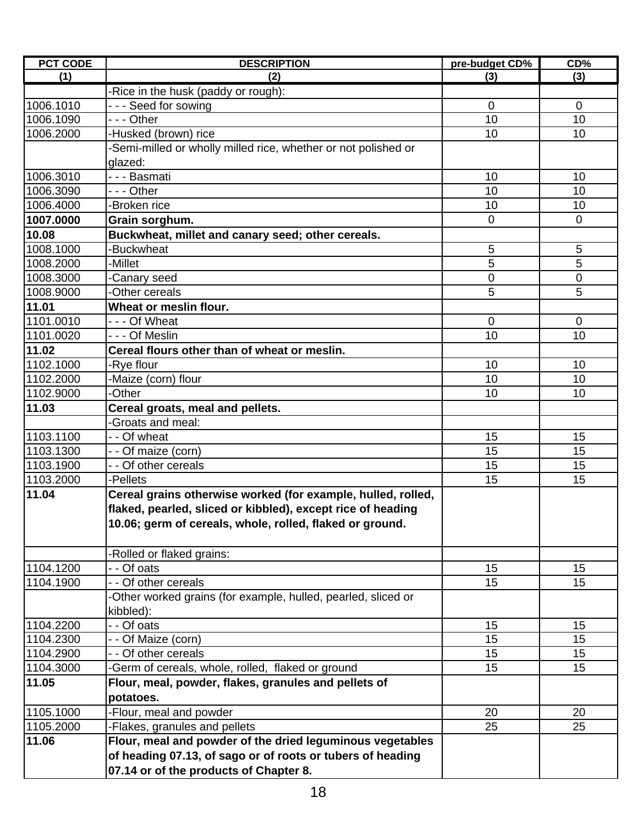| <b>PCT CODE</b> | <b>DESCRIPTION</b>                                             | pre-budget CD% | CD%            |
|-----------------|----------------------------------------------------------------|----------------|----------------|
| (1)             | (2)                                                            | (3)            | (3)            |
|                 | -Rice in the husk (paddy or rough):                            |                |                |
| 1006.1010       | --- Seed for sowing                                            | $\mathbf 0$    | $\mathbf{0}$   |
| 1006.1090       | $- -$ Other                                                    | 10             | 10             |
| 1006.2000       | -Husked (brown) rice                                           | 10             | 10             |
|                 | -Semi-milled or wholly milled rice, whether or not polished or |                |                |
|                 | glazed:                                                        |                |                |
| 1006.3010       | - - - Basmati                                                  | 10             | 10             |
| 1006.3090       | --- Other                                                      | 10             | 10             |
| 1006.4000       | -Broken rice                                                   | 10             | 10             |
| 1007.0000       | Grain sorghum.                                                 | $\mathbf 0$    | $\overline{0}$ |
| 10.08           | Buckwheat, millet and canary seed; other cereals.              |                |                |
| 1008.1000       | -Buckwheat                                                     | 5              | 5              |
| 1008.2000       | -Millet                                                        | 5              | 5              |
| 1008.3000       | -Canary seed                                                   | 0              | $\overline{0}$ |
| 1008.9000       | -Other cereals                                                 | 5              | 5              |
| 11.01           | Wheat or meslin flour.                                         |                |                |
| 1101.0010       | - - - Of Wheat                                                 | $\mathbf 0$    | $\mathbf{0}$   |
| 1101.0020       | - - - Of Meslin                                                | 10             | 10             |
| 11.02           | Cereal flours other than of wheat or meslin.                   |                |                |
| 1102.1000       | -Rye flour                                                     | 10             | 10             |
| 1102.2000       | -Maize (corn) flour                                            | 10             | 10             |
| 1102.9000       | -Other                                                         | 10             | 10             |
| 11.03           | Cereal groats, meal and pellets.                               |                |                |
|                 | -Groats and meal:                                              |                |                |
| 1103.1100       | - - Of wheat                                                   | 15             | 15             |
| 1103.1300       | - - Of maize (corn)                                            | 15             | 15             |
| 1103.1900       | - - Of other cereals                                           | 15             | 15             |
| 1103.2000       | -Pellets                                                       | 15             | 15             |
| 11.04           | Cereal grains otherwise worked (for example, hulled, rolled,   |                |                |
|                 | flaked, pearled, sliced or kibbled), except rice of heading    |                |                |
|                 | 10.06; germ of cereals, whole, rolled, flaked or ground.       |                |                |
|                 |                                                                |                |                |
|                 | -Rolled or flaked grains:                                      |                |                |
| 1104.1200       | - - Of oats                                                    | 15             | 15             |
| 1104.1900       | - - Of other cereals                                           | 15             | 15             |
|                 | -Other worked grains (for example, hulled, pearled, sliced or  |                |                |
|                 | kibbled):                                                      |                |                |
| 1104.2200       | - - Of oats                                                    | 15             | 15             |
| 1104.2300       | - - Of Maize (corn)                                            | 15             | 15             |
| 1104.2900       | - - Of other cereals                                           | 15             | 15             |
| 1104.3000       | -Germ of cereals, whole, rolled, flaked or ground              | 15             | 15             |
| 11.05           | Flour, meal, powder, flakes, granules and pellets of           |                |                |
|                 | potatoes.                                                      |                |                |
| 1105.1000       | -Flour, meal and powder                                        | 20             | 20             |
| 1105.2000       | -Flakes, granules and pellets                                  | 25             | 25             |
| 11.06           | Flour, meal and powder of the dried leguminous vegetables      |                |                |
|                 | of heading 07.13, of sago or of roots or tubers of heading     |                |                |
|                 | 07.14 or of the products of Chapter 8.                         |                |                |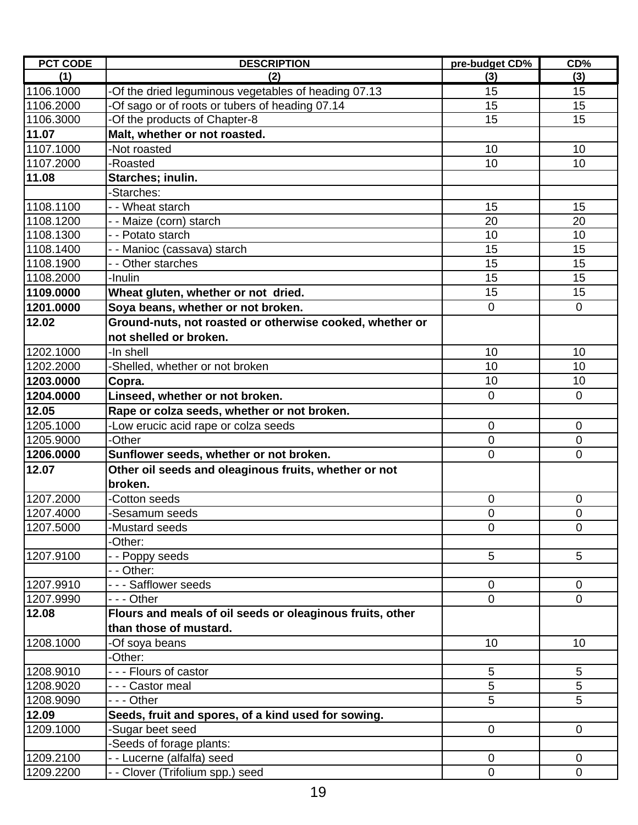| <b>PCT CODE</b> | <b>DESCRIPTION</b>                                        | pre-budget CD%   | CD%            |
|-----------------|-----------------------------------------------------------|------------------|----------------|
| (1)             | (2)                                                       | (3)              | (3)            |
| 1106.1000       | -Of the dried leguminous vegetables of heading 07.13      | 15               | 15             |
| 1106.2000       | -Of sago or of roots or tubers of heading 07.14           | 15               | 15             |
| 1106.3000       | -Of the products of Chapter-8                             | 15               | 15             |
| 11.07           | Malt, whether or not roasted.                             |                  |                |
| 1107.1000       | -Not roasted                                              | 10               | 10             |
| 1107.2000       | -Roasted                                                  | 10               | 10             |
| 11.08           | Starches; inulin.                                         |                  |                |
|                 | -Starches:                                                |                  |                |
| 1108.1100       | - - Wheat starch                                          | 15               | 15             |
| 1108.1200       | - - Maize (corn) starch                                   | 20               | 20             |
| 1108.1300       | - - Potato starch                                         | 10               | 10             |
| 1108.1400       | - - Manioc (cassava) starch                               | 15               | 15             |
| 1108.1900       | - - Other starches                                        | 15               | 15             |
| 1108.2000       | -Inulin                                                   | 15               | 15             |
| 1109.0000       | Wheat gluten, whether or not dried.                       | 15               | 15             |
| 1201.0000       | Soya beans, whether or not broken.                        | $\overline{0}$   | $\mathbf 0$    |
| 12.02           | Ground-nuts, not roasted or otherwise cooked, whether or  |                  |                |
|                 | not shelled or broken.                                    |                  |                |
| 1202.1000       | -In shell                                                 | 10               | 10             |
| 1202.2000       | -Shelled, whether or not broken                           | 10               | 10             |
| 1203.0000       | Copra.                                                    | 10               | 10             |
| 1204.0000       | Linseed, whether or not broken.                           | $\overline{0}$   | $\overline{0}$ |
| 12.05           | Rape or colza seeds, whether or not broken.               |                  |                |
| 1205.1000       | -Low erucic acid rape or colza seeds                      | $\mathbf 0$      | $\mathbf 0$    |
| 1205.9000       | -Other                                                    | $\overline{0}$   | $\mathbf 0$    |
| 1206.0000       | Sunflower seeds, whether or not broken.                   | $\overline{0}$   | $\overline{0}$ |
| 12.07           | Other oil seeds and oleaginous fruits, whether or not     |                  |                |
|                 | broken.                                                   |                  |                |
| 1207.2000       | Cotton seeds                                              | $\boldsymbol{0}$ | $\mathbf 0$    |
| 1207.4000       | -Sesamum seeds                                            | $\mathbf 0$      | $\mathbf 0$    |
| 1207.5000       | -Mustard seeds                                            | 0                | 0              |
|                 | -Other:                                                   |                  |                |
| 1207.9100       | - - Poppy seeds                                           | 5                | 5              |
|                 | - Other:                                                  |                  |                |
| 1207.9910       | --- Safflower seeds                                       | $\overline{0}$   | $\overline{0}$ |
| 1207.9990       | - - - Other                                               | $\mathbf 0$      | $\mathbf 0$    |
| 12.08           | Flours and meals of oil seeds or oleaginous fruits, other |                  |                |
|                 | than those of mustard.                                    |                  |                |
| 1208.1000       | -Of soya beans                                            | 10               | 10             |
|                 | -Other:                                                   |                  |                |
| 1208.9010       | - - - Flours of castor                                    | 5                | 5              |
| 1208.9020       | - - - Castor meal                                         | 5                | 5              |
| 1208.9090       | - - - Other                                               | 5                | 5              |
| 12.09           | Seeds, fruit and spores, of a kind used for sowing.       |                  |                |
| 1209.1000       | Sugar beet seed                                           | $\mathbf 0$      | $\overline{0}$ |
|                 | Seeds of forage plants:                                   |                  |                |
| 1209.2100       | - Lucerne (alfalfa) seed                                  | $\mathbf 0$      | $\overline{0}$ |
| 1209.2200       | - Clover (Trifolium spp.) seed                            | $\pmb{0}$        | $\mathbf 0$    |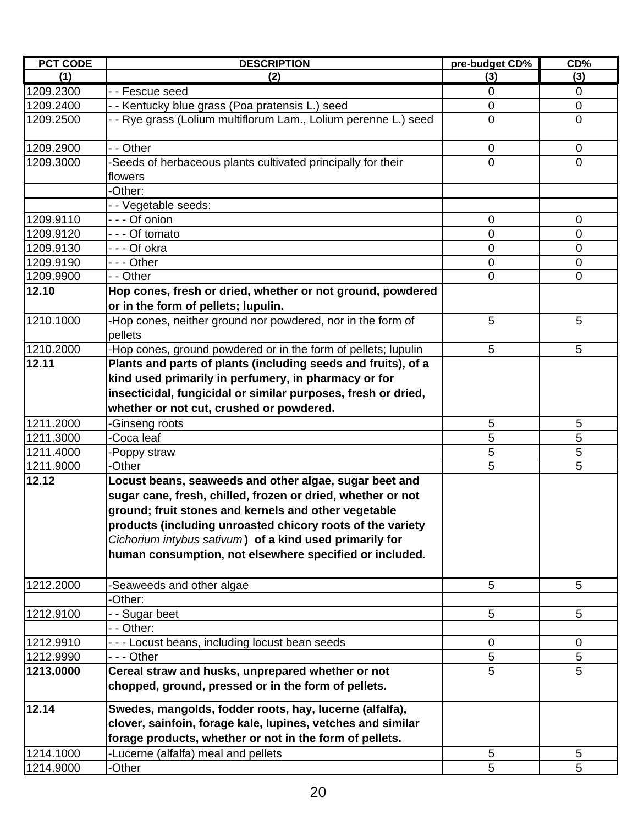| <b>PCT CODE</b> | <b>DESCRIPTION</b>                                                                                                                                                                                                                                                                                                                                                | pre-budget CD% | CD%         |
|-----------------|-------------------------------------------------------------------------------------------------------------------------------------------------------------------------------------------------------------------------------------------------------------------------------------------------------------------------------------------------------------------|----------------|-------------|
| (1)             | (2)                                                                                                                                                                                                                                                                                                                                                               | (3)            | (3)         |
| 1209.2300       | - - Fescue seed                                                                                                                                                                                                                                                                                                                                                   | 0              | 0           |
| 1209.2400       | - - Kentucky blue grass (Poa pratensis L.) seed                                                                                                                                                                                                                                                                                                                   | 0              | $\mathbf 0$ |
| 1209.2500       | - - Rye grass (Lolium multiflorum Lam., Lolium perenne L.) seed                                                                                                                                                                                                                                                                                                   | $\mathbf 0$    | $\mathbf 0$ |
| 1209.2900       | - - Other                                                                                                                                                                                                                                                                                                                                                         | 0              | $\mathbf 0$ |
| 1209.3000       | -Seeds of herbaceous plants cultivated principally for their<br>flowers                                                                                                                                                                                                                                                                                           | $\overline{0}$ | $\Omega$    |
|                 | -Other:                                                                                                                                                                                                                                                                                                                                                           |                |             |
|                 | - - Vegetable seeds:                                                                                                                                                                                                                                                                                                                                              |                |             |
| 1209.9110       | - - - Of onion                                                                                                                                                                                                                                                                                                                                                    | 0              | $\mathbf 0$ |
| 1209.9120       | --- Of tomato                                                                                                                                                                                                                                                                                                                                                     | 0              | 0           |
| 1209.9130       | - - - Of okra                                                                                                                                                                                                                                                                                                                                                     | 0              | 0           |
| 1209.9190       | - - - Other                                                                                                                                                                                                                                                                                                                                                       | 0              | $\mathbf 0$ |
| 1209.9900       | - - Other                                                                                                                                                                                                                                                                                                                                                         | 0              | 0           |
| 12.10           | Hop cones, fresh or dried, whether or not ground, powdered                                                                                                                                                                                                                                                                                                        |                |             |
|                 | or in the form of pellets; lupulin.                                                                                                                                                                                                                                                                                                                               |                |             |
| 1210.1000       | -Hop cones, neither ground nor powdered, nor in the form of<br>pellets                                                                                                                                                                                                                                                                                            | 5              | 5           |
| 1210.2000       | -Hop cones, ground powdered or in the form of pellets; lupulin                                                                                                                                                                                                                                                                                                    | 5              | 5           |
| 12.11           | Plants and parts of plants (including seeds and fruits), of a<br>kind used primarily in perfumery, in pharmacy or for<br>insecticidal, fungicidal or similar purposes, fresh or dried,<br>whether or not cut, crushed or powdered.                                                                                                                                |                |             |
| 1211.2000       | -Ginseng roots                                                                                                                                                                                                                                                                                                                                                    | 5              | 5           |
| 1211.3000       | -Coca leaf                                                                                                                                                                                                                                                                                                                                                        | 5              | 5           |
| 1211.4000       | -Poppy straw                                                                                                                                                                                                                                                                                                                                                      | 5              | 5           |
| 1211.9000       | -Other                                                                                                                                                                                                                                                                                                                                                            | 5              | 5           |
| 12.12           | Locust beans, seaweeds and other algae, sugar beet and<br>sugar cane, fresh, chilled, frozen or dried, whether or not<br>ground; fruit stones and kernels and other vegetable<br>products (including unroasted chicory roots of the variety<br>Cichorium intybus sativum) of a kind used primarily for<br>human consumption, not elsewhere specified or included. |                |             |
| 1212.2000       | -Seaweeds and other algae                                                                                                                                                                                                                                                                                                                                         | 5              | 5           |
|                 | -Other:                                                                                                                                                                                                                                                                                                                                                           |                |             |
| 1212.9100       | - - Sugar beet                                                                                                                                                                                                                                                                                                                                                    | 5              | 5           |
|                 | - - Other:                                                                                                                                                                                                                                                                                                                                                        |                |             |
| 1212.9910       | --- Locust beans, including locust bean seeds                                                                                                                                                                                                                                                                                                                     | $\mathbf 0$    | $\mathbf 0$ |
| 1212.9990       | - - - Other                                                                                                                                                                                                                                                                                                                                                       | $\sqrt{5}$     | 5           |
| 1213.0000       | Cereal straw and husks, unprepared whether or not<br>chopped, ground, pressed or in the form of pellets.                                                                                                                                                                                                                                                          | 5              | 5           |
| 12.14           | Swedes, mangolds, fodder roots, hay, lucerne (alfalfa),<br>clover, sainfoin, forage kale, lupines, vetches and similar<br>forage products, whether or not in the form of pellets.                                                                                                                                                                                 |                |             |
| 1214.1000       | -Lucerne (alfalfa) meal and pellets                                                                                                                                                                                                                                                                                                                               | 5              | 5           |
| 1214.9000       | -Other                                                                                                                                                                                                                                                                                                                                                            | 5              | 5           |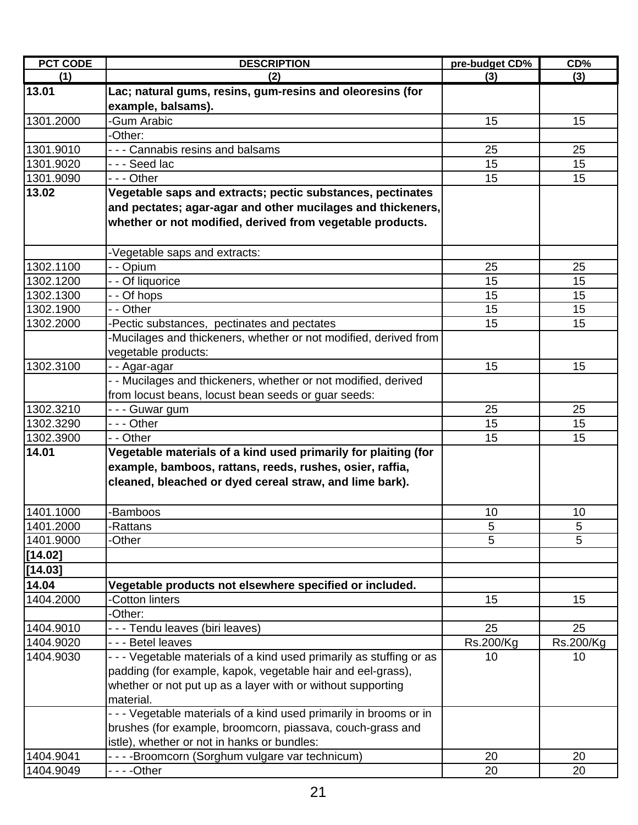| <b>PCT CODE</b> | <b>DESCRIPTION</b>                                                   | pre-budget CD% | CD%       |
|-----------------|----------------------------------------------------------------------|----------------|-----------|
| (1)             | (2)                                                                  | (3)            | (3)       |
| 13.01           | Lac; natural gums, resins, gum-resins and oleoresins (for            |                |           |
|                 | example, balsams).                                                   |                |           |
| 1301.2000       | -Gum Arabic                                                          | 15             | 15        |
|                 | -Other:                                                              |                |           |
| 1301.9010       | - - - Cannabis resins and balsams                                    | 25             | 25        |
| 1301.9020       | --- Seed lac                                                         | 15             | 15        |
| 1301.9090       | --- Other                                                            | 15             | 15        |
| 13.02           | Vegetable saps and extracts; pectic substances, pectinates           |                |           |
|                 | and pectates; agar-agar and other mucilages and thickeners,          |                |           |
|                 | whether or not modified, derived from vegetable products.            |                |           |
|                 |                                                                      |                |           |
|                 | -Vegetable saps and extracts:                                        |                |           |
| 1302.1100       | - - Opium                                                            | 25             | 25        |
| 1302.1200       | - - Of liquorice                                                     | 15             | 15        |
| 1302.1300       | - - Of hops                                                          | 15             | 15        |
| 1302.1900       | - - Other                                                            | 15             | 15        |
| 1302.2000       | -Pectic substances, pectinates and pectates                          | 15             | 15        |
|                 | -Mucilages and thickeners, whether or not modified, derived from     |                |           |
|                 | vegetable products:                                                  |                |           |
| 1302.3100       | - - Agar-agar                                                        | 15             | 15        |
|                 | - - Mucilages and thickeners, whether or not modified, derived       |                |           |
|                 | from locust beans, locust bean seeds or guar seeds:                  |                |           |
| 1302.3210       | --- Guwar gum                                                        | 25             | 25        |
| 1302.3290       | - - - Other                                                          | 15             | 15        |
| 1302.3900       | - - Other                                                            | 15             | 15        |
| 14.01           | Vegetable materials of a kind used primarily for plaiting (for       |                |           |
|                 | example, bamboos, rattans, reeds, rushes, osier, raffia,             |                |           |
|                 | cleaned, bleached or dyed cereal straw, and lime bark).              |                |           |
| 1401.1000       | -Bamboos                                                             | 10             | 10        |
| 1401.2000       | -Rattans                                                             | 5              | 5         |
| 1401.9000       | -Other                                                               | 5              | 5         |
| [14.02]         |                                                                      |                |           |
|                 |                                                                      |                |           |
| [14.03]         |                                                                      |                |           |
| 14.04           | Vegetable products not elsewhere specified or included.              |                |           |
| 1404.2000       | -Cotton linters                                                      | 15             | 15        |
|                 | -Other:                                                              |                |           |
| 1404.9010       | - - - Tendu leaves (biri leaves)                                     | 25             | 25        |
| 1404.9020       | - - - Betel leaves                                                   | Rs.200/Kg      | Rs.200/Kg |
| 1404.9030       | - - - Vegetable materials of a kind used primarily as stuffing or as | 10             | 10        |
|                 | padding (for example, kapok, vegetable hair and eel-grass),          |                |           |
|                 | whether or not put up as a layer with or without supporting          |                |           |
|                 | material.                                                            |                |           |
|                 | - - - Vegetable materials of a kind used primarily in brooms or in   |                |           |
|                 | brushes (for example, broomcorn, piassava, couch-grass and           |                |           |
|                 | istle), whether or not in hanks or bundles:                          |                |           |
| 1404.9041       | - - - - Broomcorn (Sorghum vulgare var technicum)                    | 20             | 20        |
| 1404.9049       |                                                                      | 20             | 20        |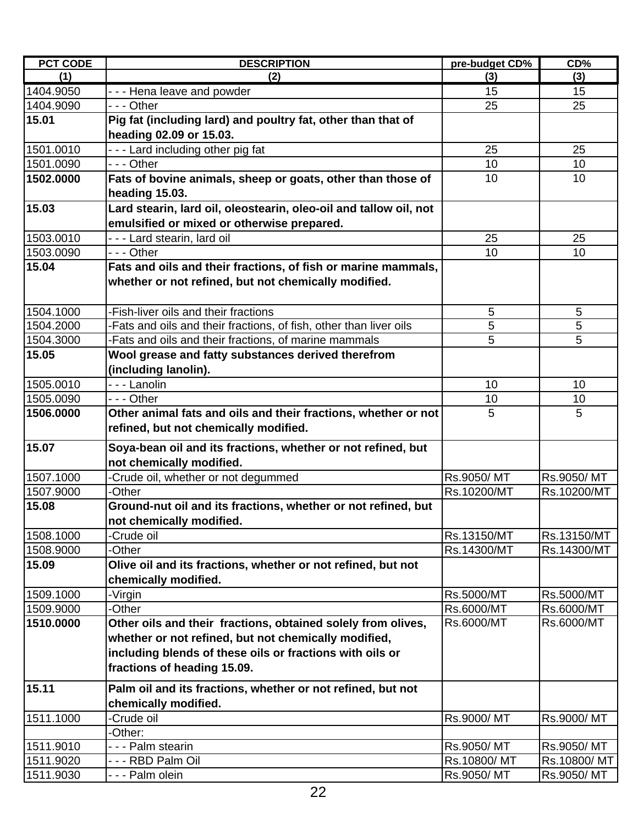| <b>PCT CODE</b> | <b>DESCRIPTION</b>                                                                                                                                                                                              | pre-budget CD% | CD%         |
|-----------------|-----------------------------------------------------------------------------------------------------------------------------------------------------------------------------------------------------------------|----------------|-------------|
| (1)             | (2)                                                                                                                                                                                                             | (3)            | (3)         |
| 1404.9050       | --- Hena leave and powder                                                                                                                                                                                       | 15             | 15          |
| 1404.9090       | - - - Other                                                                                                                                                                                                     | 25             | 25          |
| 15.01           | Pig fat (including lard) and poultry fat, other than that of<br>heading 02.09 or 15.03.                                                                                                                         |                |             |
| 1501.0010       | --- Lard including other pig fat                                                                                                                                                                                | 25             | 25          |
| 1501.0090       | $- -$ Other                                                                                                                                                                                                     | 10             | 10          |
| 1502.0000       | Fats of bovine animals, sheep or goats, other than those of<br>heading 15.03.                                                                                                                                   | 10             | 10          |
| 15.03           | Lard stearin, lard oil, oleostearin, oleo-oil and tallow oil, not<br>emulsified or mixed or otherwise prepared.                                                                                                 |                |             |
| 1503.0010       | - - - Lard stearin, lard oil                                                                                                                                                                                    | 25             | 25          |
| 1503.0090       | --- Other                                                                                                                                                                                                       | 10             | 10          |
| 15.04           | Fats and oils and their fractions, of fish or marine mammals,<br>whether or not refined, but not chemically modified.                                                                                           |                |             |
| 1504.1000       | -Fish-liver oils and their fractions                                                                                                                                                                            | 5              | 5           |
| 1504.2000       | -Fats and oils and their fractions, of fish, other than liver oils                                                                                                                                              | 5              | 5           |
| 1504.3000       | -Fats and oils and their fractions, of marine mammals                                                                                                                                                           | 5              | 5           |
| 15.05           | Wool grease and fatty substances derived therefrom<br>(including lanolin).                                                                                                                                      |                |             |
| 1505.0010       | - - - Lanolin                                                                                                                                                                                                   | 10             | 10          |
| 1505.0090       | $- -$ - Other                                                                                                                                                                                                   | 10             | 10          |
| 1506.0000       | Other animal fats and oils and their fractions, whether or not<br>refined, but not chemically modified.                                                                                                         | 5              | 5           |
| 15.07           | Soya-bean oil and its fractions, whether or not refined, but<br>not chemically modified.                                                                                                                        |                |             |
| 1507.1000       | -Crude oil, whether or not degummed                                                                                                                                                                             | Rs.9050/MT     | Rs.9050/MT  |
| 1507.9000       | -Other                                                                                                                                                                                                          | Rs.10200/MT    | Rs.10200/MT |
| 15.08           | Ground-nut oil and its fractions, whether or not refined, but<br>not chemically modified.                                                                                                                       |                |             |
| 1508.1000       | -Crude oil                                                                                                                                                                                                      | Rs.13150/MT    | Rs.13150/MT |
| 1508.9000       | -Other                                                                                                                                                                                                          | Rs.14300/MT    | Rs.14300/MT |
| 15.09           | Olive oil and its fractions, whether or not refined, but not<br>chemically modified.                                                                                                                            |                |             |
| 1509.1000       | -Virgin                                                                                                                                                                                                         | Rs.5000/MT     | Rs.5000/MT  |
| 1509.9000       | -Other                                                                                                                                                                                                          | Rs.6000/MT     | Rs.6000/MT  |
| 1510.0000       | Other oils and their fractions, obtained solely from olives,<br>whether or not refined, but not chemically modified,<br>including blends of these oils or fractions with oils or<br>fractions of heading 15.09. | Rs.6000/MT     | Rs.6000/MT  |
| 15.11           | Palm oil and its fractions, whether or not refined, but not<br>chemically modified.                                                                                                                             |                |             |
| 1511.1000       | -Crude oil                                                                                                                                                                                                      | Rs.9000/MT     | Rs.9000/MT  |
|                 | -Other:                                                                                                                                                                                                         |                |             |
| 1511.9010       | - - - Palm stearin                                                                                                                                                                                              | Rs.9050/MT     | Rs.9050/MT  |
| 1511.9020       | - - - RBD Palm Oil                                                                                                                                                                                              | Rs.10800/MT    | Rs.10800/MT |
| 1511.9030       | - - - Palm olein                                                                                                                                                                                                | Rs.9050/MT     | Rs.9050/MT  |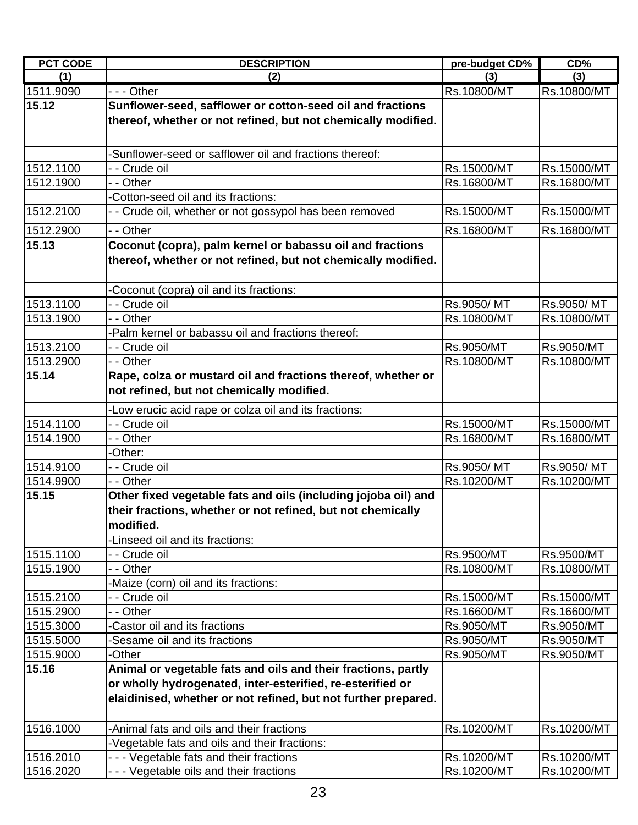| (1)<br>(2)<br>(3)<br>(3)<br>1511.9090<br>$- -$ - Other<br>Rs.10800/MT<br>Rs.10800/MT<br>15.12<br>Sunflower-seed, safflower or cotton-seed oil and fractions<br>thereof, whether or not refined, but not chemically modified.<br>-Sunflower-seed or safflower oil and fractions thereof:<br>1512.1100<br>- - Crude oil<br>Rs.15000/MT<br>Rs.15000/MT<br>1512.1900<br>- - Other<br>Rs.16800/MT<br>Rs.16800/MT<br>-Cotton-seed oil and its fractions:<br>1512.2100<br>- - Crude oil, whether or not gossypol has been removed<br>Rs.15000/MT<br>Rs.15000/MT<br>1512.2900<br>- - Other<br>Rs.16800/MT<br>Rs.16800/MT<br>Coconut (copra), palm kernel or babassu oil and fractions<br>15.13<br>thereof, whether or not refined, but not chemically modified.<br>-Coconut (copra) oil and its fractions:<br>1513.1100<br>- - Crude oil<br>Rs.9050/MT<br>Rs.9050/MT<br>1513.1900<br>- - Other<br>Rs.10800/MT<br>Rs.10800/MT<br>-Palm kernel or babassu oil and fractions thereof:<br>1513.2100<br>- Crude oil<br>Rs.9050/MT<br>Rs.9050/MT<br>1513.2900<br>- - Other<br>Rs.10800/MT<br>Rs.10800/MT<br>Rape, colza or mustard oil and fractions thereof, whether or<br>15.14<br>not refined, but not chemically modified.<br>-Low erucic acid rape or colza oil and its fractions:<br>- - Crude oil<br>1514.1100<br>Rs.15000/MT<br>Rs.15000/MT<br>- - Other<br>1514.1900<br>Rs.16800/MT<br>Rs.16800/MT<br>-Other:<br>1514.9100<br>- - Crude oil<br>Rs.9050/MT<br>Rs.9050/MT<br>1514.9900<br>- - Other<br>Rs.10200/MT<br>Rs.10200/MT<br>Other fixed vegetable fats and oils (including jojoba oil) and<br>15.15<br>their fractions, whether or not refined, but not chemically<br>modified.<br>-Linseed oil and its fractions:<br>1515.1100<br>- - Crude oil<br>Rs.9500/MT<br>Rs.9500/MT<br>- - Other<br>1515.1900<br>Rs.10800/MT<br>Rs.10800/MT<br>-Maize (corn) oil and its fractions:<br>1515.2100<br>- - Crude oil<br>Rs.15000/MT<br>Rs.15000/MT<br>1515.2900<br>- - Other<br>Rs.16600/MT<br>Rs.16600/MT<br>1515.3000<br>-Castor oil and its fractions<br>Rs.9050/MT<br>Rs.9050/MT<br>-Sesame oil and its fractions<br>1515.5000<br>Rs.9050/MT<br>Rs.9050/MT<br>-Other<br>1515.9000<br>Rs.9050/MT<br>Rs.9050/MT<br>15.16<br>Animal or vegetable fats and oils and their fractions, partly<br>or wholly hydrogenated, inter-esterified, re-esterified or<br>elaidinised, whether or not refined, but not further prepared.<br>1516.1000<br>-Animal fats and oils and their fractions<br>Rs.10200/MT<br>Rs.10200/MT<br>-Vegetable fats and oils and their fractions:<br>1516.2010<br>--- Vegetable fats and their fractions<br>Rs.10200/MT<br>Rs.10200/MT | <b>PCT CODE</b> | <b>DESCRIPTION</b>                       | pre-budget CD% | CD%         |
|---------------------------------------------------------------------------------------------------------------------------------------------------------------------------------------------------------------------------------------------------------------------------------------------------------------------------------------------------------------------------------------------------------------------------------------------------------------------------------------------------------------------------------------------------------------------------------------------------------------------------------------------------------------------------------------------------------------------------------------------------------------------------------------------------------------------------------------------------------------------------------------------------------------------------------------------------------------------------------------------------------------------------------------------------------------------------------------------------------------------------------------------------------------------------------------------------------------------------------------------------------------------------------------------------------------------------------------------------------------------------------------------------------------------------------------------------------------------------------------------------------------------------------------------------------------------------------------------------------------------------------------------------------------------------------------------------------------------------------------------------------------------------------------------------------------------------------------------------------------------------------------------------------------------------------------------------------------------------------------------------------------------------------------------------------------------------------------------------------------------------------------------------------------------------------------------------------------------------------------------------------------------------------------------------------------------------------------------------------------------------------------------------------------------------------------------------------------------------------------------------------------------------------------------------------------------------------------------------------------------------------------------------|-----------------|------------------------------------------|----------------|-------------|
|                                                                                                                                                                                                                                                                                                                                                                                                                                                                                                                                                                                                                                                                                                                                                                                                                                                                                                                                                                                                                                                                                                                                                                                                                                                                                                                                                                                                                                                                                                                                                                                                                                                                                                                                                                                                                                                                                                                                                                                                                                                                                                                                                                                                                                                                                                                                                                                                                                                                                                                                                                                                                                                   |                 |                                          |                |             |
|                                                                                                                                                                                                                                                                                                                                                                                                                                                                                                                                                                                                                                                                                                                                                                                                                                                                                                                                                                                                                                                                                                                                                                                                                                                                                                                                                                                                                                                                                                                                                                                                                                                                                                                                                                                                                                                                                                                                                                                                                                                                                                                                                                                                                                                                                                                                                                                                                                                                                                                                                                                                                                                   |                 |                                          |                |             |
|                                                                                                                                                                                                                                                                                                                                                                                                                                                                                                                                                                                                                                                                                                                                                                                                                                                                                                                                                                                                                                                                                                                                                                                                                                                                                                                                                                                                                                                                                                                                                                                                                                                                                                                                                                                                                                                                                                                                                                                                                                                                                                                                                                                                                                                                                                                                                                                                                                                                                                                                                                                                                                                   |                 |                                          |                |             |
|                                                                                                                                                                                                                                                                                                                                                                                                                                                                                                                                                                                                                                                                                                                                                                                                                                                                                                                                                                                                                                                                                                                                                                                                                                                                                                                                                                                                                                                                                                                                                                                                                                                                                                                                                                                                                                                                                                                                                                                                                                                                                                                                                                                                                                                                                                                                                                                                                                                                                                                                                                                                                                                   |                 |                                          |                |             |
|                                                                                                                                                                                                                                                                                                                                                                                                                                                                                                                                                                                                                                                                                                                                                                                                                                                                                                                                                                                                                                                                                                                                                                                                                                                                                                                                                                                                                                                                                                                                                                                                                                                                                                                                                                                                                                                                                                                                                                                                                                                                                                                                                                                                                                                                                                                                                                                                                                                                                                                                                                                                                                                   |                 |                                          |                |             |
|                                                                                                                                                                                                                                                                                                                                                                                                                                                                                                                                                                                                                                                                                                                                                                                                                                                                                                                                                                                                                                                                                                                                                                                                                                                                                                                                                                                                                                                                                                                                                                                                                                                                                                                                                                                                                                                                                                                                                                                                                                                                                                                                                                                                                                                                                                                                                                                                                                                                                                                                                                                                                                                   |                 |                                          |                |             |
|                                                                                                                                                                                                                                                                                                                                                                                                                                                                                                                                                                                                                                                                                                                                                                                                                                                                                                                                                                                                                                                                                                                                                                                                                                                                                                                                                                                                                                                                                                                                                                                                                                                                                                                                                                                                                                                                                                                                                                                                                                                                                                                                                                                                                                                                                                                                                                                                                                                                                                                                                                                                                                                   |                 |                                          |                |             |
|                                                                                                                                                                                                                                                                                                                                                                                                                                                                                                                                                                                                                                                                                                                                                                                                                                                                                                                                                                                                                                                                                                                                                                                                                                                                                                                                                                                                                                                                                                                                                                                                                                                                                                                                                                                                                                                                                                                                                                                                                                                                                                                                                                                                                                                                                                                                                                                                                                                                                                                                                                                                                                                   |                 |                                          |                |             |
|                                                                                                                                                                                                                                                                                                                                                                                                                                                                                                                                                                                                                                                                                                                                                                                                                                                                                                                                                                                                                                                                                                                                                                                                                                                                                                                                                                                                                                                                                                                                                                                                                                                                                                                                                                                                                                                                                                                                                                                                                                                                                                                                                                                                                                                                                                                                                                                                                                                                                                                                                                                                                                                   |                 |                                          |                |             |
|                                                                                                                                                                                                                                                                                                                                                                                                                                                                                                                                                                                                                                                                                                                                                                                                                                                                                                                                                                                                                                                                                                                                                                                                                                                                                                                                                                                                                                                                                                                                                                                                                                                                                                                                                                                                                                                                                                                                                                                                                                                                                                                                                                                                                                                                                                                                                                                                                                                                                                                                                                                                                                                   |                 |                                          |                |             |
|                                                                                                                                                                                                                                                                                                                                                                                                                                                                                                                                                                                                                                                                                                                                                                                                                                                                                                                                                                                                                                                                                                                                                                                                                                                                                                                                                                                                                                                                                                                                                                                                                                                                                                                                                                                                                                                                                                                                                                                                                                                                                                                                                                                                                                                                                                                                                                                                                                                                                                                                                                                                                                                   |                 |                                          |                |             |
|                                                                                                                                                                                                                                                                                                                                                                                                                                                                                                                                                                                                                                                                                                                                                                                                                                                                                                                                                                                                                                                                                                                                                                                                                                                                                                                                                                                                                                                                                                                                                                                                                                                                                                                                                                                                                                                                                                                                                                                                                                                                                                                                                                                                                                                                                                                                                                                                                                                                                                                                                                                                                                                   |                 |                                          |                |             |
|                                                                                                                                                                                                                                                                                                                                                                                                                                                                                                                                                                                                                                                                                                                                                                                                                                                                                                                                                                                                                                                                                                                                                                                                                                                                                                                                                                                                                                                                                                                                                                                                                                                                                                                                                                                                                                                                                                                                                                                                                                                                                                                                                                                                                                                                                                                                                                                                                                                                                                                                                                                                                                                   |                 |                                          |                |             |
|                                                                                                                                                                                                                                                                                                                                                                                                                                                                                                                                                                                                                                                                                                                                                                                                                                                                                                                                                                                                                                                                                                                                                                                                                                                                                                                                                                                                                                                                                                                                                                                                                                                                                                                                                                                                                                                                                                                                                                                                                                                                                                                                                                                                                                                                                                                                                                                                                                                                                                                                                                                                                                                   |                 |                                          |                |             |
|                                                                                                                                                                                                                                                                                                                                                                                                                                                                                                                                                                                                                                                                                                                                                                                                                                                                                                                                                                                                                                                                                                                                                                                                                                                                                                                                                                                                                                                                                                                                                                                                                                                                                                                                                                                                                                                                                                                                                                                                                                                                                                                                                                                                                                                                                                                                                                                                                                                                                                                                                                                                                                                   |                 |                                          |                |             |
|                                                                                                                                                                                                                                                                                                                                                                                                                                                                                                                                                                                                                                                                                                                                                                                                                                                                                                                                                                                                                                                                                                                                                                                                                                                                                                                                                                                                                                                                                                                                                                                                                                                                                                                                                                                                                                                                                                                                                                                                                                                                                                                                                                                                                                                                                                                                                                                                                                                                                                                                                                                                                                                   |                 |                                          |                |             |
|                                                                                                                                                                                                                                                                                                                                                                                                                                                                                                                                                                                                                                                                                                                                                                                                                                                                                                                                                                                                                                                                                                                                                                                                                                                                                                                                                                                                                                                                                                                                                                                                                                                                                                                                                                                                                                                                                                                                                                                                                                                                                                                                                                                                                                                                                                                                                                                                                                                                                                                                                                                                                                                   |                 |                                          |                |             |
|                                                                                                                                                                                                                                                                                                                                                                                                                                                                                                                                                                                                                                                                                                                                                                                                                                                                                                                                                                                                                                                                                                                                                                                                                                                                                                                                                                                                                                                                                                                                                                                                                                                                                                                                                                                                                                                                                                                                                                                                                                                                                                                                                                                                                                                                                                                                                                                                                                                                                                                                                                                                                                                   |                 |                                          |                |             |
|                                                                                                                                                                                                                                                                                                                                                                                                                                                                                                                                                                                                                                                                                                                                                                                                                                                                                                                                                                                                                                                                                                                                                                                                                                                                                                                                                                                                                                                                                                                                                                                                                                                                                                                                                                                                                                                                                                                                                                                                                                                                                                                                                                                                                                                                                                                                                                                                                                                                                                                                                                                                                                                   |                 |                                          |                |             |
|                                                                                                                                                                                                                                                                                                                                                                                                                                                                                                                                                                                                                                                                                                                                                                                                                                                                                                                                                                                                                                                                                                                                                                                                                                                                                                                                                                                                                                                                                                                                                                                                                                                                                                                                                                                                                                                                                                                                                                                                                                                                                                                                                                                                                                                                                                                                                                                                                                                                                                                                                                                                                                                   |                 |                                          |                |             |
|                                                                                                                                                                                                                                                                                                                                                                                                                                                                                                                                                                                                                                                                                                                                                                                                                                                                                                                                                                                                                                                                                                                                                                                                                                                                                                                                                                                                                                                                                                                                                                                                                                                                                                                                                                                                                                                                                                                                                                                                                                                                                                                                                                                                                                                                                                                                                                                                                                                                                                                                                                                                                                                   |                 |                                          |                |             |
|                                                                                                                                                                                                                                                                                                                                                                                                                                                                                                                                                                                                                                                                                                                                                                                                                                                                                                                                                                                                                                                                                                                                                                                                                                                                                                                                                                                                                                                                                                                                                                                                                                                                                                                                                                                                                                                                                                                                                                                                                                                                                                                                                                                                                                                                                                                                                                                                                                                                                                                                                                                                                                                   |                 |                                          |                |             |
|                                                                                                                                                                                                                                                                                                                                                                                                                                                                                                                                                                                                                                                                                                                                                                                                                                                                                                                                                                                                                                                                                                                                                                                                                                                                                                                                                                                                                                                                                                                                                                                                                                                                                                                                                                                                                                                                                                                                                                                                                                                                                                                                                                                                                                                                                                                                                                                                                                                                                                                                                                                                                                                   |                 |                                          |                |             |
|                                                                                                                                                                                                                                                                                                                                                                                                                                                                                                                                                                                                                                                                                                                                                                                                                                                                                                                                                                                                                                                                                                                                                                                                                                                                                                                                                                                                                                                                                                                                                                                                                                                                                                                                                                                                                                                                                                                                                                                                                                                                                                                                                                                                                                                                                                                                                                                                                                                                                                                                                                                                                                                   |                 |                                          |                |             |
|                                                                                                                                                                                                                                                                                                                                                                                                                                                                                                                                                                                                                                                                                                                                                                                                                                                                                                                                                                                                                                                                                                                                                                                                                                                                                                                                                                                                                                                                                                                                                                                                                                                                                                                                                                                                                                                                                                                                                                                                                                                                                                                                                                                                                                                                                                                                                                                                                                                                                                                                                                                                                                                   |                 |                                          |                |             |
|                                                                                                                                                                                                                                                                                                                                                                                                                                                                                                                                                                                                                                                                                                                                                                                                                                                                                                                                                                                                                                                                                                                                                                                                                                                                                                                                                                                                                                                                                                                                                                                                                                                                                                                                                                                                                                                                                                                                                                                                                                                                                                                                                                                                                                                                                                                                                                                                                                                                                                                                                                                                                                                   |                 |                                          |                |             |
|                                                                                                                                                                                                                                                                                                                                                                                                                                                                                                                                                                                                                                                                                                                                                                                                                                                                                                                                                                                                                                                                                                                                                                                                                                                                                                                                                                                                                                                                                                                                                                                                                                                                                                                                                                                                                                                                                                                                                                                                                                                                                                                                                                                                                                                                                                                                                                                                                                                                                                                                                                                                                                                   |                 |                                          |                |             |
|                                                                                                                                                                                                                                                                                                                                                                                                                                                                                                                                                                                                                                                                                                                                                                                                                                                                                                                                                                                                                                                                                                                                                                                                                                                                                                                                                                                                                                                                                                                                                                                                                                                                                                                                                                                                                                                                                                                                                                                                                                                                                                                                                                                                                                                                                                                                                                                                                                                                                                                                                                                                                                                   |                 |                                          |                |             |
|                                                                                                                                                                                                                                                                                                                                                                                                                                                                                                                                                                                                                                                                                                                                                                                                                                                                                                                                                                                                                                                                                                                                                                                                                                                                                                                                                                                                                                                                                                                                                                                                                                                                                                                                                                                                                                                                                                                                                                                                                                                                                                                                                                                                                                                                                                                                                                                                                                                                                                                                                                                                                                                   |                 |                                          |                |             |
|                                                                                                                                                                                                                                                                                                                                                                                                                                                                                                                                                                                                                                                                                                                                                                                                                                                                                                                                                                                                                                                                                                                                                                                                                                                                                                                                                                                                                                                                                                                                                                                                                                                                                                                                                                                                                                                                                                                                                                                                                                                                                                                                                                                                                                                                                                                                                                                                                                                                                                                                                                                                                                                   |                 |                                          |                |             |
|                                                                                                                                                                                                                                                                                                                                                                                                                                                                                                                                                                                                                                                                                                                                                                                                                                                                                                                                                                                                                                                                                                                                                                                                                                                                                                                                                                                                                                                                                                                                                                                                                                                                                                                                                                                                                                                                                                                                                                                                                                                                                                                                                                                                                                                                                                                                                                                                                                                                                                                                                                                                                                                   |                 |                                          |                |             |
|                                                                                                                                                                                                                                                                                                                                                                                                                                                                                                                                                                                                                                                                                                                                                                                                                                                                                                                                                                                                                                                                                                                                                                                                                                                                                                                                                                                                                                                                                                                                                                                                                                                                                                                                                                                                                                                                                                                                                                                                                                                                                                                                                                                                                                                                                                                                                                                                                                                                                                                                                                                                                                                   |                 |                                          |                |             |
|                                                                                                                                                                                                                                                                                                                                                                                                                                                                                                                                                                                                                                                                                                                                                                                                                                                                                                                                                                                                                                                                                                                                                                                                                                                                                                                                                                                                                                                                                                                                                                                                                                                                                                                                                                                                                                                                                                                                                                                                                                                                                                                                                                                                                                                                                                                                                                                                                                                                                                                                                                                                                                                   |                 |                                          |                |             |
|                                                                                                                                                                                                                                                                                                                                                                                                                                                                                                                                                                                                                                                                                                                                                                                                                                                                                                                                                                                                                                                                                                                                                                                                                                                                                                                                                                                                                                                                                                                                                                                                                                                                                                                                                                                                                                                                                                                                                                                                                                                                                                                                                                                                                                                                                                                                                                                                                                                                                                                                                                                                                                                   |                 |                                          |                |             |
|                                                                                                                                                                                                                                                                                                                                                                                                                                                                                                                                                                                                                                                                                                                                                                                                                                                                                                                                                                                                                                                                                                                                                                                                                                                                                                                                                                                                                                                                                                                                                                                                                                                                                                                                                                                                                                                                                                                                                                                                                                                                                                                                                                                                                                                                                                                                                                                                                                                                                                                                                                                                                                                   |                 |                                          |                |             |
|                                                                                                                                                                                                                                                                                                                                                                                                                                                                                                                                                                                                                                                                                                                                                                                                                                                                                                                                                                                                                                                                                                                                                                                                                                                                                                                                                                                                                                                                                                                                                                                                                                                                                                                                                                                                                                                                                                                                                                                                                                                                                                                                                                                                                                                                                                                                                                                                                                                                                                                                                                                                                                                   |                 |                                          |                |             |
|                                                                                                                                                                                                                                                                                                                                                                                                                                                                                                                                                                                                                                                                                                                                                                                                                                                                                                                                                                                                                                                                                                                                                                                                                                                                                                                                                                                                                                                                                                                                                                                                                                                                                                                                                                                                                                                                                                                                                                                                                                                                                                                                                                                                                                                                                                                                                                                                                                                                                                                                                                                                                                                   |                 |                                          |                |             |
|                                                                                                                                                                                                                                                                                                                                                                                                                                                                                                                                                                                                                                                                                                                                                                                                                                                                                                                                                                                                                                                                                                                                                                                                                                                                                                                                                                                                                                                                                                                                                                                                                                                                                                                                                                                                                                                                                                                                                                                                                                                                                                                                                                                                                                                                                                                                                                                                                                                                                                                                                                                                                                                   |                 |                                          |                |             |
|                                                                                                                                                                                                                                                                                                                                                                                                                                                                                                                                                                                                                                                                                                                                                                                                                                                                                                                                                                                                                                                                                                                                                                                                                                                                                                                                                                                                                                                                                                                                                                                                                                                                                                                                                                                                                                                                                                                                                                                                                                                                                                                                                                                                                                                                                                                                                                                                                                                                                                                                                                                                                                                   |                 |                                          |                |             |
|                                                                                                                                                                                                                                                                                                                                                                                                                                                                                                                                                                                                                                                                                                                                                                                                                                                                                                                                                                                                                                                                                                                                                                                                                                                                                                                                                                                                                                                                                                                                                                                                                                                                                                                                                                                                                                                                                                                                                                                                                                                                                                                                                                                                                                                                                                                                                                                                                                                                                                                                                                                                                                                   |                 |                                          |                |             |
|                                                                                                                                                                                                                                                                                                                                                                                                                                                                                                                                                                                                                                                                                                                                                                                                                                                                                                                                                                                                                                                                                                                                                                                                                                                                                                                                                                                                                                                                                                                                                                                                                                                                                                                                                                                                                                                                                                                                                                                                                                                                                                                                                                                                                                                                                                                                                                                                                                                                                                                                                                                                                                                   |                 |                                          |                |             |
|                                                                                                                                                                                                                                                                                                                                                                                                                                                                                                                                                                                                                                                                                                                                                                                                                                                                                                                                                                                                                                                                                                                                                                                                                                                                                                                                                                                                                                                                                                                                                                                                                                                                                                                                                                                                                                                                                                                                                                                                                                                                                                                                                                                                                                                                                                                                                                                                                                                                                                                                                                                                                                                   |                 |                                          |                |             |
|                                                                                                                                                                                                                                                                                                                                                                                                                                                                                                                                                                                                                                                                                                                                                                                                                                                                                                                                                                                                                                                                                                                                                                                                                                                                                                                                                                                                                                                                                                                                                                                                                                                                                                                                                                                                                                                                                                                                                                                                                                                                                                                                                                                                                                                                                                                                                                                                                                                                                                                                                                                                                                                   |                 |                                          |                |             |
|                                                                                                                                                                                                                                                                                                                                                                                                                                                                                                                                                                                                                                                                                                                                                                                                                                                                                                                                                                                                                                                                                                                                                                                                                                                                                                                                                                                                                                                                                                                                                                                                                                                                                                                                                                                                                                                                                                                                                                                                                                                                                                                                                                                                                                                                                                                                                                                                                                                                                                                                                                                                                                                   |                 |                                          |                |             |
|                                                                                                                                                                                                                                                                                                                                                                                                                                                                                                                                                                                                                                                                                                                                                                                                                                                                                                                                                                                                                                                                                                                                                                                                                                                                                                                                                                                                                                                                                                                                                                                                                                                                                                                                                                                                                                                                                                                                                                                                                                                                                                                                                                                                                                                                                                                                                                                                                                                                                                                                                                                                                                                   |                 |                                          |                |             |
|                                                                                                                                                                                                                                                                                                                                                                                                                                                                                                                                                                                                                                                                                                                                                                                                                                                                                                                                                                                                                                                                                                                                                                                                                                                                                                                                                                                                                                                                                                                                                                                                                                                                                                                                                                                                                                                                                                                                                                                                                                                                                                                                                                                                                                                                                                                                                                                                                                                                                                                                                                                                                                                   |                 |                                          |                |             |
|                                                                                                                                                                                                                                                                                                                                                                                                                                                                                                                                                                                                                                                                                                                                                                                                                                                                                                                                                                                                                                                                                                                                                                                                                                                                                                                                                                                                                                                                                                                                                                                                                                                                                                                                                                                                                                                                                                                                                                                                                                                                                                                                                                                                                                                                                                                                                                                                                                                                                                                                                                                                                                                   |                 |                                          |                |             |
|                                                                                                                                                                                                                                                                                                                                                                                                                                                                                                                                                                                                                                                                                                                                                                                                                                                                                                                                                                                                                                                                                                                                                                                                                                                                                                                                                                                                                                                                                                                                                                                                                                                                                                                                                                                                                                                                                                                                                                                                                                                                                                                                                                                                                                                                                                                                                                                                                                                                                                                                                                                                                                                   |                 |                                          |                |             |
|                                                                                                                                                                                                                                                                                                                                                                                                                                                                                                                                                                                                                                                                                                                                                                                                                                                                                                                                                                                                                                                                                                                                                                                                                                                                                                                                                                                                                                                                                                                                                                                                                                                                                                                                                                                                                                                                                                                                                                                                                                                                                                                                                                                                                                                                                                                                                                                                                                                                                                                                                                                                                                                   | 1516.2020       | - - - Vegetable oils and their fractions | Rs.10200/MT    | Rs.10200/MT |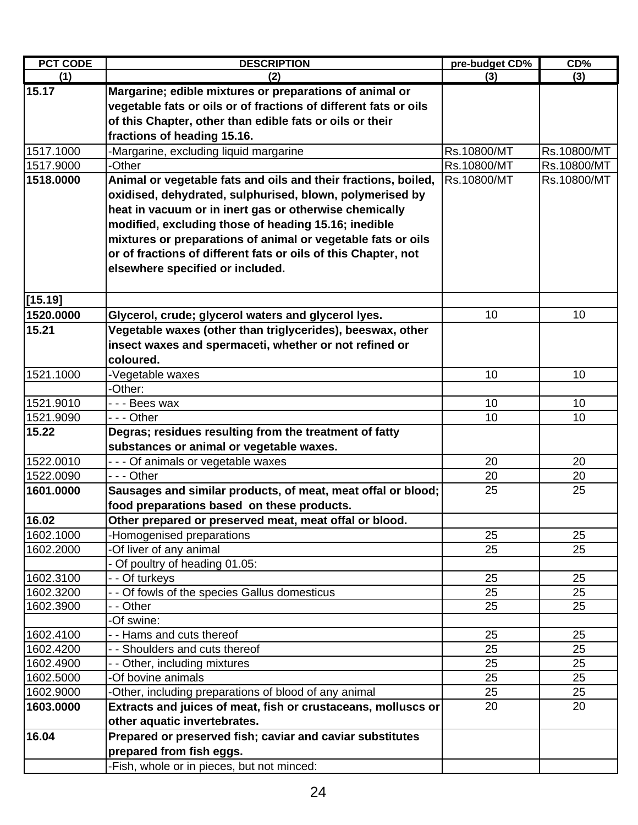| <b>PCT CODE</b> | <b>DESCRIPTION</b>                                                                                                                                                                                                                                                                                                                                                                                                 | pre-budget CD% | CD%         |
|-----------------|--------------------------------------------------------------------------------------------------------------------------------------------------------------------------------------------------------------------------------------------------------------------------------------------------------------------------------------------------------------------------------------------------------------------|----------------|-------------|
| (1)             | (2)                                                                                                                                                                                                                                                                                                                                                                                                                | (3)            | (3)         |
| 15.17           | Margarine; edible mixtures or preparations of animal or<br>vegetable fats or oils or of fractions of different fats or oils<br>of this Chapter, other than edible fats or oils or their<br>fractions of heading 15.16.                                                                                                                                                                                             |                |             |
| 1517.1000       | -Margarine, excluding liquid margarine                                                                                                                                                                                                                                                                                                                                                                             | Rs.10800/MT    | Rs.10800/MT |
| 1517.9000       | -Other                                                                                                                                                                                                                                                                                                                                                                                                             | Rs.10800/MT    | Rs.10800/MT |
| 1518.0000       | Animal or vegetable fats and oils and their fractions, boiled,<br>oxidised, dehydrated, sulphurised, blown, polymerised by<br>heat in vacuum or in inert gas or otherwise chemically<br>modified, excluding those of heading 15.16; inedible<br>mixtures or preparations of animal or vegetable fats or oils<br>or of fractions of different fats or oils of this Chapter, not<br>elsewhere specified or included. | Rs.10800/MT    | Rs.10800/MT |
| [15.19]         |                                                                                                                                                                                                                                                                                                                                                                                                                    |                |             |
| 1520.0000       | Glycerol, crude; glycerol waters and glycerol lyes.                                                                                                                                                                                                                                                                                                                                                                | 10             | 10          |
| 15.21           | Vegetable waxes (other than triglycerides), beeswax, other<br>insect waxes and spermaceti, whether or not refined or<br>coloured.                                                                                                                                                                                                                                                                                  |                |             |
| 1521.1000       | -Vegetable waxes                                                                                                                                                                                                                                                                                                                                                                                                   | 10             | 10          |
|                 | -Other:                                                                                                                                                                                                                                                                                                                                                                                                            |                |             |
| 1521.9010       | - - - Bees wax                                                                                                                                                                                                                                                                                                                                                                                                     | 10             | 10          |
| 1521.9090       | - - - Other                                                                                                                                                                                                                                                                                                                                                                                                        | 10             | 10          |
| 15.22           | Degras; residues resulting from the treatment of fatty<br>substances or animal or vegetable waxes.                                                                                                                                                                                                                                                                                                                 |                |             |
| 1522.0010       | - - - Of animals or vegetable waxes                                                                                                                                                                                                                                                                                                                                                                                | 20             | 20          |
| 1522.0090       | - - - Other                                                                                                                                                                                                                                                                                                                                                                                                        | 20             | 20          |
| 1601.0000       | Sausages and similar products, of meat, meat offal or blood;<br>food preparations based on these products.                                                                                                                                                                                                                                                                                                         | 25             | 25          |
| 16.02           | Other prepared or preserved meat, meat offal or blood.                                                                                                                                                                                                                                                                                                                                                             |                |             |
| 1602.1000       | -Homogenised preparations                                                                                                                                                                                                                                                                                                                                                                                          | 25             | 25          |
| 1602.2000       | -Of liver of any animal                                                                                                                                                                                                                                                                                                                                                                                            | 25             | 25          |
|                 | - Of poultry of heading 01.05:                                                                                                                                                                                                                                                                                                                                                                                     |                |             |
| 1602.3100       | - - Of turkeys                                                                                                                                                                                                                                                                                                                                                                                                     | 25             | 25          |
| 1602.3200       | - - Of fowls of the species Gallus domesticus                                                                                                                                                                                                                                                                                                                                                                      | 25             | 25          |
| 1602.3900       | - - Other                                                                                                                                                                                                                                                                                                                                                                                                          | 25             | 25          |
|                 | -Of swine:                                                                                                                                                                                                                                                                                                                                                                                                         |                |             |
| 1602.4100       | - - Hams and cuts thereof                                                                                                                                                                                                                                                                                                                                                                                          | 25             | 25          |
| 1602.4200       | - - Shoulders and cuts thereof                                                                                                                                                                                                                                                                                                                                                                                     | 25             | 25          |
| 1602.4900       | - - Other, including mixtures                                                                                                                                                                                                                                                                                                                                                                                      | 25             | 25          |
| 1602.5000       | -Of bovine animals                                                                                                                                                                                                                                                                                                                                                                                                 | 25             | 25          |
| 1602.9000       | -Other, including preparations of blood of any animal                                                                                                                                                                                                                                                                                                                                                              | 25             | 25          |
| 1603.0000       | Extracts and juices of meat, fish or crustaceans, molluscs or                                                                                                                                                                                                                                                                                                                                                      | 20             | 20          |
|                 | other aquatic invertebrates.                                                                                                                                                                                                                                                                                                                                                                                       |                |             |
| 16.04           | Prepared or preserved fish; caviar and caviar substitutes                                                                                                                                                                                                                                                                                                                                                          |                |             |
|                 | prepared from fish eggs.                                                                                                                                                                                                                                                                                                                                                                                           |                |             |
|                 | -Fish, whole or in pieces, but not minced:                                                                                                                                                                                                                                                                                                                                                                         |                |             |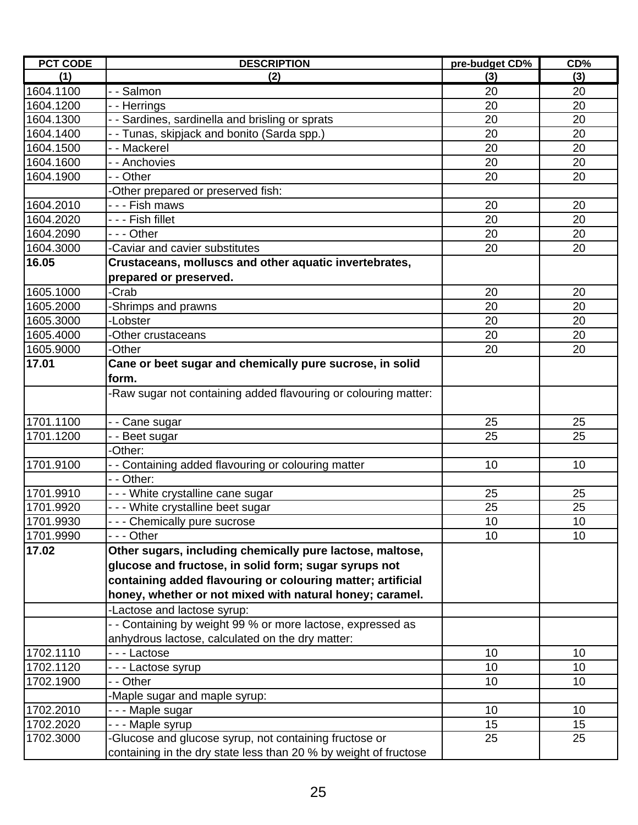| <b>PCT CODE</b> | <b>DESCRIPTION</b>                                               | pre-budget CD% | CD% |
|-----------------|------------------------------------------------------------------|----------------|-----|
| (1)             | (2)                                                              | (3)            | (3) |
| 1604.1100       | - - Salmon                                                       | 20             | 20  |
| 1604.1200       | - - Herrings                                                     | 20             | 20  |
| 1604.1300       | - Sardines, sardinella and brisling or sprats                    | 20             | 20  |
| 1604.1400       | - - Tunas, skipjack and bonito (Sarda spp.)                      | 20             | 20  |
| 1604.1500       | - - Mackerel                                                     | 20             | 20  |
| 1604.1600       | - - Anchovies                                                    | 20             | 20  |
| 1604.1900       | - - Other                                                        | 20             | 20  |
|                 | -Other prepared or preserved fish:                               |                |     |
| 1604.2010       | - - - Fish maws                                                  | 20             | 20  |
| 1604.2020       | - - - Fish fillet                                                | 20             | 20  |
| 1604.2090       | --- Other                                                        | 20             | 20  |
| 1604.3000       | Caviar and cavier substitutes                                    | 20             | 20  |
| 16.05           | Crustaceans, molluscs and other aquatic invertebrates,           |                |     |
|                 | prepared or preserved.                                           |                |     |
| 1605.1000       | -Crab                                                            | 20             | 20  |
| 1605.2000       | Shrimps and prawns                                               | 20             | 20  |
| 1605.3000       | -Lobster                                                         | 20             | 20  |
| 1605.4000       | -Other crustaceans                                               | 20             | 20  |
| 1605.9000       | -Other                                                           | 20             | 20  |
| 17.01           | Cane or beet sugar and chemically pure sucrose, in solid         |                |     |
|                 | form.                                                            |                |     |
|                 | -Raw sugar not containing added flavouring or colouring matter:  |                |     |
|                 |                                                                  |                |     |
| 1701.1100       | - Cane sugar                                                     | 25             | 25  |
| 1701.1200       | - - Beet sugar                                                   | 25             | 25  |
|                 | -Other:                                                          |                |     |
| 1701.9100       | - - Containing added flavouring or colouring matter              | 10             | 10  |
|                 | - - Other:                                                       |                |     |
| 1701.9910       | --- White crystalline cane sugar                                 | 25             | 25  |
| 1701.9920       | --- White crystalline beet sugar                                 | 25             | 25  |
| 1701.9930       | - - - Chemically pure sucrose                                    | 10             | 10  |
| 1701.9990       | - - - Other                                                      | 10             | 10  |
| 17.02           | Other sugars, including chemically pure lactose, maltose,        |                |     |
|                 | glucose and fructose, in solid form; sugar syrups not            |                |     |
|                 | containing added flavouring or colouring matter; artificial      |                |     |
|                 | honey, whether or not mixed with natural honey; caramel.         |                |     |
|                 | -Lactose and lactose syrup:                                      |                |     |
|                 | - - Containing by weight 99 % or more lactose, expressed as      |                |     |
|                 | anhydrous lactose, calculated on the dry matter:                 |                |     |
| 1702.1110       | --- Lactose                                                      | 10             | 10  |
| 1702.1120       | - - - Lactose syrup                                              | 10             | 10  |
| 1702.1900       | - - Other                                                        | 10             | 10  |
|                 | -Maple sugar and maple syrup:                                    |                |     |
| 1702.2010       | - - - Maple sugar                                                | 10             | 10  |
| 1702.2020       | - - - Maple syrup                                                | 15             | 15  |
| 1702.3000       | Glucose and glucose syrup, not containing fructose or            | 25             | 25  |
|                 | containing in the dry state less than 20 % by weight of fructose |                |     |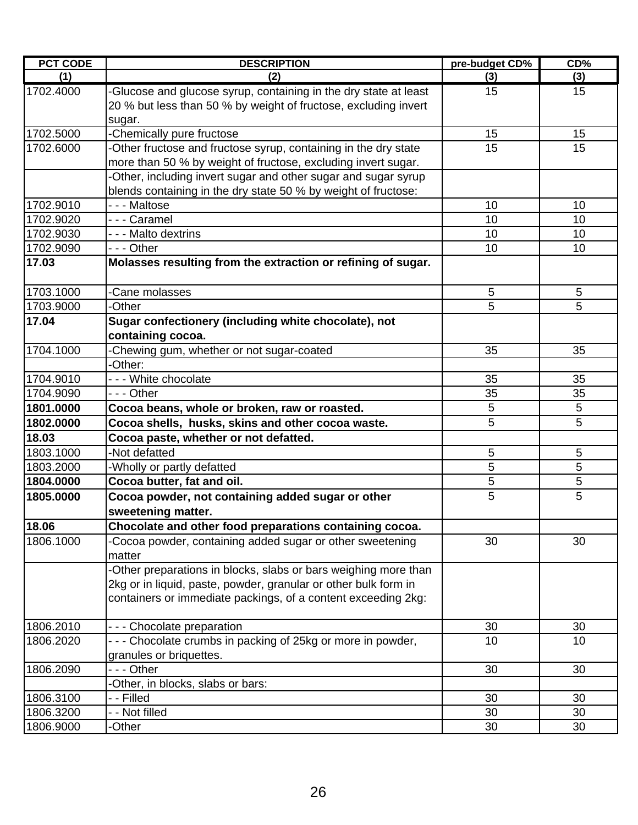| <b>PCT CODE</b> | <b>DESCRIPTION</b>                                                  | pre-budget CD% | CD% |
|-----------------|---------------------------------------------------------------------|----------------|-----|
| (1)             | (2)                                                                 | (3)            | (3) |
| 1702.4000       | -Glucose and glucose syrup, containing in the dry state at least    | 15             | 15  |
|                 | 20 % but less than 50 % by weight of fructose, excluding invert     |                |     |
|                 | sugar.                                                              |                |     |
| 1702.5000       | -Chemically pure fructose                                           | 15             | 15  |
| 1702.6000       | -Other fructose and fructose syrup, containing in the dry state     | 15             | 15  |
|                 | more than 50 % by weight of fructose, excluding invert sugar.       |                |     |
|                 | -Other, including invert sugar and other sugar and sugar syrup      |                |     |
|                 | blends containing in the dry state 50 % by weight of fructose:      |                |     |
| 1702.9010       | - - - Maltose                                                       | 10             | 10  |
| 1702.9020       | - - - Caramel                                                       | 10             | 10  |
| 1702.9030       | - - - Malto dextrins                                                | 10             | 10  |
| 1702.9090       | --- Other                                                           | 10             | 10  |
| 17.03           | Molasses resulting from the extraction or refining of sugar.        |                |     |
| 1703.1000       | -Cane molasses                                                      | 5              | 5   |
| 1703.9000       | -Other                                                              | 5              | 5   |
| 17.04           | Sugar confectionery (including white chocolate), not                |                |     |
|                 | containing cocoa.                                                   |                |     |
| 1704.1000       | -Chewing gum, whether or not sugar-coated                           | 35             | 35  |
|                 | -Other:                                                             |                |     |
| 1704.9010       | --- White chocolate                                                 | 35             | 35  |
| 1704.9090       | $- -$ Other                                                         | 35             | 35  |
| 1801.0000       | Cocoa beans, whole or broken, raw or roasted.                       | 5              | 5   |
| 1802.0000       | Cocoa shells, husks, skins and other cocoa waste.                   | 5              | 5   |
| 18.03           | Cocoa paste, whether or not defatted.                               |                |     |
| 1803.1000       | -Not defatted                                                       | 5              | 5   |
| 1803.2000       | -Wholly or partly defatted                                          | 5              | 5   |
| 1804.0000       | Cocoa butter, fat and oil.                                          | $\overline{5}$ | 5   |
| 1805.0000       | Cocoa powder, not containing added sugar or other                   | 5              | 5   |
|                 | sweetening matter.                                                  |                |     |
| 18.06           | Chocolate and other food preparations containing cocoa.             |                |     |
| 1806.1000       | -Cocoa powder, containing added sugar or other sweetening<br>matter | 30             | 30  |
|                 | -Other preparations in blocks, slabs or bars weighing more than     |                |     |
|                 | 2kg or in liquid, paste, powder, granular or other bulk form in     |                |     |
|                 | containers or immediate packings, of a content exceeding 2kg:       |                |     |
|                 |                                                                     |                |     |
| 1806.2010       | - - - Chocolate preparation                                         | 30             | 30  |
| 1806.2020       | - - - Chocolate crumbs in packing of 25kg or more in powder,        | 10             | 10  |
|                 | granules or briquettes.                                             |                |     |
| 1806.2090       | --- Other                                                           | 30             | 30  |
|                 | -Other, in blocks, slabs or bars:                                   |                |     |
| 1806.3100       | - - Filled                                                          | 30             | 30  |
| 1806.3200       | - - Not filled                                                      | 30             | 30  |
| 1806.9000       | -Other                                                              | 30             | 30  |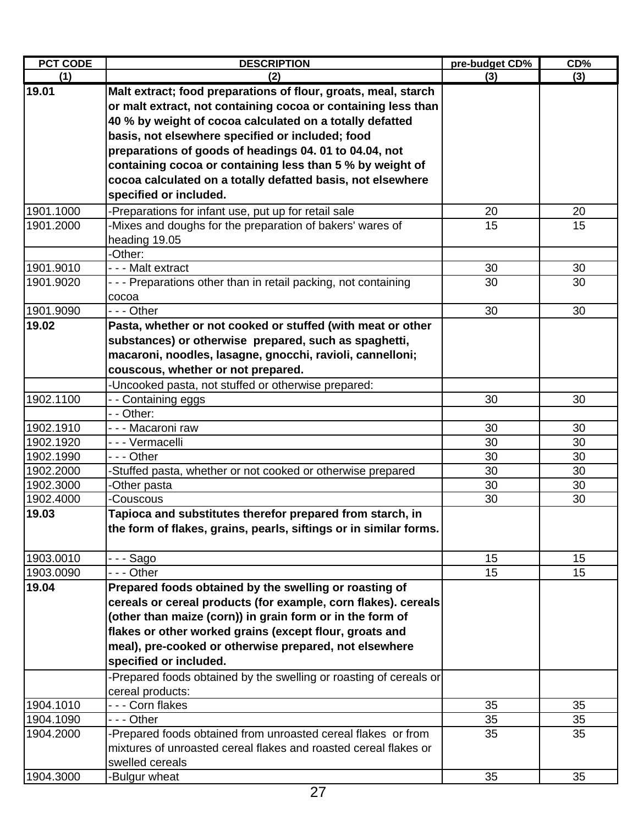| <b>PCT CODE</b> | <b>DESCRIPTION</b>                                                 | pre-budget CD% | CD% |
|-----------------|--------------------------------------------------------------------|----------------|-----|
| (1)             | (2)                                                                | (3)            | (3) |
| 19.01           | Malt extract; food preparations of flour, groats, meal, starch     |                |     |
|                 | or malt extract, not containing cocoa or containing less than      |                |     |
|                 | 40 % by weight of cocoa calculated on a totally defatted           |                |     |
|                 | basis, not elsewhere specified or included; food                   |                |     |
|                 | preparations of goods of headings 04. 01 to 04.04, not             |                |     |
|                 | containing cocoa or containing less than 5 % by weight of          |                |     |
|                 | cocoa calculated on a totally defatted basis, not elsewhere        |                |     |
|                 | specified or included.                                             |                |     |
| 1901.1000       | -Preparations for infant use, put up for retail sale               | 20             | 20  |
| 1901.2000       | -Mixes and doughs for the preparation of bakers' wares of          | 15             | 15  |
|                 | heading 19.05                                                      |                |     |
|                 | -Other:                                                            |                |     |
| 1901.9010       | - - - Malt extract                                                 | 30             | 30  |
| 1901.9020       | - - - Preparations other than in retail packing, not containing    | 30             | 30  |
|                 | cocoa                                                              |                |     |
| 1901.9090       | - - - Other                                                        | 30             | 30  |
| 19.02           | Pasta, whether or not cooked or stuffed (with meat or other        |                |     |
|                 | substances) or otherwise prepared, such as spaghetti,              |                |     |
|                 | macaroni, noodles, lasagne, gnocchi, ravioli, cannelloni;          |                |     |
|                 | couscous, whether or not prepared.                                 |                |     |
|                 | -Uncooked pasta, not stuffed or otherwise prepared:                |                |     |
| 1902.1100       | - - Containing eggs                                                | 30             | 30  |
|                 | - - Other:                                                         |                |     |
| 1902.1910       | - - - Macaroni raw                                                 | 30             | 30  |
| 1902.1920       | - - - Vermacelli                                                   | 30             | 30  |
| 1902.1990       | - - - Other                                                        | 30             | 30  |
| 1902.2000       | -Stuffed pasta, whether or not cooked or otherwise prepared        | 30             | 30  |
| 1902.3000       | -Other pasta                                                       | 30             | 30  |
| 1902.4000       | -Couscous                                                          | 30             | 30  |
| 19.03           | Tapioca and substitutes therefor prepared from starch, in          |                |     |
|                 | the form of flakes, grains, pearls, siftings or in similar forms.  |                |     |
|                 |                                                                    |                |     |
| 1903.0010       | - - - Sago                                                         | 15             | 15  |
| 1903.0090       | $- -$ Other                                                        | 15             | 15  |
| 19.04           | Prepared foods obtained by the swelling or roasting of             |                |     |
|                 | cereals or cereal products (for example, corn flakes). cereals     |                |     |
|                 | (other than maize (corn)) in grain form or in the form of          |                |     |
|                 | flakes or other worked grains (except flour, groats and            |                |     |
|                 | meal), pre-cooked or otherwise prepared, not elsewhere             |                |     |
|                 | specified or included.                                             |                |     |
|                 | -Prepared foods obtained by the swelling or roasting of cereals or |                |     |
|                 | cereal products:                                                   |                |     |
| 1904.1010       | --- Corn flakes                                                    | 35             | 35  |
| 1904.1090       | - - - Other                                                        | 35             | 35  |
| 1904.2000       | -Prepared foods obtained from unroasted cereal flakes or from      | 35             | 35  |
|                 | mixtures of unroasted cereal flakes and roasted cereal flakes or   |                |     |
|                 | swelled cereals                                                    |                |     |
| 1904.3000       | -Bulgur wheat                                                      | 35             | 35  |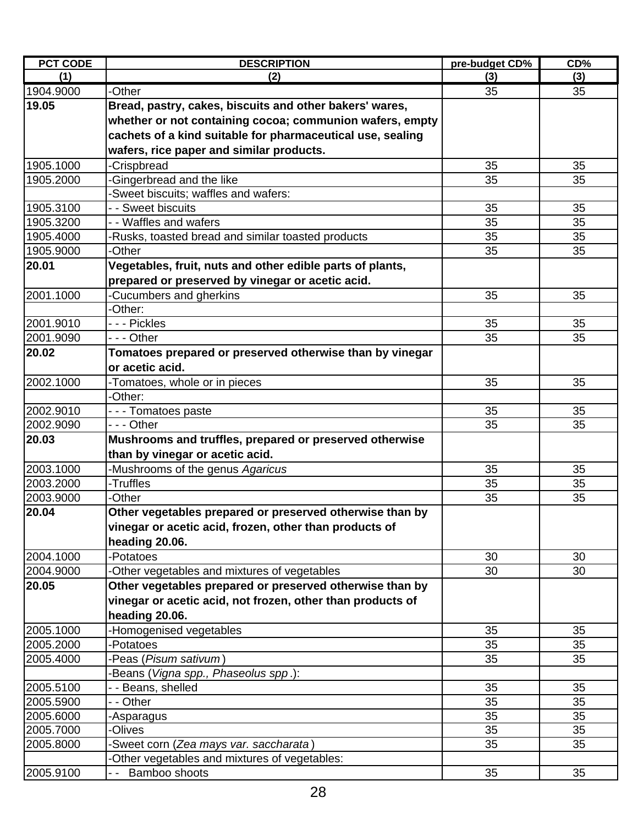| <b>PCT CODE</b> | <b>DESCRIPTION</b>                                         | pre-budget CD% | CD%      |
|-----------------|------------------------------------------------------------|----------------|----------|
| (1)             | (2)                                                        | (3)            | (3)      |
| 1904.9000       | -Other                                                     | 35             | 35       |
| 19.05           | Bread, pastry, cakes, biscuits and other bakers' wares,    |                |          |
|                 | whether or not containing cocoa; communion wafers, empty   |                |          |
|                 | cachets of a kind suitable for pharmaceutical use, sealing |                |          |
|                 | wafers, rice paper and similar products.                   |                |          |
| 1905.1000       | <b>Crispbread</b>                                          | 35             | 35       |
| 1905.2000       | Gingerbread and the like                                   | 35             | 35       |
|                 | -Sweet biscuits; waffles and wafers:                       |                |          |
| 1905.3100       | - - Sweet biscuits                                         | 35             | 35       |
| 1905.3200       | - - Waffles and wafers                                     | 35             | 35       |
| 1905.4000       | Rusks, toasted bread and similar toasted products          | 35             | 35       |
| 1905.9000       | -Other                                                     | 35             | 35       |
| 20.01           | Vegetables, fruit, nuts and other edible parts of plants,  |                |          |
|                 | prepared or preserved by vinegar or acetic acid.           |                |          |
| 2001.1000       | -Cucumbers and gherkins                                    | 35             | 35       |
|                 | -Other:                                                    |                |          |
| 2001.9010       | - - - Pickles                                              | 35             | 35       |
| 2001.9090       | - - - Other                                                | 35             | 35       |
| 20.02           | Tomatoes prepared or preserved otherwise than by vinegar   |                |          |
|                 | or acetic acid.                                            |                |          |
| 2002.1000       |                                                            | 35             | 35       |
|                 | -Tomatoes, whole or in pieces<br>-Other:                   |                |          |
| 2002.9010       |                                                            | 35             |          |
| 2002.9090       | - - - Tomatoes paste<br>- - - Other                        | 35             | 35<br>35 |
| 20.03           |                                                            |                |          |
|                 | Mushrooms and truffles, prepared or preserved otherwise    |                |          |
|                 | than by vinegar or acetic acid.                            |                |          |
| 2003.1000       | -Mushrooms of the genus Agaricus                           | 35             | 35       |
| 2003.2000       | -Truffles                                                  | 35             | 35       |
| 2003.9000       | -Other                                                     | 35             | 35       |
| 20.04           | Other vegetables prepared or preserved otherwise than by   |                |          |
|                 | vinegar or acetic acid, frozen, other than products of     |                |          |
|                 | heading 20.06.                                             |                |          |
| 2004.1000       | Potatoes                                                   | 30             | 30       |
| 2004.9000       | -Other vegetables and mixtures of vegetables               | 30             | 30       |
| 20.05           | Other vegetables prepared or preserved otherwise than by   |                |          |
|                 | vinegar or acetic acid, not frozen, other than products of |                |          |
|                 | heading 20.06.                                             |                |          |
| 2005.1000       | Homogenised vegetables                                     | 35             | 35       |
| 2005.2000       | -Potatoes                                                  | 35             | 35       |
| 2005.4000       | -Peas (Pisum sativum)                                      | 35             | 35       |
|                 | Beans (Vigna spp., Phaseolus spp.):                        |                |          |
| 2005.5100       | - Beans, shelled                                           | 35             | 35       |
| 2005.5900       | - - Other                                                  | 35             | 35       |
| 2005.6000       | -Asparagus                                                 | 35             | 35       |
| 2005.7000       | <b>Olives</b>                                              | 35             | 35       |
| 2005.8000       | Sweet corn (Zea mays var. saccharata)                      | 35             | 35       |
|                 | Other vegetables and mixtures of vegetables:               |                |          |
| 2005.9100       | Bamboo shoots                                              | 35             | 35       |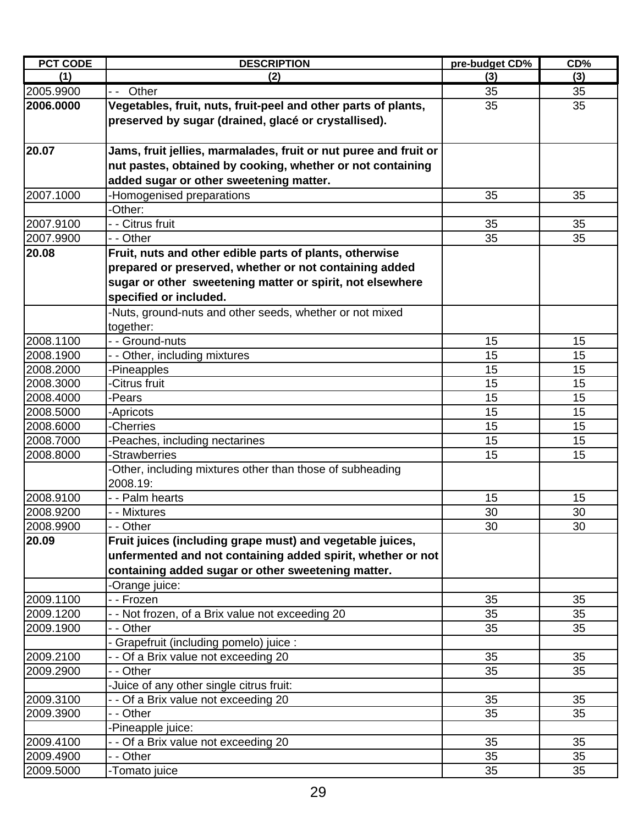| <b>PCT CODE</b> | <b>DESCRIPTION</b>                                               | pre-budget CD% | CD% |
|-----------------|------------------------------------------------------------------|----------------|-----|
| (1)             | (2)                                                              | (3)            | (3) |
| 2005.9900       | Other<br>$ -$                                                    | 35             | 35  |
| 2006.0000       | Vegetables, fruit, nuts, fruit-peel and other parts of plants,   | 35             | 35  |
|                 | preserved by sugar (drained, glacé or crystallised).             |                |     |
|                 |                                                                  |                |     |
| 20.07           | Jams, fruit jellies, marmalades, fruit or nut puree and fruit or |                |     |
|                 | nut pastes, obtained by cooking, whether or not containing       |                |     |
|                 | added sugar or other sweetening matter.                          |                |     |
| 2007.1000       | -Homogenised preparations                                        | 35             | 35  |
|                 | -Other:                                                          |                |     |
| 2007.9100       | - - Citrus fruit                                                 | 35             | 35  |
| 2007.9900       | - - Other                                                        | 35             | 35  |
| 20.08           | Fruit, nuts and other edible parts of plants, otherwise          |                |     |
|                 | prepared or preserved, whether or not containing added           |                |     |
|                 | sugar or other sweetening matter or spirit, not elsewhere        |                |     |
|                 | specified or included.                                           |                |     |
|                 | -Nuts, ground-nuts and other seeds, whether or not mixed         |                |     |
|                 | together:                                                        |                |     |
| 2008.1100       | - - Ground-nuts                                                  | 15             | 15  |
| 2008.1900       | - Other, including mixtures                                      | 15             | 15  |
| 2008.2000       | Pineapples                                                       | 15             | 15  |
| 2008.3000       | Citrus fruit                                                     | 15             | 15  |
| 2008.4000       | -Pears                                                           | 15             | 15  |
| 2008.5000       | Apricots                                                         | 15             | 15  |
| 2008.6000       | -Cherries                                                        | 15             | 15  |
| 2008.7000       | Peaches, including nectarines                                    | 15             | 15  |
| 2008.8000       | <b>Strawberries</b>                                              | 15             | 15  |
|                 | Other, including mixtures other than those of subheading         |                |     |
|                 | 2008.19:                                                         |                |     |
| 2008.9100       | - - Palm hearts                                                  | 15             | 15  |
| 2008.9200       | - - Mixtures                                                     | 30             | 30  |
| 2008.9900       | - - Other                                                        | 30             | 30  |
| 20.09           | Fruit juices (including grape must) and vegetable juices,        |                |     |
|                 | unfermented and not containing added spirit, whether or not      |                |     |
|                 | containing added sugar or other sweetening matter.               |                |     |
|                 | -Orange juice:                                                   |                |     |
| 2009.1100       | - - Frozen                                                       | 35             | 35  |
| 2009.1200       | - - Not frozen, of a Brix value not exceeding 20                 | 35             | 35  |
| 2009.1900       | - - Other                                                        | 35             | 35  |
|                 | Grapefruit (including pomelo) juice :                            |                |     |
| 2009.2100       | - Of a Brix value not exceeding 20                               | 35             | 35  |
| 2009.2900       | - - Other                                                        | 35             | 35  |
|                 | Juice of any other single citrus fruit:                          |                |     |
| 2009.3100       | Of a Brix value not exceeding 20                                 | 35             | 35  |
| 2009.3900       | - - Other                                                        | 35             | 35  |
|                 | Pineapple juice:                                                 |                |     |
| 2009.4100       | - Of a Brix value not exceeding 20                               | 35             | 35  |
| 2009.4900       | - - Other                                                        | 35             | 35  |
| 2009.5000       | -Tomato juice                                                    | 35             | 35  |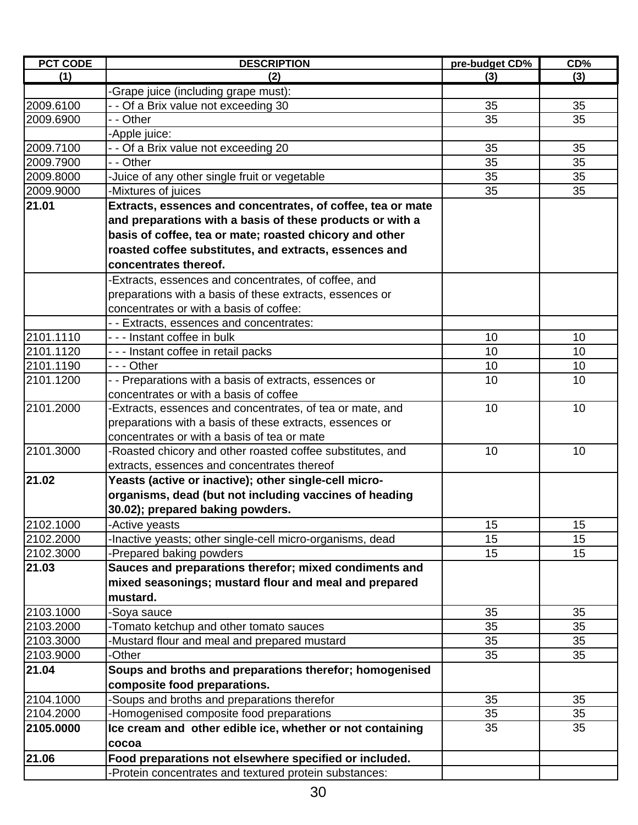| <b>PCT CODE</b> | <b>DESCRIPTION</b>                                          | pre-budget CD% | CD% |
|-----------------|-------------------------------------------------------------|----------------|-----|
| (1)             | (2)                                                         | (3)            | (3) |
|                 | -Grape juice (including grape must):                        |                |     |
| 2009.6100       | - - Of a Brix value not exceeding 30                        | 35             | 35  |
| 2009.6900       | - - Other                                                   | 35             | 35  |
|                 | -Apple juice:                                               |                |     |
| 2009.7100       | - - Of a Brix value not exceeding 20                        | 35             | 35  |
| 2009.7900       | - - Other                                                   | 35             | 35  |
| 2009.8000       | -Juice of any other single fruit or vegetable               | 35             | 35  |
| 2009.9000       | -Mixtures of juices                                         | 35             | 35  |
| 21.01           | Extracts, essences and concentrates, of coffee, tea or mate |                |     |
|                 | and preparations with a basis of these products or with a   |                |     |
|                 | basis of coffee, tea or mate; roasted chicory and other     |                |     |
|                 | roasted coffee substitutes, and extracts, essences and      |                |     |
|                 | concentrates thereof.                                       |                |     |
|                 | -Extracts, essences and concentrates, of coffee, and        |                |     |
|                 | preparations with a basis of these extracts, essences or    |                |     |
|                 | concentrates or with a basis of coffee:                     |                |     |
|                 | - - Extracts, essences and concentrates:                    |                |     |
| 2101.1110       | - - - Instant coffee in bulk                                | 10             | 10  |
| 2101.1120       | - - - Instant coffee in retail packs                        | 10             | 10  |
| 2101.1190       | --- Other                                                   | 10             | 10  |
| 2101.1200       | - - Preparations with a basis of extracts, essences or      | 10             | 10  |
|                 | concentrates or with a basis of coffee                      |                |     |
| 2101.2000       | -Extracts, essences and concentrates, of tea or mate, and   | 10             | 10  |
|                 | preparations with a basis of these extracts, essences or    |                |     |
|                 | concentrates or with a basis of tea or mate                 |                |     |
| 2101.3000       | -Roasted chicory and other roasted coffee substitutes, and  | 10             | 10  |
|                 | extracts, essences and concentrates thereof                 |                |     |
| 21.02           | Yeasts (active or inactive); other single-cell micro-       |                |     |
|                 | organisms, dead (but not including vaccines of heading      |                |     |
|                 | 30.02); prepared baking powders.                            |                |     |
| 2102.1000       | -Active yeasts                                              | 15             | 15  |
| 2102.2000       | -Inactive yeasts; other single-cell micro-organisms, dead   | 15             | 15  |
| 2102.3000       | -Prepared baking powders                                    | 15             | 15  |
| 21.03           | Sauces and preparations therefor; mixed condiments and      |                |     |
|                 | mixed seasonings; mustard flour and meal and prepared       |                |     |
|                 |                                                             |                |     |
|                 | mustard.                                                    |                |     |
| 2103.1000       | -Soya sauce                                                 | 35             | 35  |
| 2103.2000       | -Tomato ketchup and other tomato sauces                     | 35             | 35  |
| 2103.3000       | -Mustard flour and meal and prepared mustard                | 35             | 35  |
| 2103.9000       | -Other                                                      | 35             | 35  |
| 21.04           | Soups and broths and preparations therefor; homogenised     |                |     |
|                 | composite food preparations.                                |                |     |
| 2104.1000       | -Soups and broths and preparations therefor                 | 35             | 35  |
| 2104.2000       | -Homogenised composite food preparations                    | 35             | 35  |
| 2105.0000       | Ice cream and other edible ice, whether or not containing   | 35             | 35  |
|                 | cocoa                                                       |                |     |
| 21.06           | Food preparations not elsewhere specified or included.      |                |     |
|                 | -Protein concentrates and textured protein substances:      |                |     |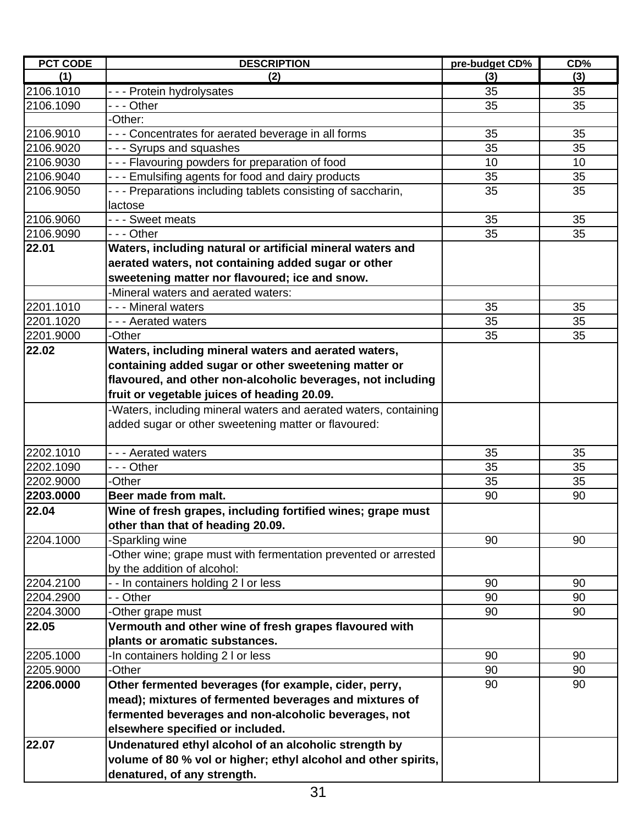| <b>PCT CODE</b> | <b>DESCRIPTION</b>                                               | pre-budget CD% | CD% |
|-----------------|------------------------------------------------------------------|----------------|-----|
| (1)             | (2)                                                              | (3)            | (3) |
| 2106.1010       | --- Protein hydrolysates                                         | 35             | 35  |
| 2106.1090       | - - - Other                                                      | 35             | 35  |
|                 | -Other:                                                          |                |     |
| 2106.9010       | --- Concentrates for aerated beverage in all forms               | 35             | 35  |
| 2106.9020       | --- Syrups and squashes                                          | 35             | 35  |
| 2106.9030       | - - - Flavouring powders for preparation of food                 | 10             | 10  |
| 2106.9040       | --- Emulsifing agents for food and dairy products                | 35             | 35  |
| 2106.9050       | - - - Preparations including tablets consisting of saccharin,    | 35             | 35  |
|                 | lactose                                                          |                |     |
| 2106.9060       | - - - Sweet meats                                                | 35             | 35  |
| 2106.9090       | --- Other                                                        | 35             | 35  |
| 22.01           | Waters, including natural or artificial mineral waters and       |                |     |
|                 | aerated waters, not containing added sugar or other              |                |     |
|                 | sweetening matter nor flavoured; ice and snow.                   |                |     |
|                 | -Mineral waters and aerated waters:                              |                |     |
| 2201.1010       | - - - Mineral waters                                             | 35             | 35  |
| 2201.1020       | --- Aerated waters                                               | 35             | 35  |
| 2201.9000       | -Other                                                           | 35             | 35  |
| 22.02           | Waters, including mineral waters and aerated waters,             |                |     |
|                 | containing added sugar or other sweetening matter or             |                |     |
|                 | flavoured, and other non-alcoholic beverages, not including      |                |     |
|                 | fruit or vegetable juices of heading 20.09.                      |                |     |
|                 | -Waters, including mineral waters and aerated waters, containing |                |     |
|                 | added sugar or other sweetening matter or flavoured:             |                |     |
| 2202.1010       | --- Aerated waters                                               | 35             | 35  |
| 2202.1090       | --- Other                                                        | 35             | 35  |
| 2202.9000       | -Other                                                           | 35             | 35  |
| 2203.0000       | Beer made from malt.                                             | 90             | 90  |
| 22.04           | Wine of fresh grapes, including fortified wines; grape must      |                |     |
|                 | other than that of heading 20.09.                                |                |     |
| 2204.1000       | -Sparkling wine                                                  | 90             | 90  |
|                 | -Other wine; grape must with fermentation prevented or arrested  |                |     |
|                 | by the addition of alcohol:                                      |                |     |
| 2204.2100       | - In containers holding 2 I or less                              | 90             | 90  |
| 2204.2900       | - - Other                                                        | 90             | 90  |
| 2204.3000       | -Other grape must                                                | 90             | 90  |
| 22.05           | Vermouth and other wine of fresh grapes flavoured with           |                |     |
|                 | plants or aromatic substances.                                   |                |     |
| 2205.1000       | In containers holding 2 I or less                                | 90             | 90  |
| 2205.9000       | -Other                                                           | 90             | 90  |
| 2206.0000       | Other fermented beverages (for example, cider, perry,            | 90             | 90  |
|                 | mead); mixtures of fermented beverages and mixtures of           |                |     |
|                 | fermented beverages and non-alcoholic beverages, not             |                |     |
|                 | elsewhere specified or included.                                 |                |     |
| 22.07           | Undenatured ethyl alcohol of an alcoholic strength by            |                |     |
|                 | volume of 80 % vol or higher; ethyl alcohol and other spirits,   |                |     |
|                 |                                                                  |                |     |
|                 | denatured, of any strength.                                      |                |     |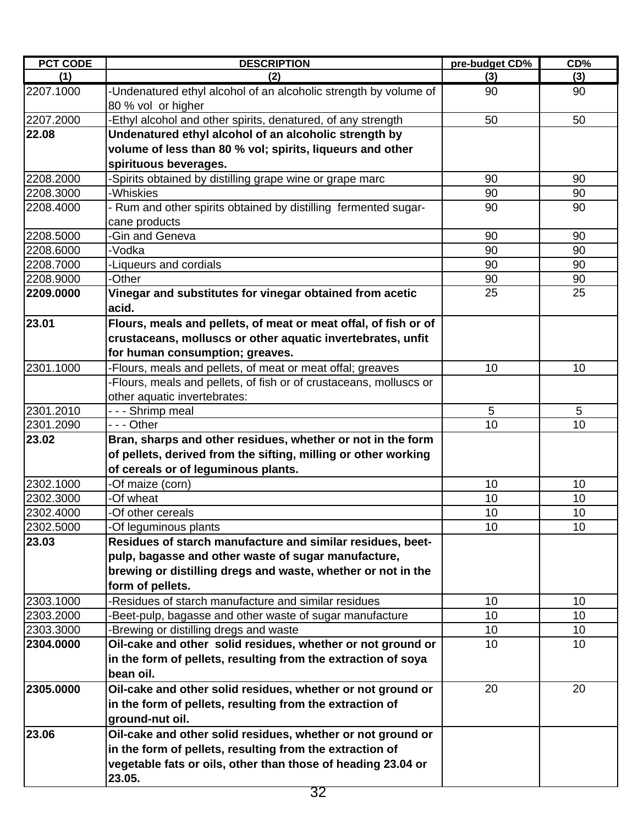| <b>PCT CODE</b> | <b>DESCRIPTION</b>                                                                     | pre-budget CD%  | CD% |
|-----------------|----------------------------------------------------------------------------------------|-----------------|-----|
| (1)             | (2)                                                                                    | (3)             | (3) |
| 2207.1000       | -Undenatured ethyl alcohol of an alcoholic strength by volume of<br>80 % vol or higher | 90              | 90  |
| 2207.2000       | -Ethyl alcohol and other spirits, denatured, of any strength                           | 50              | 50  |
| 22.08           | Undenatured ethyl alcohol of an alcoholic strength by                                  |                 |     |
|                 | volume of less than 80 % vol; spirits, liqueurs and other                              |                 |     |
|                 | spirituous beverages.                                                                  |                 |     |
| 2208.2000       | -Spirits obtained by distilling grape wine or grape marc                               | 90              | 90  |
| 2208.3000       | -Whiskies                                                                              | 90              | 90  |
| 2208.4000       | - Rum and other spirits obtained by distilling fermented sugar-                        | 90              | 90  |
|                 | cane products                                                                          |                 |     |
| 2208.5000       | -Gin and Geneva                                                                        | 90              | 90  |
| 2208.6000       | -Vodka                                                                                 | 90              | 90  |
| 2208.7000       | -Liqueurs and cordials                                                                 | 90              | 90  |
| 2208.9000       | -Other                                                                                 | 90              | 90  |
| 2209.0000       | Vinegar and substitutes for vinegar obtained from acetic                               | 25              | 25  |
|                 | acid.                                                                                  |                 |     |
| 23.01           | Flours, meals and pellets, of meat or meat offal, of fish or of                        |                 |     |
|                 | crustaceans, molluscs or other aquatic invertebrates, unfit                            |                 |     |
|                 | for human consumption; greaves.                                                        |                 |     |
| 2301.1000       | -Flours, meals and pellets, of meat or meat offal; greaves                             | 10              | 10  |
|                 | -Flours, meals and pellets, of fish or of crustaceans, molluscs or                     |                 |     |
|                 | other aquatic invertebrates:                                                           |                 |     |
| 2301.2010       | - - - Shrimp meal                                                                      | 5               | 5   |
| 2301.2090       | - - - Other                                                                            | 10              | 10  |
| 23.02           | Bran, sharps and other residues, whether or not in the form                            |                 |     |
|                 | of pellets, derived from the sifting, milling or other working                         |                 |     |
|                 | of cereals or of leguminous plants.                                                    |                 |     |
| 2302.1000       | -Of maize (corn)                                                                       | 10              | 10  |
| 2302.3000       | -Of wheat                                                                              | 10              | 10  |
| 2302.4000       | -Of other cereals                                                                      | 10              | 10  |
| 2302.5000       | -Of leguminous plants                                                                  | 10 <sub>1</sub> | 10  |
| 23.03           | Residues of starch manufacture and similar residues, beet-                             |                 |     |
|                 | pulp, bagasse and other waste of sugar manufacture,                                    |                 |     |
|                 | brewing or distilling dregs and waste, whether or not in the                           |                 |     |
|                 | form of pellets.                                                                       |                 |     |
| 2303.1000       | -Residues of starch manufacture and similar residues                                   | 10              | 10  |
| 2303.2000       | -Beet-pulp, bagasse and other waste of sugar manufacture                               | 10 <sup>1</sup> | 10  |
| 2303.3000       | -Brewing or distilling dregs and waste                                                 | 10              | 10  |
| 2304.0000       | Oil-cake and other solid residues, whether or not ground or                            | 10              | 10  |
|                 | in the form of pellets, resulting from the extraction of soya                          |                 |     |
|                 | bean oil.                                                                              |                 |     |
| 2305.0000       | Oil-cake and other solid residues, whether or not ground or                            | 20              | 20  |
|                 | in the form of pellets, resulting from the extraction of                               |                 |     |
|                 | ground-nut oil.                                                                        |                 |     |
| 23.06           | Oil-cake and other solid residues, whether or not ground or                            |                 |     |
|                 | in the form of pellets, resulting from the extraction of                               |                 |     |
|                 | vegetable fats or oils, other than those of heading 23.04 or<br>23.05.                 |                 |     |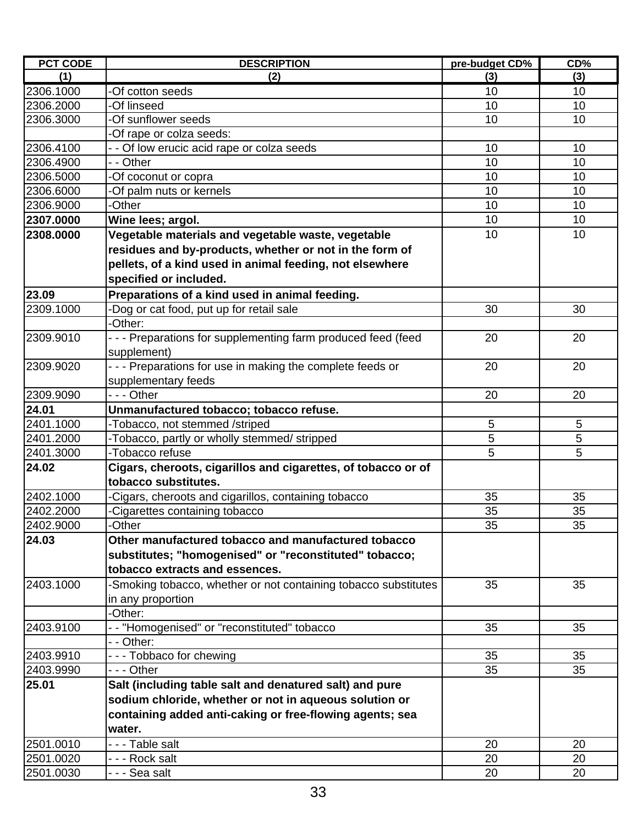| <b>PCT CODE</b> | <b>DESCRIPTION</b>                                                         | pre-budget CD%  | CD% |
|-----------------|----------------------------------------------------------------------------|-----------------|-----|
| (1)             | (2)                                                                        | (3)             | (3) |
| 2306.1000       | -Of cotton seeds                                                           | 10              | 10  |
| 2306.2000       | -Of linseed                                                                | 10              | 10  |
| 2306.3000       | Of sunflower seeds                                                         | 10              | 10  |
|                 | -Of rape or colza seeds:                                                   |                 |     |
| 2306.4100       | - - Of low erucic acid rape or colza seeds                                 | 10              | 10  |
| 2306.4900       | - - Other                                                                  | 10              | 10  |
| 2306.5000       | -Of coconut or copra                                                       | 10              | 10  |
| 2306.6000       | -Of palm nuts or kernels                                                   | 10              | 10  |
| 2306.9000       | -Other                                                                     | 10              | 10  |
| 2307.0000       | Wine lees; argol.                                                          | 10              | 10  |
| 2308.0000       | Vegetable materials and vegetable waste, vegetable                         | 10              | 10  |
|                 | residues and by-products, whether or not in the form of                    |                 |     |
|                 | pellets, of a kind used in animal feeding, not elsewhere                   |                 |     |
|                 | specified or included.                                                     |                 |     |
| 23.09           | Preparations of a kind used in animal feeding.                             |                 |     |
| 2309.1000       | -Dog or cat food, put up for retail sale                                   | 30              | 30  |
|                 | -Other:                                                                    |                 |     |
| 2309.9010       |                                                                            | 20              | 20  |
|                 | --- Preparations for supplementing farm produced feed (feed<br>supplement) |                 |     |
| 2309.9020       | - - - Preparations for use in making the complete feeds or                 | 20              | 20  |
|                 | supplementary feeds                                                        |                 |     |
| 2309.9090       | --- Other                                                                  | 20              | 20  |
| 24.01           | Unmanufactured tobacco; tobacco refuse.                                    |                 |     |
| 2401.1000       | -Tobacco, not stemmed /striped                                             | 5               | 5   |
| 2401.2000       | -Tobacco, partly or wholly stemmed/ stripped                               | 5               | 5   |
| 2401.3000       | -Tobacco refuse                                                            | 5               | 5   |
| 24.02           | Cigars, cheroots, cigarillos and cigarettes, of tobacco or of              |                 |     |
|                 | tobacco substitutes.                                                       |                 |     |
| 2402.1000       | Cigars, cheroots and cigarillos, containing tobacco                        | 35              | 35  |
| 2402.2000       | Cigarettes containing tobacco                                              | 35              | 35  |
| 2402.9000       | -Other                                                                     | $\overline{35}$ | 35  |
| 24.03           | Other manufactured tobacco and manufactured tobacco                        |                 |     |
|                 | substitutes; "homogenised" or "reconstituted" tobacco;                     |                 |     |
|                 | tobacco extracts and essences.                                             |                 |     |
| 2403.1000       | -Smoking tobacco, whether or not containing tobacco substitutes            | 35              | 35  |
|                 | in any proportion                                                          |                 |     |
|                 | -Other:                                                                    |                 |     |
| 2403.9100       | -- "Homogenised" or "reconstituted" tobacco                                | 35              | 35  |
|                 | - - Other:                                                                 |                 |     |
| 2403.9910       | --- Tobbaco for chewing                                                    | 35              | 35  |
| 2403.9990       | - - - Other                                                                | 35              | 35  |
| 25.01           | Salt (including table salt and denatured salt) and pure                    |                 |     |
|                 | sodium chloride, whether or not in aqueous solution or                     |                 |     |
|                 |                                                                            |                 |     |
|                 | containing added anti-caking or free-flowing agents; sea                   |                 |     |
|                 | water.                                                                     |                 |     |
| 2501.0010       | - - - Table salt                                                           | 20              | 20  |
| 2501.0020       | - - - Rock salt                                                            | 20              | 20  |
| 2501.0030       | - - - Sea salt                                                             | 20              | 20  |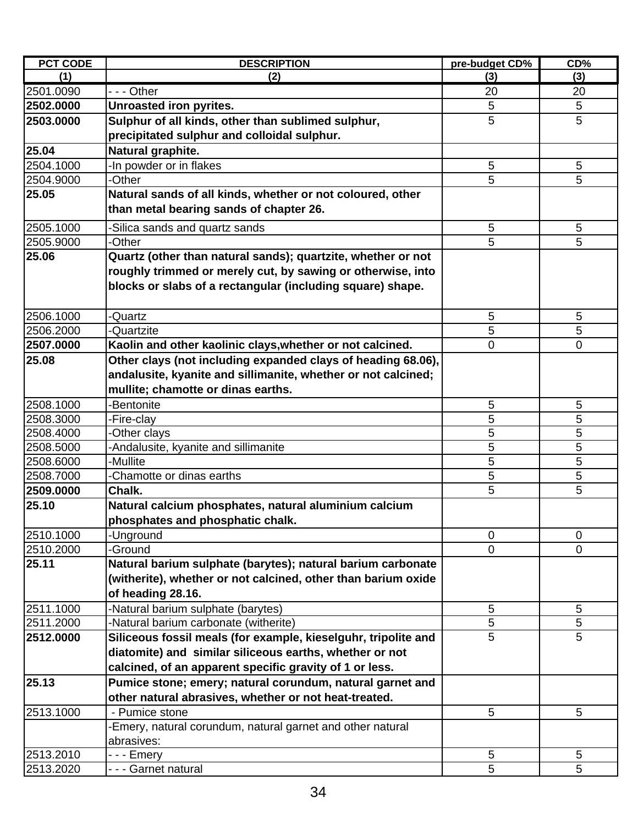| <b>PCT CODE</b> | <b>DESCRIPTION</b>                                             | pre-budget CD% | CD%            |
|-----------------|----------------------------------------------------------------|----------------|----------------|
| (1)             | (2)                                                            | (3)            | (3)            |
| 2501.0090       | --- Other                                                      | 20             | 20             |
| 2502.0000       | Unroasted iron pyrites.                                        | 5              | 5              |
| 2503.0000       | Sulphur of all kinds, other than sublimed sulphur,             | 5              | 5              |
|                 | precipitated sulphur and colloidal sulphur.                    |                |                |
| 25.04           | Natural graphite.                                              |                |                |
| 2504.1000       | -In powder or in flakes                                        | 5              | 5              |
| 2504.9000       | -Other                                                         | 5              | 5              |
| 25.05           | Natural sands of all kinds, whether or not coloured, other     |                |                |
|                 | than metal bearing sands of chapter 26.                        |                |                |
| 2505.1000       | -Silica sands and quartz sands                                 | 5              | 5              |
| 2505.9000       | -Other                                                         | 5              | 5              |
| 25.06           | Quartz (other than natural sands); quartzite, whether or not   |                |                |
|                 | roughly trimmed or merely cut, by sawing or otherwise, into    |                |                |
|                 | blocks or slabs of a rectangular (including square) shape.     |                |                |
|                 |                                                                |                |                |
| 2506.1000       | <b>Quartz</b>                                                  | 5              | 5              |
| 2506.2000       | -Quartzite                                                     | 5              | 5              |
| 2507.0000       | Kaolin and other kaolinic clays, whether or not calcined.      | $\mathbf 0$    | 0              |
| 25.08           | Other clays (not including expanded clays of heading 68.06),   |                |                |
|                 | andalusite, kyanite and sillimanite, whether or not calcined;  |                |                |
|                 | mullite; chamotte or dinas earths.                             |                |                |
| 2508.1000       | -Bentonite                                                     | 5              | 5              |
| 2508.3000       | -Fire-clay                                                     | 5              | 5              |
| 2508.4000       | -Other clays                                                   | 5              | 5              |
| 2508.5000       | Andalusite, kyanite and sillimanite                            | 5              | 5              |
| 2508.6000       | -Mullite                                                       | 5              | 5              |
| 2508.7000       | Chamotte or dinas earths                                       | 5              | 5              |
| 2509.0000       | Chalk.                                                         | 5              | 5              |
| 25.10           | Natural calcium phosphates, natural aluminium calcium          |                |                |
|                 | phosphates and phosphatic chalk.                               |                |                |
| 2510.1000       | -Unground                                                      | $\overline{0}$ | $\overline{0}$ |
| 2510.2000       | -Ground                                                        | $\mathbf 0$    | $\mathbf 0$    |
| 25.11           | Natural barium sulphate (barytes); natural barium carbonate    |                |                |
|                 | (witherite), whether or not calcined, other than barium oxide  |                |                |
|                 | of heading 28.16.                                              |                |                |
| 2511.1000       | -Natural barium sulphate (barytes)                             | 5              | 5              |
| 2511.2000       | -Natural barium carbonate (witherite)                          | 5<br>5         | 5<br>5         |
| 2512.0000       | Siliceous fossil meals (for example, kieselguhr, tripolite and |                |                |
|                 | diatomite) and similar siliceous earths, whether or not        |                |                |
|                 | calcined, of an apparent specific gravity of 1 or less.        |                |                |
| 25.13           | Pumice stone; emery; natural corundum, natural garnet and      |                |                |
|                 | other natural abrasives, whether or not heat-treated.          |                |                |
| 2513.1000       | - Pumice stone                                                 | 5              | 5              |
|                 | -Emery, natural corundum, natural garnet and other natural     |                |                |
| 2513.2010       | abrasives:                                                     | 5              | $\sqrt{5}$     |
| 2513.2020       | - - - Emery<br>- - - Garnet natural                            | 5              | 5              |
|                 |                                                                |                |                |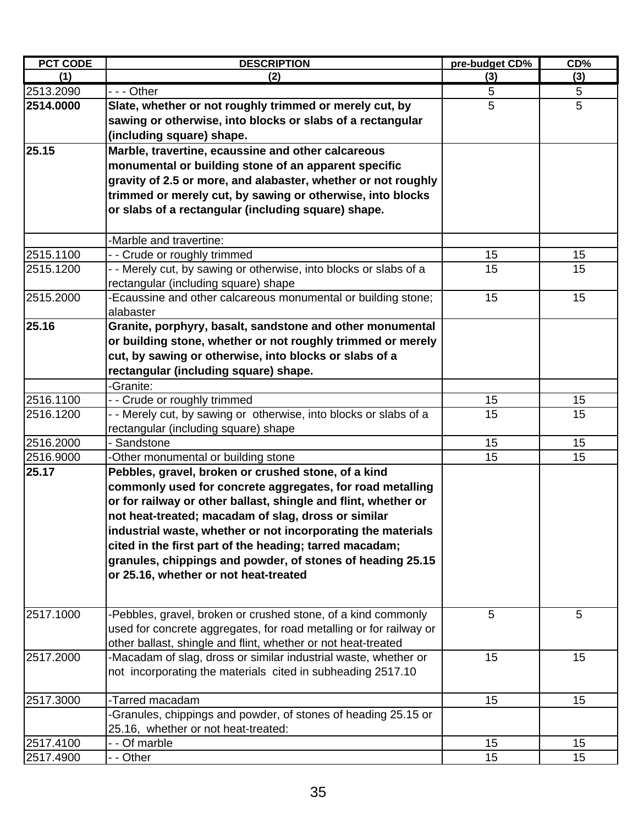| <b>PCT CODE</b> | <b>DESCRIPTION</b>                                                 | pre-budget CD% | CD% |
|-----------------|--------------------------------------------------------------------|----------------|-----|
| (1)             | (2)                                                                | (3)            | (3) |
| 2513.2090       | --- Other                                                          | 5              | 5   |
| 2514.0000       | Slate, whether or not roughly trimmed or merely cut, by            | 5              | 5   |
|                 | sawing or otherwise, into blocks or slabs of a rectangular         |                |     |
|                 | (including square) shape.                                          |                |     |
| 25.15           | Marble, travertine, ecaussine and other calcareous                 |                |     |
|                 | monumental or building stone of an apparent specific               |                |     |
|                 | gravity of 2.5 or more, and alabaster, whether or not roughly      |                |     |
|                 | trimmed or merely cut, by sawing or otherwise, into blocks         |                |     |
|                 | or slabs of a rectangular (including square) shape.                |                |     |
|                 |                                                                    |                |     |
|                 | -Marble and travertine:                                            |                |     |
| 2515.1100       | -- Crude or roughly trimmed                                        | 15             | 15  |
| 2515.1200       | - - Merely cut, by sawing or otherwise, into blocks or slabs of a  | 15             | 15  |
|                 | rectangular (including square) shape                               |                |     |
| 2515.2000       | -Ecaussine and other calcareous monumental or building stone;      | 15             | 15  |
|                 | alabaster                                                          |                |     |
| 25.16           | Granite, porphyry, basalt, sandstone and other monumental          |                |     |
|                 | or building stone, whether or not roughly trimmed or merely        |                |     |
|                 | cut, by sawing or otherwise, into blocks or slabs of a             |                |     |
|                 | rectangular (including square) shape.                              |                |     |
|                 | -Granite:                                                          |                |     |
| 2516.1100       | -- Crude or roughly trimmed                                        | 15             | 15  |
| 2516.1200       | - - Merely cut, by sawing or otherwise, into blocks or slabs of a  | 15             | 15  |
|                 | rectangular (including square) shape                               |                |     |
| 2516.2000       | Sandstone                                                          | 15             | 15  |
| 2516.9000       | -Other monumental or building stone                                | 15             | 15  |
| 25.17           | Pebbles, gravel, broken or crushed stone, of a kind                |                |     |
|                 | commonly used for concrete aggregates, for road metalling          |                |     |
|                 | or for railway or other ballast, shingle and flint, whether or     |                |     |
|                 | not heat-treated; macadam of slag, dross or similar                |                |     |
|                 | industrial waste, whether or not incorporating the materials       |                |     |
|                 | cited in the first part of the heading; tarred macadam;            |                |     |
|                 | granules, chippings and powder, of stones of heading 25.15         |                |     |
|                 | or 25.16, whether or not heat-treated                              |                |     |
|                 |                                                                    |                |     |
|                 |                                                                    |                |     |
| 2517.1000       | -Pebbles, gravel, broken or crushed stone, of a kind commonly      | 5              | 5   |
|                 | used for concrete aggregates, for road metalling or for railway or |                |     |
|                 | other ballast, shingle and flint, whether or not heat-treated      |                |     |
| 2517.2000       | -Macadam of slag, dross or similar industrial waste, whether or    | 15             | 15  |
|                 | not incorporating the materials cited in subheading 2517.10        |                |     |
| 2517.3000       | -Tarred macadam                                                    | 15             | 15  |
|                 | -Granules, chippings and powder, of stones of heading 25.15 or     |                |     |
|                 | 25.16, whether or not heat-treated:                                |                |     |
| 2517.4100       | - - Of marble                                                      | 15             | 15  |
| 2517.4900       | - - Other                                                          | 15             | 15  |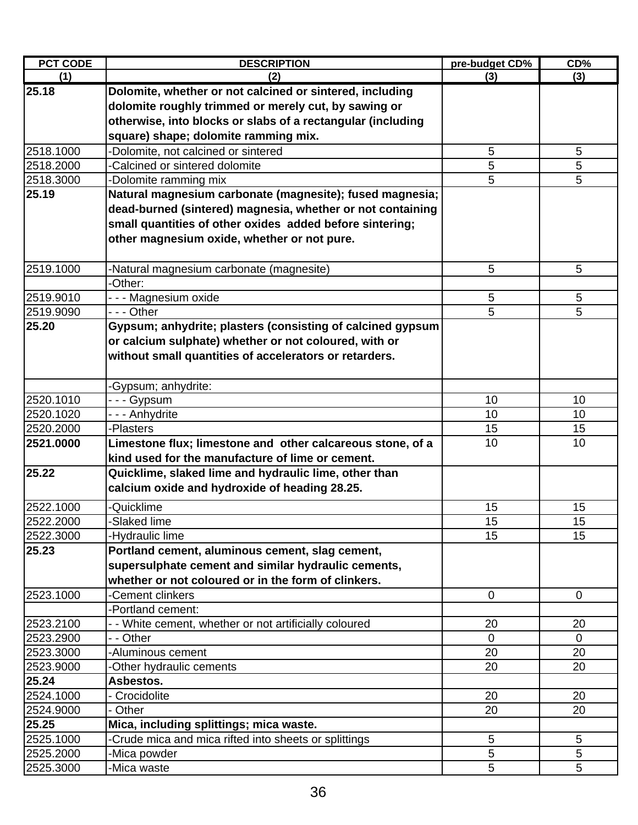| <b>PCT CODE</b> | <b>DESCRIPTION</b>                                          | pre-budget CD% | CD%             |
|-----------------|-------------------------------------------------------------|----------------|-----------------|
| (1)             | (2)                                                         | (3)            | (3)             |
| 25.18           | Dolomite, whether or not calcined or sintered, including    |                |                 |
|                 | dolomite roughly trimmed or merely cut, by sawing or        |                |                 |
|                 | otherwise, into blocks or slabs of a rectangular (including |                |                 |
|                 | square) shape; dolomite ramming mix.                        |                |                 |
| 2518.1000       | -Dolomite, not calcined or sintered                         | 5              | 5               |
| 2518.2000       | -Calcined or sintered dolomite                              | 5              | 5               |
| 2518.3000       | -Dolomite ramming mix                                       | 5              | 5               |
| 25.19           | Natural magnesium carbonate (magnesite); fused magnesia;    |                |                 |
|                 | dead-burned (sintered) magnesia, whether or not containing  |                |                 |
|                 | small quantities of other oxides added before sintering;    |                |                 |
|                 | other magnesium oxide, whether or not pure.                 |                |                 |
|                 |                                                             |                |                 |
| 2519.1000       | -Natural magnesium carbonate (magnesite)                    | 5              | 5               |
|                 | -Other:                                                     |                |                 |
| 2519.9010       | - - - Magnesium oxide                                       | 5              | 5               |
| 2519.9090       | - - - Other                                                 | 5              | 5               |
| 25.20           | Gypsum; anhydrite; plasters (consisting of calcined gypsum  |                |                 |
|                 | or calcium sulphate) whether or not coloured, with or       |                |                 |
|                 | without small quantities of accelerators or retarders.      |                |                 |
|                 |                                                             |                |                 |
|                 | -Gypsum; anhydrite:                                         |                |                 |
| 2520.1010       | - - - Gypsum                                                | 10             | 10              |
| 2520.1020       | - - - Anhydrite                                             | 10             | 10              |
| 2520.2000       | -Plasters                                                   | 15             | 15              |
| 2521.0000       | Limestone flux; limestone and other calcareous stone, of a  | 10             | 10              |
|                 | kind used for the manufacture of lime or cement.            |                |                 |
| 25.22           | Quicklime, slaked lime and hydraulic lime, other than       |                |                 |
|                 | calcium oxide and hydroxide of heading 28.25.               |                |                 |
| 2522.1000       | -Quicklime                                                  | 15             | 15              |
| 2522.2000       | Slaked lime                                                 | 15             | 15              |
| 2522.3000       | -Hydraulic lime                                             | 15             | 15              |
| 25.23           | Portland cement, aluminous cement, slag cement,             |                |                 |
|                 | supersulphate cement and similar hydraulic cements,         |                |                 |
|                 | whether or not coloured or in the form of clinkers.         |                |                 |
| 2523.1000       | -Cement clinkers                                            | $\mathbf 0$    | $\mathbf 0$     |
|                 | -Portland cement:                                           |                |                 |
| 2523.2100       | - - White cement, whether or not artificially coloured      | 20             | 20              |
| 2523.2900       | - - Other                                                   | $\mathbf 0$    | $\mathbf{0}$    |
| 2523.3000       | -Aluminous cement                                           | 20             | 20              |
| 2523.9000       | -Other hydraulic cements                                    | 20             | 20              |
| 25.24           | Asbestos.                                                   |                |                 |
| 2524.1000       | - Crocidolite                                               | 20             | 20              |
| 2524.9000       | - Other                                                     | 20             | 20              |
| 25.25           | Mica, including splittings; mica waste.                     |                |                 |
| 2525.1000       | -Crude mica and mica rifted into sheets or splittings       | 5              | $5\phantom{.0}$ |
| 2525.2000       | -Mica powder                                                | 5              | 5               |
| 2525.3000       | -Mica waste                                                 | 5              | 5               |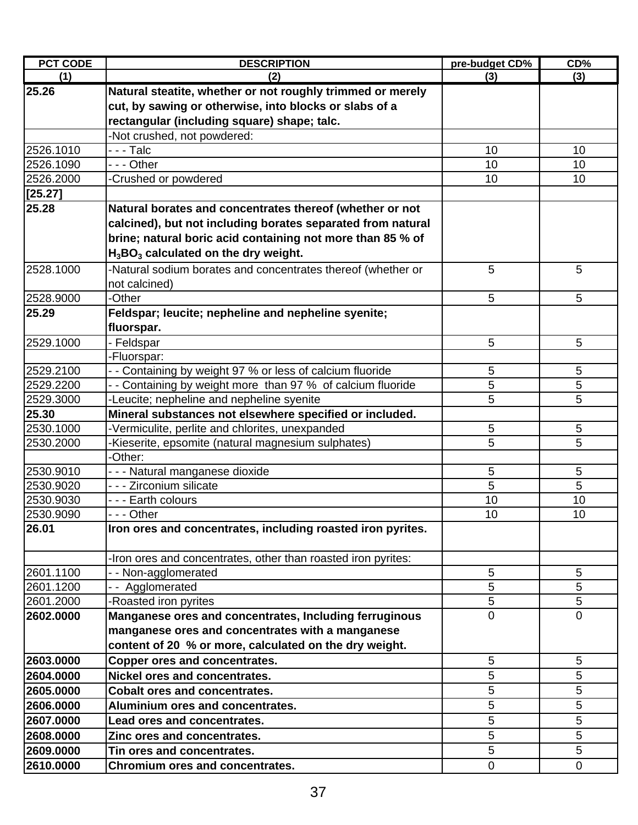| <b>PCT CODE</b> | <b>DESCRIPTION</b>                                            | pre-budget CD% | CD%            |
|-----------------|---------------------------------------------------------------|----------------|----------------|
| (1)             | (2)                                                           | (3)            | (3)            |
| 25.26           | Natural steatite, whether or not roughly trimmed or merely    |                |                |
|                 | cut, by sawing or otherwise, into blocks or slabs of a        |                |                |
|                 | rectangular (including square) shape; talc.                   |                |                |
|                 | -Not crushed, not powdered:                                   |                |                |
| 2526.1010       | - - - Talc                                                    | 10             | 10             |
| 2526.1090       | $\overline{-}$ - Other                                        | 10             | 10             |
| 2526.2000       | -Crushed or powdered                                          | 10             | 10             |
| [25.27]         |                                                               |                |                |
| 25.28           | Natural borates and concentrates thereof (whether or not      |                |                |
|                 | calcined), but not including borates separated from natural   |                |                |
|                 | brine; natural boric acid containing not more than 85 % of    |                |                |
|                 | $H_3BO_3$ calculated on the dry weight.                       |                |                |
| 2528.1000       | -Natural sodium borates and concentrates thereof (whether or  | 5              | 5              |
|                 | not calcined)                                                 |                |                |
| 2528.9000       | -Other                                                        | 5              | 5              |
| 25.29           | Feldspar; leucite; nepheline and nepheline syenite;           |                |                |
|                 | fluorspar.                                                    |                |                |
| 2529.1000       | Feldspar                                                      | 5              | 5              |
|                 | -Fluorspar:                                                   |                |                |
| 2529.2100       | - Containing by weight 97 % or less of calcium fluoride       | 5              | 5              |
| 2529.2200       | - Containing by weight more than 97 % of calcium fluoride     | 5              | 5              |
| 2529.3000       | -Leucite; nepheline and nepheline syenite                     | 5              | 5              |
| 25.30           | Mineral substances not elsewhere specified or included.       |                |                |
| 2530.1000       | -Vermiculite, perlite and chlorites, unexpanded               | 5              | 5              |
| 2530.2000       | Kieserite, epsomite (natural magnesium sulphates)             | 5              | 5              |
|                 | -Other:                                                       |                |                |
| 2530.9010       | - - - Natural manganese dioxide                               | 5              | 5              |
| 2530.9020       | - - - Zirconium silicate                                      | 5              | 5              |
| 2530.9030       | - - - Earth colours                                           | 10             | 10             |
| 2530.9090       | - - - Other                                                   | 10             | 10             |
| 26.01           | Iron ores and concentrates, including roasted iron pyrites.   |                |                |
|                 |                                                               |                |                |
|                 | -Iron ores and concentrates, other than roasted iron pyrites: |                |                |
| 2601.1100       | - Non-agglomerated                                            | 5              | 5              |
| 2601.1200       | Agglomerated                                                  | 5              | 5              |
| 2601.2000       | -Roasted iron pyrites                                         | 5              | 5              |
| 2602.0000       | Manganese ores and concentrates, Including ferruginous        | $\overline{0}$ | $\overline{0}$ |
|                 | manganese ores and concentrates with a manganese              |                |                |
|                 | content of 20 % or more, calculated on the dry weight.        |                |                |
| 2603.0000       | <b>Copper ores and concentrates.</b>                          | 5              | 5              |
| 2604.0000       | <b>Nickel ores and concentrates.</b>                          | 5              | 5              |
| 2605.0000       | <b>Cobalt ores and concentrates.</b>                          | 5              | 5              |
| 2606.0000       | Aluminium ores and concentrates.                              | 5              | 5              |
| 2607.0000       | <b>Lead ores and concentrates.</b>                            | 5              | 5              |
| 2608.0000       | Zinc ores and concentrates.                                   | 5              | 5              |
| 2609.0000       | Tin ores and concentrates.                                    | 5              | 5              |
| 2610.0000       | <b>Chromium ores and concentrates.</b>                        | 0              | $\mathbf 0$    |
|                 |                                                               |                |                |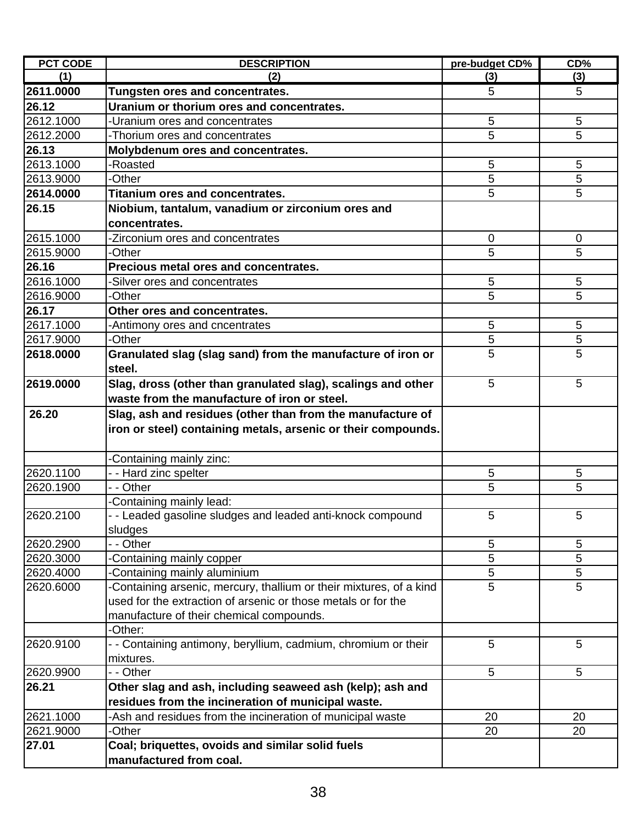| <b>PCT CODE</b> | <b>DESCRIPTION</b>                                                 | pre-budget CD% | CD%         |
|-----------------|--------------------------------------------------------------------|----------------|-------------|
| (1)             | (2)                                                                | (3)            | (3)         |
| 2611.0000       | <b>Tungsten ores and concentrates.</b>                             | 5              | 5           |
| 26.12           | Uranium or thorium ores and concentrates.                          |                |             |
| 2612.1000       | -Uranium ores and concentrates                                     | 5              | 5           |
| 2612.2000       | -Thorium ores and concentrates                                     | 5              | 5           |
| 26.13           | Molybdenum ores and concentrates.                                  |                |             |
| 2613.1000       | -Roasted                                                           | 5              | 5           |
| 2613.9000       | -Other                                                             | 5              | 5           |
| 2614.0000       | <b>Titanium ores and concentrates.</b>                             | 5              | 5           |
| 26.15           | Niobium, tantalum, vanadium or zirconium ores and                  |                |             |
|                 | concentrates.                                                      |                |             |
| 2615.1000       | -Zirconium ores and concentrates                                   | $\mathbf 0$    | 0           |
| 2615.9000       | -Other                                                             | 5              | 5           |
| 26.16           | Precious metal ores and concentrates.                              |                |             |
| 2616.1000       | -Silver ores and concentrates                                      | $\sqrt{5}$     | 5           |
| 2616.9000       | -Other                                                             | 5              | 5           |
| 26.17           | Other ores and concentrates.                                       |                |             |
| 2617.1000       | -Antimony ores and cncentrates                                     | $\overline{5}$ | 5           |
| 2617.9000       | -Other                                                             | 5              | $\mathbf 5$ |
| 2618.0000       | Granulated slag (slag sand) from the manufacture of iron or        | 5              | 5           |
|                 | steel.                                                             |                |             |
| 2619.0000       | Slag, dross (other than granulated slag), scalings and other       | 5              | 5           |
|                 | waste from the manufacture of iron or steel.                       |                |             |
| 26.20           | Slag, ash and residues (other than from the manufacture of         |                |             |
|                 | iron or steel) containing metals, arsenic or their compounds.      |                |             |
|                 |                                                                    |                |             |
|                 | Containing mainly zinc:                                            |                |             |
| 2620.1100       | - - Hard zinc spelter                                              | 5              | 5           |
| 2620.1900       | - - Other                                                          | 5              | 5           |
|                 | Containing mainly lead:                                            |                |             |
| 2620.2100       | - - Leaded gasoline sludges and leaded anti-knock compound         | 5              | 5           |
|                 | sludges                                                            |                |             |
| 2620.2900       | - Other                                                            | 5              | $\sqrt{5}$  |
| 2620.3000       | Containing mainly copper                                           | 5              | 5           |
| 2620.4000       | Containing mainly aluminium                                        | 5              | 5           |
| 2620.6000       | Containing arsenic, mercury, thallium or their mixtures, of a kind | 5              | 5           |
|                 | used for the extraction of arsenic or those metals or for the      |                |             |
|                 | manufacture of their chemical compounds.                           |                |             |
|                 | -Other:                                                            |                |             |
| 2620.9100       | - - Containing antimony, beryllium, cadmium, chromium or their     | 5              | 5           |
|                 | mixtures.                                                          |                |             |
| 2620.9900       | - - Other                                                          | 5              | 5           |
| 26.21           | Other slag and ash, including seaweed ash (kelp); ash and          |                |             |
|                 | residues from the incineration of municipal waste.                 |                |             |
| 2621.1000       | -Ash and residues from the incineration of municipal waste         | 20             | 20          |
| 2621.9000       | <b>Other</b>                                                       | 20             | 20          |
| 27.01           | Coal; briquettes, ovoids and similar solid fuels                   |                |             |
|                 | manufactured from coal.                                            |                |             |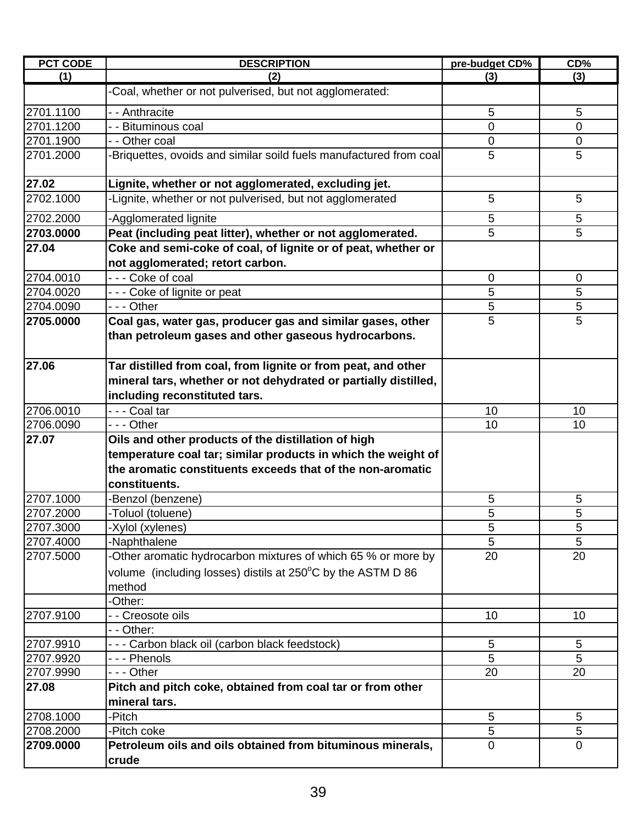| <b>PCT CODE</b> | <b>DESCRIPTION</b>                                                                                                 | pre-budget CD% | CD%             |
|-----------------|--------------------------------------------------------------------------------------------------------------------|----------------|-----------------|
| (1)             | (2)                                                                                                                | (3)            | (3)             |
|                 | -Coal, whether or not pulverised, but not agglomerated:                                                            |                |                 |
| 2701.1100       | - - Anthracite                                                                                                     | 5              | 5               |
| 2701.1200       | - - Bituminous coal                                                                                                | $\overline{0}$ | $\overline{0}$  |
| 2701.1900       | - - Other coal                                                                                                     | $\mathbf 0$    | 0               |
| 2701.2000       | -Briquettes, ovoids and similar soild fuels manufactured from coal                                                 | 5              | 5               |
| 27.02           | Lignite, whether or not agglomerated, excluding jet.                                                               |                |                 |
| 2702.1000       | -Lignite, whether or not pulverised, but not agglomerated                                                          | 5              | 5               |
| 2702.2000       | -Agglomerated lignite                                                                                              | 5              | 5               |
| 2703.0000       | Peat (including peat litter), whether or not agglomerated.                                                         | 5              | 5               |
| 27.04           | Coke and semi-coke of coal, of lignite or of peat, whether or<br>not agglomerated; retort carbon.                  |                |                 |
| 2704.0010       | - - - Coke of coal                                                                                                 | 0              | 0               |
| 2704.0020       | - - - Coke of lignite or peat                                                                                      | 5              | 5               |
| 2704.0090       | - - - Other                                                                                                        | 5              | 5               |
| 2705.0000       | Coal gas, water gas, producer gas and similar gases, other<br>than petroleum gases and other gaseous hydrocarbons. | 5              | 5               |
|                 |                                                                                                                    |                |                 |
| 27.06           | Tar distilled from coal, from lignite or from peat, and other                                                      |                |                 |
|                 | mineral tars, whether or not dehydrated or partially distilled,                                                    |                |                 |
|                 | including reconstituted tars.                                                                                      |                |                 |
| 2706.0010       | - - - Coal tar                                                                                                     | 10             | 10              |
| 2706.0090       | - - - Other                                                                                                        | 10             | 10              |
| 27.07           | Oils and other products of the distillation of high                                                                |                |                 |
|                 | temperature coal tar; similar products in which the weight of                                                      |                |                 |
|                 | the aromatic constituents exceeds that of the non-aromatic                                                         |                |                 |
|                 | constituents.                                                                                                      |                |                 |
| 2707.1000       | -Benzol (benzene)                                                                                                  | 5              | 5               |
| 2707.2000       | -Toluol (toluene)                                                                                                  | 5              | 5               |
| 2707.3000       | -Xylol (xylenes)                                                                                                   | 5              | 5               |
| 2707.4000       | -Naphthalene                                                                                                       | 5              | 5               |
| 2707.5000       | -Other aromatic hydrocarbon mixtures of which 65 % or more by                                                      | 20             | 20              |
|                 | volume (including losses) distils at $250^{\circ}$ C by the ASTM D 86                                              |                |                 |
|                 | method                                                                                                             |                |                 |
|                 | -Other:                                                                                                            |                |                 |
| 2707.9100       | - - Creosote oils                                                                                                  | 10             | 10              |
|                 | - - Other:                                                                                                         |                |                 |
| 2707.9910       | - - - Carbon black oil (carbon black feedstock)                                                                    | 5              | $5\phantom{.0}$ |
| 2707.9920       | --- Phenols                                                                                                        | 5              | 5               |
| 2707.9990       | --- Other                                                                                                          | 20             | 20              |
| 27.08           | Pitch and pitch coke, obtained from coal tar or from other                                                         |                |                 |
|                 | mineral tars.                                                                                                      |                |                 |
| 2708.1000       | -Pitch                                                                                                             | 5              | 5               |
| 2708.2000       | -Pitch coke                                                                                                        | 5              | 5               |
| 2709.0000       | Petroleum oils and oils obtained from bituminous minerals,                                                         | 0              | $\overline{0}$  |
|                 | crude                                                                                                              |                |                 |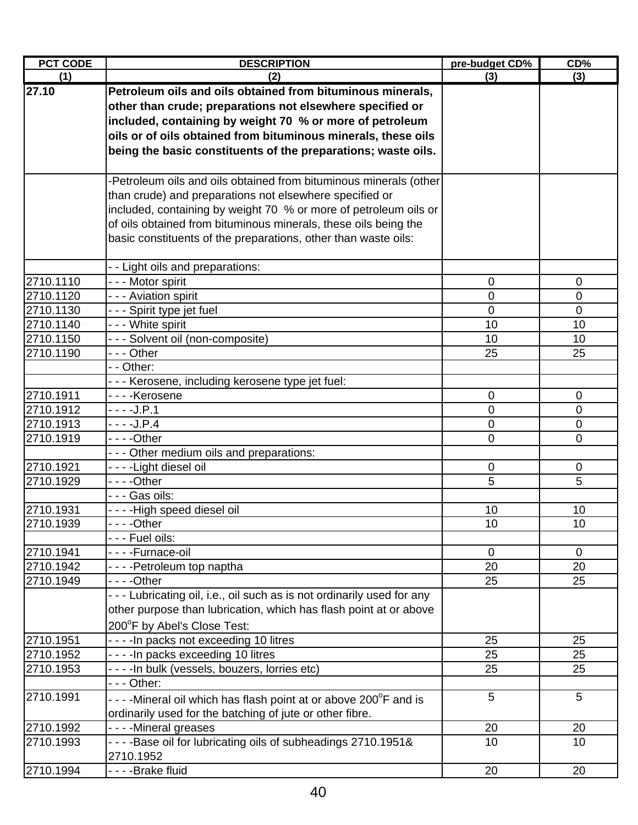| <b>PCT CODE</b>        | <b>DESCRIPTION</b>                                                                     | pre-budget CD% | CD%            |
|------------------------|----------------------------------------------------------------------------------------|----------------|----------------|
| (1)                    | (2)                                                                                    | (3)            | (3)            |
| 27.10                  | Petroleum oils and oils obtained from bituminous minerals,                             |                |                |
|                        | other than crude; preparations not elsewhere specified or                              |                |                |
|                        | included, containing by weight 70 % or more of petroleum                               |                |                |
|                        | oils or of oils obtained from bituminous minerals, these oils                          |                |                |
|                        | being the basic constituents of the preparations; waste oils.                          |                |                |
|                        |                                                                                        |                |                |
|                        | -Petroleum oils and oils obtained from bituminous minerals (other                      |                |                |
|                        | than crude) and preparations not elsewhere specified or                                |                |                |
|                        | included, containing by weight 70 % or more of petroleum oils or                       |                |                |
|                        | of oils obtained from bituminous minerals, these oils being the                        |                |                |
|                        | basic constituents of the preparations, other than waste oils:                         |                |                |
|                        |                                                                                        |                |                |
|                        | - - Light oils and preparations:                                                       |                |                |
| 2710.1110<br>2710.1120 | - - - Motor spirit                                                                     | 0              | $\mathbf 0$    |
| 2710.1130              | - - - Aviation spirit<br>- - - Spirit type jet fuel                                    | 0<br>0         | 0<br>0         |
| 2710.1140              | - - - White spirit                                                                     | 10             | 10             |
| 2710.1150              | --- Solvent oil (non-composite)                                                        | 10             | 10             |
| 2710.1190              | --- Other                                                                              | 25             | 25             |
|                        | - - Other:                                                                             |                |                |
|                        | - - - Kerosene, including kerosene type jet fuel:                                      |                |                |
| 2710.1911              | - - - - Kerosene                                                                       | $\mathbf 0$    | $\mathbf 0$    |
| 2710.1912              | - - - -J.P.1                                                                           | 0              | 0              |
| 2710.1913              | $- - -J.P.4$                                                                           | 0              | 0              |
| 2710.1919              |                                                                                        | 0              | 0              |
|                        | - - - Other medium oils and preparations:                                              |                |                |
| 2710.1921              | - - - -Light diesel oil                                                                | 0              | 0              |
| 2710.1929              |                                                                                        | 5              | 5              |
|                        | - - - Gas oils:                                                                        |                |                |
| 2710.1931              | - - - - High speed diesel oil                                                          | 10             | 10             |
| 2710.1939              | - - - Other                                                                            | 10             | 10             |
|                        | - - - Fuel oils:                                                                       |                |                |
| 2710.1941              | - - - - Furnace-oil                                                                    | $\mathbf 0$    | $\overline{0}$ |
| 2710.1942              | - - - - Petroleum top naptha                                                           | 20             | 20             |
| 2710.1949              |                                                                                        | 25             | 25             |
|                        | - - - Lubricating oil, i.e., oil such as is not ordinarily used for any                |                |                |
|                        | other purpose than lubrication, which has flash point at or above                      |                |                |
|                        | 200°F by Abel's Close Test:                                                            |                |                |
| 2710.1951              | - - - - In packs not exceeding 10 litres                                               | 25             | 25             |
| 2710.1952              | - - - - In packs exceeding 10 litres                                                   | 25             | 25<br>25       |
| 2710.1953              | - - - - In bulk (vessels, bouzers, lorries etc)<br>$--$ Other:                         | 25             |                |
| 2710.1991              |                                                                                        | 5              | 5              |
|                        | - - - - Mineral oil which has flash point at or above 200°F and is                     |                |                |
| 2710.1992              | ordinarily used for the batching of jute or other fibre.                               | 20             |                |
| 2710.1993              | ----Mineral greases<br>- - - - Base oil for lubricating oils of subheadings 2710.1951& | 10             | 20<br>10       |
|                        | 2710.1952                                                                              |                |                |
| 2710.1994              | - - - - Brake fluid                                                                    | 20             | 20             |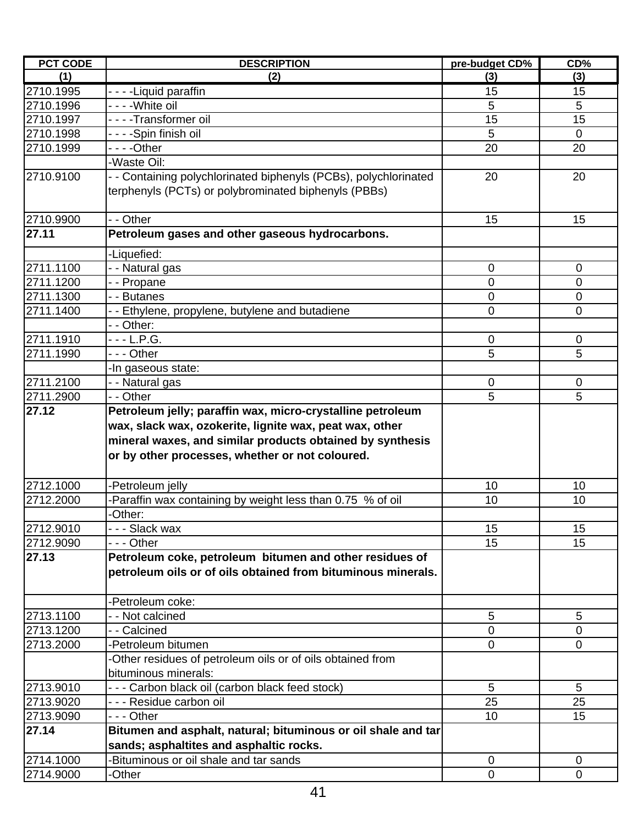| <b>PCT CODE</b> | <b>DESCRIPTION</b>                                             | pre-budget CD% | CD%            |
|-----------------|----------------------------------------------------------------|----------------|----------------|
| (1)             | (2)                                                            | (3)            | (3)            |
| 2710.1995       | - - - - Liquid paraffin                                        | 15             | 15             |
| 2710.1996       | - - - -White oil                                               | 5              | 5              |
| 2710.1997       | - - - - Transformer oil                                        | 15             | 15             |
| 2710.1998       | - - - -Spin finish oil                                         | 5              | $\overline{0}$ |
| 2710.1999       |                                                                | 20             | 20             |
|                 | Waste Oil:                                                     |                |                |
| 2710.9100       | - Containing polychlorinated biphenyls (PCBs), polychlorinated | 20             | 20             |
|                 | terphenyls (PCTs) or polybrominated biphenyls (PBBs)           |                |                |
|                 |                                                                |                |                |
| 2710.9900       | - - Other                                                      | 15             | 15             |
| 27.11           | Petroleum gases and other gaseous hydrocarbons.                |                |                |
|                 | -Liquefied:                                                    |                |                |
| 2711.1100       | - - Natural gas                                                | $\mathbf 0$    | 0              |
| 2711.1200       | - Propane                                                      | 0              | $\overline{0}$ |
| 2711.1300       | - - Butanes                                                    | $\mathbf 0$    | $\mathbf 0$    |
| 2711.1400       | - - Ethylene, propylene, butylene and butadiene                | 0              | $\Omega$       |
|                 | - - Other:                                                     |                |                |
| 2711.1910       | - - - L.P.G.                                                   | $\mathbf 0$    | $\mathbf 0$    |
| 2711.1990       | - - - Other                                                    | 5              | 5              |
|                 | -In gaseous state:                                             |                |                |
| 2711.2100       | - - Natural gas                                                | 0              | 0              |
| 2711.2900       | - - Other                                                      | 5              | 5              |
| 27.12           | Petroleum jelly; paraffin wax, micro-crystalline petroleum     |                |                |
|                 | wax, slack wax, ozokerite, lignite wax, peat wax, other        |                |                |
|                 | mineral waxes, and similar products obtained by synthesis      |                |                |
|                 | or by other processes, whether or not coloured.                |                |                |
|                 |                                                                |                |                |
| 2712.1000       | Petroleum jelly                                                | 10             | 10             |
| 2712.2000       | Paraffin wax containing by weight less than 0.75 % of oil      | 10             | 10             |
|                 | -Other:                                                        |                |                |
| 2712.9010       | - - - Slack wax                                                | 15             | 15             |
| 2712.9090       | - - - Other                                                    | 15             | 15             |
| 27.13           | Petroleum coke, petroleum bitumen and other residues of        |                |                |
|                 | petroleum oils or of oils obtained from bituminous minerals.   |                |                |
|                 |                                                                |                |                |
|                 | -Petroleum coke:                                               |                |                |
| 2713.1100       | - - Not calcined                                               | 5              | 5              |
| 2713.1200       | - - Calcined                                                   | $\overline{0}$ | $\Omega$       |
| 2713.2000       | -Petroleum bitumen                                             | $\mathbf 0$    | $\mathbf 0$    |
|                 | Other residues of petroleum oils or of oils obtained from      |                |                |
|                 | bituminous minerals:                                           |                |                |
| 2713.9010       | --- Carbon black oil (carbon black feed stock)                 | 5              | 5              |
| 2713.9020       | - - - Residue carbon oil                                       | 25             | 25             |
| 2713.9090       | --- Other                                                      | 10             | 15             |
| 27.14           | Bitumen and asphalt, natural; bituminous or oil shale and tar  |                |                |
|                 | sands; asphaltites and asphaltic rocks.                        |                |                |
| 2714.1000       | Bituminous or oil shale and tar sands                          | $\mathbf 0$    | 0              |
| 2714.9000       | -Other                                                         | $\mathbf 0$    | $\mathbf 0$    |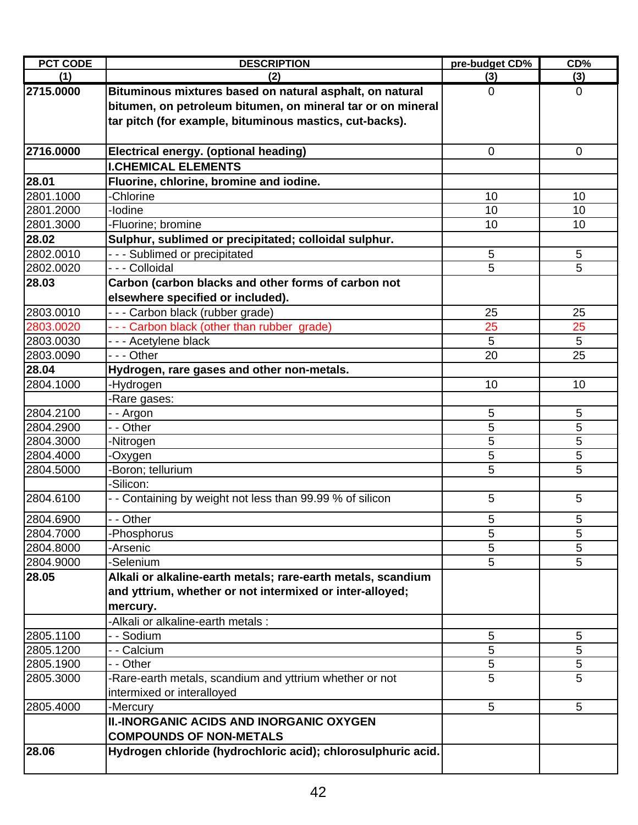| <b>PCT CODE</b> | <b>DESCRIPTION</b>                                           | pre-budget CD% | CD%             |
|-----------------|--------------------------------------------------------------|----------------|-----------------|
| (1)             | (2)                                                          | (3)            | (3)             |
| 2715.0000       | Bituminous mixtures based on natural asphalt, on natural     | $\mathbf 0$    | $\overline{0}$  |
|                 | bitumen, on petroleum bitumen, on mineral tar or on mineral  |                |                 |
|                 | tar pitch (for example, bituminous mastics, cut-backs).      |                |                 |
|                 |                                                              |                |                 |
| 2716.0000       | Electrical energy. (optional heading)                        | $\mathbf 0$    | $\mathbf{0}$    |
|                 | <b>I.CHEMICAL ELEMENTS</b>                                   |                |                 |
| 28.01           | Fluorine, chlorine, bromine and iodine.                      |                |                 |
| 2801.1000       | -Chlorine                                                    | 10             | 10              |
| 2801.2000       | -lodine                                                      | 10             | 10              |
| 2801.3000       | -Fluorine; bromine                                           | 10             | 10              |
| 28.02           | Sulphur, sublimed or precipitated; colloidal sulphur.        |                |                 |
| 2802.0010       | - - - Sublimed or precipitated                               | 5              | 5               |
| 2802.0020       | - - - Colloidal                                              | 5              | 5               |
| 28.03           | Carbon (carbon blacks and other forms of carbon not          |                |                 |
|                 | elsewhere specified or included).                            |                |                 |
| 2803.0010       | - - - Carbon black (rubber grade)                            | 25             | 25              |
| 2803.0020       | - - - Carbon black (other than rubber grade)                 | 25             | 25              |
| 2803.0030       | - - - Acetylene black                                        | 5              | 5               |
| 2803.0090       | --- Other                                                    | 20             | 25              |
| 28.04           | Hydrogen, rare gases and other non-metals.                   |                |                 |
| 2804.1000       | -Hydrogen                                                    | 10             | 10              |
|                 | -Rare gases:                                                 |                |                 |
| 2804.2100       | - - Argon                                                    | 5              | 5               |
| 2804.2900       | - - Other                                                    | 5              | 5               |
| 2804.3000       | -Nitrogen                                                    | 5              | 5               |
| 2804.4000       | -Oxygen                                                      | 5              | 5               |
| 2804.5000       | -Boron; tellurium                                            | 5              | 5               |
|                 | -Silicon:                                                    |                |                 |
| 2804.6100       | - - Containing by weight not less than 99.99 % of silicon    | 5              | 5               |
| 2804.6900       | - - Other                                                    | 5              | 5               |
| 2804.7000       | -Phosphorus                                                  | 5              | 5               |
| 2804.8000       | -Arsenic                                                     | 5              | 5               |
| 2804.9000       | -Selenium                                                    | 5              | 5               |
| 28.05           | Alkali or alkaline-earth metals; rare-earth metals, scandium |                |                 |
|                 | and yttrium, whether or not intermixed or inter-alloyed;     |                |                 |
|                 | mercury.                                                     |                |                 |
|                 | -Alkali or alkaline-earth metals :                           |                |                 |
| 2805.1100       | - - Sodium                                                   | 5              | 5               |
| 2805.1200       | - - Calcium                                                  | 5              | 5               |
| 2805.1900       | - - Other                                                    | 5              | 5               |
| 2805.3000       | -Rare-earth metals, scandium and yttrium whether or not      | 5              | 5               |
|                 | intermixed or interalloyed                                   |                |                 |
| 2805.4000       | -Mercury                                                     | 5              | $5\phantom{.0}$ |
|                 | <b>II.-INORGANIC ACIDS AND INORGANIC OXYGEN</b>              |                |                 |
|                 | <b>COMPOUNDS OF NON-METALS</b>                               |                |                 |
| 28.06           | Hydrogen chloride (hydrochloric acid); chlorosulphuric acid. |                |                 |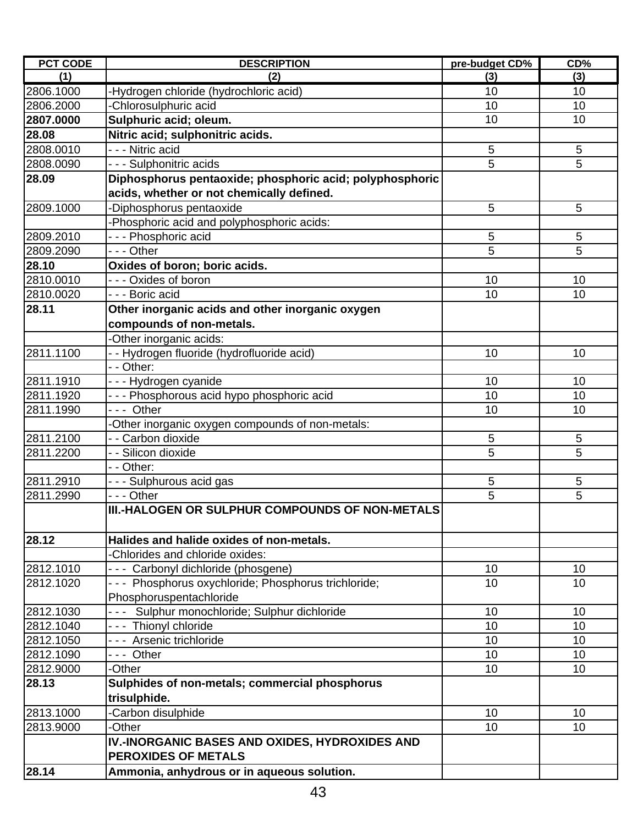| <b>PCT CODE</b> | <b>DESCRIPTION</b>                                                                                    | pre-budget CD%  | CD%             |
|-----------------|-------------------------------------------------------------------------------------------------------|-----------------|-----------------|
| (1)             | (2)                                                                                                   | (3)             | (3)             |
| 2806.1000       | -Hydrogen chloride (hydrochloric acid)                                                                | 10              | 10              |
| 2806.2000       | Chlorosulphuric acid                                                                                  | 10              | 10              |
| 2807.0000       | Sulphuric acid; oleum.                                                                                | 10              | 10              |
| 28.08           | Nitric acid; sulphonitric acids.                                                                      |                 |                 |
| 2808.0010       | - - - Nitric acid                                                                                     | 5               | 5               |
| 2808.0090       | - - - Sulphonitric acids                                                                              | $\overline{5}$  | 5               |
| 28.09           | Diphosphorus pentaoxide; phosphoric acid; polyphosphoric<br>acids, whether or not chemically defined. |                 |                 |
| 2809.1000       | -Diphosphorus pentaoxide                                                                              | 5               | 5               |
|                 | Phosphoric acid and polyphosphoric acids:                                                             |                 |                 |
| 2809.2010       | - - - Phosphoric acid                                                                                 | 5               | 5               |
| 2809.2090       | - - - Other                                                                                           | 5               | 5               |
| 28.10           | Oxides of boron; boric acids.                                                                         |                 |                 |
| 2810.0010       | --- Oxides of boron                                                                                   | 10              | 10              |
| 2810.0020       | - - - Boric acid                                                                                      | 10              | 10              |
| 28.11           | Other inorganic acids and other inorganic oxygen                                                      |                 |                 |
|                 | compounds of non-metals.                                                                              |                 |                 |
|                 |                                                                                                       |                 |                 |
| 2811.1100       | Other inorganic acids:                                                                                | 10              |                 |
|                 | - Hydrogen fluoride (hydrofluoride acid)<br>- - Other:                                                |                 | 10              |
|                 |                                                                                                       |                 |                 |
| 2811.1910       | - - - Hydrogen cyanide                                                                                | 10              | 10              |
| 2811.1920       | - - - Phosphorous acid hypo phosphoric acid                                                           | 10              | 10              |
| 2811.1990       | --- Other                                                                                             | 10              | 10              |
|                 | Other inorganic oxygen compounds of non-metals:                                                       |                 |                 |
| 2811.2100       | - - Carbon dioxide                                                                                    | 5<br>5          | $\sqrt{5}$      |
| 2811.2200       | - - Silicon dioxide                                                                                   |                 | 5               |
| 2811.2910       | - - Other:                                                                                            |                 |                 |
|                 | - - - Sulphurous acid gas<br>--- Other                                                                | $\sqrt{5}$<br>5 | $\sqrt{5}$<br>5 |
| 2811.2990       | III.-HALOGEN OR SULPHUR COMPOUNDS OF NON-METALS                                                       |                 |                 |
|                 |                                                                                                       |                 |                 |
| 28.12           | Halides and halide oxides of non-metals.                                                              |                 |                 |
|                 | -Chlorides and chloride oxides:                                                                       |                 |                 |
| 2812.1010       | --- Carbonyl dichloride (phosgene)                                                                    | 10              | 10              |
| 2812.1020       | --- Phosphorus oxychloride; Phosphorus trichloride;                                                   | 10              | 10              |
|                 | Phosphoruspentachloride                                                                               |                 |                 |
| 2812.1030       | --- Sulphur monochloride; Sulphur dichloride                                                          | 10              | 10              |
| 2812.1040       | --- Thionyl chloride                                                                                  | 10              | 10              |
| 2812.1050       | --- Arsenic trichloride                                                                               | 10              | 10              |
| 2812.1090       | --- Other                                                                                             | 10              | 10              |
| 2812.9000       | -Other                                                                                                | 10              | 10              |
| 28.13           | Sulphides of non-metals; commercial phosphorus                                                        |                 |                 |
|                 | trisulphide.                                                                                          |                 |                 |
| 2813.1000       | Carbon disulphide                                                                                     | 10              | 10              |
| 2813.9000       | -Other                                                                                                | 10              | 10              |
|                 | IV.-INORGANIC BASES AND OXIDES, HYDROXIDES AND                                                        |                 |                 |
|                 | <b>PEROXIDES OF METALS</b>                                                                            |                 |                 |
| 28.14           | Ammonia, anhydrous or in aqueous solution.                                                            |                 |                 |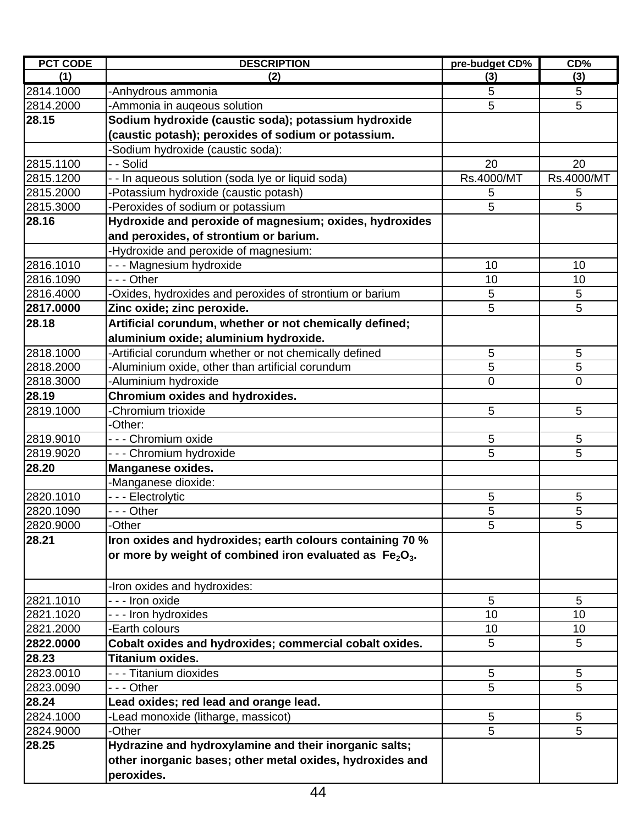| <b>PCT CODE</b> | <b>DESCRIPTION</b>                                        | pre-budget CD% | CD%         |
|-----------------|-----------------------------------------------------------|----------------|-------------|
| (1)             | (2)                                                       | (3)            | (3)         |
| 2814.1000       | -Anhydrous ammonia                                        | 5              | 5           |
| 2814.2000       | -Ammonia in auqeous solution                              | 5              | 5           |
| 28.15           | Sodium hydroxide (caustic soda); potassium hydroxide      |                |             |
|                 | (caustic potash); peroxides of sodium or potassium.       |                |             |
|                 | Sodium hydroxide (caustic soda):                          |                |             |
| 2815.1100       | - - Solid                                                 | 20             | 20          |
| 2815.1200       | - In aqueous solution (soda lye or liquid soda)           | Rs.4000/MT     | Rs.4000/MT  |
| 2815.2000       | -Potassium hydroxide (caustic potash)                     | 5              | 5           |
| 2815.3000       | -Peroxides of sodium or potassium                         | 5              | 5           |
| 28.16           | Hydroxide and peroxide of magnesium; oxides, hydroxides   |                |             |
|                 | and peroxides, of strontium or barium.                    |                |             |
|                 | -Hydroxide and peroxide of magnesium:                     |                |             |
| 2816.1010       | --- Magnesium hydroxide                                   | 10             | 10          |
| 2816.1090       | --- Other                                                 | 10             | 10          |
| 2816.4000       | Oxides, hydroxides and peroxides of strontium or barium   | $\overline{5}$ | $\sqrt{5}$  |
| 2817.0000       | Zinc oxide; zinc peroxide.                                | 5              | 5           |
| 28.18           | Artificial corundum, whether or not chemically defined;   |                |             |
|                 | aluminium oxide; aluminium hydroxide.                     |                |             |
| 2818.1000       | Artificial corundum whether or not chemically defined     | 5              | 5           |
| 2818.2000       | Aluminium oxide, other than artificial corundum           | 5              | 5           |
| 2818.3000       | Aluminium hydroxide                                       | $\mathbf 0$    | $\mathbf 0$ |
| 28.19           | Chromium oxides and hydroxides.                           |                |             |
| 2819.1000       | -Chromium trioxide                                        | 5              | 5           |
|                 | Other:                                                    |                |             |
| 2819.9010       | - - - Chromium oxide                                      | 5              | 5           |
| 2819.9020       | --- Chromium hydroxide                                    | 5              | 5           |
| 28.20           | <b>Manganese oxides.</b>                                  |                |             |
|                 | -Manganese dioxide:                                       |                |             |
| 2820.1010       | --- Electrolytic                                          | 5              | $\sqrt{5}$  |
| 2820.1090       | - - - Other                                               | 5              | 5           |
| 2820.9000       | -Other                                                    | 5              | 5           |
| 28.21           | Iron oxides and hydroxides; earth colours containing 70 % |                |             |
|                 | or more by weight of combined iron evaluated as $Fe2O3$ . |                |             |
|                 |                                                           |                |             |
|                 | -Iron oxides and hydroxides:                              |                |             |
| 2821.1010       | - - - Iron oxide                                          | 5              | 5           |
| 2821.1020       | ---Iron hydroxides                                        | 10             | 10          |
| 2821.2000       | -Earth colours                                            | 10             | 10          |
| 2822.0000       | Cobalt oxides and hydroxides; commercial cobalt oxides.   | 5              | 5           |
| 28.23           | <b>Titanium oxides.</b>                                   |                |             |
| 2823.0010       | - - - Titanium dioxides                                   | 5              | 5           |
| 2823.0090       | --- Other                                                 | 5              | 5           |
| 28.24           |                                                           |                |             |
| 2824.1000       | Lead oxides; red lead and orange lead.                    | 5              | 5           |
| 2824.9000       | -Lead monoxide (litharge, massicot)<br><b>Other</b>       | 5              | 5           |
|                 |                                                           |                |             |
| 28.25           | Hydrazine and hydroxylamine and their inorganic salts;    |                |             |
|                 | other inorganic bases; other metal oxides, hydroxides and |                |             |
|                 | peroxides.                                                |                |             |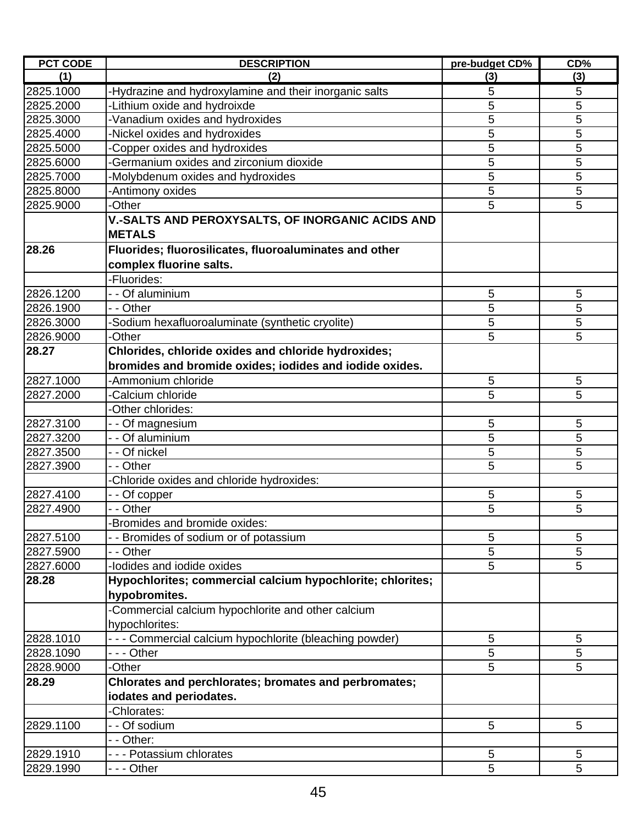| <b>PCT CODE</b> | <b>DESCRIPTION</b>                                         | pre-budget CD% | CD%            |
|-----------------|------------------------------------------------------------|----------------|----------------|
| (1)             | (2)                                                        | (3)            | (3)            |
| 2825.1000       | -Hydrazine and hydroxylamine and their inorganic salts     | 5              | 5              |
| 2825.2000       | -Lithium oxide and hydroixde                               | 5              | $\overline{5}$ |
| 2825.3000       | Vanadium oxides and hydroxides                             | 5              | 5              |
| 2825.4000       | Nickel oxides and hydroxides                               | 5              | 5              |
| 2825.5000       | Copper oxides and hydroxides                               | 5              | 5              |
| 2825.6000       | Germanium oxides and zirconium dioxide                     | 5              | 5              |
| 2825.7000       | Molybdenum oxides and hydroxides                           | 5              | 5              |
| 2825.8000       | -Antimony oxides                                           | 5              | 5              |
| 2825.9000       | <b>Other</b>                                               | 5              | 5              |
|                 | V.-SALTS AND PEROXYSALTS, OF INORGANIC ACIDS AND           |                |                |
|                 | <b>METALS</b>                                              |                |                |
| 28.26           | Fluorides; fluorosilicates, fluoroaluminates and other     |                |                |
|                 | complex fluorine salts.                                    |                |                |
|                 | -Fluorides:                                                |                |                |
| 2826.1200       | - - Of aluminium                                           | 5              | $\sqrt{5}$     |
| 2826.1900       | - - Other                                                  | 5              | 5              |
| 2826.3000       | -Sodium hexafluoroaluminate (synthetic cryolite)           | 5              | 5              |
| 2826.9000       | <b>Other</b>                                               | 5              | 5              |
| 28.27           | Chlorides, chloride oxides and chloride hydroxides;        |                |                |
|                 | bromides and bromide oxides; iodides and iodide oxides.    |                |                |
|                 | -Ammonium chloride                                         |                |                |
| 2827.1000       |                                                            | 5              | $\sqrt{5}$     |
| 2827.2000       | -Calcium chloride                                          | 5              | 5              |
|                 | -Other chlorides:                                          |                |                |
| 2827.3100       | - - Of magnesium                                           | 5              | 5              |
| 2827.3200       | - - Of aluminium                                           | 5              | 5              |
| 2827.3500       | - - Of nickel                                              | 5              | 5              |
| 2827.3900       | - - Other                                                  | 5              | 5              |
|                 | Chloride oxides and chloride hydroxides:                   |                |                |
| 2827.4100       | - - Of copper                                              | 5              | $\sqrt{5}$     |
| 2827.4900       | - - Other                                                  | 5              | 5              |
|                 | Bromides and bromide oxides:                               |                |                |
| 2827.5100       | - - Bromides of sodium or of potassium                     | 5              | 5              |
| 2827.5900       | - - Other                                                  | 5              | 5              |
| 2827.6000       | -lodides and iodide oxides                                 | 5              | 5              |
| 28.28           | Hypochlorites; commercial calcium hypochlorite; chlorites; |                |                |
|                 | hypobromites.                                              |                |                |
|                 | -Commercial calcium hypochlorite and other calcium         |                |                |
|                 | hypochlorites:                                             |                |                |
| 2828.1010       | - - - Commercial calcium hypochlorite (bleaching powder)   | 5              | 5              |
| 2828.1090       | --- Other                                                  | 5              | 5              |
| 2828.9000       | -Other                                                     | 5              | 5              |
| 28.29           | Chlorates and perchlorates; bromates and perbromates;      |                |                |
|                 | iodates and periodates.                                    |                |                |
|                 | Chlorates:                                                 |                |                |
| 2829.1100       | - - Of sodium                                              | 5              | 5              |
|                 | - - Other:                                                 |                |                |
| 2829.1910       | --- Potassium chlorates                                    | $\overline{5}$ | $\sqrt{5}$     |
| 2829.1990       | - - - Other                                                | 5              | 5              |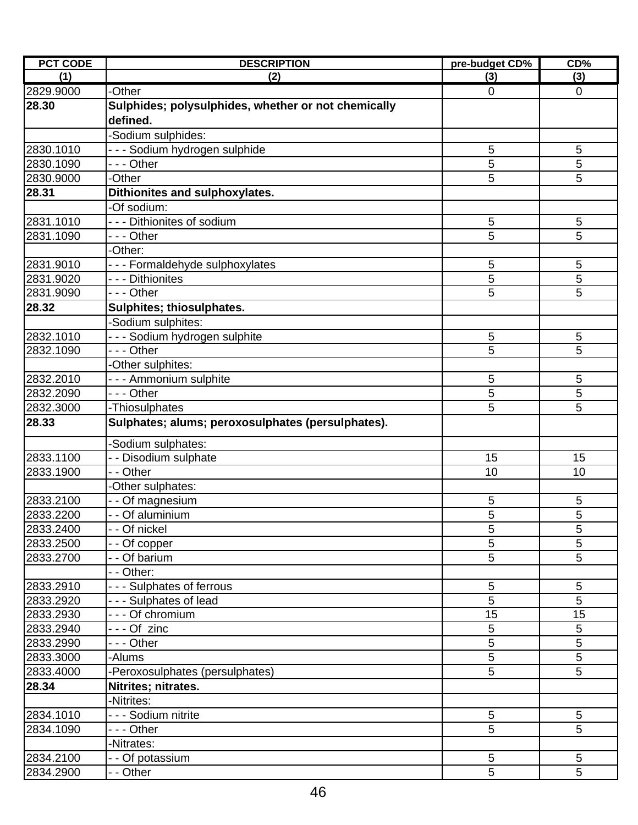| <b>PCT CODE</b> | <b>DESCRIPTION</b>                                  | pre-budget CD% | CD%            |
|-----------------|-----------------------------------------------------|----------------|----------------|
| (1)             | (2)                                                 | (3)            | (3)            |
| 2829.9000       | -Other                                              | $\overline{0}$ | $\mathbf 0$    |
| 28.30           | Sulphides; polysulphides, whether or not chemically |                |                |
|                 | defined.                                            |                |                |
|                 | Sodium sulphides:                                   |                |                |
| 2830.1010       | -- Sodium hydrogen sulphide                         | 5              | 5              |
| 2830.1090       | --- Other                                           | 5              | 5              |
| 2830.9000       | -Other                                              | 5              | 5              |
| 28.31           | Dithionites and sulphoxylates.                      |                |                |
|                 | Of sodium:                                          |                |                |
| 2831.1010       | --- Dithionites of sodium                           | 5              | 5              |
| 2831.1090       | --- Other                                           | 5              | 5              |
|                 | -Other:                                             |                |                |
| 2831.9010       | --- Formaldehyde sulphoxylates                      | 5              | 5              |
| 2831.9020       | - - - Dithionites                                   | 5              | 5              |
| 2831.9090       | --- Other                                           | 5              | 5              |
| 28.32           | Sulphites; thiosulphates.                           |                |                |
|                 | Sodium sulphites:                                   |                |                |
| 2832.1010       | - - - Sodium hydrogen sulphite                      | 5              | 5              |
| 2832.1090       | - - - Other                                         | 5              | 5              |
|                 | -Other sulphites:                                   |                |                |
| 2832.2010       | --- Ammonium sulphite                               | 5              | 5              |
| 2832.2090       | - - - Other                                         | 5              | 5              |
| 2832.3000       | -Thiosulphates                                      | 5              | 5              |
| 28.33           | Sulphates; alums; peroxosulphates (persulphates).   |                |                |
|                 |                                                     |                |                |
|                 | Sodium sulphates:                                   |                |                |
| 2833.1100       | - - Disodium sulphate                               | 15             | 15             |
| 2833.1900       | - - Other                                           | 10             | 10             |
|                 | -Other sulphates:                                   |                |                |
| 2833.2100       | - - Of magnesium                                    | 5              | 5              |
| 2833.2200       | - - Of aluminium                                    | 5              | 5              |
| 2833.2400       | - - Of nickel                                       | 5              | 5              |
| 2833.2500       | - Of copper                                         | 5              | 5              |
| 2833.2700       | - - Of barium                                       | 5              | 5              |
|                 | - Other:                                            |                |                |
| 2833.2910       | --- Sulphates of ferrous                            | 5              | 5              |
| 2833.2920       | - - Sulphates of lead                               | $\overline{5}$ | $\overline{5}$ |
| 2833.2930       | - - - Of chromium                                   | 15             | 15             |
| 2833.2940       | --- Of zinc                                         | 5              | 5              |
| 2833.2990       | - - - Other                                         | 5              | 5              |
| 2833.3000       | -Alums                                              | 5              | 5              |
| 2833.4000       | Peroxosulphates (persulphates)                      | 5              | 5              |
| 28.34           | Nitrites; nitrates.                                 |                |                |
|                 | Nitrites:                                           |                |                |
| 2834.1010       | - - - Sodium nitrite                                | $\sqrt{5}$     | 5              |
| 2834.1090       | --- Other                                           | 5              | 5              |
|                 | Nitrates:                                           |                |                |
| 2834.2100       | - - Of potassium                                    | 5              | 5              |
| 2834.2900       | - - Other                                           | $\overline{5}$ | $\overline{5}$ |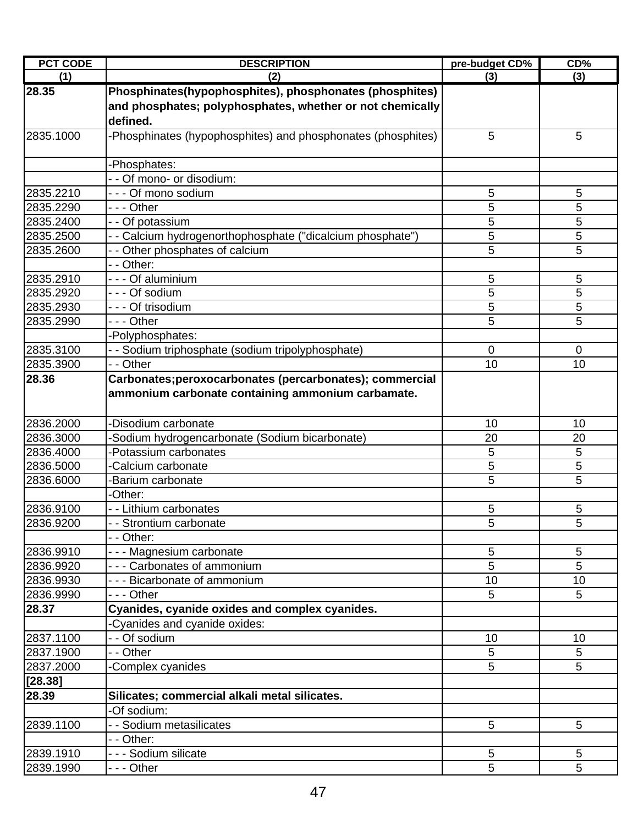| <b>PCT CODE</b> | <b>DESCRIPTION</b>                                          | pre-budget CD% | CD%         |
|-----------------|-------------------------------------------------------------|----------------|-------------|
| (1)             | (2)                                                         | (3)            | (3)         |
| 28.35           | Phosphinates(hypophosphites), phosphonates (phosphites)     |                |             |
|                 | and phosphates; polyphosphates, whether or not chemically   |                |             |
|                 | defined.                                                    |                |             |
| 2835.1000       | Phosphinates (hypophosphites) and phosphonates (phosphites) | 5              | 5           |
|                 | -Phosphates:                                                |                |             |
|                 | - - Of mono- or disodium:                                   |                |             |
| 2835.2210       | - - - Of mono sodium                                        | 5              | 5           |
| 2835.2290       | - - - Other                                                 | 5              | 5           |
| 2835.2400       | - - Of potassium                                            | 5              | 5           |
| 2835.2500       | - - Calcium hydrogenorthophosphate ("dicalcium phosphate")  | 5              | 5           |
| 2835.2600       | - - Other phosphates of calcium                             | 5              | 5           |
|                 | - - Other:                                                  |                |             |
| 2835.2910       | --- Of aluminium                                            | 5              | 5           |
| 2835.2920       | --- Of sodium                                               | 5              | 5           |
| 2835.2930       | - - - Of trisodium                                          | 5              | 5           |
| 2835.2990       | - - - Other                                                 | 5              | 5           |
|                 | Polyphosphates:                                             |                |             |
| 2835.3100       | - Sodium triphosphate (sodium tripolyphosphate)             | $\mathbf 0$    | $\mathbf 0$ |
| 2835.3900       | - Other                                                     | 10             | 10          |
| 28.36           | Carbonates;peroxocarbonates (percarbonates); commercial     |                |             |
|                 | ammonium carbonate containing ammonium carbamate.           |                |             |
| 2836.2000       | -Disodium carbonate                                         | 10             | 10          |
| 2836.3000       | Sodium hydrogencarbonate (Sodium bicarbonate)               | 20             | 20          |
| 2836.4000       | Potassium carbonates                                        | 5              | 5           |
| 2836.5000       | Calcium carbonate                                           | 5              | 5           |
| 2836.6000       | Barium carbonate                                            | 5              | 5           |
|                 | -Other:                                                     |                |             |
| 2836.9100       | - - Lithium carbonates                                      | 5              | 5           |
| 2836.9200       | - Strontium carbonate                                       | 5              | 5           |
|                 | - Other:                                                    |                |             |
| 2836.9910       | - - - Magnesium carbonate                                   | 5              | 5           |
| 2836.9920       | - - - Carbonates of ammonium                                | 5              | 5           |
| 2836.9930       | - - - Bicarbonate of ammonium                               | 10             | 10          |
| 2836.9990       | -  - - Other                                                | 5              | 5           |
| 28.37           | Cyanides, cyanide oxides and complex cyanides.              |                |             |
|                 | Cyanides and cyanide oxides:                                |                |             |
| 2837.1100       | - - Of sodium                                               | 10             | 10          |
| 2837.1900       | - - Other                                                   | 5              | 5           |
| 2837.2000       | Complex cyanides                                            | 5              | 5           |
| [28.38]         |                                                             |                |             |
| 28.39           | Silicates; commercial alkali metal silicates.               |                |             |
|                 | -Of sodium:                                                 |                |             |
| 2839.1100       | - Sodium metasilicates                                      | 5              | 5           |
|                 | - - Other:                                                  |                |             |
| 2839.1910       | - - - Sodium silicate                                       | 5              | 5           |
| 2839.1990       | - - - Other                                                 | 5              | 5           |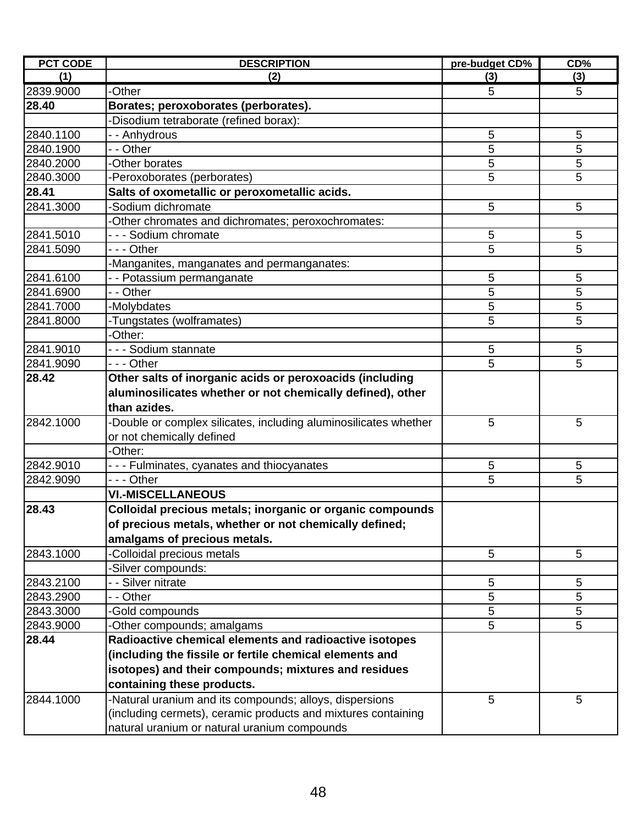| <b>PCT CODE</b> | <b>DESCRIPTION</b>                                                                                                                     | pre-budget CD% | CD% |
|-----------------|----------------------------------------------------------------------------------------------------------------------------------------|----------------|-----|
| (1)             | (2)                                                                                                                                    | (3)            | (3) |
| 2839.9000       | -Other                                                                                                                                 | 5              | 5   |
| 28.40           | Borates; peroxoborates (perborates).                                                                                                   |                |     |
|                 | -Disodium tetraborate (refined borax):                                                                                                 |                |     |
| 2840.1100       | - - Anhydrous                                                                                                                          | 5              | 5   |
| 2840.1900       | - - Other                                                                                                                              | 5              | 5   |
| 2840.2000       | -Other borates                                                                                                                         | 5              | 5   |
| 2840.3000       | -Peroxoborates (perborates)                                                                                                            | 5              | 5   |
| 28.41           | Salts of oxometallic or peroxometallic acids.                                                                                          |                |     |
| 2841.3000       | -Sodium dichromate                                                                                                                     | 5              | 5   |
|                 | -Other chromates and dichromates; peroxochromates:                                                                                     |                |     |
| 2841.5010       | - - - Sodium chromate                                                                                                                  | 5              | 5   |
| 2841.5090       | --- Other                                                                                                                              | 5              | 5   |
|                 | -Manganites, manganates and permanganates:                                                                                             |                |     |
| 2841.6100       | - - Potassium permanganate                                                                                                             | 5              | 5   |
| 2841.6900       | - - Other                                                                                                                              | 5              | 5   |
| 2841.7000       | -Molybdates                                                                                                                            | 5              | 5   |
| 2841.8000       | -Tungstates (wolframates)                                                                                                              | 5              | 5   |
|                 | -Other:                                                                                                                                |                |     |
| 2841.9010       | - - - Sodium stannate                                                                                                                  | 5              | 5   |
| 2841.9090       | - - - Other                                                                                                                            | 5              | 5   |
| 28.42           | Other salts of inorganic acids or peroxoacids (including<br>aluminosilicates whether or not chemically defined), other<br>than azides. |                |     |
| 2842.1000       | -Double or complex silicates, including aluminosilicates whether<br>or not chemically defined                                          | 5              | 5   |
|                 | -Other:                                                                                                                                |                |     |
| 2842.9010       | --- Fulminates, cyanates and thiocyanates                                                                                              | 5              | 5   |
| 2842.9090       | --- Other                                                                                                                              | 5              | 5   |
|                 | <b>VI.-MISCELLANEOUS</b>                                                                                                               |                |     |
| 28.43           | Colloidal precious metals; inorganic or organic compounds                                                                              |                |     |
|                 | of precious metals, whether or not chemically defined;                                                                                 |                |     |
|                 | amalgams of precious metals.                                                                                                           |                |     |
| 2843.1000       | -Colloidal precious metals                                                                                                             | 5              | 5   |
|                 | -Silver compounds:                                                                                                                     |                |     |
| 2843.2100       | - - Silver nitrate                                                                                                                     | 5              | 5   |
| 2843.2900       | - - Other                                                                                                                              | 5              | 5   |
| 2843.3000       | -Gold compounds                                                                                                                        | 5              | 5   |
| 2843.9000       | -Other compounds; amalgams                                                                                                             | 5              | 5   |
| 28.44           | Radioactive chemical elements and radioactive isotopes                                                                                 |                |     |
|                 | (including the fissile or fertile chemical elements and                                                                                |                |     |
|                 | isotopes) and their compounds; mixtures and residues                                                                                   |                |     |
|                 | containing these products.                                                                                                             |                |     |
| 2844.1000       | -Natural uranium and its compounds; alloys, dispersions<br>(including cermets), ceramic products and mixtures containing               | 5              | 5   |
|                 | natural uranium or natural uranium compounds                                                                                           |                |     |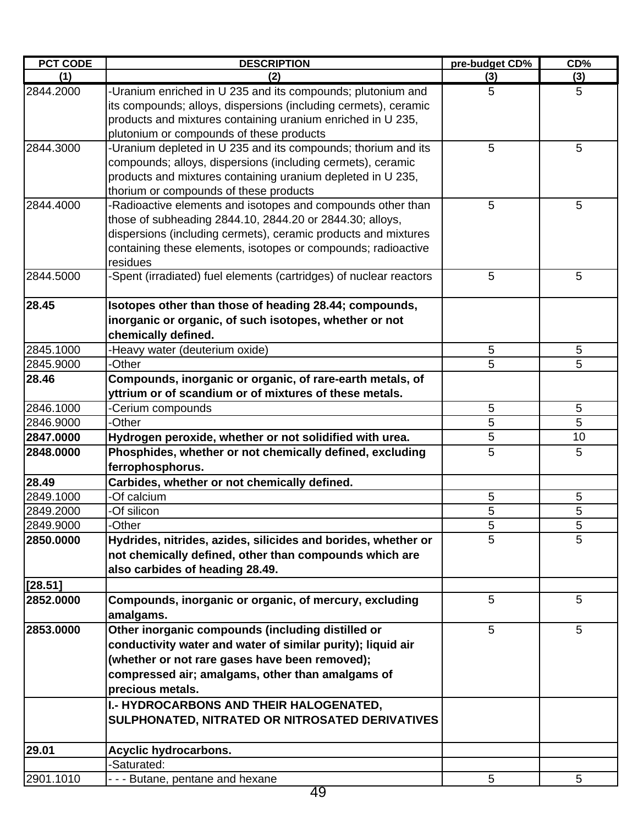| <b>PCT CODE</b> | <b>DESCRIPTION</b>                                                  | pre-budget CD% | CD% |
|-----------------|---------------------------------------------------------------------|----------------|-----|
| (1)             | (2)                                                                 | (3)            | (3) |
| 2844.2000       | -Uranium enriched in U 235 and its compounds; plutonium and         | 5              | 5   |
|                 | its compounds; alloys, dispersions (including cermets), ceramic     |                |     |
|                 | products and mixtures containing uranium enriched in U 235,         |                |     |
|                 | plutonium or compounds of these products                            |                |     |
| 2844.3000       | -Uranium depleted in U 235 and its compounds; thorium and its       | 5              | 5   |
|                 | compounds; alloys, dispersions (including cermets), ceramic         |                |     |
|                 | products and mixtures containing uranium depleted in U 235,         |                |     |
|                 | thorium or compounds of these products                              |                |     |
| 2844.4000       | -Radioactive elements and isotopes and compounds other than         | 5              | 5   |
|                 | those of subheading 2844.10, 2844.20 or 2844.30; alloys,            |                |     |
|                 | dispersions (including cermets), ceramic products and mixtures      |                |     |
|                 | containing these elements, isotopes or compounds; radioactive       |                |     |
| 2844.5000       | residues                                                            | 5              | 5   |
|                 | -Spent (irradiated) fuel elements (cartridges) of nuclear reactors  |                |     |
| 28.45           | Isotopes other than those of heading 28.44; compounds,              |                |     |
|                 | inorganic or organic, of such isotopes, whether or not              |                |     |
|                 | chemically defined.                                                 |                |     |
| 2845.1000       | -Heavy water (deuterium oxide)                                      | 5              | 5   |
| 2845.9000       | -Other                                                              | 5              | 5   |
| 28.46           | Compounds, inorganic or organic, of rare-earth metals, of           |                |     |
|                 | yttrium or of scandium or of mixtures of these metals.              |                |     |
| 2846.1000       | -Cerium compounds                                                   | 5              | 5   |
| 2846.9000       | -Other                                                              | 5              | 5   |
| 2847.0000       | Hydrogen peroxide, whether or not solidified with urea.             | 5              | 10  |
| 2848.0000       | Phosphides, whether or not chemically defined, excluding            | 5              | 5   |
|                 | ferrophosphorus.                                                    |                |     |
| 28.49           | Carbides, whether or not chemically defined.                        |                |     |
| 2849.1000       | -Of calcium                                                         | 5              | 5   |
| 2849.2000       | -Of silicon                                                         | 5              | 5   |
| 2849.9000       | -Other                                                              | 5              | 5   |
| 2850.0000       | Hydrides, nitrides, azides, silicides and borides, whether or       | 5              | 5   |
|                 | not chemically defined, other than compounds which are              |                |     |
|                 | also carbides of heading 28.49.                                     |                |     |
| [28.51]         |                                                                     |                |     |
| 2852.0000       | Compounds, inorganic or organic, of mercury, excluding<br>amalgams. | 5              | 5   |
| 2853.0000       | Other inorganic compounds (including distilled or                   | 5              | 5   |
|                 | conductivity water and water of similar purity); liquid air         |                |     |
|                 | (whether or not rare gases have been removed);                      |                |     |
|                 | compressed air; amalgams, other than amalgams of                    |                |     |
|                 | precious metals.                                                    |                |     |
|                 | I.- HYDROCARBONS AND THEIR HALOGENATED,                             |                |     |
|                 | SULPHONATED, NITRATED OR NITROSATED DERIVATIVES                     |                |     |
|                 |                                                                     |                |     |
| 29.01           | Acyclic hydrocarbons.                                               |                |     |
|                 | -Saturated:                                                         |                |     |
| 2901.1010       | --- Butane, pentane and hexane                                      | 5              | 5   |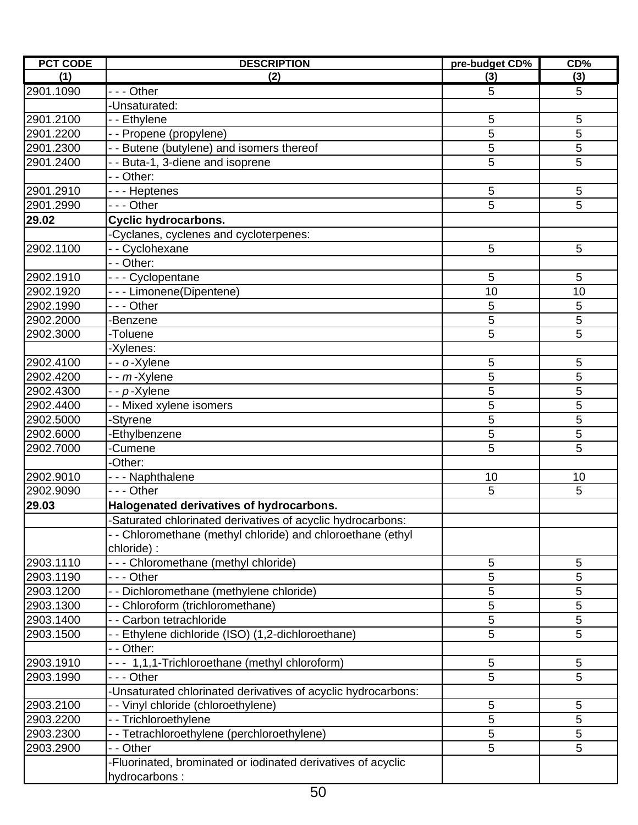| <b>PCT CODE</b> | <b>DESCRIPTION</b>                                                   | pre-budget CD% | CD%            |
|-----------------|----------------------------------------------------------------------|----------------|----------------|
| (1)             | (2)                                                                  | (3)            | (3)            |
| 2901.1090       | --- Other                                                            | 5              | 5              |
|                 | -Unsaturated:                                                        |                |                |
| 2901.2100       | - - Ethylene                                                         | 5              | $\sqrt{5}$     |
| 2901.2200       | - - Propene (propylene)                                              | 5              | 5              |
| 2901.2300       | - - Butene (butylene) and isomers thereof                            | 5              | 5              |
| 2901.2400       | - - Buta-1, 3-diene and isoprene                                     | 5              | 5              |
|                 | - - Other:                                                           |                |                |
| 2901.2910       | - - - Heptenes                                                       | 5              | 5              |
| 2901.2990       | --- Other                                                            | 5              | 5              |
| 29.02           | <b>Cyclic hydrocarbons.</b>                                          |                |                |
|                 | -Cyclanes, cyclenes and cycloterpenes:                               |                |                |
| 2902.1100       | -- Cyclohexane                                                       | 5              | 5              |
|                 | - - Other:                                                           |                |                |
| 2902.1910       | --- Cyclopentane                                                     | 5              | 5              |
| 2902.1920       | - - - Limonene(Dipentene)                                            | 10             | 10             |
| 2902.1990       | - - - Other                                                          | 5              | 5              |
| 2902.2000       | -Benzene                                                             | 5              | $\overline{5}$ |
| 2902.3000       | -Toluene                                                             | 5              | 5              |
|                 | -Xylenes:                                                            |                |                |
| 2902.4100       | - - o-Xylene                                                         | 5              | $\sqrt{5}$     |
| 2902.4200       | - - <i>m</i> -Xylene                                                 | 5              | 5              |
| 2902.4300       | - - p-Xylene                                                         | 5              | 5              |
| 2902.4400       | - - Mixed xylene isomers                                             | 5              | 5              |
| 2902.5000       | -Styrene                                                             | 5              | 5              |
| 2902.6000       | Ethylbenzene                                                         | 5              | 5              |
| 2902.7000       | Cumene                                                               | 5              | 5              |
|                 | Other:                                                               |                |                |
| 2902.9010       | - - - Naphthalene                                                    | 10             | 10             |
| 2902.9090       | --- Other                                                            | 5              | 5              |
| 29.03           | Halogenated derivatives of hydrocarbons.                             |                |                |
|                 | -Saturated chlorinated derivatives of acyclic hydrocarbons:          |                |                |
|                 | - - Chloromethane (methyl chloride) and chloroethane (ethyl          |                |                |
|                 | chloride):                                                           |                |                |
| 2903.1110       | - - - Chloromethane (methyl chloride)                                | 5              | 5              |
| 2903.1190       | - - - Other                                                          | 5              | 5              |
| 2903.1200       | - - Dichloromethane (methylene chloride)                             | 5              | 5              |
| 2903.1300       | - - Chloroform (trichloromethane)                                    | 5              | 5              |
| 2903.1400       | - - Carbon tetrachloride                                             | 5              | 5              |
| 2903.1500       | - Ethylene dichloride (ISO) (1,2-dichloroethane)                     | 5              | 5              |
|                 | - - Other:                                                           |                |                |
| 2903.1910       | --- 1,1,1-Trichloroethane (methyl chloroform)                        | 5              | $\sqrt{5}$     |
| 2903.1990       | - - - Other                                                          | 5              | 5              |
|                 | Unsaturated chlorinated derivatives of acyclic hydrocarbons:         |                |                |
| 2903.2100       |                                                                      | 5              | 5              |
| 2903.2200       | - Vinyl chloride (chloroethylene)                                    | 5              | 5              |
| 2903.2300       | - - Trichloroethylene<br>- - Tetrachloroethylene (perchloroethylene) | 5              | 5              |
|                 |                                                                      | 5              |                |
| 2903.2900       | - - Other                                                            |                | 5              |
|                 | -Fluorinated, brominated or iodinated derivatives of acyclic         |                |                |
|                 | hydrocarbons:                                                        |                |                |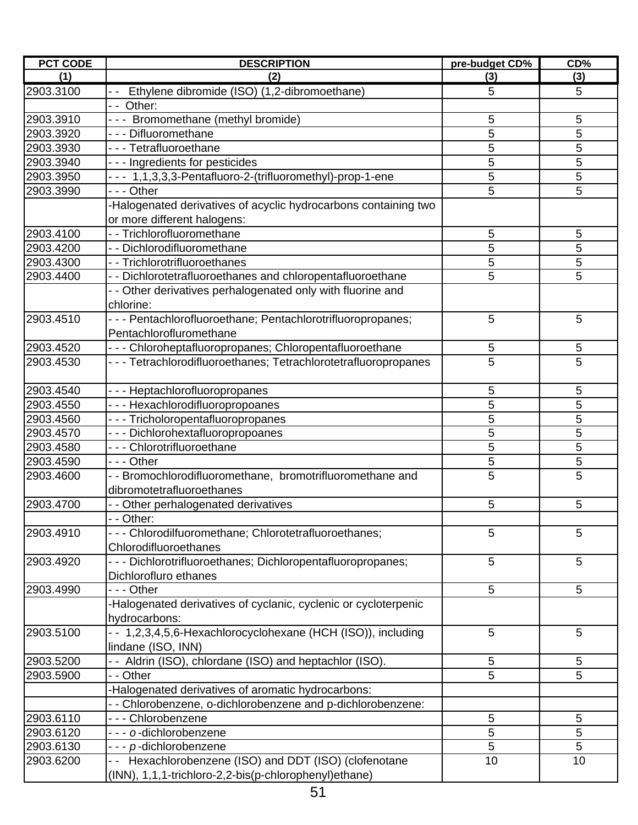| <b>PCT CODE</b> | <b>DESCRIPTION</b>                                              | pre-budget CD% | CD%            |
|-----------------|-----------------------------------------------------------------|----------------|----------------|
| (1)             | (2)                                                             | (3)            | (3)            |
| 2903.3100       | Ethylene dibromide (ISO) (1,2-dibromoethane)                    | 5              | 5              |
|                 | -- Other:                                                       |                |                |
| 2903.3910       | --- Bromomethane (methyl bromide)                               | 5              | 5              |
| 2903.3920       | - - - Difluoromethane                                           | 5              | 5              |
| 2903.3930       | - - - Tetrafluoroethane                                         | 5              | 5              |
| 2903.3940       | --- Ingredients for pesticides                                  | 5              | 5              |
| 2903.3950       | --- 1,1,3,3,3-Pentafluoro-2-(trifluoromethyl)-prop-1-ene        | 5              | 5              |
| 2903.3990       | --- Other                                                       | 5              | 5              |
|                 | Halogenated derivatives of acyclic hydrocarbons containing two  |                |                |
|                 | or more different halogens:                                     |                |                |
| 2903.4100       | - - Trichlorofluoromethane                                      | 5              | 5              |
| 2903.4200       | - - Dichlorodifluoromethane                                     | 5              | 5              |
| 2903.4300       | - - Trichlorotrifluoroethanes                                   | 5              | 5              |
| 2903.4400       | - - Dichlorotetrafluoroethanes and chloropentafluoroethane      | 5              | 5              |
|                 | - - Other derivatives perhalogenated only with fluorine and     |                |                |
|                 | chlorine:                                                       |                |                |
| 2903.4510       | - - - Pentachlorofluoroethane; Pentachlorotrifluoropropanes;    | 5              | 5              |
|                 | Pentachlorofluromethane                                         |                |                |
| 2903.4520       | - - - Chloroheptafluoropropanes; Chloropentafluoroethane        | 5              | 5              |
| 2903.4530       | --- Tetrachlorodifluoroethanes; Tetrachlorotetrafluoropropanes  | 5              | 5              |
|                 |                                                                 |                |                |
| 2903.4540       | - - - Heptachlorofluoropropanes                                 | 5              | 5              |
| 2903.4550       | --- Hexachlorodifluoropropoanes                                 | 5              | 5              |
| 2903.4560       | --- Tricholoropentafluoropropanes                               | 5              | $\overline{5}$ |
| 2903.4570       | --- Dichlorohextafluoropropoanes                                | 5              | 5              |
| 2903.4580       | - - - Chlorotrifluoroethane                                     | 5              | 5              |
| 2903.4590       | --- Other                                                       | 5              | 5              |
| 2903.4600       | - - Bromochlorodifluoromethane, bromotrifluoromethane and       | 5              | 5              |
|                 | dibromotetrafluoroethanes                                       |                |                |
| 2903.4700       | - - Other perhalogenated derivatives                            | 5              | 5              |
|                 | - - Other:                                                      |                |                |
| 2903.4910       | - - - Chlorodilfuoromethane; Chlorotetrafluoroethanes;          | 5              | 5              |
|                 | Chlorodifluoroethanes                                           |                |                |
| 2903.4920       | - - - Dichlorotrifluoroethanes; Dichloropentafluoropropanes;    | 5              | 5              |
|                 | Dichlorofluro ethanes                                           |                |                |
| 2903.4990       | --- Other                                                       | 5              | 5              |
|                 | -Halogenated derivatives of cyclanic, cyclenic or cycloterpenic |                |                |
|                 | hydrocarbons:                                                   |                |                |
| 2903.5100       | - - 1,2,3,4,5,6-Hexachlorocyclohexane (HCH (ISO)), including    | 5              | $5\phantom{1}$ |
|                 | lindane (ISO, INN)                                              |                |                |
| 2903.5200       | - - Aldrin (ISO), chlordane (ISO) and heptachlor (ISO).         | 5              | 5              |
| 2903.5900       | - - Other                                                       | 5              | 5              |
|                 | Halogenated derivatives of aromatic hydrocarbons:               |                |                |
|                 | - - Chlorobenzene, o-dichlorobenzene and p-dichlorobenzene:     |                |                |
| 2903.6110       | --- Chlorobenzene                                               | 5              | 5              |
| 2903.6120       | - - - o-dichlorobenzene                                         | 5              | 5              |
| 2903.6130       | - - - p-dichlorobenzene                                         | 5              | 5              |
| 2903.6200       | -- Hexachlorobenzene (ISO) and DDT (ISO) (clofenotane           | 10             | 10             |
|                 | (INN), 1,1,1-trichloro-2,2-bis(p-chlorophenyl)ethane)           |                |                |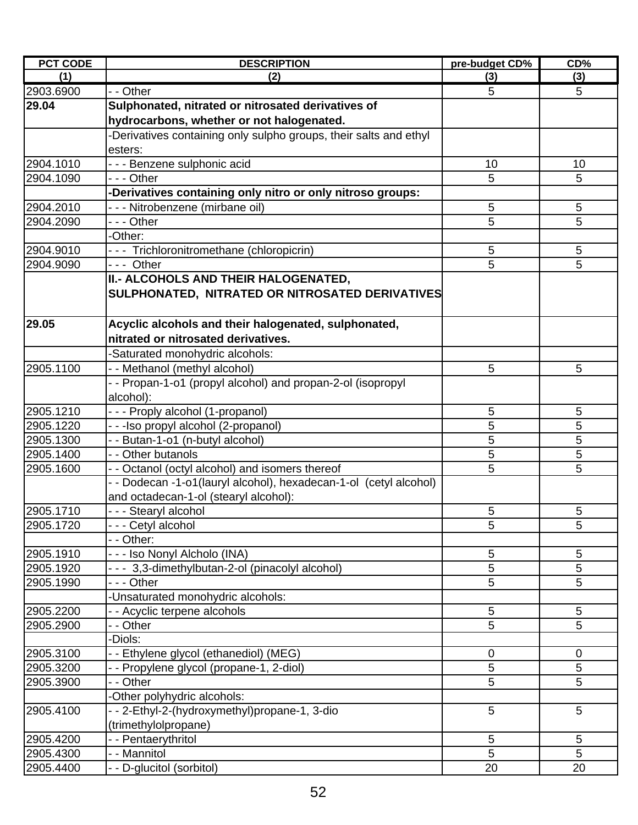| <b>PCT CODE</b> | <b>DESCRIPTION</b>                                                | pre-budget CD%   | CD%         |
|-----------------|-------------------------------------------------------------------|------------------|-------------|
| (1)             | (2)                                                               | (3)              | (3)         |
| 2903.6900       | - - Other                                                         | 5                | 5           |
| 29.04           | Sulphonated, nitrated or nitrosated derivatives of                |                  |             |
|                 | hydrocarbons, whether or not halogenated.                         |                  |             |
|                 | -Derivatives containing only sulpho groups, their salts and ethyl |                  |             |
|                 | esters:                                                           |                  |             |
| 2904.1010       | - - - Benzene sulphonic acid                                      | 10               | 10          |
| 2904.1090       | --- Other                                                         | 5                | 5           |
|                 | -Derivatives containing only nitro or only nitroso groups:        |                  |             |
| 2904.2010       | - - - Nitrobenzene (mirbane oil)                                  | 5                | 5           |
| 2904.2090       | --- Other                                                         | 5                | 5           |
|                 | -Other:                                                           |                  |             |
| 2904.9010       | --- Trichloronitromethane (chloropicrin)                          | 5                | $\sqrt{5}$  |
| 2904.9090       | --- Other                                                         | 5                | 5           |
|                 | II.- ALCOHOLS AND THEIR HALOGENATED,                              |                  |             |
|                 | SULPHONATED, NITRATED OR NITROSATED DERIVATIVES                   |                  |             |
|                 |                                                                   |                  |             |
| 29.05           | Acyclic alcohols and their halogenated, sulphonated,              |                  |             |
|                 | nitrated or nitrosated derivatives.                               |                  |             |
|                 | -Saturated monohydric alcohols:                                   |                  |             |
| 2905.1100       | - - Methanol (methyl alcohol)                                     | 5                | 5           |
|                 | - - Propan-1-o1 (propyl alcohol) and propan-2-ol (isopropyl       |                  |             |
|                 | alcohol):                                                         |                  |             |
| 2905.1210       | - - - Proply alcohol (1-propanol)                                 | 5                | 5           |
| 2905.1220       | - - - Iso propyl alcohol (2-propanol)                             | 5                | 5           |
| 2905.1300       | - - Butan-1-o1 (n-butyl alcohol)                                  | 5                | 5           |
| 2905.1400       | - - Other butanols                                                | 5                | 5           |
| 2905.1600       | - - Octanol (octyl alcohol) and isomers thereof                   | 5                | 5           |
|                 | - - Dodecan -1-o1(lauryl alcohol), hexadecan-1-ol (cetyl alcohol) |                  |             |
|                 | and octadecan-1-ol (stearyl alcohol):                             |                  |             |
| 2905.1710       | - - - Stearyl alcohol                                             | 5                | 5           |
| 2905.1720       | - - - Cetyl alcohol                                               | 5                | 5           |
|                 | - - Other:                                                        |                  |             |
| 2905.1910       | - - - Iso Nonyl Alcholo (INA)                                     | 5                | 5           |
| 2905.1920       | - - - 3,3-dimethylbutan-2-ol (pinacolyl alcohol)                  | 5                | 5           |
| 2905.1990       | - - - Other                                                       | 5                | 5           |
|                 | -Unsaturated monohydric alcohols:                                 |                  |             |
| 2905.2200       | - - Acyclic terpene alcohols                                      | 5                | 5           |
| 2905.2900       | - - Other                                                         | 5                | 5           |
|                 | -Diols:                                                           |                  |             |
| 2905.3100       | -- Ethylene glycol (ethanediol) (MEG)                             | $\boldsymbol{0}$ | $\mathbf 0$ |
| 2905.3200       | - - Propylene glycol (propane-1, 2-diol)                          | 5                | 5           |
| 2905.3900       | - - Other                                                         | 5                | 5           |
|                 | -Other polyhydric alcohols:                                       |                  |             |
| 2905.4100       | --2-Ethyl-2-(hydroxymethyl)propane-1, 3-dio                       | 5                | 5           |
|                 | (trimethylolpropane)                                              |                  |             |
| 2905.4200       | - - Pentaerythritol                                               | 5                | 5           |
| 2905.4300       | - - Mannitol                                                      | 5                | 5           |
| 2905.4400       | - - D-glucitol (sorbitol)                                         | 20               | 20          |
|                 |                                                                   |                  |             |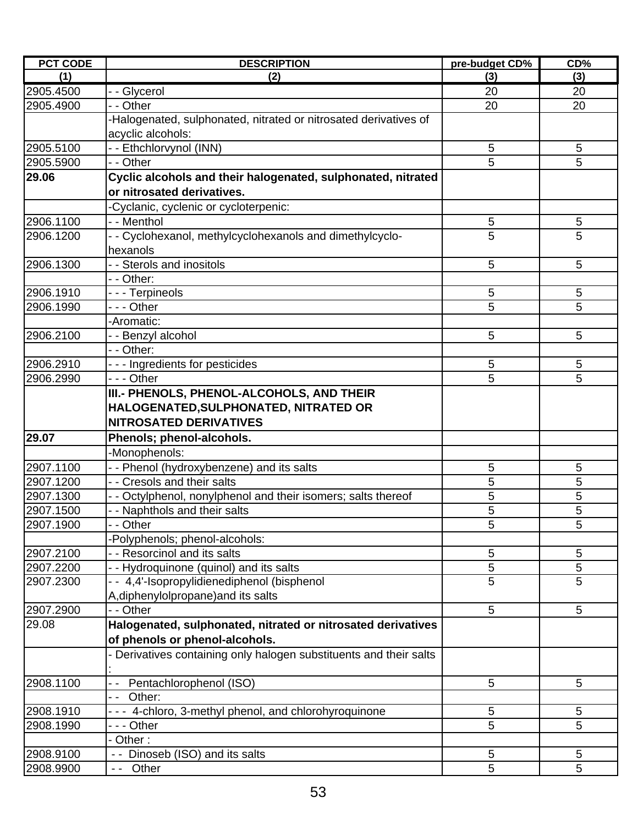| (3)<br>(1)<br>(2)<br>(3)<br>- - Glycerol<br>2905.4500<br>20<br>20<br>2905.4900<br>- - Other<br>20<br>20<br>-Halogenated, sulphonated, nitrated or nitrosated derivatives of<br>acyclic alcohols:<br>2905.5100<br>5<br>-- Ethchlorvynol (INN)<br>5<br>5<br>- - Other<br>5<br>2905.5900<br>29.06<br>Cyclic alcohols and their halogenated, sulphonated, nitrated<br>or nitrosated derivatives.<br>Cyclanic, cyclenic or cycloterpenic:<br>2906.1100<br>- - Menthol<br>5<br>5<br>5<br>5<br>- - Cyclohexanol, methylcyclohexanols and dimethylcyclo-<br>2906.1200<br>hexanols<br>- - Sterols and inositols<br>2906.1300<br>5<br>5<br>- - Other:<br>2906.1910<br>--- Terpineols<br>5<br>5<br>5<br>5<br>2906.1990<br>- - - Other<br>-Aromatic:<br>5<br>2906.2100<br>5<br>- - Benzyl alcohol<br>- - Other:<br>--- Ingredients for pesticides<br>2906.2910<br>5<br>5<br>5<br>5<br>2906.2990<br>--- Other<br>III.- PHENOLS, PHENOL-ALCOHOLS, AND THEIR<br>HALOGENATED, SULPHONATED, NITRATED OR<br><b>NITROSATED DERIVATIVES</b><br>29.07<br>Phenols; phenol-alcohols.<br>-Monophenols:<br>2907.1100<br>- - Phenol (hydroxybenzene) and its salts<br>5<br>5<br>- Cresols and their salts<br>5<br>5<br>2907.1200<br>2907.1300<br>5<br>Octylphenol, nonylphenol and their isomers; salts thereof<br>5<br>5<br>5<br>- Naphthols and their salts<br>2907.1500<br>2907.1900<br>$\overline{-}$ Other<br>5<br>5<br>Polyphenols; phenol-alcohols:<br>- Resorcinol and its salts<br>5<br>5<br>2907.2100<br>5<br>5<br>2907.2200<br>- Hydroquinone (quinol) and its salts<br>5<br>- 4,4'-Isopropylidienediphenol (bisphenol<br>5<br>2907.2300<br>A, diphenylolpropane) and its salts<br>2907.2900<br>5<br>- Other<br>5<br>29.08<br>Halogenated, sulphonated, nitrated or nitrosated derivatives<br>of phenols or phenol-alcohols.<br>Derivatives containing only halogen substituents and their salts<br>2908.1100<br>Pentachlorophenol (ISO)<br>5<br>5<br>Other:<br>4-chloro, 3-methyl phenol, and chlorohyroquinone<br>5<br>2908.1910<br>5<br>5<br>5<br>2908.1990<br>- - Other<br>Other:<br>2908.9100<br>5<br>- - Dinoseb (ISO) and its salts<br>5<br>5<br>5<br>Other<br>2908.9900 | <b>PCT CODE</b> | <b>DESCRIPTION</b> | pre-budget CD% | CD% |
|------------------------------------------------------------------------------------------------------------------------------------------------------------------------------------------------------------------------------------------------------------------------------------------------------------------------------------------------------------------------------------------------------------------------------------------------------------------------------------------------------------------------------------------------------------------------------------------------------------------------------------------------------------------------------------------------------------------------------------------------------------------------------------------------------------------------------------------------------------------------------------------------------------------------------------------------------------------------------------------------------------------------------------------------------------------------------------------------------------------------------------------------------------------------------------------------------------------------------------------------------------------------------------------------------------------------------------------------------------------------------------------------------------------------------------------------------------------------------------------------------------------------------------------------------------------------------------------------------------------------------------------------------------------------------------------------------------------------------------------------------------------------------------------------------------------------------------------------------------------------------------------------------------------------------------------------------------------------------------------------------------------------------------------------------------------------------------------------------------------------------------------------------------------|-----------------|--------------------|----------------|-----|
|                                                                                                                                                                                                                                                                                                                                                                                                                                                                                                                                                                                                                                                                                                                                                                                                                                                                                                                                                                                                                                                                                                                                                                                                                                                                                                                                                                                                                                                                                                                                                                                                                                                                                                                                                                                                                                                                                                                                                                                                                                                                                                                                                                  |                 |                    |                |     |
|                                                                                                                                                                                                                                                                                                                                                                                                                                                                                                                                                                                                                                                                                                                                                                                                                                                                                                                                                                                                                                                                                                                                                                                                                                                                                                                                                                                                                                                                                                                                                                                                                                                                                                                                                                                                                                                                                                                                                                                                                                                                                                                                                                  |                 |                    |                |     |
|                                                                                                                                                                                                                                                                                                                                                                                                                                                                                                                                                                                                                                                                                                                                                                                                                                                                                                                                                                                                                                                                                                                                                                                                                                                                                                                                                                                                                                                                                                                                                                                                                                                                                                                                                                                                                                                                                                                                                                                                                                                                                                                                                                  |                 |                    |                |     |
|                                                                                                                                                                                                                                                                                                                                                                                                                                                                                                                                                                                                                                                                                                                                                                                                                                                                                                                                                                                                                                                                                                                                                                                                                                                                                                                                                                                                                                                                                                                                                                                                                                                                                                                                                                                                                                                                                                                                                                                                                                                                                                                                                                  |                 |                    |                |     |
|                                                                                                                                                                                                                                                                                                                                                                                                                                                                                                                                                                                                                                                                                                                                                                                                                                                                                                                                                                                                                                                                                                                                                                                                                                                                                                                                                                                                                                                                                                                                                                                                                                                                                                                                                                                                                                                                                                                                                                                                                                                                                                                                                                  |                 |                    |                |     |
|                                                                                                                                                                                                                                                                                                                                                                                                                                                                                                                                                                                                                                                                                                                                                                                                                                                                                                                                                                                                                                                                                                                                                                                                                                                                                                                                                                                                                                                                                                                                                                                                                                                                                                                                                                                                                                                                                                                                                                                                                                                                                                                                                                  |                 |                    |                |     |
|                                                                                                                                                                                                                                                                                                                                                                                                                                                                                                                                                                                                                                                                                                                                                                                                                                                                                                                                                                                                                                                                                                                                                                                                                                                                                                                                                                                                                                                                                                                                                                                                                                                                                                                                                                                                                                                                                                                                                                                                                                                                                                                                                                  |                 |                    |                |     |
|                                                                                                                                                                                                                                                                                                                                                                                                                                                                                                                                                                                                                                                                                                                                                                                                                                                                                                                                                                                                                                                                                                                                                                                                                                                                                                                                                                                                                                                                                                                                                                                                                                                                                                                                                                                                                                                                                                                                                                                                                                                                                                                                                                  |                 |                    |                |     |
|                                                                                                                                                                                                                                                                                                                                                                                                                                                                                                                                                                                                                                                                                                                                                                                                                                                                                                                                                                                                                                                                                                                                                                                                                                                                                                                                                                                                                                                                                                                                                                                                                                                                                                                                                                                                                                                                                                                                                                                                                                                                                                                                                                  |                 |                    |                |     |
|                                                                                                                                                                                                                                                                                                                                                                                                                                                                                                                                                                                                                                                                                                                                                                                                                                                                                                                                                                                                                                                                                                                                                                                                                                                                                                                                                                                                                                                                                                                                                                                                                                                                                                                                                                                                                                                                                                                                                                                                                                                                                                                                                                  |                 |                    |                |     |
|                                                                                                                                                                                                                                                                                                                                                                                                                                                                                                                                                                                                                                                                                                                                                                                                                                                                                                                                                                                                                                                                                                                                                                                                                                                                                                                                                                                                                                                                                                                                                                                                                                                                                                                                                                                                                                                                                                                                                                                                                                                                                                                                                                  |                 |                    |                |     |
|                                                                                                                                                                                                                                                                                                                                                                                                                                                                                                                                                                                                                                                                                                                                                                                                                                                                                                                                                                                                                                                                                                                                                                                                                                                                                                                                                                                                                                                                                                                                                                                                                                                                                                                                                                                                                                                                                                                                                                                                                                                                                                                                                                  |                 |                    |                |     |
|                                                                                                                                                                                                                                                                                                                                                                                                                                                                                                                                                                                                                                                                                                                                                                                                                                                                                                                                                                                                                                                                                                                                                                                                                                                                                                                                                                                                                                                                                                                                                                                                                                                                                                                                                                                                                                                                                                                                                                                                                                                                                                                                                                  |                 |                    |                |     |
|                                                                                                                                                                                                                                                                                                                                                                                                                                                                                                                                                                                                                                                                                                                                                                                                                                                                                                                                                                                                                                                                                                                                                                                                                                                                                                                                                                                                                                                                                                                                                                                                                                                                                                                                                                                                                                                                                                                                                                                                                                                                                                                                                                  |                 |                    |                |     |
|                                                                                                                                                                                                                                                                                                                                                                                                                                                                                                                                                                                                                                                                                                                                                                                                                                                                                                                                                                                                                                                                                                                                                                                                                                                                                                                                                                                                                                                                                                                                                                                                                                                                                                                                                                                                                                                                                                                                                                                                                                                                                                                                                                  |                 |                    |                |     |
|                                                                                                                                                                                                                                                                                                                                                                                                                                                                                                                                                                                                                                                                                                                                                                                                                                                                                                                                                                                                                                                                                                                                                                                                                                                                                                                                                                                                                                                                                                                                                                                                                                                                                                                                                                                                                                                                                                                                                                                                                                                                                                                                                                  |                 |                    |                |     |
|                                                                                                                                                                                                                                                                                                                                                                                                                                                                                                                                                                                                                                                                                                                                                                                                                                                                                                                                                                                                                                                                                                                                                                                                                                                                                                                                                                                                                                                                                                                                                                                                                                                                                                                                                                                                                                                                                                                                                                                                                                                                                                                                                                  |                 |                    |                |     |
|                                                                                                                                                                                                                                                                                                                                                                                                                                                                                                                                                                                                                                                                                                                                                                                                                                                                                                                                                                                                                                                                                                                                                                                                                                                                                                                                                                                                                                                                                                                                                                                                                                                                                                                                                                                                                                                                                                                                                                                                                                                                                                                                                                  |                 |                    |                |     |
|                                                                                                                                                                                                                                                                                                                                                                                                                                                                                                                                                                                                                                                                                                                                                                                                                                                                                                                                                                                                                                                                                                                                                                                                                                                                                                                                                                                                                                                                                                                                                                                                                                                                                                                                                                                                                                                                                                                                                                                                                                                                                                                                                                  |                 |                    |                |     |
|                                                                                                                                                                                                                                                                                                                                                                                                                                                                                                                                                                                                                                                                                                                                                                                                                                                                                                                                                                                                                                                                                                                                                                                                                                                                                                                                                                                                                                                                                                                                                                                                                                                                                                                                                                                                                                                                                                                                                                                                                                                                                                                                                                  |                 |                    |                |     |
|                                                                                                                                                                                                                                                                                                                                                                                                                                                                                                                                                                                                                                                                                                                                                                                                                                                                                                                                                                                                                                                                                                                                                                                                                                                                                                                                                                                                                                                                                                                                                                                                                                                                                                                                                                                                                                                                                                                                                                                                                                                                                                                                                                  |                 |                    |                |     |
|                                                                                                                                                                                                                                                                                                                                                                                                                                                                                                                                                                                                                                                                                                                                                                                                                                                                                                                                                                                                                                                                                                                                                                                                                                                                                                                                                                                                                                                                                                                                                                                                                                                                                                                                                                                                                                                                                                                                                                                                                                                                                                                                                                  |                 |                    |                |     |
|                                                                                                                                                                                                                                                                                                                                                                                                                                                                                                                                                                                                                                                                                                                                                                                                                                                                                                                                                                                                                                                                                                                                                                                                                                                                                                                                                                                                                                                                                                                                                                                                                                                                                                                                                                                                                                                                                                                                                                                                                                                                                                                                                                  |                 |                    |                |     |
|                                                                                                                                                                                                                                                                                                                                                                                                                                                                                                                                                                                                                                                                                                                                                                                                                                                                                                                                                                                                                                                                                                                                                                                                                                                                                                                                                                                                                                                                                                                                                                                                                                                                                                                                                                                                                                                                                                                                                                                                                                                                                                                                                                  |                 |                    |                |     |
|                                                                                                                                                                                                                                                                                                                                                                                                                                                                                                                                                                                                                                                                                                                                                                                                                                                                                                                                                                                                                                                                                                                                                                                                                                                                                                                                                                                                                                                                                                                                                                                                                                                                                                                                                                                                                                                                                                                                                                                                                                                                                                                                                                  |                 |                    |                |     |
|                                                                                                                                                                                                                                                                                                                                                                                                                                                                                                                                                                                                                                                                                                                                                                                                                                                                                                                                                                                                                                                                                                                                                                                                                                                                                                                                                                                                                                                                                                                                                                                                                                                                                                                                                                                                                                                                                                                                                                                                                                                                                                                                                                  |                 |                    |                |     |
|                                                                                                                                                                                                                                                                                                                                                                                                                                                                                                                                                                                                                                                                                                                                                                                                                                                                                                                                                                                                                                                                                                                                                                                                                                                                                                                                                                                                                                                                                                                                                                                                                                                                                                                                                                                                                                                                                                                                                                                                                                                                                                                                                                  |                 |                    |                |     |
|                                                                                                                                                                                                                                                                                                                                                                                                                                                                                                                                                                                                                                                                                                                                                                                                                                                                                                                                                                                                                                                                                                                                                                                                                                                                                                                                                                                                                                                                                                                                                                                                                                                                                                                                                                                                                                                                                                                                                                                                                                                                                                                                                                  |                 |                    |                |     |
|                                                                                                                                                                                                                                                                                                                                                                                                                                                                                                                                                                                                                                                                                                                                                                                                                                                                                                                                                                                                                                                                                                                                                                                                                                                                                                                                                                                                                                                                                                                                                                                                                                                                                                                                                                                                                                                                                                                                                                                                                                                                                                                                                                  |                 |                    |                |     |
|                                                                                                                                                                                                                                                                                                                                                                                                                                                                                                                                                                                                                                                                                                                                                                                                                                                                                                                                                                                                                                                                                                                                                                                                                                                                                                                                                                                                                                                                                                                                                                                                                                                                                                                                                                                                                                                                                                                                                                                                                                                                                                                                                                  |                 |                    |                |     |
|                                                                                                                                                                                                                                                                                                                                                                                                                                                                                                                                                                                                                                                                                                                                                                                                                                                                                                                                                                                                                                                                                                                                                                                                                                                                                                                                                                                                                                                                                                                                                                                                                                                                                                                                                                                                                                                                                                                                                                                                                                                                                                                                                                  |                 |                    |                |     |
|                                                                                                                                                                                                                                                                                                                                                                                                                                                                                                                                                                                                                                                                                                                                                                                                                                                                                                                                                                                                                                                                                                                                                                                                                                                                                                                                                                                                                                                                                                                                                                                                                                                                                                                                                                                                                                                                                                                                                                                                                                                                                                                                                                  |                 |                    |                |     |
|                                                                                                                                                                                                                                                                                                                                                                                                                                                                                                                                                                                                                                                                                                                                                                                                                                                                                                                                                                                                                                                                                                                                                                                                                                                                                                                                                                                                                                                                                                                                                                                                                                                                                                                                                                                                                                                                                                                                                                                                                                                                                                                                                                  |                 |                    |                |     |
|                                                                                                                                                                                                                                                                                                                                                                                                                                                                                                                                                                                                                                                                                                                                                                                                                                                                                                                                                                                                                                                                                                                                                                                                                                                                                                                                                                                                                                                                                                                                                                                                                                                                                                                                                                                                                                                                                                                                                                                                                                                                                                                                                                  |                 |                    |                |     |
|                                                                                                                                                                                                                                                                                                                                                                                                                                                                                                                                                                                                                                                                                                                                                                                                                                                                                                                                                                                                                                                                                                                                                                                                                                                                                                                                                                                                                                                                                                                                                                                                                                                                                                                                                                                                                                                                                                                                                                                                                                                                                                                                                                  |                 |                    |                |     |
|                                                                                                                                                                                                                                                                                                                                                                                                                                                                                                                                                                                                                                                                                                                                                                                                                                                                                                                                                                                                                                                                                                                                                                                                                                                                                                                                                                                                                                                                                                                                                                                                                                                                                                                                                                                                                                                                                                                                                                                                                                                                                                                                                                  |                 |                    |                |     |
|                                                                                                                                                                                                                                                                                                                                                                                                                                                                                                                                                                                                                                                                                                                                                                                                                                                                                                                                                                                                                                                                                                                                                                                                                                                                                                                                                                                                                                                                                                                                                                                                                                                                                                                                                                                                                                                                                                                                                                                                                                                                                                                                                                  |                 |                    |                |     |
|                                                                                                                                                                                                                                                                                                                                                                                                                                                                                                                                                                                                                                                                                                                                                                                                                                                                                                                                                                                                                                                                                                                                                                                                                                                                                                                                                                                                                                                                                                                                                                                                                                                                                                                                                                                                                                                                                                                                                                                                                                                                                                                                                                  |                 |                    |                |     |
|                                                                                                                                                                                                                                                                                                                                                                                                                                                                                                                                                                                                                                                                                                                                                                                                                                                                                                                                                                                                                                                                                                                                                                                                                                                                                                                                                                                                                                                                                                                                                                                                                                                                                                                                                                                                                                                                                                                                                                                                                                                                                                                                                                  |                 |                    |                |     |
|                                                                                                                                                                                                                                                                                                                                                                                                                                                                                                                                                                                                                                                                                                                                                                                                                                                                                                                                                                                                                                                                                                                                                                                                                                                                                                                                                                                                                                                                                                                                                                                                                                                                                                                                                                                                                                                                                                                                                                                                                                                                                                                                                                  |                 |                    |                |     |
|                                                                                                                                                                                                                                                                                                                                                                                                                                                                                                                                                                                                                                                                                                                                                                                                                                                                                                                                                                                                                                                                                                                                                                                                                                                                                                                                                                                                                                                                                                                                                                                                                                                                                                                                                                                                                                                                                                                                                                                                                                                                                                                                                                  |                 |                    |                |     |
|                                                                                                                                                                                                                                                                                                                                                                                                                                                                                                                                                                                                                                                                                                                                                                                                                                                                                                                                                                                                                                                                                                                                                                                                                                                                                                                                                                                                                                                                                                                                                                                                                                                                                                                                                                                                                                                                                                                                                                                                                                                                                                                                                                  |                 |                    |                |     |
|                                                                                                                                                                                                                                                                                                                                                                                                                                                                                                                                                                                                                                                                                                                                                                                                                                                                                                                                                                                                                                                                                                                                                                                                                                                                                                                                                                                                                                                                                                                                                                                                                                                                                                                                                                                                                                                                                                                                                                                                                                                                                                                                                                  |                 |                    |                |     |
|                                                                                                                                                                                                                                                                                                                                                                                                                                                                                                                                                                                                                                                                                                                                                                                                                                                                                                                                                                                                                                                                                                                                                                                                                                                                                                                                                                                                                                                                                                                                                                                                                                                                                                                                                                                                                                                                                                                                                                                                                                                                                                                                                                  |                 |                    |                |     |
|                                                                                                                                                                                                                                                                                                                                                                                                                                                                                                                                                                                                                                                                                                                                                                                                                                                                                                                                                                                                                                                                                                                                                                                                                                                                                                                                                                                                                                                                                                                                                                                                                                                                                                                                                                                                                                                                                                                                                                                                                                                                                                                                                                  |                 |                    |                |     |
|                                                                                                                                                                                                                                                                                                                                                                                                                                                                                                                                                                                                                                                                                                                                                                                                                                                                                                                                                                                                                                                                                                                                                                                                                                                                                                                                                                                                                                                                                                                                                                                                                                                                                                                                                                                                                                                                                                                                                                                                                                                                                                                                                                  |                 |                    |                |     |
|                                                                                                                                                                                                                                                                                                                                                                                                                                                                                                                                                                                                                                                                                                                                                                                                                                                                                                                                                                                                                                                                                                                                                                                                                                                                                                                                                                                                                                                                                                                                                                                                                                                                                                                                                                                                                                                                                                                                                                                                                                                                                                                                                                  |                 |                    |                |     |
|                                                                                                                                                                                                                                                                                                                                                                                                                                                                                                                                                                                                                                                                                                                                                                                                                                                                                                                                                                                                                                                                                                                                                                                                                                                                                                                                                                                                                                                                                                                                                                                                                                                                                                                                                                                                                                                                                                                                                                                                                                                                                                                                                                  |                 |                    |                |     |
|                                                                                                                                                                                                                                                                                                                                                                                                                                                                                                                                                                                                                                                                                                                                                                                                                                                                                                                                                                                                                                                                                                                                                                                                                                                                                                                                                                                                                                                                                                                                                                                                                                                                                                                                                                                                                                                                                                                                                                                                                                                                                                                                                                  |                 |                    |                |     |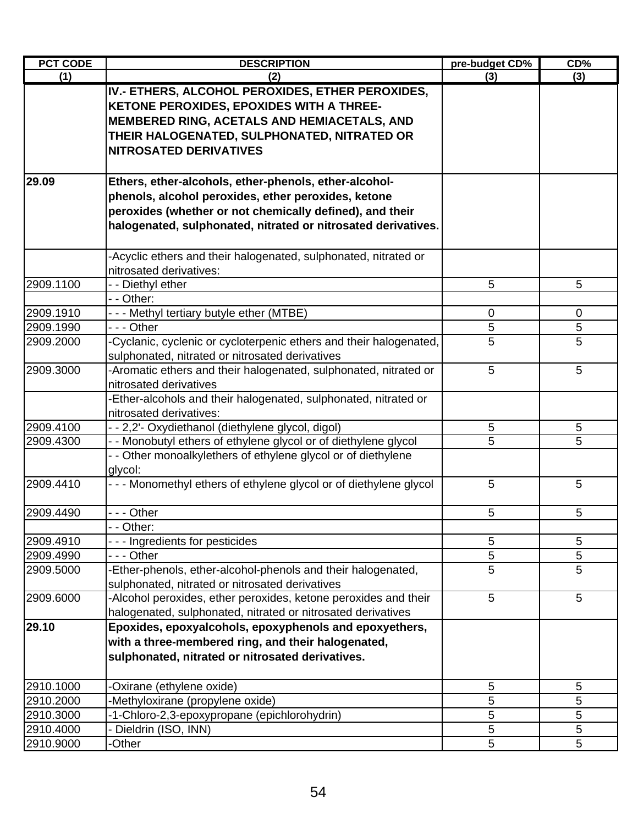| <b>PCT CODE</b>        | <b>DESCRIPTION</b>                                                                                                                                                                                                                        | pre-budget CD% | CD%              |
|------------------------|-------------------------------------------------------------------------------------------------------------------------------------------------------------------------------------------------------------------------------------------|----------------|------------------|
| (1)                    | (2)                                                                                                                                                                                                                                       | (3)            | (3)              |
|                        | IV.- ETHERS, ALCOHOL PEROXIDES, ETHER PEROXIDES,<br>KETONE PEROXIDES, EPOXIDES WITH A THREE-<br>MEMBERED RING, ACETALS AND HEMIACETALS, AND<br>THEIR HALOGENATED, SULPHONATED, NITRATED OR<br><b>NITROSATED DERIVATIVES</b>               |                |                  |
| 29.09                  | Ethers, ether-alcohols, ether-phenols, ether-alcohol-<br>phenols, alcohol peroxides, ether peroxides, ketone<br>peroxides (whether or not chemically defined), and their<br>halogenated, sulphonated, nitrated or nitrosated derivatives. |                |                  |
|                        | -Acyclic ethers and their halogenated, sulphonated, nitrated or                                                                                                                                                                           |                |                  |
|                        | nitrosated derivatives:                                                                                                                                                                                                                   |                |                  |
| 2909.1100              | - - Diethyl ether                                                                                                                                                                                                                         | 5              | 5                |
|                        | - - Other:                                                                                                                                                                                                                                |                |                  |
| 2909.1910<br>2909.1990 | --- Methyl tertiary butyle ether (MTBE)<br>--- Other                                                                                                                                                                                      | 0<br>5         | $\mathbf 0$<br>5 |
| 2909.2000              | -Cyclanic, cyclenic or cycloterpenic ethers and their halogenated,                                                                                                                                                                        | 5              | 5                |
|                        | sulphonated, nitrated or nitrosated derivatives                                                                                                                                                                                           |                |                  |
| 2909.3000              | -Aromatic ethers and their halogenated, sulphonated, nitrated or                                                                                                                                                                          | 5              | 5                |
|                        | nitrosated derivatives<br>-Ether-alcohols and their halogenated, sulphonated, nitrated or                                                                                                                                                 |                |                  |
|                        | nitrosated derivatives:                                                                                                                                                                                                                   |                |                  |
| 2909.4100              | - - 2,2'- Oxydiethanol (diethylene glycol, digol)                                                                                                                                                                                         | 5              | 5                |
| 2909.4300              | - - Monobutyl ethers of ethylene glycol or of diethylene glycol<br>- - Other monoalkylethers of ethylene glycol or of diethylene<br>glycol:                                                                                               | 5              | 5                |
| 2909.4410              | --- Monomethyl ethers of ethylene glycol or of diethylene glycol                                                                                                                                                                          | 5              | 5                |
| 2909.4490              | --- Other                                                                                                                                                                                                                                 | 5              | 5                |
|                        | - - Other:                                                                                                                                                                                                                                |                |                  |
| 2909.4910              | --- Ingredients for pesticides                                                                                                                                                                                                            | 5              | 5                |
| 2909.4990              | - - - Other                                                                                                                                                                                                                               | 5              | 5                |
| 2909.5000              | -Ether-phenols, ether-alcohol-phenols and their halogenated,<br>sulphonated, nitrated or nitrosated derivatives                                                                                                                           | 5              | 5                |
| 2909.6000              | -Alcohol peroxides, ether peroxides, ketone peroxides and their<br>halogenated, sulphonated, nitrated or nitrosated derivatives                                                                                                           | 5              | 5                |
| 29.10                  | Epoxides, epoxyalcohols, epoxyphenols and epoxyethers,<br>with a three-membered ring, and their halogenated,<br>sulphonated, nitrated or nitrosated derivatives.                                                                          |                |                  |
| 2910.1000              | -Oxirane (ethylene oxide)                                                                                                                                                                                                                 | 5              | 5                |
| 2910.2000              | -Methyloxirane (propylene oxide)                                                                                                                                                                                                          | 5              | 5                |
| 2910.3000              | -1-Chloro-2,3-epoxypropane (epichlorohydrin)                                                                                                                                                                                              | 5              | 5                |
| 2910.4000              | - Dieldrin (ISO, INN)                                                                                                                                                                                                                     | 5              | 5                |
| 2910.9000              | -Other                                                                                                                                                                                                                                    | 5              | 5                |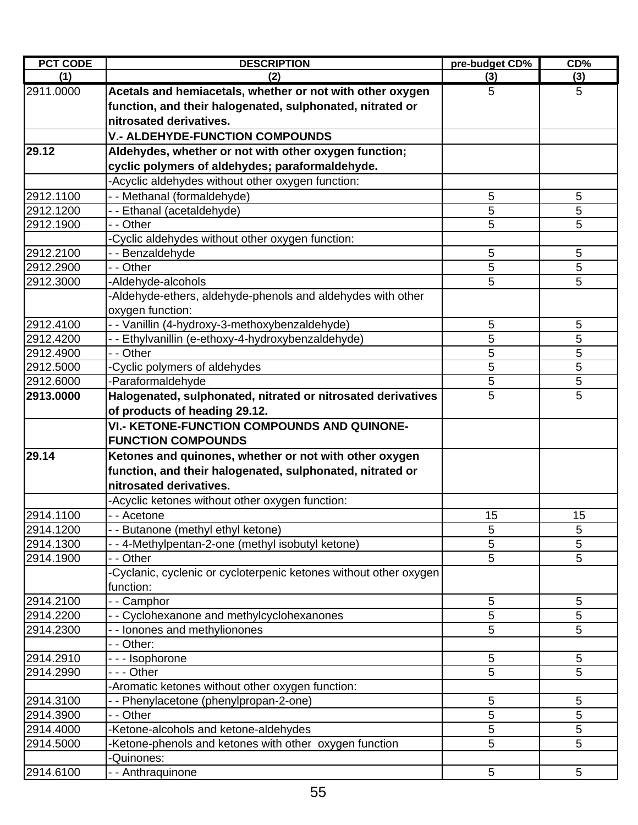| <b>PCT CODE</b> | <b>DESCRIPTION</b>                                                | pre-budget CD% | CD%             |
|-----------------|-------------------------------------------------------------------|----------------|-----------------|
| (1)             | (2)                                                               | (3)            | (3)             |
| 2911.0000       | Acetals and hemiacetals, whether or not with other oxygen         | 5              | 5               |
|                 | function, and their halogenated, sulphonated, nitrated or         |                |                 |
|                 | nitrosated derivatives.                                           |                |                 |
|                 | <b>V.- ALDEHYDE-FUNCTION COMPOUNDS</b>                            |                |                 |
| 29.12           | Aldehydes, whether or not with other oxygen function;             |                |                 |
|                 | cyclic polymers of aldehydes; paraformaldehyde.                   |                |                 |
|                 | -Acyclic aldehydes without other oxygen function:                 |                |                 |
| 2912.1100       | -- Methanal (formaldehyde)                                        | 5              | 5               |
| 2912.1200       | - - Ethanal (acetaldehyde)                                        | 5              | 5               |
| 2912.1900       | - - Other                                                         | 5              | 5               |
|                 | -Cyclic aldehydes without other oxygen function:                  |                |                 |
| 2912.2100       | --Benzaldehyde                                                    | 5              | 5               |
| 2912.2900       | - - Other                                                         | 5              | 5               |
| 2912.3000       | -Aldehyde-alcohols                                                | 5              | 5               |
|                 | -Aldehyde-ethers, aldehyde-phenols and aldehydes with other       |                |                 |
|                 | oxygen function:                                                  |                |                 |
| 2912.4100       | - - Vanillin (4-hydroxy-3-methoxybenzaldehyde)                    | 5              | $5\phantom{.0}$ |
| 2912.4200       | - - Ethylvanillin (e-ethoxy-4-hydroxybenzaldehyde)                | 5              | 5               |
| 2912.4900       | - - Other                                                         | 5              | 5               |
| 2912.5000       | -Cyclic polymers of aldehydes                                     | 5              | 5               |
| 2912.6000       | -Paraformaldehyde                                                 | 5              | $\mathbf 5$     |
| 2913.0000       | Halogenated, sulphonated, nitrated or nitrosated derivatives      | 5              | 5               |
|                 | of products of heading 29.12.                                     |                |                 |
|                 | <b>VI.- KETONE-FUNCTION COMPOUNDS AND QUINONE-</b>                |                |                 |
|                 | <b>FUNCTION COMPOUNDS</b>                                         |                |                 |
| 29.14           | Ketones and quinones, whether or not with other oxygen            |                |                 |
|                 | function, and their halogenated, sulphonated, nitrated or         |                |                 |
|                 | nitrosated derivatives.                                           |                |                 |
|                 | -Acyclic ketones without other oxygen function:                   |                |                 |
| 2914.1100       | - - Acetone                                                       | 15             | 15              |
| 2914.1200       | - - Butanone (methyl ethyl ketone)                                | 5              | 5               |
| 2914.1300       | - - 4-Methylpentan-2-one (methyl isobutyl ketone)                 | 5              | 5               |
| 2914.1900       | - - Other                                                         | 5              | 5               |
|                 | -Cyclanic, cyclenic or cycloterpenic ketones without other oxygen |                |                 |
|                 | function:                                                         |                |                 |
| 2914.2100       | -- Camphor                                                        | 5              | 5               |
| 2914.2200       | - - Cyclohexanone and methylcyclohexanones                        | 5              | 5               |
| 2914.2300       | - - Ionones and methylionones                                     | 5              | 5               |
|                 | - - Other:                                                        |                |                 |
| 2914.2910       | --- Isophorone                                                    | 5              | 5               |
| 2914.2990       | - - - Other                                                       | 5              | 5               |
|                 | -Aromatic ketones without other oxygen function:                  |                |                 |
| 2914.3100       | - - Phenylacetone (phenylpropan-2-one)                            | $\mathbf 5$    | 5               |
| 2914.3900       | - - Other                                                         | 5              | 5               |
| 2914.4000       | Ketone-alcohols and ketone-aldehydes                              | 5              | 5               |
| 2914.5000       | Ketone-phenols and ketones with other oxygen function             | 5              | 5               |
|                 | -Quinones:                                                        |                |                 |
| 2914.6100       | - - Anthraquinone                                                 | 5              | 5               |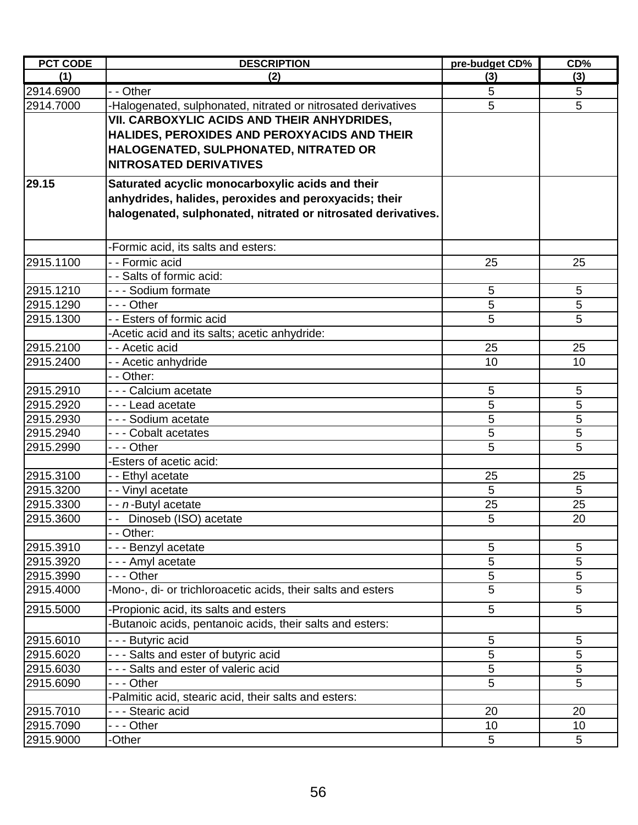| <b>PCT CODE</b>        | <b>DESCRIPTION</b>                                            | pre-budget CD% | CD <sub>0</sub> |
|------------------------|---------------------------------------------------------------|----------------|-----------------|
| (1)                    | (2)                                                           | (3)            | (3)             |
| 2914.6900              | - - Other                                                     | 5              | 5               |
| 2914.7000              | -Halogenated, sulphonated, nitrated or nitrosated derivatives | 5              | 5               |
|                        | VII. CARBOXYLIC ACIDS AND THEIR ANHYDRIDES,                   |                |                 |
|                        | HALIDES, PEROXIDES AND PEROXYACIDS AND THEIR                  |                |                 |
|                        | HALOGENATED, SULPHONATED, NITRATED OR                         |                |                 |
|                        | <b>NITROSATED DERIVATIVES</b>                                 |                |                 |
| 29.15                  | Saturated acyclic monocarboxylic acids and their              |                |                 |
|                        | anhydrides, halides, peroxides and peroxyacids; their         |                |                 |
|                        | halogenated, sulphonated, nitrated or nitrosated derivatives. |                |                 |
|                        |                                                               |                |                 |
|                        | -Formic acid, its salts and esters:                           |                |                 |
| 2915.1100              | - - Formic acid                                               | 25             | 25              |
|                        | - - Salts of formic acid:                                     |                |                 |
| 2915.1210              | --- Sodium formate                                            | 5              | 5               |
| 2915.1290              | - - - Other                                                   | 5              | 5               |
| 2915.1300              | - - Esters of formic acid                                     | 5              | 5               |
|                        | -Acetic acid and its salts; acetic anhydride:                 |                |                 |
| 2915.2100              | - - Acetic acid                                               | 25             | 25              |
| 2915.2400              | - - Acetic anhydride                                          | 10             | 10              |
|                        | - - Other:                                                    |                |                 |
| 2915.2910              | - - - Calcium acetate                                         | 5              | 5               |
| 2915.2920              | - - - Lead acetate                                            | 5              | 5               |
| 2915.2930              | - - - Sodium acetate                                          | 5              | 5               |
| 2915.2940              | - - - Cobalt acetates                                         | 5              | 5               |
| 2915.2990              | - - - Other                                                   | 5              | 5               |
|                        | -Esters of acetic acid:                                       |                |                 |
| 2915.3100              | - - Ethyl acetate                                             | 25             | 25              |
| 2915.3200              | - - Vinyl acetate                                             | 5              | 5               |
| 2915.3300              | - - n-Butyl acetate                                           | 25             | 25              |
| 2915.3600              | -- Dinoseb (ISO) acetate                                      | 5              | 20              |
| 2915.3910              | - - Other:<br>- - - Benzyl acetate                            | 5              | 5               |
| 2915.3920              | - - - Amyl acetate                                            | 5              | 5               |
| 2915.3990              | - - - Other                                                   | 5              | 5               |
| 2915.4000              | -Mono-, di- or trichloroacetic acids, their salts and esters  | 5              | 5               |
|                        |                                                               |                |                 |
| 2915.5000              | -Propionic acid, its salts and esters                         | 5              | 5               |
|                        | -Butanoic acids, pentanoic acids, their salts and esters:     |                |                 |
| 2915.6010              | - - - Butyric acid                                            | 5              | 5               |
| 2915.6020              | --- Salts and ester of butyric acid                           | 5              | 5               |
| 2915.6030              | - - - Salts and ester of valeric acid                         | 5              | 5               |
| 2915.6090              | - - - Other                                                   | 5              | 5               |
|                        | -Palmitic acid, stearic acid, their salts and esters:         |                |                 |
| 2915.7010<br>2915.7090 | - - - Stearic acid<br>- - - Other                             | 20<br>10       | 20<br>10        |
| 2915.9000              | -Other                                                        | 5              | 5               |
|                        |                                                               |                |                 |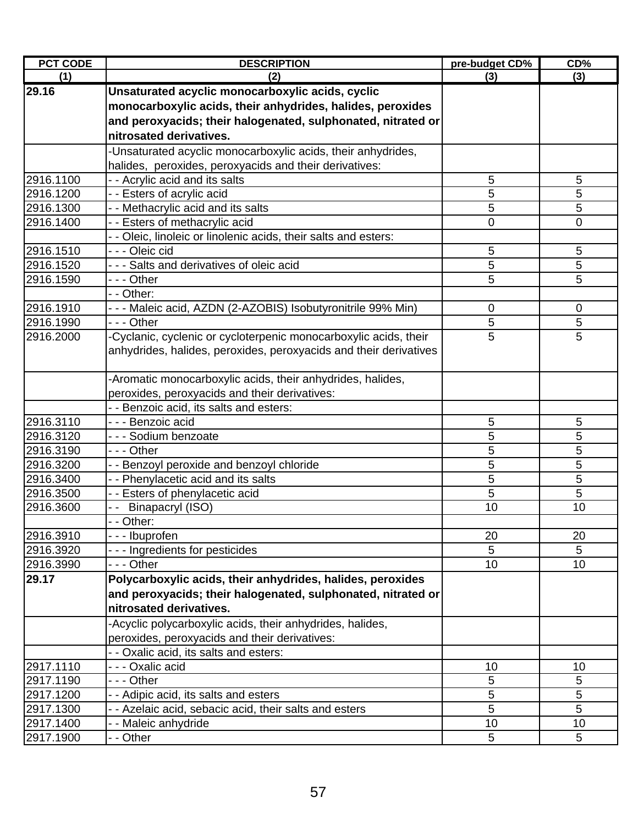| <b>PCT CODE</b> | <b>DESCRIPTION</b>                                                | pre-budget CD%  | CD%         |
|-----------------|-------------------------------------------------------------------|-----------------|-------------|
| (1)             | (2)                                                               | (3)             | (3)         |
| 29.16           | Unsaturated acyclic monocarboxylic acids, cyclic                  |                 |             |
|                 | monocarboxylic acids, their anhydrides, halides, peroxides        |                 |             |
|                 | and peroxyacids; their halogenated, sulphonated, nitrated or      |                 |             |
|                 | nitrosated derivatives.                                           |                 |             |
|                 | -Unsaturated acyclic monocarboxylic acids, their anhydrides,      |                 |             |
|                 | halides, peroxides, peroxyacids and their derivatives:            |                 |             |
| 2916.1100       | - - Acrylic acid and its salts                                    | 5               | 5           |
| 2916.1200       | - - Esters of acrylic acid                                        | 5               | 5           |
| 2916.1300       | - - Methacrylic acid and its salts                                | 5               | 5           |
| 2916.1400       | - - Esters of methacrylic acid                                    | 0               | 0           |
|                 | - - Oleic, linoleic or linolenic acids, their salts and esters:   |                 |             |
| 2916.1510       | --- Oleic cid                                                     | 5               | 5           |
| 2916.1520       | - - - Salts and derivatives of oleic acid                         | 5               | 5           |
| 2916.1590       | - - - Other                                                       | 5               | 5           |
|                 | - - Other:                                                        |                 |             |
| 2916.1910       | - - - Maleic acid, AZDN (2-AZOBIS) Isobutyronitrile 99% Min)      | 0               | $\mathbf 0$ |
| 2916.1990       | --- Other                                                         | 5               | 5           |
| 2916.2000       | -Cyclanic, cyclenic or cycloterpenic monocarboxylic acids, their  | 5               | 5           |
|                 | anhydrides, halides, peroxides, peroxyacids and their derivatives |                 |             |
|                 |                                                                   |                 |             |
|                 | -Aromatic monocarboxylic acids, their anhydrides, halides,        |                 |             |
|                 | peroxides, peroxyacids and their derivatives:                     |                 |             |
|                 | - - Benzoic acid, its salts and esters:                           |                 |             |
| 2916.3110       | - - - Benzoic acid                                                | 5               | 5           |
| 2916.3120       | - - - Sodium benzoate                                             | 5               | 5           |
| 2916.3190       | - - - Other                                                       | 5               | 5           |
| 2916.3200       | Benzoyl peroxide and benzoyl chloride<br>$ -$                     | 5               | 5           |
| 2916.3400       | Phenylacetic acid and its salts                                   | 5               | 5           |
| 2916.3500       | - - Esters of phenylacetic acid                                   | 5               | 5           |
| 2916.3600       | Binapacryl (ISO)                                                  | 10              | 10          |
|                 | - Other:                                                          |                 |             |
| 2916.3910       | - - - Ibuprofen                                                   | 20              | 20          |
| 2916.3920       | --- Ingredients for pesticides                                    | 5               | 5           |
| 2916.3990       | $- -$ - Other                                                     | 10 <sub>1</sub> | 10          |
| 29.17           | Polycarboxylic acids, their anhydrides, halides, peroxides        |                 |             |
|                 | and peroxyacids; their halogenated, sulphonated, nitrated or      |                 |             |
|                 | nitrosated derivatives.                                           |                 |             |
|                 | -Acyclic polycarboxylic acids, their anhydrides, halides,         |                 |             |
|                 | peroxides, peroxyacids and their derivatives:                     |                 |             |
|                 | - - Oxalic acid, its salts and esters:                            |                 |             |
| 2917.1110       | - - - Oxalic acid                                                 | 10              | 10          |
| 2917.1190       | --- Other                                                         | 5               | 5           |
| 2917.1200       | - - Adipic acid, its salts and esters                             | 5               | 5           |
| 2917.1300       | - - Azelaic acid, sebacic acid, their salts and esters            | 5               | 5           |
| 2917.1400       | - - Maleic anhydride                                              | 10              | 10          |
| 2917.1900       | - - Other                                                         | 5               | 5           |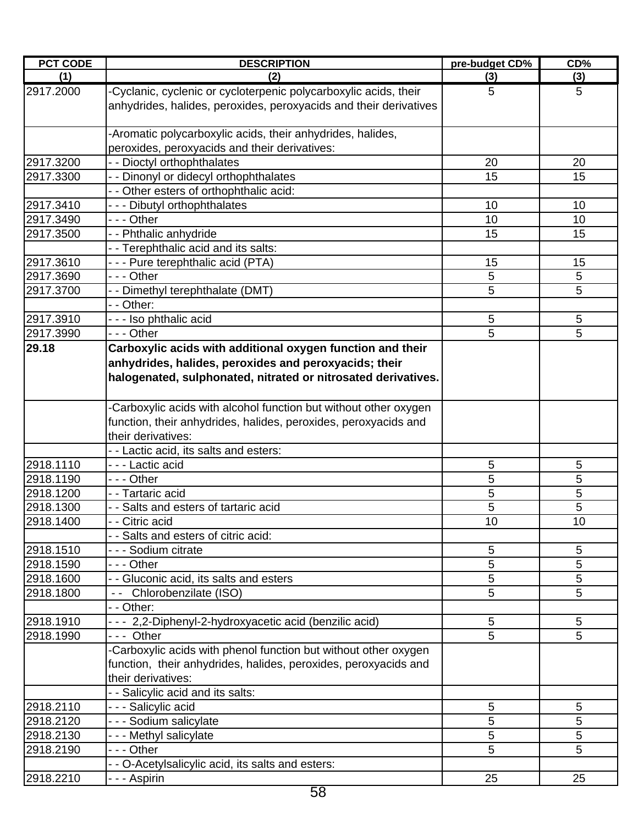| <b>PCT CODE</b> | <b>DESCRIPTION</b>                                                                                                                                                                                  | pre-budget CD% | CD% |
|-----------------|-----------------------------------------------------------------------------------------------------------------------------------------------------------------------------------------------------|----------------|-----|
| (1)             | (2)                                                                                                                                                                                                 | (3)            | (3) |
| 2917.2000       | -Cyclanic, cyclenic or cycloterpenic polycarboxylic acids, their<br>anhydrides, halides, peroxides, peroxyacids and their derivatives                                                               | 5              | 5   |
|                 | -Aromatic polycarboxylic acids, their anhydrides, halides,<br>peroxides, peroxyacids and their derivatives:                                                                                         |                |     |
| 2917.3200       | - - Dioctyl orthophthalates                                                                                                                                                                         | 20             | 20  |
| 2917.3300       | - - Dinonyl or didecyl orthophthalates                                                                                                                                                              | 15             | 15  |
|                 | - - Other esters of orthophthalic acid:                                                                                                                                                             |                |     |
| 2917.3410       | --- Dibutyl orthophthalates                                                                                                                                                                         | 10             | 10  |
| 2917.3490       | --- Other                                                                                                                                                                                           | 10             | 10  |
| 2917.3500       | - - Phthalic anhydride                                                                                                                                                                              | 15             | 15  |
|                 | - - Terephthalic acid and its salts:                                                                                                                                                                |                |     |
| 2917.3610       | - - - Pure terephthalic acid (PTA)                                                                                                                                                                  | 15             | 15  |
| 2917.3690       | --- Other                                                                                                                                                                                           | 5              | 5   |
| 2917.3700       | - - Dimethyl terephthalate (DMT)                                                                                                                                                                    | 5              | 5   |
|                 | - - Other:                                                                                                                                                                                          |                |     |
| 2917.3910       | - - - Iso phthalic acid                                                                                                                                                                             | $\sqrt{5}$     | 5   |
| 2917.3990       | $- -$ - Other                                                                                                                                                                                       | 5              | 5   |
| 29.18           | Carboxylic acids with additional oxygen function and their<br>anhydrides, halides, peroxides and peroxyacids; their<br>halogenated, sulphonated, nitrated or nitrosated derivatives.                |                |     |
|                 | -Carboxylic acids with alcohol function but without other oxygen<br>function, their anhydrides, halides, peroxides, peroxyacids and<br>their derivatives:<br>- - Lactic acid, its salts and esters: |                |     |
| 2918.1110       | - - - Lactic acid                                                                                                                                                                                   | 5              | 5   |
| 2918.1190       | --- Other                                                                                                                                                                                           | 5              | 5   |
| 2918.1200       | - - Tartaric acid                                                                                                                                                                                   | 5              | 5   |
| 2918.1300       | - - Salts and esters of tartaric acid                                                                                                                                                               | 5              | 5   |
| 2918.1400       | - Citric acid                                                                                                                                                                                       | 10             | 10  |
|                 | - - Salts and esters of citric acid:                                                                                                                                                                |                |     |
| 2918.1510       | - - - Sodium citrate                                                                                                                                                                                | 5              | 5   |
| 2918.1590       | - - - Other                                                                                                                                                                                         | 5              | 5   |
| 2918.1600       | - - Gluconic acid, its salts and esters                                                                                                                                                             | 5              | 5   |
| 2918.1800       | -- Chlorobenzilate (ISO)                                                                                                                                                                            | 5              | 5   |
|                 | - - Other:                                                                                                                                                                                          |                |     |
| 2918.1910       | - - - 2,2-Diphenyl-2-hydroxyacetic acid (benzilic acid)                                                                                                                                             | 5              | 5   |
| 2918.1990       | --- Other                                                                                                                                                                                           | 5              | 5   |
|                 | -Carboxylic acids with phenol function but without other oxygen<br>function, their anhydrides, halides, peroxides, peroxyacids and<br>their derivatives:                                            |                |     |
|                 | - - Salicylic acid and its salts:                                                                                                                                                                   |                |     |
| 2918.2110       | - - - Salicylic acid                                                                                                                                                                                | 5              | 5   |
| 2918.2120       | - - - Sodium salicylate                                                                                                                                                                             | 5              | 5   |
| 2918.2130       | --- Methyl salicylate                                                                                                                                                                               | 5              | 5   |
| 2918.2190       | - - - Other                                                                                                                                                                                         | 5              | 5   |
|                 | - - O-Acetylsalicylic acid, its salts and esters:                                                                                                                                                   |                |     |
| 2918.2210       | - - - Aspirin                                                                                                                                                                                       | 25             | 25  |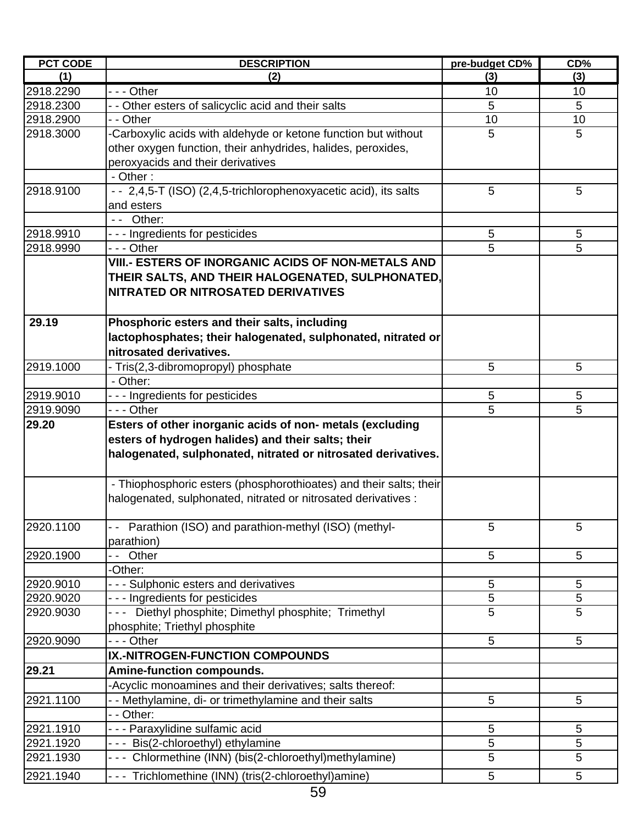| <b>PCT CODE</b> | <b>DESCRIPTION</b>                                                                     | pre-budget CD%      | CD%    |
|-----------------|----------------------------------------------------------------------------------------|---------------------|--------|
| (1)             | (2)                                                                                    | (3)                 | (3)    |
| 2918.2290       | $- -$ Other                                                                            | 10                  | 10     |
| 2918.2300       | - - Other esters of salicyclic acid and their salts                                    | 5                   | 5      |
| 2918.2900       | - - Other                                                                              | 10                  | 10     |
| 2918.3000       | -Carboxylic acids with aldehyde or ketone function but without                         | 5                   | 5      |
|                 | other oxygen function, their anhydrides, halides, peroxides,                           |                     |        |
|                 | peroxyacids and their derivatives                                                      |                     |        |
|                 | - Other:                                                                               |                     |        |
| 2918.9100       | - - 2,4,5-T (ISO) (2,4,5-trichlorophenoxyacetic acid), its salts                       | 5                   | 5      |
|                 | and esters                                                                             |                     |        |
|                 | -- Other:                                                                              |                     |        |
| 2918.9910       | --- Ingredients for pesticides                                                         | 5                   | 5      |
| 2918.9990       | - - - Other                                                                            | 5                   | 5      |
|                 | VIII.- ESTERS OF INORGANIC ACIDS OF NON-METALS AND                                     |                     |        |
|                 | THEIR SALTS, AND THEIR HALOGENATED, SULPHONATED,                                       |                     |        |
|                 | NITRATED OR NITROSATED DERIVATIVES                                                     |                     |        |
|                 |                                                                                        |                     |        |
| 29.19           | Phosphoric esters and their salts, including                                           |                     |        |
|                 | lactophosphates; their halogenated, sulphonated, nitrated or                           |                     |        |
|                 | nitrosated derivatives.                                                                |                     |        |
| 2919.1000       | - Tris(2,3-dibromopropyl) phosphate                                                    | 5                   | 5      |
|                 | - Other:                                                                               |                     |        |
| 2919.9010       |                                                                                        | 5                   | 5      |
| 2919.9090       | --- Ingredients for pesticides<br>$- -$ Other                                          | 5                   | 5      |
| 29.20           | Esters of other inorganic acids of non- metals (excluding                              |                     |        |
|                 | esters of hydrogen halides) and their salts; their                                     |                     |        |
|                 |                                                                                        |                     |        |
|                 | halogenated, sulphonated, nitrated or nitrosated derivatives.                          |                     |        |
|                 |                                                                                        |                     |        |
|                 | - Thiophosphoric esters (phosphorothioates) and their salts; their                     |                     |        |
|                 | halogenated, sulphonated, nitrated or nitrosated derivatives :                         |                     |        |
|                 |                                                                                        |                     |        |
| 2920.1100       | - - Parathion (ISO) and parathion-methyl (ISO) (methyl-                                | 5                   | 5      |
| 2920.1900       | parathion)                                                                             | 5                   |        |
|                 | -- Other                                                                               |                     | 5      |
| 2920.9010       | -Other:                                                                                |                     | 5      |
|                 | --- Sulphonic esters and derivatives                                                   | 5                   |        |
| 2920.9020       | --- Ingredients for pesticides<br>--- Diethyl phosphite; Dimethyl phosphite; Trimethyl | 5<br>$\overline{5}$ | 5<br>5 |
| 2920.9030       |                                                                                        |                     |        |
|                 | phosphite; Triethyl phosphite                                                          | 5                   |        |
| 2920.9090       | - - - Other                                                                            |                     | 5      |
|                 | IX.-NITROGEN-FUNCTION COMPOUNDS                                                        |                     |        |
| 29.21           | <b>Amine-function compounds.</b>                                                       |                     |        |
|                 | -Acyclic monoamines and their derivatives; salts thereof:                              |                     |        |
| 2921.1100       | - - Methylamine, di- or trimethylamine and their salts                                 | 5                   | 5      |
|                 | - - Other:                                                                             |                     |        |
| 2921.1910       | - - - Paraxylidine sulfamic acid                                                       | 5                   | 5      |
| 2921.1920       | --- Bis(2-chloroethyl) ethylamine                                                      | 5                   | 5      |
| 2921.1930       | --- Chlormethine (INN) (bis(2-chloroethyl)methylamine)                                 | 5                   | 5      |
| 2921.1940       | --- Trichlomethine (INN) (tris(2-chloroethyl)amine)                                    | 5                   | 5      |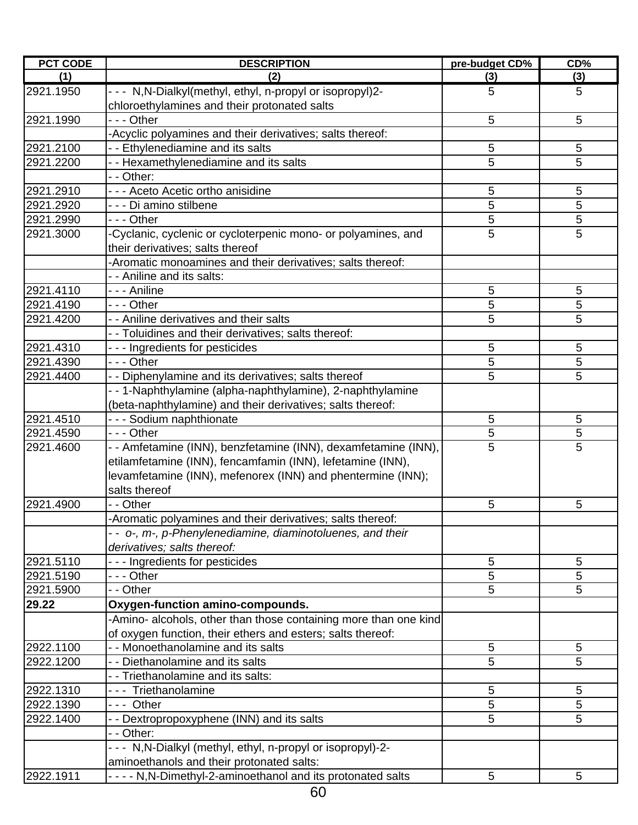| <b>PCT CODE</b> | <b>DESCRIPTION</b>                                                                                                           | pre-budget CD% | CD%         |
|-----------------|------------------------------------------------------------------------------------------------------------------------------|----------------|-------------|
| (1)             | (2)                                                                                                                          | (3)            | (3)         |
| 2921.1950       | - - - N, N-Dialkyl(methyl, ethyl, n-propyl or isopropyl)2-<br>chloroethylamines and their protonated salts                   | 5              | 5           |
| 2921.1990       | --- Other                                                                                                                    | 5              | 5           |
|                 | -Acyclic polyamines and their derivatives; salts thereof:                                                                    |                |             |
| 2921.2100       | - - Ethylenediamine and its salts                                                                                            | 5              | 5           |
| 2921.2200       | - - Hexamethylenediamine and its salts                                                                                       | 5              | 5           |
|                 | - - Other:                                                                                                                   |                |             |
| 2921.2910       | - - - Aceto Acetic ortho anisidine                                                                                           | 5              | 5           |
| 2921.2920       | - - - Di amino stilbene                                                                                                      | 5              | 5           |
| 2921.2990       | --- Other                                                                                                                    | 5              | $\mathbf 5$ |
| 2921.3000       | -Cyclanic, cyclenic or cycloterpenic mono- or polyamines, and<br>their derivatives; salts thereof                            | 5              | 5           |
|                 | -Aromatic monoamines and their derivatives; salts thereof:                                                                   |                |             |
|                 | - - Aniline and its salts:                                                                                                   |                |             |
| 2921.4110       | - - - Aniline                                                                                                                | 5              | 5           |
| 2921.4190       | --- Other                                                                                                                    | 5              | 5           |
| 2921.4200       | - - Aniline derivatives and their salts                                                                                      | 5              | 5           |
|                 | - - Toluidines and their derivatives; salts thereof:                                                                         |                |             |
| 2921.4310       | --- Ingredients for pesticides                                                                                               | 5              | 5           |
| 2921.4390       | - - - Other                                                                                                                  | 5              | 5           |
| 2921.4400       | - - Diphenylamine and its derivatives; salts thereof                                                                         | 5              | 5           |
|                 | --1-Naphthylamine (alpha-naphthylamine), 2-naphthylamine                                                                     |                |             |
|                 | (beta-naphthylamine) and their derivatives; salts thereof:                                                                   |                |             |
| 2921.4510       | - - - Sodium naphthionate                                                                                                    | 5              | 5           |
| 2921.4590       | --- Other                                                                                                                    | 5              | 5           |
| 2921.4600       | - - Amfetamine (INN), benzfetamine (INN), dexamfetamine (INN),<br>etilamfetamine (INN), fencamfamin (INN), lefetamine (INN), | 5              | 5           |
|                 | levamfetamine (INN), mefenorex (INN) and phentermine (INN);<br>salts thereof                                                 |                |             |
| 2921.4900       | - - Other                                                                                                                    | 5              | 5           |
|                 | -Aromatic polyamines and their derivatives; salts thereof:                                                                   |                |             |
|                 | - - o-, m-, p-Phenylenediamine, diaminotoluenes, and their                                                                   |                |             |
|                 | derivatives; salts thereof:                                                                                                  |                |             |
| 2921.5110       | --- Ingredients for pesticides                                                                                               | 5              | 5           |
| 2921.5190       | - - - Other                                                                                                                  | 5              | 5           |
| 2921.5900       | - - Other                                                                                                                    | 5              | 5           |
| 29.22           | Oxygen-function amino-compounds.                                                                                             |                |             |
|                 | -Amino- alcohols, other than those containing more than one kind                                                             |                |             |
|                 | of oxygen function, their ethers and esters; salts thereof:                                                                  |                |             |
| 2922.1100       | - - Monoethanolamine and its salts                                                                                           | 5              | 5           |
| 2922.1200       | - - Diethanolamine and its salts                                                                                             | 5              | 5           |
|                 | - - Triethanolamine and its salts:                                                                                           |                |             |
| 2922.1310       | --- Triethanolamine                                                                                                          | 5              | 5           |
| 2922.1390       | --- Other                                                                                                                    | 5              | 5           |
| 2922.1400       | - - Dextropropoxyphene (INN) and its salts                                                                                   | 5              | 5           |
|                 | - - Other:                                                                                                                   |                |             |
|                 | - - - N,N-Dialkyl (methyl, ethyl, n-propyl or isopropyl)-2-                                                                  |                |             |
|                 | aminoethanols and their protonated salts:                                                                                    |                |             |
| 2922.1911       | - - - - N, N-Dimethyl-2-aminoethanol and its protonated salts                                                                | 5              | 5           |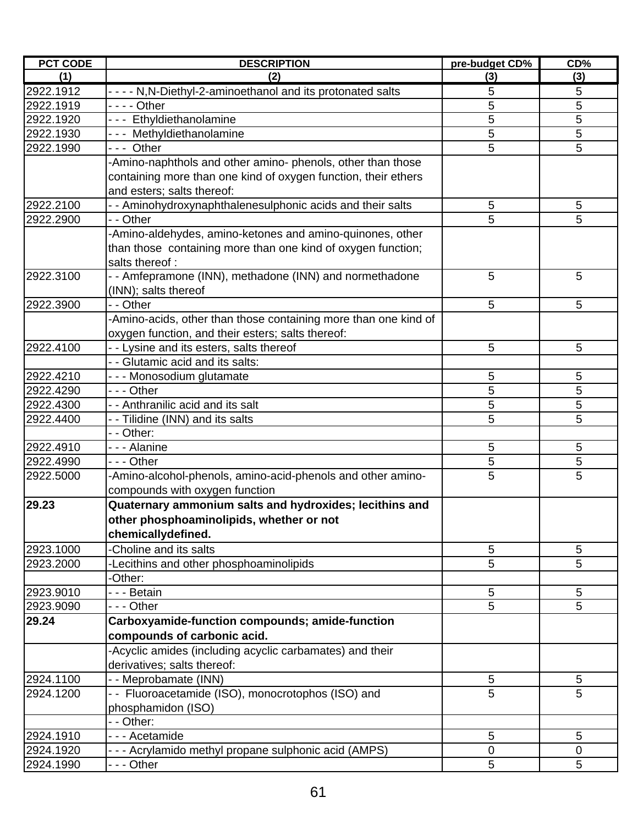| <b>PCT CODE</b> | <b>DESCRIPTION</b>                                              | pre-budget CD% | CD% |
|-----------------|-----------------------------------------------------------------|----------------|-----|
| (1)             | (2)                                                             | (3)            | (3) |
| 2922.1912       | - - - - N, N-Diethyl-2-aminoethanol and its protonated salts    | 5              | 5   |
| 2922.1919       | - - - - Other                                                   | 5              | 5   |
| 2922.1920       | --- Ethyldiethanolamine                                         | 5              | 5   |
| 2922.1930       | --- Methyldiethanolamine                                        | 5              | 5   |
| 2922.1990       | --- Other                                                       | 5              | 5   |
|                 | -Amino-naphthols and other amino- phenols, other than those     |                |     |
|                 | containing more than one kind of oxygen function, their ethers  |                |     |
|                 | and esters; salts thereof:                                      |                |     |
| 2922.2100       | - - Aminohydroxynaphthalenesulphonic acids and their salts      | 5              | 5   |
| 2922.2900       | - - Other                                                       | 5              | 5   |
|                 | -Amino-aldehydes, amino-ketones and amino-quinones, other       |                |     |
|                 | than those containing more than one kind of oxygen function;    |                |     |
|                 | salts thereof:                                                  |                |     |
| 2922.3100       | - - Amfepramone (INN), methadone (INN) and normethadone         | 5              | 5   |
|                 | (INN); salts thereof                                            |                |     |
| 2922.3900       | - - Other                                                       | 5              | 5   |
|                 | -Amino-acids, other than those containing more than one kind of |                |     |
|                 | oxygen function, and their esters; salts thereof:               |                |     |
| 2922.4100       | - - Lysine and its esters, salts thereof                        | 5              | 5   |
|                 | - - Glutamic acid and its salts:                                |                |     |
| 2922.4210       | - - - Monosodium glutamate                                      | 5              | 5   |
| 2922.4290       | --- Other                                                       | 5              | 5   |
| 2922.4300       | - - Anthranilic acid and its salt                               | 5              | 5   |
| 2922.4400       | - - Tilidine (INN) and its salts                                | 5              | 5   |
|                 | - - Other:                                                      |                |     |
| 2922.4910       | - - - Alanine                                                   | 5              | 5   |
| 2922.4990       | - - - Other                                                     | 5              | 5   |
| 2922.5000       | -Amino-alcohol-phenols, amino-acid-phenols and other amino-     | 5              | 5   |
|                 | compounds with oxygen function                                  |                |     |
| 29.23           | Quaternary ammonium salts and hydroxides; lecithins and         |                |     |
|                 | other phosphoaminolipids, whether or not                        |                |     |
|                 | chemicallydefined.                                              |                |     |
|                 | -Choline and its salts                                          |                |     |
| 2923.1000       |                                                                 | 5              | 5   |
| 2923.2000       | -Lecithins and other phosphoaminolipids                         | 5              | 5   |
|                 | -Other:                                                         |                |     |
| 2923.9010       | --- Betain                                                      | 5              | 5   |
| 2923.9090       | --- Other                                                       | 5              | 5   |
| 29.24           | Carboxyamide-function compounds; amide-function                 |                |     |
|                 | compounds of carbonic acid.                                     |                |     |
|                 | -Acyclic amides (including acyclic carbamates) and their        |                |     |
|                 | derivatives; salts thereof:                                     |                |     |
| 2924.1100       | - - Meprobamate (INN)                                           | 5              | 5   |
| 2924.1200       | - - Fluoroacetamide (ISO), monocrotophos (ISO) and              | 5              | 5   |
|                 | phosphamidon (ISO)                                              |                |     |
|                 | - - Other:                                                      |                |     |
| 2924.1910       | - - - Acetamide                                                 | 5              | 5   |
| 2924.1920       | - - - Acrylamido methyl propane sulphonic acid (AMPS)           | $\mathbf 0$    | 0   |
| 2924.1990       | --- Other                                                       | 5              | 5   |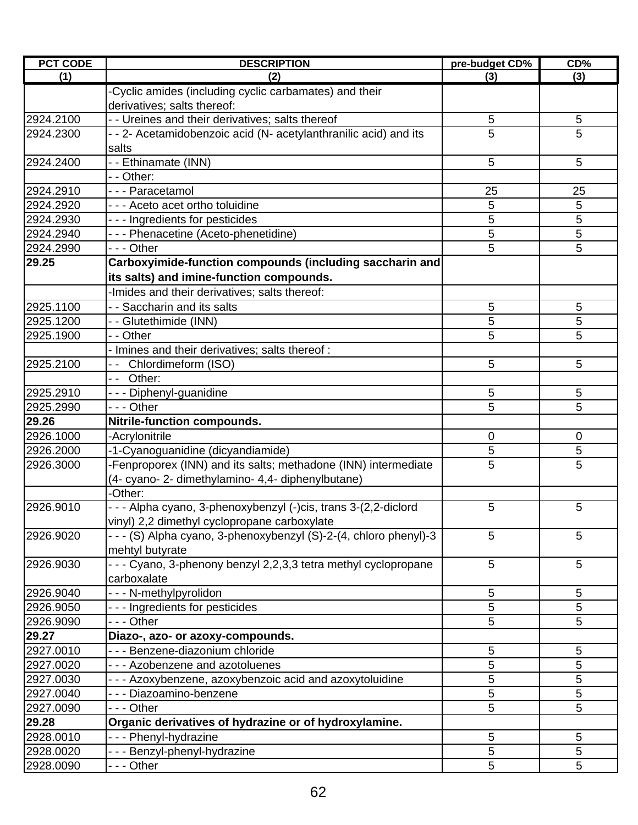| <b>PCT CODE</b> | <b>DESCRIPTION</b>                                                             | pre-budget CD% | CD%             |
|-----------------|--------------------------------------------------------------------------------|----------------|-----------------|
| (1)             | (2)                                                                            | (3)            | (3)             |
|                 | -Cyclic amides (including cyclic carbamates) and their                         |                |                 |
|                 | derivatives; salts thereof:                                                    |                |                 |
| 2924.2100       | - - Ureines and their derivatives; salts thereof                               | 5              | 5               |
| 2924.2300       | - - 2- Acetamidobenzoic acid (N- acetylanthranilic acid) and its               | 5              | 5               |
|                 | salts                                                                          |                |                 |
| 2924.2400       | - - Ethinamate (INN)                                                           | 5              | 5               |
|                 | - - Other:                                                                     |                |                 |
| 2924.2910       | - - - Paracetamol                                                              | 25             | 25              |
| 2924.2920       | - - - Aceto acet ortho toluidine                                               | 5              | 5               |
| 2924.2930       | --- Ingredients for pesticides                                                 | 5              | 5               |
| 2924.2940       | - - - Phenacetine (Aceto-phenetidine)                                          | 5              | 5               |
| 2924.2990       | - - - Other                                                                    | 5              | 5               |
| 29.25           | Carboxyimide-function compounds (including saccharin and                       |                |                 |
|                 | its salts) and imine-function compounds.                                       |                |                 |
|                 | -Imides and their derivatives; salts thereof:                                  |                |                 |
| 2925.1100       | - - Saccharin and its salts                                                    | 5              | 5               |
| 2925.1200       | -- Glutethimide (INN)                                                          | 5              | 5               |
| 2925.1900       | - - Other                                                                      | 5              | 5               |
|                 | - Imines and their derivatives; salts thereof :                                |                |                 |
| 2925.2100       | -- Chlordimeform (ISO)                                                         | 5              | 5               |
|                 | -- Other:                                                                      |                |                 |
| 2925.2910       | --- Diphenyl-guanidine                                                         | 5              | 5               |
| 2925.2990       | - - - Other                                                                    | 5              | 5               |
| 29.26           | Nitrile-function compounds.                                                    |                |                 |
| 2926.1000       | -Acrylonitrile                                                                 | $\mathbf 0$    | 0               |
| 2926.2000       | -1-Cyanoguanidine (dicyandiamide)                                              | 5              | 5               |
| 2926.3000       | -Fenproporex (INN) and its salts; methadone (INN) intermediate                 | 5              | 5               |
|                 | (4- cyano- 2- dimethylamino- 4,4- diphenylbutane)                              |                |                 |
|                 | -Other:                                                                        |                |                 |
| 2926.9010       | - - - Alpha cyano, 3-phenoxybenzyl (-)cis, trans 3-(2,2-diclord                | 5              | 5               |
|                 | vinyl) 2,2 dimethyl cyclopropane carboxylate                                   | 5              | 5               |
| 2926.9020       | - - - (S) Alpha cyano, 3-phenoxybenzyl (S)-2-(4, chloro phenyl)-3              |                |                 |
| 2926.9030       | mehtyl butyrate<br>- Cyano, 3-phenony benzyl 2,2,3,3 tetra methyl cyclopropane | 5              | 5               |
|                 | carboxalate                                                                    |                |                 |
| 2926.9040       | --- N-methylpyrolidon                                                          | 5              | $5\phantom{.0}$ |
| 2926.9050       | - - - Ingredients for pesticides                                               | 5              | 5               |
| 2926.9090       | - - - Other                                                                    | 5              | 5               |
| 29.27           | Diazo-, azo- or azoxy-compounds.                                               |                |                 |
| 2927.0010       | - - - Benzene-diazonium chloride                                               | $\sqrt{5}$     | 5               |
| 2927.0020       | - - - Azobenzene and azotoluenes                                               | 5              | 5               |
| 2927.0030       | - - - Azoxybenzene, azoxybenzoic acid and azoxytoluidine                       | 5              | 5               |
| 2927.0040       | - - - Diazoamino-benzene                                                       | 5              | 5               |
| 2927.0090       | - - - Other                                                                    | 5              | 5               |
| 29.28           | Organic derivatives of hydrazine or of hydroxylamine.                          |                |                 |
| 2928.0010       | --- Phenyl-hydrazine                                                           | 5              | 5               |
| 2928.0020       | --- Benzyl-phenyl-hydrazine                                                    | 5              | 5               |
| 2928.0090       | --- Other                                                                      | 5              | 5               |
|                 |                                                                                |                |                 |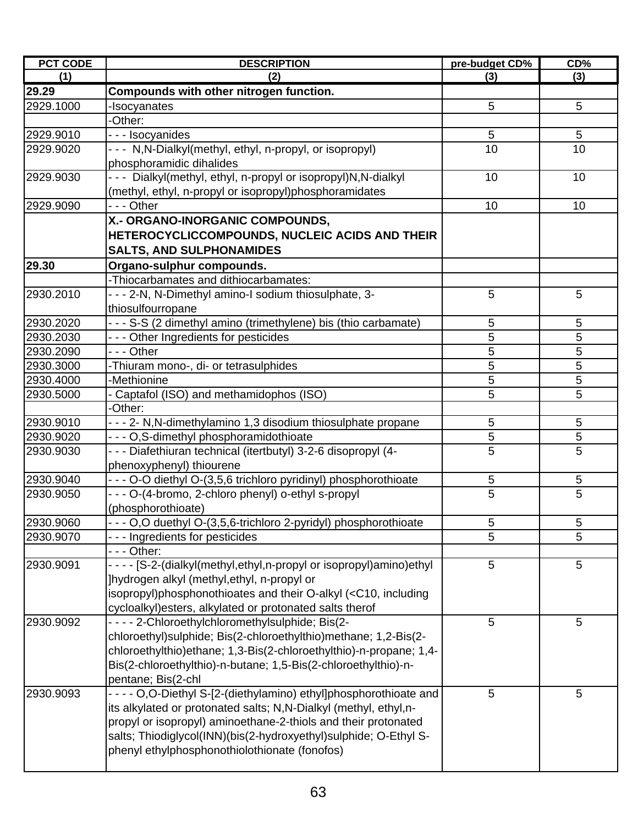| <b>PCT CODE</b> | <b>DESCRIPTION</b>                                                                                  | pre-budget CD% | CD%             |
|-----------------|-----------------------------------------------------------------------------------------------------|----------------|-----------------|
| (1)             | (2)                                                                                                 | (3)            | (3)             |
| 29.29           | Compounds with other nitrogen function.                                                             |                |                 |
| 2929.1000       | -Isocyanates                                                                                        | 5              | 5               |
|                 | -Other:                                                                                             |                |                 |
| 2929.9010       | - - - Isocyanides                                                                                   | 5              | 5               |
| 2929.9020       | - - - N, N-Dialkyl (methyl, ethyl, n-propyl, or isopropyl)                                          | 10             | 10              |
|                 | phosphoramidic dihalides                                                                            |                |                 |
| 2929.9030       | - - - Dialkyl(methyl, ethyl, n-propyl or isopropyl)N,N-dialkyl                                      | 10             | 10              |
|                 | (methyl, ethyl, n-propyl or isopropyl)phosphoramidates                                              |                |                 |
| 2929.9090       | --- Other                                                                                           | 10             | 10              |
|                 | X.- ORGANO-INORGANIC COMPOUNDS,                                                                     |                |                 |
|                 | HETEROCYCLICCOMPOUNDS, NUCLEIC ACIDS AND THEIR                                                      |                |                 |
|                 | <b>SALTS, AND SULPHONAMIDES</b>                                                                     |                |                 |
| 29.30           | Organo-sulphur compounds.                                                                           |                |                 |
|                 | -Thiocarbamates and dithiocarbamates:                                                               |                |                 |
| 2930.2010       | - - - 2-N, N-Dimethyl amino-I sodium thiosulphate, 3-                                               | 5              | 5               |
|                 | thiosulfourropane                                                                                   |                |                 |
| 2930.2020       | - - - S-S (2 dimethyl amino (trimethylene) bis (thio carbamate)                                     | 5              | 5               |
| 2930.2030       | - - - Other Ingredients for pesticides                                                              | 5              | 5               |
| 2930.2090       | --- Other                                                                                           | 5              | 5               |
| 2930.3000       | -Thiuram mono-, di- or tetrasulphides                                                               | 5              | 5               |
| 2930.4000       | -Methionine                                                                                         | 5              | 5               |
| 2930.5000       | - Captafol (ISO) and methamidophos (ISO)                                                            | 5              | 5               |
|                 | -Other:                                                                                             |                |                 |
| 2930.9010       | - - - 2- N, N-dimethylamino 1, 3 disodium thiosulphate propane                                      | 5              | 5               |
| 2930.9020       | - - - O,S-dimethyl phosphoramidothioate                                                             | 5              | 5               |
| 2930.9030       | - - - Diafethiuran technical (itertbutyl) 3-2-6 disopropyl (4-                                      | 5              | 5               |
|                 | phenoxyphenyl) thiourene                                                                            |                |                 |
| 2930.9040       | - - - O-O diethyl O-(3,5,6 trichloro pyridinyl) phosphorothioate                                    | 5              | 5               |
| 2930.9050       | - - - O-(4-bromo, 2-chloro phenyl) o-ethyl s-propyl                                                 | 5              | 5               |
|                 | (phosphorothioate)                                                                                  |                |                 |
| 2930.9060       | - O,O duethyl O-(3,5,6-trichloro 2-pyridyl) phosphorothioate                                        | $\overline{5}$ | 5               |
| 2930.9070       | --- Ingredients for pesticides                                                                      | 5              | $\overline{5}$  |
|                 | - - - Other:                                                                                        |                |                 |
| 2930.9091       | - - - - [S-2-(dialkyl(methyl,ethyl,n-propyl or isopropyl)amino)ethyl                                | 5              | 5               |
|                 | ]hydrogen alkyl (methyl, ethyl, n-propyl or                                                         |                |                 |
|                 | isopropyl)phosphonothioates and their O-alkyl ( <c10, including<="" td=""><td></td><td></td></c10,> |                |                 |
|                 | cycloalkyl) esters, alkylated or protonated salts therof                                            |                |                 |
| 2930.9092       | - - - - 2-Chloroethylchloromethylsulphide; Bis(2-                                                   | 5              | 5               |
|                 | chloroethyl) sulphide; Bis(2-chloroethylthio) methane; 1,2-Bis(2-                                   |                |                 |
|                 | chloroethylthio)ethane; 1,3-Bis(2-chloroethylthio)-n-propane; 1,4-                                  |                |                 |
|                 | Bis(2-chloroethylthio)-n-butane; 1,5-Bis(2-chloroethylthio)-n-                                      |                |                 |
|                 | pentane; Bis(2-chl                                                                                  |                |                 |
| 2930.9093       | - - - - O,O-Diethyl S-[2-(diethylamino) ethyl]phosphorothioate and                                  | 5              | $5\phantom{.0}$ |
|                 | its alkylated or protonated salts; N,N-Dialkyl (methyl, ethyl,n-                                    |                |                 |
|                 | propyl or isopropyl) aminoethane-2-thiols and their protonated                                      |                |                 |
|                 | salts; Thiodiglycol(INN)(bis(2-hydroxyethyl)sulphide; O-Ethyl S-                                    |                |                 |
|                 | phenyl ethylphosphonothiolothionate (fonofos)                                                       |                |                 |
|                 |                                                                                                     |                |                 |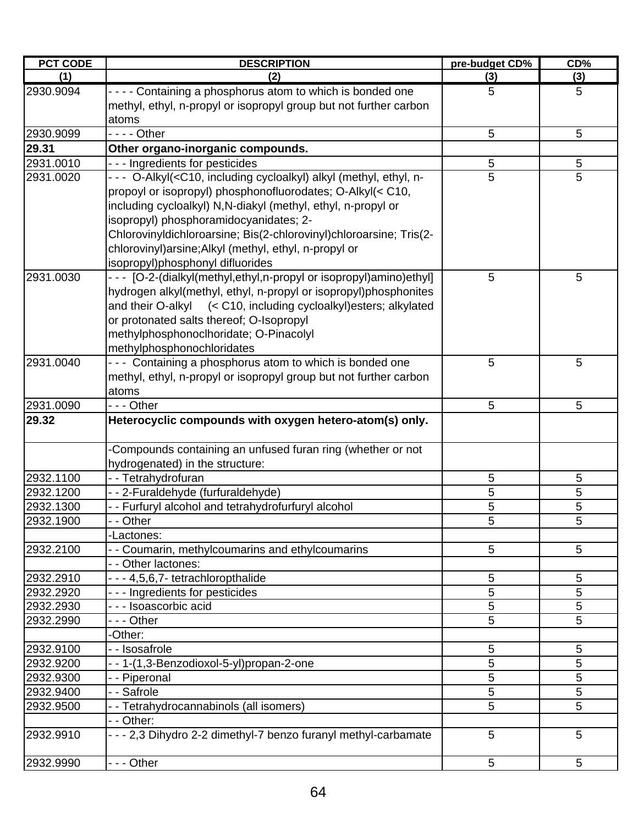| <b>PCT CODE</b> | <b>DESCRIPTION</b>                                                                                                     | pre-budget CD% | CD% |
|-----------------|------------------------------------------------------------------------------------------------------------------------|----------------|-----|
| (1)             | (2)                                                                                                                    | (3)            | (3) |
| 2930.9094       | - - - - Containing a phosphorus atom to which is bonded one                                                            | 5              | 5   |
|                 | methyl, ethyl, n-propyl or isopropyl group but not further carbon                                                      |                |     |
|                 | atoms                                                                                                                  |                |     |
| 2930.9099       | $--$ Other                                                                                                             | 5              | 5   |
| 29.31           | Other organo-inorganic compounds.                                                                                      |                |     |
| 2931.0010       | --- Ingredients for pesticides                                                                                         | 5              | 5   |
| 2931.0020       | --- O-Alkyl( <c10, (methyl,="" alkyl="" cycloalkyl)="" ethyl,="" including="" n-<="" td=""><td>5</td><td>5</td></c10,> | 5              | 5   |
|                 | propoyl or isopropyl) phosphonofluorodates; O-Alkyl(< C10,                                                             |                |     |
|                 | including cycloalkyl) N, N-diakyl (methyl, ethyl, n-propyl or                                                          |                |     |
|                 | isopropyl) phosphoramidocyanidates; 2-                                                                                 |                |     |
|                 | Chlorovinyldichloroarsine; Bis(2-chlorovinyl)chloroarsine; Tris(2-                                                     |                |     |
|                 | chlorovinyl) arsine; Alkyl (methyl, ethyl, n-propyl or                                                                 |                |     |
|                 | isopropyl)phosphonyl difluorides                                                                                       |                |     |
| 2931.0030       | - - [O-2-(dialkyl(methyl,ethyl,n-propyl or isopropyl)amino)ethyl]                                                      | 5              | 5   |
|                 | hydrogen alkyl(methyl, ethyl, n-propyl or isopropyl)phosphonites                                                       |                |     |
|                 | and their O-alkyl (< C10, including cycloalkyl) esters; alkylated                                                      |                |     |
|                 | or protonated salts thereof; O-Isopropyl                                                                               |                |     |
|                 | methylphosphonoclhoridate; O-Pinacolyl                                                                                 |                |     |
|                 | methylphosphonochloridates                                                                                             |                |     |
| 2931.0040       | --- Containing a phosphorus atom to which is bonded one                                                                | 5              | 5   |
|                 | methyl, ethyl, n-propyl or isopropyl group but not further carbon                                                      |                |     |
|                 | atoms                                                                                                                  |                |     |
| 2931.0090       | - - - Other                                                                                                            | 5              | 5   |
| 29.32           | Heterocyclic compounds with oxygen hetero-atom(s) only.                                                                |                |     |
|                 | -Compounds containing an unfused furan ring (whether or not                                                            |                |     |
|                 | hydrogenated) in the structure:                                                                                        |                |     |
| 2932.1100       | -- Tetrahydrofuran                                                                                                     | 5              | 5   |
| 2932.1200       | --2-Furaldehyde (furfuraldehyde)                                                                                       | 5              | 5   |
| 2932.1300       | - - Furfuryl alcohol and tetrahydrofurfuryl alcohol                                                                    | 5              | 5   |
| 2932.1900       | - - Other                                                                                                              | 5              | 5   |
|                 | -Lactones:                                                                                                             |                |     |
| 2932.2100       | - - Coumarin, methylcoumarins and ethylcoumarins                                                                       | 5              | 5   |
|                 | - - Other lactones:                                                                                                    |                |     |
| 2932.2910       | - - - 4,5,6,7- tetrachloropthalide                                                                                     | 5              | 5   |
| 2932.2920       | --- Ingredients for pesticides                                                                                         | 5              | 5   |
| 2932.2930       | - - - Isoascorbic acid                                                                                                 | 5              | 5   |
| 2932.2990       | - - - Other                                                                                                            | 5              | 5   |
|                 | -Other:                                                                                                                |                |     |
| 2932.9100       | - - Isosafrole                                                                                                         | 5              | 5   |
| 2932.9200       | - - 1-(1,3-Benzodioxol-5-yl)propan-2-one                                                                               | 5              | 5   |
| 2932.9300       | - - Piperonal                                                                                                          | 5              | 5   |
| 2932.9400       | - - Safrole                                                                                                            | 5              | 5   |
| 2932.9500       | - - Tetrahydrocannabinols (all isomers)                                                                                | 5              | 5   |
|                 | - - Other:                                                                                                             |                |     |
| 2932.9910       | - - - 2,3 Dihydro 2-2 dimethyl-7 benzo furanyl methyl-carbamate                                                        | 5              | 5   |
| 2932.9990       | --- Other                                                                                                              | 5              | 5   |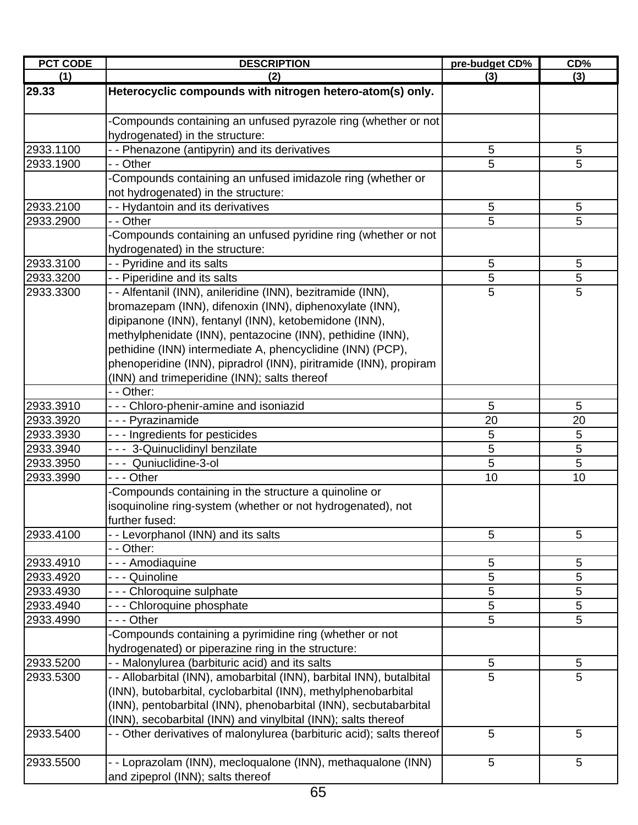| <b>PCT CODE</b>        | <b>DESCRIPTION</b>                                                    | pre-budget CD% | CD%     |
|------------------------|-----------------------------------------------------------------------|----------------|---------|
| (1)                    | (2)                                                                   | (3)            | (3)     |
| 29.33                  | Heterocyclic compounds with nitrogen hetero-atom(s) only.             |                |         |
|                        | Compounds containing an unfused pyrazole ring (whether or not         |                |         |
|                        | hydrogenated) in the structure:                                       |                |         |
| 2933.1100              | - - Phenazone (antipyrin) and its derivatives                         | $\sqrt{5}$     | 5       |
| 2933.1900              | - - Other                                                             | 5              | 5       |
|                        | Compounds containing an unfused imidazole ring (whether or            |                |         |
|                        | not hydrogenated) in the structure:                                   |                |         |
| 2933.2100              | - - Hydantoin and its derivatives                                     | 5              | 5       |
| 2933.2900              | - - Other                                                             | 5              | 5       |
|                        | -Compounds containing an unfused pyridine ring (whether or not        |                |         |
|                        | hydrogenated) in the structure:                                       |                |         |
| 2933.3100              | - - Pyridine and its salts                                            | 5              | 5       |
| 2933.3200              | - - Piperidine and its salts                                          | 5              | 5       |
| 2933.3300              | - - Alfentanil (INN), anileridine (INN), bezitramide (INN),           | 5              | 5       |
|                        | bromazepam (INN), difenoxin (INN), diphenoxylate (INN),               |                |         |
|                        | dipipanone (INN), fentanyl (INN), ketobemidone (INN),                 |                |         |
|                        | methylphenidate (INN), pentazocine (INN), pethidine (INN),            |                |         |
|                        | pethidine (INN) intermediate A, phencyclidine (INN) (PCP),            |                |         |
|                        | phenoperidine (INN), pipradrol (INN), piritramide (INN), propiram     |                |         |
|                        | (INN) and trimeperidine (INN); salts thereof                          |                |         |
|                        | - - Other:                                                            |                |         |
| 2933.3910              | --- Chloro-phenir-amine and isoniazid                                 | 5              | 5       |
| 2933.3920<br>2933.3930 | - - - Pyrazinamide<br>- - - Ingredients for pesticides                | 20<br>5        | 20<br>5 |
| 2933.3940              | --- 3-Quinuclidinyl benzilate                                         | 5              | 5       |
| 2933.3950              | --- Quniuclidine-3-ol                                                 | 5              | 5       |
| 2933.3990              | - - - Other                                                           | 10             | 10      |
|                        | Compounds containing in the structure a quinoline or                  |                |         |
|                        | isoquinoline ring-system (whether or not hydrogenated), not           |                |         |
|                        | further fused:                                                        |                |         |
| 2933.4100              | - - Levorphanol (INN) and its salts                                   | 5              | 5       |
|                        | - - Other:                                                            |                |         |
| 2933.4910              | - - - Amodiaquine                                                     | 5              | 5       |
| 2933.4920              | - - - Quinoline                                                       | 5              | 5       |
| 2933.4930              | - - - Chloroquine sulphate                                            | 5              | 5       |
| 2933.4940              | - - - Chloroquine phosphate                                           | $\sqrt{5}$     | 5       |
| 2933.4990              | - - - Other                                                           | 5              | 5       |
|                        | Compounds containing a pyrimidine ring (whether or not                |                |         |
|                        | hydrogenated) or piperazine ring in the structure:                    |                |         |
| 2933.5200              | - - Malonylurea (barbituric acid) and its salts                       | 5              | 5       |
| 2933.5300              | - - Allobarbital (INN), amobarbital (INN), barbital INN), butalbital  | $\overline{5}$ | 5       |
|                        | (INN), butobarbital, cyclobarbital (INN), methylphenobarbital         |                |         |
|                        | (INN), pentobarbital (INN), phenobarbital (INN), secbutabarbital      |                |         |
|                        | (INN), secobarbital (INN) and vinylbital (INN); salts thereof         |                |         |
| 2933.5400              | - - Other derivatives of malonylurea (barbituric acid); salts thereof | 5              | 5       |
| 2933.5500              | - - Loprazolam (INN), mecloqualone (INN), methaqualone (INN)          | 5              | 5       |
|                        | and zipeprol (INN); salts thereof                                     |                |         |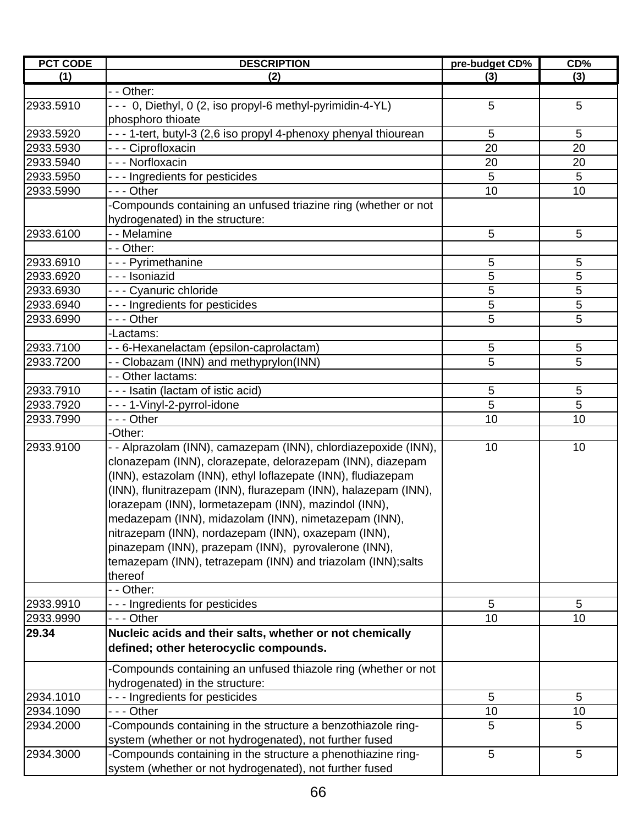| (3)<br>(1)<br>(2)<br>(3)<br>- - Other:<br>--- 0, Diethyl, 0 (2, iso propyl-6 methyl-pyrimidin-4-YL)<br>5<br>5<br>phosphoro thioate<br>- - - 1-tert, butyl-3 (2,6 iso propyl 4-phenoxy phenyal thiourean<br>5<br>5<br>- - - Ciprofloxacin<br>2933.5930<br>20<br>20<br>- - - Norfloxacin<br>20<br>20<br>5<br>--- Ingredients for pesticides<br>5<br>--- Other<br>10<br>10<br>-Compounds containing an unfused triazine ring (whether or not<br>hydrogenated) in the structure:<br>- - Melamine<br>5<br>5<br>- - Other:<br>5<br>5<br>2933.6910<br>- - - Pyrimethanine<br>- - - Isoniazid<br>5<br>5<br>- - - Cyanuric chloride<br>5<br>5<br>2933.6930<br>5<br>5<br>2933.6940<br>--- Ingredients for pesticides<br>5<br>5<br>2933.6990<br>- - - Other<br>-Lactams:<br>2933.7100<br>5<br>- - 6-Hexanelactam (epsilon-caprolactam)<br>5<br>5<br>5<br>- - Clobazam (INN) and methyprylon(INN)<br>2933.7200<br>- - Other lactams:<br>- - - Isatin (lactam of istic acid)<br>5<br>5<br>2933.7910<br>5<br>5<br>2933.7920<br>- - - 1-Vinyl-2-pyrrol-idone<br>2933.7990<br>10<br>10<br>- - - Other<br>-Other:<br>2933.9100<br>10<br>- - Alprazolam (INN), camazepam (INN), chlordiazepoxide (INN),<br>10<br>clonazepam (INN), clorazepate, delorazepam (INN), diazepam<br>(INN), estazolam (INN), ethyl loflazepate (INN), fludiazepam<br>(INN), flunitrazepam (INN), flurazepam (INN), halazepam (INN),<br>lorazepam (INN), lormetazepam (INN), mazindol (INN),<br>medazepam (INN), midazolam (INN), nimetazepam (INN),<br>nitrazepam (INN), nordazepam (INN), oxazepam (INN),<br>pinazepam (INN), prazepam (INN), pyrovalerone (INN),<br>temazepam (INN), tetrazepam (INN) and triazolam (INN);salts<br>thereof<br>- - Other:<br>5<br>2933.9910<br>- - - Ingredients for pesticides<br>5<br>10<br>10<br>- - - Other<br>2933.9990<br>29.34<br>Nucleic acids and their salts, whether or not chemically<br>defined; other heterocyclic compounds.<br>Compounds containing an unfused thiazole ring (whether or not<br>hydrogenated) in the structure:<br>2934.1010<br>- - - Ingredients for pesticides<br>5<br>5<br>2934.1090<br>- - - Other<br>10<br>10<br>-Compounds containing in the structure a benzothiazole ring-<br>5<br>5<br>2934.2000<br>system (whether or not hydrogenated), not further fused<br>-Compounds containing in the structure a phenothiazine ring-<br>5<br>2934.3000<br>5 | <b>PCT CODE</b> | <b>DESCRIPTION</b>                                      | pre-budget CD% | CD% |
|--------------------------------------------------------------------------------------------------------------------------------------------------------------------------------------------------------------------------------------------------------------------------------------------------------------------------------------------------------------------------------------------------------------------------------------------------------------------------------------------------------------------------------------------------------------------------------------------------------------------------------------------------------------------------------------------------------------------------------------------------------------------------------------------------------------------------------------------------------------------------------------------------------------------------------------------------------------------------------------------------------------------------------------------------------------------------------------------------------------------------------------------------------------------------------------------------------------------------------------------------------------------------------------------------------------------------------------------------------------------------------------------------------------------------------------------------------------------------------------------------------------------------------------------------------------------------------------------------------------------------------------------------------------------------------------------------------------------------------------------------------------------------------------------------------------------------------------------------------------------------------------------------------------------------------------------------------------------------------------------------------------------------------------------------------------------------------------------------------------------------------------------------------------------------------------------------------------------------------------------------------------------------------------------------------------------------------------------------------------------------------------|-----------------|---------------------------------------------------------|----------------|-----|
|                                                                                                                                                                                                                                                                                                                                                                                                                                                                                                                                                                                                                                                                                                                                                                                                                                                                                                                                                                                                                                                                                                                                                                                                                                                                                                                                                                                                                                                                                                                                                                                                                                                                                                                                                                                                                                                                                                                                                                                                                                                                                                                                                                                                                                                                                                                                                                                      |                 |                                                         |                |     |
|                                                                                                                                                                                                                                                                                                                                                                                                                                                                                                                                                                                                                                                                                                                                                                                                                                                                                                                                                                                                                                                                                                                                                                                                                                                                                                                                                                                                                                                                                                                                                                                                                                                                                                                                                                                                                                                                                                                                                                                                                                                                                                                                                                                                                                                                                                                                                                                      |                 |                                                         |                |     |
|                                                                                                                                                                                                                                                                                                                                                                                                                                                                                                                                                                                                                                                                                                                                                                                                                                                                                                                                                                                                                                                                                                                                                                                                                                                                                                                                                                                                                                                                                                                                                                                                                                                                                                                                                                                                                                                                                                                                                                                                                                                                                                                                                                                                                                                                                                                                                                                      | 2933.5910       |                                                         |                |     |
|                                                                                                                                                                                                                                                                                                                                                                                                                                                                                                                                                                                                                                                                                                                                                                                                                                                                                                                                                                                                                                                                                                                                                                                                                                                                                                                                                                                                                                                                                                                                                                                                                                                                                                                                                                                                                                                                                                                                                                                                                                                                                                                                                                                                                                                                                                                                                                                      |                 |                                                         |                |     |
|                                                                                                                                                                                                                                                                                                                                                                                                                                                                                                                                                                                                                                                                                                                                                                                                                                                                                                                                                                                                                                                                                                                                                                                                                                                                                                                                                                                                                                                                                                                                                                                                                                                                                                                                                                                                                                                                                                                                                                                                                                                                                                                                                                                                                                                                                                                                                                                      | 2933.5920       |                                                         |                |     |
|                                                                                                                                                                                                                                                                                                                                                                                                                                                                                                                                                                                                                                                                                                                                                                                                                                                                                                                                                                                                                                                                                                                                                                                                                                                                                                                                                                                                                                                                                                                                                                                                                                                                                                                                                                                                                                                                                                                                                                                                                                                                                                                                                                                                                                                                                                                                                                                      |                 |                                                         |                |     |
|                                                                                                                                                                                                                                                                                                                                                                                                                                                                                                                                                                                                                                                                                                                                                                                                                                                                                                                                                                                                                                                                                                                                                                                                                                                                                                                                                                                                                                                                                                                                                                                                                                                                                                                                                                                                                                                                                                                                                                                                                                                                                                                                                                                                                                                                                                                                                                                      | 2933.5940       |                                                         |                |     |
|                                                                                                                                                                                                                                                                                                                                                                                                                                                                                                                                                                                                                                                                                                                                                                                                                                                                                                                                                                                                                                                                                                                                                                                                                                                                                                                                                                                                                                                                                                                                                                                                                                                                                                                                                                                                                                                                                                                                                                                                                                                                                                                                                                                                                                                                                                                                                                                      | 2933.5950       |                                                         |                |     |
|                                                                                                                                                                                                                                                                                                                                                                                                                                                                                                                                                                                                                                                                                                                                                                                                                                                                                                                                                                                                                                                                                                                                                                                                                                                                                                                                                                                                                                                                                                                                                                                                                                                                                                                                                                                                                                                                                                                                                                                                                                                                                                                                                                                                                                                                                                                                                                                      | 2933.5990       |                                                         |                |     |
|                                                                                                                                                                                                                                                                                                                                                                                                                                                                                                                                                                                                                                                                                                                                                                                                                                                                                                                                                                                                                                                                                                                                                                                                                                                                                                                                                                                                                                                                                                                                                                                                                                                                                                                                                                                                                                                                                                                                                                                                                                                                                                                                                                                                                                                                                                                                                                                      |                 |                                                         |                |     |
|                                                                                                                                                                                                                                                                                                                                                                                                                                                                                                                                                                                                                                                                                                                                                                                                                                                                                                                                                                                                                                                                                                                                                                                                                                                                                                                                                                                                                                                                                                                                                                                                                                                                                                                                                                                                                                                                                                                                                                                                                                                                                                                                                                                                                                                                                                                                                                                      |                 |                                                         |                |     |
|                                                                                                                                                                                                                                                                                                                                                                                                                                                                                                                                                                                                                                                                                                                                                                                                                                                                                                                                                                                                                                                                                                                                                                                                                                                                                                                                                                                                                                                                                                                                                                                                                                                                                                                                                                                                                                                                                                                                                                                                                                                                                                                                                                                                                                                                                                                                                                                      | 2933.6100       |                                                         |                |     |
|                                                                                                                                                                                                                                                                                                                                                                                                                                                                                                                                                                                                                                                                                                                                                                                                                                                                                                                                                                                                                                                                                                                                                                                                                                                                                                                                                                                                                                                                                                                                                                                                                                                                                                                                                                                                                                                                                                                                                                                                                                                                                                                                                                                                                                                                                                                                                                                      |                 |                                                         |                |     |
|                                                                                                                                                                                                                                                                                                                                                                                                                                                                                                                                                                                                                                                                                                                                                                                                                                                                                                                                                                                                                                                                                                                                                                                                                                                                                                                                                                                                                                                                                                                                                                                                                                                                                                                                                                                                                                                                                                                                                                                                                                                                                                                                                                                                                                                                                                                                                                                      |                 |                                                         |                |     |
|                                                                                                                                                                                                                                                                                                                                                                                                                                                                                                                                                                                                                                                                                                                                                                                                                                                                                                                                                                                                                                                                                                                                                                                                                                                                                                                                                                                                                                                                                                                                                                                                                                                                                                                                                                                                                                                                                                                                                                                                                                                                                                                                                                                                                                                                                                                                                                                      | 2933.6920       |                                                         |                |     |
|                                                                                                                                                                                                                                                                                                                                                                                                                                                                                                                                                                                                                                                                                                                                                                                                                                                                                                                                                                                                                                                                                                                                                                                                                                                                                                                                                                                                                                                                                                                                                                                                                                                                                                                                                                                                                                                                                                                                                                                                                                                                                                                                                                                                                                                                                                                                                                                      |                 |                                                         |                |     |
|                                                                                                                                                                                                                                                                                                                                                                                                                                                                                                                                                                                                                                                                                                                                                                                                                                                                                                                                                                                                                                                                                                                                                                                                                                                                                                                                                                                                                                                                                                                                                                                                                                                                                                                                                                                                                                                                                                                                                                                                                                                                                                                                                                                                                                                                                                                                                                                      |                 |                                                         |                |     |
|                                                                                                                                                                                                                                                                                                                                                                                                                                                                                                                                                                                                                                                                                                                                                                                                                                                                                                                                                                                                                                                                                                                                                                                                                                                                                                                                                                                                                                                                                                                                                                                                                                                                                                                                                                                                                                                                                                                                                                                                                                                                                                                                                                                                                                                                                                                                                                                      |                 |                                                         |                |     |
|                                                                                                                                                                                                                                                                                                                                                                                                                                                                                                                                                                                                                                                                                                                                                                                                                                                                                                                                                                                                                                                                                                                                                                                                                                                                                                                                                                                                                                                                                                                                                                                                                                                                                                                                                                                                                                                                                                                                                                                                                                                                                                                                                                                                                                                                                                                                                                                      |                 |                                                         |                |     |
|                                                                                                                                                                                                                                                                                                                                                                                                                                                                                                                                                                                                                                                                                                                                                                                                                                                                                                                                                                                                                                                                                                                                                                                                                                                                                                                                                                                                                                                                                                                                                                                                                                                                                                                                                                                                                                                                                                                                                                                                                                                                                                                                                                                                                                                                                                                                                                                      |                 |                                                         |                |     |
|                                                                                                                                                                                                                                                                                                                                                                                                                                                                                                                                                                                                                                                                                                                                                                                                                                                                                                                                                                                                                                                                                                                                                                                                                                                                                                                                                                                                                                                                                                                                                                                                                                                                                                                                                                                                                                                                                                                                                                                                                                                                                                                                                                                                                                                                                                                                                                                      |                 |                                                         |                |     |
|                                                                                                                                                                                                                                                                                                                                                                                                                                                                                                                                                                                                                                                                                                                                                                                                                                                                                                                                                                                                                                                                                                                                                                                                                                                                                                                                                                                                                                                                                                                                                                                                                                                                                                                                                                                                                                                                                                                                                                                                                                                                                                                                                                                                                                                                                                                                                                                      |                 |                                                         |                |     |
|                                                                                                                                                                                                                                                                                                                                                                                                                                                                                                                                                                                                                                                                                                                                                                                                                                                                                                                                                                                                                                                                                                                                                                                                                                                                                                                                                                                                                                                                                                                                                                                                                                                                                                                                                                                                                                                                                                                                                                                                                                                                                                                                                                                                                                                                                                                                                                                      |                 |                                                         |                |     |
|                                                                                                                                                                                                                                                                                                                                                                                                                                                                                                                                                                                                                                                                                                                                                                                                                                                                                                                                                                                                                                                                                                                                                                                                                                                                                                                                                                                                                                                                                                                                                                                                                                                                                                                                                                                                                                                                                                                                                                                                                                                                                                                                                                                                                                                                                                                                                                                      |                 |                                                         |                |     |
|                                                                                                                                                                                                                                                                                                                                                                                                                                                                                                                                                                                                                                                                                                                                                                                                                                                                                                                                                                                                                                                                                                                                                                                                                                                                                                                                                                                                                                                                                                                                                                                                                                                                                                                                                                                                                                                                                                                                                                                                                                                                                                                                                                                                                                                                                                                                                                                      |                 |                                                         |                |     |
|                                                                                                                                                                                                                                                                                                                                                                                                                                                                                                                                                                                                                                                                                                                                                                                                                                                                                                                                                                                                                                                                                                                                                                                                                                                                                                                                                                                                                                                                                                                                                                                                                                                                                                                                                                                                                                                                                                                                                                                                                                                                                                                                                                                                                                                                                                                                                                                      |                 |                                                         |                |     |
|                                                                                                                                                                                                                                                                                                                                                                                                                                                                                                                                                                                                                                                                                                                                                                                                                                                                                                                                                                                                                                                                                                                                                                                                                                                                                                                                                                                                                                                                                                                                                                                                                                                                                                                                                                                                                                                                                                                                                                                                                                                                                                                                                                                                                                                                                                                                                                                      |                 |                                                         |                |     |
|                                                                                                                                                                                                                                                                                                                                                                                                                                                                                                                                                                                                                                                                                                                                                                                                                                                                                                                                                                                                                                                                                                                                                                                                                                                                                                                                                                                                                                                                                                                                                                                                                                                                                                                                                                                                                                                                                                                                                                                                                                                                                                                                                                                                                                                                                                                                                                                      |                 |                                                         |                |     |
|                                                                                                                                                                                                                                                                                                                                                                                                                                                                                                                                                                                                                                                                                                                                                                                                                                                                                                                                                                                                                                                                                                                                                                                                                                                                                                                                                                                                                                                                                                                                                                                                                                                                                                                                                                                                                                                                                                                                                                                                                                                                                                                                                                                                                                                                                                                                                                                      |                 |                                                         |                |     |
|                                                                                                                                                                                                                                                                                                                                                                                                                                                                                                                                                                                                                                                                                                                                                                                                                                                                                                                                                                                                                                                                                                                                                                                                                                                                                                                                                                                                                                                                                                                                                                                                                                                                                                                                                                                                                                                                                                                                                                                                                                                                                                                                                                                                                                                                                                                                                                                      |                 |                                                         |                |     |
|                                                                                                                                                                                                                                                                                                                                                                                                                                                                                                                                                                                                                                                                                                                                                                                                                                                                                                                                                                                                                                                                                                                                                                                                                                                                                                                                                                                                                                                                                                                                                                                                                                                                                                                                                                                                                                                                                                                                                                                                                                                                                                                                                                                                                                                                                                                                                                                      |                 |                                                         |                |     |
|                                                                                                                                                                                                                                                                                                                                                                                                                                                                                                                                                                                                                                                                                                                                                                                                                                                                                                                                                                                                                                                                                                                                                                                                                                                                                                                                                                                                                                                                                                                                                                                                                                                                                                                                                                                                                                                                                                                                                                                                                                                                                                                                                                                                                                                                                                                                                                                      |                 |                                                         |                |     |
|                                                                                                                                                                                                                                                                                                                                                                                                                                                                                                                                                                                                                                                                                                                                                                                                                                                                                                                                                                                                                                                                                                                                                                                                                                                                                                                                                                                                                                                                                                                                                                                                                                                                                                                                                                                                                                                                                                                                                                                                                                                                                                                                                                                                                                                                                                                                                                                      |                 |                                                         |                |     |
|                                                                                                                                                                                                                                                                                                                                                                                                                                                                                                                                                                                                                                                                                                                                                                                                                                                                                                                                                                                                                                                                                                                                                                                                                                                                                                                                                                                                                                                                                                                                                                                                                                                                                                                                                                                                                                                                                                                                                                                                                                                                                                                                                                                                                                                                                                                                                                                      |                 |                                                         |                |     |
|                                                                                                                                                                                                                                                                                                                                                                                                                                                                                                                                                                                                                                                                                                                                                                                                                                                                                                                                                                                                                                                                                                                                                                                                                                                                                                                                                                                                                                                                                                                                                                                                                                                                                                                                                                                                                                                                                                                                                                                                                                                                                                                                                                                                                                                                                                                                                                                      |                 |                                                         |                |     |
|                                                                                                                                                                                                                                                                                                                                                                                                                                                                                                                                                                                                                                                                                                                                                                                                                                                                                                                                                                                                                                                                                                                                                                                                                                                                                                                                                                                                                                                                                                                                                                                                                                                                                                                                                                                                                                                                                                                                                                                                                                                                                                                                                                                                                                                                                                                                                                                      |                 |                                                         |                |     |
|                                                                                                                                                                                                                                                                                                                                                                                                                                                                                                                                                                                                                                                                                                                                                                                                                                                                                                                                                                                                                                                                                                                                                                                                                                                                                                                                                                                                                                                                                                                                                                                                                                                                                                                                                                                                                                                                                                                                                                                                                                                                                                                                                                                                                                                                                                                                                                                      |                 |                                                         |                |     |
|                                                                                                                                                                                                                                                                                                                                                                                                                                                                                                                                                                                                                                                                                                                                                                                                                                                                                                                                                                                                                                                                                                                                                                                                                                                                                                                                                                                                                                                                                                                                                                                                                                                                                                                                                                                                                                                                                                                                                                                                                                                                                                                                                                                                                                                                                                                                                                                      |                 |                                                         |                |     |
|                                                                                                                                                                                                                                                                                                                                                                                                                                                                                                                                                                                                                                                                                                                                                                                                                                                                                                                                                                                                                                                                                                                                                                                                                                                                                                                                                                                                                                                                                                                                                                                                                                                                                                                                                                                                                                                                                                                                                                                                                                                                                                                                                                                                                                                                                                                                                                                      |                 |                                                         |                |     |
|                                                                                                                                                                                                                                                                                                                                                                                                                                                                                                                                                                                                                                                                                                                                                                                                                                                                                                                                                                                                                                                                                                                                                                                                                                                                                                                                                                                                                                                                                                                                                                                                                                                                                                                                                                                                                                                                                                                                                                                                                                                                                                                                                                                                                                                                                                                                                                                      |                 |                                                         |                |     |
|                                                                                                                                                                                                                                                                                                                                                                                                                                                                                                                                                                                                                                                                                                                                                                                                                                                                                                                                                                                                                                                                                                                                                                                                                                                                                                                                                                                                                                                                                                                                                                                                                                                                                                                                                                                                                                                                                                                                                                                                                                                                                                                                                                                                                                                                                                                                                                                      |                 |                                                         |                |     |
|                                                                                                                                                                                                                                                                                                                                                                                                                                                                                                                                                                                                                                                                                                                                                                                                                                                                                                                                                                                                                                                                                                                                                                                                                                                                                                                                                                                                                                                                                                                                                                                                                                                                                                                                                                                                                                                                                                                                                                                                                                                                                                                                                                                                                                                                                                                                                                                      |                 |                                                         |                |     |
|                                                                                                                                                                                                                                                                                                                                                                                                                                                                                                                                                                                                                                                                                                                                                                                                                                                                                                                                                                                                                                                                                                                                                                                                                                                                                                                                                                                                                                                                                                                                                                                                                                                                                                                                                                                                                                                                                                                                                                                                                                                                                                                                                                                                                                                                                                                                                                                      |                 |                                                         |                |     |
|                                                                                                                                                                                                                                                                                                                                                                                                                                                                                                                                                                                                                                                                                                                                                                                                                                                                                                                                                                                                                                                                                                                                                                                                                                                                                                                                                                                                                                                                                                                                                                                                                                                                                                                                                                                                                                                                                                                                                                                                                                                                                                                                                                                                                                                                                                                                                                                      |                 |                                                         |                |     |
|                                                                                                                                                                                                                                                                                                                                                                                                                                                                                                                                                                                                                                                                                                                                                                                                                                                                                                                                                                                                                                                                                                                                                                                                                                                                                                                                                                                                                                                                                                                                                                                                                                                                                                                                                                                                                                                                                                                                                                                                                                                                                                                                                                                                                                                                                                                                                                                      |                 |                                                         |                |     |
|                                                                                                                                                                                                                                                                                                                                                                                                                                                                                                                                                                                                                                                                                                                                                                                                                                                                                                                                                                                                                                                                                                                                                                                                                                                                                                                                                                                                                                                                                                                                                                                                                                                                                                                                                                                                                                                                                                                                                                                                                                                                                                                                                                                                                                                                                                                                                                                      |                 |                                                         |                |     |
|                                                                                                                                                                                                                                                                                                                                                                                                                                                                                                                                                                                                                                                                                                                                                                                                                                                                                                                                                                                                                                                                                                                                                                                                                                                                                                                                                                                                                                                                                                                                                                                                                                                                                                                                                                                                                                                                                                                                                                                                                                                                                                                                                                                                                                                                                                                                                                                      |                 |                                                         |                |     |
|                                                                                                                                                                                                                                                                                                                                                                                                                                                                                                                                                                                                                                                                                                                                                                                                                                                                                                                                                                                                                                                                                                                                                                                                                                                                                                                                                                                                                                                                                                                                                                                                                                                                                                                                                                                                                                                                                                                                                                                                                                                                                                                                                                                                                                                                                                                                                                                      |                 |                                                         |                |     |
|                                                                                                                                                                                                                                                                                                                                                                                                                                                                                                                                                                                                                                                                                                                                                                                                                                                                                                                                                                                                                                                                                                                                                                                                                                                                                                                                                                                                                                                                                                                                                                                                                                                                                                                                                                                                                                                                                                                                                                                                                                                                                                                                                                                                                                                                                                                                                                                      |                 |                                                         |                |     |
|                                                                                                                                                                                                                                                                                                                                                                                                                                                                                                                                                                                                                                                                                                                                                                                                                                                                                                                                                                                                                                                                                                                                                                                                                                                                                                                                                                                                                                                                                                                                                                                                                                                                                                                                                                                                                                                                                                                                                                                                                                                                                                                                                                                                                                                                                                                                                                                      |                 | system (whether or not hydrogenated), not further fused |                |     |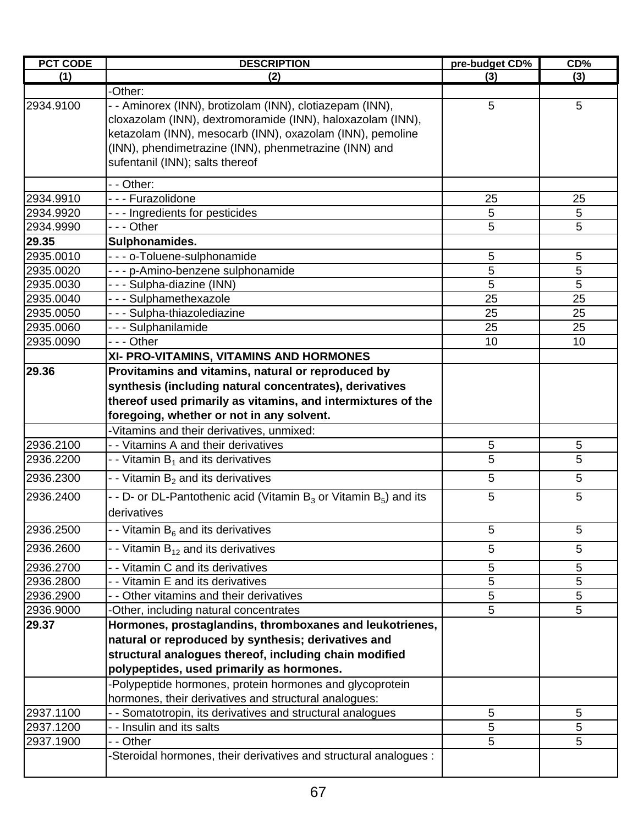| <b>PCT CODE</b> | <b>DESCRIPTION</b>                                                      | pre-budget CD% | CD%        |
|-----------------|-------------------------------------------------------------------------|----------------|------------|
| (1)             | (2)                                                                     | (3)            | (3)        |
|                 | -Other:                                                                 |                |            |
| 2934.9100       | - - Aminorex (INN), brotizolam (INN), clotiazepam (INN),                | 5              | 5          |
|                 | cloxazolam (INN), dextromoramide (INN), haloxazolam (INN),              |                |            |
|                 | ketazolam (INN), mesocarb (INN), oxazolam (INN), pemoline               |                |            |
|                 | (INN), phendimetrazine (INN), phenmetrazine (INN) and                   |                |            |
|                 | sufentanil (INN); salts thereof                                         |                |            |
|                 | - - Other:                                                              |                |            |
| 2934.9910       | - - - Furazolidone                                                      | 25             | 25         |
| 2934.9920       | --- Ingredients for pesticides                                          | $\sqrt{5}$     | 5          |
| 2934.9990       | --- Other                                                               | 5              | 5          |
| 29.35           | Sulphonamides.                                                          |                |            |
| 2935.0010       | - - - o-Toluene-sulphonamide                                            | $\sqrt{5}$     | $\sqrt{5}$ |
| 2935.0020       | - - - p-Amino-benzene sulphonamide                                      | 5              | 5          |
| 2935.0030       | - - - Sulpha-diazine (INN)                                              | 5              | 5          |
| 2935.0040       | --- Sulphamethexazole                                                   | 25             | 25         |
| 2935.0050       | - - - Sulpha-thiazolediazine                                            | 25             | 25         |
| 2935.0060       | --- Sulphanilamide                                                      | 25             | 25         |
| 2935.0090       | --- Other                                                               | 10             | 10         |
|                 | XI- PRO-VITAMINS, VITAMINS AND HORMONES                                 |                |            |
| 29.36           | Provitamins and vitamins, natural or reproduced by                      |                |            |
|                 | synthesis (including natural concentrates), derivatives                 |                |            |
|                 | thereof used primarily as vitamins, and intermixtures of the            |                |            |
|                 | foregoing, whether or not in any solvent.                               |                |            |
|                 | -Vitamins and their derivatives, unmixed:                               |                |            |
| 2936.2100       | - - Vitamins A and their derivatives                                    | $\sqrt{5}$     | 5          |
| 2936.2200       | - - Vitamin $B_1$ and its derivatives                                   | 5              | 5          |
| 2936.2300       | - - Vitamin $B_2$ and its derivatives                                   | 5              | 5          |
| 2936.2400       | - - D- or DL-Pantothenic acid (Vitamin $B_3$ or Vitamin $B_5$ ) and its | 5              | 5          |
|                 | derivatives                                                             |                |            |
| 2936.2500       | - - Vitamin B <sub>6</sub> and its derivatives                          | 5              | 5          |
| 2936.2600       | - - Vitamin $B_{12}$ and its derivatives                                | 5              | 5          |
| 2936.2700       | - - Vitamin C and its derivatives                                       | $\sqrt{5}$     | 5          |
| 2936.2800       | - - Vitamin E and its derivatives                                       | 5              | 5          |
| 2936.2900       | - - Other vitamins and their derivatives                                | 5              | 5          |
| 2936.9000       | -Other, including natural concentrates                                  | 5              | 5          |
| 29.37           | Hormones, prostaglandins, thromboxanes and leukotrienes,                |                |            |
|                 | natural or reproduced by synthesis; derivatives and                     |                |            |
|                 | structural analogues thereof, including chain modified                  |                |            |
|                 | polypeptides, used primarily as hormones.                               |                |            |
|                 | -Polypeptide hormones, protein hormones and glycoprotein                |                |            |
|                 | hormones, their derivatives and structural analogues:                   |                |            |
| 2937.1100       | - - Somatotropin, its derivatives and structural analogues              | 5              | 5          |
| 2937.1200       | - - Insulin and its salts                                               | 5              | 5          |
| 2937.1900       | - - Other                                                               | 5              | 5          |
|                 | Steroidal hormones, their derivatives and structural analogues:         |                |            |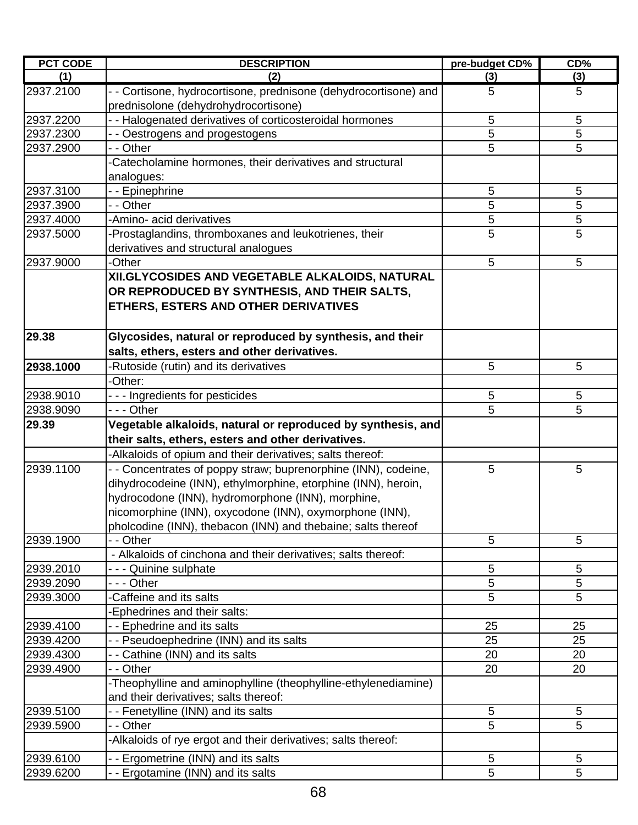| <b>PCT CODE</b> | <b>DESCRIPTION</b>                                                                                                                                                                                                                            | pre-budget CD% | CD% |
|-----------------|-----------------------------------------------------------------------------------------------------------------------------------------------------------------------------------------------------------------------------------------------|----------------|-----|
| (1)             | (2)                                                                                                                                                                                                                                           | (3)            | (3) |
| 2937.2100       | - - Cortisone, hydrocortisone, prednisone (dehydrocortisone) and<br>prednisolone (dehydrohydrocortisone)                                                                                                                                      | 5              | 5   |
| 2937.2200       | - - Halogenated derivatives of corticosteroidal hormones                                                                                                                                                                                      | 5              | 5   |
| 2937.2300       | - - Oestrogens and progestogens                                                                                                                                                                                                               | 5              | 5   |
| 2937.2900       | - - Other                                                                                                                                                                                                                                     | 5              | 5   |
|                 | -Catecholamine hormones, their derivatives and structural                                                                                                                                                                                     |                |     |
|                 | analogues:                                                                                                                                                                                                                                    |                |     |
| 2937.3100       | - - Epinephrine                                                                                                                                                                                                                               | 5              | 5   |
| 2937.3900       | - - Other                                                                                                                                                                                                                                     | 5              | 5   |
| 2937.4000       | -Amino- acid derivatives                                                                                                                                                                                                                      | 5              | 5   |
| 2937.5000       | -Prostaglandins, thromboxanes and leukotrienes, their                                                                                                                                                                                         | 5              | 5   |
|                 | derivatives and structural analogues                                                                                                                                                                                                          |                |     |
| 2937.9000       | -Other                                                                                                                                                                                                                                        | 5              | 5   |
|                 | XII.GLYCOSIDES AND VEGETABLE ALKALOIDS, NATURAL<br>OR REPRODUCED BY SYNTHESIS, AND THEIR SALTS,<br>ETHERS, ESTERS AND OTHER DERIVATIVES                                                                                                       |                |     |
| 29.38           | Glycosides, natural or reproduced by synthesis, and their<br>salts, ethers, esters and other derivatives.                                                                                                                                     |                |     |
| 2938.1000       | -Rutoside (rutin) and its derivatives                                                                                                                                                                                                         | 5              | 5   |
|                 | -Other:                                                                                                                                                                                                                                       |                |     |
| 2938.9010       | --- Ingredients for pesticides                                                                                                                                                                                                                | 5              | 5   |
| 2938.9090       | - - - Other                                                                                                                                                                                                                                   | 5              | 5   |
| 29.39           | Vegetable alkaloids, natural or reproduced by synthesis, and<br>their salts, ethers, esters and other derivatives.                                                                                                                            |                |     |
|                 | -Alkaloids of opium and their derivatives; salts thereof:                                                                                                                                                                                     |                |     |
| 2939.1100       | - Concentrates of poppy straw; buprenorphine (INN), codeine,                                                                                                                                                                                  | 5              | 5   |
|                 | dihydrocodeine (INN), ethylmorphine, etorphine (INN), heroin,<br>hydrocodone (INN), hydromorphone (INN), morphine,<br>nicomorphine (INN), oxycodone (INN), oxymorphone (INN),<br>pholcodine (INN), thebacon (INN) and thebaine; salts thereof |                |     |
| 2939.1900       | - - Other                                                                                                                                                                                                                                     | 5              | 5   |
|                 | - Alkaloids of cinchona and their derivatives; salts thereof:                                                                                                                                                                                 |                |     |
| 2939.2010       | - - - Quinine sulphate                                                                                                                                                                                                                        | 5              | 5   |
| 2939.2090       | - - - Other                                                                                                                                                                                                                                   | 5              | 5   |
| 2939.3000       | -Caffeine and its salts                                                                                                                                                                                                                       | 5              | 5   |
|                 | Ephedrines and their salts:                                                                                                                                                                                                                   |                |     |
| 2939.4100       | - - Ephedrine and its salts                                                                                                                                                                                                                   | 25             | 25  |
| 2939.4200       | - - Pseudoephedrine (INN) and its salts                                                                                                                                                                                                       | 25             | 25  |
| 2939.4300       | - - Cathine (INN) and its salts                                                                                                                                                                                                               | 20             | 20  |
| 2939.4900       | - - Other                                                                                                                                                                                                                                     | 20             | 20  |
|                 | -Theophylline and aminophylline (theophylline-ethylenediamine)<br>and their derivatives; salts thereof:                                                                                                                                       |                |     |
| 2939.5100       | - - Fenetylline (INN) and its salts                                                                                                                                                                                                           | 5              | 5   |
| 2939.5900       | - - Other                                                                                                                                                                                                                                     | 5              | 5   |
|                 | -Alkaloids of rye ergot and their derivatives; salts thereof:                                                                                                                                                                                 |                |     |
| 2939.6100       | - - Ergometrine (INN) and its salts                                                                                                                                                                                                           | 5              | 5   |
| 2939.6200       | - - Ergotamine (INN) and its salts                                                                                                                                                                                                            | 5              | 5   |
|                 |                                                                                                                                                                                                                                               |                |     |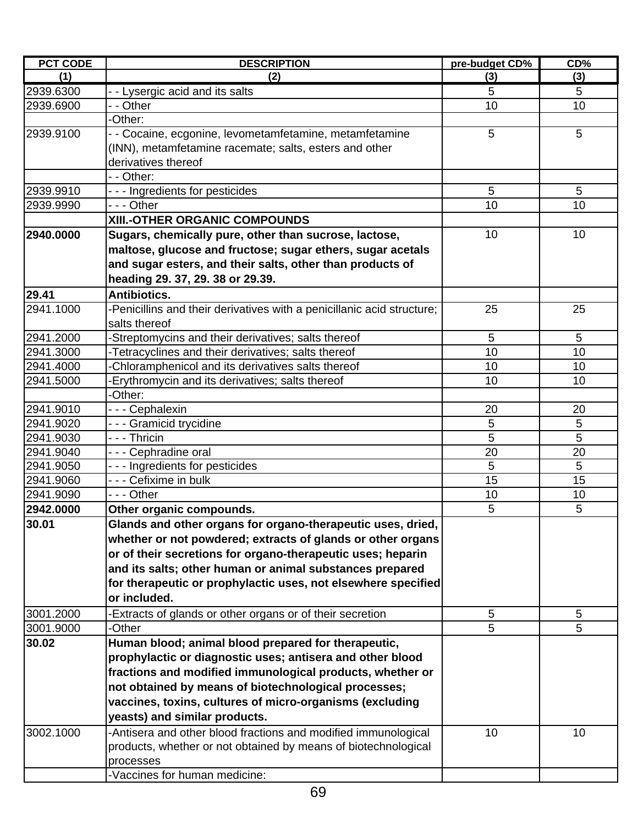| <b>PCT CODE</b> | <b>DESCRIPTION</b>                                                     | pre-budget CD% | CD% |
|-----------------|------------------------------------------------------------------------|----------------|-----|
| (1)             | (2)                                                                    | (3)            | (3) |
| 2939.6300       | - - Lysergic acid and its salts                                        | 5              | 5   |
| 2939.6900       | - - Other                                                              | 10             | 10  |
|                 | -Other:                                                                |                |     |
| 2939.9100       | - Cocaine, ecgonine, levometamfetamine, metamfetamine                  | 5              | 5   |
|                 | (INN), metamfetamine racemate; salts, esters and other                 |                |     |
|                 | derivatives thereof                                                    |                |     |
|                 | - - Other:                                                             |                |     |
| 2939.9910       | - - - Ingredients for pesticides                                       | 5              | 5   |
| 2939.9990       | - - - Other                                                            | 10             | 10  |
|                 | XIII.-OTHER ORGANIC COMPOUNDS                                          |                |     |
| 2940.0000       | Sugars, chemically pure, other than sucrose, lactose,                  | 10             | 10  |
|                 | maltose, glucose and fructose; sugar ethers, sugar acetals             |                |     |
|                 | and sugar esters, and their salts, other than products of              |                |     |
|                 | heading 29. 37, 29. 38 or 29.39.                                       |                |     |
| 29.41           | Antibiotics.                                                           |                |     |
| 2941.1000       | -Penicillins and their derivatives with a penicillanic acid structure; | 25             | 25  |
|                 | salts thereof                                                          |                |     |
| 2941.2000       | -Streptomycins and their derivatives; salts thereof                    | 5              | 5   |
| 2941.3000       | -Tetracyclines and their derivatives; salts thereof                    | 10             | 10  |
| 2941.4000       | Chloramphenicol and its derivatives salts thereof                      | 10             | 10  |
| 2941.5000       | Erythromycin and its derivatives; salts thereof                        | 10             | 10  |
|                 | -Other:                                                                |                |     |
| 2941.9010       | - - - Cephalexin                                                       | 20             | 20  |
| 2941.9020       | --- Gramicid trycidine                                                 | 5              | 5   |
| 2941.9030       | - - - Thricin                                                          | 5              | 5   |
| 2941.9040       | --- Cephradine oral                                                    | 20             | 20  |
| 2941.9050       | --- Ingredients for pesticides                                         | 5              | 5   |
| 2941.9060       | - - - Cefixime in bulk                                                 | 15             | 15  |
| 2941.9090       | --- Other                                                              | 10             | 10  |
| 2942.0000       | Other organic compounds.                                               | 5              | 5   |
| 30.01           | Glands and other organs for organo-therapeutic uses, dried,            |                |     |
|                 | whether or not powdered; extracts of glands or other organs            |                |     |
|                 | or of their secretions for organo-therapeutic uses; heparin            |                |     |
|                 | and its salts; other human or animal substances prepared               |                |     |
|                 | for therapeutic or prophylactic uses, not elsewhere specified          |                |     |
|                 | or included.                                                           |                |     |
| 3001.2000       | -Extracts of glands or other organs or of their secretion              | 5              | 5   |
| 3001.9000       | -Other                                                                 | 5              | 5   |
| 30.02           | Human blood; animal blood prepared for therapeutic,                    |                |     |
|                 | prophylactic or diagnostic uses; antisera and other blood              |                |     |
|                 | fractions and modified immunological products, whether or              |                |     |
|                 | not obtained by means of biotechnological processes;                   |                |     |
|                 | vaccines, toxins, cultures of micro-organisms (excluding               |                |     |
|                 | yeasts) and similar products.                                          |                |     |
| 3002.1000       |                                                                        |                |     |
|                 | -Antisera and other blood fractions and modified immunological         | 10             | 10  |
|                 | products, whether or not obtained by means of biotechnological         |                |     |
|                 | processes                                                              |                |     |
|                 | -Vaccines for human medicine:                                          |                |     |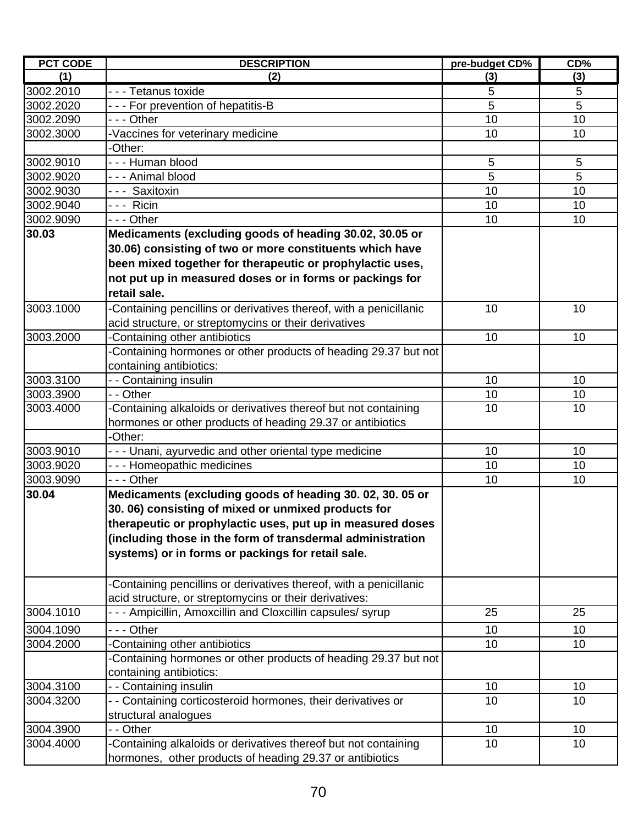| <b>PCT CODE</b> | <b>DESCRIPTION</b>                                                 | pre-budget CD% | CD% |
|-----------------|--------------------------------------------------------------------|----------------|-----|
| (1)             | (2)                                                                | (3)            | (3) |
| 3002.2010       | - - - Tetanus toxide                                               | 5              | 5   |
| 3002.2020       | --- For prevention of hepatitis-B                                  | 5              | 5   |
| 3002.2090       | - - - Other                                                        | 10             | 10  |
| 3002.3000       | -Vaccines for veterinary medicine                                  | 10             | 10  |
|                 | -Other:                                                            |                |     |
| 3002.9010       | --- Human blood                                                    | 5              | 5   |
| 3002.9020       | --- Animal blood                                                   | 5              | 5   |
| 3002.9030       | --- Saxitoxin                                                      | 10             | 10  |
| 3002.9040       | --- Ricin                                                          | 10             | 10  |
| 3002.9090       | - - - Other                                                        | 10             | 10  |
| 30.03           | Medicaments (excluding goods of heading 30.02, 30.05 or            |                |     |
|                 | 30.06) consisting of two or more constituents which have           |                |     |
|                 | been mixed together for therapeutic or prophylactic uses,          |                |     |
|                 | not put up in measured doses or in forms or packings for           |                |     |
|                 | retail sale.                                                       |                |     |
| 3003.1000       | Containing pencillins or derivatives thereof, with a penicillanic  | 10             | 10  |
|                 | acid structure, or streptomycins or their derivatives              |                |     |
| 3003.2000       | Containing other antibiotics                                       | 10             | 10  |
|                 | Containing hormones or other products of heading 29.37 but not     |                |     |
|                 | containing antibiotics:                                            |                |     |
| 3003.3100       | - - Containing insulin                                             | 10             | 10  |
| 3003.3900       | - - Other                                                          | 10             | 10  |
| 3003.4000       | -Containing alkaloids or derivatives thereof but not containing    | 10             | 10  |
|                 | hormones or other products of heading 29.37 or antibiotics         |                |     |
|                 | -Other:                                                            |                |     |
| 3003.9010       | --- Unani, ayurvedic and other oriental type medicine              | 10             | 10  |
| 3003.9020       | --- Homeopathic medicines                                          | 10             | 10  |
| 3003.9090       | - - - Other                                                        | 10             | 10  |
| 30.04           | Medicaments (excluding goods of heading 30.02, 30.05 or            |                |     |
|                 | 30.06) consisting of mixed or unmixed products for                 |                |     |
|                 | therapeutic or prophylactic uses, put up in measured doses         |                |     |
|                 | (including those in the form of transdermal administration         |                |     |
|                 | systems) or in forms or packings for retail sale.                  |                |     |
|                 |                                                                    |                |     |
|                 | -Containing pencillins or derivatives thereof, with a penicillanic |                |     |
|                 | acid structure, or streptomycins or their derivatives:             |                |     |
| 3004.1010       | --- Ampicillin, Amoxcillin and Cloxcillin capsules/syrup           | 25             | 25  |
| 3004.1090       | --- Other                                                          | 10             | 10  |
| 3004.2000       | Containing other antibiotics                                       | 10             | 10  |
|                 | -Containing hormones or other products of heading 29.37 but not    |                |     |
|                 | containing antibiotics:                                            |                |     |
| 3004.3100       | - - Containing insulin                                             | 10             | 10  |
| 3004.3200       | - Containing corticosteroid hormones, their derivatives or         | 10             | 10  |
|                 | structural analogues                                               |                |     |
| 3004.3900       | - - Other                                                          | 10             | 10  |
| 3004.4000       | Containing alkaloids or derivatives thereof but not containing     | 10             | 10  |
|                 | hormones, other products of heading 29.37 or antibiotics           |                |     |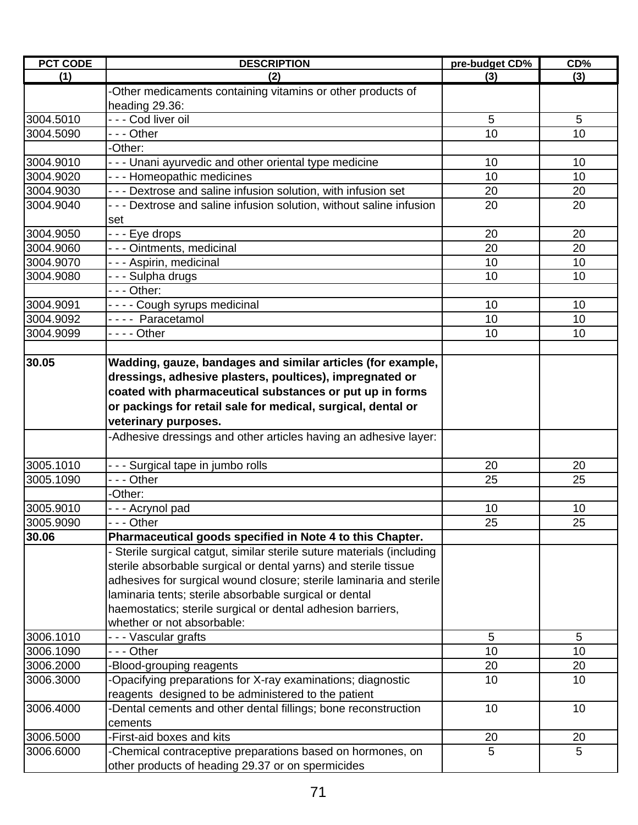| <b>PCT CODE</b> | <b>DESCRIPTION</b>                                                                                                                                                                                                                                                                                                                                                      | pre-budget CD%  | CD%             |
|-----------------|-------------------------------------------------------------------------------------------------------------------------------------------------------------------------------------------------------------------------------------------------------------------------------------------------------------------------------------------------------------------------|-----------------|-----------------|
| (1)             | (2)                                                                                                                                                                                                                                                                                                                                                                     | (3)             | (3)             |
|                 | -Other medicaments containing vitamins or other products of                                                                                                                                                                                                                                                                                                             |                 |                 |
|                 | heading 29.36:                                                                                                                                                                                                                                                                                                                                                          |                 |                 |
| 3004.5010       | - - - Cod liver oil                                                                                                                                                                                                                                                                                                                                                     | 5               | 5               |
| 3004.5090       | --- Other                                                                                                                                                                                                                                                                                                                                                               | 10              | 10              |
|                 | -Other:                                                                                                                                                                                                                                                                                                                                                                 |                 |                 |
| 3004.9010       | - - - Unani ayurvedic and other oriental type medicine                                                                                                                                                                                                                                                                                                                  | 10              | 10              |
| 3004.9020       | --- Homeopathic medicines                                                                                                                                                                                                                                                                                                                                               | 10              | 10              |
| 3004.9030       | - - - Dextrose and saline infusion solution, with infusion set                                                                                                                                                                                                                                                                                                          | 20              | 20              |
| 3004.9040       | - - - Dextrose and saline infusion solution, without saline infusion                                                                                                                                                                                                                                                                                                    | 20              | 20              |
|                 | set                                                                                                                                                                                                                                                                                                                                                                     |                 |                 |
| 3004.9050       | --- Eye drops                                                                                                                                                                                                                                                                                                                                                           | 20              | 20              |
| 3004.9060       | - - - Ointments, medicinal                                                                                                                                                                                                                                                                                                                                              | 20              | 20              |
| 3004.9070       | - - - Aspirin, medicinal                                                                                                                                                                                                                                                                                                                                                | 10              | 10              |
| 3004.9080       | - - - Sulpha drugs                                                                                                                                                                                                                                                                                                                                                      | 10              | 10              |
|                 | - - - Other:                                                                                                                                                                                                                                                                                                                                                            |                 |                 |
| 3004.9091       | - - - - Cough syrups medicinal                                                                                                                                                                                                                                                                                                                                          | 10              | 10              |
| 3004.9092       | ---- Paracetamol                                                                                                                                                                                                                                                                                                                                                        | 10              | 10              |
| 3004.9099       | - - - - Other                                                                                                                                                                                                                                                                                                                                                           | 10              | 10              |
|                 |                                                                                                                                                                                                                                                                                                                                                                         |                 |                 |
| 30.05           | Wadding, gauze, bandages and similar articles (for example,<br>dressings, adhesive plasters, poultices), impregnated or<br>coated with pharmaceutical substances or put up in forms<br>or packings for retail sale for medical, surgical, dental or                                                                                                                     |                 |                 |
|                 | veterinary purposes.                                                                                                                                                                                                                                                                                                                                                    |                 |                 |
|                 | -Adhesive dressings and other articles having an adhesive layer:                                                                                                                                                                                                                                                                                                        |                 |                 |
| 3005.1010       | --- Surgical tape in jumbo rolls                                                                                                                                                                                                                                                                                                                                        | 20              | 20              |
| 3005.1090       | - - - Other                                                                                                                                                                                                                                                                                                                                                             | 25              | 25              |
|                 | -Other:                                                                                                                                                                                                                                                                                                                                                                 |                 |                 |
| 3005.9010       | --- Acrynol pad                                                                                                                                                                                                                                                                                                                                                         | 10              | 10              |
| 3005.9090       | - - - Other                                                                                                                                                                                                                                                                                                                                                             | $\overline{25}$ | $\overline{25}$ |
| 30.06           | Pharmaceutical goods specified in Note 4 to this Chapter.                                                                                                                                                                                                                                                                                                               |                 |                 |
|                 | - Sterile surgical catgut, similar sterile suture materials (including<br>sterile absorbable surgical or dental yarns) and sterile tissue<br>adhesives for surgical wound closure; sterile laminaria and sterile<br>laminaria tents; sterile absorbable surgical or dental<br>haemostatics; sterile surgical or dental adhesion barriers,<br>whether or not absorbable: |                 |                 |
| 3006.1010       | - - - Vascular grafts                                                                                                                                                                                                                                                                                                                                                   | 5               | 5               |
| 3006.1090       | - - - Other                                                                                                                                                                                                                                                                                                                                                             | 10              | 10              |
| 3006.2000       | -Blood-grouping reagents                                                                                                                                                                                                                                                                                                                                                | 20              | 20              |
| 3006.3000       | -Opacifying preparations for X-ray examinations; diagnostic                                                                                                                                                                                                                                                                                                             | 10              | 10              |
|                 | reagents designed to be administered to the patient                                                                                                                                                                                                                                                                                                                     |                 |                 |
| 3006.4000       | -Dental cements and other dental fillings; bone reconstruction                                                                                                                                                                                                                                                                                                          | 10              | 10              |
|                 | cements                                                                                                                                                                                                                                                                                                                                                                 |                 |                 |
| 3006.5000       | -First-aid boxes and kits                                                                                                                                                                                                                                                                                                                                               | 20              | 20              |
| 3006.6000       | -Chemical contraceptive preparations based on hormones, on                                                                                                                                                                                                                                                                                                              | 5               | 5               |
|                 | other products of heading 29.37 or on spermicides                                                                                                                                                                                                                                                                                                                       |                 |                 |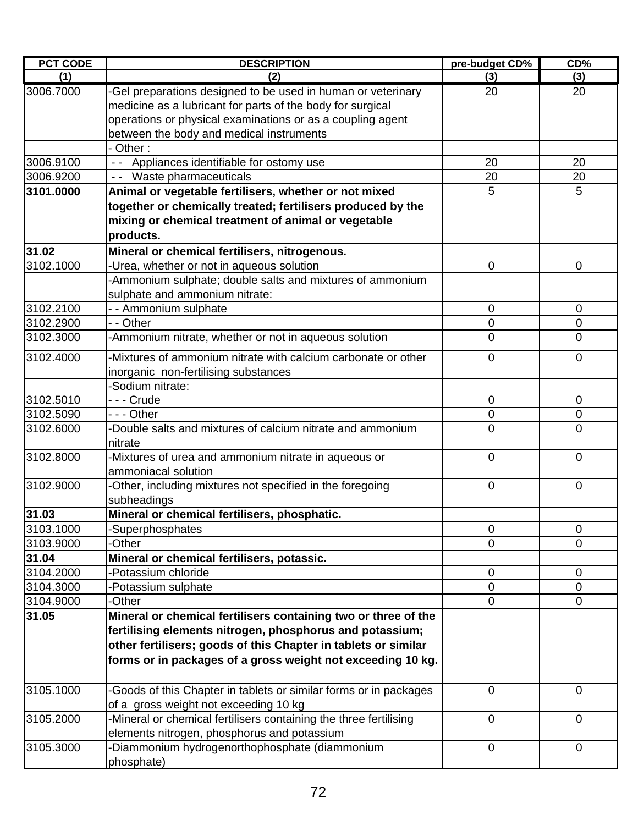| <b>PCT CODE</b> | <b>DESCRIPTION</b>                                                       | pre-budget CD% | CD%            |
|-----------------|--------------------------------------------------------------------------|----------------|----------------|
| (1)             | (2)                                                                      | (3)            | (3)            |
| 3006.7000       | -Gel preparations designed to be used in human or veterinary             | 20             | 20             |
|                 | medicine as a lubricant for parts of the body for surgical               |                |                |
|                 | operations or physical examinations or as a coupling agent               |                |                |
|                 | between the body and medical instruments                                 |                |                |
|                 | Other:                                                                   |                |                |
| 3006.9100       | - - Appliances identifiable for ostomy use                               | 20             | 20             |
| 3006.9200       | - - Waste pharmaceuticals                                                | 20             | 20             |
| 3101.0000       | Animal or vegetable fertilisers, whether or not mixed                    | 5              | 5              |
|                 | together or chemically treated; fertilisers produced by the              |                |                |
|                 | mixing or chemical treatment of animal or vegetable                      |                |                |
|                 | products.                                                                |                |                |
| 31.02           | Mineral or chemical fertilisers, nitrogenous.                            |                |                |
| 3102.1000       | -Urea, whether or not in aqueous solution                                | 0              | 0              |
|                 | -Ammonium sulphate; double salts and mixtures of ammonium                |                |                |
|                 | sulphate and ammonium nitrate:                                           |                |                |
| 3102.2100       | - - Ammonium sulphate                                                    | 0              | $\overline{0}$ |
| 3102.2900       | - - Other                                                                | $\mathbf 0$    | $\mathbf 0$    |
| 3102.3000       | -Ammonium nitrate, whether or not in aqueous solution                    | $\mathbf 0$    | $\mathbf 0$    |
| 3102.4000       | -Mixtures of ammonium nitrate with calcium carbonate or other            | $\overline{0}$ | $\overline{0}$ |
|                 | inorganic non-fertilising substances                                     |                |                |
|                 | -Sodium nitrate:                                                         |                |                |
| 3102.5010       | --- Crude                                                                | 0              | $\mathbf 0$    |
| 3102.5090       | $- -$ Other                                                              | $\mathbf 0$    | $\mathbf 0$    |
| 3102.6000       | -Double salts and mixtures of calcium nitrate and ammonium<br>nitrate    | $\mathbf 0$    | $\mathbf 0$    |
| 3102.8000       | -Mixtures of urea and ammonium nitrate in aqueous or                     | $\overline{0}$ | $\overline{0}$ |
|                 | ammoniacal solution                                                      |                |                |
| 3102.9000       | -Other, including mixtures not specified in the foregoing<br>subheadings | 0              | $\mathbf 0$    |
| 31.03           | Mineral or chemical fertilisers, phosphatic.                             |                |                |
| 3103.1000       | -Superphosphates                                                         | $\mathbf 0$    | 0              |
| 3103.9000       | -Other                                                                   | 0              | 0              |
| 31.04           | Mineral or chemical fertilisers, potassic.                               |                |                |
| 3104.2000       | -Potassium chloride                                                      | $\mathbf 0$    | $\overline{0}$ |
| 3104.3000       | -Potassium sulphate                                                      | 0              | 0              |
| 3104.9000       | -Other                                                                   | $\mathbf 0$    | $\mathbf 0$    |
| 31.05           | Mineral or chemical fertilisers containing two or three of the           |                |                |
|                 | fertilising elements nitrogen, phosphorus and potassium;                 |                |                |
|                 | other fertilisers; goods of this Chapter in tablets or similar           |                |                |
|                 | forms or in packages of a gross weight not exceeding 10 kg.              |                |                |
| 3105.1000       | -Goods of this Chapter in tablets or similar forms or in packages        | $\overline{0}$ | $\overline{0}$ |
|                 | of a gross weight not exceeding 10 kg                                    |                |                |
| 3105.2000       | -Mineral or chemical fertilisers containing the three fertilising        | $\mathbf 0$    | $\mathbf 0$    |
|                 | elements nitrogen, phosphorus and potassium                              |                |                |
| 3105.3000       | -Diammonium hydrogenorthophosphate (diammonium                           | $\mathbf 0$    | $\mathbf 0$    |
|                 | phosphate)                                                               |                |                |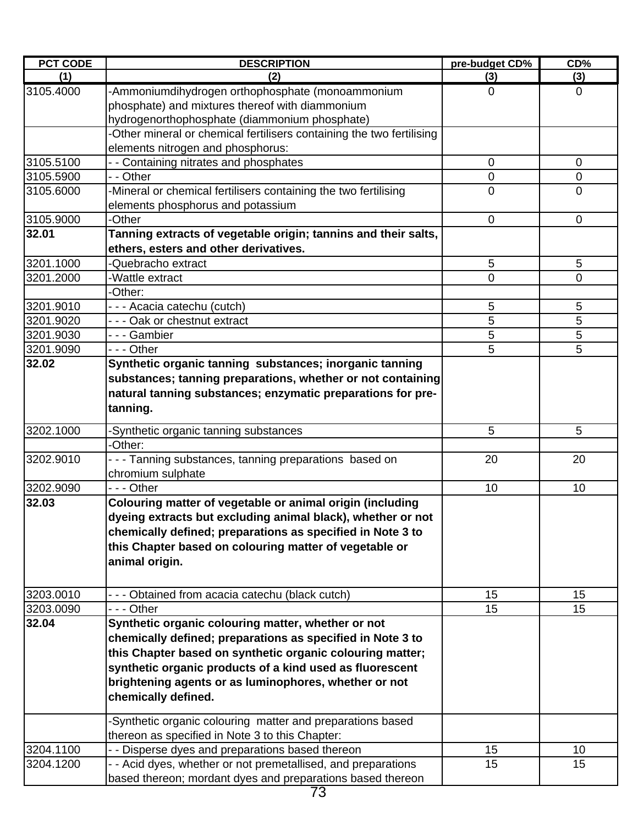| <b>PCT CODE</b> | <b>DESCRIPTION</b>                                                    | pre-budget CD% | CD%            |
|-----------------|-----------------------------------------------------------------------|----------------|----------------|
| (1)             | (2)                                                                   | (3)            | (3)            |
| 3105.4000       | -Ammoniumdihydrogen orthophosphate (monoammonium                      | $\mathbf 0$    | $\overline{0}$ |
|                 | phosphate) and mixtures thereof with diammonium                       |                |                |
|                 | hydrogenorthophosphate (diammonium phosphate)                         |                |                |
|                 | -Other mineral or chemical fertilisers containing the two fertilising |                |                |
|                 | elements nitrogen and phosphorus:                                     |                |                |
| 3105.5100       | - - Containing nitrates and phosphates                                | 0              | $\mathbf 0$    |
| 3105.5900       | - - Other                                                             | 0              | $\mathbf 0$    |
| 3105.6000       | -Mineral or chemical fertilisers containing the two fertilising       | $\mathbf 0$    | $\overline{0}$ |
|                 | elements phosphorus and potassium                                     |                |                |
| 3105.9000       | -Other                                                                | $\mathbf 0$    | $\mathbf 0$    |
| 32.01           | Tanning extracts of vegetable origin; tannins and their salts,        |                |                |
|                 | ethers, esters and other derivatives.                                 |                |                |
| 3201.1000       | -Quebracho extract                                                    | 5              | 5              |
| 3201.2000       | -Wattle extract                                                       | 0              | $\overline{0}$ |
|                 | -Other:                                                               |                |                |
| 3201.9010       | - - - Acacia catechu (cutch)                                          | 5              | 5              |
| 3201.9020       | --- Oak or chestnut extract                                           | 5              | 5              |
| 3201.9030       | --- Gambier                                                           | 5              | 5              |
| 3201.9090       | - - - Other                                                           | 5              | 5              |
| 32.02           | Synthetic organic tanning substances; inorganic tanning               |                |                |
|                 | substances; tanning preparations, whether or not containing           |                |                |
|                 | natural tanning substances; enzymatic preparations for pre-           |                |                |
|                 | tanning.                                                              |                |                |
| 3202.1000       | -Synthetic organic tanning substances                                 | 5              | 5              |
|                 | -Other:                                                               |                |                |
| 3202.9010       | --- Tanning substances, tanning preparations based on                 | 20             | 20             |
|                 | chromium sulphate                                                     |                |                |
| 3202.9090       | --- Other                                                             | 10             | 10             |
| 32.03           | Colouring matter of vegetable or animal origin (including             |                |                |
|                 | dyeing extracts but excluding animal black), whether or not           |                |                |
|                 | chemically defined; preparations as specified in Note 3 to            |                |                |
|                 | this Chapter based on colouring matter of vegetable or                |                |                |
|                 | animal origin.                                                        |                |                |
|                 |                                                                       |                |                |
| 3203.0010       | - - - Obtained from acacia catechu (black cutch)                      | 15             | 15             |
| 3203.0090       | - - - Other                                                           | 15             | 15             |
| 32.04           | Synthetic organic colouring matter, whether or not                    |                |                |
|                 | chemically defined; preparations as specified in Note 3 to            |                |                |
|                 | this Chapter based on synthetic organic colouring matter;             |                |                |
|                 | synthetic organic products of a kind used as fluorescent              |                |                |
|                 | brightening agents or as luminophores, whether or not                 |                |                |
|                 | chemically defined.                                                   |                |                |
|                 |                                                                       |                |                |
|                 | -Synthetic organic colouring matter and preparations based            |                |                |
|                 | thereon as specified in Note 3 to this Chapter:                       |                |                |
| 3204.1100       | - - Disperse dyes and preparations based thereon                      | 15             | 10             |
| 3204.1200       | - - Acid dyes, whether or not premetallised, and preparations         | 15             | 15             |
|                 | based thereon; mordant dyes and preparations based thereon            |                |                |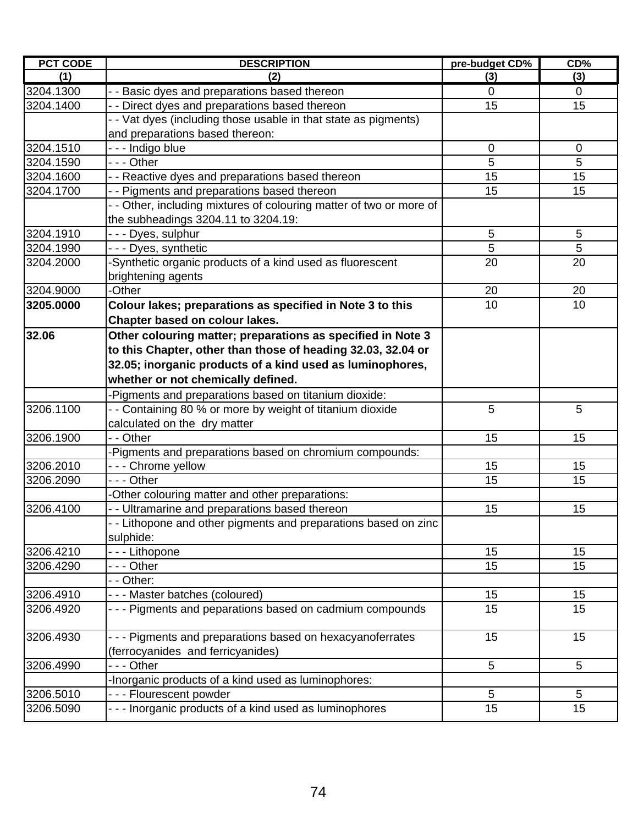| <b>PCT CODE</b> | <b>DESCRIPTION</b>                                                  | pre-budget CD% | CD%         |
|-----------------|---------------------------------------------------------------------|----------------|-------------|
| (1)             | (2)                                                                 | (3)            | (3)         |
| 3204.1300       | - - Basic dyes and preparations based thereon                       | 0              | $\mathbf 0$ |
| 3204.1400       | - - Direct dyes and preparations based thereon                      | 15             | 15          |
|                 | - - Vat dyes (including those usable in that state as pigments)     |                |             |
|                 | and preparations based thereon:                                     |                |             |
| 3204.1510       | - - - Indigo blue                                                   | 0              | $\mathbf 0$ |
| 3204.1590       | - - - Other                                                         | 5              | 5           |
| 3204.1600       | - - Reactive dyes and preparations based thereon                    | 15             | 15          |
| 3204.1700       | - - Pigments and preparations based thereon                         | 15             | 15          |
|                 | - - Other, including mixtures of colouring matter of two or more of |                |             |
|                 | the subheadings 3204.11 to 3204.19:                                 |                |             |
| 3204.1910       | - - - Dyes, sulphur                                                 | 5              | 5           |
| 3204.1990       | - - - Dyes, synthetic                                               | 5              | 5           |
| 3204.2000       | -Synthetic organic products of a kind used as fluorescent           | 20             | 20          |
|                 | brightening agents                                                  |                |             |
| 3204.9000       | -Other                                                              | 20             | 20          |
| 3205.0000       | Colour lakes; preparations as specified in Note 3 to this           | 10             | 10          |
|                 | Chapter based on colour lakes.                                      |                |             |
| 32.06           | Other colouring matter; preparations as specified in Note 3         |                |             |
|                 | to this Chapter, other than those of heading 32.03, 32.04 or        |                |             |
|                 | 32.05; inorganic products of a kind used as luminophores,           |                |             |
|                 | whether or not chemically defined.                                  |                |             |
|                 | Pigments and preparations based on titanium dioxide:                |                |             |
| 3206.1100       | - - Containing 80 % or more by weight of titanium dioxide           | 5              | 5           |
|                 | calculated on the dry matter                                        |                |             |
| 3206.1900       | - - Other                                                           | 15             | 15          |
|                 | Pigments and preparations based on chromium compounds:              |                |             |
| 3206.2010       | --- Chrome yellow                                                   | 15             | 15          |
| 3206.2090       | - - - Other                                                         | 15             | 15          |
|                 | -Other colouring matter and other preparations:                     |                |             |
| 3206.4100       | - - Ultramarine and preparations based thereon                      | 15             | 15          |
|                 | - - Lithopone and other pigments and preparations based on zinc     |                |             |
|                 | sulphide:                                                           |                |             |
| 3206.4210       | - - - Lithopone                                                     | 15             | 15          |
| 3206.4290       | - - - Other                                                         | 15             | 15          |
|                 | - - Other:                                                          |                |             |
| 3206.4910       | --- Master batches (coloured)                                       | 15             | 15          |
| 3206.4920       | - - - Pigments and peparations based on cadmium compounds           | 15             | 15          |
|                 |                                                                     |                |             |
| 3206.4930       | - - - Pigments and preparations based on hexacyanoferrates          | 15             | 15          |
|                 | (ferrocyanides and ferricyanides)                                   |                |             |
| 3206.4990       | - - - Other                                                         | 5              | 5           |
|                 | -Inorganic products of a kind used as luminophores:                 |                |             |
| 3206.5010       | --- Flourescent powder                                              | 5              | 5           |
| 3206.5090       | - - - Inorganic products of a kind used as luminophores             | 15             | 15          |
|                 |                                                                     |                |             |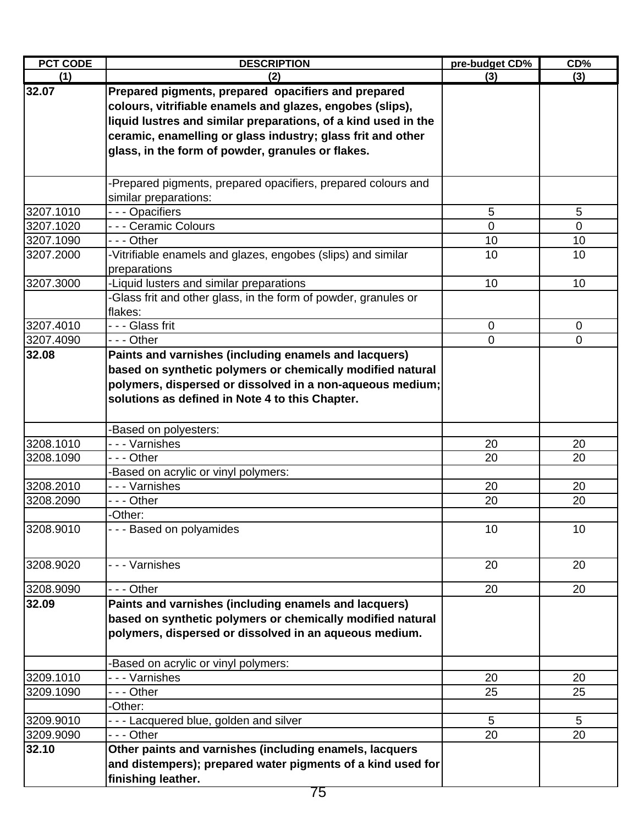| <b>PCT CODE</b> | <b>DESCRIPTION</b>                                              | pre-budget CD% | CD%             |
|-----------------|-----------------------------------------------------------------|----------------|-----------------|
| (1)             | (2)                                                             | (3)            | (3)             |
| 32.07           | Prepared pigments, prepared opacifiers and prepared             |                |                 |
|                 | colours, vitrifiable enamels and glazes, engobes (slips),       |                |                 |
|                 | liquid lustres and similar preparations, of a kind used in the  |                |                 |
|                 | ceramic, enamelling or glass industry; glass frit and other     |                |                 |
|                 | glass, in the form of powder, granules or flakes.               |                |                 |
|                 |                                                                 |                |                 |
|                 | -Prepared pigments, prepared opacifiers, prepared colours and   |                |                 |
|                 | similar preparations:                                           |                |                 |
| 3207.1010       | --- Opacifiers                                                  | 5              | $5\phantom{.0}$ |
| 3207.1020       | - - - Ceramic Colours                                           | $\overline{0}$ | $\mathbf 0$     |
| 3207.1090       | --- Other                                                       | 10             | 10              |
| 3207.2000       | -Vitrifiable enamels and glazes, engobes (slips) and similar    | 10             | 10              |
|                 | preparations                                                    |                |                 |
| 3207.3000       | -Liquid lusters and similar preparations                        | 10             | 10              |
|                 | -Glass frit and other glass, in the form of powder, granules or |                |                 |
|                 | flakes:                                                         |                |                 |
| 3207.4010       | - - - Glass frit                                                | $\mathbf 0$    | $\mathbf 0$     |
| 3207.4090       | --- Other                                                       | $\overline{0}$ | $\mathbf{0}$    |
| 32.08           | Paints and varnishes (including enamels and lacquers)           |                |                 |
|                 | based on synthetic polymers or chemically modified natural      |                |                 |
|                 | polymers, dispersed or dissolved in a non-aqueous medium;       |                |                 |
|                 | solutions as defined in Note 4 to this Chapter.                 |                |                 |
|                 |                                                                 |                |                 |
|                 | Based on polyesters:                                            |                |                 |
| 3208.1010       | - - - Varnishes                                                 | 20             | 20              |
| 3208.1090       | - - - Other                                                     | 20             | 20              |
|                 | -Based on acrylic or vinyl polymers:                            |                |                 |
| 3208.2010       | - - - Varnishes                                                 | 20             | 20              |
| 3208.2090       | $\overline{-}$ - Other                                          | 20             | 20              |
|                 | -Other:                                                         |                |                 |
| 3208.9010       | --- Based on polyamides                                         | 10             | 10              |
|                 |                                                                 |                |                 |
| 3208.9020       | - - - Varnishes                                                 | 20             | 20              |
|                 |                                                                 |                |                 |
| 3208.9090       | --- Other                                                       | 20             | 20              |
| 32.09           | Paints and varnishes (including enamels and lacquers)           |                |                 |
|                 | based on synthetic polymers or chemically modified natural      |                |                 |
|                 | polymers, dispersed or dissolved in an aqueous medium.          |                |                 |
|                 |                                                                 |                |                 |
|                 | -Based on acrylic or vinyl polymers:                            |                |                 |
| 3209.1010       | - - - Varnishes                                                 | 20             | 20              |
| 3209.1090       | - - - Other                                                     | 25             | 25              |
|                 | -Other:                                                         |                |                 |
| 3209.9010       | - - - Lacquered blue, golden and silver                         | 5              | 5               |
| 3209.9090       | --- Other                                                       | 20             | 20              |
| 32.10           | Other paints and varnishes (including enamels, lacquers         |                |                 |
|                 | and distempers); prepared water pigments of a kind used for     |                |                 |
|                 | finishing leather.                                              |                |                 |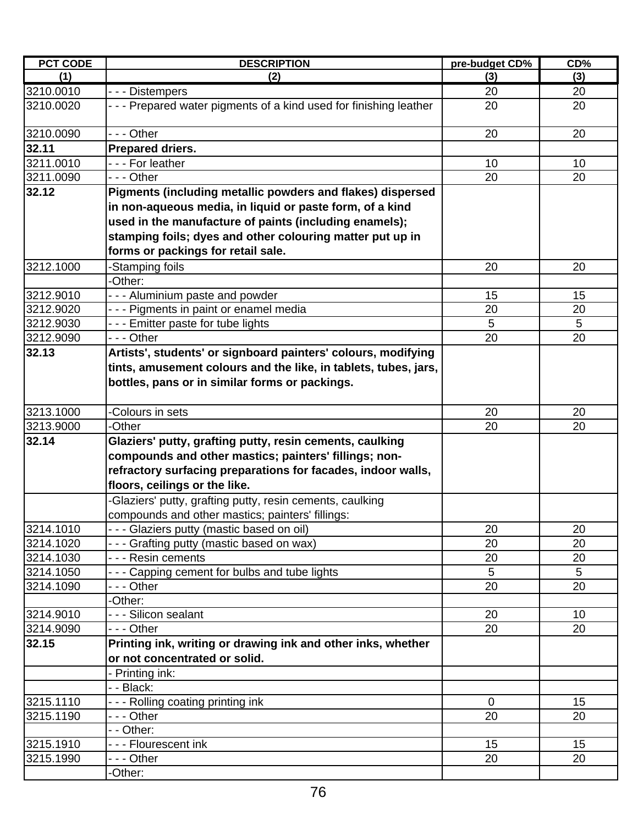| <b>PCT CODE</b> | <b>DESCRIPTION</b>                                                 | pre-budget CD% | CD% |
|-----------------|--------------------------------------------------------------------|----------------|-----|
| (1)             | (2)                                                                | (3)            | (3) |
| 3210.0010       | --- Distempers                                                     | 20             | 20  |
| 3210.0020       | - - - Prepared water pigments of a kind used for finishing leather | 20             | 20  |
| 3210.0090       | --- Other                                                          | 20             | 20  |
| 32.11           | <b>Prepared driers.</b>                                            |                |     |
| 3211.0010       | --- For leather                                                    | 10             | 10  |
| 3211.0090       | - - - Other                                                        | 20             | 20  |
| 32.12           | Pigments (including metallic powders and flakes) dispersed         |                |     |
|                 | in non-aqueous media, in liquid or paste form, of a kind           |                |     |
|                 | used in the manufacture of paints (including enamels);             |                |     |
|                 | stamping foils; dyes and other colouring matter put up in          |                |     |
|                 | forms or packings for retail sale.                                 |                |     |
| 3212.1000       | -Stamping foils                                                    | 20             | 20  |
|                 | -Other:                                                            |                |     |
| 3212.9010       | --- Aluminium paste and powder                                     | 15             | 15  |
| 3212.9020       | --- Pigments in paint or enamel media                              | 20             | 20  |
| 3212.9030       | - - - Emitter paste for tube lights                                | 5              | 5   |
| 3212.9090       | - - - Other                                                        | 20             | 20  |
| 32.13           | Artists', students' or signboard painters' colours, modifying      |                |     |
|                 | tints, amusement colours and the like, in tablets, tubes, jars,    |                |     |
|                 |                                                                    |                |     |
|                 | bottles, pans or in similar forms or packings.                     |                |     |
| 3213.1000       | Colours in sets                                                    | 20             | 20  |
| 3213.9000       | -Other                                                             | 20             | 20  |
| 32.14           | Glaziers' putty, grafting putty, resin cements, caulking           |                |     |
|                 | compounds and other mastics; painters' fillings; non-              |                |     |
|                 | refractory surfacing preparations for facades, indoor walls,       |                |     |
|                 | floors, ceilings or the like.                                      |                |     |
|                 | -Glaziers' putty, grafting putty, resin cements, caulking          |                |     |
|                 | compounds and other mastics; painters' fillings:                   |                |     |
| 3214.1010       | - - - Glaziers putty (mastic based on oil)                         | 20             | 20  |
| 3214.1020       | - - - Grafting putty (mastic based on wax)                         | 20             | 20  |
| 3214.1030       | - - - Resin cements                                                | 20             | 20  |
| 3214.1050       | - - - Capping cement for bulbs and tube lights                     | 5              | 5   |
| 3214.1090       | - - - Other                                                        | 20             | 20  |
|                 | -Other:                                                            |                |     |
| 3214.9010       | - - - Silicon sealant                                              | 20             | 10  |
| 3214.9090       | --- Other                                                          | 20             | 20  |
| 32.15           | Printing ink, writing or drawing ink and other inks, whether       |                |     |
|                 | or not concentrated or solid.                                      |                |     |
|                 | Printing ink:                                                      |                |     |
|                 | - - Black:                                                         |                |     |
| 3215.1110       | --- Rolling coating printing ink                                   | $\mathbf 0$    | 15  |
| 3215.1190       | - - - Other                                                        | 20             | 20  |
|                 | - - Other:                                                         |                |     |
| 3215.1910       | --- Flourescent ink                                                | 15             | 15  |
| 3215.1990       | - - - Other                                                        | 20             | 20  |
|                 | Other:                                                             |                |     |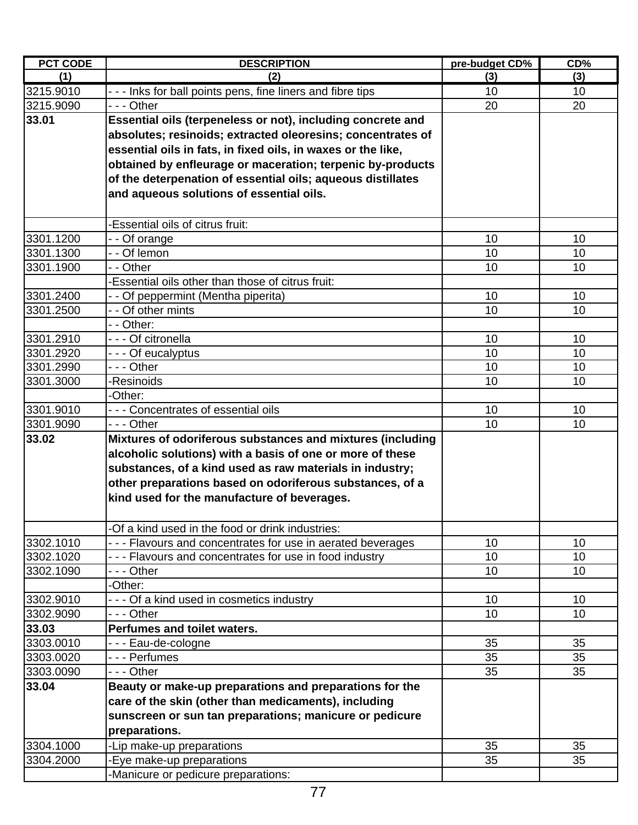| <b>PCT CODE</b> | <b>DESCRIPTION</b>                                           | pre-budget CD%  | CD% |
|-----------------|--------------------------------------------------------------|-----------------|-----|
| (1)             | (2)                                                          | (3)             | (3) |
| 3215.9010       | - - - Inks for ball points pens, fine liners and fibre tips  | 10              | 10  |
| 3215.9090       | --- Other                                                    | 20              | 20  |
| 33.01           | Essential oils (terpeneless or not), including concrete and  |                 |     |
|                 | absolutes; resinoids; extracted oleoresins; concentrates of  |                 |     |
|                 | essential oils in fats, in fixed oils, in waxes or the like, |                 |     |
|                 | obtained by enfleurage or maceration; terpenic by-products   |                 |     |
|                 | of the deterpenation of essential oils; aqueous distillates  |                 |     |
|                 | and aqueous solutions of essential oils.                     |                 |     |
|                 |                                                              |                 |     |
|                 | -Essential oils of citrus fruit:                             |                 |     |
| 3301.1200       | - - Of orange                                                | 10              | 10  |
| 3301.1300       | $-$ - Of lemon                                               | 10              | 10  |
| 3301.1900       | - - Other                                                    | 10              | 10  |
|                 | -Essential oils other than those of citrus fruit:            |                 |     |
| 3301.2400       | - - Of peppermint (Mentha piperita)                          | 10              | 10  |
| 3301.2500       | - - Of other mints                                           | 10              | 10  |
|                 | - - Other:                                                   |                 |     |
| 3301.2910       | - - - Of citronella                                          | 10              | 10  |
| 3301.2920       | - - - Of eucalyptus                                          | 10              | 10  |
| 3301.2990       | --- Other                                                    | 10              | 10  |
| 3301.3000       | -Resinoids                                                   | 10              | 10  |
|                 | -Other:                                                      |                 |     |
| 3301.9010       | - - - Concentrates of essential oils                         | 10              | 10  |
| 3301.9090       | --- Other                                                    | 10              | 10  |
| 33.02           | Mixtures of odoriferous substances and mixtures (including   |                 |     |
|                 | alcoholic solutions) with a basis of one or more of these    |                 |     |
|                 | substances, of a kind used as raw materials in industry;     |                 |     |
|                 | other preparations based on odoriferous substances, of a     |                 |     |
|                 | kind used for the manufacture of beverages.                  |                 |     |
|                 |                                                              |                 |     |
|                 | -Of a kind used in the food or drink industries:             |                 |     |
| 3302.1010       | - - - Flavours and concentrates for use in aerated beverages | 10              | 10  |
| 3302.1020       | - - - Flavours and concentrates for use in food industry     | 10              | 10  |
| 3302.1090       | - - - Other                                                  | 10              | 10  |
|                 | -Other:                                                      |                 |     |
| 3302.9010       | - - - Of a kind used in cosmetics industry                   | 10 <sup>1</sup> | 10  |
| 3302.9090       | --- Other                                                    | 10              | 10  |
| 33.03           | Perfumes and toilet waters.                                  |                 |     |
| 3303.0010       | --- Eau-de-cologne                                           | 35              | 35  |
| 3303.0020       | - - - Perfumes                                               | 35              | 35  |
| 3303.0090       | --- Other                                                    | 35              | 35  |
| 33.04           | Beauty or make-up preparations and preparations for the      |                 |     |
|                 | care of the skin (other than medicaments), including         |                 |     |
|                 | sunscreen or sun tan preparations; manicure or pedicure      |                 |     |
|                 | preparations.                                                |                 |     |
| 3304.1000       | -Lip make-up preparations                                    | 35              | 35  |
| 3304.2000       | -Eye make-up preparations                                    | 35              | 35  |
|                 | -Manicure or pedicure preparations:                          |                 |     |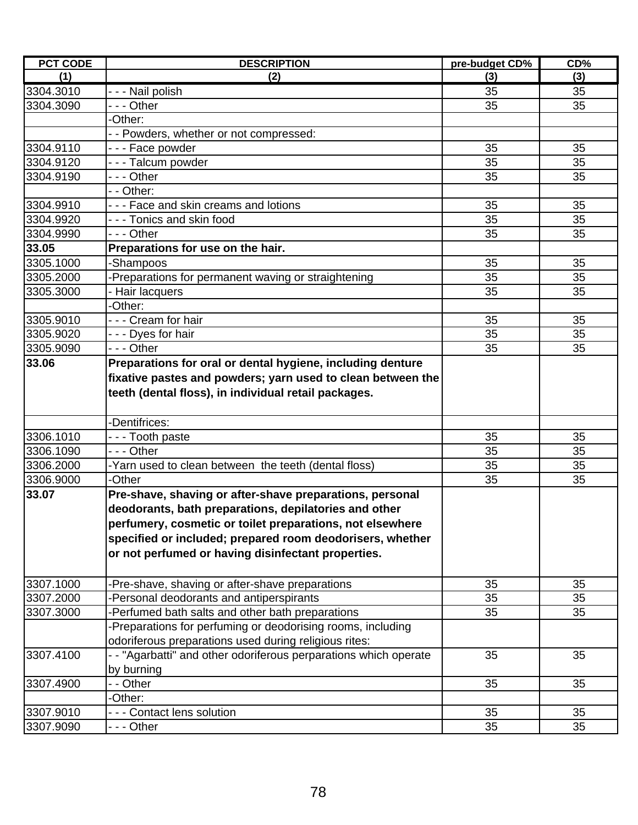| <b>PCT CODE</b> | <b>DESCRIPTION</b>                                                                                                  | pre-budget CD% | CD% |
|-----------------|---------------------------------------------------------------------------------------------------------------------|----------------|-----|
| (1)             | (2)                                                                                                                 | (3)            | (3) |
| 3304.3010       | - - - Nail polish                                                                                                   | 35             | 35  |
| 3304.3090       | $\overline{\cdot}$ - $\overline{\cdot}$ Other                                                                       | 35             | 35  |
|                 | -Other:                                                                                                             |                |     |
|                 | -- Powders, whether or not compressed:                                                                              |                |     |
| 3304.9110       | --- Face powder                                                                                                     | 35             | 35  |
| 3304.9120       | - - - Talcum powder                                                                                                 | 35             | 35  |
| 3304.9190       | - - - Other                                                                                                         | 35             | 35  |
|                 | - - Other:                                                                                                          |                |     |
| 3304.9910       | --- Face and skin creams and lotions                                                                                | 35             | 35  |
| 3304.9920       | - - - Tonics and skin food                                                                                          | 35             | 35  |
| 3304.9990       | --- Other                                                                                                           | 35             | 35  |
| 33.05           | Preparations for use on the hair.                                                                                   |                |     |
| 3305.1000       | -Shampoos                                                                                                           | 35             | 35  |
| 3305.2000       | Preparations for permanent waving or straightening                                                                  | 35             | 35  |
| 3305.3000       | Hair lacquers                                                                                                       | 35             | 35  |
|                 | -Other:                                                                                                             |                |     |
| 3305.9010       | --- Cream for hair                                                                                                  | 35             | 35  |
| 3305.9020       | --- Dyes for hair                                                                                                   | 35             | 35  |
| 3305.9090       | - - - Other                                                                                                         | 35             | 35  |
| 33.06           | Preparations for oral or dental hygiene, including denture                                                          |                |     |
|                 | fixative pastes and powders; yarn used to clean between the<br>teeth (dental floss), in individual retail packages. |                |     |
|                 | -Dentifrices:                                                                                                       |                |     |
| 3306.1010       | - - - Tooth paste                                                                                                   | 35             | 35  |
| 3306.1090       | --- Other                                                                                                           | 35             | 35  |
| 3306.2000       | -Yarn used to clean between the teeth (dental floss)                                                                | 35             | 35  |
| 3306.9000       | -Other                                                                                                              | 35             | 35  |
| 33.07           | Pre-shave, shaving or after-shave preparations, personal                                                            |                |     |
|                 | deodorants, bath preparations, depilatories and other                                                               |                |     |
|                 | perfumery, cosmetic or toilet preparations, not elsewhere                                                           |                |     |
|                 | specified or included; prepared room deodorisers, whether                                                           |                |     |
|                 | or not perfumed or having disinfectant properties.                                                                  |                |     |
| 3307.1000       | -Pre-shave, shaving or after-shave preparations                                                                     | 35             | 35  |
| 3307.2000       | -Personal deodorants and antiperspirants                                                                            | 35             | 35  |
| 3307.3000       | Perfumed bath salts and other bath preparations                                                                     | 35             | 35  |
|                 | Preparations for perfuming or deodorising rooms, including                                                          |                |     |
|                 | odoriferous preparations used during religious rites:                                                               |                |     |
| 3307.4100       | -- "Agarbatti" and other odoriferous perparations which operate                                                     | 35             | 35  |
|                 | by burning                                                                                                          |                |     |
| 3307.4900       | - - Other                                                                                                           | 35             | 35  |
|                 | -Other:                                                                                                             |                |     |
| 3307.9010       | - - Contact lens solution                                                                                           | 35             | 35  |
| 3307.9090       | - - - Other                                                                                                         | 35             | 35  |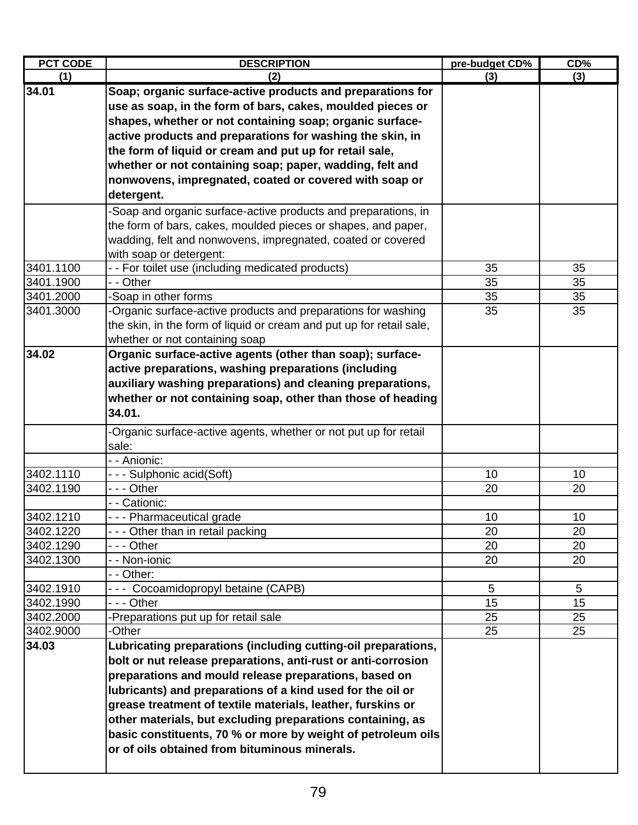| <b>PCT CODE</b> | <b>DESCRIPTION</b>                                                   | pre-budget CD% | CD% |
|-----------------|----------------------------------------------------------------------|----------------|-----|
| (1)             | (2)                                                                  | (3)            | (3) |
| 34.01           | Soap; organic surface-active products and preparations for           |                |     |
|                 | use as soap, in the form of bars, cakes, moulded pieces or           |                |     |
|                 | shapes, whether or not containing soap; organic surface-             |                |     |
|                 | active products and preparations for washing the skin, in            |                |     |
|                 | the form of liquid or cream and put up for retail sale,              |                |     |
|                 | whether or not containing soap; paper, wadding, felt and             |                |     |
|                 | nonwovens, impregnated, coated or covered with soap or               |                |     |
|                 | detergent.                                                           |                |     |
|                 | -Soap and organic surface-active products and preparations, in       |                |     |
|                 | the form of bars, cakes, moulded pieces or shapes, and paper,        |                |     |
|                 | wadding, felt and nonwovens, impregnated, coated or covered          |                |     |
|                 | with soap or detergent:                                              |                |     |
| 3401.1100       | - - For toilet use (including medicated products)                    | 35             | 35  |
| 3401.1900       | - - Other                                                            | 35             | 35  |
| 3401.2000       | -Soap in other forms                                                 | 35             | 35  |
| 3401.3000       | -Organic surface-active products and preparations for washing        | 35             | 35  |
|                 | the skin, in the form of liquid or cream and put up for retail sale, |                |     |
|                 | whether or not containing soap                                       |                |     |
| 34.02           | Organic surface-active agents (other than soap); surface-            |                |     |
|                 | active preparations, washing preparations (including                 |                |     |
|                 | auxiliary washing preparations) and cleaning preparations,           |                |     |
|                 | whether or not containing soap, other than those of heading          |                |     |
|                 | 34.01.                                                               |                |     |
|                 | -Organic surface-active agents, whether or not put up for retail     |                |     |
|                 | sale:                                                                |                |     |
|                 | - - Anionic:                                                         |                |     |
| 3402.1110       | - - - Sulphonic acid(Soft)                                           | 10             | 10  |
| 3402.1190       | --- Other                                                            | 20             | 20  |
|                 | - - Cationic:                                                        |                |     |
| 3402.1210       | - - - Pharmaceutical grade                                           | 10             | 10  |
| 3402.1220       | --- Other than in retail packing                                     | 20             | 20  |
| 3402.1290       | - - - Other                                                          | 20             | 20  |
| 3402.1300       | - - Non-ionic                                                        | 20             | 20  |
|                 | - - Other:                                                           |                |     |
| 3402.1910       | --- Cocoamidopropyl betaine (CAPB)                                   | $\overline{5}$ | 5   |
| 3402.1990       | - - - Other                                                          | 15             | 15  |
| 3402.2000       | -Preparations put up for retail sale                                 | 25             | 25  |
| 3402.9000       | -Other                                                               | 25             | 25  |
| 34.03           | Lubricating preparations (including cutting-oil preparations,        |                |     |
|                 | bolt or nut release preparations, anti-rust or anti-corrosion        |                |     |
|                 | preparations and mould release preparations, based on                |                |     |
|                 | lubricants) and preparations of a kind used for the oil or           |                |     |
|                 | grease treatment of textile materials, leather, furskins or          |                |     |
|                 | other materials, but excluding preparations containing, as           |                |     |
|                 | basic constituents, 70 % or more by weight of petroleum oils         |                |     |
|                 | or of oils obtained from bituminous minerals.                        |                |     |
|                 |                                                                      |                |     |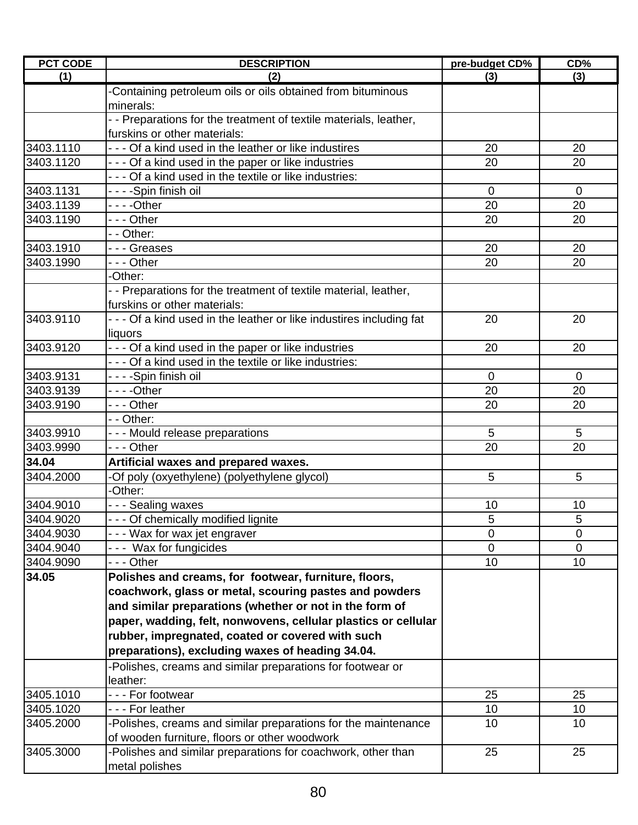| <b>PCT CODE</b> | <b>DESCRIPTION</b>                                                   | pre-budget CD% | CD%            |
|-----------------|----------------------------------------------------------------------|----------------|----------------|
| (1)             | (2)                                                                  | (3)            | (3)            |
|                 | -Containing petroleum oils or oils obtained from bituminous          |                |                |
|                 | minerals:                                                            |                |                |
|                 | - - Preparations for the treatment of textile materials, leather,    |                |                |
|                 | furskins or other materials:                                         |                |                |
| 3403.1110       | - - - Of a kind used in the leather or like industires               | 20             | 20             |
| 3403.1120       | - - - Of a kind used in the paper or like industries                 | 20             | 20             |
|                 | - - - Of a kind used in the textile or like industries:              |                |                |
| 3403.1131       | - - - -Spin finish oil                                               | $\overline{0}$ | $\overline{0}$ |
| 3403.1139       |                                                                      | 20             | 20             |
| 3403.1190       | - - - Other                                                          | 20             | 20             |
|                 | - - Other:                                                           |                |                |
| 3403.1910       | --- Greases                                                          | 20             | 20             |
| 3403.1990       | - - - Other                                                          | 20             | 20             |
|                 | -Other:                                                              |                |                |
|                 | - - Preparations for the treatment of textile material, leather,     |                |                |
|                 | furskins or other materials:                                         |                |                |
| 3403.9110       | - - - Of a kind used in the leather or like industires including fat | 20             | 20             |
|                 | liquors                                                              |                |                |
| 3403.9120       | - - - Of a kind used in the paper or like industries                 | 20             | 20             |
|                 | - - - Of a kind used in the textile or like industries:              |                |                |
| 3403.9131       | - - - -Spin finish oil                                               | 0              | 0              |
| 3403.9139       | ----Other                                                            | 20             | 20             |
| 3403.9190       | --- Other                                                            | 20             | 20             |
|                 | - - Other:                                                           |                |                |
| 3403.9910       | - - - Mould release preparations                                     | 5              | 5              |
| 3403.9990       | --- Other                                                            | 20             | 20             |
| 34.04           | Artificial waxes and prepared waxes.                                 |                |                |
| 3404.2000       | -Of poly (oxyethylene) (polyethylene glycol)                         | 5              | 5              |
|                 | -Other:                                                              |                |                |
| 3404.9010       | - - - Sealing waxes                                                  | 10             | 10             |
| 3404.9020       | - - - Of chemically modified lignite                                 | 5              | 5              |
| 3404.9030       | --- Wax for wax jet engraver                                         | 0              | $\overline{0}$ |
| 3404.9040       | --- Wax for fungicides                                               | 0              | 0              |
| 3404.9090       |                                                                      | 10             | 10             |
| 34.05           | Polishes and creams, for footwear, furniture, floors,                |                |                |
|                 | coachwork, glass or metal, scouring pastes and powders               |                |                |
|                 | and similar preparations (whether or not in the form of              |                |                |
|                 | paper, wadding, felt, nonwovens, cellular plastics or cellular       |                |                |
|                 | rubber, impregnated, coated or covered with such                     |                |                |
|                 | preparations), excluding waxes of heading 34.04.                     |                |                |
|                 | -Polishes, creams and similar preparations for footwear or           |                |                |
|                 | leather:                                                             |                |                |
| 3405.1010       | --- For footwear                                                     | 25             | 25             |
| 3405.1020       | --- For leather                                                      | 10             | 10             |
| 3405.2000       | -Polishes, creams and similar preparations for the maintenance       | 10             | 10             |
|                 | of wooden furniture, floors or other woodwork                        |                |                |
| 3405.3000       | -Polishes and similar preparations for coachwork, other than         | 25             | 25             |
|                 | metal polishes                                                       |                |                |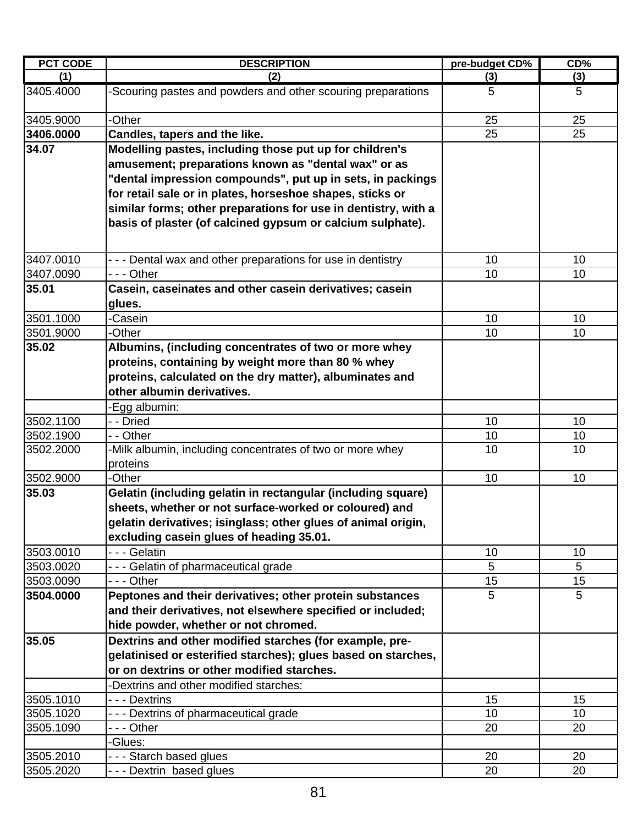| (1)<br>(2)<br>(3)<br>(3)<br>3405.4000<br>-Scouring pastes and powders and other scouring preparations<br>5<br>5<br>3405.9000<br>-Other<br>25<br>25<br>25<br>25<br>3406.0000<br>Candles, tapers and the like.<br>34.07<br>Modelling pastes, including those put up for children's<br>amusement; preparations known as "dental wax" or as<br>"dental impression compounds", put up in sets, in packings<br>for retail sale or in plates, horseshoe shapes, sticks or<br>similar forms; other preparations for use in dentistry, with a<br>basis of plaster (of calcined gypsum or calcium sulphate).<br>3407.0010<br>10<br>- - - Dental wax and other preparations for use in dentistry<br>10<br>10<br>10<br>3407.0090<br>- - - Other<br>35.01<br>Casein, caseinates and other casein derivatives; casein<br>glues.<br>3501.1000<br>-Casein<br>10<br>10<br>3501.9000<br>-Other<br>10<br>10<br>35.02<br>Albumins, (including concentrates of two or more whey<br>proteins, containing by weight more than 80 % whey<br>proteins, calculated on the dry matter), albuminates and<br>other albumin derivatives.<br>-Egg albumin:<br>3502.1100<br>- - Dried<br>10<br>10<br>10<br>10<br>3502.1900<br>- - Other<br>10<br>10<br>3502.2000<br>-Milk albumin, including concentrates of two or more whey<br>proteins<br>3502.9000<br>-Other<br>10<br>10<br>35.03<br>Gelatin (including gelatin in rectangular (including square)<br>sheets, whether or not surface-worked or coloured) and<br>gelatin derivatives; isinglass; other glues of animal origin,<br>excluding casein glues of heading 35.01.<br>- - - Gelatin<br>3503.0010<br>10<br>10<br>5<br>5<br>3503.0020<br>--- Gelatin of pharmaceutical grade<br>--- Other<br>15<br>15<br>3503.0090<br>5<br>5<br>3504.0000<br>Peptones and their derivatives; other protein substances<br>and their derivatives, not elsewhere specified or included;<br>hide powder, whether or not chromed.<br>35.05<br>Dextrins and other modified starches (for example, pre-<br>gelatinised or esterified starches); glues based on starches,<br>or on dextrins or other modified starches.<br>-Dextrins and other modified starches:<br>3505.1010<br>15<br>- - - Dextrins<br>15<br>3505.1020<br>--- Dextrins of pharmaceutical grade<br>10 <sup>1</sup><br>10<br>3505.1090<br>- - - Other<br>20<br>20<br>-Glues:<br>3505.2010<br>--- Starch based glues<br>20<br>20 | <b>PCT CODE</b> | <b>DESCRIPTION</b>      | pre-budget CD% | CD% |
|--------------------------------------------------------------------------------------------------------------------------------------------------------------------------------------------------------------------------------------------------------------------------------------------------------------------------------------------------------------------------------------------------------------------------------------------------------------------------------------------------------------------------------------------------------------------------------------------------------------------------------------------------------------------------------------------------------------------------------------------------------------------------------------------------------------------------------------------------------------------------------------------------------------------------------------------------------------------------------------------------------------------------------------------------------------------------------------------------------------------------------------------------------------------------------------------------------------------------------------------------------------------------------------------------------------------------------------------------------------------------------------------------------------------------------------------------------------------------------------------------------------------------------------------------------------------------------------------------------------------------------------------------------------------------------------------------------------------------------------------------------------------------------------------------------------------------------------------------------------------------------------------------------------------------------------------------------------------------------------------------------------------------------------------------------------------------------------------------------------------------------------------------------------------------------------------------------------------------------------------------------------------------------------------------------------------------------------------------------------------------------------------------|-----------------|-------------------------|----------------|-----|
|                                                                                                                                                                                                                                                                                                                                                                                                                                                                                                                                                                                                                                                                                                                                                                                                                                                                                                                                                                                                                                                                                                                                                                                                                                                                                                                                                                                                                                                                                                                                                                                                                                                                                                                                                                                                                                                                                                                                                                                                                                                                                                                                                                                                                                                                                                                                                                                                  |                 |                         |                |     |
|                                                                                                                                                                                                                                                                                                                                                                                                                                                                                                                                                                                                                                                                                                                                                                                                                                                                                                                                                                                                                                                                                                                                                                                                                                                                                                                                                                                                                                                                                                                                                                                                                                                                                                                                                                                                                                                                                                                                                                                                                                                                                                                                                                                                                                                                                                                                                                                                  |                 |                         |                |     |
|                                                                                                                                                                                                                                                                                                                                                                                                                                                                                                                                                                                                                                                                                                                                                                                                                                                                                                                                                                                                                                                                                                                                                                                                                                                                                                                                                                                                                                                                                                                                                                                                                                                                                                                                                                                                                                                                                                                                                                                                                                                                                                                                                                                                                                                                                                                                                                                                  |                 |                         |                |     |
|                                                                                                                                                                                                                                                                                                                                                                                                                                                                                                                                                                                                                                                                                                                                                                                                                                                                                                                                                                                                                                                                                                                                                                                                                                                                                                                                                                                                                                                                                                                                                                                                                                                                                                                                                                                                                                                                                                                                                                                                                                                                                                                                                                                                                                                                                                                                                                                                  |                 |                         |                |     |
|                                                                                                                                                                                                                                                                                                                                                                                                                                                                                                                                                                                                                                                                                                                                                                                                                                                                                                                                                                                                                                                                                                                                                                                                                                                                                                                                                                                                                                                                                                                                                                                                                                                                                                                                                                                                                                                                                                                                                                                                                                                                                                                                                                                                                                                                                                                                                                                                  |                 |                         |                |     |
|                                                                                                                                                                                                                                                                                                                                                                                                                                                                                                                                                                                                                                                                                                                                                                                                                                                                                                                                                                                                                                                                                                                                                                                                                                                                                                                                                                                                                                                                                                                                                                                                                                                                                                                                                                                                                                                                                                                                                                                                                                                                                                                                                                                                                                                                                                                                                                                                  |                 |                         |                |     |
|                                                                                                                                                                                                                                                                                                                                                                                                                                                                                                                                                                                                                                                                                                                                                                                                                                                                                                                                                                                                                                                                                                                                                                                                                                                                                                                                                                                                                                                                                                                                                                                                                                                                                                                                                                                                                                                                                                                                                                                                                                                                                                                                                                                                                                                                                                                                                                                                  |                 |                         |                |     |
|                                                                                                                                                                                                                                                                                                                                                                                                                                                                                                                                                                                                                                                                                                                                                                                                                                                                                                                                                                                                                                                                                                                                                                                                                                                                                                                                                                                                                                                                                                                                                                                                                                                                                                                                                                                                                                                                                                                                                                                                                                                                                                                                                                                                                                                                                                                                                                                                  |                 |                         |                |     |
|                                                                                                                                                                                                                                                                                                                                                                                                                                                                                                                                                                                                                                                                                                                                                                                                                                                                                                                                                                                                                                                                                                                                                                                                                                                                                                                                                                                                                                                                                                                                                                                                                                                                                                                                                                                                                                                                                                                                                                                                                                                                                                                                                                                                                                                                                                                                                                                                  |                 |                         |                |     |
|                                                                                                                                                                                                                                                                                                                                                                                                                                                                                                                                                                                                                                                                                                                                                                                                                                                                                                                                                                                                                                                                                                                                                                                                                                                                                                                                                                                                                                                                                                                                                                                                                                                                                                                                                                                                                                                                                                                                                                                                                                                                                                                                                                                                                                                                                                                                                                                                  |                 |                         |                |     |
|                                                                                                                                                                                                                                                                                                                                                                                                                                                                                                                                                                                                                                                                                                                                                                                                                                                                                                                                                                                                                                                                                                                                                                                                                                                                                                                                                                                                                                                                                                                                                                                                                                                                                                                                                                                                                                                                                                                                                                                                                                                                                                                                                                                                                                                                                                                                                                                                  |                 |                         |                |     |
|                                                                                                                                                                                                                                                                                                                                                                                                                                                                                                                                                                                                                                                                                                                                                                                                                                                                                                                                                                                                                                                                                                                                                                                                                                                                                                                                                                                                                                                                                                                                                                                                                                                                                                                                                                                                                                                                                                                                                                                                                                                                                                                                                                                                                                                                                                                                                                                                  |                 |                         |                |     |
|                                                                                                                                                                                                                                                                                                                                                                                                                                                                                                                                                                                                                                                                                                                                                                                                                                                                                                                                                                                                                                                                                                                                                                                                                                                                                                                                                                                                                                                                                                                                                                                                                                                                                                                                                                                                                                                                                                                                                                                                                                                                                                                                                                                                                                                                                                                                                                                                  |                 |                         |                |     |
|                                                                                                                                                                                                                                                                                                                                                                                                                                                                                                                                                                                                                                                                                                                                                                                                                                                                                                                                                                                                                                                                                                                                                                                                                                                                                                                                                                                                                                                                                                                                                                                                                                                                                                                                                                                                                                                                                                                                                                                                                                                                                                                                                                                                                                                                                                                                                                                                  |                 |                         |                |     |
|                                                                                                                                                                                                                                                                                                                                                                                                                                                                                                                                                                                                                                                                                                                                                                                                                                                                                                                                                                                                                                                                                                                                                                                                                                                                                                                                                                                                                                                                                                                                                                                                                                                                                                                                                                                                                                                                                                                                                                                                                                                                                                                                                                                                                                                                                                                                                                                                  |                 |                         |                |     |
|                                                                                                                                                                                                                                                                                                                                                                                                                                                                                                                                                                                                                                                                                                                                                                                                                                                                                                                                                                                                                                                                                                                                                                                                                                                                                                                                                                                                                                                                                                                                                                                                                                                                                                                                                                                                                                                                                                                                                                                                                                                                                                                                                                                                                                                                                                                                                                                                  |                 |                         |                |     |
|                                                                                                                                                                                                                                                                                                                                                                                                                                                                                                                                                                                                                                                                                                                                                                                                                                                                                                                                                                                                                                                                                                                                                                                                                                                                                                                                                                                                                                                                                                                                                                                                                                                                                                                                                                                                                                                                                                                                                                                                                                                                                                                                                                                                                                                                                                                                                                                                  |                 |                         |                |     |
|                                                                                                                                                                                                                                                                                                                                                                                                                                                                                                                                                                                                                                                                                                                                                                                                                                                                                                                                                                                                                                                                                                                                                                                                                                                                                                                                                                                                                                                                                                                                                                                                                                                                                                                                                                                                                                                                                                                                                                                                                                                                                                                                                                                                                                                                                                                                                                                                  |                 |                         |                |     |
|                                                                                                                                                                                                                                                                                                                                                                                                                                                                                                                                                                                                                                                                                                                                                                                                                                                                                                                                                                                                                                                                                                                                                                                                                                                                                                                                                                                                                                                                                                                                                                                                                                                                                                                                                                                                                                                                                                                                                                                                                                                                                                                                                                                                                                                                                                                                                                                                  |                 |                         |                |     |
|                                                                                                                                                                                                                                                                                                                                                                                                                                                                                                                                                                                                                                                                                                                                                                                                                                                                                                                                                                                                                                                                                                                                                                                                                                                                                                                                                                                                                                                                                                                                                                                                                                                                                                                                                                                                                                                                                                                                                                                                                                                                                                                                                                                                                                                                                                                                                                                                  |                 |                         |                |     |
|                                                                                                                                                                                                                                                                                                                                                                                                                                                                                                                                                                                                                                                                                                                                                                                                                                                                                                                                                                                                                                                                                                                                                                                                                                                                                                                                                                                                                                                                                                                                                                                                                                                                                                                                                                                                                                                                                                                                                                                                                                                                                                                                                                                                                                                                                                                                                                                                  |                 |                         |                |     |
|                                                                                                                                                                                                                                                                                                                                                                                                                                                                                                                                                                                                                                                                                                                                                                                                                                                                                                                                                                                                                                                                                                                                                                                                                                                                                                                                                                                                                                                                                                                                                                                                                                                                                                                                                                                                                                                                                                                                                                                                                                                                                                                                                                                                                                                                                                                                                                                                  |                 |                         |                |     |
|                                                                                                                                                                                                                                                                                                                                                                                                                                                                                                                                                                                                                                                                                                                                                                                                                                                                                                                                                                                                                                                                                                                                                                                                                                                                                                                                                                                                                                                                                                                                                                                                                                                                                                                                                                                                                                                                                                                                                                                                                                                                                                                                                                                                                                                                                                                                                                                                  |                 |                         |                |     |
|                                                                                                                                                                                                                                                                                                                                                                                                                                                                                                                                                                                                                                                                                                                                                                                                                                                                                                                                                                                                                                                                                                                                                                                                                                                                                                                                                                                                                                                                                                                                                                                                                                                                                                                                                                                                                                                                                                                                                                                                                                                                                                                                                                                                                                                                                                                                                                                                  |                 |                         |                |     |
|                                                                                                                                                                                                                                                                                                                                                                                                                                                                                                                                                                                                                                                                                                                                                                                                                                                                                                                                                                                                                                                                                                                                                                                                                                                                                                                                                                                                                                                                                                                                                                                                                                                                                                                                                                                                                                                                                                                                                                                                                                                                                                                                                                                                                                                                                                                                                                                                  |                 |                         |                |     |
|                                                                                                                                                                                                                                                                                                                                                                                                                                                                                                                                                                                                                                                                                                                                                                                                                                                                                                                                                                                                                                                                                                                                                                                                                                                                                                                                                                                                                                                                                                                                                                                                                                                                                                                                                                                                                                                                                                                                                                                                                                                                                                                                                                                                                                                                                                                                                                                                  |                 |                         |                |     |
|                                                                                                                                                                                                                                                                                                                                                                                                                                                                                                                                                                                                                                                                                                                                                                                                                                                                                                                                                                                                                                                                                                                                                                                                                                                                                                                                                                                                                                                                                                                                                                                                                                                                                                                                                                                                                                                                                                                                                                                                                                                                                                                                                                                                                                                                                                                                                                                                  |                 |                         |                |     |
|                                                                                                                                                                                                                                                                                                                                                                                                                                                                                                                                                                                                                                                                                                                                                                                                                                                                                                                                                                                                                                                                                                                                                                                                                                                                                                                                                                                                                                                                                                                                                                                                                                                                                                                                                                                                                                                                                                                                                                                                                                                                                                                                                                                                                                                                                                                                                                                                  | 3505.2020       | --- Dextrin based glues | 20             | 20  |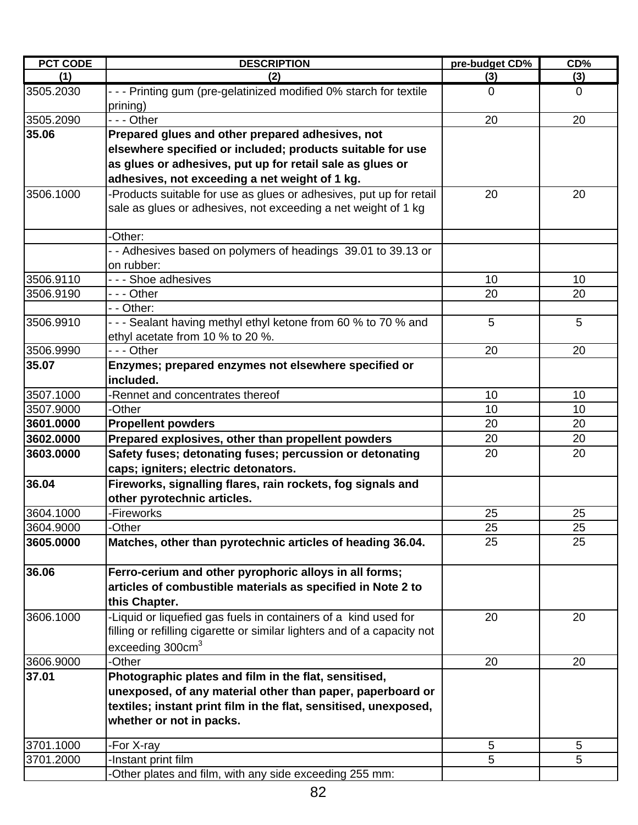| <b>PCT CODE</b> | <b>DESCRIPTION</b>                                                                                                                                                                                                            | pre-budget CD% | CD%            |
|-----------------|-------------------------------------------------------------------------------------------------------------------------------------------------------------------------------------------------------------------------------|----------------|----------------|
| (1)             | (2)                                                                                                                                                                                                                           | (3)            | (3)            |
| 3505.2030       | - - - Printing gum (pre-gelatinized modified 0% starch for textile<br>prining)                                                                                                                                                | 0              | $\overline{0}$ |
| 3505.2090       | - - - Other                                                                                                                                                                                                                   | 20             | 20             |
| 35.06           | Prepared glues and other prepared adhesives, not<br>elsewhere specified or included; products suitable for use<br>as glues or adhesives, put up for retail sale as glues or<br>adhesives, not exceeding a net weight of 1 kg. |                |                |
| 3506.1000       | -Products suitable for use as glues or adhesives, put up for retail<br>sale as glues or adhesives, not exceeding a net weight of 1 kg                                                                                         | 20             | 20             |
|                 | -Other:                                                                                                                                                                                                                       |                |                |
|                 | - - Adhesives based on polymers of headings 39.01 to 39.13 or<br>on rubber:                                                                                                                                                   |                |                |
| 3506.9110       | --- Shoe adhesives                                                                                                                                                                                                            | 10             | 10             |
| 3506.9190       |                                                                                                                                                                                                                               | 20             | 20             |
|                 | - - Other:                                                                                                                                                                                                                    |                |                |
| 3506.9910       | - - - Sealant having methyl ethyl ketone from 60 % to 70 % and<br>ethyl acetate from 10 % to 20 %.                                                                                                                            | 5              | 5              |
| 3506.9990       | - - - Other                                                                                                                                                                                                                   | 20             | 20             |
| 35.07           | Enzymes; prepared enzymes not elsewhere specified or<br>included.                                                                                                                                                             |                |                |
| 3507.1000       | -Rennet and concentrates thereof                                                                                                                                                                                              | 10             | 10             |
| 3507.9000       | -Other                                                                                                                                                                                                                        | 10             | 10             |
| 3601.0000       | <b>Propellent powders</b>                                                                                                                                                                                                     | 20             | 20             |
| 3602.0000       | Prepared explosives, other than propellent powders                                                                                                                                                                            | 20             | 20             |
| 3603.0000       | Safety fuses; detonating fuses; percussion or detonating<br>caps; igniters; electric detonators.                                                                                                                              | 20             | 20             |
| 36.04           | Fireworks, signalling flares, rain rockets, fog signals and<br>other pyrotechnic articles.                                                                                                                                    |                |                |
| 3604.1000       | -Fireworks                                                                                                                                                                                                                    | 25             | 25             |
| 3604.9000       | -Other                                                                                                                                                                                                                        | 25             | 25             |
| 3605.0000       | Matches, other than pyrotechnic articles of heading 36.04.                                                                                                                                                                    | 25             | 25             |
| 36.06           | Ferro-cerium and other pyrophoric alloys in all forms;<br>articles of combustible materials as specified in Note 2 to<br>this Chapter.                                                                                        |                |                |
| 3606.1000       | -Liquid or liquefied gas fuels in containers of a kind used for<br>filling or refilling cigarette or similar lighters and of a capacity not<br>exceeding 300cm <sup>3</sup>                                                   | 20             | 20             |
| 3606.9000       | -Other                                                                                                                                                                                                                        | 20             | 20             |
| 37.01           | Photographic plates and film in the flat, sensitised,<br>unexposed, of any material other than paper, paperboard or<br>textiles; instant print film in the flat, sensitised, unexposed,<br>whether or not in packs.           |                |                |
| 3701.1000       | -For X-ray                                                                                                                                                                                                                    | 5              | 5              |
| 3701.2000       | -Instant print film                                                                                                                                                                                                           | 5              | 5              |
|                 | -Other plates and film, with any side exceeding 255 mm:                                                                                                                                                                       |                |                |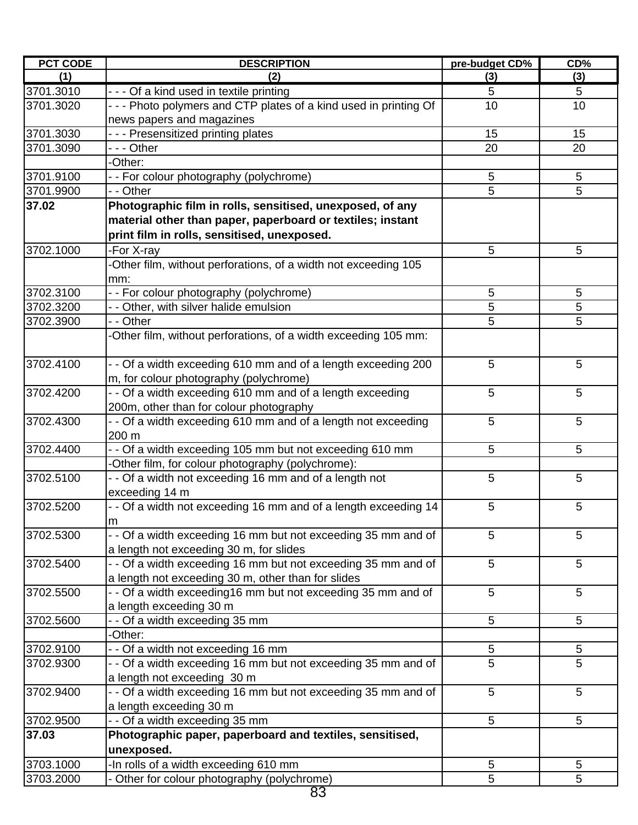| <b>PCT CODE</b> | <b>DESCRIPTION</b>                                                | pre-budget CD% | CD% |
|-----------------|-------------------------------------------------------------------|----------------|-----|
| (1)             | (2)                                                               | (3)            | (3) |
| 3701.3010       | - - - Of a kind used in textile printing                          | 5              | 5   |
| 3701.3020       | - - - Photo polymers and CTP plates of a kind used in printing Of | 10             | 10  |
|                 | news papers and magazines                                         |                |     |
| 3701.3030       | --- Presensitized printing plates                                 | 15             | 15  |
| 3701.3090       | - - - Other                                                       | 20             | 20  |
|                 | -Other:                                                           |                |     |
| 3701.9100       | - - For colour photography (polychrome)                           | 5              | 5   |
| 3701.9900       | - - Other                                                         | 5              | 5   |
| 37.02           | Photographic film in rolls, sensitised, unexposed, of any         |                |     |
|                 | material other than paper, paperboard or textiles; instant        |                |     |
|                 | print film in rolls, sensitised, unexposed.                       |                |     |
| 3702.1000       | -For X-ray                                                        | 5              | 5   |
|                 | -Other film, without perforations, of a width not exceeding 105   |                |     |
|                 | mm:                                                               |                |     |
| 3702.3100       | - - For colour photography (polychrome)                           | 5              | 5   |
| 3702.3200       | - - Other, with silver halide emulsion                            | 5              | 5   |
| 3702.3900       | - Other                                                           | 5              | 5   |
|                 | -Other film, without perforations, of a width exceeding 105 mm:   |                |     |
|                 |                                                                   |                |     |
| 3702.4100       | - - Of a width exceeding 610 mm and of a length exceeding 200     | 5              | 5   |
|                 | m, for colour photography (polychrome)                            |                |     |
| 3702.4200       | - - Of a width exceeding 610 mm and of a length exceeding         | 5              | 5   |
|                 | 200m, other than for colour photography                           |                |     |
| 3702.4300       | - - Of a width exceeding 610 mm and of a length not exceeding     | 5              | 5   |
|                 | 200 m                                                             |                |     |
|                 |                                                                   |                |     |
| 3702.4400       | - - Of a width exceeding 105 mm but not exceeding 610 mm          | 5              | 5   |
|                 | -Other film, for colour photography (polychrome):                 |                | 5   |
| 3702.5100       | - - Of a width not exceeding 16 mm and of a length not            | 5              |     |
|                 | exceeding 14 m                                                    |                |     |
| 3702.5200       | - - Of a width not exceeding 16 mm and of a length exceeding 14   | 5              | 5   |
|                 | m                                                                 |                |     |
| 3702.5300       | - - Of a width exceeding 16 mm but not exceeding 35 mm and of     | 5              | 5   |
|                 | a length not exceeding 30 m, for slides                           |                |     |
| 3702.5400       | - - Of a width exceeding 16 mm but not exceeding 35 mm and of     | 5              | 5   |
|                 | a length not exceeding 30 m, other than for slides                |                |     |
| 3702.5500       | - - Of a width exceeding 16 mm but not exceeding 35 mm and of     | 5              | 5   |
|                 | a length exceeding 30 m                                           |                |     |
| 3702.5600       | - - Of a width exceeding 35 mm                                    | 5              | 5   |
|                 | -Other:                                                           |                |     |
| 3702.9100       | - - Of a width not exceeding 16 mm                                | 5              | 5   |
| 3702.9300       | - - Of a width exceeding 16 mm but not exceeding 35 mm and of     | 5              | 5   |
|                 | a length not exceeding 30 m                                       |                |     |
| 3702.9400       | - - Of a width exceeding 16 mm but not exceeding 35 mm and of     | 5              | 5   |
|                 | a length exceeding 30 m                                           |                |     |
| 3702.9500       | - - Of a width exceeding 35 mm                                    | 5              | 5   |
| 37.03           | Photographic paper, paperboard and textiles, sensitised,          |                |     |
|                 | unexposed.                                                        |                |     |
| 3703.1000       | -In rolls of a width exceeding 610 mm                             | 5              | 5   |
| 3703.2000       | - Other for colour photography (polychrome)                       | 5              | 5   |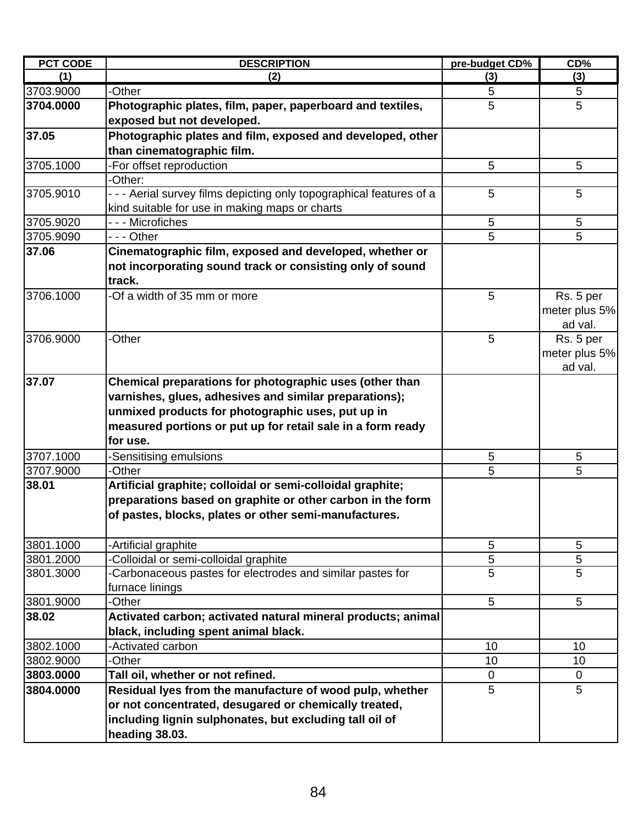| <b>PCT CODE</b> | <b>DESCRIPTION</b>                                                                                                                                                                                                                                | pre-budget CD% | CD%                                   |
|-----------------|---------------------------------------------------------------------------------------------------------------------------------------------------------------------------------------------------------------------------------------------------|----------------|---------------------------------------|
| (1)             | (2)                                                                                                                                                                                                                                               | (3)            | (3)                                   |
| 3703.9000       | -Other                                                                                                                                                                                                                                            | 5              | 5                                     |
| 3704.0000       | Photographic plates, film, paper, paperboard and textiles,<br>exposed but not developed.                                                                                                                                                          | 5              | 5                                     |
| 37.05           | Photographic plates and film, exposed and developed, other<br>than cinematographic film.                                                                                                                                                          |                |                                       |
| 3705.1000       | -For offset reproduction                                                                                                                                                                                                                          | 5              | 5                                     |
|                 | -Other:                                                                                                                                                                                                                                           |                |                                       |
| 3705.9010       | - - - Aerial survey films depicting only topographical features of a<br>kind suitable for use in making maps or charts                                                                                                                            | 5              | 5                                     |
| 3705.9020       | - - - Microfiches                                                                                                                                                                                                                                 | 5              | 5                                     |
| 3705.9090       | - - - Other                                                                                                                                                                                                                                       | 5              | 5                                     |
| 37.06           | Cinematographic film, exposed and developed, whether or<br>not incorporating sound track or consisting only of sound<br>track.                                                                                                                    |                |                                       |
| 3706.1000       | -Of a width of 35 mm or more                                                                                                                                                                                                                      | 5              | Rs. 5 per<br>meter plus 5%<br>ad val. |
| 3706.9000       | -Other                                                                                                                                                                                                                                            | 5              | Rs. 5 per<br>meter plus 5%<br>ad val. |
| 37.07           | Chemical preparations for photographic uses (other than<br>varnishes, glues, adhesives and similar preparations);<br>unmixed products for photographic uses, put up in<br>measured portions or put up for retail sale in a form ready<br>for use. |                |                                       |
| 3707.1000       | -Sensitising emulsions                                                                                                                                                                                                                            | $\sqrt{5}$     | 5                                     |
| 3707.9000       | -Other                                                                                                                                                                                                                                            | 5              | 5                                     |
| 38.01           | Artificial graphite; colloidal or semi-colloidal graphite;<br>preparations based on graphite or other carbon in the form<br>of pastes, blocks, plates or other semi-manufactures.                                                                 |                |                                       |
| 3801.1000       | -Artificial graphite                                                                                                                                                                                                                              | 5              | 5                                     |
| 3801.2000       | Colloidal or semi-colloidal graphite                                                                                                                                                                                                              | 5              | 5                                     |
| 3801.3000       | -Carbonaceous pastes for electrodes and similar pastes for<br>furnace linings                                                                                                                                                                     | 5              | 5                                     |
| 3801.9000       | -Other                                                                                                                                                                                                                                            | 5              | 5                                     |
| 38.02           | Activated carbon; activated natural mineral products; animal<br>black, including spent animal black.                                                                                                                                              |                |                                       |
| 3802.1000       | -Activated carbon                                                                                                                                                                                                                                 | 10             | 10                                    |
| 3802.9000       | -Other                                                                                                                                                                                                                                            | 10             | 10                                    |
| 3803.0000       | Tall oil, whether or not refined.                                                                                                                                                                                                                 | 0              | $\mathbf 0$                           |
| 3804.0000       | Residual lyes from the manufacture of wood pulp, whether<br>or not concentrated, desugared or chemically treated,<br>including lignin sulphonates, but excluding tall oil of<br>heading 38.03.                                                    | 5              | 5                                     |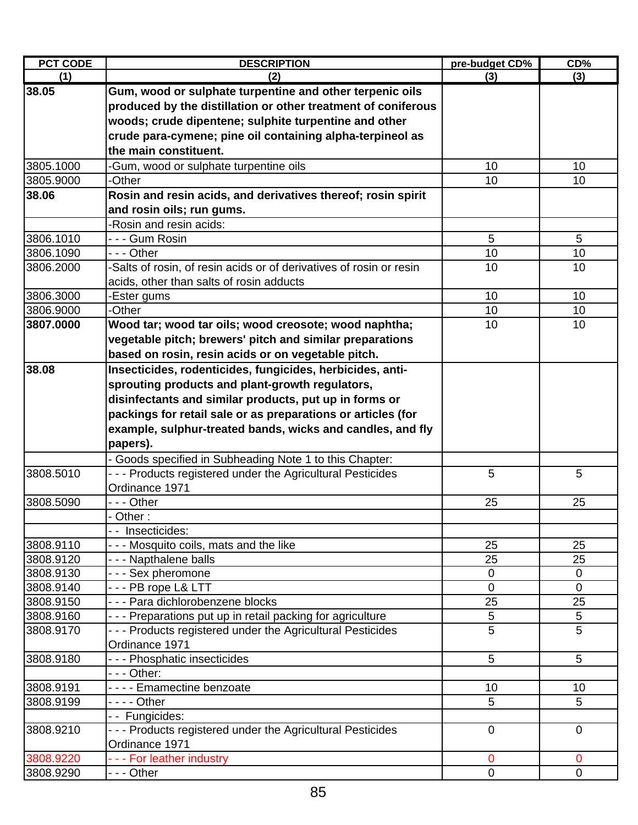| <b>PCT CODE</b> | <b>DESCRIPTION</b>                                                  | pre-budget CD% | CD%            |
|-----------------|---------------------------------------------------------------------|----------------|----------------|
| (1)             | (2)                                                                 | (3)            | (3)            |
| 38.05           | Gum, wood or sulphate turpentine and other terpenic oils            |                |                |
|                 | produced by the distillation or other treatment of coniferous       |                |                |
|                 | woods; crude dipentene; sulphite turpentine and other               |                |                |
|                 | crude para-cymene; pine oil containing alpha-terpineol as           |                |                |
|                 | the main constituent.                                               |                |                |
| 3805.1000       | -Gum, wood or sulphate turpentine oils                              | 10             | 10             |
| 3805.9000       | -Other                                                              | 10             | 10             |
| 38.06           | Rosin and resin acids, and derivatives thereof; rosin spirit        |                |                |
|                 | and rosin oils; run gums.                                           |                |                |
|                 | -Rosin and resin acids:                                             |                |                |
| 3806.1010       | - - - Gum Rosin                                                     | 5              | 5              |
| 3806.1090       | - - - Other                                                         | 10             | 10             |
| 3806.2000       | -Salts of rosin, of resin acids or of derivatives of rosin or resin | 10             | 10             |
|                 | acids, other than salts of rosin adducts                            |                |                |
| 3806.3000       | -Ester gums                                                         | 10             | 10             |
| 3806.9000       | -Other                                                              | 10             | 10             |
| 3807.0000       | Wood tar; wood tar oils; wood creosote; wood naphtha;               | 10             | 10             |
|                 | vegetable pitch; brewers' pitch and similar preparations            |                |                |
|                 | based on rosin, resin acids or on vegetable pitch.                  |                |                |
| 38.08           | Insecticides, rodenticides, fungicides, herbicides, anti-           |                |                |
|                 | sprouting products and plant-growth regulators,                     |                |                |
|                 | disinfectants and similar products, put up in forms or              |                |                |
|                 | packings for retail sale or as preparations or articles (for        |                |                |
|                 | example, sulphur-treated bands, wicks and candles, and fly          |                |                |
|                 | papers).                                                            |                |                |
|                 | - Goods specified in Subheading Note 1 to this Chapter:             |                |                |
| 3808.5010       | --- Products registered under the Agricultural Pesticides           | 5              | 5              |
|                 | Ordinance 1971                                                      |                |                |
| 3808.5090       | - - - Other                                                         | 25             | 25             |
|                 | - Other :                                                           |                |                |
|                 | - - Insecticides:                                                   |                |                |
| 3808.9110       | --- Mosquito coils, mats and the like                               | 25             | 25             |
| 3808.9120       | - - - Napthalene balls                                              | 25             | 25             |
| 3808.9130       | --- Sex pheromone                                                   | 0              | 0              |
| 3808.9140       | --- PB rope L& LTT                                                  | 0              | $\overline{0}$ |
| 3808.9150       | - - - Para dichlorobenzene blocks                                   | 25             | 25             |
| 3808.9160       | - - - Preparations put up in retail packing for agriculture         | $\mathbf 5$    | $\mathbf 5$    |
| 3808.9170       | --- Products registered under the Agricultural Pesticides           | $\overline{5}$ | 5              |
|                 | Ordinance 1971                                                      |                |                |
| 3808.9180       | - - - Phosphatic insecticides                                       | 5              | 5              |
|                 | - - - Other:                                                        |                |                |
| 3808.9191       | - - - - Emamectine benzoate                                         | 10             | 10             |
| 3808.9199       | - - - - Other                                                       | 5              | 5              |
|                 | - - Fungicides:                                                     |                |                |
| 3808.9210       | --- Products registered under the Agricultural Pesticides           | $\mathbf 0$    | $\overline{0}$ |
|                 | Ordinance 1971                                                      |                |                |
| 3808.9220       | --- For leather industry                                            | $\mathbf 0$    | $\mathbf 0$    |
| 3808.9290       | - - - Other                                                         | $\mathbf 0$    | $\mathbf 0$    |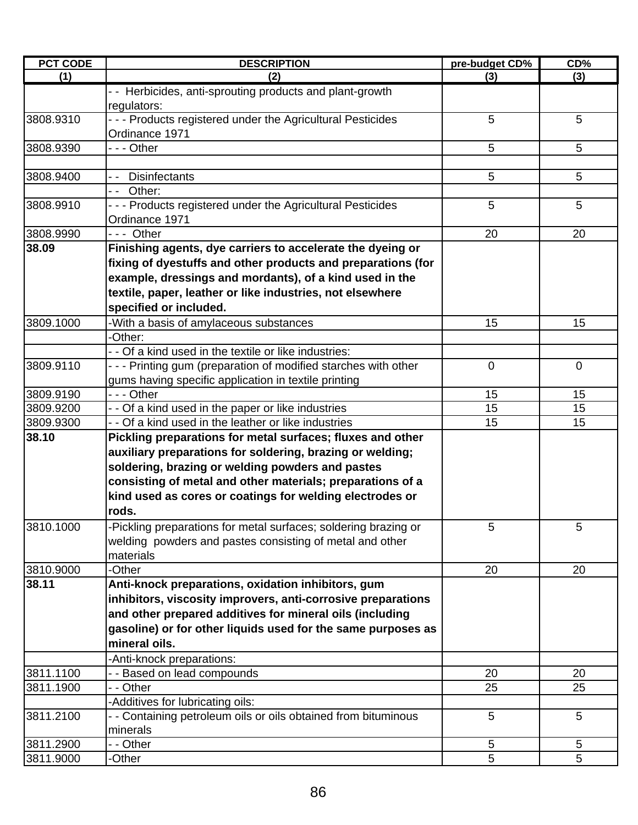| <b>PCT CODE</b> | <b>DESCRIPTION</b>                                                          | pre-budget CD% | CD%         |
|-----------------|-----------------------------------------------------------------------------|----------------|-------------|
| (1)             | (2)                                                                         | (3)            | (3)         |
|                 | - - Herbicides, anti-sprouting products and plant-growth<br>regulators:     |                |             |
| 3808.9310       | --- Products registered under the Agricultural Pesticides<br>Ordinance 1971 | 5              | 5           |
| 3808.9390       | - - - Other                                                                 | 5              | 5           |
| 3808.9400       | -- Disinfectants                                                            | 5              | 5           |
|                 | -- Other:                                                                   |                |             |
| 3808.9910       | --- Products registered under the Agricultural Pesticides<br>Ordinance 1971 | 5              | 5           |
| 3808.9990       | $--$ Other                                                                  | 20             | 20          |
| 38.09           | Finishing agents, dye carriers to accelerate the dyeing or                  |                |             |
|                 | fixing of dyestuffs and other products and preparations (for                |                |             |
|                 | example, dressings and mordants), of a kind used in the                     |                |             |
|                 | textile, paper, leather or like industries, not elsewhere                   |                |             |
|                 | specified or included.                                                      |                |             |
| 3809.1000       | -With a basis of amylaceous substances                                      | 15             | 15          |
|                 | -Other:                                                                     |                |             |
|                 | - - Of a kind used in the textile or like industries:                       |                |             |
| 3809.9110       | - - - Printing gum (preparation of modified starches with other             | $\overline{0}$ | $\mathbf 0$ |
|                 | gums having specific application in textile printing                        |                |             |
| 3809.9190       | - - - Other                                                                 | 15             | 15          |
| 3809.9200       | - - Of a kind used in the paper or like industries                          | 15             | 15          |
| 3809.9300       | - - Of a kind used in the leather or like industries                        | 15             | 15          |
| 38.10           | Pickling preparations for metal surfaces; fluxes and other                  |                |             |
|                 | auxiliary preparations for soldering, brazing or welding;                   |                |             |
|                 | soldering, brazing or welding powders and pastes                            |                |             |
|                 | consisting of metal and other materials; preparations of a                  |                |             |
|                 | kind used as cores or coatings for welding electrodes or                    |                |             |
|                 | rods.                                                                       |                |             |
| 3810.1000       | -Pickling preparations for metal surfaces; soldering brazing or             | 5              | 5           |
|                 | welding powders and pastes consisting of metal and other                    |                |             |
|                 | materials                                                                   |                |             |
| 3810.9000       | -Other                                                                      | 20             | 20          |
| 38.11           | Anti-knock preparations, oxidation inhibitors, gum                          |                |             |
|                 | inhibitors, viscosity improvers, anti-corrosive preparations                |                |             |
|                 | and other prepared additives for mineral oils (including                    |                |             |
|                 | gasoline) or for other liquids used for the same purposes as                |                |             |
|                 | mineral oils.                                                               |                |             |
|                 | -Anti-knock preparations:                                                   |                |             |
| 3811.1100       | - - Based on lead compounds                                                 | 20             | 20          |
| 3811.1900       | - - Other                                                                   | 25             | 25          |
|                 | -Additives for lubricating oils:                                            |                |             |
| 3811.2100       | - - Containing petroleum oils or oils obtained from bituminous              | 5              | 5           |
|                 | minerals                                                                    |                |             |
| 3811.2900       | - - Other                                                                   | 5              | $\sqrt{5}$  |
| 3811.9000       | -Other                                                                      | 5              | 5           |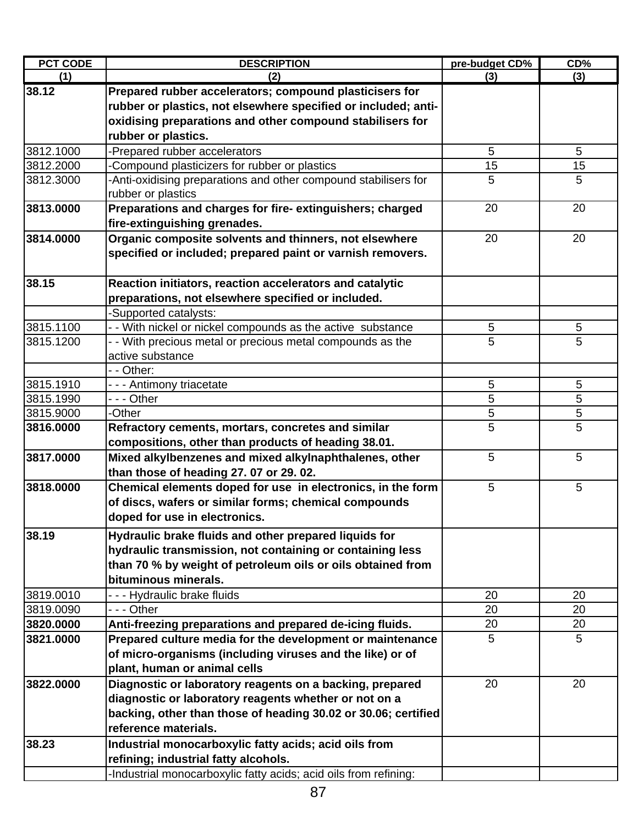| <b>PCT CODE</b> | <b>DESCRIPTION</b>                                               | pre-budget CD% | CD% |
|-----------------|------------------------------------------------------------------|----------------|-----|
| (1)             | (2)                                                              | (3)            | (3) |
| 38.12           | Prepared rubber accelerators; compound plasticisers for          |                |     |
|                 | rubber or plastics, not elsewhere specified or included; anti-   |                |     |
|                 | oxidising preparations and other compound stabilisers for        |                |     |
|                 | rubber or plastics.                                              |                |     |
| 3812.1000       | -Prepared rubber accelerators                                    | 5              | 5   |
| 3812.2000       | Compound plasticizers for rubber or plastics                     | 15             | 15  |
| 3812.3000       | -Anti-oxidising preparations and other compound stabilisers for  | 5              | 5   |
|                 | rubber or plastics                                               |                |     |
| 3813.0000       | Preparations and charges for fire-extinguishers; charged         | 20             | 20  |
|                 | fire-extinguishing grenades.                                     |                |     |
| 3814.0000       | Organic composite solvents and thinners, not elsewhere           | 20             | 20  |
|                 | specified or included; prepared paint or varnish removers.       |                |     |
| 38.15           | Reaction initiators, reaction accelerators and catalytic         |                |     |
|                 | preparations, not elsewhere specified or included.               |                |     |
|                 | -Supported catalysts:                                            |                |     |
| 3815.1100       | - - With nickel or nickel compounds as the active substance      | 5              | 5   |
| 3815.1200       | - - With precious metal or precious metal compounds as the       | 5              | 5   |
|                 | active substance                                                 |                |     |
|                 | - - Other:                                                       |                |     |
| 3815.1910       | - - - Antimony triacetate                                        | 5              | 5   |
| 3815.1990       | - - - Other                                                      | 5              | 5   |
| 3815.9000       | -Other                                                           | 5              | 5   |
| 3816.0000       | Refractory cements, mortars, concretes and similar               | 5              | 5   |
|                 | compositions, other than products of heading 38.01.              |                |     |
| 3817.0000       | Mixed alkylbenzenes and mixed alkylnaphthalenes, other           | 5              | 5   |
|                 | than those of heading 27.07 or 29.02.                            |                |     |
| 3818.0000       | Chemical elements doped for use in electronics, in the form      | 5              | 5   |
|                 | of discs, wafers or similar forms; chemical compounds            |                |     |
|                 | doped for use in electronics.                                    |                |     |
| 38.19           | Hydraulic brake fluids and other prepared liquids for            |                |     |
|                 | hydraulic transmission, not containing or containing less        |                |     |
|                 | than 70 % by weight of petroleum oils or oils obtained from      |                |     |
|                 | bituminous minerals.                                             |                |     |
| 3819.0010       | --- Hydraulic brake fluids                                       | 20             | 20  |
| 3819.0090       | - - - Other                                                      | 20             | 20  |
| 3820.0000       | Anti-freezing preparations and prepared de-icing fluids.         | 20             | 20  |
| 3821.0000       | Prepared culture media for the development or maintenance        | 5              | 5   |
|                 | of micro-organisms (including viruses and the like) or of        |                |     |
|                 | plant, human or animal cells                                     |                |     |
| 3822.0000       | Diagnostic or laboratory reagents on a backing, prepared         | 20             | 20  |
|                 | diagnostic or laboratory reagents whether or not on a            |                |     |
|                 | backing, other than those of heading 30.02 or 30.06; certified   |                |     |
|                 | reference materials.                                             |                |     |
| 38.23           | Industrial monocarboxylic fatty acids; acid oils from            |                |     |
|                 | refining; industrial fatty alcohols.                             |                |     |
|                 | -Industrial monocarboxylic fatty acids; acid oils from refining: |                |     |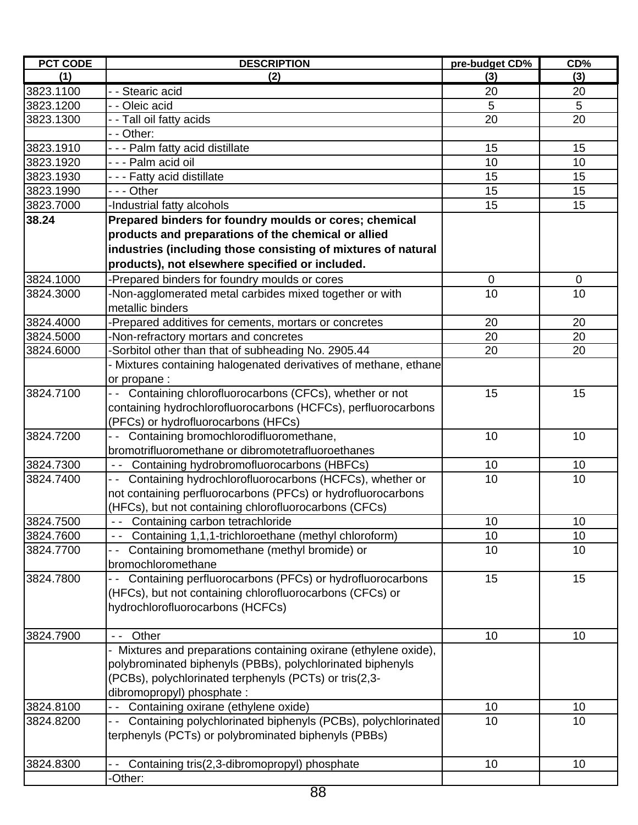| <b>PCT CODE</b> | <b>DESCRIPTION</b>                                               | pre-budget CD% | CD%         |
|-----------------|------------------------------------------------------------------|----------------|-------------|
| (1)             | (2)                                                              | (3)            | (3)         |
| 3823.1100       | - - Stearic acid                                                 | 20             | 20          |
| 3823.1200       | - - Oleic acid                                                   | 5              | 5           |
| 3823.1300       | - - Tall oil fatty acids                                         | 20             | 20          |
|                 | - - Other:                                                       |                |             |
| 3823.1910       | - - - Palm fatty acid distillate                                 | 15             | 15          |
| 3823.1920       | - - - Palm acid oil                                              | 10             | 10          |
| 3823.1930       | - - - Fatty acid distillate                                      | 15             | 15          |
| 3823.1990       | --- Other                                                        | 15             | 15          |
| 3823.7000       | -Industrial fatty alcohols                                       | 15             | 15          |
| 38.24           | Prepared binders for foundry moulds or cores; chemical           |                |             |
|                 | products and preparations of the chemical or allied              |                |             |
|                 | industries (including those consisting of mixtures of natural    |                |             |
|                 | products), not elsewhere specified or included.                  |                |             |
| 3824.1000       | -Prepared binders for foundry moulds or cores                    | 0              | $\mathbf 0$ |
|                 |                                                                  | 10             | 10          |
| 3824.3000       | -Non-agglomerated metal carbides mixed together or with          |                |             |
| 3824.4000       | metallic binders                                                 |                |             |
|                 | -Prepared additives for cements, mortars or concretes            | 20             | 20          |
| 3824.5000       | -Non-refractory mortars and concretes                            | 20             | 20          |
| 3824.6000       | -Sorbitol other than that of subheading No. 2905.44              | 20             | 20          |
|                 | - Mixtures containing halogenated derivatives of methane, ethane |                |             |
|                 | or propane :                                                     |                |             |
| 3824.7100       | Containing chlorofluorocarbons (CFCs), whether or not            | 15             | 15          |
|                 | containing hydrochlorofluorocarbons (HCFCs), perfluorocarbons    |                |             |
|                 | (PFCs) or hydrofluorocarbons (HFCs)                              |                |             |
| 3824.7200       | -- Containing bromochlorodifluoromethane,                        | 10             | 10          |
|                 | bromotrifluoromethane or dibromotetrafluoroethanes               |                |             |
| 3824.7300       | Containing hydrobromofluorocarbons (HBFCs)<br>$\sim$ $\sim$      | 10             | 10          |
| 3824.7400       | Containing hydrochlorofluorocarbons (HCFCs), whether or<br>- -   | 10             | 10          |
|                 | not containing perfluorocarbons (PFCs) or hydrofluorocarbons     |                |             |
|                 | (HFCs), but not containing chlorofluorocarbons (CFCs)            |                |             |
| 3824.7500       | Containing carbon tetrachloride                                  | 10             | 10          |
| 3824.7600       | Containing 1,1,1-trichloroethane (methyl chloroform)             | 10             | 10          |
| 3824.7700       | Containing bromomethane (methyl bromide) or                      | 10             | 10          |
|                 | bromochloromethane                                               |                |             |
| 3824.7800       | Containing perfluorocarbons (PFCs) or hydrofluorocarbons         | 15             | 15          |
|                 | (HFCs), but not containing chlorofluorocarbons (CFCs) or         |                |             |
|                 | hydrochlorofluorocarbons (HCFCs)                                 |                |             |
|                 |                                                                  |                |             |
| 3824.7900       | Other<br>$\sim$ $\sim$                                           | 10             | 10          |
|                 | - Mixtures and preparations containing oxirane (ethylene oxide), |                |             |
|                 | polybrominated biphenyls (PBBs), polychlorinated biphenyls       |                |             |
|                 | (PCBs), polychlorinated terphenyls (PCTs) or tris(2,3-           |                |             |
|                 | dibromopropyl) phosphate :                                       |                |             |
| 3824.8100       | Containing oxirane (ethylene oxide)                              | 10             | 10          |
| 3824.8200       | Containing polychlorinated biphenyls (PCBs), polychlorinated     | 10             | 10          |
|                 | terphenyls (PCTs) or polybrominated biphenyls (PBBs)             |                |             |
|                 |                                                                  |                |             |
| 3824.8300       | Containing tris(2,3-dibromopropyl) phosphate                     | 10             | 10          |
|                 | -Other:                                                          |                |             |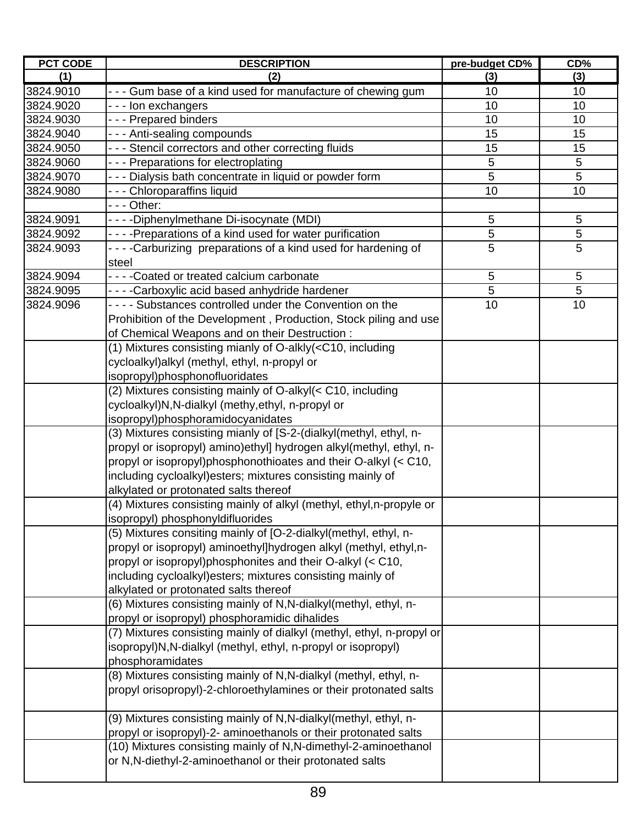| <b>PCT CODE</b> | <b>DESCRIPTION</b>                                                                             | pre-budget CD% | CD%            |
|-----------------|------------------------------------------------------------------------------------------------|----------------|----------------|
| (1)             | (2)                                                                                            | (3)            | (3)            |
| 3824.9010       | - - - Gum base of a kind used for manufacture of chewing gum                                   | 10             | 10             |
| 3824.9020       | --- Ion exchangers                                                                             | 10             | 10             |
| 3824.9030       | --- Prepared binders                                                                           | 10             | 10             |
| 3824.9040       | --- Anti-sealing compounds                                                                     | 15             | 15             |
| 3824.9050       | - - - Stencil correctors and other correcting fluids                                           | 15             | 15             |
| 3824.9060       | --- Preparations for electroplating                                                            | 5              | 5              |
| 3824.9070       | - - - Dialysis bath concentrate in liquid or powder form                                       | 5              | 5              |
| 3824.9080       | --- Chloroparaffins liquid                                                                     | 10             | 10             |
|                 | - - - Other:                                                                                   |                |                |
| 3824.9091       | - - - - Diphenylmethane Di-isocynate (MDI)                                                     | 5              | $\overline{5}$ |
| 3824.9092       | - - - - Preparations of a kind used for water purification                                     | 5              | 5              |
| 3824.9093       | ----Carburizing preparations of a kind used for hardening of<br>steel                          | 5              | 5              |
| 3824.9094       | - - - - Coated or treated calcium carbonate                                                    | 5              | 5              |
| 3824.9095       | - - - -Carboxylic acid based anhydride hardener                                                | 5              | 5              |
| 3824.9096       | - - - - Substances controlled under the Convention on the                                      | 10             | 10             |
|                 | Prohibition of the Development, Production, Stock piling and use                               |                |                |
|                 | of Chemical Weapons and on their Destruction :                                                 |                |                |
|                 | (1) Mixtures consisting mianly of O-alkly( <c10, including<="" td=""><td></td><td></td></c10,> |                |                |
|                 | cycloalkyl) alkyl (methyl, ethyl, n-propyl or                                                  |                |                |
|                 | isopropyl)phosphonofluoridates                                                                 |                |                |
|                 | (2) Mixtures consisting mainly of O-alkyl(< C10, including                                     |                |                |
|                 | cycloalkyl)N,N-dialkyl (methy,ethyl, n-propyl or                                               |                |                |
|                 | isopropyl)phosphoramidocyanidates                                                              |                |                |
|                 | (3) Mixtures consisting mianly of [S-2-(dialkyl(methyl, ethyl, n-                              |                |                |
|                 | propyl or isopropyl) amino) ethyl] hydrogen alkyl(methyl, ethyl, n-                            |                |                |
|                 | propyl or isopropyl)phosphonothioates and their O-alkyl (< C10,                                |                |                |
|                 | including cycloalkyl) esters; mixtures consisting mainly of                                    |                |                |
|                 | alkylated or protonated salts thereof                                                          |                |                |
|                 | (4) Mixtures consisting mainly of alkyl (methyl, ethyl,n-propyle or                            |                |                |
|                 | isopropyl) phosphonyldifluorides                                                               |                |                |
|                 | (5) Mixtures consiting mainly of [O-2-dialkyl(methyl, ethyl, n-                                |                |                |
|                 | propyl or isopropyl) aminoethyl]hydrogen alkyl (methyl, ethyl,n-                               |                |                |
|                 | propyl or isopropyl)phosphonites and their O-alkyl (< C10,                                     |                |                |
|                 | including cycloalkyl) esters; mixtures consisting mainly of                                    |                |                |
|                 | alkylated or protonated salts thereof                                                          |                |                |
|                 | (6) Mixtures consisting mainly of N,N-dialkyl(methyl, ethyl, n-                                |                |                |
|                 | propyl or isopropyl) phosphoramidic dihalides                                                  |                |                |
|                 | (7) Mixtures consisting mainly of dialkyl (methyl, ethyl, n-propyl or                          |                |                |
|                 | isopropyl)N,N-dialkyl (methyl, ethyl, n-propyl or isopropyl)                                   |                |                |
|                 | phosphoramidates                                                                               |                |                |
|                 | (8) Mixtures consisting mainly of N, N-dialkyl (methyl, ethyl, n-                              |                |                |
|                 | propyl orisopropyl)-2-chloroethylamines or their protonated salts                              |                |                |
|                 | (9) Mixtures consisting mainly of N,N-dialkyl(methyl, ethyl, n-                                |                |                |
|                 | propyl or isopropyl)-2- aminoethanols or their protonated salts                                |                |                |
|                 | (10) Mixtures consisting mainly of N,N-dimethyl-2-aminoethanol                                 |                |                |
|                 | or N,N-diethyl-2-aminoethanol or their protonated salts                                        |                |                |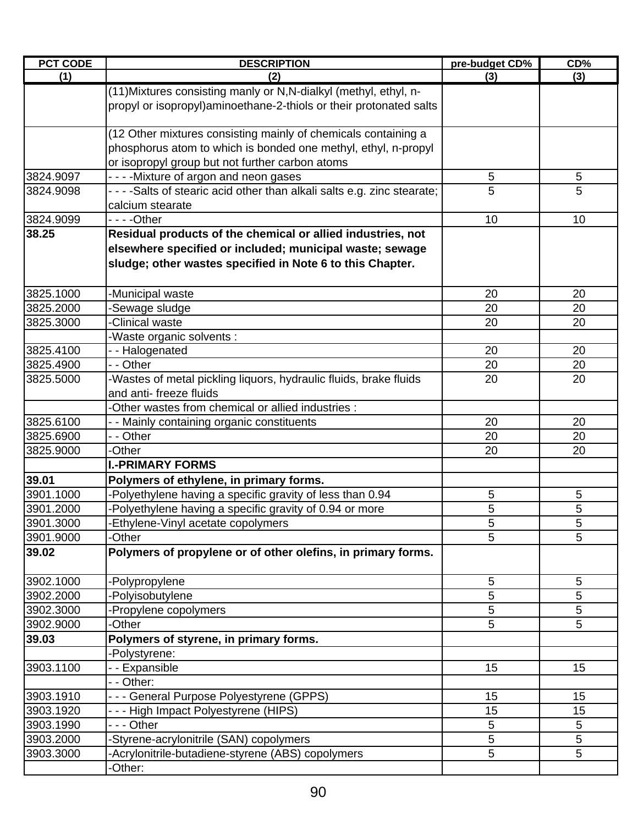| <b>PCT CODE</b> | <b>DESCRIPTION</b>                                                       | pre-budget CD% | CD%         |
|-----------------|--------------------------------------------------------------------------|----------------|-------------|
| (1)             | (2)                                                                      | (3)            | (3)         |
|                 | (11) Mixtures consisting manly or N, N-dialkyl (methyl, ethyl, n-        |                |             |
|                 | propyl or isopropyl)aminoethane-2-thiols or their protonated salts       |                |             |
|                 | (12 Other mixtures consisting mainly of chemicals containing a           |                |             |
|                 | phosphorus atom to which is bonded one methyl, ethyl, n-propyl           |                |             |
|                 | or isopropyl group but not further carbon atoms                          |                |             |
| 3824.9097       | - - - - Mixture of argon and neon gases                                  | 5              | 5           |
| 3824.9098       | - - - -Salts of stearic acid other than alkali salts e.g. zinc stearate; | 5              | 5           |
|                 | calcium stearate                                                         |                |             |
| 3824.9099       | - - - -Other                                                             | 10             | 10          |
| 38.25           | Residual products of the chemical or allied industries, not              |                |             |
|                 | elsewhere specified or included; municipal waste; sewage                 |                |             |
|                 | sludge; other wastes specified in Note 6 to this Chapter.                |                |             |
| 3825.1000       | -Municipal waste                                                         | 20             | 20          |
| 3825.2000       | -Sewage sludge                                                           | 20             | 20          |
| 3825.3000       | -Clinical waste                                                          | 20             | 20          |
|                 | Waste organic solvents :                                                 |                |             |
| 3825.4100       | -- Halogenated                                                           | 20             | 20          |
| 3825.4900       | - - Other                                                                | 20             | 20          |
| 3825.5000       | -Wastes of metal pickling liquors, hydraulic fluids, brake fluids        | 20             | 20          |
|                 | and anti- freeze fluids                                                  |                |             |
|                 | -Other wastes from chemical or allied industries :                       |                |             |
| 3825.6100       | - - Mainly containing organic constituents                               | 20             | 20          |
| 3825.6900       | - - Other                                                                | 20             | 20          |
| 3825.9000       | -Other                                                                   | 20             | 20          |
|                 | <b>I.-PRIMARY FORMS</b>                                                  |                |             |
| 39.01           | Polymers of ethylene, in primary forms.                                  |                |             |
| 3901.1000       | -Polyethylene having a specific gravity of less than 0.94                | 5              | 5           |
| 3901.2000       | Polyethylene having a specific gravity of 0.94 or more                   | 5              | 5           |
| 3901.3000       | Ethylene-Vinyl acetate copolymers                                        | 5              | $\mathbf 5$ |
| 3901.9000       | -Other                                                                   | 5              | 5           |
| 39.02           | Polymers of propylene or of other olefins, in primary forms.             |                |             |
| 3902.1000       | -Polypropylene                                                           | 5              | 5           |
| 3902.2000       | -Polyisobutylene                                                         | 5              | 5           |
| 3902.3000       | -Propylene copolymers                                                    | 5              | 5           |
| 3902.9000       | -Other                                                                   | 5              | 5           |
| 39.03           | Polymers of styrene, in primary forms.                                   |                |             |
|                 | -Polystyrene:                                                            |                |             |
| 3903.1100       | - - Expansible                                                           | 15             | 15          |
|                 | - - Other:                                                               |                |             |
| 3903.1910       | - - - General Purpose Polyestyrene (GPPS)                                | 15             | 15          |
| 3903.1920       | - - - High Impact Polyestyrene (HIPS)                                    | 15             | 15          |
| 3903.1990       | - - - Other                                                              | 5              | 5           |
| 3903.2000       | -Styrene-acrylonitrile (SAN) copolymers                                  | 5              | 5           |
| 3903.3000       | -Acrylonitrile-butadiene-styrene (ABS) copolymers                        | 5              | 5           |
|                 | -Other:                                                                  |                |             |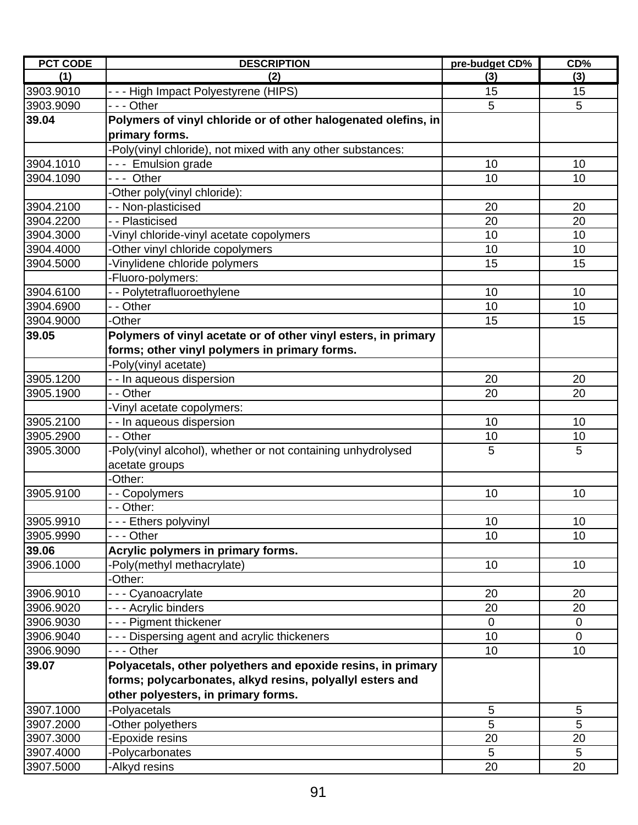| <b>PCT CODE</b> | <b>DESCRIPTION</b>                                             | pre-budget CD%  | CD%             |
|-----------------|----------------------------------------------------------------|-----------------|-----------------|
| (1)             | (2)                                                            | (3)             | (3)             |
| 3903.9010       | - - - High Impact Polyestyrene (HIPS)                          | 15              | 15              |
| 3903.9090       | --- Other                                                      | 5               | 5               |
| 39.04           | Polymers of vinyl chloride or of other halogenated olefins, in |                 |                 |
|                 | primary forms.                                                 |                 |                 |
|                 | -Poly(vinyl chloride), not mixed with any other substances:    |                 |                 |
| 3904.1010       | --- Emulsion grade                                             | 10              | 10              |
| 3904.1090       | --- Other                                                      | 10              | 10              |
|                 | -Other poly(vinyl chloride):                                   |                 |                 |
| 3904.2100       | - - Non-plasticised                                            | 20              | 20              |
| 3904.2200       | - - Plasticised                                                | 20              | 20              |
| 3904.3000       | -Vinyl chloride-vinyl acetate copolymers                       | 10              | 10              |
| 3904.4000       | Other vinyl chloride copolymers                                | 10              | 10              |
| 3904.5000       | -Vinylidene chloride polymers                                  | 15              | 15              |
|                 | -Fluoro-polymers:                                              |                 |                 |
| 3904.6100       | - - Polytetrafluoroethylene                                    | 10              | 10              |
| 3904.6900       | - - Other                                                      | 10              | 10              |
| 3904.9000       | -Other                                                         | 15              | 15              |
| 39.05           | Polymers of vinyl acetate or of other vinyl esters, in primary |                 |                 |
|                 | forms; other vinyl polymers in primary forms.                  |                 |                 |
|                 | -Poly(vinyl acetate)                                           |                 |                 |
| 3905.1200       | - - In aqueous dispersion                                      | 20              | 20              |
| 3905.1900       | - - Other                                                      | 20              | 20              |
|                 | -Vinyl acetate copolymers:                                     |                 |                 |
| 3905.2100       | - - In aqueous dispersion                                      | 10              | 10              |
| 3905.2900       | - - Other                                                      | 10              | 10              |
| 3905.3000       | -Poly(vinyl alcohol), whether or not containing unhydrolysed   | 5               | 5               |
|                 | acetate groups                                                 |                 |                 |
|                 | -Other:                                                        |                 |                 |
| 3905.9100       | -- Copolymers                                                  | 10              | 10              |
|                 | - - Other:                                                     |                 |                 |
| 3905.9910       | - Ethers polyvinyl                                             | 10 <sub>1</sub> | 10 <sub>1</sub> |
| 3905.9990       | - - - Other                                                    | 10              | 10              |
| 39.06           | Acrylic polymers in primary forms.                             |                 |                 |
| 3906.1000       | -Poly(methyl methacrylate)                                     | 10              | 10              |
|                 | -Other:                                                        |                 |                 |
| 3906.9010       | - - - Cyanoacrylate                                            | 20              | 20              |
| 3906.9020       | - - - Acrylic binders                                          | 20              | 20              |
| 3906.9030       | --- Pigment thickener                                          | $\Omega$        | $\mathbf 0$     |
| 3906.9040       | - - - Dispersing agent and acrylic thickeners                  | 10              | $\overline{0}$  |
| 3906.9090       | - - - Other                                                    | 10              | 10              |
| 39.07           | Polyacetals, other polyethers and epoxide resins, in primary   |                 |                 |
|                 | forms; polycarbonates, alkyd resins, polyallyl esters and      |                 |                 |
|                 | other polyesters, in primary forms.                            |                 |                 |
| 3907.1000       | -Polyacetals                                                   | 5               | 5               |
| 3907.2000       | -Other polyethers                                              | 5               | 5               |
| 3907.3000       | -Epoxide resins                                                | 20              | 20              |
| 3907.4000       | -Polycarbonates                                                | 5               | 5               |
| 3907.5000       | -Alkyd resins                                                  | 20              | 20              |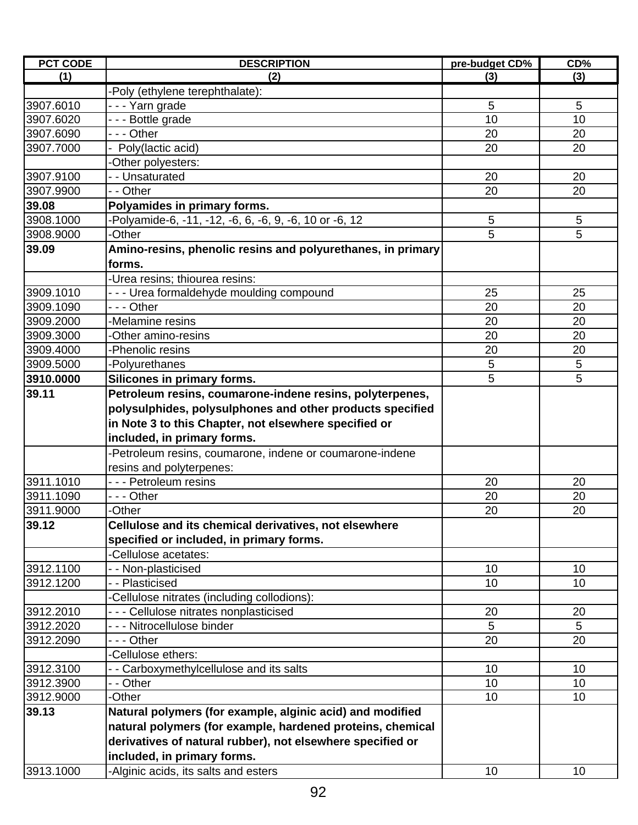| <b>PCT CODE</b> | <b>DESCRIPTION</b>                                          | pre-budget CD%  | CD% |
|-----------------|-------------------------------------------------------------|-----------------|-----|
| (1)             | (2)                                                         | (3)             | (3) |
|                 | -Poly (ethylene terephthalate):                             |                 |     |
| 3907.6010       | --- Yarn grade                                              | 5               | 5   |
| 3907.6020       | --- Bottle grade                                            | 10              | 10  |
| 3907.6090       | --- Other                                                   | 20              | 20  |
| 3907.7000       | Poly(lactic acid)                                           | 20              | 20  |
|                 | -Other polyesters:                                          |                 |     |
| 3907.9100       | - - Unsaturated                                             | 20              | 20  |
| 3907.9900       | - - Other                                                   | 20              | 20  |
| 39.08           | Polyamides in primary forms.                                |                 |     |
| 3908.1000       | -Polyamide-6, -11, -12, -6, 6, -6, 9, -6, 10 or -6, 12      | 5               | 5   |
| 3908.9000       | -Other                                                      | 5               | 5   |
| 39.09           | Amino-resins, phenolic resins and polyurethanes, in primary |                 |     |
|                 | forms.                                                      |                 |     |
|                 | -Urea resins; thiourea resins:                              |                 |     |
| 3909.1010       | --- Urea formaldehyde moulding compound                     | 25              | 25  |
| 3909.1090       | - - - Other                                                 | 20              | 20  |
| 3909.2000       | -Melamine resins                                            | 20              | 20  |
| 3909.3000       | -Other amino-resins                                         | 20              | 20  |
| 3909.4000       | -Phenolic resins                                            | 20              | 20  |
| 3909.5000       | -Polyurethanes                                              | 5               | 5   |
| 3910.0000       | Silicones in primary forms.                                 | 5               | 5   |
| 39.11           | Petroleum resins, coumarone-indene resins, polyterpenes,    |                 |     |
|                 | polysulphides, polysulphones and other products specified   |                 |     |
|                 | in Note 3 to this Chapter, not elsewhere specified or       |                 |     |
|                 | included, in primary forms.                                 |                 |     |
|                 | -Petroleum resins, coumarone, indene or coumarone-indene    |                 |     |
|                 | resins and polyterpenes:                                    |                 |     |
| 3911.1010       | - - - Petroleum resins                                      | 20              | 20  |
| 3911.1090       | - - - Other                                                 | 20              | 20  |
| 3911.9000       |                                                             | 20              | 20  |
| 39.12           | -Other                                                      |                 |     |
|                 | Cellulose and its chemical derivatives, not elsewhere       |                 |     |
|                 | specified or included, in primary forms.                    |                 |     |
|                 | -Cellulose acetates:                                        |                 |     |
| 3912.1100       | - - Non-plasticised                                         | 10              | 10  |
| 3912.1200       | -- Plasticised                                              | 10              | 10  |
|                 | -Cellulose nitrates (including collodions):                 |                 |     |
| 3912.2010       | - - - Cellulose nitrates nonplasticised                     | 20              | 20  |
| 3912.2020       | - - - Nitrocellulose binder                                 | 5               | 5   |
| 3912.2090       | - - - Other                                                 | 20              | 20  |
|                 | -Cellulose ethers:                                          |                 |     |
| 3912.3100       | - - Carboxymethylcellulose and its salts                    | 10              | 10  |
| 3912.3900       | - - Other                                                   | 10 <sup>1</sup> | 10  |
| 3912.9000       | -Other                                                      | 10              | 10  |
| 39.13           | Natural polymers (for example, alginic acid) and modified   |                 |     |
|                 | natural polymers (for example, hardened proteins, chemical  |                 |     |
|                 | derivatives of natural rubber), not elsewhere specified or  |                 |     |
|                 | included, in primary forms.                                 |                 |     |
| 3913.1000       | -Alginic acids, its salts and esters                        | 10              | 10  |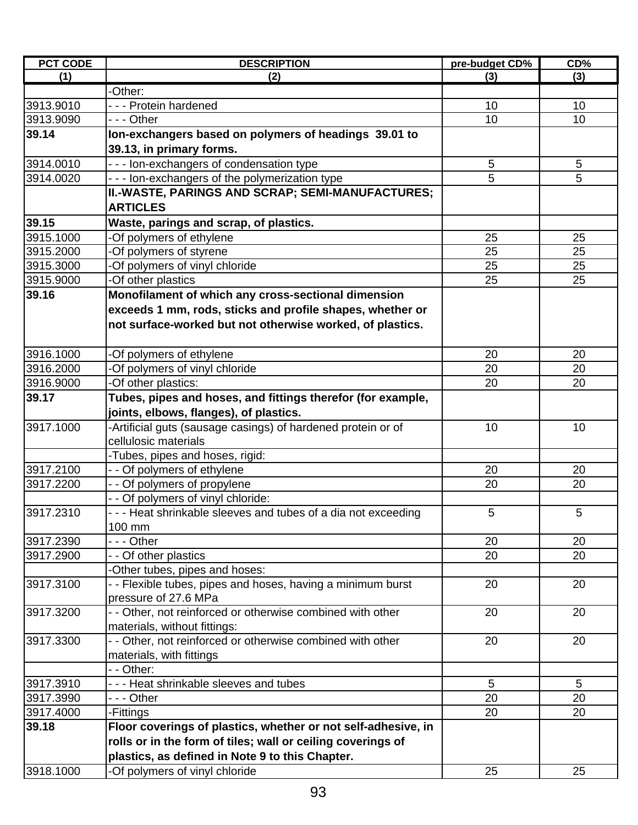| <b>PCT CODE</b> | <b>DESCRIPTION</b>                                             | pre-budget CD% | CD%      |
|-----------------|----------------------------------------------------------------|----------------|----------|
| (1)             | (2)                                                            | (3)            | (3)      |
|                 | -Other:                                                        |                |          |
| 3913.9010       | --- Protein hardened                                           | 10             | 10       |
| 3913.9090       | - - - Other                                                    | 10             | 10       |
| 39.14           | Ion-exchangers based on polymers of headings 39.01 to          |                |          |
|                 | 39.13, in primary forms.                                       |                |          |
| 3914.0010       | - - - Ion-exchangers of condensation type                      | 5              | 5        |
| 3914.0020       | - - - Ion-exchangers of the polymerization type                | 5              | 5        |
|                 | II.-WASTE, PARINGS AND SCRAP; SEMI-MANUFACTURES;               |                |          |
|                 | <b>ARTICLES</b>                                                |                |          |
| 39.15           | Waste, parings and scrap, of plastics.                         |                |          |
| 3915.1000       | -Of polymers of ethylene                                       | 25             | 25       |
| 3915.2000       | -Of polymers of styrene                                        | 25             | 25       |
| 3915.3000       | -Of polymers of vinyl chloride                                 | 25             | 25       |
| 3915.9000       | -Of other plastics                                             | 25             | 25       |
| 39.16           | Monofilament of which any cross-sectional dimension            |                |          |
|                 | exceeds 1 mm, rods, sticks and profile shapes, whether or      |                |          |
|                 | not surface-worked but not otherwise worked, of plastics.      |                |          |
|                 |                                                                |                |          |
| 3916.1000       |                                                                |                |          |
| 3916.2000       | -Of polymers of ethylene                                       | 20<br>20       | 20<br>20 |
|                 | -Of polymers of vinyl chloride                                 |                |          |
| 3916.9000       | -Of other plastics:                                            | 20             | 20       |
| 39.17           | Tubes, pipes and hoses, and fittings therefor (for example,    |                |          |
|                 | joints, elbows, flanges), of plastics.                         |                |          |
| 3917.1000       | -Artificial guts (sausage casings) of hardened protein or of   | 10             | 10       |
|                 | cellulosic materials                                           |                |          |
|                 | -Tubes, pipes and hoses, rigid:                                |                |          |
| 3917.2100       | - - Of polymers of ethylene                                    | 20             | 20       |
| 3917.2200       | - - Of polymers of propylene                                   | 20             | 20       |
|                 | - - Of polymers of vinyl chloride:                             |                |          |
| 3917.2310       | - - - Heat shrinkable sleeves and tubes of a dia not exceeding | 5              | 5        |
|                 | 100 mm                                                         |                |          |
| 3917.2390       | --- Other                                                      | 20             | 20       |
| 3917.2900       | - - Of other plastics                                          | 20             | 20       |
|                 | -Other tubes, pipes and hoses:                                 |                |          |
| 3917.3100       | - - Flexible tubes, pipes and hoses, having a minimum burst    | 20             | 20       |
|                 | pressure of 27.6 MPa                                           |                |          |
| 3917.3200       | - - Other, not reinforced or otherwise combined with other     | 20             | 20       |
|                 | materials, without fittings:                                   |                |          |
| 3917.3300       | - - Other, not reinforced or otherwise combined with other     | 20             | 20       |
|                 | materials, with fittings                                       |                |          |
|                 | - - Other:                                                     |                |          |
| 3917.3910       | - - - Heat shrinkable sleeves and tubes                        | 5              | 5        |
| 3917.3990       | --- Other                                                      | 20             | 20       |
| 3917.4000       | -Fittings                                                      | 20             | 20       |
| 39.18           | Floor coverings of plastics, whether or not self-adhesive, in  |                |          |
|                 | rolls or in the form of tiles; wall or ceiling coverings of    |                |          |
|                 | plastics, as defined in Note 9 to this Chapter.                |                |          |
| 3918.1000       | -Of polymers of vinyl chloride                                 | 25             | 25       |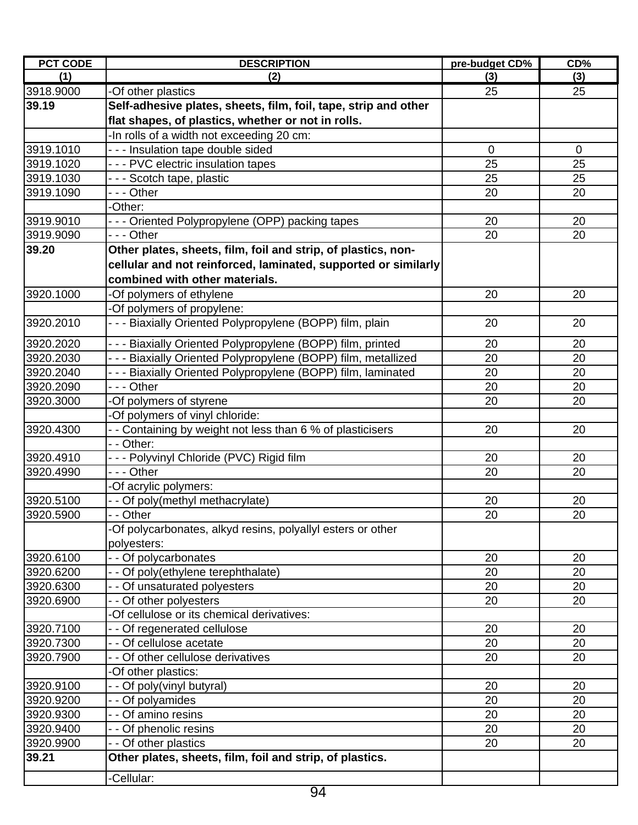| <b>PCT CODE</b> | <b>DESCRIPTION</b>                                              | pre-budget CD% | CD%         |
|-----------------|-----------------------------------------------------------------|----------------|-------------|
| (1)             | (2)                                                             | (3)            | (3)         |
| 3918.9000       | -Of other plastics                                              | 25             | 25          |
| 39.19           | Self-adhesive plates, sheets, film, foil, tape, strip and other |                |             |
|                 | flat shapes, of plastics, whether or not in rolls.              |                |             |
|                 | -In rolls of a width not exceeding 20 cm:                       |                |             |
| 3919.1010       | --- Insulation tape double sided                                | $\mathbf 0$    | $\mathbf 0$ |
| 3919.1020       | --- PVC electric insulation tapes                               | 25             | 25          |
| 3919.1030       | - - - Scotch tape, plastic                                      | 25             | 25          |
| 3919.1090       | --- Other                                                       | 20             | 20          |
|                 | -Other:                                                         |                |             |
| 3919.9010       | - - - Oriented Polypropylene (OPP) packing tapes                | 20             | 20          |
| 3919.9090       | - - - Other                                                     | 20             | 20          |
| 39.20           | Other plates, sheets, film, foil and strip, of plastics, non-   |                |             |
|                 | cellular and not reinforced, laminated, supported or similarly  |                |             |
|                 | combined with other materials.                                  |                |             |
| 3920.1000       | -Of polymers of ethylene                                        | 20             | 20          |
|                 | -Of polymers of propylene:                                      |                |             |
| 3920.2010       | --- Biaxially Oriented Polypropylene (BOPP) film, plain         | 20             | 20          |
|                 |                                                                 |                |             |
| 3920.2020       | - - - Biaxially Oriented Polypropylene (BOPP) film, printed     | 20             | 20          |
| 3920.2030       | - - - Biaxially Oriented Polypropylene (BOPP) film, metallized  | 20             | 20          |
| 3920.2040       | - - - Biaxially Oriented Polypropylene (BOPP) film, laminated   | 20             | 20          |
| 3920.2090       | - - - Other                                                     | 20             | 20          |
| 3920.3000       | -Of polymers of styrene                                         | 20             | 20          |
|                 | -Of polymers of vinyl chloride:                                 |                |             |
| 3920.4300       | - - Containing by weight not less than 6 % of plasticisers      | 20             | 20          |
|                 | - - Other:                                                      |                |             |
| 3920.4910       | --- Polyvinyl Chloride (PVC) Rigid film                         | 20             | 20          |
| 3920.4990       | --- Other                                                       | 20             | 20          |
|                 | -Of acrylic polymers:                                           |                |             |
| 3920.5100       | - - Of poly(methyl methacrylate)                                | 20             | 20          |
| 3920.5900       | - - Other                                                       | 20             | 20          |
|                 | -Of polycarbonates, alkyd resins, polyallyl esters or other     |                |             |
|                 | polyesters:                                                     |                |             |
| 3920.6100       | - - Of polycarbonates                                           | 20             | 20          |
| 3920.6200       | Of poly(ethylene terephthalate)                                 | 20             | 20          |
| 3920.6300       | - - Of unsaturated polyesters                                   | 20             | 20          |
| 3920.6900       | - - Of other polyesters                                         | 20             | 20          |
|                 | -Of cellulose or its chemical derivatives:                      |                |             |
| 3920.7100       | - - Of regenerated cellulose                                    | 20             | 20          |
| 3920.7300       | - - Of cellulose acetate                                        | 20             | 20          |
| 3920.7900       | - - Of other cellulose derivatives                              | 20             | 20          |
|                 | -Of other plastics:                                             |                |             |
| 3920.9100       | - - Of poly(vinyl butyral)                                      | 20             | 20          |
| 3920.9200       | - Of polyamides                                                 | 20             | 20          |
| 3920.9300       | - - Of amino resins                                             | 20             | 20          |
| 3920.9400       | - Of phenolic resins                                            | 20             | 20          |
| 3920.9900       | - Of other plastics                                             | 20             | 20          |
| 39.21           | Other plates, sheets, film, foil and strip, of plastics.        |                |             |
|                 | Cellular:                                                       |                |             |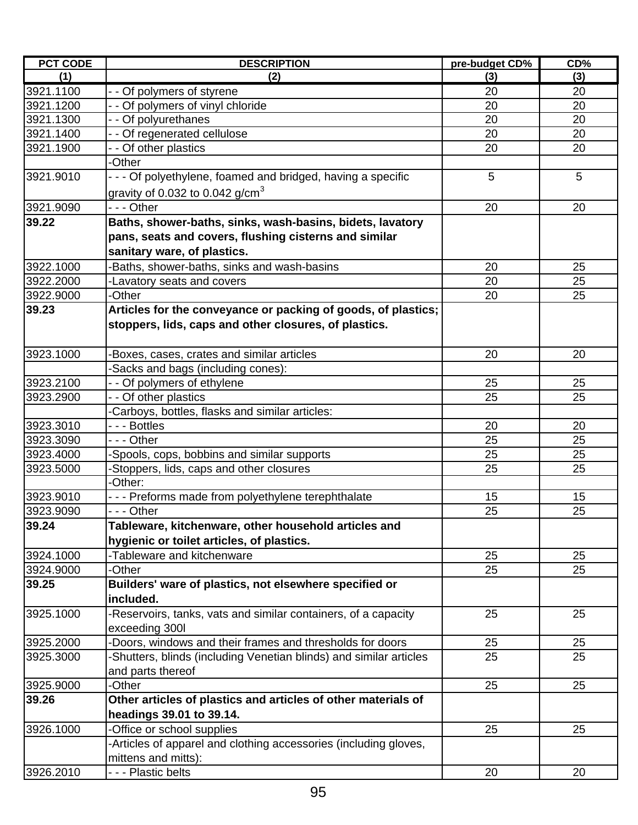| <b>PCT CODE</b>        | <b>DESCRIPTION</b>                                                 | pre-budget CD% | CD%      |
|------------------------|--------------------------------------------------------------------|----------------|----------|
| (1)                    | (2)                                                                | (3)            | (3)      |
| 3921.1100              | - - Of polymers of styrene                                         | 20             | 20       |
| 3921.1200              | - - Of polymers of vinyl chloride                                  | 20             | 20       |
| 3921.1300              | - - Of polyurethanes                                               | 20             | 20       |
| 3921.1400              | Of regenerated cellulose                                           | 20             | 20       |
| 3921.1900              | - - Of other plastics                                              | 20             | 20       |
|                        | -Other                                                             |                |          |
| 3921.9010              | - - - Of polyethylene, foamed and bridged, having a specific       | 5              | 5        |
|                        | gravity of 0.032 to 0.042 g/cm <sup>3</sup>                        |                |          |
| 3921.9090              | --- Other                                                          | 20             | 20       |
| 39.22                  | Baths, shower-baths, sinks, wash-basins, bidets, lavatory          |                |          |
|                        | pans, seats and covers, flushing cisterns and similar              |                |          |
|                        | sanitary ware, of plastics.                                        |                |          |
| 3922.1000              | Baths, shower-baths, sinks and wash-basins                         | 20             | 25       |
| 3922.2000              | Lavatory seats and covers                                          | 20             | 25       |
| 3922.9000              | -Other                                                             | 20             | 25       |
| 39.23                  | Articles for the conveyance or packing of goods, of plastics;      |                |          |
|                        | stoppers, lids, caps and other closures, of plastics.              |                |          |
|                        |                                                                    |                |          |
|                        |                                                                    | 20             |          |
| 3923.1000              | Boxes, cases, crates and similar articles                          |                | 20       |
|                        | Sacks and bags (including cones):                                  |                |          |
| 3923.2100<br>3923.2900 | - - Of polymers of ethylene<br>- - Of other plastics               | 25<br>25       | 25<br>25 |
|                        |                                                                    |                |          |
| 3923.3010              | Carboys, bottles, flasks and similar articles:<br>- - - Bottles    | 20             | 20       |
| 3923.3090              | - - - Other                                                        | 25             | 25       |
| 3923.4000              | -Spools, cops, bobbins and similar supports                        | 25             | 25       |
| 3923.5000              |                                                                    | 25             | 25       |
|                        | Stoppers, lids, caps and other closures<br>-Other:                 |                |          |
| 3923.9010              | - - - Preforms made from polyethylene terephthalate                | 15             | 15       |
| 3923.9090              | - - - Other                                                        | 25             | 25       |
| 39.24                  | Tableware, kitchenware, other household articles and               |                |          |
|                        | hygienic or toilet articles, of plastics.                          |                |          |
| 3924.1000              | -Tableware and kitchenware                                         | 25             | 25       |
|                        | -Other                                                             | 25             | 25       |
| 3924.9000<br>39.25     | Builders' ware of plastics, not elsewhere specified or             |                |          |
|                        |                                                                    |                |          |
|                        | included.                                                          |                |          |
| 3925.1000              | -Reservoirs, tanks, vats and similar containers, of a capacity     | 25             | 25       |
|                        | exceeding 300l                                                     |                |          |
| 3925.2000              | Doors, windows and their frames and thresholds for doors           | 25             | 25       |
| 3925.3000              | -Shutters, blinds (including Venetian blinds) and similar articles | 25             | 25       |
|                        | and parts thereof                                                  |                |          |
| 3925.9000              | -Other                                                             | 25             | 25       |
| 39.26                  | Other articles of plastics and articles of other materials of      |                |          |
|                        | headings 39.01 to 39.14.                                           |                |          |
| 3926.1000              | -Office or school supplies                                         | 25             | 25       |
|                        | Articles of apparel and clothing accessories (including gloves,    |                |          |
|                        | mittens and mitts):                                                |                |          |
| 3926.2010              | - - - Plastic belts                                                | 20             | 20       |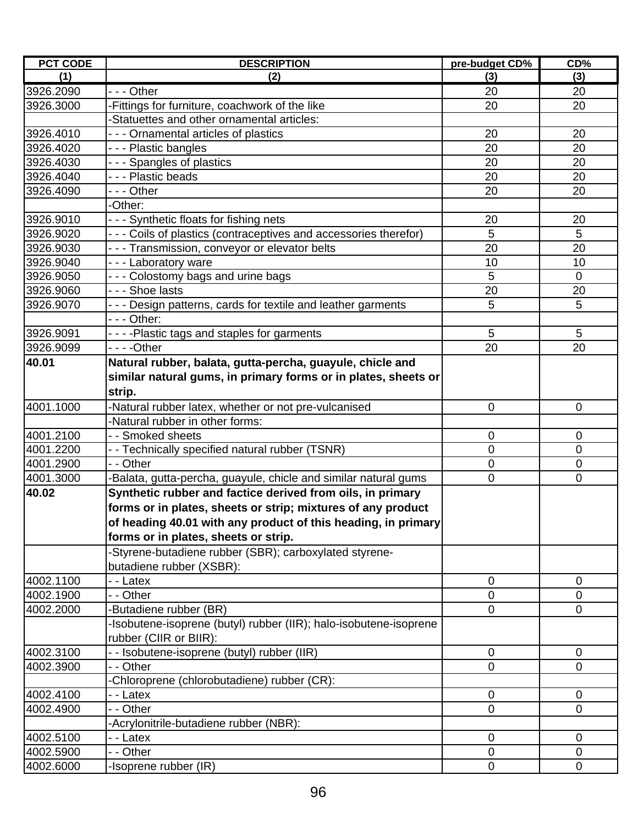| <b>PCT CODE</b> | <b>DESCRIPTION</b>                                                | pre-budget CD% | CD%         |
|-----------------|-------------------------------------------------------------------|----------------|-------------|
| (1)             | (2)                                                               | (3)            | (3)         |
| 3926.2090       | --- Other                                                         | 20             | 20          |
| 3926.3000       | -Fittings for furniture, coachwork of the like                    | 20             | 20          |
|                 | -Statuettes and other ornamental articles:                        |                |             |
| 3926.4010       | - - - Ornamental articles of plastics                             | 20             | 20          |
| 3926.4020       | - - - Plastic bangles                                             | 20             | 20          |
| 3926.4030       | - - - Spangles of plastics                                        | 20             | 20          |
| 3926.4040       | - - - Plastic beads                                               | 20             | 20          |
| 3926.4090       | --- Other                                                         | 20             | 20          |
|                 | -Other:                                                           |                |             |
| 3926.9010       | - - - Synthetic floats for fishing nets                           | 20             | 20          |
| 3926.9020       | - - - Coils of plastics (contraceptives and accessories therefor) | 5              | 5           |
| 3926.9030       | - - - Transmission, conveyor or elevator belts                    | 20             | 20          |
| 3926.9040       | --- Laboratory ware                                               | 10             | 10          |
| 3926.9050       | - - - Colostomy bags and urine bags                               | 5              | $\mathbf 0$ |
| 3926.9060       | --- Shoe lasts                                                    | 20             | 20          |
| 3926.9070       | - - - Design patterns, cards for textile and leather garments     | 5              | 5           |
|                 | - - - Other:                                                      |                |             |
| 3926.9091       | - - - - Plastic tags and staples for garments                     | 5              | 5           |
| 3926.9099       | $- - -$ Other                                                     | 20             | 20          |
| 40.01           | Natural rubber, balata, gutta-percha, guayule, chicle and         |                |             |
|                 | similar natural gums, in primary forms or in plates, sheets or    |                |             |
|                 | strip.                                                            |                |             |
| 4001.1000       | -Natural rubber latex, whether or not pre-vulcanised              | $\mathbf 0$    | $\mathbf 0$ |
|                 | -Natural rubber in other forms:                                   |                |             |
| 4001.2100       | - - Smoked sheets                                                 | 0              | $\mathbf 0$ |
| 4001.2200       | - - Technically specified natural rubber (TSNR)                   | 0              | 0           |
| 4001.2900       | - - Other                                                         | 0              | $\mathbf 0$ |
| 4001.3000       | -Balata, gutta-percha, guayule, chicle and similar natural gums   | 0              | $\mathbf 0$ |
| 40.02           | Synthetic rubber and factice derived from oils, in primary        |                |             |
|                 | forms or in plates, sheets or strip; mixtures of any product      |                |             |
|                 | of heading 40.01 with any product of this heading, in primary     |                |             |
|                 | forms or in plates, sheets or strip.                              |                |             |
|                 | -Styrene-butadiene rubber (SBR); carboxylated styrene-            |                |             |
|                 | butadiene rubber (XSBR):                                          |                |             |
| 4002.1100       | - Latex                                                           | $\mathbf 0$    | $\mathbf 0$ |
| 4002.1900       | - - Other                                                         | 0              | 0           |
| 4002.2000       | -Butadiene rubber (BR)                                            | $\overline{0}$ | 0           |
|                 | -Isobutene-isoprene (butyl) rubber (IIR); halo-isobutene-isoprene |                |             |
|                 | rubber (CIIR or BIIR):                                            |                |             |
| 4002.3100       | - - Isobutene-isoprene (butyl) rubber (IIR)                       | $\mathbf 0$    | 0           |
| 4002.3900       | - - Other                                                         | 0              | $\Omega$    |
|                 | -Chloroprene (chlorobutadiene) rubber (CR):                       |                |             |
| 4002.4100       | - - Latex                                                         | 0              | $\mathbf 0$ |
| 4002.4900       | - - Other                                                         | 0              | 0           |
|                 | -Acrylonitrile-butadiene rubber (NBR):                            |                |             |
| 4002.5100       | - - Latex                                                         | $\mathbf 0$    | $\mathbf 0$ |
| 4002.5900       | - - Other                                                         | 0              | 0           |
| 4002.6000       | -Isoprene rubber (IR)                                             | 0              | 0           |
|                 |                                                                   |                |             |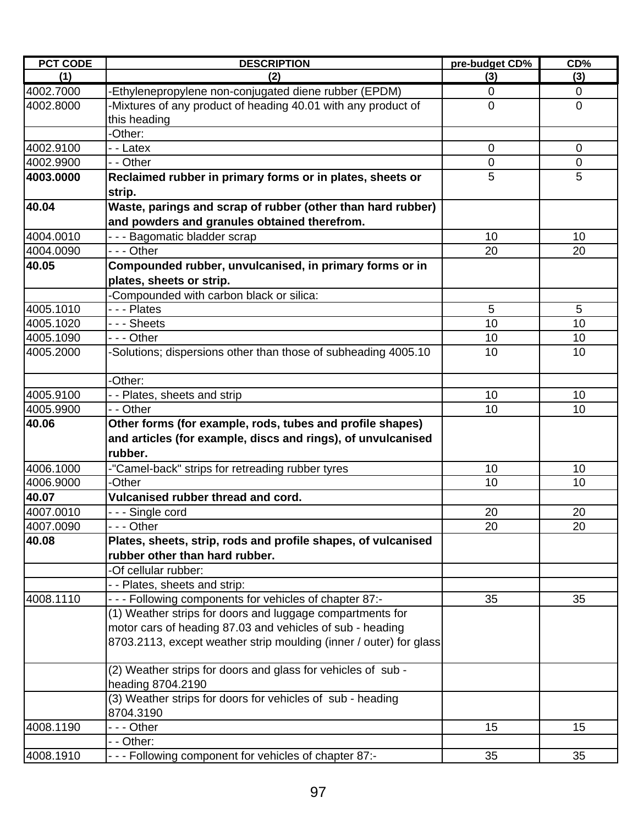| <b>PCT CODE</b> | <b>DESCRIPTION</b>                                                  | pre-budget CD% | $CD\%$         |
|-----------------|---------------------------------------------------------------------|----------------|----------------|
| (1)             | (2)                                                                 | (3)            | (3)            |
| 4002.7000       | -Ethylenepropylene non-conjugated diene rubber (EPDM)               | $\mathbf 0$    | $\mathbf 0$    |
| 4002.8000       | -Mixtures of any product of heading 40.01 with any product of       | $\mathbf 0$    | $\mathbf 0$    |
|                 | this heading                                                        |                |                |
|                 | -Other:                                                             |                |                |
| 4002.9100       | - - Latex                                                           | $\overline{0}$ | $\Omega$       |
| 4002.9900       | - - Other                                                           | $\mathbf 0$    | $\overline{0}$ |
| 4003.0000       | Reclaimed rubber in primary forms or in plates, sheets or<br>strip. | 5              | 5              |
| 40.04           | Waste, parings and scrap of rubber (other than hard rubber)         |                |                |
|                 | and powders and granules obtained therefrom.                        |                |                |
| 4004.0010       | --- Bagomatic bladder scrap                                         | 10             | 10             |
| 4004.0090       | - - - Other                                                         | 20             | 20             |
| 40.05           | Compounded rubber, unvulcanised, in primary forms or in             |                |                |
|                 | plates, sheets or strip.                                            |                |                |
|                 | -Compounded with carbon black or silica:                            |                |                |
| 4005.1010       | --- Plates                                                          | 5              | 5              |
| 4005.1020       | - - - Sheets                                                        | 10             | 10             |
| 4005.1090       | - - - Other                                                         | 10             | 10             |
| 4005.2000       | -Solutions; dispersions other than those of subheading 4005.10      | 10             | 10             |
|                 |                                                                     |                |                |
|                 | -Other:                                                             |                |                |
| 4005.9100       | - - Plates, sheets and strip                                        | 10             | 10             |
| 4005.9900       | - - Other                                                           | 10             | 10             |
| 40.06           | Other forms (for example, rods, tubes and profile shapes)           |                |                |
|                 | and articles (for example, discs and rings), of unvulcanised        |                |                |
|                 | rubber.                                                             |                |                |
| 4006.1000       | -"Camel-back" strips for retreading rubber tyres                    | 10             | 10             |
| 4006.9000       | -Other                                                              | 10             | 10             |
| 40.07           | Vulcanised rubber thread and cord.                                  |                |                |
| 4007.0010       | --- Single cord                                                     | 20             | 20             |
| 4007.0090       |                                                                     | 20             | 20             |
| 40.08           | Plates, sheets, strip, rods and profile shapes, of vulcanised       |                |                |
|                 | rubber other than hard rubber.                                      |                |                |
|                 | -Of cellular rubber:                                                |                |                |
|                 | - - Plates, sheets and strip:                                       |                |                |
| 4008.1110       | - - - Following components for vehicles of chapter 87:-             | 35             | 35             |
|                 | (1) Weather strips for doors and luggage compartments for           |                |                |
|                 | motor cars of heading 87.03 and vehicles of sub - heading           |                |                |
|                 | 8703.2113, except weather strip moulding (inner / outer) for glass  |                |                |
|                 |                                                                     |                |                |
|                 | (2) Weather strips for doors and glass for vehicles of sub -        |                |                |
|                 | heading 8704.2190                                                   |                |                |
|                 | (3) Weather strips for doors for vehicles of sub - heading          |                |                |
|                 | 8704.3190                                                           |                |                |
| 4008.1190       | - - - Other                                                         | 15             | 15             |
|                 | - - Other:                                                          |                |                |
| 4008.1910       | - - - Following component for vehicles of chapter 87:-              | 35             | 35             |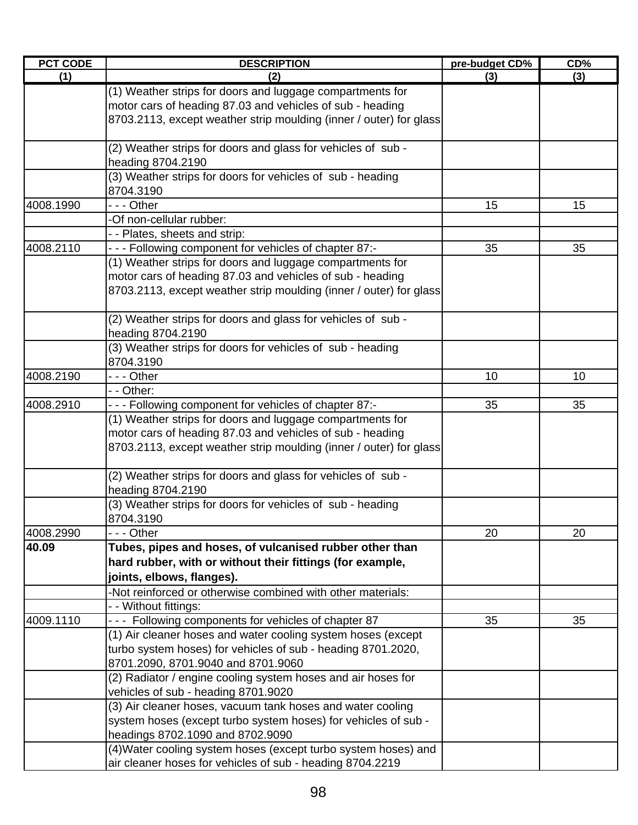| <b>PCT CODE</b> | <b>DESCRIPTION</b>                                                 | pre-budget CD% | $CD\%$ |
|-----------------|--------------------------------------------------------------------|----------------|--------|
| (1)             | (2)                                                                | (3)            | (3)    |
|                 | (1) Weather strips for doors and luggage compartments for          |                |        |
|                 | motor cars of heading 87.03 and vehicles of sub - heading          |                |        |
|                 | 8703.2113, except weather strip moulding (inner / outer) for glass |                |        |
|                 |                                                                    |                |        |
|                 | (2) Weather strips for doors and glass for vehicles of sub -       |                |        |
|                 | heading 8704.2190                                                  |                |        |
|                 | (3) Weather strips for doors for vehicles of sub - heading         |                |        |
|                 | 8704.3190                                                          |                |        |
| 4008.1990       | - - - Other                                                        | 15             | 15     |
|                 | -Of non-cellular rubber:                                           |                |        |
|                 | - - Plates, sheets and strip:                                      |                |        |
| 4008.2110       | --- Following component for vehicles of chapter 87:-               | 35             | 35     |
|                 | (1) Weather strips for doors and luggage compartments for          |                |        |
|                 | motor cars of heading 87.03 and vehicles of sub - heading          |                |        |
|                 | 8703.2113, except weather strip moulding (inner / outer) for glass |                |        |
|                 |                                                                    |                |        |
|                 | (2) Weather strips for doors and glass for vehicles of sub -       |                |        |
|                 | heading 8704.2190                                                  |                |        |
|                 | (3) Weather strips for doors for vehicles of sub - heading         |                |        |
|                 | 8704.3190                                                          |                |        |
| 4008.2190       | - - - Other                                                        | 10             | 10     |
|                 | - - Other:                                                         |                |        |
| 4008.2910       | - - - Following component for vehicles of chapter 87:-             | 35             | 35     |
|                 | (1) Weather strips for doors and luggage compartments for          |                |        |
|                 | motor cars of heading 87.03 and vehicles of sub - heading          |                |        |
|                 | 8703.2113, except weather strip moulding (inner / outer) for glass |                |        |
|                 |                                                                    |                |        |
|                 | (2) Weather strips for doors and glass for vehicles of sub -       |                |        |
|                 | heading 8704.2190                                                  |                |        |
|                 | (3) Weather strips for doors for vehicles of sub - heading         |                |        |
|                 | 8704.3190                                                          |                |        |
| 4008.2990       | - - - Other                                                        | 20             | 20     |
| 40.09           | Tubes, pipes and hoses, of vulcanised rubber other than            |                |        |
|                 | hard rubber, with or without their fittings (for example,          |                |        |
|                 | joints, elbows, flanges).                                          |                |        |
|                 | -Not reinforced or otherwise combined with other materials:        |                |        |
|                 | - - Without fittings:                                              |                |        |
| 4009.1110       | --- Following components for vehicles of chapter 87                | 35             | 35     |
|                 | (1) Air cleaner hoses and water cooling system hoses (except       |                |        |
|                 | turbo system hoses) for vehicles of sub - heading 8701.2020,       |                |        |
|                 | 8701.2090, 8701.9040 and 8701.9060                                 |                |        |
|                 | (2) Radiator / engine cooling system hoses and air hoses for       |                |        |
|                 | vehicles of sub - heading 8701.9020                                |                |        |
|                 | (3) Air cleaner hoses, vacuum tank hoses and water cooling         |                |        |
|                 | system hoses (except turbo system hoses) for vehicles of sub -     |                |        |
|                 | headings 8702.1090 and 8702.9090                                   |                |        |
|                 | (4) Water cooling system hoses (except turbo system hoses) and     |                |        |
|                 | air cleaner hoses for vehicles of sub - heading 8704.2219          |                |        |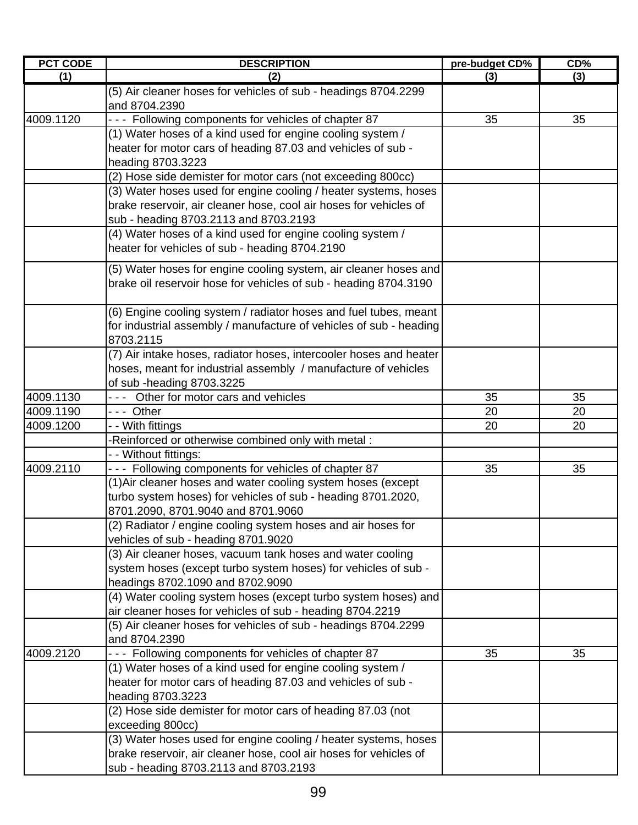| <b>PCT CODE</b> | <b>DESCRIPTION</b>                                                              | pre-budget CD% | CD% |
|-----------------|---------------------------------------------------------------------------------|----------------|-----|
| (1)             | (2)                                                                             | (3)            | (3) |
|                 | (5) Air cleaner hoses for vehicles of sub - headings 8704.2299<br>and 8704.2390 |                |     |
| 4009.1120       |                                                                                 |                |     |
|                 | - - - Following components for vehicles of chapter 87                           | 35             | 35  |
|                 | (1) Water hoses of a kind used for engine cooling system /                      |                |     |
|                 | heater for motor cars of heading 87.03 and vehicles of sub -                    |                |     |
|                 | heading 8703.3223                                                               |                |     |
|                 | (2) Hose side demister for motor cars (not exceeding 800cc)                     |                |     |
|                 | (3) Water hoses used for engine cooling / heater systems, hoses                 |                |     |
|                 | brake reservoir, air cleaner hose, cool air hoses for vehicles of               |                |     |
|                 | sub - heading 8703.2113 and 8703.2193                                           |                |     |
|                 | (4) Water hoses of a kind used for engine cooling system /                      |                |     |
|                 | heater for vehicles of sub - heading 8704.2190                                  |                |     |
|                 | (5) Water hoses for engine cooling system, air cleaner hoses and                |                |     |
|                 | brake oil reservoir hose for vehicles of sub - heading 8704.3190                |                |     |
|                 |                                                                                 |                |     |
|                 | (6) Engine cooling system / radiator hoses and fuel tubes, meant                |                |     |
|                 | for industrial assembly / manufacture of vehicles of sub - heading              |                |     |
|                 | 8703.2115                                                                       |                |     |
|                 | (7) Air intake hoses, radiator hoses, intercooler hoses and heater              |                |     |
|                 | hoses, meant for industrial assembly / manufacture of vehicles                  |                |     |
|                 | of sub -heading 8703.3225                                                       |                |     |
| 4009.1130       | --- Other for motor cars and vehicles                                           | 35             | 35  |
| 4009.1190       | --- Other                                                                       | 20             | 20  |
| 4009.1200       | - - With fittings                                                               | 20             | 20  |
|                 | -Reinforced or otherwise combined only with metal:                              |                |     |
|                 | - - Without fittings:                                                           |                |     |
| 4009.2110       | --- Following components for vehicles of chapter 87                             | 35             | 35  |
|                 | (1) Air cleaner hoses and water cooling system hoses (except                    |                |     |
|                 | turbo system hoses) for vehicles of sub - heading 8701.2020,                    |                |     |
|                 | 8701.2090, 8701.9040 and 8701.9060                                              |                |     |
|                 | (2) Radiator / engine cooling system hoses and air hoses for                    |                |     |
|                 | vehicles of sub - heading 8701.9020                                             |                |     |
|                 | (3) Air cleaner hoses, vacuum tank hoses and water cooling                      |                |     |
|                 | system hoses (except turbo system hoses) for vehicles of sub -                  |                |     |
|                 | headings 8702.1090 and 8702.9090                                                |                |     |
|                 | (4) Water cooling system hoses (except turbo system hoses) and                  |                |     |
|                 | air cleaner hoses for vehicles of sub - heading 8704.2219                       |                |     |
|                 | (5) Air cleaner hoses for vehicles of sub - headings 8704.2299                  |                |     |
|                 | and 8704.2390                                                                   |                |     |
| 4009.2120       | --- Following components for vehicles of chapter 87                             | 35             | 35  |
|                 | (1) Water hoses of a kind used for engine cooling system /                      |                |     |
|                 | heater for motor cars of heading 87.03 and vehicles of sub -                    |                |     |
|                 | heading 8703.3223                                                               |                |     |
|                 | (2) Hose side demister for motor cars of heading 87.03 (not                     |                |     |
|                 | exceeding 800cc)                                                                |                |     |
|                 | (3) Water hoses used for engine cooling / heater systems, hoses                 |                |     |
|                 | brake reservoir, air cleaner hose, cool air hoses for vehicles of               |                |     |
|                 | sub - heading 8703.2113 and 8703.2193                                           |                |     |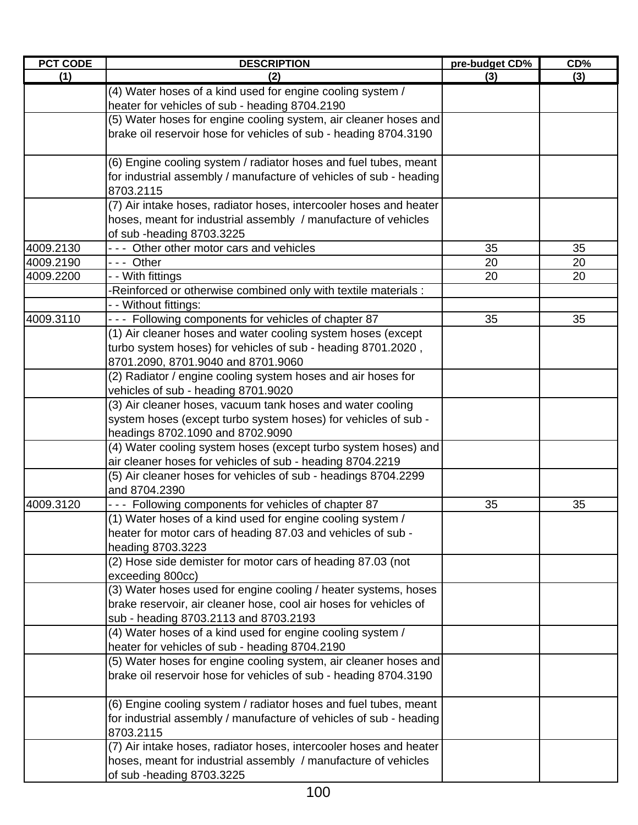| <b>PCT CODE</b> | <b>DESCRIPTION</b>                                                                                                           | pre-budget CD% | CD% |
|-----------------|------------------------------------------------------------------------------------------------------------------------------|----------------|-----|
| (1)             | (2)                                                                                                                          | (3)            | (3) |
|                 | (4) Water hoses of a kind used for engine cooling system /                                                                   |                |     |
|                 | heater for vehicles of sub - heading 8704.2190                                                                               |                |     |
|                 | (5) Water hoses for engine cooling system, air cleaner hoses and                                                             |                |     |
|                 | brake oil reservoir hose for vehicles of sub - heading 8704.3190                                                             |                |     |
|                 | (6) Engine cooling system / radiator hoses and fuel tubes, meant                                                             |                |     |
|                 | for industrial assembly / manufacture of vehicles of sub - heading<br>8703.2115                                              |                |     |
|                 | (7) Air intake hoses, radiator hoses, intercooler hoses and heater                                                           |                |     |
|                 | hoses, meant for industrial assembly / manufacture of vehicles                                                               |                |     |
|                 | of sub -heading 8703.3225                                                                                                    |                |     |
| 4009.2130       | --- Other other motor cars and vehicles                                                                                      | 35             | 35  |
| 4009.2190       | --- Other                                                                                                                    | 20             | 20  |
| 4009.2200       | - - With fittings                                                                                                            | 20             | 20  |
|                 | -Reinforced or otherwise combined only with textile materials:                                                               |                |     |
|                 | - - Without fittings:                                                                                                        |                |     |
| 4009.3110       | - - - Following components for vehicles of chapter 87                                                                        | 35             | 35  |
|                 | (1) Air cleaner hoses and water cooling system hoses (except                                                                 |                |     |
|                 | turbo system hoses) for vehicles of sub - heading 8701.2020,                                                                 |                |     |
|                 | 8701.2090, 8701.9040 and 8701.9060                                                                                           |                |     |
|                 | (2) Radiator / engine cooling system hoses and air hoses for                                                                 |                |     |
|                 | vehicles of sub - heading 8701.9020                                                                                          |                |     |
|                 | (3) Air cleaner hoses, vacuum tank hoses and water cooling<br>system hoses (except turbo system hoses) for vehicles of sub - |                |     |
|                 | headings 8702.1090 and 8702.9090                                                                                             |                |     |
|                 | (4) Water cooling system hoses (except turbo system hoses) and                                                               |                |     |
|                 | air cleaner hoses for vehicles of sub - heading 8704.2219                                                                    |                |     |
|                 | (5) Air cleaner hoses for vehicles of sub - headings 8704.2299                                                               |                |     |
|                 | and 8704.2390                                                                                                                |                |     |
| 4009.3120       | --- Following components for vehicles of chapter 87                                                                          | 35             | 35  |
|                 | (1) Water hoses of a kind used for engine cooling system /                                                                   |                |     |
|                 | heater for motor cars of heading 87.03 and vehicles of sub -                                                                 |                |     |
|                 | heading 8703.3223                                                                                                            |                |     |
|                 | (2) Hose side demister for motor cars of heading 87.03 (not                                                                  |                |     |
|                 | exceeding 800cc)                                                                                                             |                |     |
|                 | (3) Water hoses used for engine cooling / heater systems, hoses                                                              |                |     |
|                 | brake reservoir, air cleaner hose, cool air hoses for vehicles of                                                            |                |     |
|                 | sub - heading 8703.2113 and 8703.2193                                                                                        |                |     |
|                 | (4) Water hoses of a kind used for engine cooling system /                                                                   |                |     |
|                 | heater for vehicles of sub - heading 8704.2190                                                                               |                |     |
|                 | (5) Water hoses for engine cooling system, air cleaner hoses and                                                             |                |     |
|                 | brake oil reservoir hose for vehicles of sub - heading 8704.3190                                                             |                |     |
|                 | (6) Engine cooling system / radiator hoses and fuel tubes, meant                                                             |                |     |
|                 | for industrial assembly / manufacture of vehicles of sub - heading                                                           |                |     |
|                 | 8703.2115                                                                                                                    |                |     |
|                 | (7) Air intake hoses, radiator hoses, intercooler hoses and heater                                                           |                |     |
|                 | hoses, meant for industrial assembly / manufacture of vehicles<br>of sub -heading 8703.3225                                  |                |     |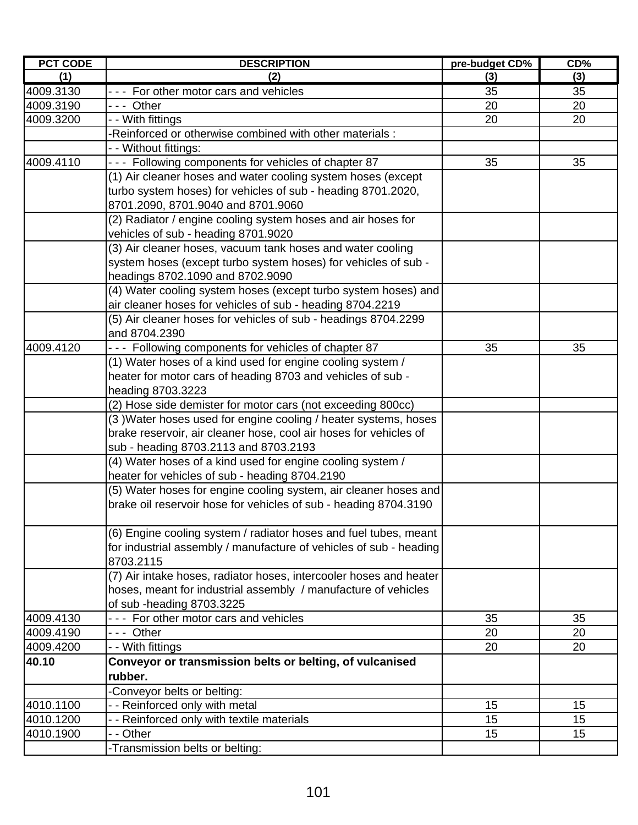| <b>PCT CODE</b> | <b>DESCRIPTION</b>                                                 | pre-budget CD% | CD% |
|-----------------|--------------------------------------------------------------------|----------------|-----|
| (1)             | (2)                                                                | (3)            | (3) |
| 4009.3130       | --- For other motor cars and vehicles                              | 35             | 35  |
| 4009.3190       | --- Other                                                          | 20             | 20  |
| 4009.3200       | - With fittings                                                    | 20             | 20  |
|                 | Reinforced or otherwise combined with other materials:             |                |     |
|                 | - - Without fittings:                                              |                |     |
| 4009.4110       | - - - Following components for vehicles of chapter 87              | 35             | 35  |
|                 | (1) Air cleaner hoses and water cooling system hoses (except       |                |     |
|                 | turbo system hoses) for vehicles of sub - heading 8701.2020,       |                |     |
|                 | 8701.2090, 8701.9040 and 8701.9060                                 |                |     |
|                 | (2) Radiator / engine cooling system hoses and air hoses for       |                |     |
|                 | vehicles of sub - heading 8701.9020                                |                |     |
|                 | (3) Air cleaner hoses, vacuum tank hoses and water cooling         |                |     |
|                 | system hoses (except turbo system hoses) for vehicles of sub -     |                |     |
|                 | headings 8702.1090 and 8702.9090                                   |                |     |
|                 | (4) Water cooling system hoses (except turbo system hoses) and     |                |     |
|                 | air cleaner hoses for vehicles of sub - heading 8704.2219          |                |     |
|                 | (5) Air cleaner hoses for vehicles of sub - headings 8704.2299     |                |     |
|                 | and 8704.2390                                                      |                |     |
| 4009.4120       | --- Following components for vehicles of chapter 87                | 35             | 35  |
|                 | (1) Water hoses of a kind used for engine cooling system /         |                |     |
|                 | heater for motor cars of heading 8703 and vehicles of sub -        |                |     |
|                 | heading 8703.3223                                                  |                |     |
|                 | (2) Hose side demister for motor cars (not exceeding 800cc)        |                |     |
|                 | (3) Water hoses used for engine cooling / heater systems, hoses    |                |     |
|                 | brake reservoir, air cleaner hose, cool air hoses for vehicles of  |                |     |
|                 | sub - heading 8703.2113 and 8703.2193                              |                |     |
|                 | (4) Water hoses of a kind used for engine cooling system /         |                |     |
|                 | heater for vehicles of sub - heading 8704.2190                     |                |     |
|                 | (5) Water hoses for engine cooling system, air cleaner hoses and   |                |     |
|                 | brake oil reservoir hose for vehicles of sub - heading 8704.3190   |                |     |
|                 |                                                                    |                |     |
|                 | (6) Engine cooling system / radiator hoses and fuel tubes, meant   |                |     |
|                 | for industrial assembly / manufacture of vehicles of sub - heading |                |     |
|                 | 8703.2115                                                          |                |     |
|                 | (7) Air intake hoses, radiator hoses, intercooler hoses and heater |                |     |
|                 | hoses, meant for industrial assembly / manufacture of vehicles     |                |     |
|                 | of sub-heading 8703.3225                                           |                |     |
| 4009.4130       | --- For other motor cars and vehicles                              | 35             | 35  |
| 4009.4190       | --- Other                                                          | 20             | 20  |
| 4009.4200       | - - With fittings                                                  | 20             | 20  |
| 40.10           | Conveyor or transmission belts or belting, of vulcanised           |                |     |
|                 | rubber.                                                            |                |     |
|                 | Conveyor belts or belting:                                         |                |     |
| 4010.1100       | - - Reinforced only with metal                                     | 15             | 15  |
| 4010.1200       | - - Reinforced only with textile materials                         | 15             | 15  |
| 4010.1900       | - Other                                                            | 15             | 15  |
|                 | -Transmission belts or belting:                                    |                |     |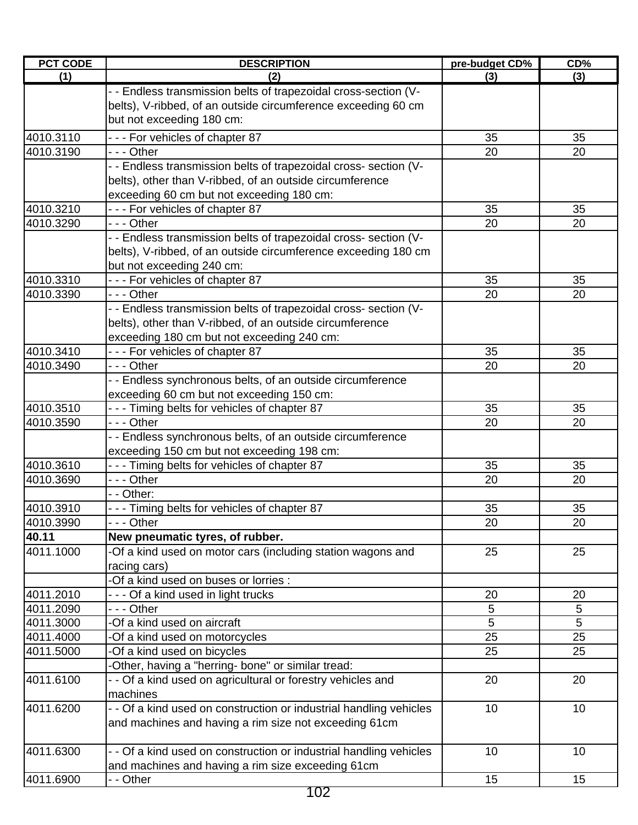| <b>PCT CODE</b> | <b>DESCRIPTION</b>                                                 | pre-budget CD% | CD% |
|-----------------|--------------------------------------------------------------------|----------------|-----|
| (1)             | (2)                                                                | (3)            | (3) |
|                 | - - Endless transmission belts of trapezoidal cross-section (V-    |                |     |
|                 | belts), V-ribbed, of an outside circumference exceeding 60 cm      |                |     |
|                 | but not exceeding 180 cm:                                          |                |     |
| 4010.3110       | --- For vehicles of chapter 87                                     | 35             | 35  |
| 4010.3190       | $- -$ - Other                                                      | 20             | 20  |
|                 | - - Endless transmission belts of trapezoidal cross- section (V-   |                |     |
|                 | belts), other than V-ribbed, of an outside circumference           |                |     |
|                 | exceeding 60 cm but not exceeding 180 cm:                          |                |     |
| 4010.3210       | --- For vehicles of chapter 87                                     | 35             | 35  |
| 4010.3290       | $- -$ - Other                                                      | 20             | 20  |
|                 | - - Endless transmission belts of trapezoidal cross- section (V-   |                |     |
|                 | belts), V-ribbed, of an outside circumference exceeding 180 cm     |                |     |
|                 | but not exceeding 240 cm:                                          |                |     |
| 4010.3310       | --- For vehicles of chapter 87                                     | 35             | 35  |
| 4010.3390       | $- -$ Other                                                        | 20             | 20  |
|                 | - - Endless transmission belts of trapezoidal cross- section (V-   |                |     |
|                 | belts), other than V-ribbed, of an outside circumference           |                |     |
|                 | exceeding 180 cm but not exceeding 240 cm:                         |                |     |
| 4010.3410       | - - - For vehicles of chapter 87                                   | 35             | 35  |
| 4010.3490       | $- -$ - Other                                                      | 20             | 20  |
|                 | - - Endless synchronous belts, of an outside circumference         |                |     |
|                 | exceeding 60 cm but not exceeding 150 cm:                          |                |     |
| 4010.3510       | - - - Timing belts for vehicles of chapter 87                      | 35             | 35  |
| 4010.3590       | $--$ Other                                                         | 20             | 20  |
|                 | - - Endless synchronous belts, of an outside circumference         |                |     |
|                 | exceeding 150 cm but not exceeding 198 cm:                         |                |     |
| 4010.3610       | - - - Timing belts for vehicles of chapter 87                      | 35             | 35  |
| 4010.3690       | --- Other                                                          | 20             | 20  |
|                 | - - Other:                                                         |                |     |
| 4010.3910       | - - - Timing belts for vehicles of chapter 87                      | 35             | 35  |
| 4010.3990       | - - - Other                                                        | 20             | 20  |
| 40.11           | New pneumatic tyres, of rubber.                                    |                |     |
| 4011.1000       | -Of a kind used on motor cars (including station wagons and        | 25             | 25  |
|                 | racing cars)                                                       |                |     |
|                 | -Of a kind used on buses or lorries :                              |                |     |
| 4011.2010       | --- Of a kind used in light trucks                                 | 20             | 20  |
| 4011.2090       | --- Other                                                          | 5              | 5   |
| 4011.3000       | -Of a kind used on aircraft                                        | 5              | 5   |
| 4011.4000       | -Of a kind used on motorcycles                                     | 25             | 25  |
| 4011.5000       | -Of a kind used on bicycles                                        | 25             | 25  |
|                 | -Other, having a "herring- bone" or similar tread:                 |                |     |
| 4011.6100       | - - Of a kind used on agricultural or forestry vehicles and        | 20             | 20  |
|                 | machines                                                           |                |     |
| 4011.6200       | - - Of a kind used on construction or industrial handling vehicles | 10             | 10  |
|                 | and machines and having a rim size not exceeding 61cm              |                |     |
| 4011.6300       | - - Of a kind used on construction or industrial handling vehicles | 10             | 10  |
|                 | and machines and having a rim size exceeding 61cm                  |                |     |
| 4011.6900       | - - Other                                                          | 15             | 15  |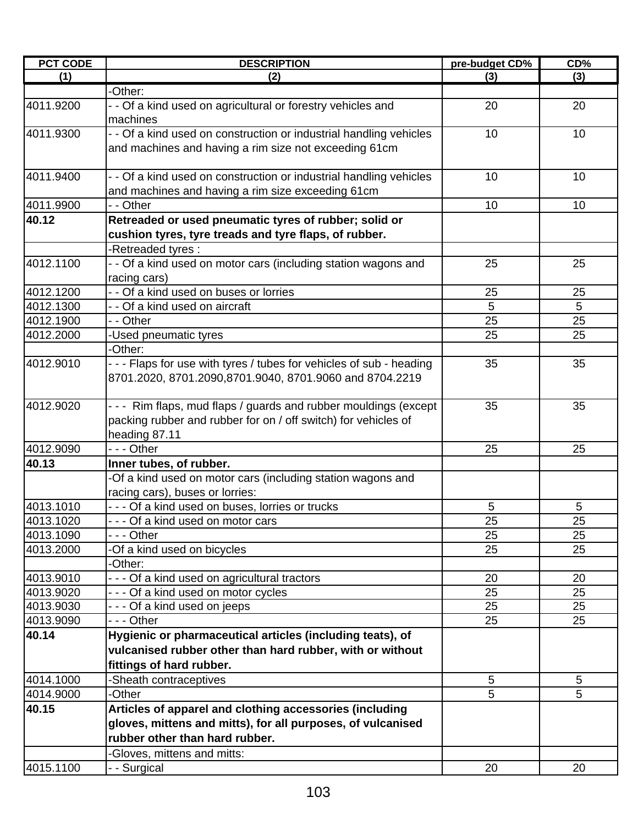| <b>PCT CODE</b> | <b>DESCRIPTION</b>                                                                                                                                | pre-budget CD% | CD% |
|-----------------|---------------------------------------------------------------------------------------------------------------------------------------------------|----------------|-----|
| (1)             | (2)                                                                                                                                               | (3)            | (3) |
|                 | -Other:                                                                                                                                           |                |     |
| 4011.9200       | - - Of a kind used on agricultural or forestry vehicles and<br>machines                                                                           | 20             | 20  |
| 4011.9300       | - - Of a kind used on construction or industrial handling vehicles<br>and machines and having a rim size not exceeding 61cm                       | 10             | 10  |
| 4011.9400       | - - Of a kind used on construction or industrial handling vehicles<br>and machines and having a rim size exceeding 61cm                           | 10             | 10  |
| 4011.9900       | - - Other                                                                                                                                         | 10             | 10  |
| 40.12           | Retreaded or used pneumatic tyres of rubber; solid or                                                                                             |                |     |
|                 | cushion tyres, tyre treads and tyre flaps, of rubber.                                                                                             |                |     |
|                 | -Retreaded tyres:                                                                                                                                 |                |     |
| 4012.1100       | - - Of a kind used on motor cars (including station wagons and                                                                                    | 25             | 25  |
| 4012.1200       | racing cars)<br>- - Of a kind used on buses or lorries                                                                                            | 25             | 25  |
| 4012.1300       | - - Of a kind used on aircraft                                                                                                                    | 5              | 5   |
| 4012.1900       | - - Other                                                                                                                                         | 25             | 25  |
| 4012.2000       | -Used pneumatic tyres                                                                                                                             | 25             | 25  |
|                 | -Other:                                                                                                                                           |                |     |
| 4012.9010       | - - - Flaps for use with tyres / tubes for vehicles of sub - heading<br>8701.2020, 8701.2090,8701.9040, 8701.9060 and 8704.2219                   | 35             | 35  |
| 4012.9020       | --- Rim flaps, mud flaps / guards and rubber mouldings (except<br>packing rubber and rubber for on / off switch) for vehicles of<br>heading 87.11 | 35             | 35  |
| 4012.9090       | - - - Other                                                                                                                                       | 25             | 25  |
| 40.13           | Inner tubes, of rubber.                                                                                                                           |                |     |
|                 | -Of a kind used on motor cars (including station wagons and<br>racing cars), buses or lorries:                                                    |                |     |
| 4013.1010       | - - - Of a kind used on buses, lorries or trucks                                                                                                  | 5              | 5   |
| 4013.1020       | - - - Of a kind used on motor cars                                                                                                                | 25             | 25  |
| 4013.1090       | -  - - Other                                                                                                                                      | 25             | 25  |
| 4013.2000       | -Of a kind used on bicycles                                                                                                                       | 25             | 25  |
|                 | -Other:                                                                                                                                           |                |     |
| 4013.9010       | - - - Of a kind used on agricultural tractors                                                                                                     | 20             | 20  |
| 4013.9020       | - - - Of a kind used on motor cycles                                                                                                              | 25             | 25  |
| 4013.9030       | - - - Of a kind used on jeeps                                                                                                                     | 25             | 25  |
| 4013.9090       | - - - Other                                                                                                                                       | 25             | 25  |
| 40.14           | Hygienic or pharmaceutical articles (including teats), of                                                                                         |                |     |
|                 | vulcanised rubber other than hard rubber, with or without                                                                                         |                |     |
|                 | fittings of hard rubber.                                                                                                                          |                |     |
| 4014.1000       | -Sheath contraceptives                                                                                                                            | 5              | 5   |
| 4014.9000       | -Other                                                                                                                                            | 5              | 5   |
| 40.15           | Articles of apparel and clothing accessories (including<br>gloves, mittens and mitts), for all purposes, of vulcanised                            |                |     |
|                 | rubber other than hard rubber.                                                                                                                    |                |     |
|                 | -Gloves, mittens and mitts:                                                                                                                       |                |     |
| 4015.1100       | - - Surgical                                                                                                                                      | 20             | 20  |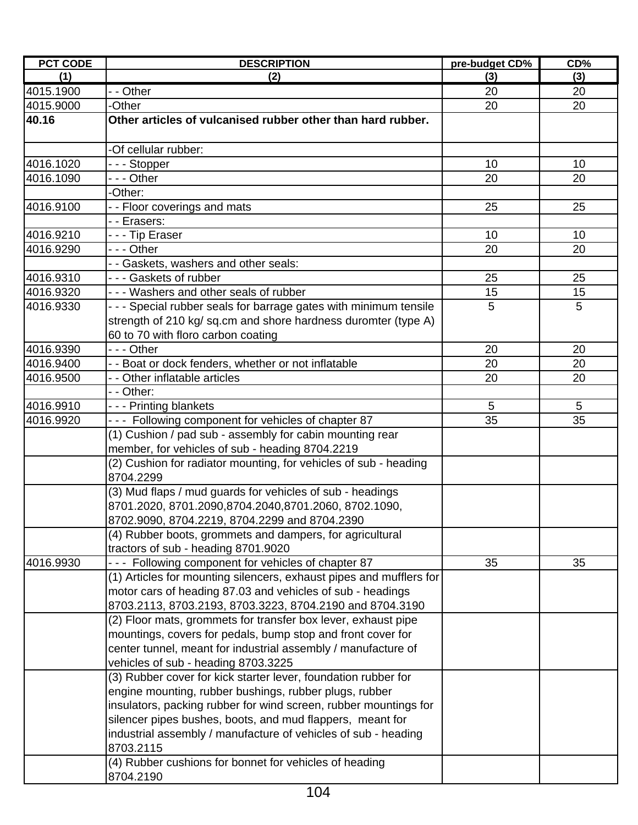| <b>PCT CODE</b> | <b>DESCRIPTION</b>                                                                                                                                                        | pre-budget CD% | CD% |
|-----------------|---------------------------------------------------------------------------------------------------------------------------------------------------------------------------|----------------|-----|
| (1)             | (2)                                                                                                                                                                       | (3)            | (3) |
| 4015.1900       | $\overline{-}$ Other                                                                                                                                                      | 20             | 20  |
| 4015.9000       | -Other                                                                                                                                                                    | 20             | 20  |
| 40.16           | Other articles of vulcanised rubber other than hard rubber.                                                                                                               |                |     |
|                 | -Of cellular rubber:                                                                                                                                                      |                |     |
| 4016.1020       | -  -  - Stopper                                                                                                                                                           | 10             | 10  |
| 4016.1090       | - - - Other                                                                                                                                                               | 20             | 20  |
|                 | -Other:                                                                                                                                                                   |                |     |
| 4016.9100       | - - Floor coverings and mats                                                                                                                                              | 25             | 25  |
|                 | - - Erasers:                                                                                                                                                              |                |     |
| 4016.9210       | --- Tip Eraser                                                                                                                                                            | 10             | 10  |
| 4016.9290       | --- Other                                                                                                                                                                 | 20             | 20  |
|                 | - - Gaskets, washers and other seals:                                                                                                                                     |                |     |
| 4016.9310       | --- Gaskets of rubber                                                                                                                                                     | 25             | 25  |
| 4016.9320       | - - - Washers and other seals of rubber                                                                                                                                   | 15             | 15  |
| 4016.9330       | - - - Special rubber seals for barrage gates with minimum tensile<br>strength of 210 kg/ sq.cm and shore hardness duromter (type A)<br>60 to 70 with floro carbon coating | 5              | 5   |
| 4016.9390       | - - - Other                                                                                                                                                               | 20             | 20  |
| 4016.9400       | - - Boat or dock fenders, whether or not inflatable                                                                                                                       | 20             | 20  |
| 4016.9500       | - - Other inflatable articles                                                                                                                                             | 20             | 20  |
|                 | - - Other:                                                                                                                                                                |                |     |
| 4016.9910       | --- Printing blankets                                                                                                                                                     | 5              | 5   |
| 4016.9920       | --- Following component for vehicles of chapter 87                                                                                                                        | 35             | 35  |
|                 | (1) Cushion / pad sub - assembly for cabin mounting rear                                                                                                                  |                |     |
|                 | member, for vehicles of sub - heading 8704.2219                                                                                                                           |                |     |
|                 | (2) Cushion for radiator mounting, for vehicles of sub - heading<br>8704.2299                                                                                             |                |     |
|                 | (3) Mud flaps / mud guards for vehicles of sub - headings                                                                                                                 |                |     |
|                 | 8701.2020, 8701.2090,8704.2040,8701.2060, 8702.1090,                                                                                                                      |                |     |
|                 | 8702.9090, 8704.2219, 8704.2299 and 8704.2390                                                                                                                             |                |     |
|                 | (4) Rubber boots, grommets and dampers, for agricultural                                                                                                                  |                |     |
|                 | tractors of sub - heading 8701.9020                                                                                                                                       |                |     |
| 4016.9930       | --- Following component for vehicles of chapter 87                                                                                                                        | 35             | 35  |
|                 | (1) Articles for mounting silencers, exhaust pipes and mufflers for<br>motor cars of heading 87.03 and vehicles of sub - headings                                         |                |     |
|                 | 8703.2113, 8703.2193, 8703.3223, 8704.2190 and 8704.3190<br>(2) Floor mats, grommets for transfer box lever, exhaust pipe                                                 |                |     |
|                 | mountings, covers for pedals, bump stop and front cover for                                                                                                               |                |     |
|                 | center tunnel, meant for industrial assembly / manufacture of                                                                                                             |                |     |
|                 | vehicles of sub - heading 8703.3225                                                                                                                                       |                |     |
|                 | (3) Rubber cover for kick starter lever, foundation rubber for                                                                                                            |                |     |
|                 | engine mounting, rubber bushings, rubber plugs, rubber                                                                                                                    |                |     |
|                 | insulators, packing rubber for wind screen, rubber mountings for                                                                                                          |                |     |
|                 | silencer pipes bushes, boots, and mud flappers, meant for                                                                                                                 |                |     |
|                 | industrial assembly / manufacture of vehicles of sub - heading                                                                                                            |                |     |
|                 | 8703.2115                                                                                                                                                                 |                |     |
|                 | (4) Rubber cushions for bonnet for vehicles of heading                                                                                                                    |                |     |
|                 | 8704.2190                                                                                                                                                                 |                |     |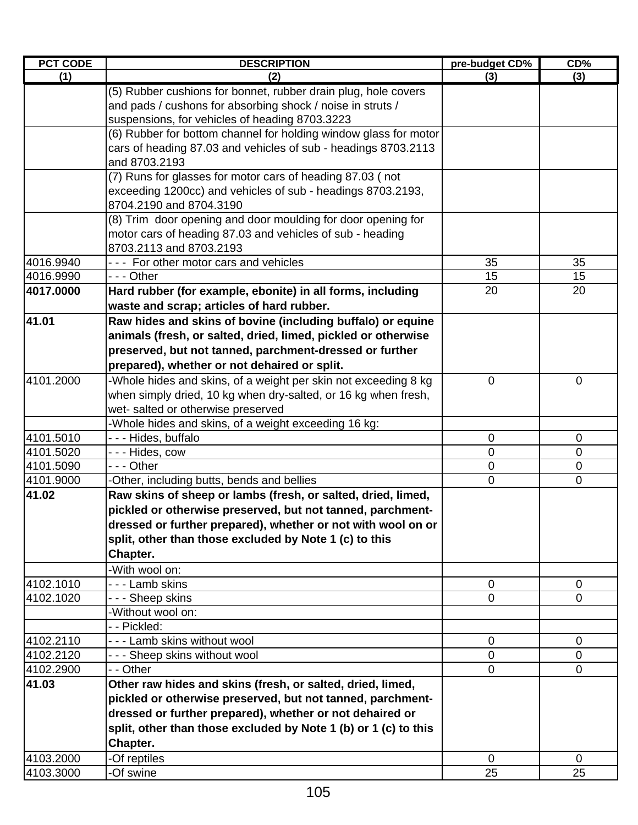| <b>PCT CODE</b> | <b>DESCRIPTION</b>                                               | pre-budget CD% | CD%            |
|-----------------|------------------------------------------------------------------|----------------|----------------|
| (1)             | (2)                                                              | (3)            | (3)            |
|                 | (5) Rubber cushions for bonnet, rubber drain plug, hole covers   |                |                |
|                 | and pads / cushons for absorbing shock / noise in struts /       |                |                |
|                 | suspensions, for vehicles of heading 8703.3223                   |                |                |
|                 | (6) Rubber for bottom channel for holding window glass for motor |                |                |
|                 | cars of heading 87.03 and vehicles of sub - headings 8703.2113   |                |                |
|                 | and 8703.2193                                                    |                |                |
|                 | (7) Runs for glasses for motor cars of heading 87.03 (not        |                |                |
|                 | exceeding 1200cc) and vehicles of sub - headings 8703.2193,      |                |                |
|                 | 8704.2190 and 8704.3190                                          |                |                |
|                 | (8) Trim door opening and door moulding for door opening for     |                |                |
|                 | motor cars of heading 87.03 and vehicles of sub - heading        |                |                |
|                 | 8703.2113 and 8703.2193                                          |                |                |
| 4016.9940       | --- For other motor cars and vehicles                            | 35             | 35             |
| 4016.9990       | - - - Other                                                      | 15             | 15             |
| 4017.0000       | Hard rubber (for example, ebonite) in all forms, including       | 20             | 20             |
|                 | waste and scrap; articles of hard rubber.                        |                |                |
| 41.01           | Raw hides and skins of bovine (including buffalo) or equine      |                |                |
|                 | animals (fresh, or salted, dried, limed, pickled or otherwise    |                |                |
|                 | preserved, but not tanned, parchment-dressed or further          |                |                |
|                 | prepared), whether or not dehaired or split.                     |                |                |
| 4101.2000       | -Whole hides and skins, of a weight per skin not exceeding 8 kg  | $\mathbf 0$    | $\mathbf 0$    |
|                 | when simply dried, 10 kg when dry-salted, or 16 kg when fresh,   |                |                |
|                 | wet- salted or otherwise preserved                               |                |                |
|                 | -Whole hides and skins, of a weight exceeding 16 kg:             |                |                |
| 4101.5010       | - - - Hides, buffalo                                             | 0              | 0              |
| 4101.5020       | - - - Hides, cow                                                 | $\mathbf 0$    | $\mathbf 0$    |
| 4101.5090       | --- Other                                                        | 0              | 0              |
| 4101.9000       | -Other, including butts, bends and bellies                       | $\mathbf 0$    | $\mathbf 0$    |
| 41.02           | Raw skins of sheep or lambs (fresh, or salted, dried, limed,     |                |                |
|                 | pickled or otherwise preserved, but not tanned, parchment-       |                |                |
|                 | dressed or further prepared), whether or not with wool on or     |                |                |
|                 | split, other than those excluded by Note 1 (c) to this           |                |                |
|                 | Chapter.                                                         |                |                |
|                 | -With wool on:                                                   |                |                |
| 4102.1010       | - - - Lamb skins                                                 | $\overline{0}$ | $\overline{0}$ |
| 4102.1020       | - - - Sheep skins                                                | 0              | $\mathbf 0$    |
|                 | -Without wool on:                                                |                |                |
|                 | - - Pickled:                                                     |                |                |
| 4102.2110       | --- Lamb skins without wool                                      | $\overline{0}$ | $\overline{0}$ |
| 4102.2120       | --- Sheep skins without wool                                     | 0              | 0              |
| 4102.2900       | - - Other                                                        | $\mathbf 0$    | $\mathbf 0$    |
| 41.03           | Other raw hides and skins (fresh, or salted, dried, limed,       |                |                |
|                 | pickled or otherwise preserved, but not tanned, parchment-       |                |                |
|                 | dressed or further prepared), whether or not dehaired or         |                |                |
|                 | split, other than those excluded by Note 1 (b) or 1 (c) to this  |                |                |
|                 | Chapter.                                                         |                |                |
| 4103.2000       | -Of reptiles                                                     | $\mathbf 0$    | $\overline{0}$ |
| 4103.3000       | -Of swine                                                        | 25             | 25             |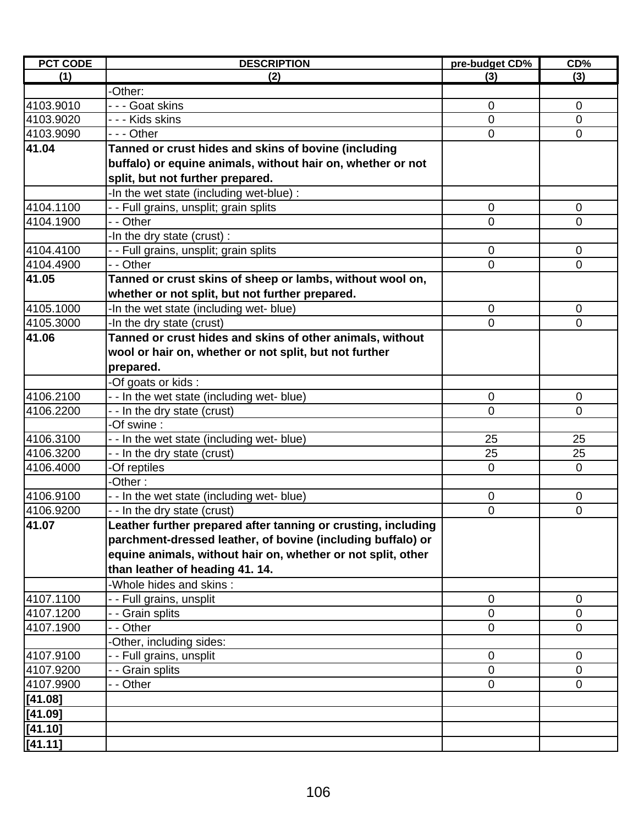| <b>PCT CODE</b> | <b>DESCRIPTION</b>                                            | pre-budget CD% | CD%            |
|-----------------|---------------------------------------------------------------|----------------|----------------|
| (1)             | (2)                                                           | (3)            | (3)            |
|                 | -Other:                                                       |                |                |
| 4103.9010       | - - - Goat skins                                              | $\mathbf 0$    | $\mathbf 0$    |
| 4103.9020       | - - - Kids skins                                              | 0              | $\mathbf 0$    |
| 4103.9090       | --- Other                                                     | $\overline{0}$ | $\overline{0}$ |
| 41.04           | Tanned or crust hides and skins of bovine (including          |                |                |
|                 | buffalo) or equine animals, without hair on, whether or not   |                |                |
|                 | split, but not further prepared.                              |                |                |
|                 | -In the wet state (including wet-blue) :                      |                |                |
| 4104.1100       | - - Full grains, unsplit; grain splits                        | $\mathbf 0$    | $\mathbf 0$    |
| 4104.1900       | - - Other                                                     | 0              | $\overline{0}$ |
|                 | -In the dry state (crust):                                    |                |                |
| 4104.4100       |                                                               | $\mathbf 0$    | $\mathbf 0$    |
|                 | - - Full grains, unsplit; grain splits<br>- - Other           | $\mathbf 0$    | 0              |
| 4104.4900       |                                                               |                |                |
| 41.05           | Tanned or crust skins of sheep or lambs, without wool on,     |                |                |
|                 | whether or not split, but not further prepared.               |                |                |
| 4105.1000       | -In the wet state (including wet- blue)                       | $\mathbf 0$    | $\mathbf 0$    |
| 4105.3000       | -In the dry state (crust)                                     | 0              | 0              |
| 41.06           | Tanned or crust hides and skins of other animals, without     |                |                |
|                 | wool or hair on, whether or not split, but not further        |                |                |
|                 | prepared.                                                     |                |                |
|                 | -Of goats or kids:                                            |                |                |
| 4106.2100       | -- In the wet state (including wet- blue)                     | $\mathbf 0$    | $\mathbf 0$    |
| 4106.2200       | - - In the dry state (crust)                                  | 0              | 0              |
|                 | -Of swine :                                                   |                |                |
| 4106.3100       | - - In the wet state (including wet- blue)                    | 25             | 25             |
| 4106.3200       | - - In the dry state (crust)                                  | 25             | 25             |
| 4106.4000       | -Of reptiles                                                  | $\mathbf 0$    | 0              |
|                 | -Other:                                                       |                |                |
| 4106.9100       | - - In the wet state (including wet- blue)                    | $\mathbf 0$    | 0              |
| 4106.9200       | - - In the dry state (crust)                                  | 0              | 0              |
| 41.07           | Leather further prepared after tanning or crusting, including |                |                |
|                 | parchment-dressed leather, of bovine (including buffalo) or   |                |                |
|                 | equine animals, without hair on, whether or not split, other  |                |                |
|                 | than leather of heading 41.14.                                |                |                |
|                 | -Whole hides and skins:                                       |                |                |
| 4107.1100       | - - Full grains, unsplit                                      | $\mathbf 0$    | $\mathbf 0$    |
| 4107.1200       | - - Grain splits                                              | 0              | 0              |
| 4107.1900       | - - Other                                                     | 0              | 0              |
|                 | -Other, including sides:                                      |                |                |
| 4107.9100       | - Full grains, unsplit                                        | $\mathbf 0$    | $\mathbf 0$    |
| 4107.9200       | - - Grain splits                                              | 0              | $\mathbf 0$    |
| 4107.9900       | - - Other                                                     | $\Omega$       | 0              |
| [41.08]         |                                                               |                |                |
| [41.09]         |                                                               |                |                |
| [41.10]         |                                                               |                |                |
|                 |                                                               |                |                |
| [41.11]         |                                                               |                |                |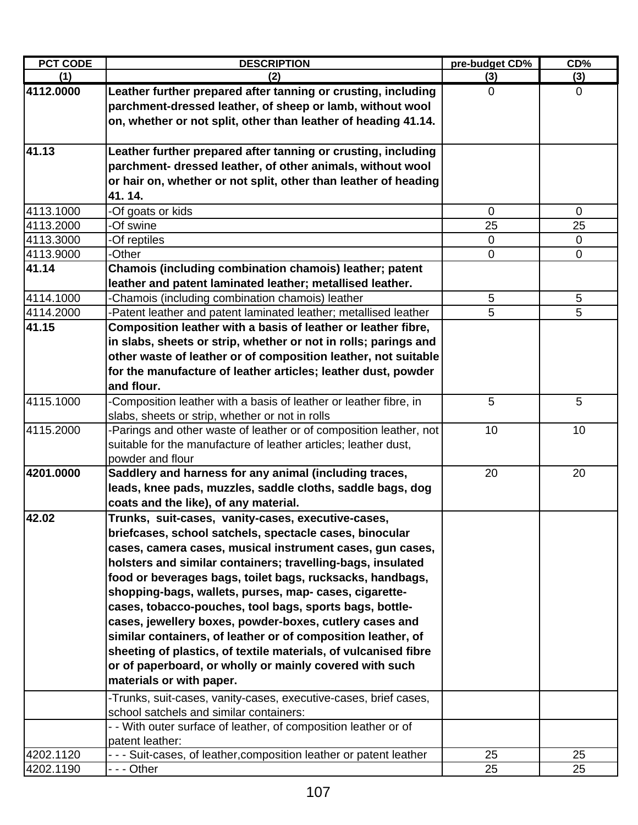| <b>PCT CODE</b> | <b>DESCRIPTION</b>                                                  | pre-budget CD% | CD%         |
|-----------------|---------------------------------------------------------------------|----------------|-------------|
| (1)             | (2)                                                                 | (3)            | (3)         |
| 4112.0000       | Leather further prepared after tanning or crusting, including       | 0              | $\mathbf 0$ |
|                 | parchment-dressed leather, of sheep or lamb, without wool           |                |             |
|                 | on, whether or not split, other than leather of heading 41.14.      |                |             |
|                 |                                                                     |                |             |
| 41.13           | Leather further prepared after tanning or crusting, including       |                |             |
|                 | parchment- dressed leather, of other animals, without wool          |                |             |
|                 | or hair on, whether or not split, other than leather of heading     |                |             |
|                 | 41.14.                                                              |                |             |
| 4113.1000       | -Of goats or kids                                                   | 0              | $\mathbf 0$ |
| 4113.2000       | -Of swine                                                           | 25             | 25          |
| 4113.3000       | -Of reptiles                                                        | $\mathbf 0$    | $\mathbf 0$ |
| 4113.9000       | -Other                                                              | $\mathbf 0$    | $\mathbf 0$ |
| 41.14           | Chamois (including combination chamois) leather; patent             |                |             |
|                 | leather and patent laminated leather; metallised leather.           |                |             |
| 4114.1000       | Chamois (including combination chamois) leather                     | 5              | 5           |
| 4114.2000       | -Patent leather and patent laminated leather; metallised leather    | 5              | 5           |
| 41.15           | Composition leather with a basis of leather or leather fibre,       |                |             |
|                 | in slabs, sheets or strip, whether or not in rolls; parings and     |                |             |
|                 | other waste of leather or of composition leather, not suitable      |                |             |
|                 | for the manufacture of leather articles; leather dust, powder       |                |             |
|                 | and flour.                                                          |                |             |
| 4115.1000       | -Composition leather with a basis of leather or leather fibre, in   | 5              | 5           |
|                 | slabs, sheets or strip, whether or not in rolls                     |                |             |
| 4115.2000       | Parings and other waste of leather or of composition leather, not   | 10             | 10          |
|                 | suitable for the manufacture of leather articles; leather dust,     |                |             |
|                 | powder and flour                                                    |                |             |
| 4201.0000       | Saddlery and harness for any animal (including traces,              | 20             | 20          |
|                 | leads, knee pads, muzzles, saddle cloths, saddle bags, dog          |                |             |
|                 | coats and the like), of any material.                               |                |             |
| 42.02           | Trunks, suit-cases, vanity-cases, executive-cases,                  |                |             |
|                 | briefcases, school satchels, spectacle cases, binocular             |                |             |
|                 | cases, camera cases, musical instrument cases, gun cases,           |                |             |
|                 | holsters and similar containers; travelling-bags, insulated         |                |             |
|                 | food or beverages bags, toilet bags, rucksacks, handbags,           |                |             |
|                 | shopping-bags, wallets, purses, map- cases, cigarette-              |                |             |
|                 | cases, tobacco-pouches, tool bags, sports bags, bottle-             |                |             |
|                 | cases, jewellery boxes, powder-boxes, cutlery cases and             |                |             |
|                 | similar containers, of leather or of composition leather, of        |                |             |
|                 | sheeting of plastics, of textile materials, of vulcanised fibre     |                |             |
|                 | or of paperboard, or wholly or mainly covered with such             |                |             |
|                 | materials or with paper.                                            |                |             |
|                 | -Trunks, suit-cases, vanity-cases, executive-cases, brief cases,    |                |             |
|                 | school satchels and similar containers:                             |                |             |
|                 | - - With outer surface of leather, of composition leather or of     |                |             |
|                 | patent leather:                                                     |                |             |
| 4202.1120       | - - - Suit-cases, of leather, composition leather or patent leather | 25             | 25          |
| 4202.1190       | - - - Other                                                         | 25             | 25          |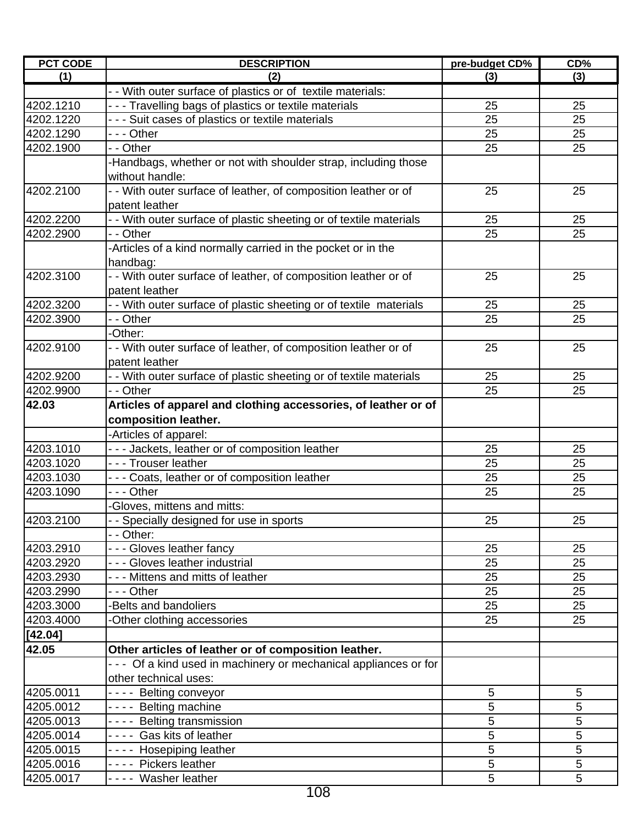| (1)<br>(3)<br>(3)<br>(2)<br>- - With outer surface of plastics or of textile materials:<br>4202.1210<br>- - - Travelling bags of plastics or textile materials<br>25<br>25<br>4202.1220<br>- - - Suit cases of plastics or textile materials<br>25<br>25<br>4202.1290<br>- - - Other<br>25<br>25<br>25<br>25<br>4202.1900<br>- - Other<br>-Handbags, whether or not with shoulder strap, including those<br>without handle:<br>4202.2100<br>- - With outer surface of leather, of composition leather or of<br>25<br>25<br>patent leather<br>- - With outer surface of plastic sheeting or of textile materials<br>4202.2200<br>25<br>25<br>4202.2900<br>- - Other<br>25<br>25<br>-Articles of a kind normally carried in the pocket or in the<br>handbag:<br>4202.3100<br>- - With outer surface of leather, of composition leather or of<br>25<br>25<br>patent leather<br>4202.3200<br>- - With outer surface of plastic sheeting or of textile materials<br>25<br>25<br>25<br>25<br>4202.3900<br>- - Other<br>-Other:<br>4202.9100<br>- - With outer surface of leather, of composition leather or of<br>25<br>25<br>patent leather<br>- - With outer surface of plastic sheeting or of textile materials<br>4202.9200<br>25<br>25<br>25<br>25<br>4202.9900<br>- - Other<br>Articles of apparel and clothing accessories, of leather or of<br>42.03<br>composition leather.<br>-Articles of apparel:<br>4203.1010<br>- - - Jackets, leather or of composition leather<br>25<br>25<br>--- Trouser leather<br>25<br>25<br>4203.1020<br>- - - Coats, leather or of composition leather<br>4203.1030<br>25<br>25<br>25<br>25<br>4203.1090<br>--- Other |
|-------------------------------------------------------------------------------------------------------------------------------------------------------------------------------------------------------------------------------------------------------------------------------------------------------------------------------------------------------------------------------------------------------------------------------------------------------------------------------------------------------------------------------------------------------------------------------------------------------------------------------------------------------------------------------------------------------------------------------------------------------------------------------------------------------------------------------------------------------------------------------------------------------------------------------------------------------------------------------------------------------------------------------------------------------------------------------------------------------------------------------------------------------------------------------------------------------------------------------------------------------------------------------------------------------------------------------------------------------------------------------------------------------------------------------------------------------------------------------------------------------------------------------------------------------------------------------------------------------------------------------------------------------|
|                                                                                                                                                                                                                                                                                                                                                                                                                                                                                                                                                                                                                                                                                                                                                                                                                                                                                                                                                                                                                                                                                                                                                                                                                                                                                                                                                                                                                                                                                                                                                                                                                                                       |
|                                                                                                                                                                                                                                                                                                                                                                                                                                                                                                                                                                                                                                                                                                                                                                                                                                                                                                                                                                                                                                                                                                                                                                                                                                                                                                                                                                                                                                                                                                                                                                                                                                                       |
|                                                                                                                                                                                                                                                                                                                                                                                                                                                                                                                                                                                                                                                                                                                                                                                                                                                                                                                                                                                                                                                                                                                                                                                                                                                                                                                                                                                                                                                                                                                                                                                                                                                       |
|                                                                                                                                                                                                                                                                                                                                                                                                                                                                                                                                                                                                                                                                                                                                                                                                                                                                                                                                                                                                                                                                                                                                                                                                                                                                                                                                                                                                                                                                                                                                                                                                                                                       |
|                                                                                                                                                                                                                                                                                                                                                                                                                                                                                                                                                                                                                                                                                                                                                                                                                                                                                                                                                                                                                                                                                                                                                                                                                                                                                                                                                                                                                                                                                                                                                                                                                                                       |
|                                                                                                                                                                                                                                                                                                                                                                                                                                                                                                                                                                                                                                                                                                                                                                                                                                                                                                                                                                                                                                                                                                                                                                                                                                                                                                                                                                                                                                                                                                                                                                                                                                                       |
|                                                                                                                                                                                                                                                                                                                                                                                                                                                                                                                                                                                                                                                                                                                                                                                                                                                                                                                                                                                                                                                                                                                                                                                                                                                                                                                                                                                                                                                                                                                                                                                                                                                       |
|                                                                                                                                                                                                                                                                                                                                                                                                                                                                                                                                                                                                                                                                                                                                                                                                                                                                                                                                                                                                                                                                                                                                                                                                                                                                                                                                                                                                                                                                                                                                                                                                                                                       |
|                                                                                                                                                                                                                                                                                                                                                                                                                                                                                                                                                                                                                                                                                                                                                                                                                                                                                                                                                                                                                                                                                                                                                                                                                                                                                                                                                                                                                                                                                                                                                                                                                                                       |
|                                                                                                                                                                                                                                                                                                                                                                                                                                                                                                                                                                                                                                                                                                                                                                                                                                                                                                                                                                                                                                                                                                                                                                                                                                                                                                                                                                                                                                                                                                                                                                                                                                                       |
|                                                                                                                                                                                                                                                                                                                                                                                                                                                                                                                                                                                                                                                                                                                                                                                                                                                                                                                                                                                                                                                                                                                                                                                                                                                                                                                                                                                                                                                                                                                                                                                                                                                       |
|                                                                                                                                                                                                                                                                                                                                                                                                                                                                                                                                                                                                                                                                                                                                                                                                                                                                                                                                                                                                                                                                                                                                                                                                                                                                                                                                                                                                                                                                                                                                                                                                                                                       |
|                                                                                                                                                                                                                                                                                                                                                                                                                                                                                                                                                                                                                                                                                                                                                                                                                                                                                                                                                                                                                                                                                                                                                                                                                                                                                                                                                                                                                                                                                                                                                                                                                                                       |
|                                                                                                                                                                                                                                                                                                                                                                                                                                                                                                                                                                                                                                                                                                                                                                                                                                                                                                                                                                                                                                                                                                                                                                                                                                                                                                                                                                                                                                                                                                                                                                                                                                                       |
|                                                                                                                                                                                                                                                                                                                                                                                                                                                                                                                                                                                                                                                                                                                                                                                                                                                                                                                                                                                                                                                                                                                                                                                                                                                                                                                                                                                                                                                                                                                                                                                                                                                       |
|                                                                                                                                                                                                                                                                                                                                                                                                                                                                                                                                                                                                                                                                                                                                                                                                                                                                                                                                                                                                                                                                                                                                                                                                                                                                                                                                                                                                                                                                                                                                                                                                                                                       |
|                                                                                                                                                                                                                                                                                                                                                                                                                                                                                                                                                                                                                                                                                                                                                                                                                                                                                                                                                                                                                                                                                                                                                                                                                                                                                                                                                                                                                                                                                                                                                                                                                                                       |
|                                                                                                                                                                                                                                                                                                                                                                                                                                                                                                                                                                                                                                                                                                                                                                                                                                                                                                                                                                                                                                                                                                                                                                                                                                                                                                                                                                                                                                                                                                                                                                                                                                                       |
|                                                                                                                                                                                                                                                                                                                                                                                                                                                                                                                                                                                                                                                                                                                                                                                                                                                                                                                                                                                                                                                                                                                                                                                                                                                                                                                                                                                                                                                                                                                                                                                                                                                       |
|                                                                                                                                                                                                                                                                                                                                                                                                                                                                                                                                                                                                                                                                                                                                                                                                                                                                                                                                                                                                                                                                                                                                                                                                                                                                                                                                                                                                                                                                                                                                                                                                                                                       |
|                                                                                                                                                                                                                                                                                                                                                                                                                                                                                                                                                                                                                                                                                                                                                                                                                                                                                                                                                                                                                                                                                                                                                                                                                                                                                                                                                                                                                                                                                                                                                                                                                                                       |
|                                                                                                                                                                                                                                                                                                                                                                                                                                                                                                                                                                                                                                                                                                                                                                                                                                                                                                                                                                                                                                                                                                                                                                                                                                                                                                                                                                                                                                                                                                                                                                                                                                                       |
|                                                                                                                                                                                                                                                                                                                                                                                                                                                                                                                                                                                                                                                                                                                                                                                                                                                                                                                                                                                                                                                                                                                                                                                                                                                                                                                                                                                                                                                                                                                                                                                                                                                       |
|                                                                                                                                                                                                                                                                                                                                                                                                                                                                                                                                                                                                                                                                                                                                                                                                                                                                                                                                                                                                                                                                                                                                                                                                                                                                                                                                                                                                                                                                                                                                                                                                                                                       |
|                                                                                                                                                                                                                                                                                                                                                                                                                                                                                                                                                                                                                                                                                                                                                                                                                                                                                                                                                                                                                                                                                                                                                                                                                                                                                                                                                                                                                                                                                                                                                                                                                                                       |
|                                                                                                                                                                                                                                                                                                                                                                                                                                                                                                                                                                                                                                                                                                                                                                                                                                                                                                                                                                                                                                                                                                                                                                                                                                                                                                                                                                                                                                                                                                                                                                                                                                                       |
|                                                                                                                                                                                                                                                                                                                                                                                                                                                                                                                                                                                                                                                                                                                                                                                                                                                                                                                                                                                                                                                                                                                                                                                                                                                                                                                                                                                                                                                                                                                                                                                                                                                       |
|                                                                                                                                                                                                                                                                                                                                                                                                                                                                                                                                                                                                                                                                                                                                                                                                                                                                                                                                                                                                                                                                                                                                                                                                                                                                                                                                                                                                                                                                                                                                                                                                                                                       |
|                                                                                                                                                                                                                                                                                                                                                                                                                                                                                                                                                                                                                                                                                                                                                                                                                                                                                                                                                                                                                                                                                                                                                                                                                                                                                                                                                                                                                                                                                                                                                                                                                                                       |
|                                                                                                                                                                                                                                                                                                                                                                                                                                                                                                                                                                                                                                                                                                                                                                                                                                                                                                                                                                                                                                                                                                                                                                                                                                                                                                                                                                                                                                                                                                                                                                                                                                                       |
| -Gloves, mittens and mitts:                                                                                                                                                                                                                                                                                                                                                                                                                                                                                                                                                                                                                                                                                                                                                                                                                                                                                                                                                                                                                                                                                                                                                                                                                                                                                                                                                                                                                                                                                                                                                                                                                           |
| 4203.2100<br>25<br>25<br>- - Specially designed for use in sports                                                                                                                                                                                                                                                                                                                                                                                                                                                                                                                                                                                                                                                                                                                                                                                                                                                                                                                                                                                                                                                                                                                                                                                                                                                                                                                                                                                                                                                                                                                                                                                     |
| - - Other:                                                                                                                                                                                                                                                                                                                                                                                                                                                                                                                                                                                                                                                                                                                                                                                                                                                                                                                                                                                                                                                                                                                                                                                                                                                                                                                                                                                                                                                                                                                                                                                                                                            |
| --- Gloves leather fancy<br>4203.2910<br>25<br>25                                                                                                                                                                                                                                                                                                                                                                                                                                                                                                                                                                                                                                                                                                                                                                                                                                                                                                                                                                                                                                                                                                                                                                                                                                                                                                                                                                                                                                                                                                                                                                                                     |
| - - - Gloves leather industrial<br>25<br>25<br>4203.2920                                                                                                                                                                                                                                                                                                                                                                                                                                                                                                                                                                                                                                                                                                                                                                                                                                                                                                                                                                                                                                                                                                                                                                                                                                                                                                                                                                                                                                                                                                                                                                                              |
| 4203.2930<br>- - - Mittens and mitts of leather<br>25<br>25                                                                                                                                                                                                                                                                                                                                                                                                                                                                                                                                                                                                                                                                                                                                                                                                                                                                                                                                                                                                                                                                                                                                                                                                                                                                                                                                                                                                                                                                                                                                                                                           |
| 4203.2990<br>$- -$ Other<br>25<br>25                                                                                                                                                                                                                                                                                                                                                                                                                                                                                                                                                                                                                                                                                                                                                                                                                                                                                                                                                                                                                                                                                                                                                                                                                                                                                                                                                                                                                                                                                                                                                                                                                  |
| -Belts and bandoliers<br>4203.3000<br>25<br>25                                                                                                                                                                                                                                                                                                                                                                                                                                                                                                                                                                                                                                                                                                                                                                                                                                                                                                                                                                                                                                                                                                                                                                                                                                                                                                                                                                                                                                                                                                                                                                                                        |
| 4203.4000<br>25<br>25<br>-Other clothing accessories                                                                                                                                                                                                                                                                                                                                                                                                                                                                                                                                                                                                                                                                                                                                                                                                                                                                                                                                                                                                                                                                                                                                                                                                                                                                                                                                                                                                                                                                                                                                                                                                  |
| [42.04]                                                                                                                                                                                                                                                                                                                                                                                                                                                                                                                                                                                                                                                                                                                                                                                                                                                                                                                                                                                                                                                                                                                                                                                                                                                                                                                                                                                                                                                                                                                                                                                                                                               |
| 42.05<br>Other articles of leather or of composition leather.                                                                                                                                                                                                                                                                                                                                                                                                                                                                                                                                                                                                                                                                                                                                                                                                                                                                                                                                                                                                                                                                                                                                                                                                                                                                                                                                                                                                                                                                                                                                                                                         |
| - - - Of a kind used in machinery or mechanical appliances or for                                                                                                                                                                                                                                                                                                                                                                                                                                                                                                                                                                                                                                                                                                                                                                                                                                                                                                                                                                                                                                                                                                                                                                                                                                                                                                                                                                                                                                                                                                                                                                                     |
| other technical uses:                                                                                                                                                                                                                                                                                                                                                                                                                                                                                                                                                                                                                                                                                                                                                                                                                                                                                                                                                                                                                                                                                                                                                                                                                                                                                                                                                                                                                                                                                                                                                                                                                                 |
| 4205.0011<br>$\overline{5}$<br>5<br>---- Belting conveyor                                                                                                                                                                                                                                                                                                                                                                                                                                                                                                                                                                                                                                                                                                                                                                                                                                                                                                                                                                                                                                                                                                                                                                                                                                                                                                                                                                                                                                                                                                                                                                                             |
| 5<br>---- Belting machine<br>5<br>4205.0012                                                                                                                                                                                                                                                                                                                                                                                                                                                                                                                                                                                                                                                                                                                                                                                                                                                                                                                                                                                                                                                                                                                                                                                                                                                                                                                                                                                                                                                                                                                                                                                                           |
| 5<br>5<br>---- Belting transmission<br>4205.0013                                                                                                                                                                                                                                                                                                                                                                                                                                                                                                                                                                                                                                                                                                                                                                                                                                                                                                                                                                                                                                                                                                                                                                                                                                                                                                                                                                                                                                                                                                                                                                                                      |
| ---- Gas kits of leather<br>5<br>5<br>4205.0014                                                                                                                                                                                                                                                                                                                                                                                                                                                                                                                                                                                                                                                                                                                                                                                                                                                                                                                                                                                                                                                                                                                                                                                                                                                                                                                                                                                                                                                                                                                                                                                                       |
| 5<br>5<br>4205.0015<br>---- Hosepiping leather                                                                                                                                                                                                                                                                                                                                                                                                                                                                                                                                                                                                                                                                                                                                                                                                                                                                                                                                                                                                                                                                                                                                                                                                                                                                                                                                                                                                                                                                                                                                                                                                        |
| 5<br>5<br>4205.0016<br>---- Pickers leather                                                                                                                                                                                                                                                                                                                                                                                                                                                                                                                                                                                                                                                                                                                                                                                                                                                                                                                                                                                                                                                                                                                                                                                                                                                                                                                                                                                                                                                                                                                                                                                                           |
| 5<br>5<br>4205.0017<br>---- Washer leather                                                                                                                                                                                                                                                                                                                                                                                                                                                                                                                                                                                                                                                                                                                                                                                                                                                                                                                                                                                                                                                                                                                                                                                                                                                                                                                                                                                                                                                                                                                                                                                                            |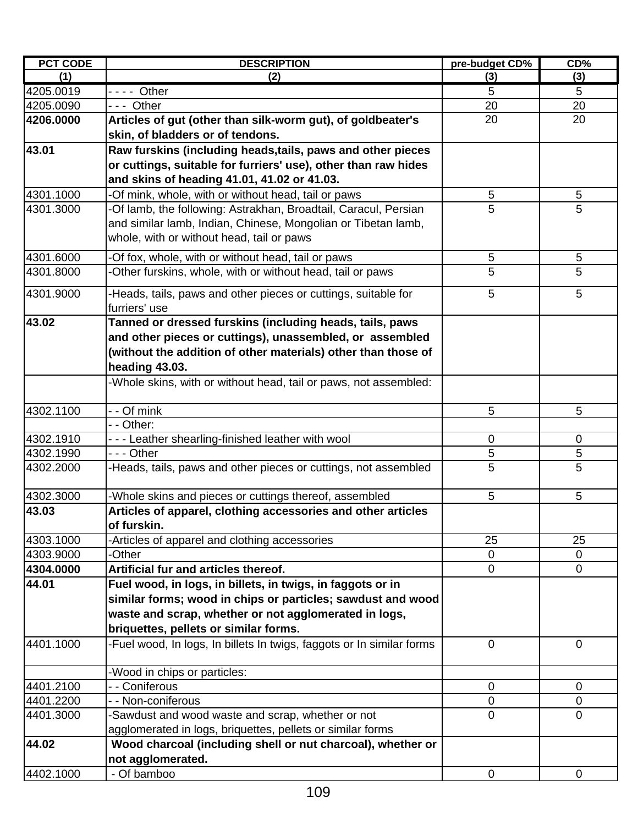| <b>PCT CODE</b> | <b>DESCRIPTION</b>                                                    | pre-budget CD% | CD%            |
|-----------------|-----------------------------------------------------------------------|----------------|----------------|
| (1)             | (2)                                                                   | (3)            | (3)            |
| 4205.0019       | - - - - Other                                                         | 5              | 5              |
| 4205.0090       | --- Other                                                             | 20             | 20             |
| 4206.0000       | Articles of gut (other than silk-worm gut), of goldbeater's           | 20             | 20             |
|                 | skin, of bladders or of tendons.                                      |                |                |
| 43.01           | Raw furskins (including heads, tails, paws and other pieces           |                |                |
|                 | or cuttings, suitable for furriers' use), other than raw hides        |                |                |
|                 | and skins of heading 41.01, 41.02 or 41.03.                           |                |                |
| 4301.1000       | -Of mink, whole, with or without head, tail or paws                   | 5              | 5              |
| 4301.3000       | -Of lamb, the following: Astrakhan, Broadtail, Caracul, Persian       | 5              | 5              |
|                 | and similar lamb, Indian, Chinese, Mongolian or Tibetan lamb,         |                |                |
|                 | whole, with or without head, tail or paws                             |                |                |
| 4301.6000       | -Of fox, whole, with or without head, tail or paws                    | 5              | 5              |
| 4301.8000       | -Other furskins, whole, with or without head, tail or paws            | 5              | 5              |
|                 |                                                                       |                |                |
| 4301.9000       | -Heads, tails, paws and other pieces or cuttings, suitable for        | 5              | 5              |
|                 | furriers' use                                                         |                |                |
| 43.02           | Tanned or dressed furskins (including heads, tails, paws              |                |                |
|                 | and other pieces or cuttings), unassembled, or assembled              |                |                |
|                 | (without the addition of other materials) other than those of         |                |                |
|                 | heading 43.03.                                                        |                |                |
|                 | -Whole skins, with or without head, tail or paws, not assembled:      |                |                |
| 4302.1100       | - - Of mink                                                           | 5              | 5              |
|                 | - - Other:                                                            |                |                |
| 4302.1910       | - - - Leather shearling-finished leather with wool                    | 0              | 0              |
| 4302.1990       | --- Other                                                             | 5              | 5              |
| 4302.2000       | -Heads, tails, paws and other pieces or cuttings, not assembled       | 5              | 5              |
| 4302.3000       | -Whole skins and pieces or cuttings thereof, assembled                | 5              | 5              |
| 43.03           | Articles of apparel, clothing accessories and other articles          |                |                |
|                 | of furskin.                                                           |                |                |
| 4303.1000       | -Articles of apparel and clothing accessories                         | 25             | 25             |
| 4303.9000       | -Other                                                                | $\overline{0}$ | $\Omega$       |
| 4304.0000       | Artificial fur and articles thereof.                                  | $\mathbf 0$    | $\mathbf 0$    |
| 44.01           | Fuel wood, in logs, in billets, in twigs, in faggots or in            |                |                |
|                 | similar forms; wood in chips or particles; sawdust and wood           |                |                |
|                 | waste and scrap, whether or not agglomerated in logs,                 |                |                |
|                 | briquettes, pellets or similar forms.                                 |                |                |
| 4401.1000       | -Fuel wood, In logs, In billets In twigs, faggots or In similar forms | $\overline{0}$ | $\mathbf{0}$   |
|                 | -Wood in chips or particles:                                          |                |                |
| 4401.2100       | - - Coniferous                                                        | $\mathbf 0$    | $\mathbf 0$    |
| 4401.2200       | - - Non-coniferous                                                    | 0              | 0              |
| 4401.3000       | -Sawdust and wood waste and scrap, whether or not                     | $\mathbf 0$    | $\overline{0}$ |
|                 | agglomerated in logs, briquettes, pellets or similar forms            |                |                |
| 44.02           | Wood charcoal (including shell or nut charcoal), whether or           |                |                |
|                 | not agglomerated.                                                     |                |                |
| 4402.1000       | - Of bamboo                                                           | $\mathbf 0$    | $\mathbf 0$    |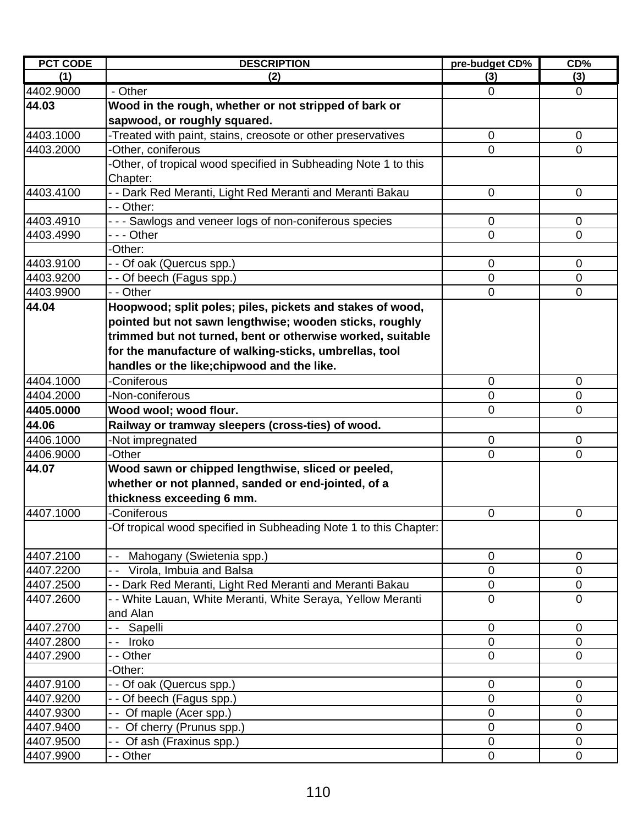| <b>PCT CODE</b> | <b>DESCRIPTION</b>                                                | pre-budget CD% | CD%            |
|-----------------|-------------------------------------------------------------------|----------------|----------------|
| (1)             | (2)                                                               | (3)            | (3)            |
| 4402.9000       | - Other                                                           | $\mathbf 0$    | $\overline{0}$ |
| 44.03           | Wood in the rough, whether or not stripped of bark or             |                |                |
|                 | sapwood, or roughly squared.                                      |                |                |
| 4403.1000       | -Treated with paint, stains, creosote or other preservatives      | $\mathbf 0$    | $\mathbf 0$    |
| 4403.2000       | Other, coniferous                                                 | $\overline{0}$ | $\overline{0}$ |
|                 | -Other, of tropical wood specified in Subheading Note 1 to this   |                |                |
|                 | Chapter:                                                          |                |                |
| 4403.4100       | - - Dark Red Meranti, Light Red Meranti and Meranti Bakau         | 0              | $\mathbf 0$    |
|                 | - - Other:                                                        |                |                |
| 4403.4910       | --- Sawlogs and veneer logs of non-coniferous species             | $\mathbf 0$    | $\mathbf 0$    |
| 4403.4990       | $\overline{-}$ - Other                                            | $\Omega$       | $\Omega$       |
|                 | -Other:                                                           |                |                |
| 4403.9100       | - - Of oak (Quercus spp.)                                         | 0              | 0              |
| 4403.9200       | - Of beech (Fagus spp.)                                           | $\overline{0}$ | $\overline{0}$ |
| 4403.9900       | - - Other                                                         | $\overline{0}$ | $\overline{0}$ |
| 44.04           | Hoopwood; split poles; piles, pickets and stakes of wood,         |                |                |
|                 | pointed but not sawn lengthwise; wooden sticks, roughly           |                |                |
|                 | trimmed but not turned, bent or otherwise worked, suitable        |                |                |
|                 | for the manufacture of walking-sticks, umbrellas, tool            |                |                |
|                 | handles or the like; chipwood and the like.                       |                |                |
| 4404.1000       | -Coniferous                                                       | $\mathbf 0$    | $\mathbf 0$    |
| 4404.2000       | -Non-coniferous                                                   | $\mathbf 0$    | $\mathbf 0$    |
| 4405.0000       | Wood wool; wood flour.                                            | $\Omega$       | $\Omega$       |
| 44.06           | Railway or tramway sleepers (cross-ties) of wood.                 |                |                |
| 4406.1000       | -Not impregnated                                                  | 0              | $\mathbf 0$    |
| 4406.9000       | -Other                                                            | $\overline{0}$ | $\overline{0}$ |
| 44.07           | Wood sawn or chipped lengthwise, sliced or peeled,                |                |                |
|                 | whether or not planned, sanded or end-jointed, of a               |                |                |
|                 | thickness exceeding 6 mm.                                         |                |                |
| 4407.1000       | -Coniferous                                                       | $\mathbf 0$    | $\mathbf 0$    |
|                 | -Of tropical wood specified in Subheading Note 1 to this Chapter: |                |                |
|                 |                                                                   |                |                |
| 4407.2100       | Mahogany (Swietenia spp.)                                         | $\mathbf 0$    | $\mathbf 0$    |
| 4407.2200       | -- Virola, Imbuia and Balsa                                       | $\overline{0}$ | $\mathbf 0$    |
| 4407.2500       | - Dark Red Meranti, Light Red Meranti and Meranti Bakau           | $\overline{0}$ | $\mathbf 0$    |
| 4407.2600       | - - White Lauan, White Meranti, White Seraya, Yellow Meranti      | $\overline{0}$ | $\overline{0}$ |
|                 | and Alan                                                          |                |                |
| 4407.2700       | Sapelli                                                           | $\mathbf 0$    | $\mathbf 0$    |
| 4407.2800       | Iroko<br>$ -$                                                     | $\overline{0}$ | 0              |
| 4407.2900       | - Other                                                           | $\overline{0}$ | $\mathbf 0$    |
|                 | -Other:                                                           |                |                |
| 4407.9100       | - Of oak (Quercus spp.)                                           | 0              | $\overline{0}$ |
| 4407.9200       | - - Of beech (Fagus spp.)                                         | $\overline{0}$ | 0              |
| 4407.9300       | Of maple (Acer spp.)                                              | $\mathbf 0$    | 0              |
| 4407.9400       | Of cherry (Prunus spp.)                                           | $\mathbf 0$    | 0              |
| 4407.9500       | Of ash (Fraxinus spp.)                                            | $\Omega$       | $\overline{0}$ |
| 4407.9900       | - - Other                                                         | $\mathbf 0$    | 0              |
|                 |                                                                   |                |                |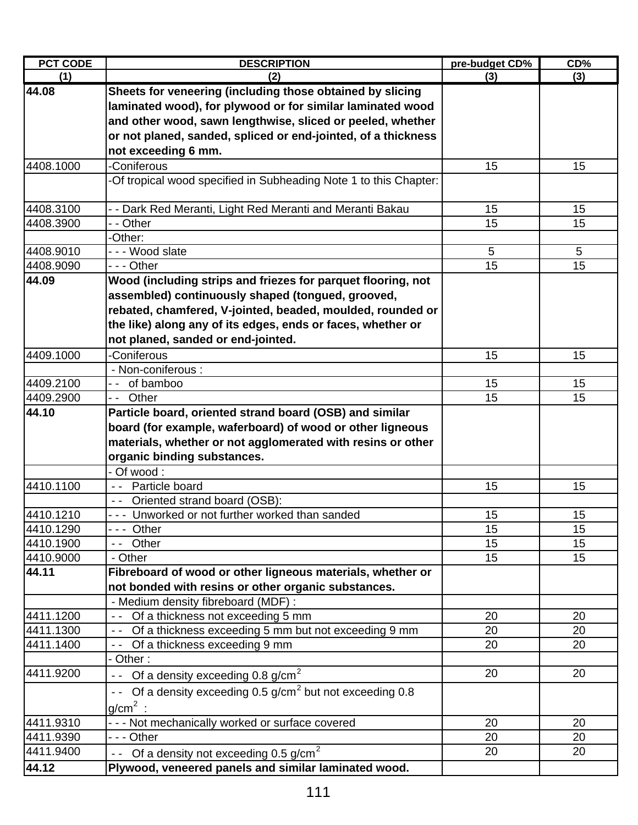| <b>PCT CODE</b> | <b>DESCRIPTION</b>                                                   | pre-budget CD% | CD% |
|-----------------|----------------------------------------------------------------------|----------------|-----|
| (1)             | (2)                                                                  | (3)            | (3) |
| 44.08           | Sheets for veneering (including those obtained by slicing            |                |     |
|                 | laminated wood), for plywood or for similar laminated wood           |                |     |
|                 | and other wood, sawn lengthwise, sliced or peeled, whether           |                |     |
|                 | or not planed, sanded, spliced or end-jointed, of a thickness        |                |     |
|                 | not exceeding 6 mm.                                                  |                |     |
| 4408.1000       | -Coniferous                                                          | 15             | 15  |
|                 | -Of tropical wood specified in Subheading Note 1 to this Chapter:    |                |     |
| 4408.3100       | - - Dark Red Meranti, Light Red Meranti and Meranti Bakau            | 15             | 15  |
| 4408.3900       | - - Other                                                            | 15             | 15  |
|                 | -Other:                                                              |                |     |
| 4408.9010       | --- Wood slate                                                       | 5              | 5   |
| 4408.9090       | - - - Other                                                          | 15             | 15  |
| 44.09           | Wood (including strips and friezes for parquet flooring, not         |                |     |
|                 | assembled) continuously shaped (tongued, grooved,                    |                |     |
|                 | rebated, chamfered, V-jointed, beaded, moulded, rounded or           |                |     |
|                 | the like) along any of its edges, ends or faces, whether or          |                |     |
|                 | not planed, sanded or end-jointed.                                   |                |     |
| 4409.1000       | -Coniferous                                                          | 15             | 15  |
|                 | - Non-coniferous :                                                   |                |     |
| 4409.2100       | of bamboo<br>$ -$                                                    | 15             | 15  |
| 4409.2900       | -- Other                                                             | 15             | 15  |
| 44.10           | Particle board, oriented strand board (OSB) and similar              |                |     |
|                 | board (for example, waferboard) of wood or other ligneous            |                |     |
|                 | materials, whether or not agglomerated with resins or other          |                |     |
|                 | organic binding substances.                                          |                |     |
|                 | $-$ Of wood:                                                         |                |     |
| 4410.1100       | -- Particle board                                                    | 15             | 15  |
|                 | -- Oriented strand board (OSB):                                      |                |     |
| 4410.1210       | --- Unworked or not further worked than sanded                       | 15             | 15  |
| 4410.1290       | --- Other                                                            | 15             | 15  |
| 4410.1900       | -- Other                                                             | 15             | 15  |
| 4410.9000       | - Other                                                              | 15             | 15  |
| 44.11           | Fibreboard of wood or other ligneous materials, whether or           |                |     |
|                 | not bonded with resins or other organic substances.                  |                |     |
|                 | - Medium density fibreboard (MDF) :                                  |                |     |
| 4411.1200       | -- Of a thickness not exceeding 5 mm                                 | 20             | 20  |
| 4411.1300       | -- Of a thickness exceeding 5 mm but not exceeding 9 mm              | 20             | 20  |
| 4411.1400       | -- Of a thickness exceeding 9 mm                                     | 20             | 20  |
|                 | - Other:                                                             |                |     |
| 4411.9200       | Of a density exceeding $0.8 \text{ g/cm}^2$                          | 20             | 20  |
|                 | - Of a density exceeding 0.5 g/cm <sup>2</sup> but not exceeding 0.8 |                |     |
|                 | $g/cm2$ :                                                            |                |     |
| 4411.9310       | - - - Not mechanically worked or surface covered                     | 20             | 20  |
| 4411.9390       | - - - Other                                                          | 20             | 20  |
| 4411.9400       | - Of a density not exceeding 0.5 g/cm <sup>2</sup>                   | 20             | 20  |
| 44.12           | Plywood, veneered panels and similar laminated wood.                 |                |     |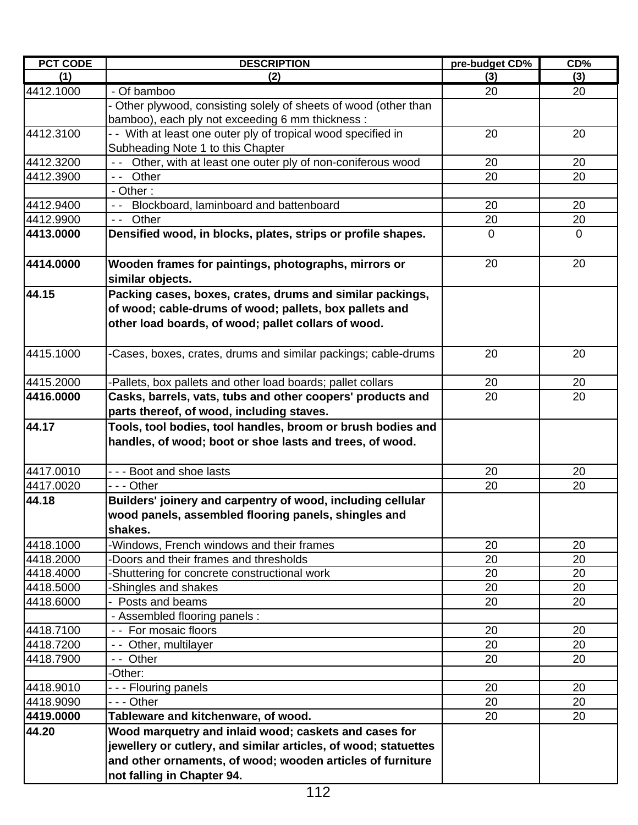| <b>PCT CODE</b> | <b>DESCRIPTION</b>                                               | pre-budget CD% | CD%         |
|-----------------|------------------------------------------------------------------|----------------|-------------|
| (1)             | (2)                                                              | (3)            | (3)         |
| 4412.1000       | - Of bamboo                                                      | 20             | 20          |
|                 | - Other plywood, consisting solely of sheets of wood (other than |                |             |
|                 | bamboo), each ply not exceeding 6 mm thickness :                 |                |             |
| 4412.3100       | - With at least one outer ply of tropical wood specified in      | 20             | 20          |
|                 | Subheading Note 1 to this Chapter                                |                |             |
| 4412.3200       | - - Other, with at least one outer ply of non-coniferous wood    | 20             | 20          |
| 4412.3900       | Other<br>$\sim$ $\sim$ $\sim$                                    | 20             | 20          |
|                 | - Other:                                                         |                |             |
| 4412.9400       | Blockboard, laminboard and battenboard                           | 20             | 20          |
| 4412.9900       | Other<br>$\sim$ $ \sim$                                          | 20             | 20          |
| 4413.0000       | Densified wood, in blocks, plates, strips or profile shapes.     | $\mathbf 0$    | $\mathbf 0$ |
| 4414.0000       | Wooden frames for paintings, photographs, mirrors or             | 20             | 20          |
|                 | similar objects.                                                 |                |             |
| 44.15           | Packing cases, boxes, crates, drums and similar packings,        |                |             |
|                 | of wood; cable-drums of wood; pallets, box pallets and           |                |             |
|                 | other load boards, of wood; pallet collars of wood.              |                |             |
| 4415.1000       | -Cases, boxes, crates, drums and similar packings; cable-drums   | 20             | 20          |
| 4415.2000       | -Pallets, box pallets and other load boards; pallet collars      | 20             | 20          |
| 4416.0000       | Casks, barrels, vats, tubs and other coopers' products and       | 20             | 20          |
|                 | parts thereof, of wood, including staves.                        |                |             |
| 44.17           | Tools, tool bodies, tool handles, broom or brush bodies and      |                |             |
|                 | handles, of wood; boot or shoe lasts and trees, of wood.         |                |             |
| 4417.0010       | --- Boot and shoe lasts                                          | 20             | 20          |
| 4417.0020       | - - - Other                                                      | 20             | 20          |
| 44.18           | Builders' joinery and carpentry of wood, including cellular      |                |             |
|                 | wood panels, assembled flooring panels, shingles and             |                |             |
|                 | shakes.                                                          |                |             |
| 4418.1000       | -Windows, French windows and their frames                        | 20             | 20          |
| 4418.2000       | Doors and their frames and thresholds                            | 20             | 20          |
| 4418.4000       | -Shuttering for concrete constructional work                     | 20             | 20          |
| 4418.5000       | -Shingles and shakes                                             | 20             | 20          |
| 4418.6000       | - Posts and beams                                                | 20             | 20          |
|                 | - Assembled flooring panels :                                    |                |             |
| 4418.7100       | - - For mosaic floors                                            | 20             | 20          |
| 4418.7200       | - - Other, multilayer                                            | 20             | 20          |
| 4418.7900       | -- Other                                                         | 20             | 20          |
|                 | -Other:                                                          |                |             |
| 4418.9010       | - - - Flouring panels                                            | 20             | 20          |
| 4418.9090       | - - - Other                                                      | 20             | 20          |
| 4419.0000       | Tableware and kitchenware, of wood.                              | 20             | 20          |
| 44.20           | Wood marquetry and inlaid wood; caskets and cases for            |                |             |
|                 | jewellery or cutlery, and similar articles, of wood; statuettes  |                |             |
|                 | and other ornaments, of wood; wooden articles of furniture       |                |             |
|                 | not falling in Chapter 94.                                       |                |             |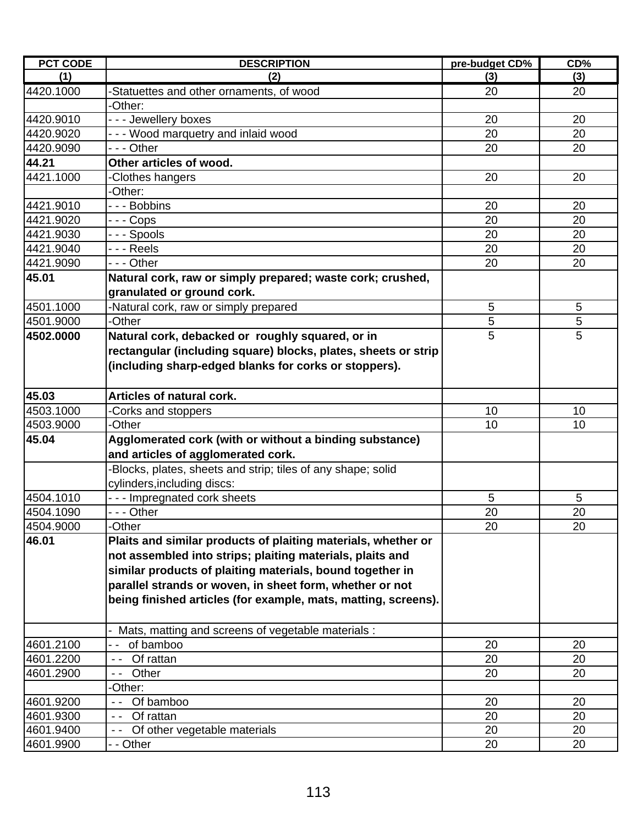| <b>PCT CODE</b> | <b>DESCRIPTION</b>                                             | pre-budget CD% | CD% |
|-----------------|----------------------------------------------------------------|----------------|-----|
| (1)             | (2)                                                            | (3)            | (3) |
| 4420.1000       | -Statuettes and other ornaments, of wood                       | 20             | 20  |
|                 | -Other:                                                        |                |     |
| 4420.9010       | --- Jewellery boxes                                            | 20             | 20  |
| 4420.9020       | - - - Wood marquetry and inlaid wood                           | 20             | 20  |
| 4420.9090       | --- Other                                                      | 20             | 20  |
| 44.21           | Other articles of wood.                                        |                |     |
| 4421.1000       | -Clothes hangers                                               | 20             | 20  |
|                 | -Other:                                                        |                |     |
| 4421.9010       | - - - Bobbins                                                  | 20             | 20  |
| 4421.9020       | -  -  - Cops                                                   | 20             | 20  |
| 4421.9030       | --- Spools                                                     | 20             | 20  |
| 4421.9040       | - - - Reels                                                    | 20             | 20  |
| 4421.9090       | - - - Other                                                    | 20             | 20  |
| 45.01           | Natural cork, raw or simply prepared; waste cork; crushed,     |                |     |
|                 | granulated or ground cork.                                     |                |     |
| 4501.1000       | -Natural cork, raw or simply prepared                          | 5              | 5   |
| 4501.9000       | -Other                                                         | 5              | 5   |
| 4502.0000       | Natural cork, debacked or roughly squared, or in               | 5              | 5   |
|                 | rectangular (including square) blocks, plates, sheets or strip |                |     |
|                 | (including sharp-edged blanks for corks or stoppers).          |                |     |
|                 |                                                                |                |     |
| 45.03           | <b>Articles of natural cork.</b>                               |                |     |
| 4503.1000       | -Corks and stoppers                                            | 10             | 10  |
| 4503.9000       | -Other                                                         | 10             | 10  |
| 45.04           | Agglomerated cork (with or without a binding substance)        |                |     |
|                 | and articles of agglomerated cork.                             |                |     |
|                 | Blocks, plates, sheets and strip; tiles of any shape; solid    |                |     |
|                 | cylinders, including discs:                                    |                |     |
| 4504.1010       | --- Impregnated cork sheets                                    | 5              | 5   |
| 4504.1090       | - - - Other                                                    | 20             | 20  |
| 4504.9000       | -Other                                                         | 20             | 20  |
| 46.01           | Plaits and similar products of plaiting materials, whether or  |                |     |
|                 | not assembled into strips; plaiting materials, plaits and      |                |     |
|                 | similar products of plaiting materials, bound together in      |                |     |
|                 | parallel strands or woven, in sheet form, whether or not       |                |     |
|                 | being finished articles (for example, mats, matting, screens). |                |     |
|                 |                                                                |                |     |
|                 | Mats, matting and screens of vegetable materials :             |                |     |
| 4601.2100       | of bamboo                                                      | 20             | 20  |
| 4601.2200       | Of rattan<br>$ -$                                              | 20             | 20  |
| 4601.2900       | Other<br>$\sim$ $-$                                            | 20             | 20  |
|                 | -Other:                                                        |                |     |
| 4601.9200       | Of bamboo                                                      | 20             | 20  |
| 4601.9300       | Of rattan<br>$\sim$ $-$                                        | 20             | 20  |
| 4601.9400       | Of other vegetable materials                                   | 20             | 20  |
| 4601.9900       | - - Other                                                      | 20             | 20  |
|                 |                                                                |                |     |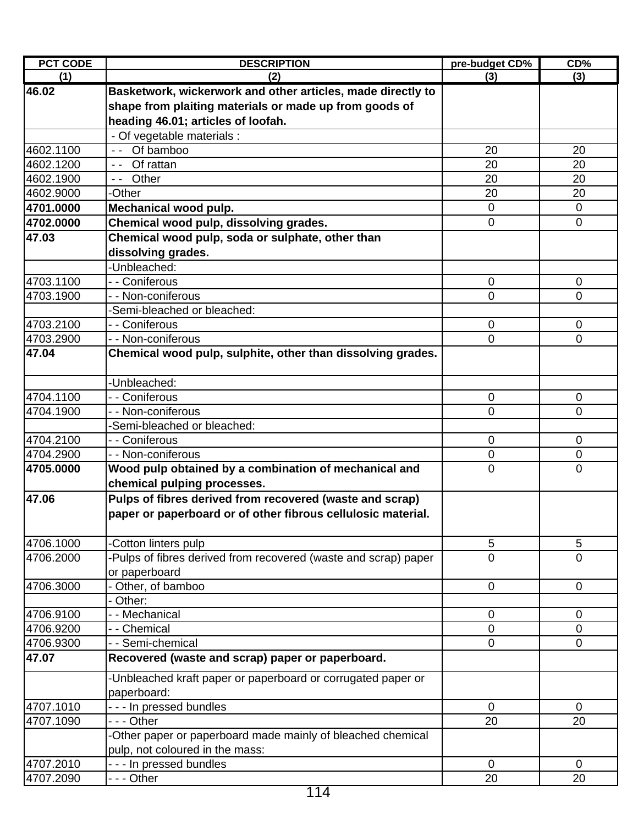| <b>PCT CODE</b> | <b>DESCRIPTION</b>                                              | pre-budget CD% | CD%            |
|-----------------|-----------------------------------------------------------------|----------------|----------------|
| (1)             | (2)                                                             | (3)            | (3)            |
| 46.02           | Basketwork, wickerwork and other articles, made directly to     |                |                |
|                 | shape from plaiting materials or made up from goods of          |                |                |
|                 | heading 46.01; articles of loofah.                              |                |                |
|                 | - Of vegetable materials :                                      |                |                |
| 4602.1100       | Of bamboo<br>$\sim$ $\sim$ $\sim$                               | 20             | 20             |
| 4602.1200       | -- Of rattan                                                    | 20             | 20             |
| 4602.1900       | Other<br>$\sim$ $\sim$ $\sim$                                   | 20             | 20             |
| 4602.9000       | <b>Other</b>                                                    | 20             | 20             |
| 4701.0000       | Mechanical wood pulp.                                           | $\mathbf 0$    | $\mathbf 0$    |
| 4702.0000       | Chemical wood pulp, dissolving grades.                          | $\overline{0}$ | $\overline{0}$ |
| 47.03           | Chemical wood pulp, soda or sulphate, other than                |                |                |
|                 | dissolving grades.                                              |                |                |
|                 | -Unbleached:                                                    |                |                |
| 4703.1100       | - - Coniferous                                                  | $\mathbf 0$    | $\mathbf 0$    |
| 4703.1900       | - - Non-coniferous                                              | 0              | 0              |
|                 | -Semi-bleached or bleached:                                     |                |                |
| 4703.2100       | - - Coniferous                                                  | $\mathbf 0$    | $\overline{0}$ |
| 4703.2900       | - - Non-coniferous                                              | 0              | 0              |
| 47.04           | Chemical wood pulp, sulphite, other than dissolving grades.     |                |                |
|                 |                                                                 |                |                |
|                 | -Unbleached:                                                    |                |                |
| 4704.1100       | - - Coniferous                                                  | 0              | $\mathbf 0$    |
| 4704.1900       | - - Non-coniferous                                              | 0              | 0              |
|                 | -Semi-bleached or bleached:                                     |                |                |
| 4704.2100       | - - Coniferous                                                  | $\mathbf 0$    | $\mathbf 0$    |
| 4704.2900       | - - Non-coniferous                                              | $\mathbf 0$    | $\pmb{0}$      |
| 4705.0000       | Wood pulp obtained by a combination of mechanical and           | 0              | $\overline{0}$ |
|                 | chemical pulping processes.                                     |                |                |
| 47.06           | Pulps of fibres derived from recovered (waste and scrap)        |                |                |
|                 | paper or paperboard or of other fibrous cellulosic material.    |                |                |
|                 |                                                                 |                |                |
| 4706.1000       | Cotton linters pulp                                             | 5              | 5              |
| 4706.2000       | -Pulps of fibres derived from recovered (waste and scrap) paper | $\overline{0}$ | $\Omega$       |
|                 | or paperboard                                                   |                |                |
| 4706.3000       | Other, of bamboo                                                | $\mathbf 0$    | $\mathbf 0$    |
|                 | - Other:                                                        |                |                |
| 4706.9100       | - - Mechanical                                                  | $\mathbf 0$    | $\mathbf 0$    |
| 4706.9200       | - - Chemical                                                    | 0              | 0              |
| 4706.9300       | - - Semi-chemical                                               | $\mathbf 0$    | $\mathbf 0$    |
| 47.07           | Recovered (waste and scrap) paper or paperboard.                |                |                |
|                 |                                                                 |                |                |
|                 | Unbleached kraft paper or paperboard or corrugated paper or     |                |                |
|                 | paperboard:                                                     |                |                |
| 4707.1010       | - - - In pressed bundles                                        | $\mathbf 0$    | $\Omega$       |
| 4707.1090       | --- Other                                                       | 20             | 20             |
|                 | -Other paper or paperboard made mainly of bleached chemical     |                |                |
|                 | pulp, not coloured in the mass:                                 |                |                |
| 4707.2010       | - - - In pressed bundles                                        | $\mathbf 0$    | $\mathbf 0$    |
| 4707.2090       | --- Other                                                       | 20             | 20             |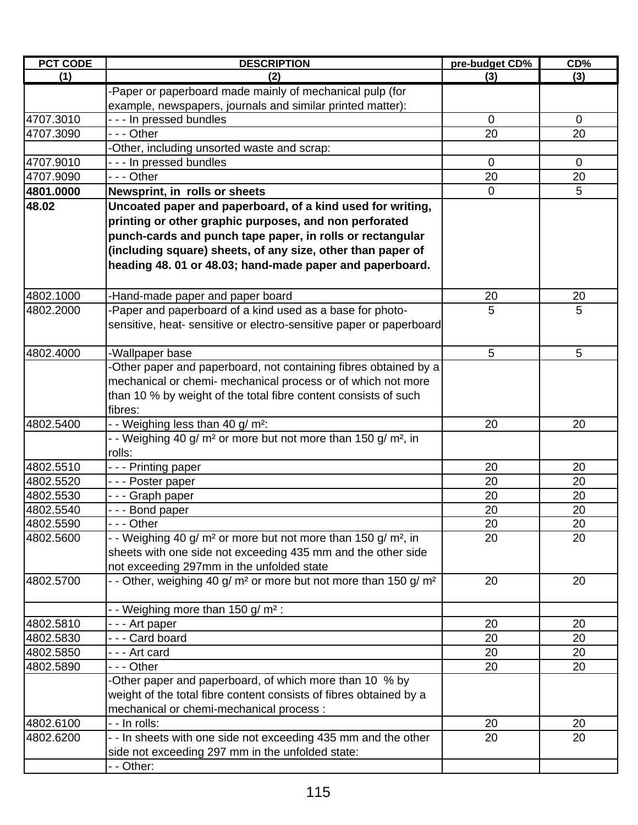| <b>PCT CODE</b> | <b>DESCRIPTION</b>                                                                            | pre-budget CD% | CD <sub>%</sub> |
|-----------------|-----------------------------------------------------------------------------------------------|----------------|-----------------|
| (1)             | (2)                                                                                           | (3)            | (3)             |
|                 | -Paper or paperboard made mainly of mechanical pulp (for                                      |                |                 |
|                 | example, newspapers, journals and similar printed matter):                                    |                |                 |
| 4707.3010       | --- In pressed bundles                                                                        | 0              | $\overline{0}$  |
| 4707.3090       | - - - Other                                                                                   | 20             | 20              |
|                 | -Other, including unsorted waste and scrap:                                                   |                |                 |
| 4707.9010       | - - - In pressed bundles                                                                      | $\mathbf 0$    | $\mathbf 0$     |
| 4707.9090       | - - - Other                                                                                   | 20             | 20              |
| 4801.0000       | Newsprint, in rolls or sheets                                                                 | $\mathbf 0$    | 5               |
| 48.02           | Uncoated paper and paperboard, of a kind used for writing,                                    |                |                 |
|                 | printing or other graphic purposes, and non perforated                                        |                |                 |
|                 | punch-cards and punch tape paper, in rolls or rectangular                                     |                |                 |
|                 | (including square) sheets, of any size, other than paper of                                   |                |                 |
|                 | heading 48.01 or 48.03; hand-made paper and paperboard.                                       |                |                 |
|                 |                                                                                               |                |                 |
| 4802.1000       |                                                                                               | 20             | 20              |
| 4802.2000       | -Hand-made paper and paper board<br>-Paper and paperboard of a kind used as a base for photo- | 5              | 5               |
|                 | sensitive, heat- sensitive or electro-sensitive paper or paperboard                           |                |                 |
|                 |                                                                                               |                |                 |
| 4802.4000       | -Wallpaper base                                                                               | 5              | 5               |
|                 | -Other paper and paperboard, not containing fibres obtained by a                              |                |                 |
|                 | mechanical or chemi- mechanical process or of which not more                                  |                |                 |
|                 |                                                                                               |                |                 |
|                 | than 10 % by weight of the total fibre content consists of such<br>fibres:                    |                |                 |
| 4802.5400       |                                                                                               |                |                 |
|                 | - - Weighing less than 40 g/ m <sup>2</sup> :                                                 | 20             | 20              |
|                 | - Weighing 40 g/ m <sup>2</sup> or more but not more than 150 g/ m <sup>2</sup> , in          |                |                 |
|                 | rolls:                                                                                        |                |                 |
| 4802.5510       | --- Printing paper                                                                            | 20             | 20              |
| 4802.5520       | - - - Poster paper                                                                            | 20             | 20              |
| 4802.5530       | -  - - Graph paper                                                                            | 20             | 20              |
| 4802.5540       | --- Bond paper                                                                                | 20             | 20              |
| 4802.5590       | --- Other                                                                                     | 20             | 20              |
| 4802.5600       | - - Weighing 40 g/ m <sup>2</sup> or more but not more than 150 g/ m <sup>2</sup> , in        | 20             | 20              |
|                 | sheets with one side not exceeding 435 mm and the other side                                  |                |                 |
|                 | not exceeding 297mm in the unfolded state                                                     |                |                 |
| 4802.5700       | - - Other, weighing 40 g/ m <sup>2</sup> or more but not more than 150 g/ m <sup>2</sup>      | 20             | 20              |
|                 |                                                                                               |                |                 |
|                 | - - Weighing more than 150 g/ m <sup>2</sup> :                                                |                |                 |
| 4802.5810       | - - - Art paper                                                                               | 20             | 20              |
| 4802.5830       | --- Card board                                                                                | 20             | 20              |
| 4802.5850       | --- Art card                                                                                  | 20             | 20              |
| 4802.5890       | - - - Other                                                                                   | 20             | 20              |
|                 | -Other paper and paperboard, of which more than 10 % by                                       |                |                 |
|                 | weight of the total fibre content consists of fibres obtained by a                            |                |                 |
|                 | mechanical or chemi-mechanical process :                                                      |                |                 |
| 4802.6100       | - - In rolls:                                                                                 | 20             | 20              |
| 4802.6200       | - - In sheets with one side not exceeding 435 mm and the other                                | 20             | 20              |
|                 | side not exceeding 297 mm in the unfolded state:                                              |                |                 |
|                 | - - Other:                                                                                    |                |                 |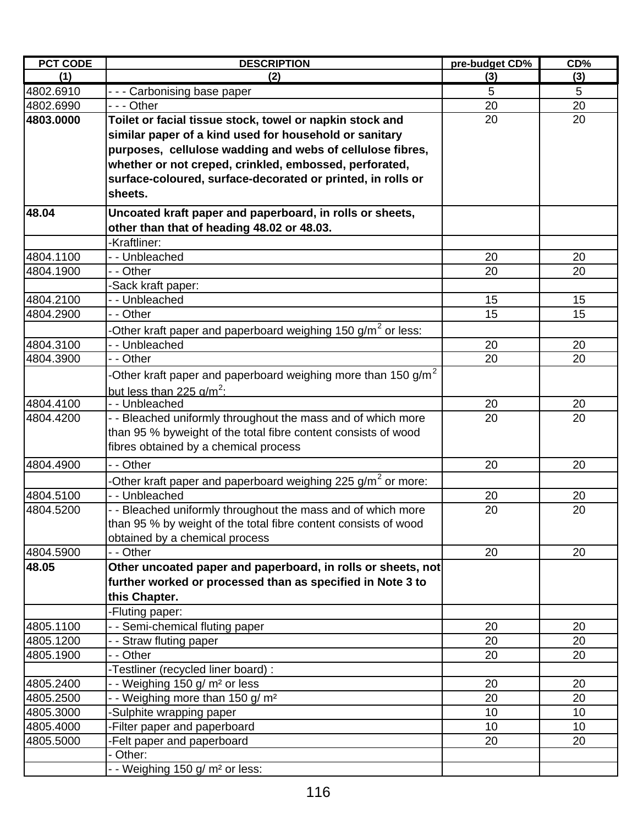| <b>PCT CODE</b> | <b>DESCRIPTION</b>                                                        | pre-budget CD% | CD% |
|-----------------|---------------------------------------------------------------------------|----------------|-----|
| (1)             | (2)                                                                       | (3)            | (3) |
| 4802.6910       | --- Carbonising base paper                                                | 5              | 5   |
| 4802.6990       | - - - Other                                                               | 20             | 20  |
| 4803.0000       | Toilet or facial tissue stock, towel or napkin stock and                  | 20             | 20  |
|                 | similar paper of a kind used for household or sanitary                    |                |     |
|                 | purposes, cellulose wadding and webs of cellulose fibres,                 |                |     |
|                 | whether or not creped, crinkled, embossed, perforated,                    |                |     |
|                 | surface-coloured, surface-decorated or printed, in rolls or               |                |     |
|                 | sheets.                                                                   |                |     |
|                 |                                                                           |                |     |
| 48.04           | Uncoated kraft paper and paperboard, in rolls or sheets,                  |                |     |
|                 | other than that of heading 48.02 or 48.03.                                |                |     |
|                 | -Kraftliner:                                                              |                |     |
| 4804.1100       | - - Unbleached                                                            | 20             | 20  |
| 4804.1900       | - - Other                                                                 | 20             | 20  |
|                 | -Sack kraft paper:                                                        |                |     |
| 4804.2100       | -- Unbleached                                                             | 15             | 15  |
| 4804.2900       | - - Other                                                                 | 15             | 15  |
|                 | -Other kraft paper and paperboard weighing 150 g/m <sup>2</sup> or less:  |                |     |
| 4804.3100       | -- Unbleached                                                             | 20             | 20  |
| 4804.3900       | - - Other                                                                 | 20             | 20  |
|                 | -Other kraft paper and paperboard weighing more than 150 g/m <sup>2</sup> |                |     |
|                 | but less than 225 $q/m^2$ :                                               |                |     |
| 4804.4100       | - - Unbleached                                                            | 20             | 20  |
| 4804.4200       | - - Bleached uniformly throughout the mass and of which more              | 20             | 20  |
|                 | than 95 % byweight of the total fibre content consists of wood            |                |     |
|                 | fibres obtained by a chemical process                                     |                |     |
| 4804.4900       | - - Other                                                                 | 20             | 20  |
|                 | -Other kraft paper and paperboard weighing 225 g/m <sup>2</sup> or more:  |                |     |
| 4804.5100       | - - Unbleached                                                            | 20             | 20  |
| 4804.5200       | - - Bleached uniformly throughout the mass and of which more              | 20             | 20  |
|                 | than 95 % by weight of the total fibre content consists of wood           |                |     |
|                 | obtained by a chemical process                                            |                |     |
| 4804.5900       | - - Other                                                                 | 20             | 20  |
| 48.05           | Other uncoated paper and paperboard, in rolls or sheets, not              |                |     |
|                 | further worked or processed than as specified in Note 3 to                |                |     |
|                 | this Chapter.                                                             |                |     |
|                 | -Fluting paper:                                                           |                |     |
| 4805.1100       | - - Semi-chemical fluting paper                                           | 20             | 20  |
| 4805.1200       | - - Straw fluting paper                                                   | 20             | 20  |
| 4805.1900       | - - Other                                                                 | 20             | 20  |
|                 | -Testliner (recycled liner board) :                                       |                |     |
| 4805.2400       | - Weighing 150 g/ m <sup>2</sup> or less                                  | 20             | 20  |
| 4805.2500       | - - Weighing more than 150 g/ m <sup>2</sup>                              | 20             | 20  |
| 4805.3000       | Sulphite wrapping paper                                                   | 10             | 10  |
| 4805.4000       | -Filter paper and paperboard                                              | 10             | 10  |
| 4805.5000       | -Felt paper and paperboard                                                | 20             | 20  |
|                 | Other:                                                                    |                |     |
|                 | - - Weighing 150 g/ m <sup>2</sup> or less:                               |                |     |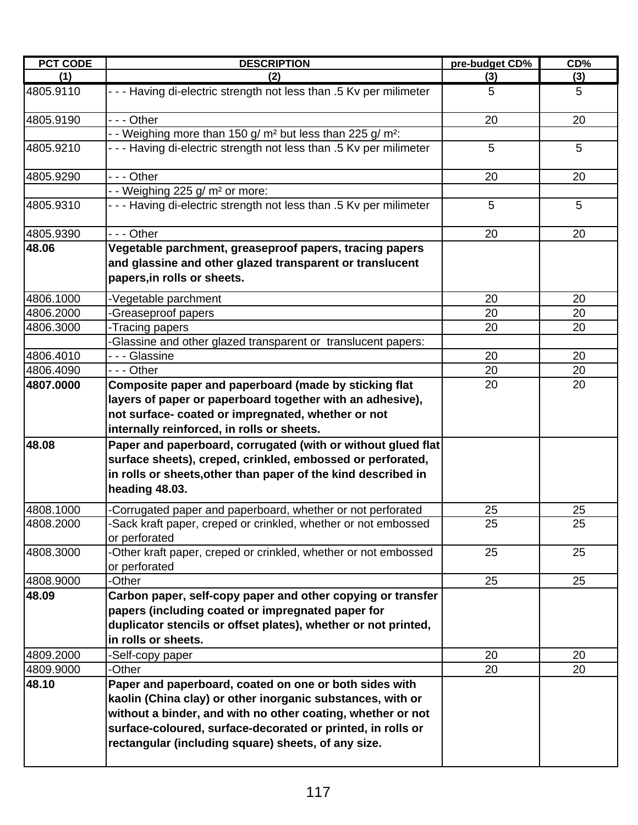| <b>PCT CODE</b> | <b>DESCRIPTION</b>                                                                                                                                                                                                                                                                                        | pre-budget CD%  | CD% |
|-----------------|-----------------------------------------------------------------------------------------------------------------------------------------------------------------------------------------------------------------------------------------------------------------------------------------------------------|-----------------|-----|
| (1)             | (2)                                                                                                                                                                                                                                                                                                       | (3)             | (3) |
| 4805.9110       | - - - Having di-electric strength not less than .5 Kv per milimeter                                                                                                                                                                                                                                       | 5               | 5   |
| 4805.9190       | - - - Other                                                                                                                                                                                                                                                                                               | 20              | 20  |
|                 | - - Weighing more than 150 g/ m <sup>2</sup> but less than 225 g/ m <sup>2</sup> :                                                                                                                                                                                                                        |                 |     |
| 4805.9210       | - - - Having di-electric strength not less than .5 Kv per milimeter                                                                                                                                                                                                                                       | 5               | 5   |
| 4805.9290       | - - - Other                                                                                                                                                                                                                                                                                               | 20              | 20  |
|                 | - - Weighing 225 g/ m <sup>2</sup> or more:                                                                                                                                                                                                                                                               |                 |     |
| 4805.9310       | - - - Having di-electric strength not less than .5 Kv per milimeter                                                                                                                                                                                                                                       | 5               | 5   |
| 4805.9390       | - - - Other                                                                                                                                                                                                                                                                                               | 20              | 20  |
| 48.06           | Vegetable parchment, greaseproof papers, tracing papers<br>and glassine and other glazed transparent or translucent<br>papers, in rolls or sheets.                                                                                                                                                        |                 |     |
| 4806.1000       | -Vegetable parchment                                                                                                                                                                                                                                                                                      | 20              | 20  |
| 4806.2000       | -Greaseproof papers                                                                                                                                                                                                                                                                                       | 20              | 20  |
| 4806.3000       | -Tracing papers                                                                                                                                                                                                                                                                                           | 20              | 20  |
|                 | -Glassine and other glazed transparent or translucent papers:                                                                                                                                                                                                                                             |                 |     |
| 4806.4010       | - - - Glassine                                                                                                                                                                                                                                                                                            | 20              | 20  |
| 4806.4090       | - - - Other                                                                                                                                                                                                                                                                                               | 20              | 20  |
| 4807.0000       | Composite paper and paperboard (made by sticking flat<br>layers of paper or paperboard together with an adhesive),<br>not surface- coated or impregnated, whether or not<br>internally reinforced, in rolls or sheets.                                                                                    | 20              | 20  |
| 48.08           | Paper and paperboard, corrugated (with or without glued flat<br>surface sheets), creped, crinkled, embossed or perforated,<br>in rolls or sheets, other than paper of the kind described in<br>heading 48.03.                                                                                             |                 |     |
| 4808.1000       | -Corrugated paper and paperboard, whether or not perforated                                                                                                                                                                                                                                               | 25              | 25  |
| 4808.2000       | -Sack kraft paper, creped or crinkled, whether or not embossed<br>or perforated                                                                                                                                                                                                                           | $\overline{25}$ | 25  |
| 4808.3000       | -Other kraft paper, creped or crinkled, whether or not embossed<br>or perforated                                                                                                                                                                                                                          | 25              | 25  |
| 4808.9000       | -Other                                                                                                                                                                                                                                                                                                    | 25              | 25  |
| 48.09           | Carbon paper, self-copy paper and other copying or transfer<br>papers (including coated or impregnated paper for<br>duplicator stencils or offset plates), whether or not printed,<br>in rolls or sheets.                                                                                                 |                 |     |
| 4809.2000       | -Self-copy paper                                                                                                                                                                                                                                                                                          | 20              | 20  |
| 4809.9000       | -Other                                                                                                                                                                                                                                                                                                    | 20              | 20  |
| 48.10           | Paper and paperboard, coated on one or both sides with<br>kaolin (China clay) or other inorganic substances, with or<br>without a binder, and with no other coating, whether or not<br>surface-coloured, surface-decorated or printed, in rolls or<br>rectangular (including square) sheets, of any size. |                 |     |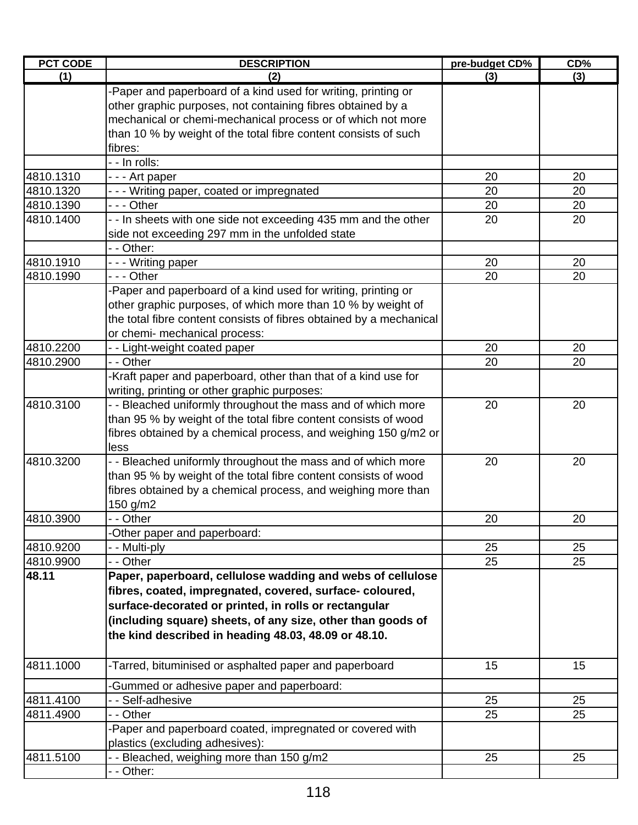| PCT CODE  | <b>DESCRIPTION</b>                                                                                                                                                                                                                                                                                    | pre-budget CD% | CD% |
|-----------|-------------------------------------------------------------------------------------------------------------------------------------------------------------------------------------------------------------------------------------------------------------------------------------------------------|----------------|-----|
| (1)       | (2)                                                                                                                                                                                                                                                                                                   | (3)            | (3) |
|           | -Paper and paperboard of a kind used for writing, printing or<br>other graphic purposes, not containing fibres obtained by a<br>mechanical or chemi-mechanical process or of which not more<br>than 10 % by weight of the total fibre content consists of such<br>fibres:                             |                |     |
|           | - - In rolls:                                                                                                                                                                                                                                                                                         |                |     |
| 4810.1310 | - - - Art paper                                                                                                                                                                                                                                                                                       | 20             | 20  |
| 4810.1320 | --- Writing paper, coated or impregnated                                                                                                                                                                                                                                                              | 20             | 20  |
| 4810.1390 | $- -$ Other                                                                                                                                                                                                                                                                                           | 20             | 20  |
| 4810.1400 | - - In sheets with one side not exceeding 435 mm and the other<br>side not exceeding 297 mm in the unfolded state<br>- - Other:                                                                                                                                                                       | 20             | 20  |
| 4810.1910 | - - - Writing paper                                                                                                                                                                                                                                                                                   | 20             | 20  |
| 4810.1990 | $- -$ Other                                                                                                                                                                                                                                                                                           | 20             | 20  |
|           | -Paper and paperboard of a kind used for writing, printing or<br>other graphic purposes, of which more than 10 % by weight of<br>the total fibre content consists of fibres obtained by a mechanical<br>or chemi- mechanical process:                                                                 |                |     |
| 4810.2200 | - - Light-weight coated paper                                                                                                                                                                                                                                                                         | 20             | 20  |
| 4810.2900 | - - Other                                                                                                                                                                                                                                                                                             | 20             | 20  |
|           | -Kraft paper and paperboard, other than that of a kind use for<br>writing, printing or other graphic purposes:                                                                                                                                                                                        |                |     |
| 4810.3100 | - - Bleached uniformly throughout the mass and of which more<br>than 95 % by weight of the total fibre content consists of wood<br>fibres obtained by a chemical process, and weighing 150 g/m2 or<br>less                                                                                            | 20             | 20  |
| 4810.3200 | - - Bleached uniformly throughout the mass and of which more<br>than 95 % by weight of the total fibre content consists of wood<br>fibres obtained by a chemical process, and weighing more than<br>150 g/m2                                                                                          | 20             | 20  |
| 4810.3900 | - - Other                                                                                                                                                                                                                                                                                             | 20             | 20  |
|           | -Other paper and paperboard:                                                                                                                                                                                                                                                                          |                |     |
| 4810.9200 | - - Multi-ply                                                                                                                                                                                                                                                                                         | 25             | 25  |
| 4810.9900 | - - Other                                                                                                                                                                                                                                                                                             | 25             | 25  |
| 48.11     | Paper, paperboard, cellulose wadding and webs of cellulose<br>fibres, coated, impregnated, covered, surface-coloured,<br>surface-decorated or printed, in rolls or rectangular<br>(including square) sheets, of any size, other than goods of<br>the kind described in heading 48.03, 48.09 or 48.10. |                |     |
| 4811.1000 | -Tarred, bituminised or asphalted paper and paperboard                                                                                                                                                                                                                                                | 15             | 15  |
|           | -Gummed or adhesive paper and paperboard:                                                                                                                                                                                                                                                             |                |     |
| 4811.4100 | - - Self-adhesive                                                                                                                                                                                                                                                                                     | 25             | 25  |
| 4811.4900 | - - Other                                                                                                                                                                                                                                                                                             | 25             | 25  |
|           | -Paper and paperboard coated, impregnated or covered with<br>plastics (excluding adhesives):                                                                                                                                                                                                          |                |     |
| 4811.5100 | - - Bleached, weighing more than 150 g/m2<br>- - Other:                                                                                                                                                                                                                                               | 25             | 25  |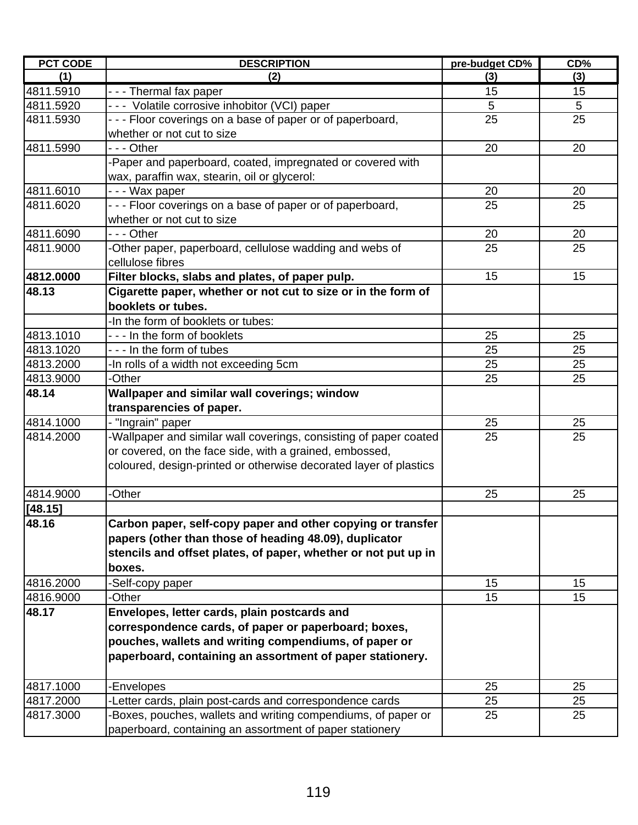| <b>PCT CODE</b> | <b>DESCRIPTION</b>                                                | pre-budget CD% | CD% |
|-----------------|-------------------------------------------------------------------|----------------|-----|
| (1)             | (2)                                                               | (3)            | (3) |
| 4811.5910       | - - - Thermal fax paper                                           | 15             | 15  |
| 4811.5920       | --- Volatile corrosive inhobitor (VCI) paper                      | 5              | 5   |
| 4811.5930       | --- Floor coverings on a base of paper or of paperboard,          | 25             | 25  |
|                 | whether or not cut to size                                        |                |     |
| 4811.5990       | --- Other                                                         | 20             | 20  |
|                 | -Paper and paperboard, coated, impregnated or covered with        |                |     |
|                 | wax, paraffin wax, stearin, oil or glycerol:                      |                |     |
| 4811.6010       | --- Wax paper                                                     | 20             | 20  |
| 4811.6020       | - - - Floor coverings on a base of paper or of paperboard,        | 25             | 25  |
|                 | whether or not cut to size                                        |                |     |
| 4811.6090       | --- Other                                                         | 20             | 20  |
| 4811.9000       | -Other paper, paperboard, cellulose wadding and webs of           | 25             | 25  |
|                 | cellulose fibres                                                  |                |     |
| 4812.0000       | Filter blocks, slabs and plates, of paper pulp.                   | 15             | 15  |
| 48.13           | Cigarette paper, whether or not cut to size or in the form of     |                |     |
|                 | booklets or tubes.                                                |                |     |
|                 | -In the form of booklets or tubes:                                |                |     |
| 4813.1010       | --- In the form of booklets                                       | 25             | 25  |
| 4813.1020       | --- In the form of tubes                                          | 25             | 25  |
| 4813.2000       | -In rolls of a width not exceeding 5cm                            | 25             | 25  |
| 4813.9000       | -Other                                                            | 25             | 25  |
| 48.14           | Wallpaper and similar wall coverings; window                      |                |     |
|                 | transparencies of paper.                                          |                |     |
| 4814.1000       | - "Ingrain" paper                                                 | 25             | 25  |
| 4814.2000       | -Wallpaper and similar wall coverings, consisting of paper coated | 25             | 25  |
|                 | or covered, on the face side, with a grained, embossed,           |                |     |
|                 | coloured, design-printed or otherwise decorated layer of plastics |                |     |
|                 |                                                                   |                |     |
| 4814.9000       | -Other                                                            | 25             | 25  |
| [48.15]         |                                                                   |                |     |
| 48.16           | Carbon paper, self-copy paper and other copying or transfer       |                |     |
|                 | papers (other than those of heading 48.09), duplicator            |                |     |
|                 | stencils and offset plates, of paper, whether or not put up in    |                |     |
|                 | boxes.                                                            |                |     |
| 4816.2000       | -Self-copy paper                                                  | 15             | 15  |
| 4816.9000       | -Other                                                            | 15             | 15  |
| 48.17           | Envelopes, letter cards, plain postcards and                      |                |     |
|                 | correspondence cards, of paper or paperboard; boxes,              |                |     |
|                 | pouches, wallets and writing compendiums, of paper or             |                |     |
|                 | paperboard, containing an assortment of paper stationery.         |                |     |
| 4817.1000       | -Envelopes                                                        | 25             | 25  |
| 4817.2000       | -Letter cards, plain post-cards and correspondence cards          | 25             | 25  |
| 4817.3000       | -Boxes, pouches, wallets and writing compendiums, of paper or     | 25             | 25  |
|                 | paperboard, containing an assortment of paper stationery          |                |     |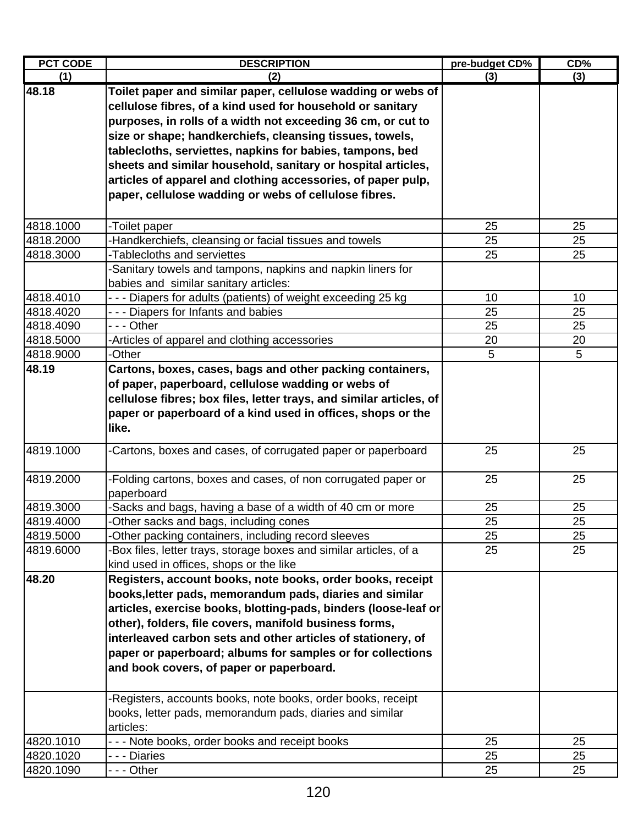| <b>PCT CODE</b> | <b>DESCRIPTION</b>                                                  | pre-budget CD% | CD% |
|-----------------|---------------------------------------------------------------------|----------------|-----|
| (1)             | (2)                                                                 | (3)            | (3) |
| 48.18           | Toilet paper and similar paper, cellulose wadding or webs of        |                |     |
|                 | cellulose fibres, of a kind used for household or sanitary          |                |     |
|                 | purposes, in rolls of a width not exceeding 36 cm, or cut to        |                |     |
|                 | size or shape; handkerchiefs, cleansing tissues, towels,            |                |     |
|                 | tablecloths, serviettes, napkins for babies, tampons, bed           |                |     |
|                 | sheets and similar household, sanitary or hospital articles,        |                |     |
|                 | articles of apparel and clothing accessories, of paper pulp,        |                |     |
|                 | paper, cellulose wadding or webs of cellulose fibres.               |                |     |
|                 |                                                                     |                |     |
| 4818.1000       | -Toilet paper                                                       | 25             | 25  |
| 4818.2000       | -Handkerchiefs, cleansing or facial tissues and towels              | 25             | 25  |
| 4818.3000       | -Tablecloths and serviettes                                         | 25             | 25  |
|                 | -Sanitary towels and tampons, napkins and napkin liners for         |                |     |
|                 | babies and similar sanitary articles:                               |                |     |
| 4818.4010       | --- Diapers for adults (patients) of weight exceeding 25 kg         | 10             | 10  |
| 4818.4020       | --- Diapers for Infants and babies                                  | 25             | 25  |
| 4818.4090       | - - - Other                                                         | 25             | 25  |
| 4818.5000       | -Articles of apparel and clothing accessories                       | 20             | 20  |
| 4818.9000       | -Other                                                              | 5              | 5   |
| 48.19           | Cartons, boxes, cases, bags and other packing containers,           |                |     |
|                 | of paper, paperboard, cellulose wadding or webs of                  |                |     |
|                 | cellulose fibres; box files, letter trays, and similar articles, of |                |     |
|                 | paper or paperboard of a kind used in offices, shops or the         |                |     |
|                 | like.                                                               |                |     |
| 4819.1000       | -Cartons, boxes and cases, of corrugated paper or paperboard        | 25             | 25  |
| 4819.2000       | -Folding cartons, boxes and cases, of non corrugated paper or       | 25             | 25  |
|                 | paperboard                                                          |                |     |
| 4819.3000       | -Sacks and bags, having a base of a width of 40 cm or more          | 25             | 25  |
| 4819.4000       | Other sacks and bags, including cones                               | 25             | 25  |
| 4819.5000       | -Other packing containers, including record sleeves                 | 25             | 25  |
| 4819.6000       | -Box files, letter trays, storage boxes and similar articles, of a  | 25             | 25  |
|                 | kind used in offices, shops or the like                             |                |     |
| 48.20           | Registers, account books, note books, order books, receipt          |                |     |
|                 | books, letter pads, memorandum pads, diaries and similar            |                |     |
|                 | articles, exercise books, blotting-pads, binders (loose-leaf or     |                |     |
|                 | other), folders, file covers, manifold business forms,              |                |     |
|                 | interleaved carbon sets and other articles of stationery, of        |                |     |
|                 | paper or paperboard; albums for samples or for collections          |                |     |
|                 | and book covers, of paper or paperboard.                            |                |     |
|                 |                                                                     |                |     |
|                 | -Registers, accounts books, note books, order books, receipt        |                |     |
|                 | books, letter pads, memorandum pads, diaries and similar            |                |     |
|                 | articles:                                                           |                |     |
| 4820.1010       | --- Note books, order books and receipt books                       | 25             | 25  |
| 4820.1020       | - - - Diaries                                                       | 25             | 25  |
| 4820.1090       | - - - Other                                                         | 25             | 25  |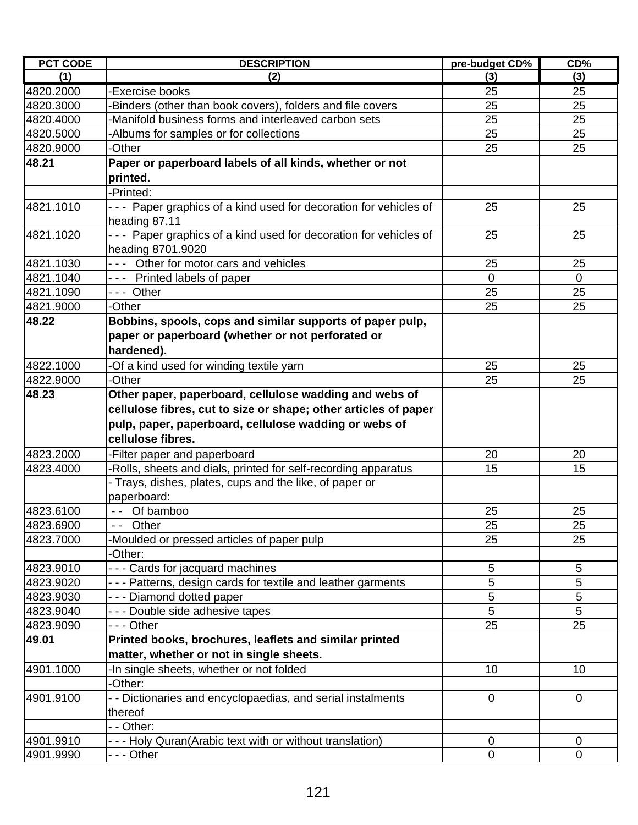| <b>PCT CODE</b> | <b>DESCRIPTION</b>                                               | pre-budget CD% | CD%         |
|-----------------|------------------------------------------------------------------|----------------|-------------|
| (1)             | (2)                                                              | (3)            | (3)         |
| 4820.2000       | -Exercise books                                                  | 25             | 25          |
| 4820.3000       | -Binders (other than book covers), folders and file covers       | 25             | 25          |
| 4820.4000       | -Manifold business forms and interleaved carbon sets             | 25             | 25          |
| 4820.5000       | -Albums for samples or for collections                           | 25             | 25          |
| 4820.9000       | -Other                                                           | 25             | 25          |
| 48.21           | Paper or paperboard labels of all kinds, whether or not          |                |             |
|                 | printed.                                                         |                |             |
|                 | -Printed:                                                        |                |             |
| 4821.1010       | --- Paper graphics of a kind used for decoration for vehicles of | 25             | 25          |
|                 | heading 87.11                                                    |                |             |
| 4821.1020       | --- Paper graphics of a kind used for decoration for vehicles of | 25             | 25          |
|                 | heading 8701.9020                                                |                |             |
| 4821.1030       | --- Other for motor cars and vehicles                            | 25             | 25          |
| 4821.1040       | --- Printed labels of paper                                      | $\overline{0}$ | $\mathbf 0$ |
| 4821.1090       | --- Other                                                        | 25             | 25          |
| 4821.9000       | -Other                                                           | 25             | 25          |
| 48.22           | Bobbins, spools, cops and similar supports of paper pulp,        |                |             |
|                 | paper or paperboard (whether or not perforated or                |                |             |
|                 | hardened).                                                       |                |             |
| 4822.1000       | -Of a kind used for winding textile yarn                         | 25             | 25          |
| 4822.9000       | -Other                                                           | 25             | 25          |
| 48.23           | Other paper, paperboard, cellulose wadding and webs of           |                |             |
|                 | cellulose fibres, cut to size or shape; other articles of paper  |                |             |
|                 | pulp, paper, paperboard, cellulose wadding or webs of            |                |             |
|                 | cellulose fibres.                                                |                |             |
| 4823.2000       | -Filter paper and paperboard                                     | 20             | 20          |
| 4823.4000       | Rolls, sheets and dials, printed for self-recording apparatus    | 15             | 15          |
|                 | - Trays, dishes, plates, cups and the like, of paper or          |                |             |
|                 | paperboard:                                                      |                |             |
| 4823.6100       | -- Of bamboo                                                     | 25             | 25          |
| 4823.6900       | -- Other                                                         | 25             | 25          |
| 4823.7000       | -Moulded or pressed articles of paper pulp                       | 25             | 25          |
|                 | -Other:                                                          |                |             |
| 4823.9010       | - - - Cards for jacquard machines                                | 5              | 5           |
| 4823.9020       | --- Patterns, design cards for textile and leather garments      | 5              | 5           |
| 4823.9030       | --- Diamond dotted paper                                         | 5              | 5           |
| 4823.9040       | --- Double side adhesive tapes                                   | 5              | 5           |
| 4823.9090       | --- Other                                                        | 25             | 25          |
| 49.01           | Printed books, brochures, leaflets and similar printed           |                |             |
|                 | matter, whether or not in single sheets.                         |                |             |
| 4901.1000       | -In single sheets, whether or not folded                         | 10             | 10          |
|                 | -Other:                                                          |                |             |
| 4901.9100       | - - Dictionaries and encyclopaedias, and serial instalments      | $\mathbf 0$    | $\mathbf 0$ |
|                 | thereof                                                          |                |             |
|                 | - - Other:                                                       |                |             |
| 4901.9910       | - - - Holy Quran(Arabic text with or without translation)        | $\mathbf 0$    | $\mathbf 0$ |
| 4901.9990       | - - - Other                                                      | $\mathbf 0$    | 0           |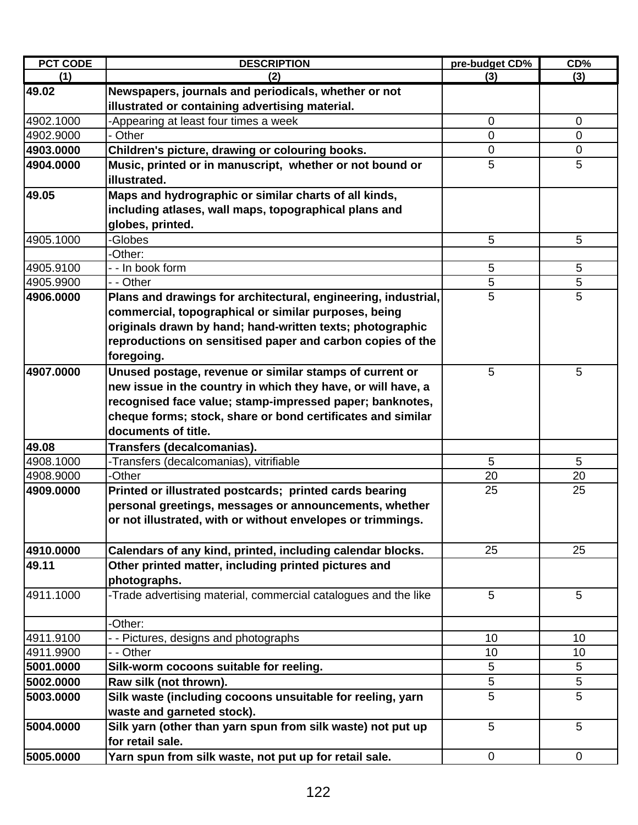| <b>PCT CODE</b> | <b>DESCRIPTION</b>                                              | pre-budget CD% | CD%             |
|-----------------|-----------------------------------------------------------------|----------------|-----------------|
| (1)             | (2)                                                             | (3)            | (3)             |
| 49.02           | Newspapers, journals and periodicals, whether or not            |                |                 |
|                 | illustrated or containing advertising material.                 |                |                 |
| 4902.1000       | -Appearing at least four times a week                           | 0              | $\mathbf 0$     |
| 4902.9000       | - Other                                                         | 0              | 0               |
| 4903.0000       | Children's picture, drawing or colouring books.                 | $\mathbf 0$    | $\mathbf 0$     |
| 4904.0000       | Music, printed or in manuscript, whether or not bound or        | 5              | 5               |
|                 | illustrated.                                                    |                |                 |
| 49.05           | Maps and hydrographic or similar charts of all kinds,           |                |                 |
|                 | including atlases, wall maps, topographical plans and           |                |                 |
|                 | globes, printed.                                                |                |                 |
| 4905.1000       | -Globes                                                         | 5              | 5               |
|                 | -Other:                                                         |                |                 |
| 4905.9100       | - - In book form                                                | $\sqrt{5}$     | $5\phantom{.0}$ |
| 4905.9900       | - - Other                                                       | $\sqrt{5}$     | 5               |
| 4906.0000       | Plans and drawings for architectural, engineering, industrial,  | 5              | 5               |
|                 | commercial, topographical or similar purposes, being            |                |                 |
|                 | originals drawn by hand; hand-written texts; photographic       |                |                 |
|                 | reproductions on sensitised paper and carbon copies of the      |                |                 |
|                 | foregoing.                                                      |                |                 |
| 4907.0000       | Unused postage, revenue or similar stamps of current or         | 5              | 5               |
|                 | new issue in the country in which they have, or will have, a    |                |                 |
|                 | recognised face value; stamp-impressed paper; banknotes,        |                |                 |
|                 | cheque forms; stock, share or bond certificates and similar     |                |                 |
|                 | documents of title.                                             |                |                 |
| 49.08           | Transfers (decalcomanias).                                      |                |                 |
| 4908.1000       | -Transfers (decalcomanias), vitrifiable                         | 5              | 5               |
| 4908.9000       | -Other                                                          | 20             | 20              |
| 4909.0000       | Printed or illustrated postcards; printed cards bearing         | 25             | 25              |
|                 | personal greetings, messages or announcements, whether          |                |                 |
|                 | or not illustrated, with or without envelopes or trimmings.     |                |                 |
|                 |                                                                 |                |                 |
| 4910.0000       | Calendars of any kind, printed, including calendar blocks.      | 25             | 25              |
| 49.11           | Other printed matter, including printed pictures and            |                |                 |
|                 | photographs.                                                    |                |                 |
| 4911.1000       | -Trade advertising material, commercial catalogues and the like | 5              | 5               |
|                 |                                                                 |                |                 |
|                 | -Other:                                                         |                |                 |
| 4911.9100       | - - Pictures, designs and photographs                           | 10             | 10              |
| 4911.9900       | - - Other                                                       | 10             | 10              |
| 5001.0000       | Silk-worm cocoons suitable for reeling.                         | 5              | 5               |
| 5002.0000       | Raw silk (not thrown).                                          | $\sqrt{5}$     | 5               |
| 5003.0000       | Silk waste (including cocoons unsuitable for reeling, yarn      | 5              | 5               |
|                 | waste and garneted stock).                                      |                |                 |
| 5004.0000       | Silk yarn (other than yarn spun from silk waste) not put up     | 5              | 5               |
|                 | for retail sale.                                                |                |                 |
| 5005.0000       | Yarn spun from silk waste, not put up for retail sale.          | 0              | 0               |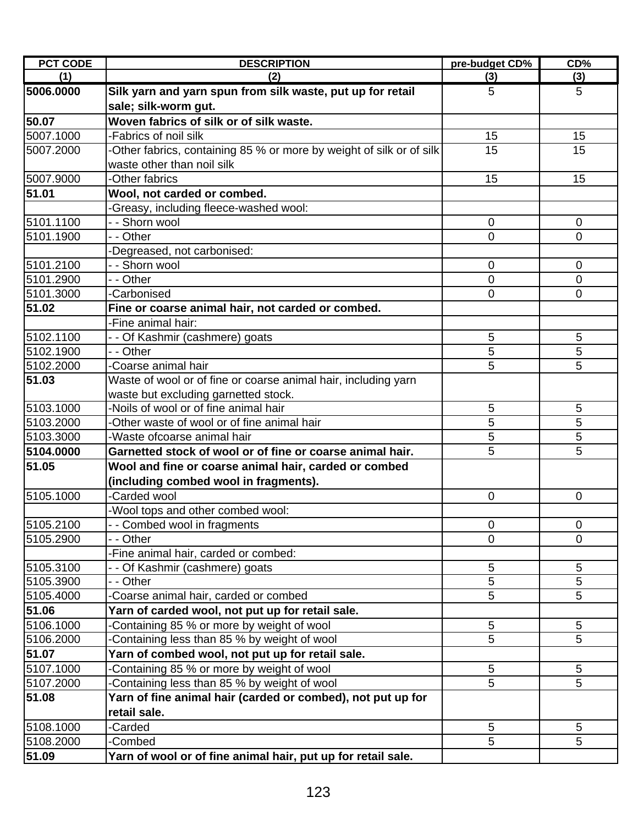| <b>PCT CODE</b> | <b>DESCRIPTION</b>                                                   | pre-budget CD% | CD%             |
|-----------------|----------------------------------------------------------------------|----------------|-----------------|
| (1)             | (2)                                                                  | (3)            | (3)             |
| 5006.0000       | Silk yarn and yarn spun from silk waste, put up for retail           | 5              | 5               |
|                 | sale; silk-worm gut.                                                 |                |                 |
| 50.07           | Woven fabrics of silk or of silk waste.                              |                |                 |
| 5007.1000       | -Fabrics of noil silk                                                | 15             | 15              |
| 5007.2000       | -Other fabrics, containing 85 % or more by weight of silk or of silk | 15             | 15              |
|                 | waste other than noil silk                                           |                |                 |
| 5007.9000       | -Other fabrics                                                       | 15             | 15              |
| 51.01           | Wool, not carded or combed.                                          |                |                 |
|                 | -Greasy, including fleece-washed wool:                               |                |                 |
| 5101.1100       | - - Shorn wool                                                       | $\mathbf 0$    | $\mathbf 0$     |
| 5101.1900       | - - Other                                                            | 0              | 0               |
|                 | -Degreased, not carbonised:                                          |                |                 |
| 5101.2100       | - - Shorn wool                                                       | 0              | $\mathbf 0$     |
| 5101.2900       | - - Other                                                            | 0              | $\overline{0}$  |
| 5101.3000       | -Carbonised                                                          | 0              | 0               |
| 51.02           | Fine or coarse animal hair, not carded or combed.                    |                |                 |
|                 | -Fine animal hair:                                                   |                |                 |
| 5102.1100       | - - Of Kashmir (cashmere) goats                                      | 5              | 5               |
| 5102.1900       | - - Other                                                            | 5              | 5               |
| 5102.2000       | -Coarse animal hair                                                  | 5              | 5               |
| 51.03           | Waste of wool or of fine or coarse animal hair, including yarn       |                |                 |
|                 | waste but excluding garnetted stock.                                 |                |                 |
| 5103.1000       | -Noils of wool or of fine animal hair                                | 5              | 5               |
| 5103.2000       | -Other waste of wool or of fine animal hair                          | 5              | 5               |
| 5103.3000       | -Waste ofcoarse animal hair                                          | 5              | 5               |
| 5104.0000       | Garnetted stock of wool or of fine or coarse animal hair.            | 5              | 5               |
| 51.05           | Wool and fine or coarse animal hair, carded or combed                |                |                 |
|                 | (including combed wool in fragments).                                |                |                 |
| 5105.1000       | -Carded wool                                                         | $\overline{0}$ | $\overline{0}$  |
|                 | -Wool tops and other combed wool:                                    |                |                 |
| 5105.2100       | - - Combed wool in fragments                                         | $\overline{0}$ | $\overline{0}$  |
| 5105.2900       | - - Other                                                            | $\overline{0}$ | 0               |
|                 | -Fine animal hair, carded or combed:                                 |                |                 |
| 5105.3100       | - - Of Kashmir (cashmere) goats                                      | 5              | 5               |
| 5105.3900       | - - Other                                                            | 5              | 5               |
| 5105.4000       | -Coarse animal hair, carded or combed                                | 5              | 5               |
| 51.06           | Yarn of carded wool, not put up for retail sale.                     |                |                 |
| 5106.1000       | Containing 85 % or more by weight of wool                            | 5              | 5               |
| 5106.2000       | Containing less than 85 % by weight of wool                          | 5              | 5               |
| 51.07           | Yarn of combed wool, not put up for retail sale.                     |                |                 |
| 5107.1000       | Containing 85 % or more by weight of wool                            | 5              | $5\phantom{.0}$ |
| 5107.2000       | Containing less than 85 % by weight of wool                          | 5              | 5               |
| 51.08           | Yarn of fine animal hair (carded or combed), not put up for          |                |                 |
|                 | retail sale.                                                         |                |                 |
| 5108.1000       | -Carded                                                              | 5              | $5\phantom{.0}$ |
| 5108.2000       | -Combed                                                              | 5              | 5               |
| 51.09           | Yarn of wool or of fine animal hair, put up for retail sale.         |                |                 |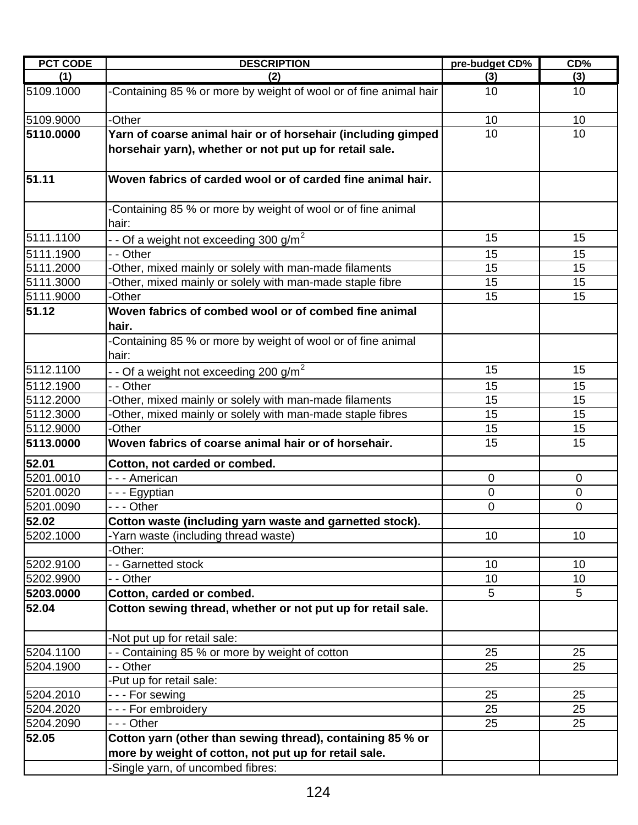| <b>PCT CODE</b> | <b>DESCRIPTION</b>                                                                                                                      | pre-budget CD%  | CD%            |
|-----------------|-----------------------------------------------------------------------------------------------------------------------------------------|-----------------|----------------|
| (1)             | (2)                                                                                                                                     | (3)             | (3)            |
| 5109.1000       | -Containing 85 % or more by weight of wool or of fine animal hair                                                                       | 10              | 10             |
| 5109.9000       | -Other                                                                                                                                  | 10              | 10             |
| 5110.0000       | Yarn of coarse animal hair or of horsehair (including gimped<br>horsehair yarn), whether or not put up for retail sale.                 | 10              | 10             |
| 51.11           | Woven fabrics of carded wool or of carded fine animal hair.                                                                             |                 |                |
|                 | Containing 85 % or more by weight of wool or of fine animal<br>hair:                                                                    |                 |                |
| 5111.1100       | - - Of a weight not exceeding 300 g/m <sup>2</sup>                                                                                      | 15              | 15             |
| 5111.1900       | - - Other                                                                                                                               | 15              | 15             |
| 5111.2000       | -Other, mixed mainly or solely with man-made filaments                                                                                  | 15              | 15             |
| 5111.3000       | -Other, mixed mainly or solely with man-made staple fibre                                                                               | 15              | 15             |
| 5111.9000       | -Other                                                                                                                                  | 15              | 15             |
| 51.12           | Woven fabrics of combed wool or of combed fine animal<br>hair.<br>-Containing 85 % or more by weight of wool or of fine animal<br>hair: |                 |                |
| 5112.1100       |                                                                                                                                         | 15              | 15             |
| 5112.1900       | $-$ - Of a weight not exceeding 200 g/m <sup>2</sup><br>- - Other                                                                       | 15              | 15             |
| 5112.2000       | -Other, mixed mainly or solely with man-made filaments                                                                                  | 15              | 15             |
| 5112.3000       | -Other, mixed mainly or solely with man-made staple fibres                                                                              | 15              | 15             |
| 5112.9000       | -Other                                                                                                                                  | 15              | 15             |
| 5113.0000       | Woven fabrics of coarse animal hair or of horsehair.                                                                                    | 15              | 15             |
| 52.01           | Cotton, not carded or combed.                                                                                                           |                 |                |
| 5201.0010       | - - - American                                                                                                                          | 0               | 0              |
| 5201.0020       | - - - Egyptian                                                                                                                          | 0               | $\mathbf 0$    |
| 5201.0090       | - - - Other                                                                                                                             | 0               | $\overline{0}$ |
| 52.02           | Cotton waste (including yarn waste and garnetted stock).                                                                                |                 |                |
| 5202.1000       | -Yarn waste (including thread waste)                                                                                                    | 10              | 10             |
|                 | -Other:                                                                                                                                 |                 |                |
| 5202.9100       | - - Garnetted stock                                                                                                                     | 10 <sup>1</sup> | 10             |
| 5202.9900       | - - Other                                                                                                                               | 10              | 10             |
| 5203.0000       | Cotton, carded or combed.                                                                                                               | 5               | 5              |
| 52.04           | Cotton sewing thread, whether or not put up for retail sale.                                                                            |                 |                |
|                 | -Not put up for retail sale:                                                                                                            |                 |                |
| 5204.1100       | - - Containing 85 % or more by weight of cotton                                                                                         | 25              | 25             |
| 5204.1900       | - - Other                                                                                                                               | 25              | 25             |
|                 | -Put up for retail sale:                                                                                                                |                 |                |
| 5204.2010       | --- For sewing                                                                                                                          | 25              | 25             |
| 5204.2020       | --- For embroidery                                                                                                                      | 25              | 25             |
| 5204.2090       | --- Other                                                                                                                               | 25              | 25             |
| 52.05           | Cotton yarn (other than sewing thread), containing 85 % or                                                                              |                 |                |
|                 | more by weight of cotton, not put up for retail sale.                                                                                   |                 |                |
|                 | -Single yarn, of uncombed fibres:                                                                                                       |                 |                |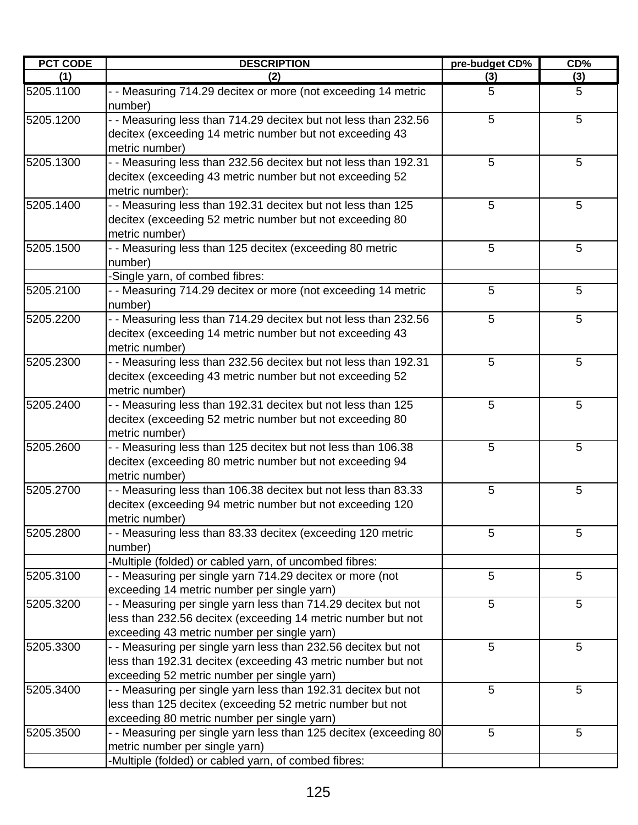| <b>PCT CODE</b> | <b>DESCRIPTION</b>                                                                                                                                                            | pre-budget CD% | CD% |
|-----------------|-------------------------------------------------------------------------------------------------------------------------------------------------------------------------------|----------------|-----|
| (1)             | (2)                                                                                                                                                                           | (3)            | (3) |
| 5205.1100       | - - Measuring 714.29 decitex or more (not exceeding 14 metric<br>number)                                                                                                      | 5              | 5   |
| 5205.1200       | - - Measuring less than 714.29 decitex but not less than 232.56<br>decitex (exceeding 14 metric number but not exceeding 43<br>metric number)                                 | 5              | 5   |
| 5205.1300       | - - Measuring less than 232.56 decitex but not less than 192.31<br>decitex (exceeding 43 metric number but not exceeding 52<br>metric number):                                | 5              | 5   |
| 5205.1400       | - - Measuring less than 192.31 decitex but not less than 125<br>decitex (exceeding 52 metric number but not exceeding 80<br>metric number)                                    | 5              | 5   |
| 5205.1500       | - - Measuring less than 125 decitex (exceeding 80 metric<br>number)<br>-Single yarn, of combed fibres:                                                                        | 5              | 5   |
| 5205.2100       | - - Measuring 714.29 decitex or more (not exceeding 14 metric<br>number)                                                                                                      | 5              | 5   |
| 5205.2200       | - - Measuring less than 714.29 decitex but not less than 232.56<br>decitex (exceeding 14 metric number but not exceeding 43<br>metric number)                                 | 5              | 5   |
| 5205.2300       | - - Measuring less than 232.56 decitex but not less than 192.31<br>decitex (exceeding 43 metric number but not exceeding 52<br>metric number)                                 | 5              | 5   |
| 5205.2400       | - - Measuring less than 192.31 decitex but not less than 125<br>decitex (exceeding 52 metric number but not exceeding 80<br>metric number)                                    | 5              | 5   |
| 5205.2600       | - - Measuring less than 125 decitex but not less than 106.38<br>decitex (exceeding 80 metric number but not exceeding 94<br>metric number)                                    | 5              | 5   |
| 5205.2700       | - - Measuring less than 106.38 decitex but not less than 83.33<br>decitex (exceeding 94 metric number but not exceeding 120<br>metric number)                                 | 5              | 5   |
| 5205.2800       | - - Measuring less than 83.33 decitex (exceeding 120 metric<br>number)<br>-Multiple (folded) or cabled yarn, of uncombed fibres:                                              | 5              | 5   |
| 5205.3100       | - - Measuring per single yarn 714.29 decitex or more (not<br>exceeding 14 metric number per single yarn)                                                                      | 5              | 5   |
| 5205.3200       | - - Measuring per single yarn less than 714.29 decitex but not<br>less than 232.56 decitex (exceeding 14 metric number but not<br>exceeding 43 metric number per single yarn) | 5              | 5   |
| 5205.3300       | - - Measuring per single yarn less than 232.56 decitex but not<br>less than 192.31 decitex (exceeding 43 metric number but not<br>exceeding 52 metric number per single yarn) | 5              | 5   |
| 5205.3400       | - - Measuring per single yarn less than 192.31 decitex but not<br>less than 125 decitex (exceeding 52 metric number but not<br>exceeding 80 metric number per single yarn)    | 5              | 5   |
| 5205.3500       | - - Measuring per single yarn less than 125 decitex (exceeding 80<br>metric number per single yarn)<br>-Multiple (folded) or cabled yarn, of combed fibres:                   | 5              | 5   |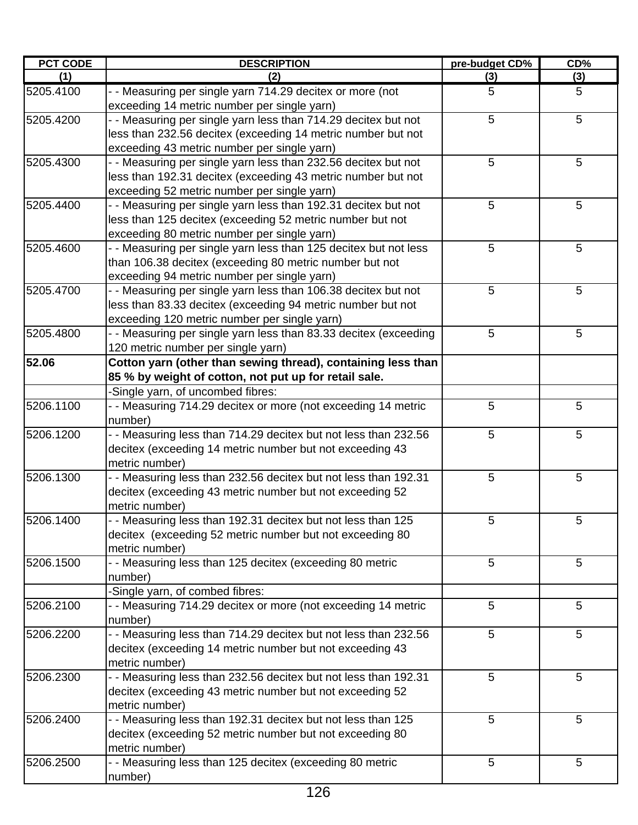| PCT CODE  | <b>DESCRIPTION</b>                                               | pre-budget CD% | CD% |
|-----------|------------------------------------------------------------------|----------------|-----|
| (1)       | (2)                                                              | (3)            | (3) |
| 5205.4100 | - - Measuring per single yarn 714.29 decitex or more (not        | 5              | 5   |
|           | exceeding 14 metric number per single yarn)                      |                |     |
| 5205.4200 | - - Measuring per single yarn less than 714.29 decitex but not   | 5              | 5   |
|           | less than 232.56 decitex (exceeding 14 metric number but not     |                |     |
|           | exceeding 43 metric number per single yarn)                      |                |     |
| 5205.4300 | - - Measuring per single yarn less than 232.56 decitex but not   | 5              | 5   |
|           | less than 192.31 decitex (exceeding 43 metric number but not     |                |     |
|           | exceeding 52 metric number per single yarn)                      |                |     |
| 5205.4400 | - - Measuring per single yarn less than 192.31 decitex but not   | 5              | 5   |
|           | less than 125 decitex (exceeding 52 metric number but not        |                |     |
|           | exceeding 80 metric number per single yarn)                      |                |     |
| 5205.4600 | - - Measuring per single yarn less than 125 decitex but not less | 5              | 5   |
|           | than 106.38 decitex (exceeding 80 metric number but not          |                |     |
|           | exceeding 94 metric number per single yarn)                      |                |     |
| 5205.4700 | - - Measuring per single yarn less than 106.38 decitex but not   | 5              | 5   |
|           | less than 83.33 decitex (exceeding 94 metric number but not      |                |     |
|           | exceeding 120 metric number per single yarn)                     |                |     |
| 5205.4800 | - - Measuring per single yarn less than 83.33 decitex (exceeding | 5              | 5   |
|           | 120 metric number per single yarn)                               |                |     |
| 52.06     | Cotton yarn (other than sewing thread), containing less than     |                |     |
|           | 85 % by weight of cotton, not put up for retail sale.            |                |     |
|           | -Single yarn, of uncombed fibres:                                |                |     |
| 5206.1100 | - - Measuring 714.29 decitex or more (not exceeding 14 metric    | 5              | 5   |
|           | number)                                                          |                |     |
| 5206.1200 | - - Measuring less than 714.29 decitex but not less than 232.56  | 5              | 5   |
|           | decitex (exceeding 14 metric number but not exceeding 43         |                |     |
|           | metric number)                                                   |                |     |
| 5206.1300 | - - Measuring less than 232.56 decitex but not less than 192.31  | 5              | 5   |
|           | decitex (exceeding 43 metric number but not exceeding 52         |                |     |
|           | metric number)                                                   |                |     |
| 5206.1400 | Measuring less than 192.31 decitex but not less than 125         | 5              | 5   |
|           | decitex (exceeding 52 metric number but not exceeding 80         |                |     |
|           | metric number)                                                   |                |     |
| 5206.1500 | - - Measuring less than 125 decitex (exceeding 80 metric         | 5              | 5   |
|           | number)                                                          |                |     |
|           | -Single yarn, of combed fibres:                                  |                |     |
| 5206.2100 | - - Measuring 714.29 decitex or more (not exceeding 14 metric    | 5              | 5   |
|           | number)                                                          |                |     |
| 5206.2200 | - - Measuring less than 714.29 decitex but not less than 232.56  | 5              | 5   |
|           | decitex (exceeding 14 metric number but not exceeding 43         |                |     |
|           | metric number)                                                   |                |     |
| 5206.2300 | - - Measuring less than 232.56 decitex but not less than 192.31  | 5              | 5   |
|           | decitex (exceeding 43 metric number but not exceeding 52         |                |     |
|           | metric number)                                                   |                |     |
| 5206.2400 | - - Measuring less than 192.31 decitex but not less than 125     | 5              | 5   |
|           | decitex (exceeding 52 metric number but not exceeding 80         |                |     |
|           | metric number)                                                   |                |     |
| 5206.2500 | - - Measuring less than 125 decitex (exceeding 80 metric         | 5              | 5   |
|           | number)                                                          |                |     |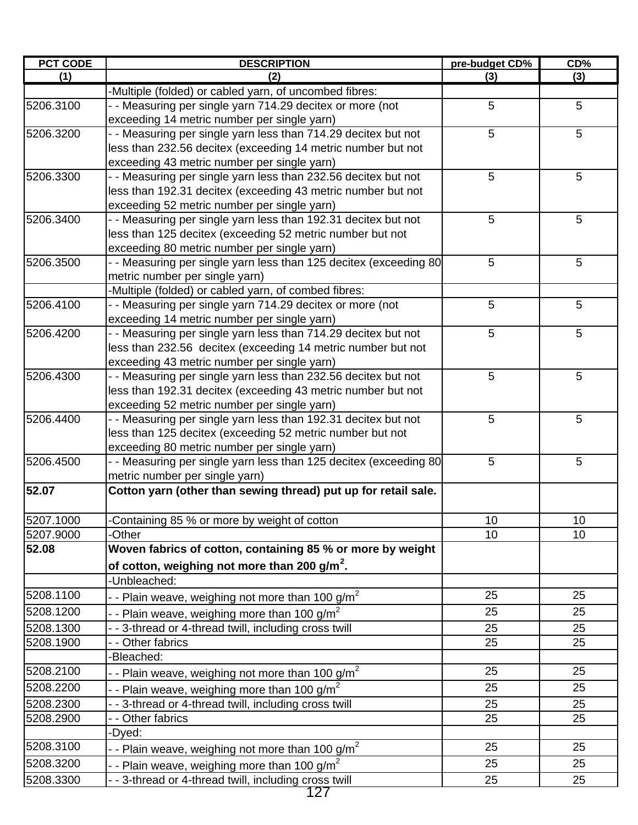| <b>PCT CODE</b> | <b>DESCRIPTION</b>                                                                                          | pre-budget CD%  | CD% |
|-----------------|-------------------------------------------------------------------------------------------------------------|-----------------|-----|
| (1)             | (2)                                                                                                         | (3)             | (3) |
|                 | -Multiple (folded) or cabled yarn, of uncombed fibres:                                                      |                 |     |
| 5206.3100       | - - Measuring per single yarn 714.29 decitex or more (not                                                   | 5               | 5   |
|                 | exceeding 14 metric number per single yarn)                                                                 |                 |     |
| 5206.3200       | - - Measuring per single yarn less than 714.29 decitex but not                                              | 5               | 5   |
|                 | less than 232.56 decitex (exceeding 14 metric number but not                                                |                 |     |
|                 | exceeding 43 metric number per single yarn)                                                                 |                 |     |
| 5206.3300       | - - Measuring per single yarn less than 232.56 decitex but not                                              | 5               | 5   |
|                 | less than 192.31 decitex (exceeding 43 metric number but not                                                |                 |     |
|                 | exceeding 52 metric number per single yarn)                                                                 |                 |     |
| 5206.3400       | - - Measuring per single yarn less than 192.31 decitex but not                                              | 5               | 5   |
|                 | less than 125 decitex (exceeding 52 metric number but not                                                   |                 |     |
|                 | exceeding 80 metric number per single yarn)                                                                 |                 |     |
| 5206.3500       | - - Measuring per single yarn less than 125 decitex (exceeding 80                                           | 5               | 5   |
|                 | metric number per single yarn)                                                                              |                 |     |
|                 | -Multiple (folded) or cabled yarn, of combed fibres:                                                        |                 |     |
| 5206.4100       | - - Measuring per single yarn 714.29 decitex or more (not                                                   | 5               | 5   |
|                 | exceeding 14 metric number per single yarn)                                                                 |                 |     |
| 5206.4200       | - - Measuring per single yarn less than 714.29 decitex but not                                              | 5               | 5   |
|                 | less than 232.56 decitex (exceeding 14 metric number but not                                                |                 |     |
| 5206.4300       | exceeding 43 metric number per single yarn)                                                                 | 5               | 5   |
|                 | - - Measuring per single yarn less than 232.56 decitex but not                                              |                 |     |
|                 | less than 192.31 decitex (exceeding 43 metric number but not<br>exceeding 52 metric number per single yarn) |                 |     |
| 5206.4400       | - - Measuring per single yarn less than 192.31 decitex but not                                              | 5               | 5   |
|                 | less than 125 decitex (exceeding 52 metric number but not                                                   |                 |     |
|                 | exceeding 80 metric number per single yarn)                                                                 |                 |     |
| 5206.4500       | - - Measuring per single yarn less than 125 decitex (exceeding 80                                           | 5               | 5   |
|                 | metric number per single yarn)                                                                              |                 |     |
| 52.07           | Cotton yarn (other than sewing thread) put up for retail sale.                                              |                 |     |
|                 |                                                                                                             |                 |     |
| 5207.1000       | Containing 85 % or more by weight of cotton                                                                 | 10 <sub>1</sub> | 10  |
| 5207.9000       | -Other                                                                                                      | 10              | 10  |
| 52.08           | Woven fabrics of cotton, containing 85 % or more by weight                                                  |                 |     |
|                 | of cotton, weighing not more than 200 $g/m^2$ .                                                             |                 |     |
|                 | -Unbleached:                                                                                                |                 |     |
| 5208.1100       | - - Plain weave, weighing not more than 100 g/m <sup>2</sup>                                                | 25              | 25  |
| 5208.1200       |                                                                                                             | 25              | 25  |
|                 | - - Plain weave, weighing more than 100 g/m <sup>2</sup>                                                    |                 |     |
| 5208.1300       | - - 3-thread or 4-thread twill, including cross twill                                                       | 25              | 25  |
| 5208.1900       | - - Other fabrics                                                                                           | 25              | 25  |
| 5208.2100       | -Bleached:                                                                                                  | 25              | 25  |
|                 | - - Plain weave, weighing not more than 100 g/m <sup>2</sup>                                                |                 |     |
| 5208.2200       | - - Plain weave, weighing more than 100 g/m <sup>2</sup>                                                    | 25              | 25  |
| 5208.2300       | - - 3-thread or 4-thread twill, including cross twill                                                       | 25              | 25  |
| 5208.2900       | - - Other fabrics                                                                                           | 25              | 25  |
|                 | -Dyed:                                                                                                      |                 |     |
| 5208.3100       | - - Plain weave, weighing not more than 100 g/m <sup>2</sup>                                                | 25              | 25  |
| 5208.3200       | - - Plain weave, weighing more than 100 g/m <sup>2</sup>                                                    | 25              | 25  |
| 5208.3300       | - - 3-thread or 4-thread twill, including cross twill                                                       | 25              | 25  |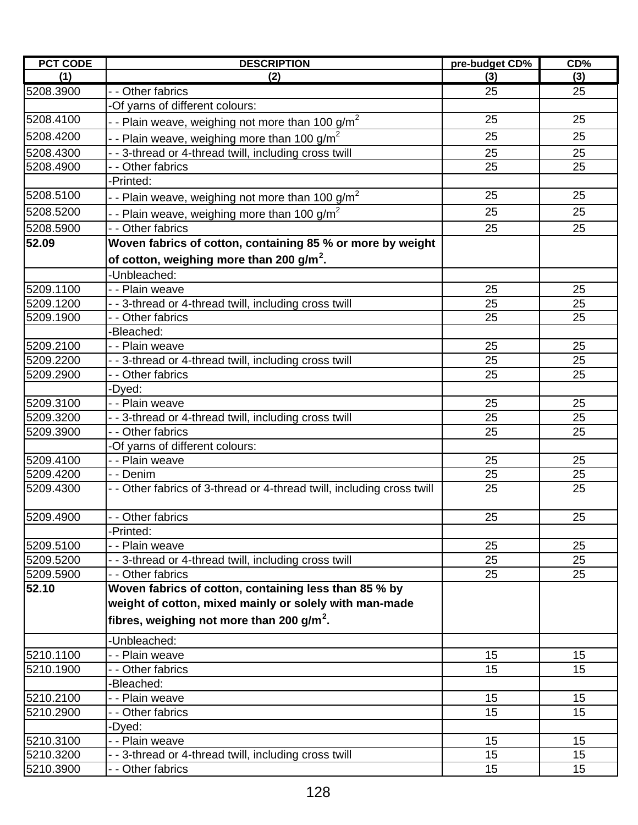| <b>PCT CODE</b> | <b>DESCRIPTION</b>                                                     | pre-budget CD% | CD% |
|-----------------|------------------------------------------------------------------------|----------------|-----|
| (1)             | (2)                                                                    | (3)            | (3) |
| 5208.3900       | - - Other fabrics                                                      | 25             | 25  |
|                 | -Of yarns of different colours:                                        |                |     |
| 5208.4100       | - - Plain weave, weighing not more than 100 g/m <sup>2</sup>           | 25             | 25  |
| 5208.4200       | - - Plain weave, weighing more than 100 g/m <sup>2</sup>               | 25             | 25  |
| 5208.4300       | - - 3-thread or 4-thread twill, including cross twill                  | 25             | 25  |
| 5208.4900       | - - Other fabrics                                                      | 25             | 25  |
|                 | -Printed:                                                              |                |     |
| 5208.5100       | - - Plain weave, weighing not more than 100 g/m <sup>2</sup>           | 25             | 25  |
| 5208.5200       | - - Plain weave, weighing more than 100 g/m <sup>2</sup>               | 25             | 25  |
| 5208.5900       | - - Other fabrics                                                      | 25             | 25  |
| 52.09           | Woven fabrics of cotton, containing 85 % or more by weight             |                |     |
|                 |                                                                        |                |     |
|                 | of cotton, weighing more than 200 g/m <sup>2</sup> .                   |                |     |
|                 | -Unbleached:                                                           |                |     |
| 5209.1100       | - - Plain weave                                                        | 25             | 25  |
| 5209.1200       | - - 3-thread or 4-thread twill, including cross twill                  | 25             | 25  |
| 5209.1900       | - - Other fabrics<br>-Bleached:                                        | 25             | 25  |
| 5209.2100       | - - Plain weave                                                        | 25             | 25  |
| 5209.2200       | - - 3-thread or 4-thread twill, including cross twill                  | 25             | 25  |
| 5209.2900       | - - Other fabrics                                                      | 25             | 25  |
|                 | -Dyed:                                                                 |                |     |
| 5209.3100       | - - Plain weave                                                        | 25             | 25  |
| 5209.3200       | - - 3-thread or 4-thread twill, including cross twill                  | 25             | 25  |
| 5209.3900       | - - Other fabrics                                                      | 25             | 25  |
|                 | -Of yarns of different colours:                                        |                |     |
| 5209.4100       | - - Plain weave                                                        | 25             | 25  |
| 5209.4200       | - - Denim                                                              | 25             | 25  |
| 5209.4300       | - - Other fabrics of 3-thread or 4-thread twill, including cross twill | 25             | 25  |
|                 |                                                                        |                |     |
| 5209.4900       | - - Other fabrics                                                      | 25             | 25  |
|                 | -Printed:                                                              |                |     |
| 5209.5100       | - - Plain weave                                                        | 25             | 25  |
| 5209.5200       | - - 3-thread or 4-thread twill, including cross twill                  | 25             | 25  |
| 5209.5900       | - - Other fabrics                                                      | 25             | 25  |
| 52.10           | Woven fabrics of cotton, containing less than 85 % by                  |                |     |
|                 | weight of cotton, mixed mainly or solely with man-made                 |                |     |
|                 | fibres, weighing not more than 200 g/m <sup>2</sup> .                  |                |     |
|                 | -Unbleached:                                                           |                |     |
| 5210.1100       | - - Plain weave                                                        | 15             | 15  |
| 5210.1900       | - - Other fabrics                                                      | 15             | 15  |
|                 | -Bleached:                                                             |                |     |
| 5210.2100       | - - Plain weave                                                        | 15             | 15  |
| 5210.2900       | - - Other fabrics                                                      | 15             | 15  |
|                 | -Dyed:                                                                 |                |     |
| 5210.3100       | - - Plain weave                                                        | 15             | 15  |
| 5210.3200       | - - 3-thread or 4-thread twill, including cross twill                  | 15             | 15  |
| 5210.3900       | - - Other fabrics                                                      | 15             | 15  |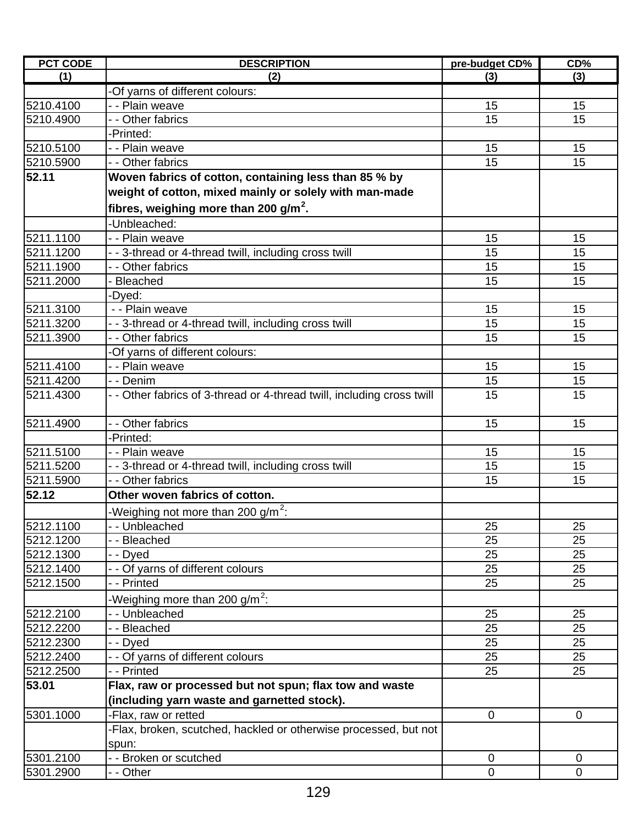| <b>PCT CODE</b> | <b>DESCRIPTION</b>                                                     | pre-budget CD% | CD%         |
|-----------------|------------------------------------------------------------------------|----------------|-------------|
| (1)             | (2)                                                                    | (3)            | (3)         |
|                 | -Of yarns of different colours:                                        |                |             |
| 5210.4100       | - - Plain weave                                                        | 15             | 15          |
| 5210.4900       | - Other fabrics                                                        | 15             | 15          |
|                 | -Printed:                                                              |                |             |
| 5210.5100       | - - Plain weave                                                        | 15             | 15          |
| 5210.5900       | - - Other fabrics                                                      | 15             | 15          |
| 52.11           | Woven fabrics of cotton, containing less than 85 % by                  |                |             |
|                 | weight of cotton, mixed mainly or solely with man-made                 |                |             |
|                 | fibres, weighing more than 200 g/m <sup>2</sup> .                      |                |             |
|                 | -Unbleached:                                                           |                |             |
| 5211.1100       | - - Plain weave                                                        | 15             | 15          |
| 5211.1200       | - - 3-thread or 4-thread twill, including cross twill                  | 15             | 15          |
| 5211.1900       | - - Other fabrics                                                      | 15             | 15          |
| 5211.2000       | Bleached                                                               | 15             | 15          |
|                 | Dyed:                                                                  |                |             |
| 5211.3100       | - - Plain weave                                                        | 15             | 15          |
| 5211.3200       | - - 3-thread or 4-thread twill, including cross twill                  | 15             | 15          |
| 5211.3900       | - - Other fabrics                                                      | 15             | 15          |
|                 | -Of yarns of different colours:                                        |                |             |
| 5211.4100       | - - Plain weave                                                        | 15             | 15          |
| 5211.4200       | - - Denim                                                              | 15             | 15          |
| 5211.4300       | - - Other fabrics of 3-thread or 4-thread twill, including cross twill | 15             | 15          |
|                 |                                                                        |                |             |
| 5211.4900       | - - Other fabrics                                                      | 15             | 15          |
|                 | -Printed:                                                              |                |             |
| 5211.5100       | - - Plain weave                                                        | 15             | 15          |
| 5211.5200       | - - 3-thread or 4-thread twill, including cross twill                  | 15             | 15          |
| 5211.5900       | - - Other fabrics                                                      | 15             | 15          |
| 52.12           | Other woven fabrics of cotton.                                         |                |             |
|                 | -Weighing not more than 200 g/m <sup>2</sup> :                         |                |             |
| 5212.1100       | - - Unbleached                                                         | 25             | 25          |
| 5212.1200       | - - Bleached                                                           | 25             | 25          |
| 5212.1300       | - - Dyed                                                               | 25             | 25          |
| 5212.1400       | Of yarns of different colours                                          | 25             | 25          |
| 5212.1500       | - - Printed                                                            | 25             | 25          |
|                 | Weighing more than 200 g/m <sup>2</sup> :                              |                |             |
| 5212.2100       | - Unbleached                                                           | 25             | 25          |
| 5212.2200       | - Bleached                                                             | 25             | 25          |
| 5212.2300       | - - Dyed                                                               | 25             | 25          |
| 5212.2400       | - Of yarns of different colours                                        | 25             | 25          |
| 5212.2500       | - - Printed                                                            | 25             | 25          |
| 53.01           | Flax, raw or processed but not spun; flax tow and waste                |                |             |
|                 | (including yarn waste and garnetted stock).                            |                |             |
| 5301.1000       | -Flax, raw or retted                                                   | $\mathbf 0$    | $\mathbf 0$ |
|                 | Flax, broken, scutched, hackled or otherwise processed, but not        |                |             |
|                 | spun:                                                                  |                |             |
| 5301.2100       | - - Broken or scutched                                                 | 0              | 0           |
| 5301.2900       | - - Other                                                              | $\mathbf 0$    | $\mathbf 0$ |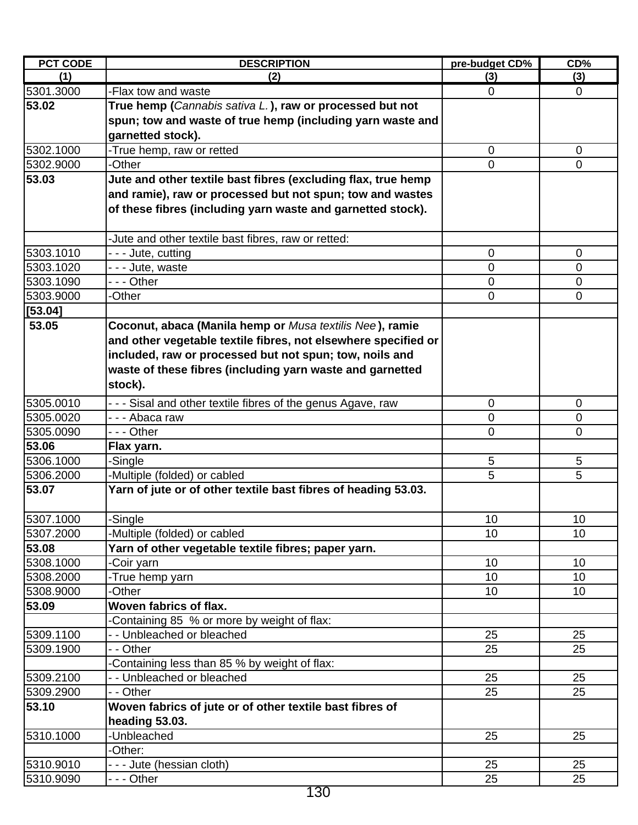| <b>PCT CODE</b> | <b>DESCRIPTION</b>                                             | pre-budget CD% | CD%            |
|-----------------|----------------------------------------------------------------|----------------|----------------|
| (1)             | (2)                                                            | (3)            | (3)            |
| 5301.3000       | -Flax tow and waste                                            | $\mathbf 0$    | $\overline{0}$ |
| 53.02           | True hemp (Cannabis sativa L.), raw or processed but not       |                |                |
|                 | spun; tow and waste of true hemp (including yarn waste and     |                |                |
|                 | garnetted stock).                                              |                |                |
| 5302.1000       | -True hemp, raw or retted                                      | 0              | 0              |
| 5302.9000       | -Other                                                         | $\overline{0}$ | $\mathbf 0$    |
| 53.03           | Jute and other textile bast fibres (excluding flax, true hemp  |                |                |
|                 | and ramie), raw or processed but not spun; tow and wastes      |                |                |
|                 | of these fibres (including yarn waste and garnetted stock).    |                |                |
|                 |                                                                |                |                |
|                 | -Jute and other textile bast fibres, raw or retted:            |                |                |
| 5303.1010       | - - - Jute, cutting                                            | $\mathbf 0$    | $\mathbf 0$    |
| 5303.1020       | --- Jute, waste                                                | 0              | 0              |
| 5303.1090       | --- Other                                                      | 0              | 0              |
| 5303.9000       | -Other                                                         | 0              | 0              |
| [53.04]         |                                                                |                |                |
| 53.05           | Coconut, abaca (Manila hemp or Musa textilis Nee), ramie       |                |                |
|                 | and other vegetable textile fibres, not elsewhere specified or |                |                |
|                 | included, raw or processed but not spun; tow, noils and        |                |                |
|                 | waste of these fibres (including yarn waste and garnetted      |                |                |
|                 | stock).                                                        |                |                |
| 5305.0010       | - - - Sisal and other textile fibres of the genus Agave, raw   | $\mathbf 0$    | $\mathbf 0$    |
| 5305.0020       | --- Abaca raw                                                  | 0              | 0              |
| 5305.0090       | - - - Other                                                    | 0              | 0              |
| 53.06           | Flax yarn.                                                     |                |                |
| 5306.1000       | -Single                                                        | 5              | 5              |
| 5306.2000       | -Multiple (folded) or cabled                                   | 5              | 5              |
| 53.07           | Yarn of jute or of other textile bast fibres of heading 53.03. |                |                |
|                 |                                                                |                |                |
| 5307.1000       | -Single                                                        | 10             | 10             |
| 5307.2000       | -Multiple (folded) or cabled                                   | 10             | 10             |
| 53.08           | Yarn of other vegetable textile fibres; paper yarn.            |                |                |
| 5308.1000       | -Coir yarn                                                     | 10             | 10             |
| 5308.2000       | -True hemp yarn                                                | 10             | 10             |
| 5308.9000       | -Other                                                         | 10             | 10             |
| 53.09           | Woven fabrics of flax.                                         |                |                |
|                 | Containing 85 % or more by weight of flax:                     |                |                |
| 5309.1100       | - - Unbleached or bleached                                     | 25             | 25             |
| 5309.1900       | - - Other                                                      | 25             | 25             |
|                 | Containing less than 85 % by weight of flax:                   |                |                |
| 5309.2100       | - - Unbleached or bleached                                     | 25             | 25             |
| 5309.2900       | - - Other                                                      | 25             | 25             |
| 53.10           | Woven fabrics of jute or of other textile bast fibres of       |                |                |
|                 | heading 53.03.                                                 |                |                |
| 5310.1000       | -Unbleached                                                    | 25             | 25             |
|                 | -Other:                                                        |                |                |
| 5310.9010       | - - - Jute (hessian cloth)                                     | 25             | 25             |
| 5310.9090       | --- Other                                                      | 25             | 25             |
|                 |                                                                |                |                |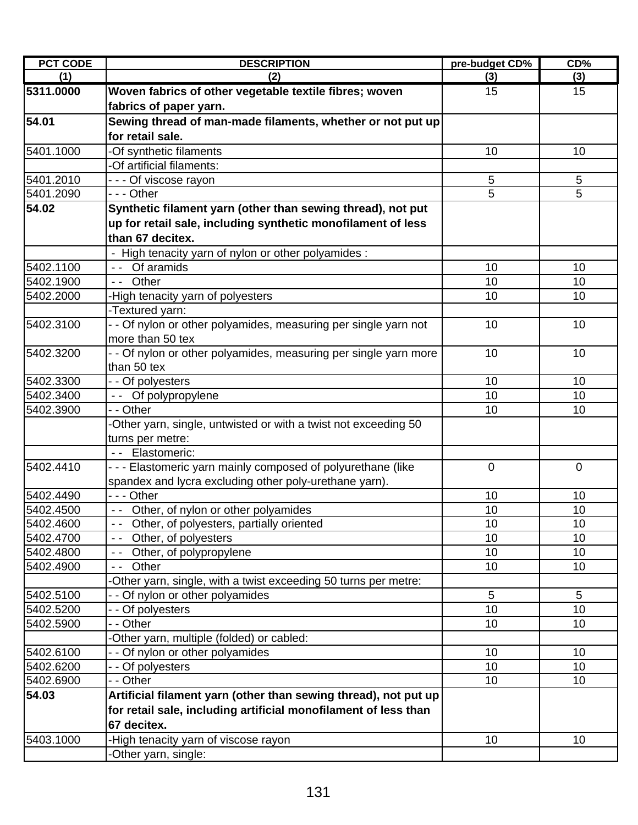| <b>PCT CODE</b> | <b>DESCRIPTION</b>                                                                                        | pre-budget CD% | CD%             |
|-----------------|-----------------------------------------------------------------------------------------------------------|----------------|-----------------|
| (1)             | (2)                                                                                                       | (3)            | (3)             |
| 5311.0000       | Woven fabrics of other vegetable textile fibres; woven                                                    | 15             | 15              |
|                 | fabrics of paper yarn.                                                                                    |                |                 |
| 54.01           | Sewing thread of man-made filaments, whether or not put up                                                |                |                 |
|                 | for retail sale.                                                                                          |                |                 |
| 5401.1000       | -Of synthetic filaments                                                                                   | 10             | 10              |
|                 | -Of artificial filaments:                                                                                 |                |                 |
| 5401.2010       | - - - Of viscose rayon                                                                                    | 5              | 5               |
| 5401.2090       | --- Other                                                                                                 | 5              | 5               |
| 54.02           | Synthetic filament yarn (other than sewing thread), not put                                               |                |                 |
|                 | up for retail sale, including synthetic monofilament of less                                              |                |                 |
|                 | than 67 decitex.                                                                                          |                |                 |
|                 | - High tenacity yarn of nylon or other polyamides :                                                       |                |                 |
| 5402.1100       | -- Of aramids                                                                                             | 10             | 10              |
| 5402.1900       | -- Other                                                                                                  | 10             | 10              |
| 5402.2000       | -High tenacity yarn of polyesters                                                                         | 10             | 10              |
|                 | -Textured yarn:                                                                                           |                |                 |
| 5402.3100       | - - Of nylon or other polyamides, measuring per single yarn not                                           | 10             | 10              |
|                 | more than 50 tex                                                                                          |                |                 |
| 5402.3200       | - - Of nylon or other polyamides, measuring per single yarn more                                          | 10             | 10              |
|                 | than 50 tex                                                                                               |                |                 |
| 5402.3300       | - - Of polyesters                                                                                         | 10             | 10              |
| 5402.3400       | -- Of polypropylene                                                                                       | 10             | 10              |
| 5402.3900       | - - Other                                                                                                 | 10             | 10              |
|                 | -Other yarn, single, untwisted or with a twist not exceeding 50                                           |                |                 |
|                 | turns per metre:                                                                                          |                |                 |
|                 | -- Elastomeric:                                                                                           |                |                 |
| 5402.4410       | - - - Elastomeric yarn mainly composed of polyurethane (like                                              | $\mathbf 0$    | $\mathbf 0$     |
|                 | spandex and lycra excluding other poly-urethane yarn).                                                    |                |                 |
| 5402.4490       | $- -$ - Other                                                                                             | 10             | 10              |
| 5402.4500       | - - Other, of nylon or other polyamides                                                                   | 10             | 10              |
| 5402.4600       | - - Other, of polyesters, partially oriented                                                              | 10             | 10              |
| 5402.4700       | Other, of polyesters<br>$\frac{1}{2} \left( \frac{1}{2} \right) = \frac{1}{2} \left( \frac{1}{2} \right)$ | 10             | 10              |
| 5402.4800       | Other, of polypropylene                                                                                   | 10             | 10              |
| 5402.4900       | Other<br>$\frac{1}{2} \left( \frac{1}{2} \right) = \frac{1}{2} \left( \frac{1}{2} \right)$                | 10             | 10              |
|                 | -Other yarn, single, with a twist exceeding 50 turns per metre:                                           |                |                 |
| 5402.5100       | - Of nylon or other polyamides                                                                            | 5              | 5               |
| 5402.5200       | - - Of polyesters                                                                                         | 10             | 10              |
| 5402.5900       | - - Other                                                                                                 | 10             | 10              |
|                 | -Other yarn, multiple (folded) or cabled:                                                                 |                |                 |
| 5402.6100       | - - Of nylon or other polyamides                                                                          | 10             | 10              |
| 5402.6200       | - - Of polyesters                                                                                         | 10             | 10              |
| 5402.6900       | - - Other                                                                                                 | 10             | 10 <sub>1</sub> |
| 54.03           | Artificial filament yarn (other than sewing thread), not put up                                           |                |                 |
|                 | for retail sale, including artificial monofilament of less than                                           |                |                 |
|                 | 67 decitex.                                                                                               |                |                 |
| 5403.1000       | -High tenacity yarn of viscose rayon                                                                      | 10             | 10              |
|                 | -Other yarn, single:                                                                                      |                |                 |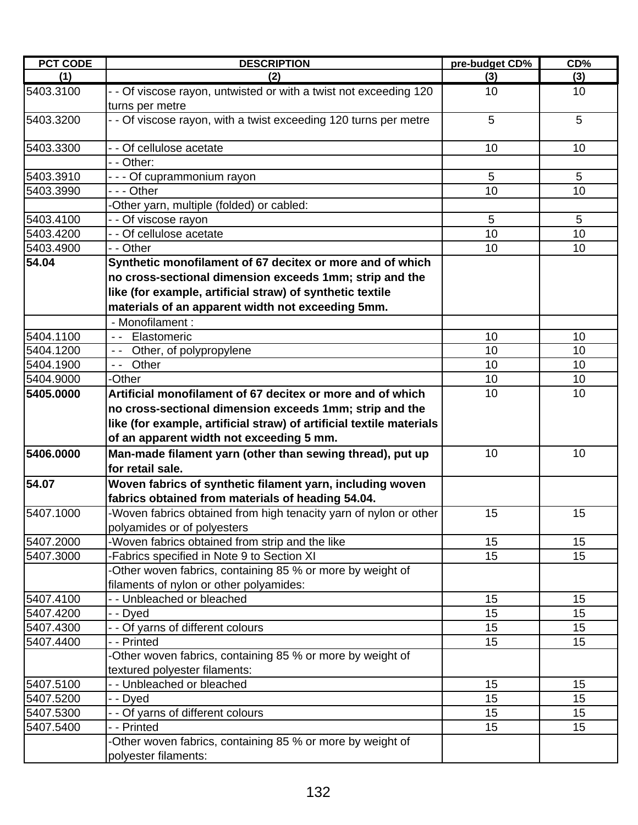| <b>PCT CODE</b> | <b>DESCRIPTION</b>                                                                   | pre-budget CD% | $CD\%$ |
|-----------------|--------------------------------------------------------------------------------------|----------------|--------|
| (1)             | (2)                                                                                  | (3)            | (3)    |
| 5403.3100       | - - Of viscose rayon, untwisted or with a twist not exceeding 120<br>turns per metre | 10             | 10     |
| 5403.3200       | - - Of viscose rayon, with a twist exceeding 120 turns per metre                     | 5              | 5      |
| 5403.3300       | - - Of cellulose acetate                                                             | 10             | 10     |
|                 | - - Other:                                                                           |                |        |
| 5403.3910       | --- Of cuprammonium rayon                                                            | 5              | 5      |
| 5403.3990       | - - - Other                                                                          | 10             | 10     |
|                 | -Other yarn, multiple (folded) or cabled:                                            |                |        |
| 5403.4100       | - - Of viscose rayon                                                                 | 5              | 5      |
| 5403.4200       | - - Of cellulose acetate                                                             | 10             | 10     |
| 5403.4900       | - - Other                                                                            | 10             | 10     |
| 54.04           | Synthetic monofilament of 67 decitex or more and of which                            |                |        |
|                 | no cross-sectional dimension exceeds 1mm; strip and the                              |                |        |
|                 | like (for example, artificial straw) of synthetic textile                            |                |        |
|                 | materials of an apparent width not exceeding 5mm.                                    |                |        |
|                 | - Monofilament :                                                                     |                |        |
| 5404.1100       | Elastomeric<br>$\sim$ $\sim$ $\sim$                                                  | 10             | 10     |
| 5404.1200       | -- Other, of polypropylene                                                           | 10             | 10     |
| 5404.1900       | -- Other                                                                             | 10             | 10     |
| 5404.9000       | -Other                                                                               | 10             | 10     |
| 5405.0000       | Artificial monofilament of 67 decitex or more and of which                           | 10             | 10     |
|                 | no cross-sectional dimension exceeds 1mm; strip and the                              |                |        |
|                 | like (for example, artificial straw) of artificial textile materials                 |                |        |
|                 | of an apparent width not exceeding 5 mm.                                             |                |        |
| 5406.0000       | Man-made filament yarn (other than sewing thread), put up                            | 10             | 10     |
|                 | for retail sale.                                                                     |                |        |
| 54.07           | Woven fabrics of synthetic filament yarn, including woven                            |                |        |
|                 | fabrics obtained from materials of heading 54.04.                                    |                |        |
| 5407.1000       | -Woven fabrics obtained from high tenacity yarn of nylon or other                    | 15             | 15     |
|                 | polyamides or of polyesters                                                          |                |        |
| 5407.2000       | -Woven fabrics obtained from strip and the like                                      | 15             | 15     |
| 5407.3000       | -Fabrics specified in Note 9 to Section XI                                           | 15             | 15     |
|                 | -Other woven fabrics, containing 85 % or more by weight of                           |                |        |
|                 | filaments of nylon or other polyamides:                                              |                |        |
| 5407.4100       | - - Unbleached or bleached                                                           | 15             | 15     |
| 5407.4200       | - - Dyed                                                                             | 15             | 15     |
| 5407.4300       | - - Of yarns of different colours                                                    | 15             | 15     |
| 5407.4400       | - - Printed                                                                          | 15             | 15     |
|                 | -Other woven fabrics, containing 85 % or more by weight of                           |                |        |
|                 | textured polyester filaments:                                                        |                |        |
| 5407.5100       | - - Unbleached or bleached                                                           | 15             | 15     |
| 5407.5200       | - - Dyed                                                                             | 15             | 15     |
| 5407.5300       | - - Of yarns of different colours                                                    | 15             | 15     |
| 5407.5400       | - - Printed                                                                          | 15             | 15     |
|                 | -Other woven fabrics, containing 85 % or more by weight of                           |                |        |
|                 | polyester filaments:                                                                 |                |        |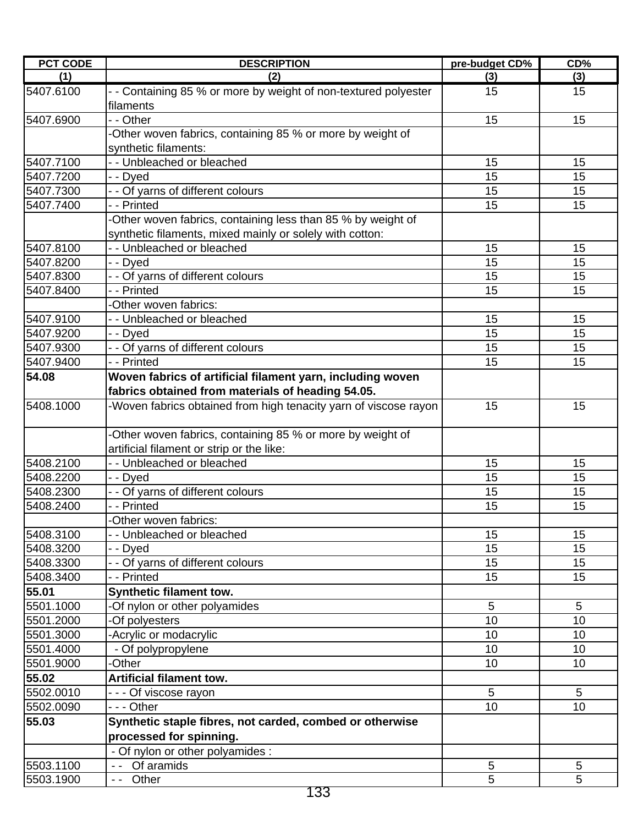| <b>PCT CODE</b> | <b>DESCRIPTION</b>                                                           | pre-budget CD% | CD%             |
|-----------------|------------------------------------------------------------------------------|----------------|-----------------|
| (1)             | (2)                                                                          | (3)            | (3)             |
| 5407.6100       | - - Containing 85 % or more by weight of non-textured polyester<br>filaments | 15             | 15              |
| 5407.6900       | - - Other                                                                    | 15             | 15              |
|                 | -Other woven fabrics, containing 85 % or more by weight of                   |                |                 |
|                 | synthetic filaments:                                                         |                |                 |
| 5407.7100       | - - Unbleached or bleached                                                   | 15             | 15              |
| 5407.7200       | - - Dyed                                                                     | 15             | 15              |
| 5407.7300       | - - Of yarns of different colours                                            | 15             | 15              |
| 5407.7400       | - - Printed                                                                  | 15             | 15              |
|                 | -Other woven fabrics, containing less than 85 % by weight of                 |                |                 |
|                 | synthetic filaments, mixed mainly or solely with cotton:                     |                |                 |
| 5407.8100       | - - Unbleached or bleached                                                   | 15             | 15              |
| 5407.8200       | - - Dyed                                                                     | 15             | 15              |
| 5407.8300       | - - Of yarns of different colours                                            | 15             | 15              |
| 5407.8400       | - - Printed                                                                  | 15             | 15              |
|                 | -Other woven fabrics:                                                        |                |                 |
| 5407.9100       | - - Unbleached or bleached                                                   | 15             | 15              |
| 5407.9200       | - - Dyed                                                                     | 15             | 15              |
| 5407.9300       | - - Of yarns of different colours                                            | 15             | 15              |
| 5407.9400       | - - Printed                                                                  | 15             | 15              |
| 54.08           | Woven fabrics of artificial filament yarn, including woven                   |                |                 |
|                 | fabrics obtained from materials of heading 54.05.                            |                |                 |
| 5408.1000       | -Woven fabrics obtained from high tenacity yarn of viscose rayon             | 15             | 15              |
|                 | -Other woven fabrics, containing 85 % or more by weight of                   |                |                 |
|                 | artificial filament or strip or the like:                                    |                |                 |
| 5408.2100       | - - Unbleached or bleached                                                   | 15             | 15              |
| 5408.2200       | - - Dyed                                                                     | 15             | 15              |
| 5408.2300       | - - Of yarns of different colours                                            | 15             | 15              |
| 5408.2400       | - - Printed                                                                  | 15             | 15              |
|                 | -Other woven fabrics:                                                        |                |                 |
| 5408.3100       | - - Unbleached or bleached                                                   | 15             | 15              |
| 5408.3200       | - - Dyed                                                                     | 15             | 15              |
| 5408.3300       | - - Of yarns of different colours                                            | 15             | 15              |
| 5408.3400       | - - Printed                                                                  | 15             | 15              |
| 55.01           | <b>Synthetic filament tow.</b>                                               |                |                 |
| 5501.1000       | -Of nylon or other polyamides                                                | 5              | $5\phantom{.0}$ |
| 5501.2000       | -Of polyesters                                                               | 10             | 10              |
| 5501.3000       | -Acrylic or modacrylic                                                       | 10             | 10              |
| 5501.4000       | - Of polypropylene                                                           | 10             | 10              |
| 5501.9000       | -Other                                                                       | 10             | 10              |
| 55.02           | <b>Artificial filament tow.</b>                                              |                |                 |
| 5502.0010       | - - - Of viscose rayon                                                       | 5              | 5               |
| 5502.0090       | --- Other                                                                    | 10             | 10              |
| 55.03           | Synthetic staple fibres, not carded, combed or otherwise                     |                |                 |
|                 | processed for spinning.                                                      |                |                 |
|                 | - Of nylon or other polyamides :                                             |                |                 |
| 5503.1100       | -- Of aramids                                                                | 5              | 5               |
| 5503.1900       | Other<br>$ -$                                                                | 5              | 5               |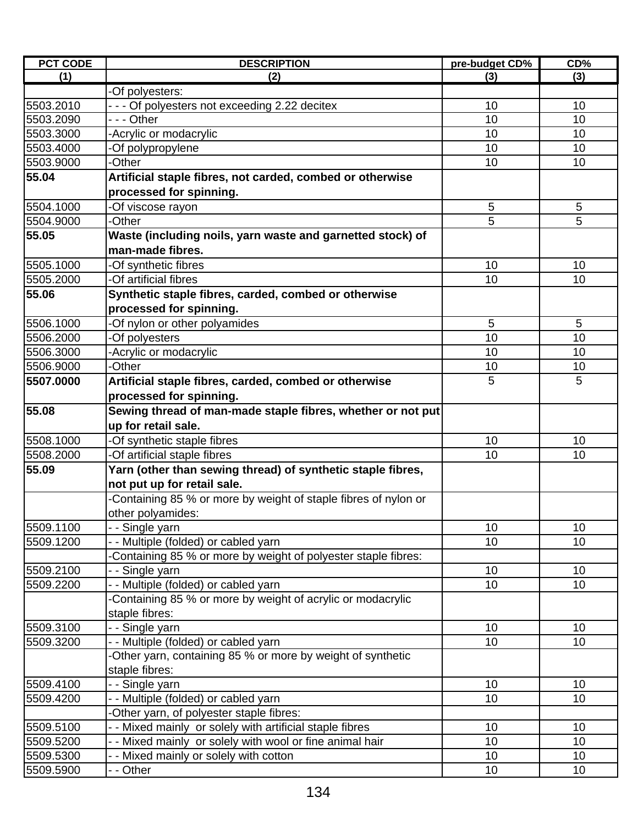| <b>PCT CODE</b> | <b>DESCRIPTION</b>                                              | pre-budget CD% | CD%        |
|-----------------|-----------------------------------------------------------------|----------------|------------|
| (1)             | (2)                                                             | (3)            | (3)        |
|                 | -Of polyesters:                                                 |                |            |
| 5503.2010       | - - - Of polyesters not exceeding 2.22 decitex                  | 10             | 10         |
| 5503.2090       | --- Other                                                       | 10             | 10         |
| 5503.3000       | -Acrylic or modacrylic                                          | 10             | 10         |
| 5503.4000       | -Of polypropylene                                               | 10             | 10         |
| 5503.9000       | -Other                                                          | 10             | 10         |
| 55.04           | Artificial staple fibres, not carded, combed or otherwise       |                |            |
|                 | processed for spinning.                                         |                |            |
| 5504.1000       | -Of viscose rayon                                               | 5              | $\sqrt{5}$ |
| 5504.9000       | -Other                                                          | 5              | 5          |
| 55.05           | Waste (including noils, yarn waste and garnetted stock) of      |                |            |
|                 | man-made fibres.                                                |                |            |
| 5505.1000       | -Of synthetic fibres                                            | 10             | 10         |
| 5505.2000       | -Of artificial fibres                                           | 10             | 10         |
| 55.06           | Synthetic staple fibres, carded, combed or otherwise            |                |            |
|                 | processed for spinning.                                         |                |            |
| 5506.1000       | -Of nylon or other polyamides                                   | 5              | 5          |
| 5506.2000       | -Of polyesters                                                  | 10             | 10         |
| 5506.3000       | -Acrylic or modacrylic                                          | 10             | 10         |
| 5506.9000       | -Other                                                          | 10             | 10         |
| 5507.0000       | Artificial staple fibres, carded, combed or otherwise           | 5              | 5          |
|                 |                                                                 |                |            |
|                 | processed for spinning.                                         |                |            |
| 55.08           | Sewing thread of man-made staple fibres, whether or not put     |                |            |
|                 | up for retail sale.                                             |                |            |
| 5508.1000       | -Of synthetic staple fibres                                     | 10             | 10         |
| 5508.2000       | -Of artificial staple fibres                                    | 10             | 10         |
| 55.09           | Yarn (other than sewing thread) of synthetic staple fibres,     |                |            |
|                 | not put up for retail sale.                                     |                |            |
|                 | -Containing 85 % or more by weight of staple fibres of nylon or |                |            |
|                 | other polyamides:                                               |                |            |
| 5509.1100       | - - Single yarn                                                 | 10             | 10         |
| 5509.1200       | - - Multiple (folded) or cabled yarn                            | 10             | 10         |
|                 | Containing 85 % or more by weight of polyester staple fibres:   |                |            |
| 5509.2100       | - - Single yarn                                                 | 10             | 10         |
| 5509.2200       | - - Multiple (folded) or cabled yarn                            | 10             | 10         |
|                 | Containing 85 % or more by weight of acrylic or modacrylic      |                |            |
|                 | staple fibres:                                                  |                |            |
| 5509.3100       | - - Single yarn                                                 | 10             | 10         |
| 5509.3200       | -- Multiple (folded) or cabled yarn                             | 10             | 10         |
|                 | -Other yarn, containing 85 % or more by weight of synthetic     |                |            |
|                 | staple fibres:                                                  |                |            |
| 5509.4100       | - - Single yarn                                                 | 10             | 10         |
| 5509.4200       | -- Multiple (folded) or cabled yarn                             | 10             | 10         |
|                 | Other yarn, of polyester staple fibres:                         |                |            |
| 5509.5100       | - Mixed mainly or solely with artificial staple fibres          | 10             | 10         |
| 5509.5200       | - - Mixed mainly or solely with wool or fine animal hair        | 10             | 10         |
| 5509.5300       | - - Mixed mainly or solely with cotton                          | 10             | 10         |
| 5509.5900       | - - Other                                                       | 10             | 10         |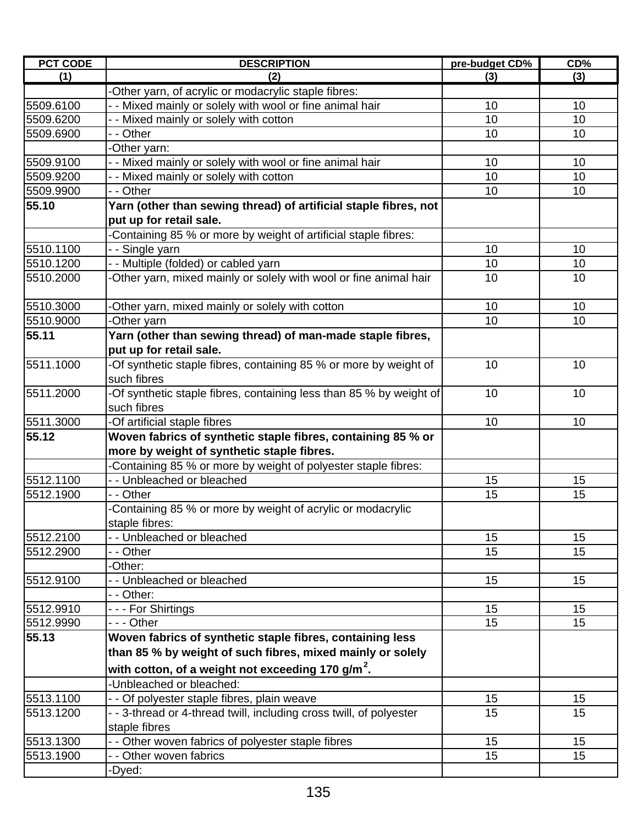| <b>PCT CODE</b> | <b>DESCRIPTION</b>                                                  | pre-budget CD% | CD% |
|-----------------|---------------------------------------------------------------------|----------------|-----|
| (1)             | (2)                                                                 | (3)            | (3) |
|                 | -Other yarn, of acrylic or modacrylic staple fibres:                |                |     |
| 5509.6100       | - - Mixed mainly or solely with wool or fine animal hair            | 10             | 10  |
| 5509.6200       | - - Mixed mainly or solely with cotton                              | 10             | 10  |
| 5509.6900       | - - Other                                                           | 10             | 10  |
|                 | -Other yarn:                                                        |                |     |
| 5509.9100       | - - Mixed mainly or solely with wool or fine animal hair            | 10             | 10  |
| 5509.9200       | - - Mixed mainly or solely with cotton                              | 10             | 10  |
| 5509.9900       | - - Other                                                           | 10             | 10  |
| 55.10           | Yarn (other than sewing thread) of artificial staple fibres, not    |                |     |
|                 | put up for retail sale.                                             |                |     |
|                 | -Containing 85 % or more by weight of artificial staple fibres:     |                |     |
| 5510.1100       | - - Single yarn                                                     | 10             | 10  |
| 5510.1200       | - - Multiple (folded) or cabled yarn                                | 10             | 10  |
| 5510.2000       | -Other yarn, mixed mainly or solely with wool or fine animal hair   | 10             | 10  |
| 5510.3000       | -Other yarn, mixed mainly or solely with cotton                     | 10             | 10  |
| 5510.9000       | -Other yarn                                                         | 10             | 10  |
| 55.11           | Yarn (other than sewing thread) of man-made staple fibres,          |                |     |
|                 | put up for retail sale.                                             |                |     |
| 5511.1000       | -Of synthetic staple fibres, containing 85 % or more by weight of   | 10             | 10  |
|                 | such fibres                                                         |                |     |
| 5511.2000       | -Of synthetic staple fibres, containing less than 85 % by weight of | 10             | 10  |
|                 | such fibres                                                         |                |     |
| 5511.3000       | -Of artificial staple fibres                                        | 10             | 10  |
| 55.12           | Woven fabrics of synthetic staple fibres, containing 85 % or        |                |     |
|                 | more by weight of synthetic staple fibres.                          |                |     |
|                 | -Containing 85 % or more by weight of polyester staple fibres:      |                |     |
| 5512.1100       | - - Unbleached or bleached                                          | 15             | 15  |
| 5512.1900       | - - Other                                                           | 15             | 15  |
|                 | -Containing 85 % or more by weight of acrylic or modacrylic         |                |     |
|                 | staple fibres:                                                      |                |     |
| 5512.2100       | - - Unbleached or bleached                                          | 15             | 15  |
| 5512.2900       | - - Other                                                           | 15             | 15  |
|                 | -Other:                                                             |                |     |
| 5512.9100       | - - Unbleached or bleached                                          | 15             | 15  |
|                 | - - Other:                                                          |                |     |
| 5512.9910       | - - - For Shirtings                                                 | 15             | 15  |
| 5512.9990       | - - - Other                                                         | 15             | 15  |
| 55.13           | Woven fabrics of synthetic staple fibres, containing less           |                |     |
|                 | than 85 % by weight of such fibres, mixed mainly or solely          |                |     |
|                 | with cotton, of a weight not exceeding 170 g/m <sup>2</sup> .       |                |     |
|                 | -Unbleached or bleached:                                            |                |     |
| 5513.1100       | - - Of polyester staple fibres, plain weave                         | 15             | 15  |
| 5513.1200       | - - 3-thread or 4-thread twill, including cross twill, of polyester | 15             | 15  |
|                 | staple fibres                                                       |                |     |
| 5513.1300       | - - Other woven fabrics of polyester staple fibres                  | 15             | 15  |
| 5513.1900       | - - Other woven fabrics                                             | 15             | 15  |
|                 | -Dyed:                                                              |                |     |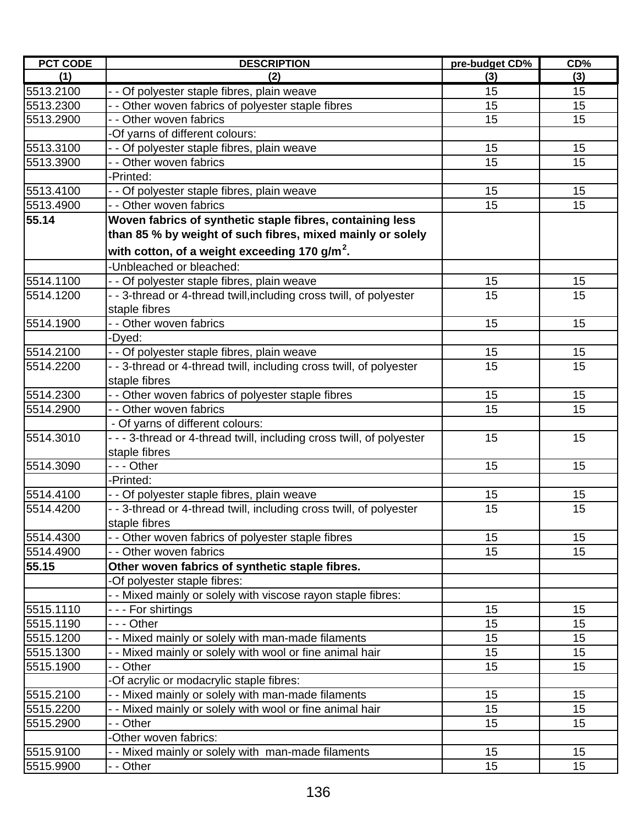| <b>PCT CODE</b> | <b>DESCRIPTION</b>                                                                                                 | pre-budget CD% | CD%      |
|-----------------|--------------------------------------------------------------------------------------------------------------------|----------------|----------|
| (1)             | (2)                                                                                                                | (3)            | (3)      |
| 5513.2100       | - - Of polyester staple fibres, plain weave                                                                        | 15             | 15       |
| 5513.2300       | - - Other woven fabrics of polyester staple fibres                                                                 | 15             | 15       |
| 5513.2900       | - - Other woven fabrics                                                                                            | 15             | 15       |
|                 | -Of yarns of different colours:                                                                                    |                |          |
| 5513.3100       | - - Of polyester staple fibres, plain weave                                                                        | 15             | 15       |
| 5513.3900       | - - Other woven fabrics                                                                                            | 15             | 15       |
|                 | -Printed:                                                                                                          |                |          |
| 5513.4100       | - - Of polyester staple fibres, plain weave                                                                        | 15             | 15       |
| 5513.4900       | - - Other woven fabrics                                                                                            | 15             | 15       |
| 55.14           | Woven fabrics of synthetic staple fibres, containing less                                                          |                |          |
|                 | than 85 % by weight of such fibres, mixed mainly or solely                                                         |                |          |
|                 | with cotton, of a weight exceeding 170 g/m <sup>2</sup> .                                                          |                |          |
|                 | -Unbleached or bleached:                                                                                           |                |          |
|                 |                                                                                                                    |                |          |
| 5514.1100       | - - Of polyester staple fibres, plain weave<br>- - 3-thread or 4-thread twill, including cross twill, of polyester | 15<br>15       | 15<br>15 |
| 5514.1200       |                                                                                                                    |                |          |
|                 | staple fibres                                                                                                      |                |          |
| 5514.1900       | - - Other woven fabrics                                                                                            | 15             | 15       |
|                 | -Dyed:                                                                                                             |                |          |
| 5514.2100       | - - Of polyester staple fibres, plain weave                                                                        | 15             | 15       |
| 5514.2200       | - - 3-thread or 4-thread twill, including cross twill, of polyester                                                | 15             | 15       |
|                 | staple fibres                                                                                                      |                |          |
| 5514.2300       | - - Other woven fabrics of polyester staple fibres                                                                 | 15             | 15       |
| 5514.2900       | - - Other woven fabrics                                                                                            | 15             | 15       |
|                 | - Of yarns of different colours:                                                                                   |                |          |
| 5514.3010       | - - - 3-thread or 4-thread twill, including cross twill, of polyester                                              | 15             | 15       |
|                 | staple fibres                                                                                                      |                |          |
| 5514.3090       | --- Other                                                                                                          | 15             | 15       |
|                 | -Printed:                                                                                                          |                |          |
| 5514.4100       | - - Of polyester staple fibres, plain weave                                                                        | 15             | 15       |
| 5514.4200       | - - 3-thread or 4-thread twill, including cross twill, of polyester                                                | 15             | 15       |
|                 | staple fibres                                                                                                      |                |          |
| 5514.4300       | - - Other woven fabrics of polyester staple fibres                                                                 | 15             | 15       |
| 5514.4900       | - - Other woven fabrics                                                                                            | 15             | 15       |
| 55.15           | Other woven fabrics of synthetic staple fibres.                                                                    |                |          |
|                 | -Of polyester staple fibres:                                                                                       |                |          |
|                 | - - Mixed mainly or solely with viscose rayon staple fibres:                                                       |                |          |
| 5515.1110       | - - - For shirtings                                                                                                | 15             | 15       |
| 5515.1190       | --- Other                                                                                                          | 15             | 15       |
| 5515.1200       | - - Mixed mainly or solely with man-made filaments                                                                 | 15             | 15       |
| 5515.1300       | - - Mixed mainly or solely with wool or fine animal hair                                                           | 15             | 15       |
| 5515.1900       | - - Other                                                                                                          | 15             | 15       |
|                 | -Of acrylic or modacrylic staple fibres:                                                                           |                |          |
| 5515.2100       | - - Mixed mainly or solely with man-made filaments                                                                 | 15             | 15       |
| 5515.2200       | - - Mixed mainly or solely with wool or fine animal hair                                                           | 15             | 15       |
| 5515.2900       | - - Other                                                                                                          | 15             | 15       |
|                 | -Other woven fabrics:                                                                                              |                |          |
| 5515.9100       | - - Mixed mainly or solely with man-made filaments                                                                 | 15             | 15       |
| 5515.9900       | - - Other                                                                                                          | 15             | 15       |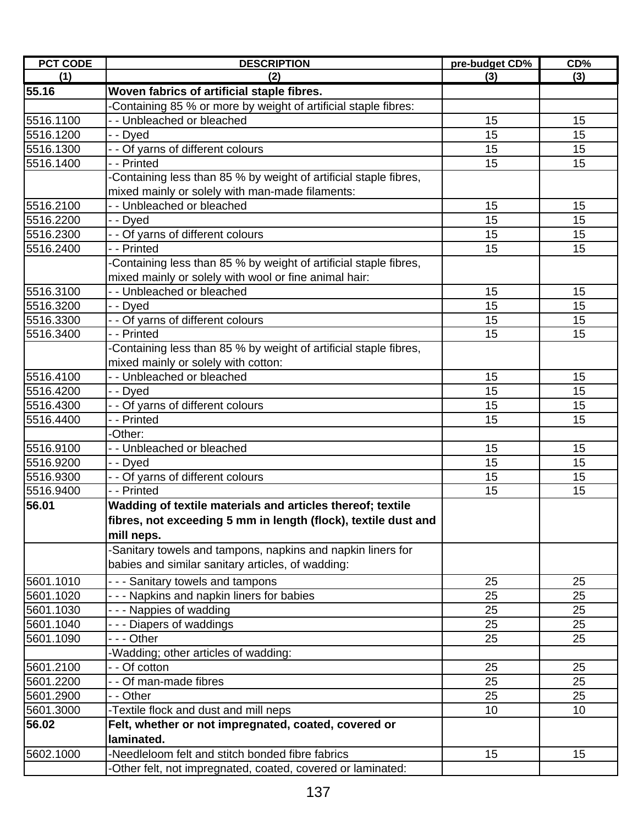| <b>PCT CODE</b> | <b>DESCRIPTION</b>                                               | pre-budget CD% | CD% |
|-----------------|------------------------------------------------------------------|----------------|-----|
| (1)             | (2)                                                              | (3)            | (3) |
| 55.16           | Woven fabrics of artificial staple fibres.                       |                |     |
|                 | Containing 85 % or more by weight of artificial staple fibres:   |                |     |
| 5516.1100       | - - Unbleached or bleached                                       | 15             | 15  |
| 5516.1200       | - - Dyed                                                         | 15             | 15  |
| 5516.1300       | - - Of yarns of different colours                                | 15             | 15  |
| 5516.1400       | - - Printed                                                      | 15             | 15  |
|                 | Containing less than 85 % by weight of artificial staple fibres, |                |     |
|                 | mixed mainly or solely with man-made filaments:                  |                |     |
| 5516.2100       | - - Unbleached or bleached                                       | 15             | 15  |
| 5516.2200       | - - Dyed                                                         | 15             | 15  |
| 5516.2300       | - - Of yarns of different colours                                | 15             | 15  |
| 5516.2400       | - - Printed                                                      | 15             | 15  |
|                 | Containing less than 85 % by weight of artificial staple fibres, |                |     |
|                 | mixed mainly or solely with wool or fine animal hair:            |                |     |
| 5516.3100       | - - Unbleached or bleached                                       | 15             | 15  |
| 5516.3200       | - - Dyed                                                         | 15             | 15  |
| 5516.3300       | - - Of yarns of different colours                                | 15             | 15  |
| 5516.3400       | - - Printed                                                      | 15             | 15  |
|                 | Containing less than 85 % by weight of artificial staple fibres, |                |     |
|                 | mixed mainly or solely with cotton:                              |                |     |
| 5516.4100       | - - Unbleached or bleached                                       | 15             | 15  |
| 5516.4200       | - - Dyed                                                         | 15             | 15  |
| 5516.4300       | - - Of yarns of different colours                                | 15             | 15  |
| 5516.4400       | - - Printed                                                      | 15             | 15  |
|                 | -Other:                                                          |                |     |
| 5516.9100       | - - Unbleached or bleached                                       | 15             | 15  |
| 5516.9200       | - - Dyed                                                         | 15             | 15  |
| 5516.9300       | - - Of yarns of different colours                                | 15             | 15  |
| 5516.9400       | - - Printed                                                      | 15             | 15  |
| 56.01           | Wadding of textile materials and articles thereof; textile       |                |     |
|                 | fibres, not exceeding 5 mm in length (flock), textile dust and   |                |     |
|                 | mill neps.                                                       |                |     |
|                 | -Sanitary towels and tampons, napkins and napkin liners for      |                |     |
|                 | babies and similar sanitary articles, of wadding:                |                |     |
| 5601.1010       | - - - Sanitary towels and tampons                                | 25             | 25  |
| 5601.1020       | - - - Napkins and napkin liners for babies                       | 25             | 25  |
| 5601.1030       | --- Nappies of wadding                                           | 25             | 25  |
| 5601.1040       | --- Diapers of waddings                                          | 25             | 25  |
| 5601.1090       | - - - Other                                                      | 25             | 25  |
|                 | -Wadding; other articles of wadding:                             |                |     |
| 5601.2100       | - - Of cotton                                                    | 25             | 25  |
| 5601.2200       | - - Of man-made fibres                                           | 25             | 25  |
| 5601.2900       | - - Other                                                        | 25             | 25  |
| 5601.3000       | -Textile flock and dust and mill neps                            | 10             | 10  |
| 56.02           | Felt, whether or not impregnated, coated, covered or             |                |     |
|                 | laminated.                                                       |                |     |
| 5602.1000       | -Needleloom felt and stitch bonded fibre fabrics                 | 15             | 15  |
|                 | -Other felt, not impregnated, coated, covered or laminated:      |                |     |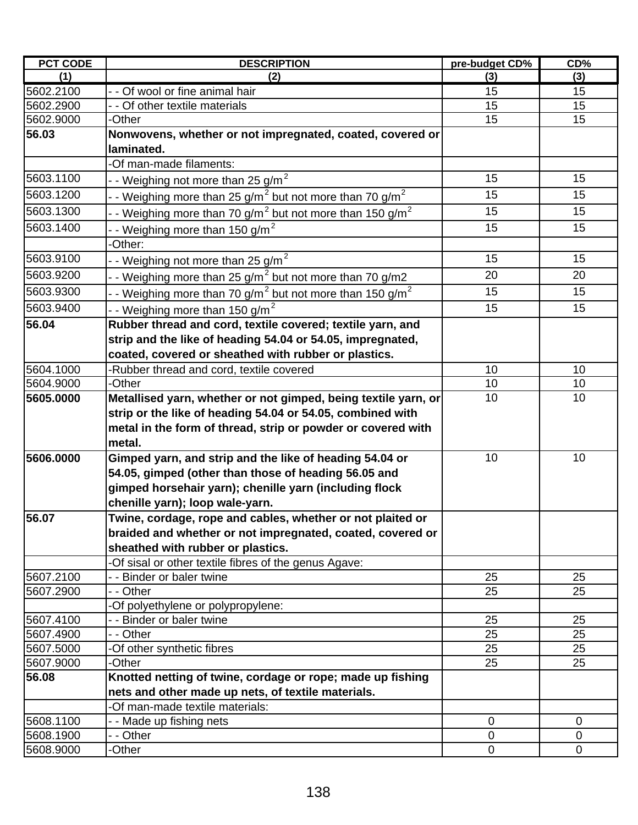| <b>PCT CODE</b> | <b>DESCRIPTION</b>                                                                      | pre-budget CD% | CD%         |
|-----------------|-----------------------------------------------------------------------------------------|----------------|-------------|
| (1)             | (2)                                                                                     | (3)            | (3)         |
| 5602.2100       | - - Of wool or fine animal hair                                                         | 15             | 15          |
| 5602.2900       | - - Of other textile materials                                                          | 15             | 15          |
| 5602.9000       | -Other                                                                                  | 15             | 15          |
| 56.03           | Nonwovens, whether or not impregnated, coated, covered or                               |                |             |
|                 | laminated.                                                                              |                |             |
|                 | -Of man-made filaments:                                                                 |                |             |
| 5603.1100       | - - Weighing not more than 25 g/m <sup>2</sup>                                          | 15             | 15          |
| 5603.1200       | - - Weighing more than 25 g/m <sup>2</sup> but not more than 70 g/m <sup>2</sup>        | 15             | 15          |
| 5603.1300       | - Weighing more than 70 $g/m^2$ but not more than 150 $g/m^2$                           | 15             | 15          |
| 5603.1400       | - - Weighing more than 150 g/m <sup>2</sup>                                             | 15             | 15          |
|                 | -Other:                                                                                 |                |             |
| 5603.9100       | - Weighing not more than $25 g/m2$                                                      | 15             | 15          |
| 5603.9200       | $\cdot$ - Weighing more than 25 g/m $^2$ but not more than 70 g/m2                      | 20             | 20          |
| 5603.9300       | $\cdot$ - Weighing more than 70 g/m <sup>2</sup> but not more than 150 g/m <sup>2</sup> | 15             | 15          |
| 5603.9400       | - - Weighing more than 150 g/m <sup>2</sup>                                             | 15             | 15          |
| 56.04           | Rubber thread and cord, textile covered; textile yarn, and                              |                |             |
|                 | strip and the like of heading 54.04 or 54.05, impregnated,                              |                |             |
|                 | coated, covered or sheathed with rubber or plastics.                                    |                |             |
| 5604.1000       | -Rubber thread and cord, textile covered                                                | 10             | 10          |
| 5604.9000       | -Other                                                                                  | 10             | 10          |
| 5605.0000       | Metallised yarn, whether or not gimped, being textile yarn, or                          | 10             | 10          |
|                 | strip or the like of heading 54.04 or 54.05, combined with                              |                |             |
|                 | metal in the form of thread, strip or powder or covered with                            |                |             |
|                 | metal.                                                                                  |                |             |
| 5606.0000       | Gimped yarn, and strip and the like of heading 54.04 or                                 | 10             | 10          |
|                 | 54.05, gimped (other than those of heading 56.05 and                                    |                |             |
|                 | gimped horsehair yarn); chenille yarn (including flock                                  |                |             |
|                 | chenille yarn); loop wale-yarn.                                                         |                |             |
| 56.07           | Twine, cordage, rope and cables, whether or not plaited or                              |                |             |
|                 | braided and whether or not impregnated, coated, covered or                              |                |             |
|                 | sheathed with rubber or plastics.                                                       |                |             |
|                 | -Of sisal or other textile fibres of the genus Agave:                                   |                |             |
| 5607.2100       | - - Binder or baler twine                                                               | 25             | 25          |
| 5607.2900       | - - Other                                                                               | 25             | 25          |
|                 | Of polyethylene or polypropylene:                                                       |                |             |
| 5607.4100       | - - Binder or baler twine                                                               | 25             | 25          |
| 5607.4900       | - - Other                                                                               | 25             | 25          |
| 5607.5000       | -Of other synthetic fibres                                                              | 25             | 25          |
| 5607.9000       | -Other                                                                                  | 25             | 25          |
| 56.08           | Knotted netting of twine, cordage or rope; made up fishing                              |                |             |
|                 | nets and other made up nets, of textile materials.                                      |                |             |
|                 | -Of man-made textile materials:                                                         |                |             |
| 5608.1100       | - - Made up fishing nets                                                                | 0              | 0           |
| 5608.1900       | - Other                                                                                 | $\overline{0}$ | 0           |
| 5608.9000       | -Other                                                                                  | 0              | $\mathbf 0$ |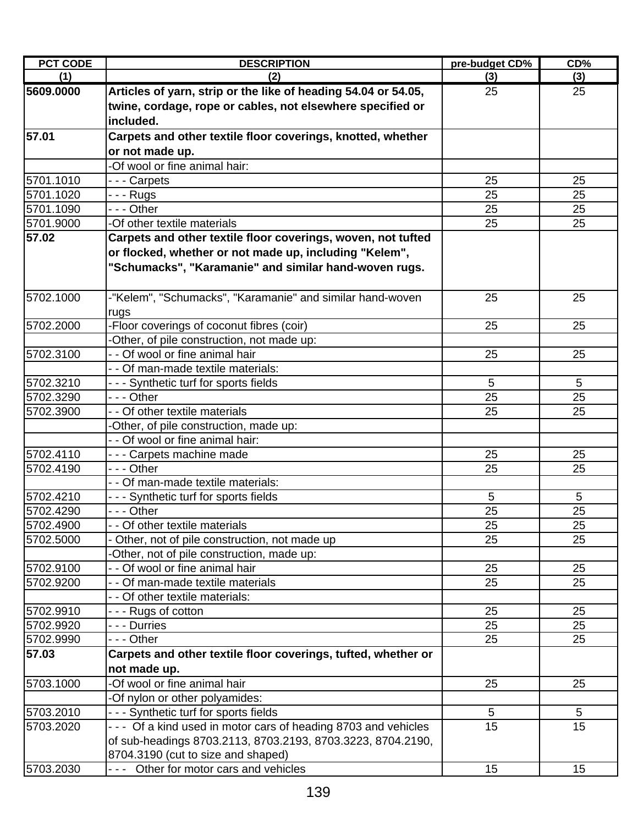| <b>PCT CODE</b> | <b>DESCRIPTION</b>                                              | pre-budget CD%  | CD% |
|-----------------|-----------------------------------------------------------------|-----------------|-----|
| (1)             | (2)                                                             | (3)             | (3) |
| 5609.0000       | Articles of yarn, strip or the like of heading 54.04 or 54.05,  | 25              | 25  |
|                 | twine, cordage, rope or cables, not elsewhere specified or      |                 |     |
|                 | included.                                                       |                 |     |
| 57.01           | Carpets and other textile floor coverings, knotted, whether     |                 |     |
|                 | or not made up.                                                 |                 |     |
|                 | -Of wool or fine animal hair:                                   |                 |     |
| 5701.1010       | --- Carpets                                                     | 25              | 25  |
| 5701.1020       | - - - Rugs                                                      | 25              | 25  |
| 5701.1090       | - - - Other                                                     | 25              | 25  |
| 5701.9000       | -Of other textile materials                                     | 25              | 25  |
| 57.02           | Carpets and other textile floor coverings, woven, not tufted    |                 |     |
|                 | or flocked, whether or not made up, including "Kelem",          |                 |     |
|                 | "Schumacks", "Karamanie" and similar hand-woven rugs.           |                 |     |
|                 |                                                                 |                 |     |
| 5702.1000       | -"Kelem", "Schumacks", "Karamanie" and similar hand-woven       | 25              | 25  |
|                 | rugs                                                            |                 |     |
| 5702.2000       | -Floor coverings of coconut fibres (coir)                       | 25              | 25  |
|                 | -Other, of pile construction, not made up:                      |                 |     |
| 5702.3100       | - - Of wool or fine animal hair                                 | 25              | 25  |
|                 | - - Of man-made textile materials:                              |                 |     |
| 5702.3210       | - - - Synthetic turf for sports fields                          | 5               | 5   |
| 5702.3290       | $- -$ Other                                                     | 25              | 25  |
| 5702.3900       | - - Of other textile materials                                  | 25              | 25  |
|                 | -Other, of pile construction, made up:                          |                 |     |
|                 | - - Of wool or fine animal hair:                                |                 |     |
| 5702.4110       | - - - Carpets machine made                                      | 25              | 25  |
| 5702.4190       | - - - Other                                                     | 25              | 25  |
|                 | - - Of man-made textile materials:                              |                 |     |
| 5702.4210       | - - - Synthetic turf for sports fields                          | 5               | 5   |
| 5702.4290       | - - - Other                                                     | 25              | 25  |
| 5702.4900       | - - Of other textile materials                                  | 25              | 25  |
| 5702.5000       | Other, not of pile construction, not made up                    | 25              | 25  |
|                 | -Other, not of pile construction, made up:                      |                 |     |
| 5702.9100       | - - Of wool or fine animal hair                                 | 25              | 25  |
| 5702.9200       | - - Of man-made textile materials                               | 25              | 25  |
|                 | - - Of other textile materials:                                 |                 |     |
| 5702.9910       | - - - Rugs of cotton                                            | 25              | 25  |
| 5702.9920       | - - - Durries                                                   | 25              | 25  |
| 5702.9990       | - - - Other                                                     | 25              | 25  |
| 57.03           | Carpets and other textile floor coverings, tufted, whether or   |                 |     |
|                 | not made up.                                                    |                 |     |
| 5703.1000       | -Of wool or fine animal hair                                    | 25              | 25  |
|                 | -Of nylon or other polyamides:                                  |                 |     |
| 5703.2010       | - - - Synthetic turf for sports fields                          | 5               | 5   |
| 5703.2020       | - - - Of a kind used in motor cars of heading 8703 and vehicles | $\overline{15}$ | 15  |
|                 | of sub-headings 8703.2113, 8703.2193, 8703.3223, 8704.2190,     |                 |     |
|                 | 8704.3190 (cut to size and shaped)                              |                 |     |
| 5703.2030       | --- Other for motor cars and vehicles                           | 15              | 15  |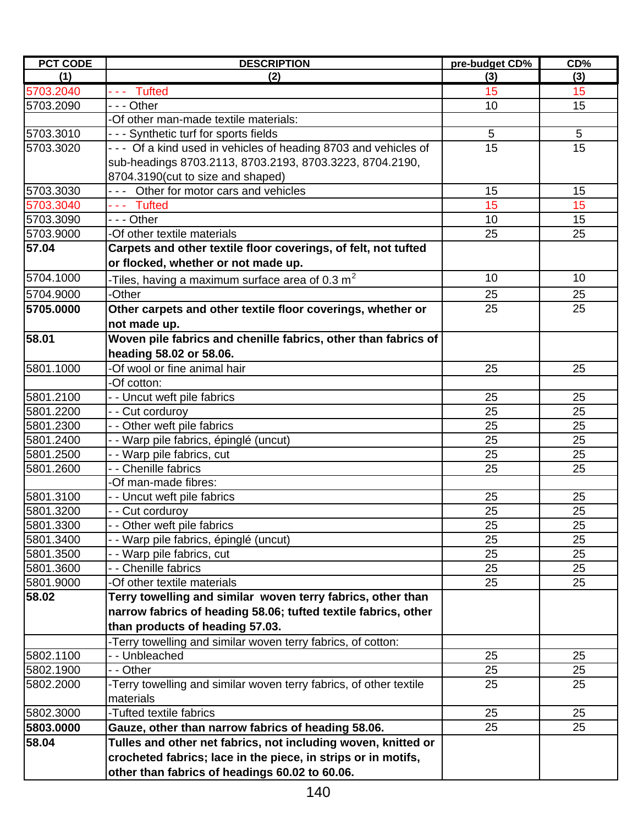| <b>PCT CODE</b> | <b>DESCRIPTION</b>                                                 | pre-budget CD% | CD% |
|-----------------|--------------------------------------------------------------------|----------------|-----|
| (1)             | (2)                                                                | (3)            | (3) |
| 5703.2040       | $- -$ Tufted                                                       | 15             | 15  |
| 5703.2090       | - - - Other                                                        | 10             | 15  |
|                 | -Of other man-made textile materials:                              |                |     |
| 5703.3010       | --- Synthetic turf for sports fields                               | $\overline{5}$ | 5   |
| 5703.3020       | - - - Of a kind used in vehicles of heading 8703 and vehicles of   | 15             | 15  |
|                 | sub-headings 8703.2113, 8703.2193, 8703.3223, 8704.2190,           |                |     |
|                 | 8704.3190(cut to size and shaped)                                  |                |     |
| 5703.3030       | --- Other for motor cars and vehicles                              | 15             | 15  |
| 5703.3040       | --- Tufted                                                         | 15             | 15  |
| 5703.3090       | - - - Other                                                        | 10             | 15  |
| 5703.9000       | -Of other textile materials                                        | 25             | 25  |
| 57.04           | Carpets and other textile floor coverings, of felt, not tufted     |                |     |
|                 | or flocked, whether or not made up.                                |                |     |
| 5704.1000       | -Tiles, having a maximum surface area of 0.3 $\textsf{m}^2$        | 10             | 10  |
| 5704.9000       | Other-                                                             | 25             | 25  |
| 5705.0000       | Other carpets and other textile floor coverings, whether or        | 25             | 25  |
|                 | not made up.                                                       |                |     |
| 58.01           | Woven pile fabrics and chenille fabrics, other than fabrics of     |                |     |
|                 | heading 58.02 or 58.06.                                            |                |     |
| 5801.1000       | Of wool or fine animal hair                                        | 25             | 25  |
|                 | -Of cotton:                                                        |                |     |
| 5801.2100       | - - Uncut weft pile fabrics                                        | 25             | 25  |
| 5801.2200       | - - Cut corduroy                                                   | 25             | 25  |
| 5801.2300       | - - Other weft pile fabrics                                        | 25             | 25  |
| 5801.2400       | - - Warp pile fabrics, épinglé (uncut)                             | 25             | 25  |
| 5801.2500       | - - Warp pile fabrics, cut                                         | 25             | 25  |
| 5801.2600       | - Chenille fabrics                                                 | 25             | 25  |
|                 | -Of man-made fibres:                                               |                |     |
| 5801.3100       | - - Uncut weft pile fabrics                                        | 25             | 25  |
| 5801.3200       | - - Cut corduroy                                                   | 25             | 25  |
| 5801.3300       | - - Other weft pile fabrics                                        | 25             | 25  |
| 5801.3400       | - - Warp pile fabrics, épinglé (uncut)                             | 25             | 25  |
| 5801.3500       | - - Warp pile fabrics, cut                                         | 25             | 25  |
| 5801.3600       | <b>Chenille fabrics</b>                                            | 25             | 25  |
| 5801.9000       | -Of other textile materials                                        | 25             | 25  |
| 58.02           | Terry towelling and similar woven terry fabrics, other than        |                |     |
|                 | narrow fabrics of heading 58.06; tufted textile fabrics, other     |                |     |
|                 | than products of heading 57.03.                                    |                |     |
|                 | -Terry towelling and similar woven terry fabrics, of cotton:       |                |     |
| 5802.1100       | - - Unbleached                                                     | 25             | 25  |
| 5802.1900       | - - Other                                                          | 25             | 25  |
| 5802.2000       | -Terry towelling and similar woven terry fabrics, of other textile | 25             | 25  |
|                 | materials                                                          |                |     |
| 5802.3000       | -Tufted textile fabrics                                            | 25             | 25  |
| 5803.0000       | Gauze, other than narrow fabrics of heading 58.06.                 | 25             | 25  |
| 58.04           | Tulles and other net fabrics, not including woven, knitted or      |                |     |
|                 | crocheted fabrics; lace in the piece, in strips or in motifs,      |                |     |
|                 | other than fabrics of headings 60.02 to 60.06.                     |                |     |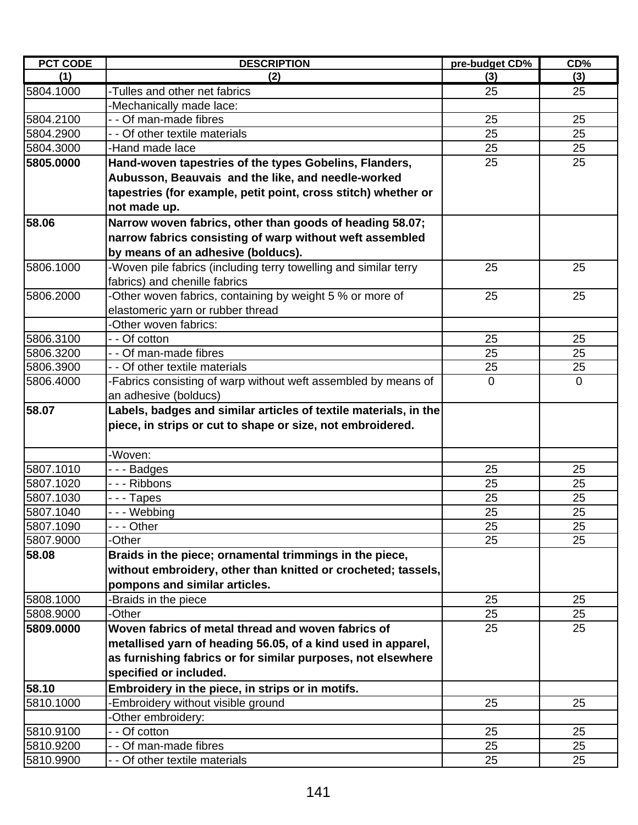| <b>PCT CODE</b> | <b>DESCRIPTION</b>                                               | pre-budget CD% | CD%          |
|-----------------|------------------------------------------------------------------|----------------|--------------|
| (1)             | (2)                                                              | (3)            | (3)          |
| 5804.1000       | -Tulles and other net fabrics                                    | 25             | 25           |
|                 | -Mechanically made lace:                                         |                |              |
| 5804.2100       | - - Of man-made fibres                                           | 25             | 25           |
| 5804.2900       | - - Of other textile materials                                   | 25             | 25           |
| 5804.3000       | -Hand made lace                                                  | 25             | 25           |
| 5805.0000       | Hand-woven tapestries of the types Gobelins, Flanders,           | 25             | 25           |
|                 | Aubusson, Beauvais and the like, and needle-worked               |                |              |
|                 | tapestries (for example, petit point, cross stitch) whether or   |                |              |
|                 | not made up.                                                     |                |              |
| 58.06           | Narrow woven fabrics, other than goods of heading 58.07;         |                |              |
|                 | narrow fabrics consisting of warp without weft assembled         |                |              |
|                 | by means of an adhesive (bolducs).                               |                |              |
| 5806.1000       | -Woven pile fabrics (including terry towelling and similar terry | 25             | 25           |
|                 | fabrics) and chenille fabrics                                    |                |              |
| 5806.2000       | -Other woven fabrics, containing by weight 5 % or more of        | 25             | 25           |
|                 | elastomeric yarn or rubber thread                                |                |              |
|                 | -Other woven fabrics:                                            |                |              |
| 5806.3100       | - - Of cotton                                                    | 25             | 25           |
| 5806.3200       | - - Of man-made fibres                                           | 25             | 25           |
| 5806.3900       | - - Of other textile materials                                   | 25             | 25           |
| 5806.4000       | -Fabrics consisting of warp without weft assembled by means of   | $\mathbf 0$    | $\mathbf{0}$ |
|                 | an adhesive (bolducs)                                            |                |              |
| 58.07           | Labels, badges and similar articles of textile materials, in the |                |              |
|                 | piece, in strips or cut to shape or size, not embroidered.       |                |              |
|                 |                                                                  |                |              |
|                 | -Woven:                                                          |                |              |
| 5807.1010       | ---Badges                                                        | 25             | 25           |
| 5807.1020       | - - - Ribbons                                                    | 25             | 25           |
| 5807.1030       | ---Tapes                                                         | 25             | 25           |
| 5807.1040       | --- Webbing                                                      | 25             | 25           |
| 5807.1090       | -  - - Other                                                     | 25             | 25           |
| 5807.9000       | -Other                                                           | 25             | 25           |
| 58.08           | Braids in the piece; ornamental trimmings in the piece,          |                |              |
|                 | without embroidery, other than knitted or crocheted; tassels,    |                |              |
|                 | pompons and similar articles.                                    |                |              |
| 5808.1000       | Braids in the piece                                              | 25             | 25           |
| 5808.9000       | -Other                                                           | 25             | 25           |
| 5809.0000       | Woven fabrics of metal thread and woven fabrics of               | 25             | 25           |
|                 | metallised yarn of heading 56.05, of a kind used in apparel,     |                |              |
|                 | as furnishing fabrics or for similar purposes, not elsewhere     |                |              |
|                 | specified or included.                                           |                |              |
| 58.10           | Embroidery in the piece, in strips or in motifs.                 |                |              |
| 5810.1000       | Embroidery without visible ground                                | 25             | 25           |
|                 | Other embroidery:                                                |                |              |
| 5810.9100       | - - Of cotton                                                    | 25             | 25           |
| 5810.9200       | - - Of man-made fibres                                           | 25             | 25           |
| 5810.9900       | - - Of other textile materials                                   | 25             | 25           |
|                 |                                                                  |                |              |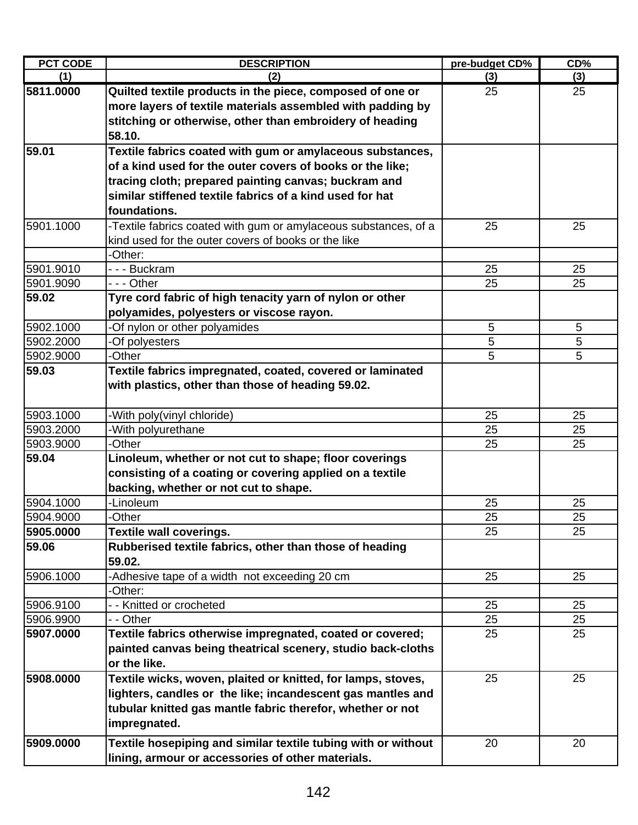| <b>PCT CODE</b> | <b>DESCRIPTION</b>                                                | pre-budget CD% | CD% |
|-----------------|-------------------------------------------------------------------|----------------|-----|
| (1)             | (2)                                                               | (3)            | (3) |
| 5811.0000       | Quilted textile products in the piece, composed of one or         | 25             | 25  |
|                 | more layers of textile materials assembled with padding by        |                |     |
|                 | stitching or otherwise, other than embroidery of heading          |                |     |
|                 | 58.10.                                                            |                |     |
| 59.01           | Textile fabrics coated with gum or amylaceous substances,         |                |     |
|                 | of a kind used for the outer covers of books or the like;         |                |     |
|                 | tracing cloth; prepared painting canvas; buckram and              |                |     |
|                 | similar stiffened textile fabrics of a kind used for hat          |                |     |
|                 | foundations.                                                      |                |     |
| 5901.1000       | -Textile fabrics coated with gum or amylaceous substances, of a   | 25             | 25  |
|                 | kind used for the outer covers of books or the like               |                |     |
|                 | -Other:                                                           |                |     |
| 5901.9010       | --- Buckram                                                       | 25             | 25  |
| 5901.9090       | $- -$ Other                                                       | 25             | 25  |
| 59.02           | Tyre cord fabric of high tenacity yarn of nylon or other          |                |     |
|                 | polyamides, polyesters or viscose rayon.                          |                |     |
| 5902.1000       | -Of nylon or other polyamides                                     | 5              | 5   |
| 5902.2000       | -Of polyesters                                                    | 5              | 5   |
| 5902.9000       | -Other                                                            | 5              | 5   |
| 59.03           | Textile fabrics impregnated, coated, covered or laminated         |                |     |
|                 | with plastics, other than those of heading 59.02.                 |                |     |
| 5903.1000       | -With poly(vinyl chloride)                                        | 25             | 25  |
| 5903.2000       | -With polyurethane                                                | 25             | 25  |
| 5903.9000       | -Other                                                            | 25             | 25  |
| 59.04           | Linoleum, whether or not cut to shape; floor coverings            |                |     |
|                 | consisting of a coating or covering applied on a textile          |                |     |
|                 | backing, whether or not cut to shape.                             |                |     |
| 5904.1000       | -Linoleum                                                         | 25             | 25  |
| 5904.9000       | -Other                                                            | 25             | 25  |
| 5905.0000       | <b>Textile wall coverings.</b>                                    | 25             | 25  |
| 59.06           | Rubberised textile fabrics, other than those of heading<br>59.02. |                |     |
| 5906.1000       | -Adhesive tape of a width not exceeding 20 cm                     | 25             | 25  |
|                 | -Other:                                                           |                |     |
| 5906.9100       | - - Knitted or crocheted                                          | 25             | 25  |
| 5906.9900       | - - Other                                                         | 25             | 25  |
| 5907.0000       | Textile fabrics otherwise impregnated, coated or covered;         | 25             | 25  |
|                 | painted canvas being theatrical scenery, studio back-cloths       |                |     |
|                 | or the like.                                                      |                |     |
| 5908.0000       | Textile wicks, woven, plaited or knitted, for lamps, stoves,      | 25             | 25  |
|                 | lighters, candles or the like; incandescent gas mantles and       |                |     |
|                 | tubular knitted gas mantle fabric therefor, whether or not        |                |     |
|                 | impregnated.                                                      |                |     |
| 5909.0000       | Textile hosepiping and similar textile tubing with or without     | 20             | 20  |
|                 | lining, armour or accessories of other materials.                 |                |     |
|                 |                                                                   |                |     |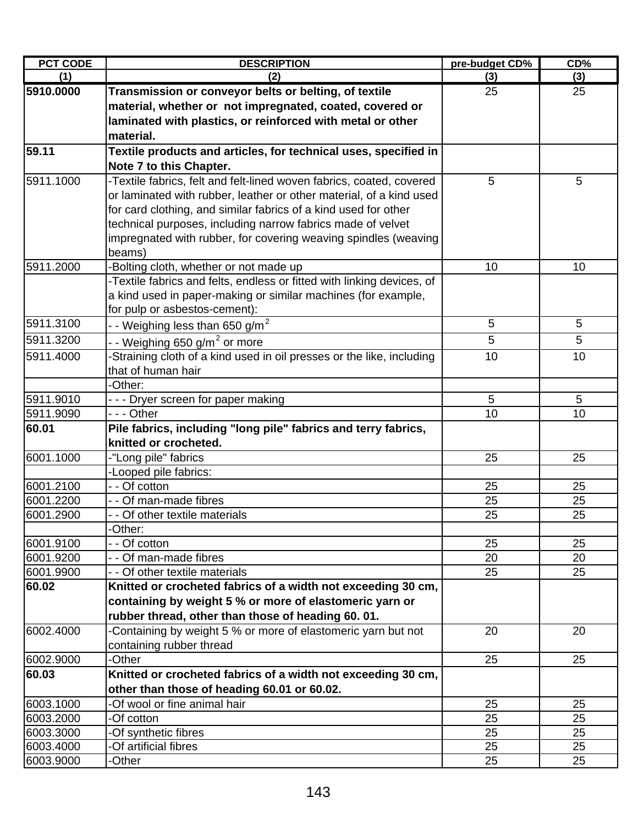| <b>PCT CODE</b> | <b>DESCRIPTION</b>                                                     | pre-budget CD% | CD% |
|-----------------|------------------------------------------------------------------------|----------------|-----|
| (1)             | (2)                                                                    | (3)            | (3) |
| 5910.0000       | Transmission or conveyor belts or belting, of textile                  | 25             | 25  |
|                 | material, whether or not impregnated, coated, covered or               |                |     |
|                 | laminated with plastics, or reinforced with metal or other             |                |     |
|                 | material.                                                              |                |     |
| 59.11           | Textile products and articles, for technical uses, specified in        |                |     |
|                 | Note 7 to this Chapter.                                                |                |     |
| 5911.1000       | -Textile fabrics, felt and felt-lined woven fabrics, coated, covered   | 5              | 5   |
|                 | or laminated with rubber, leather or other material, of a kind used    |                |     |
|                 | for card clothing, and similar fabrics of a kind used for other        |                |     |
|                 | technical purposes, including narrow fabrics made of velvet            |                |     |
|                 | impregnated with rubber, for covering weaving spindles (weaving        |                |     |
|                 | beams)                                                                 |                |     |
| 5911.2000       | Bolting cloth, whether or not made up                                  | 10             | 10  |
|                 | -Textile fabrics and felts, endless or fitted with linking devices, of |                |     |
|                 | a kind used in paper-making or similar machines (for example,          |                |     |
|                 | for pulp or asbestos-cement):                                          |                |     |
| 5911.3100       | - - Weighing less than 650 g/m $^{\rm 2}$                              | 5              | 5   |
| 5911.3200       | - - Weighing 650 g/m <sup>2</sup> or more                              | 5              | 5   |
| 5911.4000       | -Straining cloth of a kind used in oil presses or the like, including  | 10             | 10  |
|                 | that of human hair                                                     |                |     |
|                 | -Other:                                                                |                |     |
| 5911.9010       | - - - Dryer screen for paper making                                    | 5              | 5   |
| 5911.9090       | - - - Other                                                            | 10             | 10  |
| 60.01           | Pile fabrics, including "long pile" fabrics and terry fabrics,         |                |     |
|                 | knitted or crocheted.                                                  |                |     |
| 6001.1000       | -"Long pile" fabrics                                                   | 25             | 25  |
|                 | -Looped pile fabrics:                                                  |                |     |
| 6001.2100       | - - Of cotton                                                          | 25             | 25  |
| 6001.2200       | - - Of man-made fibres                                                 | 25             | 25  |
| 6001.2900       | - - Of other textile materials                                         | 25             | 25  |
|                 | -Other:                                                                |                |     |
| 6001.9100       | - - Of cotton                                                          | 25             | 25  |
| 6001.9200       | - - Of man-made fibres                                                 | 20             | 20  |
| 6001.9900       | - - Of other textile materials                                         | 25             | 25  |
| 60.02           | Knitted or crocheted fabrics of a width not exceeding 30 cm,           |                |     |
|                 | containing by weight 5 % or more of elastomeric yarn or                |                |     |
|                 | rubber thread, other than those of heading 60.01.                      |                |     |
| 6002.4000       | -Containing by weight 5 % or more of elastomeric yarn but not          | 20             | 20  |
|                 | containing rubber thread                                               |                |     |
| 6002.9000       | -Other                                                                 | 25             | 25  |
| 60.03           | Knitted or crocheted fabrics of a width not exceeding 30 cm,           |                |     |
|                 | other than those of heading 60.01 or 60.02.                            |                |     |
| 6003.1000       | -Of wool or fine animal hair                                           | 25             | 25  |
| 6003.2000       | -Of cotton                                                             | 25             | 25  |
| 6003.3000       | -Of synthetic fibres                                                   | 25             | 25  |
| 6003.4000       | -Of artificial fibres                                                  | 25             | 25  |
| 6003.9000       | -Other                                                                 | 25             | 25  |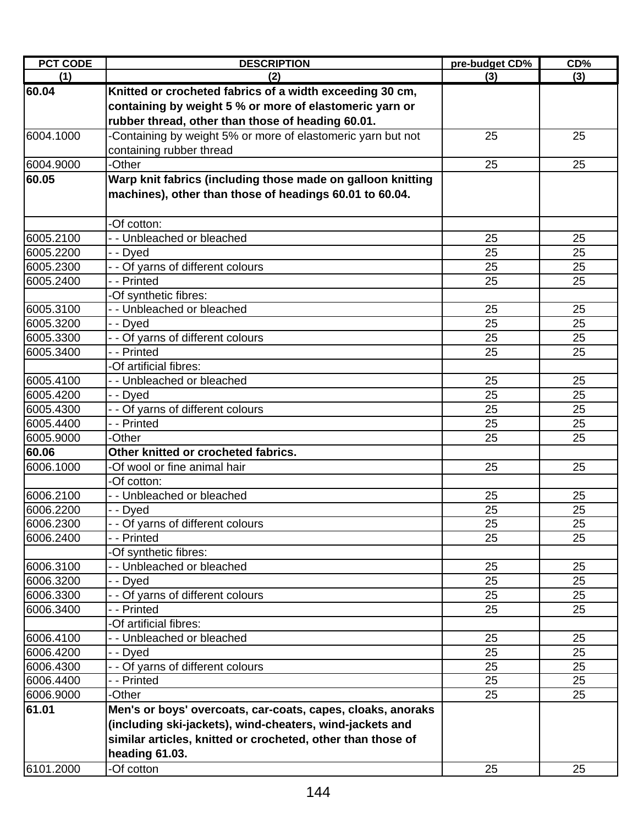| <b>PCT CODE</b> | <b>DESCRIPTION</b>                                           | pre-budget CD% | CD% |
|-----------------|--------------------------------------------------------------|----------------|-----|
| (1)             | (2)                                                          | (3)            | (3) |
| 60.04           | Knitted or crocheted fabrics of a width exceeding 30 cm,     |                |     |
|                 | containing by weight 5 % or more of elastomeric yarn or      |                |     |
|                 | rubber thread, other than those of heading 60.01.            |                |     |
| 6004.1000       | -Containing by weight 5% or more of elastomeric yarn but not | 25             | 25  |
|                 | containing rubber thread                                     |                |     |
| 6004.9000       | -Other                                                       | 25             | 25  |
| 60.05           | Warp knit fabrics (including those made on galloon knitting  |                |     |
|                 | machines), other than those of headings 60.01 to 60.04.      |                |     |
|                 |                                                              |                |     |
|                 | -Of cotton:                                                  |                |     |
| 6005.2100       | - - Unbleached or bleached                                   | 25             | 25  |
| 6005.2200       | - - Dyed                                                     | 25             | 25  |
| 6005.2300       | - - Of yarns of different colours                            | 25             | 25  |
| 6005.2400       | - - Printed                                                  | 25             | 25  |
|                 | -Of synthetic fibres:                                        |                |     |
| 6005.3100       | - - Unbleached or bleached                                   | 25             | 25  |
| 6005.3200       | - - Dyed                                                     | 25             | 25  |
| 6005.3300       | - - Of yarns of different colours                            | 25             | 25  |
| 6005.3400       | - - Printed                                                  | 25             | 25  |
|                 | -Of artificial fibres:                                       |                |     |
| 6005.4100       | - - Unbleached or bleached                                   | 25             | 25  |
| 6005.4200       | - - Dyed                                                     | 25             | 25  |
| 6005.4300       | - - Of yarns of different colours                            | 25             | 25  |
| 6005.4400       | - - Printed                                                  | 25             | 25  |
| 6005.9000       | -Other                                                       | 25             | 25  |
| 60.06           | Other knitted or crocheted fabrics.                          |                |     |
| 6006.1000       | -Of wool or fine animal hair                                 | 25             | 25  |
|                 | -Of cotton:                                                  |                |     |
| 6006.2100       | - - Unbleached or bleached                                   | 25             | 25  |
| 6006.2200       | - - Dyed                                                     | 25             | 25  |
| 6006.2300       | - - Of yarns of different colours                            | 25             | 25  |
| 6006.2400       | - - Printed                                                  | 25             | 25  |
|                 | -Of synthetic fibres:                                        |                |     |
| 6006.3100       | - - Unbleached or bleached                                   | 25             | 25  |
| 6006.3200       | - - Dyed                                                     | 25             | 25  |
| 6006.3300       | - - Of yarns of different colours                            | 25             | 25  |
| 6006.3400       | - - Printed                                                  | 25             | 25  |
|                 | -Of artificial fibres:                                       |                |     |
| 6006.4100       | - - Unbleached or bleached                                   | 25             | 25  |
| 6006.4200       | - - Dyed                                                     | 25             | 25  |
| 6006.4300       | - - Of yarns of different colours                            | 25             | 25  |
| 6006.4400       | - - Printed                                                  | 25             | 25  |
| 6006.9000       | -Other                                                       | 25             | 25  |
| 61.01           | Men's or boys' overcoats, car-coats, capes, cloaks, anoraks  |                |     |
|                 | (including ski-jackets), wind-cheaters, wind-jackets and     |                |     |
|                 | similar articles, knitted or crocheted, other than those of  |                |     |
|                 | heading 61.03.                                               |                |     |
| 6101.2000       | -Of cotton                                                   | 25             | 25  |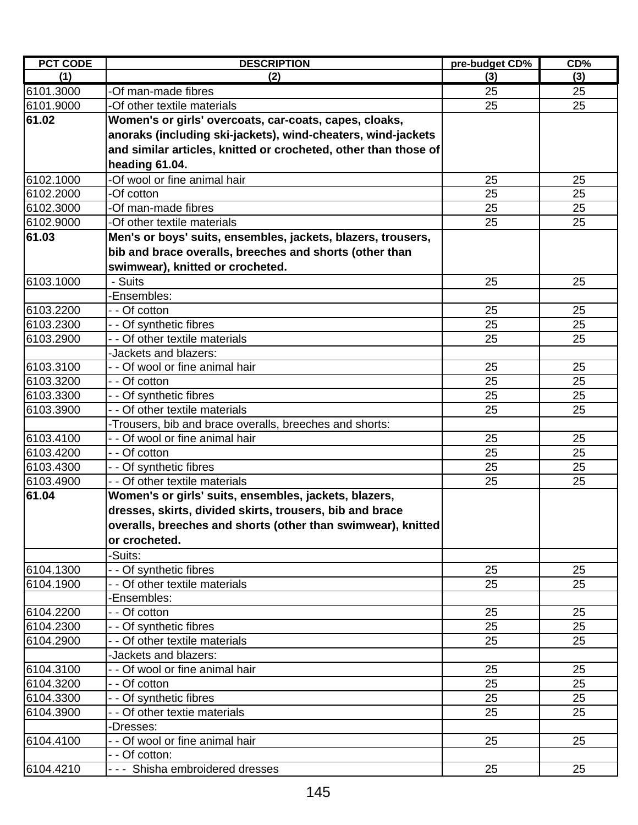| <b>PCT CODE</b> | <b>DESCRIPTION</b>                                              | pre-budget CD% | CD% |
|-----------------|-----------------------------------------------------------------|----------------|-----|
| (1)             | (2)                                                             | (3)            | (3) |
| 6101.3000       | -Of man-made fibres                                             | 25             | 25  |
| 6101.9000       | -Of other textile materials                                     | 25             | 25  |
| 61.02           | Women's or girls' overcoats, car-coats, capes, cloaks,          |                |     |
|                 | anoraks (including ski-jackets), wind-cheaters, wind-jackets    |                |     |
|                 | and similar articles, knitted or crocheted, other than those of |                |     |
|                 | heading 61.04.                                                  |                |     |
| 6102.1000       | -Of wool or fine animal hair                                    | 25             | 25  |
| 6102.2000       | -Of cotton                                                      | 25             | 25  |
| 6102.3000       | -Of man-made fibres                                             | 25             | 25  |
| 6102.9000       | -Of other textile materials                                     | 25             | 25  |
| 61.03           | Men's or boys' suits, ensembles, jackets, blazers, trousers,    |                |     |
|                 | bib and brace overalls, breeches and shorts (other than         |                |     |
|                 | swimwear), knitted or crocheted.                                |                |     |
| 6103.1000       | - Suits                                                         | 25             | 25  |
|                 | -Ensembles:                                                     |                |     |
| 6103.2200       | - - Of cotton                                                   | 25             | 25  |
| 6103.2300       | - - Of synthetic fibres                                         | 25             | 25  |
| 6103.2900       | - - Of other textile materials                                  | 25             | 25  |
|                 | -Jackets and blazers:                                           |                |     |
| 6103.3100       | - - Of wool or fine animal hair                                 | 25             | 25  |
| 6103.3200       | - - Of cotton                                                   | 25             | 25  |
| 6103.3300       | - - Of synthetic fibres                                         | 25             | 25  |
| 6103.3900       | - - Of other textile materials                                  | 25             | 25  |
|                 | -Trousers, bib and brace overalls, breeches and shorts:         |                |     |
| 6103.4100       | - - Of wool or fine animal hair                                 | 25             | 25  |
| 6103.4200       | - - Of cotton                                                   | 25             | 25  |
| 6103.4300       | Of synthetic fibres                                             | 25             | 25  |
| 6103.4900       | - - Of other textile materials                                  | 25             | 25  |
| 61.04           | Women's or girls' suits, ensembles, jackets, blazers,           |                |     |
|                 | dresses, skirts, divided skirts, trousers, bib and brace        |                |     |
|                 | overalls, breeches and shorts (other than swimwear), knitted    |                |     |
|                 | or crocheted.                                                   |                |     |
|                 | -Suits:                                                         |                |     |
| 6104.1300       | - - Of synthetic fibres                                         | 25             | 25  |
| 6104.1900       | - - Of other textile materials                                  | 25             | 25  |
|                 | -Ensembles:                                                     |                |     |
| 6104.2200       | - - Of cotton                                                   | 25             | 25  |
| 6104.2300       | - - Of synthetic fibres                                         | 25             | 25  |
| 6104.2900       | Of other textile materials                                      | 25             | 25  |
|                 | Jackets and blazers:                                            |                |     |
| 6104.3100       | - - Of wool or fine animal hair                                 | 25             | 25  |
| 6104.3200       | - - Of cotton                                                   | 25             | 25  |
| 6104.3300       | - Of synthetic fibres                                           | 25             | 25  |
| 6104.3900       | Of other textie materials                                       | 25             | 25  |
|                 | -Dresses:                                                       |                |     |
| 6104.4100       | - - Of wool or fine animal hair                                 | 25             | 25  |
|                 | - - Of cotton:                                                  |                |     |
| 6104.4210       | - - - Shisha embroidered dresses                                | 25             | 25  |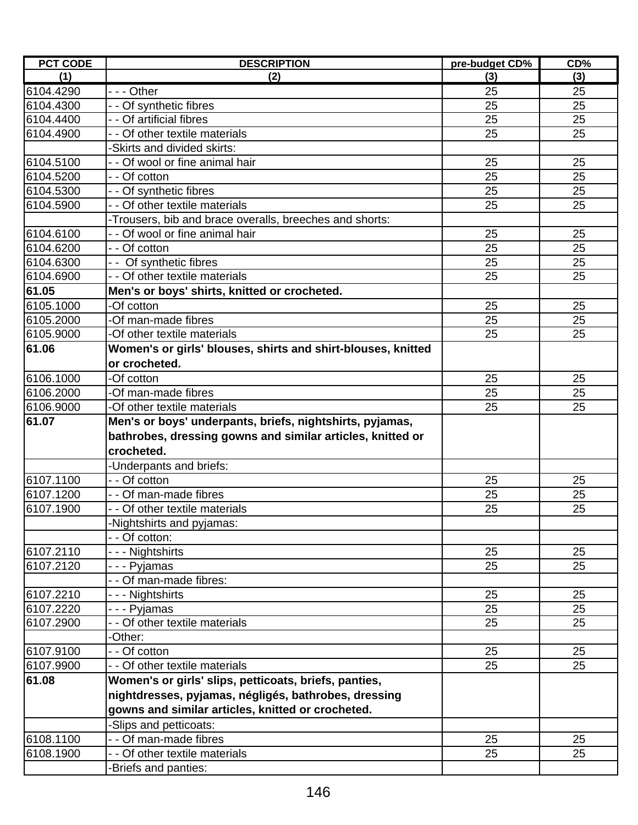| (3)<br>25<br>25<br>25<br>25<br>25<br>25<br>25<br>25 |
|-----------------------------------------------------|
|                                                     |
|                                                     |
|                                                     |
|                                                     |
|                                                     |
|                                                     |
|                                                     |
|                                                     |
|                                                     |
|                                                     |
|                                                     |
| 25                                                  |
| 25                                                  |
| 25                                                  |
| 25                                                  |
|                                                     |
| 25                                                  |
| 25                                                  |
| 25                                                  |
|                                                     |
|                                                     |
|                                                     |
|                                                     |
|                                                     |
|                                                     |
|                                                     |
| 25                                                  |
| 25                                                  |
|                                                     |
| 25                                                  |
|                                                     |
|                                                     |
| 25                                                  |
| 25                                                  |
|                                                     |
| 25                                                  |
| 25                                                  |
| 25                                                  |
|                                                     |
|                                                     |
| 25                                                  |
| 25                                                  |
|                                                     |
|                                                     |
|                                                     |
|                                                     |
| 25<br>25                                            |
| 25<br>25<br>25                                      |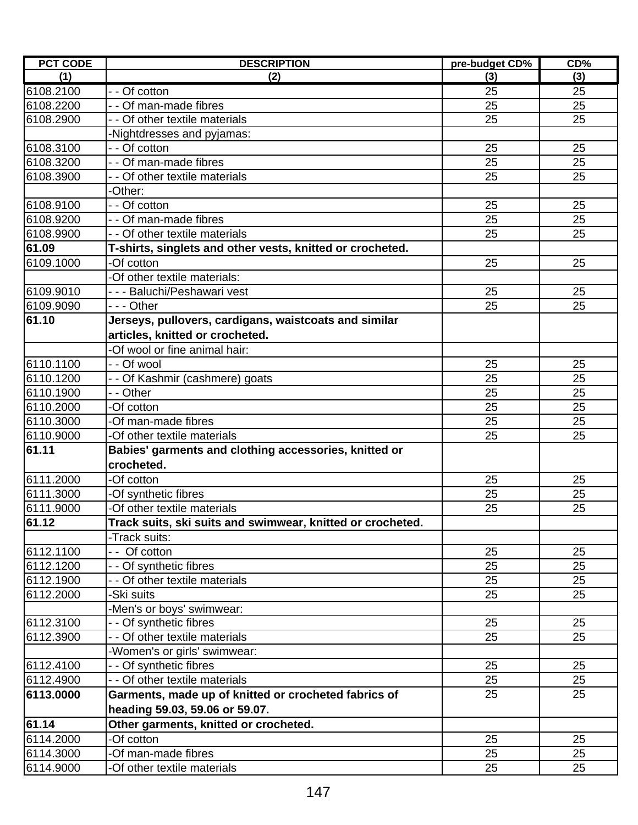| (1)<br>(3)<br>(2)<br>(3)<br>- - Of cotton<br>25<br>25<br>- - Of man-made fibres<br>6108.2200<br>25<br>25<br>25<br>25<br>6108.2900<br>- - Of other textile materials<br>-Nightdresses and pyjamas:<br>- - Of cotton<br>25<br>25<br>$2\overline{5}$<br>- - Of man-made fibres<br>25<br>25<br>25<br>- - Of other textile materials<br>-Other:<br>25<br>25<br>- - Of cotton<br>25<br>25<br>- - Of man-made fibres<br>- - Of other textile materials<br>25<br>25<br>T-shirts, singlets and other vests, knitted or crocheted.<br>-Of cotton<br>25<br>25<br>-Of other textile materials:<br>- - - Baluchi/Peshawari vest<br>25<br>25<br>--- Other<br>25<br>25<br>61.10<br>Jerseys, pullovers, cardigans, waistcoats and similar<br>articles, knitted or crocheted.<br>-Of wool or fine animal hair:<br>- - Of wool<br>25<br>25<br>- - Of Kashmir (cashmere) goats<br>25<br>25<br>6110.1900<br>- - Other<br>25<br>25<br>25<br>6110.2000<br>25<br>-Of cotton<br>-Of man-made fibres<br>25<br>6110.3000<br>25<br>-Of other textile materials<br>6110.9000<br>25<br>25<br>61.11<br>Babies' garments and clothing accessories, knitted or<br>crocheted.<br>6111.2000<br>-Of cotton<br>25<br>25<br>6111.3000<br>25<br>25<br>-Of synthetic fibres<br>6111.9000<br>-Of other textile materials<br>25<br>25<br>61.12<br>Track suits, ski suits and swimwear, knitted or crocheted.<br>-Track suits:<br>6112.1100<br>Of cotton<br>25<br>25<br>6112.1200<br>25<br>- - Of synthetic fibres<br>25<br>6112.1900<br>25<br>25<br>- - Of other textile materials<br>25<br>25<br>6112.2000<br>-Ski suits<br>-Men's or boys' swimwear:<br>- - Of synthetic fibres<br>6112.3100<br>25<br>25<br>- - Of other textile materials<br>6112.3900<br>25<br>25<br>-Women's or girls' swimwear:<br>6112.4100<br>- Of synthetic fibres<br>25<br>25<br>- - Of other textile materials<br>6112.4900<br>25<br>25<br>25<br>25<br>6113.0000<br>Garments, made up of knitted or crocheted fabrics of<br>heading 59.03, 59.06 or 59.07.<br>61.14<br>Other garments, knitted or crocheted.<br>6114.2000<br>-Of cotton<br>25<br>25<br>6114.3000<br>-Of man-made fibres<br>25<br>25 | <b>PCT CODE</b> | <b>DESCRIPTION</b> | pre-budget CD% | CD% |
|---------------------------------------------------------------------------------------------------------------------------------------------------------------------------------------------------------------------------------------------------------------------------------------------------------------------------------------------------------------------------------------------------------------------------------------------------------------------------------------------------------------------------------------------------------------------------------------------------------------------------------------------------------------------------------------------------------------------------------------------------------------------------------------------------------------------------------------------------------------------------------------------------------------------------------------------------------------------------------------------------------------------------------------------------------------------------------------------------------------------------------------------------------------------------------------------------------------------------------------------------------------------------------------------------------------------------------------------------------------------------------------------------------------------------------------------------------------------------------------------------------------------------------------------------------------------------------------------------------------------------------------------------------------------------------------------------------------------------------------------------------------------------------------------------------------------------------------------------------------------------------------------------------------------------------------------------------------------------------------------------------------------------------------------------------------------------------------------------------------------------------------|-----------------|--------------------|----------------|-----|
|                                                                                                                                                                                                                                                                                                                                                                                                                                                                                                                                                                                                                                                                                                                                                                                                                                                                                                                                                                                                                                                                                                                                                                                                                                                                                                                                                                                                                                                                                                                                                                                                                                                                                                                                                                                                                                                                                                                                                                                                                                                                                                                                       |                 |                    |                |     |
|                                                                                                                                                                                                                                                                                                                                                                                                                                                                                                                                                                                                                                                                                                                                                                                                                                                                                                                                                                                                                                                                                                                                                                                                                                                                                                                                                                                                                                                                                                                                                                                                                                                                                                                                                                                                                                                                                                                                                                                                                                                                                                                                       | 6108.2100       |                    |                |     |
|                                                                                                                                                                                                                                                                                                                                                                                                                                                                                                                                                                                                                                                                                                                                                                                                                                                                                                                                                                                                                                                                                                                                                                                                                                                                                                                                                                                                                                                                                                                                                                                                                                                                                                                                                                                                                                                                                                                                                                                                                                                                                                                                       |                 |                    |                |     |
|                                                                                                                                                                                                                                                                                                                                                                                                                                                                                                                                                                                                                                                                                                                                                                                                                                                                                                                                                                                                                                                                                                                                                                                                                                                                                                                                                                                                                                                                                                                                                                                                                                                                                                                                                                                                                                                                                                                                                                                                                                                                                                                                       |                 |                    |                |     |
|                                                                                                                                                                                                                                                                                                                                                                                                                                                                                                                                                                                                                                                                                                                                                                                                                                                                                                                                                                                                                                                                                                                                                                                                                                                                                                                                                                                                                                                                                                                                                                                                                                                                                                                                                                                                                                                                                                                                                                                                                                                                                                                                       |                 |                    |                |     |
|                                                                                                                                                                                                                                                                                                                                                                                                                                                                                                                                                                                                                                                                                                                                                                                                                                                                                                                                                                                                                                                                                                                                                                                                                                                                                                                                                                                                                                                                                                                                                                                                                                                                                                                                                                                                                                                                                                                                                                                                                                                                                                                                       | 6108.3100       |                    |                |     |
|                                                                                                                                                                                                                                                                                                                                                                                                                                                                                                                                                                                                                                                                                                                                                                                                                                                                                                                                                                                                                                                                                                                                                                                                                                                                                                                                                                                                                                                                                                                                                                                                                                                                                                                                                                                                                                                                                                                                                                                                                                                                                                                                       | 6108.3200       |                    |                |     |
|                                                                                                                                                                                                                                                                                                                                                                                                                                                                                                                                                                                                                                                                                                                                                                                                                                                                                                                                                                                                                                                                                                                                                                                                                                                                                                                                                                                                                                                                                                                                                                                                                                                                                                                                                                                                                                                                                                                                                                                                                                                                                                                                       | 6108.3900       |                    |                |     |
|                                                                                                                                                                                                                                                                                                                                                                                                                                                                                                                                                                                                                                                                                                                                                                                                                                                                                                                                                                                                                                                                                                                                                                                                                                                                                                                                                                                                                                                                                                                                                                                                                                                                                                                                                                                                                                                                                                                                                                                                                                                                                                                                       |                 |                    |                |     |
|                                                                                                                                                                                                                                                                                                                                                                                                                                                                                                                                                                                                                                                                                                                                                                                                                                                                                                                                                                                                                                                                                                                                                                                                                                                                                                                                                                                                                                                                                                                                                                                                                                                                                                                                                                                                                                                                                                                                                                                                                                                                                                                                       | 6108.9100       |                    |                |     |
|                                                                                                                                                                                                                                                                                                                                                                                                                                                                                                                                                                                                                                                                                                                                                                                                                                                                                                                                                                                                                                                                                                                                                                                                                                                                                                                                                                                                                                                                                                                                                                                                                                                                                                                                                                                                                                                                                                                                                                                                                                                                                                                                       | 6108.9200       |                    |                |     |
|                                                                                                                                                                                                                                                                                                                                                                                                                                                                                                                                                                                                                                                                                                                                                                                                                                                                                                                                                                                                                                                                                                                                                                                                                                                                                                                                                                                                                                                                                                                                                                                                                                                                                                                                                                                                                                                                                                                                                                                                                                                                                                                                       | 6108.9900       |                    |                |     |
|                                                                                                                                                                                                                                                                                                                                                                                                                                                                                                                                                                                                                                                                                                                                                                                                                                                                                                                                                                                                                                                                                                                                                                                                                                                                                                                                                                                                                                                                                                                                                                                                                                                                                                                                                                                                                                                                                                                                                                                                                                                                                                                                       | 61.09           |                    |                |     |
|                                                                                                                                                                                                                                                                                                                                                                                                                                                                                                                                                                                                                                                                                                                                                                                                                                                                                                                                                                                                                                                                                                                                                                                                                                                                                                                                                                                                                                                                                                                                                                                                                                                                                                                                                                                                                                                                                                                                                                                                                                                                                                                                       | 6109.1000       |                    |                |     |
|                                                                                                                                                                                                                                                                                                                                                                                                                                                                                                                                                                                                                                                                                                                                                                                                                                                                                                                                                                                                                                                                                                                                                                                                                                                                                                                                                                                                                                                                                                                                                                                                                                                                                                                                                                                                                                                                                                                                                                                                                                                                                                                                       |                 |                    |                |     |
|                                                                                                                                                                                                                                                                                                                                                                                                                                                                                                                                                                                                                                                                                                                                                                                                                                                                                                                                                                                                                                                                                                                                                                                                                                                                                                                                                                                                                                                                                                                                                                                                                                                                                                                                                                                                                                                                                                                                                                                                                                                                                                                                       | 6109.9010       |                    |                |     |
|                                                                                                                                                                                                                                                                                                                                                                                                                                                                                                                                                                                                                                                                                                                                                                                                                                                                                                                                                                                                                                                                                                                                                                                                                                                                                                                                                                                                                                                                                                                                                                                                                                                                                                                                                                                                                                                                                                                                                                                                                                                                                                                                       | 6109.9090       |                    |                |     |
|                                                                                                                                                                                                                                                                                                                                                                                                                                                                                                                                                                                                                                                                                                                                                                                                                                                                                                                                                                                                                                                                                                                                                                                                                                                                                                                                                                                                                                                                                                                                                                                                                                                                                                                                                                                                                                                                                                                                                                                                                                                                                                                                       |                 |                    |                |     |
|                                                                                                                                                                                                                                                                                                                                                                                                                                                                                                                                                                                                                                                                                                                                                                                                                                                                                                                                                                                                                                                                                                                                                                                                                                                                                                                                                                                                                                                                                                                                                                                                                                                                                                                                                                                                                                                                                                                                                                                                                                                                                                                                       |                 |                    |                |     |
|                                                                                                                                                                                                                                                                                                                                                                                                                                                                                                                                                                                                                                                                                                                                                                                                                                                                                                                                                                                                                                                                                                                                                                                                                                                                                                                                                                                                                                                                                                                                                                                                                                                                                                                                                                                                                                                                                                                                                                                                                                                                                                                                       |                 |                    |                |     |
|                                                                                                                                                                                                                                                                                                                                                                                                                                                                                                                                                                                                                                                                                                                                                                                                                                                                                                                                                                                                                                                                                                                                                                                                                                                                                                                                                                                                                                                                                                                                                                                                                                                                                                                                                                                                                                                                                                                                                                                                                                                                                                                                       | 6110.1100       |                    |                |     |
|                                                                                                                                                                                                                                                                                                                                                                                                                                                                                                                                                                                                                                                                                                                                                                                                                                                                                                                                                                                                                                                                                                                                                                                                                                                                                                                                                                                                                                                                                                                                                                                                                                                                                                                                                                                                                                                                                                                                                                                                                                                                                                                                       | 6110.1200       |                    |                |     |
|                                                                                                                                                                                                                                                                                                                                                                                                                                                                                                                                                                                                                                                                                                                                                                                                                                                                                                                                                                                                                                                                                                                                                                                                                                                                                                                                                                                                                                                                                                                                                                                                                                                                                                                                                                                                                                                                                                                                                                                                                                                                                                                                       |                 |                    |                |     |
|                                                                                                                                                                                                                                                                                                                                                                                                                                                                                                                                                                                                                                                                                                                                                                                                                                                                                                                                                                                                                                                                                                                                                                                                                                                                                                                                                                                                                                                                                                                                                                                                                                                                                                                                                                                                                                                                                                                                                                                                                                                                                                                                       |                 |                    |                |     |
|                                                                                                                                                                                                                                                                                                                                                                                                                                                                                                                                                                                                                                                                                                                                                                                                                                                                                                                                                                                                                                                                                                                                                                                                                                                                                                                                                                                                                                                                                                                                                                                                                                                                                                                                                                                                                                                                                                                                                                                                                                                                                                                                       |                 |                    |                |     |
|                                                                                                                                                                                                                                                                                                                                                                                                                                                                                                                                                                                                                                                                                                                                                                                                                                                                                                                                                                                                                                                                                                                                                                                                                                                                                                                                                                                                                                                                                                                                                                                                                                                                                                                                                                                                                                                                                                                                                                                                                                                                                                                                       |                 |                    |                |     |
|                                                                                                                                                                                                                                                                                                                                                                                                                                                                                                                                                                                                                                                                                                                                                                                                                                                                                                                                                                                                                                                                                                                                                                                                                                                                                                                                                                                                                                                                                                                                                                                                                                                                                                                                                                                                                                                                                                                                                                                                                                                                                                                                       |                 |                    |                |     |
|                                                                                                                                                                                                                                                                                                                                                                                                                                                                                                                                                                                                                                                                                                                                                                                                                                                                                                                                                                                                                                                                                                                                                                                                                                                                                                                                                                                                                                                                                                                                                                                                                                                                                                                                                                                                                                                                                                                                                                                                                                                                                                                                       |                 |                    |                |     |
|                                                                                                                                                                                                                                                                                                                                                                                                                                                                                                                                                                                                                                                                                                                                                                                                                                                                                                                                                                                                                                                                                                                                                                                                                                                                                                                                                                                                                                                                                                                                                                                                                                                                                                                                                                                                                                                                                                                                                                                                                                                                                                                                       |                 |                    |                |     |
|                                                                                                                                                                                                                                                                                                                                                                                                                                                                                                                                                                                                                                                                                                                                                                                                                                                                                                                                                                                                                                                                                                                                                                                                                                                                                                                                                                                                                                                                                                                                                                                                                                                                                                                                                                                                                                                                                                                                                                                                                                                                                                                                       |                 |                    |                |     |
|                                                                                                                                                                                                                                                                                                                                                                                                                                                                                                                                                                                                                                                                                                                                                                                                                                                                                                                                                                                                                                                                                                                                                                                                                                                                                                                                                                                                                                                                                                                                                                                                                                                                                                                                                                                                                                                                                                                                                                                                                                                                                                                                       |                 |                    |                |     |
|                                                                                                                                                                                                                                                                                                                                                                                                                                                                                                                                                                                                                                                                                                                                                                                                                                                                                                                                                                                                                                                                                                                                                                                                                                                                                                                                                                                                                                                                                                                                                                                                                                                                                                                                                                                                                                                                                                                                                                                                                                                                                                                                       |                 |                    |                |     |
|                                                                                                                                                                                                                                                                                                                                                                                                                                                                                                                                                                                                                                                                                                                                                                                                                                                                                                                                                                                                                                                                                                                                                                                                                                                                                                                                                                                                                                                                                                                                                                                                                                                                                                                                                                                                                                                                                                                                                                                                                                                                                                                                       |                 |                    |                |     |
|                                                                                                                                                                                                                                                                                                                                                                                                                                                                                                                                                                                                                                                                                                                                                                                                                                                                                                                                                                                                                                                                                                                                                                                                                                                                                                                                                                                                                                                                                                                                                                                                                                                                                                                                                                                                                                                                                                                                                                                                                                                                                                                                       |                 |                    |                |     |
|                                                                                                                                                                                                                                                                                                                                                                                                                                                                                                                                                                                                                                                                                                                                                                                                                                                                                                                                                                                                                                                                                                                                                                                                                                                                                                                                                                                                                                                                                                                                                                                                                                                                                                                                                                                                                                                                                                                                                                                                                                                                                                                                       |                 |                    |                |     |
|                                                                                                                                                                                                                                                                                                                                                                                                                                                                                                                                                                                                                                                                                                                                                                                                                                                                                                                                                                                                                                                                                                                                                                                                                                                                                                                                                                                                                                                                                                                                                                                                                                                                                                                                                                                                                                                                                                                                                                                                                                                                                                                                       |                 |                    |                |     |
|                                                                                                                                                                                                                                                                                                                                                                                                                                                                                                                                                                                                                                                                                                                                                                                                                                                                                                                                                                                                                                                                                                                                                                                                                                                                                                                                                                                                                                                                                                                                                                                                                                                                                                                                                                                                                                                                                                                                                                                                                                                                                                                                       |                 |                    |                |     |
|                                                                                                                                                                                                                                                                                                                                                                                                                                                                                                                                                                                                                                                                                                                                                                                                                                                                                                                                                                                                                                                                                                                                                                                                                                                                                                                                                                                                                                                                                                                                                                                                                                                                                                                                                                                                                                                                                                                                                                                                                                                                                                                                       |                 |                    |                |     |
|                                                                                                                                                                                                                                                                                                                                                                                                                                                                                                                                                                                                                                                                                                                                                                                                                                                                                                                                                                                                                                                                                                                                                                                                                                                                                                                                                                                                                                                                                                                                                                                                                                                                                                                                                                                                                                                                                                                                                                                                                                                                                                                                       |                 |                    |                |     |
|                                                                                                                                                                                                                                                                                                                                                                                                                                                                                                                                                                                                                                                                                                                                                                                                                                                                                                                                                                                                                                                                                                                                                                                                                                                                                                                                                                                                                                                                                                                                                                                                                                                                                                                                                                                                                                                                                                                                                                                                                                                                                                                                       |                 |                    |                |     |
|                                                                                                                                                                                                                                                                                                                                                                                                                                                                                                                                                                                                                                                                                                                                                                                                                                                                                                                                                                                                                                                                                                                                                                                                                                                                                                                                                                                                                                                                                                                                                                                                                                                                                                                                                                                                                                                                                                                                                                                                                                                                                                                                       |                 |                    |                |     |
|                                                                                                                                                                                                                                                                                                                                                                                                                                                                                                                                                                                                                                                                                                                                                                                                                                                                                                                                                                                                                                                                                                                                                                                                                                                                                                                                                                                                                                                                                                                                                                                                                                                                                                                                                                                                                                                                                                                                                                                                                                                                                                                                       |                 |                    |                |     |
|                                                                                                                                                                                                                                                                                                                                                                                                                                                                                                                                                                                                                                                                                                                                                                                                                                                                                                                                                                                                                                                                                                                                                                                                                                                                                                                                                                                                                                                                                                                                                                                                                                                                                                                                                                                                                                                                                                                                                                                                                                                                                                                                       |                 |                    |                |     |
|                                                                                                                                                                                                                                                                                                                                                                                                                                                                                                                                                                                                                                                                                                                                                                                                                                                                                                                                                                                                                                                                                                                                                                                                                                                                                                                                                                                                                                                                                                                                                                                                                                                                                                                                                                                                                                                                                                                                                                                                                                                                                                                                       |                 |                    |                |     |
|                                                                                                                                                                                                                                                                                                                                                                                                                                                                                                                                                                                                                                                                                                                                                                                                                                                                                                                                                                                                                                                                                                                                                                                                                                                                                                                                                                                                                                                                                                                                                                                                                                                                                                                                                                                                                                                                                                                                                                                                                                                                                                                                       |                 |                    |                |     |
|                                                                                                                                                                                                                                                                                                                                                                                                                                                                                                                                                                                                                                                                                                                                                                                                                                                                                                                                                                                                                                                                                                                                                                                                                                                                                                                                                                                                                                                                                                                                                                                                                                                                                                                                                                                                                                                                                                                                                                                                                                                                                                                                       |                 |                    |                |     |
|                                                                                                                                                                                                                                                                                                                                                                                                                                                                                                                                                                                                                                                                                                                                                                                                                                                                                                                                                                                                                                                                                                                                                                                                                                                                                                                                                                                                                                                                                                                                                                                                                                                                                                                                                                                                                                                                                                                                                                                                                                                                                                                                       |                 |                    |                |     |
|                                                                                                                                                                                                                                                                                                                                                                                                                                                                                                                                                                                                                                                                                                                                                                                                                                                                                                                                                                                                                                                                                                                                                                                                                                                                                                                                                                                                                                                                                                                                                                                                                                                                                                                                                                                                                                                                                                                                                                                                                                                                                                                                       |                 |                    |                |     |
| -Of other textile materials<br>25<br>25                                                                                                                                                                                                                                                                                                                                                                                                                                                                                                                                                                                                                                                                                                                                                                                                                                                                                                                                                                                                                                                                                                                                                                                                                                                                                                                                                                                                                                                                                                                                                                                                                                                                                                                                                                                                                                                                                                                                                                                                                                                                                               | 6114.9000       |                    |                |     |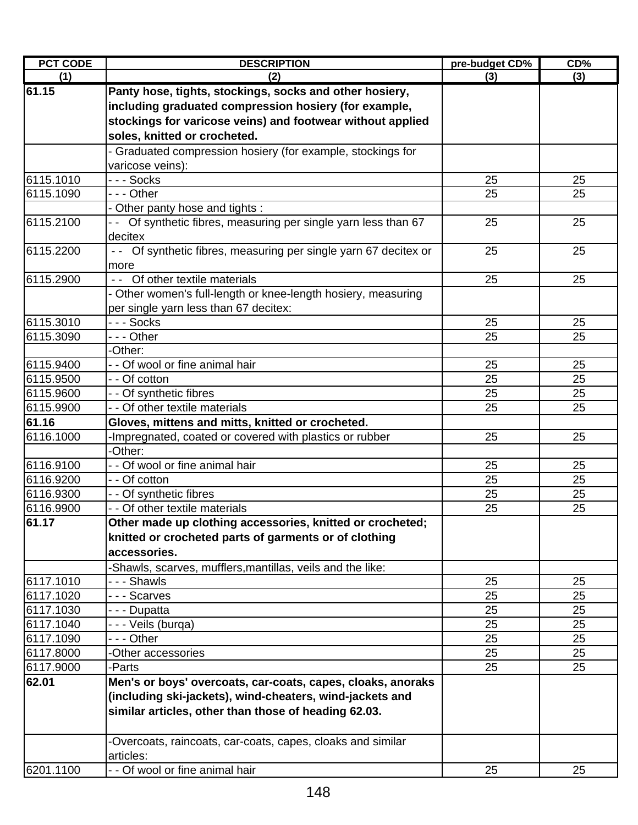| <b>PCT CODE</b>        | <b>DESCRIPTION</b>                                                       | pre-budget CD% | CD%      |
|------------------------|--------------------------------------------------------------------------|----------------|----------|
| (1)                    | (2)                                                                      | (3)            | (3)      |
| 61.15                  | Panty hose, tights, stockings, socks and other hosiery,                  |                |          |
|                        | including graduated compression hosiery (for example,                    |                |          |
|                        | stockings for varicose veins) and footwear without applied               |                |          |
|                        | soles, knitted or crocheted.                                             |                |          |
|                        | - Graduated compression hosiery (for example, stockings for              |                |          |
|                        | varicose veins):                                                         |                |          |
| 6115.1010              | - - - Socks                                                              | 25             | 25       |
| 6115.1090              | --- Other                                                                | 25             | 25       |
|                        | - Other panty hose and tights :                                          |                |          |
| 6115.2100              | - - Of synthetic fibres, measuring per single yarn less than 67          | 25             | 25       |
|                        | decitex                                                                  |                |          |
| 6115.2200              | -- Of synthetic fibres, measuring per single yarn 67 decitex or          | 25             | 25       |
|                        | more                                                                     |                |          |
| 6115.2900              | - - Of other textile materials                                           | 25             | 25       |
|                        | - Other women's full-length or knee-length hosiery, measuring            |                |          |
|                        | per single yarn less than 67 decitex:                                    |                |          |
| 6115.3010              | --- Socks                                                                | 25             | 25       |
| 6115.3090              | --- Other                                                                | 25             | 25       |
|                        | -Other:                                                                  |                |          |
| 6115.9400              | - - Of wool or fine animal hair                                          | 25             | 25       |
| 6115.9500              | - - Of cotton                                                            | 25             | 25       |
| 6115.9600              | - - Of synthetic fibres                                                  | 25             | 25       |
| 6115.9900              | - - Of other textile materials                                           | 25             | 25       |
| 61.16                  | Gloves, mittens and mitts, knitted or crocheted.                         |                |          |
| 6116.1000              | -Impregnated, coated or covered with plastics or rubber                  | 25             | 25       |
|                        | -Other:                                                                  |                |          |
| 6116.9100              | - - Of wool or fine animal hair                                          | 25             | 25       |
| 6116.9200              | - - Of cotton                                                            | 25             | 25       |
| 6116.9300<br>6116.9900 | - - Of synthetic fibres<br>- - Of other textile materials                | 25<br>25       | 25<br>25 |
| 61.17                  |                                                                          |                |          |
|                        | Other made up clothing accessories, knitted or crocheted;                |                |          |
|                        | knitted or crocheted parts of garments or of clothing                    |                |          |
|                        | accessories.                                                             |                |          |
|                        | -Shawls, scarves, mufflers, mantillas, veils and the like:               |                |          |
| 6117.1010<br>6117.1020 | --- Shawls<br>--- Scarves                                                | 25<br>25       | 25<br>25 |
|                        |                                                                          | 25             | 25       |
| 6117.1030              | - - - Dupatta                                                            |                |          |
| 6117.1040<br>6117.1090 | - - - Veils (burga)<br>- - - Other                                       | 25<br>25       | 25<br>25 |
| 6117.8000              | -Other accessories                                                       | 25             | 25       |
| 6117.9000              | -Parts                                                                   | 25             | 25       |
| 62.01                  | Men's or boys' overcoats, car-coats, capes, cloaks, anoraks              |                |          |
|                        |                                                                          |                |          |
|                        | (including ski-jackets), wind-cheaters, wind-jackets and                 |                |          |
|                        | similar articles, other than those of heading 62.03.                     |                |          |
|                        |                                                                          |                |          |
|                        | -Overcoats, raincoats, car-coats, capes, cloaks and similar<br>articles: |                |          |
| 6201.1100              | - - Of wool or fine animal hair                                          | 25             | 25       |
|                        |                                                                          |                |          |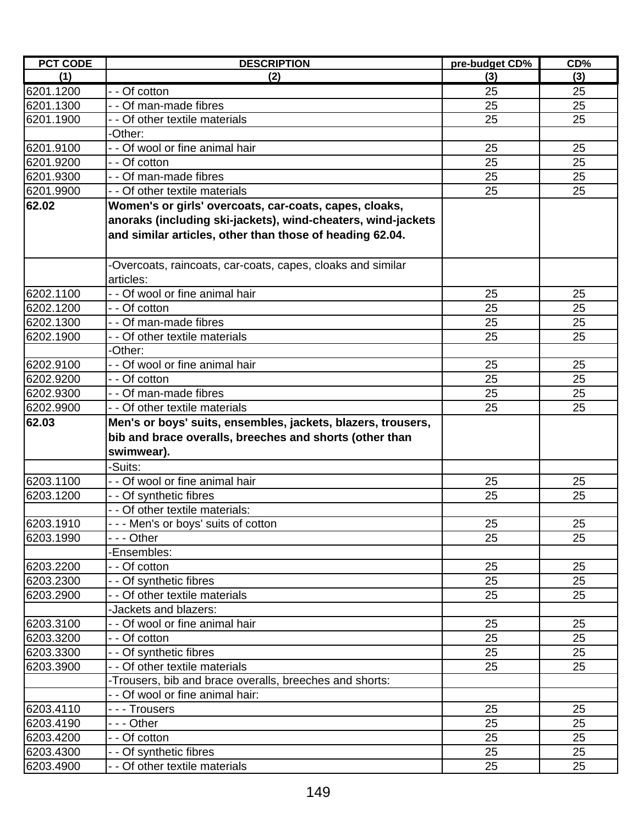| <b>PCT CODE</b> | <b>DESCRIPTION</b>                                                                                                      | pre-budget CD% | CD% |
|-----------------|-------------------------------------------------------------------------------------------------------------------------|----------------|-----|
| (1)             | (2)                                                                                                                     | (3)            | (3) |
| 6201.1200       | - - Of cotton                                                                                                           | 25             | 25  |
| 6201.1300       | - - Of man-made fibres                                                                                                  | 25             | 25  |
| 6201.1900       | - Of other textile materials                                                                                            | 25             | 25  |
|                 | -Other:                                                                                                                 |                |     |
| 6201.9100       | - - Of wool or fine animal hair                                                                                         | 25             | 25  |
| 6201.9200       | - - Of cotton                                                                                                           | 25             | 25  |
| 6201.9300       | - - Of man-made fibres                                                                                                  | 25             | 25  |
| 6201.9900       | Of other textile materials                                                                                              | 25             | 25  |
| 62.02           | Women's or girls' overcoats, car-coats, capes, cloaks,                                                                  |                |     |
|                 | anoraks (including ski-jackets), wind-cheaters, wind-jackets                                                            |                |     |
|                 | and similar articles, other than those of heading 62.04.                                                                |                |     |
|                 | -Overcoats, raincoats, car-coats, capes, cloaks and similar                                                             |                |     |
|                 | articles:                                                                                                               |                |     |
| 6202.1100       | - - Of wool or fine animal hair                                                                                         | 25             | 25  |
| 6202.1200       | - - Of cotton                                                                                                           | 25             | 25  |
| 6202.1300       | Of man-made fibres                                                                                                      | 25             | 25  |
| 6202.1900       | - - Of other textile materials                                                                                          | 25             | 25  |
|                 | Other:                                                                                                                  |                |     |
| 6202.9100       | - - Of wool or fine animal hair                                                                                         | 25             | 25  |
| 6202.9200       | - - Of cotton                                                                                                           | 25             | 25  |
| 6202.9300       | - - Of man-made fibres                                                                                                  | 25             | 25  |
| 6202.9900       | - - Of other textile materials                                                                                          | 25             | 25  |
| 62.03           | Men's or boys' suits, ensembles, jackets, blazers, trousers,<br>bib and brace overalls, breeches and shorts (other than |                |     |
|                 | swimwear).                                                                                                              |                |     |
|                 | -Suits:                                                                                                                 |                |     |
| 6203.1100       | - - Of wool or fine animal hair                                                                                         | 25             | 25  |
| 6203.1200       | - - Of synthetic fibres                                                                                                 | 25             | 25  |
|                 | Of other textile materials:                                                                                             |                |     |
| 6203.1910       | - - - Men's or boys' suits of cotton                                                                                    | 25             | 25  |
| 6203.1990       | - - - Other                                                                                                             | 25             | 25  |
|                 | -Ensembles:                                                                                                             |                |     |
| 6203.2200       | - - Of cotton                                                                                                           | 25             | 25  |
| 6203.2300       | - Of synthetic fibres                                                                                                   | 25             | 25  |
| 6203.2900       | - - Of other textile materials                                                                                          | 25             | 25  |
|                 | -Jackets and blazers:                                                                                                   |                |     |
| 6203.3100       | - - Of wool or fine animal hair                                                                                         | 25             | 25  |
| 6203.3200       | - Of cotton                                                                                                             | 25             | 25  |
| 6203.3300       | - - Of synthetic fibres                                                                                                 | 25             | 25  |
| 6203.3900       | Of other textile materials                                                                                              | 25             | 25  |
|                 | -Trousers, bib and brace overalls, breeches and shorts:                                                                 |                |     |
|                 | - Of wool or fine animal hair:                                                                                          |                |     |
| 6203.4110       | - - - Trousers                                                                                                          | 25             | 25  |
| 6203.4190       | - - - Other                                                                                                             | 25             | 25  |
| 6203.4200       | - - Of cotton                                                                                                           | 25             | 25  |
| 6203.4300       | - - Of synthetic fibres                                                                                                 | 25             | 25  |
| 6203.4900       | - - Of other textile materials                                                                                          | 25             | 25  |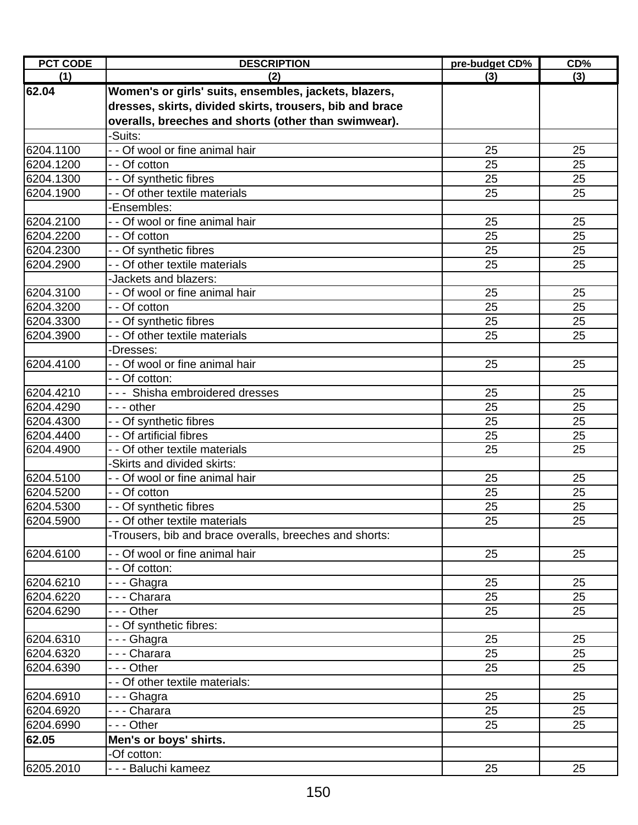| <b>PCT CODE</b>        | <b>DESCRIPTION</b>                                            | pre-budget CD% | CD%      |
|------------------------|---------------------------------------------------------------|----------------|----------|
| (1)                    | (2)                                                           | (3)            | (3)      |
| 62.04                  | Women's or girls' suits, ensembles, jackets, blazers,         |                |          |
|                        | dresses, skirts, divided skirts, trousers, bib and brace      |                |          |
|                        | overalls, breeches and shorts (other than swimwear).          |                |          |
|                        | -Suits:                                                       |                |          |
| 6204.1100              | - - Of wool or fine animal hair                               | 25             | 25       |
| 6204.1200              | - - Of cotton                                                 | 25             | 25       |
| 6204.1300              | - - Of synthetic fibres                                       | 25             | 25       |
| 6204.1900              | - - Of other textile materials                                | 25             | 25       |
|                        | -Ensembles:                                                   |                |          |
| 6204.2100              | - - Of wool or fine animal hair                               | 25             | 25       |
| 6204.2200              | - - Of cotton                                                 | 25             | 25       |
| 6204.2300              | - - Of synthetic fibres                                       | 25             | 25       |
| 6204.2900              | - - Of other textile materials                                | 25             | 25       |
|                        | -Jackets and blazers:                                         |                |          |
| 6204.3100              | - - Of wool or fine animal hair                               | 25             | 25       |
| 6204.3200              | - - Of cotton                                                 | 25             | 25       |
| 6204.3300              | - - Of synthetic fibres                                       | 25             | 25       |
| 6204.3900              | - - Of other textile materials                                | 25             | 25       |
|                        | -Dresses:                                                     |                |          |
| 6204.4100              | - - Of wool or fine animal hair                               | 25             | 25       |
|                        | - - Of cotton:                                                |                |          |
| 6204.4210              | --- Shisha embroidered dresses                                | 25             | 25       |
| 6204.4290              | - - - other                                                   | 25             | 25       |
| 6204.4300              | - - Of synthetic fibres                                       | 25             | 25       |
| 6204.4400              | - - Of artificial fibres                                      | 25             | 25       |
| 6204.4900              | - - Of other textile materials<br>-Skirts and divided skirts: | 25             | 25       |
| 6204.5100              | - - Of wool or fine animal hair                               | 25             | 25       |
| 6204.5200              | - - Of cotton                                                 | 25             | 25       |
| 6204.5300              | - - Of synthetic fibres                                       | 25             | 25       |
| 6204.5900              | Of other textile materials                                    | 25             | 25       |
|                        | -Trousers, bib and brace overalls, breeches and shorts:       |                |          |
|                        |                                                               |                |          |
| 6204.6100              | - - Of wool or fine animal hair                               | 25             | 25       |
|                        | - - Of cotton:                                                |                |          |
| 6204.6210<br>6204.6220 | --- Ghagra                                                    | 25<br>25       | 25<br>25 |
| 6204.6290              | - - - Charara<br>--- Other                                    | 25             | 25       |
|                        |                                                               |                |          |
| 6204.6310              | - - Of synthetic fibres:<br>- - - Ghagra                      | 25             | 25       |
| 6204.6320              | - - - Charara                                                 | 25             | 25       |
| 6204.6390              | - - - Other                                                   | 25             | 25       |
|                        | - - Of other textile materials:                               |                |          |
| 6204.6910              | - - - Ghagra                                                  | 25             | 25       |
| 6204.6920              | - - - Charara                                                 | 25             | 25       |
| 6204.6990              | --- Other                                                     | 25             | 25       |
| 62.05                  | Men's or boys' shirts.                                        |                |          |
|                        | -Of cotton:                                                   |                |          |
| 6205.2010              | - - - Baluchi kameez                                          | 25             | 25       |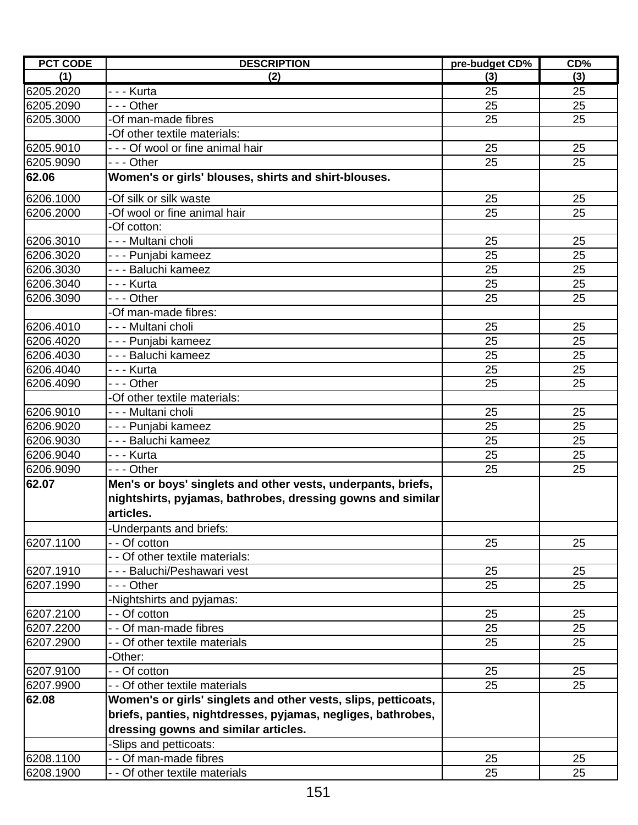| <b>PCT CODE</b> | <b>DESCRIPTION</b>                                                       | pre-budget CD% | CD% |
|-----------------|--------------------------------------------------------------------------|----------------|-----|
| (1)             | (2)                                                                      | (3)            | (3) |
| 6205.2020       | -  -  -  Kurta                                                           | 25             | 25  |
| 6205.2090       | - - - Other                                                              | 25             | 25  |
| 6205.3000       | -Of man-made fibres                                                      | 25             | 25  |
|                 | -Of other textile materials:                                             |                |     |
| 6205.9010       | --- Of wool or fine animal hair                                          | 25             | 25  |
| 6205.9090       | --- Other                                                                | 25             | 25  |
| 62.06           | Women's or girls' blouses, shirts and shirt-blouses.                     |                |     |
| 6206.1000       | -Of silk or silk waste                                                   | 25             | 25  |
| 6206.2000       | -Of wool or fine animal hair                                             | 25             | 25  |
|                 | -Of cotton:                                                              |                |     |
| 6206.3010       | - - - Multani choli                                                      | 25             | 25  |
| 6206.3020       | - - - Punjabi kameez                                                     | 25             | 25  |
| 6206.3030       | - - - Baluchi kameez                                                     | 25             | 25  |
| 6206.3040       | -  -  -  Kurta                                                           | 25             | 25  |
| 6206.3090       | --- Other                                                                | 25             | 25  |
|                 | -Of man-made fibres:                                                     |                |     |
| 6206.4010       | - - - Multani choli                                                      | 25             | 25  |
| 6206.4020       | - - - Punjabi kameez                                                     | 25             | 25  |
| 6206.4030       | - - - Baluchi kameez                                                     | 25             | 25  |
| 6206.4040       | -  -  -  Kurta                                                           | 25             | 25  |
| 6206.4090       | - - - Other                                                              | 25             | 25  |
|                 | -Of other textile materials:                                             |                |     |
| 6206.9010       | - - - Multani choli                                                      | 25             | 25  |
| 6206.9020       | - - - Punjabi kameez                                                     | 25             | 25  |
| 6206.9030       | - - - Baluchi kameez                                                     | 25             | 25  |
| 6206.9040       | - - - Kurta                                                              | 25             | 25  |
| 6206.9090       | --- Other                                                                | 25             | 25  |
| 62.07           | Men's or boys' singlets and other vests, underpants, briefs,             |                |     |
|                 | nightshirts, pyjamas, bathrobes, dressing gowns and similar<br>articles. |                |     |
|                 | -Underpants and briefs:                                                  |                |     |
| 6207.1100       | - Of cotton                                                              | 25             | 25  |
|                 | - Of other textile materials:                                            |                |     |
| 6207.1910       | - - - Baluchi/Peshawari vest                                             | 25             | 25  |
| 6207.1990       | - - - Other                                                              | 25             | 25  |
|                 | -Nightshirts and pyjamas:                                                |                |     |
| 6207.2100       | - - Of cotton                                                            | 25             | 25  |
| 6207.2200       | - - Of man-made fibres                                                   | 25             | 25  |
| 6207.2900       | - - Of other textile materials                                           | 25             | 25  |
|                 | -Other:                                                                  |                |     |
| 6207.9100       | - - Of cotton                                                            | 25             | 25  |
| 6207.9900       | - - Of other textile materials                                           | 25             | 25  |
| 62.08           | Women's or girls' singlets and other vests, slips, petticoats,           |                |     |
|                 | briefs, panties, nightdresses, pyjamas, negliges, bathrobes,             |                |     |
|                 | dressing gowns and similar articles.                                     |                |     |
|                 | -Slips and petticoats:                                                   |                |     |
| 6208.1100       | - - Of man-made fibres                                                   | 25             | 25  |
| 6208.1900       | - Of other textile materials                                             | 25             | 25  |
|                 |                                                                          |                |     |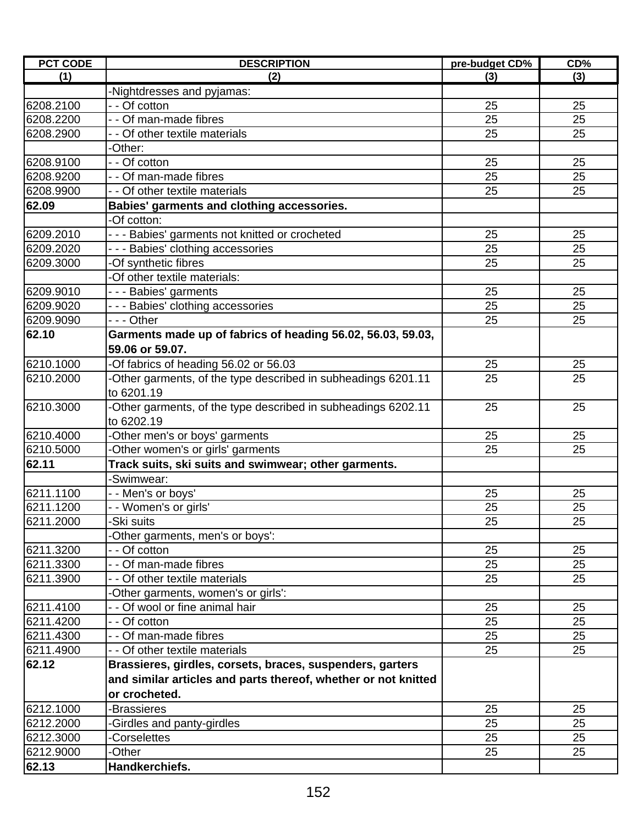| <b>PCT CODE</b> | <b>DESCRIPTION</b>                                             | pre-budget CD% | CD% |
|-----------------|----------------------------------------------------------------|----------------|-----|
| (1)             | (2)                                                            | (3)            | (3) |
|                 | -Nightdresses and pyjamas:                                     |                |     |
| 6208.2100       | - - Of cotton                                                  | 25             | 25  |
| 6208.2200       | - - Of man-made fibres                                         | 25             | 25  |
| 6208.2900       | - - Of other textile materials                                 | 25             | 25  |
|                 | -Other:                                                        |                |     |
| 6208.9100       | - - Of cotton                                                  | 25             | 25  |
| 6208.9200       | - - Of man-made fibres                                         | 25             | 25  |
| 6208.9900       | - - Of other textile materials                                 | 25             | 25  |
| 62.09           | Babies' garments and clothing accessories.                     |                |     |
|                 | -Of cotton:                                                    |                |     |
| 6209.2010       | --- Babies' garments not knitted or crocheted                  | 25             | 25  |
| 6209.2020       | --- Babies' clothing accessories                               | 25             | 25  |
| 6209.3000       | -Of synthetic fibres                                           | 25             | 25  |
|                 | -Of other textile materials:                                   |                |     |
| 6209.9010       | --- Babies' garments                                           | 25             | 25  |
| 6209.9020       | --- Babies' clothing accessories                               | 25             | 25  |
| 6209.9090       | - - - Other                                                    | 25             | 25  |
| 62.10           | Garments made up of fabrics of heading 56.02, 56.03, 59.03,    |                |     |
|                 | 59.06 or 59.07.                                                |                |     |
| 6210.1000       | -Of fabrics of heading 56.02 or 56.03                          | 25             | 25  |
| 6210.2000       | Other garments, of the type described in subheadings 6201.11   | 25             | 25  |
|                 | to 6201.19                                                     |                |     |
| 6210.3000       | Other garments, of the type described in subheadings 6202.11   | 25             | 25  |
|                 | to 6202.19                                                     |                |     |
| 6210.4000       | -Other men's or boys' garments                                 | 25             | 25  |
| 6210.5000       | Other women's or girls' garments                               | 25             | 25  |
| 62.11           | Track suits, ski suits and swimwear; other garments.           |                |     |
|                 | -Swimwear:                                                     |                |     |
| 6211.1100       | - - Men's or boys'                                             | 25             | 25  |
| 6211.1200       | - - Women's or girls'                                          | 25             | 25  |
| 6211.2000       | -Ski suits                                                     | 25             | 25  |
|                 | Other garments, men's or boys':                                |                |     |
| 6211.3200       | - - Of cotton                                                  | 25             | 25  |
| 6211.3300       | - - Of man-made fibres                                         | 25             | 25  |
| 6211.3900       | - - Of other textile materials                                 | 25             | 25  |
|                 | Other garments, women's or girls':                             |                |     |
| 6211.4100       | - Of wool or fine animal hair                                  | 25             | 25  |
| 6211.4200       | - - Of cotton                                                  | 25             | 25  |
| 6211.4300       | - - Of man-made fibres                                         | 25             | 25  |
| 6211.4900       | - - Of other textile materials                                 | 25             | 25  |
| 62.12           | Brassieres, girdles, corsets, braces, suspenders, garters      |                |     |
|                 | and similar articles and parts thereof, whether or not knitted |                |     |
|                 | or crocheted.                                                  |                |     |
| 6212.1000       | -Brassieres                                                    | 25             | 25  |
| 6212.2000       | Girdles and panty-girdles                                      | 25             | 25  |
| 6212.3000       | <b>Corselettes</b>                                             | 25             | 25  |
| 6212.9000       | -Other                                                         | 25             | 25  |
| 62.13           | Handkerchiefs.                                                 |                |     |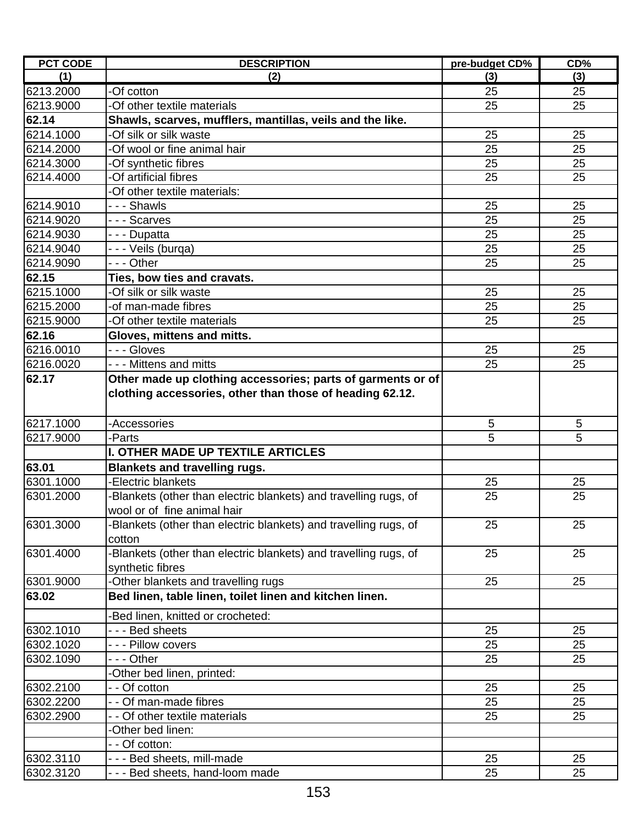| <b>PCT CODE</b> | <b>DESCRIPTION</b>                                                                             | pre-budget CD% | CD% |
|-----------------|------------------------------------------------------------------------------------------------|----------------|-----|
| (1)             | (2)                                                                                            | (3)            | (3) |
| 6213.2000       | -Of cotton                                                                                     | 25             | 25  |
| 6213.9000       | -Of other textile materials                                                                    | 25             | 25  |
| 62.14           | Shawls, scarves, mufflers, mantillas, veils and the like.                                      |                |     |
| 6214.1000       | -Of silk or silk waste                                                                         | 25             | 25  |
| 6214.2000       | -Of wool or fine animal hair                                                                   | 25             | 25  |
| 6214.3000       | Of synthetic fibres                                                                            | 25             | 25  |
| 6214.4000       | -Of artificial fibres                                                                          | 25             | 25  |
|                 | -Of other textile materials:                                                                   |                |     |
| 6214.9010       | - - - Shawls                                                                                   | 25             | 25  |
| 6214.9020       | --- Scarves                                                                                    | 25             | 25  |
| 6214.9030       | - - - Dupatta                                                                                  | 25             | 25  |
| 6214.9040       | - - - Veils (burqa)                                                                            | 25             | 25  |
| 6214.9090       | - - - Other                                                                                    | 25             | 25  |
| 62.15           | Ties, bow ties and cravats.                                                                    |                |     |
| 6215.1000       | -Of silk or silk waste                                                                         | 25             | 25  |
| 6215.2000       | -of man-made fibres                                                                            | 25             | 25  |
| 6215.9000       | -Of other textile materials                                                                    | 25             | 25  |
| 62.16           | Gloves, mittens and mitts.                                                                     |                |     |
| 6216.0010       | - - - Gloves                                                                                   | 25             | 25  |
| 6216.0020       | --- Mittens and mitts                                                                          | 25             | 25  |
| 62.17           | Other made up clothing accessories; parts of garments or of                                    |                |     |
|                 | clothing accessories, other than those of heading 62.12.                                       |                |     |
| 6217.1000       |                                                                                                | 5              | 5   |
|                 | -Accessories                                                                                   |                |     |
| 6217.9000       | -Parts<br>I. OTHER MADE UP TEXTILE ARTICLES                                                    | 5              | 5   |
|                 |                                                                                                |                |     |
| 63.01           | <b>Blankets and travelling rugs.</b>                                                           |                |     |
| 6301.1000       | -Electric blankets                                                                             | 25             | 25  |
| 6301.2000       | Blankets (other than electric blankets) and travelling rugs, of<br>wool or of fine animal hair | 25             | 25  |
| 6301.3000       | -Blankets (other than electric blankets) and travelling rugs, of                               | 25             | 25  |
| 6301.4000       | cotton<br>-Blankets (other than electric blankets) and travelling rugs, of                     | 25             | 25  |
|                 | synthetic fibres                                                                               |                |     |
| 6301.9000       | Other blankets and travelling rugs                                                             | 25             | 25  |
| 63.02           | Bed linen, table linen, toilet linen and kitchen linen.                                        |                |     |
|                 | -Bed linen, knitted or crocheted:                                                              |                |     |
| 6302.1010       | - - - Bed sheets                                                                               | 25             | 25  |
| 6302.1020       | - - - Pillow covers                                                                            | 25             | 25  |
| 6302.1090       | - - - Other                                                                                    | 25             | 25  |
|                 | Other bed linen, printed:                                                                      |                |     |
| 6302.2100       | - - Of cotton                                                                                  | 25             | 25  |
| 6302.2200       | - - Of man-made fibres                                                                         | 25             | 25  |
| 6302.2900       | Of other textile materials                                                                     | 25             | 25  |
|                 | -Other bed linen:                                                                              |                |     |
|                 | - - Of cotton:                                                                                 |                |     |
| 6302.3110       | - - - Bed sheets, mill-made                                                                    | 25             | 25  |
| 6302.3120       | - - - Bed sheets, hand-loom made                                                               | 25             | 25  |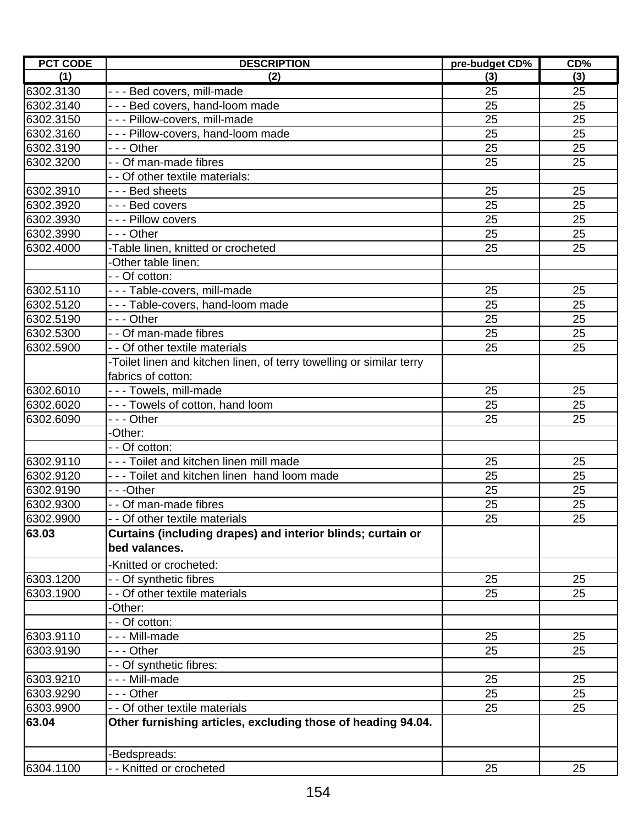| <b>PCT CODE</b> | <b>DESCRIPTION</b>                                                   | pre-budget CD% | CD% |
|-----------------|----------------------------------------------------------------------|----------------|-----|
| (1)             | (2)                                                                  | (3)            | (3) |
| 6302.3130       | --- Bed covers, mill-made                                            | 25             | 25  |
| 6302.3140       | --- Bed covers, hand-loom made                                       | 25             | 25  |
| 6302.3150       | --- Pillow-covers, mill-made                                         | 25             | 25  |
| 6302.3160       | - - - Pillow-covers, hand-loom made                                  | 25             | 25  |
| 6302.3190       | --- Other                                                            | 25             | 25  |
| 6302.3200       | - - Of man-made fibres                                               | 25             | 25  |
|                 | - - Of other textile materials:                                      |                |     |
| 6302.3910       | $\overline{--}$ - Bed sheets                                         | 25             | 25  |
| 6302.3920       | --- Bed covers                                                       | 25             | 25  |
| 6302.3930       | - - - Pillow covers                                                  | 25             | 25  |
| 6302.3990       | --- Other                                                            | 25             | 25  |
| 6302.4000       | -Table linen, knitted or crocheted                                   | 25             | 25  |
|                 | Other table linen:                                                   |                |     |
|                 | - - Of cotton:                                                       |                |     |
| 6302.5110       | - - - Table-covers, mill-made                                        | 25             | 25  |
| 6302.5120       | --- Table-covers, hand-loom made                                     | 25             | 25  |
| 6302.5190       | -  - - Other                                                         | 25             | 25  |
| 6302.5300       | - - Of man-made fibres                                               | 25             | 25  |
| 6302.5900       | - - Of other textile materials                                       | 25             | 25  |
|                 | -Toilet linen and kitchen linen, of terry towelling or similar terry |                |     |
|                 | fabrics of cotton:                                                   |                |     |
| 6302.6010       | --- Towels, mill-made                                                | 25             | 25  |
| 6302.6020       | --- Towels of cotton, hand loom                                      | 25             | 25  |
| 6302.6090       | - - - Other                                                          | 25             | 25  |
|                 | -Other:                                                              |                |     |
|                 | - - Of cotton:                                                       |                |     |
| 6302.9110       | --- Toilet and kitchen linen mill made                               | 25             | 25  |
| 6302.9120       | --- Toilet and kitchen linen hand loom made                          | 25             | 25  |
| 6302.9190       | - - -Other                                                           | 25             | 25  |
| 6302.9300       | - - Of man-made fibres                                               | 25             | 25  |
| 6302.9900       | - - Of other textile materials                                       | 25             | 25  |
| 63.03           | Curtains (including drapes) and interior blinds; curtain or          |                |     |
|                 | bed valances.                                                        |                |     |
|                 | -Knitted or crocheted:                                               |                |     |
| 6303.1200       | - - Of synthetic fibres                                              | 25             | 25  |
| 6303.1900       | - - Of other textile materials                                       | 25             | 25  |
|                 | -Other:                                                              |                |     |
|                 | - - Of cotton:                                                       |                |     |
| 6303.9110       | - - - Mill-made                                                      | 25             | 25  |
| 6303.9190       | - - - Other                                                          | 25             | 25  |
|                 | - Of synthetic fibres:                                               |                |     |
| 6303.9210       | --- Mill-made                                                        | 25             | 25  |
| 6303.9290       | - - - Other                                                          | 25             | 25  |
| 6303.9900       | - - Of other textile materials                                       | 25             | 25  |
| 63.04           | Other furnishing articles, excluding those of heading 94.04.         |                |     |
|                 |                                                                      |                |     |
|                 | Bedspreads:                                                          |                |     |
| 6304.1100       | - Knitted or crocheted                                               | 25             | 25  |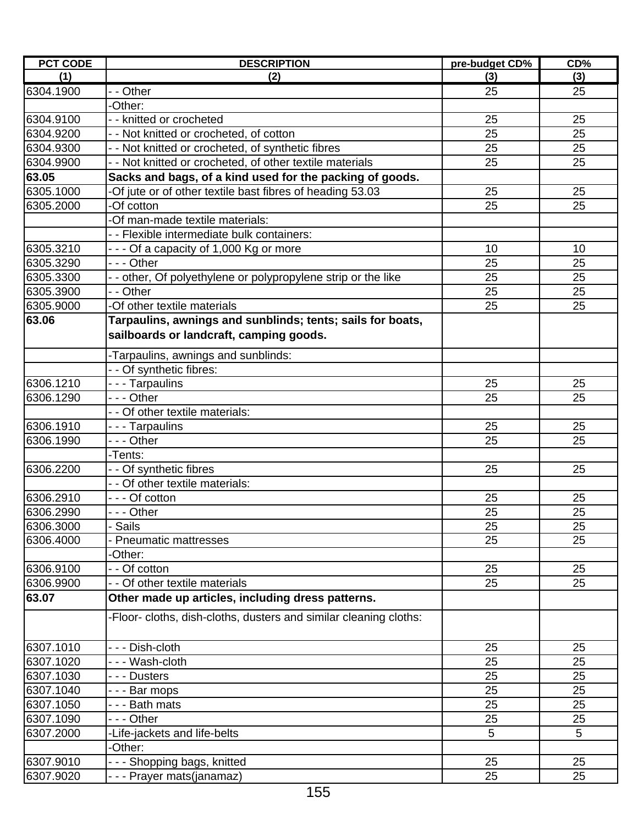| <b>PCT CODE</b> | <b>DESCRIPTION</b>                                                                                    | pre-budget CD%  | CD%             |
|-----------------|-------------------------------------------------------------------------------------------------------|-----------------|-----------------|
| (1)             | (2)                                                                                                   | (3)             | (3)             |
| 6304.1900       | - - Other                                                                                             | 25              | 25              |
|                 | -Other:                                                                                               |                 |                 |
| 6304.9100       | - - knitted or crocheted                                                                              | 25              | 25              |
| 6304.9200       | - - Not knitted or crocheted, of cotton                                                               | 25              | 25              |
| 6304.9300       | - - Not knitted or crocheted, of synthetic fibres                                                     | 25              | 25              |
| 6304.9900       | - - Not knitted or crocheted, of other textile materials                                              | 25              | 25              |
| 63.05           | Sacks and bags, of a kind used for the packing of goods.                                              |                 |                 |
| 6305.1000       | -Of jute or of other textile bast fibres of heading 53.03                                             | 25              | 25              |
| 6305.2000       | -Of cotton                                                                                            | 25              | 25              |
|                 | -Of man-made textile materials:                                                                       |                 |                 |
|                 | - - Flexible intermediate bulk containers:                                                            |                 |                 |
| 6305.3210       | - - - Of a capacity of 1,000 Kg or more                                                               | 10              | 10              |
| 6305.3290       | - - - Other                                                                                           | 25              | 25              |
| 6305.3300       | - - other, Of polyethylene or polypropylene strip or the like                                         | 25              | 25              |
| 6305.3900       | - - Other                                                                                             | 25              | 25              |
| 6305.9000       | -Of other textile materials                                                                           | 25              | 25              |
| 63.06           | Tarpaulins, awnings and sunblinds; tents; sails for boats,<br>sailboards or landcraft, camping goods. |                 |                 |
|                 | -Tarpaulins, awnings and sunblinds:                                                                   |                 |                 |
|                 | - - Of synthetic fibres:                                                                              |                 |                 |
| 6306.1210       | - - - Tarpaulins                                                                                      | 25              | 25              |
| 6306.1290       | - - - Other                                                                                           | 25              | 25              |
|                 | - - Of other textile materials:                                                                       |                 |                 |
| 6306.1910       | --- Tarpaulins                                                                                        | 25              | 25              |
| 6306.1990       | --- Other                                                                                             | 25              | 25              |
|                 | -Tents:                                                                                               |                 |                 |
| 6306.2200       | - - Of synthetic fibres                                                                               | 25              | 25              |
|                 | - - Of other textile materials:                                                                       |                 |                 |
| 6306.2910       | - - - Of cotton                                                                                       | 25              | 25              |
| 6306.2990       | - - - Other                                                                                           | 25              | 25              |
| 6306.3000       | <b>Sails</b>                                                                                          | $\overline{25}$ | $\overline{25}$ |
| 6306.4000       | <b>Pneumatic mattresses</b>                                                                           | 25              | 25              |
|                 | -Other:                                                                                               |                 |                 |
| 6306.9100       | - Of cotton                                                                                           | 25              | 25              |
| 6306.9900       | - - Of other textile materials                                                                        | 25              | 25              |
| 63.07           | Other made up articles, including dress patterns.                                                     |                 |                 |
|                 | -Floor- cloths, dish-cloths, dusters and similar cleaning cloths:                                     |                 |                 |
| 6307.1010       | --- Dish-cloth                                                                                        | 25              | 25              |
| 6307.1020       | --- Wash-cloth                                                                                        | 25              | 25              |
| 6307.1030       | - - - Dusters                                                                                         | 25              | 25              |
| 6307.1040       | --- Bar mops                                                                                          | 25              | 25              |
| 6307.1050       | - - - Bath mats                                                                                       | 25              | 25              |
| 6307.1090       | --- Other                                                                                             | 25              | 25              |
| 6307.2000       | -Life-jackets and life-belts                                                                          | 5               | 5               |
|                 | -Other:                                                                                               |                 |                 |
| 6307.9010       | --- Shopping bags, knitted                                                                            | 25              | 25              |
| 6307.9020       | - - - Prayer mats(janamaz)                                                                            | 25              | 25              |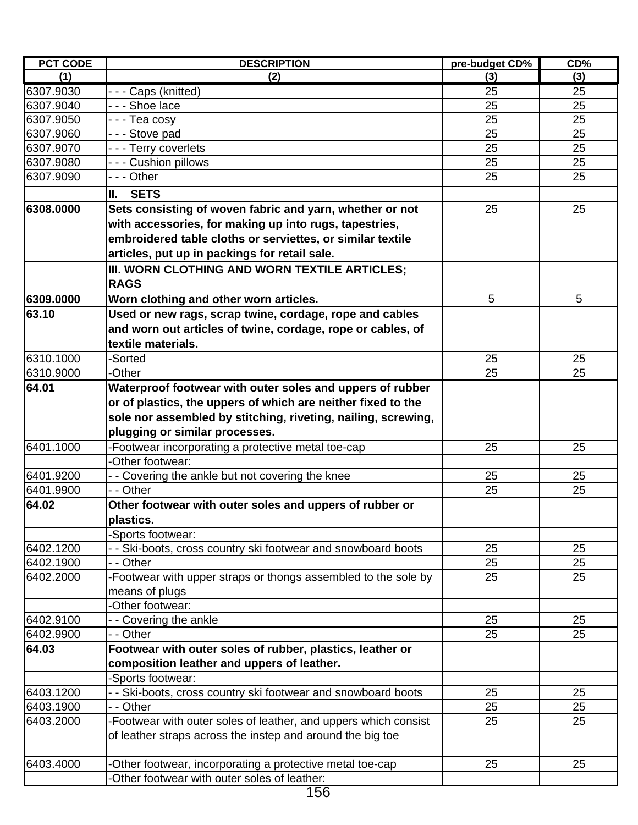| <b>PCT CODE</b> | <b>DESCRIPTION</b>                                              | pre-budget CD% | CD% |
|-----------------|-----------------------------------------------------------------|----------------|-----|
| (1)             | (2)                                                             | (3)            | (3) |
| 6307.9030       | - - - Caps (knitted)                                            | 25             | 25  |
| 6307.9040       | - - - Shoe lace                                                 | 25             | 25  |
| 6307.9050       | - - - Tea cosy                                                  | 25             | 25  |
| 6307.9060       | --- Stove pad                                                   | 25             | 25  |
| 6307.9070       | - - - Terry coverlets                                           | 25             | 25  |
| 6307.9080       | - - - Cushion pillows                                           | 25             | 25  |
| 6307.9090       | - - - Other                                                     | 25             | 25  |
|                 | Ш.<br><b>SETS</b>                                               |                |     |
| 6308.0000       | Sets consisting of woven fabric and yarn, whether or not        | 25             | 25  |
|                 | with accessories, for making up into rugs, tapestries,          |                |     |
|                 | embroidered table cloths or serviettes, or similar textile      |                |     |
|                 | articles, put up in packings for retail sale.                   |                |     |
|                 | III. WORN CLOTHING AND WORN TEXTILE ARTICLES;                   |                |     |
|                 | <b>RAGS</b>                                                     |                |     |
| 6309.0000       | Worn clothing and other worn articles.                          | 5              | 5   |
| 63.10           | Used or new rags, scrap twine, cordage, rope and cables         |                |     |
|                 | and worn out articles of twine, cordage, rope or cables, of     |                |     |
|                 | textile materials.                                              |                |     |
| 6310.1000       | -Sorted                                                         | 25             | 25  |
| 6310.9000       | -Other                                                          | 25             | 25  |
| 64.01           | Waterproof footwear with outer soles and uppers of rubber       |                |     |
|                 | or of plastics, the uppers of which are neither fixed to the    |                |     |
|                 | sole nor assembled by stitching, riveting, nailing, screwing,   |                |     |
|                 | plugging or similar processes.                                  |                |     |
| 6401.1000       | -Footwear incorporating a protective metal toe-cap              | 25             | 25  |
|                 | -Other footwear:                                                |                |     |
| 6401.9200       | - - Covering the ankle but not covering the knee                | 25             | 25  |
| 6401.9900       | - - Other                                                       | 25             | 25  |
| 64.02           | Other footwear with outer soles and uppers of rubber or         |                |     |
|                 | plastics.                                                       |                |     |
|                 | Sports footwear:                                                |                |     |
| 6402.1200       | - - Ski-boots, cross country ski footwear and snowboard boots   | 25             | 25  |
| 6402.1900       | - - Other                                                       | 25             | 25  |
| 6402.2000       | -Footwear with upper straps or thongs assembled to the sole by  | 25             | 25  |
|                 | means of plugs                                                  |                |     |
|                 | -Other footwear:                                                |                |     |
| 6402.9100       | - - Covering the ankle                                          | 25             | 25  |
| 6402.9900       | - Other                                                         | 25             | 25  |
| 64.03           | Footwear with outer soles of rubber, plastics, leather or       |                |     |
|                 | composition leather and uppers of leather.                      |                |     |
|                 | -Sports footwear:                                               |                |     |
| 6403.1200       | - - Ski-boots, cross country ski footwear and snowboard boots   | 25             | 25  |
| 6403.1900       | - - Other                                                       | 25             | 25  |
| 6403.2000       | -Footwear with outer soles of leather, and uppers which consist | 25             | 25  |
|                 | of leather straps across the instep and around the big toe      |                |     |
|                 |                                                                 |                |     |
| 6403.4000       | Other footwear, incorporating a protective metal toe-cap        | 25             | 25  |
|                 | Other footwear with outer soles of leather:                     |                |     |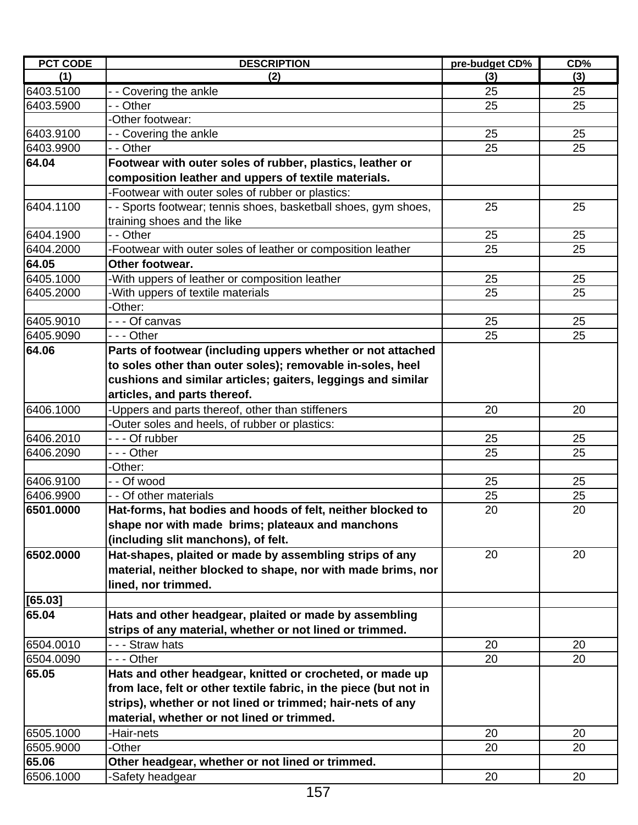| <b>PCT CODE</b> | <b>DESCRIPTION</b>                                                | pre-budget CD% | CD% |
|-----------------|-------------------------------------------------------------------|----------------|-----|
| (1)             | (2)                                                               | (3)            | (3) |
| 6403.5100       | - - Covering the ankle                                            | 25             | 25  |
| 6403.5900       | - - Other                                                         | 25             | 25  |
|                 | -Other footwear:                                                  |                |     |
| 6403.9100       | - Covering the ankle                                              | 25             | 25  |
| 6403.9900       | - - Other                                                         | 25             | 25  |
| 64.04           | Footwear with outer soles of rubber, plastics, leather or         |                |     |
|                 | composition leather and uppers of textile materials.              |                |     |
|                 | -Footwear with outer soles of rubber or plastics:                 |                |     |
| 6404.1100       | - - Sports footwear; tennis shoes, basketball shoes, gym shoes,   | 25             | 25  |
|                 | training shoes and the like                                       |                |     |
| 6404.1900       | - - Other                                                         | 25             | 25  |
| 6404.2000       | -Footwear with outer soles of leather or composition leather      | 25             | 25  |
| 64.05           | Other footwear.                                                   |                |     |
| 6405.1000       | -With uppers of leather or composition leather                    | 25             | 25  |
| 6405.2000       | With uppers of textile materials                                  | 25             | 25  |
|                 | -Other:                                                           |                |     |
| 6405.9010       | --- Of canvas                                                     | 25             | 25  |
| 6405.9090       | - - - Other                                                       | 25             | 25  |
| 64.06           | Parts of footwear (including uppers whether or not attached       |                |     |
|                 | to soles other than outer soles); removable in-soles, heel        |                |     |
|                 | cushions and similar articles; gaiters, leggings and similar      |                |     |
|                 | articles, and parts thereof.                                      |                |     |
| 6406.1000       | -Uppers and parts thereof, other than stiffeners                  | 20             | 20  |
|                 | Outer soles and heels, of rubber or plastics:                     |                |     |
| 6406.2010       | --- Of rubber                                                     | 25             | 25  |
| 6406.2090       | --- Other                                                         | 25             | 25  |
|                 | -Other:                                                           |                |     |
| 6406.9100       | - - Of wood                                                       | 25             | 25  |
| 6406.9900       | - - Of other materials                                            | 25             | 25  |
| 6501.0000       | Hat-forms, hat bodies and hoods of felt, neither blocked to       | 20             | 20  |
|                 | shape nor with made brims; plateaux and manchons                  |                |     |
|                 | (including slit manchons), of felt.                               |                |     |
| 6502.0000       | Hat-shapes, plaited or made by assembling strips of any           | 20             | 20  |
|                 | material, neither blocked to shape, nor with made brims, nor      |                |     |
|                 | lined, nor trimmed.                                               |                |     |
| [65.03]         |                                                                   |                |     |
| 65.04           | Hats and other headgear, plaited or made by assembling            |                |     |
|                 | strips of any material, whether or not lined or trimmed.          |                |     |
| 6504.0010       | - - - Straw hats                                                  | 20             | 20  |
| 6504.0090       | --- Other                                                         | 20             | 20  |
| 65.05           | Hats and other headgear, knitted or crocheted, or made up         |                |     |
|                 | from lace, felt or other textile fabric, in the piece (but not in |                |     |
|                 | strips), whether or not lined or trimmed; hair-nets of any        |                |     |
|                 | material, whether or not lined or trimmed.                        |                |     |
| 6505.1000       | -Hair-nets                                                        | 20             | 20  |
| 6505.9000       | -Other                                                            | 20             | 20  |
| 65.06           | Other headgear, whether or not lined or trimmed.                  |                |     |
| 6506.1000       | -Safety headgear                                                  | 20             | 20  |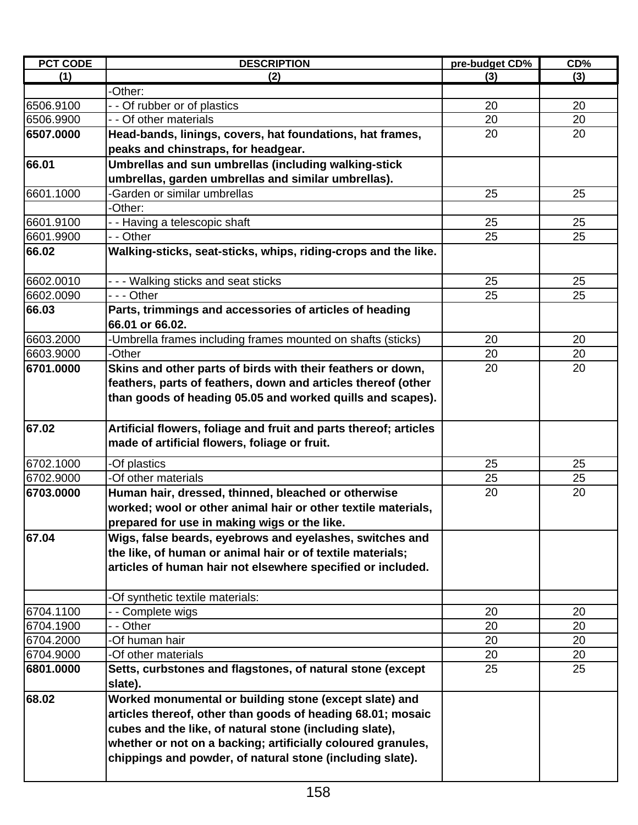| <b>PCT CODE</b> | <b>DESCRIPTION</b>                                                         | pre-budget CD% | CD% |
|-----------------|----------------------------------------------------------------------------|----------------|-----|
| (1)             | (2)                                                                        | (3)            | (3) |
|                 | -Other:                                                                    |                |     |
| 6506.9100       | -- Of rubber or of plastics                                                | 20             | 20  |
| 6506.9900       | - - Of other materials                                                     | 20             | 20  |
| 6507.0000       | Head-bands, linings, covers, hat foundations, hat frames,                  | 20             | 20  |
|                 | peaks and chinstraps, for headgear.                                        |                |     |
| 66.01           | Umbrellas and sun umbrellas (including walking-stick                       |                |     |
|                 | umbrellas, garden umbrellas and similar umbrellas).                        |                |     |
| 6601.1000       | <b>Garden or similar umbrellas</b>                                         | 25             | 25  |
|                 | -Other:                                                                    |                |     |
| 6601.9100       | - - Having a telescopic shaft                                              | 25             | 25  |
| 6601.9900       | - - Other                                                                  | 25             | 25  |
| 66.02           | Walking-sticks, seat-sticks, whips, riding-crops and the like.             |                |     |
| 6602.0010       | --- Walking sticks and seat sticks                                         | 25             | 25  |
| 6602.0090       | $- -$ Other                                                                | 25             | 25  |
| 66.03           | Parts, trimmings and accessories of articles of heading<br>66.01 or 66.02. |                |     |
| 6603.2000       | -Umbrella frames including frames mounted on shafts (sticks)               | 20             | 20  |
| 6603.9000       | -Other                                                                     | 20             | 20  |
| 6701.0000       | Skins and other parts of birds with their feathers or down,                | 20             | 20  |
|                 | feathers, parts of feathers, down and articles thereof (other              |                |     |
|                 | than goods of heading 05.05 and worked quills and scapes).                 |                |     |
|                 |                                                                            |                |     |
| 67.02           | Artificial flowers, foliage and fruit and parts thereof; articles          |                |     |
|                 | made of artificial flowers, foliage or fruit.                              |                |     |
| 6702.1000       | -Of plastics                                                               | 25             | 25  |
| 6702.9000       | -Of other materials                                                        | 25             | 25  |
| 6703.0000       | Human hair, dressed, thinned, bleached or otherwise                        | 20             | 20  |
|                 | worked; wool or other animal hair or other textile materials,              |                |     |
|                 | prepared for use in making wigs or the like.                               |                |     |
| 67.04           | Wigs, false beards, eyebrows and eyelashes, switches and                   |                |     |
|                 | the like, of human or animal hair or of textile materials;                 |                |     |
|                 | articles of human hair not elsewhere specified or included.                |                |     |
|                 | -Of synthetic textile materials:                                           |                |     |
| 6704.1100       | - - Complete wigs                                                          | 20             | 20  |
| 6704.1900       | - - Other                                                                  | 20             | 20  |
| 6704.2000       | -Of human hair                                                             | 20             | 20  |
| 6704.9000       | -Of other materials                                                        | 20             | 20  |
| 6801.0000       | Setts, curbstones and flagstones, of natural stone (except                 | 25             | 25  |
|                 | slate).                                                                    |                |     |
| 68.02           | Worked monumental or building stone (except slate) and                     |                |     |
|                 | articles thereof, other than goods of heading 68.01; mosaic                |                |     |
|                 | cubes and the like, of natural stone (including slate),                    |                |     |
|                 | whether or not on a backing; artificially coloured granules,               |                |     |
|                 | chippings and powder, of natural stone (including slate).                  |                |     |
|                 |                                                                            |                |     |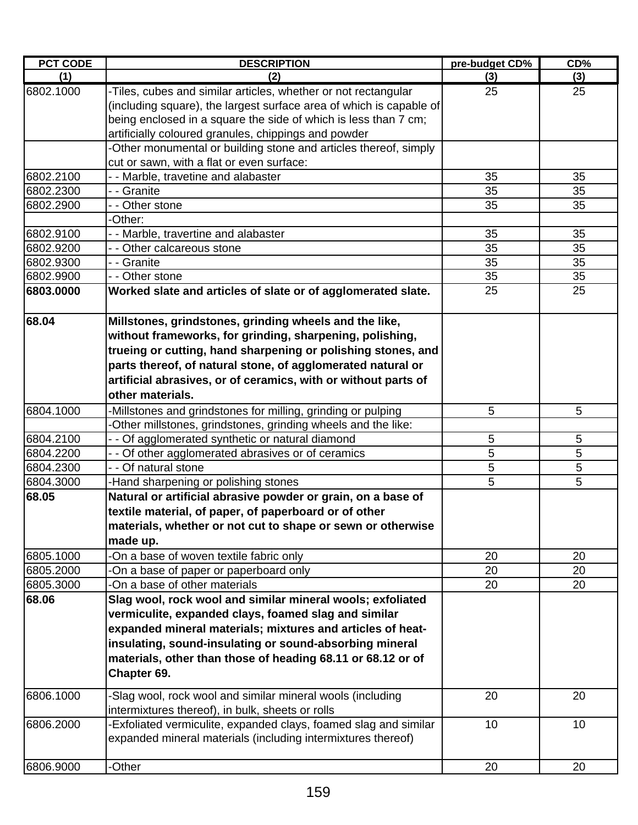| <b>PCT CODE</b> | <b>DESCRIPTION</b>                                                                                                                    | pre-budget CD% | CD% |
|-----------------|---------------------------------------------------------------------------------------------------------------------------------------|----------------|-----|
| (1)             | (2)                                                                                                                                   | (3)            | (3) |
| 6802.1000       | -Tiles, cubes and similar articles, whether or not rectangular<br>(including square), the largest surface area of which is capable of | 25             | 25  |
|                 | being enclosed in a square the side of which is less than 7 cm;                                                                       |                |     |
|                 | artificially coloured granules, chippings and powder                                                                                  |                |     |
|                 | -Other monumental or building stone and articles thereof, simply                                                                      |                |     |
|                 | cut or sawn, with a flat or even surface:                                                                                             |                |     |
| 6802.2100       | - - Marble, travetine and alabaster                                                                                                   | 35             | 35  |
| 6802.2300       | - - Granite                                                                                                                           | 35             | 35  |
| 6802.2900       | - - Other stone                                                                                                                       | 35             | 35  |
|                 | -Other:                                                                                                                               |                |     |
| 6802.9100       | - - Marble, travertine and alabaster                                                                                                  | 35             | 35  |
| 6802.9200       | - - Other calcareous stone                                                                                                            | 35             | 35  |
| 6802.9300       | - - Granite                                                                                                                           | 35             | 35  |
| 6802.9900       | - - Other stone                                                                                                                       | 35             | 35  |
| 6803.0000       | Worked slate and articles of slate or of agglomerated slate.                                                                          | 25             | 25  |
| 68.04           | Millstones, grindstones, grinding wheels and the like,                                                                                |                |     |
|                 | without frameworks, for grinding, sharpening, polishing,                                                                              |                |     |
|                 | trueing or cutting, hand sharpening or polishing stones, and                                                                          |                |     |
|                 | parts thereof, of natural stone, of agglomerated natural or                                                                           |                |     |
|                 | artificial abrasives, or of ceramics, with or without parts of                                                                        |                |     |
|                 | other materials.                                                                                                                      |                |     |
| 6804.1000       | -Millstones and grindstones for milling, grinding or pulping                                                                          | 5              | 5   |
|                 | -Other millstones, grindstones, grinding wheels and the like:                                                                         |                |     |
| 6804.2100       | - - Of agglomerated synthetic or natural diamond                                                                                      | 5              | 5   |
| 6804.2200       | - - Of other agglomerated abrasives or of ceramics                                                                                    | 5              | 5   |
| 6804.2300       | - - Of natural stone                                                                                                                  | 5              | 5   |
| 6804.3000       | -Hand sharpening or polishing stones                                                                                                  | 5              | 5   |
| 68.05           | Natural or artificial abrasive powder or grain, on a base of                                                                          |                |     |
|                 | textile material, of paper, of paperboard or of other                                                                                 |                |     |
|                 | materials, whether or not cut to shape or sewn or otherwise                                                                           |                |     |
|                 | made up.                                                                                                                              |                |     |
| 6805.1000       | -On a base of woven textile fabric only                                                                                               | 20             | 20  |
| 6805.2000       | -On a base of paper or paperboard only                                                                                                | 20             | 20  |
| 6805.3000       | -On a base of other materials                                                                                                         | 20             | 20  |
| 68.06           | Slag wool, rock wool and similar mineral wools; exfoliated                                                                            |                |     |
|                 | vermiculite, expanded clays, foamed slag and similar                                                                                  |                |     |
|                 | expanded mineral materials; mixtures and articles of heat-                                                                            |                |     |
|                 | insulating, sound-insulating or sound-absorbing mineral                                                                               |                |     |
|                 | materials, other than those of heading 68.11 or 68.12 or of                                                                           |                |     |
|                 | Chapter 69.                                                                                                                           |                |     |
| 6806.1000       | -Slag wool, rock wool and similar mineral wools (including                                                                            | 20             | 20  |
|                 | intermixtures thereof), in bulk, sheets or rolls                                                                                      |                |     |
| 6806.2000       | -Exfoliated vermiculite, expanded clays, foamed slag and similar                                                                      | 10             | 10  |
|                 | expanded mineral materials (including intermixtures thereof)                                                                          |                |     |
|                 |                                                                                                                                       |                |     |
| 6806.9000       | -Other                                                                                                                                | 20             | 20  |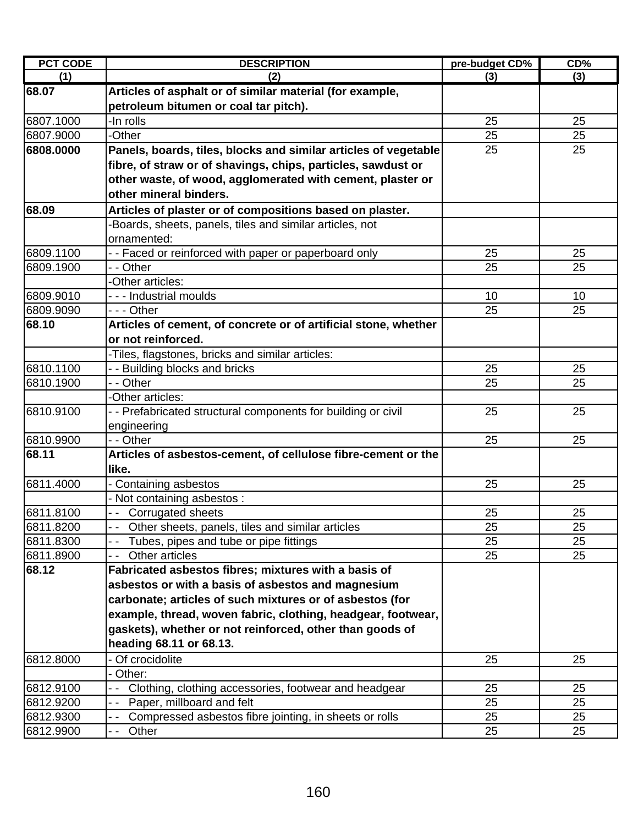| <b>PCT CODE</b> | <b>DESCRIPTION</b>                                              | pre-budget CD% | CD% |
|-----------------|-----------------------------------------------------------------|----------------|-----|
| (1)             | (2)                                                             | (3)            | (3) |
| 68.07           | Articles of asphalt or of similar material (for example,        |                |     |
|                 | petroleum bitumen or coal tar pitch).                           |                |     |
| 6807.1000       | -In rolls                                                       | 25             | 25  |
| 6807.9000       | -Other                                                          | 25             | 25  |
| 6808.0000       | Panels, boards, tiles, blocks and similar articles of vegetable | 25             | 25  |
|                 | fibre, of straw or of shavings, chips, particles, sawdust or    |                |     |
|                 | other waste, of wood, agglomerated with cement, plaster or      |                |     |
|                 | other mineral binders.                                          |                |     |
| 68.09           | Articles of plaster or of compositions based on plaster.        |                |     |
|                 | Boards, sheets, panels, tiles and similar articles, not         |                |     |
|                 | ornamented:                                                     |                |     |
| 6809.1100       | -- Faced or reinforced with paper or paperboard only            | 25             | 25  |
| 6809.1900       | - - Other                                                       | 25             | 25  |
|                 | -Other articles:                                                |                |     |
| 6809.9010       | - - - Industrial moulds                                         | 10             | 10  |
| 6809.9090       | --- Other                                                       | 25             | 25  |
| 68.10           | Articles of cement, of concrete or of artificial stone, whether |                |     |
|                 | or not reinforced.                                              |                |     |
|                 | -Tiles, flagstones, bricks and similar articles:                |                |     |
| 6810.1100       | - - Building blocks and bricks                                  | 25             | 25  |
| 6810.1900       | - - Other                                                       | 25             | 25  |
|                 | -Other articles:                                                |                |     |
| 6810.9100       | - - Prefabricated structural components for building or civil   | 25             | 25  |
|                 | engineering                                                     |                |     |
| 6810.9900       | - - Other                                                       | 25             | 25  |
| 68.11           | Articles of asbestos-cement, of cellulose fibre-cement or the   |                |     |
|                 | like.                                                           |                |     |
| 6811.4000       | Containing asbestos                                             | 25             | 25  |
|                 | Not containing asbestos :                                       |                |     |
| 6811.8100       | -- Corrugated sheets                                            | 25             | 25  |
| 6811.8200       | Other sheets, panels, tiles and similar articles                | 25             | 25  |
| 6811.8300       | Tubes, pipes and tube or pipe fittings                          | 25             | 25  |
| 6811.8900       | Other articles                                                  | 25             | 25  |
| 68.12           | Fabricated asbestos fibres; mixtures with a basis of            |                |     |
|                 | asbestos or with a basis of asbestos and magnesium              |                |     |
|                 | carbonate; articles of such mixtures or of asbestos (for        |                |     |
|                 | example, thread, woven fabric, clothing, headgear, footwear,    |                |     |
|                 | gaskets), whether or not reinforced, other than goods of        |                |     |
|                 | heading 68.11 or 68.13.                                         |                |     |
| 6812.8000       | Of crocidolite                                                  | 25             | 25  |
|                 | Other:                                                          |                |     |
| 6812.9100       | Clothing, clothing accessories, footwear and headgear           | 25             | 25  |
| 6812.9200       | Paper, millboard and felt                                       | 25             | 25  |
| 6812.9300       | Compressed asbestos fibre jointing, in sheets or rolls          | 25             | 25  |
| 6812.9900       | Other                                                           | 25             | 25  |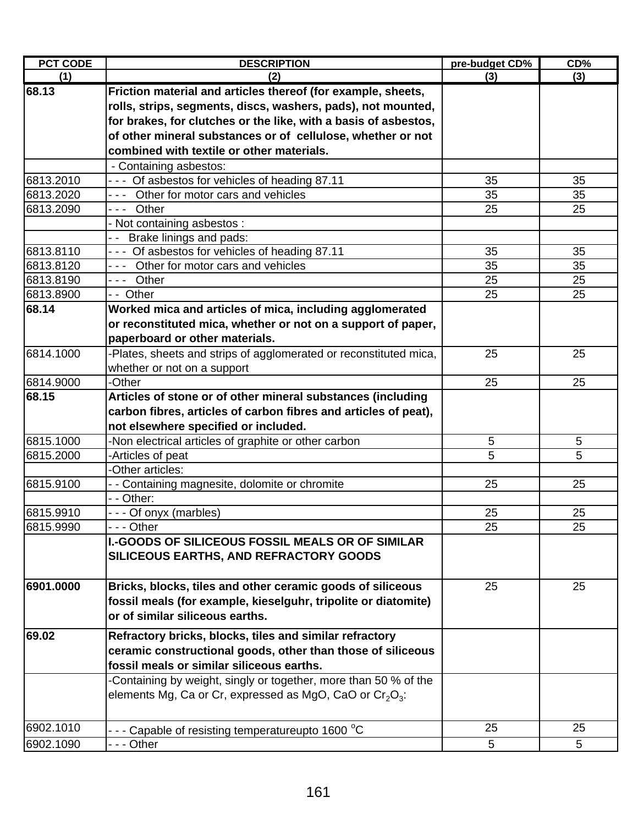| <b>PCT CODE</b> | <b>DESCRIPTION</b>                                                | pre-budget CD% | CD% |
|-----------------|-------------------------------------------------------------------|----------------|-----|
| (1)             | (2)                                                               | (3)            | (3) |
| 68.13           | Friction material and articles thereof (for example, sheets,      |                |     |
|                 | rolls, strips, segments, discs, washers, pads), not mounted,      |                |     |
|                 | for brakes, for clutches or the like, with a basis of asbestos,   |                |     |
|                 | of other mineral substances or of cellulose, whether or not       |                |     |
|                 | combined with textile or other materials.                         |                |     |
|                 | - Containing asbestos:                                            |                |     |
| 6813.2010       | - - - Of asbestos for vehicles of heading 87.11                   | 35             | 35  |
| 6813.2020       | --- Other for motor cars and vehicles                             | 35             | 35  |
| 6813.2090       | --- Other                                                         | 25             | 25  |
|                 | - Not containing asbestos:                                        |                |     |
|                 | -- Brake linings and pads:                                        |                |     |
| 6813.8110       | - - - Of asbestos for vehicles of heading 87.11                   | 35             | 35  |
| 6813.8120       | --- Other for motor cars and vehicles                             | 35             | 35  |
| 6813.8190       | --- Other                                                         | 25             | 25  |
| 6813.8900       | -- Other                                                          | 25             | 25  |
| 68.14           | Worked mica and articles of mica, including agglomerated          |                |     |
|                 | or reconstituted mica, whether or not on a support of paper,      |                |     |
|                 | paperboard or other materials.                                    |                |     |
| 6814.1000       | -Plates, sheets and strips of agglomerated or reconstituted mica, | 25             | 25  |
|                 | whether or not on a support                                       |                |     |
| 6814.9000       | -Other                                                            | 25             | 25  |
| 68.15           | Articles of stone or of other mineral substances (including       |                |     |
|                 | carbon fibres, articles of carbon fibres and articles of peat),   |                |     |
|                 | not elsewhere specified or included.                              |                |     |
| 6815.1000       | -Non electrical articles of graphite or other carbon              | 5              | 5   |
| 6815.2000       | -Articles of peat                                                 | 5              | 5   |
|                 | -Other articles:                                                  |                |     |
| 6815.9100       | - - Containing magnesite, dolomite or chromite                    | 25             | 25  |
|                 | - - Other:                                                        |                |     |
| 6815.9910       | --- Of onyx (marbles)                                             | 25             | 25  |
| 6815.9990       | $- -$ Other                                                       | 25             | 25  |
|                 | <b>I.-GOODS OF SILICEOUS FOSSIL MEALS OR OF SIMILAR</b>           |                |     |
|                 | SILICEOUS EARTHS, AND REFRACTORY GOODS                            |                |     |
|                 |                                                                   |                |     |
| 6901.0000       | Bricks, blocks, tiles and other ceramic goods of siliceous        | 25             | 25  |
|                 | fossil meals (for example, kieselguhr, tripolite or diatomite)    |                |     |
|                 | or of similar siliceous earths.                                   |                |     |
|                 |                                                                   |                |     |
| 69.02           | Refractory bricks, blocks, tiles and similar refractory           |                |     |
|                 | ceramic constructional goods, other than those of siliceous       |                |     |
|                 | fossil meals or similar siliceous earths.                         |                |     |
|                 | -Containing by weight, singly or together, more than 50 % of the  |                |     |
|                 | elements Mg, Ca or Cr, expressed as MgO, CaO or $Cr_2O_3$ :       |                |     |
|                 |                                                                   |                |     |
| 6902.1010       | - - - Capable of resisting temperatureupto 1600 °C                | 25             | 25  |
| 6902.1090       | - - - Other                                                       | 5              | 5   |
|                 |                                                                   |                |     |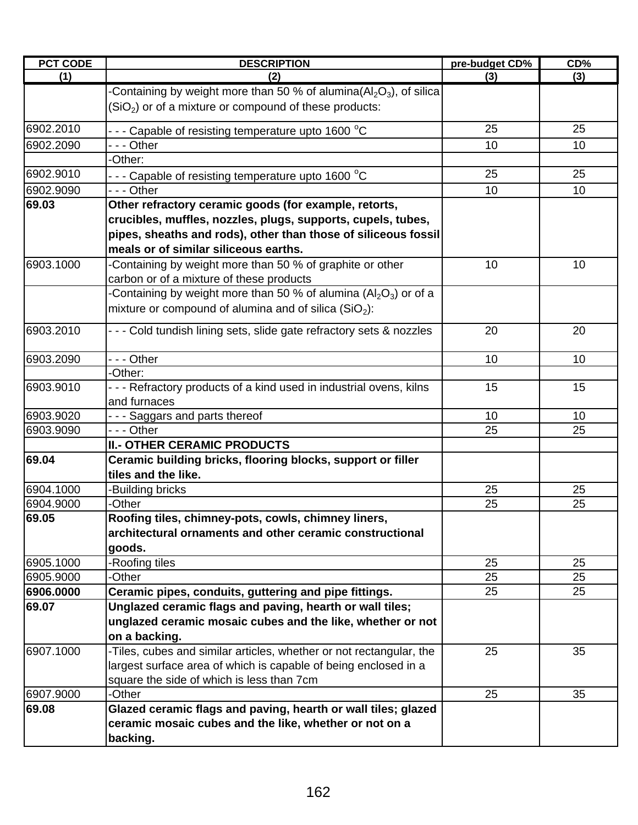| <b>PCT CODE</b> | <b>DESCRIPTION</b>                                                     | pre-budget CD% | CD% |
|-----------------|------------------------------------------------------------------------|----------------|-----|
| (1)             | (2)                                                                    | (3)            | (3) |
|                 | Containing by weight more than 50 % of alumina( $Al_2O_3$ ), of silica |                |     |
|                 | $(SiO2)$ or of a mixture or compound of these products:                |                |     |
| 6902.2010       | - - - Capable of resisting temperature upto 1600 °C                    | 25             | 25  |
| 6902.2090       | - - - Other                                                            | 10             | 10  |
|                 | -Other:                                                                |                |     |
| 6902.9010       | - - - Capable of resisting temperature upto 1600 $^{\circ}$ C          | 25             | 25  |
| 6902.9090       | --- Other                                                              | 10             | 10  |
| 69.03           | Other refractory ceramic goods (for example, retorts,                  |                |     |
|                 | crucibles, muffles, nozzles, plugs, supports, cupels, tubes,           |                |     |
|                 | pipes, sheaths and rods), other than those of siliceous fossil         |                |     |
|                 | meals or of similar siliceous earths.                                  |                |     |
| 6903.1000       | Containing by weight more than 50 % of graphite or other               | 10             | 10  |
|                 | carbon or of a mixture of these products                               |                |     |
|                 | -Containing by weight more than 50 % of alumina ( $Al_2O_3$ ) or of a  |                |     |
|                 | mixture or compound of alumina and of silica $(SiO2)$ :                |                |     |
| 6903.2010       | - - - Cold tundish lining sets, slide gate refractory sets & nozzles   | 20             | 20  |
| 6903.2090       | - - - Other                                                            | 10             | 10  |
|                 | -Other:                                                                |                |     |
| 6903.9010       | --- Refractory products of a kind used in industrial ovens, kilns      | 15             | 15  |
|                 | and furnaces                                                           |                |     |
| 6903.9020       | --- Saggars and parts thereof                                          | 10             | 10  |
| 6903.9090       | - - - Other                                                            | 25             | 25  |
|                 | <b>II.- OTHER CERAMIC PRODUCTS</b>                                     |                |     |
| 69.04           | Ceramic building bricks, flooring blocks, support or filler            |                |     |
|                 | tiles and the like.                                                    |                |     |
| 6904.1000       | -Building bricks                                                       | 25             | 25  |
| 6904.9000       | -Other                                                                 | 25             | 25  |
| 69.05           | Roofing tiles, chimney-pots, cowls, chimney liners,                    |                |     |
|                 | architectural ornaments and other ceramic constructional               |                |     |
|                 | goods.                                                                 |                |     |
| 6905.1000       | -Roofing tiles                                                         | 25             | 25  |
| 6905.9000       | -Other                                                                 | 25             | 25  |
| 6906.0000       | Ceramic pipes, conduits, guttering and pipe fittings.                  | 25             | 25  |
| 69.07           | Unglazed ceramic flags and paving, hearth or wall tiles;               |                |     |
|                 | unglazed ceramic mosaic cubes and the like, whether or not             |                |     |
|                 | on a backing.                                                          |                |     |
| 6907.1000       | -Tiles, cubes and similar articles, whether or not rectangular, the    | 25             | 35  |
|                 | largest surface area of which is capable of being enclosed in a        |                |     |
|                 | square the side of which is less than 7cm                              |                |     |
| 6907.9000       | -Other                                                                 | 25             | 35  |
| 69.08           | Glazed ceramic flags and paving, hearth or wall tiles; glazed          |                |     |
|                 | ceramic mosaic cubes and the like, whether or not on a                 |                |     |
|                 | backing.                                                               |                |     |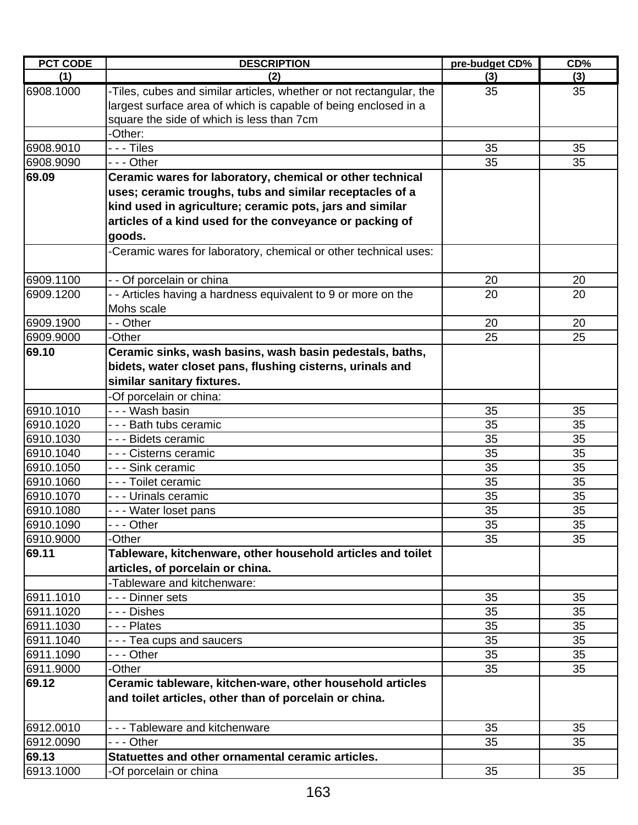| <b>PCT CODE</b> | <b>DESCRIPTION</b>                                                  | pre-budget CD% | CD% |
|-----------------|---------------------------------------------------------------------|----------------|-----|
| (1)             | (2)                                                                 | (3)            | (3) |
| 6908.1000       | -Tiles, cubes and similar articles, whether or not rectangular, the | 35             | 35  |
|                 | largest surface area of which is capable of being enclosed in a     |                |     |
|                 | square the side of which is less than 7cm                           |                |     |
|                 | -Other:                                                             |                |     |
| 6908.9010       | - - - Tiles                                                         | 35             | 35  |
| 6908.9090       | - - - Other                                                         | 35             | 35  |
| 69.09           | Ceramic wares for laboratory, chemical or other technical           |                |     |
|                 | uses; ceramic troughs, tubs and similar receptacles of a            |                |     |
|                 | kind used in agriculture; ceramic pots, jars and similar            |                |     |
|                 | articles of a kind used for the conveyance or packing of            |                |     |
|                 | goods.                                                              |                |     |
|                 | -Ceramic wares for laboratory, chemical or other technical uses:    |                |     |
|                 |                                                                     |                |     |
| 6909.1100       | - - Of porcelain or china                                           | 20             | 20  |
| 6909.1200       | - - Articles having a hardness equivalent to 9 or more on the       | 20             | 20  |
|                 | Mohs scale                                                          |                |     |
| 6909.1900       | - - Other                                                           | 20             | 20  |
| 6909.9000       | -Other                                                              | 25             | 25  |
| 69.10           | Ceramic sinks, wash basins, wash basin pedestals, baths,            |                |     |
|                 | bidets, water closet pans, flushing cisterns, urinals and           |                |     |
|                 | similar sanitary fixtures.                                          |                |     |
|                 | -Of porcelain or china:                                             |                |     |
| 6910.1010       | - - - Wash basin                                                    | 35             | 35  |
| 6910.1020       | - - - Bath tubs ceramic                                             | 35             | 35  |
| 6910.1030       | - - - Bidets ceramic                                                | 35             | 35  |
| 6910.1040       | - - - Cisterns ceramic                                              | 35             | 35  |
| 6910.1050       | - - - Sink ceramic                                                  | 35             | 35  |
| 6910.1060       | - - - Toilet ceramic                                                | 35             | 35  |
| 6910.1070       | - - - Urinals ceramic                                               | 35             | 35  |
| 6910.1080       | - - - Water loset pans                                              | 35             | 35  |
| 6910.1090       |                                                                     | 35             | 35  |
| 6910.9000       | -Other                                                              | 35             | 35  |
| 69.11           | Tableware, kitchenware, other household articles and toilet         |                |     |
|                 | articles, of porcelain or china.                                    |                |     |
|                 | -Tableware and kitchenware:                                         |                |     |
| 6911.1010       | - - - Dinner sets                                                   | 35             | 35  |
| 6911.1020       | - - - Dishes                                                        | 35             | 35  |
| 6911.1030       | - - - Plates                                                        | 35             | 35  |
| 6911.1040       | --- Tea cups and saucers                                            | 35             | 35  |
| 6911.1090       | - - - Other                                                         | 35             | 35  |
| 6911.9000       | -Other                                                              | 35             | 35  |
| 69.12           | Ceramic tableware, kitchen-ware, other household articles           |                |     |
|                 | and toilet articles, other than of porcelain or china.              |                |     |
| 6912.0010       | --- Tableware and kitchenware                                       | 35             | 35  |
| 6912.0090       | - - - Other                                                         | 35             | 35  |
| 69.13           | Statuettes and other ornamental ceramic articles.                   |                |     |
| 6913.1000       | -Of porcelain or china                                              | 35             | 35  |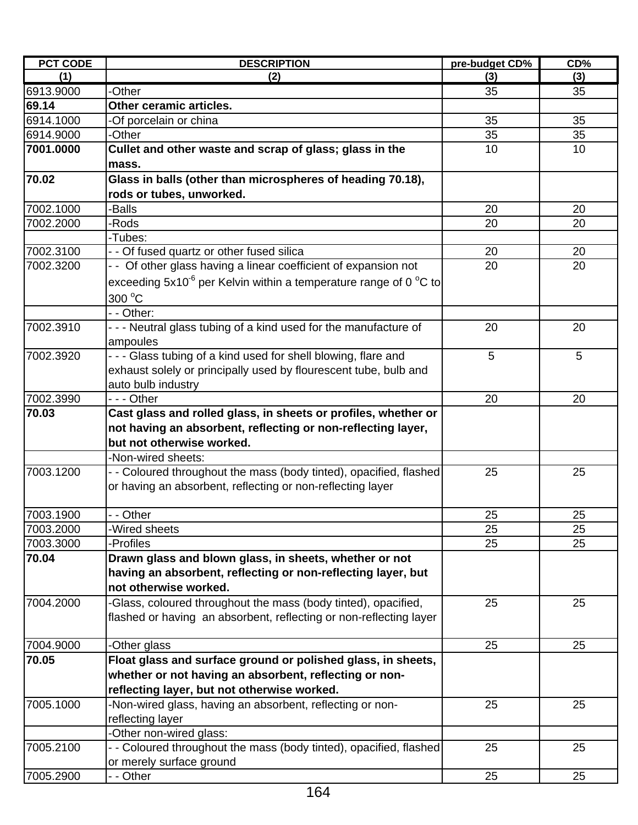| <b>PCT CODE</b> | <b>DESCRIPTION</b>                                                  | pre-budget CD% | CD% |
|-----------------|---------------------------------------------------------------------|----------------|-----|
| (1)             | (2)                                                                 | (3)            | (3) |
| 6913.9000       | -Other                                                              | 35             | 35  |
| 69.14           | Other ceramic articles.                                             |                |     |
| 6914.1000       | -Of porcelain or china                                              | 35             | 35  |
| 6914.9000       | -Other                                                              | 35             | 35  |
| 7001.0000       | Cullet and other waste and scrap of glass; glass in the             | 10             | 10  |
|                 | mass.                                                               |                |     |
| 70.02           | Glass in balls (other than microspheres of heading 70.18),          |                |     |
|                 | rods or tubes, unworked.                                            |                |     |
| 7002.1000       | -Balls                                                              | 20             | 20  |
| 7002.2000       | -Rods                                                               | 20             | 20  |
|                 | -Tubes:                                                             |                |     |
| 7002.3100       | - - Of fused quartz or other fused silica                           | 20             | 20  |
| 7002.3200       | - - Of other glass having a linear coefficient of expansion not     | 20             | 20  |
|                 | exceeding $5x10^6$ per Kelvin within a temperature range of 0 °C to |                |     |
|                 | 300 °C                                                              |                |     |
|                 | - - Other:                                                          |                |     |
| 7002.3910       | - - - Neutral glass tubing of a kind used for the manufacture of    | 20             | 20  |
|                 | ampoules                                                            |                |     |
| 7002.3920       | - - - Glass tubing of a kind used for shell blowing, flare and      | 5              | 5   |
|                 | exhaust solely or principally used by flourescent tube, bulb and    |                |     |
|                 | auto bulb industry                                                  |                |     |
| 7002.3990       | --- Other                                                           | 20             | 20  |
| 70.03           | Cast glass and rolled glass, in sheets or profiles, whether or      |                |     |
|                 | not having an absorbent, reflecting or non-reflecting layer,        |                |     |
|                 | but not otherwise worked.                                           |                |     |
|                 | -Non-wired sheets:                                                  |                |     |
| 7003.1200       | - - Coloured throughout the mass (body tinted), opacified, flashed  | 25             | 25  |
|                 | or having an absorbent, reflecting or non-reflecting layer          |                |     |
|                 |                                                                     |                |     |
| 7003.1900       | - - Other                                                           | 25             | 25  |
| 7003.2000       | -Wired sheets                                                       | 25             | 25  |
| 7003.3000       | -Profiles                                                           | 25             | 25  |
| 70.04           | Drawn glass and blown glass, in sheets, whether or not              |                |     |
|                 | having an absorbent, reflecting or non-reflecting layer, but        |                |     |
|                 | not otherwise worked.                                               |                |     |
| 7004.2000       | -Glass, coloured throughout the mass (body tinted), opacified,      | 25             | 25  |
|                 | flashed or having an absorbent, reflecting or non-reflecting layer  |                |     |
|                 |                                                                     |                |     |
| 7004.9000       | -Other glass                                                        | 25             | 25  |
| 70.05           | Float glass and surface ground or polished glass, in sheets,        |                |     |
|                 | whether or not having an absorbent, reflecting or non-              |                |     |
|                 | reflecting layer, but not otherwise worked.                         |                |     |
| 7005.1000       | -Non-wired glass, having an absorbent, reflecting or non-           | 25             | 25  |
|                 | reflecting layer                                                    |                |     |
|                 | -Other non-wired glass:                                             |                |     |
| 7005.2100       | - - Coloured throughout the mass (body tinted), opacified, flashed  | 25             | 25  |
|                 | or merely surface ground                                            |                |     |
| 7005.2900       | - - Other                                                           | 25             | 25  |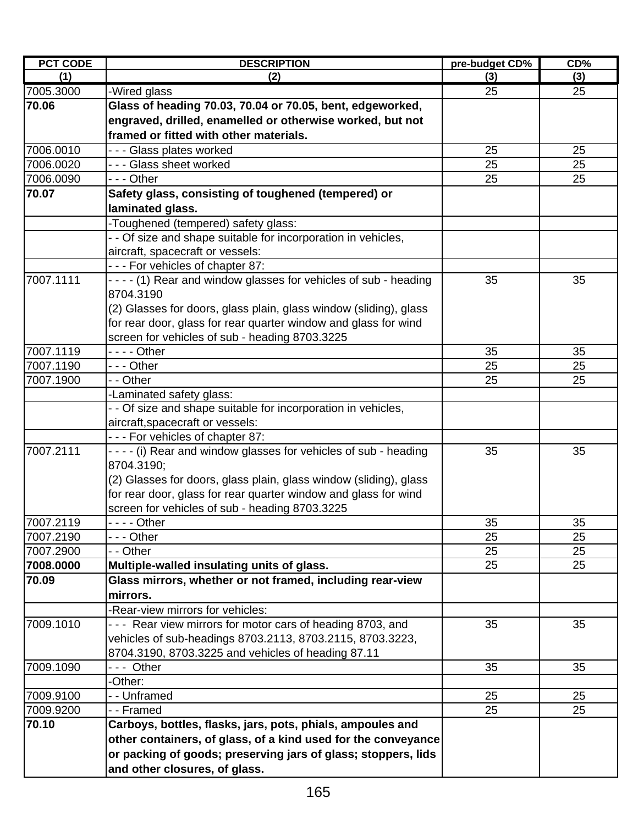| <b>PCT CODE</b>        | <b>DESCRIPTION</b>                                                    | pre-budget CD% | CD%      |
|------------------------|-----------------------------------------------------------------------|----------------|----------|
| (1)                    | (2)                                                                   | (3)            | (3)      |
| 7005.3000              | -Wired glass                                                          | 25             | 25       |
| 70.06                  | Glass of heading 70.03, 70.04 or 70.05, bent, edgeworked,             |                |          |
|                        | engraved, drilled, enamelled or otherwise worked, but not             |                |          |
|                        | framed or fitted with other materials.                                |                |          |
| 7006.0010              | --- Glass plates worked                                               | 25             | 25       |
| 7006.0020              | --- Glass sheet worked                                                | 25             | 25       |
| 7006.0090              | --- Other                                                             | 25             | 25       |
| 70.07                  | Safety glass, consisting of toughened (tempered) or                   |                |          |
|                        | laminated glass.                                                      |                |          |
|                        | -Toughened (tempered) safety glass:                                   |                |          |
|                        | - - Of size and shape suitable for incorporation in vehicles,         |                |          |
|                        | aircraft, spacecraft or vessels:                                      |                |          |
|                        | --- For vehicles of chapter 87:                                       |                |          |
| 7007.1111              | - - - - (1) Rear and window glasses for vehicles of sub - heading     | 35             | 35       |
|                        | 8704.3190                                                             |                |          |
|                        | (2) Glasses for doors, glass plain, glass window (sliding), glass     |                |          |
|                        | for rear door, glass for rear quarter window and glass for wind       |                |          |
|                        | screen for vehicles of sub - heading 8703.3225                        |                |          |
| 7007.1119              |                                                                       | 35             | 35       |
| 7007.1190              | --- Other                                                             | 25             | 25       |
| 7007.1900              | - - Other                                                             | 25             | 25       |
|                        | -Laminated safety glass:                                              |                |          |
|                        | - - Of size and shape suitable for incorporation in vehicles,         |                |          |
|                        | aircraft, spacecraft or vessels:                                      |                |          |
|                        | --- For vehicles of chapter 87:                                       |                |          |
| 7007.2111              | - - - - (i) Rear and window glasses for vehicles of sub - heading     | 35             | 35       |
|                        | 8704.3190;                                                            |                |          |
|                        | (2) Glasses for doors, glass plain, glass window (sliding), glass     |                |          |
|                        | for rear door, glass for rear quarter window and glass for wind       |                |          |
|                        | screen for vehicles of sub - heading 8703.3225                        |                |          |
| 7007.2119              | - - Other                                                             | 35             | 35       |
| 7007.2190<br>7007.2900 | - - - Other<br>- - Other                                              | 25<br>25       | 25<br>25 |
| 7008.0000              | Multiple-walled insulating units of glass.                            | 25             | 25       |
|                        |                                                                       |                |          |
| 70.09                  | Glass mirrors, whether or not framed, including rear-view<br>mirrors. |                |          |
|                        | -Rear-view mirrors for vehicles:                                      |                |          |
| 7009.1010              | - - - Rear view mirrors for motor cars of heading 8703, and           | 35             | 35       |
|                        | vehicles of sub-headings 8703.2113, 8703.2115, 8703.3223,             |                |          |
|                        | 8704.3190, 8703.3225 and vehicles of heading 87.11                    |                |          |
| 7009.1090              | --- Other                                                             | 35             | 35       |
|                        | -Other:                                                               |                |          |
| 7009.9100              | -- Unframed                                                           | 25             | 25       |
| 7009.9200              | - - Framed                                                            | 25             | 25       |
| 70.10                  | Carboys, bottles, flasks, jars, pots, phials, ampoules and            |                |          |
|                        | other containers, of glass, of a kind used for the conveyance         |                |          |
|                        | or packing of goods; preserving jars of glass; stoppers, lids         |                |          |
|                        | and other closures, of glass.                                         |                |          |
|                        |                                                                       |                |          |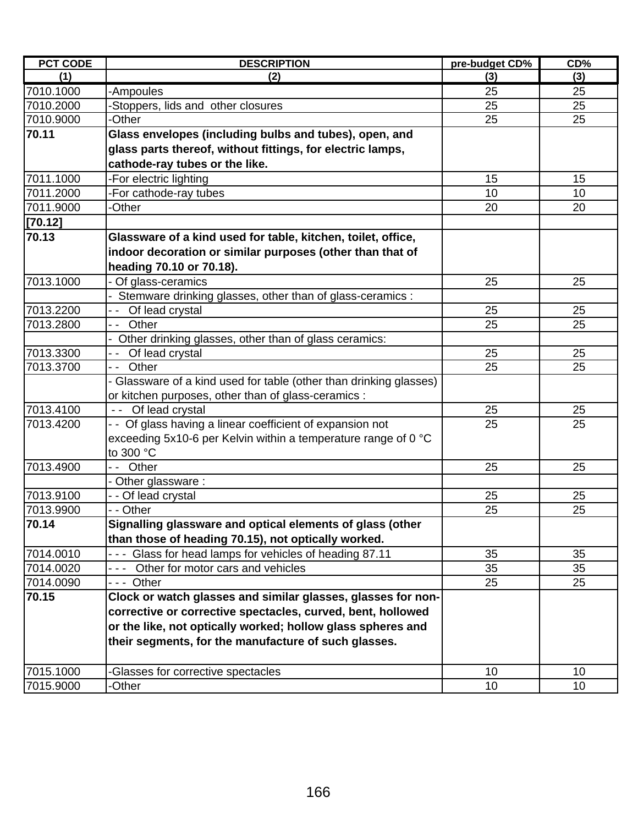| <b>PCT CODE</b> | <b>DESCRIPTION</b>                                                       | pre-budget CD% | CD% |
|-----------------|--------------------------------------------------------------------------|----------------|-----|
| (1)             | (2)                                                                      | (3)            | (3) |
| 7010.1000       | -Ampoules                                                                | 25             | 25  |
| 7010.2000       | Stoppers, lids and other closures                                        | 25             | 25  |
| 7010.9000       | -Other                                                                   | 25             | 25  |
| 70.11           | Glass envelopes (including bulbs and tubes), open, and                   |                |     |
|                 | glass parts thereof, without fittings, for electric lamps,               |                |     |
|                 | cathode-ray tubes or the like.                                           |                |     |
| 7011.1000       | -For electric lighting                                                   | 15             | 15  |
| 7011.2000       | For cathode-ray tubes                                                    | 10             | 10  |
| 7011.9000       | -Other                                                                   | 20             | 20  |
| [70.12]         |                                                                          |                |     |
| 70.13           | Glassware of a kind used for table, kitchen, toilet, office,             |                |     |
|                 | indoor decoration or similar purposes (other than that of                |                |     |
|                 | heading 70.10 or 70.18).                                                 |                |     |
| 7013.1000       | Of glass-ceramics                                                        | 25             | 25  |
|                 | Stemware drinking glasses, other than of glass-ceramics :                |                |     |
| 7013.2200       | Of lead crystal                                                          | 25             | 25  |
| 7013.2800       | Other                                                                    | 25             | 25  |
|                 | Other drinking glasses, other than of glass ceramics:                    |                |     |
| 7013.3300       | Of lead crystal                                                          | 25             | 25  |
| 7013.3700       | Other<br>$ -$                                                            | 25             | 25  |
|                 | - Glassware of a kind used for table (other than drinking glasses)       |                |     |
|                 | or kitchen purposes, other than of glass-ceramics:                       |                |     |
| 7013.4100       | - - Of lead crystal                                                      | 25             | 25  |
| 7013.4200       | - - Of glass having a linear coefficient of expansion not                | 25             | 25  |
|                 | exceeding 5x10-6 per Kelvin within a temperature range of 0 $^{\circ}$ C |                |     |
|                 | to 300 °C                                                                |                |     |
| 7013.4900       | Other<br>$ -$                                                            | 25             | 25  |
|                 | Other glassware:                                                         |                |     |
| 7013.9100       | - - Of lead crystal                                                      | 25             | 25  |
| 7013.9900       | - - Other                                                                | 25             | 25  |
| 70.14           | Signalling glassware and optical elements of glass (other                |                |     |
|                 | than those of heading 70.15), not optically worked.                      |                |     |
| 7014.0010       | --- Glass for head lamps for vehicles of heading 87.11                   | 35             | 35  |
| 7014.0020       | Other for motor cars and vehicles                                        | 35             | 35  |
| 7014.0090       | --- Other                                                                | 25             | 25  |
| 70.15           | Clock or watch glasses and similar glasses, glasses for non-             |                |     |
|                 | corrective or corrective spectacles, curved, bent, hollowed              |                |     |
|                 | or the like, not optically worked; hollow glass spheres and              |                |     |
|                 | their segments, for the manufacture of such glasses.                     |                |     |
|                 |                                                                          |                |     |
| 7015.1000       | Glasses for corrective spectacles                                        | 10             | 10  |
| 7015.9000       | -Other                                                                   | 10             | 10  |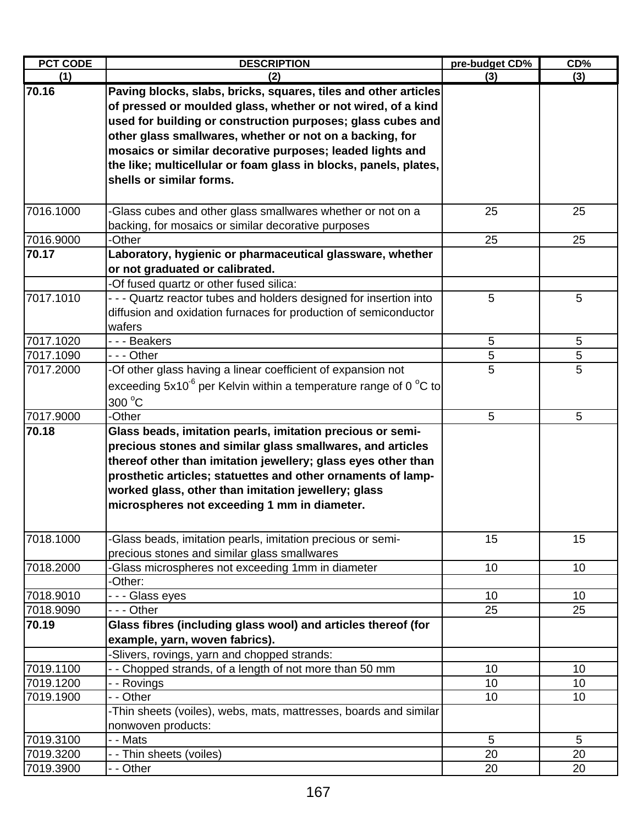| <b>PCT CODE</b>        | <b>DESCRIPTION</b>                                                                      | pre-budget CD% | CD%      |
|------------------------|-----------------------------------------------------------------------------------------|----------------|----------|
| (1)                    | (2)                                                                                     | (3)            | (3)      |
| 70.16                  | Paving blocks, slabs, bricks, squares, tiles and other articles                         |                |          |
|                        | of pressed or moulded glass, whether or not wired, of a kind                            |                |          |
|                        | used for building or construction purposes; glass cubes and                             |                |          |
|                        | other glass smallwares, whether or not on a backing, for                                |                |          |
|                        | mosaics or similar decorative purposes; leaded lights and                               |                |          |
|                        | the like; multicellular or foam glass in blocks, panels, plates,                        |                |          |
|                        | shells or similar forms.                                                                |                |          |
|                        |                                                                                         |                |          |
| 7016.1000              | -Glass cubes and other glass smallwares whether or not on a                             | 25             | 25       |
|                        | backing, for mosaics or similar decorative purposes                                     |                |          |
| 7016.9000              | -Other                                                                                  | 25             | 25       |
| 70.17                  | Laboratory, hygienic or pharmaceutical glassware, whether                               |                |          |
|                        | or not graduated or calibrated.                                                         |                |          |
|                        | -Of fused quartz or other fused silica:                                                 |                |          |
| 7017.1010              | - - - Quartz reactor tubes and holders designed for insertion into                      | 5              | 5        |
|                        | diffusion and oxidation furnaces for production of semiconductor                        |                |          |
|                        | wafers                                                                                  |                |          |
| 7017.1020              | --- Beakers                                                                             | 5              | 5        |
| 7017.1090              | - - - Other                                                                             | 5              | 5        |
| 7017.2000              | -Of other glass having a linear coefficient of expansion not                            | 5              | 5        |
|                        | exceeding $5x10^6$ per Kelvin within a temperature range of 0 °C to                     |                |          |
|                        | 300 °C                                                                                  |                |          |
| 7017.9000              | -Other                                                                                  | 5              | 5        |
| 70.18                  | Glass beads, imitation pearls, imitation precious or semi-                              |                |          |
|                        | precious stones and similar glass smallwares, and articles                              |                |          |
|                        | thereof other than imitation jewellery; glass eyes other than                           |                |          |
|                        | prosthetic articles; statuettes and other ornaments of lamp-                            |                |          |
|                        | worked glass, other than imitation jewellery; glass                                     |                |          |
|                        | microspheres not exceeding 1 mm in diameter.                                            |                |          |
|                        |                                                                                         |                |          |
|                        |                                                                                         |                |          |
| 7018.1000              | -Glass beads, imitation pearls, imitation precious or semi-                             | 15             | 15       |
|                        | precious stones and similar glass smallwares                                            |                |          |
| 7018.2000              | -Glass microspheres not exceeding 1mm in diameter                                       | 10             | 10       |
|                        | -Other:                                                                                 |                |          |
| 7018.9010              | - - - Glass eyes                                                                        | 10             | 10       |
| 7018.9090              | --- Other                                                                               | 25             | 25       |
| 70.19                  | Glass fibres (including glass wool) and articles thereof (for                           |                |          |
|                        | example, yarn, woven fabrics).                                                          |                |          |
|                        | -Slivers, rovings, yarn and chopped strands:                                            |                |          |
| 7019.1100              | - - Chopped strands, of a length of not more than 50 mm                                 | 10             | 10       |
| 7019.1200<br>7019.1900 | - - Rovings<br>- - Other                                                                | 10<br>10       | 10<br>10 |
|                        |                                                                                         |                |          |
|                        | -Thin sheets (voiles), webs, mats, mattresses, boards and similar<br>nonwoven products: |                |          |
| 7019.3100              | - - Mats                                                                                | 5              | 5        |
| 7019.3200              | - - Thin sheets (voiles)                                                                | 20             | 20       |
| 7019.3900              | - - Other                                                                               | 20             | 20       |
|                        |                                                                                         |                |          |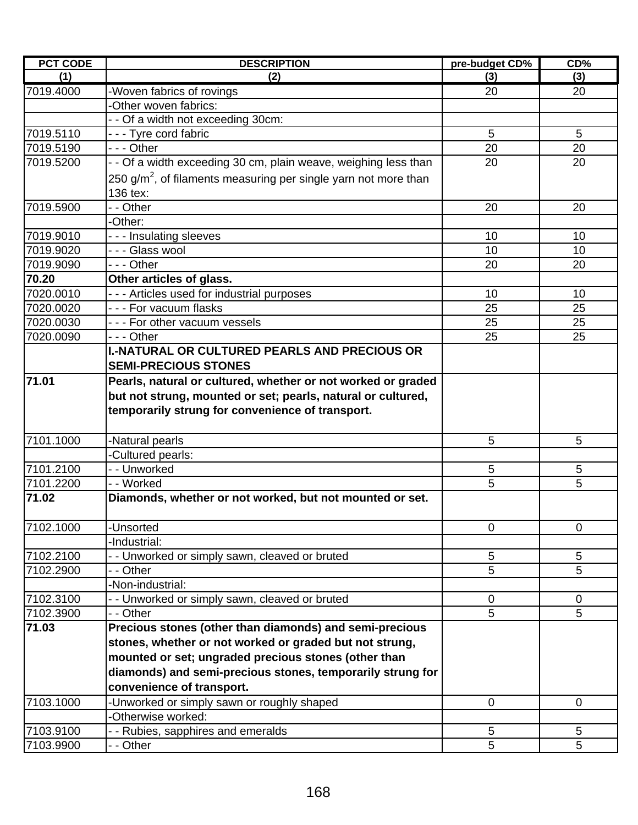| <b>PCT CODE</b> | <b>DESCRIPTION</b>                                                | pre-budget CD% | CD%         |
|-----------------|-------------------------------------------------------------------|----------------|-------------|
| (1)             | (2)                                                               | (3)            | (3)         |
| 7019.4000       | -Woven fabrics of rovings                                         | 20             | 20          |
|                 | -Other woven fabrics:                                             |                |             |
|                 | - - Of a width not exceeding 30cm:                                |                |             |
| 7019.5110       | --- Tyre cord fabric                                              | 5              | 5           |
| 7019.5190       | $- -$ - Other                                                     | 20             | 20          |
| 7019.5200       | - - Of a width exceeding 30 cm, plain weave, weighing less than   | 20             | 20          |
|                 | 250 $g/m2$ , of filaments measuring per single yarn not more than |                |             |
|                 | 136 tex:                                                          |                |             |
| 7019.5900       | - - Other                                                         | 20             | 20          |
|                 | -Other:                                                           |                |             |
| 7019.9010       | --- Insulating sleeves                                            | 10             | 10          |
| 7019.9020       | - - - Glass wool                                                  | 10             | 10          |
| 7019.9090       | - - - Other                                                       | 20             | 20          |
| 70.20           | Other articles of glass.                                          |                |             |
| 7020.0010       | --- Articles used for industrial purposes                         | 10             | 10          |
| 7020.0020       | - - - For vacuum flasks                                           | 25             | 25          |
| 7020.0030       | - - - For other vacuum vessels                                    | 25             | 25          |
| 7020.0090       | - - - Other                                                       | 25             | 25          |
|                 | <b>I.-NATURAL OR CULTURED PEARLS AND PRECIOUS OR</b>              |                |             |
|                 | <b>SEMI-PRECIOUS STONES</b>                                       |                |             |
| 71.01           |                                                                   |                |             |
|                 | Pearls, natural or cultured, whether or not worked or graded      |                |             |
|                 | but not strung, mounted or set; pearls, natural or cultured,      |                |             |
|                 | temporarily strung for convenience of transport.                  |                |             |
|                 |                                                                   |                |             |
| 7101.1000       | -Natural pearls                                                   | 5              | 5           |
|                 | -Cultured pearls:                                                 |                |             |
| 7101.2100       | - - Unworked                                                      | 5              | 5           |
| 7101.2200       | - - Worked                                                        | 5              | 5           |
| 71.02           | Diamonds, whether or not worked, but not mounted or set.          |                |             |
|                 |                                                                   |                |             |
| 7102.1000       | -Unsorted                                                         | $\mathbf 0$    | $\mathbf 0$ |
|                 | -Industrial:                                                      |                |             |
| 7102.2100       | - - Unworked or simply sawn, cleaved or bruted                    | 5              | 5           |
| 7102.2900       | - - Other                                                         | 5              | 5           |
|                 | -Non-industrial:                                                  |                |             |
| 7102.3100       | - - Unworked or simply sawn, cleaved or bruted                    | $\mathbf 0$    | $\mathbf 0$ |
| 7102.3900       | - - Other                                                         | 5              | 5           |
| 71.03           | Precious stones (other than diamonds) and semi-precious           |                |             |
|                 | stones, whether or not worked or graded but not strung,           |                |             |
|                 | mounted or set; ungraded precious stones (other than              |                |             |
|                 | diamonds) and semi-precious stones, temporarily strung for        |                |             |
|                 | convenience of transport.                                         |                |             |
| 7103.1000       | -Unworked or simply sawn or roughly shaped                        | $\mathbf 0$    | 0           |
|                 | -Otherwise worked:                                                |                |             |
| 7103.9100       | - - Rubies, sapphires and emeralds                                | 5              | 5           |
| 7103.9900       | - - Other                                                         | 5              | 5           |
|                 |                                                                   |                |             |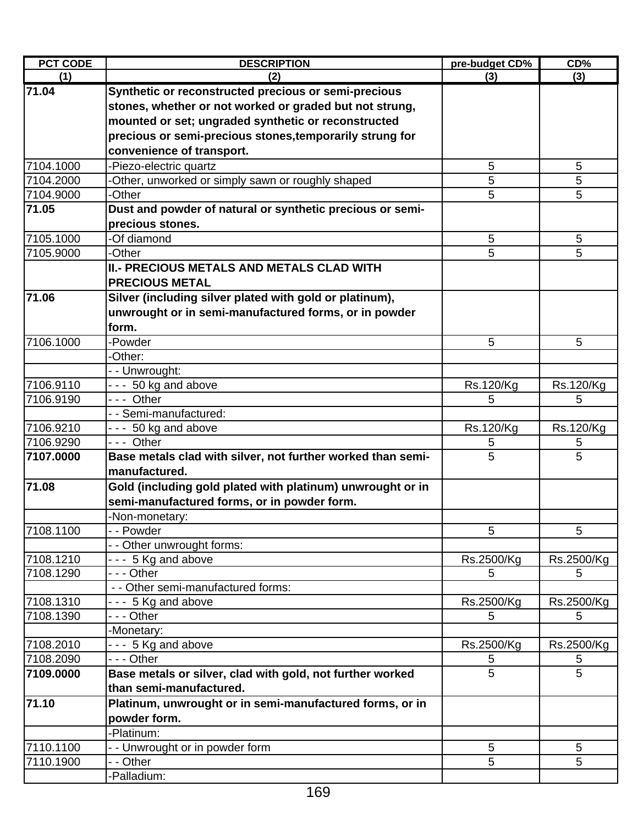| <b>PCT CODE</b> | <b>DESCRIPTION</b>                                                                   | pre-budget CD%  | CD%                           |
|-----------------|--------------------------------------------------------------------------------------|-----------------|-------------------------------|
| (1)             | (2)                                                                                  | (3)             | (3)                           |
| 71.04           | Synthetic or reconstructed precious or semi-precious                                 |                 |                               |
|                 | stones, whether or not worked or graded but not strung,                              |                 |                               |
|                 | mounted or set; ungraded synthetic or reconstructed                                  |                 |                               |
|                 | precious or semi-precious stones, temporarily strung for                             |                 |                               |
|                 | convenience of transport.                                                            |                 |                               |
| 7104.1000       | -Piezo-electric quartz                                                               | 5               | 5                             |
| 7104.2000       | Other, unworked or simply sawn or roughly shaped                                     | 5               | 5                             |
| 7104.9000       | -Other                                                                               | 5               | 5                             |
| 71.05           | Dust and powder of natural or synthetic precious or semi-                            |                 |                               |
|                 | precious stones.                                                                     |                 |                               |
| 7105.1000       | -Of diamond                                                                          | 5               | 5                             |
| 7105.9000       | -Other                                                                               | 5               | 5                             |
|                 | <b>II.- PRECIOUS METALS AND METALS CLAD WITH</b>                                     |                 |                               |
|                 | <b>PRECIOUS METAL</b>                                                                |                 |                               |
| 71.06           | Silver (including silver plated with gold or platinum),                              |                 |                               |
|                 |                                                                                      |                 |                               |
|                 | unwrought or in semi-manufactured forms, or in powder                                |                 |                               |
|                 | form.                                                                                |                 |                               |
| 7106.1000       | -Powder                                                                              | 5               | 5                             |
|                 | -Other:                                                                              |                 |                               |
|                 | - - Unwrought:                                                                       |                 |                               |
| 7106.9110       | $- - 50$ kg and above                                                                | Rs.120/Kg       | Rs.120/Kg                     |
| 7106.9190       | --- Other                                                                            | 5               | 5                             |
|                 | - - Semi-manufactured:                                                               |                 |                               |
| 7106.9210       | --- 50 kg and above                                                                  | Rs.120/Kg       | Rs.120/Kg                     |
| 7106.9290       | --- Other                                                                            | 5               | 5                             |
| 7107.0000       | Base metals clad with silver, not further worked than semi-<br>manufactured.         | 5               | 5                             |
| 71.08           | Gold (including gold plated with platinum) unwrought or in                           |                 |                               |
|                 | semi-manufactured forms, or in powder form.                                          |                 |                               |
|                 |                                                                                      |                 |                               |
|                 | -Non-monetary:<br>- - Powder                                                         |                 |                               |
| 7108.1100       | - - Other unwrought forms:                                                           | 5               | 5                             |
| 7108.1210       |                                                                                      |                 |                               |
| 7108.1290       | $- - 5$ Kg and above<br>- - - Other                                                  | Rs.2500/Kg<br>5 | Rs.2500/Kg<br>5               |
|                 | - - Other semi-manufactured forms:                                                   |                 |                               |
| 7108.1310       | --- 5 Kg and above                                                                   |                 | Rs.2500/Kg                    |
| 7108.1390       | - - - Other                                                                          | Rs.2500/Kg<br>5 | 5                             |
|                 | -Monetary:                                                                           |                 |                               |
| 7108.2010       | - - - 5 Kg and above                                                                 |                 |                               |
| 7108.2090       | $- -$ Other                                                                          | Rs.2500/Kg<br>5 | Rs.2500/Kg<br>$5\phantom{.0}$ |
|                 |                                                                                      | 5               | 5                             |
| 7109.0000       | Base metals or silver, clad with gold, not further worked<br>than semi-manufactured. |                 |                               |
|                 |                                                                                      |                 |                               |
| 71.10           | Platinum, unwrought or in semi-manufactured forms, or in                             |                 |                               |
|                 | powder form.                                                                         |                 |                               |
|                 | -Platinum:                                                                           |                 |                               |
| 7110.1100       | - - Unwrought or in powder form                                                      | 5               | 5                             |
| 7110.1900       | - - Other                                                                            | 5               | 5                             |
|                 | -Palladium:                                                                          |                 |                               |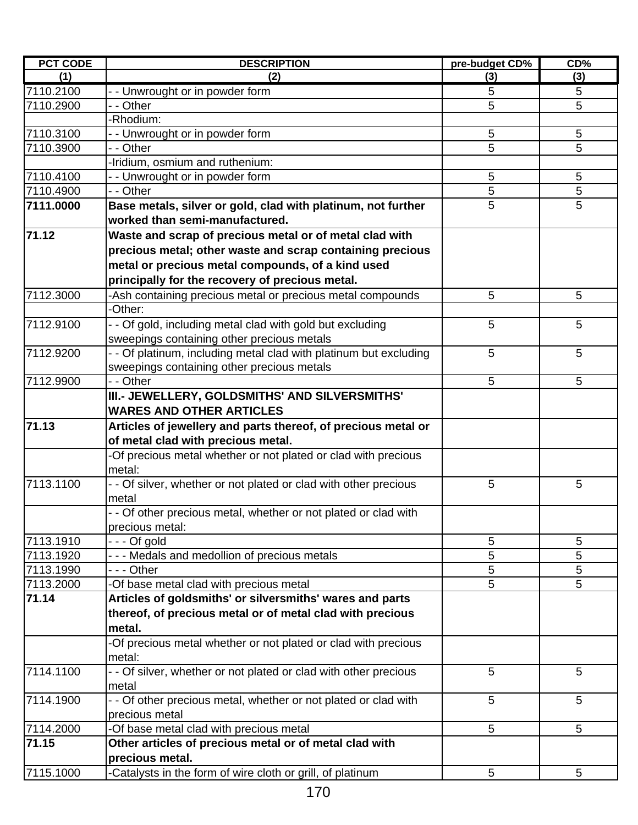| <b>PCT CODE</b> | <b>DESCRIPTION</b>                                                | pre-budget CD% | CD%             |
|-----------------|-------------------------------------------------------------------|----------------|-----------------|
| (1)             | (2)                                                               | (3)            | (3)             |
| 7110.2100       | -- Unwrought or in powder form                                    | 5              | 5               |
| 7110.2900       | - - Other                                                         | 5              | 5               |
|                 | -Rhodium:                                                         |                |                 |
| 7110.3100       | - Unwrought or in powder form                                     | 5              | 5               |
| 7110.3900       | - - Other                                                         | 5              | 5               |
|                 | Iridium, osmium and ruthenium:                                    |                |                 |
| 7110.4100       | -- Unwrought or in powder form                                    | 5              | 5               |
| 7110.4900       | - - Other                                                         | 5              | 5               |
| 7111.0000       | Base metals, silver or gold, clad with platinum, not further      | 5              | 5               |
|                 | worked than semi-manufactured.                                    |                |                 |
| 71.12           | Waste and scrap of precious metal or of metal clad with           |                |                 |
|                 | precious metal; other waste and scrap containing precious         |                |                 |
|                 | metal or precious metal compounds, of a kind used                 |                |                 |
|                 | principally for the recovery of precious metal.                   |                |                 |
|                 |                                                                   |                |                 |
| 7112.3000       | -Ash containing precious metal or precious metal compounds        | 5              | 5               |
|                 | -Other:                                                           |                |                 |
| 7112.9100       | - - Of gold, including metal clad with gold but excluding         | 5              | 5               |
|                 | sweepings containing other precious metals                        |                |                 |
| 7112.9200       | - - Of platinum, including metal clad with platinum but excluding | 5              | 5               |
|                 | sweepings containing other precious metals                        |                |                 |
| 7112.9900       | - - Other                                                         | 5              | $5\phantom{.0}$ |
|                 | III.- JEWELLERY, GOLDSMITHS' AND SILVERSMITHS'                    |                |                 |
|                 | <b>WARES AND OTHER ARTICLES</b>                                   |                |                 |
| 71.13           | Articles of jewellery and parts thereof, of precious metal or     |                |                 |
|                 | of metal clad with precious metal.                                |                |                 |
|                 | -Of precious metal whether or not plated or clad with precious    |                |                 |
|                 | metal:                                                            |                |                 |
| 7113.1100       | - - Of silver, whether or not plated or clad with other precious  | 5              | 5               |
|                 | metal                                                             |                |                 |
|                 | - - Of other precious metal, whether or not plated or clad with   |                |                 |
|                 | precious metal:                                                   |                |                 |
| 7113.1910       | $- -$ Of gold                                                     | 5              | 5               |
| 7113.1920       | - - - Medals and medollion of precious metals                     | 5              | 5               |
| 7113.1990       | - - - Other                                                       | 5              | 5               |
| 7113.2000       | -Of base metal clad with precious metal                           | 5              | 5               |
| 71.14           | Articles of goldsmiths' or silversmiths' wares and parts          |                |                 |
|                 | thereof, of precious metal or of metal clad with precious         |                |                 |
|                 | metal.                                                            |                |                 |
|                 | -Of precious metal whether or not plated or clad with precious    |                |                 |
|                 | metal:                                                            |                |                 |
| 7114.1100       | - - Of silver, whether or not plated or clad with other precious  | 5              | 5               |
|                 | metal                                                             |                |                 |
| 7114.1900       | - - Of other precious metal, whether or not plated or clad with   | 5              | 5               |
|                 | precious metal                                                    |                |                 |
| 7114.2000       | -Of base metal clad with precious metal                           | 5              | 5               |
| 71.15           | Other articles of precious metal or of metal clad with            |                |                 |
|                 | precious metal.                                                   |                |                 |
| 7115.1000       | -Catalysts in the form of wire cloth or grill, of platinum        | 5              | 5               |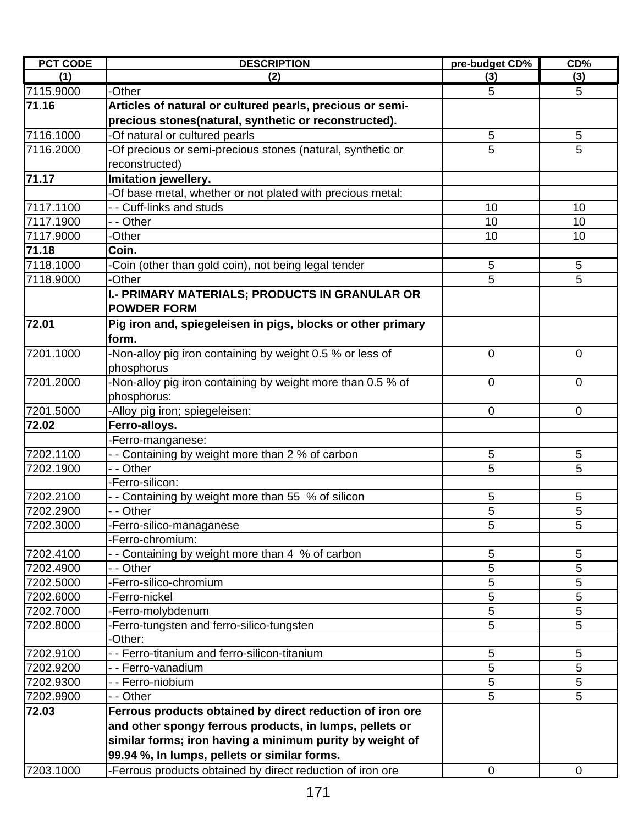| <b>PCT CODE</b> | <b>DESCRIPTION</b>                                          | pre-budget CD% | CD%         |
|-----------------|-------------------------------------------------------------|----------------|-------------|
| (1)             | (2)                                                         | (3)            | (3)         |
| 7115.9000       | -Other                                                      | 5              | 5           |
| 71.16           | Articles of natural or cultured pearls, precious or semi-   |                |             |
|                 | precious stones(natural, synthetic or reconstructed).       |                |             |
| 7116.1000       | -Of natural or cultured pearls                              | 5              | 5           |
| 7116.2000       | -Of precious or semi-precious stones (natural, synthetic or | 5              | 5           |
|                 | reconstructed)                                              |                |             |
| 71.17           | Imitation jewellery.                                        |                |             |
|                 | Of base metal, whether or not plated with precious metal:   |                |             |
| 7117.1100       | - - Cuff-links and studs                                    | 10             | 10          |
| 7117.1900       | - - Other                                                   | 10             | 10          |
| 7117.9000       | -Other                                                      | 10             | 10          |
| 71.18           | Coin.                                                       |                |             |
| 7118.1000       | Coin (other than gold coin), not being legal tender         | 5              | 5           |
| 7118.9000       | -Other                                                      | 5              | 5           |
|                 | I.- PRIMARY MATERIALS; PRODUCTS IN GRANULAR OR              |                |             |
|                 | <b>POWDER FORM</b>                                          |                |             |
| 72.01           | Pig iron and, spiegeleisen in pigs, blocks or other primary |                |             |
|                 | form.                                                       |                |             |
| 7201.1000       | -Non-alloy pig iron containing by weight 0.5 % or less of   | $\overline{0}$ | $\mathbf 0$ |
|                 | phosphorus                                                  |                |             |
| 7201.2000       | -Non-alloy pig iron containing by weight more than 0.5 % of | $\mathbf 0$    | $\mathbf 0$ |
|                 | phosphorus:                                                 |                |             |
| 7201.5000       | -Alloy pig iron; spiegeleisen:                              | $\overline{0}$ | $\mathbf 0$ |
| 72.02           | Ferro-alloys.                                               |                |             |
|                 | -Ferro-manganese:                                           |                |             |
| 7202.1100       | - - Containing by weight more than 2 % of carbon            | 5              | 5           |
| 7202.1900       | - - Other                                                   | 5              | 5           |
|                 | -Ferro-silicon:                                             |                |             |
| 7202.2100       | - - Containing by weight more than 55 % of silicon          | 5              | 5           |
| 7202.2900       | - - Other                                                   | 5              | 5           |
| 7202.3000       | -Ferro-silico-managanese                                    | 5              | 5           |
|                 | -Ferro-chromium:                                            |                |             |
| 7202.4100       | - Containing by weight more than 4 % of carbon              | 5              | 5           |
| 7202.4900       | - - Other                                                   | 5              | 5           |
| 7202.5000       | -Ferro-silico-chromium                                      | 5              | 5           |
| 7202.6000       | -Ferro-nickel                                               | 5              | 5           |
| 7202.7000       | -Ferro-molybdenum                                           | 5              | 5           |
| 7202.8000       | Ferro-tungsten and ferro-silico-tungsten                    | 5              | 5           |
|                 | -Other:                                                     |                |             |
| 7202.9100       | - - Ferro-titanium and ferro-silicon-titanium               | 5              | 5           |
| 7202.9200       | - - Ferro-vanadium                                          | 5              | 5           |
| 7202.9300       | - - Ferro-niobium                                           | 5              | 5           |
| 7202.9900       | - - Other                                                   | 5              | 5           |
| 72.03           | Ferrous products obtained by direct reduction of iron ore   |                |             |
|                 | and other spongy ferrous products, in lumps, pellets or     |                |             |
|                 | similar forms; iron having a minimum purity by weight of    |                |             |
|                 | 99.94 %, In lumps, pellets or similar forms.                |                |             |
| 7203.1000       | -Ferrous products obtained by direct reduction of iron ore  | $\mathbf 0$    | $\mathbf 0$ |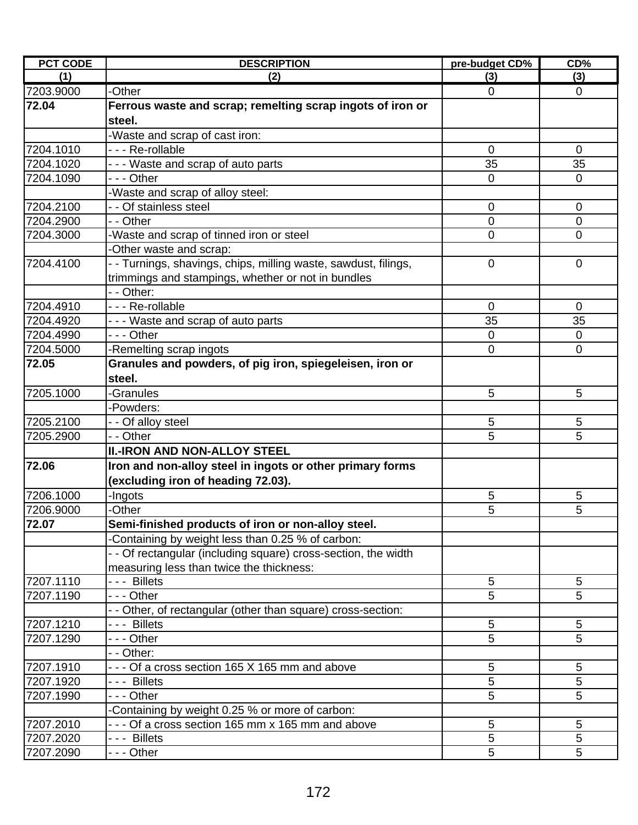| (3)<br>(1)<br>(2)<br>(3)<br>7203.9000<br>-Other<br>$\mathbf 0$<br>$\mathbf 0$<br>72.04<br>Ferrous waste and scrap; remelting scrap ingots of iron or<br>steel.<br>-Waste and scrap of cast iron:<br>7204.1010<br>- - - Re-rollable<br>$\mathbf 0$<br>0<br>- - - Waste and scrap of auto parts<br>35<br>35<br>7204.1020<br>7204.1090<br>- - - Other<br>$\mathbf{0}$<br>$\Omega$<br>Waste and scrap of alloy steel:<br>- Of stainless steel<br>7204.2100<br>$\mathbf 0$<br>$\overline{0}$<br>7204.2900<br>- - Other<br>$\mathbf 0$<br>$\overline{0}$<br>-Waste and scrap of tinned iron or steel<br>7204.3000<br>$\Omega$<br>$\Omega$<br>-Other waste and scrap:<br>- Turnings, shavings, chips, milling waste, sawdust, filings,<br>7204.4100<br>$\mathbf 0$<br>$\mathbf 0$<br>trimmings and stampings, whether or not in bundles<br>- - Other:<br>7204.4910<br>--- Re-rollable<br>$\mathbf 0$<br>$\Omega$<br>35<br>35<br>7204.4920<br>- - - Waste and scrap of auto parts<br>$\overline{-}$ - Other<br>7204.4990<br>$\mathbf 0$<br>$\mathbf 0$<br>7204.5000<br>-Remelting scrap ingots<br>$\mathbf 0$<br>$\mathbf 0$<br>72.05<br>Granules and powders, of pig iron, spiegeleisen, iron or<br>steel.<br>7205.1000<br>5<br>-Granules<br>5<br>-Powders:<br>7205.2100<br>5<br>5<br>- - Of alloy steel<br>5<br>- - Other<br>5<br>7205.2900<br><b>II.-IRON AND NON-ALLOY STEEL</b><br>72.06<br>Iron and non-alloy steel in ingots or other primary forms<br>(excluding iron of heading 72.03).<br>7206.1000<br>-Ingots<br>5<br>5<br>5<br>5<br>7206.9000<br>-Other<br>72.07<br>Semi-finished products of iron or non-alloy steel.<br>-Containing by weight less than 0.25 % of carbon:<br>- - Of rectangular (including square) cross-section, the width<br>measuring less than twice the thickness:<br>7207.1110<br>--- Billets<br>5<br>5<br>5<br>5<br>7207.1190<br>- - - Other<br>- Other, of rectangular (other than square) cross-section:<br>7207.1210<br>- - - Billets<br>5<br>5<br>5<br>5<br>7207.1290<br>-  - - Other<br>- - Other:<br>5<br>5<br>7207.1910<br>- - - Of a cross section 165 X 165 mm and above<br>5<br>5<br>7207.1920<br>--- Billets<br>5<br>5<br>7207.1990<br>- - - Other<br>Containing by weight 0.25 % or more of carbon:<br>7207.2010<br>- - - Of a cross section 165 mm x 165 mm and above<br>5<br>5<br>5<br>7207.2020<br>5<br>- - - Billets<br>7207.2090<br>5<br>5<br>- - - Other | <b>PCT CODE</b> | <b>DESCRIPTION</b> | pre-budget CD% | CD% |
|---------------------------------------------------------------------------------------------------------------------------------------------------------------------------------------------------------------------------------------------------------------------------------------------------------------------------------------------------------------------------------------------------------------------------------------------------------------------------------------------------------------------------------------------------------------------------------------------------------------------------------------------------------------------------------------------------------------------------------------------------------------------------------------------------------------------------------------------------------------------------------------------------------------------------------------------------------------------------------------------------------------------------------------------------------------------------------------------------------------------------------------------------------------------------------------------------------------------------------------------------------------------------------------------------------------------------------------------------------------------------------------------------------------------------------------------------------------------------------------------------------------------------------------------------------------------------------------------------------------------------------------------------------------------------------------------------------------------------------------------------------------------------------------------------------------------------------------------------------------------------------------------------------------------------------------------------------------------------------------------------------------------------------------------------------------------------------------------------------------------------------------------------------------------------------------------------------------------------------------------------------------------------------------------------------------------------------------------------------------------------------------------------------|-----------------|--------------------|----------------|-----|
|                                                                                                                                                                                                                                                                                                                                                                                                                                                                                                                                                                                                                                                                                                                                                                                                                                                                                                                                                                                                                                                                                                                                                                                                                                                                                                                                                                                                                                                                                                                                                                                                                                                                                                                                                                                                                                                                                                                                                                                                                                                                                                                                                                                                                                                                                                                                                                                                         |                 |                    |                |     |
|                                                                                                                                                                                                                                                                                                                                                                                                                                                                                                                                                                                                                                                                                                                                                                                                                                                                                                                                                                                                                                                                                                                                                                                                                                                                                                                                                                                                                                                                                                                                                                                                                                                                                                                                                                                                                                                                                                                                                                                                                                                                                                                                                                                                                                                                                                                                                                                                         |                 |                    |                |     |
|                                                                                                                                                                                                                                                                                                                                                                                                                                                                                                                                                                                                                                                                                                                                                                                                                                                                                                                                                                                                                                                                                                                                                                                                                                                                                                                                                                                                                                                                                                                                                                                                                                                                                                                                                                                                                                                                                                                                                                                                                                                                                                                                                                                                                                                                                                                                                                                                         |                 |                    |                |     |
|                                                                                                                                                                                                                                                                                                                                                                                                                                                                                                                                                                                                                                                                                                                                                                                                                                                                                                                                                                                                                                                                                                                                                                                                                                                                                                                                                                                                                                                                                                                                                                                                                                                                                                                                                                                                                                                                                                                                                                                                                                                                                                                                                                                                                                                                                                                                                                                                         |                 |                    |                |     |
|                                                                                                                                                                                                                                                                                                                                                                                                                                                                                                                                                                                                                                                                                                                                                                                                                                                                                                                                                                                                                                                                                                                                                                                                                                                                                                                                                                                                                                                                                                                                                                                                                                                                                                                                                                                                                                                                                                                                                                                                                                                                                                                                                                                                                                                                                                                                                                                                         |                 |                    |                |     |
|                                                                                                                                                                                                                                                                                                                                                                                                                                                                                                                                                                                                                                                                                                                                                                                                                                                                                                                                                                                                                                                                                                                                                                                                                                                                                                                                                                                                                                                                                                                                                                                                                                                                                                                                                                                                                                                                                                                                                                                                                                                                                                                                                                                                                                                                                                                                                                                                         |                 |                    |                |     |
|                                                                                                                                                                                                                                                                                                                                                                                                                                                                                                                                                                                                                                                                                                                                                                                                                                                                                                                                                                                                                                                                                                                                                                                                                                                                                                                                                                                                                                                                                                                                                                                                                                                                                                                                                                                                                                                                                                                                                                                                                                                                                                                                                                                                                                                                                                                                                                                                         |                 |                    |                |     |
|                                                                                                                                                                                                                                                                                                                                                                                                                                                                                                                                                                                                                                                                                                                                                                                                                                                                                                                                                                                                                                                                                                                                                                                                                                                                                                                                                                                                                                                                                                                                                                                                                                                                                                                                                                                                                                                                                                                                                                                                                                                                                                                                                                                                                                                                                                                                                                                                         |                 |                    |                |     |
|                                                                                                                                                                                                                                                                                                                                                                                                                                                                                                                                                                                                                                                                                                                                                                                                                                                                                                                                                                                                                                                                                                                                                                                                                                                                                                                                                                                                                                                                                                                                                                                                                                                                                                                                                                                                                                                                                                                                                                                                                                                                                                                                                                                                                                                                                                                                                                                                         |                 |                    |                |     |
|                                                                                                                                                                                                                                                                                                                                                                                                                                                                                                                                                                                                                                                                                                                                                                                                                                                                                                                                                                                                                                                                                                                                                                                                                                                                                                                                                                                                                                                                                                                                                                                                                                                                                                                                                                                                                                                                                                                                                                                                                                                                                                                                                                                                                                                                                                                                                                                                         |                 |                    |                |     |
|                                                                                                                                                                                                                                                                                                                                                                                                                                                                                                                                                                                                                                                                                                                                                                                                                                                                                                                                                                                                                                                                                                                                                                                                                                                                                                                                                                                                                                                                                                                                                                                                                                                                                                                                                                                                                                                                                                                                                                                                                                                                                                                                                                                                                                                                                                                                                                                                         |                 |                    |                |     |
|                                                                                                                                                                                                                                                                                                                                                                                                                                                                                                                                                                                                                                                                                                                                                                                                                                                                                                                                                                                                                                                                                                                                                                                                                                                                                                                                                                                                                                                                                                                                                                                                                                                                                                                                                                                                                                                                                                                                                                                                                                                                                                                                                                                                                                                                                                                                                                                                         |                 |                    |                |     |
|                                                                                                                                                                                                                                                                                                                                                                                                                                                                                                                                                                                                                                                                                                                                                                                                                                                                                                                                                                                                                                                                                                                                                                                                                                                                                                                                                                                                                                                                                                                                                                                                                                                                                                                                                                                                                                                                                                                                                                                                                                                                                                                                                                                                                                                                                                                                                                                                         |                 |                    |                |     |
|                                                                                                                                                                                                                                                                                                                                                                                                                                                                                                                                                                                                                                                                                                                                                                                                                                                                                                                                                                                                                                                                                                                                                                                                                                                                                                                                                                                                                                                                                                                                                                                                                                                                                                                                                                                                                                                                                                                                                                                                                                                                                                                                                                                                                                                                                                                                                                                                         |                 |                    |                |     |
|                                                                                                                                                                                                                                                                                                                                                                                                                                                                                                                                                                                                                                                                                                                                                                                                                                                                                                                                                                                                                                                                                                                                                                                                                                                                                                                                                                                                                                                                                                                                                                                                                                                                                                                                                                                                                                                                                                                                                                                                                                                                                                                                                                                                                                                                                                                                                                                                         |                 |                    |                |     |
|                                                                                                                                                                                                                                                                                                                                                                                                                                                                                                                                                                                                                                                                                                                                                                                                                                                                                                                                                                                                                                                                                                                                                                                                                                                                                                                                                                                                                                                                                                                                                                                                                                                                                                                                                                                                                                                                                                                                                                                                                                                                                                                                                                                                                                                                                                                                                                                                         |                 |                    |                |     |
|                                                                                                                                                                                                                                                                                                                                                                                                                                                                                                                                                                                                                                                                                                                                                                                                                                                                                                                                                                                                                                                                                                                                                                                                                                                                                                                                                                                                                                                                                                                                                                                                                                                                                                                                                                                                                                                                                                                                                                                                                                                                                                                                                                                                                                                                                                                                                                                                         |                 |                    |                |     |
|                                                                                                                                                                                                                                                                                                                                                                                                                                                                                                                                                                                                                                                                                                                                                                                                                                                                                                                                                                                                                                                                                                                                                                                                                                                                                                                                                                                                                                                                                                                                                                                                                                                                                                                                                                                                                                                                                                                                                                                                                                                                                                                                                                                                                                                                                                                                                                                                         |                 |                    |                |     |
|                                                                                                                                                                                                                                                                                                                                                                                                                                                                                                                                                                                                                                                                                                                                                                                                                                                                                                                                                                                                                                                                                                                                                                                                                                                                                                                                                                                                                                                                                                                                                                                                                                                                                                                                                                                                                                                                                                                                                                                                                                                                                                                                                                                                                                                                                                                                                                                                         |                 |                    |                |     |
|                                                                                                                                                                                                                                                                                                                                                                                                                                                                                                                                                                                                                                                                                                                                                                                                                                                                                                                                                                                                                                                                                                                                                                                                                                                                                                                                                                                                                                                                                                                                                                                                                                                                                                                                                                                                                                                                                                                                                                                                                                                                                                                                                                                                                                                                                                                                                                                                         |                 |                    |                |     |
|                                                                                                                                                                                                                                                                                                                                                                                                                                                                                                                                                                                                                                                                                                                                                                                                                                                                                                                                                                                                                                                                                                                                                                                                                                                                                                                                                                                                                                                                                                                                                                                                                                                                                                                                                                                                                                                                                                                                                                                                                                                                                                                                                                                                                                                                                                                                                                                                         |                 |                    |                |     |
|                                                                                                                                                                                                                                                                                                                                                                                                                                                                                                                                                                                                                                                                                                                                                                                                                                                                                                                                                                                                                                                                                                                                                                                                                                                                                                                                                                                                                                                                                                                                                                                                                                                                                                                                                                                                                                                                                                                                                                                                                                                                                                                                                                                                                                                                                                                                                                                                         |                 |                    |                |     |
|                                                                                                                                                                                                                                                                                                                                                                                                                                                                                                                                                                                                                                                                                                                                                                                                                                                                                                                                                                                                                                                                                                                                                                                                                                                                                                                                                                                                                                                                                                                                                                                                                                                                                                                                                                                                                                                                                                                                                                                                                                                                                                                                                                                                                                                                                                                                                                                                         |                 |                    |                |     |
|                                                                                                                                                                                                                                                                                                                                                                                                                                                                                                                                                                                                                                                                                                                                                                                                                                                                                                                                                                                                                                                                                                                                                                                                                                                                                                                                                                                                                                                                                                                                                                                                                                                                                                                                                                                                                                                                                                                                                                                                                                                                                                                                                                                                                                                                                                                                                                                                         |                 |                    |                |     |
|                                                                                                                                                                                                                                                                                                                                                                                                                                                                                                                                                                                                                                                                                                                                                                                                                                                                                                                                                                                                                                                                                                                                                                                                                                                                                                                                                                                                                                                                                                                                                                                                                                                                                                                                                                                                                                                                                                                                                                                                                                                                                                                                                                                                                                                                                                                                                                                                         |                 |                    |                |     |
|                                                                                                                                                                                                                                                                                                                                                                                                                                                                                                                                                                                                                                                                                                                                                                                                                                                                                                                                                                                                                                                                                                                                                                                                                                                                                                                                                                                                                                                                                                                                                                                                                                                                                                                                                                                                                                                                                                                                                                                                                                                                                                                                                                                                                                                                                                                                                                                                         |                 |                    |                |     |
|                                                                                                                                                                                                                                                                                                                                                                                                                                                                                                                                                                                                                                                                                                                                                                                                                                                                                                                                                                                                                                                                                                                                                                                                                                                                                                                                                                                                                                                                                                                                                                                                                                                                                                                                                                                                                                                                                                                                                                                                                                                                                                                                                                                                                                                                                                                                                                                                         |                 |                    |                |     |
|                                                                                                                                                                                                                                                                                                                                                                                                                                                                                                                                                                                                                                                                                                                                                                                                                                                                                                                                                                                                                                                                                                                                                                                                                                                                                                                                                                                                                                                                                                                                                                                                                                                                                                                                                                                                                                                                                                                                                                                                                                                                                                                                                                                                                                                                                                                                                                                                         |                 |                    |                |     |
|                                                                                                                                                                                                                                                                                                                                                                                                                                                                                                                                                                                                                                                                                                                                                                                                                                                                                                                                                                                                                                                                                                                                                                                                                                                                                                                                                                                                                                                                                                                                                                                                                                                                                                                                                                                                                                                                                                                                                                                                                                                                                                                                                                                                                                                                                                                                                                                                         |                 |                    |                |     |
|                                                                                                                                                                                                                                                                                                                                                                                                                                                                                                                                                                                                                                                                                                                                                                                                                                                                                                                                                                                                                                                                                                                                                                                                                                                                                                                                                                                                                                                                                                                                                                                                                                                                                                                                                                                                                                                                                                                                                                                                                                                                                                                                                                                                                                                                                                                                                                                                         |                 |                    |                |     |
|                                                                                                                                                                                                                                                                                                                                                                                                                                                                                                                                                                                                                                                                                                                                                                                                                                                                                                                                                                                                                                                                                                                                                                                                                                                                                                                                                                                                                                                                                                                                                                                                                                                                                                                                                                                                                                                                                                                                                                                                                                                                                                                                                                                                                                                                                                                                                                                                         |                 |                    |                |     |
|                                                                                                                                                                                                                                                                                                                                                                                                                                                                                                                                                                                                                                                                                                                                                                                                                                                                                                                                                                                                                                                                                                                                                                                                                                                                                                                                                                                                                                                                                                                                                                                                                                                                                                                                                                                                                                                                                                                                                                                                                                                                                                                                                                                                                                                                                                                                                                                                         |                 |                    |                |     |
|                                                                                                                                                                                                                                                                                                                                                                                                                                                                                                                                                                                                                                                                                                                                                                                                                                                                                                                                                                                                                                                                                                                                                                                                                                                                                                                                                                                                                                                                                                                                                                                                                                                                                                                                                                                                                                                                                                                                                                                                                                                                                                                                                                                                                                                                                                                                                                                                         |                 |                    |                |     |
|                                                                                                                                                                                                                                                                                                                                                                                                                                                                                                                                                                                                                                                                                                                                                                                                                                                                                                                                                                                                                                                                                                                                                                                                                                                                                                                                                                                                                                                                                                                                                                                                                                                                                                                                                                                                                                                                                                                                                                                                                                                                                                                                                                                                                                                                                                                                                                                                         |                 |                    |                |     |
|                                                                                                                                                                                                                                                                                                                                                                                                                                                                                                                                                                                                                                                                                                                                                                                                                                                                                                                                                                                                                                                                                                                                                                                                                                                                                                                                                                                                                                                                                                                                                                                                                                                                                                                                                                                                                                                                                                                                                                                                                                                                                                                                                                                                                                                                                                                                                                                                         |                 |                    |                |     |
|                                                                                                                                                                                                                                                                                                                                                                                                                                                                                                                                                                                                                                                                                                                                                                                                                                                                                                                                                                                                                                                                                                                                                                                                                                                                                                                                                                                                                                                                                                                                                                                                                                                                                                                                                                                                                                                                                                                                                                                                                                                                                                                                                                                                                                                                                                                                                                                                         |                 |                    |                |     |
|                                                                                                                                                                                                                                                                                                                                                                                                                                                                                                                                                                                                                                                                                                                                                                                                                                                                                                                                                                                                                                                                                                                                                                                                                                                                                                                                                                                                                                                                                                                                                                                                                                                                                                                                                                                                                                                                                                                                                                                                                                                                                                                                                                                                                                                                                                                                                                                                         |                 |                    |                |     |
|                                                                                                                                                                                                                                                                                                                                                                                                                                                                                                                                                                                                                                                                                                                                                                                                                                                                                                                                                                                                                                                                                                                                                                                                                                                                                                                                                                                                                                                                                                                                                                                                                                                                                                                                                                                                                                                                                                                                                                                                                                                                                                                                                                                                                                                                                                                                                                                                         |                 |                    |                |     |
|                                                                                                                                                                                                                                                                                                                                                                                                                                                                                                                                                                                                                                                                                                                                                                                                                                                                                                                                                                                                                                                                                                                                                                                                                                                                                                                                                                                                                                                                                                                                                                                                                                                                                                                                                                                                                                                                                                                                                                                                                                                                                                                                                                                                                                                                                                                                                                                                         |                 |                    |                |     |
|                                                                                                                                                                                                                                                                                                                                                                                                                                                                                                                                                                                                                                                                                                                                                                                                                                                                                                                                                                                                                                                                                                                                                                                                                                                                                                                                                                                                                                                                                                                                                                                                                                                                                                                                                                                                                                                                                                                                                                                                                                                                                                                                                                                                                                                                                                                                                                                                         |                 |                    |                |     |
|                                                                                                                                                                                                                                                                                                                                                                                                                                                                                                                                                                                                                                                                                                                                                                                                                                                                                                                                                                                                                                                                                                                                                                                                                                                                                                                                                                                                                                                                                                                                                                                                                                                                                                                                                                                                                                                                                                                                                                                                                                                                                                                                                                                                                                                                                                                                                                                                         |                 |                    |                |     |
|                                                                                                                                                                                                                                                                                                                                                                                                                                                                                                                                                                                                                                                                                                                                                                                                                                                                                                                                                                                                                                                                                                                                                                                                                                                                                                                                                                                                                                                                                                                                                                                                                                                                                                                                                                                                                                                                                                                                                                                                                                                                                                                                                                                                                                                                                                                                                                                                         |                 |                    |                |     |
|                                                                                                                                                                                                                                                                                                                                                                                                                                                                                                                                                                                                                                                                                                                                                                                                                                                                                                                                                                                                                                                                                                                                                                                                                                                                                                                                                                                                                                                                                                                                                                                                                                                                                                                                                                                                                                                                                                                                                                                                                                                                                                                                                                                                                                                                                                                                                                                                         |                 |                    |                |     |
|                                                                                                                                                                                                                                                                                                                                                                                                                                                                                                                                                                                                                                                                                                                                                                                                                                                                                                                                                                                                                                                                                                                                                                                                                                                                                                                                                                                                                                                                                                                                                                                                                                                                                                                                                                                                                                                                                                                                                                                                                                                                                                                                                                                                                                                                                                                                                                                                         |                 |                    |                |     |
|                                                                                                                                                                                                                                                                                                                                                                                                                                                                                                                                                                                                                                                                                                                                                                                                                                                                                                                                                                                                                                                                                                                                                                                                                                                                                                                                                                                                                                                                                                                                                                                                                                                                                                                                                                                                                                                                                                                                                                                                                                                                                                                                                                                                                                                                                                                                                                                                         |                 |                    |                |     |
|                                                                                                                                                                                                                                                                                                                                                                                                                                                                                                                                                                                                                                                                                                                                                                                                                                                                                                                                                                                                                                                                                                                                                                                                                                                                                                                                                                                                                                                                                                                                                                                                                                                                                                                                                                                                                                                                                                                                                                                                                                                                                                                                                                                                                                                                                                                                                                                                         |                 |                    |                |     |
|                                                                                                                                                                                                                                                                                                                                                                                                                                                                                                                                                                                                                                                                                                                                                                                                                                                                                                                                                                                                                                                                                                                                                                                                                                                                                                                                                                                                                                                                                                                                                                                                                                                                                                                                                                                                                                                                                                                                                                                                                                                                                                                                                                                                                                                                                                                                                                                                         |                 |                    |                |     |
|                                                                                                                                                                                                                                                                                                                                                                                                                                                                                                                                                                                                                                                                                                                                                                                                                                                                                                                                                                                                                                                                                                                                                                                                                                                                                                                                                                                                                                                                                                                                                                                                                                                                                                                                                                                                                                                                                                                                                                                                                                                                                                                                                                                                                                                                                                                                                                                                         |                 |                    |                |     |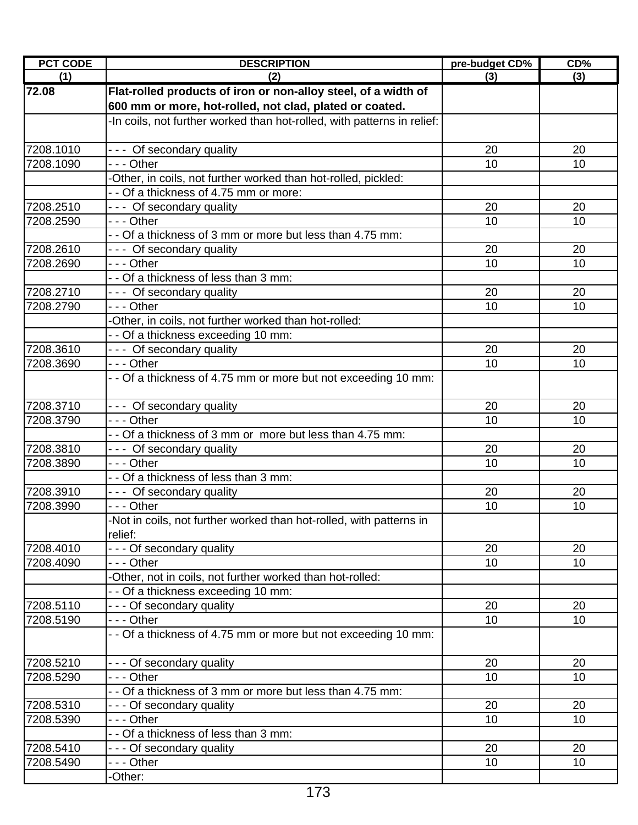| <b>PCT CODE</b> | <b>DESCRIPTION</b>                                                             | pre-budget CD%  | CD%             |
|-----------------|--------------------------------------------------------------------------------|-----------------|-----------------|
| (1)             | (2)                                                                            | (3)             | (3)             |
| 72.08           | Flat-rolled products of iron or non-alloy steel, of a width of                 |                 |                 |
|                 | 600 mm or more, hot-rolled, not clad, plated or coated.                        |                 |                 |
|                 | -In coils, not further worked than hot-rolled, with patterns in relief:        |                 |                 |
| 7208.1010       | --- Of secondary quality                                                       | 20              | 20              |
| 7208.1090       | - - - Other                                                                    | 10              | 10              |
|                 | -Other, in coils, not further worked than hot-rolled, pickled:                 |                 |                 |
|                 | - - Of a thickness of 4.75 mm or more:                                         |                 |                 |
| 7208.2510       | --- Of secondary quality                                                       | 20              | 20              |
| 7208.2590       | $- -$ Other                                                                    | 10              | 10              |
|                 | - - Of a thickness of 3 mm or more but less than 4.75 mm:                      |                 |                 |
| 7208.2610       | --- Of secondary quality                                                       | 20              | 20              |
| 7208.2690       | --- Other                                                                      | 10              | 10              |
|                 | - - Of a thickness of less than 3 mm:                                          |                 |                 |
| 7208.2710       | --- Of secondary quality                                                       | 20              | 20              |
| 7208.2790       | --- Other                                                                      | 10              | 10              |
|                 | -Other, in coils, not further worked than hot-rolled:                          |                 |                 |
|                 | - - Of a thickness exceeding 10 mm:                                            |                 |                 |
| 7208.3610       | --- Of secondary quality                                                       | 20              | 20              |
| 7208.3690       | $- -$ Other                                                                    | 10              | 10              |
|                 | - - Of a thickness of 4.75 mm or more but not exceeding 10 mm:                 |                 |                 |
| 7208.3710       | --- Of secondary quality                                                       | 20              | 20              |
| 7208.3790       | --- Other                                                                      | 10              | 10              |
|                 | - - Of a thickness of 3 mm or more but less than 4.75 mm:                      |                 |                 |
| 7208.3810       | --- Of secondary quality                                                       | 20              | 20              |
| 7208.3890       | $- -$ Other                                                                    | 10              | 10              |
|                 | - - Of a thickness of less than 3 mm:                                          |                 |                 |
| 7208.3910       | --- Of secondary quality                                                       | 20              | 20              |
| 7208.3990       | - - - Other                                                                    | 10              | 10              |
|                 | -Not in coils, not further worked than hot-rolled, with patterns in<br>relief: |                 |                 |
| 7208.4010       | - - - Of secondary quality                                                     | 20              | 20              |
| 7208.4090       | - - - Other                                                                    | 10 <sup>1</sup> | 10 <sup>°</sup> |
|                 | -Other, not in coils, not further worked than hot-rolled:                      |                 |                 |
|                 | - - Of a thickness exceeding 10 mm:                                            |                 |                 |
| 7208.5110       | - - - Of secondary quality                                                     | 20              | 20              |
| 7208.5190       | - - - Other                                                                    | 10              | 10              |
|                 | - - Of a thickness of 4.75 mm or more but not exceeding 10 mm:                 |                 |                 |
| 7208.5210       | - - - Of secondary quality                                                     | 20              | 20              |
| 7208.5290       | --- Other                                                                      | 10 <sup>1</sup> | 10              |
|                 | - - Of a thickness of 3 mm or more but less than 4.75 mm:                      |                 |                 |
| 7208.5310       | - - - Of secondary quality                                                     | 20              | 20              |
| 7208.5390       | --- Other                                                                      | 10              | 10              |
|                 | - - Of a thickness of less than 3 mm:                                          |                 |                 |
| 7208.5410       | - - - Of secondary quality                                                     | 20              | 20              |
| 7208.5490       | - - - Other                                                                    | 10              | 10              |
|                 | -Other:                                                                        |                 |                 |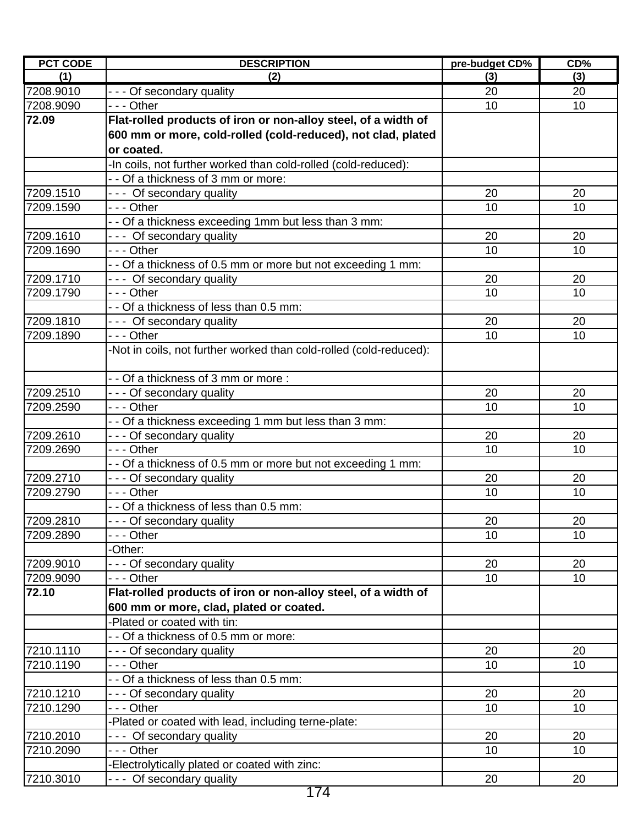| <b>PCT CODE</b> | <b>DESCRIPTION</b>                                                              | pre-budget CD% | CD% |
|-----------------|---------------------------------------------------------------------------------|----------------|-----|
| (1)             | (2)                                                                             | (3)            | (3) |
| 7208.9010       | - - - Of secondary quality                                                      | 20             | 20  |
| 7208.9090       | - - - Other                                                                     | 10             | 10  |
| 72.09           | Flat-rolled products of iron or non-alloy steel, of a width of                  |                |     |
|                 | 600 mm or more, cold-rolled (cold-reduced), not clad, plated                    |                |     |
|                 | or coated.                                                                      |                |     |
|                 | -In coils, not further worked than cold-rolled (cold-reduced):                  |                |     |
|                 | - - Of a thickness of 3 mm or more:                                             |                |     |
| 7209.1510       | --- Of secondary quality                                                        | 20             | 20  |
| 7209.1590       | $- -$ Other                                                                     | 10             | 10  |
|                 | - - Of a thickness exceeding 1mm but less than 3 mm:                            |                |     |
| 7209.1610       | --- Of secondary quality                                                        | 20             | 20  |
| 7209.1690       | - - - Other                                                                     | 10             | 10  |
|                 | - - Of a thickness of 0.5 mm or more but not exceeding 1 mm:                    |                |     |
| 7209.1710       | --- Of secondary quality                                                        | 20             | 20  |
| 7209.1790       | --- Other                                                                       | 10             | 10  |
|                 | - - Of a thickness of less than 0.5 mm:                                         |                |     |
| 7209.1810       | --- Of secondary quality                                                        | 20             | 20  |
| 7209.1890       | - - - Other                                                                     | 10             | 10  |
|                 | -Not in coils, not further worked than cold-rolled (cold-reduced):              |                |     |
|                 |                                                                                 |                |     |
|                 | - - Of a thickness of 3 mm or more :                                            |                |     |
| 7209.2510       | - - - Of secondary quality                                                      | 20             | 20  |
| 7209.2590       | $- -$ Other                                                                     | 10             | 10  |
|                 | - - Of a thickness exceeding 1 mm but less than 3 mm:                           |                |     |
| 7209.2610       | - - - Of secondary quality                                                      | 20             | 20  |
| 7209.2690       | - - - Other                                                                     | 10             | 10  |
|                 | - - Of a thickness of 0.5 mm or more but not exceeding 1 mm:                    |                |     |
| 7209.2710       | - - - Of secondary quality                                                      | 20             | 20  |
| 7209.2790       | - - - Other                                                                     | 10             | 10  |
|                 | - - Of a thickness of less than 0.5 mm:                                         |                |     |
| 7209.2810       | - - - Of secondary quality                                                      | 20             | 20  |
| 7209.2890       |                                                                                 | 10             | 10  |
|                 | -Other:                                                                         |                |     |
| 7209.9010       | - - - Of secondary quality                                                      | 20             | 20  |
| 7209.9090       | --- Other                                                                       | 10             | 10  |
| 72.10           | Flat-rolled products of iron or non-alloy steel, of a width of                  |                |     |
|                 | 600 mm or more, clad, plated or coated.                                         |                |     |
|                 | -Plated or coated with tin:                                                     |                |     |
|                 | - - Of a thickness of 0.5 mm or more:                                           |                |     |
| 7210.1110       | - - - Of secondary quality                                                      | 20             | 20  |
| 7210.1190       | --- Other                                                                       | 10             | 10  |
|                 | - - Of a thickness of less than 0.5 mm:                                         |                |     |
| 7210.1210       | - - - Of secondary quality                                                      | 20             | 20  |
| 7210.1290       | - - - Other                                                                     | 10             | 10  |
|                 |                                                                                 |                |     |
| 7210.2010       | -Plated or coated with lead, including terne-plate:<br>--- Of secondary quality | 20             | 20  |
| 7210.2090       | - - - Other                                                                     | 10             | 10  |
|                 | -Electrolytically plated or coated with zinc:                                   |                |     |
| 7210.3010       | --- Of secondary quality                                                        | 20             | 20  |
|                 |                                                                                 |                |     |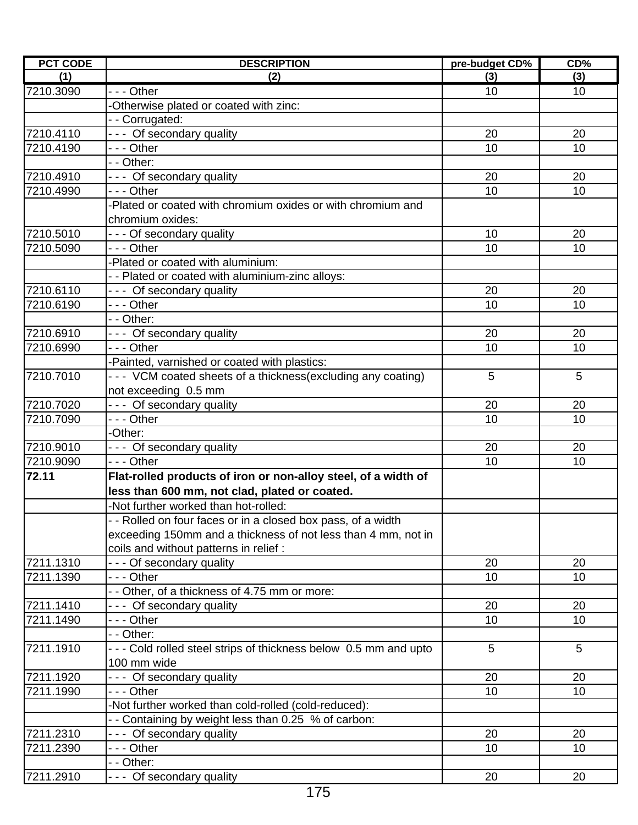| <b>PCT CODE</b> | <b>DESCRIPTION</b>                                                | pre-budget CD% | CD% |
|-----------------|-------------------------------------------------------------------|----------------|-----|
| (1)             | (2)                                                               | (3)            | (3) |
| 7210.3090       | --- Other                                                         | 10             | 10  |
|                 | -Otherwise plated or coated with zinc:                            |                |     |
|                 | -- Corrugated:                                                    |                |     |
| 7210.4110       | --- Of secondary quality                                          | 20             | 20  |
| 7210.4190       | - - - Other                                                       | 10             | 10  |
|                 | - - Other:                                                        |                |     |
| 7210.4910       | --- Of secondary quality                                          | 20             | 20  |
| 7210.4990       | - - - Other                                                       | 10             | 10  |
|                 | -Plated or coated with chromium oxides or with chromium and       |                |     |
|                 | chromium oxides:                                                  |                |     |
| 7210.5010       | - - - Of secondary quality                                        | 10             | 20  |
| 7210.5090       | --- Other                                                         | 10             | 10  |
|                 | -Plated or coated with aluminium:                                 |                |     |
|                 | - - Plated or coated with aluminium-zinc alloys:                  |                |     |
| 7210.6110       | --- Of secondary quality                                          | 20             | 20  |
| 7210.6190       | - - - Other                                                       | 10             | 10  |
|                 | - - Other:                                                        |                |     |
| 7210.6910       | --- Of secondary quality                                          | 20             | 20  |
| 7210.6990       | - - - Other                                                       | 10             | 10  |
|                 | -Painted, varnished or coated with plastics:                      |                |     |
| 7210.7010       | --- VCM coated sheets of a thickness(excluding any coating)       | 5              | 5   |
|                 | not exceeding 0.5 mm                                              |                |     |
| 7210.7020       | --- Of secondary quality                                          | 20             | 20  |
| 7210.7090       | - - - Other                                                       | 10             | 10  |
|                 | -Other:                                                           |                |     |
| 7210.9010       | --- Of secondary quality                                          | 20             | 20  |
| 7210.9090       | --- Other                                                         | 10             | 10  |
| 72.11           | Flat-rolled products of iron or non-alloy steel, of a width of    |                |     |
|                 | less than 600 mm, not clad, plated or coated.                     |                |     |
|                 | -Not further worked than hot-rolled:                              |                |     |
|                 | -- Rolled on four faces or in a closed box pass, of a width       |                |     |
|                 | exceeding 150mm and a thickness of not less than 4 mm, not in     |                |     |
|                 | coils and without patterns in relief :                            |                |     |
| 7211.1310       | - - - Of secondary quality                                        | 20             | 20  |
| 7211.1390       | - - - Other                                                       | 10             | 10  |
|                 | - - Other, of a thickness of 4.75 mm or more:                     |                |     |
| 7211.1410       | --- Of secondary quality                                          | 20             | 20  |
| 7211.1490       | - - - Other                                                       | 10             | 10  |
|                 | - - Other:                                                        |                |     |
| 7211.1910       | - - - Cold rolled steel strips of thickness below 0.5 mm and upto | 5              | 5   |
|                 | 100 mm wide                                                       |                |     |
| 7211.1920       |                                                                   |                |     |
|                 | --- Of secondary quality                                          | 20             | 20  |
| 7211.1990       | - - - Other                                                       | 10             | 10  |
|                 | Not further worked than cold-rolled (cold-reduced):               |                |     |
|                 | - - Containing by weight less than 0.25 % of carbon:              |                |     |
| 7211.2310       | --- Of secondary quality                                          | 20             | 20  |
| 7211.2390       | --- Other                                                         | 10             | 10  |
|                 | - - Other:                                                        |                |     |
| 7211.2910       | --- Of secondary quality                                          | 20             | 20  |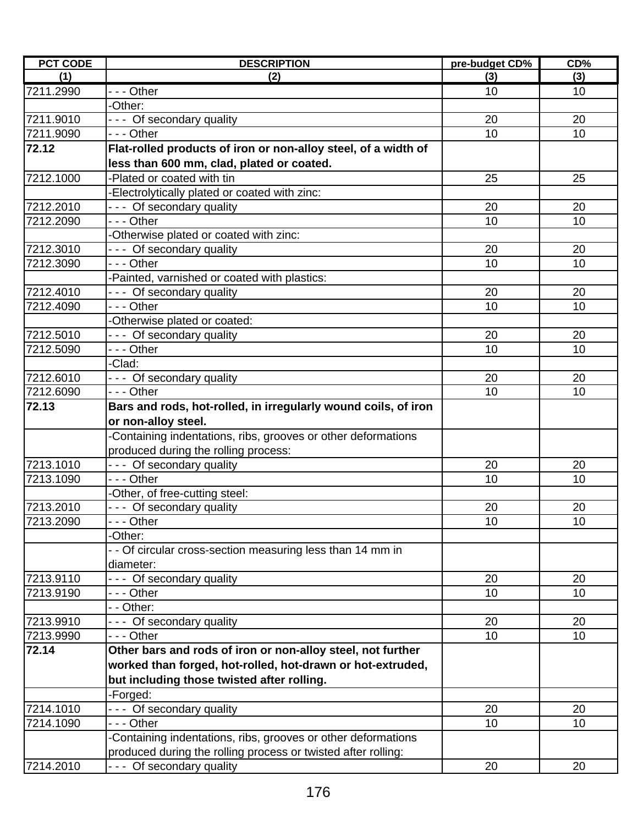| <b>PCT CODE</b> | <b>DESCRIPTION</b>                                             | pre-budget CD% | CD%  |
|-----------------|----------------------------------------------------------------|----------------|------|
| (1)             | (2)                                                            | (3)            | (3)  |
| 7211.2990       | --- Other                                                      | 10             | 10   |
|                 | -Other:                                                        |                |      |
| 7211.9010       | --- Of secondary quality                                       | 20             | 20   |
| 7211.9090       | $- -$ Other                                                    | 10             | 10   |
| 72.12           | Flat-rolled products of iron or non-alloy steel, of a width of |                |      |
|                 | less than 600 mm, clad, plated or coated.                      |                |      |
| 7212.1000       | -Plated or coated with tin                                     | 25             | 25   |
|                 | -Electrolytically plated or coated with zinc:                  |                |      |
| 7212.2010       | --- Of secondary quality                                       | 20             | 20   |
| 7212.2090       | --- Other                                                      | 10             | 10   |
|                 | -Otherwise plated or coated with zinc:                         |                |      |
| 7212.3010       | --- Of secondary quality                                       | 20             | 20   |
| 7212.3090       | - - - Other                                                    | 10             | 10   |
|                 | -Painted, varnished or coated with plastics:                   |                |      |
| 7212.4010       | --- Of secondary quality                                       | 20             | 20   |
| 7212.4090       | - - - Other                                                    | 10             | 10   |
|                 | -Otherwise plated or coated:                                   |                |      |
| 7212.5010       | --- Of secondary quality                                       | 20             | 20   |
| 7212.5090       | - - - Other                                                    | 10             | 10   |
|                 | -Clad:                                                         |                |      |
| 7212.6010       | --- Of secondary quality                                       | 20             | 20   |
| 7212.6090       | $- -$ Other                                                    | 10             | 10   |
| 72.13           | Bars and rods, hot-rolled, in irregularly wound coils, of iron |                |      |
|                 | or non-alloy steel.                                            |                |      |
|                 | -Containing indentations, ribs, grooves or other deformations  |                |      |
|                 |                                                                |                |      |
| 7213.1010       | produced during the rolling process:                           | 20             | 20   |
| 7213.1090       | --- Of secondary quality<br>--- Other                          | 10             | 10   |
|                 |                                                                |                |      |
| 7213.2010       | -Other, of free-cutting steel:                                 |                |      |
|                 | --- Of secondary quality                                       | 20             | 20   |
| 7213.2090       | - - Other                                                      | $10$           | $10$ |
|                 | -Other:                                                        |                |      |
|                 | - - Of circular cross-section measuring less than 14 mm in     |                |      |
|                 | diameter:                                                      |                |      |
| 7213.9110       | --- Of secondary quality                                       | 20             | 20   |
| 7213.9190       | - - - Other                                                    | 10             | 10   |
|                 | - - Other:                                                     |                |      |
| 7213.9910       | --- Of secondary quality                                       | 20             | 20   |
| 7213.9990       | - - - Other                                                    | 10             | 10   |
| 72.14           | Other bars and rods of iron or non-alloy steel, not further    |                |      |
|                 | worked than forged, hot-rolled, hot-drawn or hot-extruded,     |                |      |
|                 | but including those twisted after rolling.                     |                |      |
|                 | -Forged:                                                       |                |      |
| 7214.1010       | --- Of secondary quality                                       | 20             | 20   |
| 7214.1090       | - - - Other                                                    | 10             | 10   |
|                 | -Containing indentations, ribs, grooves or other deformations  |                |      |
|                 | produced during the rolling process or twisted after rolling:  |                |      |
| 7214.2010       | --- Of secondary quality                                       | 20             | 20   |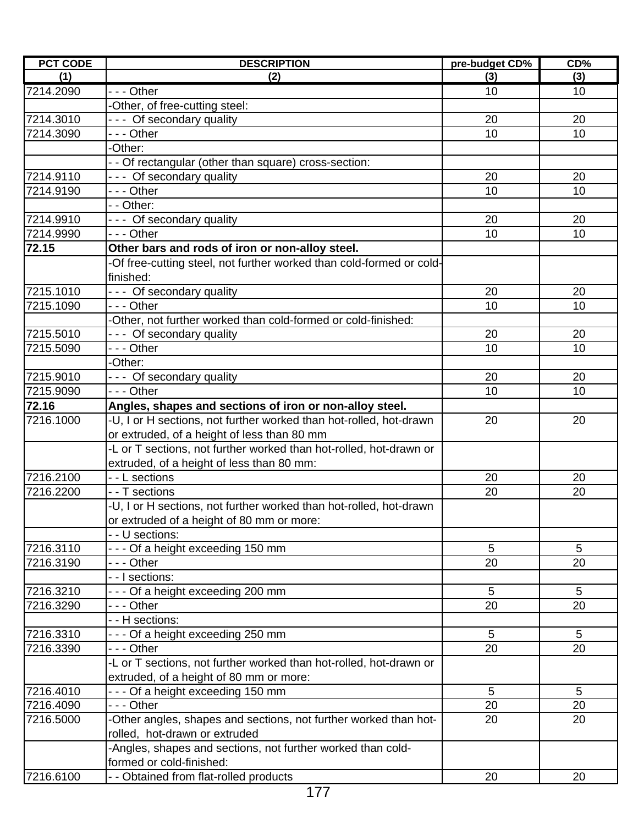| <b>PCT CODE</b> | <b>DESCRIPTION</b>                                                   | pre-budget CD% | CD% |
|-----------------|----------------------------------------------------------------------|----------------|-----|
| (1)             | (2)                                                                  | (3)            | (3) |
| 7214.2090       | $- -$ Other                                                          | 10             | 10  |
|                 | -Other, of free-cutting steel:                                       |                |     |
| 7214.3010       | --- Of secondary quality                                             | 20             | 20  |
| 7214.3090       | --- Other                                                            | 10             | 10  |
|                 | -Other:                                                              |                |     |
|                 | - - Of rectangular (other than square) cross-section:                |                |     |
| 7214.9110       | --- Of secondary quality                                             | 20             | 20  |
| 7214.9190       | $- -$ Other                                                          | 10             | 10  |
|                 | - - Other:                                                           |                |     |
| 7214.9910       | --- Of secondary quality                                             | 20             | 20  |
| 7214.9990       | --- Other                                                            | 10             | 10  |
| 72.15           | Other bars and rods of iron or non-alloy steel.                      |                |     |
|                 | -Of free-cutting steel, not further worked than cold-formed or cold- |                |     |
|                 | finished:                                                            |                |     |
| 7215.1010       | --- Of secondary quality                                             | 20             | 20  |
| 7215.1090       | - - - Other                                                          | 10             | 10  |
|                 | -Other, not further worked than cold-formed or cold-finished:        |                |     |
| 7215.5010       | --- Of secondary quality                                             | 20             | 20  |
| 7215.5090       | $\overline{-}$ - Other                                               | 10             | 10  |
|                 | -Other:                                                              |                |     |
| 7215.9010       | --- Of secondary quality                                             | 20             | 20  |
| 7215.9090       | - - - Other                                                          | 10             | 10  |
| 72.16           | Angles, shapes and sections of iron or non-alloy steel.              |                |     |
| 7216.1000       | -U, I or H sections, not further worked than hot-rolled, hot-drawn   | 20             | 20  |
|                 | or extruded, of a height of less than 80 mm                          |                |     |
|                 | -L or T sections, not further worked than hot-rolled, hot-drawn or   |                |     |
|                 | extruded, of a height of less than 80 mm:                            |                |     |
| 7216.2100       | - - L sections                                                       | 20             | 20  |
| 7216.2200       | - - T sections                                                       | 20             | 20  |
|                 | -U, I or H sections, not further worked than hot-rolled, hot-drawn   |                |     |
|                 | or extruded of a height of 80 mm or more:                            |                |     |
|                 | - - U sections:                                                      |                |     |
| 7216.3110       | --- Of a height exceeding 150 mm                                     | 5              | 5   |
| 7216.3190       | - - - Other                                                          | 20             | 20  |
|                 | - - I sections:                                                      |                |     |
| 7216.3210       | --- Of a height exceeding 200 mm                                     | 5              | 5   |
| 7216.3290       | - - - Other                                                          | 20             | 20  |
|                 | - - H sections:                                                      |                |     |
| 7216.3310       | --- Of a height exceeding 250 mm                                     | 5              | 5   |
| 7216.3390       | --- Other                                                            | 20             | 20  |
|                 | -L or T sections, not further worked than hot-rolled, hot-drawn or   |                |     |
|                 | extruded, of a height of 80 mm or more:                              |                |     |
| 7216.4010       | --- Of a height exceeding 150 mm                                     | 5              | 5   |
| 7216.4090       | --- Other                                                            | 20             | 20  |
| 7216.5000       | -Other angles, shapes and sections, not further worked than hot-     | 20             | 20  |
|                 | rolled, hot-drawn or extruded                                        |                |     |
|                 | -Angles, shapes and sections, not further worked than cold-          |                |     |
|                 | formed or cold-finished:                                             |                |     |
| 7216.6100       | - - Obtained from flat-rolled products                               | 20             | 20  |
|                 |                                                                      |                |     |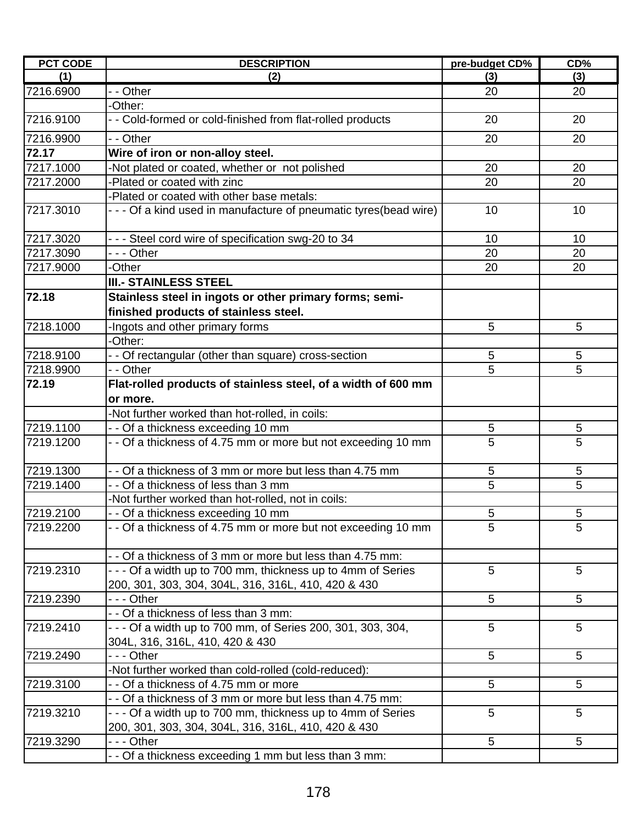| <b>PCT CODE</b> | <b>DESCRIPTION</b>                                                                               | pre-budget CD% | CD%        |
|-----------------|--------------------------------------------------------------------------------------------------|----------------|------------|
| (1)             | (2)                                                                                              | (3)            | (3)        |
| 7216.6900       | - - Other                                                                                        | 20             | 20         |
|                 | -Other:                                                                                          |                |            |
| 7216.9100       | - - Cold-formed or cold-finished from flat-rolled products                                       | 20             | 20         |
| 7216.9900       | - - Other                                                                                        | 20             | 20         |
| 72.17           | Wire of iron or non-alloy steel.                                                                 |                |            |
| 7217.1000       | -Not plated or coated, whether or not polished                                                   | 20             | 20         |
| 7217.2000       | -Plated or coated with zinc                                                                      | 20             | 20         |
|                 | -Plated or coated with other base metals:                                                        |                |            |
| 7217.3010       | - - - Of a kind used in manufacture of pneumatic tyres(bead wire)                                | 10             | 10         |
| 7217.3020       | - - - Steel cord wire of specification swg-20 to 34                                              | 10             | 10         |
| 7217.3090       | $- -$ Other                                                                                      | 20             | 20         |
| 7217.9000       | -Other                                                                                           | 20             | 20         |
|                 | <b>III.- STAINLESS STEEL</b>                                                                     |                |            |
| 72.18           | Stainless steel in ingots or other primary forms; semi-<br>finished products of stainless steel. |                |            |
| 7218.1000       | -Ingots and other primary forms                                                                  | 5              | 5          |
|                 | -Other:                                                                                          |                |            |
| 7218.9100       | - - Of rectangular (other than square) cross-section                                             | 5              | 5          |
| 7218.9900       | - - Other                                                                                        | 5              | 5          |
| 72.19           | Flat-rolled products of stainless steel, of a width of 600 mm                                    |                |            |
|                 | or more.                                                                                         |                |            |
|                 | -Not further worked than hot-rolled, in coils:                                                   |                |            |
| 7219.1100       | - - Of a thickness exceeding 10 mm                                                               | $\overline{5}$ | 5          |
| 7219.1200       | - - Of a thickness of 4.75 mm or more but not exceeding 10 mm                                    | 5              | 5          |
| 7219.1300       | - - Of a thickness of 3 mm or more but less than 4.75 mm                                         | 5              | $\sqrt{5}$ |
| 7219.1400       | - - Of a thickness of less than 3 mm                                                             | 5              | 5          |
|                 | -Not further worked than hot-rolled, not in coils:                                               |                |            |
| 7219.2100       | - - Of a thickness exceeding 10 mm                                                               | 5              | 5          |
| 7219.2200       | - - Of a thickness of 4.75 mm or more but not exceeding 10 mm                                    | 5              | 5          |
|                 | - - Of a thickness of 3 mm or more but less than 4.75 mm:                                        |                |            |
| 7219.2310       | - - - Of a width up to 700 mm, thickness up to 4mm of Series                                     | 5              | 5          |
|                 | 200, 301, 303, 304, 304L, 316, 316L, 410, 420 & 430                                              |                |            |
| 7219.2390       | - - - Other                                                                                      | 5              | 5          |
|                 | - - Of a thickness of less than 3 mm:                                                            |                |            |
| 7219.2410       | - - - Of a width up to 700 mm, of Series 200, 301, 303, 304,                                     | 5              | 5          |
|                 | 304L, 316, 316L, 410, 420 & 430                                                                  |                |            |
| 7219.2490       | - - - Other                                                                                      | 5              | 5          |
|                 | -Not further worked than cold-rolled (cold-reduced):                                             |                |            |
| 7219.3100       | - - Of a thickness of 4.75 mm or more                                                            | 5              | 5          |
|                 | - - Of a thickness of 3 mm or more but less than 4.75 mm:                                        |                |            |
| 7219.3210       | - - - Of a width up to 700 mm, thickness up to 4mm of Series                                     | 5              | 5          |
|                 | 200, 301, 303, 304, 304L, 316, 316L, 410, 420 & 430                                              |                |            |
| 7219.3290       | $- -$ Other                                                                                      | 5              | 5          |
|                 | - - Of a thickness exceeding 1 mm but less than 3 mm:                                            |                |            |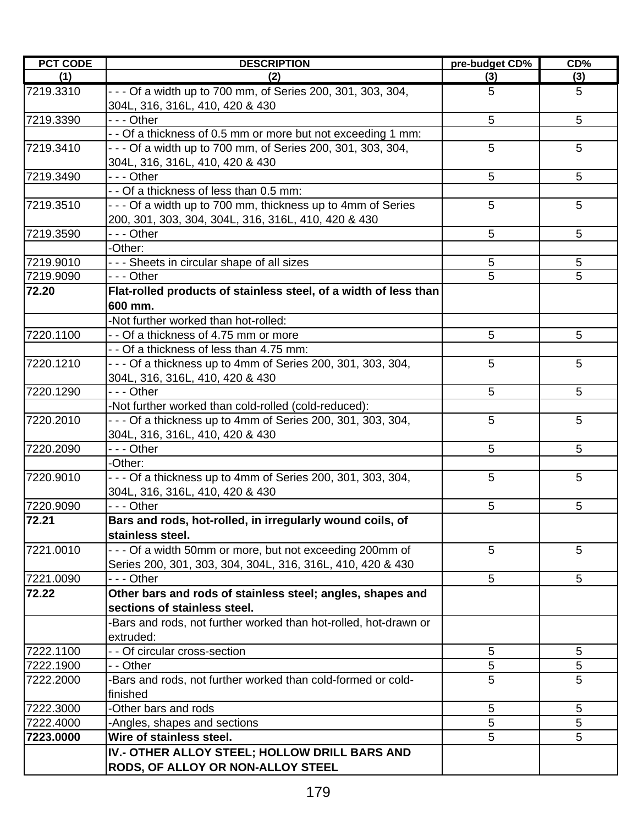| <b>PCT CODE</b> | <b>DESCRIPTION</b>                                                                              | pre-budget CD% | CD% |
|-----------------|-------------------------------------------------------------------------------------------------|----------------|-----|
| (1)             | (2)                                                                                             | (3)            | (3) |
| 7219.3310       | - - - Of a width up to 700 mm, of Series 200, 301, 303, 304,<br>304L, 316, 316L, 410, 420 & 430 | 5              | 5   |
| 7219.3390       | - - - Other                                                                                     | 5              | 5   |
|                 | - - Of a thickness of 0.5 mm or more but not exceeding 1 mm:                                    |                |     |
| 7219.3410       | - - - Of a width up to 700 mm, of Series 200, 301, 303, 304,<br>304L, 316, 316L, 410, 420 & 430 | 5              | 5   |
| 7219.3490       | --- Other                                                                                       | 5              | 5   |
|                 | - - Of a thickness of less than 0.5 mm:                                                         |                |     |
| 7219.3510       | - - - Of a width up to 700 mm, thickness up to 4mm of Series                                    | 5              | 5   |
|                 | 200, 301, 303, 304, 304L, 316, 316L, 410, 420 & 430                                             |                |     |
| 7219.3590       | --- Other                                                                                       | 5              | 5   |
|                 | -Other:                                                                                         |                |     |
| 7219.9010       | - - - Sheets in circular shape of all sizes                                                     | 5              | 5   |
| 7219.9090       | - - - Other                                                                                     | 5              | 5   |
| 72.20           | Flat-rolled products of stainless steel, of a width of less than                                |                |     |
|                 | 600 mm.                                                                                         |                |     |
|                 | -Not further worked than hot-rolled:                                                            |                |     |
| 7220.1100       | - - Of a thickness of 4.75 mm or more                                                           | 5              | 5   |
|                 | - - Of a thickness of less than 4.75 mm:                                                        |                |     |
| 7220.1210       | - - - Of a thickness up to 4mm of Series 200, 301, 303, 304,                                    | 5              | 5   |
|                 | 304L, 316, 316L, 410, 420 & 430                                                                 |                |     |
| 7220.1290       | - - - Other                                                                                     | 5              | 5   |
|                 | -Not further worked than cold-rolled (cold-reduced):                                            |                |     |
| 7220.2010       | - - - Of a thickness up to 4mm of Series 200, 301, 303, 304,<br>304L, 316, 316L, 410, 420 & 430 | 5              | 5   |
| 7220.2090       | - - - Other                                                                                     | 5              | 5   |
|                 | -Other:                                                                                         |                |     |
| 7220.9010       | - - - Of a thickness up to 4mm of Series 200, 301, 303, 304,                                    | 5              | 5   |
|                 | 304L, 316, 316L, 410, 420 & 430                                                                 |                |     |
| 7220.9090       | - - - Other                                                                                     | 5              | 5   |
| 72.21           | Bars and rods, hot-rolled, in irregularly wound coils, of                                       |                |     |
|                 | stainless steel.                                                                                |                |     |
| 7221.0010       | - - - Of a width 50mm or more, but not exceeding 200mm of                                       | 5              | 5   |
|                 | Series 200, 301, 303, 304, 304L, 316, 316L, 410, 420 & 430                                      |                |     |
| 7221.0090       | - - - Other                                                                                     | 5              | 5   |
| 72.22           | Other bars and rods of stainless steel; angles, shapes and                                      |                |     |
|                 | sections of stainless steel.                                                                    |                |     |
|                 | Bars and rods, not further worked than hot-rolled, hot-drawn or                                 |                |     |
|                 | extruded:                                                                                       |                |     |
| 7222.1100       | - - Of circular cross-section                                                                   | 5              | 5   |
| 7222.1900       | - - Other                                                                                       | 5              | 5   |
| 7222.2000       | -Bars and rods, not further worked than cold-formed or cold-                                    | 5              | 5   |
|                 | finished                                                                                        |                |     |
| 7222.3000       | -Other bars and rods                                                                            | 5              | 5   |
| 7222.4000       | -Angles, shapes and sections                                                                    | 5              | 5   |
| 7223.0000       | Wire of stainless steel.                                                                        | 5              | 5   |
|                 | IV.- OTHER ALLOY STEEL; HOLLOW DRILL BARS AND                                                   |                |     |
|                 | RODS, OF ALLOY OR NON-ALLOY STEEL                                                               |                |     |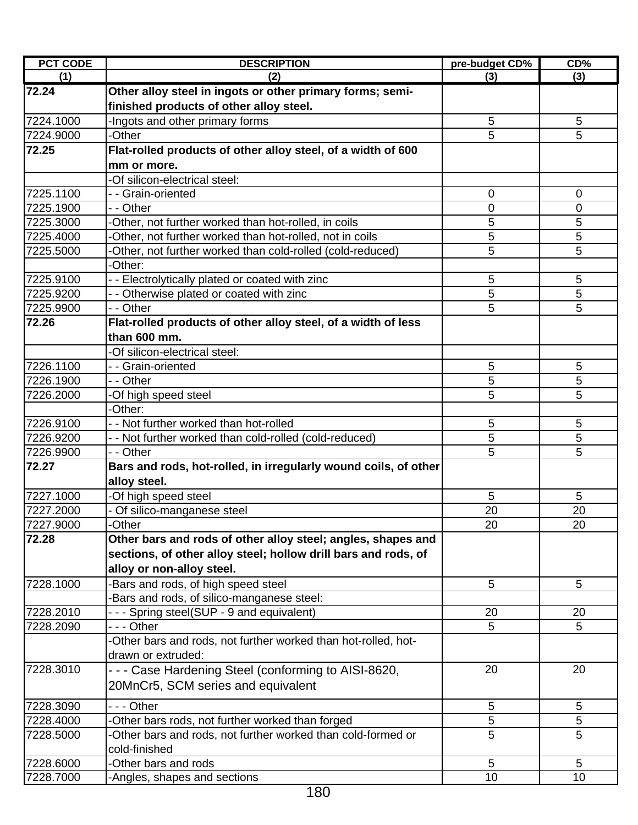| <b>PCT CODE</b> | <b>DESCRIPTION</b>                                              | pre-budget CD% | CD%            |
|-----------------|-----------------------------------------------------------------|----------------|----------------|
| (1)             | (2)                                                             | (3)            | (3)            |
| 72.24           | Other alloy steel in ingots or other primary forms; semi-       |                |                |
|                 | finished products of other alloy steel.                         |                |                |
| 7224.1000       | -Ingots and other primary forms                                 | 5              | 5              |
| 7224.9000       | -Other                                                          | 5              | 5              |
| 72.25           | Flat-rolled products of other alloy steel, of a width of 600    |                |                |
|                 | mm or more.                                                     |                |                |
|                 | -Of silicon-electrical steel:                                   |                |                |
| 7225.1100       | - - Grain-oriented                                              | $\mathbf 0$    | $\mathbf 0$    |
| 7225.1900       | - - Other                                                       | 0              | 0              |
| 7225.3000       | -Other, not further worked than hot-rolled, in coils            | 5              | 5              |
| 7225.4000       | -Other, not further worked than hot-rolled, not in coils        | 5              | 5              |
| 7225.5000       | -Other, not further worked than cold-rolled (cold-reduced)      | 5              | 5              |
|                 | -Other:                                                         |                |                |
| 7225.9100       | - - Electrolytically plated or coated with zinc                 | 5              | 5              |
| 7225.9200       | - - Otherwise plated or coated with zinc                        | 5              | $\overline{5}$ |
| 7225.9900       | - - Other                                                       | 5              | 5              |
| 72.26           | Flat-rolled products of other alloy steel, of a width of less   |                |                |
|                 | than 600 mm.                                                    |                |                |
|                 | -Of silicon-electrical steel:                                   |                |                |
| 7226.1100       | - - Grain-oriented                                              | 5              | 5              |
| 7226.1900       | - - Other                                                       | 5              | 5              |
| 7226.2000       | -Of high speed steel                                            | 5              | 5              |
|                 | -Other:                                                         |                |                |
| 7226.9100       | - - Not further worked than hot-rolled                          | 5              | 5              |
| 7226.9200       | - - Not further worked than cold-rolled (cold-reduced)          | 5              | 5              |
| 7226.9900       | - - Other                                                       | 5              | 5              |
| 72.27           | Bars and rods, hot-rolled, in irregularly wound coils, of other |                |                |
|                 | alloy steel.                                                    |                |                |
| 7227.1000       | -Of high speed steel                                            | 5              | 5              |
| 7227.2000       | - Of silico-manganese steel                                     | 20             | 20             |
| 7227.9000       | -Other                                                          | 20             | 20             |
| 72.28           | Other bars and rods of other alloy steel; angles, shapes and    |                |                |
|                 | sections, of other alloy steel; hollow drill bars and rods, of  |                |                |
|                 | alloy or non-alloy steel.                                       |                |                |
| 7228.1000       | -Bars and rods, of high speed steel                             | 5              | 5              |
|                 | -Bars and rods, of silico-manganese steel:                      |                |                |
| 7228.2010       | - - - Spring steel(SUP - 9 and equivalent)                      | 20             | 20             |
| 7228.2090       | --- Other                                                       | 5              | 5              |
|                 | -Other bars and rods, not further worked than hot-rolled, hot-  |                |                |
|                 | drawn or extruded:                                              |                |                |
| 7228.3010       | - - - Case Hardening Steel (conforming to AISI-8620,            | 20             | 20             |
|                 | 20MnCr5, SCM series and equivalent                              |                |                |
| 7228.3090       | --- Other                                                       | 5              | 5              |
| 7228.4000       | -Other bars rods, not further worked than forged                | 5              | $\sqrt{5}$     |
| 7228.5000       | -Other bars and rods, not further worked than cold-formed or    | 5              | 5              |
|                 | cold-finished                                                   |                |                |
| 7228.6000       | -Other bars and rods                                            | $\overline{5}$ | 5              |
| 7228.7000       | -Angles, shapes and sections                                    | 10             | 10             |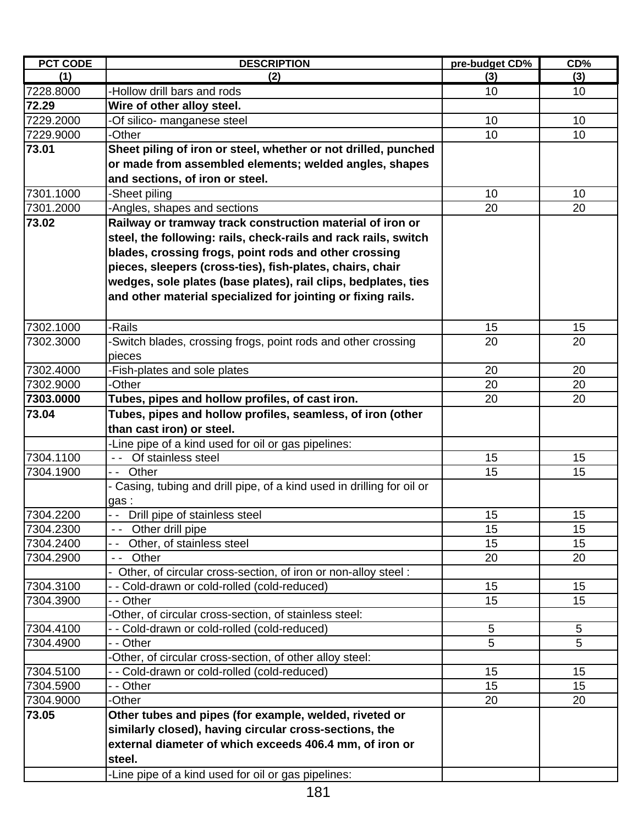| <b>PCT CODE</b> | <b>DESCRIPTION</b>                                                   | pre-budget CD% | $CD\%$ |
|-----------------|----------------------------------------------------------------------|----------------|--------|
| (1)             | (2)                                                                  | (3)            | (3)    |
| 7228.8000       | -Hollow drill bars and rods                                          | 10             | 10     |
| 72.29           | Wire of other alloy steel.                                           |                |        |
| 7229.2000       | Of silico- manganese steel                                           | 10             | 10     |
| 7229.9000       | -Other                                                               | 10             | 10     |
| 73.01           | Sheet piling of iron or steel, whether or not drilled, punched       |                |        |
|                 | or made from assembled elements; welded angles, shapes               |                |        |
|                 | and sections, of iron or steel.                                      |                |        |
| 7301.1000       | -Sheet piling                                                        | 10             | 10     |
| 7301.2000       | Angles, shapes and sections                                          | 20             | 20     |
| 73.02           | Railway or tramway track construction material of iron or            |                |        |
|                 | steel, the following: rails, check-rails and rack rails, switch      |                |        |
|                 | blades, crossing frogs, point rods and other crossing                |                |        |
|                 | pieces, sleepers (cross-ties), fish-plates, chairs, chair            |                |        |
|                 | wedges, sole plates (base plates), rail clips, bedplates, ties       |                |        |
|                 | and other material specialized for jointing or fixing rails.         |                |        |
|                 |                                                                      |                |        |
| 7302.1000       | -Rails                                                               | 15             | 15     |
| 7302.3000       | -Switch blades, crossing frogs, point rods and other crossing        | 20             | 20     |
|                 | pieces                                                               |                |        |
| 7302.4000       | Fish-plates and sole plates                                          | 20             | 20     |
| 7302.9000       | -Other                                                               | 20             | 20     |
| 7303.0000       | Tubes, pipes and hollow profiles, of cast iron.                      | 20             | 20     |
| 73.04           | Tubes, pipes and hollow profiles, seamless, of iron (other           |                |        |
|                 | than cast iron) or steel.                                            |                |        |
|                 | -Line pipe of a kind used for oil or gas pipelines:                  |                |        |
| 7304.1100       | Of stainless steel                                                   | 15             | 15     |
| 7304.1900       | Other<br>$ -$                                                        | 15             | 15     |
|                 | Casing, tubing and drill pipe, of a kind used in drilling for oil or |                |        |
|                 | gas:                                                                 |                |        |
| 7304.2200       | -- Drill pipe of stainless steel                                     | 15             | 15     |
| 7304.2300       | -- Other drill pipe                                                  | 15             | 15     |
| 7304.2400       | Other, of stainless steel                                            | 15             | 15     |
| 7304.2900       | Other                                                                | 20             | 20     |
|                 | Other, of circular cross-section, of iron or non-alloy steel :       |                |        |
| 7304.3100       | Cold-drawn or cold-rolled (cold-reduced)                             | 15             | 15     |
| 7304.3900       | - Other                                                              | 15             | 15     |
|                 | Other, of circular cross-section, of stainless steel:                |                |        |
| 7304.4100       | Cold-drawn or cold-rolled (cold-reduced)                             | $\overline{5}$ | 5      |
| 7304.4900       | - - Other                                                            | 5              | 5      |
|                 | Other, of circular cross-section, of other alloy steel:              |                |        |
| 7304.5100       | - Cold-drawn or cold-rolled (cold-reduced)                           | 15             | 15     |
| 7304.5900       | - Other                                                              | 15             | 15     |
| 7304.9000       | -Other                                                               | 20             | 20     |
| 73.05           | Other tubes and pipes (for example, welded, riveted or               |                |        |
|                 | similarly closed), having circular cross-sections, the               |                |        |
|                 | external diameter of which exceeds 406.4 mm, of iron or              |                |        |
|                 | steel.                                                               |                |        |
|                 | -Line pipe of a kind used for oil or gas pipelines:                  |                |        |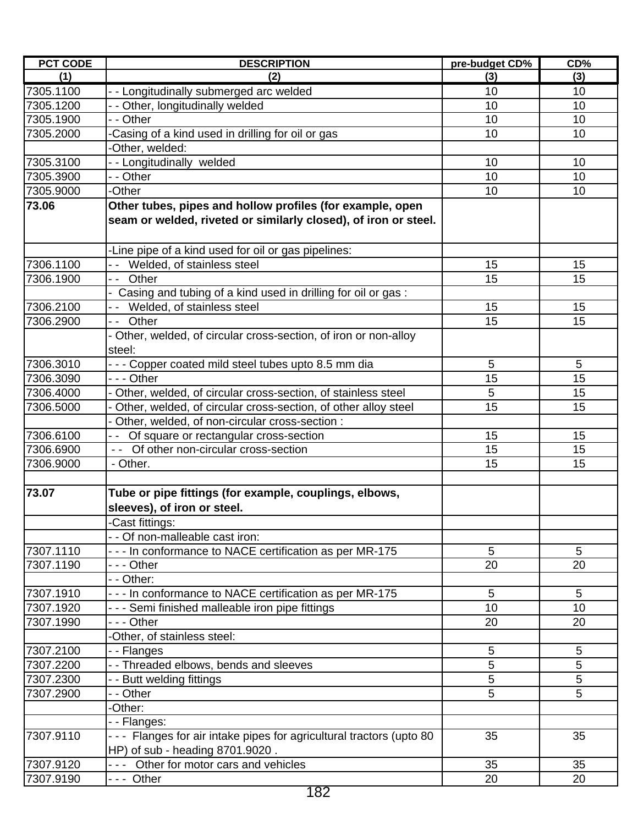| <b>PCT CODE</b> | <b>DESCRIPTION</b>                                                                                       | pre-budget CD% | CD% |
|-----------------|----------------------------------------------------------------------------------------------------------|----------------|-----|
| (1)             | (2)                                                                                                      | (3)            | (3) |
| 7305.1100       | - - Longitudinally submerged arc welded                                                                  | 10             | 10  |
| 7305.1200       | - - Other, longitudinally welded                                                                         | 10             | 10  |
| 7305.1900       | - - Other                                                                                                | 10             | 10  |
| 7305.2000       | -Casing of a kind used in drilling for oil or gas                                                        | 10             | 10  |
|                 | -Other, welded:                                                                                          |                |     |
| 7305.3100       | -- Longitudinally welded                                                                                 | 10             | 10  |
| 7305.3900       | - - Other                                                                                                | 10             | 10  |
| 7305.9000       | -Other                                                                                                   | 10             | 10  |
| 73.06           | Other tubes, pipes and hollow profiles (for example, open                                                |                |     |
|                 | seam or welded, riveted or similarly closed), of iron or steel.                                          |                |     |
|                 | -Line pipe of a kind used for oil or gas pipelines:                                                      |                |     |
| 7306.1100       | -- Welded, of stainless steel                                                                            | 15             | 15  |
| 7306.1900       | -- Other                                                                                                 | 15             | 15  |
|                 | - Casing and tubing of a kind used in drilling for oil or gas:                                           |                |     |
| 7306.2100       | Welded, of stainless steel                                                                               | 15             | 15  |
| 7306.2900       | -- Other                                                                                                 | 15             | 15  |
|                 | - Other, welded, of circular cross-section, of iron or non-alloy<br>steel:                               |                |     |
| 7306.3010       | - - - Copper coated mild steel tubes upto 8.5 mm dia                                                     | 5              | 5   |
| 7306.3090       | --- Other                                                                                                | 15             | 15  |
| 7306.4000       | Other, welded, of circular cross-section, of stainless steel                                             | 5              | 15  |
| 7306.5000       | Other, welded, of circular cross-section, of other alloy steel                                           | 15             | 15  |
|                 | Other, welded, of non-circular cross-section :                                                           |                |     |
| 7306.6100       | - - Of square or rectangular cross-section                                                               | 15             | 15  |
| 7306.6900       | - - Of other non-circular cross-section                                                                  | 15             | 15  |
| 7306.9000       | - Other.                                                                                                 | 15             | 15  |
| 73.07           | Tube or pipe fittings (for example, couplings, elbows,<br>sleeves), of iron or steel.<br>-Cast fittings: |                |     |
|                 | - - Of non-malleable cast iron:                                                                          |                |     |
| 7307.1110       | - - - In conformance to NACE certification as per MR-175                                                 | 5              | 5   |
| 7307.1190       | - - - Other                                                                                              | 20             | 20  |
|                 | - - Other:                                                                                               |                |     |
| 7307.1910       | - - - In conformance to NACE certification as per MR-175                                                 | 5              | 5   |
| 7307.1920       | - - - Semi finished malleable iron pipe fittings                                                         | 10             | 10  |
| 7307.1990       | --- Other                                                                                                | 20             | 20  |
|                 | -Other, of stainless steel:                                                                              |                |     |
| 7307.2100       | - - Flanges                                                                                              | 5              | 5   |
| 7307.2200       | - - Threaded elbows, bends and sleeves                                                                   | 5              | 5   |
| 7307.2300       | - - Butt welding fittings                                                                                | 5              | 5   |
| 7307.2900       | - - Other                                                                                                | 5              | 5   |
|                 | -Other:                                                                                                  |                |     |
|                 | --Flanges:                                                                                               |                |     |
| 7307.9110       | - - - Flanges for air intake pipes for agricultural tractors (upto 80                                    | 35             | 35  |
|                 | HP) of sub - heading 8701.9020.                                                                          |                |     |
| 7307.9120       | --- Other for motor cars and vehicles                                                                    | 35             | 35  |
| 7307.9190       | --- Other                                                                                                | 20             | 20  |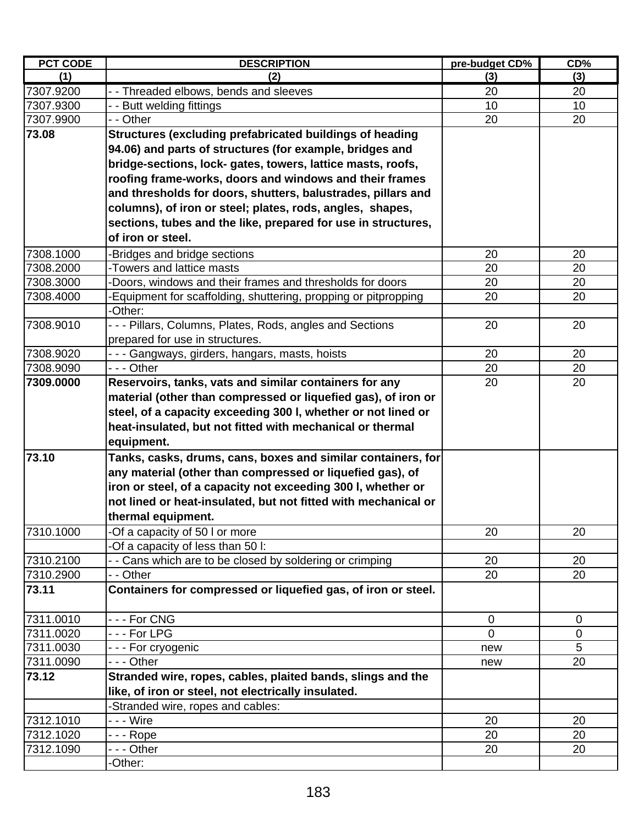| <b>PCT CODE</b> | <b>DESCRIPTION</b>                                             | pre-budget CD% | CD%             |
|-----------------|----------------------------------------------------------------|----------------|-----------------|
| (1)             | (2)                                                            | (3)            | (3)             |
| 7307.9200       | - - Threaded elbows, bends and sleeves                         | 20             | 20              |
| 7307.9300       | - Butt welding fittings                                        | 10             | 10              |
| 7307.9900       | - - Other                                                      | 20             | 20              |
| 73.08           | Structures (excluding prefabricated buildings of heading       |                |                 |
|                 | 94.06) and parts of structures (for example, bridges and       |                |                 |
|                 | bridge-sections, lock- gates, towers, lattice masts, roofs,    |                |                 |
|                 | roofing frame-works, doors and windows and their frames        |                |                 |
|                 | and thresholds for doors, shutters, balustrades, pillars and   |                |                 |
|                 | columns), of iron or steel; plates, rods, angles, shapes,      |                |                 |
|                 | sections, tubes and the like, prepared for use in structures,  |                |                 |
|                 | of iron or steel.                                              |                |                 |
| 7308.1000       | Bridges and bridge sections                                    | 20             | 20              |
| 7308.2000       | -Towers and lattice masts                                      | 20             | 20              |
| 7308.3000       | Doors, windows and their frames and thresholds for doors       | 20             | 20              |
| 7308.4000       | Equipment for scaffolding, shuttering, propping or pitpropping | 20             | 20              |
|                 | -Other:                                                        |                |                 |
| 7308.9010       | --- Pillars, Columns, Plates, Rods, angles and Sections        | 20             | 20              |
|                 | prepared for use in structures.                                |                |                 |
| 7308.9020       | - - - Gangways, girders, hangars, masts, hoists                | 20             | 20              |
| 7308.9090       | - - - Other                                                    | 20             | 20              |
| 7309.0000       | Reservoirs, tanks, vats and similar containers for any         | 20             | 20              |
|                 | material (other than compressed or liquefied gas), of iron or  |                |                 |
|                 | steel, of a capacity exceeding 300 l, whether or not lined or  |                |                 |
|                 | heat-insulated, but not fitted with mechanical or thermal      |                |                 |
|                 | equipment.                                                     |                |                 |
| 73.10           | Tanks, casks, drums, cans, boxes and similar containers, for   |                |                 |
|                 | any material (other than compressed or liquefied gas), of      |                |                 |
|                 | iron or steel, of a capacity not exceeding 300 l, whether or   |                |                 |
|                 | not lined or heat-insulated, but not fitted with mechanical or |                |                 |
|                 | thermal equipment.                                             |                |                 |
| 7310.1000       | -Of a capacity of 50 I or more                                 | 20             | 20              |
|                 | Of a capacity of less than 50 l:                               |                |                 |
| 7310.2100       | - - Cans which are to be closed by soldering or crimping       | 20             | 20              |
| 7310.2900       | - - Other                                                      | 20             | $\overline{2}0$ |
| 73.11           | Containers for compressed or liquefied gas, of iron or steel.  |                |                 |
| 7311.0010       | --- For CNG                                                    | $\pmb{0}$      | 0               |
| 7311.0020       | $\overline{\phantom{1}}$ - - For LPG                           | $\mathbf 0$    | $\mathbf 0$     |
| 7311.0030       | - - - For cryogenic                                            | new            | 5               |
| 7311.0090       | - - - Other                                                    | new            | 20              |
| 73.12           | Stranded wire, ropes, cables, plaited bands, slings and the    |                |                 |
|                 | like, of iron or steel, not electrically insulated.            |                |                 |
|                 | Stranded wire, ropes and cables:                               |                |                 |
| 7312.1010       |                                                                | 20             | 20              |
| 7312.1020       | -  -  - Rope                                                   | 20             | 20              |
| 7312.1090       | - - - Other                                                    | 20             | 20              |
|                 | -Other:                                                        |                |                 |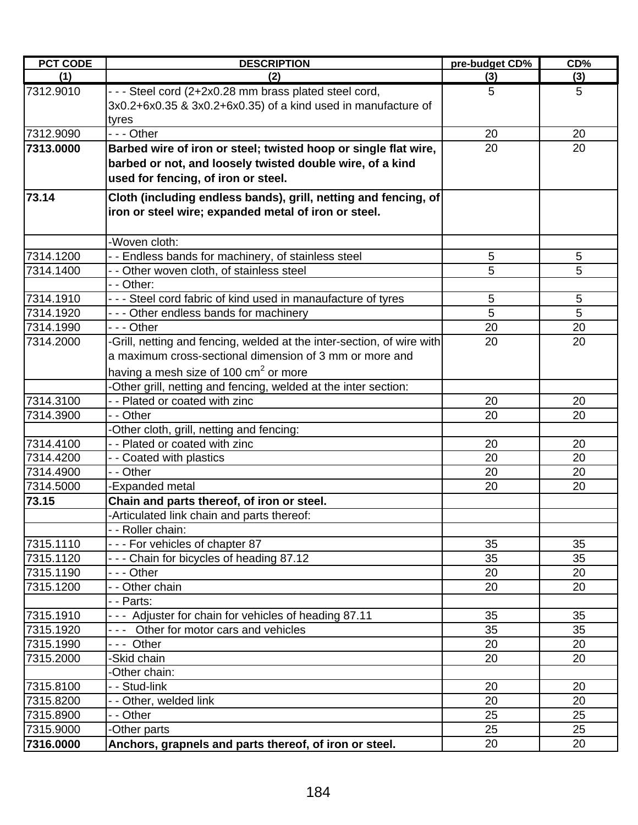| <b>PCT CODE</b>        | <b>DESCRIPTION</b>                                                                                                                                                  | pre-budget CD%  | CD%    |
|------------------------|---------------------------------------------------------------------------------------------------------------------------------------------------------------------|-----------------|--------|
| (1)                    | (2)                                                                                                                                                                 | (3)             | (3)    |
| 7312.9010              | - - - Steel cord (2+2x0.28 mm brass plated steel cord,<br>3x0.2+6x0.35 & 3x0.2+6x0.35) of a kind used in manufacture of<br>tyres                                    | 5               | 5      |
| 7312.9090              | $- -$ Other                                                                                                                                                         | 20              | 20     |
| 7313.0000              | Barbed wire of iron or steel; twisted hoop or single flat wire,<br>barbed or not, and loosely twisted double wire, of a kind<br>used for fencing, of iron or steel. | 20              | 20     |
| 73.14                  | Cloth (including endless bands), grill, netting and fencing, of<br>iron or steel wire; expanded metal of iron or steel.                                             |                 |        |
|                        | -Woven cloth:                                                                                                                                                       |                 |        |
| 7314.1200              | - - Endless bands for machinery, of stainless steel                                                                                                                 | 5               | 5      |
| 7314.1400              | - - Other woven cloth, of stainless steel                                                                                                                           | 5               | 5      |
|                        | - - Other:                                                                                                                                                          |                 |        |
| 7314.1910<br>7314.1920 | - - - Steel cord fabric of kind used in manaufacture of tyres<br>- - - Other endless bands for machinery                                                            | $\sqrt{5}$<br>5 | 5<br>5 |
| 7314.1990              | --- Other                                                                                                                                                           | 20              | 20     |
| 7314.2000              | -Grill, netting and fencing, welded at the inter-section, of wire with                                                                                              | 20              | 20     |
|                        | a maximum cross-sectional dimension of 3 mm or more and<br>having a mesh size of 100 cm <sup>2</sup> or more                                                        |                 |        |
|                        | -Other grill, netting and fencing, welded at the inter section:                                                                                                     |                 |        |
| 7314.3100              | - - Plated or coated with zinc                                                                                                                                      | 20              | 20     |
| 7314.3900              | - - Other                                                                                                                                                           | 20              | 20     |
|                        | -Other cloth, grill, netting and fencing:                                                                                                                           |                 |        |
| 7314.4100              | - - Plated or coated with zinc                                                                                                                                      | 20              | 20     |
| 7314.4200              | - - Coated with plastics                                                                                                                                            | 20              | 20     |
| 7314.4900              | - - Other                                                                                                                                                           | 20              | 20     |
| 7314.5000              | -Expanded metal                                                                                                                                                     | 20              | 20     |
| 73.15                  | Chain and parts thereof, of iron or steel.                                                                                                                          |                 |        |
|                        | -Articulated link chain and parts thereof:                                                                                                                          |                 |        |
|                        | - - Roller chain:                                                                                                                                                   |                 |        |
| 7315.1110              | --- For vehicles of chapter 87                                                                                                                                      | 35              | 35     |
| 7315.1120              | - - - Chain for bicycles of heading 87.12                                                                                                                           | 35              | 35     |
| 7315.1190              | - - - Other                                                                                                                                                         | 20              | 20     |
| 7315.1200              | - - Other chain                                                                                                                                                     | 20              | 20     |
|                        | - - Parts:                                                                                                                                                          |                 |        |
| 7315.1910              | --- Adjuster for chain for vehicles of heading 87.11                                                                                                                | 35              | 35     |
| 7315.1920              | --- Other for motor cars and vehicles                                                                                                                               | 35              | 35     |
| 7315.1990              | --- Other                                                                                                                                                           | 20              | 20     |
| 7315.2000              | -Skid chain                                                                                                                                                         | 20              | 20     |
|                        | -Other chain:                                                                                                                                                       |                 |        |
| 7315.8100              | - - Stud-link                                                                                                                                                       | 20              | 20     |
| 7315.8200              | - - Other, welded link                                                                                                                                              | 20              | 20     |
| 7315.8900              | - - Other                                                                                                                                                           | 25              | 25     |
| 7315.9000              | -Other parts                                                                                                                                                        | 25              | 25     |
| 7316.0000              | Anchors, grapnels and parts thereof, of iron or steel.                                                                                                              | 20              | 20     |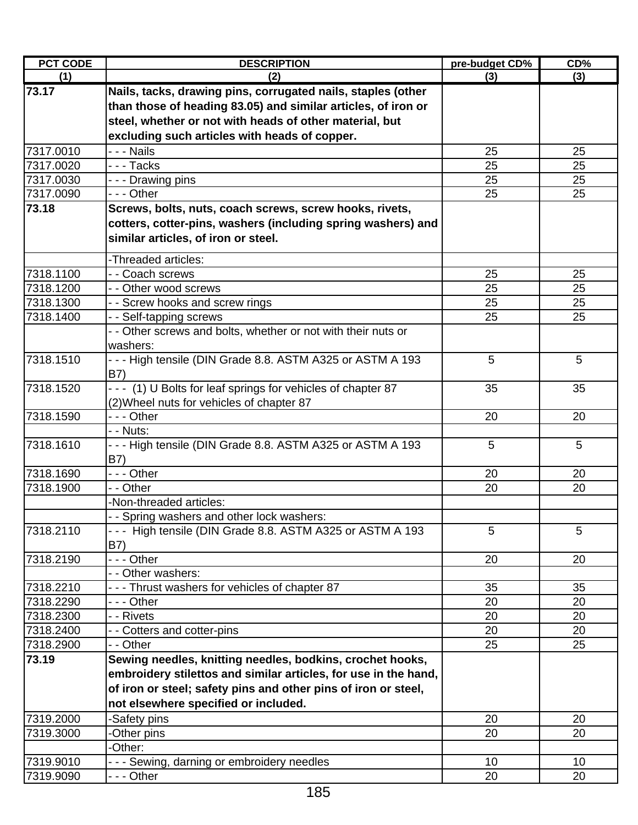| <b>PCT CODE</b> | <b>DESCRIPTION</b>                                              | pre-budget CD%  | CD <sub>%</sub> |
|-----------------|-----------------------------------------------------------------|-----------------|-----------------|
| (1)             | (2)                                                             | (3)             | (3)             |
| 73.17           | Nails, tacks, drawing pins, corrugated nails, staples (other    |                 |                 |
|                 | than those of heading 83.05) and similar articles, of iron or   |                 |                 |
|                 | steel, whether or not with heads of other material, but         |                 |                 |
|                 | excluding such articles with heads of copper.                   |                 |                 |
| 7317.0010       | - - - Nails                                                     | 25              | 25              |
| 7317.0020       | $\overline{-}$ - Tacks                                          | 25              | 25              |
| 7317.0030       | - - - Drawing pins                                              | 25              | 25              |
| 7317.0090       | - - - Other                                                     | 25              | 25              |
| 73.18           | Screws, bolts, nuts, coach screws, screw hooks, rivets,         |                 |                 |
|                 | cotters, cotter-pins, washers (including spring washers) and    |                 |                 |
|                 | similar articles, of iron or steel.                             |                 |                 |
|                 |                                                                 |                 |                 |
|                 | -Threaded articles:                                             |                 |                 |
| 7318.1100       | - - Coach screws                                                | 25              | 25              |
| 7318.1200       | - - Other wood screws                                           | 25              | 25              |
| 7318.1300       | - - Screw hooks and screw rings                                 | 25              | 25              |
| 7318.1400       | - - Self-tapping screws                                         | 25              | 25              |
|                 | - - Other screws and bolts, whether or not with their nuts or   |                 |                 |
|                 | washers:                                                        |                 |                 |
| 7318.1510       | --- High tensile (DIN Grade 8.8. ASTM A325 or ASTM A 193        | 5               | 5               |
|                 | B7)                                                             |                 |                 |
| 7318.1520       | - - - (1) U Bolts for leaf springs for vehicles of chapter 87   | 35              | 35              |
|                 | (2) Wheel nuts for vehicles of chapter 87                       |                 |                 |
| 7318.1590       | - - - Other                                                     | 20              | 20              |
|                 | - - Nuts:                                                       |                 |                 |
| 7318.1610       | --- High tensile (DIN Grade 8.8. ASTM A325 or ASTM A 193        | 5               | 5               |
|                 | B7)                                                             |                 |                 |
| 7318.1690       | --- Other                                                       | 20              | 20              |
| 7318.1900       | - - Other                                                       | 20              | 20              |
|                 | -Non-threaded articles:                                         |                 |                 |
|                 | - - Spring washers and other lock washers:                      |                 |                 |
| 7318.2110       | --- High tensile (DIN Grade 8.8. ASTM A325 or ASTM A 193        | 5               | 5               |
|                 | B7)                                                             |                 |                 |
| 7318.2190       | $- -$ Other                                                     | 20              | 20              |
|                 | - - Other washers:                                              |                 |                 |
| 7318.2210       | --- Thrust washers for vehicles of chapter 87                   | 35              | 35              |
| 7318.2290       | - - - Other                                                     | 20              | 20              |
| 7318.2300       | - - Rivets                                                      | 20              | 20              |
| 7318.2400       | - - Cotters and cotter-pins                                     | 20              | 20              |
| 7318.2900       | - - Other                                                       | 25              | 25              |
| 73.19           | Sewing needles, knitting needles, bodkins, crochet hooks,       |                 |                 |
|                 | embroidery stilettos and similar articles, for use in the hand, |                 |                 |
|                 | of iron or steel; safety pins and other pins of iron or steel,  |                 |                 |
|                 | not elsewhere specified or included.                            |                 |                 |
| 7319.2000       | -Safety pins                                                    | 20              | 20              |
| 7319.3000       | -Other pins                                                     | 20              | 20              |
|                 | -Other:                                                         |                 |                 |
| 7319.9010       | - - - Sewing, darning or embroidery needles                     | 10 <sup>°</sup> | 10 <sup>°</sup> |
| 7319.9090       | - - - Other                                                     | 20              | 20              |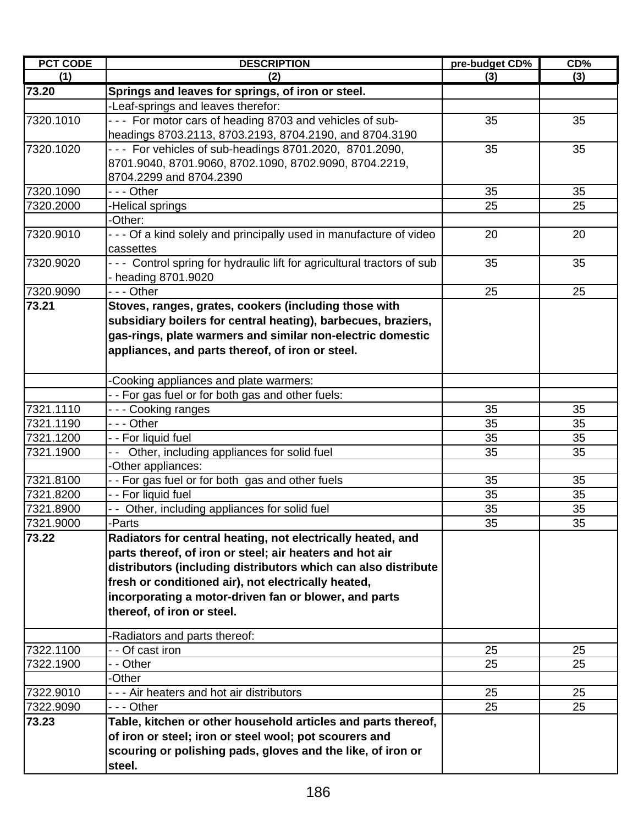| <b>PCT CODE</b> | <b>DESCRIPTION</b>                                                     | pre-budget CD%  | CD% |
|-----------------|------------------------------------------------------------------------|-----------------|-----|
| (1)             | (2)                                                                    | (3)             | (3) |
| 73.20           | Springs and leaves for springs, of iron or steel.                      |                 |     |
|                 | -Leaf-springs and leaves therefor:                                     |                 |     |
| 7320.1010       | - - - For motor cars of heading 8703 and vehicles of sub-              | 35              | 35  |
|                 | headings 8703.2113, 8703.2193, 8704.2190, and 8704.3190                |                 |     |
| 7320.1020       | --- For vehicles of sub-headings 8701.2020, 8701.2090,                 | 35              | 35  |
|                 | 8701.9040, 8701.9060, 8702.1090, 8702.9090, 8704.2219,                 |                 |     |
|                 | 8704.2299 and 8704.2390                                                |                 |     |
| 7320.1090       | - - - Other                                                            | 35              | 35  |
| 7320.2000       | <b>Helical springs</b>                                                 | 25              | 25  |
|                 | -Other:                                                                |                 |     |
| 7320.9010       | - - - Of a kind solely and principally used in manufacture of video    | 20              | 20  |
|                 | cassettes                                                              |                 |     |
| 7320.9020       | --- Control spring for hydraulic lift for agricultural tractors of sub | 35              | 35  |
|                 | - heading 8701.9020                                                    |                 |     |
| 7320.9090       | --- Other                                                              | 25              | 25  |
| 73.21           | Stoves, ranges, grates, cookers (including those with                  |                 |     |
|                 | subsidiary boilers for central heating), barbecues, braziers,          |                 |     |
|                 | gas-rings, plate warmers and similar non-electric domestic             |                 |     |
|                 | appliances, and parts thereof, of iron or steel.                       |                 |     |
|                 |                                                                        |                 |     |
|                 | -Cooking appliances and plate warmers:                                 |                 |     |
|                 | - - For gas fuel or for both gas and other fuels:                      |                 |     |
| 7321.1110       | --- Cooking ranges                                                     | 35              | 35  |
| 7321.1190       | - - - Other                                                            | 35              | 35  |
| 7321.1200       | - - For liquid fuel                                                    | 35              | 35  |
| 7321.1900       | - - Other, including appliances for solid fuel                         | 35              | 35  |
|                 | -Other appliances:                                                     |                 |     |
| 7321.8100       | -- For gas fuel or for both gas and other fuels                        | 35              | 35  |
| 7321.8200       | - - For liquid fuel                                                    | 35              | 35  |
| 7321.8900       | - - Other, including appliances for solid fuel                         | 35              | 35  |
| 7321.9000       | -Parts                                                                 | $3\overline{5}$ | 35  |
| 73.22           | Radiators for central heating, not electrically heated, and            |                 |     |
|                 | parts thereof, of iron or steel; air heaters and hot air               |                 |     |
|                 | distributors (including distributors which can also distribute         |                 |     |
|                 | fresh or conditioned air), not electrically heated,                    |                 |     |
|                 | incorporating a motor-driven fan or blower, and parts                  |                 |     |
|                 | thereof, of iron or steel.                                             |                 |     |
|                 |                                                                        |                 |     |
|                 | -Radiators and parts thereof:                                          |                 |     |
| 7322.1100       | - - Of cast iron                                                       | 25              | 25  |
| 7322.1900       | - - Other                                                              | 25              | 25  |
|                 | -Other                                                                 |                 |     |
| 7322.9010       | - - - Air heaters and hot air distributors                             | 25              | 25  |
| 7322.9090       | - - - Other                                                            | 25              | 25  |
| 73.23           | Table, kitchen or other household articles and parts thereof,          |                 |     |
|                 | of iron or steel; iron or steel wool; pot scourers and                 |                 |     |
|                 | scouring or polishing pads, gloves and the like, of iron or            |                 |     |
|                 | steel.                                                                 |                 |     |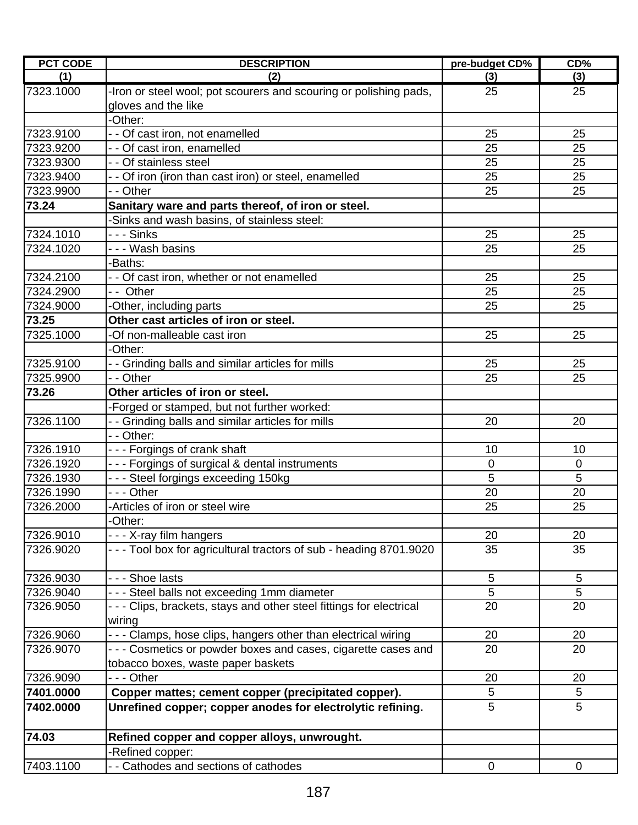| <b>PCT CODE</b> | <b>DESCRIPTION</b>                                                   | pre-budget CD% | CD%            |
|-----------------|----------------------------------------------------------------------|----------------|----------------|
| (1)             | (2)                                                                  | (3)            | (3)            |
| 7323.1000       | -Iron or steel wool; pot scourers and scouring or polishing pads,    | 25             | 25             |
|                 | gloves and the like                                                  |                |                |
|                 | -Other:                                                              |                |                |
| 7323.9100       | - - Of cast iron, not enamelled                                      | 25             | 25             |
| 7323.9200       | - - Of cast iron, enamelled                                          | 25             | 25             |
| 7323.9300       | - - Of stainless steel                                               | 25             | 25             |
| 7323.9400       | - - Of iron (iron than cast iron) or steel, enamelled                | 25             | 25             |
| 7323.9900       | - - Other                                                            | 25             | 25             |
| 73.24           | Sanitary ware and parts thereof, of iron or steel.                   |                |                |
|                 | -Sinks and wash basins, of stainless steel:                          |                |                |
| 7324.1010       | -  -  - Sinks                                                        | 25             | 25             |
| 7324.1020       | - - - Wash basins                                                    | 25             | 25             |
|                 | -Baths:                                                              |                |                |
| 7324.2100       | - - Of cast iron, whether or not enamelled                           | 25             | 25             |
| 7324.2900       | - - Other                                                            | 25             | 25             |
| 7324.9000       | -Other, including parts                                              | 25             | 25             |
| 73.25           | Other cast articles of iron or steel.                                |                |                |
| 7325.1000       | -Of non-malleable cast iron                                          | 25             | 25             |
|                 | -Other:                                                              |                |                |
| 7325.9100       | - - Grinding balls and similar articles for mills                    | 25             | 25             |
| 7325.9900       | - - Other                                                            | 25             | 25             |
| 73.26           | Other articles of iron or steel.                                     |                |                |
|                 | -Forged or stamped, but not further worked:                          |                |                |
| 7326.1100       | - - Grinding balls and similar articles for mills                    | 20             | 20             |
|                 | - - Other:                                                           |                |                |
| 7326.1910       | --- Forgings of crank shaft                                          | 10             | 10             |
| 7326.1920       | - - - Forgings of surgical & dental instruments                      | $\mathbf 0$    | $\overline{0}$ |
| 7326.1930       | --- Steel forgings exceeding 150kg                                   | 5              | 5              |
| 7326.1990       | --- Other                                                            | 20             | 20             |
| 7326.2000       | -Articles of iron or steel wire                                      | 25             | 25             |
|                 | -Other:                                                              |                |                |
| 7326.9010       | - - - X-ray film hangers                                             | 20             | 20             |
| 7326.9020       | - - - Tool box for agricultural tractors of sub - heading 8701.9020  | 35             | 35             |
| 7326.9030       | - - - Shoe lasts                                                     | 5              | 5              |
| 7326.9040       | --- Steel balls not exceeding 1mm diameter                           | 5              | 5              |
| 7326.9050       | - - - Clips, brackets, stays and other steel fittings for electrical | 20             | 20             |
|                 | wiring                                                               |                |                |
| 7326.9060       | - - - Clamps, hose clips, hangers other than electrical wiring       | 20             | 20             |
| 7326.9070       | - - - Cosmetics or powder boxes and cases, cigarette cases and       | 20             | 20             |
|                 | tobacco boxes, waste paper baskets                                   |                |                |
| 7326.9090       | - - - Other                                                          | 20             | 20             |
| 7401.0000       | Copper mattes; cement copper (precipitated copper).                  | 5              | 5              |
| 7402.0000       | Unrefined copper; copper anodes for electrolytic refining.           | 5              | 5              |
| 74.03           | Refined copper and copper alloys, unwrought.                         |                |                |
|                 | -Refined copper:                                                     |                |                |
| 7403.1100       | - - Cathodes and sections of cathodes                                | $\mathbf 0$    | $\mathbf 0$    |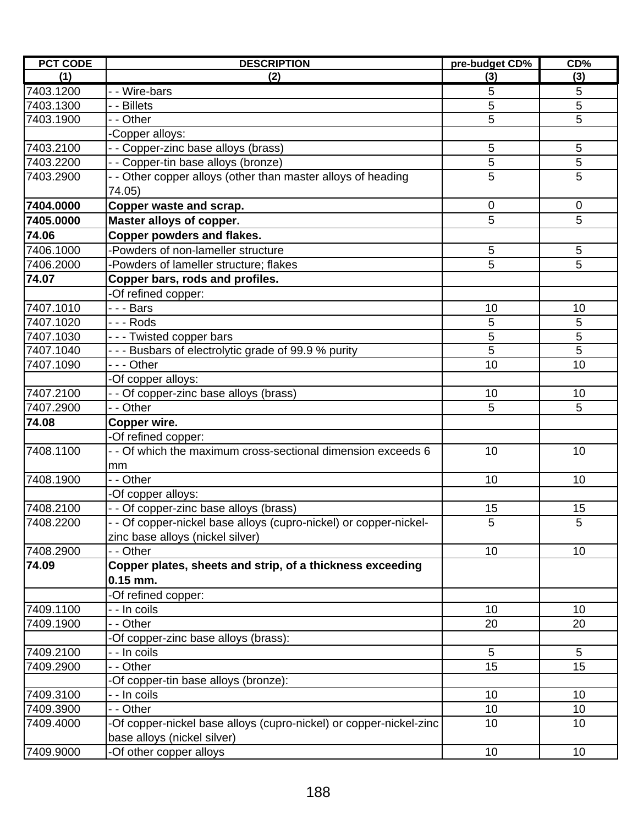| <b>PCT CODE</b> | <b>DESCRIPTION</b>                                                     | pre-budget CD% | CD%            |
|-----------------|------------------------------------------------------------------------|----------------|----------------|
| (1)             | (2)                                                                    | (3)            | (3)            |
| 7403.1200       | - - Wire-bars                                                          | 5              | 5              |
| 7403.1300       | - - Billets                                                            | 5              | 5              |
| 7403.1900       | - Other                                                                | 5              | 5              |
|                 | Copper alloys:                                                         |                |                |
| 7403.2100       | - - Copper-zinc base alloys (brass)                                    | 5              | 5              |
| 7403.2200       | - - Copper-tin base alloys (bronze)                                    | $\overline{5}$ | $\overline{5}$ |
| 7403.2900       | - - Other copper alloys (other than master alloys of heading<br>74.05) | 5              | 5              |
| 7404.0000       | Copper waste and scrap.                                                | $\mathbf 0$    | $\mathbf 0$    |
| 7405.0000       | Master alloys of copper.                                               | 5              | 5              |
| 74.06           | Copper powders and flakes.                                             |                |                |
| 7406.1000       | -Powders of non-lameller structure                                     | 5              | 5              |
| 7406.2000       | -Powders of lameller structure; flakes                                 | 5              | 5              |
| 74.07           | Copper bars, rods and profiles.                                        |                |                |
|                 | -Of refined copper:                                                    |                |                |
| 7407.1010       | -  -  -  Bars                                                          | 10             | 10             |
| 7407.1020       | - - - Rods                                                             | 5              | 5              |
| 7407.1030       | ---Twisted copper bars                                                 | 5              | 5              |
| 7407.1040       | - - - Busbars of electrolytic grade of 99.9 % purity                   | 5              | 5              |
| 7407.1090       | --- Other                                                              | 10             | 10             |
|                 | Of copper alloys:                                                      |                |                |
| 7407.2100       | Of copper-zinc base alloys (brass)                                     | 10             | 10             |
| 7407.2900       | - - Other                                                              | 5              | 5              |
| 74.08           | Copper wire.                                                           |                |                |
|                 | -Of refined copper:                                                    |                |                |
| 7408.1100       | - - Of which the maximum cross-sectional dimension exceeds 6           | 10             | 10             |
|                 | mm                                                                     |                |                |
| 7408.1900       | - - Other                                                              | 10             | 10             |
|                 | -Of copper alloys:                                                     |                |                |
| 7408.2100       | - - Of copper-zinc base alloys (brass)                                 | 15             | 15             |
| 7408.2200       | - Of copper-nickel base alloys (cupro-nickel) or copper-nickel-        | 5              | 5              |
|                 | zinc base alloys (nickel silver)                                       |                |                |
| 7408.2900       | - - Other                                                              | 10             | 10             |
| 74.09           | Copper plates, sheets and strip, of a thickness exceeding              |                |                |
|                 | $0.15$ mm.                                                             |                |                |
|                 | -Of refined copper:                                                    |                |                |
| 7409.1100       | - - In coils                                                           | 10             | 10             |
| 7409.1900       | - - Other                                                              | 20             | 20             |
|                 | -Of copper-zinc base alloys (brass):                                   |                |                |
| 7409.2100       | - In coils                                                             | 5              | 5              |
| 7409.2900       | - - Other                                                              | 15             | 15             |
|                 | Of copper-tin base alloys (bronze):                                    |                |                |
| 7409.3100       | - - In coils                                                           | 10             | 10             |
| 7409.3900       | - Other                                                                | 10             | 10             |
| 7409.4000       | -Of copper-nickel base alloys (cupro-nickel) or copper-nickel-zinc     | 10             | 10             |
|                 | base alloys (nickel silver)                                            |                |                |
| 7409.9000       | -Of other copper alloys                                                | 10             | 10             |
|                 |                                                                        |                |                |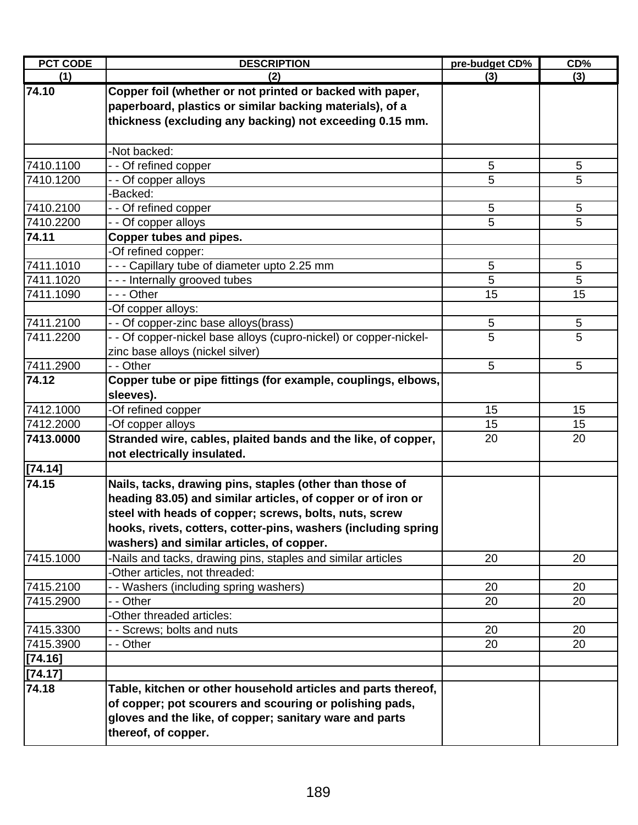| <b>PCT CODE</b> | <b>DESCRIPTION</b>                                                | pre-budget CD% | CD% |
|-----------------|-------------------------------------------------------------------|----------------|-----|
| (1)             | (2)                                                               | (3)            | (3) |
| 74.10           | Copper foil (whether or not printed or backed with paper,         |                |     |
|                 | paperboard, plastics or similar backing materials), of a          |                |     |
|                 | thickness (excluding any backing) not exceeding 0.15 mm.          |                |     |
|                 |                                                                   |                |     |
|                 | -Not backed:                                                      |                |     |
| 7410.1100       | -- Of refined copper                                              | 5              | 5   |
| 7410.1200       | - Of copper alloys                                                | 5              | 5   |
|                 | -Backed:                                                          |                |     |
| 7410.2100       | - - Of refined copper                                             | 5              | 5   |
| 7410.2200       | - - Of copper alloys                                              | 5              | 5   |
| 74.11           | Copper tubes and pipes.                                           |                |     |
|                 | -Of refined copper:                                               |                |     |
| 7411.1010       | - - - Capillary tube of diameter upto 2.25 mm                     | 5              | 5   |
| 7411.1020       | --- Internally grooved tubes                                      | 5              | 5   |
| 7411.1090       | - - - Other                                                       | 15             | 15  |
|                 | -Of copper alloys:                                                |                |     |
| 7411.2100       | - - Of copper-zinc base alloys(brass)                             | 5              | 5   |
| 7411.2200       | - - Of copper-nickel base alloys (cupro-nickel) or copper-nickel- | 5              | 5   |
|                 | zinc base alloys (nickel silver)                                  |                |     |
| 7411.2900       | - - Other                                                         | 5              | 5   |
| 74.12           | Copper tube or pipe fittings (for example, couplings, elbows,     |                |     |
|                 | sleeves).                                                         |                |     |
| 7412.1000       | -Of refined copper                                                | 15             | 15  |
| 7412.2000       | -Of copper alloys                                                 | 15             | 15  |
| 7413.0000       | Stranded wire, cables, plaited bands and the like, of copper,     | 20             | 20  |
|                 | not electrically insulated.                                       |                |     |
| [74.14]         |                                                                   |                |     |
| 74.15           | Nails, tacks, drawing pins, staples (other than those of          |                |     |
|                 | heading 83.05) and similar articles, of copper or of iron or      |                |     |
|                 | steel with heads of copper; screws, bolts, nuts, screw            |                |     |
|                 | hooks, rivets, cotters, cotter-pins, washers (including spring    |                |     |
|                 | washers) and similar articles, of copper.                         |                |     |
| 7415.1000       | -Nails and tacks, drawing pins, staples and similar articles      | 20             | 20  |
|                 | Other articles, not threaded:                                     |                |     |
| 7415.2100       | - Washers (including spring washers)                              | 20             | 20  |
| 7415.2900       | - - Other                                                         | 20             | 20  |
|                 | Other threaded articles:                                          |                |     |
| 7415.3300       | - Screws; bolts and nuts                                          | 20             | 20  |
| 7415.3900       | - - Other                                                         | 20             | 20  |
| [74.16]         |                                                                   |                |     |
| [74.17]         |                                                                   |                |     |
| 74.18           | Table, kitchen or other household articles and parts thereof,     |                |     |
|                 | of copper; pot scourers and scouring or polishing pads,           |                |     |
|                 | gloves and the like, of copper; sanitary ware and parts           |                |     |
|                 | thereof, of copper.                                               |                |     |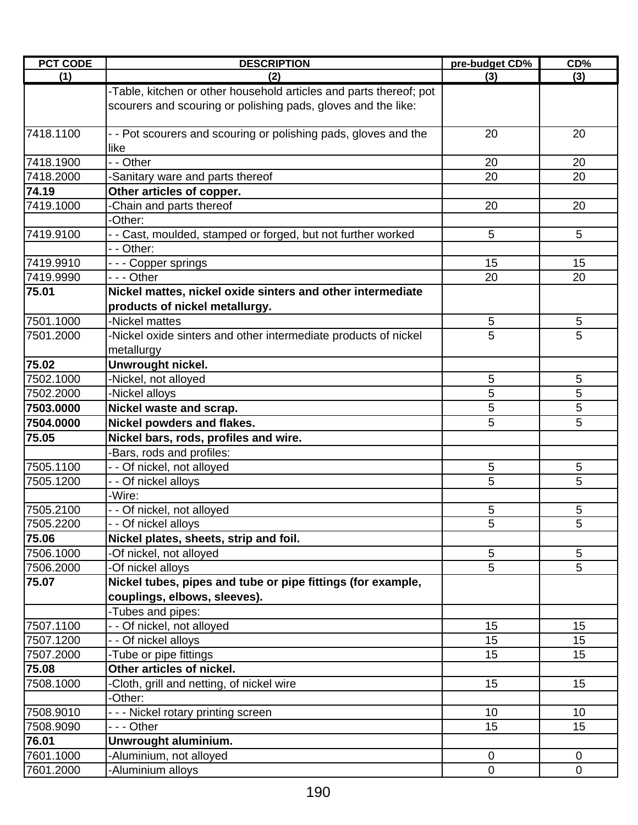| <b>PCT CODE</b> | <b>DESCRIPTION</b>                                                                                                                  | pre-budget CD% | CD%            |
|-----------------|-------------------------------------------------------------------------------------------------------------------------------------|----------------|----------------|
| (1)             | (2)                                                                                                                                 | (3)            | (3)            |
|                 | -Table, kitchen or other household articles and parts thereof; pot<br>scourers and scouring or polishing pads, gloves and the like: |                |                |
| 7418.1100       | - - Pot scourers and scouring or polishing pads, gloves and the<br>like                                                             | 20             | 20             |
| 7418.1900       | - - Other                                                                                                                           | 20             | 20             |
| 7418.2000       | Sanitary ware and parts thereof                                                                                                     | 20             | 20             |
| 74.19           | Other articles of copper.                                                                                                           |                |                |
| 7419.1000       | Chain and parts thereof                                                                                                             | 20             | 20             |
|                 | -Other:                                                                                                                             |                |                |
| 7419.9100       | - - Cast, moulded, stamped or forged, but not further worked                                                                        | 5              | 5              |
|                 | - - Other:                                                                                                                          |                |                |
| 7419.9910       | - - - Copper springs                                                                                                                | 15             | 15             |
| 7419.9990       | - - - Other                                                                                                                         | 20             | 20             |
| 75.01           | Nickel mattes, nickel oxide sinters and other intermediate                                                                          |                |                |
|                 | products of nickel metallurgy.                                                                                                      |                |                |
| 7501.1000       | -Nickel mattes                                                                                                                      | 5              | 5              |
| 7501.2000       | Nickel oxide sinters and other intermediate products of nickel                                                                      | 5              | 5              |
|                 | metallurgy                                                                                                                          |                |                |
| 75.02           | Unwrought nickel.                                                                                                                   |                |                |
| 7502.1000       | -Nickel, not alloyed                                                                                                                | 5              | 5              |
| 7502.2000       | -Nickel alloys                                                                                                                      | 5              | 5              |
| 7503.0000       | Nickel waste and scrap.                                                                                                             | 5              | 5              |
| 7504.0000       | Nickel powders and flakes.                                                                                                          | 5              | 5              |
| 75.05           | Nickel bars, rods, profiles and wire.                                                                                               |                |                |
|                 | Bars, rods and profiles:                                                                                                            |                |                |
| 7505.1100       | - - Of nickel, not alloyed                                                                                                          | 5              | 5              |
| 7505.1200       | - - Of nickel alloys                                                                                                                | 5              | 5              |
|                 | -Wire:                                                                                                                              |                |                |
| 7505.2100       | - - Of nickel, not alloyed                                                                                                          | 5              | 5              |
| 7505.2200       | - - Of nickel alloys                                                                                                                | $\overline{5}$ | $\overline{5}$ |
| 75.06           | Nickel plates, sheets, strip and foil.                                                                                              |                |                |
| 7506.1000       | -Of nickel, not alloyed                                                                                                             | 5              | 5              |
| 7506.2000       | -Of nickel alloys                                                                                                                   | $\overline{5}$ | $\overline{5}$ |
| 75.07           | Nickel tubes, pipes and tube or pipe fittings (for example,                                                                         |                |                |
|                 | couplings, elbows, sleeves).                                                                                                        |                |                |
|                 | -Tubes and pipes:                                                                                                                   |                |                |
| 7507.1100       | - - Of nickel, not alloyed                                                                                                          | 15             | 15             |
| 7507.1200       | - - Of nickel alloys                                                                                                                | 15             | 15             |
| 7507.2000       | -Tube or pipe fittings                                                                                                              | 15             | 15             |
| 75.08           | Other articles of nickel.                                                                                                           |                |                |
| 7508.1000       | Cloth, grill and netting, of nickel wire                                                                                            | 15             | 15             |
|                 | -Other:                                                                                                                             |                |                |
| 7508.9010       | --- Nickel rotary printing screen                                                                                                   | 10             | 10             |
| 7508.9090       | - - - Other                                                                                                                         | 15             | 15             |
| 76.01           | Unwrought aluminium.                                                                                                                |                |                |
| 7601.1000       | Aluminium, not alloyed                                                                                                              | $\mathbf 0$    | $\mathbf 0$    |
| 7601.2000       | -Aluminium alloys                                                                                                                   | $\mathbf 0$    | $\overline{0}$ |
|                 |                                                                                                                                     |                |                |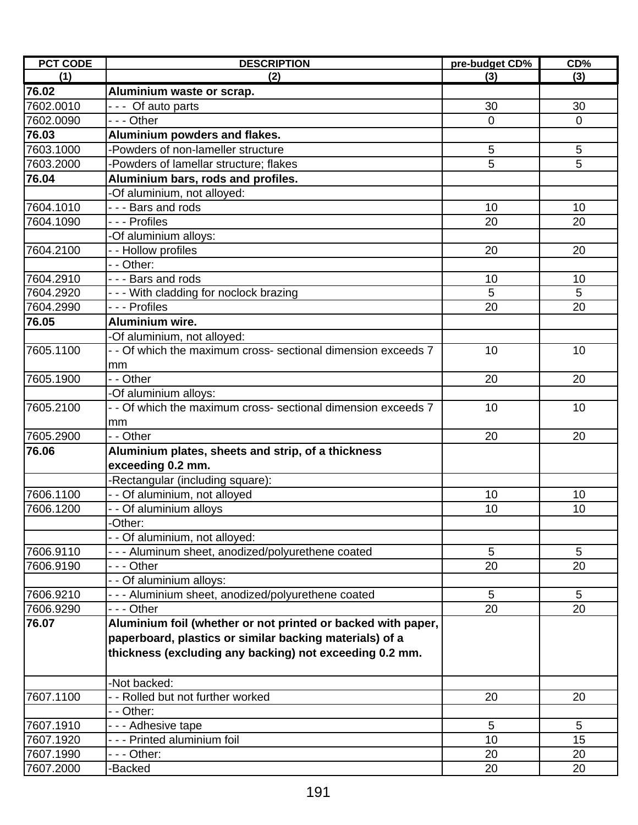| <b>PCT CODE</b> | <b>DESCRIPTION</b>                                            | pre-budget CD% | CD%             |
|-----------------|---------------------------------------------------------------|----------------|-----------------|
| (1)             | (2)                                                           | (3)            | (3)             |
| 76.02           | Aluminium waste or scrap.                                     |                |                 |
| 7602.0010       | --- Of auto parts                                             | 30             | 30              |
| 7602.0090       | - - - Other                                                   | $\mathbf 0$    | $\mathbf 0$     |
| 76.03           | Aluminium powders and flakes.                                 |                |                 |
| 7603.1000       | Powders of non-lameller structure                             | 5              | $\sqrt{5}$      |
| 7603.2000       | -Powders of lamellar structure; flakes                        | 5              | 5               |
| 76.04           | Aluminium bars, rods and profiles.                            |                |                 |
|                 | Of aluminium, not alloyed:                                    |                |                 |
| 7604.1010       | --- Bars and rods                                             | 10             | 10              |
| 7604.1090       | - - - Profiles                                                | 20             | 20              |
|                 | -Of aluminium alloys:                                         |                |                 |
| 7604.2100       | - - Hollow profiles                                           | 20             | 20              |
|                 | - - Other:                                                    |                |                 |
| 7604.2910       | - - - Bars and rods                                           | 10             | 10              |
| 7604.2920       | --- With cladding for noclock brazing                         | 5              | 5               |
| 7604.2990       | - - - Profiles                                                | 20             | 20              |
| 76.05           | Aluminium wire.                                               |                |                 |
|                 | -Of aluminium, not alloyed:                                   |                |                 |
| 7605.1100       | - - Of which the maximum cross- sectional dimension exceeds 7 | 10             | 10              |
|                 | mm                                                            |                |                 |
| 7605.1900       | - - Other                                                     | 20             | 20              |
|                 | -Of aluminium alloys:                                         |                |                 |
| 7605.2100       | - - Of which the maximum cross- sectional dimension exceeds 7 | 10             | 10              |
|                 | mm                                                            |                |                 |
| 7605.2900       | - - Other                                                     | 20             | 20              |
| 76.06           | Aluminium plates, sheets and strip, of a thickness            |                |                 |
|                 | exceeding 0.2 mm.                                             |                |                 |
|                 | -Rectangular (including square):                              |                |                 |
| 7606.1100       | - - Of aluminium, not alloyed                                 | 10             | 10              |
| 7606.1200       | - - Of aluminium alloys                                       | 10             | 10              |
|                 | Other:                                                        |                |                 |
|                 | - - Of aluminium, not alloyed:                                |                |                 |
| 7606.9110       | - - - Aluminum sheet, anodized/polyurethene coated            | 5              | 5               |
| 7606.9190       | --- Other                                                     | 20             | 20              |
|                 | - - Of aluminium alloys:                                      |                |                 |
| 7606.9210       | --- Aluminium sheet, anodized/polyurethene coated             | 5              | 5               |
| 7606.9290       | - - - Other                                                   | 20             | 20              |
| 76.07           | Aluminium foil (whether or not printed or backed with paper,  |                |                 |
|                 | paperboard, plastics or similar backing materials) of a       |                |                 |
|                 | thickness (excluding any backing) not exceeding 0.2 mm.       |                |                 |
|                 |                                                               |                |                 |
|                 | -Not backed:                                                  |                |                 |
| 7607.1100       | - - Rolled but not further worked                             | 20             | 20              |
|                 |                                                               |                |                 |
| 7607.1910       | - - Other:                                                    | $\overline{5}$ | $5\phantom{.0}$ |
|                 | - - - Adhesive tape                                           |                |                 |
| 7607.1920       | - - - Printed aluminium foil                                  | 10             | 15              |
| 7607.1990       | - - - Other:                                                  | 20             | 20              |
| 7607.2000       | -Backed                                                       | 20             | 20              |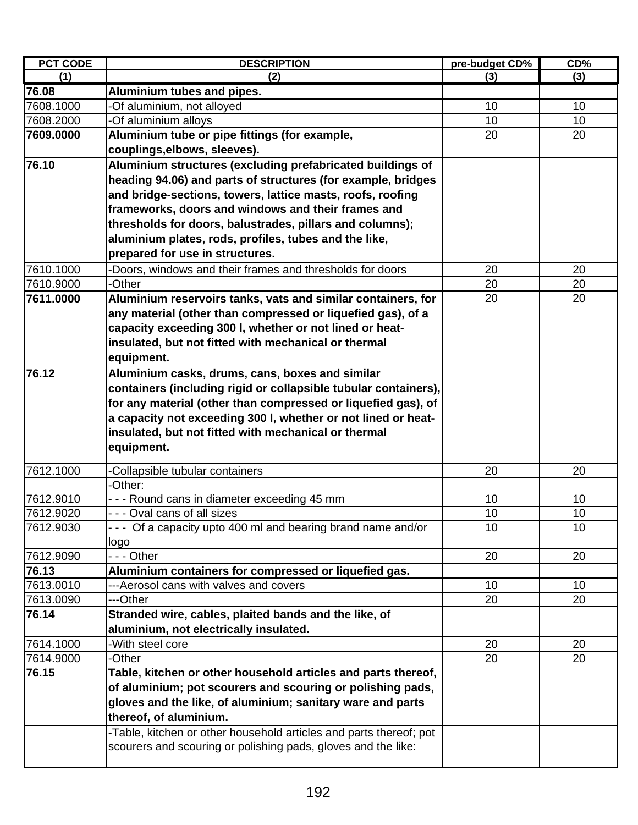| <b>PCT CODE</b> | <b>DESCRIPTION</b>                                                 | pre-budget CD%  | CD% |
|-----------------|--------------------------------------------------------------------|-----------------|-----|
| (1)             | (2)                                                                | (3)             | (3) |
| 76.08           | Aluminium tubes and pipes.                                         |                 |     |
| 7608.1000       | -Of aluminium, not alloyed                                         | 10              | 10  |
| 7608.2000       | -Of aluminium alloys                                               | 10 <sup>1</sup> | 10  |
| 7609.0000       | Aluminium tube or pipe fittings (for example,                      | 20              | 20  |
|                 | couplings, elbows, sleeves).                                       |                 |     |
| 76.10           | Aluminium structures (excluding prefabricated buildings of         |                 |     |
|                 | heading 94.06) and parts of structures (for example, bridges       |                 |     |
|                 | and bridge-sections, towers, lattice masts, roofs, roofing         |                 |     |
|                 | frameworks, doors and windows and their frames and                 |                 |     |
|                 | thresholds for doors, balustrades, pillars and columns);           |                 |     |
|                 | aluminium plates, rods, profiles, tubes and the like,              |                 |     |
|                 | prepared for use in structures.                                    |                 |     |
| 7610.1000       | -Doors, windows and their frames and thresholds for doors          | 20              | 20  |
| 7610.9000       | -Other                                                             | 20              | 20  |
| 7611.0000       | Aluminium reservoirs tanks, vats and similar containers, for       | 20              | 20  |
|                 | any material (other than compressed or liquefied gas), of a        |                 |     |
|                 | capacity exceeding 300 I, whether or not lined or heat-            |                 |     |
|                 | insulated, but not fitted with mechanical or thermal               |                 |     |
|                 | equipment.                                                         |                 |     |
| 76.12           | Aluminium casks, drums, cans, boxes and similar                    |                 |     |
|                 | containers (including rigid or collapsible tubular containers),    |                 |     |
|                 | for any material (other than compressed or liquefied gas), of      |                 |     |
|                 | a capacity not exceeding 300 I, whether or not lined or heat-      |                 |     |
|                 | insulated, but not fitted with mechanical or thermal               |                 |     |
|                 |                                                                    |                 |     |
|                 | equipment.                                                         |                 |     |
| 7612.1000       | -Collapsible tubular containers                                    | 20              | 20  |
|                 | -Other:                                                            |                 |     |
| 7612.9010       | --- Round cans in diameter exceeding 45 mm                         | 10              | 10  |
| 7612.9020       | - - - Oval cans of all sizes                                       | 10 <sup>1</sup> | 10  |
| 7612.9030       | - - - Of a capacity upto 400 ml and bearing brand name and/or      | 10              | 10  |
|                 | logo                                                               |                 |     |
| 7612.9090       | --- Other                                                          | 20              | 20  |
| 76.13           | Aluminium containers for compressed or liquefied gas.              |                 |     |
| 7613.0010       | ---Aerosol cans with valves and covers                             | 10              | 10  |
| 7613.0090       | ---Other                                                           | 20              | 20  |
| 76.14           | Stranded wire, cables, plaited bands and the like, of              |                 |     |
|                 | aluminium, not electrically insulated.                             |                 |     |
| 7614.1000       | -With steel core                                                   | 20              | 20  |
| 7614.9000       | -Other                                                             | 20              | 20  |
| 76.15           | Table, kitchen or other household articles and parts thereof,      |                 |     |
|                 | of aluminium; pot scourers and scouring or polishing pads,         |                 |     |
|                 | gloves and the like, of aluminium; sanitary ware and parts         |                 |     |
|                 | thereof, of aluminium.                                             |                 |     |
|                 | -Table, kitchen or other household articles and parts thereof; pot |                 |     |
|                 | scourers and scouring or polishing pads, gloves and the like:      |                 |     |
|                 |                                                                    |                 |     |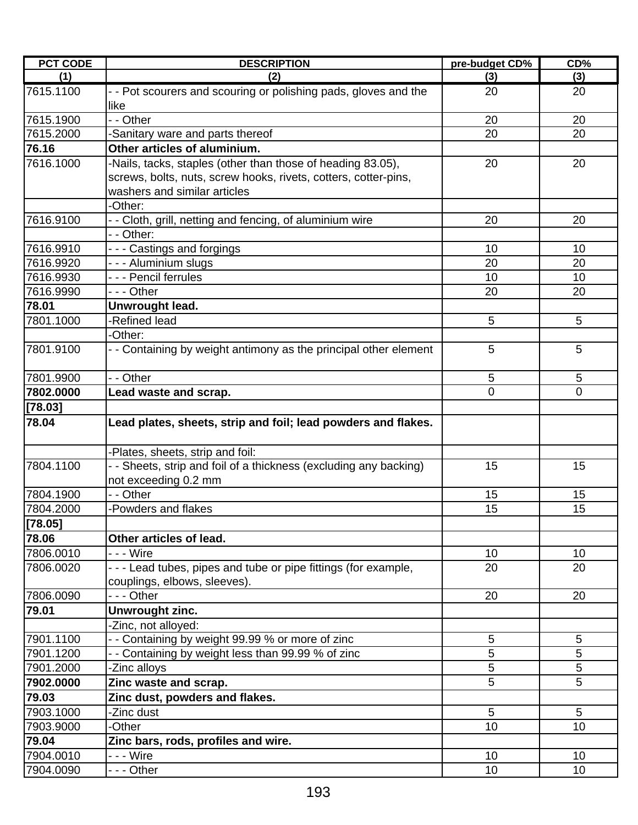| <b>PCT CODE</b> | <b>DESCRIPTION</b>                                                                              | pre-budget CD% | CD%             |
|-----------------|-------------------------------------------------------------------------------------------------|----------------|-----------------|
| (1)             | (2)                                                                                             | (3)            | (3)             |
| 7615.1100       | - - Pot scourers and scouring or polishing pads, gloves and the<br>like                         | 20             | 20              |
| 7615.1900       | - - Other                                                                                       | 20             | 20              |
| 7615.2000       | -Sanitary ware and parts thereof                                                                | 20             | 20              |
| 76.16           | Other articles of aluminium.                                                                    |                |                 |
| 7616.1000       | -Nails, tacks, staples (other than those of heading 83.05),                                     | 20             | 20              |
|                 | screws, bolts, nuts, screw hooks, rivets, cotters, cotter-pins,<br>washers and similar articles |                |                 |
|                 | -Other:                                                                                         |                |                 |
| 7616.9100       | - - Cloth, grill, netting and fencing, of aluminium wire                                        | 20             | 20              |
|                 | - - Other:                                                                                      |                |                 |
| 7616.9910       | - - - Castings and forgings                                                                     | 10             | 10              |
| 7616.9920       | - - - Aluminium slugs                                                                           | 20             | 20              |
| 7616.9930       | - - - Pencil ferrules                                                                           | 10             | 10              |
| 7616.9990       | --- Other                                                                                       | 20             | 20              |
| 78.01           | Unwrought lead.                                                                                 |                |                 |
| 7801.1000       | -Refined lead                                                                                   | 5              | 5               |
|                 | -Other:                                                                                         |                |                 |
| 7801.9100       | - - Containing by weight antimony as the principal other element                                | 5              | 5               |
| 7801.9900       | - - Other                                                                                       | 5              | 5               |
| 7802.0000       | Lead waste and scrap.                                                                           | $\mathbf 0$    | $\overline{0}$  |
| [78.03]         |                                                                                                 |                |                 |
| 78.04           | Lead plates, sheets, strip and foil; lead powders and flakes.                                   |                |                 |
|                 | -Plates, sheets, strip and foil:                                                                |                |                 |
| 7804.1100       | - - Sheets, strip and foil of a thickness (excluding any backing)<br>not exceeding 0.2 mm       | 15             | 15              |
| 7804.1900       | - - Other                                                                                       | 15             | 15              |
| 7804.2000       | -Powders and flakes                                                                             | 15             | 15              |
| [78.05]         |                                                                                                 |                |                 |
| 78.06           | Other articles of lead.                                                                         |                |                 |
| 7806.0010       | - - - Wire                                                                                      | 10             | 10              |
| 7806.0020       | - - - Lead tubes, pipes and tube or pipe fittings (for example,<br>couplings, elbows, sleeves). | 20             | 20              |
| 7806.0090       | --- Other                                                                                       | 20             | 20              |
| 79.01           | Unwrought zinc.                                                                                 |                |                 |
|                 | -Zinc, not alloyed:                                                                             |                |                 |
| 7901.1100       | -- Containing by weight 99.99 % or more of zinc                                                 | 5              | 5               |
| 7901.1200       | - - Containing by weight less than 99.99 % of zinc                                              | 5              | 5               |
| 7901.2000       | -Zinc alloys                                                                                    | 5              | 5               |
| 7902.0000       | Zinc waste and scrap.                                                                           | 5              | 5               |
| 79.03           | Zinc dust, powders and flakes.                                                                  |                |                 |
| 7903.1000       | -Zinc dust                                                                                      | $\overline{5}$ | $5\phantom{.0}$ |
| 7903.9000       | -Other                                                                                          | 10             | 10              |
| 79.04           | Zinc bars, rods, profiles and wire.                                                             |                |                 |
| 7904.0010       | - - - Wire                                                                                      | 10             | 10              |
| 7904.0090       | - - - Other                                                                                     | 10             | 10              |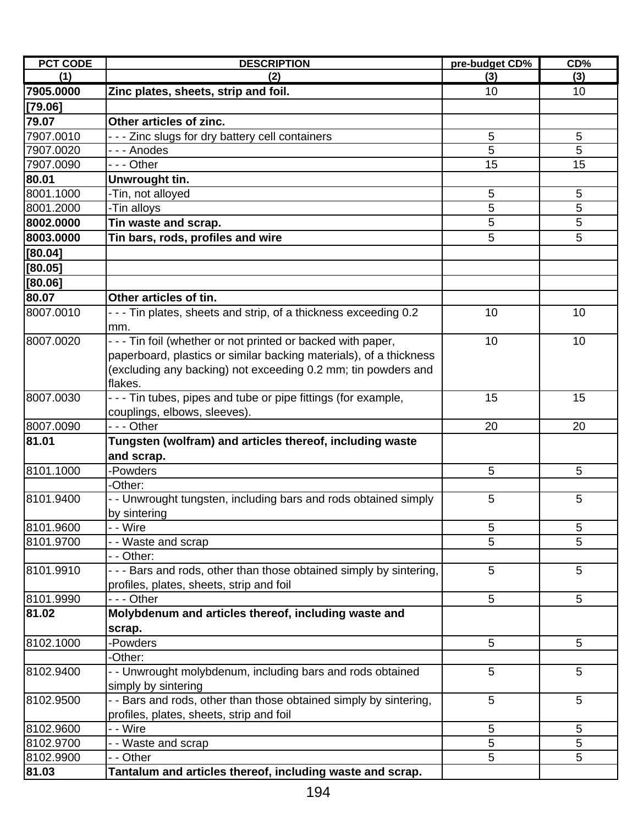| <b>PCT CODE</b> | <b>DESCRIPTION</b>                                                  | pre-budget CD% | CD% |
|-----------------|---------------------------------------------------------------------|----------------|-----|
| (1)             | (2)                                                                 | (3)            | (3) |
| 7905.0000       | Zinc plates, sheets, strip and foil.                                | 10             | 10  |
| [79.06]         |                                                                     |                |     |
| 79.07           | Other articles of zinc.                                             |                |     |
| 7907.0010       | - - - Zinc slugs for dry battery cell containers                    | 5              | 5   |
| 7907.0020       | - - - Anodes                                                        | 5              | 5   |
| 7907.0090       | - - - Other                                                         | 15             | 15  |
| 80.01           | Unwrought tin.                                                      |                |     |
| 8001.1000       | -Tin, not alloyed                                                   | 5              | 5   |
| 8001.2000       | -Tin alloys                                                         | 5              | 5   |
| 8002.0000       | Tin waste and scrap.                                                | 5              | 5   |
| 8003.0000       | Tin bars, rods, profiles and wire                                   | 5              | 5   |
| [80.04]         |                                                                     |                |     |
| [80.05]         |                                                                     |                |     |
| [80.06]         |                                                                     |                |     |
| 80.07           | Other articles of tin.                                              |                |     |
| 8007.0010       | - - - Tin plates, sheets and strip, of a thickness exceeding 0.2    | 10             | 10  |
|                 | mm.                                                                 |                |     |
| 8007.0020       | - - - Tin foil (whether or not printed or backed with paper,        | 10             | 10  |
|                 | paperboard, plastics or similar backing materials), of a thickness  |                |     |
|                 | (excluding any backing) not exceeding 0.2 mm; tin powders and       |                |     |
|                 | flakes.                                                             |                |     |
| 8007.0030       | - - - Tin tubes, pipes and tube or pipe fittings (for example,      | 15             | 15  |
|                 | couplings, elbows, sleeves).                                        |                |     |
| 8007.0090       | - - - Other                                                         | 20             | 20  |
| 81.01           | Tungsten (wolfram) and articles thereof, including waste            |                |     |
|                 | and scrap.                                                          |                |     |
| 8101.1000       | -Powders                                                            | 5              | 5   |
|                 | -Other:                                                             |                |     |
| 8101.9400       | - - Unwrought tungsten, including bars and rods obtained simply     | 5              | 5   |
|                 | by sintering                                                        |                |     |
| 8101.9600       | - - Wire                                                            | 5              | 5   |
| 8101.9700       | Waste and scrap                                                     | 5              | 5   |
|                 | - Other:                                                            |                |     |
| 8101.9910       | - - - Bars and rods, other than those obtained simply by sintering, | 5              | 5   |
|                 | profiles, plates, sheets, strip and foil                            |                |     |
| 8101.9990       | - - - Other                                                         | 5              | 5   |
| 81.02           | Molybdenum and articles thereof, including waste and                |                |     |
|                 | scrap.                                                              |                |     |
| 8102.1000       | -Powders                                                            | 5              | 5   |
|                 | -Other:                                                             |                |     |
| 8102.9400       | - - Unwrought molybdenum, including bars and rods obtained          | 5              | 5   |
|                 | simply by sintering                                                 |                |     |
| 8102.9500       | - - Bars and rods, other than those obtained simply by sintering,   | 5              | 5   |
|                 | profiles, plates, sheets, strip and foil                            |                |     |
| 8102.9600       | - - Wire                                                            | 5              | 5   |
| 8102.9700       | - Waste and scrap                                                   | 5              | 5   |
| 8102.9900       | - Other                                                             | 5              | 5   |
| 81.03           | Tantalum and articles thereof, including waste and scrap.           |                |     |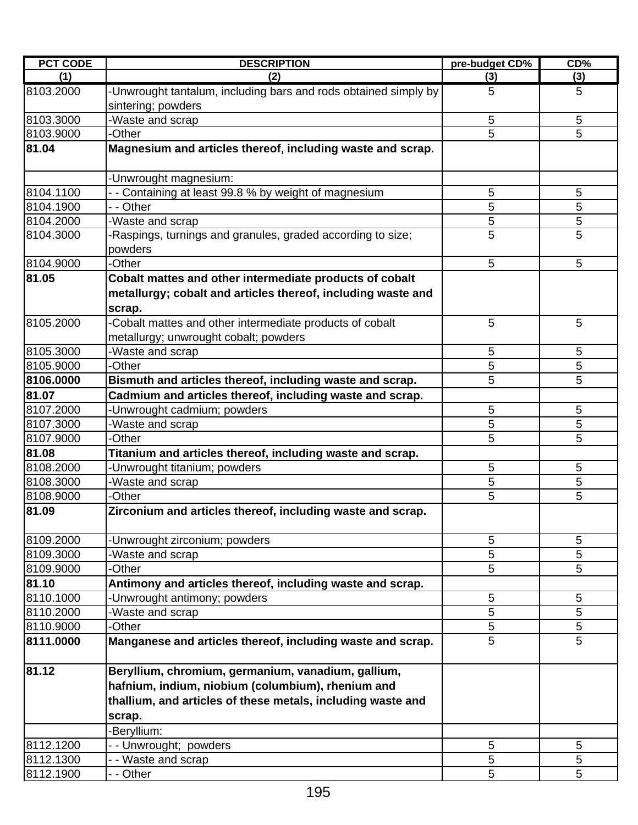| <b>PCT CODE</b> | <b>DESCRIPTION</b>                                                                    | pre-budget CD% | CD% |
|-----------------|---------------------------------------------------------------------------------------|----------------|-----|
| (1)             | (2)                                                                                   | (3)            | (3) |
| 8103.2000       | -Unwrought tantalum, including bars and rods obtained simply by<br>sintering; powders | 5              | 5   |
| 8103.3000       | -Waste and scrap                                                                      | 5              | 5   |
| 8103.9000       | -Other                                                                                | 5              | 5   |
| 81.04           | Magnesium and articles thereof, including waste and scrap.                            |                |     |
|                 | Unwrought magnesium:                                                                  |                |     |
| 8104.1100       | Containing at least 99.8 % by weight of magnesium                                     | 5              | 5   |
| 8104.1900       | - Other                                                                               | 5              | 5   |
| 8104.2000       | -Waste and scrap                                                                      | 5              | 5   |
| 8104.3000       | Raspings, turnings and granules, graded according to size;<br>powders                 | 5              | 5   |
| 8104.9000       | -Other                                                                                | 5              | 5   |
| 81.05           | Cobalt mattes and other intermediate products of cobalt                               |                |     |
|                 | metallurgy; cobalt and articles thereof, including waste and<br>scrap.                |                |     |
| 8105.2000       | -Cobalt mattes and other intermediate products of cobalt                              | 5              | 5   |
|                 | metallurgy; unwrought cobalt; powders                                                 |                |     |
| 8105.3000       | -Waste and scrap                                                                      | 5              | 5   |
| 8105.9000       | -Other                                                                                | 5              | 5   |
| 8106.0000       | Bismuth and articles thereof, including waste and scrap.                              | 5              | 5   |
| 81.07           | Cadmium and articles thereof, including waste and scrap.                              |                |     |
| 8107.2000       | Unwrought cadmium; powders                                                            | 5              | 5   |
| 8107.3000       | Waste and scrap                                                                       | 5              | 5   |
| 8107.9000       | -Other                                                                                | 5              | 5   |
| 81.08           | Titanium and articles thereof, including waste and scrap.                             |                |     |
| 8108.2000       | Unwrought titanium; powders                                                           | 5              | 5   |
| 8108.3000       | Waste and scrap                                                                       | 5              | 5   |
| 8108.9000       | -Other                                                                                | 5              | 5   |
| 81.09           | Zirconium and articles thereof, including waste and scrap.                            |                |     |
| 8109.2000       | Unwrought zirconium; powders                                                          | 5              | 5   |
| 8109.3000       | Waste and scrap                                                                       | 5              | 5   |
| 8109.9000       | <b>Other</b>                                                                          | 5              | 5   |
| 81.10           | Antimony and articles thereof, including waste and scrap.                             |                |     |
| 8110.1000       | Unwrought antimony; powders                                                           | 5              | 5   |
| 8110.2000       | Waste and scrap                                                                       | 5              | 5   |
| 8110.9000       | -Other                                                                                | 5              | 5   |
| 8111.0000       | Manganese and articles thereof, including waste and scrap.                            | 5              | 5   |
| 81.12           | Beryllium, chromium, germanium, vanadium, gallium,                                    |                |     |
|                 | hafnium, indium, niobium (columbium), rhenium and                                     |                |     |
|                 | thallium, and articles of these metals, including waste and                           |                |     |
|                 | scrap.                                                                                |                |     |
|                 | Beryllium:                                                                            |                |     |
| 8112.1200       | -- Unwrought; powders                                                                 | 5              | 5   |
| 8112.1300       | - Waste and scrap                                                                     | 5              | 5   |
| 8112.1900       | - - Other                                                                             | 5              | 5   |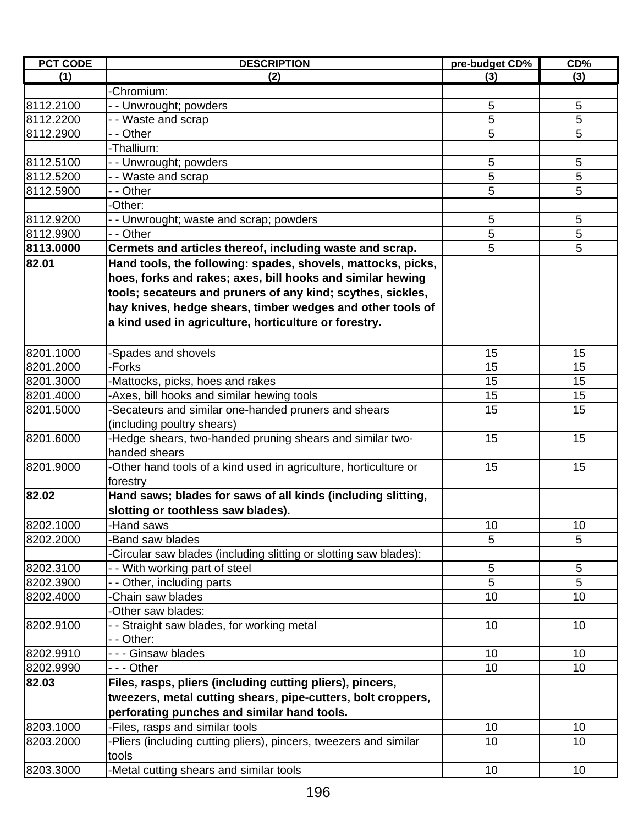| <b>PCT CODE</b> | <b>DESCRIPTION</b>                                                        | pre-budget CD% | CD% |
|-----------------|---------------------------------------------------------------------------|----------------|-----|
| (1)             | (2)                                                                       | (3)            | (3) |
|                 | Chromium:                                                                 |                |     |
| 8112.2100       | - - Unwrought; powders                                                    | 5              | 5   |
| 8112.2200       | - - Waste and scrap                                                       | 5              | 5   |
| 8112.2900       | - - Other                                                                 | 5              | 5   |
|                 | -Thallium:                                                                |                |     |
| 8112.5100       | - - Unwrought; powders                                                    | 5              | 5   |
| 8112.5200       | - - Waste and scrap                                                       | 5              | 5   |
| 8112.5900       | - - Other                                                                 | 5              | 5   |
|                 | -Other:                                                                   |                |     |
| 8112.9200       | - - Unwrought; waste and scrap; powders                                   | 5              | 5   |
| 8112.9900       | - - Other                                                                 | 5              | 5   |
| 8113.0000       | Cermets and articles thereof, including waste and scrap.                  | 5              | 5   |
| 82.01           | Hand tools, the following: spades, shovels, mattocks, picks,              |                |     |
|                 | hoes, forks and rakes; axes, bill hooks and similar hewing                |                |     |
|                 | tools; secateurs and pruners of any kind; scythes, sickles,               |                |     |
|                 | hay knives, hedge shears, timber wedges and other tools of                |                |     |
|                 | a kind used in agriculture, horticulture or forestry.                     |                |     |
|                 |                                                                           |                |     |
| 8201.1000       | Spades and shovels                                                        | 15             | 15  |
| 8201.2000       | -Forks                                                                    | 15             | 15  |
| 8201.3000       | Mattocks, picks, hoes and rakes                                           | 15             | 15  |
| 8201.4000       | -Axes, bill hooks and similar hewing tools                                | 15             | 15  |
| 8201.5000       | -Secateurs and similar one-handed pruners and shears                      | 15             | 15  |
|                 |                                                                           |                |     |
| 8201.6000       | (including poultry shears)                                                | 15             | 15  |
|                 | Hedge shears, two-handed pruning shears and similar two-<br>handed shears |                |     |
| 8201.9000       |                                                                           | 15             | 15  |
|                 | Other hand tools of a kind used in agriculture, horticulture or           |                |     |
|                 | forestry                                                                  |                |     |
| 82.02           | Hand saws; blades for saws of all kinds (including slitting,              |                |     |
|                 | slotting or toothless saw blades).                                        |                |     |
| 8202.1000       | -Hand saws                                                                | 10             | 10  |
| 8202.2000       | Band saw blades                                                           | 5              | 5   |
|                 | Circular saw blades (including slitting or slotting saw blades):          |                |     |
| 8202.3100       | - With working part of steel                                              | 5              | 5   |
| 8202.3900       | - - Other, including parts                                                | 5              | 5   |
| 8202.4000       | -Chain saw blades                                                         | 10             | 10  |
|                 | -Other saw blades:                                                        |                |     |
| 8202.9100       | - Straight saw blades, for working metal                                  | 10             | 10  |
|                 | - - Other:                                                                |                |     |
| 8202.9910       | - - - Ginsaw blades                                                       | 10             | 10  |
| 8202.9990       | - - - Other                                                               | 10             | 10  |
| 82.03           | Files, rasps, pliers (including cutting pliers), pincers,                 |                |     |
|                 | tweezers, metal cutting shears, pipe-cutters, bolt croppers,              |                |     |
|                 | perforating punches and similar hand tools.                               |                |     |
| 8203.1000       | -Files, rasps and similar tools                                           | 10             | 10  |
| 8203.2000       | -Pliers (including cutting pliers), pincers, tweezers and similar         | 10             | 10  |
|                 | tools                                                                     |                |     |
| 8203.3000       | -Metal cutting shears and similar tools                                   | 10             | 10  |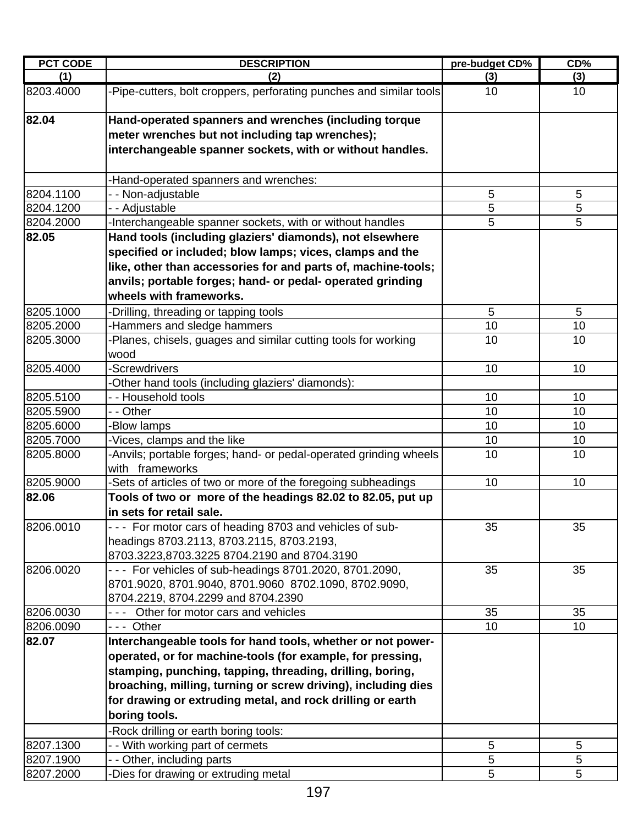| <b>PCT CODE</b> | <b>DESCRIPTION</b>                                                                                                                                                    | pre-budget CD% | CD% |
|-----------------|-----------------------------------------------------------------------------------------------------------------------------------------------------------------------|----------------|-----|
| (1)             | (2)                                                                                                                                                                   | (3)            | (3) |
| 8203.4000       | -Pipe-cutters, bolt croppers, perforating punches and similar tools                                                                                                   | 10             | 10  |
| 82.04           | Hand-operated spanners and wrenches (including torque<br>meter wrenches but not including tap wrenches);<br>interchangeable spanner sockets, with or without handles. |                |     |
|                 | -Hand-operated spanners and wrenches:                                                                                                                                 |                |     |
| 8204.1100       | - - Non-adjustable                                                                                                                                                    | 5              | 5   |
| 8204.1200       | - - Adjustable                                                                                                                                                        | $\overline{5}$ | 5   |
| 8204.2000       | -Interchangeable spanner sockets, with or without handles                                                                                                             | 5              | 5   |
| 82.05           | Hand tools (including glaziers' diamonds), not elsewhere                                                                                                              |                |     |
|                 | specified or included; blow lamps; vices, clamps and the                                                                                                              |                |     |
|                 | like, other than accessories for and parts of, machine-tools;                                                                                                         |                |     |
|                 | anvils; portable forges; hand- or pedal- operated grinding                                                                                                            |                |     |
|                 | wheels with frameworks.                                                                                                                                               |                |     |
| 8205.1000       | -Drilling, threading or tapping tools                                                                                                                                 | 5              | 5   |
| 8205.2000       | -Hammers and sledge hammers                                                                                                                                           | 10             | 10  |
| 8205.3000       | -Planes, chisels, guages and similar cutting tools for working                                                                                                        | 10             | 10  |
|                 | wood                                                                                                                                                                  |                |     |
| 8205.4000       | -Screwdrivers                                                                                                                                                         | 10             | 10  |
|                 | -Other hand tools (including glaziers' diamonds):                                                                                                                     |                |     |
| 8205.5100       | - - Household tools                                                                                                                                                   | 10             | 10  |
| 8205.5900       | - - Other                                                                                                                                                             | 10             | 10  |
| 8205.6000       | -Blow lamps                                                                                                                                                           | 10             | 10  |
| 8205.7000       | -Vices, clamps and the like                                                                                                                                           | 10             | 10  |
| 8205.8000       | -Anvils; portable forges; hand- or pedal-operated grinding wheels<br>with frameworks                                                                                  | 10             | 10  |
| 8205.9000       | -Sets of articles of two or more of the foregoing subheadings                                                                                                         | 10             | 10  |
| 82.06           | Tools of two or more of the headings 82.02 to 82.05, put up                                                                                                           |                |     |
|                 | in sets for retail sale.                                                                                                                                              |                |     |
| 8206.0010       | --- For motor cars of heading 8703 and vehicles of sub-                                                                                                               | 35             | 35  |
|                 | headings 8703.2113, 8703.2115, 8703.2193,                                                                                                                             |                |     |
|                 | 8703.3223,8703.3225 8704.2190 and 8704.3190                                                                                                                           |                |     |
| 8206.0020       | --- For vehicles of sub-headings 8701.2020, 8701.2090,                                                                                                                | 35             | 35  |
|                 | 8701.9020, 8701.9040, 8701.9060 8702.1090, 8702.9090,                                                                                                                 |                |     |
|                 | 8704.2219, 8704.2299 and 8704.2390                                                                                                                                    |                |     |
| 8206.0030       | Other for motor cars and vehicles                                                                                                                                     | 35             | 35  |
| 8206.0090       | --- Other                                                                                                                                                             | 10             | 10  |
| 82.07           | Interchangeable tools for hand tools, whether or not power-                                                                                                           |                |     |
|                 | operated, or for machine-tools (for example, for pressing,                                                                                                            |                |     |
|                 | stamping, punching, tapping, threading, drilling, boring,                                                                                                             |                |     |
|                 | broaching, milling, turning or screw driving), including dies                                                                                                         |                |     |
|                 | for drawing or extruding metal, and rock drilling or earth                                                                                                            |                |     |
|                 | boring tools.                                                                                                                                                         |                |     |
|                 | -Rock drilling or earth boring tools:                                                                                                                                 |                |     |
| 8207.1300       | - With working part of cermets                                                                                                                                        | 5              | 5   |
| 8207.1900       | - - Other, including parts                                                                                                                                            | 5              | 5   |
| 8207.2000       | -Dies for drawing or extruding metal                                                                                                                                  | 5              | 5   |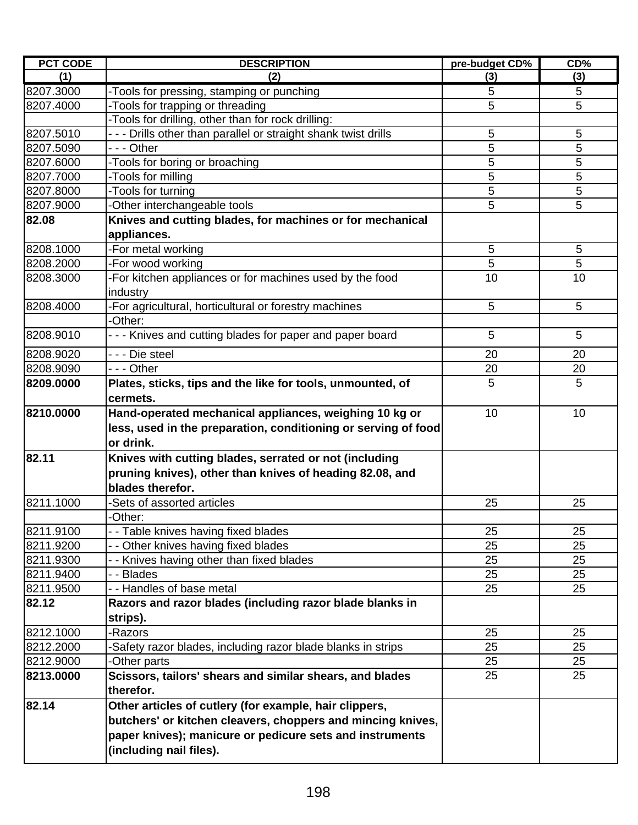| <b>PCT CODE</b> | <b>DESCRIPTION</b>                                              | pre-budget CD% | CD% |
|-----------------|-----------------------------------------------------------------|----------------|-----|
| (1)             | (2)                                                             | (3)            | (3) |
| 8207.3000       | -Tools for pressing, stamping or punching                       | 5              | 5   |
| 8207.4000       | -Tools for trapping or threading                                | 5              | 5   |
|                 | -Tools for drilling, other than for rock drilling:              |                |     |
| 8207.5010       | - - - Drills other than parallel or straight shank twist drills | 5              | 5   |
| 8207.5090       | --- Other                                                       | 5              | 5   |
| 8207.6000       | -Tools for boring or broaching                                  | 5              | 5   |
| 8207.7000       | -Tools for milling                                              | 5              | 5   |
| 8207.8000       | -Tools for turning                                              | 5              | 5   |
| 8207.9000       | Other interchangeable tools                                     | 5              | 5   |
| 82.08           | Knives and cutting blades, for machines or for mechanical       |                |     |
|                 | appliances.                                                     |                |     |
| 8208.1000       | -For metal working                                              | 5              | 5   |
| 8208.2000       | -For wood working                                               | 5              | 5   |
| 8208.3000       | -For kitchen appliances or for machines used by the food        | 10             | 10  |
|                 | industry                                                        |                |     |
| 8208.4000       | -For agricultural, horticultural or forestry machines           | 5              | 5   |
|                 | -Other:                                                         |                |     |
| 8208.9010       | - - - Knives and cutting blades for paper and paper board       | 5              | 5   |
| 8208.9020       | - - - Die steel                                                 | 20             | 20  |
| 8208.9090       | - - - Other                                                     | 20             | 20  |
| 8209.0000       | Plates, sticks, tips and the like for tools, unmounted, of      | 5              | 5   |
|                 | cermets.                                                        |                |     |
| 8210.0000       | Hand-operated mechanical appliances, weighing 10 kg or          | 10             | 10  |
|                 | less, used in the preparation, conditioning or serving of food  |                |     |
|                 | or drink.                                                       |                |     |
| 82.11           | Knives with cutting blades, serrated or not (including          |                |     |
|                 | pruning knives), other than knives of heading 82.08, and        |                |     |
|                 | blades therefor.                                                |                |     |
| 8211.1000       | -Sets of assorted articles                                      | 25             | 25  |
|                 | -Other:                                                         |                |     |
| 8211.9100       | - - Table knives having fixed blades                            | 25             | 25  |
| 8211.9200       | - - Other knives having fixed blades                            | 25             | 25  |
| 8211.9300       | - - Knives having other than fixed blades                       | 25             | 25  |
| 8211.9400       | - - Blades                                                      | 25             | 25  |
| 8211.9500       | - - Handles of base metal                                       | 25             | 25  |
| 82.12           | Razors and razor blades (including razor blade blanks in        |                |     |
|                 | strips).                                                        |                |     |
| 8212.1000       | -Razors                                                         | 25             | 25  |
| 8212.2000       | Safety razor blades, including razor blade blanks in strips     | 25             | 25  |
| 8212.9000       | Other parts                                                     | 25             | 25  |
| 8213.0000       | Scissors, tailors' shears and similar shears, and blades        | 25             | 25  |
|                 | therefor.                                                       |                |     |
| 82.14           | Other articles of cutlery (for example, hair clippers,          |                |     |
|                 | butchers' or kitchen cleavers, choppers and mincing knives,     |                |     |
|                 | paper knives); manicure or pedicure sets and instruments        |                |     |
|                 | (including nail files).                                         |                |     |
|                 |                                                                 |                |     |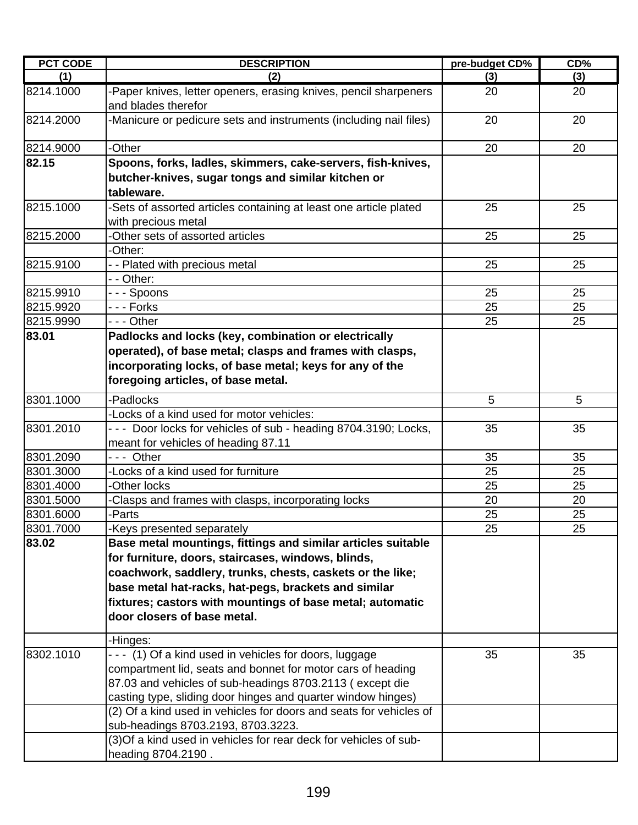| <b>PCT CODE</b> | <b>DESCRIPTION</b>                                                                       | pre-budget CD% | CD% |
|-----------------|------------------------------------------------------------------------------------------|----------------|-----|
| (1)             | (2)                                                                                      | (3)            | (3) |
| 8214.1000       | -Paper knives, letter openers, erasing knives, pencil sharpeners<br>and blades therefor  | 20             | 20  |
| 8214.2000       | -Manicure or pedicure sets and instruments (including nail files)                        | 20             | 20  |
| 8214.9000       | -Other                                                                                   | 20             | 20  |
| 82.15           | Spoons, forks, ladles, skimmers, cake-servers, fish-knives,                              |                |     |
|                 | butcher-knives, sugar tongs and similar kitchen or<br>tableware.                         |                |     |
| 8215.1000       | -Sets of assorted articles containing at least one article plated<br>with precious metal | 25             | 25  |
| 8215.2000       | -Other sets of assorted articles                                                         | 25             | 25  |
|                 | -Other:                                                                                  |                |     |
| 8215.9100       | - - Plated with precious metal                                                           | 25             | 25  |
|                 | - - Other:                                                                               |                |     |
| 8215.9910       | --- Spoons                                                                               | 25             | 25  |
| 8215.9920       | - - - Forks                                                                              | 25             | 25  |
| 8215.9990       | --- Other                                                                                | 25             | 25  |
| 83.01           | Padlocks and locks (key, combination or electrically                                     |                |     |
|                 | operated), of base metal; clasps and frames with clasps,                                 |                |     |
|                 | incorporating locks, of base metal; keys for any of the                                  |                |     |
|                 | foregoing articles, of base metal.                                                       |                |     |
| 8301.1000       | -Padlocks                                                                                | 5              | 5   |
|                 | -Locks of a kind used for motor vehicles:                                                |                |     |
| 8301.2010       | --- Door locks for vehicles of sub - heading 8704.3190; Locks,                           | 35             | 35  |
|                 | meant for vehicles of heading 87.11                                                      |                |     |
| 8301.2090       | --- Other                                                                                | 35             | 35  |
| 8301.3000       | -Locks of a kind used for furniture                                                      | 25             | 25  |
| 8301.4000       | -Other locks                                                                             | 25             | 25  |
| 8301.5000       | -Clasps and frames with clasps, incorporating locks                                      | 20             | 20  |
| 8301.6000       | -Parts                                                                                   | 25             | 25  |
| 8301.7000       | -Keys presented separately                                                               | 25             | 25  |
| 83.02           | Base metal mountings, fittings and similar articles suitable                             |                |     |
|                 | for furniture, doors, staircases, windows, blinds,                                       |                |     |
|                 | coachwork, saddlery, trunks, chests, caskets or the like;                                |                |     |
|                 | base metal hat-racks, hat-pegs, brackets and similar                                     |                |     |
|                 | fixtures; castors with mountings of base metal; automatic                                |                |     |
|                 | door closers of base metal.                                                              |                |     |
|                 |                                                                                          |                |     |
|                 | -Hinges:                                                                                 |                |     |
| 8302.1010       | --- (1) Of a kind used in vehicles for doors, luggage                                    | 35             | 35  |
|                 | compartment lid, seats and bonnet for motor cars of heading                              |                |     |
|                 | 87.03 and vehicles of sub-headings 8703.2113 (except die                                 |                |     |
|                 | casting type, sliding door hinges and quarter window hinges)                             |                |     |
|                 | (2) Of a kind used in vehicles for doors and seats for vehicles of                       |                |     |
|                 | sub-headings 8703.2193, 8703.3223.                                                       |                |     |
|                 | (3) Of a kind used in vehicles for rear deck for vehicles of sub-                        |                |     |
|                 | heading 8704.2190.                                                                       |                |     |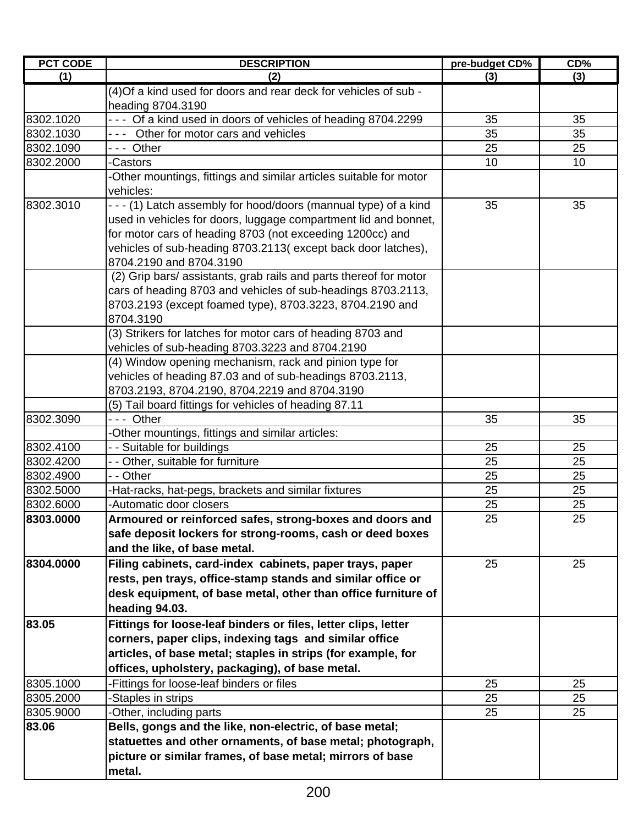| <b>PCT CODE</b><br>(1) | <b>DESCRIPTION</b><br>(2)                                                                                 | pre-budget CD%<br>(3) | CD%<br>(3) |
|------------------------|-----------------------------------------------------------------------------------------------------------|-----------------------|------------|
|                        | (4) Of a kind used for doors and rear deck for vehicles of sub -                                          |                       |            |
|                        | heading 8704.3190                                                                                         |                       |            |
| 8302.1020              | --- Of a kind used in doors of vehicles of heading 8704.2299                                              | 35                    | 35         |
| 8302.1030              | --- Other for motor cars and vehicles                                                                     | 35                    | 35         |
| 8302.1090              | --- Other                                                                                                 | 25                    | 25         |
| 8302.2000              | -Castors                                                                                                  | 10                    | 10         |
|                        | -Other mountings, fittings and similar articles suitable for motor                                        |                       |            |
|                        | vehicles:                                                                                                 |                       |            |
| 8302.3010              | - - - (1) Latch assembly for hood/doors (mannual type) of a kind                                          | 35                    | 35         |
|                        | used in vehicles for doors, luggage compartment lid and bonnet,                                           |                       |            |
|                        | for motor cars of heading 8703 (not exceeding 1200cc) and                                                 |                       |            |
|                        | vehicles of sub-heading 8703.2113(except back door latches),                                              |                       |            |
|                        | 8704.2190 and 8704.3190                                                                                   |                       |            |
|                        | (2) Grip bars/assistants, grab rails and parts thereof for motor                                          |                       |            |
|                        | cars of heading 8703 and vehicles of sub-headings 8703.2113,                                              |                       |            |
|                        | 8703.2193 (except foamed type), 8703.3223, 8704.2190 and                                                  |                       |            |
|                        | 8704.3190                                                                                                 |                       |            |
|                        | (3) Strikers for latches for motor cars of heading 8703 and                                               |                       |            |
|                        | vehicles of sub-heading 8703.3223 and 8704.2190<br>(4) Window opening mechanism, rack and pinion type for |                       |            |
|                        | vehicles of heading 87.03 and of sub-headings 8703.2113,                                                  |                       |            |
|                        | 8703.2193, 8704.2190, 8704.2219 and 8704.3190                                                             |                       |            |
|                        | (5) Tail board fittings for vehicles of heading 87.11                                                     |                       |            |
| 8302.3090              | --- Other                                                                                                 | 35                    | 35         |
|                        | -Other mountings, fittings and similar articles:                                                          |                       |            |
| 8302.4100              | - - Suitable for buildings                                                                                | 25                    | 25         |
| 8302.4200              | - - Other, suitable for furniture                                                                         | 25                    | 25         |
| 8302.4900              | - - Other                                                                                                 | 25                    | 25         |
| 8302.5000              | -Hat-racks, hat-pegs, brackets and similar fixtures                                                       | 25                    | 25         |
| 8302.6000              | -Automatic door closers                                                                                   | 25                    | 25         |
| 8303.0000              | Armoured or reinforced safes, strong-boxes and doors and                                                  | 25                    | 25         |
|                        | safe deposit lockers for strong-rooms, cash or deed boxes                                                 |                       |            |
|                        | and the like, of base metal.                                                                              |                       |            |
| 8304.0000              | Filing cabinets, card-index cabinets, paper trays, paper                                                  | 25                    | 25         |
|                        | rests, pen trays, office-stamp stands and similar office or                                               |                       |            |
|                        | desk equipment, of base metal, other than office furniture of                                             |                       |            |
|                        | heading 94.03.                                                                                            |                       |            |
| 83.05                  | Fittings for loose-leaf binders or files, letter clips, letter                                            |                       |            |
|                        | corners, paper clips, indexing tags and similar office                                                    |                       |            |
|                        | articles, of base metal; staples in strips (for example, for                                              |                       |            |
|                        | offices, upholstery, packaging), of base metal.                                                           |                       |            |
| 8305.1000              | -Fittings for loose-leaf binders or files                                                                 | 25                    | 25         |
| 8305.2000              | -Staples in strips                                                                                        | 25                    | 25         |
| 8305.9000              | -Other, including parts                                                                                   | 25                    | 25         |
| 83.06                  | Bells, gongs and the like, non-electric, of base metal;                                                   |                       |            |
|                        | statuettes and other ornaments, of base metal; photograph,                                                |                       |            |
|                        | picture or similar frames, of base metal; mirrors of base                                                 |                       |            |
|                        | metal.                                                                                                    |                       |            |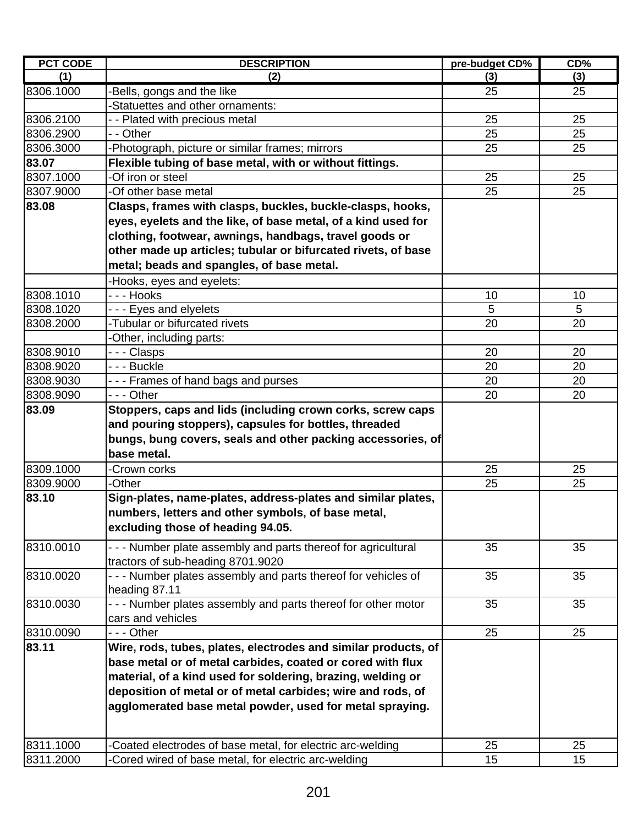| <b>PCT CODE</b> | <b>DESCRIPTION</b>                                             | pre-budget CD% | CD%      |
|-----------------|----------------------------------------------------------------|----------------|----------|
| (1)             | (2)                                                            | (3)            | (3)      |
| 8306.1000       | -Bells, gongs and the like                                     | 25             | 25       |
|                 | -Statuettes and other ornaments:                               |                |          |
| 8306.2100       | - - Plated with precious metal                                 | 25             | 25       |
| 8306.2900       | - - Other                                                      | 25             | 25       |
| 8306.3000       | -Photograph, picture or similar frames; mirrors                | 25             | 25       |
| 83.07           | Flexible tubing of base metal, with or without fittings.       |                |          |
| 8307.1000       | -Of iron or steel                                              | 25             | 25       |
| 8307.9000       | -Of other base metal                                           | 25             | 25       |
| 83.08           | Clasps, frames with clasps, buckles, buckle-clasps, hooks,     |                |          |
|                 | eyes, eyelets and the like, of base metal, of a kind used for  |                |          |
|                 | clothing, footwear, awnings, handbags, travel goods or         |                |          |
|                 | other made up articles; tubular or bifurcated rivets, of base  |                |          |
|                 | metal; beads and spangles, of base metal.                      |                |          |
|                 | -Hooks, eyes and eyelets:                                      |                |          |
| 8308.1010       | - - - Hooks                                                    | 10             | 10       |
| 8308.1020       | - - - Eyes and elyelets                                        | 5              | 5        |
| 8308.2000       | -Tubular or bifurcated rivets                                  | 20             | 20       |
|                 | -Other, including parts:                                       |                |          |
| 8308.9010       | --- Clasps                                                     | 20             | 20       |
| 8308.9020       | - - - Buckle                                                   | 20             | 20       |
| 8308.9030       | --- Frames of hand bags and purses                             | 20             | 20       |
| 8308.9090       | $- -$ Other                                                    | 20             | 20       |
| 83.09           | Stoppers, caps and lids (including crown corks, screw caps     |                |          |
|                 | and pouring stoppers), capsules for bottles, threaded          |                |          |
|                 | bungs, bung covers, seals and other packing accessories, of    |                |          |
|                 | base metal.                                                    |                |          |
|                 |                                                                |                |          |
| 8309.1000       | -Crown corks<br>-Other                                         | 25             | 25<br>25 |
| 8309.9000       |                                                                | 25             |          |
| 83.10           | Sign-plates, name-plates, address-plates and similar plates,   |                |          |
|                 | numbers, letters and other symbols, of base metal,             |                |          |
|                 | excluding those of heading 94.05.                              |                |          |
| 8310.0010       | - - - Number plate assembly and parts thereof for agricultural | 35             | 35       |
|                 | tractors of sub-heading 8701.9020                              |                |          |
| 8310.0020       | - - - Number plates assembly and parts thereof for vehicles of | 35             | 35       |
|                 | heading 87.11                                                  |                |          |
| 8310.0030       | - - - Number plates assembly and parts thereof for other motor | 35             | 35       |
|                 | cars and vehicles                                              |                |          |
| 8310.0090       | - - - Other                                                    | 25             | 25       |
| 83.11           | Wire, rods, tubes, plates, electrodes and similar products, of |                |          |
|                 | base metal or of metal carbides, coated or cored with flux     |                |          |
|                 | material, of a kind used for soldering, brazing, welding or    |                |          |
|                 | deposition of metal or of metal carbides; wire and rods, of    |                |          |
|                 | agglomerated base metal powder, used for metal spraying.       |                |          |
|                 |                                                                |                |          |
|                 |                                                                |                |          |
| 8311.1000       | -Coated electrodes of base metal, for electric arc-welding     | 25             | 25       |
| 8311.2000       | -Cored wired of base metal, for electric arc-welding           | 15             | 15       |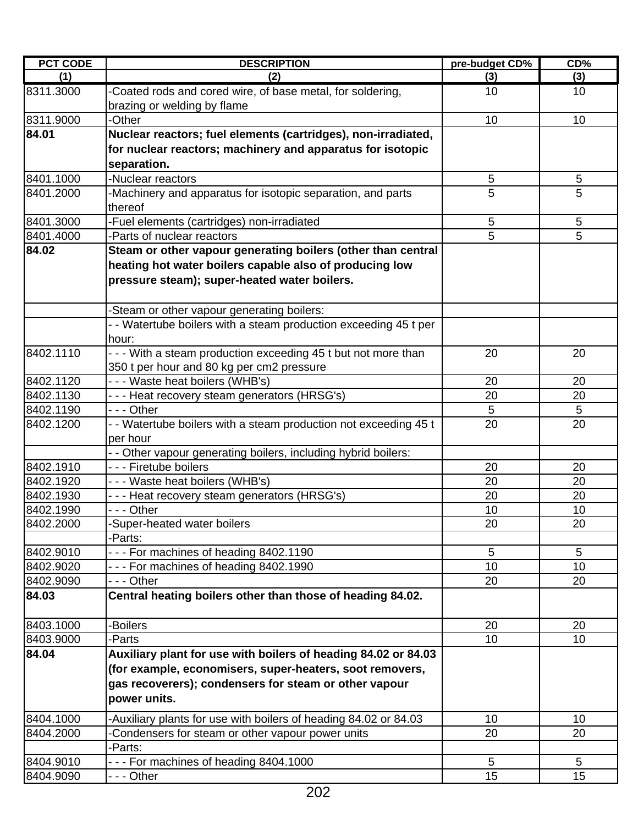| <b>PCT CODE</b> | <b>DESCRIPTION</b>                                               | pre-budget CD%  | CD% |
|-----------------|------------------------------------------------------------------|-----------------|-----|
| (1)             | (2)                                                              | (3)             | (3) |
| 8311.3000       | -Coated rods and cored wire, of base metal, for soldering,       | 10              | 10  |
|                 | brazing or welding by flame                                      |                 |     |
| 8311.9000       | -Other                                                           | 10              | 10  |
| 84.01           | Nuclear reactors; fuel elements (cartridges), non-irradiated,    |                 |     |
|                 | for nuclear reactors; machinery and apparatus for isotopic       |                 |     |
|                 | separation.                                                      |                 |     |
| 8401.1000       | -Nuclear reactors                                                | 5               | 5   |
| 8401.2000       | -Machinery and apparatus for isotopic separation, and parts      | 5               | 5   |
|                 | thereof                                                          |                 |     |
| 8401.3000       | -Fuel elements (cartridges) non-irradiated                       | 5               | 5   |
| 8401.4000       | -Parts of nuclear reactors                                       | 5               | 5   |
| 84.02           | Steam or other vapour generating boilers (other than central     |                 |     |
|                 | heating hot water boilers capable also of producing low          |                 |     |
|                 | pressure steam); super-heated water boilers.                     |                 |     |
|                 |                                                                  |                 |     |
|                 | -Steam or other vapour generating boilers:                       |                 |     |
|                 | - - Watertube boilers with a steam production exceeding 45 t per |                 |     |
|                 | hour:                                                            |                 |     |
| 8402.1110       | - - - With a steam production exceeding 45 t but not more than   | 20              | 20  |
|                 | 350 t per hour and 80 kg per cm2 pressure                        |                 |     |
| 8402.1120       | --- Waste heat boilers (WHB's)                                   | 20              | 20  |
| 8402.1130       | - - - Heat recovery steam generators (HRSG's)                    | 20              | 20  |
| 8402.1190       | $- -$ Other                                                      | 5               | 5   |
| 8402.1200       | - - Watertube boilers with a steam production not exceeding 45 t | 20              | 20  |
|                 | per hour                                                         |                 |     |
|                 | - - Other vapour generating boilers, including hybrid boilers:   |                 |     |
| 8402.1910       | - - - Firetube boilers                                           | 20              | 20  |
| 8402.1920       | --- Waste heat boilers (WHB's)                                   | 20              | 20  |
| 8402.1930       | - - - Heat recovery steam generators (HRSG's)                    | 20              | 20  |
| 8402.1990       | - - - Other                                                      | 10              | 10  |
| 8402.2000       | -Super-heated water boilers                                      | 20              | 20  |
|                 | -Parts:                                                          |                 |     |
| 8402.9010       | --- For machines of heading 8402.1190                            | 5               | 5   |
| 8402.9020       | --- For machines of heading 8402.1990                            | 10              | 10  |
| 8402.9090       | --- Other                                                        | 20              | 20  |
| 84.03           | Central heating boilers other than those of heading 84.02.       |                 |     |
| 8403.1000       | -Boilers                                                         | 20              | 20  |
| 8403.9000       | -Parts                                                           | 10 <sup>1</sup> | 10  |
| 84.04           | Auxiliary plant for use with boilers of heading 84.02 or 84.03   |                 |     |
|                 | (for example, economisers, super-heaters, soot removers,         |                 |     |
|                 | gas recoverers); condensers for steam or other vapour            |                 |     |
|                 | power units.                                                     |                 |     |
| 8404.1000       | -Auxiliary plants for use with boilers of heading 84.02 or 84.03 | 10              | 10  |
| 8404.2000       | Condensers for steam or other vapour power units                 | 20              | 20  |
|                 | -Parts:                                                          |                 |     |
| 8404.9010       | --- For machines of heading 8404.1000                            | $\sqrt{5}$      | 5   |
| 8404.9090       | --- Other                                                        | 15              | 15  |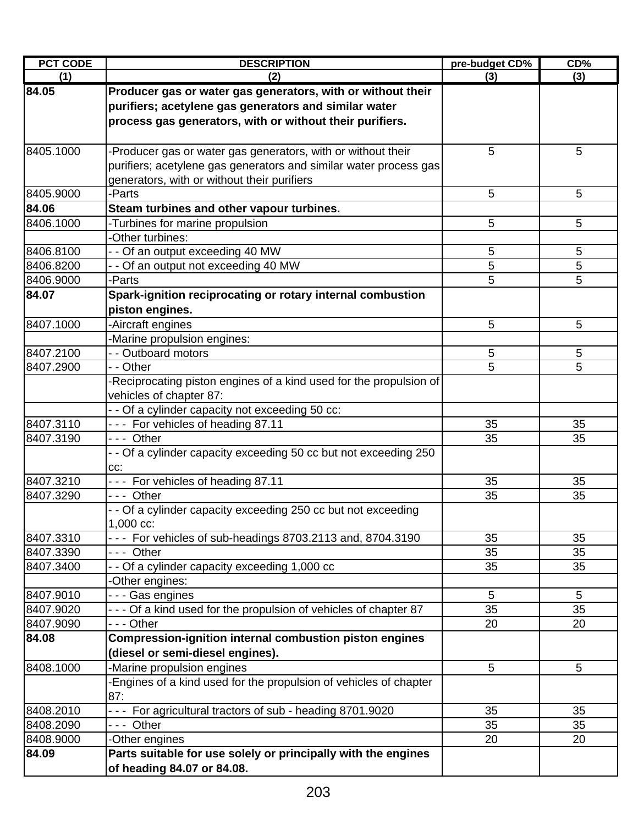| <b>PCT CODE</b>        | <b>DESCRIPTION</b>                                                                              | pre-budget CD% | CD%             |
|------------------------|-------------------------------------------------------------------------------------------------|----------------|-----------------|
| (1)                    | (2)                                                                                             | (3)            | (3)             |
| 84.05                  | Producer gas or water gas generators, with or without their                                     |                |                 |
|                        | purifiers; acetylene gas generators and similar water                                           |                |                 |
|                        | process gas generators, with or without their purifiers.                                        |                |                 |
|                        |                                                                                                 |                |                 |
| 8405.1000              | -Producer gas or water gas generators, with or without their                                    | 5              | 5               |
|                        | purifiers; acetylene gas generators and similar water process gas                               |                |                 |
|                        | generators, with or without their purifiers                                                     |                |                 |
| 8405.9000              | -Parts                                                                                          | 5              | 5               |
| 84.06                  | Steam turbines and other vapour turbines.                                                       |                |                 |
| 8406.1000              | -Turbines for marine propulsion                                                                 | 5              | 5               |
|                        | Other turbines:                                                                                 |                |                 |
| 8406.8100              | - - Of an output exceeding 40 MW                                                                | 5              | 5               |
| 8406.8200              | - - Of an output not exceeding 40 MW                                                            | 5              | 5               |
| 8406.9000              | -Parts                                                                                          | 5              | 5               |
| 84.07                  | Spark-ignition reciprocating or rotary internal combustion                                      |                |                 |
|                        | piston engines.                                                                                 |                |                 |
| 8407.1000              | Aircraft engines                                                                                | 5              | 5               |
|                        | Marine propulsion engines:                                                                      |                |                 |
| 8407.2100              | - - Outboard motors                                                                             | 5              | 5               |
| 8407.2900              | - - Other                                                                                       | 5              | 5               |
|                        | Reciprocating piston engines of a kind used for the propulsion of                               |                |                 |
|                        | vehicles of chapter 87:                                                                         |                |                 |
|                        | - - Of a cylinder capacity not exceeding 50 cc:                                                 |                |                 |
| 8407.3110              | --- For vehicles of heading 87.11                                                               | 35             | 35              |
| 8407.3190              | --- Other                                                                                       | 35             | 35              |
|                        | - - Of a cylinder capacity exceeding 50 cc but not exceeding 250                                |                |                 |
|                        | CC:                                                                                             |                |                 |
| 8407.3210              | --- For vehicles of heading 87.11                                                               | 35             | 35              |
| 8407.3290              | --- Other                                                                                       | 35             | 35              |
|                        | - - Of a cylinder capacity exceeding 250 cc but not exceeding                                   |                |                 |
|                        | 1,000 cc:                                                                                       |                |                 |
| 8407.3310              | - - - For vehicles of sub-headings 8703.2113 and, 8704.3190                                     | 35             | 35              |
| 8407.3390              | --- Other                                                                                       | 35             | 35              |
| 8407.3400              | - - Of a cylinder capacity exceeding 1,000 cc                                                   | 35             | 35              |
|                        | Other engines:                                                                                  |                |                 |
| 8407.9010              | - - - Gas engines                                                                               | $\overline{5}$ | 5               |
| 8407.9020              | - - - Of a kind used for the propulsion of vehicles of chapter 87                               | 35             | 35              |
| 8407.9090              | - - - Other                                                                                     | 20             | 20              |
| 84.08                  | Compression-ignition internal combustion piston engines                                         |                |                 |
|                        | (diesel or semi-diesel engines).                                                                |                |                 |
| 8408.1000              |                                                                                                 | 5              | $5\phantom{.0}$ |
|                        | -Marine propulsion engines<br>-Engines of a kind used for the propulsion of vehicles of chapter |                |                 |
|                        | 87:                                                                                             |                |                 |
|                        |                                                                                                 |                |                 |
| 8408.2010<br>8408.2090 | For agricultural tractors of sub - heading 8701.9020<br>--- Other                               | 35<br>35       | 35<br>35        |
|                        |                                                                                                 |                |                 |
| 8408.9000              | -Other engines                                                                                  | 20             | 20              |
| 84.09                  | Parts suitable for use solely or principally with the engines                                   |                |                 |
|                        | of heading 84.07 or 84.08.                                                                      |                |                 |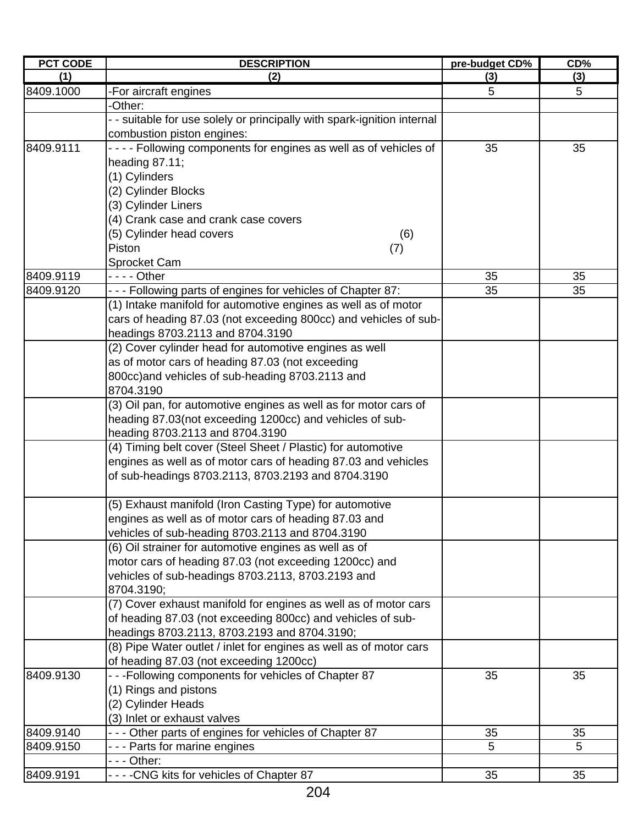| <b>PCT CODE</b> | <b>DESCRIPTION</b>                                                                         | pre-budget CD% | CD% |
|-----------------|--------------------------------------------------------------------------------------------|----------------|-----|
| (1)             | (2)                                                                                        | (3)            | (3) |
| 8409.1000       | -For aircraft engines                                                                      | 5              | 5   |
|                 | -Other:                                                                                    |                |     |
|                 | - - suitable for use solely or principally with spark-ignition internal                    |                |     |
|                 | combustion piston engines:                                                                 |                |     |
| 8409.9111       | - - - - Following components for engines as well as of vehicles of                         | 35             | 35  |
|                 | heading $87.11$ ;                                                                          |                |     |
|                 | (1) Cylinders                                                                              |                |     |
|                 | (2) Cylinder Blocks                                                                        |                |     |
|                 | (3) Cylinder Liners                                                                        |                |     |
|                 | (4) Crank case and crank case covers                                                       |                |     |
|                 | (5) Cylinder head covers<br>(6)                                                            |                |     |
|                 | Piston<br>(7)                                                                              |                |     |
|                 | Sprocket Cam                                                                               |                |     |
| 8409.9119       | - - - - Other                                                                              | 35             | 35  |
| 8409.9120       | - - - Following parts of engines for vehicles of Chapter 87:                               | 35             | 35  |
|                 | (1) Intake manifold for automotive engines as well as of motor                             |                |     |
|                 | cars of heading 87.03 (not exceeding 800cc) and vehicles of sub-                           |                |     |
|                 |                                                                                            |                |     |
|                 | headings 8703.2113 and 8704.3190<br>(2) Cover cylinder head for automotive engines as well |                |     |
|                 |                                                                                            |                |     |
|                 | as of motor cars of heading 87.03 (not exceeding                                           |                |     |
|                 | 800cc) and vehicles of sub-heading 8703.2113 and                                           |                |     |
|                 | 8704.3190                                                                                  |                |     |
|                 | (3) Oil pan, for automotive engines as well as for motor cars of                           |                |     |
|                 | heading 87.03(not exceeding 1200cc) and vehicles of sub-                                   |                |     |
|                 | heading 8703.2113 and 8704.3190                                                            |                |     |
|                 | (4) Timing belt cover (Steel Sheet / Plastic) for automotive                               |                |     |
|                 | engines as well as of motor cars of heading 87.03 and vehicles                             |                |     |
|                 | of sub-headings 8703.2113, 8703.2193 and 8704.3190                                         |                |     |
|                 | (5) Exhaust manifold (Iron Casting Type) for automotive                                    |                |     |
|                 | engines as well as of motor cars of heading 87.03 and                                      |                |     |
|                 | vehicles of sub-heading 8703.2113 and 8704.3190                                            |                |     |
|                 | (6) Oil strainer for automotive engines as well as of                                      |                |     |
|                 | motor cars of heading 87.03 (not exceeding 1200cc) and                                     |                |     |
|                 | vehicles of sub-headings 8703.2113, 8703.2193 and                                          |                |     |
|                 | 8704.3190;                                                                                 |                |     |
|                 | (7) Cover exhaust manifold for engines as well as of motor cars                            |                |     |
|                 | of heading 87.03 (not exceeding 800cc) and vehicles of sub-                                |                |     |
|                 | headings 8703.2113, 8703.2193 and 8704.3190;                                               |                |     |
|                 | (8) Pipe Water outlet / inlet for engines as well as of motor cars                         |                |     |
|                 | of heading 87.03 (not exceeding 1200cc)                                                    |                |     |
| 8409.9130       | - - - Following components for vehicles of Chapter 87                                      | 35             | 35  |
|                 | (1) Rings and pistons                                                                      |                |     |
|                 | (2) Cylinder Heads                                                                         |                |     |
|                 | (3) Inlet or exhaust valves                                                                |                |     |
| 8409.9140       | - - - Other parts of engines for vehicles of Chapter 87                                    | 35             | 35  |
| 8409.9150       | - - - Parts for marine engines                                                             | 5              | 5   |
|                 | -  -  - Other:                                                                             |                |     |
| 8409.9191       | ----CNG kits for vehicles of Chapter 87                                                    | 35             | 35  |
|                 |                                                                                            |                |     |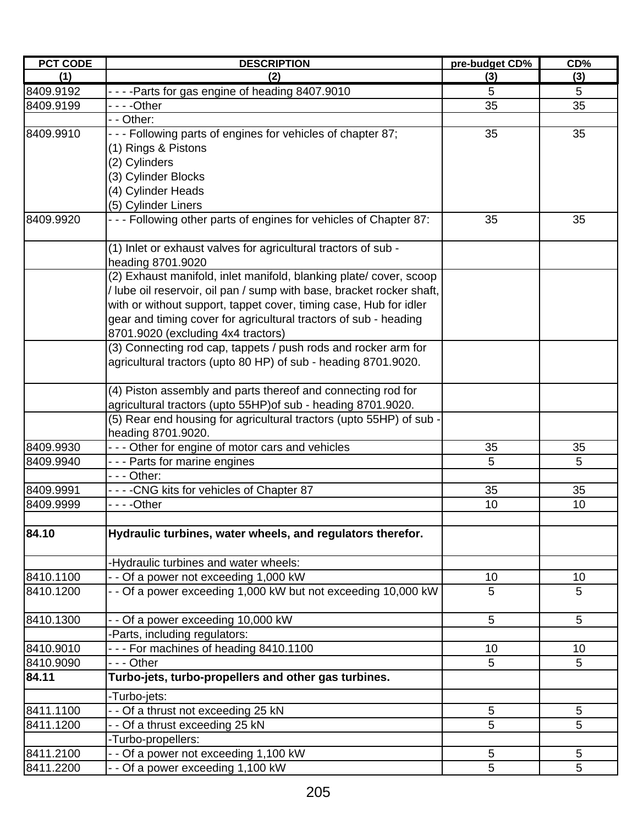| <b>PCT CODE</b> | <b>DESCRIPTION</b>                                                    | pre-budget CD% | CD%             |
|-----------------|-----------------------------------------------------------------------|----------------|-----------------|
| (1)             | (2)                                                                   | (3)            | (3)             |
| 8409.9192       | - - - - Parts for gas engine of heading 8407.9010                     | 5              | 5               |
| 8409.9199       |                                                                       | 35             | 35              |
|                 | - - Other:                                                            |                |                 |
| 8409.9910       | - - - Following parts of engines for vehicles of chapter 87;          | 35             | 35              |
|                 | (1) Rings & Pistons                                                   |                |                 |
|                 | (2) Cylinders                                                         |                |                 |
|                 | (3) Cylinder Blocks                                                   |                |                 |
|                 | (4) Cylinder Heads                                                    |                |                 |
|                 | (5) Cylinder Liners                                                   |                |                 |
| 8409.9920       | - - - Following other parts of engines for vehicles of Chapter 87:    | 35             | 35              |
|                 | (1) Inlet or exhaust valves for agricultural tractors of sub -        |                |                 |
|                 | heading 8701.9020                                                     |                |                 |
|                 | (2) Exhaust manifold, inlet manifold, blanking plate/cover, scoop     |                |                 |
|                 | / lube oil reservoir, oil pan / sump with base, bracket rocker shaft, |                |                 |
|                 | with or without support, tappet cover, timing case, Hub for idler     |                |                 |
|                 | gear and timing cover for agricultural tractors of sub - heading      |                |                 |
|                 | 8701.9020 (excluding 4x4 tractors)                                    |                |                 |
|                 | (3) Connecting rod cap, tappets / push rods and rocker arm for        |                |                 |
|                 | agricultural tractors (upto 80 HP) of sub - heading 8701.9020.        |                |                 |
|                 | (4) Piston assembly and parts thereof and connecting rod for          |                |                 |
|                 | agricultural tractors (upto 55HP) of sub - heading 8701.9020.         |                |                 |
|                 | (5) Rear end housing for agricultural tractors (upto 55HP) of sub -   |                |                 |
|                 | heading 8701.9020.                                                    |                |                 |
| 8409.9930       | - - - Other for engine of motor cars and vehicles                     | 35             | 35              |
| 8409.9940       | --- Parts for marine engines                                          | 5              | 5               |
|                 | - - - Other:                                                          |                |                 |
| 8409.9991       | ----CNG kits for vehicles of Chapter 87                               | 35             | 35              |
| 8409.9999       |                                                                       | 10             | 10              |
|                 |                                                                       |                |                 |
| 84.10           | Hydraulic turbines, water wheels, and regulators therefor.            |                |                 |
|                 | -Hydraulic turbines and water wheels:                                 |                |                 |
| 8410.1100       | - - Of a power not exceeding 1,000 kW                                 | 10             | 10              |
| 8410.1200       | - - Of a power exceeding 1,000 kW but not exceeding 10,000 kW         | 5              | 5               |
| 8410.1300       | - - Of a power exceeding 10,000 kW                                    | 5              | $5\phantom{.0}$ |
|                 | -Parts, including regulators:                                         |                |                 |
| 8410.9010       | - - - For machines of heading 8410.1100                               | 10             | 10              |
| 8410.9090       | --- Other                                                             | 5              | 5               |
| 84.11           | Turbo-jets, turbo-propellers and other gas turbines.                  |                |                 |
|                 | -Turbo-jets:                                                          |                |                 |
| 8411.1100       | - - Of a thrust not exceeding 25 kN                                   | 5              | 5               |
| 8411.1200       | Of a thrust exceeding 25 kN                                           | 5              | 5               |
|                 | -Turbo-propellers:                                                    |                |                 |
| 8411.2100       | - Of a power not exceeding 1,100 kW                                   | 5              | 5               |
| 8411.2200       | - - Of a power exceeding 1,100 kW                                     | 5              | 5               |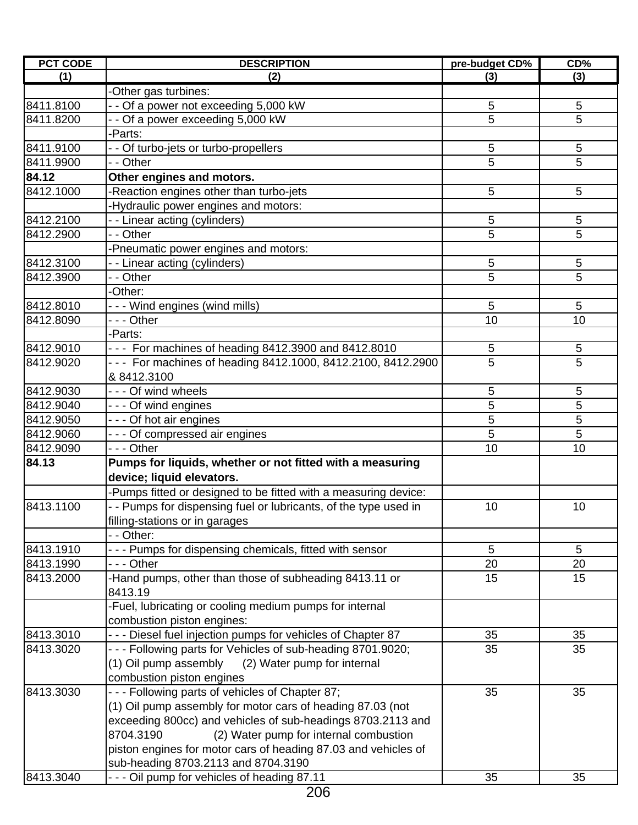| <b>PCT CODE</b> | <b>DESCRIPTION</b>                                               | pre-budget CD% | CD%            |
|-----------------|------------------------------------------------------------------|----------------|----------------|
| (1)             | (2)                                                              | (3)            | (3)            |
|                 | -Other gas turbines:                                             |                |                |
| 8411.8100       | - - Of a power not exceeding 5,000 kW                            | 5              | 5              |
| 8411.8200       | - - Of a power exceeding 5,000 kW                                | 5              | 5              |
|                 | -Parts:                                                          |                |                |
| 8411.9100       | - - Of turbo-jets or turbo-propellers                            | 5              | 5              |
| 8411.9900       | - - Other                                                        | 5              | 5              |
| 84.12           | Other engines and motors.                                        |                |                |
| 8412.1000       | -Reaction engines other than turbo-jets                          | 5              | 5              |
|                 | -Hydraulic power engines and motors:                             |                |                |
| 8412.2100       | - - Linear acting (cylinders)                                    | 5              | 5              |
| 8412.2900       | - - Other                                                        | 5              | 5              |
|                 | Pneumatic power engines and motors:                              |                |                |
| 8412.3100       | -- Linear acting (cylinders)                                     | 5              | 5              |
| 8412.3900       | - - Other                                                        | 5              | 5              |
|                 | -Other:                                                          |                |                |
| 8412.8010       | - - - Wind engines (wind mills)                                  | 5              | 5              |
| 8412.8090       | --- Other                                                        | 10             | 10             |
|                 | -Parts:                                                          |                |                |
| 8412.9010       | - - - For machines of heading 8412.3900 and 8412.8010            | 5              | 5              |
| 8412.9020       | - - - For machines of heading 8412.1000, 8412.2100, 8412.2900    | 5              | 5              |
|                 | & 8412.3100                                                      |                |                |
| 8412.9030       | --- Of wind wheels                                               | 5              | 5              |
| 8412.9040       | --- Of wind engines                                              | $\overline{5}$ | $\overline{5}$ |
| 8412.9050       | - - - Of hot air engines                                         | 5              | 5              |
| 8412.9060       | - - - Of compressed air engines                                  | 5              | 5              |
| 8412.9090       | - - - Other                                                      | 10             | 10             |
| 84.13           | Pumps for liquids, whether or not fitted with a measuring        |                |                |
|                 |                                                                  |                |                |
|                 | device; liquid elevators.                                        |                |                |
|                 | -Pumps fitted or designed to be fitted with a measuring device:  |                |                |
| 8413.1100       | - - Pumps for dispensing fuel or lubricants, of the type used in | 10             | 10             |
|                 | filling-stations or in garages                                   |                |                |
|                 | - - Other:                                                       |                |                |
| 8413.1910       | --- Pumps for dispensing chemicals, fitted with sensor           | 5              | 5              |
| 8413.1990       | - - - Other                                                      | 20             | 20             |
| 8413.2000       | -Hand pumps, other than those of subheading 8413.11 or           | 15             | 15             |
|                 | 8413.19                                                          |                |                |
|                 | -Fuel, lubricating or cooling medium pumps for internal          |                |                |
|                 | combustion piston engines:                                       |                |                |
| 8413.3010       | - - - Diesel fuel injection pumps for vehicles of Chapter 87     | 35             | 35             |
| 8413.3020       | - - - Following parts for Vehicles of sub-heading 8701.9020;     | 35             | 35             |
|                 | (1) Oil pump assembly (2) Water pump for internal                |                |                |
|                 | combustion piston engines                                        |                |                |
| 8413.3030       | - - - Following parts of vehicles of Chapter 87;                 | 35             | 35             |
|                 | (1) Oil pump assembly for motor cars of heading 87.03 (not       |                |                |
|                 | exceeding 800cc) and vehicles of sub-headings 8703.2113 and      |                |                |
|                 | 8704.3190<br>(2) Water pump for internal combustion              |                |                |
|                 | piston engines for motor cars of heading 87.03 and vehicles of   |                |                |
|                 | sub-heading 8703.2113 and 8704.3190                              |                |                |
| 8413.3040       | - - - Oil pump for vehicles of heading 87.11                     | 35             | 35             |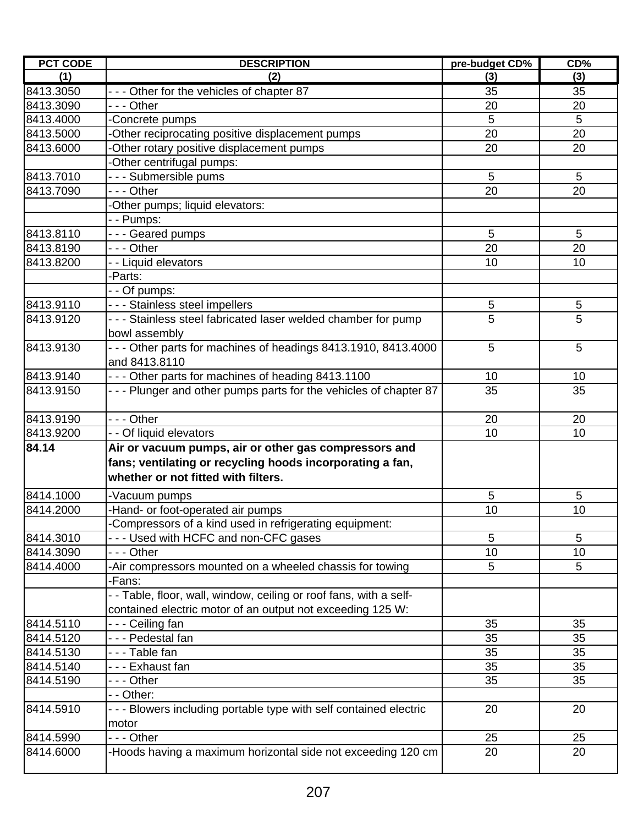| <b>PCT CODE</b> | <b>DESCRIPTION</b>                                                                                                                                        | pre-budget CD% | CD%            |
|-----------------|-----------------------------------------------------------------------------------------------------------------------------------------------------------|----------------|----------------|
| (1)             | (2)                                                                                                                                                       | (3)            | (3)            |
| 8413.3050       | - - - Other for the vehicles of chapter 87                                                                                                                | 35             | 35             |
| 8413.3090       | --- Other                                                                                                                                                 | 20             | 20             |
| 8413.4000       | Concrete pumps                                                                                                                                            | 5              | 5              |
| 8413.5000       | Other reciprocating positive displacement pumps                                                                                                           | 20             | 20             |
| 8413.6000       | -Other rotary positive displacement pumps                                                                                                                 | 20             | 20             |
|                 | Other centrifugal pumps:                                                                                                                                  |                |                |
| 8413.7010       | - - - Submersible pums                                                                                                                                    | 5              | $\overline{5}$ |
| 8413.7090       | --- Other                                                                                                                                                 | 20             | 20             |
|                 | -Other pumps; liquid elevators:                                                                                                                           |                |                |
|                 | - - Pumps:                                                                                                                                                |                |                |
| 8413.8110       | --- Geared pumps                                                                                                                                          | 5              | 5              |
| 8413.8190       | --- Other                                                                                                                                                 | 20             | 20             |
| 8413.8200       | - - Liquid elevators                                                                                                                                      | 10             | 10             |
|                 | -Parts:                                                                                                                                                   |                |                |
|                 | - - Of pumps:                                                                                                                                             |                |                |
| 8413.9110       | - - - Stainless steel impellers                                                                                                                           | 5              | $\sqrt{5}$     |
| 8413.9120       | --- Stainless steel fabricated laser welded chamber for pump                                                                                              | 5              | 5              |
|                 | bowl assembly                                                                                                                                             |                |                |
| 8413.9130       | - - - Other parts for machines of headings 8413.1910, 8413.4000                                                                                           | 5              | 5              |
|                 | and 8413.8110                                                                                                                                             |                |                |
| 8413.9140       | - - - Other parts for machines of heading 8413.1100                                                                                                       | 10             | 10             |
| 8413.9150       | - - - Plunger and other pumps parts for the vehicles of chapter 87                                                                                        | 35             | 35             |
| 8413.9190       | --- Other                                                                                                                                                 | 20             | 20             |
| 8413.9200       | - - Of liquid elevators                                                                                                                                   | 10             | 10             |
| 84.14           | Air or vacuum pumps, air or other gas compressors and<br>fans; ventilating or recycling hoods incorporating a fan,<br>whether or not fitted with filters. |                |                |
| 8414.1000       | -Vacuum pumps                                                                                                                                             | 5              | 5              |
| 8414.2000       | -Hand- or foot-operated air pumps                                                                                                                         | 10             | 10             |
|                 | Compressors of a kind used in refrigerating equipment:                                                                                                    |                |                |
| 8414.3010       | --- Used with HCFC and non-CFC gases                                                                                                                      | 5              | 5              |
| 8414.3090       | - - - Other                                                                                                                                               | 10             | 10             |
| 8414.4000       | -Air compressors mounted on a wheeled chassis for towing                                                                                                  | 5              | 5              |
|                 | -Fans:                                                                                                                                                    |                |                |
|                 | - - Table, floor, wall, window, ceiling or roof fans, with a self-                                                                                        |                |                |
|                 | contained electric motor of an output not exceeding 125 W:                                                                                                |                |                |
| 8414.5110       | --- Ceiling fan                                                                                                                                           | 35             | 35             |
| 8414.5120       | - - - Pedestal fan                                                                                                                                        | 35             | 35             |
| 8414.5130       | ---Table fan                                                                                                                                              | 35             | 35             |
| 8414.5140       | - - - Exhaust fan                                                                                                                                         | 35             | 35             |
| 8414.5190       | - - - Other                                                                                                                                               | 35             | 35             |
|                 | - - Other:                                                                                                                                                |                |                |
| 8414.5910       | - - - Blowers including portable type with self contained electric<br>motor                                                                               | 20             | 20             |
| 8414.5990       | --- Other                                                                                                                                                 | 25             | 25             |
| 8414.6000       | -Hoods having a maximum horizontal side not exceeding 120 cm                                                                                              | 20             | 20             |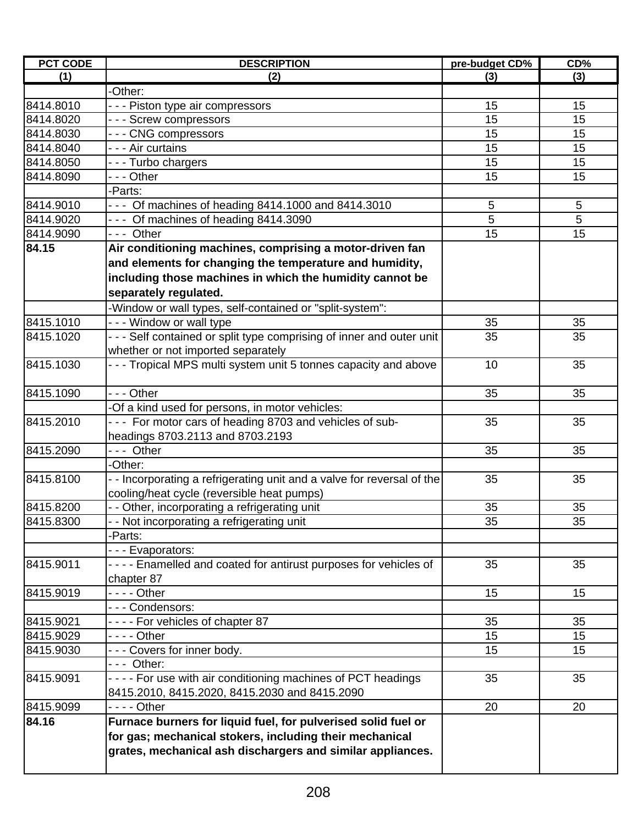| <b>PCT CODE</b> | <b>DESCRIPTION</b>                                                                  | pre-budget CD% | CD% |
|-----------------|-------------------------------------------------------------------------------------|----------------|-----|
| (1)             | (2)                                                                                 | (3)            | (3) |
|                 | -Other:                                                                             |                |     |
| 8414.8010       | - - - Piston type air compressors                                                   | 15             | 15  |
| 8414.8020       | --- Screw compressors                                                               | 15             | 15  |
| 8414.8030       | --- CNG compressors                                                                 | 15             | 15  |
| 8414.8040       | - - - Air curtains                                                                  | 15             | 15  |
| 8414.8050       | --- Turbo chargers                                                                  | 15             | 15  |
| 8414.8090       | --- Other                                                                           | 15             | 15  |
|                 | -Parts:                                                                             |                |     |
| 8414.9010       | - - - Of machines of heading 8414.1000 and 8414.3010                                | 5              | 5   |
| 8414.9020       | --- Of machines of heading 8414.3090                                                | 5              | 5   |
| 8414.9090       | --- Other                                                                           | 15             | 15  |
| 84.15           | Air conditioning machines, comprising a motor-driven fan                            |                |     |
|                 | and elements for changing the temperature and humidity,                             |                |     |
|                 | including those machines in which the humidity cannot be                            |                |     |
|                 | separately regulated.                                                               |                |     |
|                 |                                                                                     |                |     |
| 8415.1010       | -Window or wall types, self-contained or "split-system":<br>--- Window or wall type | 35             | 35  |
|                 |                                                                                     |                |     |
| 8415.1020       | - - - Self contained or split type comprising of inner and outer unit               | 35             | 35  |
|                 | whether or not imported separately                                                  |                |     |
| 8415.1030       | - - - Tropical MPS multi system unit 5 tonnes capacity and above                    | 10             | 35  |
| 8415.1090       | --- Other                                                                           | 35             | 35  |
|                 | -Of a kind used for persons, in motor vehicles:                                     |                |     |
| 8415.2010       | - - - For motor cars of heading 8703 and vehicles of sub-                           | 35             | 35  |
|                 | headings 8703.2113 and 8703.2193                                                    |                |     |
| 8415.2090       | --- Other                                                                           | 35             | 35  |
|                 | -Other:                                                                             |                |     |
| 8415.8100       | - - Incorporating a refrigerating unit and a valve for reversal of the              | 35             | 35  |
|                 | cooling/heat cycle (reversible heat pumps)                                          |                |     |
| 8415.8200       | - - Other, incorporating a refrigerating unit                                       | 35             | 35  |
| 8415.8300       | - - Not incorporating a refrigerating unit                                          | 35             | 35  |
|                 | -Parts:                                                                             |                |     |
|                 | --- Evaporators:                                                                    |                |     |
| 8415.9011       | - - - - Enamelled and coated for antirust purposes for vehicles of                  | 35             | 35  |
|                 | chapter 87                                                                          |                |     |
| 8415.9019       | - - - - Other                                                                       | 15             | 15  |
|                 | --- Condensors:                                                                     |                |     |
| 8415.9021       | ---- For vehicles of chapter 87                                                     | 35             | 35  |
| 8415.9029       | - - - - Other                                                                       | 15             | 15  |
| 8415.9030       | --- Covers for inner body.                                                          | 15             | 15  |
|                 | --- Other:                                                                          |                |     |
| 8415.9091       | - - - - For use with air conditioning machines of PCT headings                      | 35             | 35  |
|                 | 8415.2010, 8415.2020, 8415.2030 and 8415.2090                                       |                |     |
| 8415.9099       | - - - - Other                                                                       | 20             | 20  |
| 84.16           | Furnace burners for liquid fuel, for pulverised solid fuel or                       |                |     |
|                 |                                                                                     |                |     |
|                 | for gas; mechanical stokers, including their mechanical                             |                |     |
|                 | grates, mechanical ash dischargers and similar appliances.                          |                |     |
|                 |                                                                                     |                |     |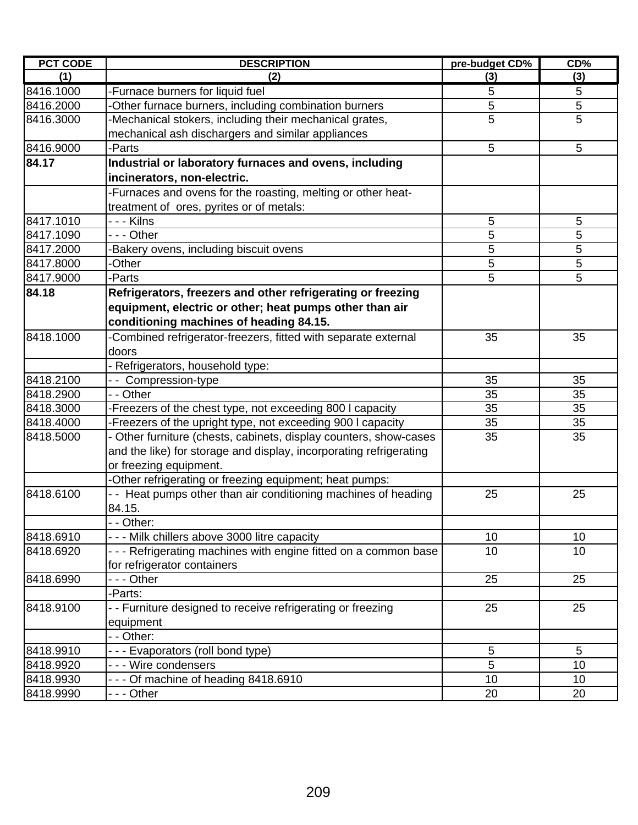| <b>PCT CODE</b> | <b>DESCRIPTION</b>                                                 | pre-budget CD% | CD%            |
|-----------------|--------------------------------------------------------------------|----------------|----------------|
| (1)             | (2)                                                                | (3)            | (3)            |
| 8416.1000       | -Furnace burners for liquid fuel                                   | 5              | 5              |
| 8416.2000       | Other furnace burners, including combination burners               | 5              | $\overline{5}$ |
| 8416.3000       | -Mechanical stokers, including their mechanical grates,            | 5              | 5              |
|                 | mechanical ash dischargers and similar appliances                  |                |                |
| 8416.9000       | -Parts                                                             | 5              | 5              |
| 84.17           | Industrial or laboratory furnaces and ovens, including             |                |                |
|                 | incinerators, non-electric.                                        |                |                |
|                 | -Furnaces and ovens for the roasting, melting or other heat-       |                |                |
|                 | treatment of ores, pyrites or of metals:                           |                |                |
| 8417.1010       | - - - Kilns                                                        | 5              | 5              |
| 8417.1090       | --- Other                                                          | 5              | 5              |
| 8417.2000       | Bakery ovens, including biscuit ovens                              | 5              | 5              |
| 8417.8000       | -Other                                                             | 5              | 5              |
| 8417.9000       | -Parts                                                             | 5              | 5              |
| 84.18           | Refrigerators, freezers and other refrigerating or freezing        |                |                |
|                 | equipment, electric or other; heat pumps other than air            |                |                |
|                 | conditioning machines of heading 84.15.                            |                |                |
| 8418.1000       | Combined refrigerator-freezers, fitted with separate external      | 35             | 35             |
|                 | doors                                                              |                |                |
|                 | Refrigerators, household type:                                     |                |                |
| 8418.2100       | Compression-type                                                   | 35             | 35             |
| 8418.2900       | - - Other                                                          | 35             | 35             |
| 8418.3000       | -Freezers of the chest type, not exceeding 800 I capacity          | 35             | 35             |
| 8418.4000       | -Freezers of the upright type, not exceeding 900 I capacity        | 35             | 35             |
| 8418.5000       | - Other furniture (chests, cabinets, display counters, show-cases  | 35             | 35             |
|                 | and the like) for storage and display, incorporating refrigerating |                |                |
|                 | or freezing equipment.                                             |                |                |
|                 | Other refrigerating or freezing equipment; heat pumps:             |                |                |
| 8418.6100       | Heat pumps other than air conditioning machines of heading         | 25             | 25             |
|                 | 84.15.                                                             |                |                |
|                 | - Other:                                                           |                |                |
| 8418.6910       | - - - Milk chillers above 3000 litre capacity                      | 10             | 10             |
| 8418.6920       | --- Refrigerating machines with engine fitted on a common base     | 10             | 10             |
|                 | for refrigerator containers                                        |                |                |
| 8418.6990       | - - - Other                                                        | 25             | 25             |
|                 | Parts:                                                             |                |                |
| 8418.9100       | - - Furniture designed to receive refrigerating or freezing        | 25             | 25             |
|                 | equipment                                                          |                |                |
|                 | - - Other:                                                         |                |                |
| 8418.9910       | --- Evaporators (roll bond type)                                   | 5              | 5              |
| 8418.9920       | - - - Wire condensers                                              | 5              | 10             |
| 8418.9930       | --- Of machine of heading 8418.6910                                | 10             | 10             |
| 8418.9990       | - - - Other                                                        | 20             | 20             |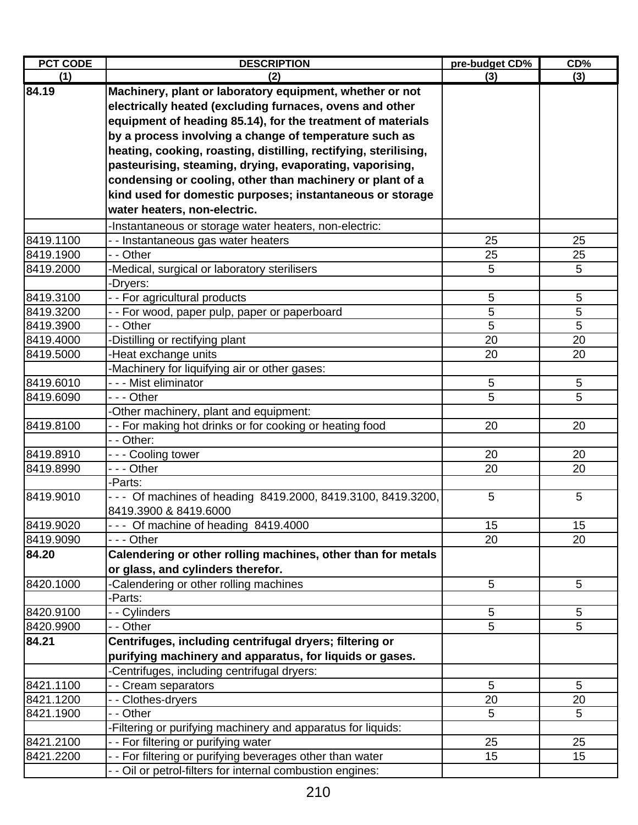| <b>PCT CODE</b> | <b>DESCRIPTION</b>                                               | pre-budget CD% | CD%             |
|-----------------|------------------------------------------------------------------|----------------|-----------------|
| (1)             | (2)                                                              | (3)            | (3)             |
| 84.19           | Machinery, plant or laboratory equipment, whether or not         |                |                 |
|                 | electrically heated (excluding furnaces, ovens and other         |                |                 |
|                 | equipment of heading 85.14), for the treatment of materials      |                |                 |
|                 | by a process involving a change of temperature such as           |                |                 |
|                 | heating, cooking, roasting, distilling, rectifying, sterilising, |                |                 |
|                 | pasteurising, steaming, drying, evaporating, vaporising,         |                |                 |
|                 | condensing or cooling, other than machinery or plant of a        |                |                 |
|                 | kind used for domestic purposes; instantaneous or storage        |                |                 |
|                 | water heaters, non-electric.                                     |                |                 |
|                 | -Instantaneous or storage water heaters, non-electric:           |                |                 |
| 8419.1100       | - - Instantaneous gas water heaters                              | 25             | 25              |
| 8419.1900       | - - Other                                                        | 25             | 25              |
| 8419.2000       | -Medical, surgical or laboratory sterilisers                     | 5              | 5               |
|                 | -Dryers:                                                         |                |                 |
| 8419.3100       | - - For agricultural products                                    | 5              | 5               |
| 8419.3200       | - - For wood, paper pulp, paper or paperboard                    | 5              | 5               |
| 8419.3900       | - - Other                                                        | 5              | 5               |
| 8419.4000       | -Distilling or rectifying plant                                  | 20             | 20              |
| 8419.5000       | -Heat exchange units                                             | 20             | 20              |
|                 | -Machinery for liquifying air or other gases:                    |                |                 |
| 8419.6010       | - - - Mist eliminator                                            | 5              | $5\phantom{.0}$ |
| 8419.6090       | $- -$ - Other                                                    | 5              | 5               |
|                 | -Other machinery, plant and equipment:                           |                |                 |
| 8419.8100       | - - For making hot drinks or for cooking or heating food         | 20             | 20              |
|                 | - - Other:                                                       |                |                 |
| 8419.8910       | - - - Cooling tower                                              | 20             | 20              |
| 8419.8990       | --- Other                                                        | 20             | 20              |
|                 | -Parts:                                                          |                |                 |
| 8419.9010       | - - - Of machines of heading 8419.2000, 8419.3100, 8419.3200,    | 5              | 5               |
|                 | 8419.3900 & 8419.6000                                            |                |                 |
| 8419.9020       | --- Of machine of heading 8419.4000                              | 15             | 15              |
| 8419.9090       | - - - Other                                                      | 20             | 20              |
| 84.20           | Calendering or other rolling machines, other than for metals     |                |                 |
|                 | or glass, and cylinders therefor.                                |                |                 |
| 8420.1000       | -Calendering or other rolling machines                           | 5              | 5               |
|                 | -Parts:                                                          |                |                 |
| 8420.9100       | - - Cylinders                                                    | 5              | 5               |
| 8420.9900       | - - Other                                                        | 5              | 5               |
| 84.21           | Centrifuges, including centrifugal dryers; filtering or          |                |                 |
|                 | purifying machinery and apparatus, for liquids or gases.         |                |                 |
|                 | -Centrifuges, including centrifugal dryers:                      |                |                 |
| 8421.1100       | - - Cream separators                                             | 5              | 5               |
| 8421.1200       | - - Clothes-dryers                                               | 20             | 20              |
| 8421.1900       | - - Other                                                        | 5              | 5               |
|                 | -Filtering or purifying machinery and apparatus for liquids:     |                |                 |
| 8421.2100       | - - For filtering or purifying water                             | 25             | 25              |
| 8421.2200       | - - For filtering or purifying beverages other than water        | 15             | 15              |
|                 | - - Oil or petrol-filters for internal combustion engines:       |                |                 |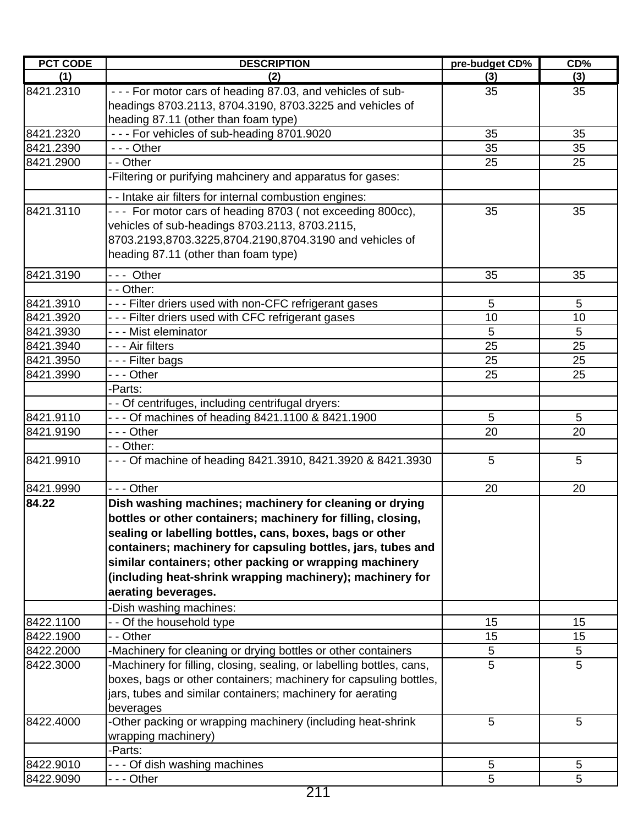| <b>PCT CODE</b> | <b>DESCRIPTION</b>                                                    | pre-budget CD% | CD% |
|-----------------|-----------------------------------------------------------------------|----------------|-----|
| (1)             | (2)                                                                   | (3)            | (3) |
| 8421.2310       | - - - For motor cars of heading 87.03, and vehicles of sub-           | 35             | 35  |
|                 | headings 8703.2113, 8704.3190, 8703.3225 and vehicles of              |                |     |
|                 | heading 87.11 (other than foam type)                                  |                |     |
| 8421.2320       | --- For vehicles of sub-heading 8701.9020                             | 35             | 35  |
| 8421.2390       | $--$ Other                                                            | 35             | 35  |
| 8421.2900       | - - Other                                                             | 25             | 25  |
|                 | -Filtering or purifying mahcinery and apparatus for gases:            |                |     |
|                 | - - Intake air filters for internal combustion engines:               |                |     |
| 8421.3110       | --- For motor cars of heading 8703 (not exceeding 800cc),             | 35             | 35  |
|                 | vehicles of sub-headings 8703.2113, 8703.2115,                        |                |     |
|                 | 8703.2193,8703.3225,8704.2190,8704.3190 and vehicles of               |                |     |
|                 | heading 87.11 (other than foam type)                                  |                |     |
| 8421.3190       | --- Other                                                             | 35             | 35  |
|                 | - - Other:                                                            |                |     |
| 8421.3910       | - - - Filter driers used with non-CFC refrigerant gases               | 5              | 5   |
| 8421.3920       | --- Filter driers used with CFC refrigerant gases                     | 10             | 10  |
| 8421.3930       | - - - Mist eleminator                                                 | 5              | 5   |
| 8421.3940       | - - - Air filters                                                     | 25             | 25  |
| 8421.3950       | - - - Filter bags                                                     | 25             | 25  |
| 8421.3990       | - - - Other                                                           | 25             | 25  |
|                 | -Parts:                                                               |                |     |
|                 | - - Of centrifuges, including centrifugal dryers:                     |                |     |
| 8421.9110       | - - - Of machines of heading 8421.1100 & 8421.1900                    | 5              | 5   |
| 8421.9190       | - - - Other                                                           | 20             | 20  |
|                 | - - Other:                                                            |                |     |
| 8421.9910       | - - - Of machine of heading 8421.3910, 8421.3920 & 8421.3930          | 5              | 5   |
| 8421.9990       | --- Other                                                             | 20             | 20  |
| 84.22           | Dish washing machines; machinery for cleaning or drying               |                |     |
|                 | bottles or other containers; machinery for filling, closing,          |                |     |
|                 | sealing or labelling bottles, cans, boxes, bags or other              |                |     |
|                 | containers; machinery for capsuling bottles, jars, tubes and          |                |     |
|                 | similar containers; other packing or wrapping machinery               |                |     |
|                 | (including heat-shrink wrapping machinery); machinery for             |                |     |
|                 | aerating beverages.                                                   |                |     |
|                 | -Dish washing machines:                                               |                |     |
| 8422.1100       | -- Of the household type                                              | 15             | 15  |
| 8422.1900       | - - Other                                                             | 15             | 15  |
| 8422.2000       | -Machinery for cleaning or drying bottles or other containers         | 5              | 5   |
| 8422.3000       | -Machinery for filling, closing, sealing, or labelling bottles, cans, | 5              | 5   |
|                 | boxes, bags or other containers; machinery for capsuling bottles,     |                |     |
|                 | jars, tubes and similar containers; machinery for aerating            |                |     |
|                 | beverages                                                             |                |     |
| 8422.4000       | -Other packing or wrapping machinery (including heat-shrink           | 5              | 5   |
|                 | wrapping machinery)                                                   |                |     |
|                 | -Parts:                                                               |                |     |
| 8422.9010       | --- Of dish washing machines                                          | 5              | 5   |
| 8422.9090       | --- Other                                                             | 5              | 5   |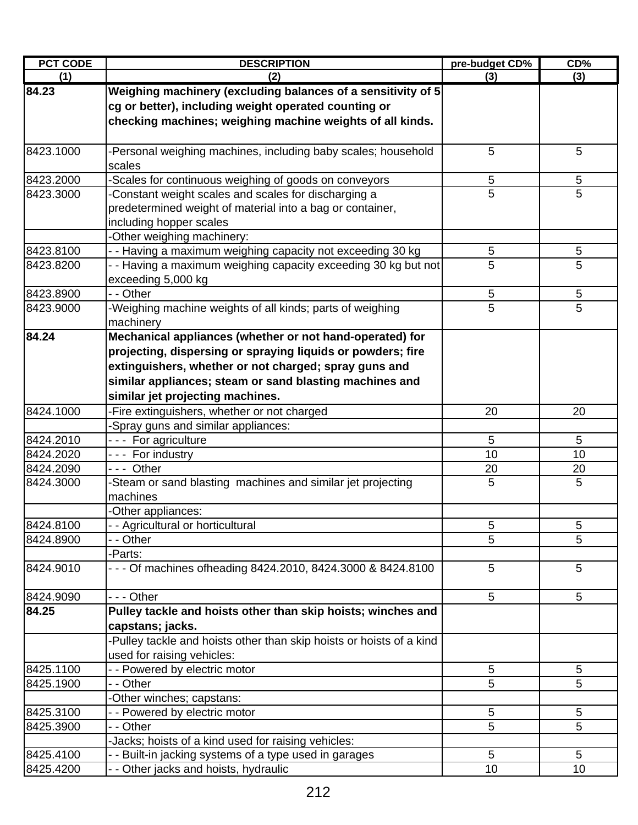| <b>PCT CODE</b> | <b>DESCRIPTION</b>                                                                                                                                                                                                                                                              | pre-budget CD% | $CD\%$          |
|-----------------|---------------------------------------------------------------------------------------------------------------------------------------------------------------------------------------------------------------------------------------------------------------------------------|----------------|-----------------|
| (1)             | (2)                                                                                                                                                                                                                                                                             | (3)            | (3)             |
| 84.23           | Weighing machinery (excluding balances of a sensitivity of 5<br>cg or better), including weight operated counting or<br>checking machines; weighing machine weights of all kinds.                                                                                               |                |                 |
| 8423.1000       | -Personal weighing machines, including baby scales; household<br>scales                                                                                                                                                                                                         | 5              | 5               |
| 8423.2000       | -Scales for continuous weighing of goods on conveyors                                                                                                                                                                                                                           | 5              | 5               |
| 8423.3000       | Constant weight scales and scales for discharging a<br>predetermined weight of material into a bag or container,<br>including hopper scales<br>-Other weighing machinery:                                                                                                       | $\overline{5}$ | 5               |
| 8423.8100       | - - Having a maximum weighing capacity not exceeding 30 kg                                                                                                                                                                                                                      | 5              | 5               |
| 8423.8200       | - - Having a maximum weighing capacity exceeding 30 kg but not<br>exceeding 5,000 kg                                                                                                                                                                                            | 5              | 5               |
| 8423.8900       | - - Other                                                                                                                                                                                                                                                                       | 5              | $\sqrt{5}$      |
| 8423.9000       | -Weighing machine weights of all kinds; parts of weighing<br>machinery                                                                                                                                                                                                          | 5              | 5               |
| 84.24           | Mechanical appliances (whether or not hand-operated) for<br>projecting, dispersing or spraying liquids or powders; fire<br>extinguishers, whether or not charged; spray guns and<br>similar appliances; steam or sand blasting machines and<br>similar jet projecting machines. |                |                 |
| 8424.1000       | -Fire extinguishers, whether or not charged                                                                                                                                                                                                                                     | 20             | 20              |
|                 | -Spray guns and similar appliances:                                                                                                                                                                                                                                             |                |                 |
| 8424.2010       | --- For agriculture                                                                                                                                                                                                                                                             | 5              | 5               |
| 8424.2020       | --- For industry                                                                                                                                                                                                                                                                | 10             | 10              |
| 8424.2090       | --- Other                                                                                                                                                                                                                                                                       | 20             | 20              |
| 8424.3000       | -Steam or sand blasting machines and similar jet projecting<br>machines<br>-Other appliances:                                                                                                                                                                                   | 5              | 5               |
| 8424.8100       | - - Agricultural or horticultural                                                                                                                                                                                                                                               | 5              | $\circ$         |
| 8424.8900       | - - Other                                                                                                                                                                                                                                                                       | 5              | 5               |
|                 | -Parts:                                                                                                                                                                                                                                                                         |                |                 |
| 8424.9010       | - - - Of machines ofheading 8424.2010, 8424.3000 & 8424.8100                                                                                                                                                                                                                    | 5              | 5               |
| 8424.9090       | - - - Other                                                                                                                                                                                                                                                                     | 5              | 5               |
| 84.25           | Pulley tackle and hoists other than skip hoists; winches and<br>capstans; jacks.<br>-Pulley tackle and hoists other than skip hoists or hoists of a kind                                                                                                                        |                |                 |
| 8425.1100       | used for raising vehicles:<br>- - Powered by electric motor                                                                                                                                                                                                                     | 5              | 5               |
| 8425.1900       | - - Other                                                                                                                                                                                                                                                                       | 5              | 5               |
|                 | -Other winches; capstans:                                                                                                                                                                                                                                                       |                |                 |
| 8425.3100       | - - Powered by electric motor                                                                                                                                                                                                                                                   | 5              | 5               |
| 8425.3900       | - - Other                                                                                                                                                                                                                                                                       | 5              | 5               |
|                 | -Jacks; hoists of a kind used for raising vehicles:                                                                                                                                                                                                                             |                |                 |
| 8425.4100       | - - Built-in jacking systems of a type used in garages                                                                                                                                                                                                                          | 5              | $5\phantom{.0}$ |
| 8425.4200       | - - Other jacks and hoists, hydraulic                                                                                                                                                                                                                                           | 10             | 10              |
|                 |                                                                                                                                                                                                                                                                                 |                |                 |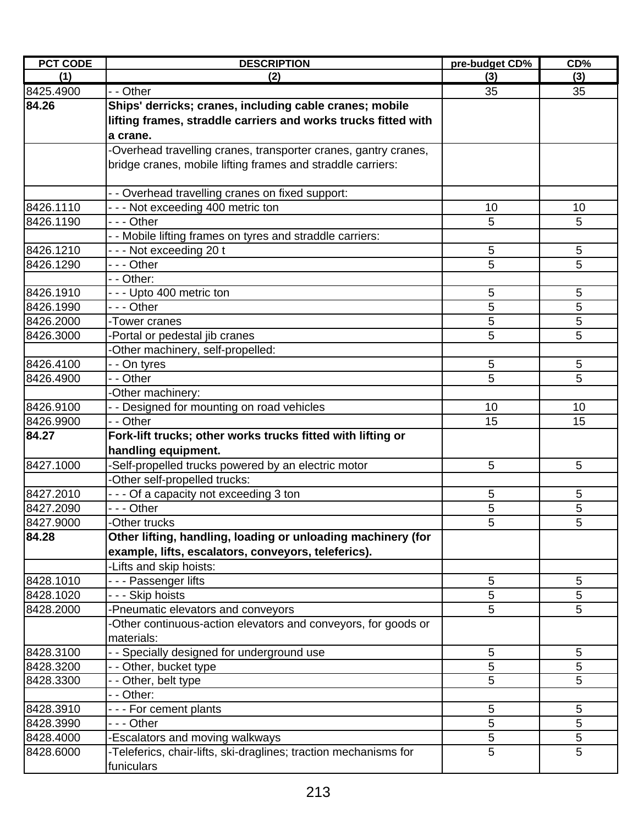| <b>PCT CODE</b> | <b>DESCRIPTION</b>                                               | pre-budget CD% | $CD\%$          |
|-----------------|------------------------------------------------------------------|----------------|-----------------|
| (1)             | (2)                                                              | (3)            | (3)             |
| 8425.4900       | - - Other                                                        | 35             | 35              |
| 84.26           | Ships' derricks; cranes, including cable cranes; mobile          |                |                 |
|                 | lifting frames, straddle carriers and works trucks fitted with   |                |                 |
|                 | a crane.                                                         |                |                 |
|                 | -Overhead travelling cranes, transporter cranes, gantry cranes,  |                |                 |
|                 | bridge cranes, mobile lifting frames and straddle carriers:      |                |                 |
|                 |                                                                  |                |                 |
|                 | - - Overhead travelling cranes on fixed support:                 |                |                 |
| 8426.1110       | --- Not exceeding 400 metric ton                                 | 10             | 10              |
| 8426.1190       | $- -$ Other                                                      | 5              | 5               |
|                 | - - Mobile lifting frames on tyres and straddle carriers:        |                |                 |
| 8426.1210       | --- Not exceeding 20 t                                           | 5              | $5\phantom{.0}$ |
| 8426.1290       | --- Other                                                        | 5              | 5               |
|                 | - - Other:                                                       |                |                 |
| 8426.1910       | - - - Upto 400 metric ton                                        | 5              | 5               |
| 8426.1990       | - - - Other                                                      | 5              | 5               |
| 8426.2000       | -Tower cranes                                                    | 5              | 5               |
| 8426.3000       | -Portal or pedestal jib cranes                                   | 5              | 5               |
|                 | Other machinery, self-propelled:                                 |                |                 |
| 8426.4100       | - - On tyres                                                     | 5              | 5               |
| 8426.4900       | - Other                                                          | 5              | 5               |
|                 | -Other machinery:                                                |                |                 |
| 8426.9100       | - - Designed for mounting on road vehicles                       | 10             | 10              |
| 8426.9900       | - - Other                                                        | 15             | 15              |
| 84.27           | Fork-lift trucks; other works trucks fitted with lifting or      |                |                 |
|                 | handling equipment.                                              |                |                 |
| 8427.1000       | -Self-propelled trucks powered by an electric motor              | 5              | 5               |
|                 | -Other self-propelled trucks:                                    |                |                 |
| 8427.2010       | - - - Of a capacity not exceeding 3 ton                          | 5              | 5               |
| 8427.2090       | - - - Other                                                      | 5              | 5               |
| 8427.9000       | Other trucks                                                     | 5              | 5               |
| 84.28           | Other lifting, handling, loading or unloading machinery (for     |                |                 |
|                 | example, lifts, escalators, conveyors, teleferics).              |                |                 |
|                 | -Lifts and skip hoists:                                          |                |                 |
| 8428.1010       | - - - Passenger lifts                                            | 5              | $5\phantom{.0}$ |
| 8428.1020       | - - - Skip hoists                                                | 5              | 5               |
| 8428.2000       | -Pneumatic elevators and conveyors                               | 5              | 5               |
|                 | -Other continuous-action elevators and conveyors, for goods or   |                |                 |
|                 | materials:                                                       |                |                 |
| 8428.3100       | - Specially designed for underground use                         | 5              | 5               |
| 8428.3200       | - - Other, bucket type                                           | 5              | 5               |
| 8428.3300       | - - Other, belt type                                             | 5              | 5               |
|                 | - - Other:                                                       |                |                 |
| 8428.3910       | --- For cement plants                                            | 5              | 5               |
| 8428.3990       | - - - Other                                                      | 5              | 5               |
| 8428.4000       | -Escalators and moving walkways                                  | 5              | 5               |
| 8428.6000       | -Teleferics, chair-lifts, ski-draglines; traction mechanisms for | 5              | 5               |
|                 | funiculars                                                       |                |                 |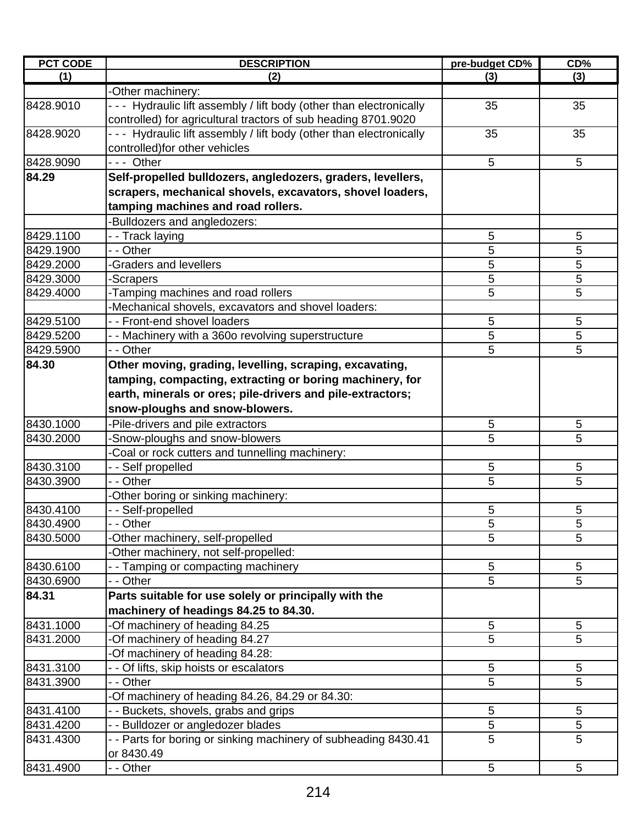| <b>PCT CODE</b> | <b>DESCRIPTION</b>                                                 | pre-budget CD% | CD%             |
|-----------------|--------------------------------------------------------------------|----------------|-----------------|
| (1)             | (2)                                                                | (3)            | (3)             |
|                 | -Other machinery:                                                  |                |                 |
| 8428.9010       | --- Hydraulic lift assembly / lift body (other than electronically | 35             | 35              |
|                 | controlled) for agricultural tractors of sub heading 8701.9020     |                |                 |
| 8428.9020       | --- Hydraulic lift assembly / lift body (other than electronically | 35             | 35              |
|                 | controlled) for other vehicles                                     |                |                 |
| 8428.9090       | --- Other                                                          | 5              | $5\phantom{.0}$ |
| 84.29           | Self-propelled bulldozers, angledozers, graders, levellers,        |                |                 |
|                 | scrapers, mechanical shovels, excavators, shovel loaders,          |                |                 |
|                 | tamping machines and road rollers.                                 |                |                 |
|                 | Bulldozers and angledozers:                                        |                |                 |
| 8429.1100       | - - Track laying                                                   | 5              | 5               |
| 8429.1900       | - - Other                                                          | 5              | 5               |
| 8429.2000       | <b>-Graders and levellers</b>                                      | 5              | 5               |
| 8429.3000       | -Scrapers                                                          | 5              | 5               |
| 8429.4000       | -Tamping machines and road rollers                                 | 5              | 5               |
|                 | -Mechanical shovels, excavators and shovel loaders:                |                |                 |
| 8429.5100       | - - Front-end shovel loaders                                       | 5              | 5               |
| 8429.5200       | - - Machinery with a 360o revolving superstructure                 | 5              | 5               |
| 8429.5900       | - - Other                                                          | 5              | 5               |
| 84.30           | Other moving, grading, levelling, scraping, excavating,            |                |                 |
|                 |                                                                    |                |                 |
|                 | tamping, compacting, extracting or boring machinery, for           |                |                 |
|                 | earth, minerals or ores; pile-drivers and pile-extractors;         |                |                 |
|                 | snow-ploughs and snow-blowers.                                     |                |                 |
| 8430.1000       | Pile-drivers and pile extractors                                   | 5              | 5               |
| 8430.2000       | -Snow-ploughs and snow-blowers                                     | 5              | 5               |
|                 | Coal or rock cutters and tunnelling machinery:                     |                |                 |
| 8430.3100       | - - Self propelled                                                 | 5              | 5               |
| 8430.3900       | - - Other                                                          | 5              | 5               |
|                 | -Other boring or sinking machinery:                                |                |                 |
| 8430.4100       | -- Self-propelled                                                  | 5              | 5               |
| 8430.4900       | $\overline{-}$ Other                                               | $\overline{5}$ | 5               |
| 8430.5000       | -Other machinery, self-propelled                                   | 5              | 5               |
|                 | Other machinery, not self-propelled:                               |                |                 |
| 8430.6100       | - Tamping or compacting machinery                                  | 5              | 5               |
| 8430.6900       | - - Other                                                          | 5              | 5               |
| 84.31           | Parts suitable for use solely or principally with the              |                |                 |
|                 | machinery of headings 84.25 to 84.30.                              |                |                 |
| 8431.1000       | -Of machinery of heading 84.25                                     | $\sqrt{5}$     | 5               |
| 8431.2000       | -Of machinery of heading 84.27                                     | $\overline{5}$ | 5               |
|                 | -Of machinery of heading 84.28:                                    |                |                 |
| 8431.3100       | - - Of lifts, skip hoists or escalators                            | $\sqrt{5}$     | $\sqrt{5}$      |
| 8431.3900       | - - Other                                                          | 5              | 5               |
|                 | -Of machinery of heading 84.26, 84.29 or 84.30:                    |                |                 |
| 8431.4100       | - - Buckets, shovels, grabs and grips                              | 5              | 5               |
| 8431.4200       | - - Bulldozer or angledozer blades                                 | 5              | 5               |
| 8431.4300       | - - Parts for boring or sinking machinery of subheading 8430.41    | 5              | 5               |
|                 | or 8430.49                                                         |                |                 |
| 8431.4900       | - - Other                                                          | $\overline{5}$ | 5               |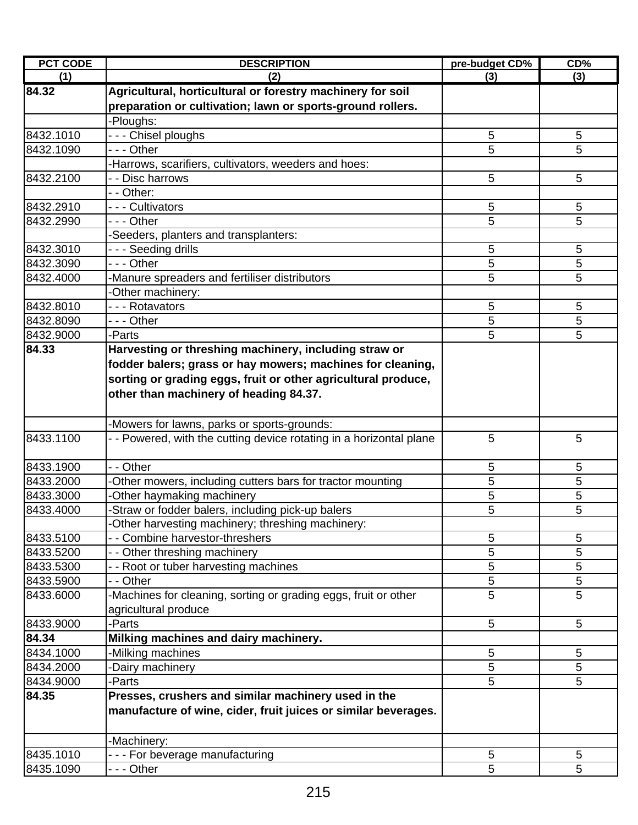| <b>PCT CODE</b> | <b>DESCRIPTION</b>                                                  | pre-budget CD% | CD%        |
|-----------------|---------------------------------------------------------------------|----------------|------------|
| (1)             | (2)                                                                 | (3)            | (3)        |
| 84.32           | Agricultural, horticultural or forestry machinery for soil          |                |            |
|                 | preparation or cultivation; lawn or sports-ground rollers.          |                |            |
|                 | -Ploughs:                                                           |                |            |
| 8432.1010       | - - - Chisel ploughs                                                | 5              | 5          |
| 8432.1090       | - - - Other                                                         | 5              | 5          |
|                 | -Harrows, scarifiers, cultivators, weeders and hoes:                |                |            |
| 8432.2100       | - - Disc harrows                                                    | 5              | 5          |
|                 | - - Other:                                                          |                |            |
| 8432.2910       | --- Cultivators                                                     | 5              | 5          |
| 8432.2990       | --- Other                                                           | 5              | 5          |
|                 | -Seeders, planters and transplanters:                               |                |            |
| 8432.3010       | - - - Seeding drills                                                | 5              | 5          |
| 8432.3090       | - - - Other                                                         | 5              | 5          |
| 8432.4000       | -Manure spreaders and fertiliser distributors                       | 5              | 5          |
|                 | -Other machinery:                                                   |                |            |
| 8432.8010       | --- Rotavators                                                      | 5              | 5          |
| 8432.8090       | $- -$ Other                                                         | 5              | 5          |
| 8432.9000       | -Parts                                                              | 5              | 5          |
| 84.33           | Harvesting or threshing machinery, including straw or               |                |            |
|                 | fodder balers; grass or hay mowers; machines for cleaning,          |                |            |
|                 | sorting or grading eggs, fruit or other agricultural produce,       |                |            |
|                 | other than machinery of heading 84.37.                              |                |            |
|                 |                                                                     |                |            |
|                 | -Mowers for lawns, parks or sports-grounds:                         |                |            |
| 8433.1100       | - - Powered, with the cutting device rotating in a horizontal plane | 5              | 5          |
|                 |                                                                     |                |            |
| 8433.1900       | - - Other                                                           | 5              | 5          |
| 8433.2000       | -Other mowers, including cutters bars for tractor mounting          | 5              | 5          |
| 8433.3000       | -Other haymaking machinery                                          | 5              | 5          |
| 8433.4000       | -Straw or fodder balers, including pick-up balers                   | 5              | 5          |
|                 | -Other harvesting machinery; threshing machinery:                   |                |            |
| 8433.5100       | - - Combine harvestor-threshers                                     | 5              | 5          |
| 8433.5200       | - - Other threshing machinery                                       | 5              | 5          |
| 8433.5300       | - - Root or tuber harvesting machines                               | 5              | 5          |
| 8433.5900       | - - Other                                                           | 5              | 5          |
| 8433.6000       | -Machines for cleaning, sorting or grading eggs, fruit or other     | 5              | 5          |
|                 | agricultural produce                                                |                |            |
| 8433.9000       | -Parts                                                              | 5              | 5          |
| 84.34           | Milking machines and dairy machinery.                               |                |            |
| 8434.1000       | -Milking machines                                                   | 5              | 5          |
| 8434.2000       | Dairy machinery                                                     | 5              | 5          |
| 8434.9000       | -Parts                                                              | 5              | 5          |
| 84.35           | Presses, crushers and similar machinery used in the                 |                |            |
|                 | manufacture of wine, cider, fruit juices or similar beverages.      |                |            |
|                 |                                                                     |                |            |
|                 | -Machinery:                                                         |                |            |
| 8435.1010       | --- For beverage manufacturing                                      | 5              | $\sqrt{5}$ |
| 8435.1090       | --- Other                                                           | 5              | 5          |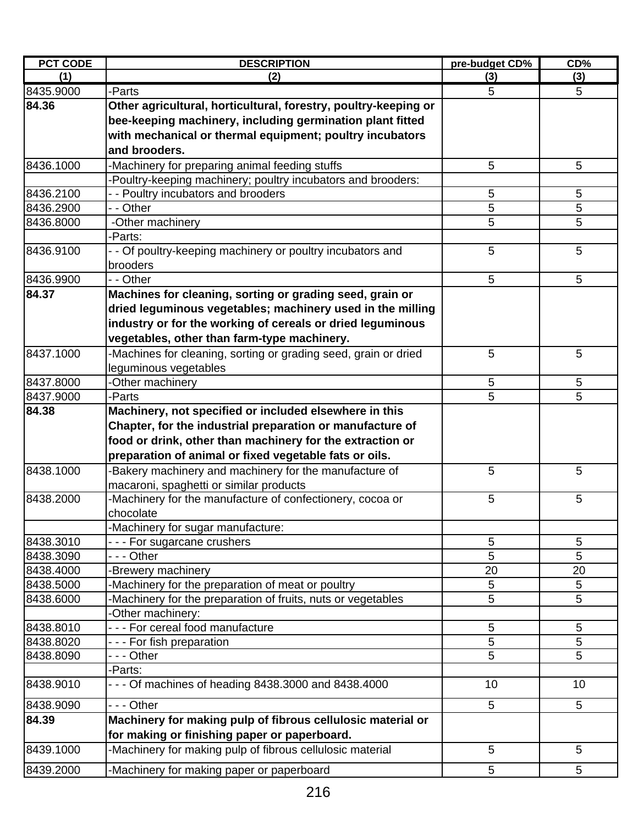| <b>PCT CODE</b> | <b>DESCRIPTION</b>                                              | pre-budget CD% | CD%        |
|-----------------|-----------------------------------------------------------------|----------------|------------|
| (1)             | (2)                                                             | (3)            | (3)        |
| 8435.9000       | -Parts                                                          | 5              | 5          |
| 84.36           | Other agricultural, horticultural, forestry, poultry-keeping or |                |            |
|                 | bee-keeping machinery, including germination plant fitted       |                |            |
|                 | with mechanical or thermal equipment; poultry incubators        |                |            |
|                 | and brooders.                                                   |                |            |
| 8436.1000       | -Machinery for preparing animal feeding stuffs                  | 5              | 5          |
|                 | -Poultry-keeping machinery; poultry incubators and brooders:    |                |            |
| 8436.2100       | - - Poultry incubators and brooders                             | 5              | $\sqrt{5}$ |
| 8436.2900       | - - Other                                                       | 5              | 5          |
| 8436.8000       | -Other machinery                                                | 5              | 5          |
|                 | -Parts:                                                         |                |            |
| 8436.9100       | - - Of poultry-keeping machinery or poultry incubators and      | 5              | 5          |
|                 | brooders                                                        |                |            |
| 8436.9900       | - - Other                                                       | 5              | 5          |
| 84.37           | Machines for cleaning, sorting or grading seed, grain or        |                |            |
|                 | dried leguminous vegetables; machinery used in the milling      |                |            |
|                 | industry or for the working of cereals or dried leguminous      |                |            |
|                 | vegetables, other than farm-type machinery.                     |                |            |
| 8437.1000       | -Machines for cleaning, sorting or grading seed, grain or dried | 5              | 5          |
|                 | leguminous vegetables                                           |                |            |
| 8437.8000       | -Other machinery                                                | 5              | 5          |
| 8437.9000       | -Parts                                                          | 5              | 5          |
| 84.38           | Machinery, not specified or included elsewhere in this          |                |            |
|                 | Chapter, for the industrial preparation or manufacture of       |                |            |
|                 | food or drink, other than machinery for the extraction or       |                |            |
|                 | preparation of animal or fixed vegetable fats or oils.          |                |            |
| 8438.1000       | -Bakery machinery and machinery for the manufacture of          | 5              | 5          |
|                 | macaroni, spaghetti or similar products                         |                |            |
| 8438.2000       | -Machinery for the manufacture of confectionery, cocoa or       | 5              | 5          |
|                 | chocolate                                                       |                |            |
|                 | -Machinery for sugar manufacture:                               |                |            |
| 8438.3010       | - - - For sugarcane crushers                                    | 5              | 5          |
| 8438.3090       | --- Other                                                       | 5              | 5          |
| 8438.4000       | -Brewery machinery                                              | 20             | 20         |
| 8438.5000       | -Machinery for the preparation of meat or poultry               | 5              | 5          |
| 8438.6000       | Machinery for the preparation of fruits, nuts or vegetables     | 5              | 5          |
|                 | -Other machinery:                                               |                |            |
| 8438.8010       | --- For cereal food manufacture                                 | 5              | 5          |
| 8438.8020       | - - - For fish preparation                                      | 5              | 5          |
| 8438.8090       | - - - Other                                                     | 5              | 5          |
|                 | -Parts:                                                         |                |            |
| 8438.9010       | - - - Of machines of heading 8438.3000 and 8438.4000            | 10             | 10         |
| 8438.9090       | --- Other                                                       | 5              | 5          |
| 84.39           | Machinery for making pulp of fibrous cellulosic material or     |                |            |
|                 | for making or finishing paper or paperboard.                    |                |            |
| 8439.1000       | -Machinery for making pulp of fibrous cellulosic material       | 5              | 5          |
| 8439.2000       | -Machinery for making paper or paperboard                       | 5              | 5          |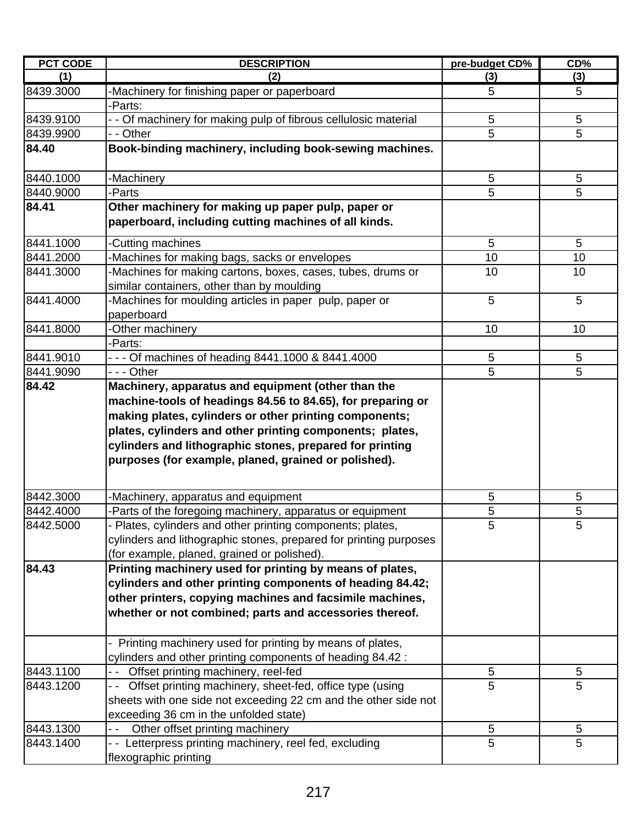| <b>PCT CODE</b> | <b>DESCRIPTION</b>                                                                                                                                                                                                                           | pre-budget CD% | CD%        |
|-----------------|----------------------------------------------------------------------------------------------------------------------------------------------------------------------------------------------------------------------------------------------|----------------|------------|
| (1)             | (2)                                                                                                                                                                                                                                          | (3)            | (3)        |
| 8439.3000       | -Machinery for finishing paper or paperboard                                                                                                                                                                                                 | 5              | 5          |
|                 | -Parts:                                                                                                                                                                                                                                      |                |            |
| 8439.9100       | - - Of machinery for making pulp of fibrous cellulosic material                                                                                                                                                                              | $\sqrt{5}$     | $\sqrt{5}$ |
| 8439.9900       | - - Other                                                                                                                                                                                                                                    | 5              | 5          |
| 84.40           | Book-binding machinery, including book-sewing machines.                                                                                                                                                                                      |                |            |
|                 |                                                                                                                                                                                                                                              |                |            |
| 8440.1000       | -Machinery                                                                                                                                                                                                                                   | 5              | 5          |
| 8440.9000       | -Parts                                                                                                                                                                                                                                       | 5              | 5          |
| 84.41           | Other machinery for making up paper pulp, paper or<br>paperboard, including cutting machines of all kinds.                                                                                                                                   |                |            |
| 8441.1000       | -Cutting machines                                                                                                                                                                                                                            | 5              | 5          |
| 8441.2000       | -Machines for making bags, sacks or envelopes                                                                                                                                                                                                | 10             | 10         |
| 8441.3000       | -Machines for making cartons, boxes, cases, tubes, drums or<br>similar containers, other than by moulding                                                                                                                                    | 10             | 10         |
| 8441.4000       | Machines for moulding articles in paper pulp, paper or<br>paperboard                                                                                                                                                                         | 5              | 5          |
| 8441.8000       | -Other machinery                                                                                                                                                                                                                             | 10             | 10         |
|                 | -Parts:                                                                                                                                                                                                                                      |                |            |
| 8441.9010       | - - - Of machines of heading 8441.1000 & 8441.4000                                                                                                                                                                                           | $\mathbf 5$    | 5          |
| 8441.9090       | $- -$ Other                                                                                                                                                                                                                                  | $\overline{5}$ | 5          |
|                 | making plates, cylinders or other printing components;<br>plates, cylinders and other printing components; plates,<br>cylinders and lithographic stones, prepared for printing<br>purposes (for example, planed, grained or polished).       |                |            |
| 8442.3000       | -Machinery, apparatus and equipment                                                                                                                                                                                                          | 5              | $\sqrt{5}$ |
| 8442.4000       | -Parts of the foregoing machinery, apparatus or equipment                                                                                                                                                                                    | 5              | 5          |
| 8442.5000       | - Plates, cylinders and other printing components; plates,<br>cylinders and lithographic stones, prepared for printing purposes<br>(for example, planed, grained or polished).                                                               | 5              | 5          |
| 84.43           | Printing machinery used for printing by means of plates,<br>cylinders and other printing components of heading 84.42;<br>other printers, copying machines and facsimile machines,<br>whether or not combined; parts and accessories thereof. |                |            |
|                 | - Printing machinery used for printing by means of plates,<br>cylinders and other printing components of heading 84.42 :                                                                                                                     |                |            |
| 8443.1100       | Offset printing machinery, reel-fed<br>$ -$                                                                                                                                                                                                  | 5              | 5          |
| 8443.1200       | Offset printing machinery, sheet-fed, office type (using<br>- -<br>sheets with one side not exceeding 22 cm and the other side not<br>exceeding 36 cm in the unfolded state)                                                                 | 5              | 5          |
| 8443.1300       | Other offset printing machinery                                                                                                                                                                                                              | 5              | 5          |
| 8443.1400       | - - Letterpress printing machinery, reel fed, excluding<br>flexographic printing                                                                                                                                                             | $\overline{5}$ | 5          |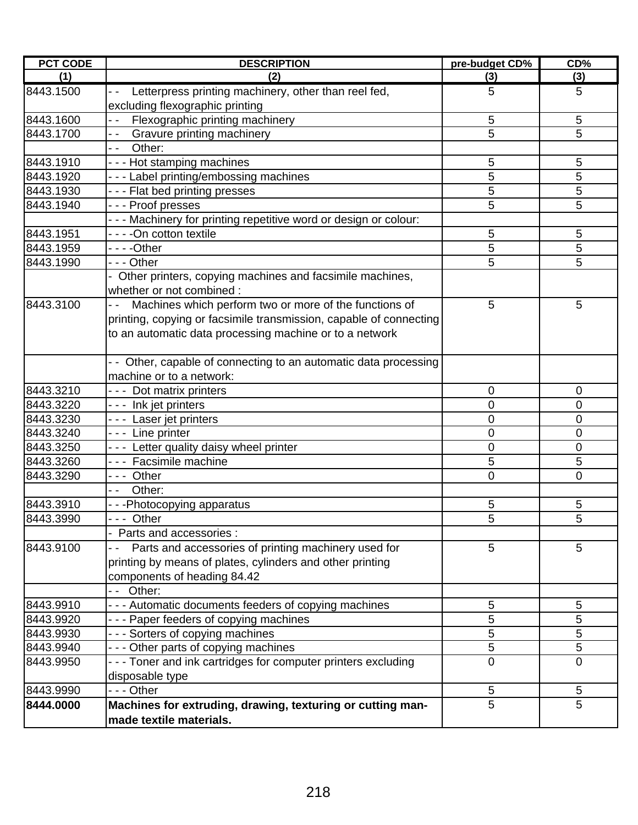| <b>PCT CODE</b> | <b>DESCRIPTION</b>                                                               | pre-budget CD% | CD%            |
|-----------------|----------------------------------------------------------------------------------|----------------|----------------|
| (1)             | (2)                                                                              | (3)            | (3)            |
| 8443.1500       | Letterpress printing machinery, other than reel fed,<br>$\overline{\phantom{a}}$ | 5              | 5              |
|                 | excluding flexographic printing                                                  |                |                |
| 8443.1600       | Flexographic printing machinery<br>$ -$                                          | 5              | 5              |
| 8443.1700       | <b>Gravure printing machinery</b><br>$ -$                                        | 5              | 5              |
|                 | $ -$<br>Other:                                                                   |                |                |
| 8443.1910       | --- Hot stamping machines                                                        | 5              | 5              |
| 8443.1920       | --- Label printing/embossing machines                                            | 5              | 5              |
| 8443.1930       | --- Flat bed printing presses                                                    | 5              | 5              |
| 8443.1940       | --- Proof presses                                                                | 5              | 5              |
|                 | --- Machinery for printing repetitive word or design or colour:                  |                |                |
| 8443.1951       | - - - -On cotton textile                                                         | 5              | 5              |
| 8443.1959       |                                                                                  | 5              | 5              |
| 8443.1990       | - - - Other                                                                      | 5              | 5              |
|                 | - Other printers, copying machines and facsimile machines,                       |                |                |
|                 | whether or not combined :                                                        |                |                |
| 8443.3100       | Machines which perform two or more of the functions of                           | 5              | 5              |
|                 | printing, copying or facsimile transmission, capable of connecting               |                |                |
|                 | to an automatic data processing machine or to a network                          |                |                |
|                 |                                                                                  |                |                |
|                 | - Other, capable of connecting to an automatic data processing                   |                |                |
|                 | machine or to a network:                                                         |                |                |
| 8443.3210       | --- Dot matrix printers                                                          | 0              | 0              |
| 8443.3220       | --- Ink jet printers                                                             | 0              | 0              |
| 8443.3230       | --- Laser jet printers                                                           | 0              | $\pmb{0}$      |
| 8443.3240       | --- Line printer                                                                 | 0              | $\mathbf 0$    |
| 8443.3250       | - - - Letter quality daisy wheel printer                                         | 0              | 0              |
| 8443.3260       | --- Facsimile machine                                                            | 5              | 5              |
| 8443.3290       | --- Other                                                                        | 0              | $\overline{0}$ |
|                 | Other:<br>$ -$                                                                   |                |                |
| 8443.3910       | - - -Photocopying apparatus                                                      | 5              | 5              |
| 8443.3990       | --- Other                                                                        | 5              | 5              |
|                 | - Parts and accessories :                                                        |                |                |
| 8443.9100       | Parts and accessories of printing machinery used for                             | 5              | 5              |
|                 | printing by means of plates, cylinders and other printing                        |                |                |
|                 | components of heading 84.42                                                      |                |                |
|                 | -- Other:                                                                        |                |                |
| 8443.9910       | - - - Automatic documents feeders of copying machines                            | 5              | 5              |
| 8443.9920       | --- Paper feeders of copying machines                                            | 5              | 5              |
| 8443.9930       | --- Sorters of copying machines                                                  | 5              | 5              |
| 8443.9940       | - - - Other parts of copying machines                                            | 5              | 5              |
| 8443.9950       | --- Toner and ink cartridges for computer printers excluding                     | $\mathbf 0$    | $\mathbf 0$    |
|                 | disposable type                                                                  |                |                |
| 8443.9990       | $- -$ Other                                                                      | 5              | 5              |
| 8444.0000       | Machines for extruding, drawing, texturing or cutting man-                       | 5              | 5              |
|                 | made textile materials.                                                          |                |                |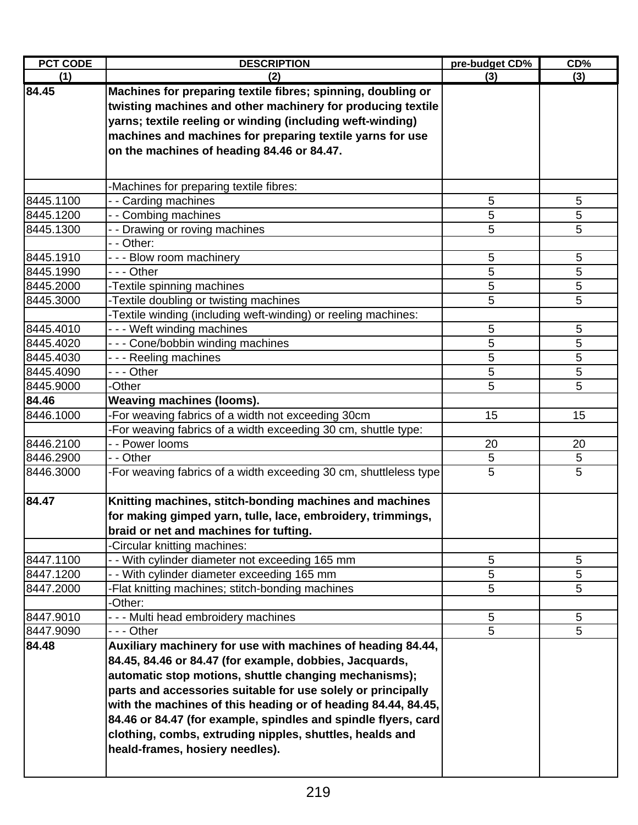| <b>PCT CODE</b> | <b>DESCRIPTION</b>                                                | pre-budget CD% | CD% |
|-----------------|-------------------------------------------------------------------|----------------|-----|
| (1)             | (2)                                                               | (3)            | (3) |
| 84.45           | Machines for preparing textile fibres; spinning, doubling or      |                |     |
|                 | twisting machines and other machinery for producing textile       |                |     |
|                 | yarns; textile reeling or winding (including weft-winding)        |                |     |
|                 | machines and machines for preparing textile yarns for use         |                |     |
|                 | on the machines of heading 84.46 or 84.47.                        |                |     |
|                 |                                                                   |                |     |
|                 | -Machines for preparing textile fibres:                           |                |     |
| 8445.1100       | - - Carding machines                                              | 5              | 5   |
| 8445.1200       | - - Combing machines                                              | 5              | 5   |
| 8445.1300       | - - Drawing or roving machines                                    | 5              | 5   |
|                 | - - Other:                                                        |                |     |
| 8445.1910       | --- Blow room machinery                                           | 5              | 5   |
| 8445.1990       | - - - Other                                                       | 5              | 5   |
| 8445.2000       | -Textile spinning machines                                        | 5              | 5   |
| 8445.3000       | -Textile doubling or twisting machines                            | 5              | 5   |
|                 | -Textile winding (including weft-winding) or reeling machines:    |                |     |
| 8445.4010       | --- Weft winding machines                                         | 5              | 5   |
| 8445.4020       | --- Cone/bobbin winding machines                                  | 5              | 5   |
| 8445.4030       | --- Reeling machines                                              | 5              | 5   |
| 8445.4090       | --- Other                                                         | 5              | 5   |
| 8445.9000       | -Other                                                            | 5              | 5   |
| 84.46           | <b>Weaving machines (looms).</b>                                  |                |     |
| 8446.1000       | -For weaving fabrics of a width not exceeding 30cm                | 15             | 15  |
|                 | -For weaving fabrics of a width exceeding 30 cm, shuttle type:    |                |     |
| 8446.2100       | - - Power looms                                                   | 20             | 20  |
| 8446.2900       | - - Other                                                         | 5              | 5   |
| 8446.3000       | -For weaving fabrics of a width exceeding 30 cm, shuttleless type | 5              | 5   |
|                 |                                                                   |                |     |
| 84.47           | Knitting machines, stitch-bonding machines and machines           |                |     |
|                 | for making gimped yarn, tulle, lace, embroidery, trimmings,       |                |     |
|                 | braid or net and machines for tufting.                            |                |     |
|                 | -Circular knitting machines:                                      |                |     |
| 8447.1100       | - - With cylinder diameter not exceeding 165 mm                   | 5              | 5   |
| 8447.1200       | - - With cylinder diameter exceeding 165 mm                       | 5              | 5   |
| 8447.2000       | -Flat knitting machines; stitch-bonding machines                  | 5              | 5   |
|                 | -Other:                                                           |                |     |
| 8447.9010       | --- Multi head embroidery machines                                | 5              | 5   |
| 8447.9090       | - - - Other                                                       | 5              | 5   |
| 84.48           | Auxiliary machinery for use with machines of heading 84.44,       |                |     |
|                 | 84.45, 84.46 or 84.47 (for example, dobbies, Jacquards,           |                |     |
|                 | automatic stop motions, shuttle changing mechanisms);             |                |     |
|                 | parts and accessories suitable for use solely or principally      |                |     |
|                 | with the machines of this heading or of heading 84.44, 84.45,     |                |     |
|                 | 84.46 or 84.47 (for example, spindles and spindle flyers, card    |                |     |
|                 | clothing, combs, extruding nipples, shuttles, healds and          |                |     |
|                 | heald-frames, hosiery needles).                                   |                |     |
|                 |                                                                   |                |     |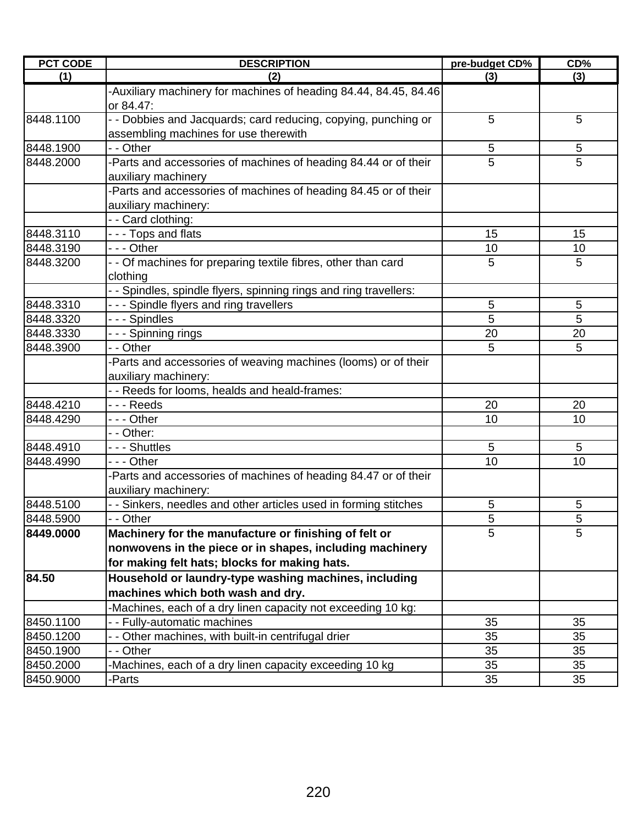| <b>PCT CODE</b> | <b>DESCRIPTION</b>                                                | pre-budget CD% | CD% |
|-----------------|-------------------------------------------------------------------|----------------|-----|
| (1)             | (2)                                                               | (3)            | (3) |
|                 | -Auxiliary machinery for machines of heading 84.44, 84.45, 84.46  |                |     |
|                 | or 84.47:                                                         |                |     |
| 8448.1100       | - - Dobbies and Jacquards; card reducing, copying, punching or    | 5              | 5   |
|                 | assembling machines for use therewith                             |                |     |
| 8448.1900       | - - Other                                                         | $\sqrt{5}$     | 5   |
| 8448.2000       | -Parts and accessories of machines of heading 84.44 or of their   | 5              | 5   |
|                 | auxiliary machinery                                               |                |     |
|                 | -Parts and accessories of machines of heading 84.45 or of their   |                |     |
|                 | auxiliary machinery:                                              |                |     |
|                 | -- Card clothing:                                                 |                |     |
| 8448.3110       | --- Tops and flats                                                | 15             | 15  |
| 8448.3190       | - - - Other                                                       | 10             | 10  |
| 8448.3200       | - - Of machines for preparing textile fibres, other than card     | 5              | 5   |
|                 | clothing                                                          |                |     |
|                 | - - Spindles, spindle flyers, spinning rings and ring travellers: |                |     |
| 8448.3310       | --- Spindle flyers and ring travellers                            | $\sqrt{5}$     | 5   |
| 8448.3320       | - - - Spindles                                                    | 5              | 5   |
| 8448.3330       | - - - Spinning rings                                              | 20             | 20  |
| 8448.3900       | - - Other                                                         | 5              | 5   |
|                 | -Parts and accessories of weaving machines (looms) or of their    |                |     |
|                 | auxiliary machinery:                                              |                |     |
|                 | - - Reeds for looms, healds and heald-frames:                     |                |     |
| 8448.4210       | - - - Reeds                                                       | 20             | 20  |
| 8448.4290       | - - - Other                                                       | 10             | 10  |
|                 | - - Other:                                                        |                |     |
| 8448.4910       | - - - Shuttles                                                    | 5              | 5   |
| 8448.4990       | --- Other                                                         | 10             | 10  |
|                 | -Parts and accessories of machines of heading 84.47 or of their   |                |     |
|                 | auxiliary machinery:                                              |                |     |
| 8448.5100       | - - Sinkers, needles and other articles used in forming stitches  | 5              | 5   |
| 8448.5900       | - - Other                                                         | 5              | 5   |
| 8449.0000       | Machinery for the manufacture or finishing of felt or             | 5              | 5   |
|                 | nonwovens in the piece or in shapes, including machinery          |                |     |
|                 | for making felt hats; blocks for making hats.                     |                |     |
| 84.50           | Household or laundry-type washing machines, including             |                |     |
|                 | machines which both wash and dry.                                 |                |     |
|                 | Machines, each of a dry linen capacity not exceeding 10 kg:       |                |     |
| 8450.1100       | - - Fully-automatic machines                                      | 35             | 35  |
| 8450.1200       | - - Other machines, with built-in centrifugal drier               | 35             | 35  |
| 8450.1900       | - - Other                                                         | 35             | 35  |
| 8450.2000       | -Machines, each of a dry linen capacity exceeding 10 kg           | 35             | 35  |
| 8450.9000       | -Parts                                                            | 35             | 35  |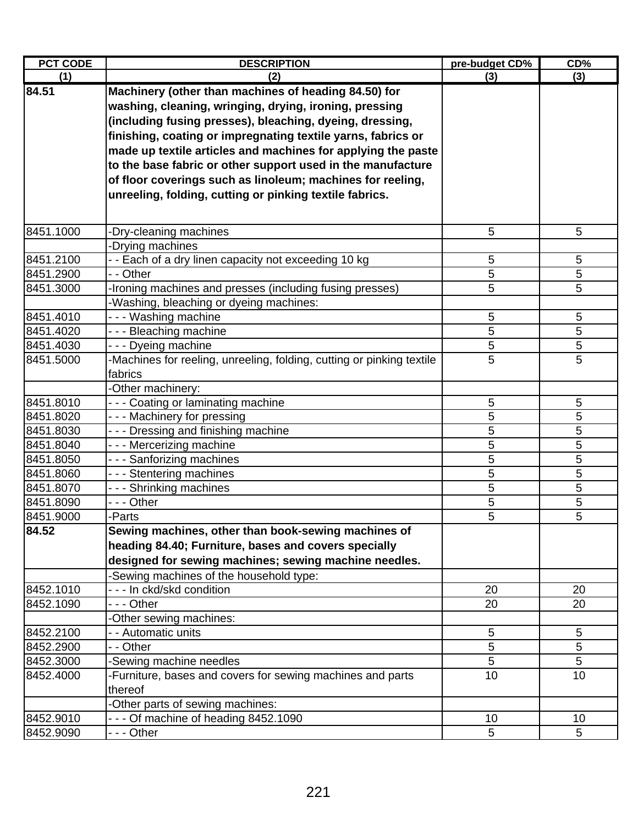| <b>PCT CODE</b> | <b>DESCRIPTION</b>                                                    | pre-budget CD% | CD% |
|-----------------|-----------------------------------------------------------------------|----------------|-----|
| (1)             | (2)                                                                   | (3)            | (3) |
| 84.51           | Machinery (other than machines of heading 84.50) for                  |                |     |
|                 | washing, cleaning, wringing, drying, ironing, pressing                |                |     |
|                 | (including fusing presses), bleaching, dyeing, dressing,              |                |     |
|                 | finishing, coating or impregnating textile yarns, fabrics or          |                |     |
|                 | made up textile articles and machines for applying the paste          |                |     |
|                 | to the base fabric or other support used in the manufacture           |                |     |
|                 | of floor coverings such as linoleum; machines for reeling,            |                |     |
|                 | unreeling, folding, cutting or pinking textile fabrics.               |                |     |
|                 |                                                                       |                |     |
|                 |                                                                       |                |     |
| 8451.1000       | -Dry-cleaning machines                                                | 5              | 5   |
|                 | -Drying machines                                                      |                |     |
| 8451.2100       | - - Each of a dry linen capacity not exceeding 10 kg                  | 5              | 5   |
| 8451.2900       | - - Other                                                             | 5              | 5   |
| 8451.3000       | -Ironing machines and presses (including fusing presses)              | 5              | 5   |
|                 | -Washing, bleaching or dyeing machines:                               |                |     |
| 8451.4010       | --- Washing machine                                                   | 5              | 5   |
| 8451.4020       | --- Bleaching machine                                                 | 5              | 5   |
| 8451.4030       | --- Dyeing machine                                                    | 5              | 5   |
| 8451.5000       | -Machines for reeling, unreeling, folding, cutting or pinking textile | 5              | 5   |
|                 | fabrics                                                               |                |     |
|                 | -Other machinery:                                                     |                |     |
| 8451.8010       | --- Coating or laminating machine                                     | 5              | 5   |
| 8451.8020       | --- Machinery for pressing                                            | 5              | 5   |
| 8451.8030       | --- Dressing and finishing machine                                    | 5              | 5   |
| 8451.8040       | --- Mercerizing machine                                               | 5              | 5   |
| 8451.8050       | --- Sanforizing machines                                              | 5              | 5   |
| 8451.8060       | --- Stentering machines                                               | 5              | 5   |
| 8451.8070       | --- Shrinking machines                                                | 5              | 5   |
| 8451.8090       | - - - Other                                                           | 5              | 5   |
| 8451.9000       | -Parts                                                                | 5              | 5   |
| 84.52           | Sewing machines, other than book-sewing machines of                   |                |     |
|                 | heading 84.40; Furniture, bases and covers specially                  |                |     |
|                 | designed for sewing machines; sewing machine needles.                 |                |     |
|                 | -Sewing machines of the household type:                               |                |     |
| 8452.1010       | - - - In ckd/skd condition                                            | 20             | 20  |
| 8452.1090       | - - - Other                                                           | 20             | 20  |
|                 | -Other sewing machines:                                               |                |     |
| 8452.2100       | - - Automatic units                                                   | 5              | 5   |
| 8452.2900       | - - Other                                                             | 5              | 5   |
| 8452.3000       | -Sewing machine needles                                               | 5              | 5   |
| 8452.4000       | -Furniture, bases and covers for sewing machines and parts            | 10             | 10  |
|                 | thereof                                                               |                |     |
|                 | -Other parts of sewing machines:                                      |                |     |
| 8452.9010       | --- Of machine of heading 8452.1090                                   | 10             | 10  |
| 8452.9090       | --- Other                                                             | 5              | 5   |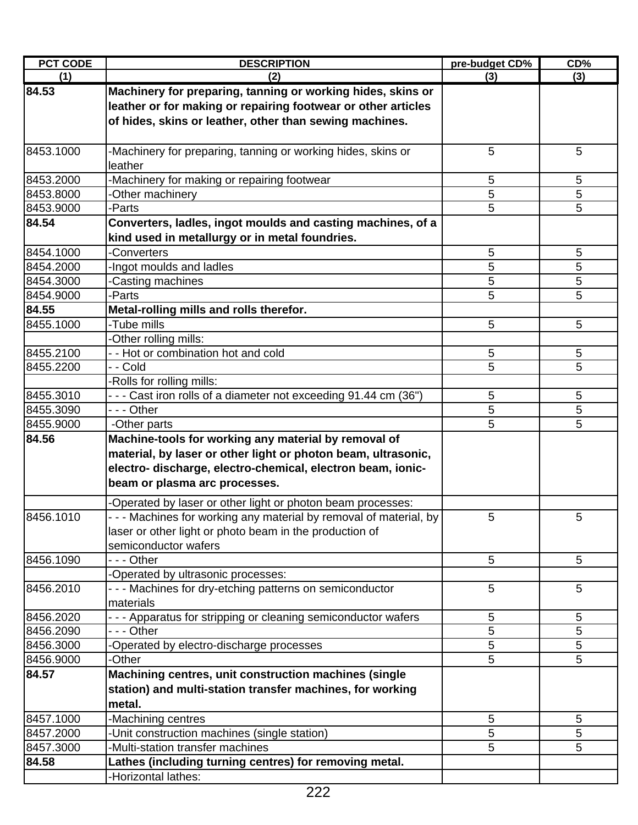| <b>PCT CODE</b> | <b>DESCRIPTION</b>                                                            | pre-budget CD% | CD%             |
|-----------------|-------------------------------------------------------------------------------|----------------|-----------------|
| (1)             | (2)                                                                           | (3)            | (3)             |
| 84.53           | Machinery for preparing, tanning or working hides, skins or                   |                |                 |
|                 | leather or for making or repairing footwear or other articles                 |                |                 |
|                 | of hides, skins or leather, other than sewing machines.                       |                |                 |
|                 |                                                                               |                |                 |
| 8453.1000       | -Machinery for preparing, tanning or working hides, skins or                  | 5              | 5               |
|                 | leather                                                                       |                |                 |
| 8453.2000       | -Machinery for making or repairing footwear                                   | 5              | 5               |
| 8453.8000       | -Other machinery                                                              | 5              | 5               |
| 8453.9000       | -Parts                                                                        | 5              | 5               |
| 84.54           | Converters, ladles, ingot moulds and casting machines, of a                   |                |                 |
|                 | kind used in metallurgy or in metal foundries.                                |                |                 |
| 8454.1000       | -Converters                                                                   | 5              | 5               |
| 8454.2000       | -Ingot moulds and ladles                                                      | 5              | 5               |
| 8454.3000       | Casting machines                                                              | 5              | 5               |
| 8454.9000       | -Parts                                                                        | 5              | 5               |
| 84.55           | Metal-rolling mills and rolls therefor.                                       |                |                 |
| 8455.1000       | -Tube mills                                                                   | 5              | $5\phantom{.0}$ |
|                 | -Other rolling mills:                                                         |                |                 |
| 8455.2100       | - - Hot or combination hot and cold                                           | 5              | 5               |
| 8455.2200       | - - Cold                                                                      | 5              | 5               |
|                 | -Rolls for rolling mills:                                                     |                |                 |
| 8455.3010       | --- Cast iron rolls of a diameter not exceeding 91.44 cm (36")                | 5              | 5               |
| 8455.3090       | - - - Other                                                                   | 5              | 5               |
| 8455.9000       | -Other parts                                                                  | 5              | 5               |
| 84.56           | Machine-tools for working any material by removal of                          |                |                 |
|                 | material, by laser or other light or photon beam, ultrasonic,                 |                |                 |
|                 | electro- discharge, electro-chemical, electron beam, ionic-                   |                |                 |
|                 | beam or plasma arc processes.                                                 |                |                 |
|                 |                                                                               |                |                 |
|                 | -Operated by laser or other light or photon beam processes:                   |                |                 |
| 8456.1010       | - - - Machines for working any material by removal of material, by            | 5              | 5               |
|                 | laser or other light or photo beam in the production of                       |                |                 |
|                 | semiconductor wafers                                                          |                |                 |
| 8456.1090       | - - - Other                                                                   | 5              | 5               |
|                 | -Operated by ultrasonic processes:                                            |                |                 |
| 8456.2010       | - - - Machines for dry-etching patterns on semiconductor<br>materials         | 5              | 5               |
|                 |                                                                               |                |                 |
| 8456.2020       | - - - Apparatus for stripping or cleaning semiconductor wafers<br>- - - Other | 5              | 5               |
| 8456.2090       |                                                                               | 5              | 5               |
| 8456.3000       | -Operated by electro-discharge processes                                      | 5              | 5               |
| 8456.9000       | -Other                                                                        | 5              | 5               |
| 84.57           | Machining centres, unit construction machines (single                         |                |                 |
|                 | station) and multi-station transfer machines, for working                     |                |                 |
|                 | metal.                                                                        |                |                 |
| 8457.1000       | -Machining centres                                                            | 5              | 5               |
| 8457.2000       | -Unit construction machines (single station)                                  | 5              | 5               |
| 8457.3000       | -Multi-station transfer machines                                              | 5              | 5               |
| 84.58           | Lathes (including turning centres) for removing metal.                        |                |                 |
|                 | -Horizontal lathes:                                                           |                |                 |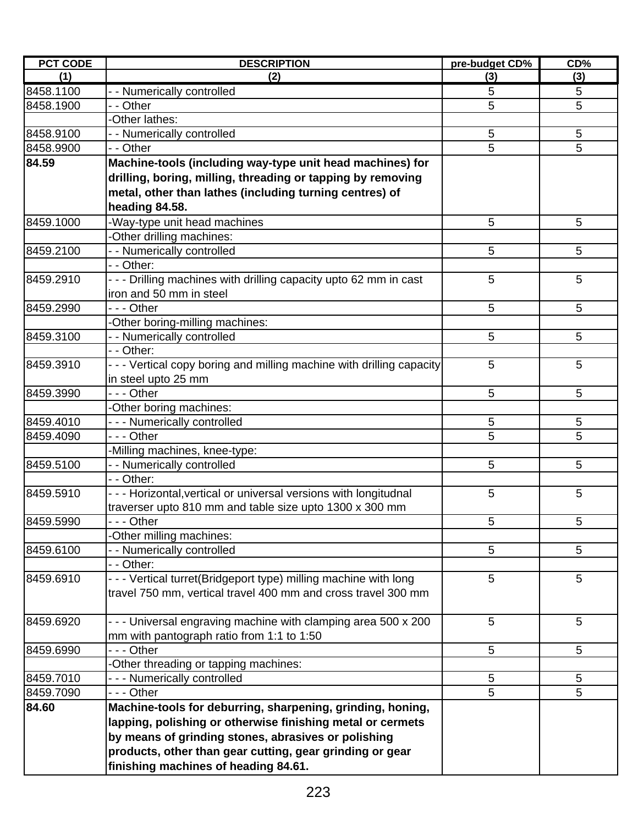| <b>PCT CODE</b> | <b>DESCRIPTION</b>                                                    | pre-budget CD% | CD%             |
|-----------------|-----------------------------------------------------------------------|----------------|-----------------|
| (1)             | (2)                                                                   | (3)            | (3)             |
| 8458.1100       | - - Numerically controlled                                            | 5              | 5               |
| 8458.1900       | - - Other                                                             | 5              | 5               |
|                 | -Other lathes:                                                        |                |                 |
| 8458.9100       | - - Numerically controlled                                            | 5              | $5\phantom{.0}$ |
| 8458.9900       | - - Other                                                             | 5              | 5               |
| 84.59           | Machine-tools (including way-type unit head machines) for             |                |                 |
|                 | drilling, boring, milling, threading or tapping by removing           |                |                 |
|                 | metal, other than lathes (including turning centres) of               |                |                 |
|                 | heading 84.58.                                                        |                |                 |
| 8459.1000       | -Way-type unit head machines                                          | 5              | 5               |
|                 | -Other drilling machines:                                             |                |                 |
| 8459.2100       | - - Numerically controlled                                            | 5              | 5               |
|                 | - - Other:                                                            |                |                 |
| 8459.2910       | - - - Drilling machines with drilling capacity upto 62 mm in cast     | 5              | 5               |
|                 | iron and 50 mm in steel                                               |                |                 |
| 8459.2990       | --- Other                                                             | 5              | 5               |
|                 | -Other boring-milling machines:                                       |                |                 |
| 8459.3100       | - - Numerically controlled                                            | 5              | 5               |
|                 | - - Other:                                                            |                |                 |
| 8459.3910       | - - - Vertical copy boring and milling machine with drilling capacity | 5              | 5               |
|                 | in steel upto 25 mm                                                   |                |                 |
| 8459.3990       | --- Other                                                             | 5              | 5               |
|                 | -Other boring machines:                                               |                |                 |
| 8459.4010       | - - - Numerically controlled                                          | 5              | 5               |
| 8459.4090       | --- Other                                                             | 5              | 5               |
|                 | -Milling machines, knee-type:                                         |                |                 |
| 8459.5100       | - - Numerically controlled                                            | 5              | 5               |
|                 | - - Other:                                                            |                |                 |
| 8459.5910       | - - - Horizontal, vertical or universal versions with longitudnal     | 5              | 5               |
|                 | traverser upto 810 mm and table size upto 1300 x 300 mm               |                |                 |
| 8459.5990       | - Other                                                               | 5              | 5               |
|                 | -Other milling machines:                                              |                |                 |
| 8459.6100       | - - Numerically controlled                                            | 5              | 5               |
|                 | - - Other:                                                            |                |                 |
| 8459.6910       | - - - Vertical turret(Bridgeport type) milling machine with long      | 5              | 5               |
|                 | travel 750 mm, vertical travel 400 mm and cross travel 300 mm         |                |                 |
|                 |                                                                       |                |                 |
| 8459.6920       | - - - Universal engraving machine with clamping area 500 x 200        | 5              | 5               |
|                 | mm with pantograph ratio from 1:1 to 1:50                             |                |                 |
| 8459.6990       | --- Other                                                             | 5              | 5               |
|                 | -Other threading or tapping machines:                                 |                |                 |
| 8459.7010       | - - - Numerically controlled                                          | 5              | 5               |
| 8459.7090       | --- Other                                                             | 5              | 5               |
| 84.60           | Machine-tools for deburring, sharpening, grinding, honing,            |                |                 |
|                 | lapping, polishing or otherwise finishing metal or cermets            |                |                 |
|                 | by means of grinding stones, abrasives or polishing                   |                |                 |
|                 | products, other than gear cutting, gear grinding or gear              |                |                 |
|                 | finishing machines of heading 84.61.                                  |                |                 |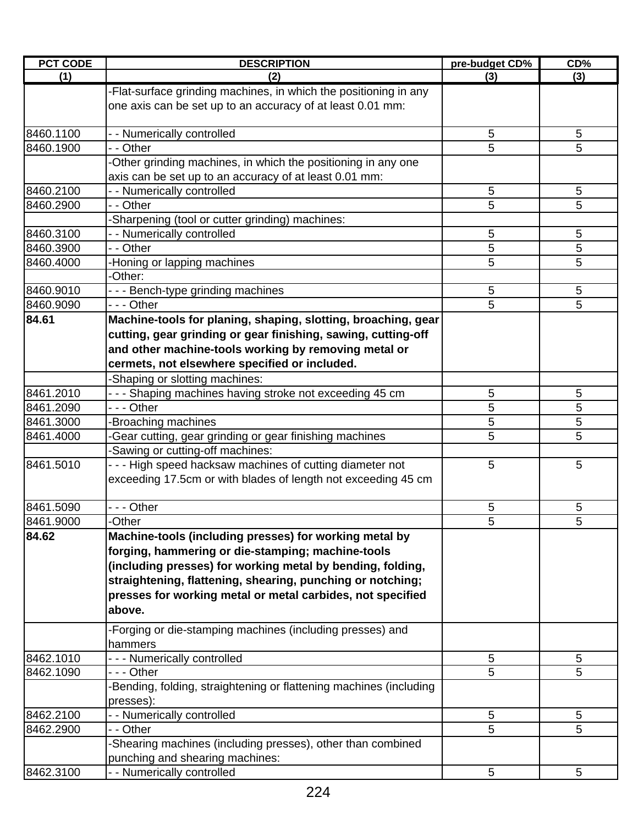| <b>PCT CODE</b> | <b>DESCRIPTION</b>                                                 | pre-budget CD% | CD%             |
|-----------------|--------------------------------------------------------------------|----------------|-----------------|
| (1)             | (2)                                                                | (3)            | (3)             |
|                 | -Flat-surface grinding machines, in which the positioning in any   |                |                 |
|                 | one axis can be set up to an accuracy of at least 0.01 mm:         |                |                 |
|                 |                                                                    |                |                 |
| 8460.1100       | - - Numerically controlled                                         | 5              | 5               |
| 8460.1900       | - - Other                                                          | 5              | 5               |
|                 | -Other grinding machines, in which the positioning in any one      |                |                 |
| 8460.2100       | axis can be set up to an accuracy of at least 0.01 mm:             |                |                 |
|                 | - - Numerically controlled                                         | 5              | 5               |
| 8460.2900       | - - Other                                                          | 5              | 5               |
| 8460.3100       | -Sharpening (tool or cutter grinding) machines:                    | 5              | 5               |
| 8460.3900       | - - Numerically controlled<br>- - Other                            | 5              | 5               |
| 8460.4000       |                                                                    | 5              | 5               |
|                 | -Honing or lapping machines<br>-Other:                             |                |                 |
| 8460.9010       | --- Bench-type grinding machines                                   | 5              | 5               |
| 8460.9090       | - - - Other                                                        | 5              | 5               |
| 84.61           | Machine-tools for planing, shaping, slotting, broaching, gear      |                |                 |
|                 | cutting, gear grinding or gear finishing, sawing, cutting-off      |                |                 |
|                 | and other machine-tools working by removing metal or               |                |                 |
|                 |                                                                    |                |                 |
|                 | cermets, not elsewhere specified or included.                      |                |                 |
|                 | -Shaping or slotting machines:                                     |                |                 |
| 8461.2010       | - - - Shaping machines having stroke not exceeding 45 cm           | 5              | 5               |
| 8461.2090       | --- Other                                                          | 5              | 5               |
| 8461.3000       | Broaching machines                                                 | 5              | 5               |
| 8461.4000       | Gear cutting, gear grinding or gear finishing machines             | 5              | 5               |
|                 | -Sawing or cutting-off machines:                                   |                |                 |
| 8461.5010       | - - - High speed hacksaw machines of cutting diameter not          | 5              | 5               |
|                 | exceeding 17.5cm or with blades of length not exceeding 45 cm      |                |                 |
| 8461.5090       | - - - Other                                                        | 5              | 5               |
| 8461.9000       | Other                                                              | 5              | 5               |
| 84.62           | Machine-tools (including presses) for working metal by             |                |                 |
|                 | forging, hammering or die-stamping; machine-tools                  |                |                 |
|                 | (including presses) for working metal by bending, folding,         |                |                 |
|                 | straightening, flattening, shearing, punching or notching;         |                |                 |
|                 | presses for working metal or metal carbides, not specified         |                |                 |
|                 | above.                                                             |                |                 |
|                 |                                                                    |                |                 |
|                 | -Forging or die-stamping machines (including presses) and          |                |                 |
|                 | hammers                                                            |                |                 |
| 8462.1010       | --- Numerically controlled                                         | 5              | 5               |
| 8462.1090       | - - - Other                                                        | 5              | 5               |
|                 | -Bending, folding, straightening or flattening machines (including |                |                 |
|                 | presses):                                                          |                |                 |
| 8462.2100       | - - Numerically controlled                                         | 5              | $5\phantom{.0}$ |
| 8462.2900       | - - Other                                                          | 5              | 5               |
|                 | -Shearing machines (including presses), other than combined        |                |                 |
|                 | punching and shearing machines:                                    |                |                 |
| 8462.3100       | - - Numerically controlled                                         | 5              | 5               |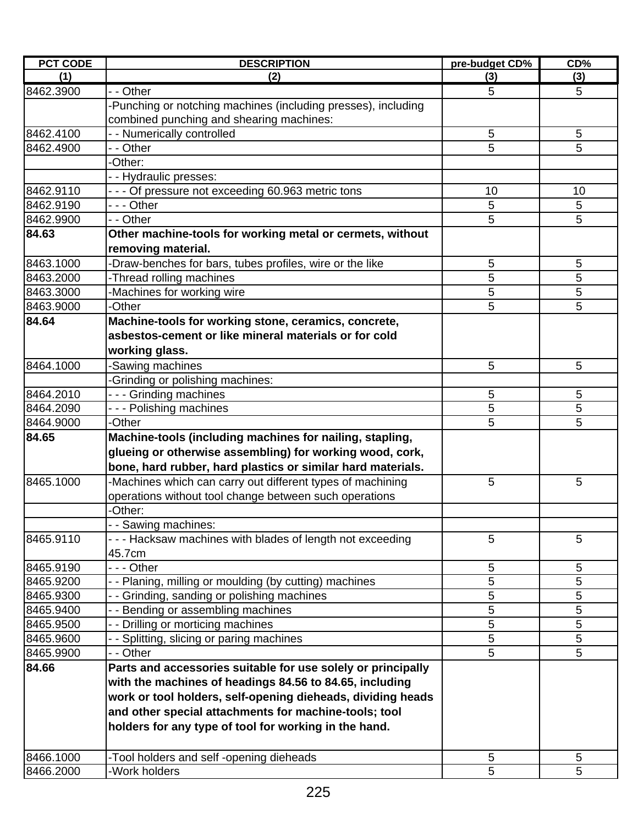| <b>PCT CODE</b> | <b>DESCRIPTION</b>                                            | pre-budget CD% | CD% |
|-----------------|---------------------------------------------------------------|----------------|-----|
| (1)             | (2)                                                           | (3)            | (3) |
| 8462.3900       | - - Other                                                     | 5              | 5   |
|                 | -Punching or notching machines (including presses), including |                |     |
|                 | combined punching and shearing machines:                      |                |     |
| 8462.4100       | - - Numerically controlled                                    | 5              | 5   |
| 8462.4900       | - - Other                                                     | 5              | 5   |
|                 | -Other:                                                       |                |     |
|                 | - - Hydraulic presses:                                        |                |     |
| 8462.9110       | - - - Of pressure not exceeding 60.963 metric tons            | 10             | 10  |
| 8462.9190       | - - - Other                                                   | 5              | 5   |
| 8462.9900       | - - Other                                                     | 5              | 5   |
| 84.63           | Other machine-tools for working metal or cermets, without     |                |     |
|                 | removing material.                                            |                |     |
| 8463.1000       | -Draw-benches for bars, tubes profiles, wire or the like      | 5              | 5   |
| 8463.2000       | -Thread rolling machines                                      | 5              | 5   |
| 8463.3000       | -Machines for working wire                                    | 5              | 5   |
| 8463.9000       | -Other                                                        | 5              | 5   |
| 84.64           | Machine-tools for working stone, ceramics, concrete,          |                |     |
|                 | asbestos-cement or like mineral materials or for cold         |                |     |
|                 | working glass.                                                |                |     |
| 8464.1000       | -Sawing machines                                              | 5              | 5   |
|                 | -Grinding or polishing machines:                              |                |     |
| 8464.2010       | --- Grinding machines                                         | 5              | 5   |
| 8464.2090       | --- Polishing machines                                        | 5              | 5   |
| 8464.9000       | -Other                                                        | 5              | 5   |
| 84.65           | Machine-tools (including machines for nailing, stapling,      |                |     |
|                 | glueing or otherwise assembling) for working wood, cork,      |                |     |
|                 | bone, hard rubber, hard plastics or similar hard materials.   |                |     |
| 8465.1000       | -Machines which can carry out different types of machining    | 5              | 5   |
|                 | operations without tool change between such operations        |                |     |
|                 | -Other:                                                       |                |     |
|                 | - - Sawing machines:                                          |                |     |
| 8465.9110       | - - - Hacksaw machines with blades of length not exceeding    | 5              | 5   |
|                 | 45.7cm                                                        |                |     |
| 8465.9190       | - - - Other                                                   | 5              | 5   |
| 8465.9200       | - - Planing, milling or moulding (by cutting) machines        | 5              | 5   |
| 8465.9300       | - Grinding, sanding or polishing machines                     | 5              | 5   |
| 8465.9400       | - - Bending or assembling machines                            | 5              | 5   |
| 8465.9500       | - - Drilling or morticing machines                            | 5              | 5   |
| 8465.9600       | - - Splitting, slicing or paring machines                     | 5              | 5   |
| 8465.9900       | - - Other                                                     | 5              | 5   |
| 84.66           | Parts and accessories suitable for use solely or principally  |                |     |
|                 | with the machines of headings 84.56 to 84.65, including       |                |     |
|                 | work or tool holders, self-opening dieheads, dividing heads   |                |     |
|                 | and other special attachments for machine-tools; tool         |                |     |
|                 | holders for any type of tool for working in the hand.         |                |     |
|                 |                                                               |                |     |
| 8466.1000       | -Tool holders and self -opening dieheads                      | 5              | 5   |
| 8466.2000       | -Work holders                                                 | 5              | 5   |
|                 |                                                               |                |     |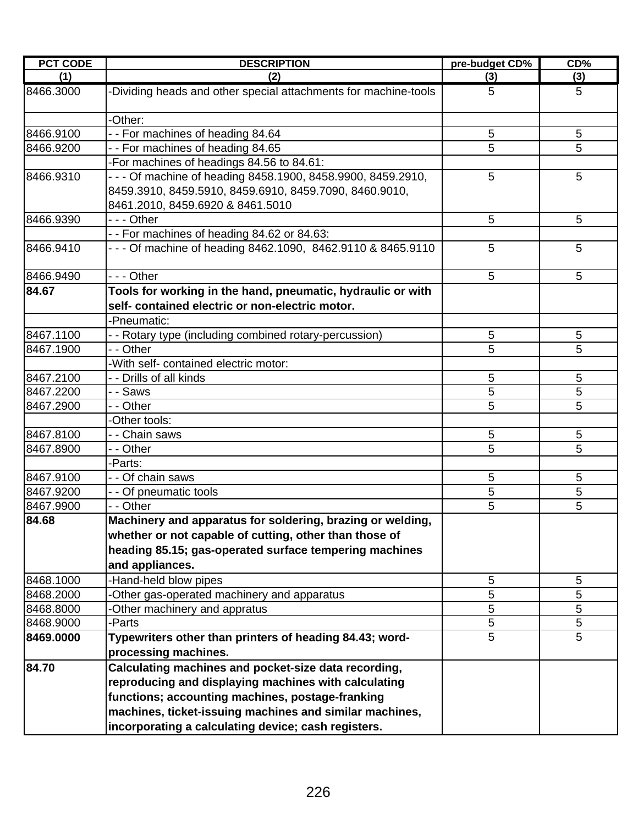| <b>PCT CODE</b> | <b>DESCRIPTION</b>                                                                                                                                                                                                          | pre-budget CD% | CD%    |
|-----------------|-----------------------------------------------------------------------------------------------------------------------------------------------------------------------------------------------------------------------------|----------------|--------|
| (1)             | (2)                                                                                                                                                                                                                         | (3)            | (3)    |
| 8466.3000       | -Dividing heads and other special attachments for machine-tools                                                                                                                                                             | 5              | 5      |
|                 | -Other:                                                                                                                                                                                                                     |                |        |
| 8466.9100       | - - For machines of heading 84.64                                                                                                                                                                                           | 5              | 5      |
| 8466.9200       | - - For machines of heading 84.65                                                                                                                                                                                           | 5              | 5      |
|                 | -For machines of headings 84.56 to 84.61:                                                                                                                                                                                   |                |        |
| 8466.9310       | - - - Of machine of heading 8458.1900, 8458.9900, 8459.2910,<br>8459.3910, 8459.5910, 8459.6910, 8459.7090, 8460.9010,<br>8461.2010, 8459.6920 & 8461.5010                                                                  | 5              | 5      |
| 8466.9390       | --- Other                                                                                                                                                                                                                   | 5              | 5      |
|                 | - - For machines of heading 84.62 or 84.63:                                                                                                                                                                                 |                |        |
| 8466.9410       | - - - Of machine of heading 8462.1090, 8462.9110 & 8465.9110                                                                                                                                                                | 5              | 5      |
| 8466.9490       | $- -$ Other                                                                                                                                                                                                                 | 5              | 5      |
| 84.67           | Tools for working in the hand, pneumatic, hydraulic or with<br>self- contained electric or non-electric motor.                                                                                                              |                |        |
|                 | -Pneumatic:                                                                                                                                                                                                                 |                |        |
| 8467.1100       | - - Rotary type (including combined rotary-percussion)                                                                                                                                                                      | 5              | 5      |
| 8467.1900       | - - Other                                                                                                                                                                                                                   | 5              | 5      |
| 8467.2100       | -With self- contained electric motor:                                                                                                                                                                                       |                |        |
| 8467.2200       | - - Drills of all kinds                                                                                                                                                                                                     | 5<br>5         | 5<br>5 |
| 8467.2900       | - - Saws<br>- - Other                                                                                                                                                                                                       | 5              | 5      |
|                 | -Other tools:                                                                                                                                                                                                               |                |        |
| 8467.8100       | - - Chain saws                                                                                                                                                                                                              | 5              | 5      |
| 8467.8900       | - - Other                                                                                                                                                                                                                   | 5              | 5      |
|                 | -Parts:                                                                                                                                                                                                                     |                |        |
| 8467.9100       | - - Of chain saws                                                                                                                                                                                                           | 5              | 5      |
| 8467.9200       | - - Of pneumatic tools                                                                                                                                                                                                      | 5              | 5      |
| 8467.9900       | - - Other                                                                                                                                                                                                                   | 5              | 5      |
| 84.68           | Machinery and apparatus for soldering, brazing or welding,                                                                                                                                                                  |                |        |
|                 | whether or not capable of cutting, other than those of                                                                                                                                                                      |                |        |
|                 | heading 85.15; gas-operated surface tempering machines                                                                                                                                                                      |                |        |
|                 | and appliances.                                                                                                                                                                                                             |                |        |
| 8468.1000       | -Hand-held blow pipes                                                                                                                                                                                                       | 5              | 5      |
| 8468.2000       | -Other gas-operated machinery and apparatus                                                                                                                                                                                 | 5              | 5      |
| 8468.8000       | -Other machinery and appratus                                                                                                                                                                                               | 5              | 5      |
| 8468.9000       | -Parts                                                                                                                                                                                                                      | 5              | 5      |
| 8469.0000       | Typewriters other than printers of heading 84.43; word-<br>processing machines.                                                                                                                                             | 5              | 5      |
| 84.70           | Calculating machines and pocket-size data recording,<br>reproducing and displaying machines with calculating<br>functions; accounting machines, postage-franking<br>machines, ticket-issuing machines and similar machines, |                |        |
|                 | incorporating a calculating device; cash registers.                                                                                                                                                                         |                |        |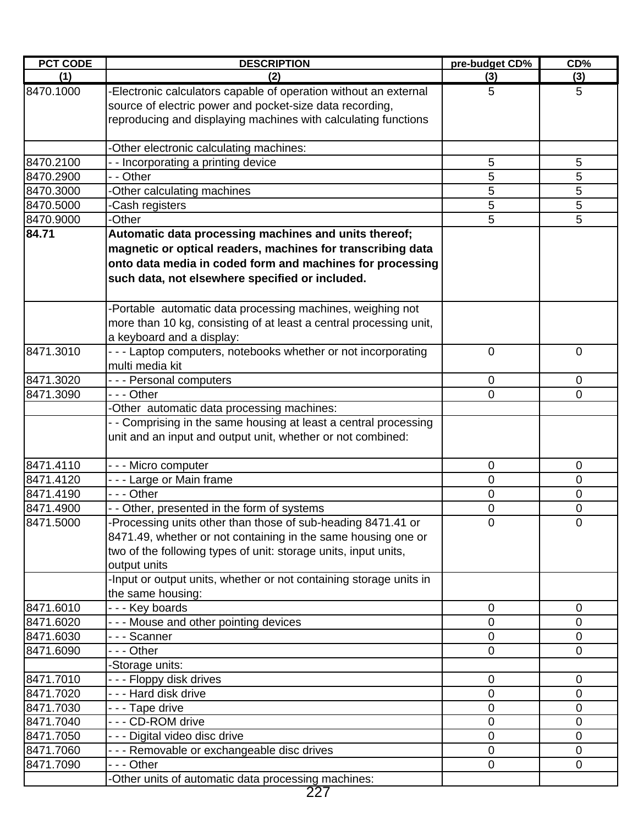| <b>PCT CODE</b> | <b>DESCRIPTION</b>                                                                                                                                                                                               | pre-budget CD% | CD%            |
|-----------------|------------------------------------------------------------------------------------------------------------------------------------------------------------------------------------------------------------------|----------------|----------------|
| (1)             | (2)                                                                                                                                                                                                              | (3)            | (3)            |
| 8470.1000       | Electronic calculators capable of operation without an external<br>source of electric power and pocket-size data recording,<br>reproducing and displaying machines with calculating functions                    | 5              | 5              |
|                 | -Other electronic calculating machines:                                                                                                                                                                          |                |                |
| 8470.2100       | - - Incorporating a printing device                                                                                                                                                                              | 5              | 5              |
| 8470.2900       | - - Other                                                                                                                                                                                                        | 5              | 5              |
| 8470.3000       | -Other calculating machines                                                                                                                                                                                      | 5              | 5              |
| 8470.5000       | -Cash registers                                                                                                                                                                                                  | 5              | 5              |
| 8470.9000       | -Other                                                                                                                                                                                                           | 5              | 5              |
| 84.71           | Automatic data processing machines and units thereof;                                                                                                                                                            |                |                |
|                 | magnetic or optical readers, machines for transcribing data                                                                                                                                                      |                |                |
|                 | onto data media in coded form and machines for processing                                                                                                                                                        |                |                |
|                 | such data, not elsewhere specified or included.                                                                                                                                                                  |                |                |
|                 | -Portable automatic data processing machines, weighing not<br>more than 10 kg, consisting of at least a central processing unit,<br>a keyboard and a display:                                                    |                |                |
| 8471.3010       | - - - Laptop computers, notebooks whether or not incorporating<br>multi media kit                                                                                                                                | $\overline{0}$ | $\mathbf 0$    |
| 8471.3020       | --- Personal computers                                                                                                                                                                                           | 0              | $\mathbf 0$    |
| 8471.3090       | - - - Other                                                                                                                                                                                                      | 0              | 0              |
|                 | -Other automatic data processing machines:                                                                                                                                                                       |                |                |
|                 | - Comprising in the same housing at least a central processing<br>unit and an input and output unit, whether or not combined:                                                                                    |                |                |
| 8471.4110       | --- Micro computer                                                                                                                                                                                               | 0              | 0              |
| 8471.4120       | --- Large or Main frame                                                                                                                                                                                          | 0              | 0              |
| 8471.4190       | --- Other                                                                                                                                                                                                        | 0              | 0              |
| 8471.4900       | - - Other, presented in the form of systems                                                                                                                                                                      | 0              | 0              |
| 8471.5000       | -Processing units other than those of sub-heading 8471.41 or<br>8471.49, whether or not containing in the same housing one or<br>two of the following types of unit: storage units, input units,<br>output units | $\mathbf 0$    | $\mathbf 0$    |
|                 | -Input or output units, whether or not containing storage units in<br>the same housing:                                                                                                                          |                |                |
| 8471.6010       | --- Key boards                                                                                                                                                                                                   | 0              | $\mathbf 0$    |
| 8471.6020       | --- Mouse and other pointing devices                                                                                                                                                                             | 0              | 0              |
| 8471.6030       | --- Scanner                                                                                                                                                                                                      | 0              | 0              |
| 8471.6090       | - - - Other                                                                                                                                                                                                      | 0              | $\mathbf 0$    |
|                 | -Storage units:                                                                                                                                                                                                  |                |                |
| 8471.7010       | - - - Floppy disk drives                                                                                                                                                                                         | 0              | $\mathbf 0$    |
| 8471.7020       | --- Hard disk drive                                                                                                                                                                                              | 0              | 0              |
| 8471.7030       | - - - Tape drive                                                                                                                                                                                                 | 0              | 0              |
| 8471.7040       | --- CD-ROM drive                                                                                                                                                                                                 | 0              | 0              |
| 8471.7050       | - - - Digital video disc drive                                                                                                                                                                                   | 0              | 0              |
| 8471.7060       | - - - Removable or exchangeable disc drives                                                                                                                                                                      | 0              | 0              |
| 8471.7090       | - - - Other                                                                                                                                                                                                      | $\overline{0}$ | $\overline{0}$ |
|                 | -Other units of automatic data processing machines:                                                                                                                                                              |                |                |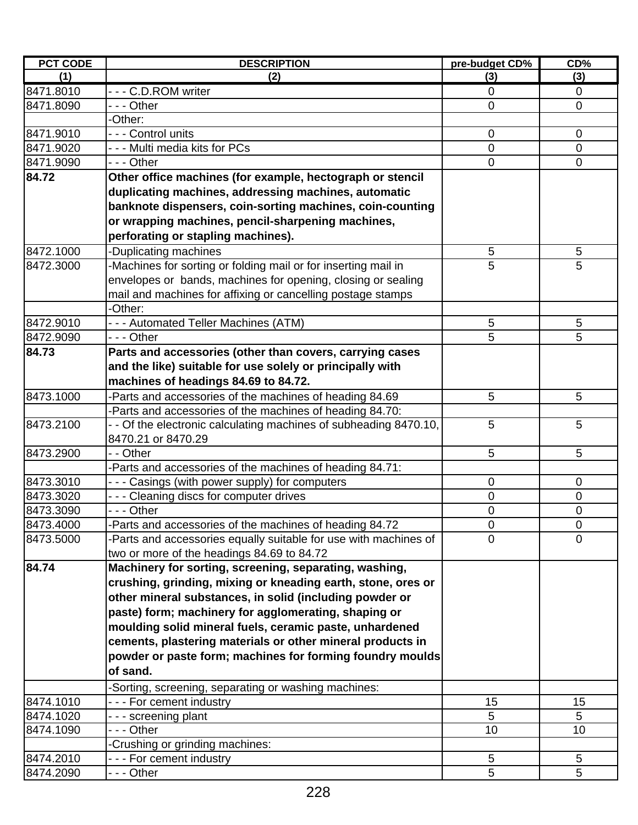| <b>PCT CODE</b> | <b>DESCRIPTION</b>                                                | pre-budget CD% | CD%            |
|-----------------|-------------------------------------------------------------------|----------------|----------------|
| (1)             | (2)                                                               | (3)            | (3)            |
| 8471.8010       | --- C.D.ROM writer                                                | $\mathbf 0$    | $\mathbf 0$    |
| 8471.8090       | --- Other                                                         | $\mathbf 0$    | $\mathbf 0$    |
|                 | -Other:                                                           |                |                |
| 8471.9010       | - - - Control units                                               | $\mathbf 0$    | $\mathbf 0$    |
| 8471.9020       | --- Multi media kits for PCs                                      | 0              | 0              |
| 8471.9090       | - - - Other                                                       | 0              | $\mathbf 0$    |
| 84.72           | Other office machines (for example, hectograph or stencil         |                |                |
|                 | duplicating machines, addressing machines, automatic              |                |                |
|                 | banknote dispensers, coin-sorting machines, coin-counting         |                |                |
|                 | or wrapping machines, pencil-sharpening machines,                 |                |                |
|                 | perforating or stapling machines).                                |                |                |
| 8472.1000       | -Duplicating machines                                             | 5              | 5              |
| 8472.3000       | -Machines for sorting or folding mail or for inserting mail in    | 5              | 5              |
|                 | envelopes or bands, machines for opening, closing or sealing      |                |                |
|                 | mail and machines for affixing or cancelling postage stamps       |                |                |
|                 | -Other:                                                           |                |                |
| 8472.9010       | --- Automated Teller Machines (ATM)                               | 5              | 5              |
| 8472.9090       | - - - Other                                                       | 5              | 5              |
| 84.73           | Parts and accessories (other than covers, carrying cases          |                |                |
|                 | and the like) suitable for use solely or principally with         |                |                |
|                 | machines of headings 84.69 to 84.72.                              |                |                |
| 8473.1000       | -Parts and accessories of the machines of heading 84.69           | 5              | 5              |
|                 | -Parts and accessories of the machines of heading 84.70:          |                |                |
| 8473.2100       | - - Of the electronic calculating machines of subheading 8470.10, | 5              | 5              |
|                 | 8470.21 or 8470.29                                                |                |                |
| 8473.2900       | - - Other                                                         | 5              | 5              |
|                 | Parts and accessories of the machines of heading 84.71:           |                |                |
| 8473.3010       | - - - Casings (with power supply) for computers                   | $\mathbf 0$    | 0              |
| 8473.3020       | - - - Cleaning discs for computer drives                          | 0              | $\pmb{0}$      |
| 8473.3090       | - - - Other                                                       | 0              | 0              |
| 8473.4000       | -Parts and accessories of the machines of heading 84.72           | 0              | $\pmb{0}$      |
| 8473.5000       | -Parts and accessories equally suitable for use with machines of  | 0              | $\overline{0}$ |
|                 | two or more of the headings 84.69 to 84.72                        |                |                |
| 84.74           | Machinery for sorting, screening, separating, washing,            |                |                |
|                 | crushing, grinding, mixing or kneading earth, stone, ores or      |                |                |
|                 | other mineral substances, in solid (including powder or           |                |                |
|                 | paste) form; machinery for agglomerating, shaping or              |                |                |
|                 | moulding solid mineral fuels, ceramic paste, unhardened           |                |                |
|                 | cements, plastering materials or other mineral products in        |                |                |
|                 | powder or paste form; machines for forming foundry moulds         |                |                |
|                 | of sand.                                                          |                |                |
|                 | Sorting, screening, separating or washing machines:               |                |                |
| 8474.1010       | - - - For cement industry                                         | 15             | 15             |
| 8474.1020       | - - - screening plant                                             | 5              | 5              |
| 8474.1090       | - - Other                                                         | 10             | 10             |
|                 | Crushing or grinding machines:                                    |                |                |
| 8474.2010       | --- For cement industry                                           | 5              | 5              |
| 8474.2090       | - - - Other                                                       | 5              | 5              |
|                 |                                                                   |                |                |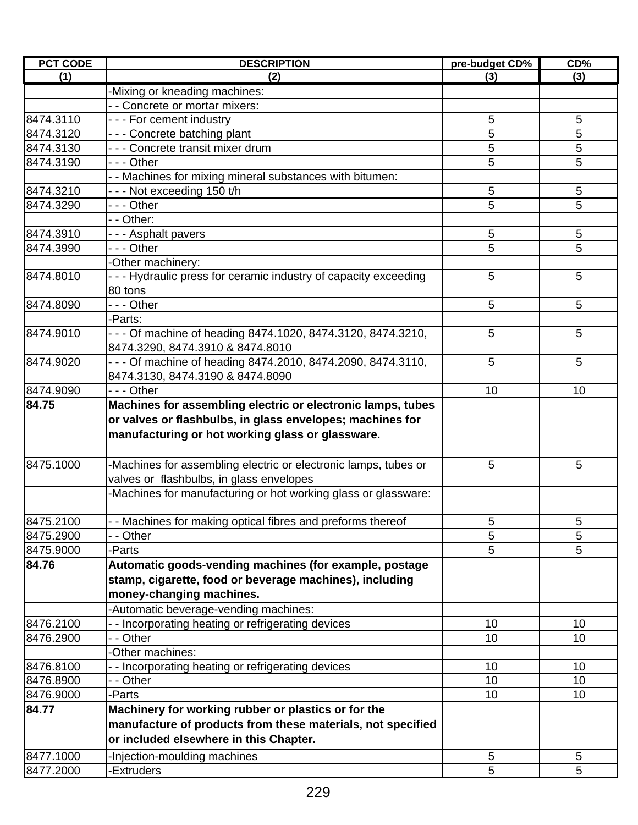| <b>PCT CODE</b> | <b>DESCRIPTION</b>                                                     | pre-budget CD%  | CD%             |
|-----------------|------------------------------------------------------------------------|-----------------|-----------------|
| (1)             | (2)                                                                    | (3)             | (3)             |
|                 | -Mixing or kneading machines:                                          |                 |                 |
|                 | - - Concrete or mortar mixers:                                         |                 |                 |
| 8474.3110       | --- For cement industry                                                | 5               | 5               |
| 8474.3120       | --- Concrete batching plant                                            | 5               | 5               |
| 8474.3130       | - - - Concrete transit mixer drum                                      | 5               | 5               |
| 8474.3190       | --- Other                                                              | 5               | 5               |
|                 | - - Machines for mixing mineral substances with bitumen:               |                 |                 |
| 8474.3210       | --- Not exceeding 150 t/h                                              | 5               | 5               |
| 8474.3290       | - - - Other                                                            | 5               | 5               |
|                 | - - Other:                                                             |                 |                 |
| 8474.3910       | - - - Asphalt pavers                                                   | $\sqrt{5}$      | 5               |
| 8474.3990       | - - - Other                                                            | 5               | 5               |
|                 | -Other machinery:                                                      |                 |                 |
| 8474.8010       | - - - Hydraulic press for ceramic industry of capacity exceeding       | 5               | 5               |
|                 | 80 tons                                                                |                 |                 |
| 8474.8090       | --- Other                                                              | 5               | 5               |
|                 | -Parts:                                                                |                 |                 |
| 8474.9010       | - - - Of machine of heading 8474.1020, 8474.3120, 8474.3210,           | 5               | 5               |
|                 | 8474.3290, 8474.3910 & 8474.8010                                       |                 |                 |
| 8474.9020       | - - - Of machine of heading 8474.2010, 8474.2090, 8474.3110,           | 5               | 5               |
|                 | 8474.3130, 8474.3190 & 8474.8090                                       |                 |                 |
| 8474.9090       | --- Other                                                              | 10              | 10              |
| 84.75           | Machines for assembling electric or electronic lamps, tubes            |                 |                 |
|                 | or valves or flashbulbs, in glass envelopes; machines for              |                 |                 |
|                 | manufacturing or hot working glass or glassware.                       |                 |                 |
|                 |                                                                        |                 |                 |
| 8475.1000       | -Machines for assembling electric or electronic lamps, tubes or        | 5               | 5               |
|                 | valves or flashbulbs, in glass envelopes                               |                 |                 |
|                 | Machines for manufacturing or hot working glass or glassware:          |                 |                 |
|                 |                                                                        |                 |                 |
| 8475.2100       |                                                                        | 5               | $\sqrt{5}$      |
| 8475.2900       | - Machines for making optical fibres and preforms thereof<br>- - Other | 5               | 5               |
| 8475.9000       | -Parts                                                                 | 5               | 5               |
| 84.76           |                                                                        |                 |                 |
|                 | Automatic goods-vending machines (for example, postage                 |                 |                 |
|                 | stamp, cigarette, food or beverage machines), including                |                 |                 |
|                 | money-changing machines.                                               |                 |                 |
|                 | -Automatic beverage-vending machines:                                  |                 |                 |
| 8476.2100       | - - Incorporating heating or refrigerating devices                     | 10              | 10              |
| 8476.2900       | - - Other                                                              | 10              | 10              |
|                 | -Other machines:                                                       |                 |                 |
| 8476.8100       | -- Incorporating heating or refrigerating devices                      | 10              | 10              |
| 8476.8900       | - - Other                                                              | 10              | 10              |
| 8476.9000       | -Parts                                                                 | 10 <sup>1</sup> | 10 <sup>1</sup> |
| 84.77           | Machinery for working rubber or plastics or for the                    |                 |                 |
|                 | manufacture of products from these materials, not specified            |                 |                 |
|                 | or included elsewhere in this Chapter.                                 |                 |                 |
| 8477.1000       | -Injection-moulding machines                                           | $\sqrt{5}$      | 5               |
| 8477.2000       | -Extruders                                                             | 5               | 5               |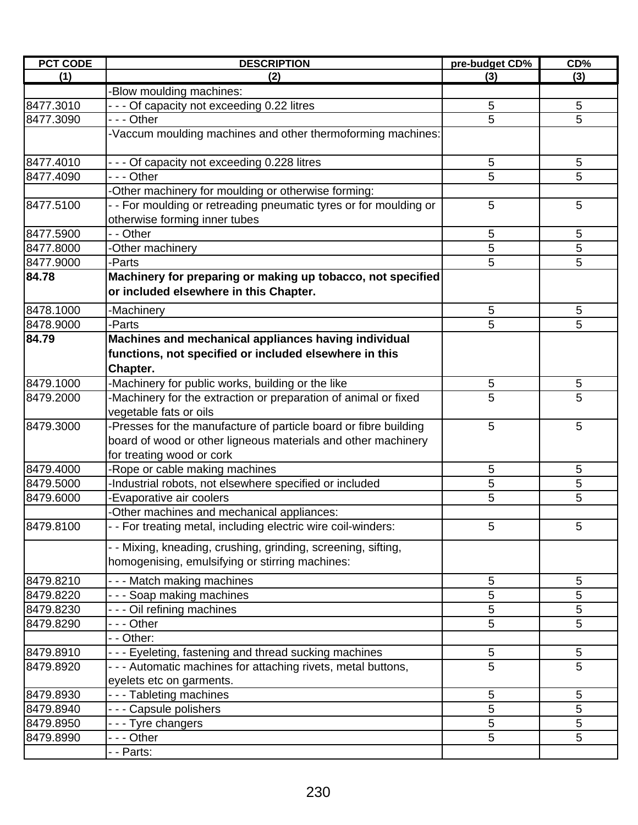| <b>PCT CODE</b> | <b>DESCRIPTION</b>                                                                                               | pre-budget CD% | CD% |
|-----------------|------------------------------------------------------------------------------------------------------------------|----------------|-----|
| (1)             | (2)                                                                                                              | (3)            | (3) |
|                 | -Blow moulding machines:                                                                                         |                |     |
| 8477.3010       | - - - Of capacity not exceeding 0.22 litres                                                                      | 5              | 5   |
| 8477.3090       | --- Other                                                                                                        | 5              | 5   |
|                 | -Vaccum moulding machines and other thermoforming machines:                                                      |                |     |
| 8477.4010       | - - - Of capacity not exceeding 0.228 litres                                                                     | 5              | 5   |
| 8477.4090       | --- Other                                                                                                        | 5              | 5   |
|                 | -Other machinery for moulding or otherwise forming:                                                              |                |     |
| 8477.5100       | - - For moulding or retreading pneumatic tyres or for moulding or<br>otherwise forming inner tubes               | 5              | 5   |
| 8477.5900       | - - Other                                                                                                        | 5              | 5   |
| 8477.8000       | -Other machinery                                                                                                 | 5              | 5   |
| 8477.9000       | -Parts                                                                                                           | 5              | 5   |
| 84.78           | Machinery for preparing or making up tobacco, not specified                                                      |                |     |
|                 | or included elsewhere in this Chapter.                                                                           |                |     |
| 8478.1000       | -Machinery                                                                                                       | 5              | 5   |
| 8478.9000       | -Parts                                                                                                           | 5              | 5   |
| 84.79           | Machines and mechanical appliances having individual                                                             |                |     |
|                 | functions, not specified or included elsewhere in this                                                           |                |     |
|                 | Chapter.                                                                                                         |                |     |
| 8479.1000       | -Machinery for public works, building or the like                                                                | 5              | 5   |
| 8479.2000       | -Machinery for the extraction or preparation of animal or fixed                                                  | 5              | 5   |
|                 | vegetable fats or oils                                                                                           |                |     |
| 8479.3000       | -Presses for the manufacture of particle board or fibre building                                                 | 5              | 5   |
|                 | board of wood or other ligneous materials and other machinery                                                    |                |     |
|                 | for treating wood or cork                                                                                        |                |     |
| 8479.4000       | -Rope or cable making machines                                                                                   | 5              | 5   |
| 8479.5000       | -Industrial robots, not elsewhere specified or included                                                          | 5              | 5   |
| 8479.6000       | -Evaporative air coolers                                                                                         | 5              | 5   |
|                 | -Other machines and mechanical appliances:                                                                       |                |     |
| 8479.8100       | - - For treating metal, including electric wire coil-winders:                                                    | 5              | 5   |
|                 | - - Mixing, kneading, crushing, grinding, screening, sifting,<br>homogenising, emulsifying or stirring machines: |                |     |
| 8479.8210       | --- Match making machines                                                                                        | 5              | 5   |
| 8479.8220       | --- Soap making machines                                                                                         | 5              | 5   |
| 8479.8230       | - - - Oil refining machines                                                                                      | 5              | 5   |
| 8479.8290       | - - - Other                                                                                                      | 5              | 5   |
|                 | - - Other:                                                                                                       |                |     |
| 8479.8910       | - - - Eyeleting, fastening and thread sucking machines                                                           | 5              | 5   |
| 8479.8920       | - - - Automatic machines for attaching rivets, metal buttons,                                                    | 5              | 5   |
|                 | eyelets etc on garments.                                                                                         |                |     |
| 8479.8930       | --- Tableting machines                                                                                           | 5              | 5   |
| 8479.8940       | - - - Capsule polishers                                                                                          | 5              | 5   |
| 8479.8950       | - - - Tyre changers                                                                                              | 5              | 5   |
| 8479.8990       | --- Other                                                                                                        | 5              | 5   |
|                 | - - Parts:                                                                                                       |                |     |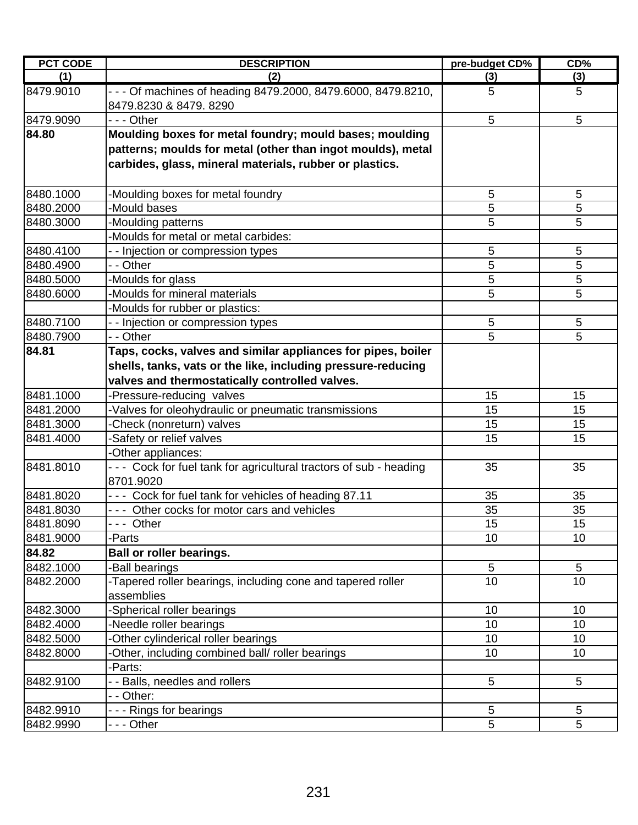| <b>PCT CODE</b> | <b>DESCRIPTION</b>                                                                     | pre-budget CD% | CD% |
|-----------------|----------------------------------------------------------------------------------------|----------------|-----|
| (1)             | (2)                                                                                    | (3)            | (3) |
| 8479.9010       | - - - Of machines of heading 8479.2000, 8479.6000, 8479.8210,<br>8479.8230 & 8479.8290 | 5              | 5   |
| 8479.9090       | --- Other                                                                              | 5              | 5   |
| 84.80           | Moulding boxes for metal foundry; mould bases; moulding                                |                |     |
|                 | patterns; moulds for metal (other than ingot moulds), metal                            |                |     |
|                 | carbides, glass, mineral materials, rubber or plastics.                                |                |     |
| 8480.1000       | -Moulding boxes for metal foundry                                                      | 5              | 5   |
| 8480.2000       | -Mould bases                                                                           | 5              | 5   |
| 8480.3000       | -Moulding patterns                                                                     | 5              | 5   |
|                 | -Moulds for metal or metal carbides:                                                   |                |     |
| 8480.4100       | - - Injection or compression types                                                     | 5              | 5   |
| 8480.4900       | - - Other                                                                              | 5              | 5   |
| 8480.5000       | -Moulds for glass                                                                      | 5              | 5   |
| 8480.6000       | -Moulds for mineral materials                                                          | 5              | 5   |
|                 | -Moulds for rubber or plastics:                                                        |                |     |
| 8480.7100       | - - Injection or compression types                                                     | 5              | 5   |
| 8480.7900       | - - Other                                                                              | 5              | 5   |
| 84.81           | Taps, cocks, valves and similar appliances for pipes, boiler                           |                |     |
|                 | shells, tanks, vats or the like, including pressure-reducing                           |                |     |
|                 | valves and thermostatically controlled valves.                                         |                |     |
| 8481.1000       | -Pressure-reducing valves                                                              | 15             | 15  |
| 8481.2000       | -Valves for oleohydraulic or pneumatic transmissions                                   | 15             | 15  |
| 8481.3000       | -Check (nonreturn) valves                                                              | 15             | 15  |
| 8481.4000       | -Safety or relief valves                                                               | 15             | 15  |
|                 | -Other appliances:                                                                     |                |     |
| 8481.8010       | --- Cock for fuel tank for agricultural tractors of sub - heading                      | 35             | 35  |
|                 | 8701.9020                                                                              |                |     |
| 8481.8020       | --- Cock for fuel tank for vehicles of heading 87.11                                   | 35             | 35  |
| 8481.8030       | --- Other cocks for motor cars and vehicles                                            | 35             | 35  |
| 8481.8090       | --- Other                                                                              | 15             | 15  |
| 8481.9000       | -Parts                                                                                 | 10             | 10  |
| 84.82           | Ball or roller bearings.                                                               |                |     |
| 8482.1000       | -Ball bearings                                                                         | 5              | 5   |
| 8482.2000       | -Tapered roller bearings, including cone and tapered roller<br>assemblies              | 10             | 10  |
| 8482.3000       | -Spherical roller bearings                                                             | 10             | 10  |
| 8482.4000       | Needle roller bearings                                                                 | 10             | 10  |
| 8482.5000       | -Other cylinderical roller bearings                                                    | 10             | 10  |
| 8482.8000       | -Other, including combined ball/ roller bearings                                       | 10             | 10  |
|                 | -Parts:                                                                                |                |     |
| 8482.9100       | - - Balls, needles and rollers                                                         | 5              | 5   |
|                 | - - Other:                                                                             |                |     |
| 8482.9910       | --- Rings for bearings                                                                 | 5              | 5   |
| 8482.9990       | - - - Other                                                                            | 5              | 5   |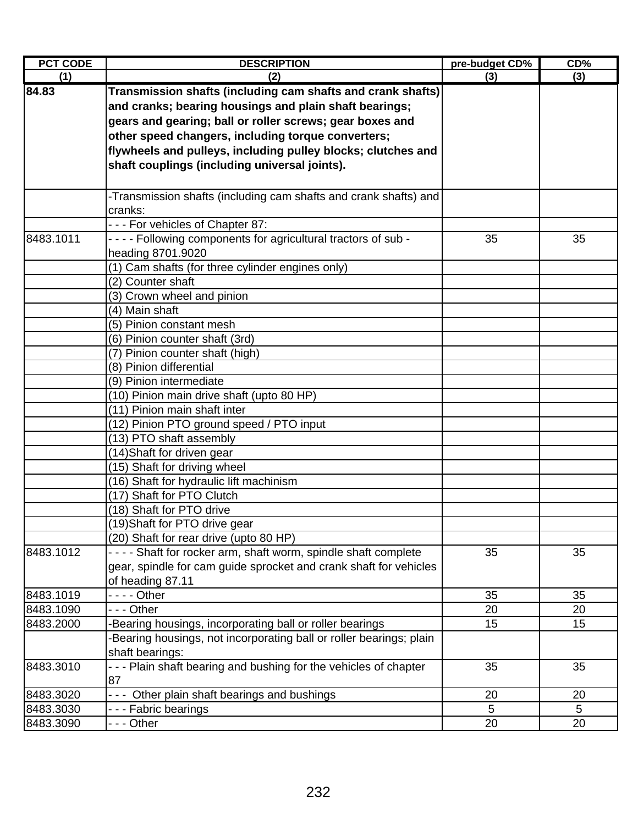| <b>PCT CODE</b> | <b>DESCRIPTION</b>                                                                                                                                                                                                                                                                                                                                       | pre-budget CD% | CD <sub>0</sub> |
|-----------------|----------------------------------------------------------------------------------------------------------------------------------------------------------------------------------------------------------------------------------------------------------------------------------------------------------------------------------------------------------|----------------|-----------------|
| (1)             | (2)                                                                                                                                                                                                                                                                                                                                                      | (3)            | (3)             |
| 84.83           | Transmission shafts (including cam shafts and crank shafts)<br>and cranks; bearing housings and plain shaft bearings;<br>gears and gearing; ball or roller screws; gear boxes and<br>other speed changers, including torque converters;<br>flywheels and pulleys, including pulley blocks; clutches and<br>shaft couplings (including universal joints). |                |                 |
|                 |                                                                                                                                                                                                                                                                                                                                                          |                |                 |
|                 | -Transmission shafts (including cam shafts and crank shafts) and<br>cranks:                                                                                                                                                                                                                                                                              |                |                 |
|                 | --- For vehicles of Chapter 87:                                                                                                                                                                                                                                                                                                                          |                |                 |
| 8483.1011       | - - - - Following components for agricultural tractors of sub -<br>heading 8701.9020                                                                                                                                                                                                                                                                     | 35             | 35              |
|                 | (1) Cam shafts (for three cylinder engines only)<br>(2) Counter shaft                                                                                                                                                                                                                                                                                    |                |                 |
|                 | (3) Crown wheel and pinion                                                                                                                                                                                                                                                                                                                               |                |                 |
|                 | (4) Main shaft                                                                                                                                                                                                                                                                                                                                           |                |                 |
|                 | (5) Pinion constant mesh                                                                                                                                                                                                                                                                                                                                 |                |                 |
|                 | (6) Pinion counter shaft (3rd)                                                                                                                                                                                                                                                                                                                           |                |                 |
|                 | (7) Pinion counter shaft (high)                                                                                                                                                                                                                                                                                                                          |                |                 |
|                 | (8) Pinion differential                                                                                                                                                                                                                                                                                                                                  |                |                 |
|                 | (9) Pinion intermediate                                                                                                                                                                                                                                                                                                                                  |                |                 |
|                 | (10) Pinion main drive shaft (upto 80 HP)                                                                                                                                                                                                                                                                                                                |                |                 |
|                 | (11) Pinion main shaft inter                                                                                                                                                                                                                                                                                                                             |                |                 |
|                 | (12) Pinion PTO ground speed / PTO input                                                                                                                                                                                                                                                                                                                 |                |                 |
|                 | (13) PTO shaft assembly                                                                                                                                                                                                                                                                                                                                  |                |                 |
|                 | (14) Shaft for driven gear                                                                                                                                                                                                                                                                                                                               |                |                 |
|                 | (15) Shaft for driving wheel                                                                                                                                                                                                                                                                                                                             |                |                 |
|                 | (16) Shaft for hydraulic lift machinism                                                                                                                                                                                                                                                                                                                  |                |                 |
|                 | (17) Shaft for PTO Clutch                                                                                                                                                                                                                                                                                                                                |                |                 |
|                 | (18) Shaft for PTO drive                                                                                                                                                                                                                                                                                                                                 |                |                 |
|                 | (19) Shaft for PTO drive gear                                                                                                                                                                                                                                                                                                                            |                |                 |
|                 | (20) Shaft for rear drive (upto 80 HP)                                                                                                                                                                                                                                                                                                                   |                |                 |
| 8483.1012       | - - - - Shaft for rocker arm, shaft worm, spindle shaft complete<br>gear, spindle for cam guide sprocket and crank shaft for vehicles<br>of heading 87.11                                                                                                                                                                                                | 35             | 35              |
| 8483.1019       |                                                                                                                                                                                                                                                                                                                                                          | 35             | 35              |
| 8483.1090       | --- Other                                                                                                                                                                                                                                                                                                                                                | 20             | 20              |
| 8483.2000       | Bearing housings, incorporating ball or roller bearings                                                                                                                                                                                                                                                                                                  | 15             | 15              |
|                 | Bearing housings, not incorporating ball or roller bearings; plain<br>shaft bearings:                                                                                                                                                                                                                                                                    |                |                 |
| 8483.3010       | - - - Plain shaft bearing and bushing for the vehicles of chapter<br>87                                                                                                                                                                                                                                                                                  | 35             | 35              |
| 8483.3020       | Other plain shaft bearings and bushings<br>$- - -$                                                                                                                                                                                                                                                                                                       | 20             | 20              |
| 8483.3030       | --- Fabric bearings                                                                                                                                                                                                                                                                                                                                      | 5              | 5               |
| 8483.3090       | - - - Other                                                                                                                                                                                                                                                                                                                                              | 20             | 20              |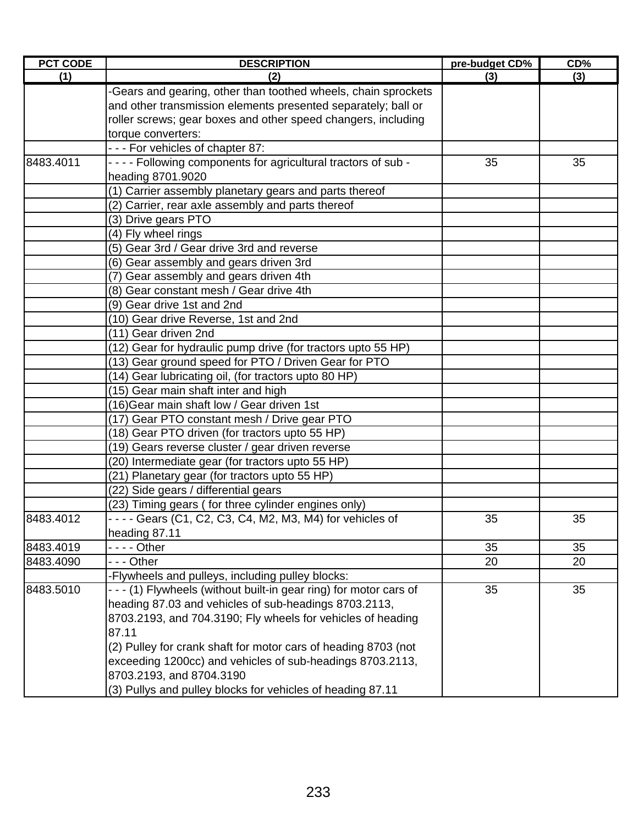| <b>PCT CODE</b> | <b>DESCRIPTION</b>                                                 | pre-budget CD% | CD% |
|-----------------|--------------------------------------------------------------------|----------------|-----|
| (1)             | (2)                                                                | (3)            | (3) |
|                 | -Gears and gearing, other than toothed wheels, chain sprockets     |                |     |
|                 | and other transmission elements presented separately; ball or      |                |     |
|                 | roller screws; gear boxes and other speed changers, including      |                |     |
|                 | torque converters:                                                 |                |     |
|                 | --- For vehicles of chapter 87:                                    |                |     |
| 8483.4011       | - - - - Following components for agricultural tractors of sub -    | 35             | 35  |
|                 | heading 8701.9020                                                  |                |     |
|                 | (1) Carrier assembly planetary gears and parts thereof             |                |     |
|                 | (2) Carrier, rear axle assembly and parts thereof                  |                |     |
|                 | (3) Drive gears PTO                                                |                |     |
|                 | (4) Fly wheel rings                                                |                |     |
|                 | (5) Gear 3rd / Gear drive 3rd and reverse                          |                |     |
|                 | (6) Gear assembly and gears driven 3rd                             |                |     |
|                 | (7) Gear assembly and gears driven 4th                             |                |     |
|                 | (8) Gear constant mesh / Gear drive 4th                            |                |     |
|                 | (9) Gear drive 1st and 2nd                                         |                |     |
|                 | (10) Gear drive Reverse, 1st and 2nd                               |                |     |
|                 | (11) Gear driven 2nd                                               |                |     |
|                 | (12) Gear for hydraulic pump drive (for tractors upto 55 HP)       |                |     |
|                 | (13) Gear ground speed for PTO / Driven Gear for PTO               |                |     |
|                 | (14) Gear lubricating oil, (for tractors upto 80 HP)               |                |     |
|                 | (15) Gear main shaft inter and high                                |                |     |
|                 | (16) Gear main shaft low / Gear driven 1st                         |                |     |
|                 | (17) Gear PTO constant mesh / Drive gear PTO                       |                |     |
|                 | (18) Gear PTO driven (for tractors upto 55 HP)                     |                |     |
|                 | (19) Gears reverse cluster / gear driven reverse                   |                |     |
|                 | (20) Intermediate gear (for tractors upto 55 HP)                   |                |     |
|                 | (21) Planetary gear (for tractors upto 55 HP)                      |                |     |
|                 | (22) Side gears / differential gears                               |                |     |
|                 | (23) Timing gears (for three cylinder engines only)                |                |     |
| 8483.4012       | $- - -$ Gears (C1, C2, C3, C4, M2, M3, M4) for vehicles of         | 35             | 35  |
|                 | heading 87.11                                                      |                |     |
| 8483.4019       |                                                                    | 35             | 35  |
| 8483.4090       | - - - Other                                                        | 20             | 20  |
|                 | -Flywheels and pulleys, including pulley blocks:                   |                |     |
| 8483.5010       | - - - (1) Flywheels (without built-in gear ring) for motor cars of | 35             | 35  |
|                 | heading 87.03 and vehicles of sub-headings 8703.2113,              |                |     |
|                 | 8703.2193, and 704.3190; Fly wheels for vehicles of heading        |                |     |
|                 | 87.11                                                              |                |     |
|                 | (2) Pulley for crank shaft for motor cars of heading 8703 (not     |                |     |
|                 | exceeding 1200cc) and vehicles of sub-headings 8703.2113,          |                |     |
|                 | 8703.2193, and 8704.3190                                           |                |     |
|                 | (3) Pullys and pulley blocks for vehicles of heading 87.11         |                |     |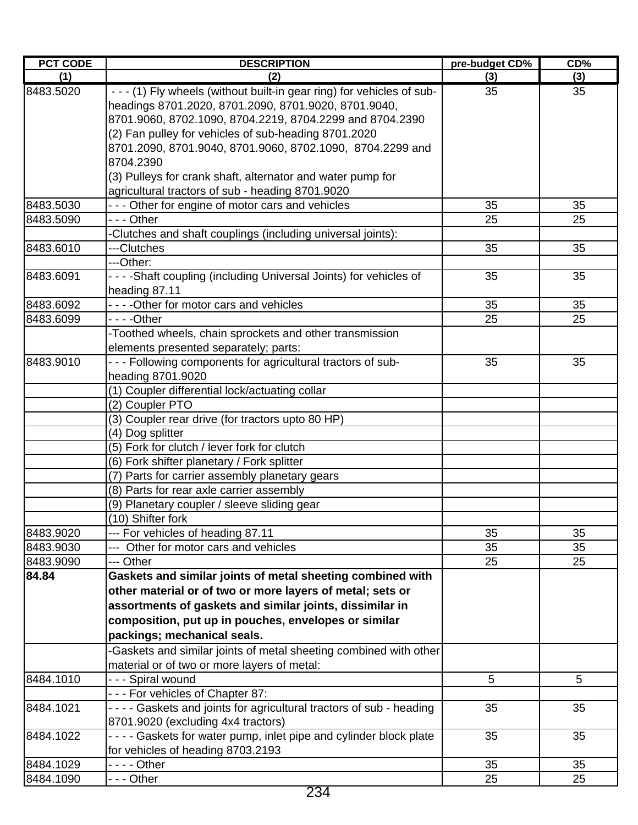| <b>PCT CODE</b> | <b>DESCRIPTION</b>                                                                                                             | pre-budget CD% | CD% |
|-----------------|--------------------------------------------------------------------------------------------------------------------------------|----------------|-----|
| (1)             | (2)                                                                                                                            | (3)            | (3) |
| 8483.5020       | - - - (1) Fly wheels (without built-in gear ring) for vehicles of sub-<br>headings 8701.2020, 8701.2090, 8701.9020, 8701.9040, | 35             | 35  |
|                 | 8701.9060, 8702.1090, 8704.2219, 8704.2299 and 8704.2390                                                                       |                |     |
|                 | (2) Fan pulley for vehicles of sub-heading 8701.2020                                                                           |                |     |
|                 | 8701.2090, 8701.9040, 8701.9060, 8702.1090, 8704.2299 and                                                                      |                |     |
|                 | 8704.2390                                                                                                                      |                |     |
|                 | (3) Pulleys for crank shaft, alternator and water pump for                                                                     |                |     |
|                 | agricultural tractors of sub - heading 8701.9020                                                                               |                |     |
| 8483.5030       | - - - Other for engine of motor cars and vehicles                                                                              | 35             | 35  |
| 8483.5090       | - - - Other                                                                                                                    | 25             | 25  |
|                 | -Clutches and shaft couplings (including universal joints):                                                                    |                |     |
| 8483.6010       | ---Clutches                                                                                                                    | 35             | 35  |
|                 | ---Other:                                                                                                                      |                |     |
| 8483.6091       | - - - - Shaft coupling (including Universal Joints) for vehicles of                                                            | 35             | 35  |
|                 | heading 87.11                                                                                                                  |                |     |
| 8483.6092       | - - - - Other for motor cars and vehicles                                                                                      | 35             | 35  |
| 8483.6099       |                                                                                                                                | 25             | 25  |
|                 | -Toothed wheels, chain sprockets and other transmission                                                                        |                |     |
|                 | elements presented separately; parts:                                                                                          |                |     |
| 8483.9010       | - - - Following components for agricultural tractors of sub-                                                                   | 35             | 35  |
|                 | heading 8701.9020                                                                                                              |                |     |
|                 | (1) Coupler differential lock/actuating collar                                                                                 |                |     |
|                 | (2) Coupler PTO                                                                                                                |                |     |
|                 | (3) Coupler rear drive (for tractors upto 80 HP)                                                                               |                |     |
|                 | (4) Dog splitter                                                                                                               |                |     |
|                 | (5) Fork for clutch / lever fork for clutch                                                                                    |                |     |
|                 | (6) Fork shifter planetary / Fork splitter                                                                                     |                |     |
|                 | (7) Parts for carrier assembly planetary gears                                                                                 |                |     |
|                 | (8) Parts for rear axle carrier assembly                                                                                       |                |     |
|                 | (9) Planetary coupler / sleeve sliding gear                                                                                    |                |     |
|                 | (10) Shifter fork                                                                                                              |                |     |
| 8483.9020       | --- For vehicles of heading 87.11                                                                                              | 35             | 35  |
| 8483.9030       | --- Other for motor cars and vehicles                                                                                          | 35             | 35  |
| 8483.9090       | --- Other                                                                                                                      | 25             | 25  |
| 84.84           | Gaskets and similar joints of metal sheeting combined with                                                                     |                |     |
|                 | other material or of two or more layers of metal; sets or                                                                      |                |     |
|                 | assortments of gaskets and similar joints, dissimilar in                                                                       |                |     |
|                 | composition, put up in pouches, envelopes or similar                                                                           |                |     |
|                 | packings; mechanical seals.                                                                                                    |                |     |
|                 | -Gaskets and similar joints of metal sheeting combined with other                                                              |                |     |
|                 | material or of two or more layers of metal:                                                                                    |                |     |
| 8484.1010       | - - - Spiral wound                                                                                                             | 5              | 5   |
|                 | - - - For vehicles of Chapter 87:                                                                                              |                |     |
| 8484.1021       | - - - - Gaskets and joints for agricultural tractors of sub - heading                                                          | 35             | 35  |
|                 | 8701.9020 (excluding 4x4 tractors)                                                                                             |                |     |
| 8484.1022       | - - - - Gaskets for water pump, inlet pipe and cylinder block plate                                                            | 35             | 35  |
|                 | for vehicles of heading 8703.2193                                                                                              |                |     |
| 8484.1029       | - - - - Other                                                                                                                  | 35             | 35  |
| 8484.1090       | --- Other                                                                                                                      | 25             | 25  |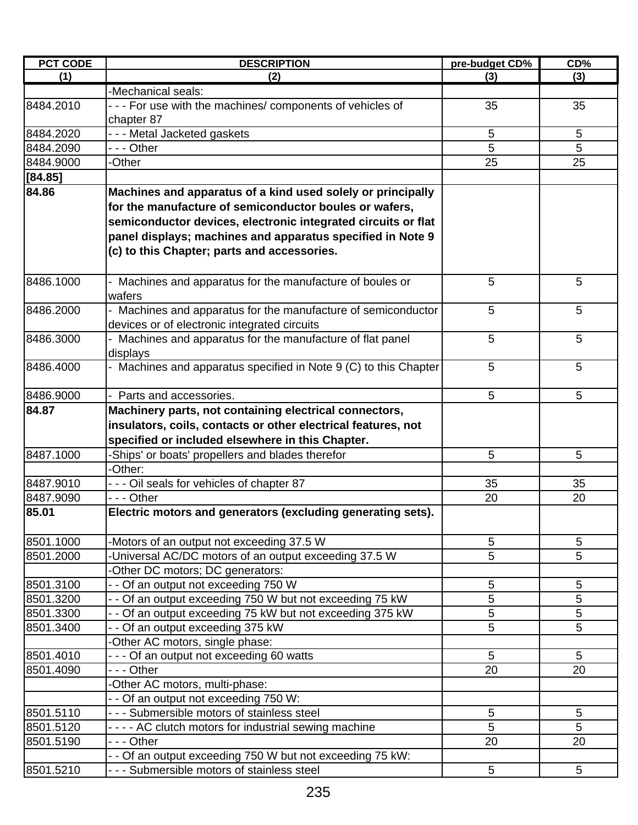| <b>PCT CODE</b> | <b>DESCRIPTION</b>                                               | pre-budget CD% | CD%             |
|-----------------|------------------------------------------------------------------|----------------|-----------------|
| (1)             | (2)                                                              | (3)            | (3)             |
|                 | -Mechanical seals:                                               |                |                 |
| 8484.2010       | --- For use with the machines/ components of vehicles of         | 35             | 35              |
|                 | chapter 87                                                       |                |                 |
| 8484.2020       | --- Metal Jacketed gaskets                                       | 5              | 5               |
| 8484.2090       | - - - Other                                                      | 5              | 5               |
| 8484.9000       | -Other                                                           | 25             | 25              |
| [84.85]         |                                                                  |                |                 |
| 84.86           | Machines and apparatus of a kind used solely or principally      |                |                 |
|                 | for the manufacture of semiconductor boules or wafers,           |                |                 |
|                 | semiconductor devices, electronic integrated circuits or flat    |                |                 |
|                 | panel displays; machines and apparatus specified in Note 9       |                |                 |
|                 | (c) to this Chapter; parts and accessories.                      |                |                 |
|                 |                                                                  |                |                 |
| 8486.1000       | Machines and apparatus for the manufacture of boules or          | 5              | 5               |
|                 | wafers                                                           |                |                 |
| 8486.2000       | Machines and apparatus for the manufacture of semiconductor      | 5              | 5               |
|                 | devices or of electronic integrated circuits                     |                |                 |
| 8486.3000       | Machines and apparatus for the manufacture of flat panel         | 5              | 5               |
|                 | displays                                                         |                |                 |
| 8486.4000       | - Machines and apparatus specified in Note 9 (C) to this Chapter | 5              | 5               |
|                 |                                                                  |                |                 |
| 8486.9000       | Parts and accessories.                                           | 5              | 5               |
| 84.87           | Machinery parts, not containing electrical connectors,           |                |                 |
|                 | insulators, coils, contacts or other electrical features, not    |                |                 |
|                 | specified or included elsewhere in this Chapter.                 |                |                 |
| 8487.1000       | -Ships' or boats' propellers and blades therefor                 | 5              | 5               |
|                 | -Other:                                                          |                |                 |
| 8487.9010       | - - - Oil seals for vehicles of chapter 87                       | 35             | 35              |
| 8487.9090       | --- Other                                                        | 20             | 20              |
| 85.01           | Electric motors and generators (excluding generating sets).      |                |                 |
|                 |                                                                  |                |                 |
| 8501.1000       | -Motors of an output not exceeding 37.5 W                        | 5              | 5               |
| 8501.2000       | -Universal AC/DC motors of an output exceeding 37.5 W            | 5              | 5               |
|                 | -Other DC motors; DC generators:                                 |                |                 |
| 8501.3100       | - - Of an output not exceeding 750 W                             | 5              | 5               |
| 8501.3200       | - - Of an output exceeding 750 W but not exceeding 75 kW         | 5              | 5               |
| 8501.3300       | - - Of an output exceeding 75 kW but not exceeding 375 kW        | 5              | 5               |
| 8501.3400       | - - Of an output exceeding 375 kW                                | 5              | 5               |
|                 | -Other AC motors, single phase:                                  |                |                 |
| 8501.4010       | --- Of an output not exceeding 60 watts                          | 5              | $5\phantom{.0}$ |
| 8501.4090       | - - - Other                                                      | 20             | 20              |
|                 | -Other AC motors, multi-phase:                                   |                |                 |
|                 | - - Of an output not exceeding 750 W:                            |                |                 |
| 8501.5110       | - - - Submersible motors of stainless steel                      | $\sqrt{5}$     | $\sqrt{5}$      |
| 8501.5120       | - - - - AC clutch motors for industrial sewing machine           | 5              | 5               |
| 8501.5190       | --- Other                                                        | 20             | 20              |
|                 | - - Of an output exceeding 750 W but not exceeding 75 kW:        |                |                 |
| 8501.5210       | - - - Submersible motors of stainless steel                      | 5              | 5               |
|                 |                                                                  |                |                 |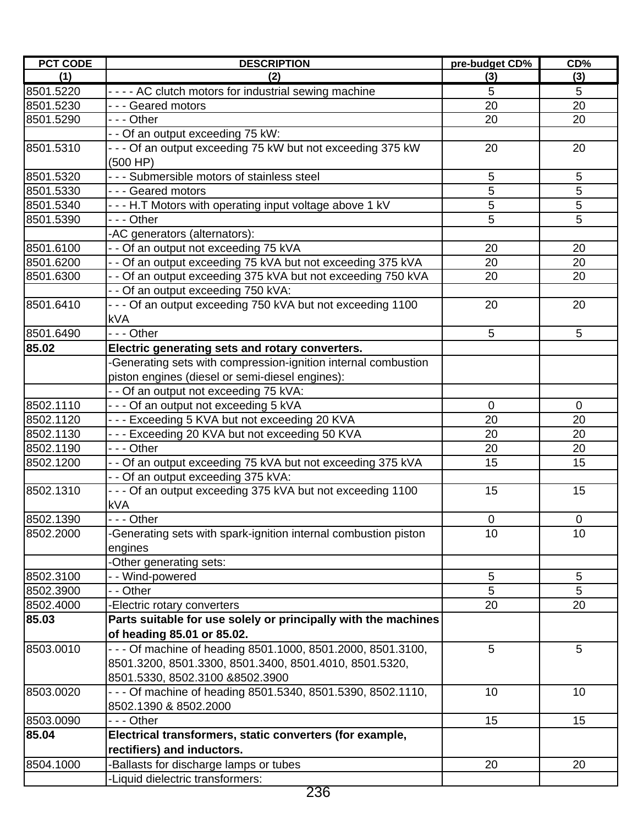| <b>PCT CODE</b> | <b>DESCRIPTION</b>                                              | pre-budget CD% | CD%            |
|-----------------|-----------------------------------------------------------------|----------------|----------------|
| (1)             | (2)                                                             | (3)            | (3)            |
| 8501.5220       | - - - - AC clutch motors for industrial sewing machine          | 5              | 5              |
| 8501.5230       | --- Geared motors                                               | 20             | 20             |
| 8501.5290       | - - - Other                                                     | 20             | 20             |
|                 | - - Of an output exceeding 75 kW:                               |                |                |
| 8501.5310       | - - - Of an output exceeding 75 kW but not exceeding 375 kW     | 20             | 20             |
|                 | (500 HP)                                                        |                |                |
| 8501.5320       | - - - Submersible motors of stainless steel                     | 5              | 5              |
| 8501.5330       | - - - Geared motors                                             | 5              | 5              |
| 8501.5340       | - - - H.T Motors with operating input voltage above 1 kV        | 5              | 5              |
| 8501.5390       | - - - Other                                                     | 5              | $\overline{5}$ |
|                 | -AC generators (alternators):                                   |                |                |
| 8501.6100       | - - Of an output not exceeding 75 kVA                           | 20             | 20             |
| 8501.6200       | - - Of an output exceeding 75 kVA but not exceeding 375 kVA     | 20             | 20             |
| 8501.6300       | - - Of an output exceeding 375 kVA but not exceeding 750 kVA    | 20             | 20             |
|                 | - - Of an output exceeding 750 kVA:                             |                |                |
| 8501.6410       | - - - Of an output exceeding 750 kVA but not exceeding 1100     | 20             | 20             |
|                 | kVA                                                             |                |                |
| 8501.6490       | --- Other                                                       | 5              | 5              |
| 85.02           | Electric generating sets and rotary converters.                 |                |                |
|                 | -Generating sets with compression-ignition internal combustion  |                |                |
|                 | piston engines (diesel or semi-diesel engines):                 |                |                |
|                 | - - Of an output not exceeding 75 kVA:                          |                |                |
| 8502.1110       | --- Of an output not exceeding 5 kVA                            | $\mathbf 0$    | $\mathbf 0$    |
| 8502.1120       | - - - Exceeding 5 KVA but not exceeding 20 KVA                  | 20             | 20             |
| 8502.1130       | - - - Exceeding 20 KVA but not exceeding 50 KVA                 | 20             | 20             |
| 8502.1190       | $- -$ Other                                                     | 20             | 20             |
| 8502.1200       | - - Of an output exceeding 75 kVA but not exceeding 375 kVA     | 15             | 15             |
|                 | - - Of an output exceeding 375 kVA:                             |                |                |
| 8502.1310       | - - - Of an output exceeding 375 kVA but not exceeding 1100     | 15             | 15             |
|                 | <b>kVA</b>                                                      |                |                |
| 8502.1390       | $- -$ Other                                                     | 0              | $\mathbf 0$    |
| 8502.2000       | -Generating sets with spark-ignition internal combustion piston | 10             | 10             |
|                 | engines                                                         |                |                |
|                 | -Other generating sets:                                         |                |                |
| 8502.3100       | - - Wind-powered                                                | 5              | 5              |
| 8502.3900       | - - Other                                                       | 5              | 5              |
| 8502.4000       | -Electric rotary converters                                     | 20             | 20             |
| 85.03           | Parts suitable for use solely or principally with the machines  |                |                |
|                 | of heading 85.01 or 85.02.                                      |                |                |
| 8503.0010       | - - - Of machine of heading 8501.1000, 8501.2000, 8501.3100,    | 5              | 5              |
|                 | 8501.3200, 8501.3300, 8501.3400, 8501.4010, 8501.5320,          |                |                |
|                 | 8501.5330, 8502.3100 &8502.3900                                 |                |                |
| 8503.0020       | - - - Of machine of heading 8501.5340, 8501.5390, 8502.1110,    | 10             | 10             |
|                 | 8502.1390 & 8502.2000                                           |                |                |
| 8503.0090       | --- Other                                                       | 15             | 15             |
| 85.04           | Electrical transformers, static converters (for example,        |                |                |
|                 | rectifiers) and inductors.                                      |                |                |
| 8504.1000       | -Ballasts for discharge lamps or tubes                          | 20             | 20             |
|                 | -Liquid dielectric transformers:                                |                |                |
|                 |                                                                 |                |                |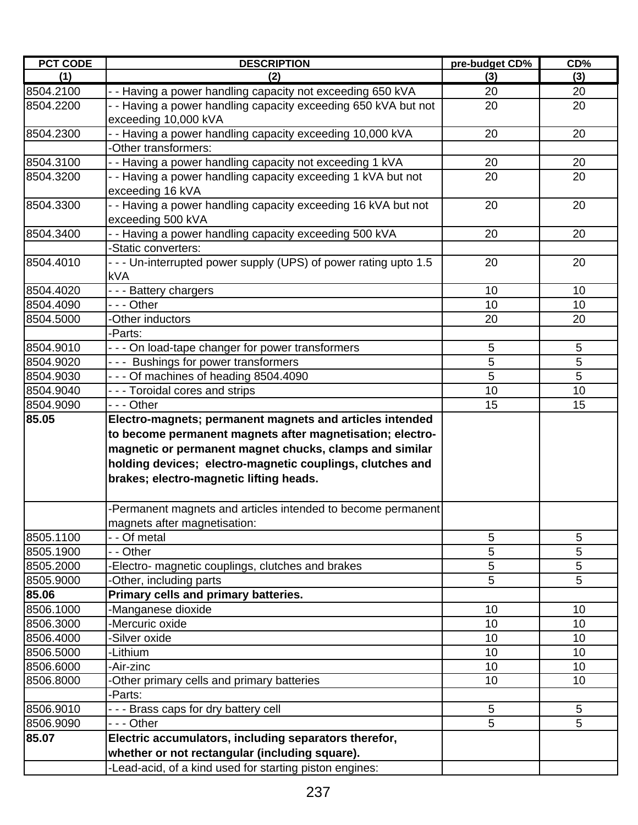| <b>PCT CODE</b> | <b>DESCRIPTION</b>                                                                                                                                                                                                           | pre-budget CD% | CD% |
|-----------------|------------------------------------------------------------------------------------------------------------------------------------------------------------------------------------------------------------------------------|----------------|-----|
| (1)             | (2)                                                                                                                                                                                                                          | (3)            | (3) |
| 8504.2100       | - - Having a power handling capacity not exceeding 650 kVA                                                                                                                                                                   | 20             | 20  |
| 8504.2200       | - - Having a power handling capacity exceeding 650 kVA but not<br>exceeding 10,000 kVA                                                                                                                                       | 20             | 20  |
| 8504.2300       | - - Having a power handling capacity exceeding 10,000 kVA<br>-Other transformers:                                                                                                                                            | 20             | 20  |
| 8504.3100       | - - Having a power handling capacity not exceeding 1 kVA                                                                                                                                                                     | 20             | 20  |
| 8504.3200       | - - Having a power handling capacity exceeding 1 kVA but not<br>exceeding 16 kVA                                                                                                                                             | 20             | 20  |
| 8504.3300       | - - Having a power handling capacity exceeding 16 kVA but not<br>exceeding 500 kVA                                                                                                                                           | 20             | 20  |
| 8504.3400       | - - Having a power handling capacity exceeding 500 kVA                                                                                                                                                                       | 20             | 20  |
|                 | -Static converters:                                                                                                                                                                                                          |                |     |
| 8504.4010       | - - - Un-interrupted power supply (UPS) of power rating upto 1.5<br><b>kVA</b>                                                                                                                                               | 20             | 20  |
| 8504.4020       | --- Battery chargers                                                                                                                                                                                                         | 10             | 10  |
| 8504.4090       | - - - Other                                                                                                                                                                                                                  | 10             | 10  |
| 8504.5000       | -Other inductors                                                                                                                                                                                                             | 20             | 20  |
|                 | -Parts:                                                                                                                                                                                                                      |                |     |
| 8504.9010       | - - - On load-tape changer for power transformers                                                                                                                                                                            | 5              | 5   |
| 8504.9020       | --- Bushings for power transformers                                                                                                                                                                                          | 5              | 5   |
| 8504.9030       | - - - Of machines of heading 8504.4090                                                                                                                                                                                       | 5              | 5   |
| 8504.9040       | - - - Toroidal cores and strips                                                                                                                                                                                              | 10             | 10  |
| 8504.9090       | --- Other                                                                                                                                                                                                                    | 15             | 15  |
|                 | to become permanent magnets after magnetisation; electro-<br>magnetic or permanent magnet chucks, clamps and similar<br>holding devices; electro-magnetic couplings, clutches and<br>brakes; electro-magnetic lifting heads. |                |     |
|                 | -Permanent magnets and articles intended to become permanent                                                                                                                                                                 |                |     |
|                 | magnets after magnetisation:                                                                                                                                                                                                 |                |     |
| 8505.1100       | - - Of metal                                                                                                                                                                                                                 | $\overline{5}$ | 5   |
| 8505.1900       | - - Other                                                                                                                                                                                                                    | 5              | 5   |
| 8505.2000       | -Electro- magnetic couplings, clutches and brakes                                                                                                                                                                            | 5              | 5   |
| 8505.9000       | -Other, including parts                                                                                                                                                                                                      | 5              | 5   |
| 85.06           | Primary cells and primary batteries.                                                                                                                                                                                         |                |     |
| 8506.1000       | -Manganese dioxide                                                                                                                                                                                                           | 10             | 10  |
| 8506.3000       | -Mercuric oxide                                                                                                                                                                                                              | 10             | 10  |
| 8506.4000       | -Silver oxide                                                                                                                                                                                                                | 10             | 10  |
| 8506.5000       | -Lithium                                                                                                                                                                                                                     | 10             | 10  |
| 8506.6000       | -Air-zinc                                                                                                                                                                                                                    | 10             | 10  |
| 8506.8000       | -Other primary cells and primary batteries                                                                                                                                                                                   | 10             | 10  |
|                 | -Parts:                                                                                                                                                                                                                      |                |     |
| 8506.9010       | --- Brass caps for dry battery cell                                                                                                                                                                                          | 5              | 5   |
| 8506.9090       | - - - Other                                                                                                                                                                                                                  | 5              | 5   |
| 85.07           | Electric accumulators, including separators therefor,                                                                                                                                                                        |                |     |
|                 | whether or not rectangular (including square).                                                                                                                                                                               |                |     |
|                 | -Lead-acid, of a kind used for starting piston engines:                                                                                                                                                                      |                |     |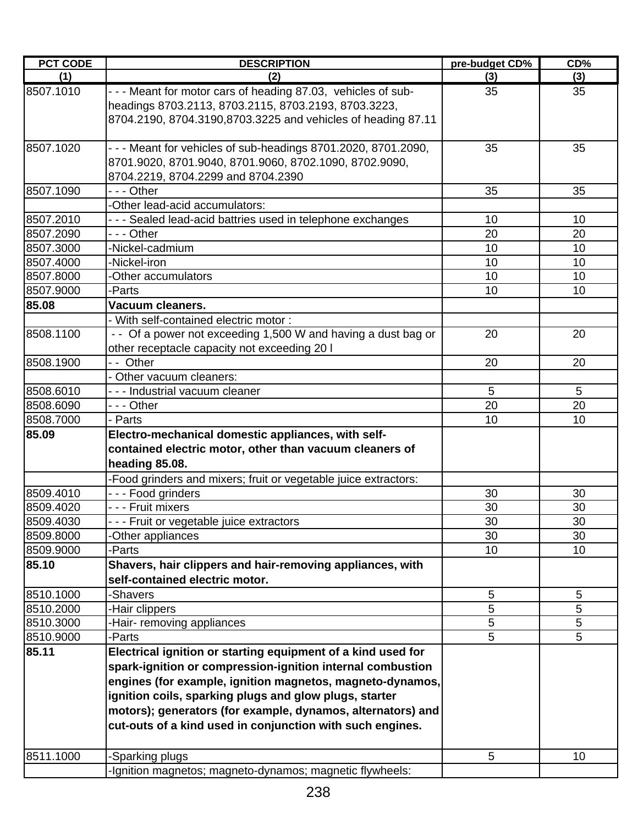| <b>PCT CODE</b> | <b>DESCRIPTION</b>                                                                                                                                                                                                                                                                                            | pre-budget CD%  | CD%    |
|-----------------|---------------------------------------------------------------------------------------------------------------------------------------------------------------------------------------------------------------------------------------------------------------------------------------------------------------|-----------------|--------|
| (1)             | (2)                                                                                                                                                                                                                                                                                                           | (3)             | (3)    |
| 8507.1010       | - - - Meant for motor cars of heading 87.03, vehicles of sub-<br>headings 8703.2113, 8703.2115, 8703.2193, 8703.3223,<br>8704.2190, 8704.3190,8703.3225 and vehicles of heading 87.11                                                                                                                         | 35              | 35     |
| 8507.1020       | - - - Meant for vehicles of sub-headings 8701.2020, 8701.2090,<br>8701.9020, 8701.9040, 8701.9060, 8702.1090, 8702.9090,<br>8704.2219, 8704.2299 and 8704.2390                                                                                                                                                | 35              | 35     |
| 8507.1090       | --- Other                                                                                                                                                                                                                                                                                                     | 35              | 35     |
|                 | -Other lead-acid accumulators:                                                                                                                                                                                                                                                                                |                 |        |
| 8507.2010       | --- Sealed lead-acid battries used in telephone exchanges                                                                                                                                                                                                                                                     | 10              | 10     |
| 8507.2090       | - - - Other                                                                                                                                                                                                                                                                                                   | 20              | 20     |
| 8507.3000       | -Nickel-cadmium                                                                                                                                                                                                                                                                                               | 10              | 10     |
| 8507.4000       | -Nickel-iron                                                                                                                                                                                                                                                                                                  | 10              | 10     |
| 8507.8000       | -Other accumulators                                                                                                                                                                                                                                                                                           | 10              | 10     |
| 8507.9000       | -Parts                                                                                                                                                                                                                                                                                                        | 10              | 10     |
| 85.08           | Vacuum cleaners.                                                                                                                                                                                                                                                                                              |                 |        |
|                 | - With self-contained electric motor:                                                                                                                                                                                                                                                                         |                 |        |
| 8508.1100       | - - Of a power not exceeding 1,500 W and having a dust bag or<br>other receptacle capacity not exceeding 20 I                                                                                                                                                                                                 | 20              | 20     |
| 8508.1900       | - - Other                                                                                                                                                                                                                                                                                                     | 20              | 20     |
|                 | - Other vacuum cleaners:                                                                                                                                                                                                                                                                                      |                 |        |
| 8508.6010       | - - - Industrial vacuum cleaner                                                                                                                                                                                                                                                                               | 5               | 5      |
| 8508.6090       | - - - Other                                                                                                                                                                                                                                                                                                   | 20              | 20     |
| 8508.7000       | - Parts                                                                                                                                                                                                                                                                                                       | 10              | 10     |
| 85.09           | Electro-mechanical domestic appliances, with self-<br>contained electric motor, other than vacuum cleaners of<br>heading 85.08.<br>-Food grinders and mixers; fruit or vegetable juice extractors:                                                                                                            |                 |        |
| 8509.4010       | - - - Food grinders                                                                                                                                                                                                                                                                                           | 30              | 30     |
| 8509.4020       | - - - Fruit mixers                                                                                                                                                                                                                                                                                            | 30              | 30     |
| 8509.4030       | - - Fruit or vegetable juice extractors                                                                                                                                                                                                                                                                       | 30              | $30\,$ |
| 8509.8000       | -Other appliances                                                                                                                                                                                                                                                                                             | 30              | 30     |
| 8509.9000       | -Parts                                                                                                                                                                                                                                                                                                        | 10 <sup>1</sup> | 10     |
| 85.10           | Shavers, hair clippers and hair-removing appliances, with<br>self-contained electric motor.                                                                                                                                                                                                                   |                 |        |
| 8510.1000       | -Shavers                                                                                                                                                                                                                                                                                                      | 5               | 5      |
| 8510.2000       | -Hair clippers                                                                                                                                                                                                                                                                                                | 5               | 5      |
| 8510.3000       | Hair- removing appliances                                                                                                                                                                                                                                                                                     | 5               | 5      |
| 8510.9000       | -Parts                                                                                                                                                                                                                                                                                                        | 5               | 5      |
| 85.11           | Electrical ignition or starting equipment of a kind used for                                                                                                                                                                                                                                                  |                 |        |
|                 | spark-ignition or compression-ignition internal combustion<br>engines (for example, ignition magnetos, magneto-dynamos,<br>ignition coils, sparking plugs and glow plugs, starter<br>motors); generators (for example, dynamos, alternators) and<br>cut-outs of a kind used in conjunction with such engines. |                 |        |
| 8511.1000       | -Sparking plugs                                                                                                                                                                                                                                                                                               | 5               | 10     |
|                 | -Ignition magnetos; magneto-dynamos; magnetic flywheels:                                                                                                                                                                                                                                                      |                 |        |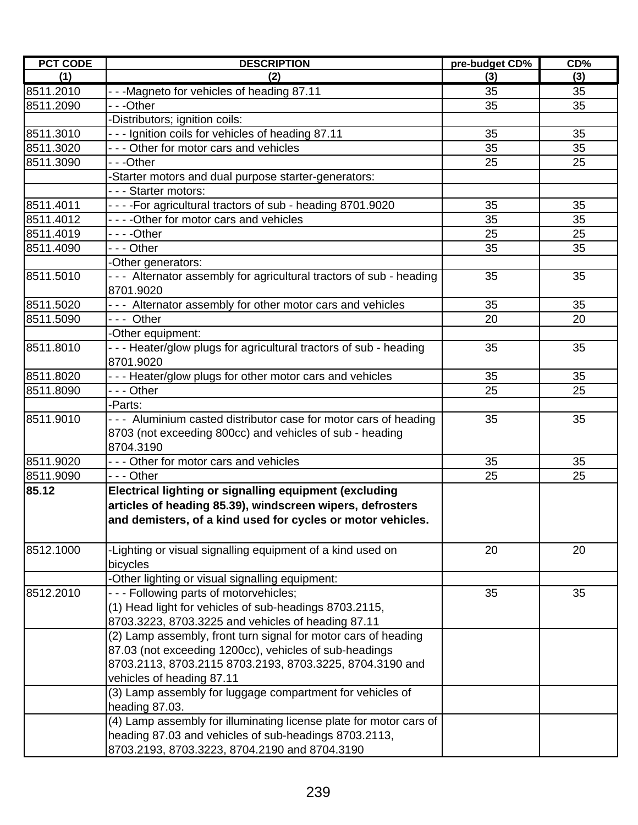| <b>PCT CODE</b> | <b>DESCRIPTION</b>                                                   | pre-budget CD% | CD% |
|-----------------|----------------------------------------------------------------------|----------------|-----|
| (1)             | (2)                                                                  | (3)            | (3) |
| 8511.2010       | --Magneto for vehicles of heading 87.11                              | 35             | 35  |
| 8511.2090       | - - -Other                                                           | 35             | 35  |
|                 | -Distributors; ignition coils:                                       |                |     |
| 8511.3010       | - - - Ignition coils for vehicles of heading 87.11                   | 35             | 35  |
| 8511.3020       | - - - Other for motor cars and vehicles                              | 35             | 35  |
| 8511.3090       | - - -Other                                                           | 25             | 25  |
|                 | -Starter motors and dual purpose starter-generators:                 |                |     |
|                 | --- Starter motors:                                                  |                |     |
| 8511.4011       | - - - - For agricultural tractors of sub - heading 8701.9020         | 35             | 35  |
| 8511.4012       | - - - - Other for motor cars and vehicles                            | 35             | 35  |
| 8511.4019       | ----Other                                                            | 25             | 25  |
| 8511.4090       | - - - Other                                                          | 35             | 35  |
|                 | -Other generators:                                                   |                |     |
| 8511.5010       | - - - Alternator assembly for agricultural tractors of sub - heading | 35             | 35  |
|                 | 8701.9020                                                            |                |     |
| 8511.5020       | - - - Alternator assembly for other motor cars and vehicles          | 35             | 35  |
| 8511.5090       | --- Other                                                            | 20             | 20  |
|                 | -Other equipment:                                                    |                |     |
| 8511.8010       | - - - Heater/glow plugs for agricultural tractors of sub - heading   | 35             | 35  |
|                 | 8701.9020                                                            |                |     |
| 8511.8020       | - - - Heater/glow plugs for other motor cars and vehicles            | 35             | 35  |
| 8511.8090       | - - - Other                                                          | 25             | 25  |
|                 | -Parts:                                                              |                |     |
| 8511.9010       | --- Aluminium casted distributor case for motor cars of heading      | 35             | 35  |
|                 | 8703 (not exceeding 800cc) and vehicles of sub - heading             |                |     |
|                 | 8704.3190                                                            |                |     |
| 8511.9020       | - - - Other for motor cars and vehicles                              | 35             | 35  |
| 8511.9090       | - - - Other                                                          | 25             | 25  |
| 85.12           | Electrical lighting or signalling equipment (excluding               |                |     |
|                 | articles of heading 85.39), windscreen wipers, defrosters            |                |     |
|                 | and demisters, of a kind used for cycles or motor vehicles.          |                |     |
|                 |                                                                      |                |     |
| 8512.1000       | -Lighting or visual signalling equipment of a kind used on           | 20             | 20  |
|                 | bicycles                                                             |                |     |
|                 | -Other lighting or visual signalling equipment:                      |                |     |
| 8512.2010       | --- Following parts of motorvehicles;                                | 35             | 35  |
|                 | (1) Head light for vehicles of sub-headings 8703.2115,               |                |     |
|                 | 8703.3223, 8703.3225 and vehicles of heading 87.11                   |                |     |
|                 | (2) Lamp assembly, front turn signal for motor cars of heading       |                |     |
|                 | 87.03 (not exceeding 1200cc), vehicles of sub-headings               |                |     |
|                 | 8703.2113, 8703.2115 8703.2193, 8703.3225, 8704.3190 and             |                |     |
|                 | vehicles of heading 87.11                                            |                |     |
|                 | (3) Lamp assembly for luggage compartment for vehicles of            |                |     |
|                 | heading 87.03.                                                       |                |     |
|                 | (4) Lamp assembly for illuminating license plate for motor cars of   |                |     |
|                 | heading 87.03 and vehicles of sub-headings 8703.2113,                |                |     |
|                 | 8703.2193, 8703.3223, 8704.2190 and 8704.3190                        |                |     |
|                 |                                                                      |                |     |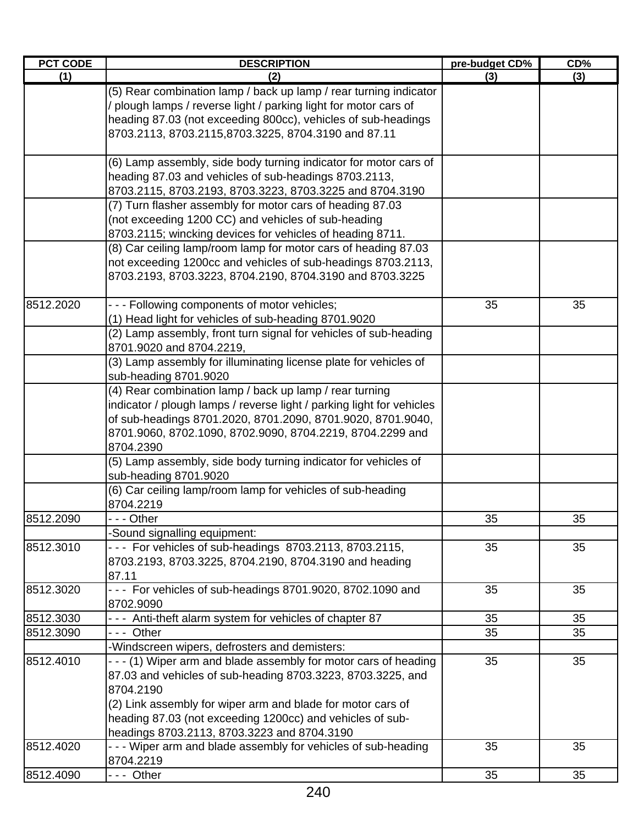| <b>PCT CODE</b> | <b>DESCRIPTION</b>                                                                                                                                                                                                                                                                                                      | pre-budget CD% | $CD\%$ |
|-----------------|-------------------------------------------------------------------------------------------------------------------------------------------------------------------------------------------------------------------------------------------------------------------------------------------------------------------------|----------------|--------|
| (1)             | (2)                                                                                                                                                                                                                                                                                                                     | (3)            | (3)    |
|                 | (5) Rear combination lamp / back up lamp / rear turning indicator<br>plough lamps / reverse light / parking light for motor cars of<br>heading 87.03 (not exceeding 800cc), vehicles of sub-headings<br>8703.2113, 8703.2115,8703.3225, 8704.3190 and 87.11                                                             |                |        |
|                 | (6) Lamp assembly, side body turning indicator for motor cars of<br>heading 87.03 and vehicles of sub-headings 8703.2113,<br>8703.2115, 8703.2193, 8703.3223, 8703.3225 and 8704.3190                                                                                                                                   |                |        |
|                 | (7) Turn flasher assembly for motor cars of heading 87.03<br>(not exceeding 1200 CC) and vehicles of sub-heading<br>8703.2115; wincking devices for vehicles of heading 8711.                                                                                                                                           |                |        |
|                 | (8) Car ceiling lamp/room lamp for motor cars of heading 87.03<br>not exceeding 1200cc and vehicles of sub-headings 8703.2113,<br>8703.2193, 8703.3223, 8704.2190, 8704.3190 and 8703.3225                                                                                                                              |                |        |
| 8512.2020       | --- Following components of motor vehicles;<br>(1) Head light for vehicles of sub-heading 8701.9020<br>(2) Lamp assembly, front turn signal for vehicles of sub-heading<br>8701.9020 and 8704.2219,                                                                                                                     | 35             | 35     |
|                 | (3) Lamp assembly for illuminating license plate for vehicles of<br>sub-heading 8701.9020                                                                                                                                                                                                                               |                |        |
|                 | (4) Rear combination lamp / back up lamp / rear turning<br>indicator / plough lamps / reverse light / parking light for vehicles<br>of sub-headings 8701.2020, 8701.2090, 8701.9020, 8701.9040,<br>8701.9060, 8702.1090, 8702.9090, 8704.2219, 8704.2299 and<br>8704.2390                                               |                |        |
|                 | (5) Lamp assembly, side body turning indicator for vehicles of<br>sub-heading 8701.9020<br>(6) Car ceiling lamp/room lamp for vehicles of sub-heading                                                                                                                                                                   |                |        |
| 8512.2090       | 8704.2219<br>-  - - Other                                                                                                                                                                                                                                                                                               | 35             | 35     |
|                 | Sound signalling equipment:                                                                                                                                                                                                                                                                                             |                |        |
| 8512.3010       | --- For vehicles of sub-headings 8703.2113, 8703.2115,<br>8703.2193, 8703.3225, 8704.2190, 8704.3190 and heading<br>87.11                                                                                                                                                                                               | 35             | 35     |
| 8512.3020       | --- For vehicles of sub-headings 8701.9020, 8702.1090 and<br>8702.9090                                                                                                                                                                                                                                                  | 35             | 35     |
| 8512.3030       | - - - Anti-theft alarm system for vehicles of chapter 87                                                                                                                                                                                                                                                                | 35             | 35     |
| 8512.3090       | --- Other                                                                                                                                                                                                                                                                                                               | 35             | 35     |
|                 | -Windscreen wipers, defrosters and demisters:                                                                                                                                                                                                                                                                           |                |        |
| 8512.4010       | - - - (1) Wiper arm and blade assembly for motor cars of heading<br>87.03 and vehicles of sub-heading 8703.3223, 8703.3225, and<br>8704.2190<br>(2) Link assembly for wiper arm and blade for motor cars of<br>heading 87.03 (not exceeding 1200cc) and vehicles of sub-<br>headings 8703.2113, 8703.3223 and 8704.3190 | 35             | 35     |
| 8512.4020       | - - - Wiper arm and blade assembly for vehicles of sub-heading<br>8704.2219                                                                                                                                                                                                                                             | 35             | 35     |
| 8512.4090       | --- Other                                                                                                                                                                                                                                                                                                               | 35             | 35     |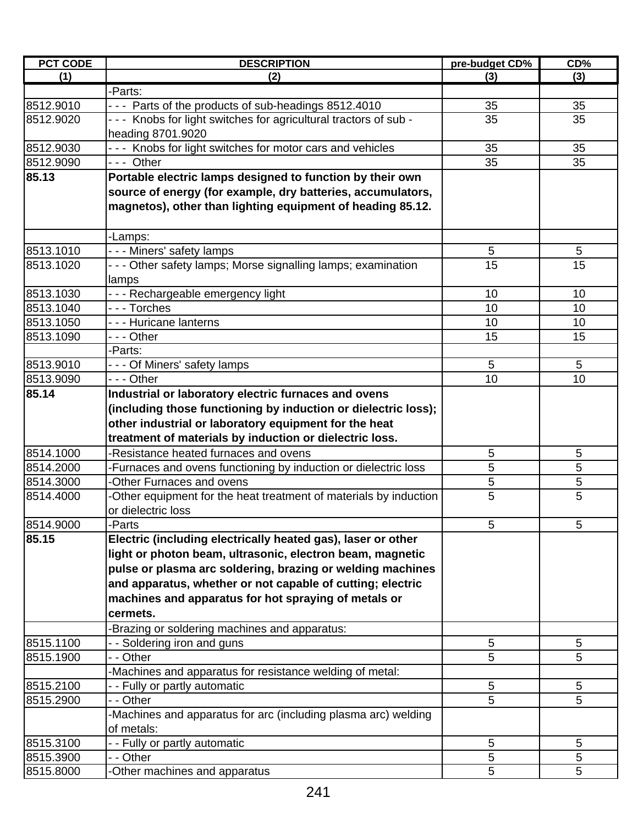| <b>PCT CODE</b> | <b>DESCRIPTION</b>                                                | pre-budget CD%  | CD%             |
|-----------------|-------------------------------------------------------------------|-----------------|-----------------|
| (1)             | (2)                                                               | (3)             | (3)             |
|                 | -Parts:                                                           |                 |                 |
| 8512.9010       | - - - Parts of the products of sub-headings 8512.4010             | 35              | 35              |
| 8512.9020       | - - - Knobs for light switches for agricultural tractors of sub - | 35              | 35              |
|                 | heading 8701.9020                                                 |                 |                 |
| 8512.9030       | - - - Knobs for light switches for motor cars and vehicles        | 35              | 35              |
| 8512.9090       | $- -$ Other                                                       | 35              | 35              |
| 85.13           | Portable electric lamps designed to function by their own         |                 |                 |
|                 | source of energy (for example, dry batteries, accumulators,       |                 |                 |
|                 | magnetos), other than lighting equipment of heading 85.12.        |                 |                 |
|                 |                                                                   |                 |                 |
|                 | -Lamps:                                                           |                 |                 |
| 8513.1010       | - - - Miners' safety lamps                                        | 5               | 5               |
| 8513.1020       | - - - Other safety lamps; Morse signalling lamps; examination     | $\overline{15}$ | $\overline{15}$ |
|                 | lamps                                                             |                 |                 |
| 8513.1030       | - - - Rechargeable emergency light                                | 10              | 10              |
| 8513.1040       | --- Torches                                                       | 10              | 10              |
| 8513.1050       | - - - Huricane lanterns                                           | 10              | 10              |
| 8513.1090       | --- Other                                                         | 15              | 15              |
|                 | -Parts:                                                           |                 |                 |
| 8513.9010       | --- Of Miners' safety lamps                                       | 5               | 5               |
| 8513.9090       | $- -$ - Other                                                     | 10              | 10              |
| 85.14           | Industrial or laboratory electric furnaces and ovens              |                 |                 |
|                 | (including those functioning by induction or dielectric loss);    |                 |                 |
|                 | other industrial or laboratory equipment for the heat             |                 |                 |
|                 | treatment of materials by induction or dielectric loss.           |                 |                 |
| 8514.1000       | -Resistance heated furnaces and ovens                             | 5               | 5               |
| 8514.2000       | -Furnaces and ovens functioning by induction or dielectric loss   | 5               | 5               |
| 8514.3000       | -Other Furnaces and ovens                                         | 5               | $\mathbf 5$     |
| 8514.4000       | -Other equipment for the heat treatment of materials by induction | 5               | 5               |
|                 | or dielectric loss                                                |                 |                 |
| 8514.9000       | -Parts                                                            | 5               | 5               |
| 85.15           | Electric (including electrically heated gas), laser or other      |                 |                 |
|                 | light or photon beam, ultrasonic, electron beam, magnetic         |                 |                 |
|                 | pulse or plasma arc soldering, brazing or welding machines        |                 |                 |
|                 | and apparatus, whether or not capable of cutting; electric        |                 |                 |
|                 | machines and apparatus for hot spraying of metals or              |                 |                 |
|                 | cermets.                                                          |                 |                 |
|                 |                                                                   |                 |                 |
|                 | -Brazing or soldering machines and apparatus:                     |                 |                 |
| 8515.1100       | - - Soldering iron and guns                                       | 5               | 5               |
| 8515.1900       | - - Other                                                         | 5               | 5               |
|                 | -Machines and apparatus for resistance welding of metal:          |                 |                 |
| 8515.2100       | - - Fully or partly automatic                                     | 5               | 5               |
| 8515.2900       | - - Other                                                         | 5               | 5               |
|                 | -Machines and apparatus for arc (including plasma arc) welding    |                 |                 |
|                 | of metals:                                                        |                 |                 |
| 8515.3100       | - - Fully or partly automatic                                     | 5               | 5               |
| 8515.3900       | - - Other                                                         | 5               | 5               |
| 8515.8000       | -Other machines and apparatus                                     | 5               | 5               |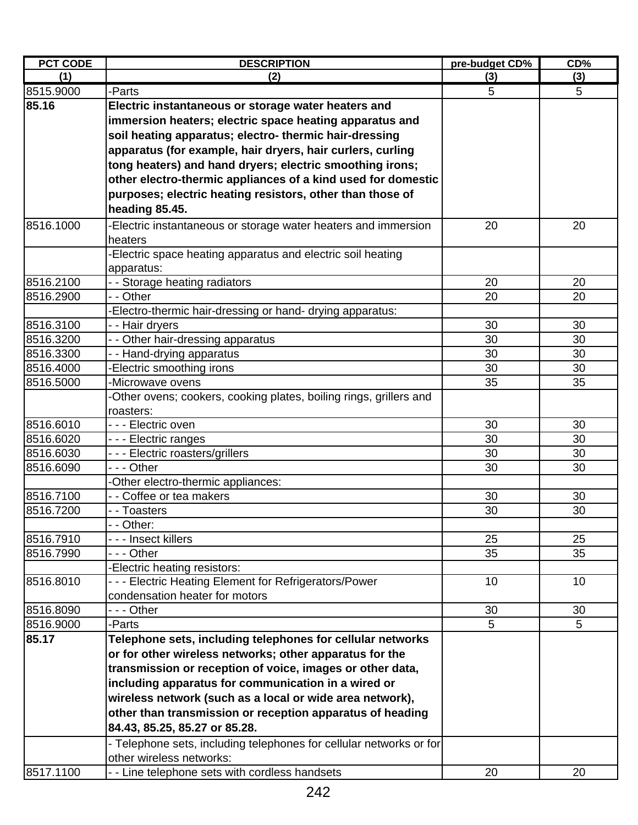| <b>PCT CODE</b> | <b>DESCRIPTION</b>                                                                                               | pre-budget CD% | CD <sub>0</sub> |
|-----------------|------------------------------------------------------------------------------------------------------------------|----------------|-----------------|
| (1)             | (2)                                                                                                              | (3)            | (3)             |
| 8515.9000       | -Parts                                                                                                           | 5              | 5               |
| 85.16           | Electric instantaneous or storage water heaters and                                                              |                |                 |
|                 | immersion heaters; electric space heating apparatus and                                                          |                |                 |
|                 | soil heating apparatus; electro- thermic hair-dressing                                                           |                |                 |
|                 | apparatus (for example, hair dryers, hair curlers, curling                                                       |                |                 |
|                 | tong heaters) and hand dryers; electric smoothing irons;                                                         |                |                 |
|                 | other electro-thermic appliances of a kind used for domestic                                                     |                |                 |
|                 | purposes; electric heating resistors, other than those of                                                        |                |                 |
|                 | heading 85.45.                                                                                                   |                |                 |
| 8516.1000       | -Electric instantaneous or storage water heaters and immersion                                                   | 20             | 20              |
|                 | heaters                                                                                                          |                |                 |
|                 | -Electric space heating apparatus and electric soil heating                                                      |                |                 |
|                 | apparatus:                                                                                                       |                |                 |
| 8516.2100       | - - Storage heating radiators                                                                                    | 20             | 20              |
| 8516.2900       | - - Other                                                                                                        | 20             | 20              |
|                 | Electro-thermic hair-dressing or hand- drying apparatus:                                                         |                |                 |
| 8516.3100       | - - Hair dryers                                                                                                  | 30             | 30              |
| 8516.3200       | - Other hair-dressing apparatus                                                                                  | 30             | 30              |
| 8516.3300       | - - Hand-drying apparatus                                                                                        | 30             | 30              |
| 8516.4000       | Electric smoothing irons                                                                                         | 30             | 30              |
| 8516.5000       | -Microwave ovens                                                                                                 | 35             | 35              |
|                 | -Other ovens; cookers, cooking plates, boiling rings, grillers and                                               |                |                 |
|                 | roasters:                                                                                                        |                |                 |
| 8516.6010       | - - - Electric oven                                                                                              | 30             | 30              |
| 8516.6020       | --- Electric ranges                                                                                              | 30             | 30              |
| 8516.6030       | --- Electric roasters/grillers                                                                                   | 30             | 30              |
| 8516.6090       | - - - Other                                                                                                      | 30             | 30              |
|                 | -Other electro-thermic appliances:                                                                               |                |                 |
| 8516.7100       | - - Coffee or tea makers                                                                                         | 30             | 30              |
| 8516.7200       | - - Toasters                                                                                                     | 30             | 30              |
|                 | $\overline{-}$ Other:                                                                                            |                |                 |
| 8516.7910       | - - - Insect killers                                                                                             | 25             | 25              |
| 8516.7990       | - - - Other                                                                                                      | 35             | 35              |
|                 | Electric heating resistors:                                                                                      |                |                 |
| 8516.8010       | --- Electric Heating Element for Refrigerators/Power<br>condensation heater for motors                           | 10             | 10              |
| 8516.8090       | --- Other                                                                                                        | 30             | 30              |
| 8516.9000       | -Parts                                                                                                           | 5              | $5\phantom{.0}$ |
| 85.17           | Telephone sets, including telephones for cellular networks                                                       |                |                 |
|                 | or for other wireless networks; other apparatus for the                                                          |                |                 |
|                 |                                                                                                                  |                |                 |
|                 | transmission or reception of voice, images or other data,<br>including apparatus for communication in a wired or |                |                 |
|                 |                                                                                                                  |                |                 |
|                 | wireless network (such as a local or wide area network),                                                         |                |                 |
|                 | other than transmission or reception apparatus of heading                                                        |                |                 |
|                 | 84.43, 85.25, 85.27 or 85.28.                                                                                    |                |                 |
|                 | - Telephone sets, including telephones for cellular networks or for                                              |                |                 |
|                 | other wireless networks:                                                                                         |                |                 |
| 8517.1100       | - - Line telephone sets with cordless handsets                                                                   | 20             | 20              |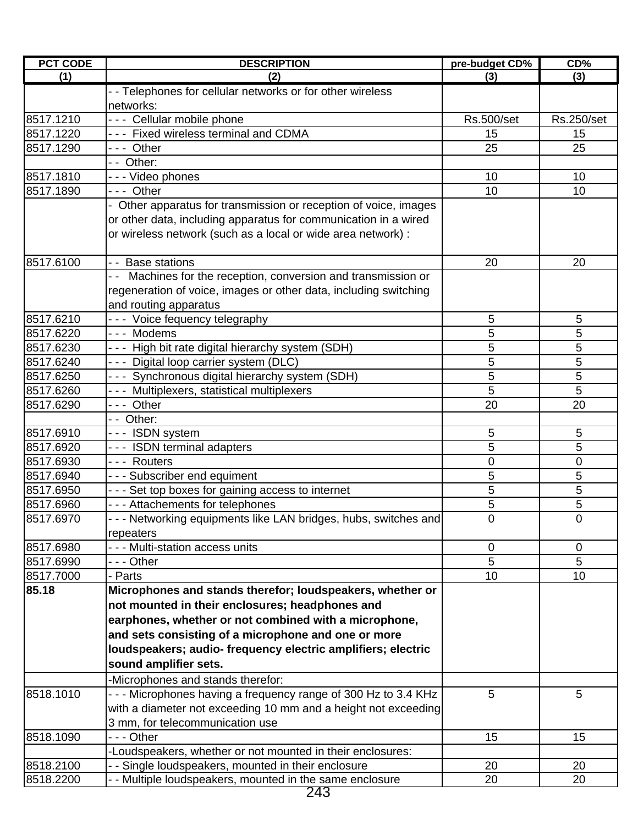| <b>PCT CODE</b> | <b>DESCRIPTION</b>                                               | pre-budget CD%    | CD%               |
|-----------------|------------------------------------------------------------------|-------------------|-------------------|
| (1)             | (2)                                                              | (3)               | (3)               |
|                 | - - Telephones for cellular networks or for other wireless       |                   |                   |
|                 | networks:                                                        |                   |                   |
| 8517.1210       | --- Cellular mobile phone                                        | <b>Rs.500/set</b> | <b>Rs.250/set</b> |
| 8517.1220       | --- Fixed wireless terminal and CDMA                             | 15                | 15                |
| 8517.1290       | --- Other                                                        | 25                | 25                |
|                 | - - Other:                                                       |                   |                   |
| 8517.1810       | - - - Video phones                                               | 10                | 10                |
| 8517.1890       | --- Other                                                        | 10                | 10                |
|                 | - Other apparatus for transmission or reception of voice, images |                   |                   |
|                 | or other data, including apparatus for communication in a wired  |                   |                   |
|                 | or wireless network (such as a local or wide area network) :     |                   |                   |
|                 |                                                                  |                   |                   |
| 8517.6100       | <b>Base stations</b><br>- -                                      | 20                | 20                |
|                 | - - Machines for the reception, conversion and transmission or   |                   |                   |
|                 | regeneration of voice, images or other data, including switching |                   |                   |
|                 | and routing apparatus                                            |                   |                   |
| 8517.6210       | --- Voice fequency telegraphy                                    | 5                 | 5                 |
| 8517.6220       | --- Modems                                                       | 5                 | 5                 |
| 8517.6230       | --- High bit rate digital hierarchy system (SDH)                 | 5                 | 5                 |
| 8517.6240       | --- Digital loop carrier system (DLC)                            | 5                 | 5                 |
| 8517.6250       | - - - Synchronous digital hierarchy system (SDH)                 | 5                 | 5                 |
| 8517.6260       | --- Multiplexers, statistical multiplexers                       | 5                 | 5                 |
| 8517.6290       | --- Other                                                        | 20                | 20                |
|                 | -- Other:                                                        |                   |                   |
| 8517.6910       | --- ISDN system                                                  | 5                 | 5                 |
| 8517.6920       | --- ISDN terminal adapters                                       | 5                 | 5                 |
| 8517.6930       | --- Routers                                                      | 0                 | 0                 |
| 8517.6940       | - - - Subscriber end equiment                                    | 5                 | 5                 |
| 8517.6950       | - - - Set top boxes for gaining access to internet               | 5                 | 5                 |
| 8517.6960       | - - - Attachements for telephones                                | 5                 | 5                 |
| 8517.6970       | - - - Networking equipments like LAN bridges, hubs, switches and | $\overline{0}$    | 0                 |
|                 | repeaters                                                        |                   |                   |
| 8517.6980       | - - - Multi-station access units                                 | 0                 | 0                 |
| 8517.6990       | - - - Other                                                      | 5                 | 5                 |
| 8517.7000       | - Parts                                                          | 10                | 10                |
| 85.18           | Microphones and stands therefor; loudspeakers, whether or        |                   |                   |
|                 | not mounted in their enclosures; headphones and                  |                   |                   |
|                 |                                                                  |                   |                   |
|                 | earphones, whether or not combined with a microphone,            |                   |                   |
|                 | and sets consisting of a microphone and one or more              |                   |                   |
|                 | loudspeakers; audio- frequency electric amplifiers; electric     |                   |                   |
|                 | sound amplifier sets.                                            |                   |                   |
|                 | -Microphones and stands therefor:                                |                   |                   |
| 8518.1010       | --- Microphones having a frequency range of 300 Hz to 3.4 KHz    | 5                 | 5                 |
|                 | with a diameter not exceeding 10 mm and a height not exceeding   |                   |                   |
|                 | 3 mm, for telecommunication use                                  |                   |                   |
| 8518.1090       | - - - Other                                                      | 15                | 15                |
|                 | -Loudspeakers, whether or not mounted in their enclosures:       |                   |                   |
| 8518.2100       | - - Single loudspeakers, mounted in their enclosure              | 20                | 20                |
| 8518.2200       | - - Multiple loudspeakers, mounted in the same enclosure         | 20                | 20                |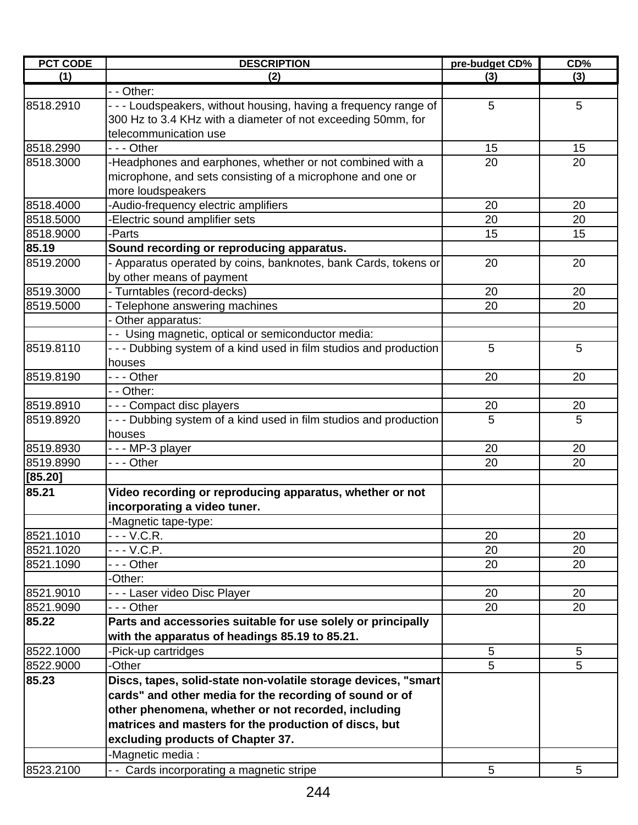| <b>PCT CODE</b> | <b>DESCRIPTION</b>                                                 | pre-budget CD% | CD% |
|-----------------|--------------------------------------------------------------------|----------------|-----|
| (1)             | (2)                                                                | (3)            | (3) |
|                 | - - Other:                                                         |                |     |
| 8518.2910       | - - - Loudspeakers, without housing, having a frequency range of   | 5              | 5   |
|                 | 300 Hz to 3.4 KHz with a diameter of not exceeding 50mm, for       |                |     |
|                 | telecommunication use                                              |                |     |
| 8518.2990       | --- Other                                                          | 15             | 15  |
| 8518.3000       | -Headphones and earphones, whether or not combined with a          | 20             | 20  |
|                 | microphone, and sets consisting of a microphone and one or         |                |     |
|                 | more loudspeakers                                                  |                |     |
| 8518.4000       | -Audio-frequency electric amplifiers                               | 20             | 20  |
| 8518.5000       | -Electric sound amplifier sets                                     | 20             | 20  |
| 8518.9000       | -Parts                                                             | 15             | 15  |
| 85.19           | Sound recording or reproducing apparatus.                          |                |     |
| 8519.2000       | - Apparatus operated by coins, banknotes, bank Cards, tokens or    | 20             | 20  |
|                 | by other means of payment                                          |                |     |
| 8519.3000       | - Turntables (record-decks)                                        | 20             | 20  |
| 8519.5000       | - Telephone answering machines                                     | 20             | 20  |
|                 | - Other apparatus:                                                 |                |     |
|                 | - - Using magnetic, optical or semiconductor media:                |                |     |
| 8519.8110       | - - - Dubbing system of a kind used in film studios and production | 5              | 5   |
|                 | houses                                                             |                |     |
| 8519.8190       | --- Other                                                          | 20             | 20  |
|                 | - - Other:                                                         |                |     |
| 8519.8910       | - - - Compact disc players                                         | 20             | 20  |
| 8519.8920       | - - - Dubbing system of a kind used in film studios and production | 5              | 5   |
|                 | houses                                                             |                |     |
| 8519.8930       | --- MP-3 player                                                    | 20             | 20  |
| 8519.8990       | - - - Other                                                        | 20             | 20  |
| [85.20]         |                                                                    |                |     |
| 85.21           | Video recording or reproducing apparatus, whether or not           |                |     |
|                 | incorporating a video tuner.                                       |                |     |
|                 | -Magnetic tape-type:                                               |                |     |
| 8521.1010       | - - - V.C.R.                                                       | 20             | 20  |
| 8521.1020       | - - - V.C.P.                                                       | 20             | 20  |
| 8521.1090       | - - - Other                                                        | 20             | 20  |
|                 | -Other:                                                            |                |     |
| 8521.9010       | - - - Laser video Disc Player                                      | 20             | 20  |
| 8521.9090       | - - - Other                                                        | 20             | 20  |
| 85.22           | Parts and accessories suitable for use solely or principally       |                |     |
|                 | with the apparatus of headings 85.19 to 85.21.                     |                |     |
| 8522.1000       | -Pick-up cartridges                                                | 5              | 5   |
| 8522.9000       | -Other                                                             | 5              | 5   |
| 85.23           | Discs, tapes, solid-state non-volatile storage devices, "smart     |                |     |
|                 | cards" and other media for the recording of sound or of            |                |     |
|                 |                                                                    |                |     |
|                 | other phenomena, whether or not recorded, including                |                |     |
|                 | matrices and masters for the production of discs, but              |                |     |
|                 | excluding products of Chapter 37.                                  |                |     |
|                 | -Magnetic media:                                                   |                |     |
| 8523.2100       | - - Cards incorporating a magnetic stripe                          | 5              | 5   |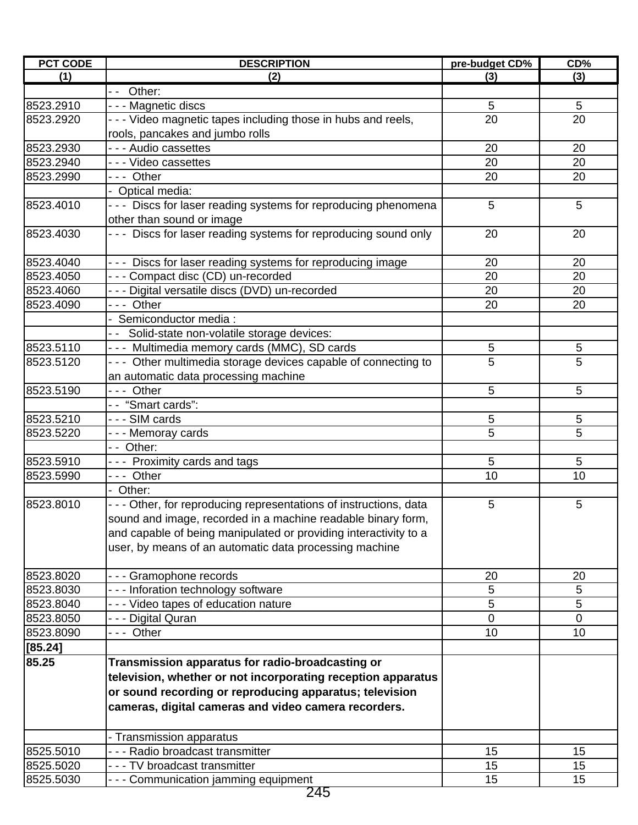| <b>PCT CODE</b> | <b>DESCRIPTION</b>                                                 | pre-budget CD% | CD% |
|-----------------|--------------------------------------------------------------------|----------------|-----|
| (1)             | (2)                                                                | (3)            | (3) |
|                 | $\overline{-}$ Other:                                              |                |     |
| 8523.2910       | - - - Magnetic discs                                               | 5              | 5   |
| 8523.2920       | - - - Video magnetic tapes including those in hubs and reels,      | 20             | 20  |
|                 | rools, pancakes and jumbo rolls                                    |                |     |
| 8523.2930       | - - - Audio cassettes                                              | 20             | 20  |
| 8523.2940       | - - - Video cassettes                                              | 20             | 20  |
| 8523.2990       | --- Other                                                          | 20             | 20  |
|                 | - Optical media:                                                   |                |     |
| 8523.4010       | - - - Discs for laser reading systems for reproducing phenomena    | 5              | 5   |
|                 | other than sound or image                                          |                |     |
| 8523.4030       | - - - Discs for laser reading systems for reproducing sound only   | 20             | 20  |
| 8523.4040       | - - - Discs for laser reading systems for reproducing image        | 20             | 20  |
| 8523.4050       | - - - Compact disc (CD) un-recorded                                | 20             | 20  |
| 8523.4060       | - - - Digital versatile discs (DVD) un-recorded                    | 20             | 20  |
| 8523.4090       | --- Other                                                          | 20             | 20  |
|                 | - Semiconductor media :                                            |                |     |
|                 | - - Solid-state non-volatile storage devices:                      |                |     |
| 8523.5110       | --- Multimedia memory cards (MMC), SD cards                        | 5              | 5   |
| 8523.5120       | - - - Other multimedia storage devices capable of connecting to    | 5              | 5   |
|                 | an automatic data processing machine                               |                |     |
| 8523.5190       | --- Other                                                          | 5              | 5   |
|                 | -- "Smart cards":                                                  |                |     |
| 8523.5210       | --- SIM cards                                                      | 5              | 5   |
| 8523.5220       | --- Memoray cards                                                  | 5              | 5   |
|                 | - - Other:                                                         |                |     |
| 8523.5910       | --- Proximity cards and tags                                       | 5              | 5   |
| 8523.5990       | --- Other                                                          | 10             | 10  |
|                 | - Other:                                                           |                |     |
| 8523.8010       | - - - Other, for reproducing representations of instructions, data | 5              | 5   |
|                 | sound and image, recorded in a machine readable binary form,       |                |     |
|                 | and capable of being manipulated or providing interactivity to a   |                |     |
|                 | user, by means of an automatic data processing machine             |                |     |
| 8523.8020       | - - - Gramophone records                                           | 20             | 20  |
| 8523.8030       | --- Inforation technology software                                 | 5              | 5   |
| 8523.8040       | - - - Video tapes of education nature                              | 5              | 5   |
| 8523.8050       | - - - Digital Quran                                                | 0              | 0   |
| 8523.8090       | --- Other                                                          | 10             | 10  |
| [85.24]         |                                                                    |                |     |
| 85.25           | Transmission apparatus for radio-broadcasting or                   |                |     |
|                 | television, whether or not incorporating reception apparatus       |                |     |
|                 | or sound recording or reproducing apparatus; television            |                |     |
|                 | cameras, digital cameras and video camera recorders.               |                |     |
|                 | - Transmission apparatus                                           |                |     |
| 8525.5010       | - - - Radio broadcast transmitter                                  | 15             | 15  |
| 8525.5020       | --- TV broadcast transmitter                                       | 15             | 15  |
| 8525.5030       | --- Communication jamming equipment                                | 15             | 15  |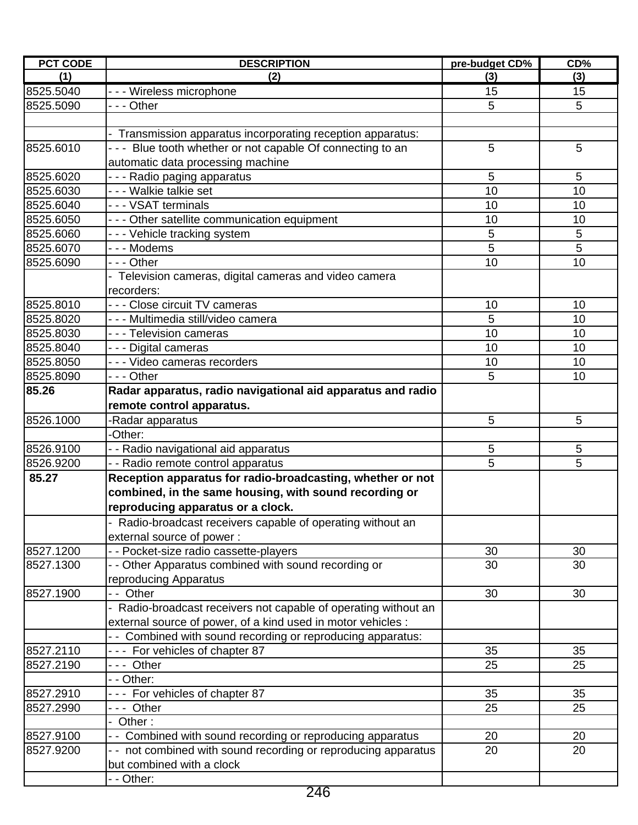| <b>PCT CODE</b> | <b>DESCRIPTION</b>                                              | pre-budget CD% | CD% |
|-----------------|-----------------------------------------------------------------|----------------|-----|
| (1)             | (2)                                                             | (3)            | (3) |
| 8525.5040       | - - - Wireless microphone                                       | 15             | 15  |
| 8525.5090       | - - - Other                                                     | 5              | 5   |
|                 |                                                                 |                |     |
|                 | - Transmission apparatus incorporating reception apparatus:     |                |     |
| 8525.6010       | - - - Blue tooth whether or not capable Of connecting to an     | 5              | 5   |
|                 | automatic data processing machine                               |                |     |
| 8525.6020       | - - - Radio paging apparatus                                    | 5              | 5   |
| 8525.6030       | - - - Walkie talkie set                                         | 10             | 10  |
| 8525.6040       | - - - VSAT terminals                                            | 10             | 10  |
| 8525.6050       | - - - Other satellite communication equipment                   | 10             | 10  |
| 8525.6060       | --- Vehicle tracking system                                     | 5              | 5   |
| 8525.6070       | - - - Modems                                                    | 5              | 5   |
| 8525.6090       | - - - Other                                                     | 10             | 10  |
|                 | - Television cameras, digital cameras and video camera          |                |     |
|                 | recorders:                                                      |                |     |
| 8525.8010       | - - - Close circuit TV cameras                                  | 10             | 10  |
| 8525.8020       | - - - Multimedia still/video camera                             | 5              | 10  |
| 8525.8030       | - - - Television cameras                                        | 10             | 10  |
| 8525.8040       | - - - Digital cameras                                           | 10             | 10  |
| 8525.8050       | - - - Video cameras recorders                                   | 10             | 10  |
| 8525.8090       | --- Other                                                       | 5              | 10  |
| 85.26           | Radar apparatus, radio navigational aid apparatus and radio     |                |     |
|                 |                                                                 |                |     |
|                 | remote control apparatus.                                       |                |     |
| 8526.1000       | -Radar apparatus<br>-Other:                                     | 5              | 5   |
|                 |                                                                 |                |     |
| 8526.9100       | - - Radio navigational aid apparatus                            | 5              | 5   |
| 8526.9200       | - - Radio remote control apparatus                              | 5              | 5   |
| 85.27           | Reception apparatus for radio-broadcasting, whether or not      |                |     |
|                 | combined, in the same housing, with sound recording or          |                |     |
|                 | reproducing apparatus or a clock.                               |                |     |
|                 | - Radio-broadcast receivers capable of operating without an     |                |     |
|                 | external source of power:                                       |                |     |
| 8527.1200       | - - Pocket-size radio cassette-players                          | 30             | 30  |
| 8527.1300       | - - Other Apparatus combined with sound recording or            | 30             | 30  |
|                 | reproducing Apparatus                                           |                |     |
| 8527.1900       | - - Other                                                       | 30             | 30  |
|                 | - Radio-broadcast receivers not capable of operating without an |                |     |
|                 | external source of power, of a kind used in motor vehicles :    |                |     |
|                 | - Combined with sound recording or reproducing apparatus:       |                |     |
| 8527.2110       | --- For vehicles of chapter 87                                  | 35             | 35  |
| 8527.2190       | --- Other                                                       | 25             | 25  |
|                 | - - Other:                                                      |                |     |
| 8527.2910       | --- For vehicles of chapter 87                                  | 35             | 35  |
| 8527.2990       | --- Other                                                       | 25             | 25  |
|                 | - Other:                                                        |                |     |
| 8527.9100       | - - Combined with sound recording or reproducing apparatus      | 20             | 20  |
| 8527.9200       | - - not combined with sound recording or reproducing apparatus  | 20             | 20  |
|                 | but combined with a clock                                       |                |     |
|                 | - - Other:                                                      |                |     |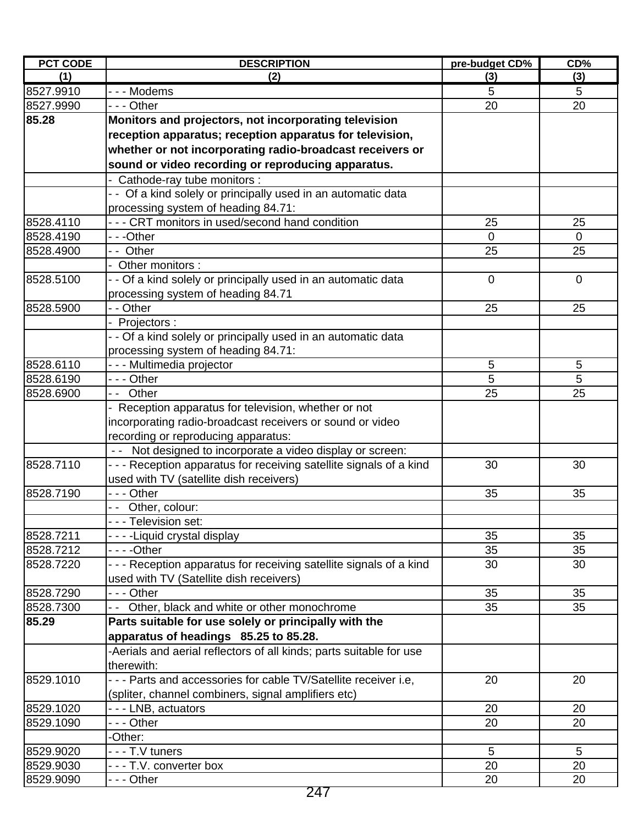| <b>PCT CODE</b> | <b>DESCRIPTION</b>                                                  | pre-budget CD% | CD%         |
|-----------------|---------------------------------------------------------------------|----------------|-------------|
| (1)             | (2)                                                                 | (3)            | (3)         |
| 8527.9910       | - - - Modems                                                        | 5              | 5           |
| 8527.9990       | --- Other                                                           | 20             | 20          |
| 85.28           | Monitors and projectors, not incorporating television               |                |             |
|                 | reception apparatus; reception apparatus for television,            |                |             |
|                 | whether or not incorporating radio-broadcast receivers or           |                |             |
|                 | sound or video recording or reproducing apparatus.                  |                |             |
|                 | - Cathode-ray tube monitors :                                       |                |             |
|                 | - - Of a kind solely or principally used in an automatic data       |                |             |
|                 | processing system of heading 84.71:                                 |                |             |
| 8528.4110       | - - - CRT monitors in used/second hand condition                    | 25             | 25          |
| 8528.4190       | ---Other                                                            | $\overline{0}$ | 0           |
| 8528.4900       | -- Other                                                            | 25             | 25          |
|                 | - Other monitors :                                                  |                |             |
| 8528.5100       | - - Of a kind solely or principally used in an automatic data       | $\mathbf 0$    | $\mathbf 0$ |
|                 | processing system of heading 84.71                                  |                |             |
| 8528.5900       | - - Other                                                           | 25             | 25          |
|                 | Projectors:                                                         |                |             |
|                 | - - Of a kind solely or principally used in an automatic data       |                |             |
|                 | processing system of heading 84.71:                                 |                |             |
| 8528.6110       | - - - Multimedia projector                                          | 5              | 5           |
| 8528.6190       | --- Other                                                           | 5              | 5           |
| 8528.6900       | -- Other                                                            | 25             | 25          |
|                 | - Reception apparatus for television, whether or not                |                |             |
|                 | incorporating radio-broadcast receivers or sound or video           |                |             |
|                 | recording or reproducing apparatus:                                 |                |             |
|                 | - - Not designed to incorporate a video display or screen:          |                |             |
| 8528.7110       | - - - Reception apparatus for receiving satellite signals of a kind | 30             | 30          |
|                 | used with TV (satellite dish receivers)                             |                |             |
| 8528.7190       | --- Other                                                           | 35             | 35          |
|                 | -- Other, colour:                                                   |                |             |
|                 | - - - Television set:                                               |                |             |
| 8528.7211       | - - - - Liquid crystal display                                      | 35             | 35          |
| 8528.7212       |                                                                     | 35             | 35          |
| 8528.7220       | - - - Reception apparatus for receiving satellite signals of a kind | 30             | 30          |
|                 | used with TV (Satellite dish receivers)                             |                |             |
| 8528.7290       | - - - Other                                                         | 35             | 35          |
| 8528.7300       | Other, black and white or other monochrome                          | 35             | 35          |
| 85.29           | Parts suitable for use solely or principally with the               |                |             |
|                 | apparatus of headings 85.25 to 85.28.                               |                |             |
|                 | -Aerials and aerial reflectors of all kinds; parts suitable for use |                |             |
|                 | therewith:                                                          |                |             |
| 8529.1010       | - - - Parts and accessories for cable TV/Satellite receiver i.e.    | 20             | 20          |
|                 | (spliter, channel combiners, signal amplifiers etc)                 |                |             |
| 8529.1020       | --- LNB, actuators                                                  | 20             | 20          |
| 8529.1090       | --- Other                                                           | 20             | 20          |
|                 | -Other:                                                             |                |             |
| 8529.9020       | - - - T.V tuners                                                    | 5              | 5           |
| 8529.9030       | ---T.V. converter box                                               | 20             | 20          |
| 8529.9090       | - - - Other                                                         | 20             | 20          |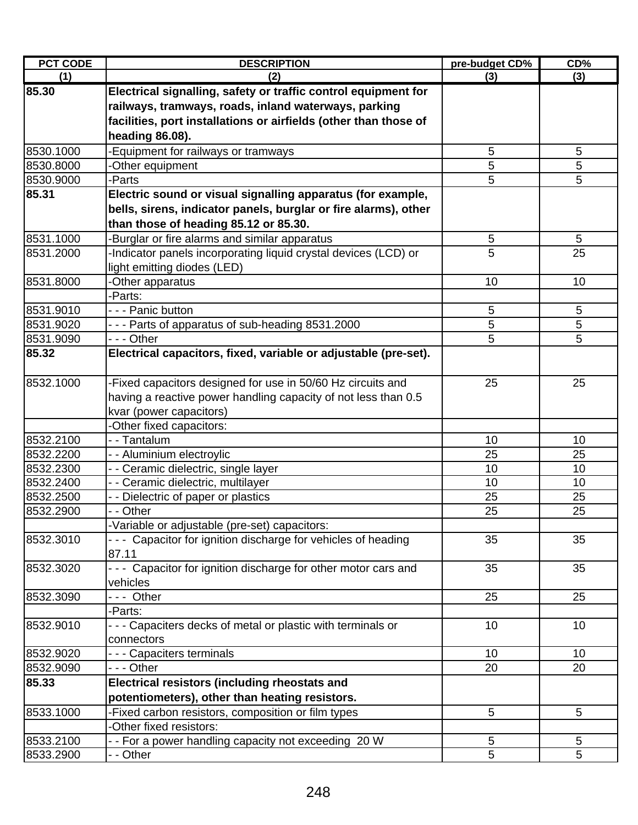| <b>PCT CODE</b> | <b>DESCRIPTION</b>                                               | pre-budget CD% | CD% |
|-----------------|------------------------------------------------------------------|----------------|-----|
| (1)             | (2)                                                              | (3)            | (3) |
| 85.30           | Electrical signalling, safety or traffic control equipment for   |                |     |
|                 | railways, tramways, roads, inland waterways, parking             |                |     |
|                 | facilities, port installations or airfields (other than those of |                |     |
|                 | heading 86.08).                                                  |                |     |
| 8530.1000       | -Equipment for railways or tramways                              | 5              | 5   |
| 8530.8000       | -Other equipment                                                 | 5              | 5   |
| 8530.9000       | -Parts                                                           | 5              | 5   |
| 85.31           | Electric sound or visual signalling apparatus (for example,      |                |     |
|                 | bells, sirens, indicator panels, burglar or fire alarms), other  |                |     |
|                 | than those of heading 85.12 or 85.30.                            |                |     |
| 8531.1000       | -Burglar or fire alarms and similar apparatus                    | 5              | 5   |
| 8531.2000       | -Indicator panels incorporating liquid crystal devices (LCD) or  | 5              | 25  |
|                 | light emitting diodes (LED)                                      |                |     |
| 8531.8000       | -Other apparatus                                                 | 10             | 10  |
|                 | -Parts:                                                          |                |     |
| 8531.9010       | - - - Panic button                                               | 5              | 5   |
| 8531.9020       | - - - Parts of apparatus of sub-heading 8531.2000                | 5              | 5   |
| 8531.9090       | --- Other                                                        | 5              | 5   |
| 85.32           | Electrical capacitors, fixed, variable or adjustable (pre-set).  |                |     |
|                 |                                                                  |                |     |
| 8532.1000       | -Fixed capacitors designed for use in 50/60 Hz circuits and      | 25             | 25  |
|                 | having a reactive power handling capacity of not less than 0.5   |                |     |
|                 | kvar (power capacitors)                                          |                |     |
|                 | -Other fixed capacitors:                                         |                |     |
| 8532.2100       | - - Tantalum                                                     | 10             | 10  |
| 8532.2200       | - - Aluminium electroylic                                        | 25             | 25  |
| 8532.2300       | - - Ceramic dielectric, single layer                             | 10             | 10  |
| 8532.2400       | - - Ceramic dielectric, multilayer                               | 10             | 10  |
| 8532.2500       | - - Dielectric of paper or plastics                              | 25             | 25  |
| 8532.2900       | - - Other                                                        | 25             | 25  |
|                 | -Variable or adjustable (pre-set) capacitors:                    |                |     |
| 8532.3010       | --- Capacitor for ignition discharge for vehicles of heading     | 35             | 35  |
|                 | 87.11                                                            |                |     |
| 8532.3020       | --- Capacitor for ignition discharge for other motor cars and    | 35             | 35  |
|                 | vehicles                                                         |                |     |
| 8532.3090       | --- Other                                                        | 25             | 25  |
|                 | -Parts:                                                          |                |     |
| 8532.9010       | --- Capaciters decks of metal or plastic with terminals or       | 10             | 10  |
|                 | connectors                                                       |                |     |
| 8532.9020       | - - - Capaciters terminals                                       | 10             | 10  |
| 8532.9090       | - - - Other                                                      | 20             | 20  |
| 85.33           | <b>Electrical resistors (including rheostats and</b>             |                |     |
|                 | potentiometers), other than heating resistors.                   |                |     |
| 8533.1000       | -Fixed carbon resistors, composition or film types               | 5              | 5   |
|                 | -Other fixed resistors:                                          |                |     |
| 8533.2100       | - - For a power handling capacity not exceeding 20 W             | 5              | 5   |
| 8533.2900       | - - Other                                                        | 5              | 5   |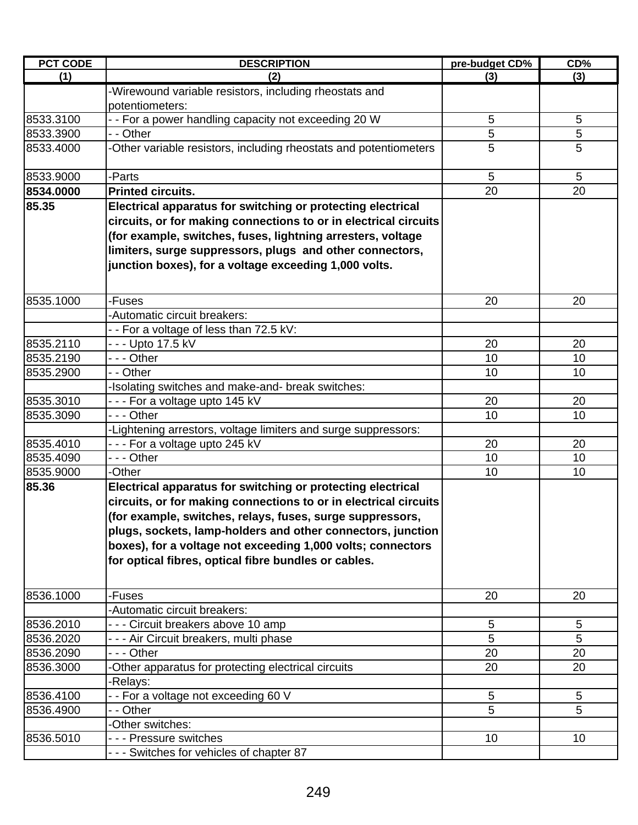| <b>PCT CODE</b> | <b>DESCRIPTION</b>                                                                                                                                                                                                                                                                                                                                                                 | pre-budget CD%  | CD% |
|-----------------|------------------------------------------------------------------------------------------------------------------------------------------------------------------------------------------------------------------------------------------------------------------------------------------------------------------------------------------------------------------------------------|-----------------|-----|
| (1)             | (2)                                                                                                                                                                                                                                                                                                                                                                                | (3)             | (3) |
|                 | -Wirewound variable resistors, including rheostats and<br>potentiometers:                                                                                                                                                                                                                                                                                                          |                 |     |
| 8533.3100       | - - For a power handling capacity not exceeding 20 W                                                                                                                                                                                                                                                                                                                               | 5               | 5   |
| 8533.3900       | - - Other                                                                                                                                                                                                                                                                                                                                                                          | 5               | 5   |
| 8533.4000       | -Other variable resistors, including rheostats and potentiometers                                                                                                                                                                                                                                                                                                                  | 5               | 5   |
| 8533.9000       | -Parts                                                                                                                                                                                                                                                                                                                                                                             | 5               | 5   |
| 8534.0000       | <b>Printed circuits.</b>                                                                                                                                                                                                                                                                                                                                                           | 20              | 20  |
| 85.35           | Electrical apparatus for switching or protecting electrical<br>circuits, or for making connections to or in electrical circuits<br>(for example, switches, fuses, lightning arresters, voltage<br>limiters, surge suppressors, plugs and other connectors,<br>junction boxes), for a voltage exceeding 1,000 volts.                                                                |                 |     |
| 8535.1000       | -Fuses                                                                                                                                                                                                                                                                                                                                                                             | 20              | 20  |
|                 | -Automatic circuit breakers:                                                                                                                                                                                                                                                                                                                                                       |                 |     |
|                 | - - For a voltage of less than 72.5 kV:                                                                                                                                                                                                                                                                                                                                            |                 |     |
| 8535.2110       | - - - Upto 17.5 kV                                                                                                                                                                                                                                                                                                                                                                 | 20              | 20  |
| 8535.2190       | - - - Other                                                                                                                                                                                                                                                                                                                                                                        | 10              | 10  |
| 8535.2900       | - - Other                                                                                                                                                                                                                                                                                                                                                                          | 10              | 10  |
|                 | -Isolating switches and make-and- break switches:                                                                                                                                                                                                                                                                                                                                  |                 |     |
| 8535.3010       | --- For a voltage upto 145 kV                                                                                                                                                                                                                                                                                                                                                      | 20              | 20  |
| 8535.3090       | --- Other                                                                                                                                                                                                                                                                                                                                                                          | 10              | 10  |
|                 | -Lightening arrestors, voltage limiters and surge suppressors:                                                                                                                                                                                                                                                                                                                     |                 |     |
| 8535.4010       | --- For a voltage upto 245 kV                                                                                                                                                                                                                                                                                                                                                      | 20              | 20  |
| 8535.4090       | - - - Other                                                                                                                                                                                                                                                                                                                                                                        | 10              | 10  |
| 8535.9000       | -Other                                                                                                                                                                                                                                                                                                                                                                             | 10              | 10  |
| 85.36           | Electrical apparatus for switching or protecting electrical<br>circuits, or for making connections to or in electrical circuits<br>(for example, switches, relays, fuses, surge suppressors,<br>plugs, sockets, lamp-holders and other connectors, junction<br>boxes), for a voltage not exceeding 1,000 volts; connectors<br>for optical fibres, optical fibre bundles or cables. |                 |     |
| 8536.1000       | -Fuses                                                                                                                                                                                                                                                                                                                                                                             | 20              | 20  |
|                 | -Automatic circuit breakers:                                                                                                                                                                                                                                                                                                                                                       |                 |     |
| 8536.2010       | - - - Circuit breakers above 10 amp                                                                                                                                                                                                                                                                                                                                                | $\sqrt{5}$      | 5   |
| 8536.2020       | - - - Air Circuit breakers, multi phase                                                                                                                                                                                                                                                                                                                                            | 5               | 5   |
| 8536.2090       | - - - Other                                                                                                                                                                                                                                                                                                                                                                        | 20              | 20  |
| 8536.3000       | -Other apparatus for protecting electrical circuits                                                                                                                                                                                                                                                                                                                                | 20              | 20  |
|                 | -Relays:                                                                                                                                                                                                                                                                                                                                                                           |                 |     |
| 8536.4100       | - - For a voltage not exceeding 60 V                                                                                                                                                                                                                                                                                                                                               | 5               | 5   |
| 8536.4900       | - - Other                                                                                                                                                                                                                                                                                                                                                                          | 5               | 5   |
|                 | -Other switches:                                                                                                                                                                                                                                                                                                                                                                   |                 |     |
| 8536.5010       | - - - Pressure switches                                                                                                                                                                                                                                                                                                                                                            | 10 <sup>°</sup> | 10  |
|                 | --- Switches for vehicles of chapter 87                                                                                                                                                                                                                                                                                                                                            |                 |     |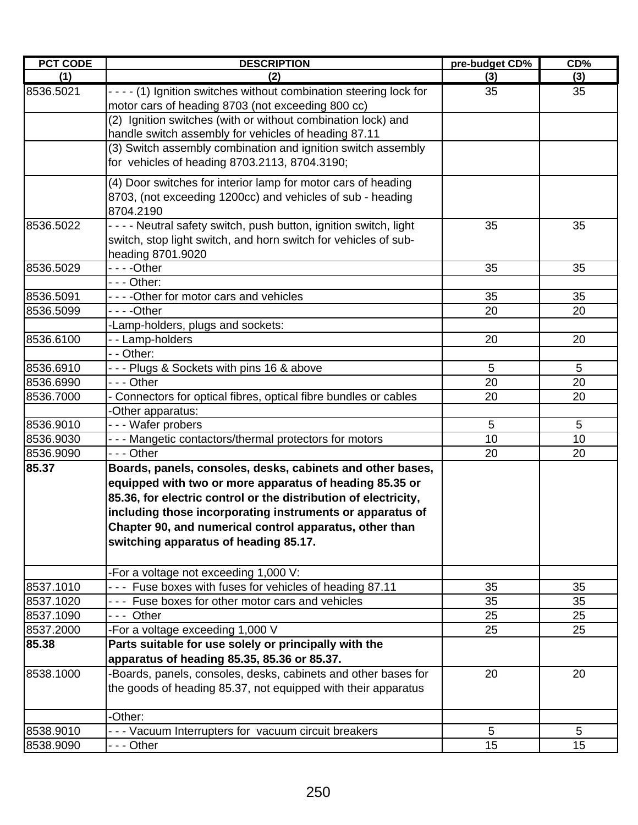| <b>PCT CODE</b> | <b>DESCRIPTION</b>                                                  | pre-budget CD% | CD% |
|-----------------|---------------------------------------------------------------------|----------------|-----|
| (1)             | (2)                                                                 | (3)            | (3) |
| 8536.5021       | - - - - (1) Ignition switches without combination steering lock for | 35             | 35  |
|                 | motor cars of heading 8703 (not exceeding 800 cc)                   |                |     |
|                 | (2) Ignition switches (with or without combination lock) and        |                |     |
|                 | handle switch assembly for vehicles of heading 87.11                |                |     |
|                 | (3) Switch assembly combination and ignition switch assembly        |                |     |
|                 | for vehicles of heading 8703.2113, 8704.3190;                       |                |     |
|                 | (4) Door switches for interior lamp for motor cars of heading       |                |     |
|                 | 8703, (not exceeding 1200cc) and vehicles of sub - heading          |                |     |
|                 | 8704.2190                                                           |                |     |
| 8536.5022       | - - - - Neutral safety switch, push button, ignition switch, light  | 35             | 35  |
|                 | switch, stop light switch, and horn switch for vehicles of sub-     |                |     |
|                 | heading 8701.9020                                                   |                |     |
| 8536.5029       |                                                                     | 35             | 35  |
|                 | $\overline{-}$ - Other:                                             |                |     |
| 8536.5091       | - - - - Other for motor cars and vehicles                           | 35             | 35  |
| 8536.5099       |                                                                     | 20             | 20  |
|                 | -Lamp-holders, plugs and sockets:                                   |                |     |
| 8536.6100       | --Lamp-holders                                                      | 20             | 20  |
|                 | - - Other:                                                          |                |     |
| 8536.6910       | --- Plugs & Sockets with pins 16 & above                            | 5              | 5   |
| 8536.6990       | --- Other                                                           | 20             | 20  |
| 8536.7000       | - Connectors for optical fibres, optical fibre bundles or cables    | 20             | 20  |
|                 | -Other apparatus:                                                   |                |     |
| 8536.9010       | --- Wafer probers                                                   | 5              | 5   |
| 8536.9030       | - - - Mangetic contactors/thermal protectors for motors             | 10             | 10  |
| 8536.9090       | $- -$ Other                                                         | 20             | 20  |
| 85.37           | Boards, panels, consoles, desks, cabinets and other bases,          |                |     |
|                 | equipped with two or more apparatus of heading 85.35 or             |                |     |
|                 | 85.36, for electric control or the distribution of electricity,     |                |     |
|                 | including those incorporating instruments or apparatus of           |                |     |
|                 | Chapter 90, and numerical control apparatus, other than             |                |     |
|                 | switching apparatus of heading 85.17.                               |                |     |
|                 | -For a voltage not exceeding 1,000 V:                               |                |     |
| 8537.1010       | --- Fuse boxes with fuses for vehicles of heading 87.11             | 35             | 35  |
| 8537.1020       | Fuse boxes for other motor cars and vehicles                        | 35             | 35  |
| 8537.1090       | --- Other                                                           | 25             | 25  |
| 8537.2000       | -For a voltage exceeding 1,000 V                                    | 25             | 25  |
| 85.38           | Parts suitable for use solely or principally with the               |                |     |
|                 | apparatus of heading 85.35, 85.36 or 85.37.                         |                |     |
| 8538.1000       | -Boards, panels, consoles, desks, cabinets and other bases for      | 20             | 20  |
|                 | the goods of heading 85.37, not equipped with their apparatus       |                |     |
|                 | -Other:                                                             |                |     |
| 8538.9010       | --- Vacuum Interrupters for vacuum circuit breakers                 | $\overline{5}$ | 5   |
| 8538.9090       | - - - Other                                                         | 15             | 15  |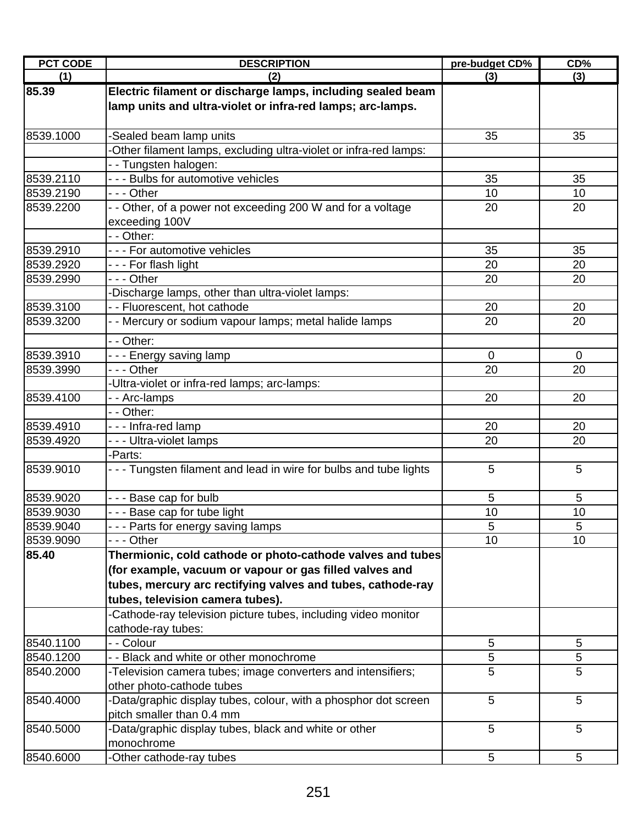| <b>PCT CODE</b> | <b>DESCRIPTION</b>                                                | pre-budget CD% | CD%             |
|-----------------|-------------------------------------------------------------------|----------------|-----------------|
| (1)             | (2)                                                               | (3)            | (3)             |
| 85.39           | Electric filament or discharge lamps, including sealed beam       |                |                 |
|                 | lamp units and ultra-violet or infra-red lamps; arc-lamps.        |                |                 |
|                 |                                                                   |                |                 |
| 8539.1000       | Sealed beam lamp units                                            | 35             | 35              |
|                 | -Other filament lamps, excluding ultra-violet or infra-red lamps: |                |                 |
|                 | - - Tungsten halogen:                                             |                |                 |
| 8539.2110       | - - - Bulbs for automotive vehicles                               | 35             | 35              |
| 8539.2190       | - - - Other                                                       | 10             | 10              |
| 8539.2200       | - - Other, of a power not exceeding 200 W and for a voltage       | 20             | 20              |
|                 | exceeding 100V                                                    |                |                 |
|                 | - - Other:                                                        |                |                 |
| 8539.2910       | - - - For automotive vehicles                                     | 35             | 35              |
| 8539.2920       | - - - For flash light                                             | 20             | 20              |
| 8539.2990       | - - - Other                                                       | 20             | 20              |
|                 | Discharge lamps, other than ultra-violet lamps:                   |                |                 |
| 8539.3100       | - - Fluorescent, hot cathode                                      | 20             | 20              |
| 8539.3200       | - - Mercury or sodium vapour lamps; metal halide lamps            | 20             | 20              |
|                 | - - Other:                                                        |                |                 |
| 8539.3910       | --- Energy saving lamp                                            | $\mathbf 0$    | $\mathbf 0$     |
| 8539.3990       | - - - Other                                                       | 20             | 20              |
|                 | -Ultra-violet or infra-red lamps; arc-lamps:                      |                |                 |
| 8539.4100       | -- Arc-lamps                                                      | 20             | 20              |
|                 | - - Other:                                                        |                |                 |
| 8539.4910       | --- Infra-red lamp                                                | 20             | 20              |
| 8539.4920       | --- Ultra-violet lamps                                            | 20             | 20              |
|                 | -Parts:                                                           |                |                 |
| 8539.9010       | --- Tungsten filament and lead in wire for bulbs and tube lights  | 5              | 5               |
|                 |                                                                   |                |                 |
| 8539.9020       | - - - Base cap for bulb                                           | 5              | 5               |
| 8539.9030       | --- Base cap for tube light                                       | 10             | 10              |
| 8539.9040       | - - - Parts for energy saving lamps                               | 5              | 5               |
| 8539.9090       | - - - Other                                                       | 10             | 10              |
| 85.40           | Thermionic, cold cathode or photo-cathode valves and tubes        |                |                 |
|                 | (for example, vacuum or vapour or gas filled valves and           |                |                 |
|                 | tubes, mercury arc rectifying valves and tubes, cathode-ray       |                |                 |
|                 | tubes, television camera tubes).                                  |                |                 |
|                 | -Cathode-ray television picture tubes, including video monitor    |                |                 |
|                 | cathode-ray tubes:                                                |                |                 |
| 8540.1100       | - - Colour                                                        | $\sqrt{5}$     | 5               |
| 8540.1200       | - - Black and white or other monochrome                           | 5              | $\mathbf 5$     |
| 8540.2000       | -Television camera tubes; image converters and intensifiers;      | 5              | 5               |
|                 | other photo-cathode tubes                                         |                |                 |
| 8540.4000       | -Data/graphic display tubes, colour, with a phosphor dot screen   | 5              | 5               |
|                 | pitch smaller than 0.4 mm                                         |                |                 |
| 8540.5000       | -Data/graphic display tubes, black and white or other             | 5              | 5               |
|                 | monochrome                                                        |                |                 |
| 8540.6000       | -Other cathode-ray tubes                                          | 5              | $5\phantom{.0}$ |
|                 |                                                                   |                |                 |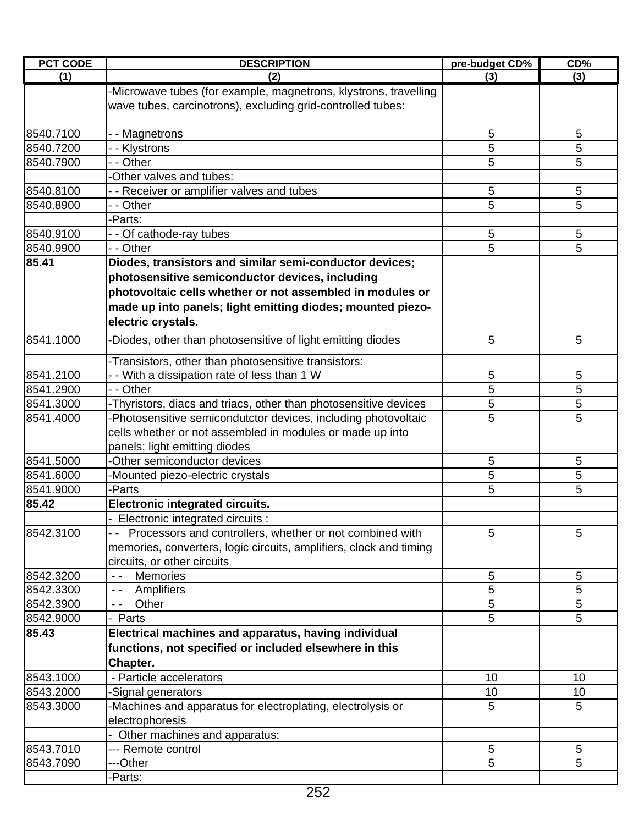| <b>PCT CODE</b> | <b>DESCRIPTION</b>                                                                                                                                                | pre-budget CD% | CD%             |
|-----------------|-------------------------------------------------------------------------------------------------------------------------------------------------------------------|----------------|-----------------|
| (1)             | (2)                                                                                                                                                               | (3)            | (3)             |
|                 | -Microwave tubes (for example, magnetrons, klystrons, travelling<br>wave tubes, carcinotrons), excluding grid-controlled tubes:                                   |                |                 |
| 8540.7100       | - - Magnetrons                                                                                                                                                    | 5              | 5               |
| 8540.7200       | - - Klystrons                                                                                                                                                     | 5              | 5               |
| 8540.7900       | - - Other                                                                                                                                                         | 5              | 5               |
|                 | -Other valves and tubes:                                                                                                                                          |                |                 |
| 8540.8100       | - - Receiver or amplifier valves and tubes                                                                                                                        | 5              | 5               |
| 8540.8900       | - - Other                                                                                                                                                         | 5              | 5               |
|                 | -Parts:                                                                                                                                                           |                |                 |
| 8540.9100       | - - Of cathode-ray tubes                                                                                                                                          | 5              | $5\phantom{.0}$ |
| 8540.9900       | - - Other                                                                                                                                                         | 5              | 5               |
| 85.41           | Diodes, transistors and similar semi-conductor devices;                                                                                                           |                |                 |
|                 | photosensitive semiconductor devices, including                                                                                                                   |                |                 |
|                 | photovoltaic cells whether or not assembled in modules or                                                                                                         |                |                 |
|                 | made up into panels; light emitting diodes; mounted piezo-<br>electric crystals.                                                                                  |                |                 |
| 8541.1000       | Diodes, other than photosensitive of light emitting diodes                                                                                                        | 5              | 5               |
|                 | -Transistors, other than photosensitive transistors:                                                                                                              |                |                 |
| 8541.2100       | - - With a dissipation rate of less than 1 W                                                                                                                      | 5              | 5               |
| 8541.2900       | - - Other                                                                                                                                                         | 5              | 5               |
| 8541.3000       | -Thyristors, diacs and triacs, other than photosensitive devices                                                                                                  | 5              | 5               |
| 8541.4000       | -Photosensitive semicondutctor devices, including photovoltaic<br>cells whether or not assembled in modules or made up into                                       | 5              | 5               |
| 8541.5000       | panels; light emitting diodes<br>-Other semiconductor devices                                                                                                     | 5              | 5               |
| 8541.6000       |                                                                                                                                                                   |                |                 |
| 8541.9000       | -Mounted piezo-electric crystals<br>-Parts                                                                                                                        | 5<br>5         | 5<br>5          |
|                 |                                                                                                                                                                   |                |                 |
| 85.42           | <b>Electronic integrated circuits.</b>                                                                                                                            |                |                 |
|                 | - Electronic integrated circuits :                                                                                                                                |                |                 |
| 8542.3100       | - - Processors and controllers, whether or not combined with<br>memories, converters, logic circuits, amplifiers, clock and timing<br>circuits, or other circuits | 5              | 5               |
| 8542.3200       | <b>Memories</b><br>$\sim$ $\sim$                                                                                                                                  | 5              | 5               |
| 8542.3300       | Amplifiers<br>$\sim$ $\sim$                                                                                                                                       | 5              | 5               |
| 8542.3900       | Other<br>$ -$                                                                                                                                                     | 5              | 5               |
| 8542.9000       | Parts                                                                                                                                                             | 5              | 5               |
| 85.43           | Electrical machines and apparatus, having individual<br>functions, not specified or included elsewhere in this<br>Chapter.                                        |                |                 |
| 8543.1000       | - Particle accelerators                                                                                                                                           | 10             | 10              |
| 8543.2000       | -Signal generators                                                                                                                                                | 10             | 10              |
| 8543.3000       | -Machines and apparatus for electroplating, electrolysis or                                                                                                       | 5              | 5               |
|                 | electrophoresis                                                                                                                                                   |                |                 |
|                 | - Other machines and apparatus:                                                                                                                                   |                |                 |
| 8543.7010       | --- Remote control                                                                                                                                                | 5              | 5               |
| 8543.7090       | ---Other                                                                                                                                                          | 5              | 5               |
|                 | -Parts:                                                                                                                                                           |                |                 |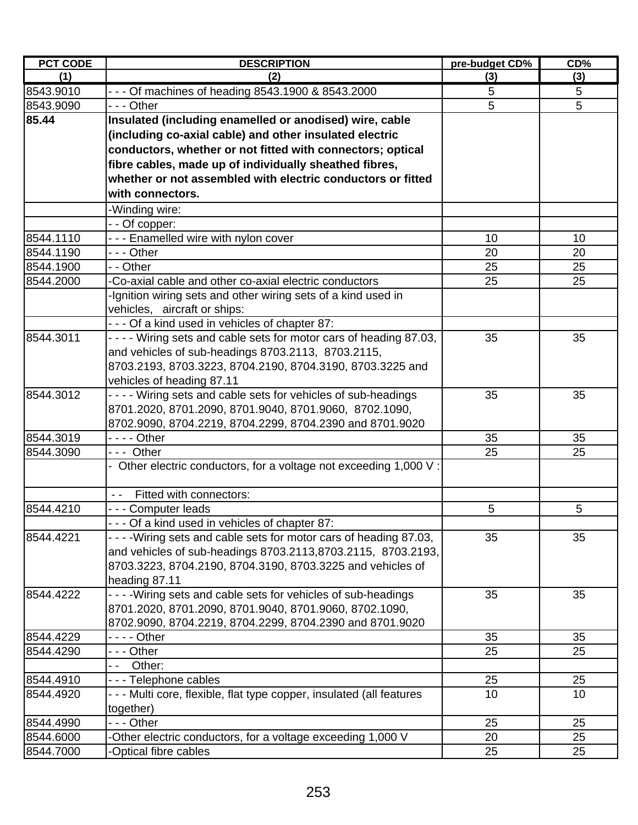| <b>PCT CODE</b> | <b>DESCRIPTION</b>                                                    | pre-budget CD% | CD <sub>0</sub> |
|-----------------|-----------------------------------------------------------------------|----------------|-----------------|
| (1)             | (2)                                                                   | (3)            | (3)             |
| 8543.9010       | - - - Of machines of heading 8543.1900 & 8543.2000                    | 5              | 5               |
| 8543.9090       | - - - Other                                                           | $\overline{5}$ | $\overline{5}$  |
| 85.44           | Insulated (including enamelled or anodised) wire, cable               |                |                 |
|                 | (including co-axial cable) and other insulated electric               |                |                 |
|                 | conductors, whether or not fitted with connectors; optical            |                |                 |
|                 | fibre cables, made up of individually sheathed fibres,                |                |                 |
|                 | whether or not assembled with electric conductors or fitted           |                |                 |
|                 | with connectors.                                                      |                |                 |
|                 | -Winding wire:                                                        |                |                 |
|                 | - - Of copper:                                                        |                |                 |
| 8544.1110       | --- Enamelled wire with nylon cover                                   | 10             | 10              |
| 8544.1190       | --- Other                                                             | 20             | 20              |
| 8544.1900       | - - Other                                                             | 25             | 25              |
| 8544.2000       | -Co-axial cable and other co-axial electric conductors                | 25             | 25              |
|                 | -Ignition wiring sets and other wiring sets of a kind used in         |                |                 |
|                 | vehicles, aircraft or ships:                                          |                |                 |
|                 | - - - Of a kind used in vehicles of chapter 87:                       |                |                 |
| 8544.3011       | - - - - Wiring sets and cable sets for motor cars of heading 87.03,   | 35             | 35              |
|                 | and vehicles of sub-headings 8703.2113, 8703.2115,                    |                |                 |
|                 | 8703.2193, 8703.3223, 8704.2190, 8704.3190, 8703.3225 and             |                |                 |
|                 | vehicles of heading 87.11                                             |                |                 |
| 8544.3012       | - - - - Wiring sets and cable sets for vehicles of sub-headings       | 35             | 35              |
|                 | 8701.2020, 8701.2090, 8701.9040, 8701.9060, 8702.1090,                |                |                 |
|                 | 8702.9090, 8704.2219, 8704.2299, 8704.2390 and 8701.9020              |                |                 |
| 8544.3019       | - - - - Other                                                         | 35             | 35              |
| 8544.3090       | --- Other                                                             | 25             | 25              |
|                 | - Other electric conductors, for a voltage not exceeding 1,000 V:     |                |                 |
|                 | Fitted with connectors:<br>$\frac{1}{2}$                              |                |                 |
| 8544.4210       | --- Computer leads                                                    | 5              | 5               |
|                 | - - - Of a kind used in vehicles of chapter 87:                       |                |                 |
| 8544.4221       | - - - - Wiring sets and cable sets for motor cars of heading 87.03,   | 35             | 35              |
|                 | and vehicles of sub-headings 8703.2113,8703.2115, 8703.2193,          |                |                 |
|                 | 8703.3223, 8704.2190, 8704.3190, 8703.3225 and vehicles of            |                |                 |
|                 | heading 87.11                                                         |                |                 |
| 8544.4222       | - - - - Wiring sets and cable sets for vehicles of sub-headings       | 35             | 35              |
|                 | 8701.2020, 8701.2090, 8701.9040, 8701.9060, 8702.1090,                |                |                 |
|                 | 8702.9090, 8704.2219, 8704.2299, 8704.2390 and 8701.9020              |                |                 |
| 8544.4229       |                                                                       | 35             | 35              |
| 8544.4290       | - - - Other                                                           | 25             | 25              |
|                 | Other:<br>- -                                                         |                |                 |
| 8544.4910       | - - - Telephone cables                                                | 25             | 25              |
| 8544.4920       | - - - Multi core, flexible, flat type copper, insulated (all features | 10             | 10              |
|                 | together)                                                             |                |                 |
| 8544.4990       | --- Other                                                             | 25             | 25              |
| 8544.6000       | Other electric conductors, for a voltage exceeding 1,000 V            | 20             | 25              |
| 8544.7000       | -Optical fibre cables                                                 | 25             | 25              |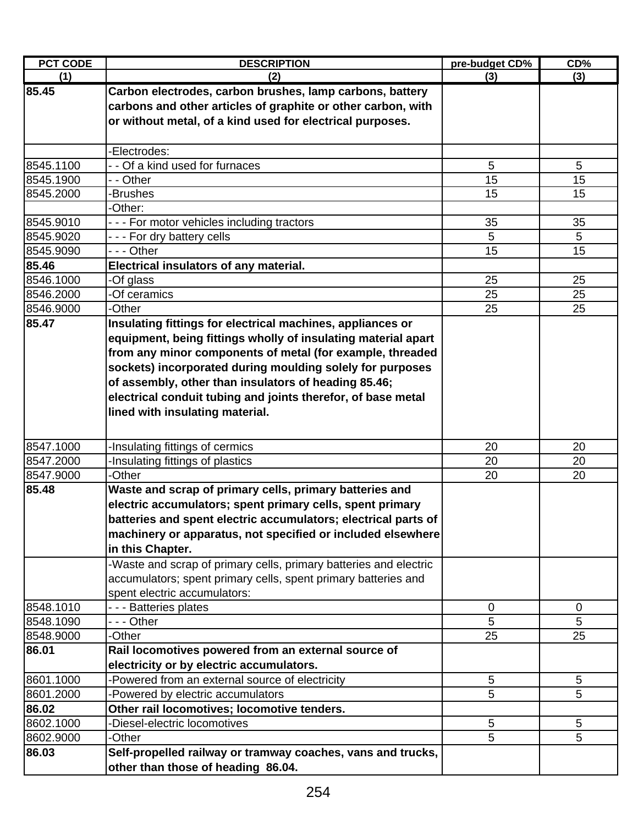| <b>PCT CODE</b> | <b>DESCRIPTION</b>                                                | pre-budget CD% | CD%         |
|-----------------|-------------------------------------------------------------------|----------------|-------------|
| (1)             | (2)                                                               | (3)            | (3)         |
| 85.45           | Carbon electrodes, carbon brushes, lamp carbons, battery          |                |             |
|                 | carbons and other articles of graphite or other carbon, with      |                |             |
|                 | or without metal, of a kind used for electrical purposes.         |                |             |
|                 |                                                                   |                |             |
|                 | -Electrodes:                                                      |                |             |
| 8545.1100       | - - Of a kind used for furnaces                                   | 5              | 5           |
| 8545.1900       | - - Other                                                         | 15             | 15          |
| 8545.2000       | -Brushes                                                          | 15             | 15          |
|                 | -Other:                                                           |                |             |
| 8545.9010       | --- For motor vehicles including tractors                         | 35             | 35          |
| 8545.9020       | --- For dry battery cells                                         | 5              | 5           |
| 8545.9090       | --- Other                                                         | 15             | 15          |
| 85.46           | Electrical insulators of any material.                            |                |             |
| 8546.1000       | -Of glass                                                         | 25             | 25          |
| 8546.2000       | -Of ceramics                                                      | 25             | 25          |
| 8546.9000       | -Other                                                            | 25             | 25          |
| 85.47           | Insulating fittings for electrical machines, appliances or        |                |             |
|                 | equipment, being fittings wholly of insulating material apart     |                |             |
|                 | from any minor components of metal (for example, threaded         |                |             |
|                 | sockets) incorporated during moulding solely for purposes         |                |             |
|                 | of assembly, other than insulators of heading 85.46;              |                |             |
|                 | electrical conduit tubing and joints therefor, of base metal      |                |             |
|                 | lined with insulating material.                                   |                |             |
|                 |                                                                   |                |             |
| 8547.1000       | -Insulating fittings of cermics                                   | 20             | 20          |
| 8547.2000       | -Insulating fittings of plastics                                  | 20             | 20          |
| 8547.9000       | -Other                                                            | 20             | 20          |
| 85.48           | Waste and scrap of primary cells, primary batteries and           |                |             |
|                 | electric accumulators; spent primary cells, spent primary         |                |             |
|                 | batteries and spent electric accumulators: electrical parts of    |                |             |
|                 | machinery or apparatus, not specified or included elsewhere       |                |             |
|                 | in this Chapter.                                                  |                |             |
|                 | -Waste and scrap of primary cells, primary batteries and electric |                |             |
|                 | accumulators; spent primary cells, spent primary batteries and    |                |             |
|                 | spent electric accumulators:                                      |                |             |
| 8548.1010       | - - - Batteries plates                                            | 0              | $\mathbf 0$ |
| 8548.1090       | - - - Other                                                       | 5              | 5           |
| 8548.9000       | -Other                                                            | 25             | 25          |
| 86.01           | Rail locomotives powered from an external source of               |                |             |
|                 | electricity or by electric accumulators.                          |                |             |
| 8601.1000       | Powered from an external source of electricity                    | 5              | 5           |
| 8601.2000       | -Powered by electric accumulators                                 | 5              | 5           |
| 86.02           | Other rail locomotives; locomotive tenders.                       |                |             |
| 8602.1000       | -Diesel-electric locomotives                                      | 5              | 5           |
| 8602.9000       | -Other                                                            | 5              | 5           |
| 86.03           | Self-propelled railway or tramway coaches, vans and trucks,       |                |             |
|                 | other than those of heading 86.04.                                |                |             |
|                 |                                                                   |                |             |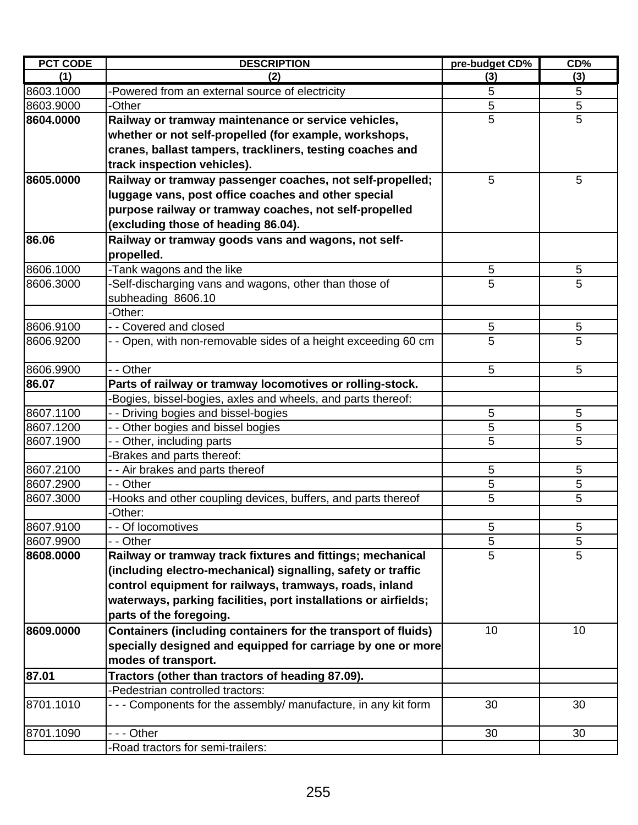| <b>PCT CODE</b> | <b>DESCRIPTION</b>                                              | pre-budget CD% | CD% |
|-----------------|-----------------------------------------------------------------|----------------|-----|
| (1)             | (2)                                                             | (3)            | (3) |
| 8603.1000       | -Powered from an external source of electricity                 | 5              | 5   |
| 8603.9000       | -Other                                                          | $\overline{5}$ | 5   |
| 8604.0000       | Railway or tramway maintenance or service vehicles,             | 5              | 5   |
|                 | whether or not self-propelled (for example, workshops,          |                |     |
|                 | cranes, ballast tampers, trackliners, testing coaches and       |                |     |
|                 | track inspection vehicles).                                     |                |     |
| 8605.0000       | Railway or tramway passenger coaches, not self-propelled;       | 5              | 5   |
|                 | luggage vans, post office coaches and other special             |                |     |
|                 | purpose railway or tramway coaches, not self-propelled          |                |     |
|                 | (excluding those of heading 86.04).                             |                |     |
| 86.06           | Railway or tramway goods vans and wagons, not self-             |                |     |
|                 | propelled.                                                      |                |     |
| 8606.1000       | -Tank wagons and the like                                       | 5              | 5   |
| 8606.3000       | -Self-discharging vans and wagons, other than those of          | 5              | 5   |
|                 | subheading 8606.10                                              |                |     |
|                 | -Other:                                                         |                |     |
| 8606.9100       | - - Covered and closed                                          | 5              | 5   |
| 8606.9200       | - - Open, with non-removable sides of a height exceeding 60 cm  | 5              | 5   |
|                 |                                                                 |                |     |
| 8606.9900       | - - Other                                                       | 5              | 5   |
| 86.07           | Parts of railway or tramway locomotives or rolling-stock.       |                |     |
|                 | -Bogies, bissel-bogies, axles and wheels, and parts thereof:    |                |     |
| 8607.1100       | - - Driving bogies and bissel-bogies                            | 5              | 5   |
| 8607.1200       | - - Other bogies and bissel bogies                              | 5              | 5   |
| 8607.1900       | - - Other, including parts                                      | 5              | 5   |
|                 | Brakes and parts thereof:                                       |                |     |
| 8607.2100       | - - Air brakes and parts thereof                                | 5              | 5   |
| 8607.2900       | - - Other                                                       | 5              | 5   |
| 8607.3000       | -Hooks and other coupling devices, buffers, and parts thereof   | 5              | 5   |
|                 | -Other:                                                         |                |     |
| 8607.9100       | - - Of locomotives                                              | 5              | 5   |
| 8607.9900       | - - Other                                                       | 5              | 5   |
| 8608.0000       | Railway or tramway track fixtures and fittings; mechanical      | $\overline{5}$ | 5   |
|                 | (including electro-mechanical) signalling, safety or traffic    |                |     |
|                 | control equipment for railways, tramways, roads, inland         |                |     |
|                 | waterways, parking facilities, port installations or airfields; |                |     |
|                 | parts of the foregoing.                                         |                |     |
| 8609.0000       | Containers (including containers for the transport of fluids)   | 10             | 10  |
|                 | specially designed and equipped for carriage by one or more     |                |     |
|                 | modes of transport.                                             |                |     |
| 87.01           | Tractors (other than tractors of heading 87.09).                |                |     |
|                 | -Pedestrian controlled tractors:                                |                |     |
| 8701.1010       | - - - Components for the assembly/ manufacture, in any kit form | 30             | 30  |
|                 |                                                                 |                |     |
| 8701.1090       | --- Other                                                       | 30             | 30  |
|                 | -Road tractors for semi-trailers:                               |                |     |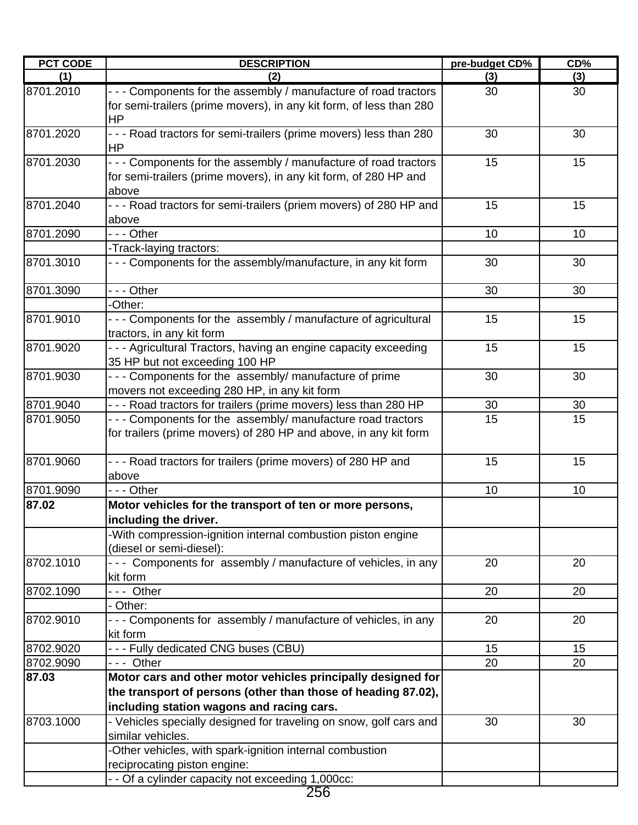| <b>PCT CODE</b> | <b>DESCRIPTION</b>                                                                                                                                                         | pre-budget CD% | CD% |
|-----------------|----------------------------------------------------------------------------------------------------------------------------------------------------------------------------|----------------|-----|
| (1)             | (2)                                                                                                                                                                        | (3)            | (3) |
| 8701.2010       | - - - Components for the assembly / manufacture of road tractors<br>for semi-trailers (prime movers), in any kit form, of less than 280<br><b>HP</b>                       | 30             | 30  |
| 8701.2020       | - - - Road tractors for semi-trailers (prime movers) less than 280<br><b>HP</b>                                                                                            | 30             | 30  |
| 8701.2030       | - - - Components for the assembly / manufacture of road tractors<br>for semi-trailers (prime movers), in any kit form, of 280 HP and<br>above                              | 15             | 15  |
| 8701.2040       | - - - Road tractors for semi-trailers (priem movers) of 280 HP and<br>above                                                                                                | 15             | 15  |
| 8701.2090       | --- Other                                                                                                                                                                  | 10             | 10  |
|                 | -Track-laying tractors:                                                                                                                                                    |                |     |
| 8701.3010       | --- Components for the assembly/manufacture, in any kit form                                                                                                               | 30             | 30  |
| 8701.3090       | - - - Other<br>-Other:                                                                                                                                                     | 30             | 30  |
| 8701.9010       | - - - Components for the assembly / manufacture of agricultural<br>tractors, in any kit form                                                                               | 15             | 15  |
| 8701.9020       | --- Agricultural Tractors, having an engine capacity exceeding<br>35 HP but not exceeding 100 HP                                                                           | 15             | 15  |
| 8701.9030       | - - - Components for the assembly/ manufacture of prime<br>movers not exceeding 280 HP, in any kit form                                                                    | 30             | 30  |
| 8701.9040       | - - - Road tractors for trailers (prime movers) less than 280 HP                                                                                                           | 30             | 30  |
| 8701.9050       | --- Components for the assembly/ manufacture road tractors<br>for trailers (prime movers) of 280 HP and above, in any kit form                                             | 15             | 15  |
| 8701.9060       | --- Road tractors for trailers (prime movers) of 280 HP and<br>above                                                                                                       | 15             | 15  |
| 8701.9090       | $- -$ Other                                                                                                                                                                | 10             | 10  |
| 87.02           | Motor vehicles for the transport of ten or more persons,<br>including the driver.<br>-With compression-ignition internal combustion piston engine                          |                |     |
|                 | (diesel or semi-diesel):                                                                                                                                                   |                |     |
| 8702.1010       | --- Components for assembly / manufacture of vehicles, in any<br>kit form                                                                                                  | 20             | 20  |
| 8702.1090       | --- Other<br>- Other:                                                                                                                                                      | 20             | 20  |
| 8702.9010       | - - - Components for assembly / manufacture of vehicles, in any<br>kit form                                                                                                | 20             | 20  |
| 8702.9020       | --- Fully dedicated CNG buses (CBU)                                                                                                                                        | 15             | 15  |
| 8702.9090       | --- Other                                                                                                                                                                  | 20             | 20  |
| 87.03           | Motor cars and other motor vehicles principally designed for<br>the transport of persons (other than those of heading 87.02),<br>including station wagons and racing cars. |                |     |
| 8703.1000       | - Vehicles specially designed for traveling on snow, golf cars and<br>similar vehicles.                                                                                    | 30             | 30  |
|                 | -Other vehicles, with spark-ignition internal combustion<br>reciprocating piston engine:<br>- - Of a cylinder capacity not exceeding 1,000cc:                              |                |     |

 $\frac{1,00}{256}$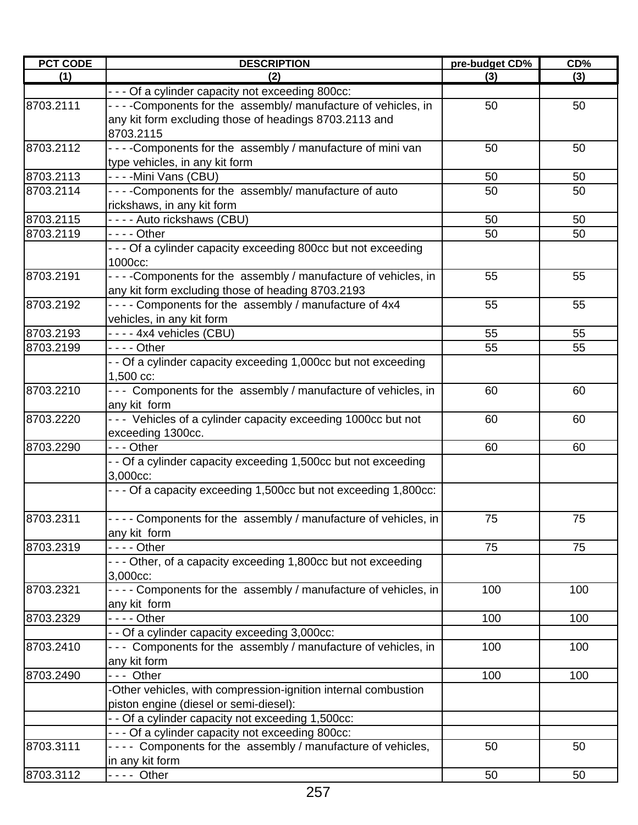| <b>PCT CODE</b> | <b>DESCRIPTION</b>                                                | pre-budget CD% | CD <sub>%</sub> |
|-----------------|-------------------------------------------------------------------|----------------|-----------------|
| (1)             | (2)                                                               | (3)            | (3)             |
|                 | - - - Of a cylinder capacity not exceeding 800cc:                 |                |                 |
| 8703.2111       | ----Components for the assembly/ manufacture of vehicles, in      | 50             | 50              |
|                 | any kit form excluding those of headings 8703.2113 and            |                |                 |
|                 | 8703.2115                                                         |                |                 |
| 8703.2112       | - - - - Components for the assembly / manufacture of mini van     | 50             | 50              |
|                 | type vehicles, in any kit form                                    |                |                 |
| 8703.2113       | ----Mini Vans (CBU)                                               | 50             | 50              |
| 8703.2114       | - - - - Components for the assembly/ manufacture of auto          | 50             | 50              |
|                 | rickshaws, in any kit form                                        |                |                 |
| 8703.2115       | ---- Auto rickshaws (CBU)                                         | 50             | 50              |
| 8703.2119       | - - - - Other                                                     | 50             | 50              |
|                 | - - - Of a cylinder capacity exceeding 800cc but not exceeding    |                |                 |
|                 | 1000cc:                                                           |                |                 |
| 8703.2191       | - - - - Components for the assembly / manufacture of vehicles, in | 55             | 55              |
|                 | any kit form excluding those of heading 8703.2193                 |                |                 |
| 8703.2192       | - - - - Components for the assembly / manufacture of 4x4          | 55             | 55              |
|                 | vehicles, in any kit form                                         |                |                 |
| 8703.2193       | - - - - 4x4 vehicles (CBU)                                        | 55             | 55              |
| 8703.2199       | $--$ Other                                                        | 55             | 55              |
|                 | - - Of a cylinder capacity exceeding 1,000cc but not exceeding    |                |                 |
|                 | 1,500 cc:                                                         |                |                 |
| 8703.2210       | - - - Components for the assembly / manufacture of vehicles, in   | 60             | 60              |
|                 | any kit form                                                      |                |                 |
| 8703.2220       | --- Vehicles of a cylinder capacity exceeding 1000cc but not      | 60             | 60              |
|                 | exceeding 1300cc.                                                 |                |                 |
| 8703.2290       | - - - Other                                                       | 60             | 60              |
|                 | - - Of a cylinder capacity exceeding 1,500cc but not exceeding    |                |                 |
|                 | 3,000cc:                                                          |                |                 |
|                 | - - - Of a capacity exceeding 1,500cc but not exceeding 1,800cc:  |                |                 |
|                 |                                                                   |                |                 |
| 8703.2311       | - - - - Components for the assembly / manufacture of vehicles, in | 75             | 75              |
|                 | any kit form                                                      |                |                 |
| 8703.2319       | $\overline{\cdot}$ - $\overline{\cdot}$ Other                     | 75             | 75              |
|                 | - - - Other, of a capacity exceeding 1,800cc but not exceeding    |                |                 |
|                 | 3,000cc:                                                          |                |                 |
| 8703.2321       | - - - - Components for the assembly / manufacture of vehicles, in | 100            | 100             |
|                 | any kit form                                                      |                |                 |
| 8703.2329       | - - - - Other                                                     | 100            | 100             |
|                 | - - Of a cylinder capacity exceeding 3,000cc:                     |                |                 |
| 8703.2410       | - - - Components for the assembly / manufacture of vehicles, in   | 100            | 100             |
|                 | any kit form                                                      |                |                 |
| 8703.2490       | --- Other                                                         | 100            | 100             |
|                 | -Other vehicles, with compression-ignition internal combustion    |                |                 |
|                 | piston engine (diesel or semi-diesel):                            |                |                 |
|                 | - - Of a cylinder capacity not exceeding 1,500cc:                 |                |                 |
|                 | - - - Of a cylinder capacity not exceeding 800cc:                 |                |                 |
| 8703.3111       | ---- Components for the assembly / manufacture of vehicles,       | 50             | 50              |
|                 | in any kit form                                                   |                |                 |
|                 |                                                                   |                |                 |
| 8703.3112       | - - - - Other                                                     | 50             | 50              |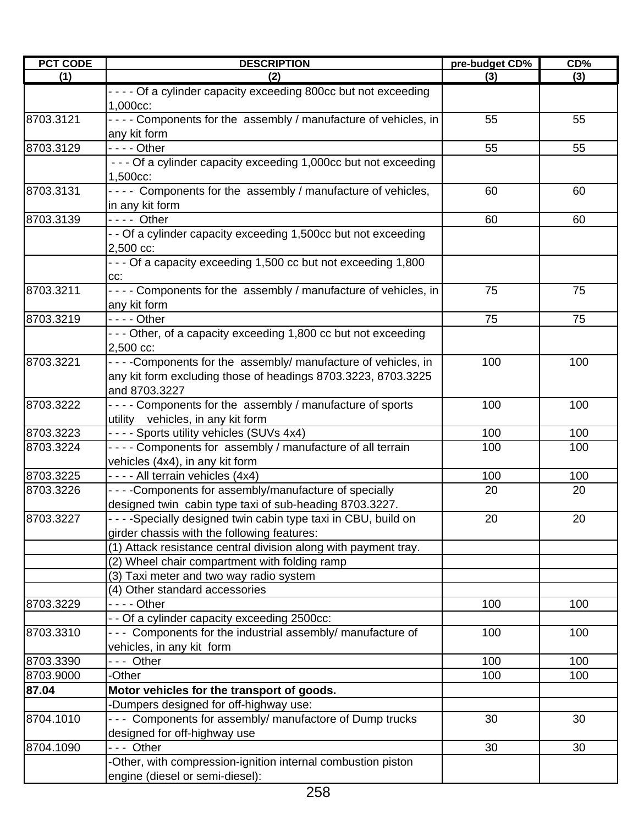| <b>PCT CODE</b> | <b>DESCRIPTION</b>                                                                             | pre-budget CD% | CD%       |
|-----------------|------------------------------------------------------------------------------------------------|----------------|-----------|
| (1)             | (2)                                                                                            | (3)            | (3)       |
|                 | - - - - Of a cylinder capacity exceeding 800cc but not exceeding<br>1,000cc:                   |                |           |
| 8703.3121       | - - - - Components for the assembly / manufacture of vehicles, in<br>any kit form              | 55             | 55        |
| 8703.3129       | - - - - Other                                                                                  | 55             | 55        |
|                 | - - - Of a cylinder capacity exceeding 1,000cc but not exceeding                               |                |           |
|                 | 1,500cc:                                                                                       |                |           |
| 8703.3131       | ---- Components for the assembly / manufacture of vehicles,                                    | 60             | 60        |
|                 | in any kit form                                                                                |                |           |
| 8703.3139       | $--$ Other                                                                                     | 60             | 60        |
|                 | - - Of a cylinder capacity exceeding 1,500cc but not exceeding                                 |                |           |
|                 | 2,500 cc:                                                                                      |                |           |
|                 | - - - Of a capacity exceeding 1,500 cc but not exceeding 1,800                                 |                |           |
|                 | CC:                                                                                            |                |           |
| 8703.3211       | - - - - Components for the assembly / manufacture of vehicles, in                              | 75             | 75        |
|                 | any kit form                                                                                   |                |           |
| 8703.3219       | $--$ Other                                                                                     | 75             | 75        |
|                 | - - - Other, of a capacity exceeding 1,800 cc but not exceeding                                |                |           |
|                 | 2,500 cc:                                                                                      |                |           |
| 8703.3221       | ----Components for the assembly/ manufacture of vehicles, in                                   | 100            | 100       |
|                 | any kit form excluding those of headings 8703.3223, 8703.3225                                  |                |           |
|                 | and 8703.3227                                                                                  |                |           |
| 8703.3222       | - - - - Components for the assembly / manufacture of sports                                    | 100            | 100       |
|                 | utility vehicles, in any kit form                                                              |                |           |
| 8703.3223       | - - - - Sports utility vehicles (SUVs 4x4)                                                     | 100            | 100       |
| 8703.3224       | - - - - Components for assembly / manufacture of all terrain                                   | 100            | 100       |
| 8703.3225       | vehicles (4x4), in any kit form                                                                |                |           |
| 8703.3226       | - - - - All terrain vehicles (4x4)<br>- - - - Components for assembly/manufacture of specially | 100<br>20      | 100<br>20 |
|                 | designed twin cabin type taxi of sub-heading 8703.3227.                                        |                |           |
| 8703.3227       | - - - - Specially designed twin cabin type taxi in CBU, build on                               | 20             | 20        |
|                 | girder chassis with the following features:                                                    |                |           |
|                 | (1) Attack resistance central division along with payment tray.                                |                |           |
|                 | (2) Wheel chair compartment with folding ramp                                                  |                |           |
|                 | (3) Taxi meter and two way radio system                                                        |                |           |
|                 | (4) Other standard accessories                                                                 |                |           |
| 8703.3229       |                                                                                                | 100            | 100       |
|                 | - - Of a cylinder capacity exceeding 2500cc:                                                   |                |           |
| 8703.3310       | --- Components for the industrial assembly/ manufacture of                                     | 100            | 100       |
|                 | vehicles, in any kit form                                                                      |                |           |
| 8703.3390       | --- Other                                                                                      | 100            | 100       |
| 8703.9000       | -Other                                                                                         | 100            | 100       |
| 87.04           | Motor vehicles for the transport of goods.                                                     |                |           |
|                 | -Dumpers designed for off-highway use:                                                         |                |           |
| 8704.1010       | --- Components for assembly/ manufactore of Dump trucks                                        | 30             | 30        |
|                 | designed for off-highway use                                                                   |                |           |
| 8704.1090       | --- Other                                                                                      | 30             | 30        |
|                 | -Other, with compression-ignition internal combustion piston                                   |                |           |
|                 | engine (diesel or semi-diesel):                                                                |                |           |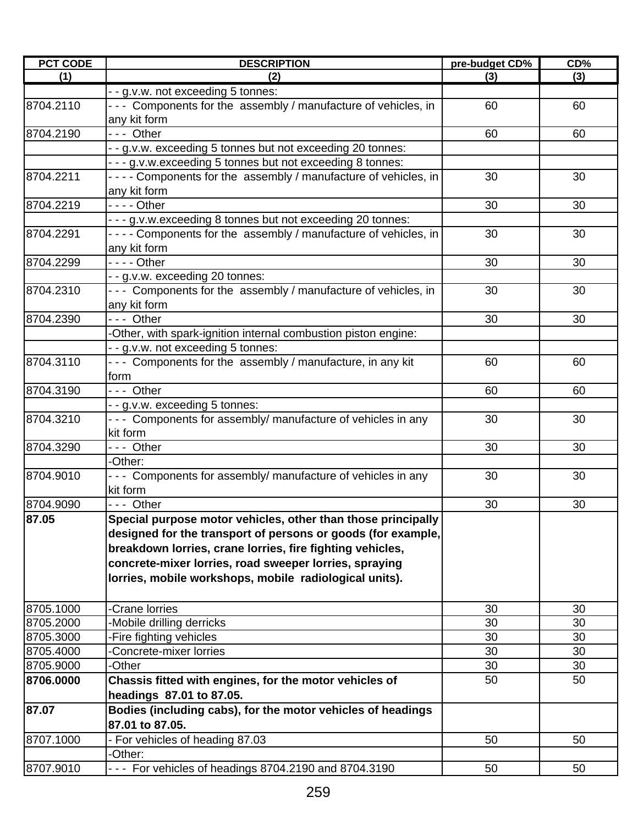| <b>PCT CODE</b> | <b>DESCRIPTION</b>                                                | pre-budget CD% | CD% |
|-----------------|-------------------------------------------------------------------|----------------|-----|
| (1)             | (2)                                                               | (3)            | (3) |
|                 | - - g.v.w. not exceeding 5 tonnes:                                |                |     |
| 8704.2110       | - - - Components for the assembly / manufacture of vehicles, in   | 60             | 60  |
|                 | any kit form                                                      |                |     |
| 8704.2190       | --- Other                                                         | 60             | 60  |
|                 | - - g.v.w. exceeding 5 tonnes but not exceeding 20 tonnes:        |                |     |
|                 | - - - g.v.w.exceeding 5 tonnes but not exceeding 8 tonnes:        |                |     |
| 8704.2211       | ---- Components for the assembly / manufacture of vehicles, in    | 30             | 30  |
|                 | any kit form                                                      |                |     |
| 8704.2219       | - - - - Other                                                     | 30             | 30  |
|                 | - - - g.v.w.exceeding 8 tonnes but not exceeding 20 tonnes:       |                |     |
| 8704.2291       | - - - - Components for the assembly / manufacture of vehicles, in | 30             | 30  |
|                 | any kit form                                                      |                |     |
| 8704.2299       | - - - - Other                                                     | 30             | 30  |
|                 | - - g.v.w. exceeding 20 tonnes:                                   |                |     |
| 8704.2310       | - - - Components for the assembly / manufacture of vehicles, in   | 30             | 30  |
|                 | any kit form                                                      |                |     |
| 8704.2390       | --- Other                                                         | 30             | 30  |
|                 | -Other, with spark-ignition internal combustion piston engine:    |                |     |
|                 | - - g.v.w. not exceeding 5 tonnes:                                |                |     |
| 8704.3110       | --- Components for the assembly / manufacture, in any kit         | 60             | 60  |
|                 | form                                                              |                |     |
| 8704.3190       | $\overline{\cdot \cdot \cdot}$ Other                              | 60             | 60  |
|                 | - - g.v.w. exceeding 5 tonnes:                                    |                |     |
| 8704.3210       | --- Components for assembly/ manufacture of vehicles in any       | 30             | 30  |
|                 | kit form                                                          |                |     |
| 8704.3290       | --- Other                                                         | 30             | 30  |
|                 | -Other:                                                           |                |     |
| 8704.9010       | --- Components for assembly/ manufacture of vehicles in any       | 30             | 30  |
|                 | kit form                                                          |                |     |
| 8704.9090       | - - - Other                                                       | 30             | 30  |
| 87.05           | Special purpose motor vehicles, other than those principally      |                |     |
|                 | designed for the transport of persons or goods (for example,      |                |     |
|                 | breakdown lorries, crane lorries, fire fighting vehicles,         |                |     |
|                 | concrete-mixer lorries, road sweeper lorries, spraying            |                |     |
|                 | lorries, mobile workshops, mobile radiological units).            |                |     |
| 8705.1000       | -Crane lorries                                                    | 30             | 30  |
| 8705.2000       | -Mobile drilling derricks                                         | 30             | 30  |
| 8705.3000       | -Fire fighting vehicles                                           | 30             | 30  |
| 8705.4000       | Concrete-mixer lorries                                            | 30             | 30  |
| 8705.9000       | -Other                                                            | 30             | 30  |
| 8706.0000       | Chassis fitted with engines, for the motor vehicles of            | 50             | 50  |
|                 | headings 87.01 to 87.05.                                          |                |     |
| 87.07           | Bodies (including cabs), for the motor vehicles of headings       |                |     |
|                 | 87.01 to 87.05.                                                   |                |     |
| 8707.1000       | - For vehicles of heading 87.03                                   | 50             | 50  |
|                 | -Other:                                                           |                |     |
| 8707.9010       | --- For vehicles of headings 8704.2190 and 8704.3190              | 50             | 50  |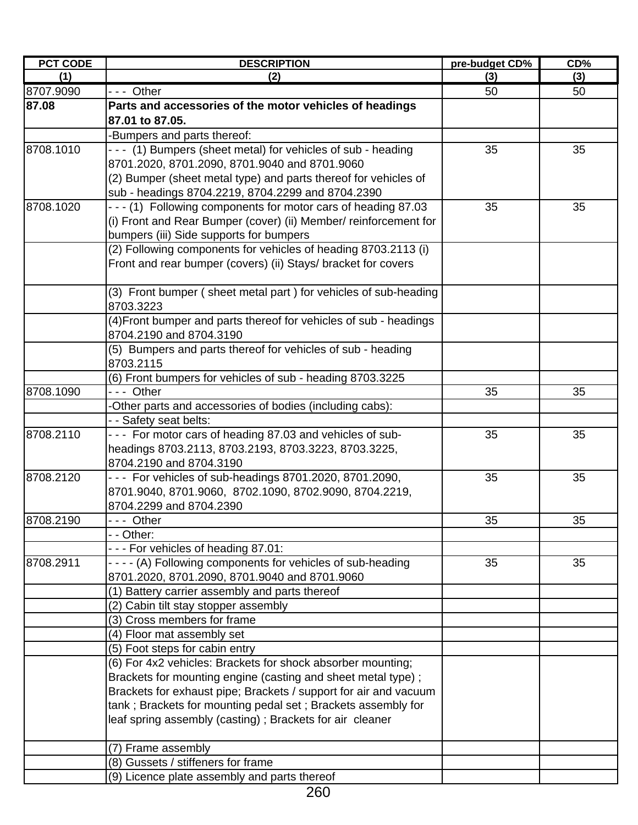| <b>PCT CODE</b> | <b>DESCRIPTION</b>                                                | pre-budget CD% | CD% |
|-----------------|-------------------------------------------------------------------|----------------|-----|
| (1)             | (2)                                                               | (3)            | (3) |
| 8707.9090       | --- Other                                                         | 50             | 50  |
| 87.08           | Parts and accessories of the motor vehicles of headings           |                |     |
|                 | 87.01 to 87.05.                                                   |                |     |
|                 | -Bumpers and parts thereof:                                       |                |     |
| 8708.1010       | - - - (1) Bumpers (sheet metal) for vehicles of sub - heading     | 35             | 35  |
|                 | 8701.2020, 8701.2090, 8701.9040 and 8701.9060                     |                |     |
|                 | (2) Bumper (sheet metal type) and parts thereof for vehicles of   |                |     |
|                 | sub - headings 8704.2219, 8704.2299 and 8704.2390                 |                |     |
| 8708.1020       | - - - (1) Following components for motor cars of heading 87.03    | 35             | 35  |
|                 | (i) Front and Rear Bumper (cover) (ii) Member/ reinforcement for  |                |     |
|                 | bumpers (iii) Side supports for bumpers                           |                |     |
|                 | (2) Following components for vehicles of heading 8703.2113 (i)    |                |     |
|                 | Front and rear bumper (covers) (ii) Stays/ bracket for covers     |                |     |
|                 |                                                                   |                |     |
|                 | (3) Front bumper (sheet metal part) for vehicles of sub-heading   |                |     |
|                 | 8703.3223                                                         |                |     |
|                 | (4) Front bumper and parts thereof for vehicles of sub - headings |                |     |
|                 | 8704.2190 and 8704.3190                                           |                |     |
|                 | (5) Bumpers and parts thereof for vehicles of sub - heading       |                |     |
|                 | 8703.2115                                                         |                |     |
|                 | (6) Front bumpers for vehicles of sub - heading 8703.3225         |                |     |
| 8708.1090       | --- Other                                                         | 35             | 35  |
|                 | -Other parts and accessories of bodies (including cabs):          |                |     |
|                 | - - Safety seat belts:                                            |                |     |
| 8708.2110       | - - - For motor cars of heading 87.03 and vehicles of sub-        | 35             | 35  |
|                 | headings 8703.2113, 8703.2193, 8703.3223, 8703.3225,              |                |     |
|                 | 8704.2190 and 8704.3190                                           |                |     |
| 8708.2120       | - - - For vehicles of sub-headings 8701.2020, 8701.2090,          | 35             | 35  |
|                 | 8701.9040, 8701.9060, 8702.1090, 8702.9090, 8704.2219,            |                |     |
|                 | 8704.2299 and 8704.2390                                           |                |     |
| 8708.2190       | -- Other                                                          | 35             | 35  |
|                 | - - Other:                                                        |                |     |
|                 | --- For vehicles of heading 87.01:                                |                |     |
| 8708.2911       | - - - - (A) Following components for vehicles of sub-heading      | 35             | 35  |
|                 | 8701.2020, 8701.2090, 8701.9040 and 8701.9060                     |                |     |
|                 | (1) Battery carrier assembly and parts thereof                    |                |     |
|                 | (2) Cabin tilt stay stopper assembly                              |                |     |
|                 | (3) Cross members for frame                                       |                |     |
|                 | (4) Floor mat assembly set                                        |                |     |
|                 | (5) Foot steps for cabin entry                                    |                |     |
|                 | (6) For 4x2 vehicles: Brackets for shock absorber mounting;       |                |     |
|                 | Brackets for mounting engine (casting and sheet metal type);      |                |     |
|                 | Brackets for exhaust pipe; Brackets / support for air and vacuum  |                |     |
|                 | tank; Brackets for mounting pedal set; Brackets assembly for      |                |     |
|                 | leaf spring assembly (casting) ; Brackets for air cleaner         |                |     |
|                 |                                                                   |                |     |
|                 | (7) Frame assembly                                                |                |     |
|                 | (8) Gussets / stiffeners for frame                                |                |     |
|                 | (9) Licence plate assembly and parts thereof                      |                |     |

<sup>260</sup>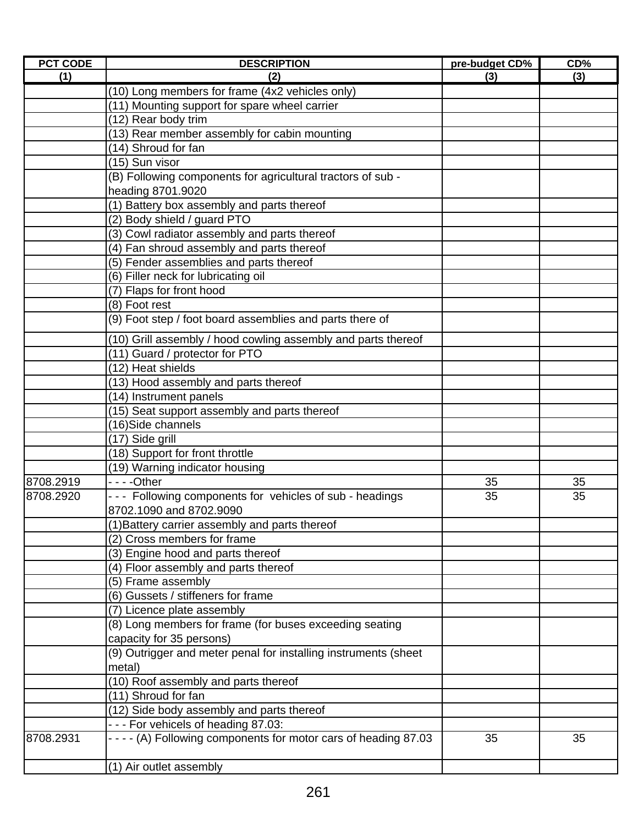| <b>PCT CODE</b> | <b>DESCRIPTION</b>                                               | pre-budget CD% | $CD\%$ |
|-----------------|------------------------------------------------------------------|----------------|--------|
| (1)             | (2)                                                              | (3)            | (3)    |
|                 | (10) Long members for frame (4x2 vehicles only)                  |                |        |
|                 | (11) Mounting support for spare wheel carrier                    |                |        |
|                 | (12) Rear body trim                                              |                |        |
|                 | (13) Rear member assembly for cabin mounting                     |                |        |
|                 | (14) Shroud for fan                                              |                |        |
|                 | (15) Sun visor                                                   |                |        |
|                 | (B) Following components for agricultural tractors of sub -      |                |        |
|                 | heading 8701.9020                                                |                |        |
|                 | (1) Battery box assembly and parts thereof                       |                |        |
|                 | (2) Body shield / guard PTO                                      |                |        |
|                 | (3) Cowl radiator assembly and parts thereof                     |                |        |
|                 | (4) Fan shroud assembly and parts thereof                        |                |        |
|                 | (5) Fender assemblies and parts thereof                          |                |        |
|                 | (6) Filler neck for lubricating oil                              |                |        |
|                 | (7) Flaps for front hood                                         |                |        |
|                 | (8) Foot rest                                                    |                |        |
|                 | (9) Foot step / foot board assemblies and parts there of         |                |        |
|                 | (10) Grill assembly / hood cowling assembly and parts thereof    |                |        |
|                 | (11) Guard / protector for PTO                                   |                |        |
|                 | (12) Heat shields                                                |                |        |
|                 | (13) Hood assembly and parts thereof                             |                |        |
|                 | (14) Instrument panels                                           |                |        |
|                 | (15) Seat support assembly and parts thereof                     |                |        |
|                 | (16)Side channels                                                |                |        |
|                 | (17) Side grill                                                  |                |        |
|                 | (18) Support for front throttle                                  |                |        |
|                 | (19) Warning indicator housing                                   |                |        |
| 8708.2919       |                                                                  | 35             | 35     |
| 8708.2920       | --- Following components for vehicles of sub - headings          | 35             | 35     |
|                 | 8702.1090 and 8702.9090                                          |                |        |
|                 | (1) Battery carrier assembly and parts thereof                   |                |        |
|                 | (2) Cross members for frame                                      |                |        |
|                 | (3) Engine hood and parts thereof                                |                |        |
|                 | (4) Floor assembly and parts thereof                             |                |        |
|                 | (5) Frame assembly                                               |                |        |
|                 | (6) Gussets / stiffeners for frame                               |                |        |
|                 | (7) Licence plate assembly                                       |                |        |
|                 | (8) Long members for frame (for buses exceeding seating          |                |        |
|                 | capacity for 35 persons)                                         |                |        |
|                 | (9) Outrigger and meter penal for installing instruments (sheet  |                |        |
|                 | metal)                                                           |                |        |
|                 | (10) Roof assembly and parts thereof                             |                |        |
|                 | (11) Shroud for fan                                              |                |        |
|                 | (12) Side body assembly and parts thereof                        |                |        |
|                 | --- For vehicels of heading 87.03:                               |                |        |
| 8708.2931       | - - - - (A) Following components for motor cars of heading 87.03 | 35             | 35     |
|                 | (1) Air outlet assembly                                          |                |        |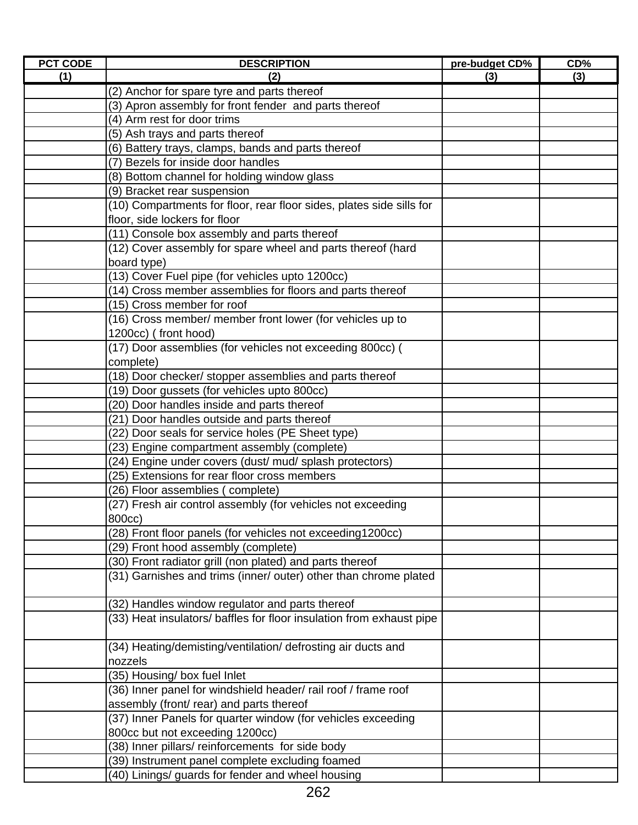| <b>PCT CODE</b> | <b>DESCRIPTION</b>                                                      | pre-budget CD% | CD% |
|-----------------|-------------------------------------------------------------------------|----------------|-----|
| (1)             | (2)                                                                     | (3)            | (3) |
|                 | (2) Anchor for spare tyre and parts thereof                             |                |     |
|                 | (3) Apron assembly for front fender and parts thereof                   |                |     |
|                 | (4) Arm rest for door trims                                             |                |     |
|                 | (5) Ash trays and parts thereof                                         |                |     |
|                 | (6) Battery trays, clamps, bands and parts thereof                      |                |     |
|                 | (7) Bezels for inside door handles                                      |                |     |
|                 | (8) Bottom channel for holding window glass                             |                |     |
|                 | (9) Bracket rear suspension                                             |                |     |
|                 | (10) Compartments for floor, rear floor sides, plates side sills for    |                |     |
|                 | floor, side lockers for floor                                           |                |     |
|                 | (11) Console box assembly and parts thereof                             |                |     |
|                 | (12) Cover assembly for spare wheel and parts thereof (hard             |                |     |
|                 | board type)                                                             |                |     |
|                 | (13) Cover Fuel pipe (for vehicles upto 1200cc)                         |                |     |
|                 | (14) Cross member assemblies for floors and parts thereof               |                |     |
|                 | (15) Cross member for roof                                              |                |     |
|                 | (16) Cross member/ member front lower (for vehicles up to               |                |     |
|                 | 1200cc) (front hood)                                                    |                |     |
|                 | (17) Door assemblies (for vehicles not exceeding 800cc) (               |                |     |
|                 | complete)                                                               |                |     |
|                 | (18) Door checker/ stopper assemblies and parts thereof                 |                |     |
|                 | (19) Door gussets (for vehicles upto 800cc)                             |                |     |
|                 | (20) Door handles inside and parts thereof                              |                |     |
|                 | (21) Door handles outside and parts thereof                             |                |     |
|                 | (22) Door seals for service holes (PE Sheet type)                       |                |     |
|                 | (23) Engine compartment assembly (complete)                             |                |     |
|                 | (24) Engine under covers (dust/ mud/ splash protectors)                 |                |     |
|                 | (25) Extensions for rear floor cross members                            |                |     |
|                 | (26) Floor assemblies (complete)                                        |                |     |
|                 | (27) Fresh air control assembly (for vehicles not exceeding<br>800cc)   |                |     |
|                 | (28) Front floor panels (for vehicles not exceeding1200cc)              |                |     |
|                 | (29) Front hood assembly (complete)                                     |                |     |
|                 | (30) Front radiator grill (non plated) and parts thereof                |                |     |
|                 | (31) Garnishes and trims (inner/ outer) other than chrome plated        |                |     |
|                 |                                                                         |                |     |
|                 | (32) Handles window regulator and parts thereof                         |                |     |
|                 | (33) Heat insulators/ baffles for floor insulation from exhaust pipe    |                |     |
|                 | (34) Heating/demisting/ventilation/ defrosting air ducts and<br>nozzels |                |     |
|                 | (35) Housing/ box fuel Inlet                                            |                |     |
|                 | (36) Inner panel for windshield header/ rail roof / frame roof          |                |     |
|                 | assembly (front/ rear) and parts thereof                                |                |     |
|                 | (37) Inner Panels for quarter window (for vehicles exceeding            |                |     |
|                 | 800cc but not exceeding 1200cc)                                         |                |     |
|                 | (38) Inner pillars/ reinforcements for side body                        |                |     |
|                 | (39) Instrument panel complete excluding foamed                         |                |     |
|                 | (40) Linings/ guards for fender and wheel housing                       |                |     |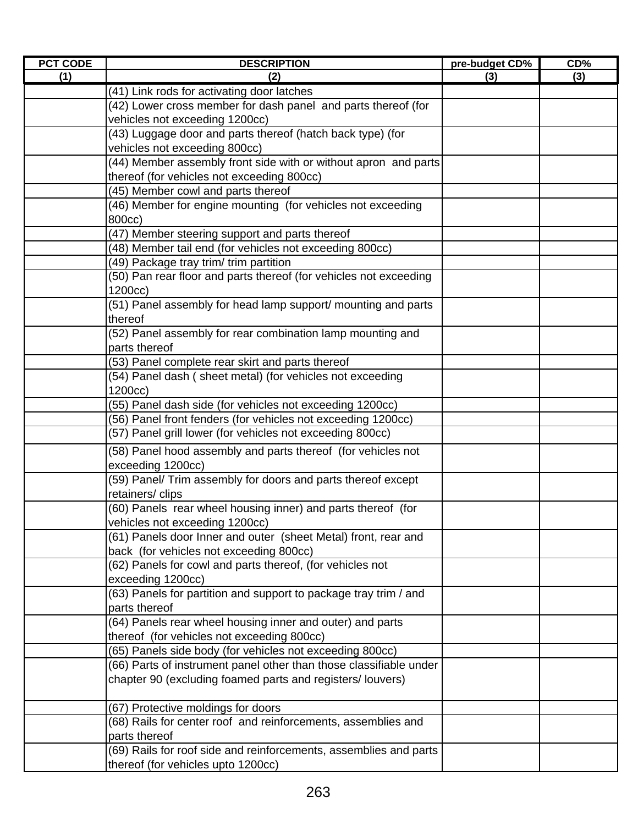| <b>PCT CODE</b> | <b>DESCRIPTION</b>                                                 | pre-budget CD% | $CD\%$ |
|-----------------|--------------------------------------------------------------------|----------------|--------|
| (1)             | (2)                                                                | (3)            | (3)    |
|                 | (41) Link rods for activating door latches                         |                |        |
|                 | (42) Lower cross member for dash panel and parts thereof (for      |                |        |
|                 | vehicles not exceeding 1200cc)                                     |                |        |
|                 | (43) Luggage door and parts thereof (hatch back type) (for         |                |        |
|                 | vehicles not exceeding 800cc)                                      |                |        |
|                 | (44) Member assembly front side with or without apron and parts    |                |        |
|                 | thereof (for vehicles not exceeding 800cc)                         |                |        |
|                 | (45) Member cowl and parts thereof                                 |                |        |
|                 | (46) Member for engine mounting (for vehicles not exceeding        |                |        |
|                 | 800cc)                                                             |                |        |
|                 | (47) Member steering support and parts thereof                     |                |        |
|                 | (48) Member tail end (for vehicles not exceeding 800cc)            |                |        |
|                 | (49) Package tray trim/ trim partition                             |                |        |
|                 | (50) Pan rear floor and parts thereof (for vehicles not exceeding  |                |        |
|                 | 1200cc)                                                            |                |        |
|                 | (51) Panel assembly for head lamp support/ mounting and parts      |                |        |
|                 | thereof                                                            |                |        |
|                 | (52) Panel assembly for rear combination lamp mounting and         |                |        |
|                 | parts thereof                                                      |                |        |
|                 | (53) Panel complete rear skirt and parts thereof                   |                |        |
|                 | (54) Panel dash (sheet metal) (for vehicles not exceeding          |                |        |
|                 | 1200cc)                                                            |                |        |
|                 | (55) Panel dash side (for vehicles not exceeding 1200cc)           |                |        |
|                 | (56) Panel front fenders (for vehicles not exceeding 1200cc)       |                |        |
|                 | (57) Panel grill lower (for vehicles not exceeding 800cc)          |                |        |
|                 | (58) Panel hood assembly and parts thereof (for vehicles not       |                |        |
|                 | exceeding 1200cc)                                                  |                |        |
|                 | (59) Panel/ Trim assembly for doors and parts thereof except       |                |        |
|                 | retainers/clips                                                    |                |        |
|                 | (60) Panels rear wheel housing inner) and parts thereof (for       |                |        |
|                 | vehicles not exceeding 1200cc)                                     |                |        |
|                 | (61) Panels door Inner and outer (sheet Metal) front, rear and     |                |        |
|                 | back (for vehicles not exceeding 800cc)                            |                |        |
|                 | (62) Panels for cowl and parts thereof, (for vehicles not          |                |        |
|                 | exceeding 1200cc)                                                  |                |        |
|                 | (63) Panels for partition and support to package tray trim / and   |                |        |
|                 | parts thereof                                                      |                |        |
|                 | (64) Panels rear wheel housing inner and outer) and parts          |                |        |
|                 | thereof (for vehicles not exceeding 800cc)                         |                |        |
|                 | (65) Panels side body (for vehicles not exceeding 800cc)           |                |        |
|                 | (66) Parts of instrument panel other than those classifiable under |                |        |
|                 | chapter 90 (excluding foamed parts and registers/louvers)          |                |        |
|                 |                                                                    |                |        |
|                 | (67) Protective moldings for doors                                 |                |        |
|                 | (68) Rails for center roof and reinforcements, assemblies and      |                |        |
|                 | parts thereof                                                      |                |        |
|                 | (69) Rails for roof side and reinforcements, assemblies and parts  |                |        |
|                 | thereof (for vehicles upto 1200cc)                                 |                |        |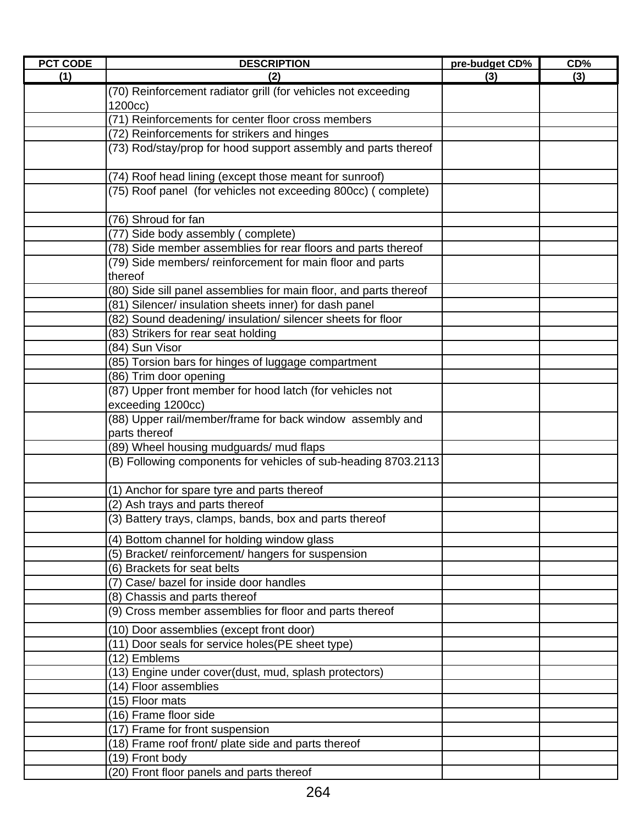| <b>PCT CODE</b> | <b>DESCRIPTION</b>                                                | pre-budget CD% | CD% |
|-----------------|-------------------------------------------------------------------|----------------|-----|
| (1)             | (2)                                                               | (3)            | (3) |
|                 | (70) Reinforcement radiator grill (for vehicles not exceeding     |                |     |
|                 | 1200cc)                                                           |                |     |
|                 | (71) Reinforcements for center floor cross members                |                |     |
|                 | (72) Reinforcements for strikers and hinges                       |                |     |
|                 | (73) Rod/stay/prop for hood support assembly and parts thereof    |                |     |
|                 |                                                                   |                |     |
|                 | (74) Roof head lining (except those meant for sunroof)            |                |     |
|                 | (75) Roof panel (for vehicles not exceeding 800cc) (complete)     |                |     |
|                 |                                                                   |                |     |
|                 | (76) Shroud for fan                                               |                |     |
|                 | (77) Side body assembly (complete)                                |                |     |
|                 | (78) Side member assemblies for rear floors and parts thereof     |                |     |
|                 | (79) Side members/reinforcement for main floor and parts          |                |     |
|                 | thereof                                                           |                |     |
|                 | (80) Side sill panel assemblies for main floor, and parts thereof |                |     |
|                 | (81) Silencer/ insulation sheets inner) for dash panel            |                |     |
|                 | (82) Sound deadening/ insulation/ silencer sheets for floor       |                |     |
|                 | (83) Strikers for rear seat holding                               |                |     |
|                 | (84) Sun Visor                                                    |                |     |
|                 | (85) Torsion bars for hinges of luggage compartment               |                |     |
|                 | (86) Trim door opening                                            |                |     |
|                 | (87) Upper front member for hood latch (for vehicles not          |                |     |
|                 | exceeding 1200cc)                                                 |                |     |
|                 | (88) Upper rail/member/frame for back window assembly and         |                |     |
|                 | parts thereof                                                     |                |     |
|                 | (89) Wheel housing mudguards/ mud flaps                           |                |     |
|                 | (B) Following components for vehicles of sub-heading 8703.2113    |                |     |
|                 |                                                                   |                |     |
|                 | (1) Anchor for spare tyre and parts thereof                       |                |     |
|                 | (2) Ash trays and parts thereof                                   |                |     |
|                 | (3) Battery trays, clamps, bands, box and parts thereof           |                |     |
|                 | (4) Bottom channel for holding window glass                       |                |     |
|                 | (5) Bracket/reinforcement/hangers for suspension                  |                |     |
|                 | (6) Brackets for seat belts                                       |                |     |
|                 | (7) Case/ bazel for inside door handles                           |                |     |
|                 | (8) Chassis and parts thereof                                     |                |     |
|                 | (9) Cross member assemblies for floor and parts thereof           |                |     |
|                 | (10) Door assemblies (except front door)                          |                |     |
|                 | (11) Door seals for service holes(PE sheet type)                  |                |     |
|                 | (12) Emblems                                                      |                |     |
|                 | (13) Engine under cover(dust, mud, splash protectors)             |                |     |
|                 | (14) Floor assemblies                                             |                |     |
|                 | (15) Floor mats                                                   |                |     |
|                 | (16) Frame floor side                                             |                |     |
|                 | (17) Frame for front suspension                                   |                |     |
|                 | (18) Frame roof front/ plate side and parts thereof               |                |     |
|                 | (19) Front body                                                   |                |     |
|                 | (20) Front floor panels and parts thereof                         |                |     |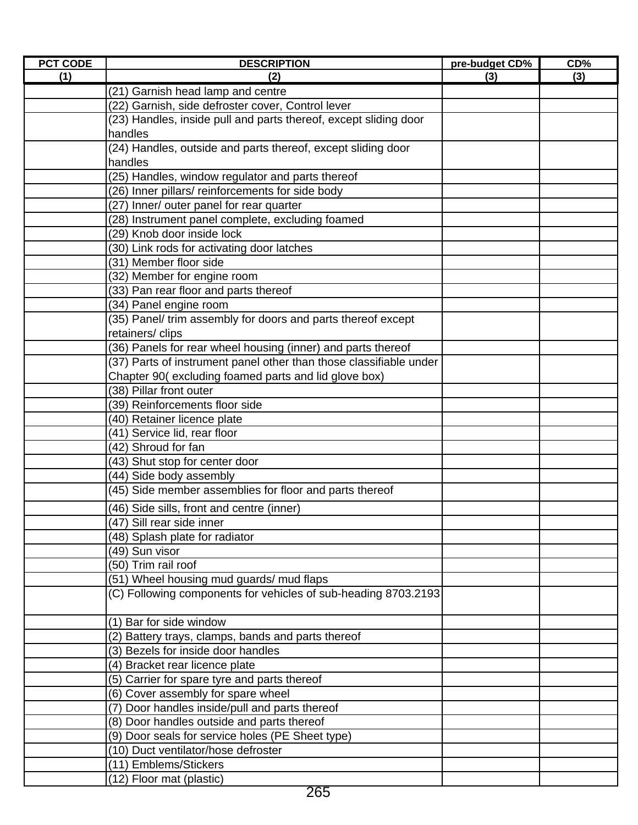| <b>PCT CODE</b> | <b>DESCRIPTION</b>                                                 | pre-budget CD% | $CD\%$ |
|-----------------|--------------------------------------------------------------------|----------------|--------|
| (1)             | (2)                                                                | (3)            | (3)    |
|                 | (21) Garnish head lamp and centre                                  |                |        |
|                 | (22) Garnish, side defroster cover, Control lever                  |                |        |
|                 | (23) Handles, inside pull and parts thereof, except sliding door   |                |        |
|                 | handles                                                            |                |        |
|                 | (24) Handles, outside and parts thereof, except sliding door       |                |        |
|                 | handles                                                            |                |        |
|                 | (25) Handles, window regulator and parts thereof                   |                |        |
|                 | (26) Inner pillars/ reinforcements for side body                   |                |        |
|                 | (27) Inner/ outer panel for rear quarter                           |                |        |
|                 | (28) Instrument panel complete, excluding foamed                   |                |        |
|                 | (29) Knob door inside lock                                         |                |        |
|                 | (30) Link rods for activating door latches                         |                |        |
|                 | (31) Member floor side                                             |                |        |
|                 | (32) Member for engine room                                        |                |        |
|                 | (33) Pan rear floor and parts thereof                              |                |        |
|                 | (34) Panel engine room                                             |                |        |
|                 | (35) Panel/ trim assembly for doors and parts thereof except       |                |        |
|                 | retainers/clips                                                    |                |        |
|                 | (36) Panels for rear wheel housing (inner) and parts thereof       |                |        |
|                 | (37) Parts of instrument panel other than those classifiable under |                |        |
|                 | Chapter 90(excluding foamed parts and lid glove box)               |                |        |
|                 | (38) Pillar front outer                                            |                |        |
|                 | (39) Reinforcements floor side                                     |                |        |
|                 | (40) Retainer licence plate                                        |                |        |
|                 | (41) Service lid, rear floor                                       |                |        |
|                 | (42) Shroud for fan                                                |                |        |
|                 | (43) Shut stop for center door                                     |                |        |
|                 | (44) Side body assembly                                            |                |        |
|                 | (45) Side member assemblies for floor and parts thereof            |                |        |
|                 | (46) Side sills, front and centre (inner)                          |                |        |
|                 | (47) Sill rear side inner                                          |                |        |
|                 | (48) Splash plate for radiator                                     |                |        |
|                 | (49) Sun visor                                                     |                |        |
|                 | (50) Trim rail roof                                                |                |        |
|                 | (51) Wheel housing mud guards/ mud flaps                           |                |        |
|                 | (C) Following components for vehicles of sub-heading 8703.2193     |                |        |
|                 | (1) Bar for side window                                            |                |        |
|                 | (2) Battery trays, clamps, bands and parts thereof                 |                |        |
|                 | (3) Bezels for inside door handles                                 |                |        |
|                 | (4) Bracket rear licence plate                                     |                |        |
|                 | (5) Carrier for spare tyre and parts thereof                       |                |        |
|                 | (6) Cover assembly for spare wheel                                 |                |        |
|                 | (7) Door handles inside/pull and parts thereof                     |                |        |
|                 | (8) Door handles outside and parts thereof                         |                |        |
|                 | (9) Door seals for service holes (PE Sheet type)                   |                |        |
|                 | (10) Duct ventilator/hose defroster                                |                |        |
|                 | (11) Emblems/Stickers                                              |                |        |
|                 | (12) Floor mat (plastic)                                           |                |        |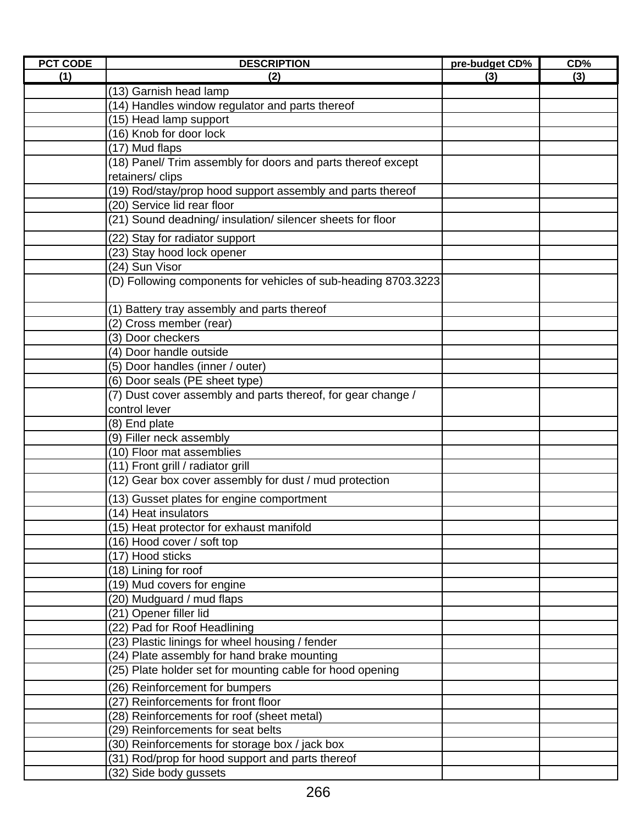| <b>PCT CODE</b> | <b>DESCRIPTION</b>                                             | pre-budget CD% | $CD\%$ |
|-----------------|----------------------------------------------------------------|----------------|--------|
| (1)             | (2)                                                            | (3)            | (3)    |
|                 | (13) Garnish head lamp                                         |                |        |
|                 | (14) Handles window regulator and parts thereof                |                |        |
|                 | (15) Head lamp support                                         |                |        |
|                 | (16) Knob for door lock                                        |                |        |
|                 | (17) Mud flaps                                                 |                |        |
|                 | (18) Panel/ Trim assembly for doors and parts thereof except   |                |        |
|                 | retainers/clips                                                |                |        |
|                 | (19) Rod/stay/prop hood support assembly and parts thereof     |                |        |
|                 | (20) Service lid rear floor                                    |                |        |
|                 | (21) Sound deadning/ insulation/ silencer sheets for floor     |                |        |
|                 | (22) Stay for radiator support                                 |                |        |
|                 | (23) Stay hood lock opener                                     |                |        |
|                 | (24) Sun Visor                                                 |                |        |
|                 | (D) Following components for vehicles of sub-heading 8703.3223 |                |        |
|                 | (1) Battery tray assembly and parts thereof                    |                |        |
|                 | (2) Cross member (rear)                                        |                |        |
|                 | (3) Door checkers                                              |                |        |
|                 | (4) Door handle outside                                        |                |        |
|                 | (5) Door handles (inner / outer)                               |                |        |
|                 | (6) Door seals (PE sheet type)                                 |                |        |
|                 | (7) Dust cover assembly and parts thereof, for gear change /   |                |        |
|                 | control lever                                                  |                |        |
|                 | (8) End plate                                                  |                |        |
|                 | (9) Filler neck assembly                                       |                |        |
|                 | (10) Floor mat assemblies                                      |                |        |
|                 | (11) Front grill / radiator grill                              |                |        |
|                 | (12) Gear box cover assembly for dust / mud protection         |                |        |
|                 | (13) Gusset plates for engine comportment                      |                |        |
|                 | (14) Heat insulators                                           |                |        |
|                 | (15) Heat protector for exhaust manifold                       |                |        |
|                 | (16) Hood cover / soft top                                     |                |        |
|                 | (17) Hood sticks                                               |                |        |
|                 | (18) Lining for roof                                           |                |        |
|                 | (19) Mud covers for engine                                     |                |        |
|                 | (20) Mudguard / mud flaps                                      |                |        |
|                 | (21) Opener filler lid                                         |                |        |
|                 | (22) Pad for Roof Headlining                                   |                |        |
|                 | (23) Plastic linings for wheel housing / fender                |                |        |
|                 | (24) Plate assembly for hand brake mounting                    |                |        |
|                 | (25) Plate holder set for mounting cable for hood opening      |                |        |
|                 | (26) Reinforcement for bumpers                                 |                |        |
|                 | (27) Reinforcements for front floor                            |                |        |
|                 | (28) Reinforcements for roof (sheet metal)                     |                |        |
|                 | (29) Reinforcements for seat belts                             |                |        |
|                 | (30) Reinforcements for storage box / jack box                 |                |        |
|                 | (31) Rod/prop for hood support and parts thereof               |                |        |
|                 | (32) Side body gussets                                         |                |        |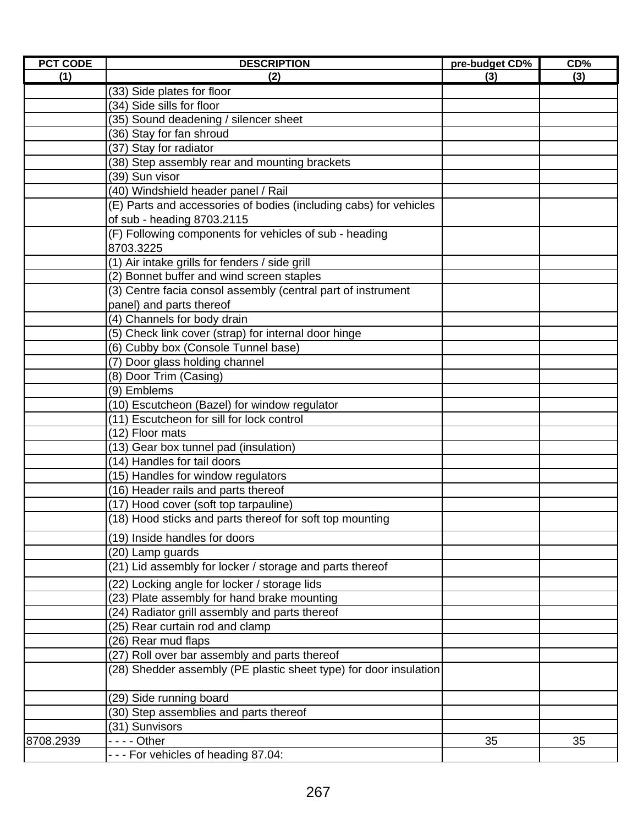| <b>PCT CODE</b> | <b>DESCRIPTION</b>                                                           | pre-budget CD% | CD% |
|-----------------|------------------------------------------------------------------------------|----------------|-----|
| (1)             | (2)                                                                          | (3)            | (3) |
|                 | (33) Side plates for floor                                                   |                |     |
|                 | (34) Side sills for floor                                                    |                |     |
|                 | (35) Sound deadening / silencer sheet                                        |                |     |
|                 | (36) Stay for fan shroud                                                     |                |     |
|                 | (37) Stay for radiator                                                       |                |     |
|                 | (38) Step assembly rear and mounting brackets                                |                |     |
|                 | (39) Sun visor                                                               |                |     |
|                 | (40) Windshield header panel / Rail                                          |                |     |
|                 | (E) Parts and accessories of bodies (including cabs) for vehicles            |                |     |
|                 | of sub - heading 8703.2115                                                   |                |     |
|                 | (F) Following components for vehicles of sub - heading                       |                |     |
|                 | 8703.3225                                                                    |                |     |
|                 | (1) Air intake grills for fenders / side grill                               |                |     |
|                 | (2) Bonnet buffer and wind screen staples                                    |                |     |
|                 | (3) Centre facia consol assembly (central part of instrument                 |                |     |
|                 | panel) and parts thereof                                                     |                |     |
|                 | (4) Channels for body drain                                                  |                |     |
|                 | (5) Check link cover (strap) for internal door hinge                         |                |     |
|                 | (6) Cubby box (Console Tunnel base)                                          |                |     |
|                 | (7) Door glass holding channel                                               |                |     |
|                 | (8) Door Trim (Casing)                                                       |                |     |
|                 | (9) Emblems                                                                  |                |     |
|                 | (10) Escutcheon (Bazel) for window regulator                                 |                |     |
|                 | (11) Escutcheon for sill for lock control                                    |                |     |
|                 | (12) Floor mats                                                              |                |     |
|                 | (13) Gear box tunnel pad (insulation)                                        |                |     |
|                 | (14) Handles for tail doors                                                  |                |     |
|                 | (15) Handles for window regulators                                           |                |     |
|                 | (16) Header rails and parts thereof                                          |                |     |
|                 | (17) Hood cover (soft top tarpauline)                                        |                |     |
|                 | (18) Hood sticks and parts thereof for soft top mounting                     |                |     |
|                 | (19) Inside handles for doors                                                |                |     |
|                 |                                                                              |                |     |
|                 | (20) Lamp guards<br>(21) Lid assembly for locker / storage and parts thereof |                |     |
|                 |                                                                              |                |     |
|                 | (22) Locking angle for locker / storage lids                                 |                |     |
|                 | (23) Plate assembly for hand brake mounting                                  |                |     |
|                 | (24) Radiator grill assembly and parts thereof                               |                |     |
|                 | (25) Rear curtain rod and clamp                                              |                |     |
|                 | (26) Rear mud flaps                                                          |                |     |
|                 | (27) Roll over bar assembly and parts thereof                                |                |     |
|                 | (28) Shedder assembly (PE plastic sheet type) for door insulation            |                |     |
|                 | (29) Side running board                                                      |                |     |
|                 | (30) Step assemblies and parts thereof                                       |                |     |
|                 | (31) Sunvisors                                                               |                |     |
| 8708.2939       | $\cdots$ - Other                                                             | 35             | 35  |
|                 | --- For vehicles of heading 87.04:                                           |                |     |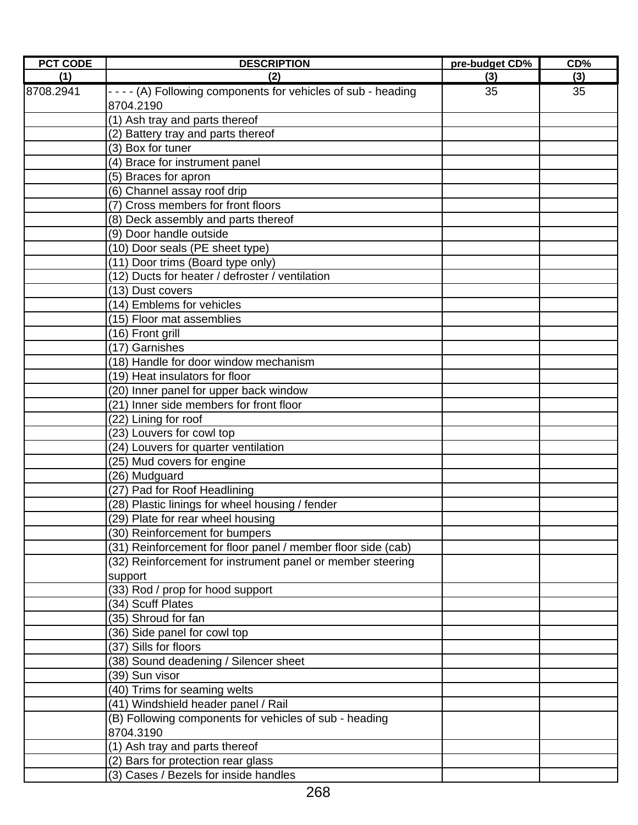| <b>PCT CODE</b> | <b>DESCRIPTION</b>                                             | pre-budget CD% | CD% |
|-----------------|----------------------------------------------------------------|----------------|-----|
| (1)             | (2)                                                            | (3)            | (3) |
| 8708.2941       | - - - - (A) Following components for vehicles of sub - heading | 35             | 35  |
|                 | 8704.2190                                                      |                |     |
|                 | (1) Ash tray and parts thereof                                 |                |     |
|                 | (2) Battery tray and parts thereof                             |                |     |
|                 | (3) Box for tuner                                              |                |     |
|                 | (4) Brace for instrument panel                                 |                |     |
|                 | (5) Braces for apron                                           |                |     |
|                 | (6) Channel assay roof drip                                    |                |     |
|                 | (7) Cross members for front floors                             |                |     |
|                 | (8) Deck assembly and parts thereof                            |                |     |
|                 | (9) Door handle outside                                        |                |     |
|                 | (10) Door seals (PE sheet type)                                |                |     |
|                 | (11) Door trims (Board type only)                              |                |     |
|                 | (12) Ducts for heater / defroster / ventilation                |                |     |
|                 | (13) Dust covers                                               |                |     |
|                 | (14) Emblems for vehicles                                      |                |     |
|                 | (15) Floor mat assemblies                                      |                |     |
|                 | (16) Front grill                                               |                |     |
|                 | (17) Garnishes                                                 |                |     |
|                 | (18) Handle for door window mechanism                          |                |     |
|                 | (19) Heat insulators for floor                                 |                |     |
|                 | (20) Inner panel for upper back window                         |                |     |
|                 | (21) Inner side members for front floor                        |                |     |
|                 | (22) Lining for roof                                           |                |     |
|                 | (23) Louvers for cowl top                                      |                |     |
|                 | (24) Louvers for quarter ventilation                           |                |     |
|                 | $\overline{(25)}$ Mud covers for engine                        |                |     |
|                 | (26) Mudguard                                                  |                |     |
|                 | (27) Pad for Roof Headlining                                   |                |     |
|                 | (28) Plastic linings for wheel housing / fender                |                |     |
|                 | (29) Plate for rear wheel housing                              |                |     |
|                 | (30) Reinforcement for bumpers                                 |                |     |
|                 | (31) Reinforcement for floor panel / member floor side (cab)   |                |     |
|                 | (32) Reinforcement for instrument panel or member steering     |                |     |
|                 | support                                                        |                |     |
|                 | (33) Rod / prop for hood support                               |                |     |
|                 | (34) Scuff Plates                                              |                |     |
|                 | (35) Shroud for fan                                            |                |     |
|                 | (36) Side panel for cowl top                                   |                |     |
|                 | (37) Sills for floors                                          |                |     |
|                 | (38) Sound deadening / Silencer sheet                          |                |     |
|                 | (39) Sun visor                                                 |                |     |
|                 | (40) Trims for seaming welts                                   |                |     |
|                 | (41) Windshield header panel / Rail                            |                |     |
|                 | (B) Following components for vehicles of sub - heading         |                |     |
|                 | 8704.3190                                                      |                |     |
|                 | (1) Ash tray and parts thereof                                 |                |     |
|                 | (2) Bars for protection rear glass                             |                |     |
|                 | (3) Cases / Bezels for inside handles                          |                |     |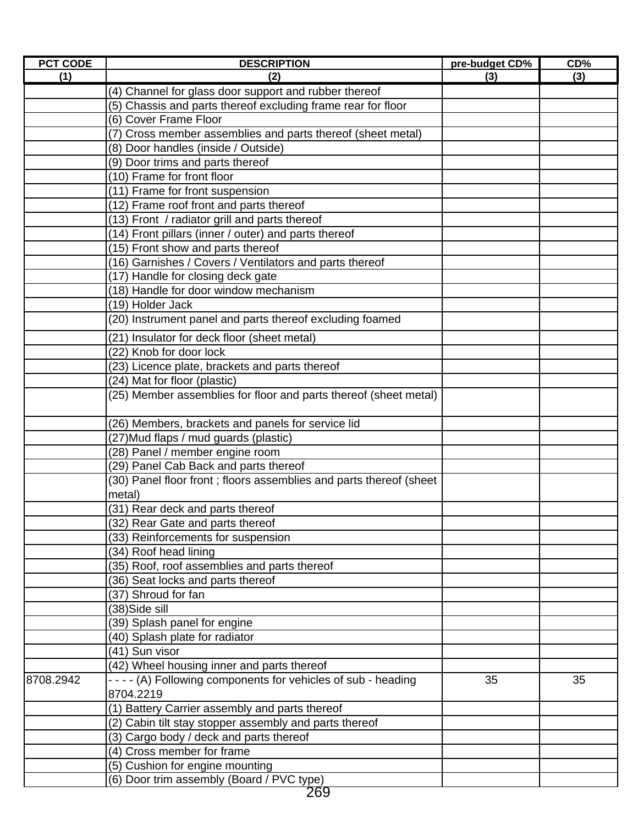| <b>PCT CODE</b> | <b>DESCRIPTION</b>                                                 | pre-budget CD% | CD% |
|-----------------|--------------------------------------------------------------------|----------------|-----|
| (1)             | (2)                                                                | (3)            | (3) |
|                 | (4) Channel for glass door support and rubber thereof              |                |     |
|                 | (5) Chassis and parts thereof excluding frame rear for floor       |                |     |
|                 | (6) Cover Frame Floor                                              |                |     |
|                 | (7) Cross member assemblies and parts thereof (sheet metal)        |                |     |
|                 | (8) Door handles (inside / Outside)                                |                |     |
|                 | (9) Door trims and parts thereof                                   |                |     |
|                 | (10) Frame for front floor                                         |                |     |
|                 | (11) Frame for front suspension                                    |                |     |
|                 | (12) Frame roof front and parts thereof                            |                |     |
|                 | (13) Front / radiator grill and parts thereof                      |                |     |
|                 | (14) Front pillars (inner / outer) and parts thereof               |                |     |
|                 | (15) Front show and parts thereof                                  |                |     |
|                 | (16) Garnishes / Covers / Ventilators and parts thereof            |                |     |
|                 | (17) Handle for closing deck gate                                  |                |     |
|                 | (18) Handle for door window mechanism                              |                |     |
|                 | (19) Holder Jack                                                   |                |     |
|                 | (20) Instrument panel and parts thereof excluding foamed           |                |     |
|                 | (21) Insulator for deck floor (sheet metal)                        |                |     |
|                 | (22) Knob for door lock                                            |                |     |
|                 | (23) Licence plate, brackets and parts thereof                     |                |     |
|                 | (24) Mat for floor (plastic)                                       |                |     |
|                 | (25) Member assemblies for floor and parts thereof (sheet metal)   |                |     |
|                 |                                                                    |                |     |
|                 | (26) Members, brackets and panels for service lid                  |                |     |
|                 | (27) Mud flaps / mud guards (plastic)                              |                |     |
|                 | (28) Panel / member engine room                                    |                |     |
|                 | (29) Panel Cab Back and parts thereof                              |                |     |
|                 | (30) Panel floor front; floors assemblies and parts thereof (sheet |                |     |
|                 | metal)                                                             |                |     |
|                 | (31) Rear deck and parts thereof                                   |                |     |
|                 | (32) Rear Gate and parts thereof                                   |                |     |
|                 | (33) Reinforcements for suspension                                 |                |     |
|                 | (34) Roof head lining                                              |                |     |
|                 | (35) Roof, roof assemblies and parts thereof                       |                |     |
|                 | (36) Seat locks and parts thereof                                  |                |     |
|                 | (37) Shroud for fan                                                |                |     |
|                 | $(38)$ Side sill                                                   |                |     |
|                 | (39) Splash panel for engine                                       |                |     |
|                 | (40) Splash plate for radiator                                     |                |     |
|                 | (41) Sun visor                                                     |                |     |
|                 | (42) Wheel housing inner and parts thereof                         |                |     |
| 8708.2942       | - - - - (A) Following components for vehicles of sub - heading     | 35             | 35  |
|                 | 8704.2219                                                          |                |     |
|                 | (1) Battery Carrier assembly and parts thereof                     |                |     |
|                 | (2) Cabin tilt stay stopper assembly and parts thereof             |                |     |
|                 | (3) Cargo body / deck and parts thereof                            |                |     |
|                 | (4) Cross member for frame                                         |                |     |
|                 | (5) Cushion for engine mounting                                    |                |     |
|                 | (6) Door trim assembly (Board / PVC type)                          |                |     |
|                 | 269                                                                |                |     |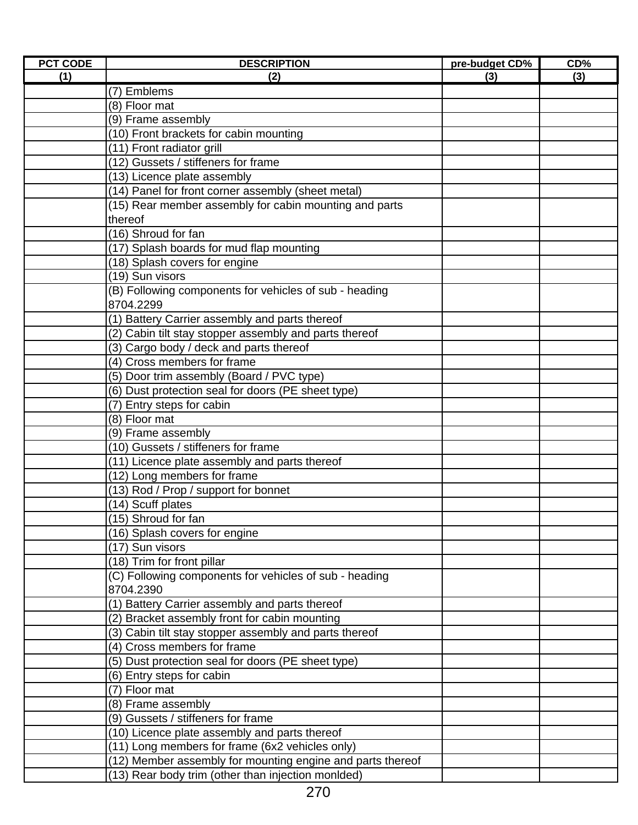| <b>PCT CODE</b> | <b>DESCRIPTION</b>                                         | pre-budget CD% | $CD\%$ |
|-----------------|------------------------------------------------------------|----------------|--------|
| (1)             | (2)                                                        | (3)            | (3)    |
|                 | $\overline{(7)}$ Emblems                                   |                |        |
|                 | (8) Floor mat                                              |                |        |
|                 | (9) Frame assembly                                         |                |        |
|                 | (10) Front brackets for cabin mounting                     |                |        |
|                 | (11) Front radiator grill                                  |                |        |
|                 | (12) Gussets / stiffeners for frame                        |                |        |
|                 | (13) Licence plate assembly                                |                |        |
|                 | (14) Panel for front corner assembly (sheet metal)         |                |        |
|                 | (15) Rear member assembly for cabin mounting and parts     |                |        |
|                 | thereof                                                    |                |        |
|                 | (16) Shroud for fan                                        |                |        |
|                 | (17) Splash boards for mud flap mounting                   |                |        |
|                 | (18) Splash covers for engine                              |                |        |
|                 | (19) Sun visors                                            |                |        |
|                 | (B) Following components for vehicles of sub - heading     |                |        |
|                 | 8704.2299                                                  |                |        |
|                 | (1) Battery Carrier assembly and parts thereof             |                |        |
|                 | (2) Cabin tilt stay stopper assembly and parts thereof     |                |        |
|                 | (3) Cargo body / deck and parts thereof                    |                |        |
|                 | (4) Cross members for frame                                |                |        |
|                 | (5) Door trim assembly (Board / PVC type)                  |                |        |
|                 | (6) Dust protection seal for doors (PE sheet type)         |                |        |
|                 | (7) Entry steps for cabin                                  |                |        |
|                 | (8) Floor mat                                              |                |        |
|                 | (9) Frame assembly                                         |                |        |
|                 | (10) Gussets / stiffeners for frame                        |                |        |
|                 | (11) Licence plate assembly and parts thereof              |                |        |
|                 | (12) Long members for frame                                |                |        |
|                 | (13) Rod / Prop / support for bonnet                       |                |        |
|                 | (14) Scuff plates                                          |                |        |
|                 | (15) Shroud for fan                                        |                |        |
|                 | (16) Splash covers for engine                              |                |        |
|                 | (17) Sun visors                                            |                |        |
|                 | (18) Trim for front pillar                                 |                |        |
|                 | (C) Following components for vehicles of sub - heading     |                |        |
|                 | 8704.2390                                                  |                |        |
|                 | (1) Battery Carrier assembly and parts thereof             |                |        |
|                 | (2) Bracket assembly front for cabin mounting              |                |        |
|                 | (3) Cabin tilt stay stopper assembly and parts thereof     |                |        |
|                 | (4) Cross members for frame                                |                |        |
|                 | (5) Dust protection seal for doors (PE sheet type)         |                |        |
|                 | (6) Entry steps for cabin                                  |                |        |
|                 | (7) Floor mat                                              |                |        |
|                 | (8) Frame assembly                                         |                |        |
|                 | (9) Gussets / stiffeners for frame                         |                |        |
|                 | (10) Licence plate assembly and parts thereof              |                |        |
|                 | (11) Long members for frame (6x2 vehicles only)            |                |        |
|                 | (12) Member assembly for mounting engine and parts thereof |                |        |
|                 | (13) Rear body trim (other than injection monlded)         |                |        |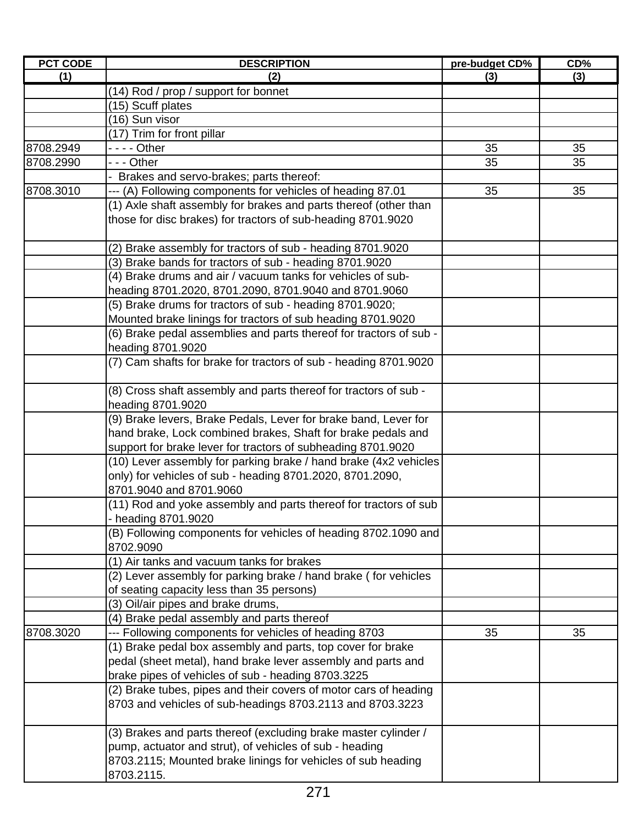| <b>PCT CODE</b> | <b>DESCRIPTION</b>                                                 | pre-budget CD% | CD <sub>0</sub> |
|-----------------|--------------------------------------------------------------------|----------------|-----------------|
| (1)             | (2)                                                                | (3)            | (3)             |
|                 | (14) Rod / prop / support for bonnet                               |                |                 |
|                 | (15) Scuff plates                                                  |                |                 |
|                 | (16) Sun visor                                                     |                |                 |
|                 | (17) Trim for front pillar                                         |                |                 |
| 8708.2949       | - - - - Other                                                      | 35             | 35              |
| 8708.2990       | - - Other                                                          | 35             | 35              |
|                 | Brakes and servo-brakes; parts thereof:                            |                |                 |
| 8708.3010       | (A) Following components for vehicles of heading 87.01             | 35             | 35              |
|                 | (1) Axle shaft assembly for brakes and parts thereof (other than   |                |                 |
|                 | those for disc brakes) for tractors of sub-heading 8701.9020       |                |                 |
|                 |                                                                    |                |                 |
|                 | (2) Brake assembly for tractors of sub - heading 8701.9020         |                |                 |
|                 | (3) Brake bands for tractors of sub - heading 8701.9020            |                |                 |
|                 | (4) Brake drums and air / vacuum tanks for vehicles of sub-        |                |                 |
|                 | heading 8701.2020, 8701.2090, 8701.9040 and 8701.9060              |                |                 |
|                 | (5) Brake drums for tractors of sub - heading 8701.9020;           |                |                 |
|                 | Mounted brake linings for tractors of sub heading 8701.9020        |                |                 |
|                 | (6) Brake pedal assemblies and parts thereof for tractors of sub - |                |                 |
|                 | heading 8701.9020                                                  |                |                 |
|                 | (7) Cam shafts for brake for tractors of sub - heading 8701.9020   |                |                 |
|                 |                                                                    |                |                 |
|                 | (8) Cross shaft assembly and parts thereof for tractors of sub -   |                |                 |
|                 | heading 8701.9020                                                  |                |                 |
|                 | (9) Brake levers, Brake Pedals, Lever for brake band, Lever for    |                |                 |
|                 | hand brake, Lock combined brakes, Shaft for brake pedals and       |                |                 |
|                 | support for brake lever for tractors of subheading 8701.9020       |                |                 |
|                 | (10) Lever assembly for parking brake / hand brake (4x2 vehicles   |                |                 |
|                 | only) for vehicles of sub - heading 8701.2020, 8701.2090,          |                |                 |
|                 | 8701.9040 and 8701.9060                                            |                |                 |
|                 | (11) Rod and yoke assembly and parts thereof for tractors of sub   |                |                 |
|                 | - heading 8701.9020                                                |                |                 |
|                 | (B) Following components for vehicles of heading 8702.1090 and     |                |                 |
|                 | 8702.9090                                                          |                |                 |
|                 | (1) Air tanks and vacuum tanks for brakes                          |                |                 |
|                 | (2) Lever assembly for parking brake / hand brake (for vehicles    |                |                 |
|                 | of seating capacity less than 35 persons)                          |                |                 |
|                 | (3) Oil/air pipes and brake drums,                                 |                |                 |
|                 | (4) Brake pedal assembly and parts thereof                         |                |                 |
| 8708.3020       | --- Following components for vehicles of heading 8703              | 35             | 35              |
|                 | (1) Brake pedal box assembly and parts, top cover for brake        |                |                 |
|                 | pedal (sheet metal), hand brake lever assembly and parts and       |                |                 |
|                 | brake pipes of vehicles of sub - heading 8703.3225                 |                |                 |
|                 | (2) Brake tubes, pipes and their covers of motor cars of heading   |                |                 |
|                 | 8703 and vehicles of sub-headings 8703.2113 and 8703.3223          |                |                 |
|                 | (3) Brakes and parts thereof (excluding brake master cylinder /    |                |                 |
|                 | pump, actuator and strut), of vehicles of sub - heading            |                |                 |
|                 | 8703.2115; Mounted brake linings for vehicles of sub heading       |                |                 |
|                 | 8703.2115.                                                         |                |                 |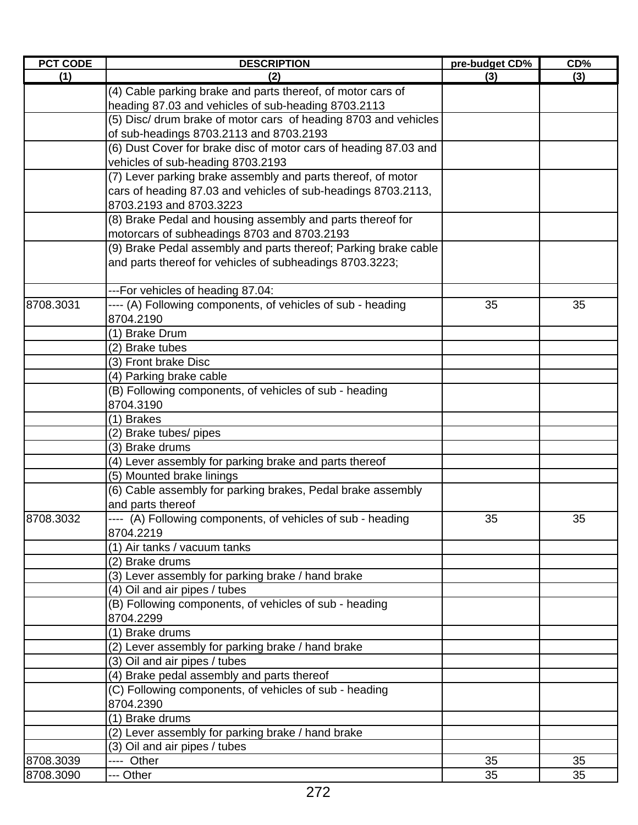| <b>PCT CODE</b> | <b>DESCRIPTION</b>                                               | pre-budget CD% | CD% |
|-----------------|------------------------------------------------------------------|----------------|-----|
| (1)             | (2)                                                              | (3)            | (3) |
|                 | (4) Cable parking brake and parts thereof, of motor cars of      |                |     |
|                 | heading 87.03 and vehicles of sub-heading 8703.2113              |                |     |
|                 | (5) Disc/ drum brake of motor cars of heading 8703 and vehicles  |                |     |
|                 | of sub-headings 8703.2113 and 8703.2193                          |                |     |
|                 | (6) Dust Cover for brake disc of motor cars of heading 87.03 and |                |     |
|                 | vehicles of sub-heading 8703.2193                                |                |     |
|                 | (7) Lever parking brake assembly and parts thereof, of motor     |                |     |
|                 | cars of heading 87.03 and vehicles of sub-headings 8703.2113,    |                |     |
|                 | 8703.2193 and 8703.3223                                          |                |     |
|                 | (8) Brake Pedal and housing assembly and parts thereof for       |                |     |
|                 | motorcars of subheadings 8703 and 8703.2193                      |                |     |
|                 | (9) Brake Pedal assembly and parts thereof; Parking brake cable  |                |     |
|                 | and parts thereof for vehicles of subheadings 8703.3223;         |                |     |
|                 | ---For vehicles of heading 87.04:                                |                |     |
| 8708.3031       | ---- (A) Following components, of vehicles of sub - heading      | 35             | 35  |
|                 | 8704.2190                                                        |                |     |
|                 | (1) Brake Drum                                                   |                |     |
|                 | (2) Brake tubes                                                  |                |     |
|                 | (3) Front brake Disc                                             |                |     |
|                 | (4) Parking brake cable                                          |                |     |
|                 | (B) Following components, of vehicles of sub - heading           |                |     |
|                 | 8704.3190                                                        |                |     |
|                 | (1) Brakes                                                       |                |     |
|                 | (2) Brake tubes/ pipes                                           |                |     |
|                 | (3) Brake drums                                                  |                |     |
|                 | (4) Lever assembly for parking brake and parts thereof           |                |     |
|                 | (5) Mounted brake linings                                        |                |     |
|                 | (6) Cable assembly for parking brakes, Pedal brake assembly      |                |     |
|                 | and parts thereof                                                |                |     |
| 8708.3032       | ---- (A) Following components, of vehicles of sub - heading      | 35             | 35  |
|                 | 8704.2219                                                        |                |     |
|                 | (1) Air tanks / vacuum tanks                                     |                |     |
|                 | (2) Brake drums                                                  |                |     |
|                 | (3) Lever assembly for parking brake / hand brake                |                |     |
|                 | (4) Oil and air pipes / tubes                                    |                |     |
|                 | (B) Following components, of vehicles of sub - heading           |                |     |
|                 | 8704.2299                                                        |                |     |
|                 | (1) Brake drums                                                  |                |     |
|                 | (2) Lever assembly for parking brake / hand brake                |                |     |
|                 | (3) Oil and air pipes / tubes                                    |                |     |
|                 | (4) Brake pedal assembly and parts thereof                       |                |     |
|                 | (C) Following components, of vehicles of sub - heading           |                |     |
|                 | 8704.2390                                                        |                |     |
|                 | (1) Brake drums                                                  |                |     |
|                 | (2) Lever assembly for parking brake / hand brake                |                |     |
|                 | (3) Oil and air pipes / tubes                                    |                |     |
| 8708.3039       | ---- Other                                                       | 35             | 35  |
| 8708.3090       | --- Other                                                        | 35             | 35  |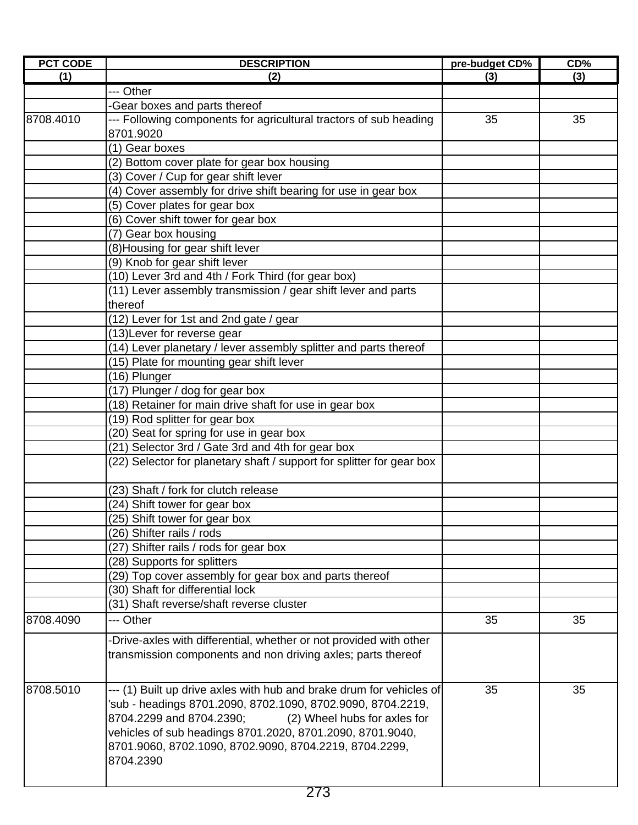| <b>PCT CODE</b> | <b>DESCRIPTION</b>                                                    | pre-budget CD% | CD% |
|-----------------|-----------------------------------------------------------------------|----------------|-----|
| (1)             | (2)                                                                   | (3)            | (3) |
|                 | --- Other                                                             |                |     |
|                 | Gear boxes and parts thereof                                          |                |     |
| 8708.4010       | --- Following components for agricultural tractors of sub heading     | 35             | 35  |
|                 | 8701.9020                                                             |                |     |
|                 | (1) Gear boxes                                                        |                |     |
|                 | (2) Bottom cover plate for gear box housing                           |                |     |
|                 | (3) Cover / Cup for gear shift lever                                  |                |     |
|                 | (4) Cover assembly for drive shift bearing for use in gear box        |                |     |
|                 | (5) Cover plates for gear box                                         |                |     |
|                 | (6) Cover shift tower for gear box                                    |                |     |
|                 | (7) Gear box housing                                                  |                |     |
|                 | (8) Housing for gear shift lever                                      |                |     |
|                 | (9) Knob for gear shift lever                                         |                |     |
|                 | (10) Lever 3rd and 4th / Fork Third (for gear box)                    |                |     |
|                 | (11) Lever assembly transmission / gear shift lever and parts         |                |     |
|                 | thereof                                                               |                |     |
|                 | (12) Lever for 1st and 2nd gate / gear                                |                |     |
|                 | (13) Lever for reverse gear                                           |                |     |
|                 | (14) Lever planetary / lever assembly splitter and parts thereof      |                |     |
|                 | (15) Plate for mounting gear shift lever                              |                |     |
|                 | (16) Plunger                                                          |                |     |
|                 | (17) Plunger / dog for gear box                                       |                |     |
|                 | (18) Retainer for main drive shaft for use in gear box                |                |     |
|                 |                                                                       |                |     |
|                 | (19) Rod splitter for gear box                                        |                |     |
|                 | (20) Seat for spring for use in gear box                              |                |     |
|                 | (21) Selector 3rd / Gate 3rd and 4th for gear box                     |                |     |
|                 | (22) Selector for planetary shaft / support for splitter for gear box |                |     |
|                 | (23) Shaft / fork for clutch release                                  |                |     |
|                 | (24) Shift tower for gear box                                         |                |     |
|                 | (25) Shift tower for gear box                                         |                |     |
|                 | (26) Shifter rails / rods                                             |                |     |
|                 | (27) Shifter rails / rods for gear box                                |                |     |
|                 | (28) Supports for splitters                                           |                |     |
|                 | (29) Top cover assembly for gear box and parts thereof                |                |     |
|                 | (30) Shaft for differential lock                                      |                |     |
|                 | (31) Shaft reverse/shaft reverse cluster                              |                |     |
| 8708.4090       | --- Other                                                             | 35             | 35  |
|                 | -Drive-axles with differential, whether or not provided with other    |                |     |
|                 | transmission components and non driving axles; parts thereof          |                |     |
|                 |                                                                       |                |     |
| 8708.5010       | --- (1) Built up drive axles with hub and brake drum for vehicles of  | 35             | 35  |
|                 | 'sub - headings 8701.2090, 8702.1090, 8702.9090, 8704.2219,           |                |     |
|                 | 8704.2299 and 8704.2390;<br>(2) Wheel hubs for axles for              |                |     |
|                 | vehicles of sub headings 8701.2020, 8701.2090, 8701.9040,             |                |     |
|                 | 8701.9060, 8702.1090, 8702.9090, 8704.2219, 8704.2299,                |                |     |
|                 | 8704.2390                                                             |                |     |
|                 |                                                                       |                |     |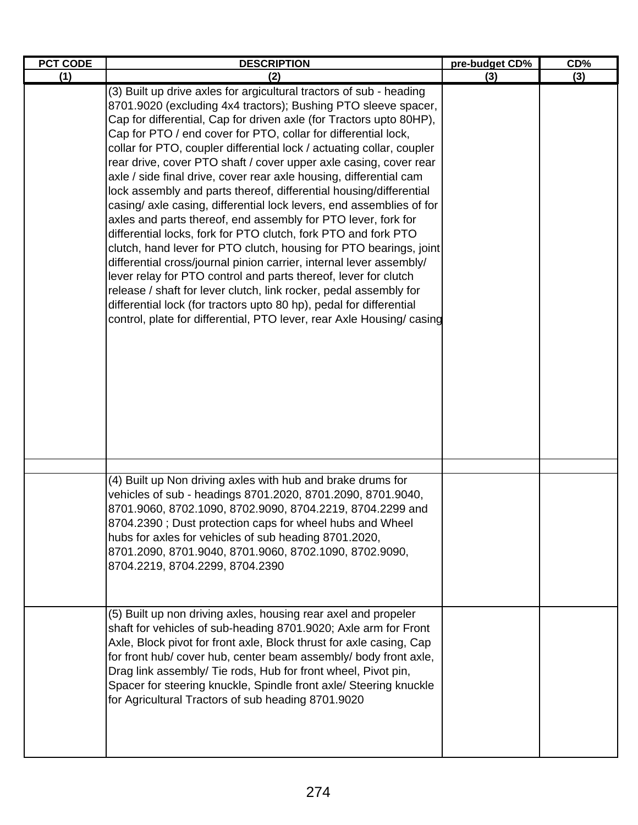| <b>PCT CODE</b> | <b>DESCRIPTION</b>                                                                                                                                                                                                                                                                                                                                                                                                                                                                                                                                                                                                                                                                                                                                                                                                                                                                                                                                                                                                                                                                                                                                                                                                       | pre-budget CD% | CD% |
|-----------------|--------------------------------------------------------------------------------------------------------------------------------------------------------------------------------------------------------------------------------------------------------------------------------------------------------------------------------------------------------------------------------------------------------------------------------------------------------------------------------------------------------------------------------------------------------------------------------------------------------------------------------------------------------------------------------------------------------------------------------------------------------------------------------------------------------------------------------------------------------------------------------------------------------------------------------------------------------------------------------------------------------------------------------------------------------------------------------------------------------------------------------------------------------------------------------------------------------------------------|----------------|-----|
| (1)             | (2)                                                                                                                                                                                                                                                                                                                                                                                                                                                                                                                                                                                                                                                                                                                                                                                                                                                                                                                                                                                                                                                                                                                                                                                                                      | (3)            | (3) |
|                 | (3) Built up drive axles for argicultural tractors of sub - heading<br>8701.9020 (excluding 4x4 tractors); Bushing PTO sleeve spacer,<br>Cap for differential, Cap for driven axle (for Tractors upto 80HP),<br>Cap for PTO / end cover for PTO, collar for differential lock,<br>collar for PTO, coupler differential lock / actuating collar, coupler<br>rear drive, cover PTO shaft / cover upper axle casing, cover rear<br>axle / side final drive, cover rear axle housing, differential cam<br>lock assembly and parts thereof, differential housing/differential<br>casing/ axle casing, differential lock levers, end assemblies of for<br>axles and parts thereof, end assembly for PTO lever, fork for<br>differential locks, fork for PTO clutch, fork PTO and fork PTO<br>clutch, hand lever for PTO clutch, housing for PTO bearings, joint<br>differential cross/journal pinion carrier, internal lever assembly/<br>lever relay for PTO control and parts thereof, lever for clutch<br>release / shaft for lever clutch, link rocker, pedal assembly for<br>differential lock (for tractors upto 80 hp), pedal for differential<br>control, plate for differential, PTO lever, rear Axle Housing/ casing |                |     |
|                 | (4) Built up Non driving axles with hub and brake drums for<br>vehicles of sub - headings 8701.2020, 8701.2090, 8701.9040,<br>8701.9060, 8702.1090, 8702.9090, 8704.2219, 8704.2299 and<br>8704.2390; Dust protection caps for wheel hubs and Wheel<br>hubs for axles for vehicles of sub heading 8701.2020,<br>8701.2090, 8701.9040, 8701.9060, 8702.1090, 8702.9090,<br>8704.2219, 8704.2299, 8704.2390                                                                                                                                                                                                                                                                                                                                                                                                                                                                                                                                                                                                                                                                                                                                                                                                                |                |     |
|                 | (5) Built up non driving axles, housing rear axel and propeler<br>shaft for vehicles of sub-heading 8701.9020; Axle arm for Front<br>Axle, Block pivot for front axle, Block thrust for axle casing, Cap<br>for front hub/ cover hub, center beam assembly/ body front axle,<br>Drag link assembly/ Tie rods, Hub for front wheel, Pivot pin,<br>Spacer for steering knuckle, Spindle front axle/ Steering knuckle<br>for Agricultural Tractors of sub heading 8701.9020                                                                                                                                                                                                                                                                                                                                                                                                                                                                                                                                                                                                                                                                                                                                                 |                |     |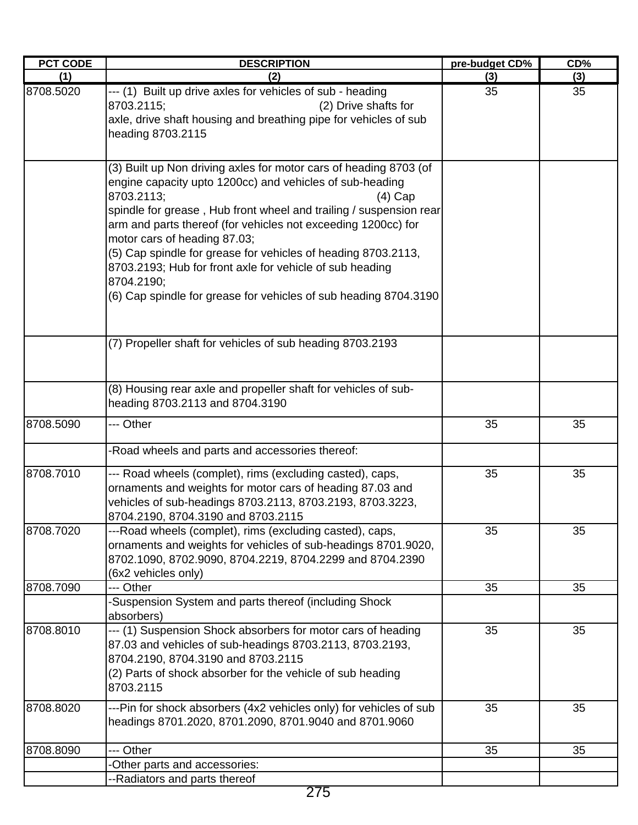| <b>PCT CODE</b> | <b>DESCRIPTION</b>                                                                                                                                                                                                                                                                                                                                                                                                                                                                                                                           | pre-budget CD% | CD% |
|-----------------|----------------------------------------------------------------------------------------------------------------------------------------------------------------------------------------------------------------------------------------------------------------------------------------------------------------------------------------------------------------------------------------------------------------------------------------------------------------------------------------------------------------------------------------------|----------------|-----|
| (1)             | (2)                                                                                                                                                                                                                                                                                                                                                                                                                                                                                                                                          | (3)            | (3) |
| 8708.5020       | --- (1) Built up drive axles for vehicles of sub - heading<br>(2) Drive shafts for<br>8703.2115;<br>axle, drive shaft housing and breathing pipe for vehicles of sub<br>heading 8703.2115                                                                                                                                                                                                                                                                                                                                                    | 35             | 35  |
|                 | (3) Built up Non driving axles for motor cars of heading 8703 (of<br>engine capacity upto 1200cc) and vehicles of sub-heading<br>8703.2113;<br>(4) Cap<br>spindle for grease, Hub front wheel and trailing / suspension rear<br>arm and parts thereof (for vehicles not exceeding 1200cc) for<br>motor cars of heading 87.03;<br>(5) Cap spindle for grease for vehicles of heading 8703.2113,<br>8703.2193; Hub for front axle for vehicle of sub heading<br>8704.2190;<br>(6) Cap spindle for grease for vehicles of sub heading 8704.3190 |                |     |
|                 | (7) Propeller shaft for vehicles of sub heading 8703.2193                                                                                                                                                                                                                                                                                                                                                                                                                                                                                    |                |     |
|                 | (8) Housing rear axle and propeller shaft for vehicles of sub-<br>heading 8703.2113 and 8704.3190                                                                                                                                                                                                                                                                                                                                                                                                                                            |                |     |
| 8708.5090       | --- Other                                                                                                                                                                                                                                                                                                                                                                                                                                                                                                                                    | 35             | 35  |
|                 | -Road wheels and parts and accessories thereof:                                                                                                                                                                                                                                                                                                                                                                                                                                                                                              |                |     |
| 8708.7010       | --- Road wheels (complet), rims (excluding casted), caps,<br>ornaments and weights for motor cars of heading 87.03 and<br>vehicles of sub-headings 8703.2113, 8703.2193, 8703.3223,<br>8704.2190, 8704.3190 and 8703.2115                                                                                                                                                                                                                                                                                                                    | 35             | 35  |
| 8708.7020       | ---Road wheels (complet), rims (excluding casted), caps,<br>ornaments and weights for vehicles of sub-headings 8701.9020,<br>8702.1090, 8702.9090, 8704.2219, 8704.2299 and 8704.2390<br>(6x2 vehicles only)                                                                                                                                                                                                                                                                                                                                 | 35             | 35  |
| 8708.7090       | --- Other                                                                                                                                                                                                                                                                                                                                                                                                                                                                                                                                    | 35             | 35  |
|                 | -Suspension System and parts thereof (including Shock<br>absorbers)                                                                                                                                                                                                                                                                                                                                                                                                                                                                          |                |     |
| 8708.8010       | --- (1) Suspension Shock absorbers for motor cars of heading<br>87.03 and vehicles of sub-headings 8703.2113, 8703.2193,<br>8704.2190, 8704.3190 and 8703.2115<br>(2) Parts of shock absorber for the vehicle of sub heading<br>8703.2115                                                                                                                                                                                                                                                                                                    | 35             | 35  |
| 8708.8020       | ---Pin for shock absorbers (4x2 vehicles only) for vehicles of sub<br>headings 8701.2020, 8701.2090, 8701.9040 and 8701.9060                                                                                                                                                                                                                                                                                                                                                                                                                 | 35             | 35  |
| 8708.8090       | --- Other                                                                                                                                                                                                                                                                                                                                                                                                                                                                                                                                    | 35             | 35  |
|                 | -Other parts and accessories:                                                                                                                                                                                                                                                                                                                                                                                                                                                                                                                |                |     |
|                 | --Radiators and parts thereof                                                                                                                                                                                                                                                                                                                                                                                                                                                                                                                |                |     |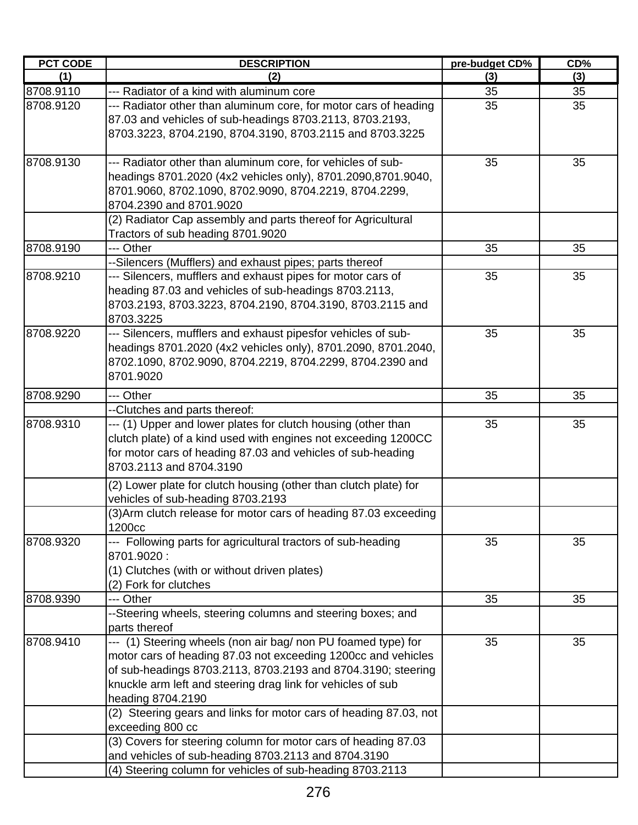| <b>PCT CODE</b> | <b>DESCRIPTION</b>                                                                                                                                                                                                                                                                 | pre-budget CD% | CD% |
|-----------------|------------------------------------------------------------------------------------------------------------------------------------------------------------------------------------------------------------------------------------------------------------------------------------|----------------|-----|
| (1)             | (2)                                                                                                                                                                                                                                                                                | (3)            | (3) |
| 8708.9110       | --- Radiator of a kind with aluminum core                                                                                                                                                                                                                                          | 35             | 35  |
| 8708.9120       | --- Radiator other than aluminum core, for motor cars of heading<br>87.03 and vehicles of sub-headings 8703.2113, 8703.2193,<br>8703.3223, 8704.2190, 8704.3190, 8703.2115 and 8703.3225                                                                                           | 35             | 35  |
| 8708.9130       | --- Radiator other than aluminum core, for vehicles of sub-<br>headings 8701.2020 (4x2 vehicles only), 8701.2090,8701.9040,<br>8701.9060, 8702.1090, 8702.9090, 8704.2219, 8704.2299,<br>8704.2390 and 8701.9020<br>(2) Radiator Cap assembly and parts thereof for Agricultural   | 35             | 35  |
|                 | Tractors of sub heading 8701.9020                                                                                                                                                                                                                                                  |                |     |
| 8708.9190       | --- Other                                                                                                                                                                                                                                                                          | 35             | 35  |
|                 | --Silencers (Mufflers) and exhaust pipes; parts thereof                                                                                                                                                                                                                            |                |     |
| 8708.9210       | --- Silencers, mufflers and exhaust pipes for motor cars of<br>heading 87.03 and vehicles of sub-headings 8703.2113,<br>8703.2193, 8703.3223, 8704.2190, 8704.3190, 8703.2115 and<br>8703.3225                                                                                     | 35             | 35  |
| 8708.9220       | --- Silencers, mufflers and exhaust pipesfor vehicles of sub-<br>headings 8701.2020 (4x2 vehicles only), 8701.2090, 8701.2040,<br>8702.1090, 8702.9090, 8704.2219, 8704.2299, 8704.2390 and<br>8701.9020                                                                           | 35             | 35  |
| 8708.9290       | --- Other                                                                                                                                                                                                                                                                          | 35             | 35  |
|                 | --Clutches and parts thereof:                                                                                                                                                                                                                                                      |                |     |
| 8708.9310       | --- (1) Upper and lower plates for clutch housing (other than<br>clutch plate) of a kind used with engines not exceeding 1200CC<br>for motor cars of heading 87.03 and vehicles of sub-heading<br>8703.2113 and 8704.3190                                                          | 35             | 35  |
|                 | (2) Lower plate for clutch housing (other than clutch plate) for                                                                                                                                                                                                                   |                |     |
|                 | vehicles of sub-heading 8703.2193                                                                                                                                                                                                                                                  |                |     |
|                 | (3) Arm clutch release for motor cars of heading 87.03 exceeding<br>1200cc                                                                                                                                                                                                         |                |     |
| 8708.9320       | --- Following parts for agricultural tractors of sub-heading<br>8701.9020:<br>(1) Clutches (with or without driven plates)<br>(2) Fork for clutches                                                                                                                                | 35             | 35  |
| 8708.9390       | --- Other                                                                                                                                                                                                                                                                          | 35             | 35  |
|                 | --Steering wheels, steering columns and steering boxes; and                                                                                                                                                                                                                        |                |     |
|                 | parts thereof                                                                                                                                                                                                                                                                      |                |     |
| 8708.9410       | --- (1) Steering wheels (non air bag/ non PU foamed type) for<br>motor cars of heading 87.03 not exceeding 1200cc and vehicles<br>of sub-headings 8703.2113, 8703.2193 and 8704.3190; steering<br>knuckle arm left and steering drag link for vehicles of sub<br>heading 8704.2190 | 35             | 35  |
|                 | (2) Steering gears and links for motor cars of heading 87.03, not<br>exceeding 800 cc                                                                                                                                                                                              |                |     |
|                 | (3) Covers for steering column for motor cars of heading 87.03<br>and vehicles of sub-heading 8703.2113 and 8704.3190                                                                                                                                                              |                |     |
|                 | (4) Steering column for vehicles of sub-heading 8703.2113                                                                                                                                                                                                                          |                |     |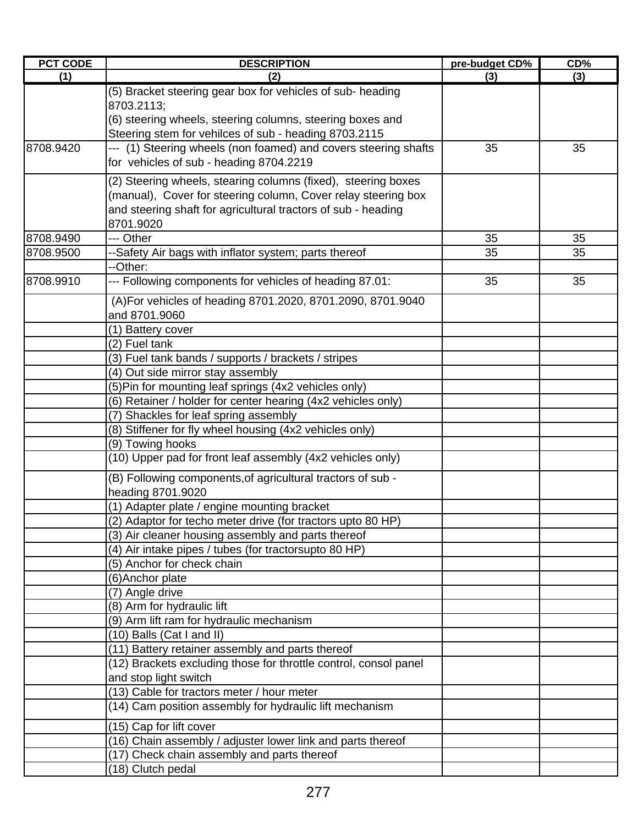| <b>PCT CODE</b> | <b>DESCRIPTION</b>                                                                         | pre-budget CD% | CD% |
|-----------------|--------------------------------------------------------------------------------------------|----------------|-----|
| (1)             | (2)                                                                                        | (3)            | (3) |
|                 | (5) Bracket steering gear box for vehicles of sub- heading                                 |                |     |
|                 | 8703.2113;                                                                                 |                |     |
|                 | (6) steering wheels, steering columns, steering boxes and                                  |                |     |
|                 | Steering stem for vehilces of sub - heading 8703.2115                                      |                |     |
| 8708.9420       | --- (1) Steering wheels (non foamed) and covers steering shafts                            | 35             | 35  |
|                 | for vehicles of sub - heading 8704.2219                                                    |                |     |
|                 | (2) Steering wheels, stearing columns (fixed), steering boxes                              |                |     |
|                 | (manual), Cover for steering column, Cover relay steering box                              |                |     |
|                 | and steering shaft for agricultural tractors of sub - heading                              |                |     |
|                 | 8701.9020                                                                                  |                |     |
| 8708.9490       | --- Other                                                                                  | 35             | 35  |
| 8708.9500       | --Safety Air bags with inflator system; parts thereof                                      | 35             | 35  |
|                 | --Other:                                                                                   |                |     |
| 8708.9910       | --- Following components for vehicles of heading 87.01:                                    | 35             | 35  |
|                 |                                                                                            |                |     |
|                 | (A) For vehicles of heading 8701.2020, 8701.2090, 8701.9040<br>and 8701.9060               |                |     |
|                 |                                                                                            |                |     |
|                 | (1) Battery cover                                                                          |                |     |
|                 | (2) Fuel tank<br>(3) Fuel tank bands / supports / brackets / stripes                       |                |     |
|                 |                                                                                            |                |     |
|                 | (4) Out side mirror stay assembly<br>(5) Pin for mounting leaf springs (4x2 vehicles only) |                |     |
|                 | (6) Retainer / holder for center hearing (4x2 vehicles only)                               |                |     |
|                 | (7) Shackles for leaf spring assembly                                                      |                |     |
|                 | (8) Stiffener for fly wheel housing (4x2 vehicles only)                                    |                |     |
|                 | (9) Towing hooks                                                                           |                |     |
|                 | (10) Upper pad for front leaf assembly (4x2 vehicles only)                                 |                |     |
|                 |                                                                                            |                |     |
|                 | (B) Following components, of agricultural tractors of sub -                                |                |     |
|                 | heading 8701.9020                                                                          |                |     |
|                 | (1) Adapter plate / engine mounting bracket                                                |                |     |
|                 | (2) Adaptor for techo meter drive (for tractors upto 80 HP)                                |                |     |
|                 | (3) Air cleaner housing assembly and parts thereof                                         |                |     |
|                 | (4) Air intake pipes / tubes (for tractorsupto 80 HP)                                      |                |     |
|                 | (5) Anchor for check chain                                                                 |                |     |
|                 | (6) Anchor plate                                                                           |                |     |
|                 | (7) Angle drive                                                                            |                |     |
|                 | (8) Arm for hydraulic lift                                                                 |                |     |
|                 | (9) Arm lift ram for hydraulic mechanism                                                   |                |     |
|                 | (10) Balls (Cat I and II)<br>(11) Battery retainer assembly and parts thereof              |                |     |
|                 | (12) Brackets excluding those for throttle control, consol panel                           |                |     |
|                 | and stop light switch                                                                      |                |     |
|                 | (13) Cable for tractors meter / hour meter                                                 |                |     |
|                 | (14) Cam position assembly for hydraulic lift mechanism                                    |                |     |
|                 |                                                                                            |                |     |
|                 | (15) Cap for lift cover                                                                    |                |     |
|                 | (16) Chain assembly / adjuster lower link and parts thereof                                |                |     |
|                 | (17) Check chain assembly and parts thereof                                                |                |     |
|                 | (18) Clutch pedal                                                                          |                |     |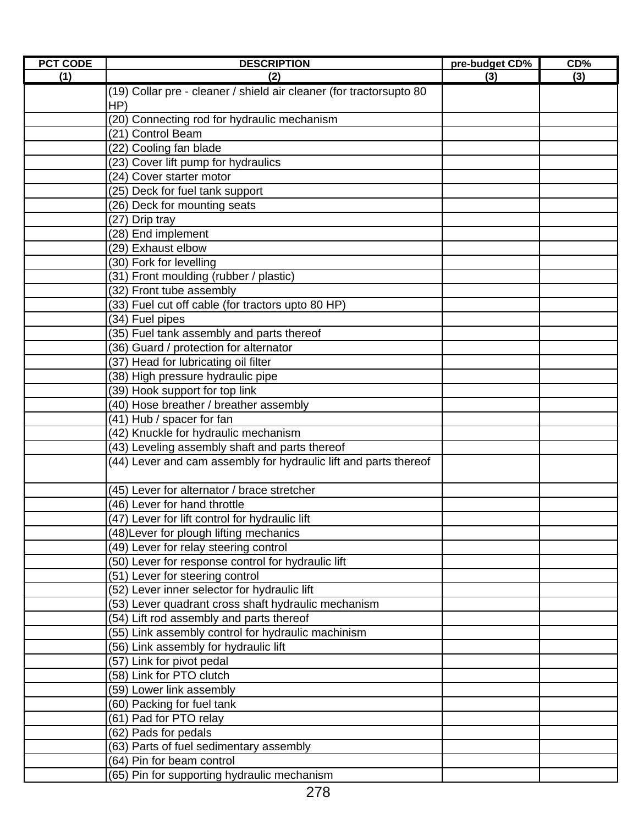| <b>PCT CODE</b> | <b>DESCRIPTION</b>                                                  | pre-budget CD% | CD% |
|-----------------|---------------------------------------------------------------------|----------------|-----|
| (1)             | (2)                                                                 | (3)            | (3) |
|                 | (19) Collar pre - cleaner / shield air cleaner (for tractorsupto 80 |                |     |
|                 | HP)                                                                 |                |     |
|                 | (20) Connecting rod for hydraulic mechanism                         |                |     |
|                 | (21) Control Beam                                                   |                |     |
|                 | (22) Cooling fan blade                                              |                |     |
|                 | (23) Cover lift pump for hydraulics                                 |                |     |
|                 | (24) Cover starter motor                                            |                |     |
|                 | (25) Deck for fuel tank support                                     |                |     |
|                 | (26) Deck for mounting seats                                        |                |     |
|                 | (27) Drip tray                                                      |                |     |
|                 | (28) End implement                                                  |                |     |
|                 | (29) Exhaust elbow                                                  |                |     |
|                 | (30) Fork for levelling                                             |                |     |
|                 | (31) Front moulding (rubber / plastic)                              |                |     |
|                 | (32) Front tube assembly                                            |                |     |
|                 | (33) Fuel cut off cable (for tractors upto 80 HP)                   |                |     |
|                 | (34) Fuel pipes                                                     |                |     |
|                 | (35) Fuel tank assembly and parts thereof                           |                |     |
|                 | (36) Guard / protection for alternator                              |                |     |
|                 | (37) Head for lubricating oil filter                                |                |     |
|                 | (38) High pressure hydraulic pipe                                   |                |     |
|                 | (39) Hook support for top link                                      |                |     |
|                 | (40) Hose breather / breather assembly                              |                |     |
|                 | (41) Hub / spacer for fan                                           |                |     |
|                 | (42) Knuckle for hydraulic mechanism                                |                |     |
|                 | (43) Leveling assembly shaft and parts thereof                      |                |     |
|                 | (44) Lever and cam assembly for hydraulic lift and parts thereof    |                |     |
|                 |                                                                     |                |     |
|                 | (45) Lever for alternator / brace stretcher                         |                |     |
|                 | (46) Lever for hand throttle                                        |                |     |
|                 | (47) Lever for lift control for hydraulic lift                      |                |     |
|                 | (48) Lever for plough lifting mechanics                             |                |     |
|                 | (49) Lever for relay steering control                               |                |     |
|                 | (50) Lever for response control for hydraulic lift                  |                |     |
|                 | (51) Lever for steering control                                     |                |     |
|                 | (52) Lever inner selector for hydraulic lift                        |                |     |
|                 | (53) Lever quadrant cross shaft hydraulic mechanism                 |                |     |
|                 | (54) Lift rod assembly and parts thereof                            |                |     |
|                 | (55) Link assembly control for hydraulic machinism                  |                |     |
|                 | (56) Link assembly for hydraulic lift                               |                |     |
|                 | (57) Link for pivot pedal                                           |                |     |
|                 | (58) Link for PTO clutch                                            |                |     |
|                 | (59) Lower link assembly                                            |                |     |
|                 | (60) Packing for fuel tank                                          |                |     |
|                 | (61) Pad for PTO relay                                              |                |     |
|                 | (62) Pads for pedals                                                |                |     |
|                 | (63) Parts of fuel sedimentary assembly                             |                |     |
|                 | (64) Pin for beam control                                           |                |     |
|                 | (65) Pin for supporting hydraulic mechanism                         |                |     |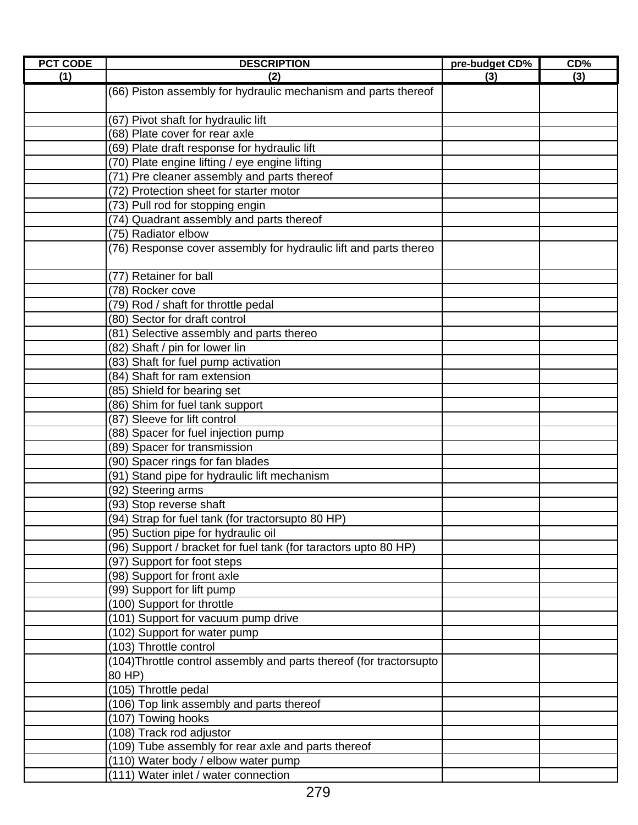| <b>PCT CODE</b> | <b>DESCRIPTION</b>                                                  | pre-budget CD% | CD% |
|-----------------|---------------------------------------------------------------------|----------------|-----|
| (1)             | (2)                                                                 | (3)            | (3) |
|                 | (66) Piston assembly for hydraulic mechanism and parts thereof      |                |     |
|                 |                                                                     |                |     |
|                 | (67) Pivot shaft for hydraulic lift                                 |                |     |
|                 | (68) Plate cover for rear axle                                      |                |     |
|                 | (69) Plate draft response for hydraulic lift                        |                |     |
|                 | (70) Plate engine lifting / eye engine lifting                      |                |     |
|                 | (71) Pre cleaner assembly and parts thereof                         |                |     |
|                 | (72) Protection sheet for starter motor                             |                |     |
|                 | (73) Pull rod for stopping engin                                    |                |     |
|                 | (74) Quadrant assembly and parts thereof                            |                |     |
|                 | (75) Radiator elbow                                                 |                |     |
|                 | (76) Response cover assembly for hydraulic lift and parts thereo    |                |     |
|                 |                                                                     |                |     |
|                 | (77) Retainer for ball                                              |                |     |
|                 | (78) Rocker cove                                                    |                |     |
|                 | (79) Rod / shaft for throttle pedal                                 |                |     |
|                 | (80) Sector for draft control                                       |                |     |
|                 | (81) Selective assembly and parts thereo                            |                |     |
|                 | (82) Shaft / pin for lower lin                                      |                |     |
|                 | (83) Shaft for fuel pump activation                                 |                |     |
|                 | (84) Shaft for ram extension                                        |                |     |
|                 | (85) Shield for bearing set                                         |                |     |
|                 | (86) Shim for fuel tank support                                     |                |     |
|                 | (87) Sleeve for lift control                                        |                |     |
|                 | (88) Spacer for fuel injection pump                                 |                |     |
|                 | (89) Spacer for transmission                                        |                |     |
|                 | (90) Spacer rings for fan blades                                    |                |     |
|                 | (91) Stand pipe for hydraulic lift mechanism                        |                |     |
|                 | (92) Steering arms                                                  |                |     |
|                 | (93) Stop reverse shaft                                             |                |     |
|                 | (94) Strap for fuel tank (for tractorsupto 80 HP)                   |                |     |
|                 | (95) Suction pipe for hydraulic oil                                 |                |     |
|                 | (96) Support / bracket for fuel tank (for taractors upto 80 HP)     |                |     |
|                 | (97) Support for foot steps                                         |                |     |
|                 | (98) Support for front axle                                         |                |     |
|                 | (99) Support for lift pump                                          |                |     |
|                 | (100) Support for throttle                                          |                |     |
|                 | (101) Support for vacuum pump drive                                 |                |     |
|                 | (102) Support for water pump                                        |                |     |
|                 | (103) Throttle control                                              |                |     |
|                 | (104) Throttle control assembly and parts thereof (for tractorsupto |                |     |
|                 | 80 HP)                                                              |                |     |
|                 | (105) Throttle pedal                                                |                |     |
|                 | (106) Top link assembly and parts thereof                           |                |     |
|                 | (107) Towing hooks                                                  |                |     |
|                 | (108) Track rod adjustor                                            |                |     |
|                 | (109) Tube assembly for rear axle and parts thereof                 |                |     |
|                 | (110) Water body / elbow water pump                                 |                |     |
|                 | (111) Water inlet / water connection                                |                |     |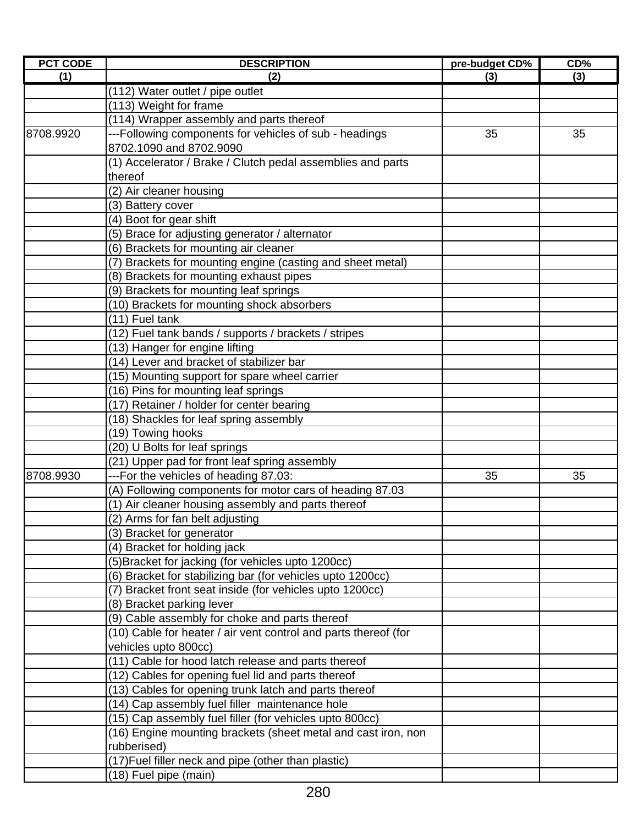| <b>PCT CODE</b> | <b>DESCRIPTION</b>                                              | pre-budget CD% | CD% |
|-----------------|-----------------------------------------------------------------|----------------|-----|
| (1)             | (2)                                                             | (3)            | (3) |
|                 | (112) Water outlet / pipe outlet                                |                |     |
|                 | (113) Weight for frame                                          |                |     |
|                 | (114) Wrapper assembly and parts thereof                        |                |     |
| 8708.9920       | ---Following components for vehicles of sub - headings          | 35             | 35  |
|                 | 8702.1090 and 8702.9090                                         |                |     |
|                 | (1) Accelerator / Brake / Clutch pedal assemblies and parts     |                |     |
|                 | thereof                                                         |                |     |
|                 | (2) Air cleaner housing                                         |                |     |
|                 | (3) Battery cover                                               |                |     |
|                 | (4) Boot for gear shift                                         |                |     |
|                 | (5) Brace for adjusting generator / alternator                  |                |     |
|                 | (6) Brackets for mounting air cleaner                           |                |     |
|                 | (7) Brackets for mounting engine (casting and sheet metal)      |                |     |
|                 | (8) Brackets for mounting exhaust pipes                         |                |     |
|                 | (9) Brackets for mounting leaf springs                          |                |     |
|                 | (10) Brackets for mounting shock absorbers                      |                |     |
|                 | (11) Fuel tank                                                  |                |     |
|                 | (12) Fuel tank bands / supports / brackets / stripes            |                |     |
|                 | (13) Hanger for engine lifting                                  |                |     |
|                 | (14) Lever and bracket of stabilizer bar                        |                |     |
|                 | (15) Mounting support for spare wheel carrier                   |                |     |
|                 | (16) Pins for mounting leaf springs                             |                |     |
|                 | (17) Retainer / holder for center bearing                       |                |     |
|                 | (18) Shackles for leaf spring assembly                          |                |     |
|                 | (19) Towing hooks                                               |                |     |
|                 | (20) U Bolts for leaf springs                                   |                |     |
|                 | (21) Upper pad for front leaf spring assembly                   |                |     |
| 8708.9930       | ---For the vehicles of heading 87.03:                           | 35             | 35  |
|                 | (A) Following components for motor cars of heading 87.03        |                |     |
|                 | (1) Air cleaner housing assembly and parts thereof              |                |     |
|                 | (2) Arms for fan belt adjusting                                 |                |     |
|                 | (3) Bracket for generator                                       |                |     |
|                 | (4) Bracket for holding jack                                    |                |     |
|                 | (5) Bracket for jacking (for vehicles upto 1200cc)              |                |     |
|                 | (6) Bracket for stabilizing bar (for vehicles upto 1200cc)      |                |     |
|                 | (7) Bracket front seat inside (for vehicles upto 1200cc)        |                |     |
|                 | (8) Bracket parking lever                                       |                |     |
|                 | (9) Cable assembly for choke and parts thereof                  |                |     |
|                 | (10) Cable for heater / air vent control and parts thereof (for |                |     |
|                 | vehicles upto 800cc)                                            |                |     |
|                 | (11) Cable for hood latch release and parts thereof             |                |     |
|                 | (12) Cables for opening fuel lid and parts thereof              |                |     |
|                 | (13) Cables for opening trunk latch and parts thereof           |                |     |
|                 | (14) Cap assembly fuel filler maintenance hole                  |                |     |
|                 | (15) Cap assembly fuel filler (for vehicles upto 800cc)         |                |     |
|                 | (16) Engine mounting brackets (sheet metal and cast iron, non   |                |     |
|                 | rubberised)                                                     |                |     |
|                 | (17) Fuel filler neck and pipe (other than plastic)             |                |     |
|                 | (18) Fuel pipe (main)                                           |                |     |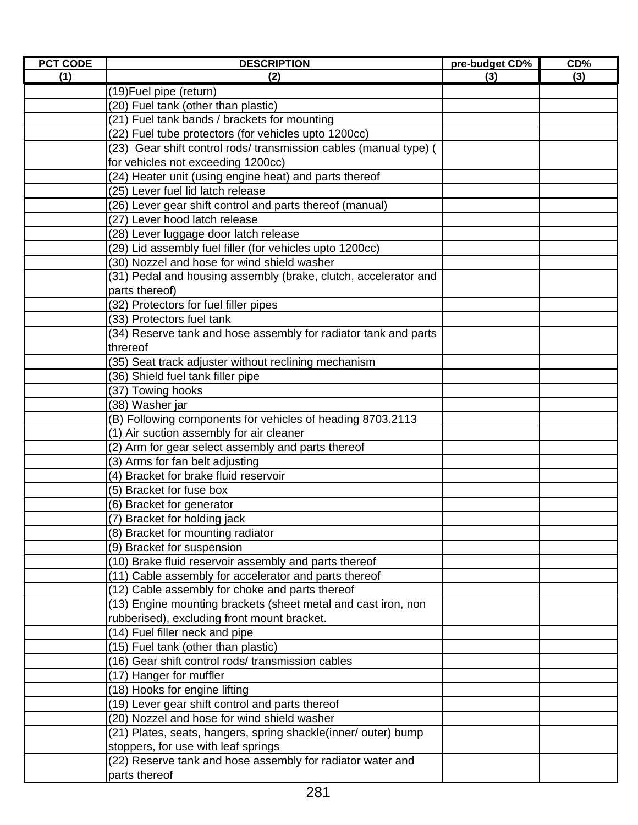| <b>PCT CODE</b> | <b>DESCRIPTION</b>                                                | pre-budget CD% | $CD\%$ |
|-----------------|-------------------------------------------------------------------|----------------|--------|
| (1)             | (2)                                                               | (3)            | (3)    |
|                 | (19) Fuel pipe (return)                                           |                |        |
|                 | (20) Fuel tank (other than plastic)                               |                |        |
|                 | (21) Fuel tank bands / brackets for mounting                      |                |        |
|                 | (22) Fuel tube protectors (for vehicles upto 1200cc)              |                |        |
|                 | (23) Gear shift control rods/ transmission cables (manual type) ( |                |        |
|                 | for vehicles not exceeding 1200cc)                                |                |        |
|                 | (24) Heater unit (using engine heat) and parts thereof            |                |        |
|                 | (25) Lever fuel lid latch release                                 |                |        |
|                 | (26) Lever gear shift control and parts thereof (manual)          |                |        |
|                 | (27) Lever hood latch release                                     |                |        |
|                 | (28) Lever luggage door latch release                             |                |        |
|                 | (29) Lid assembly fuel filler (for vehicles upto 1200cc)          |                |        |
|                 | (30) Nozzel and hose for wind shield washer                       |                |        |
|                 | (31) Pedal and housing assembly (brake, clutch, accelerator and   |                |        |
|                 | parts thereof)                                                    |                |        |
|                 | (32) Protectors for fuel filler pipes                             |                |        |
|                 | (33) Protectors fuel tank                                         |                |        |
|                 | (34) Reserve tank and hose assembly for radiator tank and parts   |                |        |
|                 | threreof                                                          |                |        |
|                 | (35) Seat track adjuster without reclining mechanism              |                |        |
|                 | (36) Shield fuel tank filler pipe                                 |                |        |
|                 | (37) Towing hooks                                                 |                |        |
|                 | (38) Washer jar                                                   |                |        |
|                 | (B) Following components for vehicles of heading 8703.2113        |                |        |
|                 | (1) Air suction assembly for air cleaner                          |                |        |
|                 | (2) Arm for gear select assembly and parts thereof                |                |        |
|                 | (3) Arms for fan belt adjusting                                   |                |        |
|                 | (4) Bracket for brake fluid reservoir                             |                |        |
|                 | (5) Bracket for fuse box                                          |                |        |
|                 | (6) Bracket for generator                                         |                |        |
|                 | (7) Bracket for holding jack                                      |                |        |
|                 | (8) Bracket for mounting radiator                                 |                |        |
|                 | (9) Bracket for suspension                                        |                |        |
|                 | (10) Brake fluid reservoir assembly and parts thereof             |                |        |
|                 | (11) Cable assembly for accelerator and parts thereof             |                |        |
|                 | (12) Cable assembly for choke and parts thereof                   |                |        |
|                 | (13) Engine mounting brackets (sheet metal and cast iron, non     |                |        |
|                 | rubberised), excluding front mount bracket.                       |                |        |
|                 | (14) Fuel filler neck and pipe                                    |                |        |
|                 | (15) Fuel tank (other than plastic)                               |                |        |
|                 | (16) Gear shift control rods/ transmission cables                 |                |        |
|                 | (17) Hanger for muffler                                           |                |        |
|                 | (18) Hooks for engine lifting                                     |                |        |
|                 | (19) Lever gear shift control and parts thereof                   |                |        |
|                 | (20) Nozzel and hose for wind shield washer                       |                |        |
|                 | (21) Plates, seats, hangers, spring shackle(inner/ outer) bump    |                |        |
|                 | stoppers, for use with leaf springs                               |                |        |
|                 | (22) Reserve tank and hose assembly for radiator water and        |                |        |
|                 | parts thereof                                                     |                |        |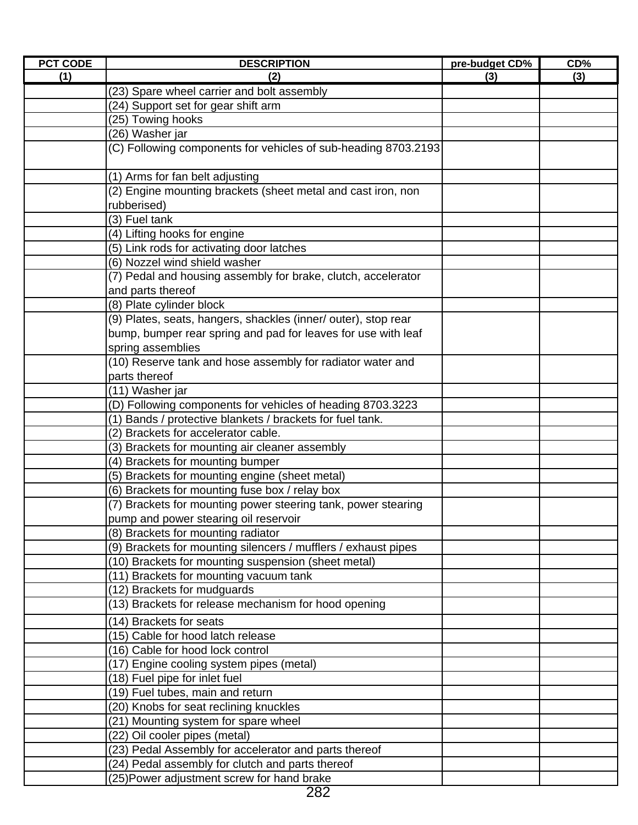| <b>PCT CODE</b> | <b>DESCRIPTION</b>                                                                                                                                                                                                                                                         | pre-budget CD% | CD <sub>0</sub> |
|-----------------|----------------------------------------------------------------------------------------------------------------------------------------------------------------------------------------------------------------------------------------------------------------------------|----------------|-----------------|
| (1)             | (2)                                                                                                                                                                                                                                                                        | (3)            | (3)             |
|                 | (23) Spare wheel carrier and bolt assembly                                                                                                                                                                                                                                 |                |                 |
|                 | (24) Support set for gear shift arm                                                                                                                                                                                                                                        |                |                 |
|                 | (25) Towing hooks                                                                                                                                                                                                                                                          |                |                 |
|                 | (26) Washer jar                                                                                                                                                                                                                                                            |                |                 |
|                 | (C) Following components for vehicles of sub-heading 8703.2193                                                                                                                                                                                                             |                |                 |
|                 |                                                                                                                                                                                                                                                                            |                |                 |
|                 | (1) Arms for fan belt adjusting                                                                                                                                                                                                                                            |                |                 |
|                 | (2) Engine mounting brackets (sheet metal and cast iron, non                                                                                                                                                                                                               |                |                 |
|                 | rubberised)                                                                                                                                                                                                                                                                |                |                 |
|                 | (3) Fuel tank                                                                                                                                                                                                                                                              |                |                 |
|                 | (4) Lifting hooks for engine                                                                                                                                                                                                                                               |                |                 |
|                 | (5) Link rods for activating door latches                                                                                                                                                                                                                                  |                |                 |
|                 | (6) Nozzel wind shield washer                                                                                                                                                                                                                                              |                |                 |
|                 | (7) Pedal and housing assembly for brake, clutch, accelerator                                                                                                                                                                                                              |                |                 |
|                 | and parts thereof                                                                                                                                                                                                                                                          |                |                 |
|                 | (8) Plate cylinder block                                                                                                                                                                                                                                                   |                |                 |
|                 | (9) Plates, seats, hangers, shackles (inner/ outer), stop rear                                                                                                                                                                                                             |                |                 |
|                 | bump, bumper rear spring and pad for leaves for use with leaf                                                                                                                                                                                                              |                |                 |
|                 | spring assemblies                                                                                                                                                                                                                                                          |                |                 |
|                 | (10) Reserve tank and hose assembly for radiator water and                                                                                                                                                                                                                 |                |                 |
|                 | parts thereof                                                                                                                                                                                                                                                              |                |                 |
|                 | (11) Washer jar                                                                                                                                                                                                                                                            |                |                 |
|                 | (D) Following components for vehicles of heading 8703.3223                                                                                                                                                                                                                 |                |                 |
|                 | (1) Bands / protective blankets / brackets for fuel tank.<br>(2) Brackets for accelerator cable.                                                                                                                                                                           |                |                 |
|                 |                                                                                                                                                                                                                                                                            |                |                 |
|                 | (3) Brackets for mounting air cleaner assembly<br>(4) Brackets for mounting bumper                                                                                                                                                                                         |                |                 |
|                 | (5) Brackets for mounting engine (sheet metal)                                                                                                                                                                                                                             |                |                 |
|                 | (6) Brackets for mounting fuse box / relay box                                                                                                                                                                                                                             |                |                 |
|                 | (7) Brackets for mounting power steering tank, power stearing                                                                                                                                                                                                              |                |                 |
|                 | pump and power stearing oil reservoir                                                                                                                                                                                                                                      |                |                 |
|                 | (8) Brackets for mounting radiator                                                                                                                                                                                                                                         |                |                 |
|                 | (9) Brackets for mounting silencers / mufflers / exhaust pipes                                                                                                                                                                                                             |                |                 |
|                 | (10) Brackets for mounting suspension (sheet metal)                                                                                                                                                                                                                        |                |                 |
|                 | (11) Brackets for mounting vacuum tank                                                                                                                                                                                                                                     |                |                 |
|                 | (12) Brackets for mudguards                                                                                                                                                                                                                                                |                |                 |
|                 | (13) Brackets for release mechanism for hood opening                                                                                                                                                                                                                       |                |                 |
|                 | (14) Brackets for seats                                                                                                                                                                                                                                                    |                |                 |
|                 | (15) Cable for hood latch release                                                                                                                                                                                                                                          |                |                 |
|                 | (16) Cable for hood lock control                                                                                                                                                                                                                                           |                |                 |
|                 | (17) Engine cooling system pipes (metal)                                                                                                                                                                                                                                   |                |                 |
|                 | (18) Fuel pipe for inlet fuel                                                                                                                                                                                                                                              |                |                 |
|                 | (19) Fuel tubes, main and return                                                                                                                                                                                                                                           |                |                 |
|                 |                                                                                                                                                                                                                                                                            |                |                 |
|                 |                                                                                                                                                                                                                                                                            |                |                 |
|                 |                                                                                                                                                                                                                                                                            |                |                 |
|                 |                                                                                                                                                                                                                                                                            |                |                 |
|                 |                                                                                                                                                                                                                                                                            |                |                 |
|                 |                                                                                                                                                                                                                                                                            |                |                 |
|                 | (20) Knobs for seat reclining knuckles<br>(21) Mounting system for spare wheel<br>(22) Oil cooler pipes (metal)<br>(23) Pedal Assembly for accelerator and parts thereof<br>(24) Pedal assembly for clutch and parts thereof<br>(25) Power adjustment screw for hand brake |                |                 |

<sup>282</sup>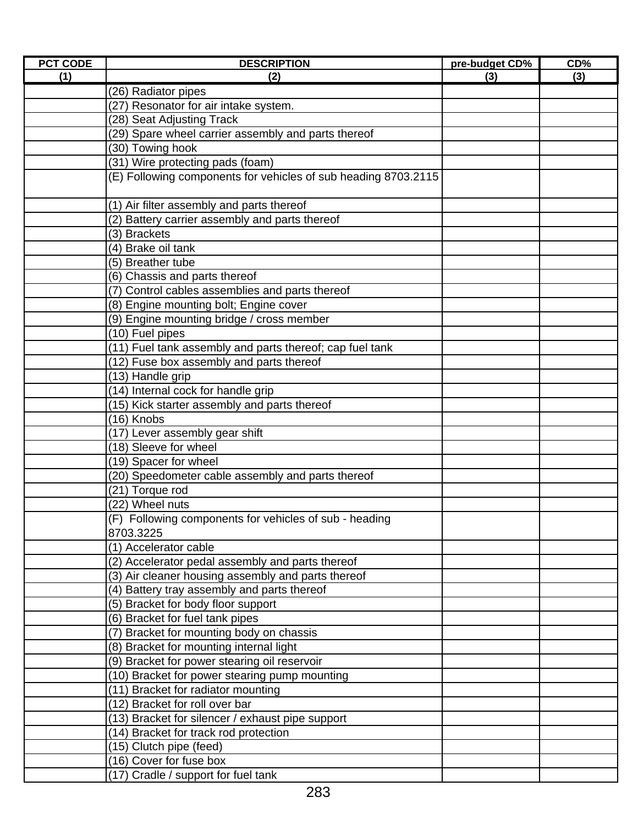| <b>PCT CODE</b> | <b>DESCRIPTION</b>                                             | pre-budget CD% | CD% |
|-----------------|----------------------------------------------------------------|----------------|-----|
| (1)             | (2)                                                            | (3)            | (3) |
|                 | (26) Radiator pipes                                            |                |     |
|                 | (27) Resonator for air intake system.                          |                |     |
|                 | (28) Seat Adjusting Track                                      |                |     |
|                 | (29) Spare wheel carrier assembly and parts thereof            |                |     |
|                 | (30) Towing hook                                               |                |     |
|                 | (31) Wire protecting pads (foam)                               |                |     |
|                 | (E) Following components for vehicles of sub heading 8703.2115 |                |     |
|                 |                                                                |                |     |
|                 | (1) Air filter assembly and parts thereof                      |                |     |
|                 | (2) Battery carrier assembly and parts thereof                 |                |     |
|                 | (3) Brackets                                                   |                |     |
|                 | (4) Brake oil tank                                             |                |     |
|                 | (5) Breather tube                                              |                |     |
|                 | (6) Chassis and parts thereof                                  |                |     |
|                 | (7) Control cables assemblies and parts thereof                |                |     |
|                 | (8) Engine mounting bolt; Engine cover                         |                |     |
|                 | (9) Engine mounting bridge / cross member                      |                |     |
|                 | (10) Fuel pipes                                                |                |     |
|                 | (11) Fuel tank assembly and parts thereof; cap fuel tank       |                |     |
|                 | (12) Fuse box assembly and parts thereof                       |                |     |
|                 | (13) Handle grip                                               |                |     |
|                 | (14) Internal cock for handle grip                             |                |     |
|                 | (15) Kick starter assembly and parts thereof                   |                |     |
|                 | (16) Knobs                                                     |                |     |
|                 | (17) Lever assembly gear shift                                 |                |     |
|                 | (18) Sleeve for wheel                                          |                |     |
|                 | (19) Spacer for wheel                                          |                |     |
|                 | (20) Speedometer cable assembly and parts thereof              |                |     |
|                 | (21) Torque rod                                                |                |     |
|                 | (22) Wheel nuts                                                |                |     |
|                 | (F) Following components for vehicles of sub - heading         |                |     |
|                 | 8703.3225                                                      |                |     |
|                 | (1) Accelerator cable                                          |                |     |
|                 | (2) Accelerator pedal assembly and parts thereof               |                |     |
|                 | (3) Air cleaner housing assembly and parts thereof             |                |     |
|                 | (4) Battery tray assembly and parts thereof                    |                |     |
|                 | (5) Bracket for body floor support                             |                |     |
|                 | (6) Bracket for fuel tank pipes                                |                |     |
|                 | (7) Bracket for mounting body on chassis                       |                |     |
|                 | (8) Bracket for mounting internal light                        |                |     |
|                 | (9) Bracket for power stearing oil reservoir                   |                |     |
|                 | (10) Bracket for power stearing pump mounting                  |                |     |
|                 | (11) Bracket for radiator mounting                             |                |     |
|                 | (12) Bracket for roll over bar                                 |                |     |
|                 | (13) Bracket for silencer / exhaust pipe support               |                |     |
|                 | (14) Bracket for track rod protection                          |                |     |
|                 | (15) Clutch pipe (feed)                                        |                |     |
|                 | (16) Cover for fuse box                                        |                |     |
|                 | (17) Cradle / support for fuel tank                            |                |     |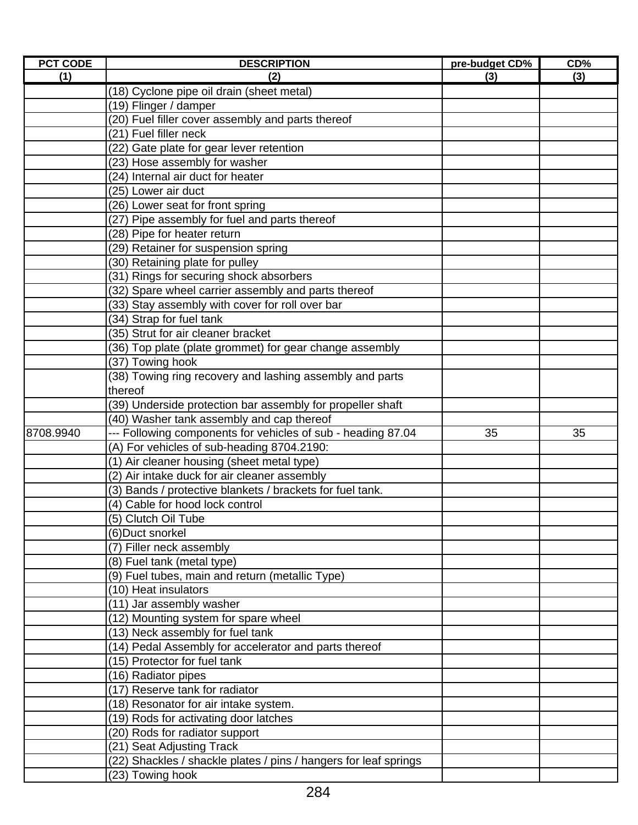| <b>PCT CODE</b> | <b>DESCRIPTION</b>                                               | pre-budget CD% | $CD\%$ |
|-----------------|------------------------------------------------------------------|----------------|--------|
| (1)             | (2)                                                              | (3)            | (3)    |
|                 | (18) Cyclone pipe oil drain (sheet metal)                        |                |        |
|                 | (19) Flinger / damper                                            |                |        |
|                 | (20) Fuel filler cover assembly and parts thereof                |                |        |
|                 | (21) Fuel filler neck                                            |                |        |
|                 | (22) Gate plate for gear lever retention                         |                |        |
|                 | (23) Hose assembly for washer                                    |                |        |
|                 | (24) Internal air duct for heater                                |                |        |
|                 | (25) Lower air duct                                              |                |        |
|                 | (26) Lower seat for front spring                                 |                |        |
|                 | (27) Pipe assembly for fuel and parts thereof                    |                |        |
|                 | (28) Pipe for heater return                                      |                |        |
|                 | (29) Retainer for suspension spring                              |                |        |
|                 | (30) Retaining plate for pulley                                  |                |        |
|                 | (31) Rings for securing shock absorbers                          |                |        |
|                 | (32) Spare wheel carrier assembly and parts thereof              |                |        |
|                 | (33) Stay assembly with cover for roll over bar                  |                |        |
|                 | (34) Strap for fuel tank                                         |                |        |
|                 | (35) Strut for air cleaner bracket                               |                |        |
|                 | (36) Top plate (plate grommet) for gear change assembly          |                |        |
|                 | (37) Towing hook                                                 |                |        |
|                 | (38) Towing ring recovery and lashing assembly and parts         |                |        |
|                 | thereof                                                          |                |        |
|                 | (39) Underside protection bar assembly for propeller shaft       |                |        |
|                 | (40) Washer tank assembly and cap thereof                        |                |        |
| 8708.9940       | --- Following components for vehicles of sub - heading 87.04     | 35             | 35     |
|                 | (A) For vehicles of sub-heading 8704.2190:                       |                |        |
|                 | (1) Air cleaner housing (sheet metal type)                       |                |        |
|                 | (2) Air intake duck for air cleaner assembly                     |                |        |
|                 | (3) Bands / protective blankets / brackets for fuel tank.        |                |        |
|                 | (4) Cable for hood lock control                                  |                |        |
|                 | (5) Clutch Oil Tube                                              |                |        |
|                 | (6) Duct snorkel                                                 |                |        |
|                 | (7) Filler neck assembly                                         |                |        |
|                 | (8) Fuel tank (metal type)                                       |                |        |
|                 | (9) Fuel tubes, main and return (metallic Type)                  |                |        |
|                 | (10) Heat insulators                                             |                |        |
|                 | (11) Jar assembly washer                                         |                |        |
|                 | (12) Mounting system for spare wheel                             |                |        |
|                 | (13) Neck assembly for fuel tank                                 |                |        |
|                 | (14) Pedal Assembly for accelerator and parts thereof            |                |        |
|                 | (15) Protector for fuel tank                                     |                |        |
|                 | (16) Radiator pipes                                              |                |        |
|                 | (17) Reserve tank for radiator                                   |                |        |
|                 | (18) Resonator for air intake system.                            |                |        |
|                 | (19) Rods for activating door latches                            |                |        |
|                 | (20) Rods for radiator support                                   |                |        |
|                 | (21) Seat Adjusting Track                                        |                |        |
|                 | (22) Shackles / shackle plates / pins / hangers for leaf springs |                |        |
|                 | (23) Towing hook                                                 |                |        |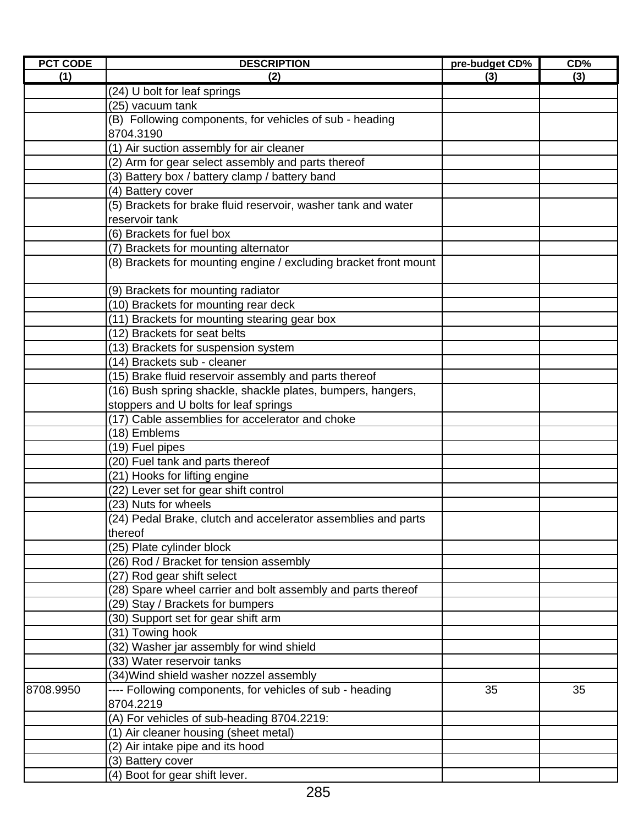| <b>PCT CODE</b> | <b>DESCRIPTION</b>                                               | pre-budget CD% | CD% |
|-----------------|------------------------------------------------------------------|----------------|-----|
| (1)             | (2)                                                              | (3)            | (3) |
|                 | (24) U bolt for leaf springs                                     |                |     |
|                 | (25) vacuum tank                                                 |                |     |
|                 | (B) Following components, for vehicles of sub - heading          |                |     |
|                 | 8704.3190                                                        |                |     |
|                 | (1) Air suction assembly for air cleaner                         |                |     |
|                 | (2) Arm for gear select assembly and parts thereof               |                |     |
|                 | (3) Battery box / battery clamp / battery band                   |                |     |
|                 | (4) Battery cover                                                |                |     |
|                 | (5) Brackets for brake fluid reservoir, washer tank and water    |                |     |
|                 | reservoir tank                                                   |                |     |
|                 | (6) Brackets for fuel box                                        |                |     |
|                 | (7) Brackets for mounting alternator                             |                |     |
|                 | (8) Brackets for mounting engine / excluding bracket front mount |                |     |
|                 |                                                                  |                |     |
|                 | (9) Brackets for mounting radiator                               |                |     |
|                 | (10) Brackets for mounting rear deck                             |                |     |
|                 | (11) Brackets for mounting stearing gear box                     |                |     |
|                 | (12) Brackets for seat belts                                     |                |     |
|                 | (13) Brackets for suspension system                              |                |     |
|                 | (14) Brackets sub - cleaner                                      |                |     |
|                 | (15) Brake fluid reservoir assembly and parts thereof            |                |     |
|                 | (16) Bush spring shackle, shackle plates, bumpers, hangers,      |                |     |
|                 | stoppers and U bolts for leaf springs                            |                |     |
|                 | (17) Cable assemblies for accelerator and choke                  |                |     |
|                 | (18) Emblems                                                     |                |     |
|                 | (19) Fuel pipes                                                  |                |     |
|                 | (20) Fuel tank and parts thereof                                 |                |     |
|                 | (21) Hooks for lifting engine                                    |                |     |
|                 | (22) Lever set for gear shift control                            |                |     |
|                 | (23) Nuts for wheels                                             |                |     |
|                 | (24) Pedal Brake, clutch and accelerator assemblies and parts    |                |     |
|                 | thereof                                                          |                |     |
|                 | (25) Plate cylinder block                                        |                |     |
|                 | (26) Rod / Bracket for tension assembly                          |                |     |
|                 | (27) Rod gear shift select                                       |                |     |
|                 | (28) Spare wheel carrier and bolt assembly and parts thereof     |                |     |
|                 | (29) Stay / Brackets for bumpers                                 |                |     |
|                 | (30) Support set for gear shift arm                              |                |     |
|                 | (31) Towing hook                                                 |                |     |
|                 | (32) Washer jar assembly for wind shield                         |                |     |
|                 | (33) Water reservoir tanks                                       |                |     |
|                 | (34) Wind shield washer nozzel assembly                          |                |     |
| 8708.9950       | ---- Following components, for vehicles of sub - heading         | 35             | 35  |
|                 | 8704.2219                                                        |                |     |
|                 | (A) For vehicles of sub-heading 8704.2219:                       |                |     |
|                 | (1) Air cleaner housing (sheet metal)                            |                |     |
|                 | (2) Air intake pipe and its hood                                 |                |     |
|                 | (3) Battery cover                                                |                |     |
|                 | (4) Boot for gear shift lever.                                   |                |     |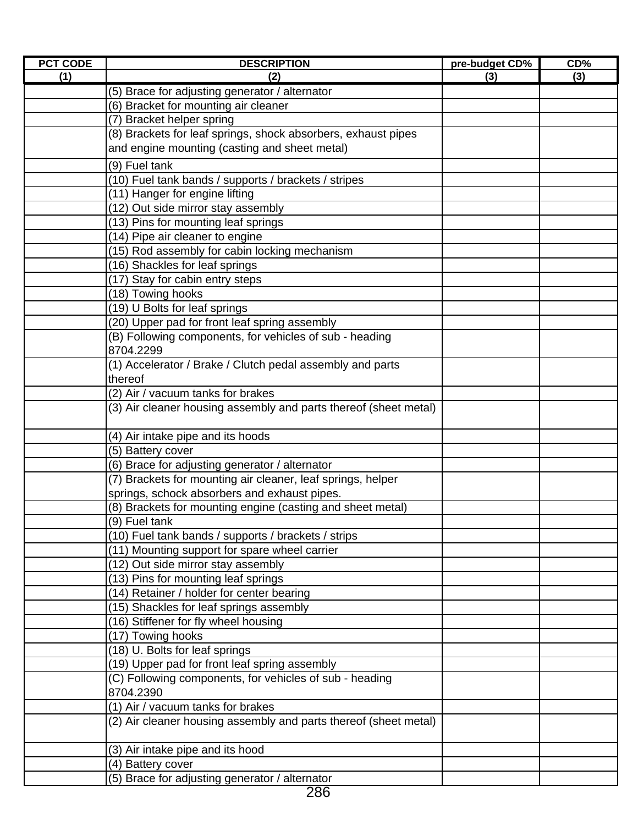| <b>PCT CODE</b> | <b>DESCRIPTION</b>                                               | pre-budget CD% | CD% |
|-----------------|------------------------------------------------------------------|----------------|-----|
| (1)             | (2)                                                              | (3)            | (3) |
|                 | (5) Brace for adjusting generator / alternator                   |                |     |
|                 | (6) Bracket for mounting air cleaner                             |                |     |
|                 | (7) Bracket helper spring                                        |                |     |
|                 | (8) Brackets for leaf springs, shock absorbers, exhaust pipes    |                |     |
|                 | and engine mounting (casting and sheet metal)                    |                |     |
|                 | (9) Fuel tank                                                    |                |     |
|                 | (10) Fuel tank bands / supports / brackets / stripes             |                |     |
|                 | (11) Hanger for engine lifting                                   |                |     |
|                 | (12) Out side mirror stay assembly                               |                |     |
|                 | (13) Pins for mounting leaf springs                              |                |     |
|                 | (14) Pipe air cleaner to engine                                  |                |     |
|                 | (15) Rod assembly for cabin locking mechanism                    |                |     |
|                 | (16) Shackles for leaf springs                                   |                |     |
|                 | (17) Stay for cabin entry steps                                  |                |     |
|                 | (18) Towing hooks                                                |                |     |
|                 | (19) U Bolts for leaf springs                                    |                |     |
|                 | (20) Upper pad for front leaf spring assembly                    |                |     |
|                 | (B) Following components, for vehicles of sub - heading          |                |     |
|                 | 8704.2299                                                        |                |     |
|                 | (1) Accelerator / Brake / Clutch pedal assembly and parts        |                |     |
|                 | thereof                                                          |                |     |
|                 | (2) Air / vacuum tanks for brakes                                |                |     |
|                 | (3) Air cleaner housing assembly and parts thereof (sheet metal) |                |     |
|                 |                                                                  |                |     |
|                 | (4) Air intake pipe and its hoods                                |                |     |
|                 | (5) Battery cover                                                |                |     |
|                 | (6) Brace for adjusting generator / alternator                   |                |     |
|                 | (7) Brackets for mounting air cleaner, leaf springs, helper      |                |     |
|                 | springs, schock absorbers and exhaust pipes.                     |                |     |
|                 | (8) Brackets for mounting engine (casting and sheet metal)       |                |     |
|                 | (9) Fuel tank                                                    |                |     |
|                 | (10) Fuel tank bands / supports / brackets / strips              |                |     |
|                 | (11) Mounting support for spare wheel carrier                    |                |     |
|                 | (12) Out side mirror stay assembly                               |                |     |
|                 | (13) Pins for mounting leaf springs                              |                |     |
|                 | (14) Retainer / holder for center bearing                        |                |     |
|                 | (15) Shackles for leaf springs assembly                          |                |     |
|                 | (16) Stiffener for fly wheel housing                             |                |     |
|                 | (17) Towing hooks                                                |                |     |
|                 | (18) U. Bolts for leaf springs                                   |                |     |
|                 | (19) Upper pad for front leaf spring assembly                    |                |     |
|                 | (C) Following components, for vehicles of sub - heading          |                |     |
|                 | 8704.2390                                                        |                |     |
|                 | (1) Air / vacuum tanks for brakes                                |                |     |
|                 | (2) Air cleaner housing assembly and parts thereof (sheet metal) |                |     |
|                 |                                                                  |                |     |
|                 | (3) Air intake pipe and its hood                                 |                |     |
|                 | (4) Battery cover                                                |                |     |
|                 | (5) Brace for adjusting generator / alternator                   |                |     |

<sup>286</sup>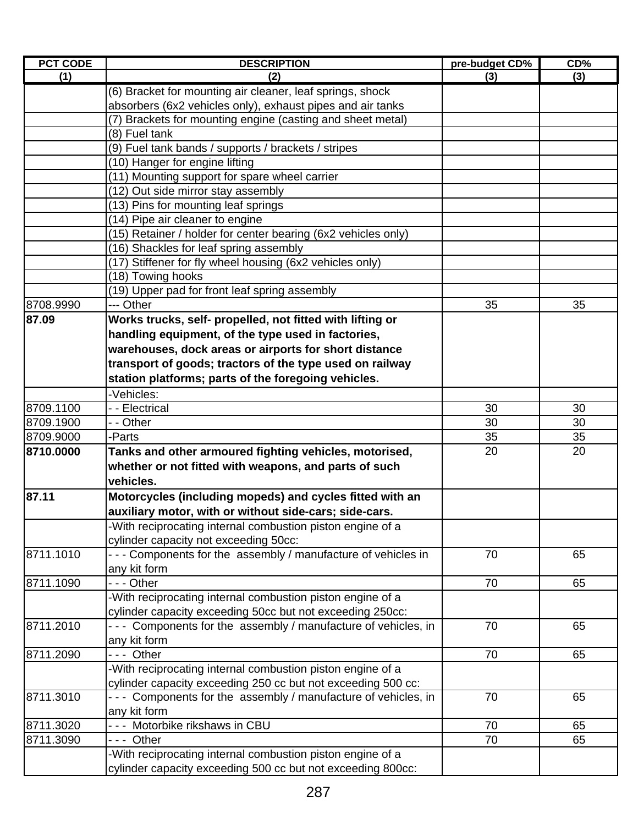| (3)<br>(3)<br>(1)<br>(2)<br>(6) Bracket for mounting air cleaner, leaf springs, shock<br>absorbers (6x2 vehicles only), exhaust pipes and air tanks<br>(7) Brackets for mounting engine (casting and sheet metal)<br>(8) Fuel tank<br>(9) Fuel tank bands / supports / brackets / stripes<br>(10) Hanger for engine lifting<br>(11) Mounting support for spare wheel carrier<br>(12) Out side mirror stay assembly<br>(13) Pins for mounting leaf springs<br>(14) Pipe air cleaner to engine<br>(15) Retainer / holder for center bearing (6x2 vehicles only)<br>(16) Shackles for leaf spring assembly<br>(17) Stiffener for fly wheel housing (6x2 vehicles only)<br>(18) Towing hooks<br>(19) Upper pad for front leaf spring assembly<br>8708.9990<br>--- Other<br>35<br>35<br>87.09<br>Works trucks, self- propelled, not fitted with lifting or<br>handling equipment, of the type used in factories,<br>warehouses, dock areas or airports for short distance<br>transport of goods; tractors of the type used on railway<br>station platforms; parts of the foregoing vehicles.<br>-Vehicles:<br>8709.1100<br>- - Electrical<br>30<br>30<br>8709.1900<br>- - Other<br>30<br>30<br>35<br>8709.9000<br>35<br>-Parts<br>Tanks and other armoured fighting vehicles, motorised,<br>20<br>20<br>8710.0000<br>whether or not fitted with weapons, and parts of such<br>vehicles.<br>87.11<br>Motorcycles (including mopeds) and cycles fitted with an<br>auxiliary motor, with or without side-cars; side-cars.<br>-With reciprocating internal combustion piston engine of a<br>cylinder capacity not exceeding 50cc:<br>- - - Components for the assembly / manufacture of vehicles in<br>8711.1010<br>70<br>65<br>any kit form<br>8711.1090<br>--- Other<br>70<br>65<br>-With reciprocating internal combustion piston engine of a<br>cylinder capacity exceeding 50cc but not exceeding 250cc:<br>Components for the assembly / manufacture of vehicles, in<br>8711.2010<br>70<br>65<br>any kit form<br>8711.2090<br>70<br>--- Other<br>65<br>-With reciprocating internal combustion piston engine of a<br>cylinder capacity exceeding 250 cc but not exceeding 500 cc:<br>--- Components for the assembly / manufacture of vehicles, in<br>8711.3010<br>70<br>65<br>any kit form | <b>PCT CODE</b> | <b>DESCRIPTION</b>        | pre-budget CD% | CD% |
|------------------------------------------------------------------------------------------------------------------------------------------------------------------------------------------------------------------------------------------------------------------------------------------------------------------------------------------------------------------------------------------------------------------------------------------------------------------------------------------------------------------------------------------------------------------------------------------------------------------------------------------------------------------------------------------------------------------------------------------------------------------------------------------------------------------------------------------------------------------------------------------------------------------------------------------------------------------------------------------------------------------------------------------------------------------------------------------------------------------------------------------------------------------------------------------------------------------------------------------------------------------------------------------------------------------------------------------------------------------------------------------------------------------------------------------------------------------------------------------------------------------------------------------------------------------------------------------------------------------------------------------------------------------------------------------------------------------------------------------------------------------------------------------------------------------------------------------------------------------------------------------------------------------------------------------------------------------------------------------------------------------------------------------------------------------------------------------------------------------------------------------------------------------------------------------------------------------------------------------------------------------------------------------|-----------------|---------------------------|----------------|-----|
|                                                                                                                                                                                                                                                                                                                                                                                                                                                                                                                                                                                                                                                                                                                                                                                                                                                                                                                                                                                                                                                                                                                                                                                                                                                                                                                                                                                                                                                                                                                                                                                                                                                                                                                                                                                                                                                                                                                                                                                                                                                                                                                                                                                                                                                                                          |                 |                           |                |     |
|                                                                                                                                                                                                                                                                                                                                                                                                                                                                                                                                                                                                                                                                                                                                                                                                                                                                                                                                                                                                                                                                                                                                                                                                                                                                                                                                                                                                                                                                                                                                                                                                                                                                                                                                                                                                                                                                                                                                                                                                                                                                                                                                                                                                                                                                                          |                 |                           |                |     |
|                                                                                                                                                                                                                                                                                                                                                                                                                                                                                                                                                                                                                                                                                                                                                                                                                                                                                                                                                                                                                                                                                                                                                                                                                                                                                                                                                                                                                                                                                                                                                                                                                                                                                                                                                                                                                                                                                                                                                                                                                                                                                                                                                                                                                                                                                          |                 |                           |                |     |
|                                                                                                                                                                                                                                                                                                                                                                                                                                                                                                                                                                                                                                                                                                                                                                                                                                                                                                                                                                                                                                                                                                                                                                                                                                                                                                                                                                                                                                                                                                                                                                                                                                                                                                                                                                                                                                                                                                                                                                                                                                                                                                                                                                                                                                                                                          |                 |                           |                |     |
|                                                                                                                                                                                                                                                                                                                                                                                                                                                                                                                                                                                                                                                                                                                                                                                                                                                                                                                                                                                                                                                                                                                                                                                                                                                                                                                                                                                                                                                                                                                                                                                                                                                                                                                                                                                                                                                                                                                                                                                                                                                                                                                                                                                                                                                                                          |                 |                           |                |     |
|                                                                                                                                                                                                                                                                                                                                                                                                                                                                                                                                                                                                                                                                                                                                                                                                                                                                                                                                                                                                                                                                                                                                                                                                                                                                                                                                                                                                                                                                                                                                                                                                                                                                                                                                                                                                                                                                                                                                                                                                                                                                                                                                                                                                                                                                                          |                 |                           |                |     |
|                                                                                                                                                                                                                                                                                                                                                                                                                                                                                                                                                                                                                                                                                                                                                                                                                                                                                                                                                                                                                                                                                                                                                                                                                                                                                                                                                                                                                                                                                                                                                                                                                                                                                                                                                                                                                                                                                                                                                                                                                                                                                                                                                                                                                                                                                          |                 |                           |                |     |
|                                                                                                                                                                                                                                                                                                                                                                                                                                                                                                                                                                                                                                                                                                                                                                                                                                                                                                                                                                                                                                                                                                                                                                                                                                                                                                                                                                                                                                                                                                                                                                                                                                                                                                                                                                                                                                                                                                                                                                                                                                                                                                                                                                                                                                                                                          |                 |                           |                |     |
|                                                                                                                                                                                                                                                                                                                                                                                                                                                                                                                                                                                                                                                                                                                                                                                                                                                                                                                                                                                                                                                                                                                                                                                                                                                                                                                                                                                                                                                                                                                                                                                                                                                                                                                                                                                                                                                                                                                                                                                                                                                                                                                                                                                                                                                                                          |                 |                           |                |     |
|                                                                                                                                                                                                                                                                                                                                                                                                                                                                                                                                                                                                                                                                                                                                                                                                                                                                                                                                                                                                                                                                                                                                                                                                                                                                                                                                                                                                                                                                                                                                                                                                                                                                                                                                                                                                                                                                                                                                                                                                                                                                                                                                                                                                                                                                                          |                 |                           |                |     |
|                                                                                                                                                                                                                                                                                                                                                                                                                                                                                                                                                                                                                                                                                                                                                                                                                                                                                                                                                                                                                                                                                                                                                                                                                                                                                                                                                                                                                                                                                                                                                                                                                                                                                                                                                                                                                                                                                                                                                                                                                                                                                                                                                                                                                                                                                          |                 |                           |                |     |
|                                                                                                                                                                                                                                                                                                                                                                                                                                                                                                                                                                                                                                                                                                                                                                                                                                                                                                                                                                                                                                                                                                                                                                                                                                                                                                                                                                                                                                                                                                                                                                                                                                                                                                                                                                                                                                                                                                                                                                                                                                                                                                                                                                                                                                                                                          |                 |                           |                |     |
|                                                                                                                                                                                                                                                                                                                                                                                                                                                                                                                                                                                                                                                                                                                                                                                                                                                                                                                                                                                                                                                                                                                                                                                                                                                                                                                                                                                                                                                                                                                                                                                                                                                                                                                                                                                                                                                                                                                                                                                                                                                                                                                                                                                                                                                                                          |                 |                           |                |     |
|                                                                                                                                                                                                                                                                                                                                                                                                                                                                                                                                                                                                                                                                                                                                                                                                                                                                                                                                                                                                                                                                                                                                                                                                                                                                                                                                                                                                                                                                                                                                                                                                                                                                                                                                                                                                                                                                                                                                                                                                                                                                                                                                                                                                                                                                                          |                 |                           |                |     |
|                                                                                                                                                                                                                                                                                                                                                                                                                                                                                                                                                                                                                                                                                                                                                                                                                                                                                                                                                                                                                                                                                                                                                                                                                                                                                                                                                                                                                                                                                                                                                                                                                                                                                                                                                                                                                                                                                                                                                                                                                                                                                                                                                                                                                                                                                          |                 |                           |                |     |
|                                                                                                                                                                                                                                                                                                                                                                                                                                                                                                                                                                                                                                                                                                                                                                                                                                                                                                                                                                                                                                                                                                                                                                                                                                                                                                                                                                                                                                                                                                                                                                                                                                                                                                                                                                                                                                                                                                                                                                                                                                                                                                                                                                                                                                                                                          |                 |                           |                |     |
|                                                                                                                                                                                                                                                                                                                                                                                                                                                                                                                                                                                                                                                                                                                                                                                                                                                                                                                                                                                                                                                                                                                                                                                                                                                                                                                                                                                                                                                                                                                                                                                                                                                                                                                                                                                                                                                                                                                                                                                                                                                                                                                                                                                                                                                                                          |                 |                           |                |     |
|                                                                                                                                                                                                                                                                                                                                                                                                                                                                                                                                                                                                                                                                                                                                                                                                                                                                                                                                                                                                                                                                                                                                                                                                                                                                                                                                                                                                                                                                                                                                                                                                                                                                                                                                                                                                                                                                                                                                                                                                                                                                                                                                                                                                                                                                                          |                 |                           |                |     |
|                                                                                                                                                                                                                                                                                                                                                                                                                                                                                                                                                                                                                                                                                                                                                                                                                                                                                                                                                                                                                                                                                                                                                                                                                                                                                                                                                                                                                                                                                                                                                                                                                                                                                                                                                                                                                                                                                                                                                                                                                                                                                                                                                                                                                                                                                          |                 |                           |                |     |
|                                                                                                                                                                                                                                                                                                                                                                                                                                                                                                                                                                                                                                                                                                                                                                                                                                                                                                                                                                                                                                                                                                                                                                                                                                                                                                                                                                                                                                                                                                                                                                                                                                                                                                                                                                                                                                                                                                                                                                                                                                                                                                                                                                                                                                                                                          |                 |                           |                |     |
|                                                                                                                                                                                                                                                                                                                                                                                                                                                                                                                                                                                                                                                                                                                                                                                                                                                                                                                                                                                                                                                                                                                                                                                                                                                                                                                                                                                                                                                                                                                                                                                                                                                                                                                                                                                                                                                                                                                                                                                                                                                                                                                                                                                                                                                                                          |                 |                           |                |     |
|                                                                                                                                                                                                                                                                                                                                                                                                                                                                                                                                                                                                                                                                                                                                                                                                                                                                                                                                                                                                                                                                                                                                                                                                                                                                                                                                                                                                                                                                                                                                                                                                                                                                                                                                                                                                                                                                                                                                                                                                                                                                                                                                                                                                                                                                                          |                 |                           |                |     |
|                                                                                                                                                                                                                                                                                                                                                                                                                                                                                                                                                                                                                                                                                                                                                                                                                                                                                                                                                                                                                                                                                                                                                                                                                                                                                                                                                                                                                                                                                                                                                                                                                                                                                                                                                                                                                                                                                                                                                                                                                                                                                                                                                                                                                                                                                          |                 |                           |                |     |
|                                                                                                                                                                                                                                                                                                                                                                                                                                                                                                                                                                                                                                                                                                                                                                                                                                                                                                                                                                                                                                                                                                                                                                                                                                                                                                                                                                                                                                                                                                                                                                                                                                                                                                                                                                                                                                                                                                                                                                                                                                                                                                                                                                                                                                                                                          |                 |                           |                |     |
|                                                                                                                                                                                                                                                                                                                                                                                                                                                                                                                                                                                                                                                                                                                                                                                                                                                                                                                                                                                                                                                                                                                                                                                                                                                                                                                                                                                                                                                                                                                                                                                                                                                                                                                                                                                                                                                                                                                                                                                                                                                                                                                                                                                                                                                                                          |                 |                           |                |     |
|                                                                                                                                                                                                                                                                                                                                                                                                                                                                                                                                                                                                                                                                                                                                                                                                                                                                                                                                                                                                                                                                                                                                                                                                                                                                                                                                                                                                                                                                                                                                                                                                                                                                                                                                                                                                                                                                                                                                                                                                                                                                                                                                                                                                                                                                                          |                 |                           |                |     |
|                                                                                                                                                                                                                                                                                                                                                                                                                                                                                                                                                                                                                                                                                                                                                                                                                                                                                                                                                                                                                                                                                                                                                                                                                                                                                                                                                                                                                                                                                                                                                                                                                                                                                                                                                                                                                                                                                                                                                                                                                                                                                                                                                                                                                                                                                          |                 |                           |                |     |
|                                                                                                                                                                                                                                                                                                                                                                                                                                                                                                                                                                                                                                                                                                                                                                                                                                                                                                                                                                                                                                                                                                                                                                                                                                                                                                                                                                                                                                                                                                                                                                                                                                                                                                                                                                                                                                                                                                                                                                                                                                                                                                                                                                                                                                                                                          |                 |                           |                |     |
|                                                                                                                                                                                                                                                                                                                                                                                                                                                                                                                                                                                                                                                                                                                                                                                                                                                                                                                                                                                                                                                                                                                                                                                                                                                                                                                                                                                                                                                                                                                                                                                                                                                                                                                                                                                                                                                                                                                                                                                                                                                                                                                                                                                                                                                                                          |                 |                           |                |     |
|                                                                                                                                                                                                                                                                                                                                                                                                                                                                                                                                                                                                                                                                                                                                                                                                                                                                                                                                                                                                                                                                                                                                                                                                                                                                                                                                                                                                                                                                                                                                                                                                                                                                                                                                                                                                                                                                                                                                                                                                                                                                                                                                                                                                                                                                                          |                 |                           |                |     |
|                                                                                                                                                                                                                                                                                                                                                                                                                                                                                                                                                                                                                                                                                                                                                                                                                                                                                                                                                                                                                                                                                                                                                                                                                                                                                                                                                                                                                                                                                                                                                                                                                                                                                                                                                                                                                                                                                                                                                                                                                                                                                                                                                                                                                                                                                          |                 |                           |                |     |
|                                                                                                                                                                                                                                                                                                                                                                                                                                                                                                                                                                                                                                                                                                                                                                                                                                                                                                                                                                                                                                                                                                                                                                                                                                                                                                                                                                                                                                                                                                                                                                                                                                                                                                                                                                                                                                                                                                                                                                                                                                                                                                                                                                                                                                                                                          |                 |                           |                |     |
|                                                                                                                                                                                                                                                                                                                                                                                                                                                                                                                                                                                                                                                                                                                                                                                                                                                                                                                                                                                                                                                                                                                                                                                                                                                                                                                                                                                                                                                                                                                                                                                                                                                                                                                                                                                                                                                                                                                                                                                                                                                                                                                                                                                                                                                                                          |                 |                           |                |     |
|                                                                                                                                                                                                                                                                                                                                                                                                                                                                                                                                                                                                                                                                                                                                                                                                                                                                                                                                                                                                                                                                                                                                                                                                                                                                                                                                                                                                                                                                                                                                                                                                                                                                                                                                                                                                                                                                                                                                                                                                                                                                                                                                                                                                                                                                                          |                 |                           |                |     |
|                                                                                                                                                                                                                                                                                                                                                                                                                                                                                                                                                                                                                                                                                                                                                                                                                                                                                                                                                                                                                                                                                                                                                                                                                                                                                                                                                                                                                                                                                                                                                                                                                                                                                                                                                                                                                                                                                                                                                                                                                                                                                                                                                                                                                                                                                          |                 |                           |                |     |
|                                                                                                                                                                                                                                                                                                                                                                                                                                                                                                                                                                                                                                                                                                                                                                                                                                                                                                                                                                                                                                                                                                                                                                                                                                                                                                                                                                                                                                                                                                                                                                                                                                                                                                                                                                                                                                                                                                                                                                                                                                                                                                                                                                                                                                                                                          |                 |                           |                |     |
|                                                                                                                                                                                                                                                                                                                                                                                                                                                                                                                                                                                                                                                                                                                                                                                                                                                                                                                                                                                                                                                                                                                                                                                                                                                                                                                                                                                                                                                                                                                                                                                                                                                                                                                                                                                                                                                                                                                                                                                                                                                                                                                                                                                                                                                                                          |                 |                           |                |     |
|                                                                                                                                                                                                                                                                                                                                                                                                                                                                                                                                                                                                                                                                                                                                                                                                                                                                                                                                                                                                                                                                                                                                                                                                                                                                                                                                                                                                                                                                                                                                                                                                                                                                                                                                                                                                                                                                                                                                                                                                                                                                                                                                                                                                                                                                                          |                 |                           |                |     |
|                                                                                                                                                                                                                                                                                                                                                                                                                                                                                                                                                                                                                                                                                                                                                                                                                                                                                                                                                                                                                                                                                                                                                                                                                                                                                                                                                                                                                                                                                                                                                                                                                                                                                                                                                                                                                                                                                                                                                                                                                                                                                                                                                                                                                                                                                          |                 |                           |                |     |
|                                                                                                                                                                                                                                                                                                                                                                                                                                                                                                                                                                                                                                                                                                                                                                                                                                                                                                                                                                                                                                                                                                                                                                                                                                                                                                                                                                                                                                                                                                                                                                                                                                                                                                                                                                                                                                                                                                                                                                                                                                                                                                                                                                                                                                                                                          |                 |                           |                |     |
|                                                                                                                                                                                                                                                                                                                                                                                                                                                                                                                                                                                                                                                                                                                                                                                                                                                                                                                                                                                                                                                                                                                                                                                                                                                                                                                                                                                                                                                                                                                                                                                                                                                                                                                                                                                                                                                                                                                                                                                                                                                                                                                                                                                                                                                                                          |                 |                           |                |     |
|                                                                                                                                                                                                                                                                                                                                                                                                                                                                                                                                                                                                                                                                                                                                                                                                                                                                                                                                                                                                                                                                                                                                                                                                                                                                                                                                                                                                                                                                                                                                                                                                                                                                                                                                                                                                                                                                                                                                                                                                                                                                                                                                                                                                                                                                                          |                 |                           |                |     |
|                                                                                                                                                                                                                                                                                                                                                                                                                                                                                                                                                                                                                                                                                                                                                                                                                                                                                                                                                                                                                                                                                                                                                                                                                                                                                                                                                                                                                                                                                                                                                                                                                                                                                                                                                                                                                                                                                                                                                                                                                                                                                                                                                                                                                                                                                          |                 |                           |                |     |
|                                                                                                                                                                                                                                                                                                                                                                                                                                                                                                                                                                                                                                                                                                                                                                                                                                                                                                                                                                                                                                                                                                                                                                                                                                                                                                                                                                                                                                                                                                                                                                                                                                                                                                                                                                                                                                                                                                                                                                                                                                                                                                                                                                                                                                                                                          |                 |                           |                |     |
|                                                                                                                                                                                                                                                                                                                                                                                                                                                                                                                                                                                                                                                                                                                                                                                                                                                                                                                                                                                                                                                                                                                                                                                                                                                                                                                                                                                                                                                                                                                                                                                                                                                                                                                                                                                                                                                                                                                                                                                                                                                                                                                                                                                                                                                                                          |                 |                           |                |     |
|                                                                                                                                                                                                                                                                                                                                                                                                                                                                                                                                                                                                                                                                                                                                                                                                                                                                                                                                                                                                                                                                                                                                                                                                                                                                                                                                                                                                                                                                                                                                                                                                                                                                                                                                                                                                                                                                                                                                                                                                                                                                                                                                                                                                                                                                                          | 8711.3020       | Motorbike rikshaws in CBU | 70             | 65  |
| 8711.3090<br>--- Other<br>70<br>65                                                                                                                                                                                                                                                                                                                                                                                                                                                                                                                                                                                                                                                                                                                                                                                                                                                                                                                                                                                                                                                                                                                                                                                                                                                                                                                                                                                                                                                                                                                                                                                                                                                                                                                                                                                                                                                                                                                                                                                                                                                                                                                                                                                                                                                       |                 |                           |                |     |
| -With reciprocating internal combustion piston engine of a                                                                                                                                                                                                                                                                                                                                                                                                                                                                                                                                                                                                                                                                                                                                                                                                                                                                                                                                                                                                                                                                                                                                                                                                                                                                                                                                                                                                                                                                                                                                                                                                                                                                                                                                                                                                                                                                                                                                                                                                                                                                                                                                                                                                                               |                 |                           |                |     |
| cylinder capacity exceeding 500 cc but not exceeding 800cc:                                                                                                                                                                                                                                                                                                                                                                                                                                                                                                                                                                                                                                                                                                                                                                                                                                                                                                                                                                                                                                                                                                                                                                                                                                                                                                                                                                                                                                                                                                                                                                                                                                                                                                                                                                                                                                                                                                                                                                                                                                                                                                                                                                                                                              |                 |                           |                |     |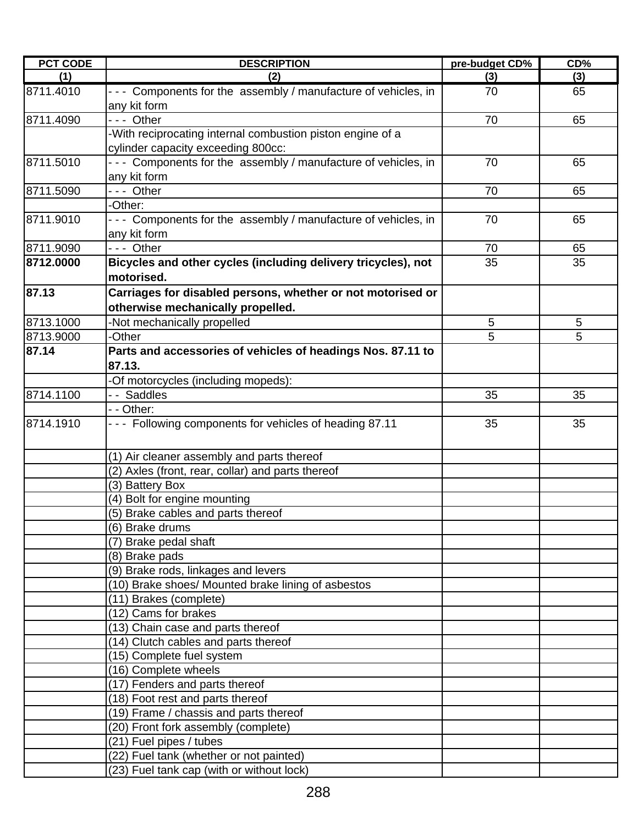| <b>PCT CODE</b> | <b>DESCRIPTION</b>                                                              | pre-budget CD% | CD% |
|-----------------|---------------------------------------------------------------------------------|----------------|-----|
| (1)             | (2)                                                                             | (3)            | (3) |
| 8711.4010       | - - - Components for the assembly / manufacture of vehicles, in<br>any kit form | 70             | 65  |
| 8711.4090       | --- Other                                                                       | 70             | 65  |
|                 | -With reciprocating internal combustion piston engine of a                      |                |     |
|                 | cylinder capacity exceeding 800cc:                                              |                |     |
| 8711.5010       | - - - Components for the assembly / manufacture of vehicles, in                 | 70             | 65  |
|                 | any kit form                                                                    |                |     |
| 8711.5090       | $--$ Other                                                                      | 70             | 65  |
|                 | -Other:                                                                         |                |     |
| 8711.9010       | --- Components for the assembly / manufacture of vehicles, in                   | 70             | 65  |
|                 | any kit form                                                                    |                |     |
| 8711.9090       | --- Other                                                                       | 70             | 65  |
| 8712.0000       | Bicycles and other cycles (including delivery tricycles), not                   | 35             | 35  |
|                 | motorised.                                                                      |                |     |
| 87.13           | Carriages for disabled persons, whether or not motorised or                     |                |     |
|                 | otherwise mechanically propelled.                                               |                |     |
| 8713.1000       | -Not mechanically propelled                                                     | 5              | 5   |
| 8713.9000       | -Other                                                                          | 5              | 5   |
| 87.14           | Parts and accessories of vehicles of headings Nos. 87.11 to                     |                |     |
|                 | 87.13.                                                                          |                |     |
|                 | -Of motorcycles (including mopeds):                                             |                |     |
| 8714.1100       | -- Saddles                                                                      | 35             | 35  |
|                 | - - Other:                                                                      |                |     |
| 8714.1910       | --- Following components for vehicles of heading 87.11                          | 35             | 35  |
|                 | (1) Air cleaner assembly and parts thereof                                      |                |     |
|                 | (2) Axles (front, rear, collar) and parts thereof                               |                |     |
|                 | (3) Battery Box                                                                 |                |     |
|                 | (4) Bolt for engine mounting                                                    |                |     |
|                 | (5) Brake cables and parts thereof                                              |                |     |
|                 | (6) Brake drums                                                                 |                |     |
|                 | (7) Brake pedal shaft                                                           |                |     |
|                 | (8) Brake pads                                                                  |                |     |
|                 | (9) Brake rods, linkages and levers                                             |                |     |
|                 | (10) Brake shoes/ Mounted brake lining of asbestos                              |                |     |
|                 | (11) Brakes (complete)                                                          |                |     |
|                 | (12) Cams for brakes                                                            |                |     |
|                 | (13) Chain case and parts thereof                                               |                |     |
|                 | (14) Clutch cables and parts thereof                                            |                |     |
|                 | (15) Complete fuel system                                                       |                |     |
|                 | (16) Complete wheels                                                            |                |     |
|                 | (17) Fenders and parts thereof                                                  |                |     |
|                 | (18) Foot rest and parts thereof                                                |                |     |
|                 | (19) Frame / chassis and parts thereof                                          |                |     |
|                 | (20) Front fork assembly (complete)                                             |                |     |
|                 | (21) Fuel pipes / tubes                                                         |                |     |
|                 | (22) Fuel tank (whether or not painted)                                         |                |     |
|                 | (23) Fuel tank cap (with or without lock)                                       |                |     |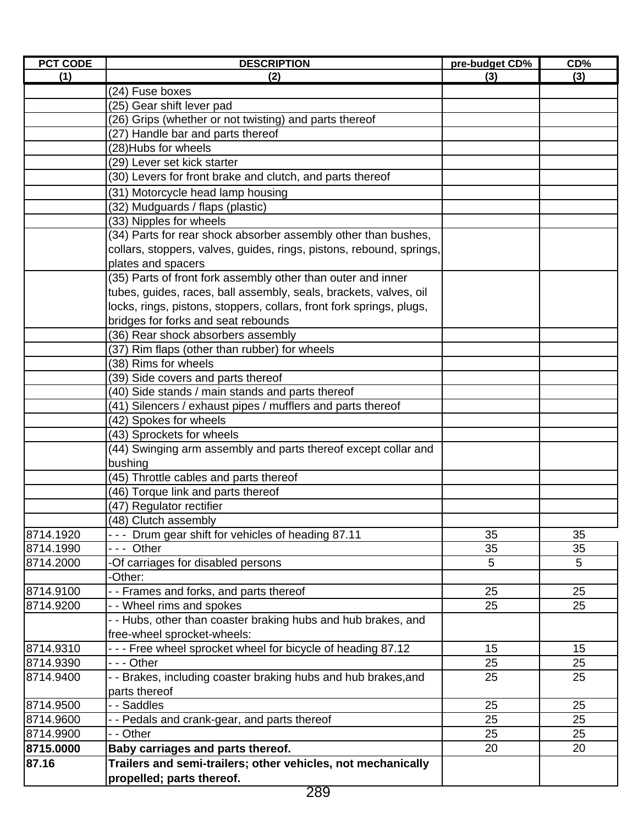| <b>PCT CODE</b>        | <b>DESCRIPTION</b>                                                   | pre-budget CD% | CD%                   |
|------------------------|----------------------------------------------------------------------|----------------|-----------------------|
| (1)                    | (2)                                                                  | (3)            | (3)                   |
|                        | (24) Fuse boxes                                                      |                |                       |
|                        | (25) Gear shift lever pad                                            |                |                       |
|                        | (26) Grips (whether or not twisting) and parts thereof               |                |                       |
|                        | (27) Handle bar and parts thereof                                    |                |                       |
|                        | (28)Hubs for wheels                                                  |                |                       |
|                        | (29) Lever set kick starter                                          |                |                       |
|                        | (30) Levers for front brake and clutch, and parts thereof            |                |                       |
|                        | (31) Motorcycle head lamp housing                                    |                |                       |
|                        | (32) Mudguards / flaps (plastic)                                     |                |                       |
|                        | (33) Nipples for wheels                                              |                |                       |
|                        | (34) Parts for rear shock absorber assembly other than bushes,       |                |                       |
|                        | collars, stoppers, valves, guides, rings, pistons, rebound, springs, |                |                       |
|                        | plates and spacers                                                   |                |                       |
|                        | (35) Parts of front fork assembly other than outer and inner         |                |                       |
|                        | tubes, guides, races, ball assembly, seals, brackets, valves, oil    |                |                       |
|                        | locks, rings, pistons, stoppers, collars, front fork springs, plugs, |                |                       |
|                        | bridges for forks and seat rebounds                                  |                |                       |
|                        | (36) Rear shock absorbers assembly                                   |                |                       |
|                        | (37) Rim flaps (other than rubber) for wheels                        |                |                       |
|                        | (38) Rims for wheels                                                 |                |                       |
|                        | (39) Side covers and parts thereof                                   |                |                       |
|                        | (40) Side stands / main stands and parts thereof                     |                |                       |
|                        | (41) Silencers / exhaust pipes / mufflers and parts thereof          |                |                       |
|                        | (42) Spokes for wheels                                               |                |                       |
|                        | (43) Sprockets for wheels                                            |                |                       |
|                        | (44) Swinging arm assembly and parts thereof except collar and       |                |                       |
|                        | bushing                                                              |                |                       |
|                        | (45) Throttle cables and parts thereof                               |                |                       |
|                        | (46) Torque link and parts thereof                                   |                |                       |
|                        | (47) Regulator rectifier                                             |                |                       |
|                        | (48) Clutch assembly                                                 |                |                       |
| 8714.1920              | --- Drum gear shift for vehicles of heading 87.11                    | 35             | 35                    |
| 8714.1990<br>8714.2000 | --- Other                                                            | 35<br>5        | 35<br>$5\phantom{.0}$ |
|                        | Of carriages for disabled persons<br>-Other:                         |                |                       |
| 8714.9100              | - - Frames and forks, and parts thereof                              | 25             | 25                    |
| 8714.9200              | - - Wheel rims and spokes                                            | 25             | 25                    |
|                        | - Hubs, other than coaster braking hubs and hub brakes, and          |                |                       |
|                        | free-wheel sprocket-wheels:                                          |                |                       |
| 8714.9310              | --- Free wheel sprocket wheel for bicycle of heading 87.12           | 15             | 15                    |
| 8714.9390              | - - - Other                                                          | 25             | 25                    |
| 8714.9400              | - - Brakes, including coaster braking hubs and hub brakes, and       | 25             | 25                    |
|                        | parts thereof                                                        |                |                       |
| 8714.9500              | - - Saddles                                                          | 25             | 25                    |
| 8714.9600              | - - Pedals and crank-gear, and parts thereof                         | 25             | 25                    |
| 8714.9900              | - - Other                                                            | 25             | 25                    |
| 8715.0000              | Baby carriages and parts thereof.                                    | 20             | 20                    |
| 87.16                  | Trailers and semi-trailers; other vehicles, not mechanically         |                |                       |
|                        | propelled; parts thereof.                                            |                |                       |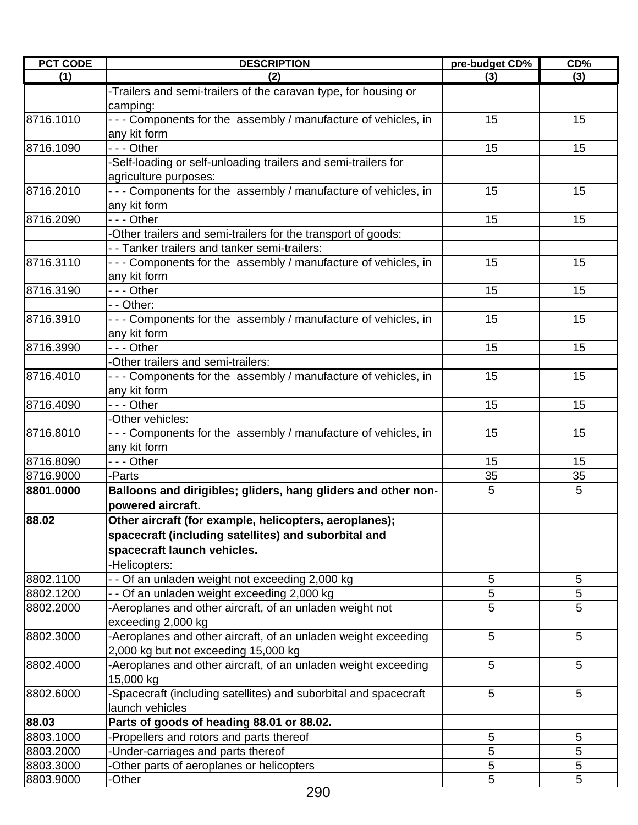| <b>PCT CODE</b> | <b>DESCRIPTION</b>                                                              | pre-budget CD% | CD% |
|-----------------|---------------------------------------------------------------------------------|----------------|-----|
| (1)             | (2)                                                                             | (3)            | (3) |
|                 | -Trailers and semi-trailers of the caravan type, for housing or<br>camping:     |                |     |
| 8716.1010       | - - - Components for the assembly / manufacture of vehicles, in<br>any kit form | 15             | 15  |
| 8716.1090       | - - - Other                                                                     | 15             | 15  |
|                 | -Self-loading or self-unloading trailers and semi-trailers for                  |                |     |
|                 | agriculture purposes:                                                           |                |     |
| 8716.2010       | --- Components for the assembly / manufacture of vehicles, in                   | 15             | 15  |
| 8716.2090       | any kit form<br>--- Other                                                       | 15             | 15  |
|                 | -Other trailers and semi-trailers for the transport of goods:                   |                |     |
|                 | - - Tanker trailers and tanker semi-trailers:                                   |                |     |
| 8716.3110       | --- Components for the assembly / manufacture of vehicles, in                   | 15             | 15  |
|                 | any kit form                                                                    |                |     |
| 8716.3190       | --- Other                                                                       | 15             | 15  |
|                 | - - Other:                                                                      |                |     |
|                 |                                                                                 |                |     |
| 8716.3910       | --- Components for the assembly / manufacture of vehicles, in<br>any kit form   | 15             | 15  |
| 8716.3990       | - - - Other                                                                     | 15             | 15  |
|                 | Other trailers and semi-trailers:                                               |                |     |
| 8716.4010       | --- Components for the assembly / manufacture of vehicles, in                   | 15             | 15  |
|                 | any kit form                                                                    |                |     |
| 8716.4090       | --- Other                                                                       | 15             | 15  |
|                 | -Other vehicles:                                                                |                |     |
| 8716.8010       | --- Components for the assembly / manufacture of vehicles, in                   | 15             | 15  |
|                 | any kit form                                                                    |                |     |
| 8716.8090       | --- Other                                                                       | 15             | 15  |
| 8716.9000       | -Parts                                                                          | 35             | 35  |
| 8801.0000       | Balloons and dirigibles; gliders, hang gliders and other non-                   | 5              | 5   |
|                 | powered aircraft.                                                               |                |     |
| 88.02           | Other aircraft (for example, helicopters, aeroplanes);                          |                |     |
|                 | spacecraft (including satellites) and suborbital and                            |                |     |
|                 | spacecraft launch vehicles.                                                     |                |     |
|                 | -Helicopters:                                                                   |                |     |
| 8802.1100       | - - Of an unladen weight not exceeding 2,000 kg                                 | 5              | 5   |
| 8802.1200       | - - Of an unladen weight exceeding 2,000 kg                                     | 5              | 5   |
| 8802.2000       | -Aeroplanes and other aircraft, of an unladen weight not                        | 5              | 5   |
|                 | exceeding 2,000 kg                                                              |                |     |
| 8802.3000       | -Aeroplanes and other aircraft, of an unladen weight exceeding                  | 5              | 5   |
|                 | 2,000 kg but not exceeding 15,000 kg                                            |                |     |
| 8802.4000       | -Aeroplanes and other aircraft, of an unladen weight exceeding                  | 5              | 5   |
|                 | 15,000 kg                                                                       |                |     |
| 8802.6000       | -Spacecraft (including satellites) and suborbital and spacecraft                | 5              | 5   |
|                 | launch vehicles                                                                 |                |     |
|                 |                                                                                 |                |     |
| 88.03           | Parts of goods of heading 88.01 or 88.02.                                       |                |     |
| 8803.1000       | Propellers and rotors and parts thereof                                         | $\sqrt{5}$     | 5   |
| 8803.2000       | -Under-carriages and parts thereof                                              | 5              | 5   |
| 8803.3000       | Other parts of aeroplanes or helicopters                                        | 5              | 5   |
| 8803.9000       | -Other                                                                          | 5              | 5   |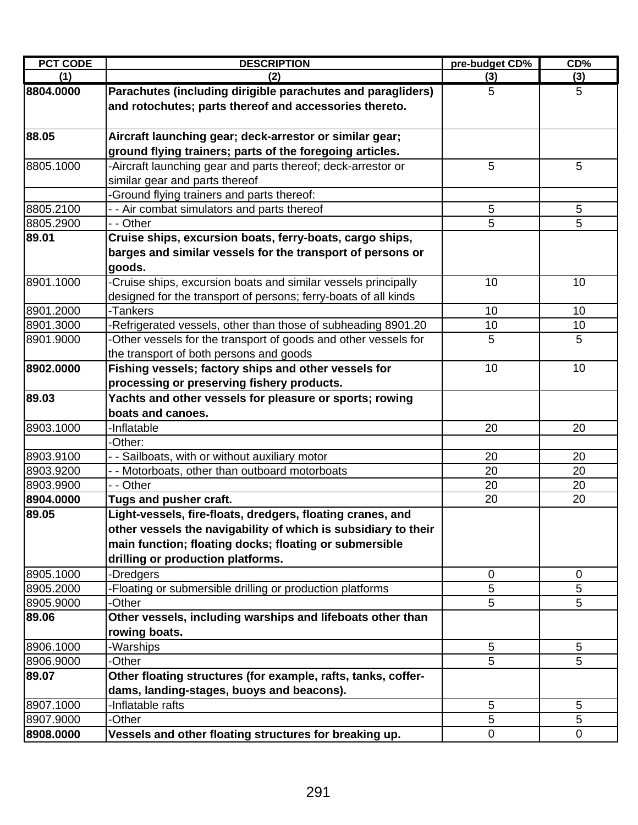| <b>PCT CODE</b> | <b>DESCRIPTION</b>                                              | pre-budget CD% | CD%             |
|-----------------|-----------------------------------------------------------------|----------------|-----------------|
| (1)             | (2)                                                             | (3)            | (3)             |
| 8804.0000       | Parachutes (including dirigible parachutes and paragliders)     | 5              | 5               |
|                 | and rotochutes; parts thereof and accessories thereto.          |                |                 |
|                 |                                                                 |                |                 |
| 88.05           | Aircraft launching gear; deck-arrestor or similar gear;         |                |                 |
|                 | ground flying trainers; parts of the foregoing articles.        |                |                 |
| 8805.1000       | -Aircraft launching gear and parts thereof; deck-arrestor or    | 5              | 5               |
|                 | similar gear and parts thereof                                  |                |                 |
|                 | -Ground flying trainers and parts thereof:                      |                |                 |
| 8805.2100       | - - Air combat simulators and parts thereof                     | 5              | 5               |
| 8805.2900       | - - Other                                                       | 5              | 5               |
| 89.01           | Cruise ships, excursion boats, ferry-boats, cargo ships,        |                |                 |
|                 | barges and similar vessels for the transport of persons or      |                |                 |
|                 | goods.                                                          |                |                 |
| 8901.1000       | -Cruise ships, excursion boats and similar vessels principally  | 10             | 10              |
|                 | designed for the transport of persons; ferry-boats of all kinds |                |                 |
| 8901.2000       | -Tankers                                                        | 10             | 10              |
| 8901.3000       | -Refrigerated vessels, other than those of subheading 8901.20   | 10             | 10              |
| 8901.9000       | -Other vessels for the transport of goods and other vessels for | 5              | 5               |
|                 | the transport of both persons and goods                         |                |                 |
| 8902.0000       | Fishing vessels; factory ships and other vessels for            | 10             | 10              |
|                 | processing or preserving fishery products.                      |                |                 |
| 89.03           | Yachts and other vessels for pleasure or sports; rowing         |                |                 |
|                 | boats and canoes.                                               |                |                 |
| 8903.1000       | -Inflatable                                                     | 20             | 20              |
|                 | -Other:                                                         |                |                 |
| 8903.9100       | - - Sailboats, with or without auxiliary motor                  | 20             | 20              |
| 8903.9200       | - - Motorboats, other than outboard motorboats                  | 20             | 20              |
| 8903.9900       | - - Other                                                       | 20             | 20              |
| 8904.0000       | Tugs and pusher craft.                                          | 20             | 20              |
| 89.05           | Light-vessels, fire-floats, dredgers, floating cranes, and      |                |                 |
|                 | other vessels the navigability of which is subsidiary to their  |                |                 |
|                 | main function; floating docks; floating or submersible          |                |                 |
|                 | drilling or production platforms.                               |                |                 |
| 8905.1000       | -Dredgers                                                       | 0              | 0               |
| 8905.2000       | -Floating or submersible drilling or production platforms       | 5              | 5               |
| 8905.9000       | -Other                                                          | 5              | 5               |
| 89.06           | Other vessels, including warships and lifeboats other than      |                |                 |
|                 | rowing boats.                                                   |                |                 |
| 8906.1000       | -Warships                                                       | 5              | 5               |
| 8906.9000       | -Other                                                          | $\overline{5}$ | 5               |
| 89.07           | Other floating structures (for example, rafts, tanks, coffer-   |                |                 |
|                 | dams, landing-stages, buoys and beacons).                       |                |                 |
| 8907.1000       | -Inflatable rafts                                               | 5              | $5\phantom{.0}$ |
| 8907.9000       | -Other                                                          | 5              | 5               |
| 8908.0000       | Vessels and other floating structures for breaking up.          | 0              | 0               |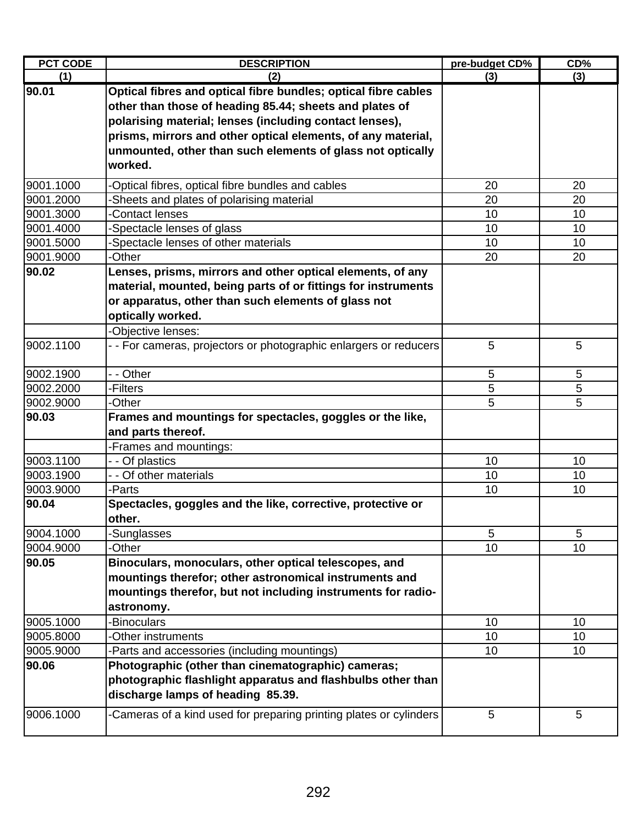| <b>PCT CODE</b> | <b>DESCRIPTION</b>                                                 | pre-budget CD%  | CD <sub>0</sub> |
|-----------------|--------------------------------------------------------------------|-----------------|-----------------|
| (1)             | (2)                                                                | (3)             | (3)             |
| 90.01           | Optical fibres and optical fibre bundles; optical fibre cables     |                 |                 |
|                 | other than those of heading 85.44; sheets and plates of            |                 |                 |
|                 | polarising material; lenses (including contact lenses),            |                 |                 |
|                 | prisms, mirrors and other optical elements, of any material,       |                 |                 |
|                 | unmounted, other than such elements of glass not optically         |                 |                 |
|                 | worked.                                                            |                 |                 |
| 9001.1000       | -Optical fibres, optical fibre bundles and cables                  | 20              | 20              |
| 9001.2000       | -Sheets and plates of polarising material                          | 20              | 20              |
| 9001.3000       | -Contact lenses                                                    | 10              | 10              |
| 9001.4000       | -Spectacle lenses of glass                                         | 10              | 10              |
| 9001.5000       | -Spectacle lenses of other materials                               | 10              | 10              |
| 9001.9000       | -Other                                                             | 20              | 20              |
| 90.02           | Lenses, prisms, mirrors and other optical elements, of any         |                 |                 |
|                 | material, mounted, being parts of or fittings for instruments      |                 |                 |
|                 | or apparatus, other than such elements of glass not                |                 |                 |
|                 | optically worked.                                                  |                 |                 |
|                 | -Objective lenses:                                                 |                 |                 |
| 9002.1100       | - - For cameras, projectors or photographic enlargers or reducers  | 5               | 5               |
| 9002.1900       | - - Other                                                          | 5               | 5               |
| 9002.2000       | -Filters                                                           | 5               | 5               |
| 9002.9000       | -Other                                                             | 5               | 5               |
| 90.03           | Frames and mountings for spectacles, goggles or the like,          |                 |                 |
|                 | and parts thereof.                                                 |                 |                 |
|                 | -Frames and mountings:                                             |                 |                 |
| 9003.1100       | - - Of plastics                                                    | 10              | 10              |
| 9003.1900       | - - Of other materials                                             | 10              | 10              |
| 9003.9000       | -Parts                                                             | 10              | 10              |
| 90.04           | Spectacles, goggles and the like, corrective, protective or        |                 |                 |
|                 | other.                                                             |                 |                 |
| 9004.1000       | -Sunglasses                                                        | 5               | 5               |
| 9004.9000       | -Other                                                             | 10              | 10              |
| 90.05           | Binoculars, monoculars, other optical telescopes, and              |                 |                 |
|                 | mountings therefor; other astronomical instruments and             |                 |                 |
|                 | mountings therefor, but not including instruments for radio-       |                 |                 |
|                 | astronomy.                                                         |                 |                 |
| 9005.1000       | -Binoculars                                                        | 10              | 10              |
| 9005.8000       | -Other instruments                                                 | 10              | 10              |
| 9005.9000       | -Parts and accessories (including mountings)                       | 10 <sup>1</sup> | 10              |
| 90.06           | Photographic (other than cinematographic) cameras;                 |                 |                 |
|                 | photographic flashlight apparatus and flashbulbs other than        |                 |                 |
|                 | discharge lamps of heading 85.39.                                  |                 |                 |
| 9006.1000       | -Cameras of a kind used for preparing printing plates or cylinders | 5               | 5               |
|                 |                                                                    |                 |                 |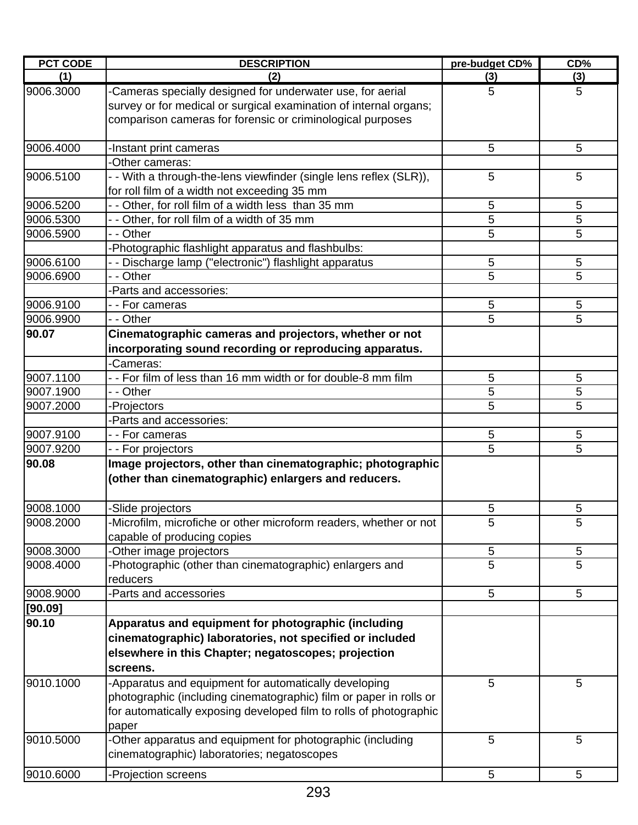| <b>PCT CODE</b> | <b>DESCRIPTION</b>                                                                                                                                                                                         | pre-budget CD% | CD% |
|-----------------|------------------------------------------------------------------------------------------------------------------------------------------------------------------------------------------------------------|----------------|-----|
| (1)             | (2)                                                                                                                                                                                                        | (3)            | (3) |
| 9006.3000       | -Cameras specially designed for underwater use, for aerial<br>survey or for medical or surgical examination of internal organs;<br>comparison cameras for forensic or criminological purposes              | 5              | 5   |
| 9006.4000       | -Instant print cameras                                                                                                                                                                                     | 5              | 5   |
|                 | -Other cameras:                                                                                                                                                                                            |                |     |
| 9006.5100       | - - With a through-the-lens viewfinder (single lens reflex (SLR)),<br>for roll film of a width not exceeding 35 mm                                                                                         | 5              | 5   |
| 9006.5200       | - - Other, for roll film of a width less than 35 mm                                                                                                                                                        | 5              | 5   |
| 9006.5300       | - - Other, for roll film of a width of 35 mm                                                                                                                                                               | 5              | 5   |
| 9006.5900       | - - Other                                                                                                                                                                                                  | 5              | 5   |
|                 | -Photographic flashlight apparatus and flashbulbs:                                                                                                                                                         |                |     |
| 9006.6100       | - - Discharge lamp ("electronic") flashlight apparatus                                                                                                                                                     | 5              | 5   |
| 9006.6900       | - - Other                                                                                                                                                                                                  | 5              | 5   |
|                 | -Parts and accessories:                                                                                                                                                                                    |                |     |
| 9006.9100       | - - For cameras                                                                                                                                                                                            | 5              | 5   |
| 9006.9900       | - - Other                                                                                                                                                                                                  | 5              | 5   |
| 90.07           | Cinematographic cameras and projectors, whether or not                                                                                                                                                     |                |     |
|                 | incorporating sound recording or reproducing apparatus.                                                                                                                                                    |                |     |
|                 | -Cameras:                                                                                                                                                                                                  |                |     |
| 9007.1100       | -- For film of less than 16 mm width or for double-8 mm film                                                                                                                                               | 5              | 5   |
| 9007.1900       | - - Other                                                                                                                                                                                                  | 5              | 5   |
| 9007.2000       | -Projectors                                                                                                                                                                                                | 5              | 5   |
|                 | -Parts and accessories:                                                                                                                                                                                    |                |     |
| 9007.9100       | - - For cameras                                                                                                                                                                                            | 5              | 5   |
| 9007.9200       | - - For projectors                                                                                                                                                                                         | 5              | 5   |
| 90.08           | Image projectors, other than cinematographic; photographic<br>(other than cinematographic) enlargers and reducers.                                                                                         |                |     |
| 9008.1000       | -Slide projectors                                                                                                                                                                                          | 5              | 5   |
| 9008.2000       | -Microfilm, microfiche or other microform readers, whether or not<br>capable of producing copies                                                                                                           | 5              | 5   |
| 9008.3000       | -Other image projectors                                                                                                                                                                                    | $\sqrt{5}$     | 5   |
| 9008.4000       | -Photographic (other than cinematographic) enlargers and<br>reducers                                                                                                                                       | 5              | 5   |
| 9008.9000       | -Parts and accessories                                                                                                                                                                                     | 5              | 5   |
| [90.09]         |                                                                                                                                                                                                            |                |     |
| 90.10           | Apparatus and equipment for photographic (including<br>cinematographic) laboratories, not specified or included<br>elsewhere in this Chapter; negatoscopes; projection<br>screens.                         |                |     |
| 9010.1000       | -Apparatus and equipment for automatically developing<br>photographic (including cinematographic) film or paper in rolls or<br>for automatically exposing developed film to rolls of photographic<br>paper | 5              | 5   |
| 9010.5000       | -Other apparatus and equipment for photographic (including<br>cinematographic) laboratories; negatoscopes                                                                                                  | 5              | 5   |
| 9010.6000       | -Projection screens                                                                                                                                                                                        | 5              | 5   |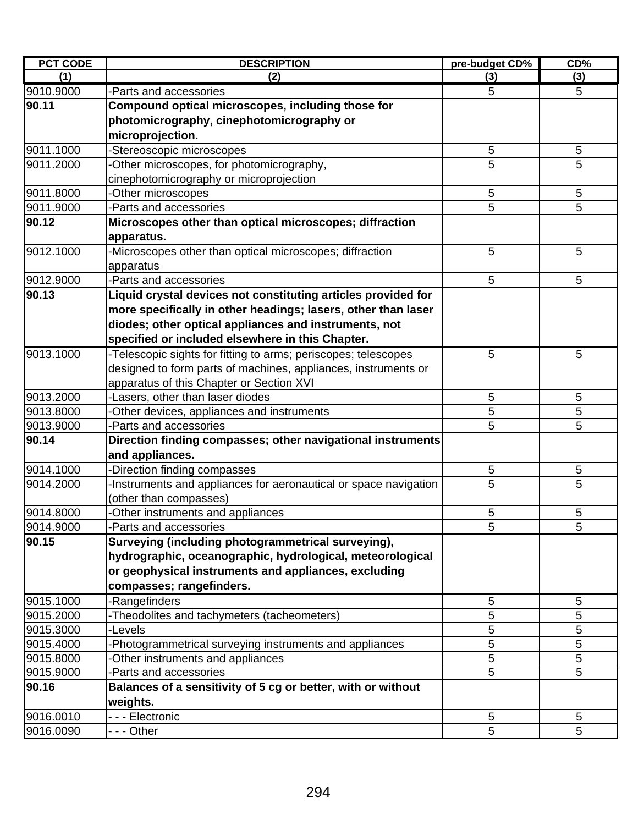| <b>PCT CODE</b> | <b>DESCRIPTION</b>                                               | pre-budget CD% | CD%        |
|-----------------|------------------------------------------------------------------|----------------|------------|
| (1)             | (2)                                                              | (3)            | (3)        |
| 9010.9000       | -Parts and accessories                                           | 5              | 5          |
| 90.11           | Compound optical microscopes, including those for                |                |            |
|                 | photomicrography, cinephotomicrography or                        |                |            |
|                 | microprojection.                                                 |                |            |
| 9011.1000       | -Stereoscopic microscopes                                        | 5              | $\sqrt{5}$ |
| 9011.2000       | -Other microscopes, for photomicrography,                        | 5              | 5          |
|                 | cinephotomicrography or microprojection                          |                |            |
| 9011.8000       | -Other microscopes                                               | 5              | $\sqrt{5}$ |
| 9011.9000       | -Parts and accessories                                           | 5              | 5          |
| 90.12           | Microscopes other than optical microscopes; diffraction          |                |            |
|                 | apparatus.                                                       |                |            |
| 9012.1000       | -Microscopes other than optical microscopes; diffraction         | 5              | 5          |
|                 | apparatus                                                        |                |            |
| 9012.9000       | -Parts and accessories                                           | 5              | 5          |
| 90.13           | Liquid crystal devices not constituting articles provided for    |                |            |
|                 | more specifically in other headings; lasers, other than laser    |                |            |
|                 | diodes; other optical appliances and instruments, not            |                |            |
|                 | specified or included elsewhere in this Chapter.                 |                |            |
| 9013.1000       | -Telescopic sights for fitting to arms; periscopes; telescopes   | 5              | 5          |
|                 | designed to form parts of machines, appliances, instruments or   |                |            |
|                 | apparatus of this Chapter or Section XVI                         |                |            |
| 9013.2000       | -Lasers, other than laser diodes                                 | 5              | 5          |
| 9013.8000       | -Other devices, appliances and instruments                       | 5              | 5          |
| 9013.9000       | -Parts and accessories                                           | 5              | 5          |
| 90.14           | Direction finding compasses; other navigational instruments      |                |            |
|                 | and appliances.                                                  |                |            |
| 9014.1000       | -Direction finding compasses                                     | 5              | 5          |
| 9014.2000       | -Instruments and appliances for aeronautical or space navigation | 5              | 5          |
|                 | (other than compasses)                                           |                |            |
| 9014.8000       | -Other instruments and appliances                                | 5              | $\sqrt{5}$ |
| 9014.9000       | -Parts and accessories                                           | 5              | 5          |
| 90.15           | Surveying (including photogrammetrical surveying),               |                |            |
|                 | hydrographic, oceanographic, hydrological, meteorological        |                |            |
|                 | or geophysical instruments and appliances, excluding             |                |            |
|                 | compasses; rangefinders.                                         |                |            |
| 9015.1000       | -Rangefinders                                                    | 5              | 5          |
| 9015.2000       | -Theodolites and tachymeters (tacheometers)                      | 5              | 5          |
| 9015.3000       | -Levels                                                          | 5              | 5          |
| 9015.4000       | -Photogrammetrical surveying instruments and appliances          | 5              | 5          |
| 9015.8000       | -Other instruments and appliances                                | 5              | 5          |
| 9015.9000       | -Parts and accessories                                           | 5              | 5          |
| 90.16           | Balances of a sensitivity of 5 cg or better, with or without     |                |            |
|                 | weights.                                                         |                |            |
| 9016.0010       | - - - Electronic                                                 | 5              | 5          |
| 9016.0090       | - - - Other                                                      | 5              | 5          |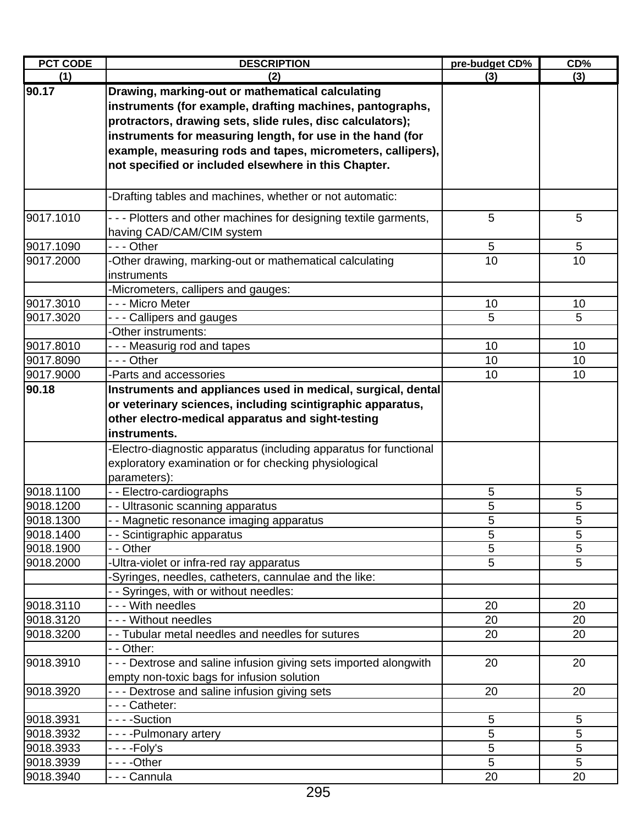| <b>PCT CODE</b> | <b>DESCRIPTION</b>                                                                                                                                                                                                                                                                                                                                               | pre-budget CD% | CD% |
|-----------------|------------------------------------------------------------------------------------------------------------------------------------------------------------------------------------------------------------------------------------------------------------------------------------------------------------------------------------------------------------------|----------------|-----|
| (1)             | (2)                                                                                                                                                                                                                                                                                                                                                              | (3)            | (3) |
| 90.17           | Drawing, marking-out or mathematical calculating<br>instruments (for example, drafting machines, pantographs,<br>protractors, drawing sets, slide rules, disc calculators);<br>instruments for measuring length, for use in the hand (for<br>example, measuring rods and tapes, micrometers, callipers),<br>not specified or included elsewhere in this Chapter. |                |     |
|                 | -Drafting tables and machines, whether or not automatic:                                                                                                                                                                                                                                                                                                         |                |     |
| 9017.1010       | - - - Plotters and other machines for designing textile garments,<br>having CAD/CAM/CIM system                                                                                                                                                                                                                                                                   | 5              | 5   |
| 9017.1090       | $- -$ - Other                                                                                                                                                                                                                                                                                                                                                    | 5              | 5   |
| 9017.2000       | -Other drawing, marking-out or mathematical calculating<br>instruments                                                                                                                                                                                                                                                                                           | 10             | 10  |
|                 | -Micrometers, callipers and gauges:                                                                                                                                                                                                                                                                                                                              |                |     |
| 9017.3010       | - - - Micro Meter                                                                                                                                                                                                                                                                                                                                                | 10             | 10  |
| 9017.3020       | - - - Callipers and gauges<br>-Other instruments:                                                                                                                                                                                                                                                                                                                | 5              | 5   |
| 9017.8010       | - - - Measurig rod and tapes                                                                                                                                                                                                                                                                                                                                     | 10             | 10  |
| 9017.8090       | - - - Other                                                                                                                                                                                                                                                                                                                                                      | 10             | 10  |
| 9017.9000       | -Parts and accessories<br>Instruments and appliances used in medical, surgical, dental                                                                                                                                                                                                                                                                           | 10             | 10  |
|                 | or veterinary sciences, including scintigraphic apparatus,<br>other electro-medical apparatus and sight-testing<br>instruments.<br>-Electro-diagnostic apparatus (including apparatus for functional                                                                                                                                                             |                |     |
|                 | exploratory examination or for checking physiological<br>parameters):                                                                                                                                                                                                                                                                                            |                |     |
| 9018.1100       | -- Electro-cardiographs                                                                                                                                                                                                                                                                                                                                          | 5              | 5   |
| 9018.1200       | - - Ultrasonic scanning apparatus                                                                                                                                                                                                                                                                                                                                | 5              | 5   |
| 9018.1300       | - - Magnetic resonance imaging apparatus                                                                                                                                                                                                                                                                                                                         | 5              | 5   |
| 9018.1400       | - - Scintigraphic apparatus                                                                                                                                                                                                                                                                                                                                      | 5              | 5   |
| 9018.1900       | - - Other                                                                                                                                                                                                                                                                                                                                                        | 5              | 5   |
| 9018.2000       | -Ultra-violet or infra-red ray apparatus<br>Syringes, needles, catheters, cannulae and the like:                                                                                                                                                                                                                                                                 | 5              | 5   |
|                 | - - Syringes, with or without needles:                                                                                                                                                                                                                                                                                                                           |                |     |
| 9018.3110       | - - - With needles                                                                                                                                                                                                                                                                                                                                               | 20             | 20  |
| 9018.3120       | --- Without needles                                                                                                                                                                                                                                                                                                                                              | 20             | 20  |
| 9018.3200       | - - Tubular metal needles and needles for sutures<br>- - Other:                                                                                                                                                                                                                                                                                                  | 20             | 20  |
| 9018.3910       | - - - Dextrose and saline infusion giving sets imported alongwith<br>empty non-toxic bags for infusion solution                                                                                                                                                                                                                                                  | 20             | 20  |
| 9018.3920       | - - - Dextrose and saline infusion giving sets                                                                                                                                                                                                                                                                                                                   | 20             | 20  |
|                 | --- Catheter:                                                                                                                                                                                                                                                                                                                                                    |                |     |
| 9018.3931       | - - - -Suction                                                                                                                                                                                                                                                                                                                                                   | 5              | 5   |
| 9018.3932       | - - - - Pulmonary artery                                                                                                                                                                                                                                                                                                                                         | 5              | 5   |
| 9018.3933       | -  -  -  -Foly's                                                                                                                                                                                                                                                                                                                                                 | 5              | 5   |
| 9018.3939       |                                                                                                                                                                                                                                                                                                                                                                  | 5              | 5   |
| 9018.3940       | - - - Cannula                                                                                                                                                                                                                                                                                                                                                    | 20             | 20  |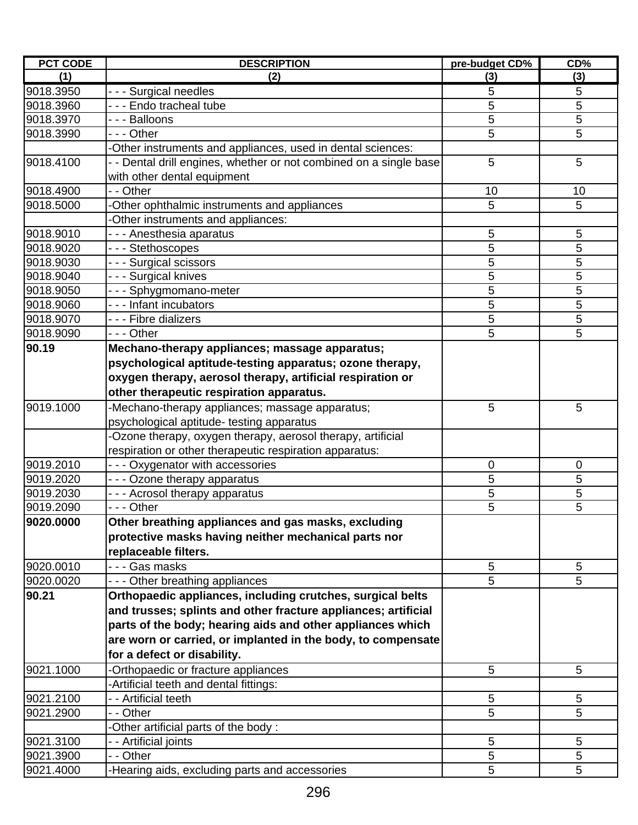| <b>PCT CODE</b> | <b>DESCRIPTION</b>                                                 | pre-budget CD% | CD% |
|-----------------|--------------------------------------------------------------------|----------------|-----|
| (1)             | (2)                                                                | (3)            | (3) |
| 9018.3950       | - - - Surgical needles                                             | 5              | 5   |
| 9018.3960       | - - - Endo tracheal tube                                           | 5              | 5   |
| 9018.3970       | --- Balloons                                                       | 5              | 5   |
| 9018.3990       | --- Other                                                          | 5              | 5   |
|                 | -Other instruments and appliances, used in dental sciences:        |                |     |
| 9018.4100       | - - Dental drill engines, whether or not combined on a single base | 5              | 5   |
|                 | with other dental equipment                                        |                |     |
| 9018.4900       | - - Other                                                          | 10             | 10  |
| 9018.5000       | Other ophthalmic instruments and appliances                        | 5              | 5   |
|                 | -Other instruments and appliances:                                 |                |     |
| 9018.9010       | - - - Anesthesia aparatus                                          | 5              | 5   |
| 9018.9020       | --- Stethoscopes                                                   | 5              | 5   |
| 9018.9030       | --- Surgical scissors                                              | 5              | 5   |
| 9018.9040       | - - - Surgical knives                                              | 5              | 5   |
| 9018.9050       | --- Sphygmomano-meter                                              | 5              | 5   |
| 9018.9060       | - - - Infant incubators                                            | 5              | 5   |
| 9018.9070       | - - - Fibre dializers                                              | 5              | 5   |
| 9018.9090       | --- Other                                                          | 5              | 5   |
| 90.19           | Mechano-therapy appliances; massage apparatus;                     |                |     |
|                 | psychological aptitude-testing apparatus; ozone therapy,           |                |     |
|                 | oxygen therapy, aerosol therapy, artificial respiration or         |                |     |
|                 | other therapeutic respiration apparatus.                           |                |     |
| 9019.1000       | -Mechano-therapy appliances; massage apparatus;                    | 5              | 5   |
|                 | psychological aptitude- testing apparatus                          |                |     |
|                 | -Ozone therapy, oxygen therapy, aerosol therapy, artificial        |                |     |
|                 | respiration or other therapeutic respiration apparatus:            |                |     |
| 9019.2010       | - - - Oxygenator with accessories                                  | 0              | 0   |
| 9019.2020       | - - - Ozone therapy apparatus                                      | 5              | 5   |
| 9019.2030       | - - - Acrosol therapy apparatus                                    | 5              | 5   |
| 9019.2090       | - - - Other                                                        | 5              | 5   |
| 9020.0000       | Other breathing appliances and gas masks, excluding                |                |     |
|                 | protective masks having neither mechanical parts nor               |                |     |
|                 | replaceable filters.                                               |                |     |
| 9020.0010       | - - - Gas masks                                                    | 5              | 5   |
| 9020.0020       | --- Other breathing appliances                                     | 5              | 5   |
| 90.21           | Orthopaedic appliances, including crutches, surgical belts         |                |     |
|                 | and trusses; splints and other fracture appliances; artificial     |                |     |
|                 | parts of the body; hearing aids and other appliances which         |                |     |
|                 | are worn or carried, or implanted in the body, to compensate       |                |     |
|                 | for a defect or disability.                                        |                |     |
| 9021.1000       | -Orthopaedic or fracture appliances                                | 5              | 5   |
|                 | -Artificial teeth and dental fittings:                             |                |     |
| 9021.2100       | - Artificial teeth                                                 | 5              | 5   |
| 9021.2900       | - - Other                                                          | 5              | 5   |
|                 | -Other artificial parts of the body:                               |                |     |
| 9021.3100       | - - Artificial joints                                              | 5              | 5   |
| 9021.3900       | - - Other                                                          | 5              | 5   |
| 9021.4000       | -Hearing aids, excluding parts and accessories                     | 5              | 5   |
|                 |                                                                    |                |     |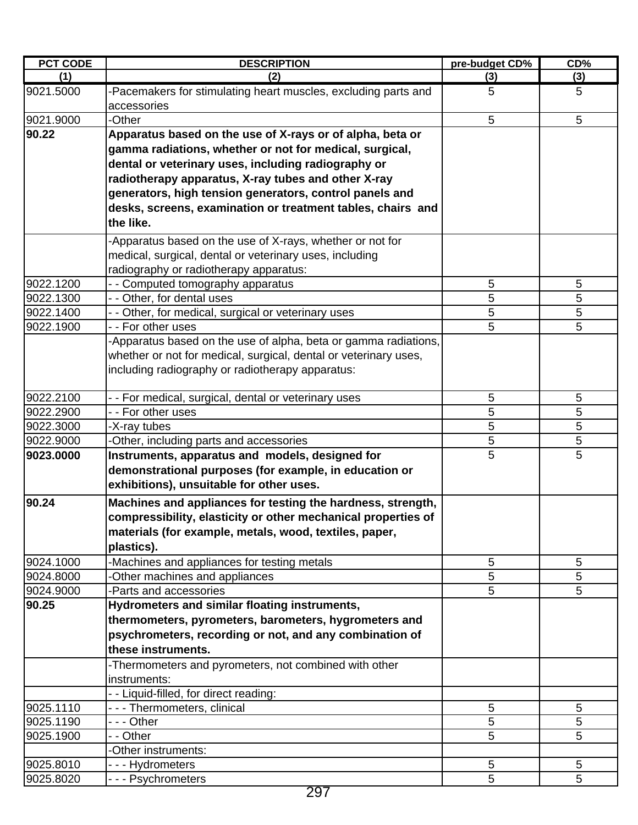| <b>PCT CODE</b> | <b>DESCRIPTION</b>                                                            | pre-budget CD% | CD% |
|-----------------|-------------------------------------------------------------------------------|----------------|-----|
| (1)             | (2)                                                                           | (3)            | (3) |
| 9021.5000       | -Pacemakers for stimulating heart muscles, excluding parts and<br>accessories | 5              | 5   |
| 9021.9000       | -Other                                                                        | 5              | 5   |
| 90.22           | Apparatus based on the use of X-rays or of alpha, beta or                     |                |     |
|                 | gamma radiations, whether or not for medical, surgical,                       |                |     |
|                 | dental or veterinary uses, including radiography or                           |                |     |
|                 | radiotherapy apparatus, X-ray tubes and other X-ray                           |                |     |
|                 | generators, high tension generators, control panels and                       |                |     |
|                 | desks, screens, examination or treatment tables, chairs and                   |                |     |
|                 | the like.                                                                     |                |     |
|                 | -Apparatus based on the use of X-rays, whether or not for                     |                |     |
|                 | medical, surgical, dental or veterinary uses, including                       |                |     |
|                 | radiography or radiotherapy apparatus:                                        |                |     |
| 9022.1200       | - Computed tomography apparatus                                               | 5              | 5   |
| 9022.1300       | - - Other, for dental uses                                                    | 5              | 5   |
| 9022.1400       | - - Other, for medical, surgical or veterinary uses                           | 5              | 5   |
| 9022.1900       | - - For other uses                                                            | 5              | 5   |
|                 | Apparatus based on the use of alpha, beta or gamma radiations,                |                |     |
|                 | whether or not for medical, surgical, dental or veterinary uses,              |                |     |
|                 | including radiography or radiotherapy apparatus:                              |                |     |
| 9022.2100       | - - For medical, surgical, dental or veterinary uses                          | 5              | 5   |
| 9022.2900       | - - For other uses                                                            | 5              | 5   |
| 9022.3000       | -X-ray tubes                                                                  | 5              | 5   |
| 9022.9000       | -Other, including parts and accessories                                       | 5              | 5   |
| 9023.0000       | Instruments, apparatus and models, designed for                               | 5              | 5   |
|                 | demonstrational purposes (for example, in education or                        |                |     |
|                 | exhibitions), unsuitable for other uses.                                      |                |     |
| 90.24           | Machines and appliances for testing the hardness, strength,                   |                |     |
|                 | compressibility, elasticity or other mechanical properties of                 |                |     |
|                 | materials (for example, metals, wood, textiles, paper,                        |                |     |
|                 | plastics).                                                                    |                |     |
| 9024.1000       | -Machines and appliances for testing metals                                   | 5              | 5   |
| 9024.8000       | -Other machines and appliances                                                | 5              | 5   |
| 9024.9000       | -Parts and accessories                                                        | 5              | 5   |
| 90.25           | Hydrometers and similar floating instruments,                                 |                |     |
|                 | thermometers, pyrometers, barometers, hygrometers and                         |                |     |
|                 | psychrometers, recording or not, and any combination of                       |                |     |
|                 | these instruments.                                                            |                |     |
|                 | -Thermometers and pyrometers, not combined with other                         |                |     |
|                 | instruments:                                                                  |                |     |
|                 | - - Liquid-filled, for direct reading:                                        |                |     |
| 9025.1110       | - - - Thermometers, clinical                                                  | 5              | 5   |
| 9025.1190       | - - - Other                                                                   | 5              | 5   |
| 9025.1900       | - - Other                                                                     | 5              | 5   |
|                 | -Other instruments:                                                           |                |     |
| 9025.8010       | --- Hydrometers                                                               | 5              | 5   |
| 9025.8020       | --- Psychrometers                                                             | 5              | 5   |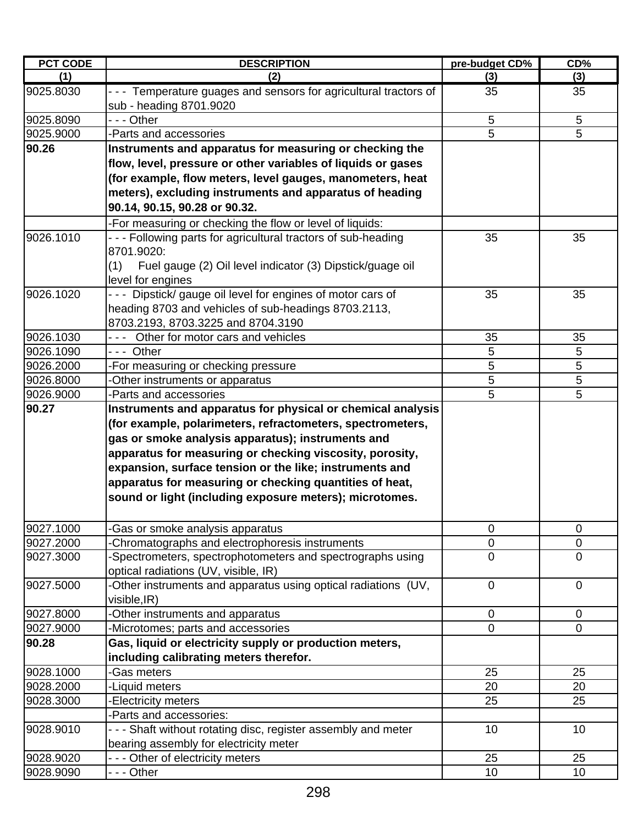| <b>PCT CODE</b> | <b>DESCRIPTION</b>                                                                                                      | pre-budget CD% | CD%            |
|-----------------|-------------------------------------------------------------------------------------------------------------------------|----------------|----------------|
| (1)             | (2)                                                                                                                     | (3)            | (3)            |
| 9025.8030       | --- Temperature guages and sensors for agricultural tractors of<br>sub - heading 8701.9020                              | 35             | 35             |
| 9025.8090       | - - - Other                                                                                                             | $\sqrt{5}$     | 5              |
| 9025.9000       | -Parts and accessories                                                                                                  | $\overline{5}$ | 5              |
| 90.26           | Instruments and apparatus for measuring or checking the<br>flow, level, pressure or other variables of liquids or gases |                |                |
|                 | (for example, flow meters, level gauges, manometers, heat                                                               |                |                |
|                 | meters), excluding instruments and apparatus of heading                                                                 |                |                |
|                 | 90.14, 90.15, 90.28 or 90.32.                                                                                           |                |                |
|                 | -For measuring or checking the flow or level of liquids:                                                                |                |                |
| 9026.1010       | - - - Following parts for agricultural tractors of sub-heading                                                          | 35             | 35             |
|                 | 8701.9020:                                                                                                              |                |                |
|                 | Fuel gauge (2) Oil level indicator (3) Dipstick/guage oil<br>(1)                                                        |                |                |
|                 | level for engines                                                                                                       |                |                |
| 9026.1020       | Dipstick/ gauge oil level for engines of motor cars of                                                                  | 35             | 35             |
|                 | heading 8703 and vehicles of sub-headings 8703.2113,                                                                    |                |                |
|                 | 8703.2193, 8703.3225 and 8704.3190                                                                                      |                |                |
| 9026.1030       | --- Other for motor cars and vehicles                                                                                   | 35             | 35             |
| 9026.1090       | --- Other                                                                                                               | 5              | 5              |
| 9026.2000       | -For measuring or checking pressure                                                                                     | 5              | 5              |
| 9026.8000       | -Other instruments or apparatus                                                                                         | 5              | 5              |
| 9026.9000       | -Parts and accessories                                                                                                  | 5              | 5              |
| 90.27           | Instruments and apparatus for physical or chemical analysis                                                             |                |                |
|                 | (for example, polarimeters, refractometers, spectrometers,                                                              |                |                |
|                 | gas or smoke analysis apparatus); instruments and                                                                       |                |                |
|                 | apparatus for measuring or checking viscosity, porosity,                                                                |                |                |
|                 | expansion, surface tension or the like; instruments and                                                                 |                |                |
|                 | apparatus for measuring or checking quantities of heat,                                                                 |                |                |
|                 | sound or light (including exposure meters); microtomes.                                                                 |                |                |
| 9027.1000       | -Gas or smoke analysis apparatus                                                                                        | 0              | $\pmb{0}$      |
| 9027.2000       | -Chromatographs and electrophoresis instruments                                                                         | 0              | $\mathbf 0$    |
| 9027.3000       | -Spectrometers, spectrophotometers and spectrographs using                                                              | $\overline{0}$ | $\overline{0}$ |
|                 | optical radiations (UV, visible, IR)                                                                                    |                |                |
| 9027.5000       | -Other instruments and apparatus using optical radiations (UV,                                                          | $\mathbf 0$    | $\overline{0}$ |
|                 | visible, IR)                                                                                                            |                |                |
| 9027.8000       | -Other instruments and apparatus                                                                                        | 0              | $\mathbf 0$    |
| 9027.9000       | -Microtomes; parts and accessories                                                                                      | $\overline{0}$ | $\overline{0}$ |
| 90.28           | Gas, liquid or electricity supply or production meters,                                                                 |                |                |
|                 | including calibrating meters therefor.                                                                                  |                |                |
| 9028.1000       | -Gas meters                                                                                                             | 25             | 25             |
| 9028.2000       | -Liquid meters                                                                                                          | 20             | 20             |
| 9028.3000       | -Electricity meters                                                                                                     | 25             | 25             |
|                 | -Parts and accessories:                                                                                                 |                |                |
| 9028.9010       | --- Shaft without rotating disc, register assembly and meter                                                            | 10             | 10             |
|                 | bearing assembly for electricity meter                                                                                  |                |                |
| 9028.9020       | --- Other of electricity meters                                                                                         | 25             | 25             |
| 9028.9090       | - - - Other                                                                                                             | 10             | 10             |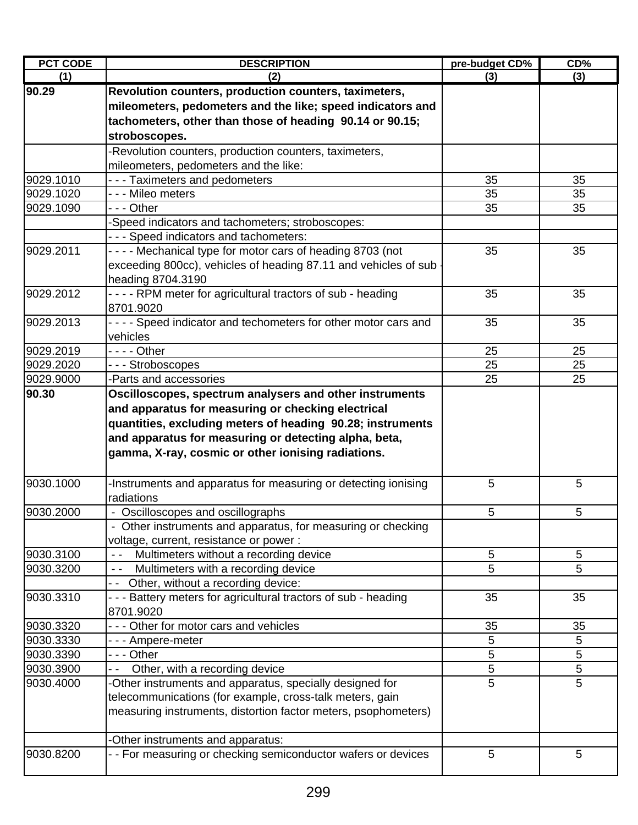| <b>PCT CODE</b> | <b>DESCRIPTION</b>                                               | pre-budget CD% | $CD\%$ |
|-----------------|------------------------------------------------------------------|----------------|--------|
| (1)             | (2)                                                              | (3)            | (3)    |
| 90.29           | Revolution counters, production counters, taximeters,            |                |        |
|                 | mileometers, pedometers and the like; speed indicators and       |                |        |
|                 | tachometers, other than those of heading 90.14 or 90.15;         |                |        |
|                 | stroboscopes.                                                    |                |        |
|                 | -Revolution counters, production counters, taximeters,           |                |        |
|                 | mileometers, pedometers and the like:                            |                |        |
| 9029.1010       | - - - Taximeters and pedometers                                  | 35             | 35     |
| 9029.1020       | - - - Mileo meters                                               | 35             | 35     |
| 9029.1090       | - - - Other                                                      | 35             | 35     |
|                 | -Speed indicators and tachometers; stroboscopes:                 |                |        |
|                 | - - - Speed indicators and tachometers:                          |                |        |
| 9029.2011       | - - - - Mechanical type for motor cars of heading 8703 (not      | 35             | 35     |
|                 | exceeding 800cc), vehicles of heading 87.11 and vehicles of sub  |                |        |
|                 | heading 8704.3190                                                |                |        |
| 9029.2012       | - - - - RPM meter for agricultural tractors of sub - heading     | 35             | 35     |
|                 | 8701.9020                                                        |                |        |
| 9029.2013       | - - - - Speed indicator and techometers for other motor cars and | 35             | 35     |
|                 | vehicles                                                         |                |        |
| 9029.2019       |                                                                  | 25             | 25     |
| 9029.2020       | --- Stroboscopes                                                 | 25             | 25     |
| 9029.9000       | -Parts and accessories                                           | 25             | 25     |
| 90.30           | Oscilloscopes, spectrum analysers and other instruments          |                |        |
|                 | and apparatus for measuring or checking electrical               |                |        |
|                 | quantities, excluding meters of heading 90.28; instruments       |                |        |
|                 | and apparatus for measuring or detecting alpha, beta,            |                |        |
|                 | gamma, X-ray, cosmic or other ionising radiations.               |                |        |
|                 |                                                                  |                |        |
| 9030.1000       | -Instruments and apparatus for measuring or detecting ionising   | 5              | 5      |
|                 | radiations                                                       |                |        |
| 9030.2000       | - Oscilloscopes and oscillographs                                | $\overline{5}$ | 5      |
|                 | - Other instruments and apparatus, for measuring or checking     |                |        |
|                 | voltage, current, resistance or power:                           |                |        |
| 9030.3100       | Multimeters without a recording device                           | 5              | 5      |
| 9030.3200       | Multimeters with a recording device<br>$\sim$ $\sim$             | 5              | 5      |
|                 | -- Other, without a recording device:                            |                |        |
| 9030.3310       | - - - Battery meters for agricultural tractors of sub - heading  | 35             | 35     |
|                 | 8701.9020                                                        |                |        |
| 9030.3320       | Other for motor cars and vehicles                                | 35             | 35     |
| 9030.3330       | --- Ampere-meter                                                 | 5              | 5      |
| 9030.3390       | - - - Other                                                      | 5              | 5      |
| 9030.3900       | Other, with a recording device                                   | 5              | 5      |
| 9030.4000       | -Other instruments and apparatus, specially designed for         | 5              | 5      |
|                 | telecommunications (for example, cross-talk meters, gain         |                |        |
|                 | measuring instruments, distortion factor meters, psophometers)   |                |        |
|                 |                                                                  |                |        |
|                 | Other instruments and apparatus:                                 |                |        |
| 9030.8200       | - - For measuring or checking semiconductor wafers or devices    | 5              | 5      |
|                 |                                                                  |                |        |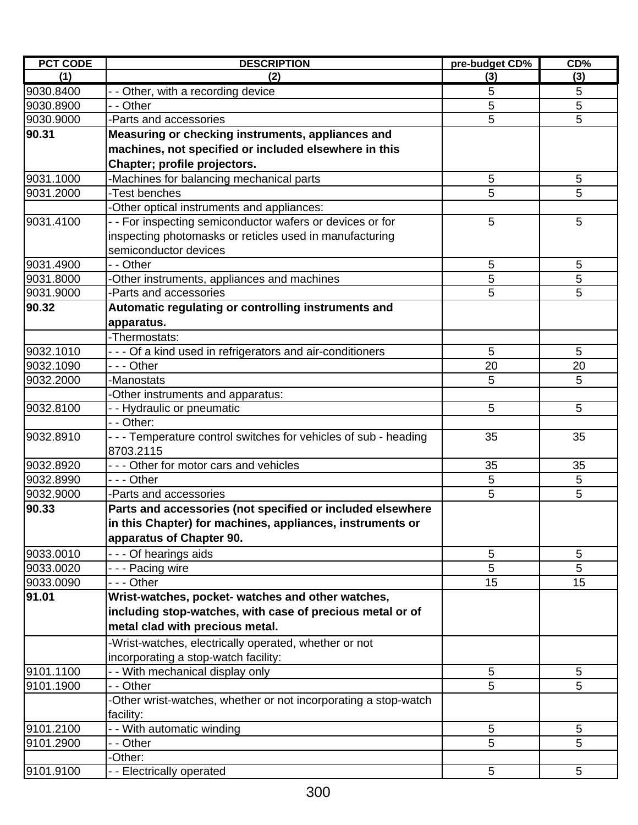| <b>PCT CODE</b> | <b>DESCRIPTION</b>                                              | pre-budget CD% | CD%             |
|-----------------|-----------------------------------------------------------------|----------------|-----------------|
| (1)             | (2)                                                             | (3)            | (3)             |
| 9030.8400       | - - Other, with a recording device                              | 5              | 5               |
| 9030.8900       | - - Other                                                       | 5              | 5               |
| 9030.9000       | -Parts and accessories                                          | 5              | 5               |
| 90.31           | Measuring or checking instruments, appliances and               |                |                 |
|                 | machines, not specified or included elsewhere in this           |                |                 |
|                 | Chapter; profile projectors.                                    |                |                 |
| 9031.1000       | -Machines for balancing mechanical parts                        | 5              | 5               |
| 9031.2000       | -Test benches                                                   | 5              | 5               |
|                 | -Other optical instruments and appliances:                      |                |                 |
| 9031.4100       | - - For inspecting semiconductor wafers or devices or for       | 5              | 5               |
|                 | inspecting photomasks or reticles used in manufacturing         |                |                 |
|                 | semiconductor devices                                           |                |                 |
| 9031.4900       | - - Other                                                       | 5              | 5               |
| 9031.8000       | -Other instruments, appliances and machines                     | 5              | 5               |
| 9031.9000       | -Parts and accessories                                          | 5              | 5               |
| 90.32           | Automatic regulating or controlling instruments and             |                |                 |
|                 | apparatus.                                                      |                |                 |
|                 | -Thermostats:                                                   |                |                 |
| 9032.1010       | --- Of a kind used in refrigerators and air-conditioners        | 5              | 5               |
| 9032.1090       | --- Other                                                       | 20             | 20              |
| 9032.2000       | -Manostats                                                      | 5              | 5               |
|                 | -Other instruments and apparatus:                               |                |                 |
| 9032.8100       | - - Hydraulic or pneumatic                                      | 5              | 5               |
|                 | - - Other:                                                      |                |                 |
| 9032.8910       | --- Temperature control switches for vehicles of sub - heading  | 35             | 35              |
|                 | 8703.2115                                                       |                |                 |
| 9032.8920       | - - - Other for motor cars and vehicles                         | 35             | 35              |
| 9032.8990       | --- Other                                                       | 5              | 5               |
| 9032.9000       | -Parts and accessories                                          | 5              | 5               |
| 90.33           | Parts and accessories (not specified or included elsewhere      |                |                 |
|                 | in this Chapter) for machines, appliances, instruments or       |                |                 |
|                 | apparatus of Chapter 90.                                        |                |                 |
| 9033.0010       | - - - Of hearings aids                                          | 5              | 5               |
| 9033.0020       | --- Pacing wire                                                 | 5              | 5               |
| 9033.0090       | --- Other                                                       | 15             | 15              |
| 91.01           | Wrist-watches, pocket- watches and other watches,               |                |                 |
|                 | including stop-watches, with case of precious metal or of       |                |                 |
|                 | metal clad with precious metal.                                 |                |                 |
|                 | -Wrist-watches, electrically operated, whether or not           |                |                 |
|                 | incorporating a stop-watch facility:                            |                |                 |
| 9101.1100       | - - With mechanical display only                                | 5              | 5               |
| 9101.1900       | - - Other                                                       | 5              | 5               |
|                 | -Other wrist-watches, whether or not incorporating a stop-watch |                |                 |
|                 | facility:                                                       |                |                 |
| 9101.2100       | - - With automatic winding                                      | 5              | $5\phantom{.0}$ |
| 9101.2900       | - - Other                                                       | 5              | 5               |
|                 | -Other:                                                         |                |                 |
| 9101.9100       | - - Electrically operated                                       | 5              | $5\phantom{.0}$ |
|                 |                                                                 |                |                 |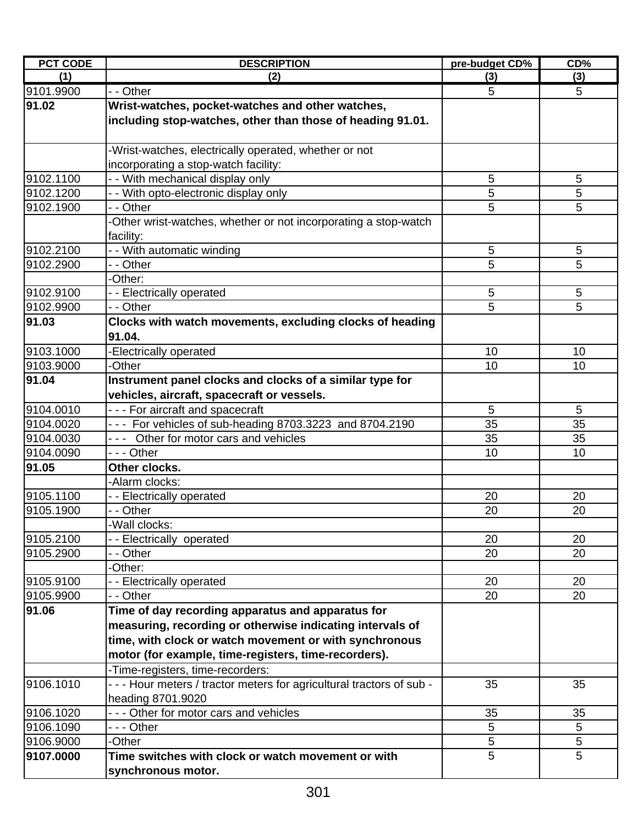| <b>PCT CODE</b>        | <b>DESCRIPTION</b>                                                    | pre-budget CD% | CD%      |
|------------------------|-----------------------------------------------------------------------|----------------|----------|
| (1)                    | (2)                                                                   | (3)            | (3)      |
| 9101.9900              | - - Other                                                             | 5              | 5        |
| 91.02                  | Wrist-watches, pocket-watches and other watches,                      |                |          |
|                        | including stop-watches, other than those of heading 91.01.            |                |          |
|                        |                                                                       |                |          |
|                        | -Wrist-watches, electrically operated, whether or not                 |                |          |
|                        | incorporating a stop-watch facility:                                  |                |          |
| 9102.1100              | - - With mechanical display only                                      | 5              | 5        |
| 9102.1200              | - - With opto-electronic display only                                 | 5              | 5        |
| 9102.1900              | - - Other                                                             | 5              | 5        |
|                        | -Other wrist-watches, whether or not incorporating a stop-watch       |                |          |
|                        | facility:                                                             |                |          |
| 9102.2100              | - - With automatic winding                                            | $\overline{5}$ | 5        |
| 9102.2900              | - - Other                                                             | 5              | 5        |
|                        | -Other:                                                               |                |          |
| 9102.9100              | - - Electrically operated                                             | 5              | 5        |
| 9102.9900              | - - Other                                                             | 5              | 5        |
| 91.03                  | Clocks with watch movements, excluding clocks of heading              |                |          |
|                        | 91.04.                                                                |                |          |
| 9103.1000              | -Electrically operated                                                | 10             | 10       |
| 9103.9000              | -Other                                                                | 10             | 10       |
| 91.04                  | Instrument panel clocks and clocks of a similar type for              |                |          |
|                        | vehicles, aircraft, spacecraft or vessels.                            |                |          |
| 9104.0010              | - - - For aircraft and spacecraft                                     | 5              | 5        |
| 9104.0020              | - - - For vehicles of sub-heading 8703.3223 and 8704.2190             | 35             | 35       |
| 9104.0030<br>9104.0090 | --- Other for motor cars and vehicles<br>--- Other                    | 35<br>10       | 35<br>10 |
| 91.05                  | Other clocks.                                                         |                |          |
|                        | -Alarm clocks:                                                        |                |          |
| 9105.1100              | - - Electrically operated                                             | 20             | 20       |
| 9105.1900              | - - Other                                                             | 20             | 20       |
|                        | -Wall clocks:                                                         |                |          |
| 9105.2100              | -- Electrically operated                                              | 20             | 20       |
| 9105.2900              | - - Other                                                             | 20             | 20       |
|                        | -Other:                                                               |                |          |
| 9105.9100              | - - Electrically operated                                             | 20             | 20       |
| 9105.9900              | - - Other                                                             | 20             | 20       |
| 91.06                  | Time of day recording apparatus and apparatus for                     |                |          |
|                        | measuring, recording or otherwise indicating intervals of             |                |          |
|                        | time, with clock or watch movement or with synchronous                |                |          |
|                        | motor (for example, time-registers, time-recorders).                  |                |          |
|                        | -Time-registers, time-recorders:                                      |                |          |
| 9106.1010              | - - - Hour meters / tractor meters for agricultural tractors of sub - | 35             | 35       |
|                        | heading 8701.9020                                                     |                |          |
| 9106.1020              | --- Other for motor cars and vehicles                                 | 35             | 35       |
| 9106.1090              | --- Other                                                             | 5              | 5        |
| 9106.9000              | -Other                                                                | 5              | 5        |
| 9107.0000              | Time switches with clock or watch movement or with                    | 5              | 5        |
|                        | synchronous motor.                                                    |                |          |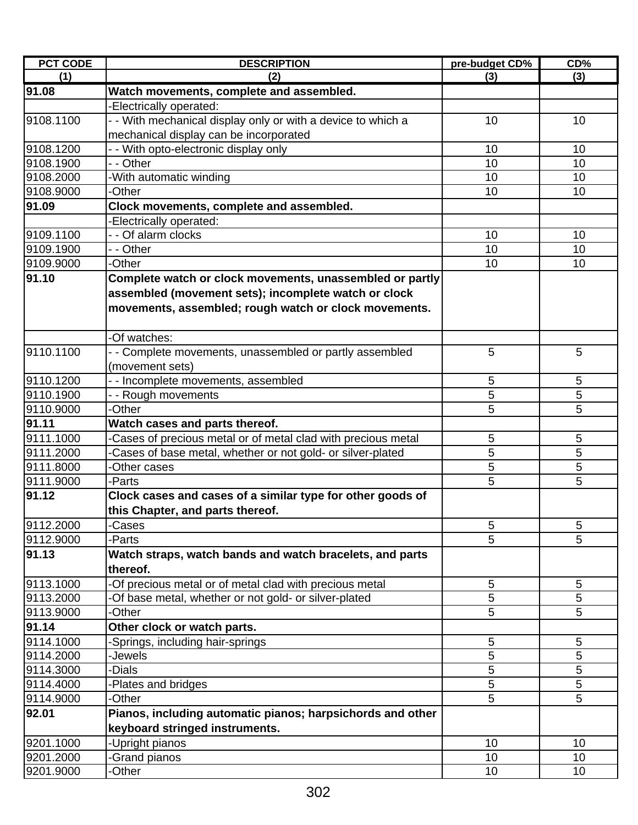| <b>PCT CODE</b> | <b>DESCRIPTION</b>                                           | pre-budget CD% | CD%            |
|-----------------|--------------------------------------------------------------|----------------|----------------|
| (1)             | (2)                                                          | (3)            | (3)            |
| 91.08           | Watch movements, complete and assembled.                     |                |                |
|                 | -Electrically operated:                                      |                |                |
| 9108.1100       | - With mechanical display only or with a device to which a   | 10             | 10             |
|                 | mechanical display can be incorporated                       |                |                |
| 9108.1200       | - - With opto-electronic display only                        | 10             | 10             |
| 9108.1900       | - - Other                                                    | 10             | 10             |
| 9108.2000       | -With automatic winding                                      | 10             | 10             |
| 9108.9000       | -Other                                                       | 10             | 10             |
| 91.09           | Clock movements, complete and assembled.                     |                |                |
|                 | -Electrically operated:                                      |                |                |
| 9109.1100       | - - Of alarm clocks                                          | 10             | 10             |
| 9109.1900       | - - Other                                                    | 10             | 10             |
| 9109.9000       | -Other                                                       | 10             | 10             |
| 91.10           | Complete watch or clock movements, unassembled or partly     |                |                |
|                 | assembled (movement sets); incomplete watch or clock         |                |                |
|                 | movements, assembled; rough watch or clock movements.        |                |                |
|                 |                                                              |                |                |
|                 | -Of watches:                                                 |                |                |
| 9110.1100       | - Complete movements, unassembled or partly assembled        | 5              | 5              |
|                 | (movement sets)                                              |                |                |
| 9110.1200       | - - Incomplete movements, assembled                          | 5              | 5              |
| 9110.1900       | - - Rough movements                                          | 5              | 5              |
| 9110.9000       | -Other                                                       | 5              | 5              |
| 91.11           | Watch cases and parts thereof.                               |                |                |
| 9111.1000       | Cases of precious metal or of metal clad with precious metal | 5              | 5              |
| 9111.2000       | Cases of base metal, whether or not gold- or silver-plated   | 5              | 5              |
| 9111.8000       | -Other cases                                                 | 5              | 5              |
| 9111.9000       | -Parts                                                       | 5              | $\overline{5}$ |
| 91.12           | Clock cases and cases of a similar type for other goods of   |                |                |
|                 | this Chapter, and parts thereof.                             |                |                |
| 9112,2000       | -Cases                                                       | 5              | 5              |
| 9112.9000       | -Parts                                                       | 5              | 5              |
| 91.13           | Watch straps, watch bands and watch bracelets, and parts     |                |                |
|                 | thereof.                                                     |                |                |
| 9113.1000       | -Of precious metal or of metal clad with precious metal      | 5              | 5              |
| 9113.2000       | -Of base metal, whether or not gold- or silver-plated        | 5              | 5              |
| 9113.9000       | -Other                                                       | 5              | 5              |
| 91.14           | Other clock or watch parts.                                  |                |                |
| 9114.1000       | -Springs, including hair-springs                             | 5              | 5              |
| 9114.2000       | Jewels-                                                      | 5              | 5              |
| 9114.3000       | <b>Dials</b>                                                 | 5              | 5              |
| 9114.4000       | Plates and bridges                                           | 5              | 5              |
| 9114.9000       | -Other                                                       | 5              | 5              |
| 92.01           | Pianos, including automatic pianos; harpsichords and other   |                |                |
|                 | keyboard stringed instruments.                               |                |                |
| 9201.1000       |                                                              | 10             | 10             |
| 9201.2000       | -Upright pianos<br>Grand pianos                              | 10             | 10             |
| 9201.9000       | -Other                                                       | 10             | 10             |
|                 |                                                              |                |                |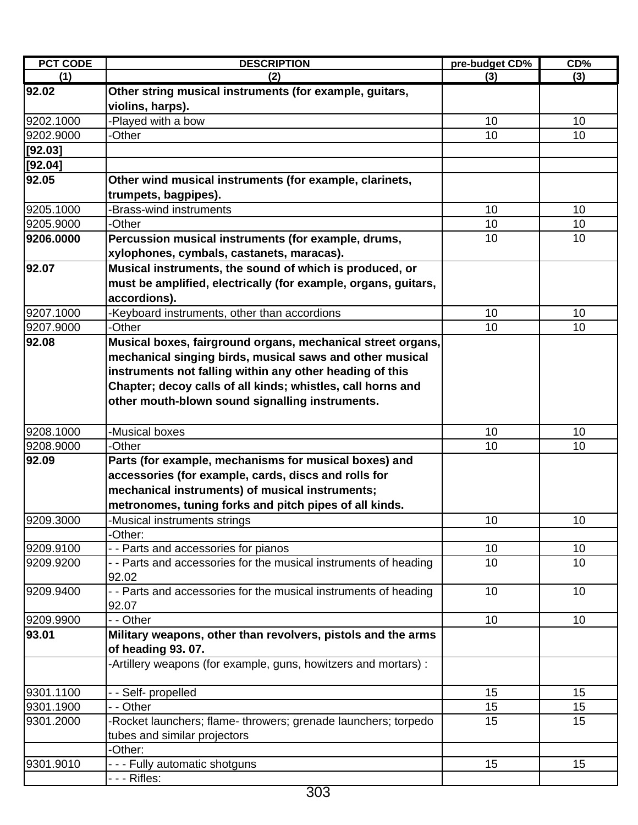| <b>PCT CODE</b> | <b>DESCRIPTION</b>                                               | pre-budget CD% | CD%      |
|-----------------|------------------------------------------------------------------|----------------|----------|
| (1)             | (2)                                                              | (3)            | (3)      |
| 92.02           | Other string musical instruments (for example, guitars,          |                |          |
|                 | violins, harps).                                                 |                |          |
| 9202.1000       | -Played with a bow                                               | 10             | 10       |
| 9202.9000       | -Other                                                           | 10             | 10       |
| [92.03]         |                                                                  |                |          |
| [92.04]         |                                                                  |                |          |
| 92.05           | Other wind musical instruments (for example, clarinets,          |                |          |
|                 | trumpets, bagpipes).                                             |                |          |
| 9205.1000       | -Brass-wind instruments                                          | 10             | 10       |
| 9205.9000       | -Other                                                           | 10             | 10       |
| 9206.0000       | Percussion musical instruments (for example, drums,              | 10             | 10       |
|                 | xylophones, cymbals, castanets, maracas).                        |                |          |
| 92.07           | Musical instruments, the sound of which is produced, or          |                |          |
|                 | must be amplified, electrically (for example, organs, guitars,   |                |          |
|                 | accordions).                                                     |                |          |
| 9207.1000       | -Keyboard instruments, other than accordions                     | 10             | 10       |
| 9207.9000       | -Other                                                           | 10             | 10       |
| 92.08           | Musical boxes, fairground organs, mechanical street organs,      |                |          |
|                 | mechanical singing birds, musical saws and other musical         |                |          |
|                 | instruments not falling within any other heading of this         |                |          |
|                 | Chapter; decoy calls of all kinds; whistles, call horns and      |                |          |
|                 | other mouth-blown sound signalling instruments.                  |                |          |
|                 |                                                                  |                |          |
| 9208.1000       | -Musical boxes                                                   | 10             | 10       |
| 9208.9000       | -Other                                                           | 10             | 10       |
| 92.09           | Parts (for example, mechanisms for musical boxes) and            |                |          |
|                 | accessories (for example, cards, discs and rolls for             |                |          |
|                 | mechanical instruments) of musical instruments;                  |                |          |
|                 | metronomes, tuning forks and pitch pipes of all kinds.           |                |          |
|                 |                                                                  |                |          |
| 9209.3000       | -Musical instruments strings                                     | 10             | 10       |
| 9209.9100       | -Other:<br>- - Parts and accessories for pianos                  |                |          |
| 9209.9200       | - - Parts and accessories for the musical instruments of heading | 10<br>10       | 10<br>10 |
|                 | 92.02                                                            |                |          |
| 9209.9400       | - - Parts and accessories for the musical instruments of heading | 10             | 10       |
|                 | 92.07                                                            |                |          |
| 9209.9900       | - - Other                                                        | 10             | 10       |
| 93.01           | Military weapons, other than revolvers, pistols and the arms     |                |          |
|                 |                                                                  |                |          |
|                 | of heading 93.07.                                                |                |          |
|                 | -Artillery weapons (for example, guns, howitzers and mortars) :  |                |          |
| 9301.1100       |                                                                  | 15             |          |
|                 | - - Self- propelled                                              |                | 15       |
| 9301.1900       | - - Other                                                        | 15             | 15       |
| 9301.2000       | -Rocket launchers; flame- throwers; grenade launchers; torpedo   | 15             | 15       |
|                 | tubes and similar projectors                                     |                |          |
|                 | -Other:                                                          |                |          |
| 9301.9010       | - - - Fully automatic shotguns                                   | 15             | 15       |
|                 |                                                                  |                |          |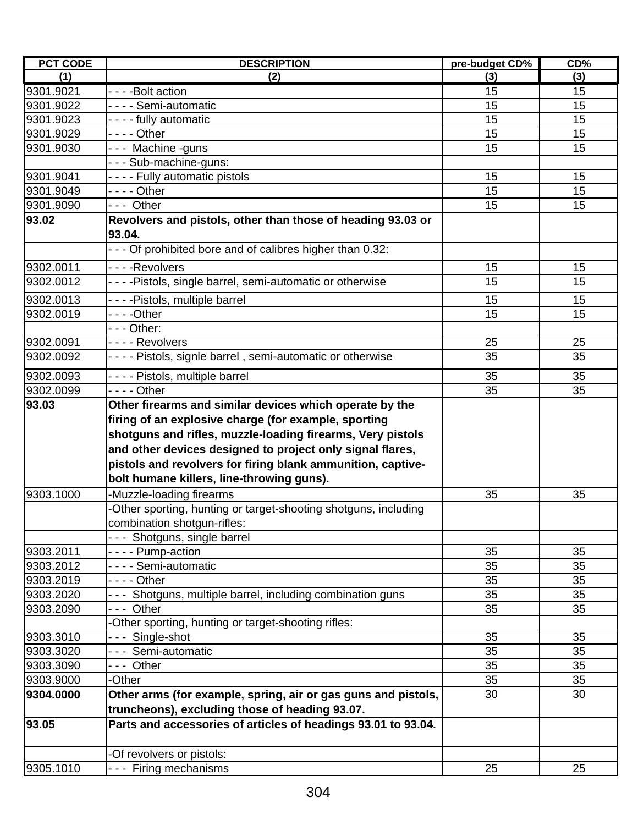| <b>PCT CODE</b>    | <b>DESCRIPTION</b>                                                                                                                                                                                                                  | pre-budget CD% | CD% |
|--------------------|-------------------------------------------------------------------------------------------------------------------------------------------------------------------------------------------------------------------------------------|----------------|-----|
| (1)                | (2)                                                                                                                                                                                                                                 | (3)            | (3) |
| 9301.9021          | - - - - Bolt action                                                                                                                                                                                                                 | 15             | 15  |
| 9301.9022          | - - - - Semi-automatic                                                                                                                                                                                                              | 15             | 15  |
| 9301.9023          | - - - - fully automatic                                                                                                                                                                                                             | 15             | 15  |
| 9301.9029          |                                                                                                                                                                                                                                     | 15             | 15  |
| 9301.9030          | --- Machine -guns                                                                                                                                                                                                                   | 15             | 15  |
|                    | --- Sub-machine-guns:                                                                                                                                                                                                               |                |     |
| 9301.9041          | - - - - Fully automatic pistols                                                                                                                                                                                                     | 15             | 15  |
| 9301.9049          | - - - - Other                                                                                                                                                                                                                       | 15             | 15  |
| 9301.9090          | --- Other                                                                                                                                                                                                                           | 15             | 15  |
| 93.02              | Revolvers and pistols, other than those of heading 93.03 or<br>93.04.                                                                                                                                                               |                |     |
|                    | - - - Of prohibited bore and of calibres higher than 0.32:                                                                                                                                                                          |                |     |
| 9302.0011          | - - - - Revolvers                                                                                                                                                                                                                   | 15             | 15  |
| 9302.0012          | - - - - Pistols, single barrel, semi-automatic or otherwise                                                                                                                                                                         | 15             | 15  |
| 9302.0013          | - - - - Pistols, multiple barrel                                                                                                                                                                                                    | 15             | 15  |
| 9302.0019          |                                                                                                                                                                                                                                     | 15             | 15  |
|                    | $--$ Other:                                                                                                                                                                                                                         |                |     |
| 9302.0091          | - - - - Revolvers                                                                                                                                                                                                                   | 25             | 25  |
| 9302.0092          | - - - - Pistols, signle barrel, semi-automatic or otherwise                                                                                                                                                                         | 35             | 35  |
|                    |                                                                                                                                                                                                                                     |                |     |
| 9302.0093          | - - - - Pistols, multiple barrel                                                                                                                                                                                                    | 35             | 35  |
| 9302.0099<br>93.03 | - - - - Other<br>Other firearms and similar devices which operate by the                                                                                                                                                            | 35             | 35  |
|                    | shotguns and rifles, muzzle-loading firearms, Very pistols<br>and other devices designed to project only signal flares,<br>pistols and revolvers for firing blank ammunition, captive-<br>bolt humane killers, line-throwing guns). |                |     |
| 9303.1000          | -Muzzle-loading firearms                                                                                                                                                                                                            | 35             | 35  |
|                    | -Other sporting, hunting or target-shooting shotguns, including                                                                                                                                                                     |                |     |
|                    | combination shotgun-rifles:                                                                                                                                                                                                         |                |     |
|                    | --- Shotguns, single barrel                                                                                                                                                                                                         |                |     |
| 9303.2011          | - - - - Pump-action                                                                                                                                                                                                                 | 35             | 35  |
| 9303.2012          | - - - - Semi-automatic                                                                                                                                                                                                              | 35             | 35  |
| 9303.2019          | - - - - Other                                                                                                                                                                                                                       | 35             | 35  |
| 9303.2020          | - - Shotguns, multiple barrel, including combination guns                                                                                                                                                                           | 35             | 35  |
| 9303.2090          | --- Other                                                                                                                                                                                                                           | 35             | 35  |
|                    | Other sporting, hunting or target-shooting rifles:                                                                                                                                                                                  |                |     |
| 9303.3010          | Single-shot                                                                                                                                                                                                                         | 35             | 35  |
| 9303.3020          | --- Semi-automatic                                                                                                                                                                                                                  | 35             | 35  |
| 9303.3090          | --- Other                                                                                                                                                                                                                           | 35             | 35  |
| 9303.9000          | -Other                                                                                                                                                                                                                              | 35             | 35  |
| 9304.0000          | Other arms (for example, spring, air or gas guns and pistols,<br>truncheons), excluding those of heading 93.07.                                                                                                                     | 30             | 30  |
| 93.05              | Parts and accessories of articles of headings 93.01 to 93.04.                                                                                                                                                                       |                |     |
|                    | -Of revolvers or pistols:                                                                                                                                                                                                           |                |     |
| 9305.1010          | Firing mechanisms<br>$\sim$ $\sim$                                                                                                                                                                                                  | 25             | 25  |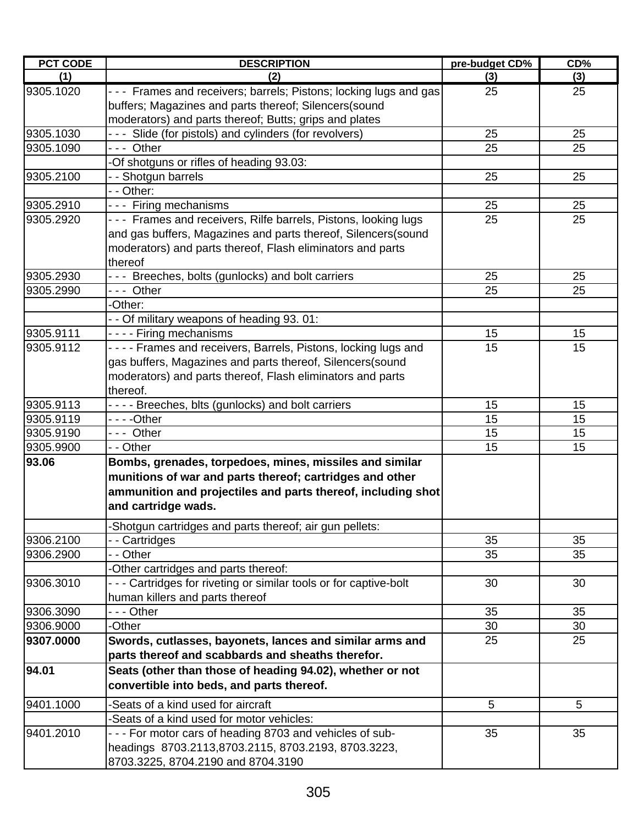| <b>PCT CODE</b> | <b>DESCRIPTION</b>                                                 | pre-budget CD% | CD% |
|-----------------|--------------------------------------------------------------------|----------------|-----|
| (1)             | (2)                                                                | (3)            | (3) |
| 9305.1020       | - - - Frames and receivers; barrels; Pistons; locking lugs and gas | 25             | 25  |
|                 | buffers; Magazines and parts thereof; Silencers(sound              |                |     |
|                 | moderators) and parts thereof; Butts; grips and plates             |                |     |
| 9305.1030       | --- Slide (for pistols) and cylinders (for revolvers)              | 25             | 25  |
| 9305.1090       | --- Other                                                          | 25             | 25  |
|                 | -Of shotguns or rifles of heading 93.03:                           |                |     |
| 9305.2100       | - - Shotgun barrels                                                | 25             | 25  |
|                 | - - Other:                                                         |                |     |
| 9305.2910       | --- Firing mechanisms                                              | 25             | 25  |
| 9305.2920       | --- Frames and receivers, Rilfe barrels, Pistons, looking lugs     | 25             | 25  |
|                 | and gas buffers, Magazines and parts thereof, Silencers(sound      |                |     |
|                 | moderators) and parts thereof, Flash eliminators and parts         |                |     |
|                 | thereof                                                            |                |     |
| 9305.2930       | --- Breeches, bolts (gunlocks) and bolt carriers                   | 25             | 25  |
| 9305.2990       | --- Other                                                          | 25             | 25  |
|                 | -Other:                                                            |                |     |
|                 | - - Of military weapons of heading 93.01:                          |                |     |
| 9305.9111       | - - - - Firing mechanisms                                          | 15             | 15  |
| 9305.9112       | - - - - Frames and receivers, Barrels, Pistons, locking lugs and   | 15             | 15  |
|                 | gas buffers, Magazines and parts thereof, Silencers(sound          |                |     |
|                 | moderators) and parts thereof, Flash eliminators and parts         |                |     |
|                 | thereof.                                                           |                |     |
| 9305.9113       | - - - - Breeches, blts (gunlocks) and bolt carriers                | 15             | 15  |
| 9305.9119       |                                                                    | 15             | 15  |
| 9305.9190       | --- Other                                                          | 15             | 15  |
| 9305.9900       | - - Other                                                          | 15             | 15  |
| 93.06           | Bombs, grenades, torpedoes, mines, missiles and similar            |                |     |
|                 | munitions of war and parts thereof; cartridges and other           |                |     |
|                 | ammunition and projectiles and parts thereof, including shot       |                |     |
|                 | and cartridge wads.                                                |                |     |
|                 | -Shotgun cartridges and parts thereof; air gun pellets:            |                |     |
| 9306.2100       | - Cartridges                                                       | 35             | 35  |
| 9306.2900       | - - Other                                                          | 35             | 35  |
|                 | -Other cartridges and parts thereof:                               |                |     |
| 9306.3010       | - - - Cartridges for riveting or similar tools or for captive-bolt | 30             | 30  |
|                 | human killers and parts thereof                                    |                |     |
| 9306.3090       | - - - Other                                                        | 35             | 35  |
| 9306.9000       | -Other                                                             | 30             | 30  |
| 9307.0000       | Swords, cutlasses, bayonets, lances and similar arms and           | 25             | 25  |
|                 | parts thereof and scabbards and sheaths therefor.                  |                |     |
| 94.01           | Seats (other than those of heading 94.02), whether or not          |                |     |
|                 | convertible into beds, and parts thereof.                          |                |     |
| 9401.1000       | -Seats of a kind used for aircraft                                 | 5              | 5   |
|                 | -Seats of a kind used for motor vehicles:                          |                |     |
| 9401.2010       | - - - For motor cars of heading 8703 and vehicles of sub-          | 35             | 35  |
|                 | headings 8703.2113,8703.2115, 8703.2193, 8703.3223,                |                |     |
|                 | 8703.3225, 8704.2190 and 8704.3190                                 |                |     |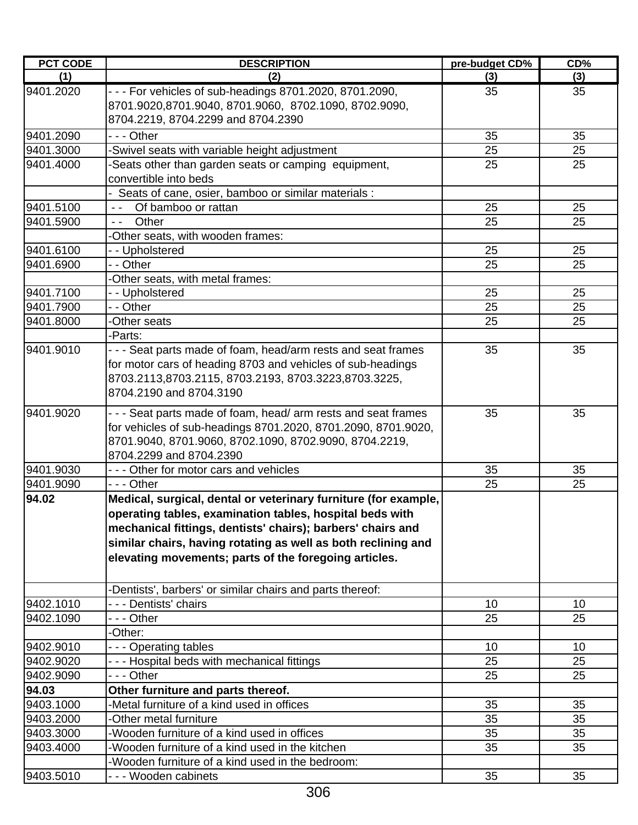| <b>PCT CODE</b> | <b>DESCRIPTION</b>                                                                                                  | pre-budget CD% | CD% |
|-----------------|---------------------------------------------------------------------------------------------------------------------|----------------|-----|
| (1)             | (2)                                                                                                                 | (3)            | (3) |
| 9401.2020       | - - - For vehicles of sub-headings 8701.2020, 8701.2090,<br>8701.9020,8701.9040, 8701.9060, 8702.1090, 8702.9090,   | 35             | 35  |
|                 | 8704.2219, 8704.2299 and 8704.2390                                                                                  |                |     |
| 9401.2090       | - - - Other                                                                                                         | 35             | 35  |
| 9401.3000       | -Swivel seats with variable height adjustment                                                                       | 25             | 25  |
| 9401.4000       | -Seats other than garden seats or camping equipment,                                                                | 25             | 25  |
|                 | convertible into beds                                                                                               |                |     |
|                 | - Seats of cane, osier, bamboo or similar materials :                                                               |                |     |
| 9401.5100       | Of bamboo or rattan<br>$\sim$ $\sim$                                                                                | 25             | 25  |
| 9401.5900       | Other<br>$\sim$ $\sim$                                                                                              | 25             | 25  |
|                 | -Other seats, with wooden frames:                                                                                   |                |     |
| 9401.6100       | - - Upholstered                                                                                                     | 25             | 25  |
| 9401.6900       | - - Other                                                                                                           | 25             | 25  |
|                 | -Other seats, with metal frames:                                                                                    |                |     |
| 9401.7100       | - - Upholstered                                                                                                     | 25             | 25  |
| 9401.7900       | - - Other<br>-Other seats                                                                                           | 25<br>25       | 25  |
| 9401.8000       |                                                                                                                     |                | 25  |
| 9401.9010       | -Parts:<br>- - - Seat parts made of foam, head/arm rests and seat frames                                            | 35             | 35  |
|                 |                                                                                                                     |                |     |
|                 | for motor cars of heading 8703 and vehicles of sub-headings<br>8703.2113,8703.2115, 8703.2193, 8703.3223,8703.3225, |                |     |
|                 | 8704.2190 and 8704.3190                                                                                             |                |     |
|                 |                                                                                                                     |                |     |
| 9401.9020       | - - - Seat parts made of foam, head/ arm rests and seat frames                                                      | 35             | 35  |
|                 | for vehicles of sub-headings 8701.2020, 8701.2090, 8701.9020,                                                       |                |     |
|                 | 8701.9040, 8701.9060, 8702.1090, 8702.9090, 8704.2219,                                                              |                |     |
|                 | 8704.2299 and 8704.2390                                                                                             |                |     |
| 9401.9030       | --- Other for motor cars and vehicles                                                                               | 35             | 35  |
| 9401.9090       | --- Other                                                                                                           | 25             | 25  |
| 94.02           | Medical, surgical, dental or veterinary furniture (for example,                                                     |                |     |
|                 | operating tables, examination tables, hospital beds with                                                            |                |     |
|                 | mechanical fittings, dentists' chairs); barbers' chairs and                                                         |                |     |
|                 | similar chairs, having rotating as well as both reclining and                                                       |                |     |
|                 | elevating movements; parts of the foregoing articles.                                                               |                |     |
|                 | -Dentists', barbers' or similar chairs and parts thereof:                                                           |                |     |
| 9402.1010       | - - - Dentists' chairs                                                                                              | 10             | 10  |
| 9402.1090       | - - - Other                                                                                                         | 25             | 25  |
|                 | -Other:                                                                                                             |                |     |
| 9402.9010       | --- Operating tables                                                                                                | 10             | 10  |
| 9402.9020       | - - - Hospital beds with mechanical fittings                                                                        | 25             | 25  |
| 9402.9090       | - - - Other                                                                                                         | 25             | 25  |
| 94.03           | Other furniture and parts thereof.                                                                                  |                |     |
| 9403.1000       | Metal furniture of a kind used in offices                                                                           | 35             | 35  |
| 9403.2000       | -Other metal furniture                                                                                              | 35             | 35  |
| 9403.3000       | -Wooden furniture of a kind used in offices                                                                         | 35             | 35  |
| 9403.4000       | -Wooden furniture of a kind used in the kitchen                                                                     | 35             | 35  |
|                 | -Wooden furniture of a kind used in the bedroom:                                                                    |                |     |
| 9403.5010       | - - - Wooden cabinets                                                                                               | 35             | 35  |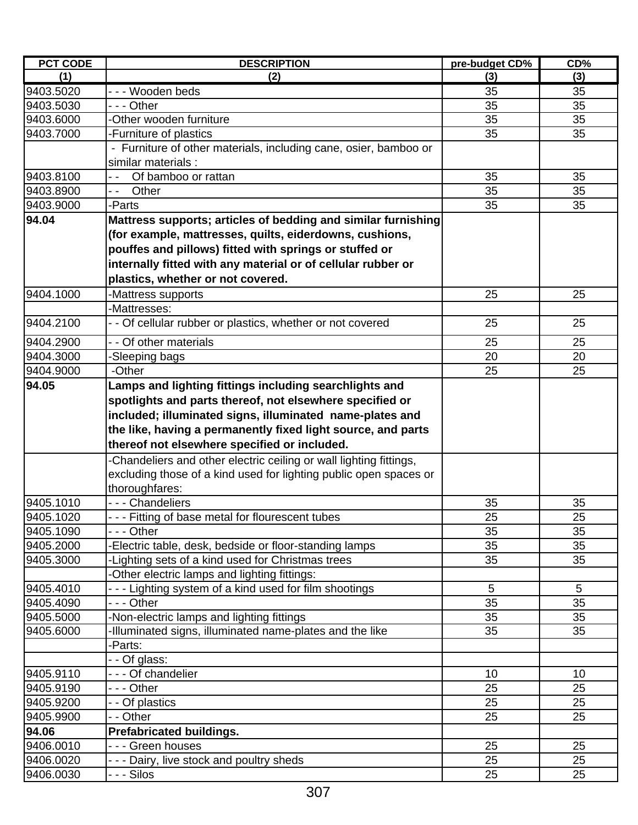| <b>PCT CODE</b> | <b>DESCRIPTION</b>                                                | pre-budget CD% | CD% |
|-----------------|-------------------------------------------------------------------|----------------|-----|
| (1)             | (2)                                                               | (3)            | (3) |
| 9403.5020       | --- Wooden beds                                                   | 35             | 35  |
| 9403.5030       | --- Other                                                         | 35             | 35  |
| 9403.6000       | Other wooden furniture                                            | 35             | 35  |
| 9403.7000       | -Furniture of plastics                                            | 35             | 35  |
|                 | - Furniture of other materials, including cane, osier, bamboo or  |                |     |
|                 | similar materials:                                                |                |     |
| 9403.8100       | Of bamboo or rattan                                               | 35             | 35  |
| 9403.8900       | Other<br>- -                                                      | 35             | 35  |
| 9403.9000       | -Parts                                                            | 35             | 35  |
| 94.04           | Mattress supports; articles of bedding and similar furnishing     |                |     |
|                 | (for example, mattresses, quilts, eiderdowns, cushions,           |                |     |
|                 | pouffes and pillows) fitted with springs or stuffed or            |                |     |
|                 | internally fitted with any material or of cellular rubber or      |                |     |
|                 | plastics, whether or not covered.                                 |                |     |
| 9404.1000       | Mattress supports                                                 | 25             | 25  |
|                 | -Mattresses:                                                      |                |     |
| 9404.2100       | Of cellular rubber or plastics, whether or not covered            | 25             | 25  |
| 9404.2900       | - - Of other materials                                            | 25             | 25  |
| 9404.3000       | Sleeping bags                                                     | 20             | 20  |
| 9404.9000       | -Other                                                            | 25             | 25  |
| 94.05           | Lamps and lighting fittings including searchlights and            |                |     |
|                 |                                                                   |                |     |
|                 | spotlights and parts thereof, not elsewhere specified or          |                |     |
|                 | included; illuminated signs, illuminated name-plates and          |                |     |
|                 | the like, having a permanently fixed light source, and parts      |                |     |
|                 | thereof not elsewhere specified or included.                      |                |     |
|                 | Chandeliers and other electric ceiling or wall lighting fittings, |                |     |
|                 | excluding those of a kind used for lighting public open spaces or |                |     |
|                 | thoroughfares:                                                    |                |     |
| 9405.1010       | - - - Chandeliers                                                 | 35             | 35  |
| 9405.1020       | --- Fitting of base metal for flourescent tubes                   | 25             | 25  |
| 9405.1090       | --- Other                                                         | 35             | 35  |
| 9405.2000       | Electric table, desk, bedside or floor-standing lamps             | 35             | 35  |
| 9405.3000       | Lighting sets of a kind used for Christmas trees                  | 35             | 35  |
|                 | Other electric lamps and lighting fittings:                       |                |     |
| 9405.4010       | Lighting system of a kind used for film shootings                 | $\overline{5}$ | 5   |
| 9405.4090       | - - - Other                                                       | 35             | 35  |
| 9405.5000       | Non-electric lamps and lighting fittings                          | 35             | 35  |
| 9405.6000       | Illuminated signs, illuminated name-plates and the like           | 35             | 35  |
|                 | -Parts:                                                           |                |     |
|                 | - Of glass:                                                       |                |     |
| 9405.9110       | --- Of chandelier                                                 | 10             | 10  |
| 9405.9190       | - - - Other                                                       | 25             | 25  |
| 9405.9200       | - - Of plastics                                                   | 25             | 25  |
| 9405.9900       | - - Other                                                         | 25             | 25  |
| 94.06           | <b>Prefabricated buildings.</b>                                   |                |     |
| 9406.0010       | - - - Green houses                                                | 25             | 25  |
| 9406.0020       | --- Dairy, live stock and poultry sheds                           | 25             | 25  |
| 9406.0030       | -  -  - Silos                                                     | 25             | 25  |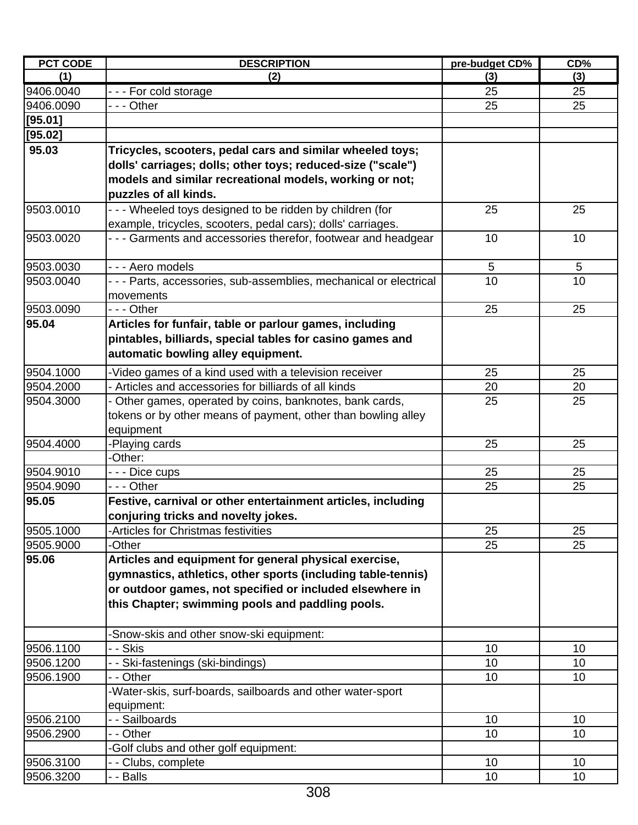| (1)<br>(3)<br>(2)<br>(3)<br>9406.0040<br>--- For cold storage<br>25<br>25<br>25<br>25<br>9406.0090<br>- - - Other<br>[95.01]<br>[95.02]<br>95.03<br>Tricycles, scooters, pedal cars and similar wheeled toys;<br>dolls' carriages; dolls; other toys; reduced-size ("scale")<br>models and similar recreational models, working or not;<br>puzzles of all kinds.<br>9503.0010<br>- - - Wheeled toys designed to be ridden by children (for<br>25<br>25<br>example, tricycles, scooters, pedal cars); dolls' carriages.<br>- - - Garments and accessories therefor, footwear and headgear<br>9503.0020<br>10<br>10<br>9503.0030<br>- - - Aero models<br>5<br>5<br>10<br>9503.0040<br>- - - Parts, accessories, sub-assemblies, mechanical or electrical<br>10<br>movements<br>9503.0090<br>--- Other<br>25<br>25<br>95.04<br>Articles for funfair, table or parlour games, including<br>pintables, billiards, special tables for casino games and<br>automatic bowling alley equipment.<br>9504.1000<br>-Video games of a kind used with a television receiver<br>25<br>25<br>- Articles and accessories for billiards of all kinds<br>9504.2000<br>20<br>20<br>25<br>25<br>9504.3000<br>- Other games, operated by coins, banknotes, bank cards,<br>tokens or by other means of payment, other than bowling alley<br>equipment<br>9504.4000<br>-Playing cards<br>25<br>25<br>-Other:<br>9504.9010<br>25<br>- - - Dice cups<br>25<br>--- Other<br>25<br>25<br>9504.9090<br>95.05<br>Festive, carnival or other entertainment articles, including<br>conjuring tricks and novelty jokes.<br>9505.1000<br>-Articles for Christmas festivities<br>25<br>25<br>25<br>9505.9000<br>25<br>-Other<br>95.06<br>Articles and equipment for general physical exercise,<br>gymnastics, athletics, other sports (including table-tennis)<br>or outdoor games, not specified or included elsewhere in<br>this Chapter; swimming pools and paddling pools.<br>-Snow-skis and other snow-ski equipment:<br>9506.1100<br>10<br>- - Skis<br>10<br>9506.1200<br>10<br>10<br>- Ski-fastenings (ski-bindings)<br>10<br>9506.1900<br>- - Other<br>10<br>-Water-skis, surf-boards, sailboards and other water-sport<br>equipment:<br>- - Sailboards<br>9506.2100<br>10<br>10 | <b>PCT CODE</b> | <b>DESCRIPTION</b> | pre-budget CD% | CD% |
|-------------------------------------------------------------------------------------------------------------------------------------------------------------------------------------------------------------------------------------------------------------------------------------------------------------------------------------------------------------------------------------------------------------------------------------------------------------------------------------------------------------------------------------------------------------------------------------------------------------------------------------------------------------------------------------------------------------------------------------------------------------------------------------------------------------------------------------------------------------------------------------------------------------------------------------------------------------------------------------------------------------------------------------------------------------------------------------------------------------------------------------------------------------------------------------------------------------------------------------------------------------------------------------------------------------------------------------------------------------------------------------------------------------------------------------------------------------------------------------------------------------------------------------------------------------------------------------------------------------------------------------------------------------------------------------------------------------------------------------------------------------------------------------------------------------------------------------------------------------------------------------------------------------------------------------------------------------------------------------------------------------------------------------------------------------------------------------------------------------------------------------------------------------------------------------------------------------------------------------------------------|-----------------|--------------------|----------------|-----|
|                                                                                                                                                                                                                                                                                                                                                                                                                                                                                                                                                                                                                                                                                                                                                                                                                                                                                                                                                                                                                                                                                                                                                                                                                                                                                                                                                                                                                                                                                                                                                                                                                                                                                                                                                                                                                                                                                                                                                                                                                                                                                                                                                                                                                                                       |                 |                    |                |     |
|                                                                                                                                                                                                                                                                                                                                                                                                                                                                                                                                                                                                                                                                                                                                                                                                                                                                                                                                                                                                                                                                                                                                                                                                                                                                                                                                                                                                                                                                                                                                                                                                                                                                                                                                                                                                                                                                                                                                                                                                                                                                                                                                                                                                                                                       |                 |                    |                |     |
|                                                                                                                                                                                                                                                                                                                                                                                                                                                                                                                                                                                                                                                                                                                                                                                                                                                                                                                                                                                                                                                                                                                                                                                                                                                                                                                                                                                                                                                                                                                                                                                                                                                                                                                                                                                                                                                                                                                                                                                                                                                                                                                                                                                                                                                       |                 |                    |                |     |
|                                                                                                                                                                                                                                                                                                                                                                                                                                                                                                                                                                                                                                                                                                                                                                                                                                                                                                                                                                                                                                                                                                                                                                                                                                                                                                                                                                                                                                                                                                                                                                                                                                                                                                                                                                                                                                                                                                                                                                                                                                                                                                                                                                                                                                                       |                 |                    |                |     |
|                                                                                                                                                                                                                                                                                                                                                                                                                                                                                                                                                                                                                                                                                                                                                                                                                                                                                                                                                                                                                                                                                                                                                                                                                                                                                                                                                                                                                                                                                                                                                                                                                                                                                                                                                                                                                                                                                                                                                                                                                                                                                                                                                                                                                                                       |                 |                    |                |     |
|                                                                                                                                                                                                                                                                                                                                                                                                                                                                                                                                                                                                                                                                                                                                                                                                                                                                                                                                                                                                                                                                                                                                                                                                                                                                                                                                                                                                                                                                                                                                                                                                                                                                                                                                                                                                                                                                                                                                                                                                                                                                                                                                                                                                                                                       |                 |                    |                |     |
|                                                                                                                                                                                                                                                                                                                                                                                                                                                                                                                                                                                                                                                                                                                                                                                                                                                                                                                                                                                                                                                                                                                                                                                                                                                                                                                                                                                                                                                                                                                                                                                                                                                                                                                                                                                                                                                                                                                                                                                                                                                                                                                                                                                                                                                       |                 |                    |                |     |
|                                                                                                                                                                                                                                                                                                                                                                                                                                                                                                                                                                                                                                                                                                                                                                                                                                                                                                                                                                                                                                                                                                                                                                                                                                                                                                                                                                                                                                                                                                                                                                                                                                                                                                                                                                                                                                                                                                                                                                                                                                                                                                                                                                                                                                                       |                 |                    |                |     |
|                                                                                                                                                                                                                                                                                                                                                                                                                                                                                                                                                                                                                                                                                                                                                                                                                                                                                                                                                                                                                                                                                                                                                                                                                                                                                                                                                                                                                                                                                                                                                                                                                                                                                                                                                                                                                                                                                                                                                                                                                                                                                                                                                                                                                                                       |                 |                    |                |     |
|                                                                                                                                                                                                                                                                                                                                                                                                                                                                                                                                                                                                                                                                                                                                                                                                                                                                                                                                                                                                                                                                                                                                                                                                                                                                                                                                                                                                                                                                                                                                                                                                                                                                                                                                                                                                                                                                                                                                                                                                                                                                                                                                                                                                                                                       |                 |                    |                |     |
|                                                                                                                                                                                                                                                                                                                                                                                                                                                                                                                                                                                                                                                                                                                                                                                                                                                                                                                                                                                                                                                                                                                                                                                                                                                                                                                                                                                                                                                                                                                                                                                                                                                                                                                                                                                                                                                                                                                                                                                                                                                                                                                                                                                                                                                       |                 |                    |                |     |
|                                                                                                                                                                                                                                                                                                                                                                                                                                                                                                                                                                                                                                                                                                                                                                                                                                                                                                                                                                                                                                                                                                                                                                                                                                                                                                                                                                                                                                                                                                                                                                                                                                                                                                                                                                                                                                                                                                                                                                                                                                                                                                                                                                                                                                                       |                 |                    |                |     |
|                                                                                                                                                                                                                                                                                                                                                                                                                                                                                                                                                                                                                                                                                                                                                                                                                                                                                                                                                                                                                                                                                                                                                                                                                                                                                                                                                                                                                                                                                                                                                                                                                                                                                                                                                                                                                                                                                                                                                                                                                                                                                                                                                                                                                                                       |                 |                    |                |     |
|                                                                                                                                                                                                                                                                                                                                                                                                                                                                                                                                                                                                                                                                                                                                                                                                                                                                                                                                                                                                                                                                                                                                                                                                                                                                                                                                                                                                                                                                                                                                                                                                                                                                                                                                                                                                                                                                                                                                                                                                                                                                                                                                                                                                                                                       |                 |                    |                |     |
|                                                                                                                                                                                                                                                                                                                                                                                                                                                                                                                                                                                                                                                                                                                                                                                                                                                                                                                                                                                                                                                                                                                                                                                                                                                                                                                                                                                                                                                                                                                                                                                                                                                                                                                                                                                                                                                                                                                                                                                                                                                                                                                                                                                                                                                       |                 |                    |                |     |
|                                                                                                                                                                                                                                                                                                                                                                                                                                                                                                                                                                                                                                                                                                                                                                                                                                                                                                                                                                                                                                                                                                                                                                                                                                                                                                                                                                                                                                                                                                                                                                                                                                                                                                                                                                                                                                                                                                                                                                                                                                                                                                                                                                                                                                                       |                 |                    |                |     |
|                                                                                                                                                                                                                                                                                                                                                                                                                                                                                                                                                                                                                                                                                                                                                                                                                                                                                                                                                                                                                                                                                                                                                                                                                                                                                                                                                                                                                                                                                                                                                                                                                                                                                                                                                                                                                                                                                                                                                                                                                                                                                                                                                                                                                                                       |                 |                    |                |     |
|                                                                                                                                                                                                                                                                                                                                                                                                                                                                                                                                                                                                                                                                                                                                                                                                                                                                                                                                                                                                                                                                                                                                                                                                                                                                                                                                                                                                                                                                                                                                                                                                                                                                                                                                                                                                                                                                                                                                                                                                                                                                                                                                                                                                                                                       |                 |                    |                |     |
|                                                                                                                                                                                                                                                                                                                                                                                                                                                                                                                                                                                                                                                                                                                                                                                                                                                                                                                                                                                                                                                                                                                                                                                                                                                                                                                                                                                                                                                                                                                                                                                                                                                                                                                                                                                                                                                                                                                                                                                                                                                                                                                                                                                                                                                       |                 |                    |                |     |
|                                                                                                                                                                                                                                                                                                                                                                                                                                                                                                                                                                                                                                                                                                                                                                                                                                                                                                                                                                                                                                                                                                                                                                                                                                                                                                                                                                                                                                                                                                                                                                                                                                                                                                                                                                                                                                                                                                                                                                                                                                                                                                                                                                                                                                                       |                 |                    |                |     |
|                                                                                                                                                                                                                                                                                                                                                                                                                                                                                                                                                                                                                                                                                                                                                                                                                                                                                                                                                                                                                                                                                                                                                                                                                                                                                                                                                                                                                                                                                                                                                                                                                                                                                                                                                                                                                                                                                                                                                                                                                                                                                                                                                                                                                                                       |                 |                    |                |     |
|                                                                                                                                                                                                                                                                                                                                                                                                                                                                                                                                                                                                                                                                                                                                                                                                                                                                                                                                                                                                                                                                                                                                                                                                                                                                                                                                                                                                                                                                                                                                                                                                                                                                                                                                                                                                                                                                                                                                                                                                                                                                                                                                                                                                                                                       |                 |                    |                |     |
|                                                                                                                                                                                                                                                                                                                                                                                                                                                                                                                                                                                                                                                                                                                                                                                                                                                                                                                                                                                                                                                                                                                                                                                                                                                                                                                                                                                                                                                                                                                                                                                                                                                                                                                                                                                                                                                                                                                                                                                                                                                                                                                                                                                                                                                       |                 |                    |                |     |
|                                                                                                                                                                                                                                                                                                                                                                                                                                                                                                                                                                                                                                                                                                                                                                                                                                                                                                                                                                                                                                                                                                                                                                                                                                                                                                                                                                                                                                                                                                                                                                                                                                                                                                                                                                                                                                                                                                                                                                                                                                                                                                                                                                                                                                                       |                 |                    |                |     |
|                                                                                                                                                                                                                                                                                                                                                                                                                                                                                                                                                                                                                                                                                                                                                                                                                                                                                                                                                                                                                                                                                                                                                                                                                                                                                                                                                                                                                                                                                                                                                                                                                                                                                                                                                                                                                                                                                                                                                                                                                                                                                                                                                                                                                                                       |                 |                    |                |     |
|                                                                                                                                                                                                                                                                                                                                                                                                                                                                                                                                                                                                                                                                                                                                                                                                                                                                                                                                                                                                                                                                                                                                                                                                                                                                                                                                                                                                                                                                                                                                                                                                                                                                                                                                                                                                                                                                                                                                                                                                                                                                                                                                                                                                                                                       |                 |                    |                |     |
|                                                                                                                                                                                                                                                                                                                                                                                                                                                                                                                                                                                                                                                                                                                                                                                                                                                                                                                                                                                                                                                                                                                                                                                                                                                                                                                                                                                                                                                                                                                                                                                                                                                                                                                                                                                                                                                                                                                                                                                                                                                                                                                                                                                                                                                       |                 |                    |                |     |
|                                                                                                                                                                                                                                                                                                                                                                                                                                                                                                                                                                                                                                                                                                                                                                                                                                                                                                                                                                                                                                                                                                                                                                                                                                                                                                                                                                                                                                                                                                                                                                                                                                                                                                                                                                                                                                                                                                                                                                                                                                                                                                                                                                                                                                                       |                 |                    |                |     |
|                                                                                                                                                                                                                                                                                                                                                                                                                                                                                                                                                                                                                                                                                                                                                                                                                                                                                                                                                                                                                                                                                                                                                                                                                                                                                                                                                                                                                                                                                                                                                                                                                                                                                                                                                                                                                                                                                                                                                                                                                                                                                                                                                                                                                                                       |                 |                    |                |     |
|                                                                                                                                                                                                                                                                                                                                                                                                                                                                                                                                                                                                                                                                                                                                                                                                                                                                                                                                                                                                                                                                                                                                                                                                                                                                                                                                                                                                                                                                                                                                                                                                                                                                                                                                                                                                                                                                                                                                                                                                                                                                                                                                                                                                                                                       |                 |                    |                |     |
|                                                                                                                                                                                                                                                                                                                                                                                                                                                                                                                                                                                                                                                                                                                                                                                                                                                                                                                                                                                                                                                                                                                                                                                                                                                                                                                                                                                                                                                                                                                                                                                                                                                                                                                                                                                                                                                                                                                                                                                                                                                                                                                                                                                                                                                       |                 |                    |                |     |
|                                                                                                                                                                                                                                                                                                                                                                                                                                                                                                                                                                                                                                                                                                                                                                                                                                                                                                                                                                                                                                                                                                                                                                                                                                                                                                                                                                                                                                                                                                                                                                                                                                                                                                                                                                                                                                                                                                                                                                                                                                                                                                                                                                                                                                                       |                 |                    |                |     |
|                                                                                                                                                                                                                                                                                                                                                                                                                                                                                                                                                                                                                                                                                                                                                                                                                                                                                                                                                                                                                                                                                                                                                                                                                                                                                                                                                                                                                                                                                                                                                                                                                                                                                                                                                                                                                                                                                                                                                                                                                                                                                                                                                                                                                                                       |                 |                    |                |     |
|                                                                                                                                                                                                                                                                                                                                                                                                                                                                                                                                                                                                                                                                                                                                                                                                                                                                                                                                                                                                                                                                                                                                                                                                                                                                                                                                                                                                                                                                                                                                                                                                                                                                                                                                                                                                                                                                                                                                                                                                                                                                                                                                                                                                                                                       |                 |                    |                |     |
|                                                                                                                                                                                                                                                                                                                                                                                                                                                                                                                                                                                                                                                                                                                                                                                                                                                                                                                                                                                                                                                                                                                                                                                                                                                                                                                                                                                                                                                                                                                                                                                                                                                                                                                                                                                                                                                                                                                                                                                                                                                                                                                                                                                                                                                       |                 |                    |                |     |
|                                                                                                                                                                                                                                                                                                                                                                                                                                                                                                                                                                                                                                                                                                                                                                                                                                                                                                                                                                                                                                                                                                                                                                                                                                                                                                                                                                                                                                                                                                                                                                                                                                                                                                                                                                                                                                                                                                                                                                                                                                                                                                                                                                                                                                                       |                 |                    |                |     |
|                                                                                                                                                                                                                                                                                                                                                                                                                                                                                                                                                                                                                                                                                                                                                                                                                                                                                                                                                                                                                                                                                                                                                                                                                                                                                                                                                                                                                                                                                                                                                                                                                                                                                                                                                                                                                                                                                                                                                                                                                                                                                                                                                                                                                                                       |                 |                    |                |     |
|                                                                                                                                                                                                                                                                                                                                                                                                                                                                                                                                                                                                                                                                                                                                                                                                                                                                                                                                                                                                                                                                                                                                                                                                                                                                                                                                                                                                                                                                                                                                                                                                                                                                                                                                                                                                                                                                                                                                                                                                                                                                                                                                                                                                                                                       |                 |                    |                |     |
|                                                                                                                                                                                                                                                                                                                                                                                                                                                                                                                                                                                                                                                                                                                                                                                                                                                                                                                                                                                                                                                                                                                                                                                                                                                                                                                                                                                                                                                                                                                                                                                                                                                                                                                                                                                                                                                                                                                                                                                                                                                                                                                                                                                                                                                       |                 |                    |                |     |
|                                                                                                                                                                                                                                                                                                                                                                                                                                                                                                                                                                                                                                                                                                                                                                                                                                                                                                                                                                                                                                                                                                                                                                                                                                                                                                                                                                                                                                                                                                                                                                                                                                                                                                                                                                                                                                                                                                                                                                                                                                                                                                                                                                                                                                                       |                 |                    |                |     |
|                                                                                                                                                                                                                                                                                                                                                                                                                                                                                                                                                                                                                                                                                                                                                                                                                                                                                                                                                                                                                                                                                                                                                                                                                                                                                                                                                                                                                                                                                                                                                                                                                                                                                                                                                                                                                                                                                                                                                                                                                                                                                                                                                                                                                                                       |                 |                    |                |     |
|                                                                                                                                                                                                                                                                                                                                                                                                                                                                                                                                                                                                                                                                                                                                                                                                                                                                                                                                                                                                                                                                                                                                                                                                                                                                                                                                                                                                                                                                                                                                                                                                                                                                                                                                                                                                                                                                                                                                                                                                                                                                                                                                                                                                                                                       |                 |                    |                |     |
|                                                                                                                                                                                                                                                                                                                                                                                                                                                                                                                                                                                                                                                                                                                                                                                                                                                                                                                                                                                                                                                                                                                                                                                                                                                                                                                                                                                                                                                                                                                                                                                                                                                                                                                                                                                                                                                                                                                                                                                                                                                                                                                                                                                                                                                       |                 |                    |                |     |
|                                                                                                                                                                                                                                                                                                                                                                                                                                                                                                                                                                                                                                                                                                                                                                                                                                                                                                                                                                                                                                                                                                                                                                                                                                                                                                                                                                                                                                                                                                                                                                                                                                                                                                                                                                                                                                                                                                                                                                                                                                                                                                                                                                                                                                                       |                 |                    |                |     |
|                                                                                                                                                                                                                                                                                                                                                                                                                                                                                                                                                                                                                                                                                                                                                                                                                                                                                                                                                                                                                                                                                                                                                                                                                                                                                                                                                                                                                                                                                                                                                                                                                                                                                                                                                                                                                                                                                                                                                                                                                                                                                                                                                                                                                                                       |                 |                    |                |     |
| 9506.2900<br>10<br>- - Other<br>10                                                                                                                                                                                                                                                                                                                                                                                                                                                                                                                                                                                                                                                                                                                                                                                                                                                                                                                                                                                                                                                                                                                                                                                                                                                                                                                                                                                                                                                                                                                                                                                                                                                                                                                                                                                                                                                                                                                                                                                                                                                                                                                                                                                                                    |                 |                    |                |     |
| -Golf clubs and other golf equipment:                                                                                                                                                                                                                                                                                                                                                                                                                                                                                                                                                                                                                                                                                                                                                                                                                                                                                                                                                                                                                                                                                                                                                                                                                                                                                                                                                                                                                                                                                                                                                                                                                                                                                                                                                                                                                                                                                                                                                                                                                                                                                                                                                                                                                 |                 |                    |                |     |
| 9506.3100<br>-- Clubs, complete<br>10<br>10                                                                                                                                                                                                                                                                                                                                                                                                                                                                                                                                                                                                                                                                                                                                                                                                                                                                                                                                                                                                                                                                                                                                                                                                                                                                                                                                                                                                                                                                                                                                                                                                                                                                                                                                                                                                                                                                                                                                                                                                                                                                                                                                                                                                           |                 |                    |                |     |
| 9506.3200<br>- - Balls<br>10<br>10                                                                                                                                                                                                                                                                                                                                                                                                                                                                                                                                                                                                                                                                                                                                                                                                                                                                                                                                                                                                                                                                                                                                                                                                                                                                                                                                                                                                                                                                                                                                                                                                                                                                                                                                                                                                                                                                                                                                                                                                                                                                                                                                                                                                                    |                 |                    |                |     |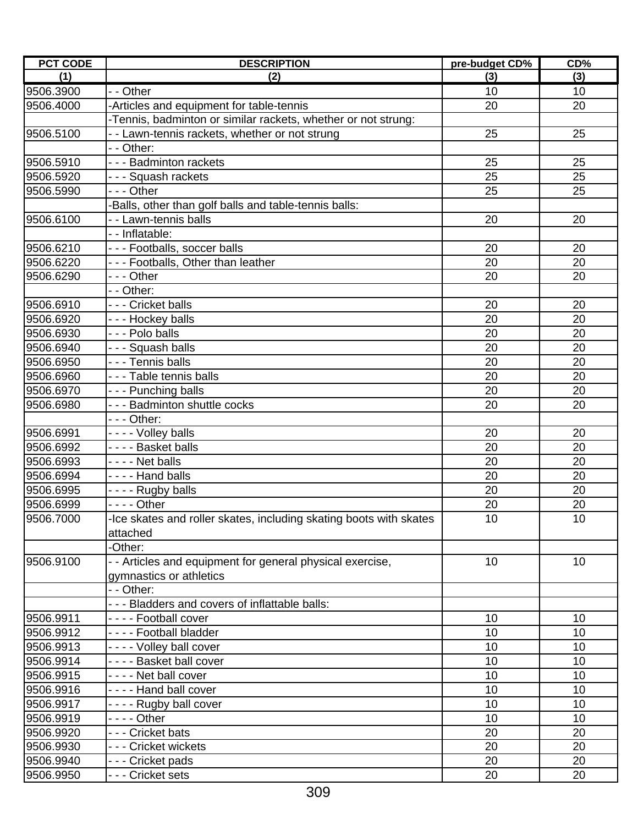| <b>PCT CODE</b> | <b>DESCRIPTION</b>                                                 | pre-budget CD% | CD% |
|-----------------|--------------------------------------------------------------------|----------------|-----|
| (1)             | (2)                                                                | (3)            | (3) |
| 9506.3900       | - - Other                                                          | 10             | 10  |
| 9506.4000       | -Articles and equipment for table-tennis                           | 20             | 20  |
|                 | -Tennis, badminton or similar rackets, whether or not strung:      |                |     |
| 9506.5100       | - - Lawn-tennis rackets, whether or not strung                     | 25             | 25  |
|                 | - - Other:                                                         |                |     |
| 9506.5910       | - - - Badminton rackets                                            | 25             | 25  |
| 9506.5920       | --- Squash rackets                                                 | 25             | 25  |
| 9506.5990       | - - - Other                                                        | 25             | 25  |
|                 | Balls, other than golf balls and table-tennis balls:               |                |     |
| 9506.6100       | - - Lawn-tennis balls                                              | 20             | 20  |
|                 | -- Inflatable:                                                     |                |     |
| 9506.6210       | - - - Footballs, soccer balls                                      | 20             | 20  |
| 9506.6220       | --- Footballs, Other than leather                                  | 20             | 20  |
| 9506.6290       | - - - Other                                                        | 20             | 20  |
|                 | - - Other:                                                         |                |     |
| 9506.6910       | - - - Cricket balls                                                | 20             | 20  |
| 9506.6920       | - - - Hockey balls                                                 | 20             | 20  |
| 9506.6930       | - - - Polo balls                                                   | 20             | 20  |
| 9506.6940       | --- Squash balls                                                   | 20             | 20  |
| 9506.6950       | - - - Tennis balls                                                 | 20             | 20  |
| 9506.6960       | - - - Table tennis balls                                           | 20             | 20  |
| 9506.6970       | --- Punching balls                                                 | 20             | 20  |
| 9506.6980       | - - - Badminton shuttle cocks                                      | 20             | 20  |
|                 | - - - Other:                                                       |                |     |
| 9506.6991       | - - - - Volley balls                                               | 20             | 20  |
| 9506.6992       | - - - - Basket balls                                               | 20             | 20  |
| 9506.6993       | - - - - Net balls                                                  | 20             | 20  |
| 9506.6994       | - - - - Hand balls                                                 | 20             | 20  |
| 9506.6995       | - - - - Rugby balls                                                | 20             | 20  |
| 9506.6999       | $--$ Other                                                         | 20             | 20  |
| 9506.7000       | -Ice skates and roller skates, including skating boots with skates | 10             | 10  |
|                 | attached                                                           |                |     |
|                 | -Other:                                                            |                |     |
| 9506.9100       | - - Articles and equipment for general physical exercise,          | 10             | 10  |
|                 | gymnastics or athletics                                            |                |     |
|                 | - - Other:                                                         |                |     |
|                 | - - - Bladders and covers of inflattable balls:                    |                |     |
| 9506.9911       | - - - - Football cover                                             | 10             | 10  |
| 9506.9912       | ---- Football bladder                                              | 10             | 10  |
| 9506.9913       | ---- Volley ball cover                                             | 10             | 10  |
| 9506.9914       | - - - - Basket ball cover                                          | 10             | 10  |
| 9506.9915       | ---- Net ball cover                                                | 10             | 10  |
| 9506.9916       | ---- Hand ball cover                                               | 10             | 10  |
| 9506.9917       | ---- Rugby ball cover                                              | 10             | 10  |
| 9506.9919       |                                                                    | 10             | 10  |
| 9506.9920       | - - - Cricket bats                                                 | 20             | 20  |
| 9506.9930       | - - - Cricket wickets                                              | 20             | 20  |
| 9506.9940       | - - - Cricket pads                                                 | 20             | 20  |
| 9506.9950       | - - Cricket sets                                                   | 20             | 20  |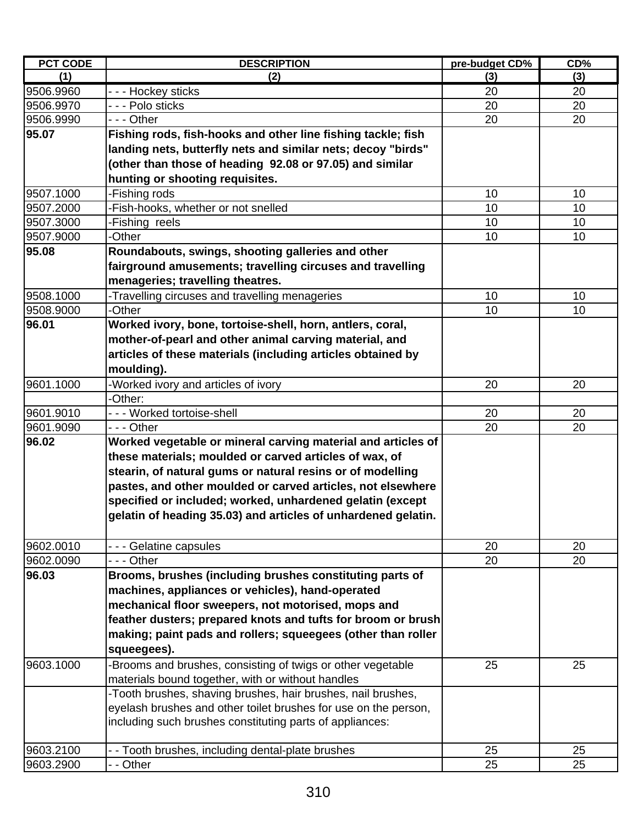| <b>PCT CODE</b><br><b>DESCRIPTION</b>                                    | pre-budget CD% | CD% |
|--------------------------------------------------------------------------|----------------|-----|
| (2)<br>(1)                                                               | (3)            | (3) |
| 9506.9960<br>- - - Hockey sticks                                         | 20             | 20  |
| - - - Polo sticks<br>9506.9970                                           | 20             | 20  |
| 9506.9990<br>- - - Other                                                 | 20             | 20  |
| 95.07<br>Fishing rods, fish-hooks and other line fishing tackle; fish    |                |     |
| landing nets, butterfly nets and similar nets; decoy "birds"             |                |     |
| (other than those of heading 92.08 or 97.05) and similar                 |                |     |
| hunting or shooting requisites.                                          |                |     |
| 9507.1000<br>-Fishing rods                                               | 10             | 10  |
| -Fish-hooks, whether or not snelled<br>9507.2000                         | 10             | 10  |
| 9507.3000<br>-Fishing reels                                              | 10             | 10  |
| -Other<br>9507.9000                                                      | 10             | 10  |
| Roundabouts, swings, shooting galleries and other<br>95.08               |                |     |
| fairground amusements; travelling circuses and travelling                |                |     |
| menageries; travelling theatres.                                         |                |     |
| -Travelling circuses and travelling menageries<br>9508.1000              | 10             | 10  |
| 9508.9000<br>-Other                                                      | 10             | 10  |
| 96.01                                                                    |                |     |
| Worked ivory, bone, tortoise-shell, horn, antlers, coral,                |                |     |
| mother-of-pearl and other animal carving material, and                   |                |     |
| articles of these materials (including articles obtained by              |                |     |
| moulding).                                                               |                |     |
| 9601.1000<br>-Worked ivory and articles of ivory                         | 20             | 20  |
| -Other:                                                                  |                |     |
| 9601.9010<br>- - - Worked tortoise-shell                                 | 20             | 20  |
| 9601.9090<br>- - - Other                                                 | 20             | 20  |
| 96.02<br>Worked vegetable or mineral carving material and articles of    |                |     |
| these materials; moulded or carved articles of wax, of                   |                |     |
| stearin, of natural gums or natural resins or of modelling               |                |     |
| pastes, and other moulded or carved articles, not elsewhere              |                |     |
| specified or included; worked, unhardened gelatin (except                |                |     |
| gelatin of heading 35.03) and articles of unhardened gelatin.            |                |     |
|                                                                          |                |     |
| 9602.0010<br>- - - Gelatine capsules                                     | 20             | 20  |
| 9602.0090<br>- - - Other                                                 | 20             | 20  |
| 96.03<br>Brooms, brushes (including brushes constituting parts of        |                |     |
| machines, appliances or vehicles), hand-operated                         |                |     |
| mechanical floor sweepers, not motorised, mops and                       |                |     |
| feather dusters; prepared knots and tufts for broom or brush             |                |     |
| making; paint pads and rollers; squeegees (other than roller             |                |     |
| squeegees).                                                              |                |     |
| -Brooms and brushes, consisting of twigs or other vegetable<br>9603.1000 | 25             | 25  |
| materials bound together, with or without handles                        |                |     |
| -Tooth brushes, shaving brushes, hair brushes, nail brushes,             |                |     |
| eyelash brushes and other toilet brushes for use on the person,          |                |     |
| including such brushes constituting parts of appliances:                 |                |     |
|                                                                          |                |     |
| 9603.2100<br>- - Tooth brushes, including dental-plate brushes           | 25             | 25  |
| 9603.2900<br>- - Other                                                   | 25             | 25  |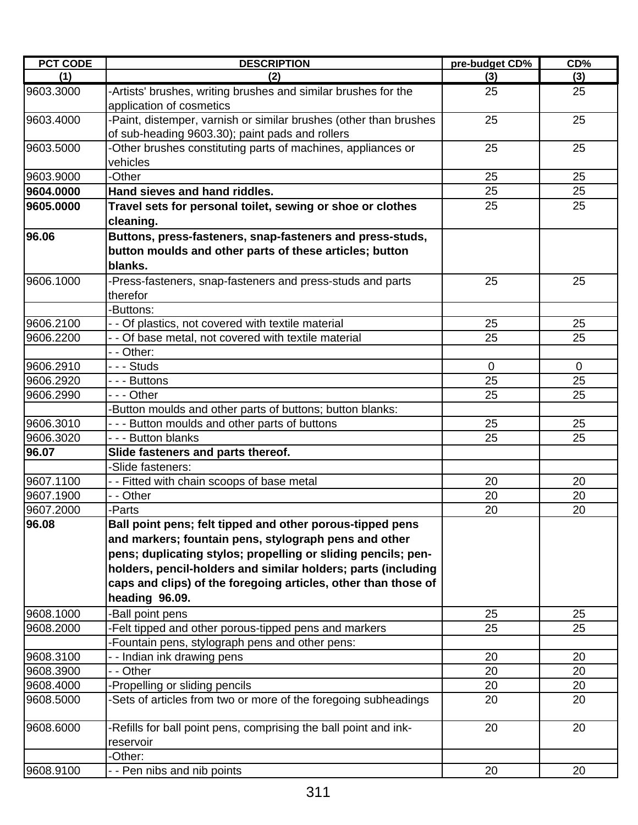| <b>PCT CODE</b> | <b>DESCRIPTION</b>                                                                                                              | pre-budget CD% | CD%      |
|-----------------|---------------------------------------------------------------------------------------------------------------------------------|----------------|----------|
| (1)             | (2)                                                                                                                             | (3)            | (3)      |
| 9603.3000       | -Artists' brushes, writing brushes and similar brushes for the<br>application of cosmetics                                      | 25             | 25       |
| 9603.4000       | -Paint, distemper, varnish or similar brushes (other than brushes<br>of sub-heading 9603.30); paint pads and rollers            | 25             | 25       |
| 9603.5000       | -Other brushes constituting parts of machines, appliances or<br>vehicles                                                        | 25             | 25       |
| 9603.9000       | -Other                                                                                                                          | 25             | 25       |
| 9604.0000       | Hand sieves and hand riddles.                                                                                                   | 25             | 25       |
| 9605.0000       | Travel sets for personal toilet, sewing or shoe or clothes<br>cleaning.                                                         | 25             | 25       |
| 96.06           | Buttons, press-fasteners, snap-fasteners and press-studs,<br>button moulds and other parts of these articles; button<br>blanks. |                |          |
| 9606.1000       | -Press-fasteners, snap-fasteners and press-studs and parts<br>therefor                                                          | 25             | 25       |
|                 | -Buttons:                                                                                                                       |                |          |
| 9606.2100       | - - Of plastics, not covered with textile material                                                                              | 25             | 25       |
| 9606.2200       | - - Of base metal, not covered with textile material                                                                            | 25             | 25       |
|                 | - - Other:                                                                                                                      |                |          |
| 9606.2910       | - - - Studs                                                                                                                     | $\overline{0}$ | $\Omega$ |
| 9606.2920       | - - - Buttons                                                                                                                   | 25             | 25       |
| 9606.2990       | --- Other                                                                                                                       | 25             | 25       |
|                 | -Button moulds and other parts of buttons; button blanks:                                                                       |                |          |
| 9606.3010       | - - - Button moulds and other parts of buttons                                                                                  | 25             | 25       |
| 9606.3020       | - - - Button blanks                                                                                                             | 25             | 25       |
| 96.07           | Slide fasteners and parts thereof.                                                                                              |                |          |
|                 | -Slide fasteners:                                                                                                               |                |          |
| 9607.1100       | - - Fitted with chain scoops of base metal                                                                                      | 20             | 20       |
| 9607.1900       | - - Other                                                                                                                       | 20             | 20       |
| 9607.2000       | -Parts                                                                                                                          | 20             | 20       |
| 96.08           | Ball point pens; felt tipped and other porous-tipped pens<br>and markers; fountain pens, stylograph pens and other              |                |          |
|                 | pens; duplicating stylos; propelling or sliding pencils; pen-                                                                   |                |          |
|                 | holders, pencil-holders and similar holders; parts (including                                                                   |                |          |
|                 | caps and clips) of the foregoing articles, other than those of<br>heading 96.09.                                                |                |          |
| 9608.1000       | -Ball point pens                                                                                                                | 25             | 25       |
| 9608.2000       | -Felt tipped and other porous-tipped pens and markers                                                                           | 25             | 25       |
|                 | -Fountain pens, stylograph pens and other pens:                                                                                 |                |          |
| 9608.3100       | - - Indian ink drawing pens                                                                                                     | 20             | 20       |
| 9608.3900       | - - Other                                                                                                                       | 20             | 20       |
| 9608.4000       | -Propelling or sliding pencils                                                                                                  | 20             | 20       |
| 9608.5000       | -Sets of articles from two or more of the foregoing subheadings                                                                 | 20             | 20       |
| 9608.6000       | -Refills for ball point pens, comprising the ball point and ink-<br>reservoir                                                   | 20             | 20       |
|                 | -Other:                                                                                                                         |                |          |
| 9608.9100       | - - Pen nibs and nib points                                                                                                     | 20             | 20       |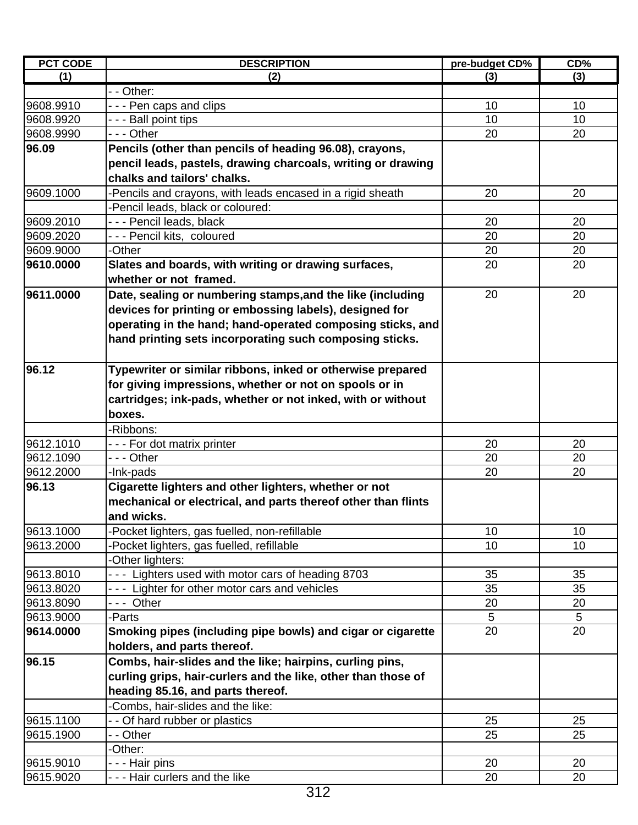| <b>PCT CODE</b> | <b>DESCRIPTION</b>                                            | pre-budget CD% | CD% |
|-----------------|---------------------------------------------------------------|----------------|-----|
| (1)             | (2)                                                           | (3)            | (3) |
|                 | - - Other:                                                    |                |     |
| 9608.9910       | --- Pen caps and clips                                        | 10             | 10  |
| 9608.9920       | - - - Ball point tips                                         | 10             | 10  |
| 9608.9990       | - - - Other                                                   | 20             | 20  |
| 96.09           | Pencils (other than pencils of heading 96.08), crayons,       |                |     |
|                 | pencil leads, pastels, drawing charcoals, writing or drawing  |                |     |
|                 | chalks and tailors' chalks.                                   |                |     |
| 9609.1000       | -Pencils and crayons, with leads encased in a rigid sheath    | 20             | 20  |
|                 | -Pencil leads, black or coloured:                             |                |     |
| 9609.2010       | - - - Pencil leads, black                                     | 20             | 20  |
| 9609.2020       | --- Pencil kits, coloured                                     | 20             | 20  |
| 9609.9000       | -Other                                                        | 20             | 20  |
| 9610.0000       | Slates and boards, with writing or drawing surfaces,          | 20             | 20  |
|                 | whether or not framed.                                        |                |     |
| 9611.0000       | Date, sealing or numbering stamps, and the like (including    | 20             | 20  |
|                 | devices for printing or embossing labels), designed for       |                |     |
|                 | operating in the hand; hand-operated composing sticks, and    |                |     |
|                 | hand printing sets incorporating such composing sticks.       |                |     |
|                 |                                                               |                |     |
| 96.12           | Typewriter or similar ribbons, inked or otherwise prepared    |                |     |
|                 | for giving impressions, whether or not on spools or in        |                |     |
|                 | cartridges; ink-pads, whether or not inked, with or without   |                |     |
|                 | boxes.                                                        |                |     |
|                 | -Ribbons:                                                     |                |     |
| 9612.1010       | --- For dot matrix printer                                    | 20             | 20  |
| 9612.1090       | - - - Other                                                   | 20             | 20  |
| 9612.2000       | -Ink-pads                                                     | 20             | 20  |
| 96.13           | Cigarette lighters and other lighters, whether or not         |                |     |
|                 | mechanical or electrical, and parts thereof other than flints |                |     |
|                 | and wicks.                                                    |                |     |
| 9613.1000       | -Pocket lighters, gas fuelled, non-refillable                 | 10             | 10  |
| 9613.2000       | -Pocket lighters, gas fuelled, refillable                     | 10             | 10  |
|                 | -Other lighters:                                              |                |     |
| 9613.8010       | --- Lighters used with motor cars of heading 8703             | 35             | 35  |
| 9613.8020       | --- Lighter for other motor cars and vehicles                 | 35             | 35  |
| 9613.8090       | --- Other                                                     | 20             | 20  |
| 9613.9000       | -Parts                                                        | 5              | 5   |
| 9614.0000       | Smoking pipes (including pipe bowls) and cigar or cigarette   | 20             | 20  |
|                 | holders, and parts thereof.                                   |                |     |
| 96.15           | Combs, hair-slides and the like; hairpins, curling pins,      |                |     |
|                 | curling grips, hair-curlers and the like, other than those of |                |     |
|                 | heading 85.16, and parts thereof.                             |                |     |
|                 | Combs, hair-slides and the like:                              |                |     |
| 9615.1100       | - - Of hard rubber or plastics                                | 25             | 25  |
| 9615.1900       | - - Other                                                     | 25             | 25  |
|                 | -Other:                                                       |                |     |
| 9615.9010       | - - - Hair pins                                               | 20             | 20  |
| 9615.9020       | --- Hair curlers and the like                                 | 20             | 20  |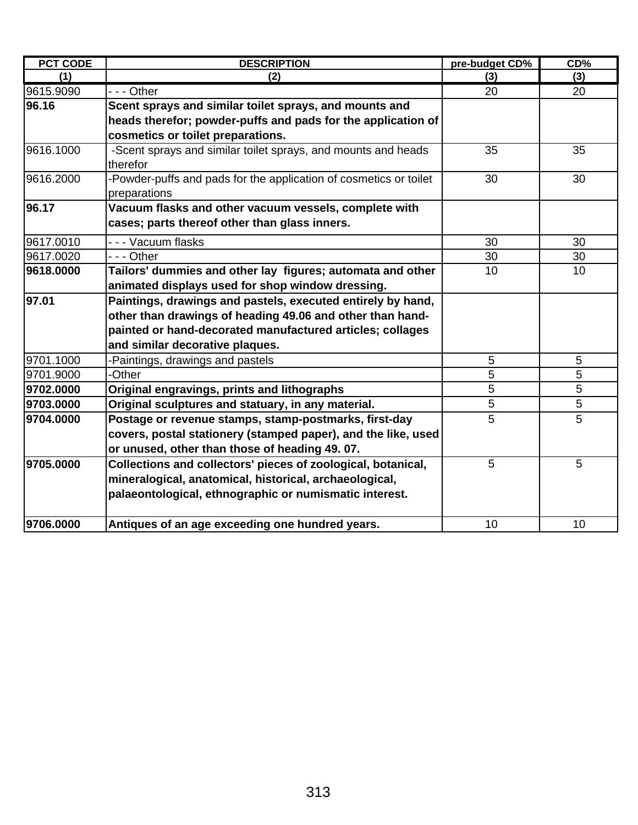| <b>PCT CODE</b> | <b>DESCRIPTION</b>                                                | pre-budget CD%  | CD% |
|-----------------|-------------------------------------------------------------------|-----------------|-----|
| (1)             | (2)                                                               | (3)             | (3) |
| 9615.9090       | - - - Other                                                       | 20              | 20  |
| 96.16           | Scent sprays and similar toilet sprays, and mounts and            |                 |     |
|                 | heads therefor; powder-puffs and pads for the application of      |                 |     |
|                 | cosmetics or toilet preparations.                                 |                 |     |
| 9616.1000       | -Scent sprays and similar toilet sprays, and mounts and heads     | 35              | 35  |
|                 | therefor                                                          |                 |     |
| 9616.2000       | -Powder-puffs and pads for the application of cosmetics or toilet | 30              | 30  |
|                 | preparations                                                      |                 |     |
| 96.17           | Vacuum flasks and other vacuum vessels, complete with             |                 |     |
|                 | cases; parts thereof other than glass inners.                     |                 |     |
| 9617.0010       | - - - Vacuum flasks                                               | 30              | 30  |
| 9617.0020       | --- Other                                                         | 30              | 30  |
| 9618.0000       | Tailors' dummies and other lay figures; automata and other        | 10              | 10  |
|                 | animated displays used for shop window dressing.                  |                 |     |
| 97.01           | Paintings, drawings and pastels, executed entirely by hand,       |                 |     |
|                 | other than drawings of heading 49.06 and other than hand-         |                 |     |
|                 | painted or hand-decorated manufactured articles; collages         |                 |     |
|                 | and similar decorative plaques.                                   |                 |     |
| 9701.1000       | Paintings, drawings and pastels                                   | $\sqrt{5}$      | 5   |
| 9701.9000       | -Other                                                            | 5               | 5   |
| 9702.0000       | Original engravings, prints and lithographs                       | 5               | 5   |
| 9703.0000       | Original sculptures and statuary, in any material.                | 5               | 5   |
| 9704.0000       | Postage or revenue stamps, stamp-postmarks, first-day             | 5               | 5   |
|                 | covers, postal stationery (stamped paper), and the like, used     |                 |     |
|                 | or unused, other than those of heading 49.07.                     |                 |     |
| 9705.0000       | Collections and collectors' pieces of zoological, botanical,      | 5               | 5   |
|                 | mineralogical, anatomical, historical, archaeological,            |                 |     |
|                 | palaeontological, ethnographic or numismatic interest.            |                 |     |
| 9706.0000       | Antiques of an age exceeding one hundred years.                   | 10 <sup>1</sup> | 10  |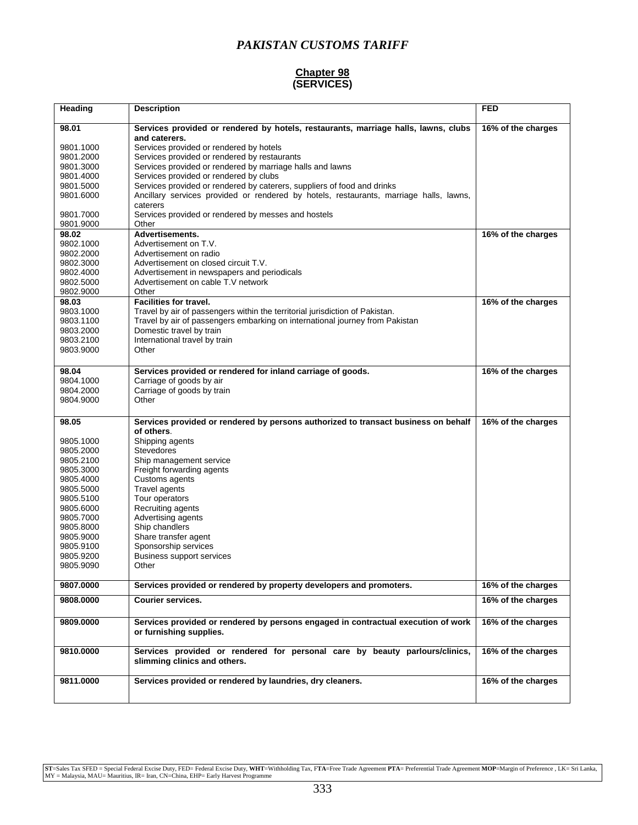### **Chapter 98 (SERVICES)**

| Heading                | <b>Description</b>                                                                                  | <b>FED</b>         |
|------------------------|-----------------------------------------------------------------------------------------------------|--------------------|
| 98.01                  | Services provided or rendered by hotels, restaurants, marriage halls, lawns, clubs<br>and caterers. | 16% of the charges |
| 9801.1000              | Services provided or rendered by hotels                                                             |                    |
| 9801.2000              | Services provided or rendered by restaurants                                                        |                    |
| 9801.3000              | Services provided or rendered by marriage halls and lawns                                           |                    |
| 9801.4000              | Services provided or rendered by clubs                                                              |                    |
| 9801.5000              | Services provided or rendered by caterers, suppliers of food and drinks                             |                    |
| 9801.6000              | Ancillary services provided or rendered by hotels, restaurants, marriage halls, lawns,              |                    |
|                        | caterers                                                                                            |                    |
| 9801.7000              | Services provided or rendered by messes and hostels                                                 |                    |
| 9801.9000              | Other                                                                                               |                    |
| 98.02                  | <b>Advertisements.</b>                                                                              | 16% of the charges |
| 9802.1000              | Advertisement on T.V.                                                                               |                    |
| 9802.2000<br>9802.3000 | Advertisement on radio<br>Advertisement on closed circuit T.V.                                      |                    |
| 9802.4000              | Advertisement in newspapers and periodicals                                                         |                    |
| 9802.5000              | Advertisement on cable T.V network                                                                  |                    |
| 9802.9000              | Other                                                                                               |                    |
| 98.03                  | <b>Facilities for travel.</b>                                                                       | 16% of the charges |
| 9803.1000              | Travel by air of passengers within the territorial jurisdiction of Pakistan.                        |                    |
| 9803.1100              | Travel by air of passengers embarking on international journey from Pakistan                        |                    |
| 9803.2000              | Domestic travel by train                                                                            |                    |
| 9803.2100              | International travel by train                                                                       |                    |
| 9803.9000              | Other                                                                                               |                    |
|                        |                                                                                                     |                    |
| 98.04                  | Services provided or rendered for inland carriage of goods.                                         | 16% of the charges |
| 9804.1000              | Carriage of goods by air                                                                            |                    |
| 9804.2000              | Carriage of goods by train                                                                          |                    |
| 9804.9000              | Other                                                                                               |                    |
| 98.05                  | Services provided or rendered by persons authorized to transact business on behalf                  | 16% of the charges |
|                        | of others.                                                                                          |                    |
| 9805.1000              | Shipping agents                                                                                     |                    |
| 9805.2000              | <b>Stevedores</b>                                                                                   |                    |
| 9805.2100              | Ship management service                                                                             |                    |
| 9805.3000              | Freight forwarding agents                                                                           |                    |
| 9805.4000              | Customs agents                                                                                      |                    |
| 9805.5000              | Travel agents                                                                                       |                    |
| 9805.5100              | Tour operators<br>Recruiting agents                                                                 |                    |
| 9805.6000<br>9805.7000 | Advertising agents                                                                                  |                    |
| 9805.8000              | Ship chandlers                                                                                      |                    |
| 9805.9000              | Share transfer agent                                                                                |                    |
| 9805.9100              | Sponsorship services                                                                                |                    |
| 9805.9200              | <b>Business support services</b>                                                                    |                    |
| 9805.9090              | Other                                                                                               |                    |
| 9807.0000              | Services provided or rendered by property developers and promoters.                                 | 16% of the charges |
| 9808.0000              | <b>Courier services.</b>                                                                            | 16% of the charges |
|                        |                                                                                                     |                    |
| 9809.0000              | Services provided or rendered by persons engaged in contractual execution of work                   | 16% of the charges |
|                        | or furnishing supplies.                                                                             |                    |
| 9810.0000              | Services provided or rendered for personal care by beauty parlours/clinics,                         | 16% of the charges |
|                        | slimming clinics and others.                                                                        |                    |
|                        |                                                                                                     |                    |
| 9811.0000              | Services provided or rendered by laundries, dry cleaners.                                           | 16% of the charges |
|                        |                                                                                                     |                    |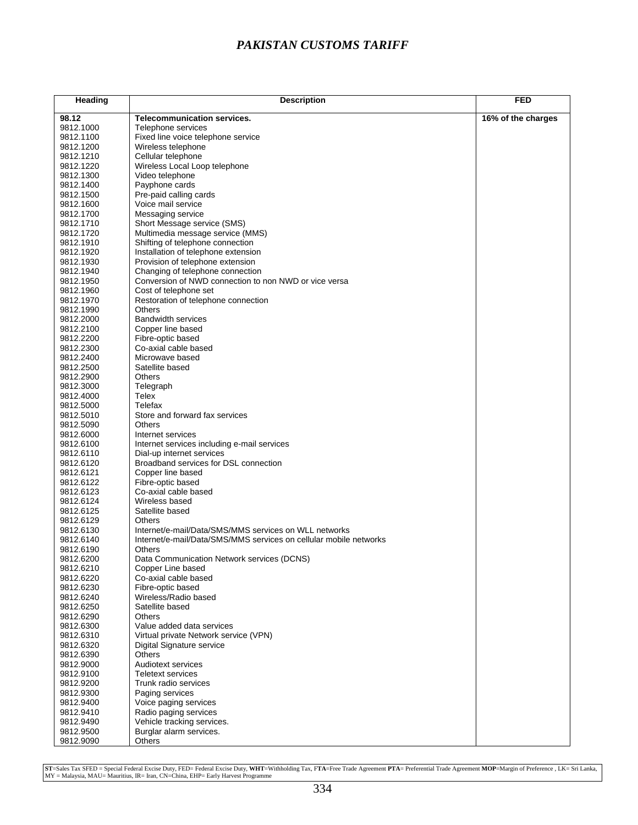| Heading                | <b>Description</b>                                                 | <b>FED</b>         |
|------------------------|--------------------------------------------------------------------|--------------------|
| 98.12                  | <b>Telecommunication services.</b>                                 | 16% of the charges |
| 9812.1000              | Telephone services                                                 |                    |
| 9812.1100              | Fixed line voice telephone service                                 |                    |
| 9812.1200              | Wireless telephone                                                 |                    |
| 9812.1210              | Cellular telephone                                                 |                    |
| 9812.1220              | Wireless Local Loop telephone                                      |                    |
| 9812.1300              | Video telephone                                                    |                    |
| 9812.1400              | Payphone cards                                                     |                    |
| 9812.1500<br>9812.1600 | Pre-paid calling cards<br>Voice mail service                       |                    |
| 9812.1700              | Messaging service                                                  |                    |
| 9812.1710              | Short Message service (SMS)                                        |                    |
| 9812.1720              | Multimedia message service (MMS)                                   |                    |
| 9812.1910              | Shifting of telephone connection                                   |                    |
| 9812.1920              | Installation of telephone extension                                |                    |
| 9812.1930              | Provision of telephone extension                                   |                    |
| 9812.1940              | Changing of telephone connection                                   |                    |
| 9812.1950              | Conversion of NWD connection to non NWD or vice versa              |                    |
| 9812.1960              | Cost of telephone set                                              |                    |
| 9812.1970              | Restoration of telephone connection<br><b>Others</b>               |                    |
| 9812.1990<br>9812.2000 | <b>Bandwidth services</b>                                          |                    |
| 9812.2100              | Copper line based                                                  |                    |
| 9812.2200              | Fibre-optic based                                                  |                    |
| 9812.2300              | Co-axial cable based                                               |                    |
| 9812.2400              | Microwave based                                                    |                    |
| 9812.2500              | Satellite based                                                    |                    |
| 9812.2900              | <b>Others</b>                                                      |                    |
| 9812.3000              | Telegraph                                                          |                    |
| 9812.4000              | Telex                                                              |                    |
| 9812.5000              | Telefax                                                            |                    |
| 9812.5010<br>9812.5090 | Store and forward fax services<br><b>Others</b>                    |                    |
| 9812.6000              | Internet services                                                  |                    |
| 9812.6100              | Internet services including e-mail services                        |                    |
| 9812.6110              | Dial-up internet services                                          |                    |
| 9812.6120              | Broadband services for DSL connection                              |                    |
| 9812.6121              | Copper line based                                                  |                    |
| 9812.6122              | Fibre-optic based                                                  |                    |
| 9812.6123              | Co-axial cable based                                               |                    |
| 9812.6124              | Wireless based                                                     |                    |
| 9812.6125              | Satellite based<br><b>Others</b>                                   |                    |
| 9812.6129<br>9812.6130 | Internet/e-mail/Data/SMS/MMS services on WLL networks              |                    |
| 9812.6140              | Internet/e-mail/Data/SMS/MMS services on cellular mobile networks  |                    |
| 9812.6190              | Others                                                             |                    |
| 9812.6200              | Data Communication Network services (DCNS)                         |                    |
| 9812.6210              | Copper Line based                                                  |                    |
| 9812.6220              | Co-axial cable based                                               |                    |
| 9812.6230              | Fibre-optic based                                                  |                    |
| 9812.6240              | Wireless/Radio based                                               |                    |
| 9812.6250              | Satellite based                                                    |                    |
| 9812.6290              | Others                                                             |                    |
| 9812.6300<br>9812.6310 | Value added data services<br>Virtual private Network service (VPN) |                    |
| 9812.6320              | Digital Signature service                                          |                    |
| 9812.6390              | Others                                                             |                    |
| 9812.9000              | Audiotext services                                                 |                    |
| 9812.9100              | Teletext services                                                  |                    |
| 9812.9200              | Trunk radio services                                               |                    |
| 9812.9300              | Paging services                                                    |                    |
| 9812.9400              | Voice paging services                                              |                    |
| 9812.9410              | Radio paging services                                              |                    |
| 9812.9490              | Vehicle tracking services.                                         |                    |
| 9812.9500<br>9812.9090 | Burglar alarm services.<br>Others                                  |                    |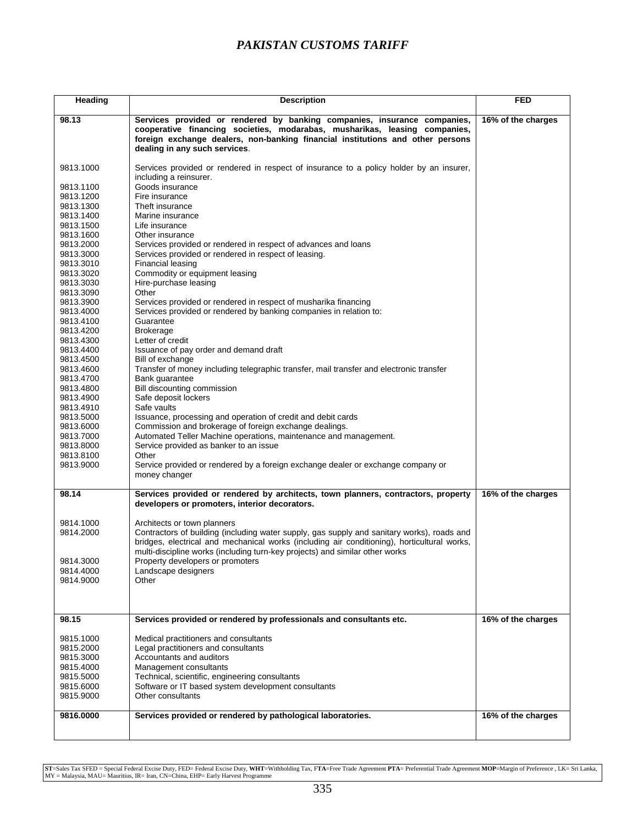| Heading                | <b>Description</b>                                                                                                                                                                                                                                                        | <b>FED</b>         |
|------------------------|---------------------------------------------------------------------------------------------------------------------------------------------------------------------------------------------------------------------------------------------------------------------------|--------------------|
| 98.13                  | Services provided or rendered by banking companies, insurance companies,<br>cooperative financing societies, modarabas, musharikas, leasing companies,<br>foreign exchange dealers, non-banking financial institutions and other persons<br>dealing in any such services. | 16% of the charges |
| 9813.1000              | Services provided or rendered in respect of insurance to a policy holder by an insurer,<br>including a reinsurer.                                                                                                                                                         |                    |
| 9813.1100              | Goods insurance                                                                                                                                                                                                                                                           |                    |
| 9813.1200              | Fire insurance                                                                                                                                                                                                                                                            |                    |
| 9813.1300              | Theft insurance                                                                                                                                                                                                                                                           |                    |
| 9813.1400              | Marine insurance                                                                                                                                                                                                                                                          |                    |
| 9813.1500              | Life insurance                                                                                                                                                                                                                                                            |                    |
| 9813.1600              | Other insurance                                                                                                                                                                                                                                                           |                    |
| 9813.2000              | Services provided or rendered in respect of advances and loans                                                                                                                                                                                                            |                    |
| 9813.3000              | Services provided or rendered in respect of leasing.                                                                                                                                                                                                                      |                    |
| 9813.3010              | Financial leasing                                                                                                                                                                                                                                                         |                    |
| 9813.3020              | Commodity or equipment leasing                                                                                                                                                                                                                                            |                    |
| 9813.3030              | Hire-purchase leasing                                                                                                                                                                                                                                                     |                    |
| 9813.3090              | Other                                                                                                                                                                                                                                                                     |                    |
| 9813.3900<br>9813.4000 | Services provided or rendered in respect of musharika financing<br>Services provided or rendered by banking companies in relation to:                                                                                                                                     |                    |
| 9813.4100              | Guarantee                                                                                                                                                                                                                                                                 |                    |
| 9813.4200              | <b>Brokerage</b>                                                                                                                                                                                                                                                          |                    |
| 9813.4300              | Letter of credit                                                                                                                                                                                                                                                          |                    |
| 9813.4400              | Issuance of pay order and demand draft                                                                                                                                                                                                                                    |                    |
| 9813.4500              | Bill of exchange                                                                                                                                                                                                                                                          |                    |
| 9813.4600              | Transfer of money including telegraphic transfer, mail transfer and electronic transfer                                                                                                                                                                                   |                    |
| 9813.4700              | Bank quarantee                                                                                                                                                                                                                                                            |                    |
| 9813.4800              | Bill discounting commission                                                                                                                                                                                                                                               |                    |
| 9813.4900              | Safe deposit lockers                                                                                                                                                                                                                                                      |                    |
| 9813.4910              | Safe vaults                                                                                                                                                                                                                                                               |                    |
| 9813.5000              | Issuance, processing and operation of credit and debit cards                                                                                                                                                                                                              |                    |
| 9813.6000<br>9813.7000 | Commission and brokerage of foreign exchange dealings.<br>Automated Teller Machine operations, maintenance and management.                                                                                                                                                |                    |
| 9813.8000              | Service provided as banker to an issue                                                                                                                                                                                                                                    |                    |
| 9813.8100              | Other                                                                                                                                                                                                                                                                     |                    |
| 9813.9000              | Service provided or rendered by a foreign exchange dealer or exchange company or                                                                                                                                                                                          |                    |
|                        | money changer                                                                                                                                                                                                                                                             |                    |
| 98.14                  | Services provided or rendered by architects, town planners, contractors, property<br>developers or promoters, interior decorators.                                                                                                                                        | 16% of the charges |
|                        |                                                                                                                                                                                                                                                                           |                    |
| 9814.1000              | Architects or town planners                                                                                                                                                                                                                                               |                    |
| 9814.2000              | Contractors of building (including water supply, gas supply and sanitary works), roads and                                                                                                                                                                                |                    |
|                        | bridges, electrical and mechanical works (including air conditioning), horticultural works,                                                                                                                                                                               |                    |
| 9814.3000              | multi-discipline works (including turn-key projects) and similar other works                                                                                                                                                                                              |                    |
| 9814.4000              | Property developers or promoters<br>Landscape designers                                                                                                                                                                                                                   |                    |
| 9814.9000              | Other                                                                                                                                                                                                                                                                     |                    |
|                        |                                                                                                                                                                                                                                                                           |                    |
|                        |                                                                                                                                                                                                                                                                           |                    |
| 98.15                  | Services provided or rendered by professionals and consultants etc.                                                                                                                                                                                                       | 16% of the charges |
|                        |                                                                                                                                                                                                                                                                           |                    |
| 9815.1000              | Medical practitioners and consultants                                                                                                                                                                                                                                     |                    |
| 9815.2000              | Legal practitioners and consultants                                                                                                                                                                                                                                       |                    |
| 9815.3000              | Accountants and auditors<br>Management consultants                                                                                                                                                                                                                        |                    |
| 9815.4000<br>9815.5000 | Technical, scientific, engineering consultants                                                                                                                                                                                                                            |                    |
| 9815.6000              | Software or IT based system development consultants                                                                                                                                                                                                                       |                    |
| 9815.9000              | Other consultants                                                                                                                                                                                                                                                         |                    |
|                        |                                                                                                                                                                                                                                                                           |                    |
| 9816.0000              | Services provided or rendered by pathological laboratories.                                                                                                                                                                                                               | 16% of the charges |
|                        |                                                                                                                                                                                                                                                                           |                    |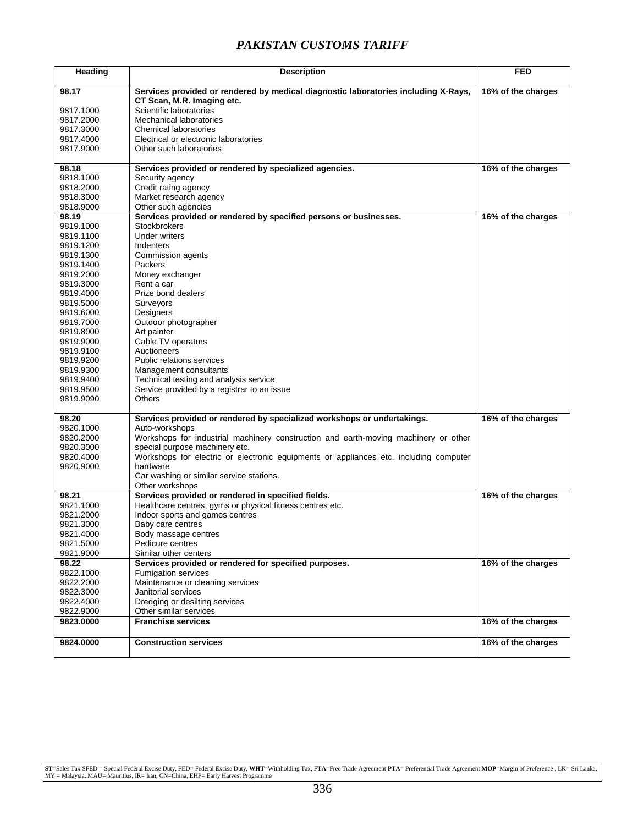| Heading                | <b>Description</b>                                                                                               | <b>FED</b>         |
|------------------------|------------------------------------------------------------------------------------------------------------------|--------------------|
| 98.17                  | Services provided or rendered by medical diagnostic laboratories including X-Rays,<br>CT Scan, M.R. Imaging etc. | 16% of the charges |
| 9817.1000              | Scientific laboratories                                                                                          |                    |
| 9817.2000              | Mechanical laboratories                                                                                          |                    |
| 9817.3000              | <b>Chemical laboratories</b>                                                                                     |                    |
| 9817.4000              | Electrical or electronic laboratories                                                                            |                    |
| 9817.9000              | Other such laboratories                                                                                          |                    |
|                        |                                                                                                                  |                    |
| 98.18                  | Services provided or rendered by specialized agencies.                                                           | 16% of the charges |
| 9818.1000              | Security agency                                                                                                  |                    |
| 9818.2000              | Credit rating agency                                                                                             |                    |
| 9818.3000              | Market research agency                                                                                           |                    |
| 9818.9000              | Other such agencies                                                                                              |                    |
| 98.19                  | Services provided or rendered by specified persons or businesses.                                                | 16% of the charges |
| 9819.1000              | <b>Stockbrokers</b>                                                                                              |                    |
| 9819.1100              | Under writers                                                                                                    |                    |
| 9819.1200              | Indenters                                                                                                        |                    |
| 9819.1300              | Commission agents                                                                                                |                    |
| 9819.1400              | Packers                                                                                                          |                    |
| 9819.2000              | Money exchanger                                                                                                  |                    |
| 9819.3000              | Rent a car                                                                                                       |                    |
| 9819.4000              | Prize bond dealers                                                                                               |                    |
| 9819.5000              | Surveyors                                                                                                        |                    |
| 9819.6000              | <b>Designers</b>                                                                                                 |                    |
| 9819.7000              | Outdoor photographer                                                                                             |                    |
| 9819.8000              | Art painter                                                                                                      |                    |
| 9819.9000              | Cable TV operators                                                                                               |                    |
| 9819.9100              | Auctioneers                                                                                                      |                    |
| 9819.9200              | Public relations services                                                                                        |                    |
| 9819.9300              | Management consultants                                                                                           |                    |
| 9819.9400<br>9819.9500 | Technical testing and analysis service<br>Service provided by a registrar to an issue                            |                    |
| 9819.9090              | Others                                                                                                           |                    |
|                        |                                                                                                                  |                    |
| 98.20                  | Services provided or rendered by specialized workshops or undertakings.                                          | 16% of the charges |
| 9820.1000              | Auto-workshops                                                                                                   |                    |
| 9820.2000              | Workshops for industrial machinery construction and earth-moving machinery or other                              |                    |
| 9820.3000              | special purpose machinery etc.                                                                                   |                    |
| 9820.4000              | Workshops for electric or electronic equipments or appliances etc. including computer                            |                    |
| 9820.9000              | hardware                                                                                                         |                    |
|                        | Car washing or similar service stations.                                                                         |                    |
|                        | Other workshops<br>Services provided or rendered in specified fields.                                            | 16% of the charges |
| 98.21<br>9821.1000     | Healthcare centres, gyms or physical fitness centres etc.                                                        |                    |
| 9821.2000              | Indoor sports and games centres                                                                                  |                    |
| 9821.3000              | Baby care centres                                                                                                |                    |
| 9821.4000              | Body massage centres                                                                                             |                    |
| 9821.5000              | Pedicure centres                                                                                                 |                    |
| 9821.9000              | Similar other centers                                                                                            |                    |
| 98.22                  | Services provided or rendered for specified purposes.                                                            | 16% of the charges |
| 9822.1000              | Fumigation services                                                                                              |                    |
| 9822.2000              | Maintenance or cleaning services                                                                                 |                    |
| 9822.3000              | Janitorial services                                                                                              |                    |
| 9822.4000              | Dredging or desilting services                                                                                   |                    |
| 9822.9000              | Other similar services                                                                                           |                    |
| 9823.0000              | <b>Franchise services</b>                                                                                        | 16% of the charges |
|                        |                                                                                                                  |                    |
| 9824.0000              | <b>Construction services</b>                                                                                     | 16% of the charges |
|                        |                                                                                                                  |                    |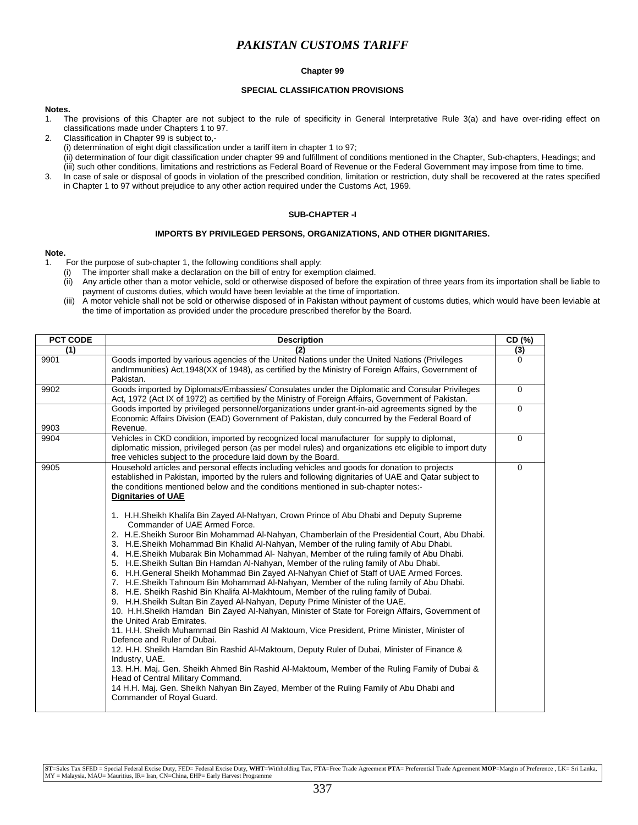### **Chapter 99**

### **SPECIAL CLASSIFICATION PROVISIONS**

### **Notes.**

- 1. The provisions of this Chapter are not subject to the rule of specificity in General Interpretative Rule 3(a) and have over-riding effect on classifications made under Chapters 1 to 97.
- 2. Classification in Chapter 99 is subject to,-
	- (i) determination of eight digit classification under a tariff item in chapter 1 to 97;
- (ii) determination of four digit classification under chapter 99 and fulfillment of conditions mentioned in the Chapter, Sub-chapters, Headings; and (iii) such other conditions, limitations and restrictions as Federal Board of Revenue or the Federal Government may impose from time to time. 3. In case of sale or disposal of goods in violation of the prescribed condition, limitation or restriction, duty shall be recovered at the rates specified
- in Chapter 1 to 97 without prejudice to any other action required under the Customs Act, 1969.

### **SUB-CHAPTER -I**

### **IMPORTS BY PRIVILEGED PERSONS, ORGANIZATIONS, AND OTHER DIGNITARIES.**

#### **Note.**

- 1. For the purpose of sub-chapter 1, the following conditions shall apply:
	- (i) The importer shall make a declaration on the bill of entry for exemption claimed.
	- (ii) Any article other than a motor vehicle, sold or otherwise disposed of before the expiration of three years from its importation shall be liable to payment of customs duties, which would have been leviable at the time of importation.
	- (iii) A motor vehicle shall not be sold or otherwise disposed of in Pakistan without payment of customs duties, which would have been leviable at the time of importation as provided under the procedure prescribed therefor by the Board.

| PCT CODE | <b>Description</b>                                                                                                                                                                                                                                                                                                                                                                                                                                                                                                                                                                                                                                                                                                                                                                                                                                                                                                                                                                                                                                                                                                                                                                                                                                                                                                                                                                                                                                                                                                                                                                                                                                                                                                                                                                                                                            | CD (%)      |
|----------|-----------------------------------------------------------------------------------------------------------------------------------------------------------------------------------------------------------------------------------------------------------------------------------------------------------------------------------------------------------------------------------------------------------------------------------------------------------------------------------------------------------------------------------------------------------------------------------------------------------------------------------------------------------------------------------------------------------------------------------------------------------------------------------------------------------------------------------------------------------------------------------------------------------------------------------------------------------------------------------------------------------------------------------------------------------------------------------------------------------------------------------------------------------------------------------------------------------------------------------------------------------------------------------------------------------------------------------------------------------------------------------------------------------------------------------------------------------------------------------------------------------------------------------------------------------------------------------------------------------------------------------------------------------------------------------------------------------------------------------------------------------------------------------------------------------------------------------------------|-------------|
| (1)      | (2)                                                                                                                                                                                                                                                                                                                                                                                                                                                                                                                                                                                                                                                                                                                                                                                                                                                                                                                                                                                                                                                                                                                                                                                                                                                                                                                                                                                                                                                                                                                                                                                                                                                                                                                                                                                                                                           | (3)         |
| 9901     | Goods imported by various agencies of the United Nations under the United Nations (Privileges<br>andImmunities) Act,1948(XX of 1948), as certified by the Ministry of Foreign Affairs, Government of<br>Pakistan.                                                                                                                                                                                                                                                                                                                                                                                                                                                                                                                                                                                                                                                                                                                                                                                                                                                                                                                                                                                                                                                                                                                                                                                                                                                                                                                                                                                                                                                                                                                                                                                                                             | 0           |
| 9902     | Goods imported by Diplomats/Embassies/ Consulates under the Diplomatic and Consular Privileges<br>Act, 1972 (Act IX of 1972) as certified by the Ministry of Foreign Affairs, Government of Pakistan.                                                                                                                                                                                                                                                                                                                                                                                                                                                                                                                                                                                                                                                                                                                                                                                                                                                                                                                                                                                                                                                                                                                                                                                                                                                                                                                                                                                                                                                                                                                                                                                                                                         | $\mathbf 0$ |
| 9903     | Goods imported by privileged personnel/organizations under grant-in-aid agreements signed by the<br>Economic Affairs Division (EAD) Government of Pakistan, duly concurred by the Federal Board of<br>Revenue.                                                                                                                                                                                                                                                                                                                                                                                                                                                                                                                                                                                                                                                                                                                                                                                                                                                                                                                                                                                                                                                                                                                                                                                                                                                                                                                                                                                                                                                                                                                                                                                                                                | 0           |
| 9904     | Vehicles in CKD condition, imported by recognized local manufacturer for supply to diplomat,<br>diplomatic mission, privileged person (as per model rules) and organizations etc eligible to import duty<br>free vehicles subject to the procedure laid down by the Board.                                                                                                                                                                                                                                                                                                                                                                                                                                                                                                                                                                                                                                                                                                                                                                                                                                                                                                                                                                                                                                                                                                                                                                                                                                                                                                                                                                                                                                                                                                                                                                    | $\Omega$    |
| 9905     | Household articles and personal effects including vehicles and goods for donation to projects<br>established in Pakistan, imported by the rulers and following dignitaries of UAE and Qatar subject to<br>the conditions mentioned below and the conditions mentioned in sub-chapter notes:-<br><b>Dignitaries of UAE</b><br>1. H.H.Sheikh Khalifa Bin Zayed Al-Nahyan, Crown Prince of Abu Dhabi and Deputy Supreme<br>Commander of UAE Armed Force.<br>2. H.E.Sheikh Suroor Bin Mohammad Al-Nahyan, Chamberlain of the Presidential Court, Abu Dhabi.<br>3. H.E.Sheikh Mohammad Bin Khalid Al-Nahyan, Member of the ruling family of Abu Dhabi.<br>4. H.E.Sheikh Mubarak Bin Mohammad Al- Nahyan, Member of the ruling family of Abu Dhabi.<br>5. H.E.Sheikh Sultan Bin Hamdan Al-Nahyan, Member of the ruling family of Abu Dhabi.<br>6. H.H.General Sheikh Mohammad Bin Zayed Al-Nahyan Chief of Staff of UAE Armed Forces.<br>7. H.E.Sheikh Tahnoum Bin Mohammad Al-Nahyan, Member of the ruling family of Abu Dhabi.<br>8. H.E. Sheikh Rashid Bin Khalifa Al-Makhtoum, Member of the ruling family of Dubai.<br>9. H.H.Sheikh Sultan Bin Zayed Al-Nahyan, Deputy Prime Minister of the UAE.<br>10. H.H.Sheikh Hamdan Bin Zayed Al-Nahyan, Minister of State for Foreign Affairs, Government of<br>the United Arab Emirates.<br>11. H.H. Sheikh Muhammad Bin Rashid Al Maktoum, Vice President, Prime Minister, Minister of<br>Defence and Ruler of Dubai.<br>12. H.H. Sheikh Hamdan Bin Rashid Al-Maktoum, Deputy Ruler of Dubai, Minister of Finance &<br>Industry, UAE.<br>13. H.H. Maj. Gen. Sheikh Ahmed Bin Rashid Al-Maktoum, Member of the Ruling Family of Dubai &<br>Head of Central Military Command.<br>14 H.H. Maj. Gen. Sheikh Nahyan Bin Zayed, Member of the Ruling Family of Abu Dhabi and<br>Commander of Royal Guard. | 0           |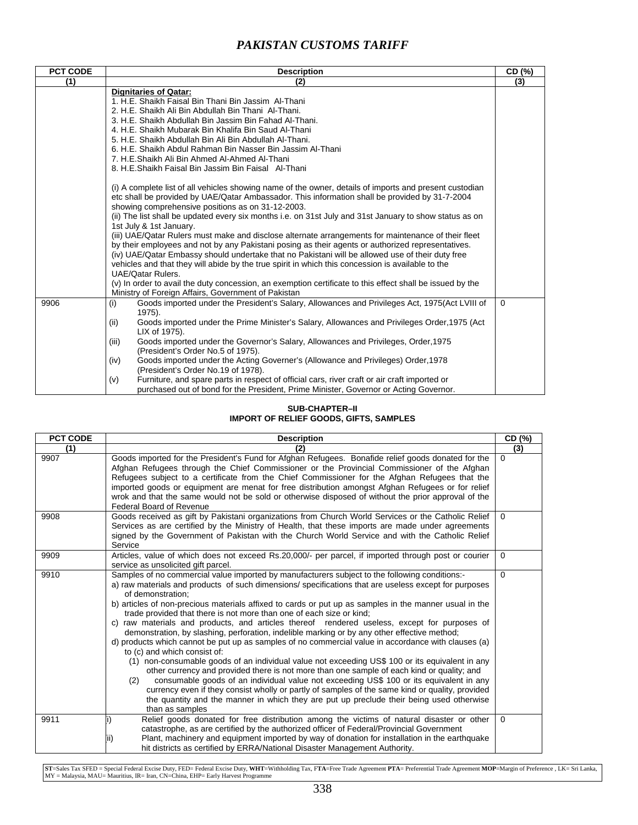| (2)<br><b>Dignitaries of Qatar:</b><br>1. H.E. Shaikh Faisal Bin Thani Bin Jassim Al-Thani<br>2. H.E. Shaikh Ali Bin Abdullah Bin Thani Al-Thani.<br>3. H.E. Shaikh Abdullah Bin Jassim Bin Fahad Al-Thani.<br>4. H.E. Shaikh Mubarak Bin Khalifa Bin Saud Al-Thani                                                                                                                                                                                                                                                                                                                                                                                                               | (3)                                                                                                                                                                                                                                                                                                         |
|-----------------------------------------------------------------------------------------------------------------------------------------------------------------------------------------------------------------------------------------------------------------------------------------------------------------------------------------------------------------------------------------------------------------------------------------------------------------------------------------------------------------------------------------------------------------------------------------------------------------------------------------------------------------------------------|-------------------------------------------------------------------------------------------------------------------------------------------------------------------------------------------------------------------------------------------------------------------------------------------------------------|
|                                                                                                                                                                                                                                                                                                                                                                                                                                                                                                                                                                                                                                                                                   |                                                                                                                                                                                                                                                                                                             |
| 6. H.E. Shaikh Abdul Rahman Bin Nasser Bin Jassim Al-Thani<br>7. H.E.Shaikh Ali Bin Ahmed Al-Ahmed Al-Thani<br>8. H.E.Shaikh Faisal Bin Jassim Bin Faisal Al-Thani<br>(i) A complete list of all vehicles showing name of the owner, details of imports and present custodian<br>etc shall be provided by UAE/Qatar Ambassador. This information shall be provided by 31-7-2004<br>showing comprehensive positions as on 31-12-2003.<br>(ii) The list shall be updated every six months i.e. on 31st July and 31st January to show status as on<br>1st July & 1st January.<br>(iii) UAE/Qatar Rulers must make and disclose alternate arrangements for maintenance of their fleet |                                                                                                                                                                                                                                                                                                             |
| (iv) UAE/Qatar Embassy should undertake that no Pakistani will be allowed use of their duty free<br>vehicles and that they will abide by the true spirit in which this concession is available to the<br><b>UAE/Oatar Rulers.</b><br>(v) In order to avail the duty concession, an exemption certificate to this effect shall be issued by the                                                                                                                                                                                                                                                                                                                                    |                                                                                                                                                                                                                                                                                                             |
| Goods imported under the President's Salary, Allowances and Privileges Act, 1975(Act LVIII of<br>(i)<br>$1975$ ).<br>Goods imported under the Prime Minister's Salary, Allowances and Privileges Order, 1975 (Act<br>(ii)<br>LIX of 1975).<br>Goods imported under the Governor's Salary, Allowances and Privileges, Order, 1975<br>(iii)<br>(President's Order No.5 of 1975).<br>Goods imported under the Acting Governer's (Allowance and Privileges) Order, 1978<br>(iv)<br>(President's Order No.19 of 1978).<br>Furniture, and spare parts in respect of official cars, river craft or air craft imported or<br>(v)                                                          | $\mathbf 0$                                                                                                                                                                                                                                                                                                 |
|                                                                                                                                                                                                                                                                                                                                                                                                                                                                                                                                                                                                                                                                                   | 5. H.E. Shaikh Abdullah Bin Ali Bin Abdullah Al-Thani.<br>by their employees and not by any Pakistani posing as their agents or authorized representatives.<br>Ministry of Foreign Affairs, Government of Pakistan<br>purchased out of bond for the President, Prime Minister, Governor or Acting Governor. |

### **SUB-CHAPTER–II IMPORT OF RELIEF GOODS, GIFTS, SAMPLES**

| PCT CODE | <b>Description</b>                                                                                                                                                                                                                                                                                                                                                                                                                                                                                                                                                                                                                                                                                                                                                                                                                                                                                                                                                                                                                                                                                                                                                                                                                                                        | CD (%)   |
|----------|---------------------------------------------------------------------------------------------------------------------------------------------------------------------------------------------------------------------------------------------------------------------------------------------------------------------------------------------------------------------------------------------------------------------------------------------------------------------------------------------------------------------------------------------------------------------------------------------------------------------------------------------------------------------------------------------------------------------------------------------------------------------------------------------------------------------------------------------------------------------------------------------------------------------------------------------------------------------------------------------------------------------------------------------------------------------------------------------------------------------------------------------------------------------------------------------------------------------------------------------------------------------------|----------|
| (1)      |                                                                                                                                                                                                                                                                                                                                                                                                                                                                                                                                                                                                                                                                                                                                                                                                                                                                                                                                                                                                                                                                                                                                                                                                                                                                           | (3)      |
| 9907     | Goods imported for the President's Fund for Afghan Refugees. Bonafide relief goods donated for the<br>Afghan Refugees through the Chief Commissioner or the Provincial Commissioner of the Afghan<br>Refugees subject to a certificate from the Chief Commissioner for the Afghan Refugees that the<br>imported goods or equipment are menat for free distribution amongst Afghan Refugees or for relief<br>wrok and that the same would not be sold or otherwise disposed of without the prior approval of the<br><b>Federal Board of Revenue</b>                                                                                                                                                                                                                                                                                                                                                                                                                                                                                                                                                                                                                                                                                                                        | $\Omega$ |
| 9908     | Goods received as gift by Pakistani organizations from Church World Services or the Catholic Relief<br>Services as are certified by the Ministry of Health, that these imports are made under agreements<br>signed by the Government of Pakistan with the Church World Service and with the Catholic Relief<br>Service                                                                                                                                                                                                                                                                                                                                                                                                                                                                                                                                                                                                                                                                                                                                                                                                                                                                                                                                                    | $\Omega$ |
| 9909     | Articles, value of which does not exceed Rs.20,000/- per parcel, if imported through post or courier<br>service as unsolicited gift parcel.                                                                                                                                                                                                                                                                                                                                                                                                                                                                                                                                                                                                                                                                                                                                                                                                                                                                                                                                                                                                                                                                                                                               | $\Omega$ |
| 9910     | Samples of no commercial value imported by manufacturers subject to the following conditions:-<br>a) raw materials and products of such dimensions/specifications that are useless except for purposes<br>of demonstration:<br>b) articles of non-precious materials affixed to cards or put up as samples in the manner usual in the<br>trade provided that there is not more than one of each size or kind;<br>c) raw materials and products, and articles thereof rendered useless, except for purposes of<br>demonstration, by slashing, perforation, indelible marking or by any other effective method;<br>d) products which cannot be put up as samples of no commercial value in accordance with clauses (a)<br>to (c) and which consist of:<br>(1) non-consumable goods of an individual value not exceeding US\$ 100 or its equivalent in any<br>other currency and provided there is not more than one sample of each kind or quality; and<br>(2)<br>consumable goods of an individual value not exceeding US\$ 100 or its equivalent in any<br>currency even if they consist wholly or partly of samples of the same kind or quality, provided<br>the quantity and the manner in which they are put up preclude their being used otherwise<br>than as samples | $\Omega$ |
| 9911     | Relief goods donated for free distribution among the victims of natural disaster or other<br>catastrophe, as are certified by the authorized officer of Federal/Provincial Government<br>Plant, machinery and equipment imported by way of donation for installation in the earthquake<br>Ш<br>hit districts as certified by ERRA/National Disaster Management Authority.                                                                                                                                                                                                                                                                                                                                                                                                                                                                                                                                                                                                                                                                                                                                                                                                                                                                                                 | $\Omega$ |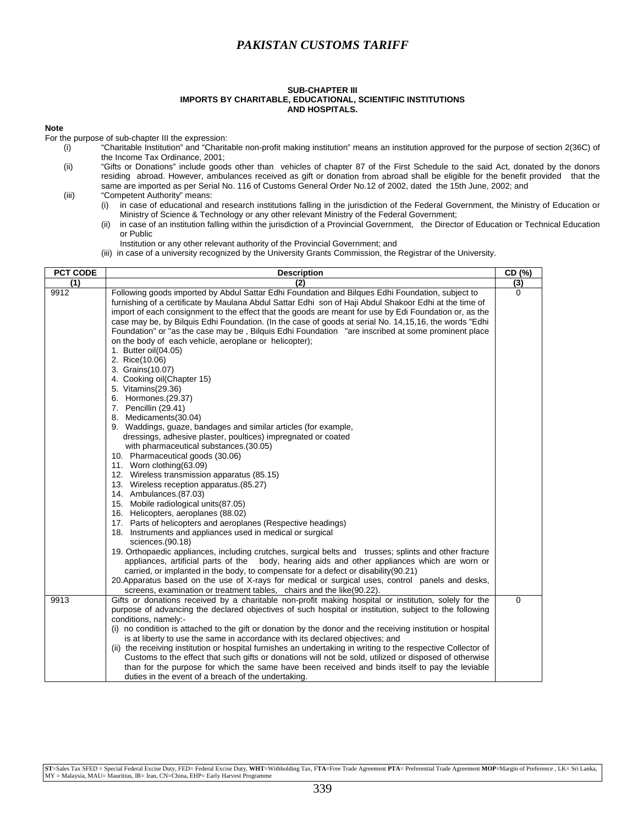#### **SUB-CHAPTER III IMPORTS BY CHARITABLE, EDUCATIONAL, SCIENTIFIC INSTITUTIONS AND HOSPITALS.**

### **ote N**

For the purpose of sub-chapter III the expression:

- (i) "Charitable Institution" and "Charitable non-profit making institution" means an institution approved for the purpose of section 2(36C) of the Income Tax Ordi nance, 2001;
- (ii) "Gifts or Donations" include goods other than vehicles of chapter 87 of the First Schedule to the said Act, donated by the donors residing abroad. However, ambulances received as gift or donation from abroad shall be eligible for the benefit provided that the same are imported as per Serial No. 116 of Customs General Order No.12 of 2002, dated the 15th June, 2002; and
- (iii) "Competent Authority" means:
	- (i) in case of educational and research institutions falling in the jurisdiction of the Federal Government, the Ministry of Education or Ministry of Science & Technology or any other relevant Ministry of the Federal Government;
	- (ii) in case of an institution falling within the jurisdiction of a Provincial Government, the Director of Education or Technical Education or Public
	- Institution or any other relevant authority of the Provincial Government; and
	- (iii) in case of a university recognized by the University Grants Commission, the Registrar of the University.

| <b>PCT CODE</b> | <b>Description</b>                                                                                                                                                                                                                                                                                                                                                                                                                                                                                                                                                                                                                                                                                                                                                                                                                                                                                                                                                                                                                                                                                                                                                                                                                                                                                                                                                                                | CD (%)   |
|-----------------|---------------------------------------------------------------------------------------------------------------------------------------------------------------------------------------------------------------------------------------------------------------------------------------------------------------------------------------------------------------------------------------------------------------------------------------------------------------------------------------------------------------------------------------------------------------------------------------------------------------------------------------------------------------------------------------------------------------------------------------------------------------------------------------------------------------------------------------------------------------------------------------------------------------------------------------------------------------------------------------------------------------------------------------------------------------------------------------------------------------------------------------------------------------------------------------------------------------------------------------------------------------------------------------------------------------------------------------------------------------------------------------------------|----------|
| (1)             | (2)                                                                                                                                                                                                                                                                                                                                                                                                                                                                                                                                                                                                                                                                                                                                                                                                                                                                                                                                                                                                                                                                                                                                                                                                                                                                                                                                                                                               | (3)      |
| 9912            | Following goods imported by Abdul Sattar Edhi Foundation and Bilques Edhi Foundation, subject to<br>furnishing of a certificate by Maulana Abdul Sattar Edhi son of Haji Abdul Shakoor Edhi at the time of<br>import of each consignment to the effect that the goods are meant for use by Edi Foundation or, as the<br>case may be, by Bilquis Edhi Foundation. (In the case of goods at serial No. 14,15,16, the words "Edhi<br>Foundation" or "as the case may be, Bilquis Edhi Foundation "are inscribed at some prominent place<br>on the body of each vehicle, aeroplane or helicopter);<br>1. Butter oil(04.05)<br>2. Rice(10.06)<br>3. Grains(10.07)<br>4. Cooking oil(Chapter 15)<br>5. Vitamins(29.36)<br>6. Hormones.(29.37)<br>7. Pencillin (29.41)<br>8. Medicaments (30.04)<br>9. Waddings, guaze, bandages and similar articles (for example,<br>dressings, adhesive plaster, poultices) impregnated or coated<br>with pharmaceutical substances. (30.05)<br>10. Pharmaceutical goods (30.06)<br>11. Worn clothing (63.09)<br>12. Wireless transmission apparatus (85.15)<br>13. Wireless reception apparatus. (85.27)<br>14. Ambulances.(87.03)<br>15. Mobile radiological units(87.05)<br>16. Helicopters, aeroplanes (88.02)<br>17. Parts of helicopters and aeroplanes (Respective headings)<br>18. Instruments and appliances used in medical or surgical<br>sciences.(90.18) | $\Omega$ |
|                 | 19. Orthopaedic appliances, including crutches, surgical belts and trusses; splints and other fracture<br>appliances, artificial parts of the body, hearing aids and other appliances which are worn or<br>carried, or implanted in the body, to compensate for a defect or disability (90.21)<br>20. Apparatus based on the use of X-rays for medical or surgical uses, control panels and desks,<br>screens, examination or treatment tables, chairs and the like(90.22).                                                                                                                                                                                                                                                                                                                                                                                                                                                                                                                                                                                                                                                                                                                                                                                                                                                                                                                       |          |
| 9913            | Gifts or donations received by a charitable non-profit making hospital or institution, solely for the<br>purpose of advancing the declared objectives of such hospital or institution, subject to the following<br>conditions, namely:-<br>(i) no condition is attached to the gift or donation by the donor and the receiving institution or hospital<br>is at liberty to use the same in accordance with its declared objectives; and<br>(ii) the receiving institution or hospital furnishes an undertaking in writing to the respective Collector of<br>Customs to the effect that such gifts or donations will not be sold, utilized or disposed of otherwise<br>than for the purpose for which the same have been received and binds itself to pay the leviable<br>duties in the event of a breach of the undertaking.                                                                                                                                                                                                                                                                                                                                                                                                                                                                                                                                                                      | $\Omega$ |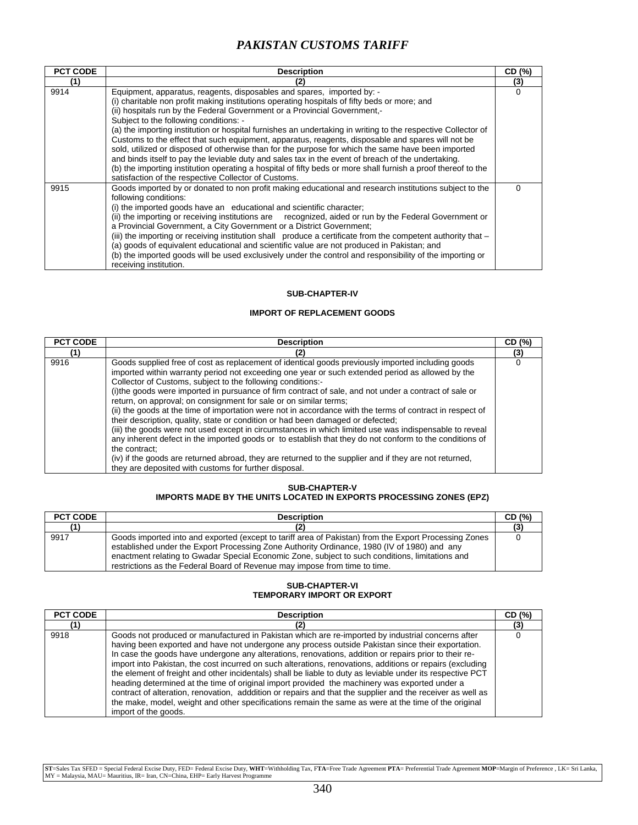| <b>PCT CODE</b> | <b>Description</b>                                                                                                                                                                                                                                                                                                                                                                                                                                                                                                                                                                                                                                                                                                                                                                                                                              | CD (%) |
|-----------------|-------------------------------------------------------------------------------------------------------------------------------------------------------------------------------------------------------------------------------------------------------------------------------------------------------------------------------------------------------------------------------------------------------------------------------------------------------------------------------------------------------------------------------------------------------------------------------------------------------------------------------------------------------------------------------------------------------------------------------------------------------------------------------------------------------------------------------------------------|--------|
| (1)             | (2)                                                                                                                                                                                                                                                                                                                                                                                                                                                                                                                                                                                                                                                                                                                                                                                                                                             | (3)    |
| 9914            | Equipment, apparatus, reagents, disposables and spares, imported by: -<br>(i) charitable non profit making institutions operating hospitals of fifty beds or more; and<br>(ii) hospitals run by the Federal Government or a Provincial Government,-<br>Subject to the following conditions: -<br>(a) the importing institution or hospital furnishes an undertaking in writing to the respective Collector of<br>Customs to the effect that such equipment, apparatus, reagents, disposable and spares will not be<br>sold, utilized or disposed of otherwise than for the purpose for which the same have been imported<br>and binds itself to pay the leviable duty and sales tax in the event of breach of the undertaking.<br>(b) the importing institution operating a hospital of fifty beds or more shall furnish a proof thereof to the | 0      |
| 9915            | satisfaction of the respective Collector of Customs.<br>Goods imported by or donated to non profit making educational and research institutions subject to the<br>following conditions:<br>(i) the imported goods have an educational and scientific character;<br>(ii) the importing or receiving institutions are recognized, aided or run by the Federal Government or<br>a Provincial Government, a City Government or a District Government;<br>(iii) the importing or receiving institution shall produce a certificate from the competent authority that -<br>(a) goods of equivalent educational and scientific value are not produced in Pakistan; and<br>(b) the imported goods will be used exclusively under the control and responsibility of the importing or<br>receiving institution.                                           |        |

### **SUB-CHAPTER-IV**

### **IMPORT OF REPLACEMENT GOODS**

| <b>PCT CODE</b> | <b>Description</b>                                                                                                                                                                                                                                                                                                                                                                                                                                                                                                                                                                                                                                                                                                                                                                                                                                                                                                                                                                                                                                           | CD (%) |
|-----------------|--------------------------------------------------------------------------------------------------------------------------------------------------------------------------------------------------------------------------------------------------------------------------------------------------------------------------------------------------------------------------------------------------------------------------------------------------------------------------------------------------------------------------------------------------------------------------------------------------------------------------------------------------------------------------------------------------------------------------------------------------------------------------------------------------------------------------------------------------------------------------------------------------------------------------------------------------------------------------------------------------------------------------------------------------------------|--------|
| 11              |                                                                                                                                                                                                                                                                                                                                                                                                                                                                                                                                                                                                                                                                                                                                                                                                                                                                                                                                                                                                                                                              | (3)    |
| 9916            | Goods supplied free of cost as replacement of identical goods previously imported including goods<br>imported within warranty period not exceeding one year or such extended period as allowed by the<br>Collector of Customs, subject to the following conditions:-<br>(i) the goods were imported in pursuance of firm contract of sale, and not under a contract of sale or<br>return, on approval; on consignment for sale or on similar terms;<br>(ii) the goods at the time of importation were not in accordance with the terms of contract in respect of<br>their description, quality, state or condition or had been damaged or defected;<br>(iii) the goods were not used except in circumstances in which limited use was indispensable to reveal<br>any inherent defect in the imported goods or to establish that they do not conform to the conditions of<br>the contract:<br>(iv) if the goods are returned abroad, they are returned to the supplier and if they are not returned,<br>they are deposited with customs for further disposal. |        |

#### **SUB-CHAPTER-V IMPORTS MADE BY THE UNITS LOCATED IN EXPORTS PROCESSING ZONES (EPZ)**

| <b>PCT CODE</b> | <b>Description</b>                                                                                                                                                                                                                                                                                                                                                                    | CD (%) |
|-----------------|---------------------------------------------------------------------------------------------------------------------------------------------------------------------------------------------------------------------------------------------------------------------------------------------------------------------------------------------------------------------------------------|--------|
| (1)             |                                                                                                                                                                                                                                                                                                                                                                                       |        |
| 9917            | Goods imported into and exported (except to tariff area of Pakistan) from the Export Processing Zones<br>established under the Export Processing Zone Authority Ordinance, 1980 (IV of 1980) and any<br>enactment relating to Gwadar Special Economic Zone, subject to such conditions, limitations and<br>restrictions as the Federal Board of Revenue may impose from time to time. |        |

### **SUB-CHAPTER-VI TEMPORARY IMPORT OR EXPORT**

| <b>PCT CODE</b> | <b>Description</b>                                                                                                                                                                                                                                                                                                                                                                                                                                                                                                                                                                                                                                                                                                                                                                                                                                                                        | CD (%) |
|-----------------|-------------------------------------------------------------------------------------------------------------------------------------------------------------------------------------------------------------------------------------------------------------------------------------------------------------------------------------------------------------------------------------------------------------------------------------------------------------------------------------------------------------------------------------------------------------------------------------------------------------------------------------------------------------------------------------------------------------------------------------------------------------------------------------------------------------------------------------------------------------------------------------------|--------|
| (1)             | (2)                                                                                                                                                                                                                                                                                                                                                                                                                                                                                                                                                                                                                                                                                                                                                                                                                                                                                       | (3)    |
| 9918            | Goods not produced or manufactured in Pakistan which are re-imported by industrial concerns after<br>having been exported and have not undergone any process outside Pakistan since their exportation.<br>In case the goods have undergone any alterations, renovations, addition or repairs prior to their re-<br>import into Pakistan, the cost incurred on such alterations, renovations, additions or repairs (excluding<br>the element of freight and other incidentals) shall be liable to duty as leviable under its respective PCT<br>heading determined at the time of original import provided the machinery was exported under a<br>contract of alteration, renovation, adddition or repairs and that the supplier and the receiver as well as<br>the make, model, weight and other specifications remain the same as were at the time of the original<br>import of the goods. |        |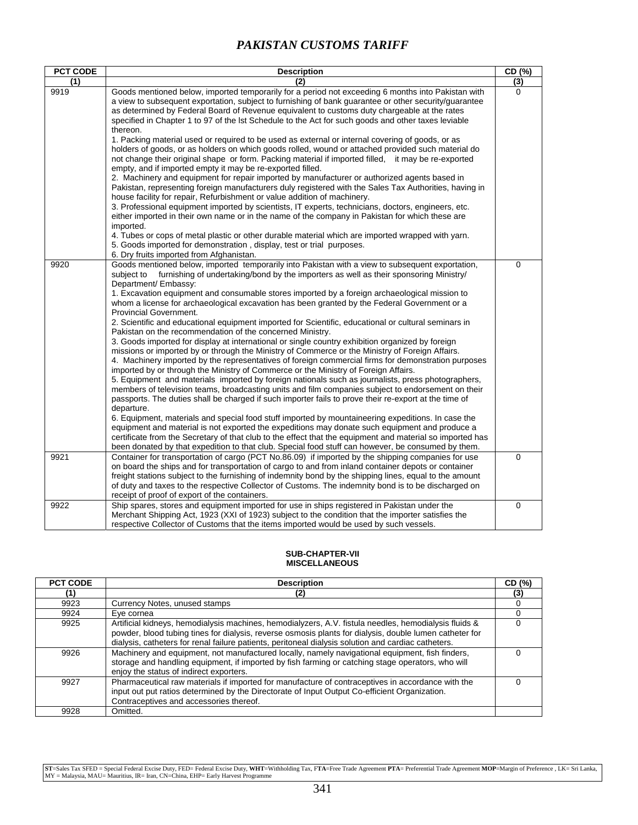| PCT CODE | <b>Description</b>                                                                                                                                                                                                                                                                                                                                                                                                                                                                                                                                                                                                                                                                                                                                                                                                                                                                                                                                                                                                                                                                                                                                                                                                                                                                                                                                                                                                                                                                                                                                                                                                                                                                                                                                                                                        | CD (%)      |
|----------|-----------------------------------------------------------------------------------------------------------------------------------------------------------------------------------------------------------------------------------------------------------------------------------------------------------------------------------------------------------------------------------------------------------------------------------------------------------------------------------------------------------------------------------------------------------------------------------------------------------------------------------------------------------------------------------------------------------------------------------------------------------------------------------------------------------------------------------------------------------------------------------------------------------------------------------------------------------------------------------------------------------------------------------------------------------------------------------------------------------------------------------------------------------------------------------------------------------------------------------------------------------------------------------------------------------------------------------------------------------------------------------------------------------------------------------------------------------------------------------------------------------------------------------------------------------------------------------------------------------------------------------------------------------------------------------------------------------------------------------------------------------------------------------------------------------|-------------|
| (1)      | (2)                                                                                                                                                                                                                                                                                                                                                                                                                                                                                                                                                                                                                                                                                                                                                                                                                                                                                                                                                                                                                                                                                                                                                                                                                                                                                                                                                                                                                                                                                                                                                                                                                                                                                                                                                                                                       | (3)         |
| 9919     | Goods mentioned below, imported temporarily for a period not exceeding 6 months into Pakistan with<br>a view to subsequent exportation, subject to furnishing of bank guarantee or other security/guarantee<br>as determined by Federal Board of Revenue equivalent to customs duty chargeable at the rates<br>specified in Chapter 1 to 97 of the lst Schedule to the Act for such goods and other taxes leviable<br>thereon.<br>1. Packing material used or required to be used as external or internal covering of goods, or as<br>holders of goods, or as holders on which goods rolled, wound or attached provided such material do<br>not change their original shape or form. Packing material if imported filled, it may be re-exported<br>empty, and if imported empty it may be re-exported filled.<br>2. Machinery and equipment for repair imported by manufacturer or authorized agents based in<br>Pakistan, representing foreign manufacturers duly registered with the Sales Tax Authorities, having in<br>house facility for repair, Refurbishment or value addition of machinery.<br>3. Professional equipment imported by scientists, IT experts, technicians, doctors, engineers, etc.<br>either imported in their own name or in the name of the company in Pakistan for which these are<br>imported.<br>4. Tubes or cops of metal plastic or other durable material which are imported wrapped with yarn.<br>5. Goods imported for demonstration, display, test or trial purposes.<br>6. Dry fruits imported from Afghanistan.                                                                                                                                                                                                                                                      | $\Omega$    |
| 9920     | Goods mentioned below, imported temporarily into Pakistan with a view to subsequent exportation,<br>furnishing of undertaking/bond by the importers as well as their sponsoring Ministry/<br>subject to<br>Department/ Embassy:<br>1. Excavation equipment and consumable stores imported by a foreign archaeological mission to<br>whom a license for archaeological excavation has been granted by the Federal Government or a<br><b>Provincial Government.</b><br>2. Scientific and educational equipment imported for Scientific, educational or cultural seminars in<br>Pakistan on the recommendation of the concerned Ministry.<br>3. Goods imported for display at international or single country exhibition organized by foreign<br>missions or imported by or through the Ministry of Commerce or the Ministry of Foreign Affairs.<br>4. Machinery imported by the representatives of foreign commercial firms for demonstration purposes<br>imported by or through the Ministry of Commerce or the Ministry of Foreign Affairs.<br>5. Equipment and materials imported by foreign nationals such as journalists, press photographers,<br>members of television teams, broadcasting units and film companies subject to endorsement on their<br>passports. The duties shall be charged if such importer fails to prove their re-export at the time of<br>departure.<br>6. Equipment, materials and special food stuff imported by mountaineering expeditions. In case the<br>equipment and material is not exported the expeditions may donate such equipment and produce a<br>certificate from the Secretary of that club to the effect that the equipment and material so imported has<br>been donated by that expedition to that club. Special food stuff can however, be consumed by them. | 0           |
| 9921     | Container for transportation of cargo (PCT No.86.09) if imported by the shipping companies for use<br>on board the ships and for transportation of cargo to and from inland container depots or container<br>freight stations subject to the furnishing of indemnity bond by the shipping lines, equal to the amount<br>of duty and taxes to the respective Collector of Customs. The indemnity bond is to be discharged on<br>receipt of proof of export of the containers.                                                                                                                                                                                                                                                                                                                                                                                                                                                                                                                                                                                                                                                                                                                                                                                                                                                                                                                                                                                                                                                                                                                                                                                                                                                                                                                              | $\mathbf 0$ |
| 9922     | Ship spares, stores and equipment imported for use in ships registered in Pakistan under the<br>Merchant Shipping Act, 1923 (XXI of 1923) subject to the condition that the importer satisfies the<br>respective Collector of Customs that the items imported would be used by such vessels.                                                                                                                                                                                                                                                                                                                                                                                                                                                                                                                                                                                                                                                                                                                                                                                                                                                                                                                                                                                                                                                                                                                                                                                                                                                                                                                                                                                                                                                                                                              | $\mathbf 0$ |

#### **SUB-CHAPTER-VII MISCELLANEOUS**

| <b>PCT CODE</b> | <b>Description</b>                                                                                                                                                                                                                                                                                                      | CD (%) |
|-----------------|-------------------------------------------------------------------------------------------------------------------------------------------------------------------------------------------------------------------------------------------------------------------------------------------------------------------------|--------|
| (1)             | (2)                                                                                                                                                                                                                                                                                                                     | (3)    |
| 9923            | Currency Notes, unused stamps                                                                                                                                                                                                                                                                                           |        |
| 9924            | Eve cornea                                                                                                                                                                                                                                                                                                              |        |
| 9925            | Artificial kidneys, hemodialysis machines, hemodialyzers, A.V. fistula needles, hemodialysis fluids &<br>powder, blood tubing tines for dialysis, reverse osmosis plants for dialysis, double lumen catheter for<br>dialysis, catheters for renal failure patients, peritoneal dialysis solution and cardiac catheters. |        |
| 9926            | Machinery and equipment, not manufactured locally, namely navigational equipment, fish finders,<br>storage and handling equipment, if imported by fish farming or catching stage operators, who will<br>enjoy the status of indirect exporters.                                                                         |        |
| 9927            | Pharmaceutical raw materials if imported for manufacture of contraceptives in accordance with the<br>input out put ratios determined by the Directorate of Input Output Co-efficient Organization.<br>Contraceptives and accessories thereof.                                                                           |        |
| 9928            | Omitted.                                                                                                                                                                                                                                                                                                                |        |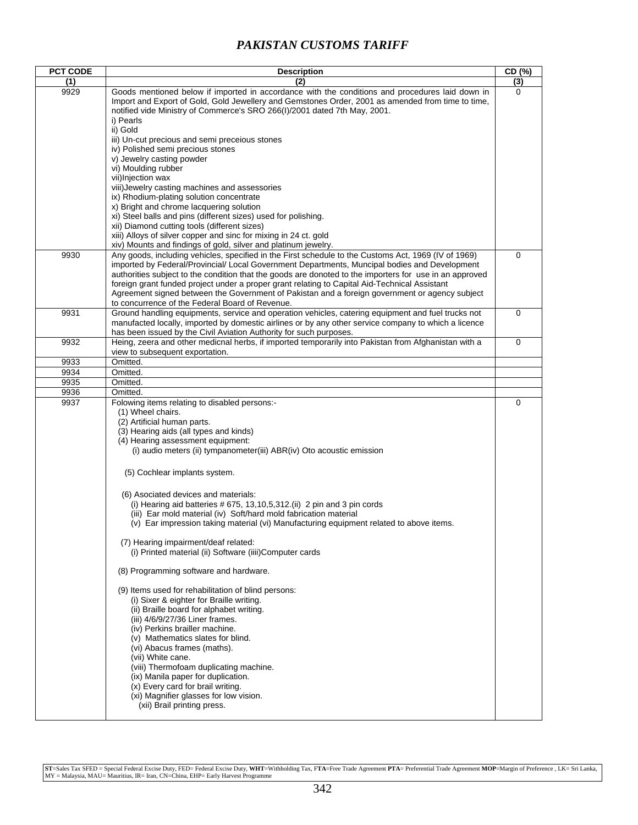| <b>PCT CODE</b> | <b>Description</b>                                                                                      | CD (%)      |
|-----------------|---------------------------------------------------------------------------------------------------------|-------------|
| (1)             | (2)                                                                                                     | (3)         |
| 9929            | Goods mentioned below if imported in accordance with the conditions and procedures laid down in         | $\Omega$    |
|                 | Import and Export of Gold, Gold Jewellery and Gemstones Order, 2001 as amended from time to time,       |             |
|                 | notified vide Ministry of Commerce's SRO 266(I)/2001 dated 7th May, 2001.                               |             |
|                 | i) Pearls                                                                                               |             |
|                 | ii) Gold                                                                                                |             |
|                 | iii) Un-cut precious and semi preceious stones                                                          |             |
|                 | iv) Polished semi precious stones                                                                       |             |
|                 | v) Jewelry casting powder                                                                               |             |
|                 | vi) Moulding rubber                                                                                     |             |
|                 | vii) Injection wax                                                                                      |             |
|                 | viii) Jewelry casting machines and assessories                                                          |             |
|                 | ix) Rhodium-plating solution concentrate                                                                |             |
|                 | x) Bright and chrome lacquering solution                                                                |             |
|                 | xi) Steel balls and pins (different sizes) used for polishing.                                          |             |
|                 | xii) Diamond cutting tools (different sizes)                                                            |             |
|                 | xiii) Alloys of silver copper and sinc for mixing in 24 ct. gold                                        |             |
|                 | xiv) Mounts and findings of gold, silver and platinum jewelry.                                          |             |
| 9930            | Any goods, including vehicles, specified in the First schedule to the Customs Act, 1969 (IV of 1969)    | 0           |
|                 | imported by Federal/Provincial/ Local Government Departments, Muncipal bodies and Development           |             |
|                 | authorities subject to the condition that the goods are donoted to the importers for use in an approved |             |
|                 | foreign grant funded project under a proper grant relating to Capital Aid-Technical Assistant           |             |
|                 | Agreement signed between the Government of Pakistan and a foreign government or agency subject          |             |
|                 | to concurrence of the Federal Board of Revenue.                                                         |             |
| 9931            | Ground handling equipments, service and operation vehicles, catering equipment and fuel trucks not      | 0           |
|                 | manufacted locally, imported by domestic airlines or by any other service company to which a licence    |             |
|                 | has been issued by the Civil Aviation Authority for such purposes.                                      |             |
| 9932            | Heing, zeera and other medicnal herbs, if imported temporarily into Pakistan from Afghanistan with a    | $\mathbf 0$ |
|                 | view to subsequent exportation.                                                                         |             |
| 9933            | Omitted.                                                                                                |             |
| 9934<br>9935    | Omitted.<br>Omitted.                                                                                    |             |
| 9936            | Omitted.                                                                                                |             |
| 9937            |                                                                                                         | 0           |
|                 | Folowing items relating to disabled persons:-<br>(1) Wheel chairs.                                      |             |
|                 | (2) Artificial human parts.                                                                             |             |
|                 | (3) Hearing aids (all types and kinds)                                                                  |             |
|                 | (4) Hearing assessment equipment:                                                                       |             |
|                 | (i) audio meters (ii) tympanometer(iii) ABR(iv) Oto acoustic emission                                   |             |
|                 |                                                                                                         |             |
|                 | (5) Cochlear implants system.                                                                           |             |
|                 |                                                                                                         |             |
|                 |                                                                                                         |             |
|                 | (6) Asociated devices and materials:                                                                    |             |
|                 | (i) Hearing aid batteries $# 675, 13, 10, 5, 312$ . (ii) 2 pin and 3 pin cords                          |             |
|                 | (iii) Ear mold material (iv) Soft/hard mold fabrication material                                        |             |
|                 | (v) Ear impression taking material (vi) Manufacturing equipment related to above items.                 |             |
|                 | (7) Hearing impairment/deaf related:                                                                    |             |
|                 | (i) Printed material (ii) Software (iiii)Computer cards                                                 |             |
|                 |                                                                                                         |             |
|                 | (8) Programming software and hardware.                                                                  |             |
|                 |                                                                                                         |             |
|                 | (9) Items used for rehabilitation of blind persons:                                                     |             |
|                 | (i) Sixer & eighter for Braille writing.                                                                |             |
|                 | (ii) Braille board for alphabet writing.                                                                |             |
|                 | (iii) 4/6/9/27/36 Liner frames.                                                                         |             |
|                 | (iv) Perkins brailler machine.                                                                          |             |
|                 | (v) Mathematics slates for blind.                                                                       |             |
|                 | (vi) Abacus frames (maths).                                                                             |             |
|                 | (vii) White cane.                                                                                       |             |
|                 | (viii) Thermofoam duplicating machine.                                                                  |             |
|                 | (ix) Manila paper for duplication.                                                                      |             |
|                 | (x) Every card for brail writing.                                                                       |             |
|                 | (xi) Magnifier glasses for low vision.                                                                  |             |
|                 | (xii) Brail printing press.                                                                             |             |
|                 |                                                                                                         |             |